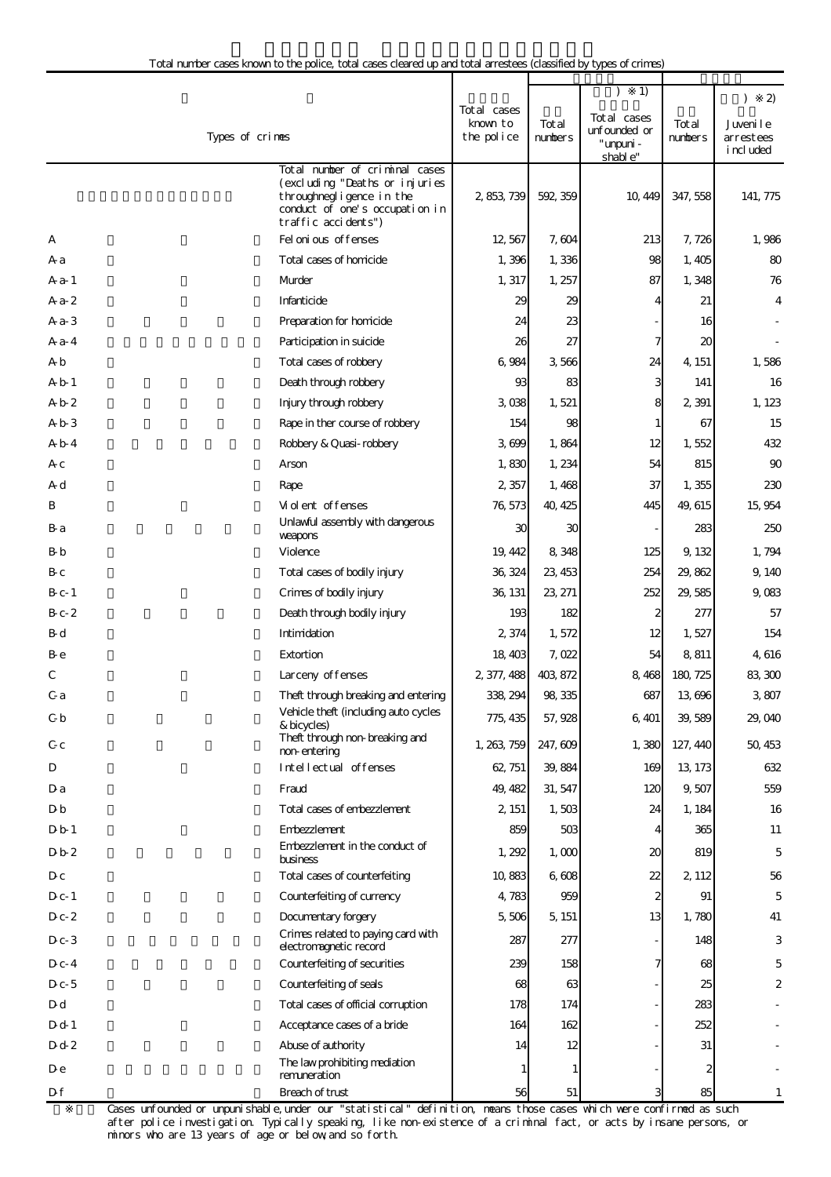|                  |                                                                                                                                                       |                                       |                  | 1)                                                   |                  | 2)<br>$\lambda$                     |
|------------------|-------------------------------------------------------------------------------------------------------------------------------------------------------|---------------------------------------|------------------|------------------------------------------------------|------------------|-------------------------------------|
|                  | Types of crimes                                                                                                                                       | Total cases<br>known to<br>the police | Total<br>numbers | Total cases<br>unfounded or<br>" unpuni -<br>shable" | Total<br>numbers | Juvenile<br>arrestees<br>i ncl uded |
|                  | Total number of criminal cases<br>(excluding "Deaths or injuries<br>throughnegligence in the<br>conduct of one's occupation in<br>traffic accidents") | 2, 853, 739                           | 592, 359         | 10, 449                                              | 347, 558         | 141, 775                            |
| А                | Fel oni ous offenses                                                                                                                                  | 12,567                                | 7,604            | 213                                                  | 7, 726           | 1,986                               |
| A a              | Total cases of homicide                                                                                                                               | 1,396                                 | 1,336            | 98                                                   | 1,405            | 80                                  |
| A a - 1          | Murder                                                                                                                                                | 1, 317                                | 1, 257           | 87                                                   | 1,348            | 76                                  |
| $Aa-2$           | Infanticide                                                                                                                                           | 29                                    | 29               |                                                      | 21               | 4                                   |
| $Aa-3$           | Preparation for homicide                                                                                                                              | 24                                    | 23               |                                                      | 16               |                                     |
| $A^2 - 4$        | Participation in suicide                                                                                                                              | 26                                    | 27               |                                                      | 20               |                                     |
| A b              | Total cases of robbery                                                                                                                                | 6,984                                 | 3566             | 24                                                   | 4, 151           | 1,586                               |
| A b 1            | Death through robbery                                                                                                                                 | 93                                    | 83               | 3                                                    | 141              | 16                                  |
| Ab2              | Injury through robbery                                                                                                                                | 3 038                                 | 1,521            | 8                                                    | 2 3 9 1          | 1, 123                              |
| A b 3            | Rape in ther course of robbery                                                                                                                        | 154                                   | 98               |                                                      | 67               | 15                                  |
| A b 4            | Robbery & Quasi-robbery                                                                                                                               | 3699                                  | 1,864            | 12                                                   | 1,552            | 432                                 |
| Aс               | Arson                                                                                                                                                 | 1,830                                 | 1,234            | 54                                                   | 815              | 90                                  |
| A d              | Rape                                                                                                                                                  | 2,357                                 | 1,468            | 37                                                   | 1,355            | 230                                 |
| B                | Violent of fenses                                                                                                                                     | 76, 573                               | 40, 425          | 445                                                  | 49, 615          | 15, 954                             |
| B-a              | Unlawful assembly with dangerous<br>weapons                                                                                                           | 30                                    | 30               |                                                      | 283              | 250                                 |
| B-b              | Violence                                                                                                                                              | 19, 442                               | 8,348            | 125                                                  | 9, 132           | 1,794                               |
| B-c              | Total cases of bodily injury                                                                                                                          | 36, 324                               | 23, 453          | 254                                                  | 29,862           | 9, 140                              |
| $B_{c-1}$        | Crimes of bodily injury                                                                                                                               | 36, 131                               | 23, 271          | 252                                                  | 29,585           | 9,083                               |
| $B_{c-}2$        | Death through bodily injury                                                                                                                           | 193                                   | 182              |                                                      | 277              | 57                                  |
| B-d              | Intimidation                                                                                                                                          | 2,374                                 | 1,572            | 12                                                   | 1,527            | 154                                 |
| B e              | Extortion                                                                                                                                             | 18, 403                               | 7,022            | 54                                                   | 8,811            | 4, 616                              |
| C                | Larceny of fenses                                                                                                                                     | 2, 377, 488                           | 403, 872         | 8,468                                                | 180, 725         | 83, 300                             |
| C a              | Theft through breaking and entering                                                                                                                   | 338, 294                              | 98, 335          | 687                                                  | 13 696           | 3,807                               |
| C b              | Vehicle theft (including auto cycles<br>& bicycles)                                                                                                   | 775, 435                              | 57, 928          | 6, 401                                               | 39,589           | 29,040                              |
| C c              | Theft through non-breaking and<br>non-entering                                                                                                        | 1, 263, 759                           | 247,609          | 1,380                                                | 127, 440         | 50, 453                             |
| D                | Intellectual offenses                                                                                                                                 | 62, 751                               | 39,884           | 169                                                  | 13, 173          | 632                                 |
| Da               | Fraud                                                                                                                                                 | 49, 482                               | 31.547           | 120                                                  | 9,507            | 559                                 |
| Db               | Total cases of embezzlement                                                                                                                           | 2, 151                                | 1,503            | 24                                                   | 1, 184           | 16                                  |
| D <sub>b</sub> 1 | Embezzlement                                                                                                                                          | 859                                   | 503              | 4                                                    | 365              | 11                                  |
| $Db-2$           | Embezzlement in the conduct of<br>business                                                                                                            | 1, 292                                | 1,000            | 20                                                   | 819              | $\overline{5}$                      |
| $D_{c}$          | Total cases of counterfeiting                                                                                                                         | 10,883                                | 6.608            | 22                                                   | 2, 112           | 56                                  |
| $D_{c-1}$        | Counterfeiting of currency                                                                                                                            | 4,783                                 | 959              | 2                                                    | 91               | 5                                   |
| $D_{c-2}$        | Documentary forgery                                                                                                                                   | 5,506                                 | 5, 151           | 13                                                   | 1,780            | 41                                  |
| $D_{c-}3$        | Crimes related to paying card with<br>electromagnetic record                                                                                          | 287                                   | 277              |                                                      | 148              | 3                                   |
| $D_{c-4}$        | Counterfeiting of securities                                                                                                                          | 239                                   | 158              |                                                      | 68               | 5                                   |
| $D_{C-}5$        | Counterfeiting of seals                                                                                                                               | 68                                    | 63               |                                                      | 25               | $\mathbf{z}$                        |
| D d              | Total cases of official corruption                                                                                                                    | 178                                   | 174              |                                                      | 283              |                                     |
| D d 1            | Acceptance cases of a bride                                                                                                                           | 164                                   | 162              |                                                      | 252              |                                     |
| D d 2            | Abuse of authority                                                                                                                                    | 14                                    | 12               |                                                      | 31               |                                     |
| De               | The law prohibiting mediation<br>remuneration                                                                                                         |                                       |                  |                                                      | 2                |                                     |
| D f              | Breach of trust                                                                                                                                       | 56                                    | 51               |                                                      | 85               |                                     |

Cases unfounded or unpunishable,under our "statistical" definition, means those cases which were confirmed as such after police investigation. Typically speaking, like non-existence of a criminal fact, or acts by insane persons, or minors who are 13 years of age or below,and so forth.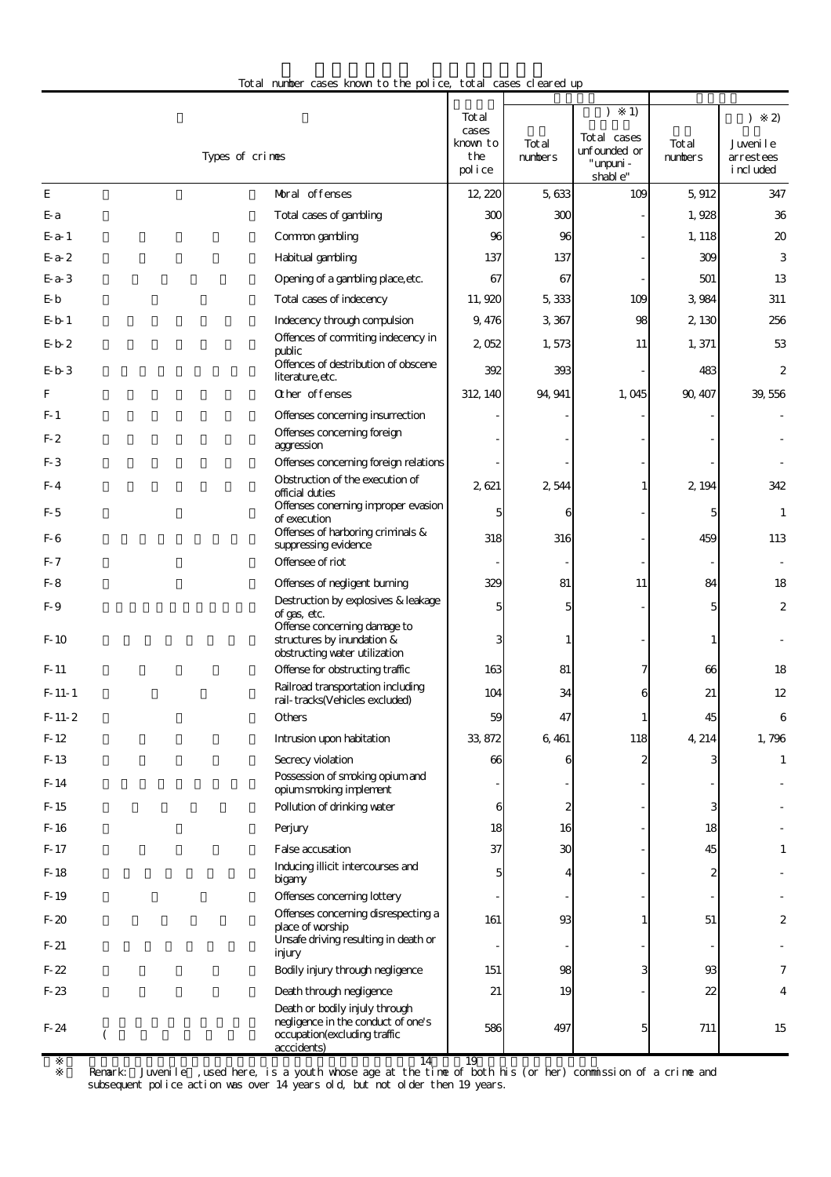| Total number cases known to the police, total cases cleared up |  |
|----------------------------------------------------------------|--|
|----------------------------------------------------------------|--|

|                  |                                                                                             | Tot al<br>cases           |                   | 1)                                                    |                  | $\mathfrak{D}$                       |
|------------------|---------------------------------------------------------------------------------------------|---------------------------|-------------------|-------------------------------------------------------|------------------|--------------------------------------|
|                  | Types of crimes                                                                             | known to<br>the<br>police | Tot al<br>numbers | Tot al cases<br>unfounded or<br>" umpuni -<br>shable" | Total<br>numbers | Juveni le<br>arrestees<br>i ncl uded |
| E                | Moral offenses                                                                              | 12 220                    | 5,633             | 109                                                   | 5,912            | 347                                  |
| E-a              | Total cases of gambling                                                                     | 300                       | 300               |                                                       | 1,928            | 36                                   |
| $E-a-1$          | Common gambling                                                                             | 96                        | 96                |                                                       | 1, 118           | 20                                   |
| $E-a-2$          | Habitual gambling                                                                           | 137                       | 137               |                                                       | 309              | 3                                    |
| $E-a-3$          | Opening of a gambling place, etc.                                                           | 67                        | 67                |                                                       | 501              | 13                                   |
| $E-b$            | Total cases of indecency                                                                    | 11,920                    | 5,333             | 109                                                   | 3,984            | 311                                  |
| $E - b$ 1        | Indecency through compulsion                                                                | 9,476                     | 3,367             | 98                                                    | 2,130            | 256                                  |
| $E-b-2$          | Offences of commiting indecency in<br>public                                                | 2,052                     | 1,573             | 11                                                    | 1,371            | 53                                   |
| $E-b-3$          | Offences of destribution of obscene<br>literature, etc.                                     | 392                       | 393               |                                                       | 483              | $\overline{\mathcal{Z}}$             |
| F                | Other offenses                                                                              | 312, 140                  | 94, 941           | 1,045                                                 | 90, 407          | 39,556                               |
| $F-1$            | Offenses concerning insurrection                                                            |                           |                   |                                                       |                  |                                      |
| $F-2$            | Offenses concerning foreign<br>aggression                                                   |                           |                   |                                                       |                  |                                      |
| $F-3$            | Offenses concerning foreign relations                                                       |                           |                   |                                                       |                  |                                      |
| $F-4$            | Obstruction of the execution of<br>official duties                                          | 2,621                     | 2,544             | $\mathbf{1}$                                          | 2, 194           | 342                                  |
| $F-5$            | Offenses conerning improper evasion<br>of execution                                         | 5                         | 6                 |                                                       | 5                | $\mathbf{1}$                         |
| F-6              | Offenses of harboring criminals &<br>suppressing evidence                                   | 318                       | 316               |                                                       | 459              | 113                                  |
| $F-7$            | Offensee of riot                                                                            |                           |                   |                                                       |                  |                                      |
| F- 8             | Offenses of negligent burning                                                               | 329                       | 81                | 11                                                    | 84               | 18                                   |
| F-9              | Destruction by explosives & leakage<br>of gas, etc.                                         | 5                         | 5                 |                                                       | 5                | $\boldsymbol{z}$                     |
| $F-10$           | Offense concerning damage to<br>structures by inundation &<br>obstructing water utilization | 3                         |                   |                                                       |                  |                                      |
| $F-11$           | Offense for obstructing traffic                                                             | 163                       | 81                | 7                                                     | 66               | 18                                   |
| $F-11-1$         | Railroad transportation including<br>rail-tracks(Vehicles excluded)                         | 104                       | 34                | 6                                                     | 21               | 12                                   |
| $F-11-2$         | <b>Others</b>                                                                               | 59                        | 47                |                                                       | 45               | 6                                    |
| $F-12$           | Intrusion upon habitation                                                                   | 33, 872                   | 6,461             | 118                                                   | 4, 214           | 1,796                                |
| F-13             | Secrecy violation                                                                           | 66                        | 6                 | $\mathbf{z}$                                          | 3                | 1                                    |
| $F-14$           | Possession of smoking opium and<br>opium smoking implement                                  |                           |                   |                                                       |                  |                                      |
| $F-15$           | Pollution of drinking water                                                                 | 6                         | $\boldsymbol{2}$  |                                                       | 3                |                                      |
| $F-16$           | Perjury                                                                                     | 18                        | 16                |                                                       | 18               |                                      |
| $F-17$           | False accusation                                                                            | 37                        | 30                |                                                       | 45               | 1                                    |
| F-18<br>F-19     | Inducing illicit intercourses and<br>bigany<br>Offenses concerning lottery                  | 5                         |                   |                                                       |                  |                                      |
|                  | Offenses concerning disrespecting a                                                         |                           |                   |                                                       |                  |                                      |
| $F-20$<br>$F-21$ | place of worship<br>Unsafe driving resulting in death or                                    | 161                       | 93                | 1                                                     | 51               | 2                                    |
|                  | injury                                                                                      |                           |                   |                                                       |                  |                                      |
| $F-22$           | Bodily injury through negligence                                                            | 151                       | 98                | 3                                                     | 93               | 7                                    |
| $F-23$           | Death through negligence<br>Death or bodily injuly through                                  | 21                        | 19                |                                                       | 22               | 4                                    |
| $F-24$           | negligence in the conduct of one's<br>occupation(excluding traffic<br>(<br>acccidents)      | 586                       | 497               | 5                                                     | 711              | 15                                   |

 $14 \t 19$ 

 2 Remark: Juvenile」,used here, is a youth whose age at the time of both his (or her) commission of a crime and subsequent police action was over 14 years old, but not older then 19 years.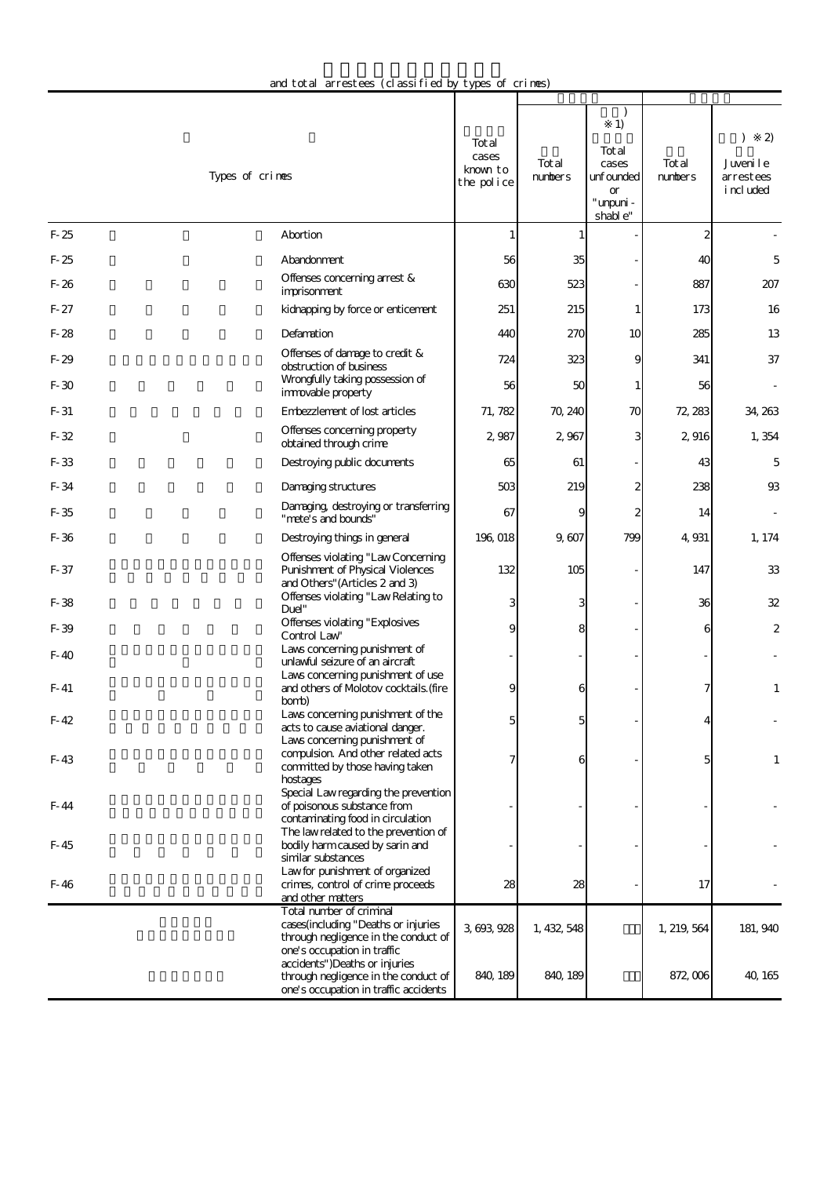| and total arrestees (classified by types of crimes) |  |  |  |
|-----------------------------------------------------|--|--|--|
|-----------------------------------------------------|--|--|--|

|        | Types of crimes                                                                                                                        | Tot al<br>cases<br>known to<br>the police | Tot al<br>numbers | 1)<br>Tot al<br>cases<br>unfounded<br>or<br>" unpuni -<br>shable" | Tot al<br>numbers | 2)<br>€<br>Juveni le<br>arrestees<br>i ncl uded |
|--------|----------------------------------------------------------------------------------------------------------------------------------------|-------------------------------------------|-------------------|-------------------------------------------------------------------|-------------------|-------------------------------------------------|
| $F-25$ | Abortion                                                                                                                               |                                           | 1                 |                                                                   | 2                 |                                                 |
| $F-25$ | Abandonment                                                                                                                            | 56                                        | 35                |                                                                   | 40                | 5                                               |
| $F-26$ | Offenses concerning arrest &<br>imprisonment                                                                                           | 630                                       | 523               |                                                                   | 887               | 207                                             |
| $F-27$ | kidnapping by force or enticement                                                                                                      | 251                                       | 215               |                                                                   | 173               | 16                                              |
| $F-28$ | Defamation                                                                                                                             | 440                                       | 270               | 10                                                                | 285               | 13                                              |
| $F-29$ | Offenses of damage to credit &<br>obstruction of business                                                                              | 724                                       | 323               | 9                                                                 | 341               | 37                                              |
| $F-30$ | Wrongfully taking possession of<br>immovable property                                                                                  | 56                                        | 50                | 1                                                                 | 56                |                                                 |
| $F-31$ | Embezzlement of lost articles                                                                                                          | 71, 782                                   | 70, 240           | 70                                                                | 72, 283           | 34, 263                                         |
| $F-32$ | Offenses concerning property<br>obtained through crime                                                                                 | 2,987                                     | 2,967             | 3                                                                 | 2,916             | 1,354                                           |
| $F-33$ | Destroying public documents                                                                                                            | 65                                        | 61                |                                                                   | 43                | 5                                               |
| $F-34$ | Damaging structures                                                                                                                    | 503                                       | 219               | 2                                                                 | 238               | 93                                              |
| F-35   | Damaging, destroying or transferring<br>"mete's and bounds"                                                                            | 67                                        | 9                 | 2                                                                 | 14                |                                                 |
| F-36   | Destroying things in general                                                                                                           | 196, 018                                  | 9,607             | 799                                                               | 4,931             | 1, 174                                          |
| F-37   | Offenses violating "Law Concerning<br>Punishment of Physical Violences<br>and Others" (Articles 2 and 3)                               | 132                                       | 105               |                                                                   | 147               | 33                                              |
| $F-38$ | Offenses violating "Law Relating to<br>Duel"                                                                                           |                                           | 3                 |                                                                   | 36                | 32                                              |
| F-39   | Offenses violating "Explosives<br>Control Law                                                                                          |                                           | 8                 |                                                                   | 6                 | 2                                               |
| $F-40$ | Laws concerning punishment of<br>unlawful seizure of an aircraft                                                                       |                                           |                   |                                                                   |                   |                                                 |
| $F-41$ | Laws concerning punishment of use<br>and others of Molotov cocktails. (fire<br>bomb)                                                   |                                           | 6                 |                                                                   |                   | $\mathbf{1}$                                    |
| $F-42$ | Laws concerning punishment of the<br>acts to cause aviational danger.                                                                  |                                           |                   |                                                                   |                   |                                                 |
| F-43   | Laws concerning punishment of<br>compulsion. And other related acts<br>committed by those having taken<br>hostages                     |                                           | 6                 |                                                                   | 5                 | $\mathbf{1}$                                    |
| F- 44  | Special Law regarding the prevention<br>of poisonous substance from<br>contaminating food in circulation                               |                                           |                   |                                                                   |                   |                                                 |
| F-45   | The law related to the prevention of<br>bodily harm caused by sarin and<br>similar substances                                          |                                           |                   |                                                                   |                   |                                                 |
| F-46   | Law for punishment of organized<br>crimes, control of crime proceeds<br>and other matters                                              | 28                                        | 28                |                                                                   | 17                |                                                 |
|        | Total number of criminal<br>cases(including "Deaths or injuries<br>through negligence in the conduct of<br>one's occupation in traffic | 3, 693, 928                               | 1, 432, 548       |                                                                   | 1, 219, 564       | 181, 940                                        |
|        | accidents")Deaths or injuries<br>through negligence in the conduct of<br>one's occupation in traffic accidents                         | 840, 189                                  | 840, 189          |                                                                   | 872,006           | 40, 165                                         |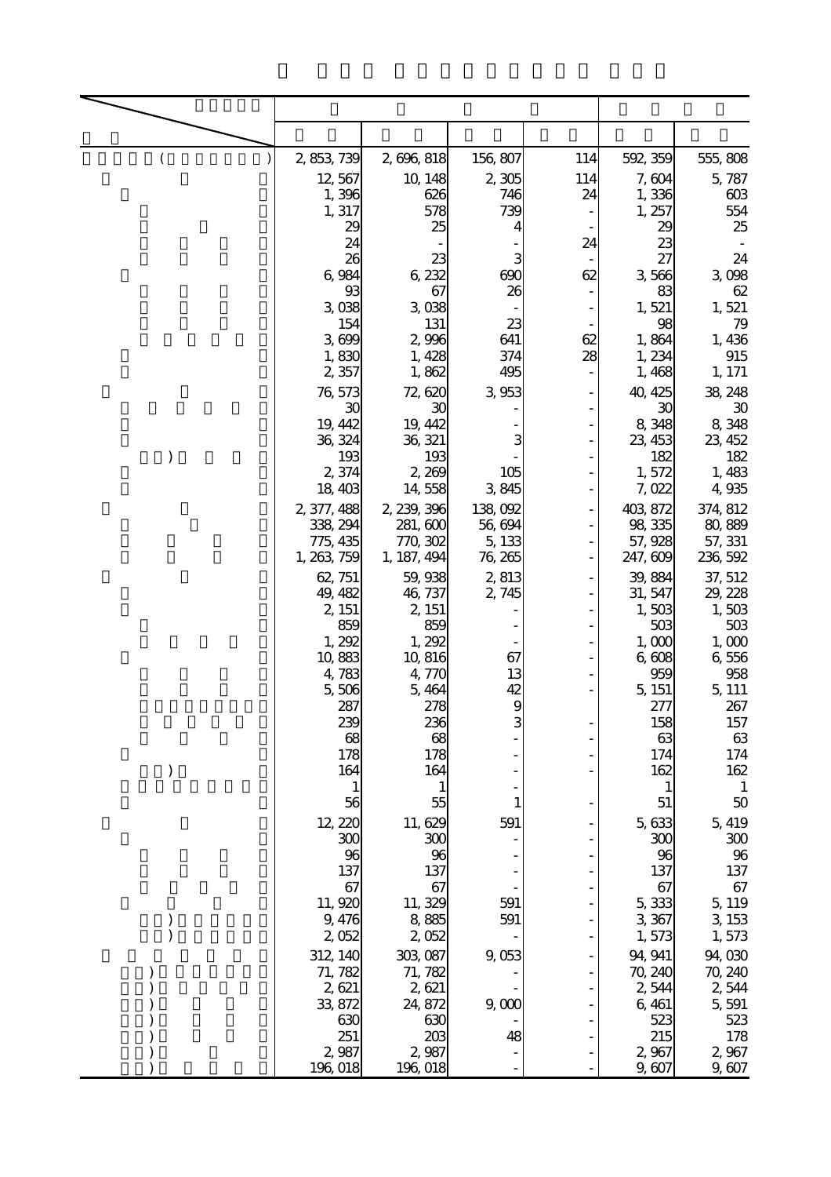| ( | 2, 853, 739          | 2,696,818           | 156, 807         | 114 | 592, 359           | 555,808             |
|---|----------------------|---------------------|------------------|-----|--------------------|---------------------|
|   | 12,567               | 10, 148             | 2,305            | 114 | 7,604              | 5,787               |
|   | 1,396                | 626                 | 746              | 24  | 1,336              | 603                 |
|   | 1, 317<br>29         | 578<br>25           | 739<br>4         |     | 1,257<br>29        | 554<br>25           |
|   | 24                   |                     |                  | 24  | 23                 |                     |
|   | 26<br>6,984          | 23<br>6,232         | 3<br>690         | 62  | 27<br>3,566        | 24<br>3,098         |
|   | 93                   | 67                  | 26               |     | 83                 | 62                  |
|   | 3,038                | 3,038               |                  |     | 1,521              | 1,521               |
|   | 154<br>3,699         | 131<br>2,996        | 23<br>641        | 62  | 98<br>1,864        | 79<br>1,436         |
|   | 1,830                | 1,428               | 374              | 28  | 1, 234             | 915                 |
|   | 2,357                | 1,862               | 495              |     | 1,468              | 1, 171              |
|   | 76, 573<br>30        | 72,620<br>30        | 3,953            |     | 40, 425<br>30      | 38, 248<br>$30\,$   |
|   | 19, 442              | 19, 442             |                  |     | 8,348              | 8,348               |
|   | 36, 324              | 36, 321             | 3                |     | 23, 453            | 23, 452             |
|   | 193<br>2,374         | 193<br>2,269        | 105              |     | 182<br>1,572       | 182<br>1,483        |
|   | 18,403               | 14,558              | 3,845            |     | 7,022              | 4,935               |
|   | 2, 377, 488          | 2, 239, 396         | 138,092          |     | 403, 872           | 374, 812            |
|   | 338, 294<br>775, 435 | 281,600<br>770, 302 | 56,694<br>5, 133 |     | 98, 335<br>57, 928 | 80, 889<br>57, 331  |
|   | 1, 263, 759          | 1, 187, 494         | 76, 265          |     | 247, 609           | 236, 592            |
|   | 62, 751              | 59, 938             | 2813             |     | 39,884             | 37, 512             |
|   | 49, 482              | 46, 737             | 2,745            |     | 31, 547            | 29, 228             |
|   | 2, 151<br>859        | 2, 151<br>859       |                  |     | 1,503<br>503       | 1,503<br>503        |
|   | 1, 292               | 1,292               |                  |     | 1,000              | 1,000               |
|   | 10,883<br>4,783      | 10,816<br>4,770     | 67<br>13         |     | 6,608<br>959       | 6,556<br>958        |
|   | 5,506                | 5,464               | 42               |     | 5, 151             | 5, 111              |
|   | 287                  | 278                 | 9                |     | 277                | 267                 |
|   | 239<br>68            | 236<br>68           | 3                |     | 158<br>63          | $157\,$<br>63       |
|   | 178                  | 178                 |                  |     | 174                | 174                 |
|   | 164                  | 164                 |                  |     | 162                | 162<br>$\mathbf{1}$ |
|   | 56                   | 55                  |                  |     | 51                 | $50\,$              |
|   | 12, 220              | 11, 629             | 591              |     | 5, 633             | 5, 419              |
|   | 300                  | 300                 |                  |     | 300                | 300                 |
|   | 96<br>137            | 96<br>137           |                  |     | 96<br>137          | 96<br>137           |
|   | 67                   | 67                  |                  |     | 67                 | 67                  |
|   | 11, 920<br>9,476     | 11, 329<br>8,885    | 591<br>591       |     | 5,333<br>3, 367    | 5, 119<br>3, 153    |
|   | 2,052                | 2,052               |                  |     | 1,573              | 1,573               |
|   | 312, 140             | 303, 087            | 9,053            |     | 94, 941            | 94,030              |
|   | 71, 782              | 71, 782<br>2,621    |                  |     | 70, 240<br>2544    | 70, 240             |
|   | 2,621<br>33, 872     | 24, 872             | 9,000            |     | 6, 461             | 2,544<br>5,591      |
|   | 630                  | 630                 |                  |     | 523                | 523                 |
|   | 251<br>2,987         | 203<br>2,987        | 48               |     | 215<br>2,967       | 178<br>2,967        |
|   | 196, 018             | 196,018             |                  |     | 9,607              | 9,607               |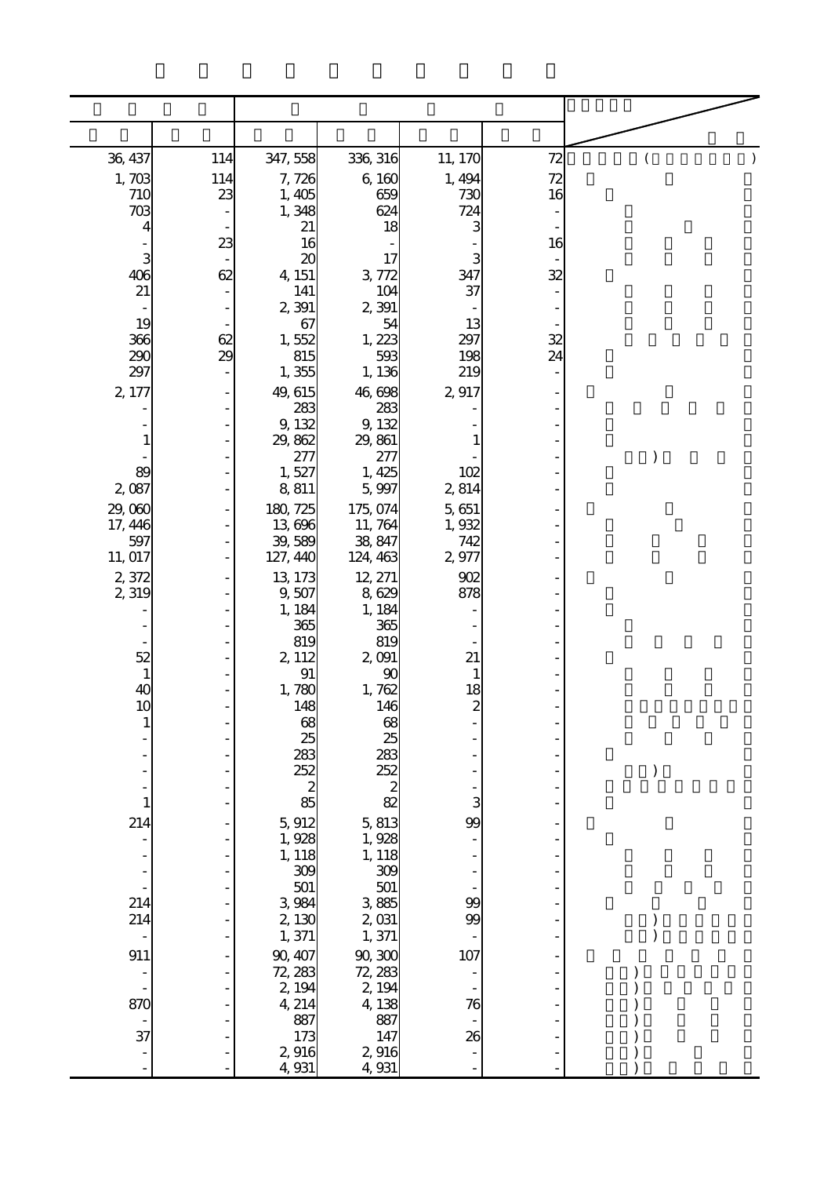| 36, 437                                      | 114 | 347,558            | 336, 316               | 11, 170        | 72 | (             |
|----------------------------------------------|-----|--------------------|------------------------|----------------|----|---------------|
| 1,703                                        | 114 | 7,726              | 6,160                  | 1, 494         | 72 |               |
| 710                                          | 23  | 1,405              | 659                    | 730            | 16 |               |
| 703<br>4                                     |     | 1,348<br>21        | 624<br>18              | 724<br>3       |    |               |
|                                              | 23  | 16                 |                        |                | 16 |               |
| $\begin{array}{c}\n 3 \\  406\n \end{array}$ | 62  | 20<br>4, 151       | 17<br>3,772            | З<br>347       | 32 |               |
| 21                                           |     | 141                | 104                    | 37             |    |               |
| 19                                           |     | 2,391<br>67        | 2,391<br>54            | 13             |    |               |
| 366                                          | 62  | 1,552              | 1,223                  | 297            | 32 |               |
| 290                                          | 29  | 815                | 593                    | 198            | 24 |               |
| 297<br>2, 177                                |     | 1,355<br>49, 615   | 1, 136<br>46,698       | 219<br>2917    |    |               |
|                                              |     | 283                | 283                    |                |    |               |
|                                              |     | 9, 132             | 9,132                  |                |    |               |
|                                              |     | 29,862<br>277      | 29, 861<br>277         |                |    | $\mathcal{E}$ |
| 89                                           |     | 1,527              | 1, 425                 | 102            |    |               |
| 2,087                                        |     | 8,811              | 5,997                  | 2,814          |    |               |
| 29,060<br>17, 446                            |     | 180, 725<br>13,696 | 175, 074<br>11,764     | 5,651<br>1,932 |    |               |
| 597                                          |     | 39,589             | 38, 847                | 742            |    |               |
| 11, 017                                      |     | 127, 440           | 124, 463               | 2,977          |    |               |
| 2,372<br>2,319                               |     | 13, 173<br>9,507   | 12, 271<br>8,629       | 902<br>878     |    |               |
|                                              |     | 1, 184             | 1,184                  |                |    |               |
|                                              |     | 365<br>819         | 365<br>819             |                |    |               |
| 52                                           |     | 2, 112             | 2,091                  | 21             |    |               |
| $\mathbf{1}$<br>40                           |     | 91<br>1,780        | 90<br>1,762            |                |    |               |
| 10                                           |     | 148                | 146                    | $\frac{18}{2}$ |    |               |
|                                              |     | $\frac{68}{25}$    | 68                     |                |    |               |
|                                              |     |                    | 25                     |                |    |               |
|                                              |     | 283<br>252         | 283<br>252             |                |    |               |
|                                              |     | 85                 | $\boldsymbol{z}$<br>82 |                |    |               |
| 214                                          |     | 5,912              | 5,813                  | 99             |    |               |
|                                              |     | 1,928              | 1,928                  |                |    |               |
|                                              |     | 1, 118<br>309      | 1, 118<br>309          |                |    |               |
|                                              |     | 501                | 501                    |                |    |               |
| 214<br>214                                   |     | 3,984<br>2,130     | 3,885<br>$2\,031$      | 99<br>99       |    |               |
|                                              |     | 1,371              | 1,371                  |                |    |               |
| 911                                          |     | 90, 407            | 90,300                 | 107            |    |               |
|                                              |     | 72, 283<br>2, 194  | 72, 283<br>2, 194      |                |    |               |
| 870                                          |     | 4, 214             | 4,138                  | 76             |    |               |
| 37                                           |     | 887                | 887                    |                |    |               |
|                                              |     | 173<br>2916        | 147<br>2,916           | 26             |    |               |
|                                              |     | 4, 931             | 4,931                  |                |    |               |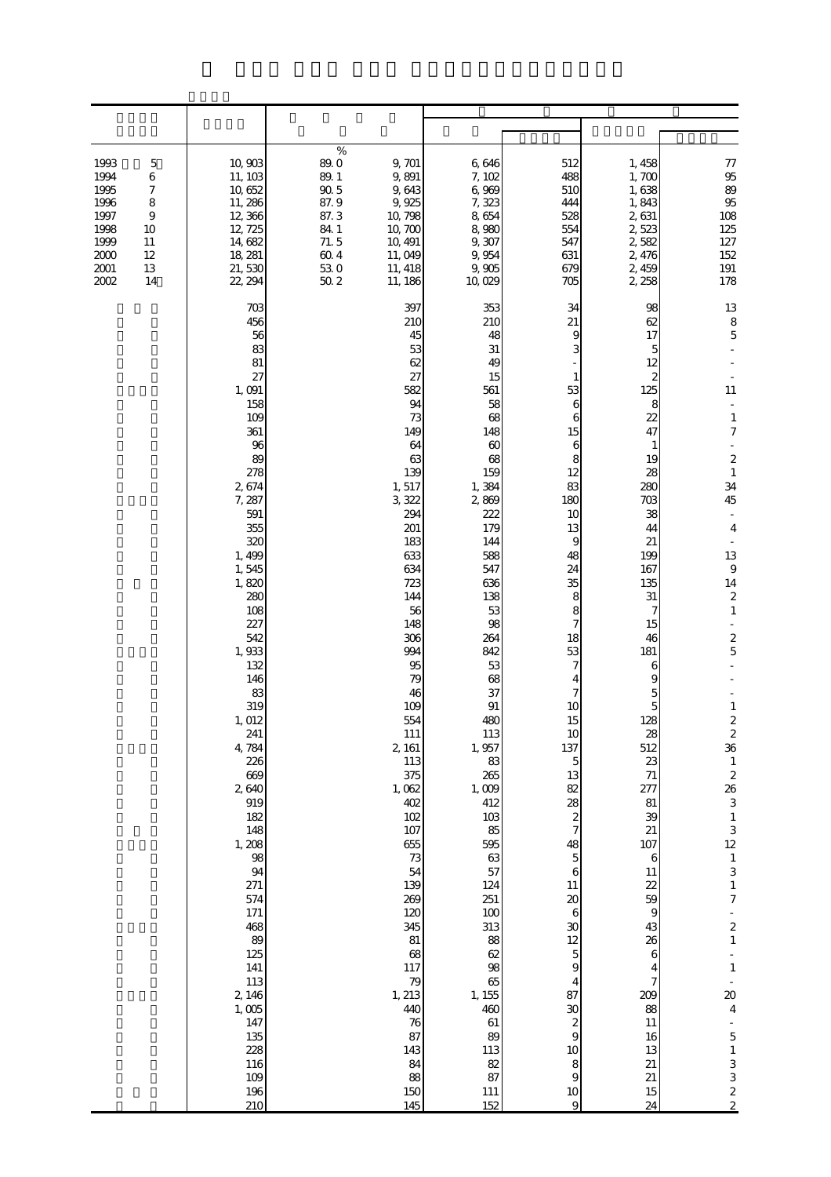| 1993<br>5<br>1994<br>$\,$ 6 $\,$<br>1995<br>7<br>1996<br>8<br>1997<br>9<br>1998<br>10<br>1999<br>11<br>2000<br>12<br>2001<br>13<br>2002<br>14 | 10,903<br>11, 103<br>10,652<br>11,286<br>12,366<br>12, 725<br>14,682<br>18, 281<br>21,530<br>22, 294                                                                                                                                                                                                                                                                                                                                             | %<br>89.0<br>9, 701<br>89.1<br>9,891<br>$90\,5$<br>9,643<br>87.9<br>9,925<br>87.3<br>10, 798<br>84 1<br>10,700<br>71.5<br>10, 491<br>60.4<br>11,049<br>530<br>11, 418<br>502<br>11, 186                                                                                                                                                                                                                                               | 6,646<br>7,102<br>6,969<br>7,323<br>8,654<br>8,980<br>9,307<br>9,954<br>9,905<br>10,029                                                                                                                                                                                                                                                                                                                   | 512<br>488<br>510<br>444<br>528<br>554<br>547<br>631<br>679<br>705                                                                                                                                                                                                                                                                                                                                                                                          | 1, 458<br>1,700<br>1,638<br>1,843<br>2,631<br>2,523<br>2,582<br>2,476<br>2,459<br>2,258                                                                                                                                                                                                                                                                                                                            | 77<br>95<br>89<br>95<br>108<br>125<br>127<br>152<br>191<br>178                                                                                                                                                                                                                                                                                                                                                                                                                                                                                                                                                                     |
|-----------------------------------------------------------------------------------------------------------------------------------------------|--------------------------------------------------------------------------------------------------------------------------------------------------------------------------------------------------------------------------------------------------------------------------------------------------------------------------------------------------------------------------------------------------------------------------------------------------|---------------------------------------------------------------------------------------------------------------------------------------------------------------------------------------------------------------------------------------------------------------------------------------------------------------------------------------------------------------------------------------------------------------------------------------|-----------------------------------------------------------------------------------------------------------------------------------------------------------------------------------------------------------------------------------------------------------------------------------------------------------------------------------------------------------------------------------------------------------|-------------------------------------------------------------------------------------------------------------------------------------------------------------------------------------------------------------------------------------------------------------------------------------------------------------------------------------------------------------------------------------------------------------------------------------------------------------|--------------------------------------------------------------------------------------------------------------------------------------------------------------------------------------------------------------------------------------------------------------------------------------------------------------------------------------------------------------------------------------------------------------------|------------------------------------------------------------------------------------------------------------------------------------------------------------------------------------------------------------------------------------------------------------------------------------------------------------------------------------------------------------------------------------------------------------------------------------------------------------------------------------------------------------------------------------------------------------------------------------------------------------------------------------|
|                                                                                                                                               | 703<br>456<br>56<br>83<br>81<br>27<br>1,091<br>158<br>109<br>361<br>96<br>89<br>278<br>2674<br>7,287<br>591<br>355<br>320<br>1,499<br>1,545<br>1,820<br>280<br>108<br>227<br>542<br>1,933<br>132<br>146<br>83<br>319<br>1, 012<br>241<br>4,784<br>226<br>669<br>2,640<br>919<br>182<br>148<br>1,208<br>98<br>94<br>271<br>574<br>171<br>468<br>89<br>125<br>$141\,$<br>113<br>2, 146<br>$1,005$<br>147<br>135<br>228<br>116<br>109<br>196<br>210 | 397<br>210<br>45<br>53<br>62<br>27<br>582<br>94<br>73<br>149<br>64<br>63<br>139<br>1,517<br>3,322<br>294<br>201<br>183<br>633<br>634<br>723<br>144<br>56<br>148<br>306<br>994<br>95<br>79<br>46<br>109<br>554<br>$111\,$<br>2, 161<br>113<br>375<br>1,062<br>402<br>$102$<br>107<br>655<br>$7\!$<br>54<br>139<br>269<br>120<br>345<br>$81\,$<br>68<br>117<br>79<br>1, 213<br>440<br>$76\,$<br>87<br>143<br>84<br>88<br>$150\,$<br>145 | 353<br>210<br>48<br>31<br>49<br>15<br>561<br>58<br>68<br>148<br>60<br>68<br>159<br>1,384<br>2869<br>222<br>179<br>144<br>588<br>547<br>636<br>138<br>53<br>98<br>264<br>842<br>53<br>68<br>37<br>91<br>480<br>113<br>1,957<br>83<br>265<br>1,009<br>412<br>103<br>85<br>595<br>63<br>57<br>124<br>251<br>100<br>313<br>88<br>62<br>98<br>65<br>1, 155<br>460<br>61<br>89<br>113<br>82<br>87<br>111<br>152 | 34<br>21<br>9<br>1<br>53<br>6<br>6<br>15<br>6<br>8<br>12<br>83<br>180<br>10<br>13<br>9<br>48<br>24<br>35<br>8<br>8<br>7<br>18<br>53<br>7<br>4<br>7<br>10<br>15<br>10<br>137<br>$\mathbf 5$<br>13<br>82<br>28<br>$\boldsymbol{2}$<br>$\tau$<br>48<br>$\mathbf 5$<br>6<br>11<br>$20\,$<br>6<br>30<br>$12\,$<br>$\mathbf 5$<br>$\boldsymbol{9}$<br>4<br>87<br>$\infty$<br>$\boldsymbol{z}$<br>$\boldsymbol{9}$<br>$10\,$<br>$\,$ 8 $\,$<br>$\Theta$<br>10<br>9 | 98<br>62<br>17<br>5<br>12<br>2<br>125<br>8<br>22<br>47<br>1<br>19<br>28<br>280<br>703<br>38<br>44<br>21<br>199<br>167<br>135<br>31<br>7<br>15<br>46<br>181<br>6<br>9<br>5<br>5<br>128<br>28<br>512<br>23<br>$71\,$<br>277<br>81<br>39<br>21<br>107<br>$\boldsymbol{6}$<br>$11\,$<br>22<br>59<br>9<br>43<br>26<br>$\boldsymbol{6}$<br>4<br>7<br>209<br>88<br>$11\,$<br>16<br>13<br>$21\,$<br>$21\,$<br>$15\,$<br>24 | 13<br>8<br>$\mathbf 5$<br>11<br>$\mathbf{1}$<br>7<br>$\boldsymbol{z}$<br>$\mathbf{1}$<br>34<br>45<br>$\overline{a}$<br>4<br>13<br>$\boldsymbol{9}$<br>14<br>2<br>$\mathbf{1}$<br>$\boldsymbol{z}$<br>5<br>$\mathbf{1}$<br>$\overline{\mathcal{Z}}$<br>$\boldsymbol{z}$<br>36<br>$\,$ 1 $\,$<br>$\begin{array}{c} 2 \\ 26 \\ 3 \end{array}$<br>$\,1\,$<br>$\begin{array}{c} 3 \\ 12 \end{array}$<br>$\frac{1}{3}$<br>$\mathbf 1$<br>$\boldsymbol{7}$<br>$\begin{array}{c} 2 \\ 1 \end{array}$<br>$\frac{1}{1}$<br>$\infty$<br>$\overline{4}$<br>$\begin{array}{c} 5 \\ 1 \end{array}$<br>$\begin{array}{c} 3 \\ 2 \\ 2 \end{array}$ |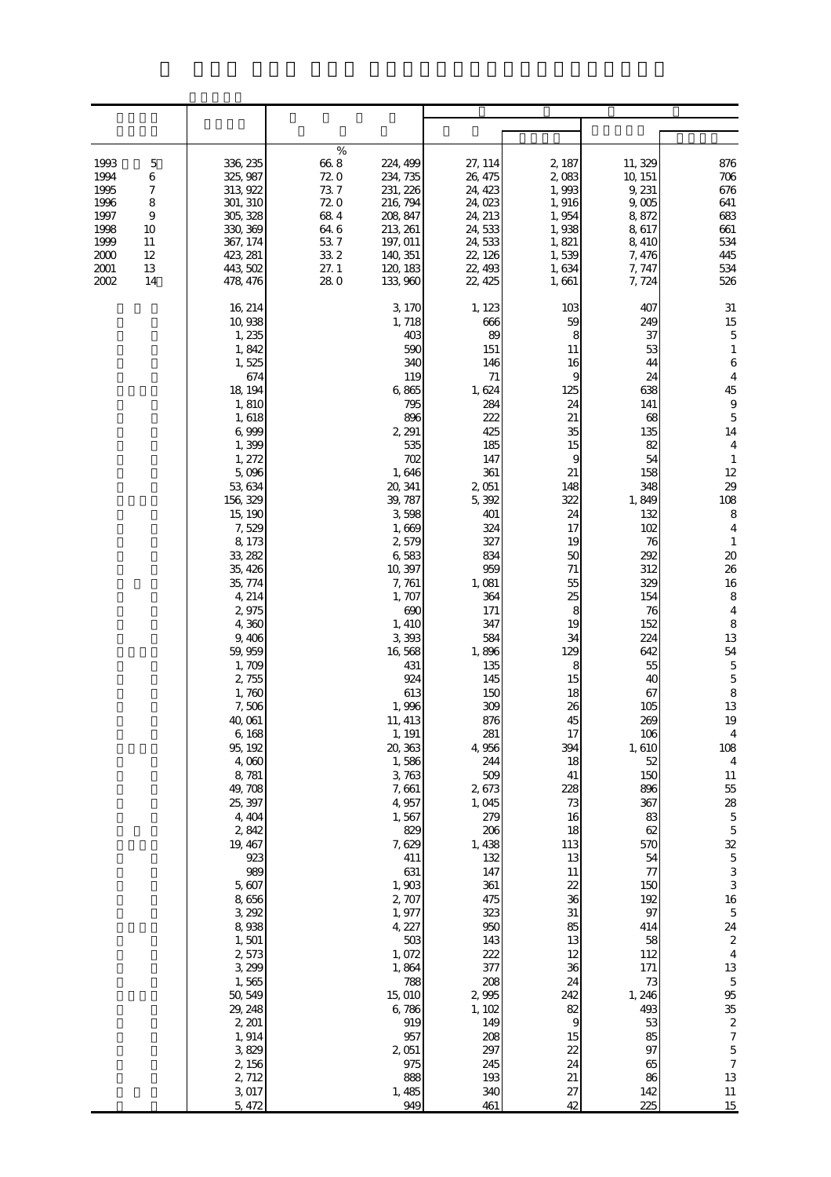| 1993<br>5<br>1994<br>6<br>1995<br>7<br>8<br>1996<br>1997<br>$\overline{9}$<br>1998<br>10<br>1999<br>11<br>2000<br>12<br>2001<br>13<br>2002<br>14 | 336, 235<br>325, 987<br>313, 922<br>301, 310<br>305, 328<br>330, 369<br>367, 174<br>423, 281<br>443, 502<br>478, 476                                                                                                                                                                                                                                                                                                                                                                                                                                                                  | %<br>$66\ 8$<br>72.0<br>73.7<br>72.0<br>684<br>64.6<br>537<br>33 2<br>27.1<br>280 | 224, 499<br>234, 735<br>231, 226<br>216, 794<br>208, 847<br>213, 261<br>197, 011<br>140, 351<br>120, 183<br>133, 960                                                                                                                                                                                                                                                                                                                                                                                                   | 27, 114<br>26, 475<br>24, 423<br>24,023<br>24, 213<br>24, 533<br>24,533<br>22, 126<br>22, 493<br>22, 425                                                                                                                                                                                                                                                                                                                                              | 2, 187<br>2,083<br>1,993<br>1,916<br>1,954<br>1,938<br>1,821<br>1,539<br>1,634<br>1,661                                                                                                                                                                                                                                                                               | 11, 329<br>10, 151<br>9, 231<br>9,005<br>8,872<br>8,617<br>8,410<br>7, 476<br>7, 747<br>7, 724                                                                                                                                                                                                                                                                                                          | 876<br>706<br>676<br>641<br>683<br>661<br>534<br>445<br>534<br>526                                                                                                                                                                                                                                                                                                                                                                                                                                                                                                                                                                                                       |
|--------------------------------------------------------------------------------------------------------------------------------------------------|---------------------------------------------------------------------------------------------------------------------------------------------------------------------------------------------------------------------------------------------------------------------------------------------------------------------------------------------------------------------------------------------------------------------------------------------------------------------------------------------------------------------------------------------------------------------------------------|-----------------------------------------------------------------------------------|------------------------------------------------------------------------------------------------------------------------------------------------------------------------------------------------------------------------------------------------------------------------------------------------------------------------------------------------------------------------------------------------------------------------------------------------------------------------------------------------------------------------|-------------------------------------------------------------------------------------------------------------------------------------------------------------------------------------------------------------------------------------------------------------------------------------------------------------------------------------------------------------------------------------------------------------------------------------------------------|-----------------------------------------------------------------------------------------------------------------------------------------------------------------------------------------------------------------------------------------------------------------------------------------------------------------------------------------------------------------------|---------------------------------------------------------------------------------------------------------------------------------------------------------------------------------------------------------------------------------------------------------------------------------------------------------------------------------------------------------------------------------------------------------|--------------------------------------------------------------------------------------------------------------------------------------------------------------------------------------------------------------------------------------------------------------------------------------------------------------------------------------------------------------------------------------------------------------------------------------------------------------------------------------------------------------------------------------------------------------------------------------------------------------------------------------------------------------------------|
|                                                                                                                                                  | 16, 214<br>10,938<br>1,235<br>1,842<br>1,525<br>674<br>18, 194<br>1,810<br>1,618<br>6,999<br>1,399<br>1, 272<br>5,096<br>53, 634<br>156, 329<br>15, 190<br>7,529<br>8, 173<br>33, 282<br>35, 426<br>35, 774<br>4, 214<br>2,975<br>4,360<br>9,406<br>59, 959<br>1,709<br>2,755<br>1,760<br>7,506<br>40,061<br>6,168<br>95, 192<br>4,000<br>8,781<br>49, 708<br>25, 397<br>4, 404<br>2,842<br>19, 467<br>923<br>989<br>5,607<br>8,656<br>3, 292<br>8,938<br>1,501<br>2,573<br>3, 299<br>1,565<br>50, 549<br>29, 248<br>2, 201<br>1, 914<br>3,829<br>2, 156<br>2, 712<br>3,017<br>5, 472 |                                                                                   | 3, 170<br>1,718<br>403<br>590<br>340<br>119<br>6,865<br>795<br>896<br>2, 291<br>535<br>702<br>1,646<br>20, 341<br>39, 787<br>3,598<br>1,669<br>2,579<br>6,583<br>10,397<br>7,761<br>1,707<br>690<br>1, 410<br>3,393<br>16,568<br>431<br>924<br>613<br>1,996<br>11, 413<br>1, 191<br>20, 363<br>1,586<br>3,763<br>7,661<br>4,957<br>1,567<br>829<br>7,629<br>411<br>631<br>1,903<br>2, 707<br>1,977<br>4, 227<br>$503$<br>1,072<br>1,864<br>788<br>15,010<br>6,786<br>919<br>957<br>2,051<br>975<br>888<br>1,485<br>949 | 1, 123<br>666<br>89<br>151<br>146<br>$71\,$<br>1, 624<br>284<br>222<br>425<br>185<br>147<br>361<br>2,051<br>5,392<br>401<br>324<br>327<br>834<br>959<br>1,081<br>364<br>171<br>347<br>584<br>1,896<br>135<br>145<br>150<br>309<br>876<br>281<br>4,956<br>244<br>509<br>2,673<br>1,045<br>279<br>206<br>1,438<br>132<br>147<br>361<br>475<br>323<br>950<br>143<br>222<br>377<br>208<br>2995<br>1, 102<br>149<br>208<br>297<br>245<br>193<br>340<br>461 | 103<br>59<br>8<br>11<br>16<br>9<br>125<br>24<br>21<br>35<br>15<br>9<br>21<br>148<br>322<br>24<br>17<br>19<br>50<br>71<br>55<br>25<br>8<br>19<br>34<br>129<br>8<br>15<br>18<br>26<br>45<br>17<br>394<br>18<br>41<br>228<br>73<br>16<br>18<br>113<br>13<br>11<br>22<br>36<br>$31\,$<br>85<br>13<br>12<br>36<br>24<br>242<br>82<br>9<br>15<br>22<br>24<br>21<br>27<br>42 | 407<br>249<br>37<br>53<br>44<br>24<br>638<br>141<br>68<br>135<br>82<br>54<br>158<br>348<br>1,849<br>132<br>102<br>76<br>292<br>312<br>329<br>154<br>76<br>152<br>224<br>642<br>55<br>40<br>67<br>105<br>269<br>106<br>1,610<br>52<br>150<br>896<br>367<br>83<br>62<br>570<br>54<br>77<br>150<br>192<br>97<br>414<br>58<br>112<br>171<br>73<br>1, 246<br>493<br>53<br>85<br>97<br>65<br>86<br>142<br>225 | 31<br>15<br>$\mathbf 5$<br>$\mathbf{1}$<br>$\,6$<br>$\overline{4}$<br>45<br>$\,9$<br>$\overline{5}$<br>14<br>$\overline{4}$<br>$\mathbf{1}$<br>12<br>29<br>108<br>$\,8\,$<br>$\overline{4}$<br>$\mathbf{1}$<br>$20\,$<br>26<br>16<br>8<br>$\overline{4}$<br>$\,8\,$<br>13<br>54<br>$\mathbf 5$<br>$\overline{5}$<br>8<br>13<br>19<br>$\overline{4}$<br>108<br>$\overline{4}$<br>11<br>$5\!$<br>28<br>$\mathbf 5$<br>$\mathbf 5$<br>32<br>$\mathbf 5$<br>3<br>3<br>$16\,$<br>$\mathbf 5$<br>24<br>$\boldsymbol{2}$<br>$\overline{4}$<br>13<br>$\mathbf 5$<br>95<br>35<br>$\boldsymbol{z}$<br>$\boldsymbol{7}$<br>$\overline{5}$<br>$\boldsymbol{7}$<br>13<br>$11\,$<br>15 |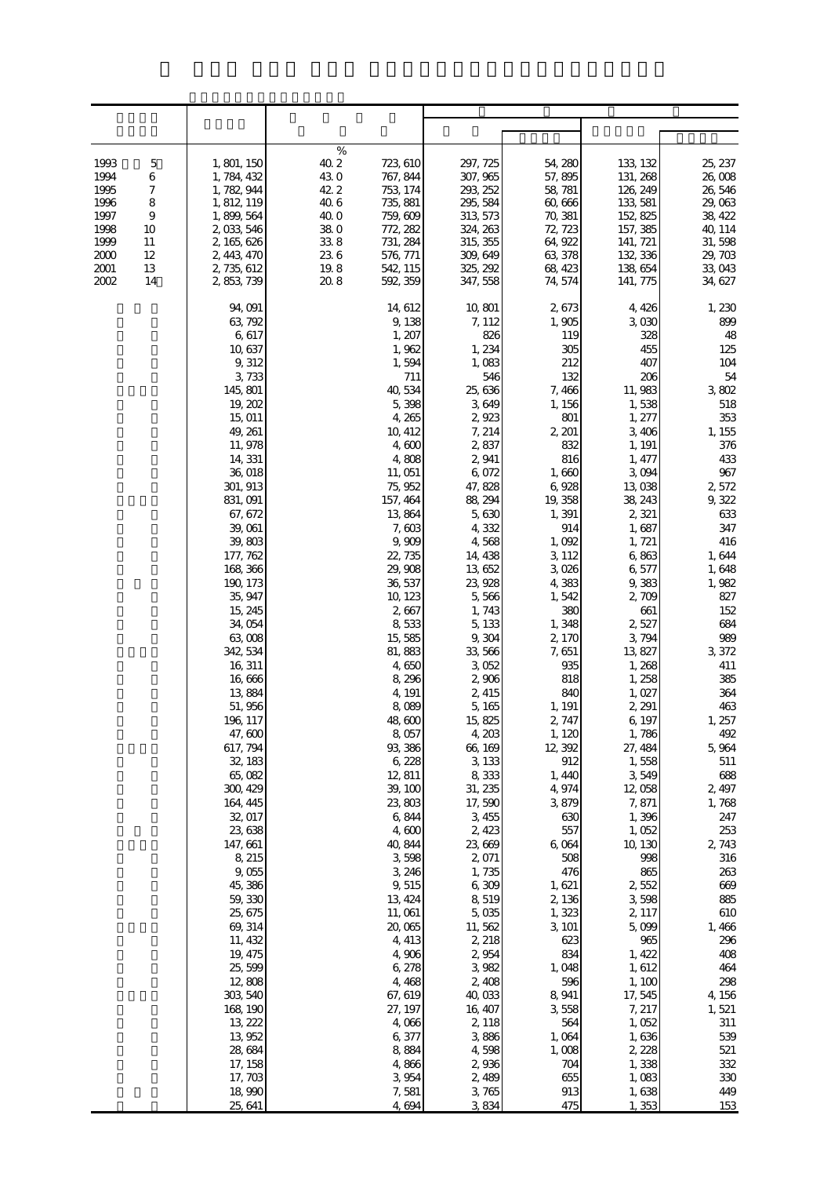| 1993<br>$\mathbf 5$<br>1994<br>6<br>1995<br>7<br>8<br>1996<br>1997<br>$\overline{9}$<br>1998<br>10<br>1999<br>11<br>2000<br>12<br>2001<br>13<br>2002<br>14 | 1, 801, 150<br>1, 784, 432<br>1, 782, 944<br>1, 812, 119<br>1, 899, 564<br>2,033,546<br>2, 165, 626<br>2, 443, 470<br>2, 735, 612<br>2, 853, 739                                                                                                                                                                                                                                                                                                                                                                                                                                                                                                     | %<br>40.2<br>723, 610<br>43.0<br>767, 844<br>42.2<br>753 174<br>40.6<br>735, 881<br>40.0<br>759, 609<br>$38\;0$<br>772, 282<br>33.8<br>731, 284<br>236<br>576, 771<br>19.8<br>542, 115<br>20.8<br>592, 359                                                                                                                                                                                                                                                                                                                                                                                  | 297, 725<br>307, 965<br>293, 252<br>295, 584<br>313, 573<br>324, 263<br>315, 355<br>309, 649<br>325, 292<br>347, 558                                                                                                                                                                                                                                                                                                                                                                                                                                                    | 54, 280<br>57,895<br>58, 781<br>60,666<br>70, 381<br>72, 723<br>64, 922<br>63, 378<br>68, 423<br>74, 574                                                                                                                                                                                                                                                                                                                                                                                                  | 133, 132<br>131, 268<br>126, 249<br>133, 581<br>152, 825<br>157, 385<br>141, 721<br>132, 336<br>138,654<br>141, 775                                                                                                                                                                                                                                                                                                                                                                                                                                        | 25, 237<br>26,008<br>26,546<br>29,063<br>38, 422<br>40, 114<br>31,598<br>29, 703<br>33,043<br>34, 627                                                                                                                                                                                                                                                                                                                                                         |
|------------------------------------------------------------------------------------------------------------------------------------------------------------|------------------------------------------------------------------------------------------------------------------------------------------------------------------------------------------------------------------------------------------------------------------------------------------------------------------------------------------------------------------------------------------------------------------------------------------------------------------------------------------------------------------------------------------------------------------------------------------------------------------------------------------------------|---------------------------------------------------------------------------------------------------------------------------------------------------------------------------------------------------------------------------------------------------------------------------------------------------------------------------------------------------------------------------------------------------------------------------------------------------------------------------------------------------------------------------------------------------------------------------------------------|-------------------------------------------------------------------------------------------------------------------------------------------------------------------------------------------------------------------------------------------------------------------------------------------------------------------------------------------------------------------------------------------------------------------------------------------------------------------------------------------------------------------------------------------------------------------------|-----------------------------------------------------------------------------------------------------------------------------------------------------------------------------------------------------------------------------------------------------------------------------------------------------------------------------------------------------------------------------------------------------------------------------------------------------------------------------------------------------------|------------------------------------------------------------------------------------------------------------------------------------------------------------------------------------------------------------------------------------------------------------------------------------------------------------------------------------------------------------------------------------------------------------------------------------------------------------------------------------------------------------------------------------------------------------|---------------------------------------------------------------------------------------------------------------------------------------------------------------------------------------------------------------------------------------------------------------------------------------------------------------------------------------------------------------------------------------------------------------------------------------------------------------|
|                                                                                                                                                            | 94,091<br>63, 792<br>6,617<br>10,637<br>9,312<br>3,733<br>145,801<br>19, 202<br>15, 011<br>49, 261<br>11, 978<br>14, 331<br>36,018<br>301, 913<br>831,091<br>67, 672<br>39,061<br>39,803<br>177, 762<br>168, 366<br>190, 173<br>35, 947<br>15, 245<br>34,054<br>63,008<br>342, 534<br>16, 311<br>16,666<br>13 884<br>51,956<br>196, 117<br>47,600<br>617, 794<br>32, 183<br>65,082<br>300, 429<br>164, 445<br>32, 017<br>23,638<br>147, 661<br>8, 215<br>9,055<br>45,386<br>59, 330<br>25, 675<br>69, 314<br>11, 432<br>19, 475<br>25,599<br>12,808<br>303, 540<br>168, 190<br>13, 222<br>13,952<br>28,684<br>17, 158<br>17,703<br>18,990<br>25, 641 | 14, 612<br>9,138<br>1, 207<br>1,962<br>1,594<br>711<br>40,534<br>5,398<br>4,265<br>10, 412<br>4,600<br>4,808<br>11, 051<br>75, 952<br>157, 464<br>13,864<br>7,603<br>9,909<br>22, 735<br>29, 908<br>36, 537<br>10, 123<br>2,667<br>8,533<br>15,585<br>81,883<br>4,650<br>8,296<br>4, 191<br>8,089<br>48,600<br>8,057<br>93, 386<br>6,228<br>12, 811<br>39, 100<br>23,803<br>6,844<br>4,600<br>40, 844<br>3,598<br>3, 246<br>9,515<br>13, 424<br>11, 061<br>20,065<br>4, 413<br>4,906<br>6,278<br>4,468<br>67, 619<br>27, 197<br>4,066<br>6,377<br>8,884<br>4,866<br>3,954<br>7,581<br>4,694 | 10,801<br>7, 112<br>826<br>1,234<br>1,083<br>546<br>25, 636<br>3649<br>2,923<br>7, 214<br>2,837<br>2,941<br>6,072<br>47,828<br>88, 294<br>5,630<br>4,332<br>4,568<br>14, 438<br>13,652<br>23, 928<br>5,566<br>1,743<br>5,133<br>9,304<br>33,566<br>3,052<br>2,906<br>2, 415<br>5,165<br>15,825<br>4,203<br>66, 169<br>3,133<br>8,333<br>31, 235<br>17,590<br>3,455<br>2, 423<br>23,669<br>2,071<br>1,735<br>6,309<br>8,519<br>5,035<br>11,562<br>2, 218<br>2,954<br>3,982<br>2,408<br>40,033<br>16, 407<br>2, 118<br>3,886<br>4,598<br>2,936<br>2,489<br>3,765<br>3,834 | 2,673<br>1,905<br>119<br>305<br>212<br>132<br>7,466<br>1, 156<br>801<br>2, 201<br>832<br>816<br>1,660<br>6,928<br>19, 358<br>1,391<br>914<br>1,092<br>3, 112<br>3,026<br>4,383<br>1,542<br>380<br>1,348<br>2,170<br>7,651<br>935<br>818<br>840<br>1, 191<br>2, 747<br>1, 120<br>12, 392<br>912<br>1,440<br>4,974<br>3,879<br>630<br>557<br>6,064<br>508<br>476<br>1,621<br>2,136<br>1,323<br>3, 101<br>623<br>834<br>1,048<br>596<br>8, 941<br>3,558<br>564<br>1,064<br>1,008<br>704<br>655<br>913<br>475 | 4, 426<br>3,030<br>328<br>455<br>407<br>206<br>11, 983<br>1,538<br>1, 277<br>3 40 6<br>1, 191<br>1, 477<br>3,094<br>13,038<br>38, 243<br>2,321<br>1,687<br>1, 721<br>6,863<br>6,577<br>9,383<br>2,709<br>661<br>2,527<br>3,794<br>13, 827<br>1,268<br>1, 258<br>1,027<br>2, 291<br>6, 197<br>1,786<br>27, 484<br>1,558<br>3,549<br>12,058<br>7,871<br>1,396<br>1,052<br>10, 130<br>998<br>865<br>2,552<br>3,598<br>2, 117<br>5,099<br>965<br>1, 422<br>1,612<br>1, 100<br>17,545<br>7, 217<br>1,052<br>1,636<br>2, 228<br>1,338<br>1,083<br>1,638<br>1,353 | 1,230<br>899<br>48<br>125<br>104<br>54<br>3,802<br>518<br>353<br>1, 155<br>376<br>433<br>967<br>2572<br>9,322<br>633<br>347<br>416<br>1,644<br>1,648<br>1,982<br>827<br>152<br>684<br>989<br>3,372<br>411<br>385<br>364<br>463<br>1, 257<br>492<br>5,964<br>511<br>688<br>2, 497<br>1,768<br>247<br>253<br>2, 743<br>316<br>263<br>669<br>885<br>610<br>1,466<br>296<br>408<br>464<br>298<br>4, 156<br>1,521<br>311<br>539<br>521<br>332<br>330<br>449<br>153 |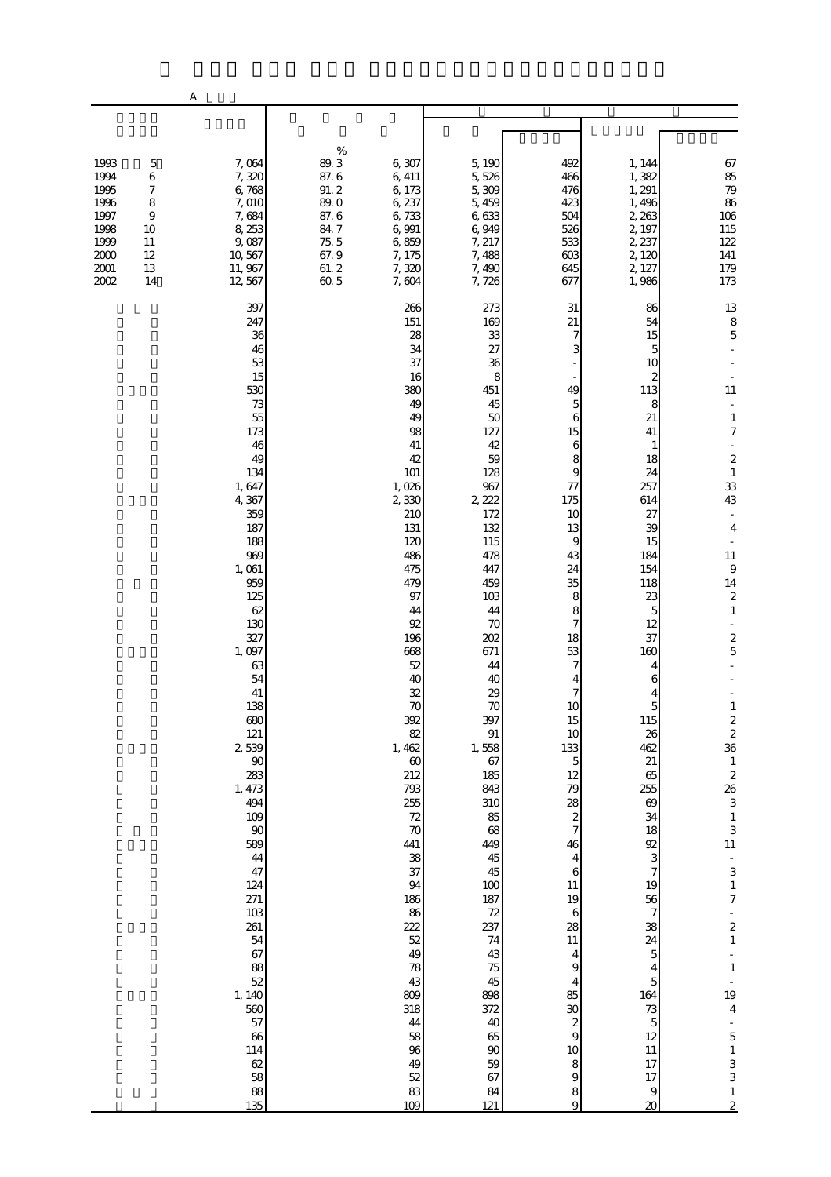|                                                                              |                                                                                                 | А                                                                                                                                                                                                                                                                                                                                                                                                                          |                                                                                     |                                                                                                                                                                                                                                                                                                                                                                                                      |                                                                                                                                                                                                                                                                                                                                                                                                         |                                                                                                                                                                                                                                                                                                                                                                                                                                                 |                                                                                                                                                                                                                                                                                                                                                                                                                                                                            |                                                                                                                                                                                                                                                                                                                                                                                                                                                                                                                                                                                             |
|------------------------------------------------------------------------------|-------------------------------------------------------------------------------------------------|----------------------------------------------------------------------------------------------------------------------------------------------------------------------------------------------------------------------------------------------------------------------------------------------------------------------------------------------------------------------------------------------------------------------------|-------------------------------------------------------------------------------------|------------------------------------------------------------------------------------------------------------------------------------------------------------------------------------------------------------------------------------------------------------------------------------------------------------------------------------------------------------------------------------------------------|---------------------------------------------------------------------------------------------------------------------------------------------------------------------------------------------------------------------------------------------------------------------------------------------------------------------------------------------------------------------------------------------------------|-------------------------------------------------------------------------------------------------------------------------------------------------------------------------------------------------------------------------------------------------------------------------------------------------------------------------------------------------------------------------------------------------------------------------------------------------|----------------------------------------------------------------------------------------------------------------------------------------------------------------------------------------------------------------------------------------------------------------------------------------------------------------------------------------------------------------------------------------------------------------------------------------------------------------------------|---------------------------------------------------------------------------------------------------------------------------------------------------------------------------------------------------------------------------------------------------------------------------------------------------------------------------------------------------------------------------------------------------------------------------------------------------------------------------------------------------------------------------------------------------------------------------------------------|
|                                                                              |                                                                                                 |                                                                                                                                                                                                                                                                                                                                                                                                                            |                                                                                     |                                                                                                                                                                                                                                                                                                                                                                                                      |                                                                                                                                                                                                                                                                                                                                                                                                         |                                                                                                                                                                                                                                                                                                                                                                                                                                                 |                                                                                                                                                                                                                                                                                                                                                                                                                                                                            |                                                                                                                                                                                                                                                                                                                                                                                                                                                                                                                                                                                             |
| 1993<br>1994<br>1995<br>1996<br>1997<br>1998<br>1999<br>2000<br>2001<br>2002 | $\mathbf 5$<br>$\,6$<br>$\boldsymbol{7}$<br>8<br>$\boldsymbol{9}$<br>10<br>11<br>12<br>13<br>14 | 7,064<br>7,320<br>6,768<br>7,010<br>7,684<br>8,253<br>9,087<br>10,567<br>11, 967<br>12,567                                                                                                                                                                                                                                                                                                                                 | $\%$<br>89.3<br>87.6<br>91.2<br>89.0<br>87.6<br>84.7<br>75.5<br>67.9<br>61.2<br>605 | 6,307<br>6, 411<br>6,173<br>6, 237<br>6,733<br>6,991<br>6,859<br>7, 175<br>7,320<br>7,604                                                                                                                                                                                                                                                                                                            | 5,190<br>5,526<br>5,309<br>5,459<br>6,633<br>6,949<br>7, 217<br>7,488<br>7,490<br>7,726                                                                                                                                                                                                                                                                                                                 | 492<br>466<br>476<br>423<br>504<br>526<br>533<br>603<br>645<br>677                                                                                                                                                                                                                                                                                                                                                                              | 1, 144<br>1,382<br>1, 291<br>1,496<br>2, 263<br>2, 197<br>2, 237<br>2, 120<br>2, 127<br>1,986                                                                                                                                                                                                                                                                                                                                                                              | 67<br>85<br>79<br>86<br>$106\,$<br>115<br>$122\,$<br>141<br>179<br>173                                                                                                                                                                                                                                                                                                                                                                                                                                                                                                                      |
|                                                                              |                                                                                                 | 397<br>247<br>36<br>46<br>53<br>15<br>530<br>73<br>55<br>173<br>46<br>49<br>134<br>1,647<br>4,367<br>359<br>187<br>188<br>969<br>1,061<br>959<br>125<br>62<br>130<br>327<br>1,097<br>63<br>54<br>41<br>138<br>680<br>121<br>2539<br>$90\,$<br>283<br>1, 473<br>494<br>109<br>90<br>589<br>44<br>47<br>124<br>271<br>103<br>261<br>54<br>67<br>88<br>52<br>1, 140<br>560<br>57<br>66<br>114<br>62<br>58<br>$\frac{88}{135}$ |                                                                                     | 266<br>151<br>28<br>34<br>37<br>16<br>380<br>49<br>49<br>98<br>41<br>42<br>101<br>1,026<br>2 330<br>210<br>131<br>120<br>486<br>475<br>479<br>97<br>44<br>92<br>196<br>668<br>52<br>40<br>32<br>70<br>392<br>82<br>1, 462<br>60<br>212<br>793<br>255<br>72<br>$\infty$<br>441<br>38<br>37<br>94<br>186<br>86<br>222<br>52<br>49<br>78<br>43<br>809<br>318<br>44<br>58<br>96<br>49<br>52<br>83<br>109 | 273<br>169<br>33<br>27<br>36<br>8<br>451<br>45<br>50<br>127<br>42<br>59<br>128<br>967<br>2, 222<br>172<br>132<br>115<br>478<br>447<br>459<br>103<br>44<br>70<br>202<br>671<br>44<br>40<br>29<br>70<br>397<br>$\, 91$<br>1,558<br>67<br>185<br>843<br>310<br>85<br>68<br>449<br>45<br>45<br>100<br>187<br>72<br>237<br>74<br>43<br>75<br>45<br>898<br>372<br>40<br>65<br>$90\,$<br>59<br>67<br>84<br>121 | 31<br>21<br>7<br>3<br>49<br>5<br>6<br>15<br>6<br>8<br>9<br>77<br>175<br>10<br>13<br>9<br>43<br>24<br>35<br>8<br>8<br>7<br>18<br>53<br>7<br>4<br>7<br>$10\,$<br>15<br>$10$<br>133<br>$\overline{5}$<br>12<br>79<br>28<br>$rac{2}{7}$<br>46<br>4<br>$\,$ 6 $\,$<br>11<br>19<br>$\,6$<br>28<br>11<br>$\overline{\mathbf{4}}$<br>9<br>$\overline{4}$<br>85<br>30<br>$\boldsymbol{z}$<br>$\overline{9}$<br>10<br>$\,$ 8 $\,$<br>$\hbox{9}$<br>8<br>9 | 86<br>54<br>15<br>5<br>10<br>2<br>113<br>8<br>21<br>41<br>1<br>18<br>24<br>257<br>614<br>27<br>39<br>15<br>184<br>154<br>118<br>23<br>5<br>12<br>37<br>160<br>4<br>6<br>4<br>$\overline{\phantom{a}}$<br>115<br>26<br>462<br>21<br>65<br>255<br>$69$<br>34<br>18<br>92<br>3<br>$\boldsymbol{7}$<br>19<br>56<br>$\overline{7}$<br>38<br>24<br>$\overline{5}$<br>$\overline{\mathbf{4}}$<br>$\overline{5}$<br>164<br>73<br>$\overline{5}$<br>12<br>11<br>17<br>17<br>9<br>20 | 13<br>$\begin{array}{c} 8 \\ 5 \end{array}$<br>11<br>÷,<br>$\mathbf{1}$<br>$\boldsymbol{7}$<br>$\boldsymbol{2}$<br>$\,1\,$<br>33<br>43<br>$\bar{a}$<br>$\overline{4}$<br>$11\,$<br>$\boldsymbol{9}$<br>$14\,$<br>$\boldsymbol{2}$<br>$\mathbf{1}$<br>$\frac{2}{5}$<br>÷<br>$\frac{2}{2}$<br>36<br>$\,$ 1<br>$\begin{array}{c} 2 \\ 26 \\ 3 \end{array}$<br>$\frac{1}{3}$<br>11<br>$\frac{1}{3}$<br>$\,1\,$<br>$\boldsymbol{7}$<br>$\begin{array}{c} 2 \\ 1 \end{array}$<br>$\,1\,$<br>19<br>$\overline{4}$<br>$\overline{5}$<br>$\begin{array}{c} 1 \\ 3 \\ 3 \end{array}$<br>$\frac{1}{2}$ |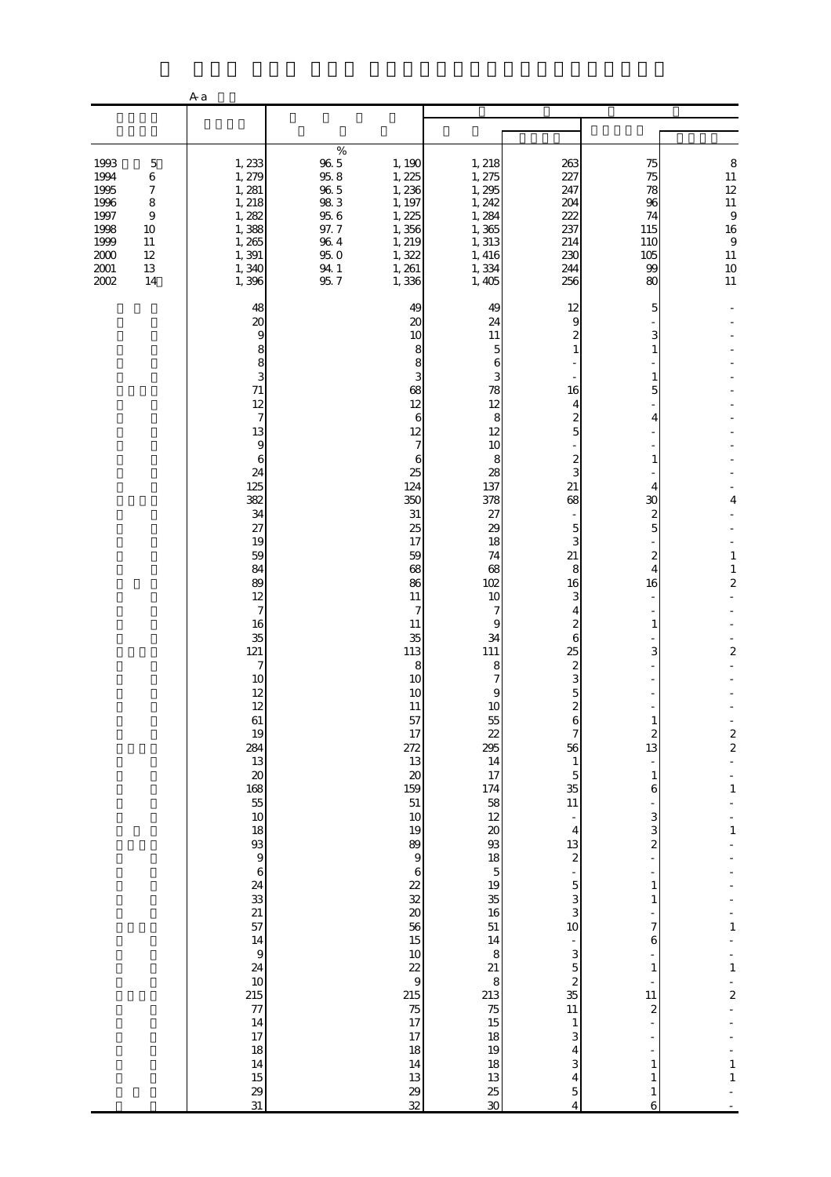|                                                                                |                                                                                     | A a                                                                                                                                                                                                                                                                                                                                                                                                                                                                                          |                                                                                                        |                                                                                                                                                                                                                                                                                                                                                                                                                                                           |                                                                                                                                                                                                                                                                                                                                                                                                                          |                                                                                                                                                                                                                                                                                                                                                                                                                                 |                                                                                                                                                                                                                                                                                                                                                                     |                                                                                                                                                                                               |
|--------------------------------------------------------------------------------|-------------------------------------------------------------------------------------|----------------------------------------------------------------------------------------------------------------------------------------------------------------------------------------------------------------------------------------------------------------------------------------------------------------------------------------------------------------------------------------------------------------------------------------------------------------------------------------------|--------------------------------------------------------------------------------------------------------|-----------------------------------------------------------------------------------------------------------------------------------------------------------------------------------------------------------------------------------------------------------------------------------------------------------------------------------------------------------------------------------------------------------------------------------------------------------|--------------------------------------------------------------------------------------------------------------------------------------------------------------------------------------------------------------------------------------------------------------------------------------------------------------------------------------------------------------------------------------------------------------------------|---------------------------------------------------------------------------------------------------------------------------------------------------------------------------------------------------------------------------------------------------------------------------------------------------------------------------------------------------------------------------------------------------------------------------------|---------------------------------------------------------------------------------------------------------------------------------------------------------------------------------------------------------------------------------------------------------------------------------------------------------------------------------------------------------------------|-----------------------------------------------------------------------------------------------------------------------------------------------------------------------------------------------|
|                                                                                |                                                                                     |                                                                                                                                                                                                                                                                                                                                                                                                                                                                                              |                                                                                                        |                                                                                                                                                                                                                                                                                                                                                                                                                                                           |                                                                                                                                                                                                                                                                                                                                                                                                                          |                                                                                                                                                                                                                                                                                                                                                                                                                                 |                                                                                                                                                                                                                                                                                                                                                                     |                                                                                                                                                                                               |
| 1993<br>1994<br>1995<br>1996<br>1997<br>1998<br>1999<br>$2000$<br>2001<br>2002 | 5<br>6<br>$\boldsymbol{7}$<br>8<br>$\overline{9}$<br>10<br>11<br>12<br>$13\,$<br>14 | 1,233<br>1, 279<br>1, 281<br>1, 218<br>1,282<br>1,388<br>1,265<br>1,391<br>1,340<br>1,396                                                                                                                                                                                                                                                                                                                                                                                                    | $\%$<br>$96\ 5$<br>$95.8$<br>$96\ 5$<br>98.3<br>$95\;6$<br>97.7<br>$96\ 4$<br>$95.0\,$<br>94 1<br>95.7 | 1, 190<br>1, 225<br>1,236<br>1, 197<br>1, 225<br>1,356<br>1, 219<br>1,322<br>1, 261<br>1,336                                                                                                                                                                                                                                                                                                                                                              | 1, 218<br>1, 275<br>1,295<br>1, 242<br>1,284<br>1,365<br>1, 313<br>1, 416<br>1,334<br>1,405                                                                                                                                                                                                                                                                                                                              | 263<br>227<br>247<br>204<br>222<br>237<br>214<br>230<br>244<br>256                                                                                                                                                                                                                                                                                                                                                              | 75<br>75<br>78<br>96<br>74<br>115<br>110<br>105<br>99<br>80                                                                                                                                                                                                                                                                                                         | 8<br>$11\,$<br>12<br>$11\,$<br>$\,9$<br>16<br>$\,9$<br>$11\,$<br>$10$<br>$11$                                                                                                                 |
|                                                                                |                                                                                     | 48<br>20<br>9<br>8<br>8<br>3<br>71<br>12<br>7<br>13<br>9<br>6<br>24<br>125<br>382<br>34<br>27<br>19<br>59<br>84<br>89<br>12<br>7<br>16<br>35<br>121<br>$\tau$<br>10<br>12<br>12<br>61<br>19<br>284<br>13<br>$\pmb{\mathcal{X}}$<br>$\begin{array}{c} 168 \\ 55 \end{array}$<br>$10$<br>18<br>$\begin{array}{c} 93 \\ 9 \end{array}$<br>$\overline{6}$<br>24<br>33<br>21<br>57<br>14<br>$\boldsymbol{9}$<br>24<br>$10$<br>215<br>77<br>$14\,$<br>$17\,$<br>18<br>$14\,$<br>$15\,$<br>29<br>31 |                                                                                                        | 49<br>20<br>10<br>8<br>8<br>3<br>68<br>12<br>6<br>12<br>7<br>6<br>25<br>124<br>350<br>31<br>25<br>17<br>59<br>68<br>86<br>11<br>7<br>11<br>35<br>113<br>8<br>10<br>10<br>11<br>57<br>17<br>272<br>13<br>$20\,$<br>159<br>51<br>10<br>19<br>89<br>$\boldsymbol{9}$<br>$\,6\,$<br>22<br>$\overline{32}$<br>$\boldsymbol{\alpha}$<br>56<br>15<br>$10$<br>22<br>$\boldsymbol{9}$<br>215<br>$75\,$<br>17<br>17<br>$18\,$<br>14<br>13<br>$2\hskip -3pt 9$<br>32 | 49<br>24<br>11<br>5<br>6<br>3<br>78<br>12<br>8<br>12<br>10<br>8<br>28<br>137<br>378<br>27<br>29<br>18<br>74<br>68<br>102<br>10<br>7<br>9<br>34<br>111<br>8<br>7<br>9<br>10<br>55<br>22<br>295<br>14<br>17<br>$\begin{array}{c} 174 \\ 58 \end{array}$<br>12<br>$20\,$<br>93<br>18<br>$\mathbf 5$<br>19<br>$35\,$<br>16<br>51<br>14<br>8<br>$21\,$<br>8<br>213<br>$75\,$<br>15<br>18<br>19<br>18<br>13<br><b>25</b><br>30 | 12<br>9<br>16<br>4<br>2<br>5<br>$\overline{c}$<br>3<br>21<br>68<br>5<br>3<br>21<br>8<br>16<br>3<br>4<br>2<br>6<br>25<br>$\overline{\mathcal{Z}}$<br>3<br>5<br>6<br>7<br>56<br>$\mathbf{1}$<br>$\overline{5}$<br>35<br>$11\,$<br>4<br>13<br>$\boldsymbol{z}$<br>$\overline{5}$<br>3<br>3<br>10<br>$\frac{1}{2}$<br>3<br>$\overline{5}$<br>$\overline{\mathcal{Z}}$<br>35<br>$11\,$<br>$\mathbf{1}$<br>3<br>4<br>3<br>4<br>5<br>4 | 5<br>3<br>1<br>1<br>5<br>4<br>1<br>4<br>30<br>$\overline{\mathcal{Z}}$<br>5<br>$\overline{c}$<br>4<br>16<br>1<br>3<br>1<br>$\boldsymbol{z}$<br>13<br>$\mathbf{1}$<br>$\boldsymbol{6}$<br>3<br>3<br>$\overline{\mathbf{c}}$<br>$\mathbf{1}$<br>$\mathbf{1}$<br>7<br>6<br>$\mathbf{1}$<br>11<br>$\boldsymbol{z}$<br>$\mathbf{1}$<br>$\mathbf{1}$<br>$\mathbf{1}$<br>6 | 4<br>$\mathbf{1}$<br>$1\,$<br>$\boldsymbol{z}$<br>$\overline{a}$<br>$\frac{2}{2}$<br>$\mathbf{1}$<br>$\,1\,$<br>$\mathbf{1}$<br>$\mathbf{1}$<br>$\overline{\mathbf{c}}$<br>$\,1\,$<br>$\,1\,$ |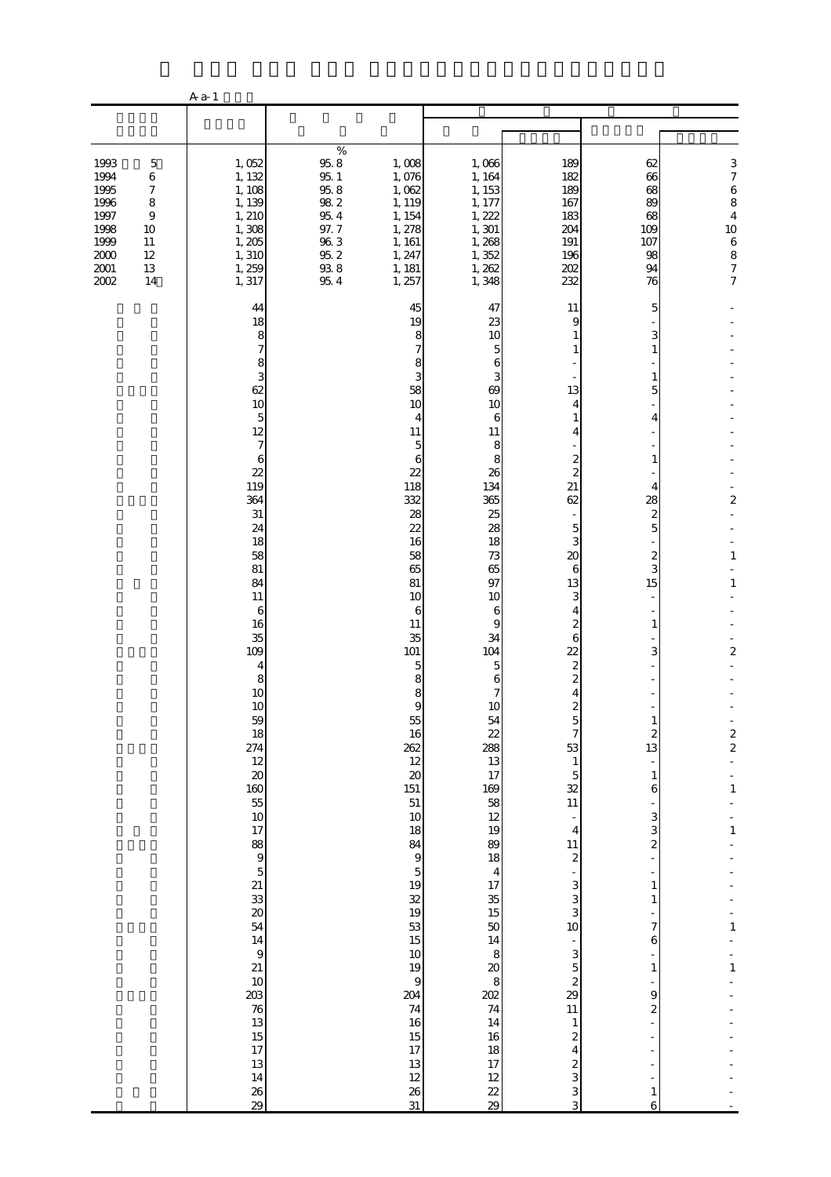|                                                                                      |                                                                                             | A a-1                                                                                                                                                                                                                                                                                                                                                                                                                                                   |                                                                                                                     |                                                                                                                                                                                                                                                                                                                                                                                                                                                   |                                                                                                                                                                                                                                                                                                                                                                                                                                         |                                                                                                                                                                                                                                                                                                                                                                                                                                                                                                                       |                                                                                                                                                                                                                                                                                                |                                                                                                                                 |
|--------------------------------------------------------------------------------------|---------------------------------------------------------------------------------------------|---------------------------------------------------------------------------------------------------------------------------------------------------------------------------------------------------------------------------------------------------------------------------------------------------------------------------------------------------------------------------------------------------------------------------------------------------------|---------------------------------------------------------------------------------------------------------------------|---------------------------------------------------------------------------------------------------------------------------------------------------------------------------------------------------------------------------------------------------------------------------------------------------------------------------------------------------------------------------------------------------------------------------------------------------|-----------------------------------------------------------------------------------------------------------------------------------------------------------------------------------------------------------------------------------------------------------------------------------------------------------------------------------------------------------------------------------------------------------------------------------------|-----------------------------------------------------------------------------------------------------------------------------------------------------------------------------------------------------------------------------------------------------------------------------------------------------------------------------------------------------------------------------------------------------------------------------------------------------------------------------------------------------------------------|------------------------------------------------------------------------------------------------------------------------------------------------------------------------------------------------------------------------------------------------------------------------------------------------|---------------------------------------------------------------------------------------------------------------------------------|
|                                                                                      |                                                                                             |                                                                                                                                                                                                                                                                                                                                                                                                                                                         |                                                                                                                     |                                                                                                                                                                                                                                                                                                                                                                                                                                                   |                                                                                                                                                                                                                                                                                                                                                                                                                                         |                                                                                                                                                                                                                                                                                                                                                                                                                                                                                                                       |                                                                                                                                                                                                                                                                                                |                                                                                                                                 |
| 1993<br>1994<br>1995<br>1996<br>1997<br>1998<br>1999<br>$2000\,$<br>$2001\,$<br>2002 | $\mathbf 5$<br>6<br>$\boldsymbol{7}$<br>8<br>$\boldsymbol{9}$<br>10<br>11<br>12<br>13<br>14 | 1,052<br>1, 132<br>1, 108<br>1, 139<br>1, 210<br>1,308<br>1,205<br>1,310<br>1, 259<br>1, 317                                                                                                                                                                                                                                                                                                                                                            | $\%$<br>$95.8\,$<br>$95\,$ $1\,$<br>$95\,8$<br>$98\ 2$<br>$95\ 4$<br>97.7<br>$96\ 3$<br>$95.2\,$<br>$93\ 8$<br>95.4 | 1,008<br>1,076<br>1,062<br>1, 119<br>1, 154<br>1, 278<br>1, 161<br>1, 247<br>1, 181<br>1,257                                                                                                                                                                                                                                                                                                                                                      | 1,066<br>1, 164<br>1, 153<br>1, 177<br>1, 222<br>1, 301<br>1,268<br>1,352<br>1, 262<br>1,348                                                                                                                                                                                                                                                                                                                                            | 189<br>182<br>189<br>167<br>183<br>204<br>191<br>196<br>202<br>232                                                                                                                                                                                                                                                                                                                                                                                                                                                    | 62<br>66<br>68<br>89<br>68<br>109<br>107<br>98<br>94<br>76                                                                                                                                                                                                                                     | $\frac{3}{7}$<br>6<br>8<br>$\overline{\mathbf{4}}$<br>10 <sup>1</sup><br>6877                                                   |
|                                                                                      |                                                                                             | 44<br>18<br>8<br>7<br>8<br>3<br>62<br>10<br>5<br>12<br>7<br>6<br>22<br>119<br>364<br>$31\,$<br>24<br>18<br>58<br>81<br>84<br>11<br>6<br>16<br>35<br>109<br>4<br>8<br>10<br>10<br>59<br>18<br>274<br>12<br>$\infty$<br>160<br>$\frac{55}{10}$<br>17<br>88<br>5<br>5<br>21<br>33<br>20<br>54<br>$\begin{array}{c} 14 \\ 9 \end{array}$<br>$21\,$<br>$10$<br>203<br>$\begin{array}{c} 76 \\ 13 \\ 15 \end{array}$<br>$17\,$<br>13<br>14<br>$\frac{26}{29}$ |                                                                                                                     | 45<br>19<br>8<br>7<br>8<br>58<br>10<br>$\overline{4}$<br>11<br>5<br>6<br>22<br>118<br>332<br>28<br>22<br>16<br>58<br>65<br>$8\!1$<br>10<br>6<br>11<br>35<br>101<br>5<br>8<br>8<br>$\alpha$<br>55<br>16<br>262<br>12<br>$\infty$<br>151<br>$51\,$<br>$10$<br>18<br>84<br>$\overline{9}$<br>$\overline{5}$<br>19<br>$\overline{\mathcal{Z}}$<br>19<br>53<br>15<br>10<br>19<br>$\overline{9}$<br>204<br>74<br>16<br>15<br>17<br>13<br>12<br>26<br>31 | 47<br>23<br>10<br>5<br>6<br>3<br>69<br>10<br>6<br>11<br>8<br>8<br>26<br>134<br>365<br>25<br>28<br>18<br>73<br>65<br>97<br>10<br>6<br>9<br>34<br>104<br>5<br>6<br>7<br>10<br>54<br>$\overline{22}$<br>288<br>13<br>17<br>169<br>58<br>$12 \text{ }$<br>19<br>89<br>18<br>$\overline{4}$<br>$17\,$<br>$\frac{35}{15}$<br>50<br>$14\,$<br>$\,$ 8 $\,$<br>$20\,$<br>8<br>202<br>74<br>14<br>$16\,$<br>$18\,$<br>17<br>12<br>$\frac{22}{29}$ | 11<br>9<br>13<br>4<br>4<br>2<br>$\boldsymbol{z}$<br>21<br>62<br>5<br>3<br>20<br>6<br>13<br>3<br>4<br>2<br>6<br>$\overline{22}$<br>$\overline{\mathcal{Z}}$<br>2<br>4<br>$\Omega$<br>5<br>$\overline{\phantom{a}}$<br>53<br>$\mathbf{1}$<br>$\mathbf 5$<br>32<br>11<br>÷<br>$\overline{4}$<br>11<br>$\boldsymbol{z}$<br>3<br>3<br>3<br>10 <sub>o</sub><br>÷<br>3<br>$\overline{5}$<br>$rac{2}{29}$<br>$11\,$<br>$\mathbf{1}$<br>$\boldsymbol{z}$<br>$\overline{\mathbf{4}}$<br>$\overline{\mathcal{L}}$<br>3<br>3<br>3 | 5<br>3<br>5<br>4<br>1<br>4<br>28<br>2<br>5<br>$\boldsymbol{z}$<br>3<br>15<br>1<br>3<br>$\boldsymbol{z}$<br>13<br>$\mathbf{1}$<br>6<br>$\ensuremath{\mathsf{3}}$<br>3<br>$\overline{c}$<br>$\mathbf{1}$<br>$\mathbf{1}$<br>7<br>6<br>$\mathbf{1}$<br>9<br>$\boldsymbol{z}$<br>$\mathbf{1}$<br>6 | $\overline{\mathbf{c}}$<br>$\,1\,$<br>$\mathbf{1}$<br>$\overline{c}$<br>$\frac{2}{2}$<br>$\,1\,$<br>$\,1\,$<br>1<br>$\mathbf 1$ |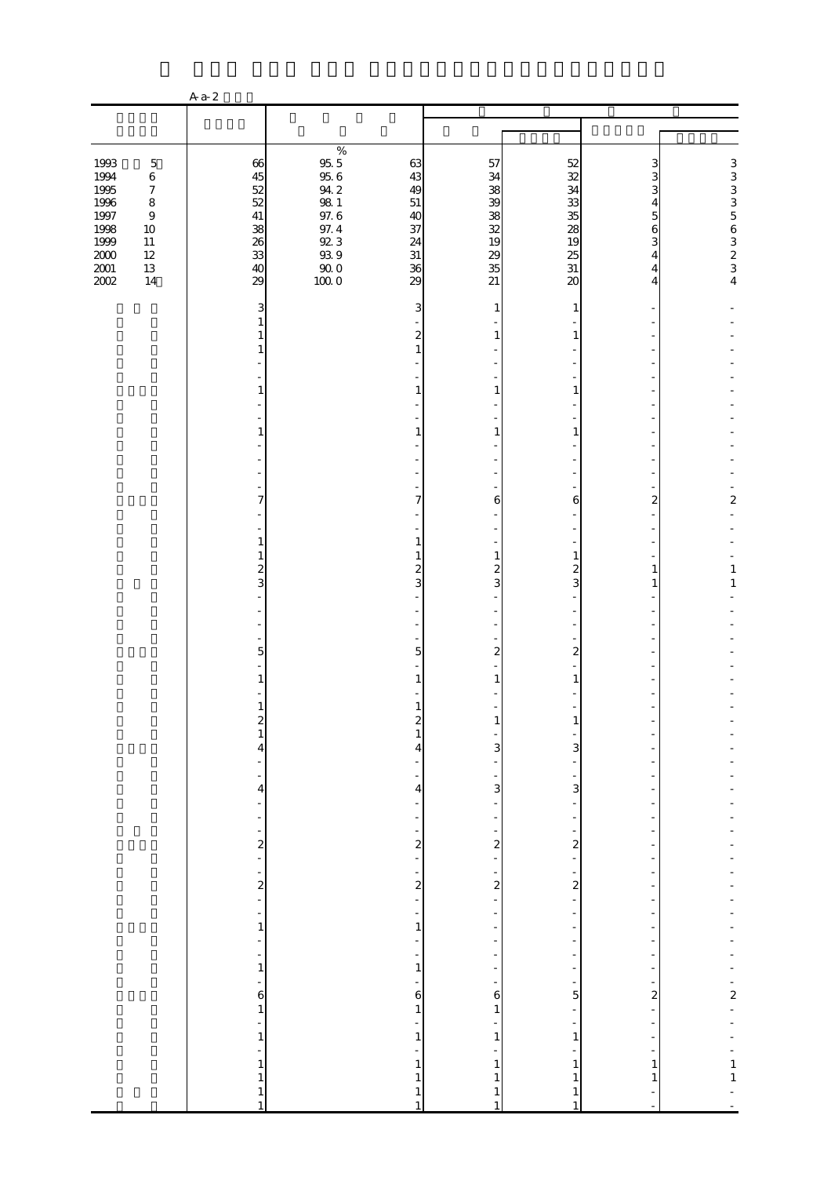|                                                                                                              |                                                                                                     | $Aa-2$                                                       |                                                                                                                                                   |                                                                  |                                                          |                                                                    |                                                |                                            |
|--------------------------------------------------------------------------------------------------------------|-----------------------------------------------------------------------------------------------------|--------------------------------------------------------------|---------------------------------------------------------------------------------------------------------------------------------------------------|------------------------------------------------------------------|----------------------------------------------------------|--------------------------------------------------------------------|------------------------------------------------|--------------------------------------------|
|                                                                                                              |                                                                                                     |                                                              |                                                                                                                                                   |                                                                  |                                                          |                                                                    |                                                |                                            |
|                                                                                                              |                                                                                                     |                                                              |                                                                                                                                                   |                                                                  |                                                          |                                                                    |                                                |                                            |
| 1993<br>1994<br>1995<br>$1996\,$<br>1997<br>1998<br>1999<br>$11\,$<br>$2000\,$<br>$12\,$<br>$2001\,$<br>2002 | $\mathbf 5$<br>$\,6\,$<br>$\boldsymbol{7}$<br>$\,8\,$<br>$\boldsymbol{9}$<br>$10\,$<br>$13\,$<br>14 | 66<br>45<br>52<br>52<br>$41\,$<br>38<br>26<br>33<br>40<br>29 | $\%$<br>$\begin{array}{l} 95.5 \\ 95.6 \end{array}$<br>$94.2\,$<br>$98\ 1$<br>97.6<br>97.4<br>$92\,3$<br>$9\!\mathrm{3}\,9$<br>$\frac{900}{1000}$ | 63<br>43<br>49<br>$51\,$<br>40<br>37<br>24<br>$31\,$<br>36<br>29 | 57<br>34<br>38<br>39<br>38<br>32<br>19<br>29<br>35<br>21 | 52<br>32<br>34<br>33<br>35<br>28<br>19<br>25<br>$31\,$<br>$\infty$ | 3<br>3<br>3<br>4<br>5<br>6<br>3<br>4<br>4<br>4 | 3333563234                                 |
|                                                                                                              |                                                                                                     | 3                                                            |                                                                                                                                                   | 3                                                                | 1                                                        | 1                                                                  |                                                |                                            |
|                                                                                                              |                                                                                                     | 1<br>1<br>1                                                  |                                                                                                                                                   | $\boldsymbol{z}$<br>$\mathbf{1}$                                 | 1                                                        | 1                                                                  |                                                |                                            |
|                                                                                                              |                                                                                                     | 1                                                            |                                                                                                                                                   | 1                                                                | 1                                                        | 1                                                                  |                                                |                                            |
|                                                                                                              |                                                                                                     |                                                              |                                                                                                                                                   |                                                                  |                                                          |                                                                    |                                                |                                            |
|                                                                                                              |                                                                                                     | 1                                                            |                                                                                                                                                   | 1                                                                | 1                                                        | 1                                                                  |                                                |                                            |
|                                                                                                              |                                                                                                     | 7                                                            |                                                                                                                                                   | 7                                                                | 6                                                        | 6                                                                  | 2                                              | $\overline{\mathbf{c}}$                    |
|                                                                                                              |                                                                                                     | $\mathbf{1}$                                                 |                                                                                                                                                   | 1                                                                |                                                          |                                                                    |                                                |                                            |
|                                                                                                              |                                                                                                     | $\mathbf{1}$<br>$\overline{\mathcal{L}}$<br>3                |                                                                                                                                                   | 1<br>$\overline{\mathcal{Z}}$<br>3                               | $\mathbf{1}$<br>$\overline{\mathcal{Z}}$<br>3            | 1<br>$\overline{c}$<br>3                                           | $\mathbf{1}$<br>1                              | $\mathbf{1}$<br>$\mathbf{1}$               |
|                                                                                                              |                                                                                                     |                                                              |                                                                                                                                                   |                                                                  |                                                          |                                                                    |                                                |                                            |
|                                                                                                              |                                                                                                     |                                                              |                                                                                                                                                   |                                                                  |                                                          |                                                                    |                                                |                                            |
|                                                                                                              |                                                                                                     | 5                                                            |                                                                                                                                                   | 5                                                                | $\overline{2}$                                           | 2                                                                  |                                                |                                            |
|                                                                                                              |                                                                                                     | 1                                                            |                                                                                                                                                   |                                                                  | 1                                                        | 1                                                                  |                                                |                                            |
|                                                                                                              |                                                                                                     | $\mathbf{1}$<br>z                                            |                                                                                                                                                   | 1<br>Z                                                           |                                                          |                                                                    |                                                |                                            |
|                                                                                                              |                                                                                                     | $\,1$<br>4                                                   |                                                                                                                                                   | $\mathbf{1}$<br>4                                                | 3                                                        | 3                                                                  |                                                |                                            |
|                                                                                                              |                                                                                                     | ÷                                                            |                                                                                                                                                   |                                                                  | $\frac{1}{3}$                                            |                                                                    |                                                |                                            |
|                                                                                                              |                                                                                                     | $\overline{4}$<br>$\frac{1}{\sqrt{2}}$                       |                                                                                                                                                   | $\overline{\mathbf{4}}$                                          |                                                          | 3                                                                  |                                                |                                            |
|                                                                                                              |                                                                                                     | ÷                                                            |                                                                                                                                                   | ÷                                                                | ÷                                                        | ÷                                                                  |                                                |                                            |
|                                                                                                              |                                                                                                     | $\begin{bmatrix} 2 \\ -1 \end{bmatrix}$                      |                                                                                                                                                   | $\frac{2}{1}$                                                    | $\frac{2}{1}$                                            | $\overline{\mathbf{c}}$<br>÷                                       |                                                |                                            |
|                                                                                                              |                                                                                                     | $\frac{1}{2}$                                                |                                                                                                                                                   | $\frac{1}{2}$                                                    | $\frac{1}{2}$                                            | $\frac{1}{2}$                                                      |                                                |                                            |
|                                                                                                              |                                                                                                     |                                                              |                                                                                                                                                   | ÷,                                                               |                                                          | $\overline{\phantom{0}}$                                           |                                                |                                            |
|                                                                                                              |                                                                                                     | $\frac{1}{1}$<br>÷                                           |                                                                                                                                                   | $\mathbf{1}$<br>÷                                                |                                                          | $\frac{1}{2}$                                                      |                                                |                                            |
|                                                                                                              |                                                                                                     | $\frac{1}{1}$                                                |                                                                                                                                                   | $\frac{1}{1}$                                                    | -<br>$\overline{\phantom{0}}$                            | $\overline{\phantom{0}}$<br>$\overline{\phantom{0}}$               | $\overline{a}$                                 |                                            |
|                                                                                                              |                                                                                                     | ÷,                                                           |                                                                                                                                                   | 6                                                                | $\mathbf{6}$                                             | 5                                                                  | $\overline{\mathbf{c}}$                        | $\frac{1}{2}$                              |
|                                                                                                              |                                                                                                     | $\begin{array}{c} 6 \\ 1 \end{array}$<br>÷,                  |                                                                                                                                                   | $\,1$                                                            | $\,1\,$                                                  | ÷,                                                                 |                                                |                                            |
|                                                                                                              |                                                                                                     | $\mathbf{1}$<br>L,                                           |                                                                                                                                                   | $\,1$                                                            | $\,1\,$                                                  | $\,1\,$                                                            |                                                |                                            |
|                                                                                                              |                                                                                                     | $\mathbf{1}$                                                 |                                                                                                                                                   | $\mathbf{1}$                                                     | $\mathbf{1}$                                             | $\mathbf{1}$                                                       | $\mathbf{1}$                                   | $\begin{array}{c} 1 \\ 1 \\ 1 \end{array}$ |
|                                                                                                              |                                                                                                     | $\,1\,$<br>$\mathbf{1}$<br>$\mathbf{1}$                      |                                                                                                                                                   | $\mathbf{1}$<br>$\mathbf{1}$<br>$\mathbf{1}$                     | 1<br>$\mathbf{1}$<br>$\mathbf{1}$                        | $\mathbf{1}$<br>$\mathbf{1}$<br>$1\,$                              | 1                                              |                                            |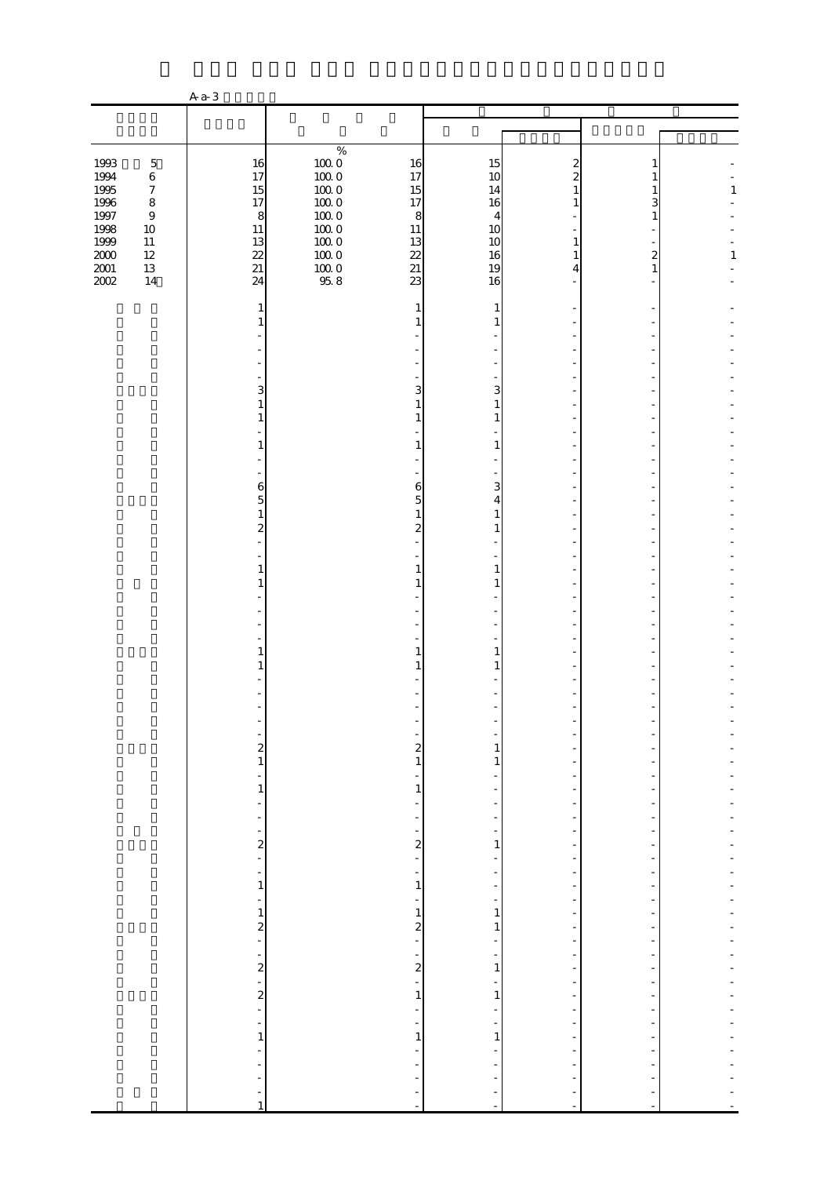|                          |                                                 | $Aa-3$                                                             |                                  |                                                   |                                          |                                                                                  |                                                           |              |
|--------------------------|-------------------------------------------------|--------------------------------------------------------------------|----------------------------------|---------------------------------------------------|------------------------------------------|----------------------------------------------------------------------------------|-----------------------------------------------------------|--------------|
|                          |                                                 |                                                                    |                                  |                                                   |                                          |                                                                                  |                                                           |              |
|                          |                                                 |                                                                    |                                  |                                                   |                                          |                                                                                  |                                                           |              |
| 1993<br>1994             | $\mathbf 5$<br>$\,6\,$                          | 16<br>17                                                           | $\%$<br>$100\;0$<br>$100\;0$     | 16<br>17                                          | 15<br>10                                 | 2<br>2                                                                           |                                                           |              |
| 1995<br>$1996\,$<br>1997 | $\boldsymbol{7}$<br>$\,8\,$<br>$\boldsymbol{9}$ | 15<br>17<br>$\boldsymbol{8}$                                       | $100\;0$<br>$100\;0$<br>$100\;0$ | 15<br>17<br>$\boldsymbol{8}$                      | 14<br>16<br>4                            | 1<br>1                                                                           | 1<br>3<br>1                                               | $\mathbf{1}$ |
| 1998<br>1999<br>$2000\,$ | $10\,$<br>$11\,$<br>$12\,$                      | $11\,$<br>13<br>22                                                 | $100\;0$<br>$100\;0$<br>$100\;0$ | $11\,$<br>13<br>22                                | 10<br>10<br>16                           | 1<br>1                                                                           | $\overline{\mathcal{Z}}$                                  | $\mathbf{1}$ |
| $2001\,$<br>2002         | $13\,$<br>$14$                                  | $21\,$<br>24                                                       | $\frac{10000}{958}$              | $21\,$<br>23                                      | 19<br>16                                 | 4                                                                                | 1                                                         |              |
|                          |                                                 | 1<br>1                                                             |                                  | 1                                                 | 1<br>1                                   |                                                                                  |                                                           |              |
|                          |                                                 |                                                                    |                                  |                                                   |                                          |                                                                                  |                                                           |              |
|                          |                                                 | 3<br>$\mathbf{1}$<br>$\mathbf{1}$                                  |                                  | 3<br>$\mathbf{1}$<br>$\mathbf{1}$                 | 3<br>1<br>1                              |                                                                                  |                                                           |              |
|                          |                                                 | 1                                                                  |                                  | 1                                                 | 1                                        |                                                                                  |                                                           |              |
|                          |                                                 | 6<br>5<br>$\mathbf{1}$                                             |                                  | 6<br>5<br>$\mathbf{1}$                            | 3<br>4<br>$\mathbf{1}$                   |                                                                                  |                                                           |              |
|                          |                                                 | $\overline{\mathcal{L}}$                                           |                                  | $\overline{\mathcal{L}}$                          | 1                                        |                                                                                  |                                                           |              |
|                          |                                                 | 1<br>1                                                             |                                  | 1<br>$\mathbf{1}$                                 | 1                                        |                                                                                  |                                                           |              |
|                          |                                                 |                                                                    |                                  |                                                   |                                          |                                                                                  |                                                           |              |
|                          |                                                 | 1<br>1                                                             |                                  | 1<br>1                                            | 1                                        |                                                                                  |                                                           |              |
|                          |                                                 |                                                                    |                                  |                                                   |                                          |                                                                                  |                                                           |              |
|                          |                                                 | $\frac{2}{1}$                                                      |                                  | ÷<br>$\begin{array}{c} 2 \\ 1 \end{array}$        | 1<br>$\mathbf{1}$                        |                                                                                  |                                                           |              |
|                          |                                                 | $\frac{1}{2}$<br>$\,1$<br>$\frac{1}{2}$                            |                                  | ÷<br>$\mathbf{1}$<br>÷                            | -<br>÷                                   | ÷<br>$\overline{a}$                                                              |                                                           |              |
|                          |                                                 | $\frac{1}{2}$<br>÷<br>$\frac{2}{1}$                                |                                  | $\frac{1}{2}$<br>÷<br>$\overline{\mathbf{c}}$     | $\overline{\phantom{a}}$<br>1            | $\overline{\phantom{a}}$<br>$\overline{\phantom{0}}$                             | $\overline{\phantom{a}}$<br>-                             |              |
|                          |                                                 | $\overline{\phantom{a}}$<br>$\,1$                                  |                                  | ÷<br>$\overline{\phantom{0}}$<br>$\mathbf{1}$     | -<br>$\overline{\phantom{0}}$<br>÷       | $\overline{\phantom{a}}$<br>$\overline{\phantom{m}}$<br>$\overline{a}$           | $\overline{a}$                                            |              |
|                          |                                                 | $\overline{\phantom{a}}$<br>$\mathbf 1$<br>$\overline{\mathbf{c}}$ |                                  | $\frac{1}{2}$<br>$\,1$<br>$\overline{\mathbf{c}}$ | -<br>$\,1\,$<br>1                        | $\overline{\phantom{0}}$<br>$\overline{\phantom{m}}$<br>$\overline{\phantom{m}}$ | $\overline{\phantom{0}}$<br>$\overline{\phantom{m}}$      |              |
|                          |                                                 | ÷,<br>÷<br>$\boldsymbol{z}$                                        |                                  | ÷,<br>$\frac{1}{2}$                               | ÷<br>$\overline{\phantom{0}}$<br>$\,1\,$ | $\overline{\phantom{0}}$<br>$\frac{1}{2}$<br>$\overline{\phantom{a}}$            | -<br>$\overline{\phantom{0}}$<br>$\overline{\phantom{a}}$ |              |
|                          |                                                 | $\ddot{\phantom{0}}$<br>$\frac{2}{1}$                              |                                  | ÷<br>$\mathbf{1}$<br>$\frac{1}{2}$                | ÷<br>1<br>$\overline{\phantom{m}}$       | -<br>-<br>$\overline{\phantom{a}}$                                               | -<br>$\overline{\phantom{a}}$                             |              |
|                          |                                                 | $\frac{1}{2}$<br>$\,1\,$<br>$\blacksquare$                         |                                  | ÷<br>$\,1\,$<br>÷                                 | $\,1\,$<br>÷                             | $\overline{\phantom{0}}$<br>$\overline{\phantom{0}}$                             |                                                           |              |
|                          |                                                 | ÷<br>÷<br>$\frac{1}{\sqrt{2}}$                                     |                                  | ÷<br>۰                                            | -                                        | $\overline{\phantom{0}}$                                                         |                                                           |              |
|                          |                                                 | $\,1$                                                              |                                  | ÷,                                                | $\blacksquare$                           | ÷,                                                                               | ÷,                                                        |              |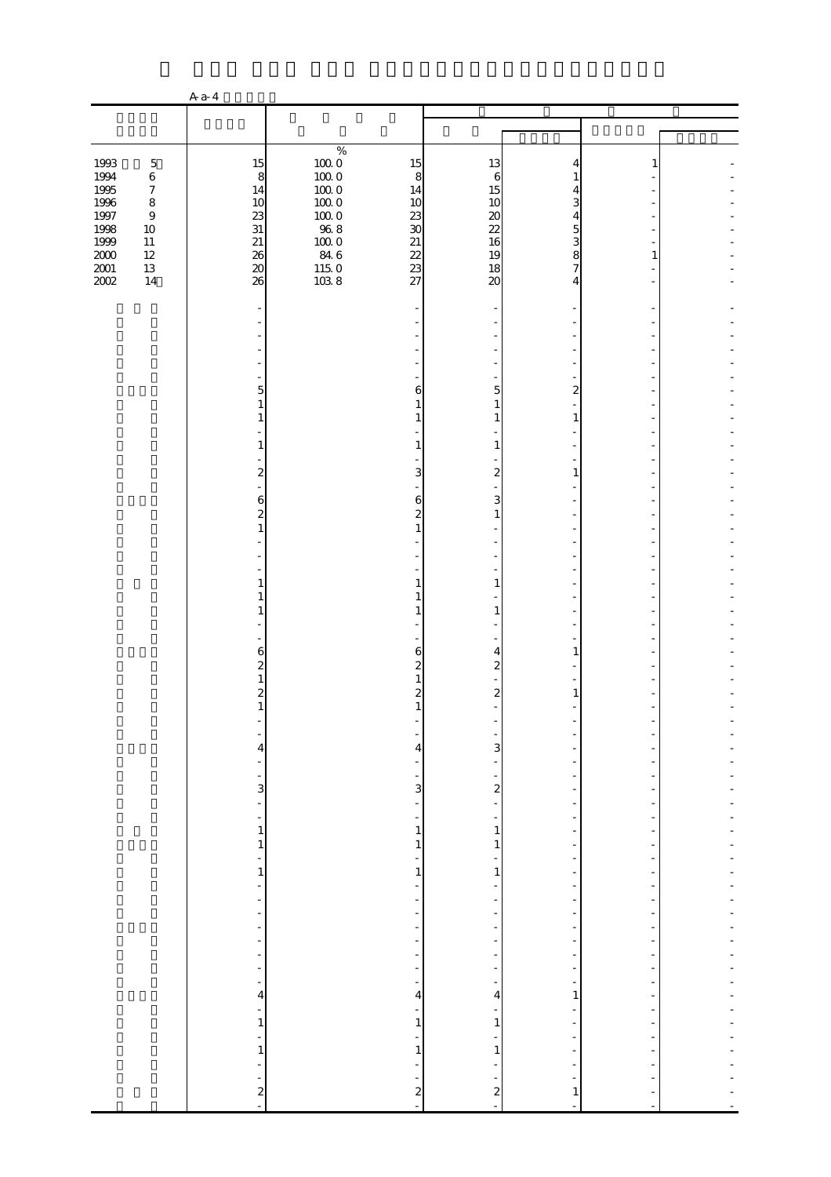|                  |                             | A $a-4$                                   |                      |                                                      |                                           |                                                      |                                            |  |
|------------------|-----------------------------|-------------------------------------------|----------------------|------------------------------------------------------|-------------------------------------------|------------------------------------------------------|--------------------------------------------|--|
|                  |                             |                                           |                      |                                                      |                                           |                                                      |                                            |  |
|                  |                             |                                           |                      |                                                      |                                           |                                                      |                                            |  |
| 1993             | $\mathbf 5$                 | 15                                        | $\%$<br>$100\;0$     | 15                                                   | 13                                        | 4                                                    |                                            |  |
| 1994             | $\,6\,$                     | 8                                         | $100\;0$             | 8                                                    | $\sqrt{6}$                                | 1                                                    |                                            |  |
| 1995             | $\boldsymbol{7}$            | 14                                        | $100\;0$             | 14                                                   | 15                                        | 4                                                    |                                            |  |
| $1996\,$<br>1997 | $\,8\,$<br>$\boldsymbol{9}$ | 10<br>23                                  | $100\;0$<br>$100\;0$ | 10<br>23                                             | 10                                        | 3<br>4                                               |                                            |  |
| 1998             | $10\,$                      | 31                                        | $96\;8$              | $30\,$                                               | $\boldsymbol{\chi}$<br>22                 | 5                                                    |                                            |  |
| 1999             | $11\,$                      | $21\,$                                    | $100\;0$             | $21\,$                                               | 16                                        | 3                                                    |                                            |  |
| $2000\,$         | $12\,$                      | 26                                        | 84 6                 | 22                                                   | 19                                        | 8                                                    | 1                                          |  |
| $2001\,$<br>2002 | $13\,$<br>$14$              | $\infty$<br>26                            | $\frac{115}{103}$ 8  | 23<br>27                                             | 18<br>$\infty$                            | 7<br>4                                               |                                            |  |
|                  |                             |                                           |                      |                                                      |                                           |                                                      |                                            |  |
|                  |                             |                                           |                      |                                                      |                                           |                                                      |                                            |  |
|                  |                             |                                           |                      |                                                      |                                           |                                                      |                                            |  |
|                  |                             |                                           |                      |                                                      |                                           |                                                      |                                            |  |
|                  |                             |                                           |                      |                                                      |                                           |                                                      |                                            |  |
|                  |                             |                                           |                      |                                                      |                                           |                                                      |                                            |  |
|                  |                             | 5<br>1                                    |                      | 6<br>$\mathbf{1}$                                    | 5<br>1                                    | 2                                                    |                                            |  |
|                  |                             | 1                                         |                      | 1                                                    | 1                                         | $\mathbf{1}$                                         |                                            |  |
|                  |                             |                                           |                      |                                                      |                                           |                                                      |                                            |  |
|                  |                             | 1                                         |                      | 1                                                    | 1                                         |                                                      |                                            |  |
|                  |                             | $\boldsymbol{z}$                          |                      | 3                                                    | $\boldsymbol{z}$                          | 1                                                    |                                            |  |
|                  |                             |                                           |                      |                                                      |                                           |                                                      |                                            |  |
|                  |                             | 6<br>$\overline{\mathcal{L}}$             |                      | 6<br>$\boldsymbol{z}$                                | 3<br>$\mathbf{1}$                         |                                                      |                                            |  |
|                  |                             | $\mathbf{1}$                              |                      | $\mathbf{1}$                                         |                                           |                                                      |                                            |  |
|                  |                             |                                           |                      |                                                      |                                           |                                                      |                                            |  |
|                  |                             |                                           |                      |                                                      |                                           |                                                      |                                            |  |
|                  |                             | 1                                         |                      | 1                                                    | 1                                         |                                                      |                                            |  |
|                  |                             | 1                                         |                      | $\mathbf{1}$                                         |                                           |                                                      |                                            |  |
|                  |                             | 1                                         |                      | $\mathbf{1}$                                         | $\mathbf{1}$                              |                                                      |                                            |  |
|                  |                             |                                           |                      |                                                      |                                           |                                                      |                                            |  |
|                  |                             | 6                                         |                      | 6                                                    | 4                                         | 1                                                    |                                            |  |
|                  |                             | $\overline{\mathcal{Z}}$<br>$\mathbf{1}$  |                      | $\overline{\mathcal{Z}}$                             | $\overline{\mathcal{Z}}$                  |                                                      |                                            |  |
|                  |                             | $\overline{\mathcal{Z}}$                  |                      | 2                                                    | $\overline{\mathcal{Z}}$                  | 1                                                    |                                            |  |
|                  |                             | $\mathbf{1}$                              |                      | $\mathbf{1}$                                         |                                           |                                                      |                                            |  |
|                  |                             |                                           |                      |                                                      |                                           |                                                      |                                            |  |
|                  |                             | ÷<br>4                                    |                      | 4                                                    | $\overline{3}$                            |                                                      |                                            |  |
|                  |                             | $\overline{\phantom{0}}$                  |                      | -                                                    |                                           |                                                      |                                            |  |
|                  |                             | $\frac{1}{\sqrt{2}}$                      |                      | $\overline{\phantom{a}}$<br>$\mathbf{3}$             | -                                         |                                                      |                                            |  |
|                  |                             | $\frac{3}{2}$                             |                      | ÷,                                                   | $\frac{2}{1}$                             | -<br>-                                               |                                            |  |
|                  |                             | $\blacksquare$                            |                      | $\frac{1}{2}$                                        | $\overline{\phantom{a}}$                  | $\overline{\phantom{a}}$                             | $\overline{\phantom{a}}$                   |  |
|                  |                             | $\mathbf{1}$                              |                      | $\mathbf{1}$<br>$\mathbf{1}$                         | $\mathbf{1}$<br>1                         |                                                      |                                            |  |
|                  |                             | 1<br>$\frac{1}{2}$                        |                      | $\overline{\phantom{0}}$                             | -                                         | $\overline{\phantom{0}}$<br>$\overline{\phantom{a}}$ | $\overline{\phantom{0}}$                   |  |
|                  |                             | $\,1$                                     |                      | $\,1\,$                                              | $\,1\,$                                   | $\frac{1}{2}$                                        |                                            |  |
|                  |                             | ÷                                         |                      | $\frac{1}{2}$                                        |                                           | $\overline{a}$                                       |                                            |  |
|                  |                             | $\frac{1}{2}$<br>$\overline{\phantom{a}}$ |                      | $\frac{1}{2}$<br>$\frac{1}{2}$                       | $\frac{1}{2}$<br>$\overline{\phantom{0}}$ | $\overline{\phantom{0}}$<br>$\overline{\phantom{m}}$ | $\overline{a}$<br>$\overline{\phantom{m}}$ |  |
|                  |                             | $\qquad \qquad \blacksquare$              |                      | -                                                    | ۰                                         | $\overline{a}$                                       |                                            |  |
|                  |                             | $\frac{1}{2}$                             |                      | $\overline{\phantom{0}}$                             | -                                         | $\frac{1}{2}$                                        | $\overline{a}$                             |  |
|                  |                             | $\frac{1}{2}$<br>$\overline{\phantom{a}}$ |                      | $\frac{1}{2}$<br>$\frac{1}{2}$                       | ÷<br>$\overline{\phantom{a}}$             | $\frac{1}{2}$<br>$\overline{\phantom{a}}$            | $\overline{a}$<br>$\overline{\phantom{a}}$ |  |
|                  |                             | ÷                                         |                      | $\overline{\phantom{0}}$                             | $\overline{\phantom{0}}$                  | -                                                    |                                            |  |
|                  |                             | 4                                         |                      | $\overline{\mathcal{A}}$                             | 4                                         | 1                                                    |                                            |  |
|                  |                             | $\overline{\phantom{a}}$<br>$\,1$         |                      | $\frac{1}{2}$<br>$\,1\,$                             | $\overline{\phantom{0}}$<br>$\,1\,$       | $\overline{\phantom{a}}$                             | $\overline{\phantom{a}}$                   |  |
|                  |                             | ÷,                                        |                      | ÷                                                    | ÷                                         | $\overline{\phantom{0}}$                             |                                            |  |
|                  |                             | $\,1$                                     |                      | $\,1\,$                                              | $\mathbf{1}$                              | $\overline{\phantom{0}}$                             |                                            |  |
|                  |                             | ÷                                         |                      | $\overline{\phantom{0}}$<br>$\overline{\phantom{a}}$ | f                                         | $\overline{\phantom{0}}$                             |                                            |  |
|                  |                             | $\frac{1}{2}$                             |                      | $\frac{2}{1}$                                        | $\frac{2}{1}$                             | $\mathbf{1}$                                         |                                            |  |
|                  |                             |                                           |                      |                                                      |                                           | $\overline{\phantom{a}}$                             |                                            |  |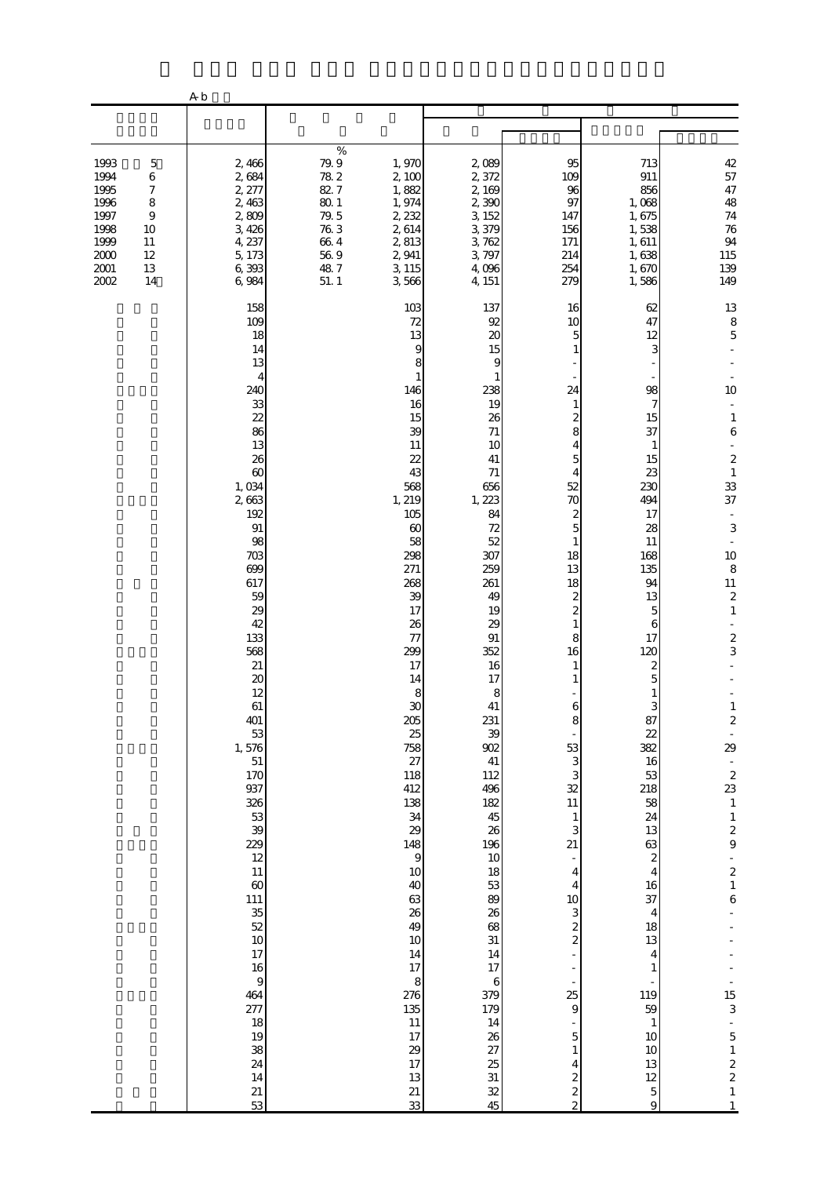|                                                                                                                                                                | A <sub>b</sub>                                                                                                                                                                                                                                                                                                                                                                                                                  |                                                                                                  |                                                                                                                                                                                                                                                                                                                                                                                                                       |                                                                                                                                                                                                                                                                                                                                                                                                           |                                                                                                                                                                                                                                                                                                                                                                                                                                     |                                                                                                                                                                                                                                                                                                                                                                                                                            |                                                                                                                                                                                                                                                                                                                                                                                                                                                                                                                                                   |
|----------------------------------------------------------------------------------------------------------------------------------------------------------------|---------------------------------------------------------------------------------------------------------------------------------------------------------------------------------------------------------------------------------------------------------------------------------------------------------------------------------------------------------------------------------------------------------------------------------|--------------------------------------------------------------------------------------------------|-----------------------------------------------------------------------------------------------------------------------------------------------------------------------------------------------------------------------------------------------------------------------------------------------------------------------------------------------------------------------------------------------------------------------|-----------------------------------------------------------------------------------------------------------------------------------------------------------------------------------------------------------------------------------------------------------------------------------------------------------------------------------------------------------------------------------------------------------|-------------------------------------------------------------------------------------------------------------------------------------------------------------------------------------------------------------------------------------------------------------------------------------------------------------------------------------------------------------------------------------------------------------------------------------|----------------------------------------------------------------------------------------------------------------------------------------------------------------------------------------------------------------------------------------------------------------------------------------------------------------------------------------------------------------------------------------------------------------------------|---------------------------------------------------------------------------------------------------------------------------------------------------------------------------------------------------------------------------------------------------------------------------------------------------------------------------------------------------------------------------------------------------------------------------------------------------------------------------------------------------------------------------------------------------|
|                                                                                                                                                                |                                                                                                                                                                                                                                                                                                                                                                                                                                 |                                                                                                  |                                                                                                                                                                                                                                                                                                                                                                                                                       |                                                                                                                                                                                                                                                                                                                                                                                                           |                                                                                                                                                                                                                                                                                                                                                                                                                                     |                                                                                                                                                                                                                                                                                                                                                                                                                            |                                                                                                                                                                                                                                                                                                                                                                                                                                                                                                                                                   |
| 1993<br>$\mathbf 5$<br>1994<br>6<br>1995<br>7<br>1996<br>8<br>1997<br>$\overline{9}$<br>1998<br>10<br>1999<br>11<br>2000<br>12<br>$2001\,$<br>13<br>2002<br>14 | 2,466<br>2,684<br>2, 277<br>2,463<br>2,809<br>3,426<br>4, 237<br>5, 173<br>6,393<br>6,984                                                                                                                                                                                                                                                                                                                                       | $\%$<br>79.9<br>$78\ 2$<br>82.7<br>$80\,1$<br>79.5<br>76.3<br>$66\ 4$<br>$56\ 9$<br>48.7<br>51.1 | 1,970<br>2,100<br>1,882<br>1,974<br>2, 232<br>2,614<br>2,813<br>2,941<br>3, 115<br>3,566                                                                                                                                                                                                                                                                                                                              | 2,089<br>2,372<br>2, 169<br>2,390<br>3, 152<br>3,379<br>3,762<br>3,797<br>4,096<br>4, 151                                                                                                                                                                                                                                                                                                                 | 95<br>109<br>96<br>97<br>147<br>156<br>171<br>214<br>254<br>279                                                                                                                                                                                                                                                                                                                                                                     | 713<br>911<br>856<br>1,068<br>1,675<br>1,538<br>1,611<br>1,638<br>1,670<br>1,586                                                                                                                                                                                                                                                                                                                                           | $4\!$<br>57<br>47<br>48<br>$74\,$<br>76<br>94<br>115<br>139<br>149                                                                                                                                                                                                                                                                                                                                                                                                                                                                                |
|                                                                                                                                                                | 158<br>109<br>18<br>14<br>13<br>240<br>33<br>22<br>86<br>13<br>26<br>$\infty$<br>1,034<br>2,663<br>192<br>91<br>98<br>703<br>699<br>617<br>59<br>29<br>42<br>133<br>568<br>21<br>20<br>12<br>61<br>401<br>53<br>1,576<br>51<br>170<br>937<br>326<br>53<br>39<br>229<br>12<br>$11\,$<br>$\infty$<br>$\begin{array}{c} 111 \\ 35 \\ 52 \end{array}$<br>10<br>17<br>16<br>464<br>277<br>18<br>19<br>38<br>24<br>14<br>$21\,$<br>53 | 4<br>9                                                                                           | 103<br>72<br>13<br>9<br>8<br>1<br>146<br>16<br>15<br>39<br>11<br>22<br>43<br>568<br>1, 219<br>105<br>60<br>58<br>298<br>271<br>268<br>39<br>17<br>26<br>77<br>299<br>17<br>14<br>8<br>30<br>205<br>25<br>758<br>27<br>118<br>412<br>138<br>34<br>29<br>148<br>$\mathbf{9}$<br>$10$<br>40<br>63<br>26<br>49<br>$10$<br>14<br>$17\,$<br>$\,$ 8 $\,$<br>276<br>135<br>$11\,$<br>17<br>29<br>$17\,$<br>$13\,$<br>21<br>33 | 137<br>92<br>20<br>15<br>9<br>1<br>238<br>19<br>26<br>$71\,$<br>10<br>41<br>71<br>656<br>1, 223<br>84<br>72<br>52<br>307<br>259<br>261<br>49<br>19<br>29<br>91<br>352<br>16<br>17<br>$\bf8$<br>41<br>231<br>39<br>902<br>$41\,$<br>112<br>496<br>182<br>45<br>26<br>196<br>10<br>18<br>53<br>89<br>26<br>68<br>31<br>14<br>$17\,$<br>$\,6$<br>379<br>179<br>14<br>26<br>27<br>25<br>31<br>$\frac{32}{45}$ | 16<br>10<br>5<br>1<br>24<br>1<br>$\boldsymbol{z}$<br>8<br>4<br>5<br>4<br>52<br>70<br>2<br>5<br>$\mathbf{1}$<br>18<br>13<br>18<br>2<br>$\overline{\mathcal{Z}}$<br>$\mathbf{1}$<br>8<br>16<br>1<br>6<br>8<br>53<br>3<br>3<br>32<br>$11\,$<br>$\mathbf{1}$<br>3<br>21<br>4<br>$\overline{\mathcal{L}}$<br>10<br>3<br>$\frac{2}{2}$<br>$\overline{\phantom{a}}$<br>25<br>9<br>5<br>1<br>4<br>$\overline{\mathcal{Z}}$<br>$\frac{2}{2}$ | 62<br>47<br>12<br>3<br>98<br>7<br>15<br>37<br>1<br>15<br>23<br>230<br>494<br>17<br>28<br>11<br>168<br>135<br>94<br>13<br>5<br>6<br>17<br>120<br>2<br>5<br>1<br>3<br>87<br>22<br>382<br>16<br>53<br>218<br>$\frac{58}{24}$<br>13<br>63<br>$\overline{\mathcal{L}}$<br>$\overline{4}$<br>16<br>37<br>$\overline{4}$<br>18<br>13<br>4<br>1<br>÷<br>119<br>59<br>$\mathbf{1}$<br>$10$<br>10<br>13<br>12<br>$\overline{5}$<br>9 | 13<br>$\begin{array}{c} 8 \\ 5 \end{array}$<br>10<br>$\mathbf{1}$<br>$\,6$<br>$\boldsymbol{2}$<br>$\,1\,$<br>33<br>37<br>$\blacksquare$<br>3<br>10<br>$\,8\,$<br>$11\,$<br>$\boldsymbol{2}$<br>$\mathbf{1}$<br>$\bar{\phantom{a}}$<br>$\frac{2}{3}$<br>$\boldsymbol{z}$<br>$\frac{1}{29}$<br>$\frac{1}{2}$<br>$\,1\,$<br>$\begin{array}{c} 1 \\ 2 \\ 9 \end{array}$<br>$\begin{bmatrix} 2 \\ 2 \\ 1 \end{bmatrix}$<br>$\overline{6}$<br>$\frac{15}{3}$<br>$\overline{5}$<br>$\begin{array}{c} 1 \\ 2 \\ 2 \end{array}$<br>$\,1\,$<br>$\mathbf{1}$ |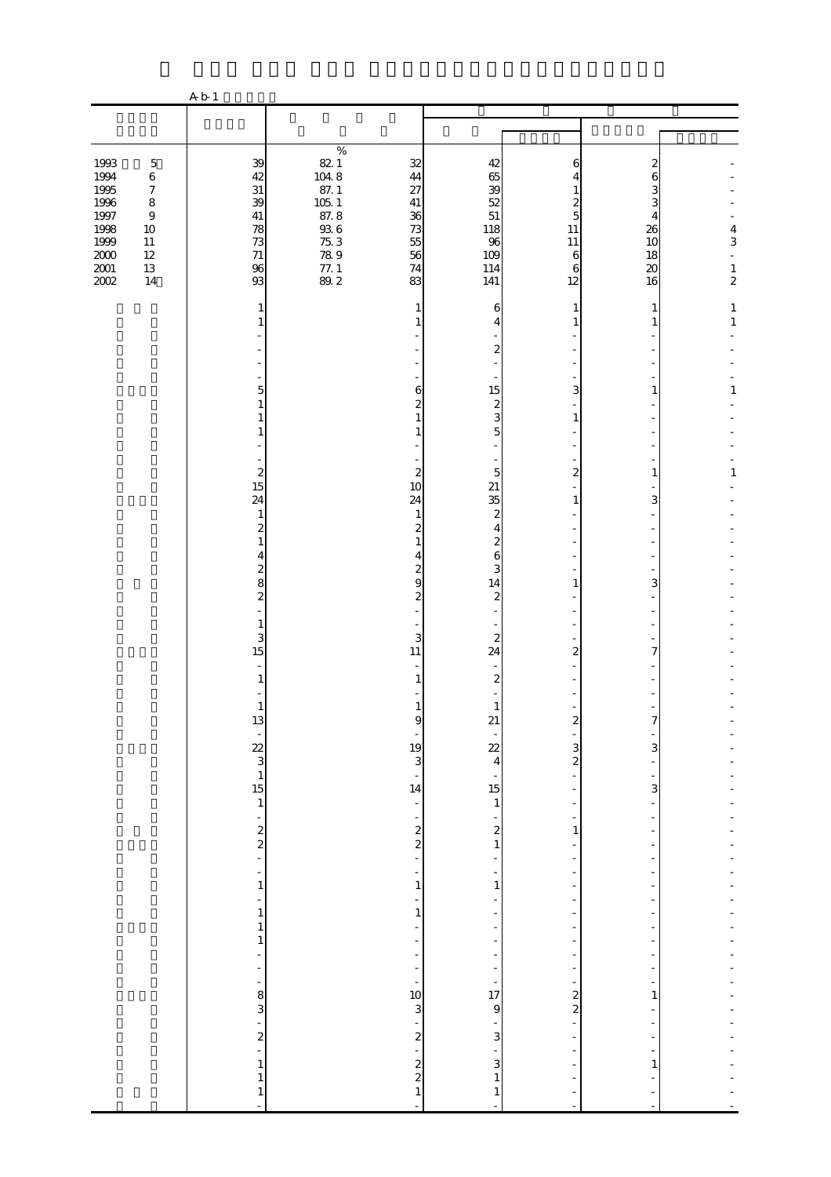|                                                                                                                                                                                                      | A b 1                                                                                                                                                                                                                                                                                                                                 |                                                                                                                        |                                                                                                                                                                                                                                                                              |                                                                                                                                                                                                                                                                                                                                     |                                                                                                                                              |                                                                      |                                                              |
|------------------------------------------------------------------------------------------------------------------------------------------------------------------------------------------------------|---------------------------------------------------------------------------------------------------------------------------------------------------------------------------------------------------------------------------------------------------------------------------------------------------------------------------------------|------------------------------------------------------------------------------------------------------------------------|------------------------------------------------------------------------------------------------------------------------------------------------------------------------------------------------------------------------------------------------------------------------------|-------------------------------------------------------------------------------------------------------------------------------------------------------------------------------------------------------------------------------------------------------------------------------------------------------------------------------------|----------------------------------------------------------------------------------------------------------------------------------------------|----------------------------------------------------------------------|--------------------------------------------------------------|
|                                                                                                                                                                                                      |                                                                                                                                                                                                                                                                                                                                       |                                                                                                                        |                                                                                                                                                                                                                                                                              |                                                                                                                                                                                                                                                                                                                                     |                                                                                                                                              |                                                                      |                                                              |
| 1993<br>$\mathbf 5$<br>1994<br>1995<br>$\,6\,$<br>$\boldsymbol{7}$<br>1996<br>$\,8\,$<br>1997<br>$\boldsymbol{9}$<br>1998<br>1999<br>$10\,$<br>$11\,$<br>$\frac{200}{200}$<br>$12\,$<br>$13\,$<br>14 | 39<br>42<br>31<br>39<br>$41\,$<br>78<br>73<br>$71\,$<br>96<br>93                                                                                                                                                                                                                                                                      | $\%$<br>$\begin{array}{c} 82.1 \\ 104.8 \\ 87.1 \end{array}$<br>07.1<br>105.1<br>87.8<br>93.6<br>75.78<br>77.1<br>99.2 | $32\,$<br>44<br>27<br>$41\,$<br>36<br>73<br>55<br>56<br>74<br>83                                                                                                                                                                                                             | 42<br>65<br>39<br>52<br>51<br>118<br>96<br>109<br>114<br>141                                                                                                                                                                                                                                                                        | 6<br>4<br>1<br>2<br>5<br>11<br>$11\,$<br>6<br>6<br>12                                                                                        | 2<br>6<br>3<br>3<br>4<br>26<br>10<br>18<br>$\boldsymbol{\chi}$<br>16 | $\frac{4}{3}$<br>$\blacksquare$<br>$\,1\,$<br>$\overline{c}$ |
|                                                                                                                                                                                                      | 1<br>1<br>5<br>1<br>1<br>1<br>$\boldsymbol{z}$<br>15<br>24<br>$\mathbf{1}$<br>$\boldsymbol{z}$<br>$\mathbf{1}$<br>4<br>$\overline{\mathcal{Z}}$<br>8<br>$\boldsymbol{z}$<br>1<br>3<br>15<br>$\omega$<br>$\mathbf{1}$<br>$\mathbf{1}$<br>13<br>$\begin{array}{c} \n\cdot \\ 22 \\ 3 \\ 15\n\end{array}$<br>$\,1$<br>$\frac{1}{2}$<br>- |                                                                                                                        | 1<br>1<br>6<br>$\overline{\mathcal{Z}}$<br>$\mathbf{1}$<br>1<br>$\boldsymbol{z}$<br>10<br>24<br>$\mathbf{1}$<br>$\boldsymbol{z}$<br>$\mathbf{1}$<br>4<br>2<br>9<br>$\boldsymbol{z}$<br>3<br>11<br>1<br>1<br>9<br>$\frac{19}{3}$<br>÷,<br>14<br>÷<br>$\frac{1}{2}$<br>÷,<br>÷ | 6<br>4<br>$\boldsymbol{z}$<br>15<br>$\boldsymbol{z}$<br>$\overline{3}$<br>$\overline{5}$<br>5<br>21<br>35<br>$\overline{\mathcal{Z}}$<br>$\overline{4}$<br>2<br>$\sqrt{6}$<br>3<br>14<br>$\boldsymbol{z}$<br>$\boldsymbol{z}$<br>24<br>$\boldsymbol{z}$<br>$\mathbf{1}$<br>21<br>$\frac{22}{4}$<br>$15\,$<br>$\,1$<br>$\frac{2}{1}$ | 1<br>1<br>3<br>$\mathbf{1}$<br>$\overline{c}$<br>1<br>1<br>2<br>$\boldsymbol{z}$<br>3<br>$\overline{\mathcal{L}}$<br>÷,<br>$\mathbf{1}$<br>- | 1<br>1<br>1<br>1<br>3<br>3<br>7<br>7<br>3<br>3<br>$\overline{a}$     | $\mathbf 1$<br>$\,1\,$<br>1<br>$\mathbf{1}$                  |
|                                                                                                                                                                                                      | $\,1\,$<br>$\frac{1}{2}$<br>$\,1$<br>1<br>$\mathbf{1}$<br>۰<br>÷<br>÷<br>$3\sigma$<br>÷<br>$\boldsymbol{z}$<br>$\overline{a}$<br>$\mathbf{1}$<br>$\mathbf{1}$<br>$\mathbf{1}$<br>L,                                                                                                                                                   |                                                                                                                        | $\mathbf{1}$<br>÷<br>$\mathbf{1}$<br>$\overline{a}$<br>$\frac{1}{2}$<br>$\overline{\phantom{a}}$<br>10<br>3<br>÷<br>$\frac{2}{1}$<br>$\frac{2}{2}$<br>$\mathbf{1}$<br>$\overline{a}$                                                                                         | $1\,$<br>÷<br>$\frac{1}{17}$<br>$\mathbf{9}$<br>$\overline{3}$<br>$\overline{3}$<br>$\,1\,$<br>$\mathbf{1}$<br>L,                                                                                                                                                                                                                   | ÷<br>÷<br>$\frac{1}{2}$<br>$\frac{2}{2}$<br>÷,                                                                                               | 1<br>1<br>$\overline{a}$                                             |                                                              |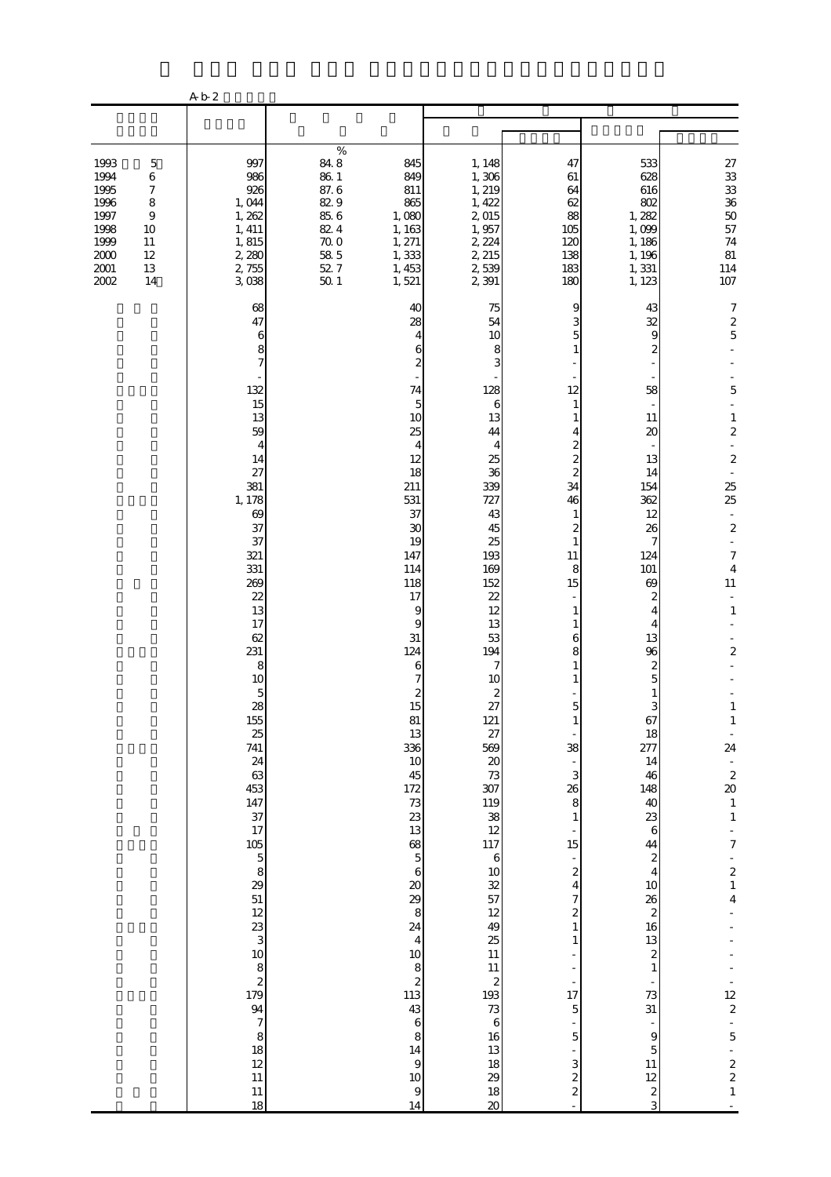|                                                                                                                                                                                           | A b 2                                                                                                                                                                                                                                                                                                                                                                                                                                                                          |                                                                                                                                                                                                                                                                                                                                                                                                                                                                                                                            |                                                                                                                                                                                                                                                                                                                                                                                                                                                                               |                                                                                                                                                                                                                                                                                                                                                                                                                                                                                              |                                                                                                                                                                                                                                                                                                                                                                                                                                                 |                                                                                                                                                                                                                                                                                                                                                                                                                                                                                                                                                                                                                             |
|-------------------------------------------------------------------------------------------------------------------------------------------------------------------------------------------|--------------------------------------------------------------------------------------------------------------------------------------------------------------------------------------------------------------------------------------------------------------------------------------------------------------------------------------------------------------------------------------------------------------------------------------------------------------------------------|----------------------------------------------------------------------------------------------------------------------------------------------------------------------------------------------------------------------------------------------------------------------------------------------------------------------------------------------------------------------------------------------------------------------------------------------------------------------------------------------------------------------------|-------------------------------------------------------------------------------------------------------------------------------------------------------------------------------------------------------------------------------------------------------------------------------------------------------------------------------------------------------------------------------------------------------------------------------------------------------------------------------|----------------------------------------------------------------------------------------------------------------------------------------------------------------------------------------------------------------------------------------------------------------------------------------------------------------------------------------------------------------------------------------------------------------------------------------------------------------------------------------------|-------------------------------------------------------------------------------------------------------------------------------------------------------------------------------------------------------------------------------------------------------------------------------------------------------------------------------------------------------------------------------------------------------------------------------------------------|-----------------------------------------------------------------------------------------------------------------------------------------------------------------------------------------------------------------------------------------------------------------------------------------------------------------------------------------------------------------------------------------------------------------------------------------------------------------------------------------------------------------------------------------------------------------------------------------------------------------------------|
|                                                                                                                                                                                           |                                                                                                                                                                                                                                                                                                                                                                                                                                                                                |                                                                                                                                                                                                                                                                                                                                                                                                                                                                                                                            |                                                                                                                                                                                                                                                                                                                                                                                                                                                                               |                                                                                                                                                                                                                                                                                                                                                                                                                                                                                              |                                                                                                                                                                                                                                                                                                                                                                                                                                                 |                                                                                                                                                                                                                                                                                                                                                                                                                                                                                                                                                                                                                             |
| 1993<br>$\mathbf 5$<br>1994<br>6<br>1995<br>$\boldsymbol{7}$<br>1996<br>$\,8\,$<br>1997<br>$\boldsymbol{9}$<br>1998<br>10<br>1999<br>$11\,$<br>2000<br>12<br>$2001\,$<br>13<br>2002<br>14 | 997<br>986<br>926<br>1,044<br>1, 262<br>1, 411<br>1, 815<br>2,280<br>2,755<br>3,038                                                                                                                                                                                                                                                                                                                                                                                            | $\%$<br>$848$<br>$861$<br>$87.6$<br>$829$<br>845<br>849<br>811<br>865<br>85.6<br>1,080<br>82.4<br>1, 163<br>$70.0$<br>58.5<br>52.7<br>1, 271<br>1,333<br>1, 453<br>50.1<br>1,521                                                                                                                                                                                                                                                                                                                                           | 1, 148<br>1,306<br>1, 219<br>1, 422<br>2,015<br>1,957<br>2, 224<br>2, 215<br>2,539<br>2 391                                                                                                                                                                                                                                                                                                                                                                                   | 47<br>61<br>64<br>62<br>88<br>105<br>120<br>138<br>183<br>180                                                                                                                                                                                                                                                                                                                                                                                                                                | 533<br>628<br>616<br>802<br>1, 282<br>1,099<br>1, 186<br>1, 196<br>1,331<br>1, 123                                                                                                                                                                                                                                                                                                                                                              | 27 33 33 36 50 57<br>$74\,$<br>81<br>114<br>107                                                                                                                                                                                                                                                                                                                                                                                                                                                                                                                                                                             |
|                                                                                                                                                                                           | 68<br>47<br>6<br>8<br>$\overline{7}$<br>132<br>15<br>13<br>59<br>4<br>14<br>27<br>381<br>1, 178<br>69<br>37<br>37<br>321<br>331<br>269<br>22<br>13<br>17<br>62<br>231<br>8<br>10<br>$\frac{5}{28}$<br>155<br>25<br>741<br>24<br>63<br>453<br>147<br>37<br>17<br>$105$<br>$5$<br>$8$<br>$29$<br>$51$<br>$\frac{12}{3}$<br>10 <sup>10</sup><br>$\begin{array}{c} 8 \\ 2 \\ 179 \end{array}$<br>94<br>$\begin{array}{c} 7 \\ 8 \\ 18 \end{array}$<br>12<br>$11\,$<br>$11\,$<br>18 | 40<br>28<br>4<br>6<br>$\overline{c}$<br>74<br>5<br>10<br>25<br>4<br>12<br>18<br>211<br>531<br>37<br>$30\,$<br>19<br>147<br>114<br>118<br>17<br>9<br>9<br>31<br>124<br>6<br>7<br>$\begin{array}{c} 2 \\ 15 \end{array}$<br>$81\,$<br>13<br>336<br>$10$<br>45<br>172<br>$7\!3$<br>23<br>13<br>68<br>$\overline{5}$<br>$\sqrt{6}$<br>$20\,$<br>29<br>$\,8\,$<br>24<br>$\overline{4}$<br>$10\,$<br>$\begin{array}{c} 8 \\ 2 \\ 113 \end{array}$<br>$43\,$<br>$\,$ 6 $\,$<br>$\,8\,$<br>14<br>$\Theta$<br>$10\,$<br>$\,9$<br>14 | 75<br>54<br>10<br>8<br>3<br>128<br>6<br>13<br>44<br>4<br>25<br>36<br>339<br>727<br>43<br>45<br>25<br>193<br>169<br>152<br>22<br>12<br>13<br>53<br>194<br>7<br>10<br>$\frac{2}{27}$<br>$121\,$<br>27<br>569<br>$\infty$<br>73<br>307<br>$\begin{array}{c} 119 \\ 38 \\ 12 \end{array}$<br>117<br>$\mathbf{6}$<br>$10\,$<br>$\frac{32}{57}$<br>$12\,$<br>49<br>25<br>11<br>$11\,$<br>$\boldsymbol{z}$<br>193<br>73<br>$\,$ 6 $\,$<br>16<br>13<br>$18\,$<br>29<br>18<br>$\infty$ | 9<br>5<br>1<br>12<br>1<br>4<br>$\boldsymbol{z}$<br>$\overline{\mathcal{Z}}$<br>$\overline{\mathcal{Z}}$<br>34<br>46<br>1<br>$\boldsymbol{z}$<br>$\mathbf{1}$<br>11<br>8<br>15<br>1<br>1<br>6<br>8<br>$\mathbf 5$<br>1<br>38<br>$\overline{\phantom{a}}$<br>3<br>26<br>8<br>1<br>15<br>$\overline{\mathcal{L}}$<br>$\overline{4}$<br>7<br>$\overline{\mathcal{Z}}$<br>1<br>1<br>÷<br>17<br>$\overline{5}$<br>5<br>3<br>$\overline{\mathcal{Z}}$<br>$\overline{\mathcal{Z}}$<br>$\overline{a}$ | 43<br>32<br>9<br>2<br>58<br>11<br>20<br>13<br>14<br>154<br>362<br>12<br>26<br>7<br>124<br>101<br>69<br>2<br>4<br>4<br>13<br>96<br>$\boldsymbol{z}$<br>5<br>$\mathbf{1}$<br>3<br>67<br>18<br>277<br>14<br>46<br>148<br>40<br>23<br>$\boldsymbol{6}$<br>44<br>$\boldsymbol{z}$<br>$\overline{4}$<br>$10$<br>26<br>$\boldsymbol{z}$<br>16<br>$13\,$<br>$\boldsymbol{z}$<br>$\mathbf{1}$<br>73<br>31<br>$\,9$<br>5<br>$11\,$<br>12<br>$\frac{2}{3}$ | $\boldsymbol{7}$<br>$\begin{array}{c} 2 \\ 5 \end{array}$<br>5<br>$\,1\,$<br>$\boldsymbol{z}$<br>$\overline{a}$<br>$\boldsymbol{z}$<br>$\overline{\phantom{a}}$<br>25<br>25<br>$\bar{\mathcal{L}}$<br>$\boldsymbol{2}$<br>$\Box$<br>$\boldsymbol{7}$<br>$\overline{4}$<br>$11\,$<br>$\blacksquare$<br>$\,1\,$<br>$\overline{\mathbf{c}}$<br>$\mathbf{1}$<br>$1\,$<br>$\overline{\phantom{a}}$<br>24<br>÷<br>$\frac{2}{20}$<br>$\,1\,$<br>$\,1\,$<br>$\overline{7}$<br>$\overline{\mathcal{L}}$<br>$\,1\,$<br>$\overline{\mathbf{4}}$<br>$\frac{12}{2}$<br>$\overline{5}$<br>$\begin{matrix} 2 \\ 2 \\ 1 \end{matrix}$<br>ä, |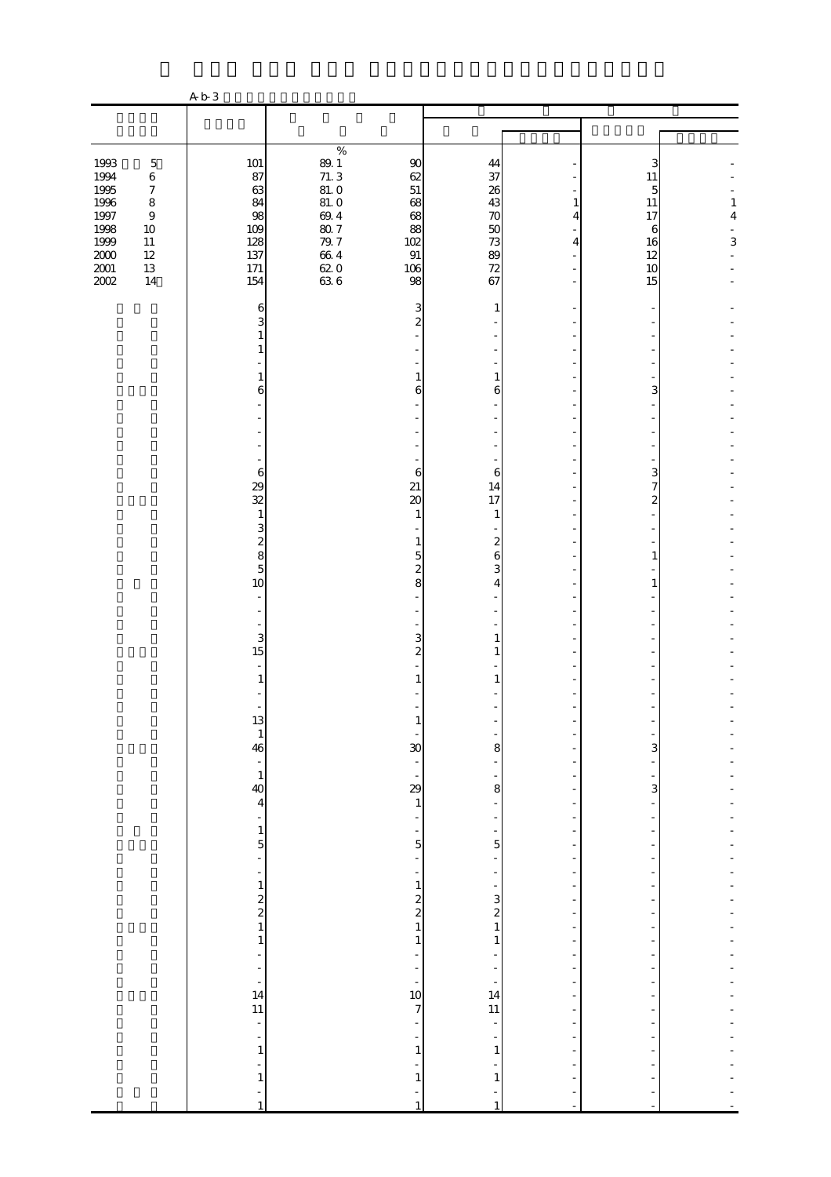|                          | $\%$                                                                                                                                                                                                                                                                                                                                                                               |                                                                                        |                                                                                                                                                                                                                                                                                                     |                                                                                                                                                                                                      |        |                                     |
|--------------------------|------------------------------------------------------------------------------------------------------------------------------------------------------------------------------------------------------------------------------------------------------------------------------------------------------------------------------------------------------------------------------------|----------------------------------------------------------------------------------------|-----------------------------------------------------------------------------------------------------------------------------------------------------------------------------------------------------------------------------------------------------------------------------------------------------|------------------------------------------------------------------------------------------------------------------------------------------------------------------------------------------------------|--------|-------------------------------------|
| 87                       |                                                                                                                                                                                                                                                                                                                                                                                    | $62\,$                                                                                 | 37                                                                                                                                                                                                                                                                                                  |                                                                                                                                                                                                      | 11     |                                     |
| 84                       | 81.0                                                                                                                                                                                                                                                                                                                                                                               | 68                                                                                     | 43                                                                                                                                                                                                                                                                                                  | 1                                                                                                                                                                                                    | $11\,$ | $\mathbf{1}$                        |
| 109                      |                                                                                                                                                                                                                                                                                                                                                                                    | 88                                                                                     | 50                                                                                                                                                                                                                                                                                                  |                                                                                                                                                                                                      | 6      | $\overline{\mathbf{4}}$             |
|                          |                                                                                                                                                                                                                                                                                                                                                                                    |                                                                                        |                                                                                                                                                                                                                                                                                                     | 4                                                                                                                                                                                                    |        | $\,$ 3 $\,$                         |
| 171                      |                                                                                                                                                                                                                                                                                                                                                                                    | 106                                                                                    | 72                                                                                                                                                                                                                                                                                                  |                                                                                                                                                                                                      | 10     |                                     |
|                          |                                                                                                                                                                                                                                                                                                                                                                                    |                                                                                        |                                                                                                                                                                                                                                                                                                     |                                                                                                                                                                                                      |        |                                     |
| 3                        |                                                                                                                                                                                                                                                                                                                                                                                    | $\mathbf{z}$                                                                           |                                                                                                                                                                                                                                                                                                     |                                                                                                                                                                                                      |        |                                     |
| 1<br>1                   |                                                                                                                                                                                                                                                                                                                                                                                    |                                                                                        |                                                                                                                                                                                                                                                                                                     |                                                                                                                                                                                                      |        |                                     |
|                          |                                                                                                                                                                                                                                                                                                                                                                                    |                                                                                        |                                                                                                                                                                                                                                                                                                     |                                                                                                                                                                                                      |        |                                     |
| 6                        |                                                                                                                                                                                                                                                                                                                                                                                    | 6                                                                                      | 6                                                                                                                                                                                                                                                                                                   |                                                                                                                                                                                                      | 3      |                                     |
|                          |                                                                                                                                                                                                                                                                                                                                                                                    |                                                                                        |                                                                                                                                                                                                                                                                                                     |                                                                                                                                                                                                      |        |                                     |
|                          |                                                                                                                                                                                                                                                                                                                                                                                    |                                                                                        |                                                                                                                                                                                                                                                                                                     |                                                                                                                                                                                                      |        |                                     |
|                          |                                                                                                                                                                                                                                                                                                                                                                                    |                                                                                        |                                                                                                                                                                                                                                                                                                     |                                                                                                                                                                                                      |        |                                     |
| 29                       |                                                                                                                                                                                                                                                                                                                                                                                    | 21                                                                                     | 14                                                                                                                                                                                                                                                                                                  |                                                                                                                                                                                                      | 7      |                                     |
|                          |                                                                                                                                                                                                                                                                                                                                                                                    |                                                                                        |                                                                                                                                                                                                                                                                                                     |                                                                                                                                                                                                      | 2      |                                     |
| 3                        |                                                                                                                                                                                                                                                                                                                                                                                    |                                                                                        |                                                                                                                                                                                                                                                                                                     |                                                                                                                                                                                                      |        |                                     |
| 8                        |                                                                                                                                                                                                                                                                                                                                                                                    | 5                                                                                      | $\mathbf 6$                                                                                                                                                                                                                                                                                         |                                                                                                                                                                                                      | 1      |                                     |
|                          |                                                                                                                                                                                                                                                                                                                                                                                    | 8                                                                                      | 4                                                                                                                                                                                                                                                                                                   |                                                                                                                                                                                                      | 1      |                                     |
| $\omega$                 |                                                                                                                                                                                                                                                                                                                                                                                    |                                                                                        |                                                                                                                                                                                                                                                                                                     |                                                                                                                                                                                                      |        |                                     |
| ÷,                       |                                                                                                                                                                                                                                                                                                                                                                                    |                                                                                        |                                                                                                                                                                                                                                                                                                     |                                                                                                                                                                                                      |        |                                     |
| 15                       |                                                                                                                                                                                                                                                                                                                                                                                    | $\overline{2}$                                                                         | 1                                                                                                                                                                                                                                                                                                   |                                                                                                                                                                                                      |        |                                     |
| $\sim$                   |                                                                                                                                                                                                                                                                                                                                                                                    |                                                                                        | 1                                                                                                                                                                                                                                                                                                   |                                                                                                                                                                                                      |        |                                     |
|                          |                                                                                                                                                                                                                                                                                                                                                                                    |                                                                                        |                                                                                                                                                                                                                                                                                                     |                                                                                                                                                                                                      |        |                                     |
| 13                       |                                                                                                                                                                                                                                                                                                                                                                                    |                                                                                        |                                                                                                                                                                                                                                                                                                     |                                                                                                                                                                                                      |        |                                     |
|                          |                                                                                                                                                                                                                                                                                                                                                                                    |                                                                                        | 8                                                                                                                                                                                                                                                                                                   |                                                                                                                                                                                                      | 3      |                                     |
|                          |                                                                                                                                                                                                                                                                                                                                                                                    | $\frac{1}{\sqrt{2}}$                                                                   |                                                                                                                                                                                                                                                                                                     |                                                                                                                                                                                                      |        |                                     |
| 40                       |                                                                                                                                                                                                                                                                                                                                                                                    | 29                                                                                     | 8                                                                                                                                                                                                                                                                                                   |                                                                                                                                                                                                      | 3      |                                     |
| $\frac{1}{2}$            |                                                                                                                                                                                                                                                                                                                                                                                    | $\overline{\phantom{m}}$                                                               | $\overline{\phantom{m}}$                                                                                                                                                                                                                                                                            | ٠                                                                                                                                                                                                    |        |                                     |
|                          |                                                                                                                                                                                                                                                                                                                                                                                    |                                                                                        |                                                                                                                                                                                                                                                                                                     |                                                                                                                                                                                                      |        |                                     |
| $\overline{\phantom{a}}$ |                                                                                                                                                                                                                                                                                                                                                                                    | $\frac{1}{2}$                                                                          |                                                                                                                                                                                                                                                                                                     | $\overline{\phantom{a}}$                                                                                                                                                                             |        |                                     |
| $\,1\,$                  |                                                                                                                                                                                                                                                                                                                                                                                    | $\,1\,$                                                                                |                                                                                                                                                                                                                                                                                                     |                                                                                                                                                                                                      |        |                                     |
|                          |                                                                                                                                                                                                                                                                                                                                                                                    |                                                                                        |                                                                                                                                                                                                                                                                                                     |                                                                                                                                                                                                      |        |                                     |
|                          |                                                                                                                                                                                                                                                                                                                                                                                    |                                                                                        |                                                                                                                                                                                                                                                                                                     |                                                                                                                                                                                                      |        |                                     |
| ÷                        |                                                                                                                                                                                                                                                                                                                                                                                    | ÷                                                                                      |                                                                                                                                                                                                                                                                                                     |                                                                                                                                                                                                      |        |                                     |
| $\overline{\phantom{0}}$ |                                                                                                                                                                                                                                                                                                                                                                                    | ÷                                                                                      |                                                                                                                                                                                                                                                                                                     | $\overline{\phantom{a}}$                                                                                                                                                                             |        |                                     |
|                          |                                                                                                                                                                                                                                                                                                                                                                                    |                                                                                        |                                                                                                                                                                                                                                                                                                     | $\overline{\phantom{m}}$                                                                                                                                                                             |        |                                     |
| $\blacksquare$           |                                                                                                                                                                                                                                                                                                                                                                                    | ÷                                                                                      | ÷                                                                                                                                                                                                                                                                                                   |                                                                                                                                                                                                      |        |                                     |
| $\,1\,$                  |                                                                                                                                                                                                                                                                                                                                                                                    | $\mathbf{1}$                                                                           | $\mathbf{1}$                                                                                                                                                                                                                                                                                        |                                                                                                                                                                                                      |        |                                     |
| -<br>$\,1\,$             |                                                                                                                                                                                                                                                                                                                                                                                    | $\mathbf{1}$                                                                           | $\mathbf{1}$                                                                                                                                                                                                                                                                                        |                                                                                                                                                                                                      |        |                                     |
| -<br>$\,1\,$             |                                                                                                                                                                                                                                                                                                                                                                                    | $\mathbf{1}$                                                                           | $\mathbf{1}$                                                                                                                                                                                                                                                                                        |                                                                                                                                                                                                      |        |                                     |
|                          | A b 3<br>101<br>63<br>98<br>128<br>137<br>154<br>6<br>1<br>$\,$ 6 $\,$<br>32<br>$\mathbf{1}$<br>$\overline{\mathbf{c}}$<br>$\overline{5}$<br>$10$<br>$\overline{\phantom{a}}$<br>3<br>$\mathbf{1}$<br>$\mathbf{1}$<br>46<br>$\frac{1}{1}$<br>$\overline{\mathbf{4}}$<br>$\mathbf{1}$<br>5<br>-<br>$\begin{array}{c} 2 \\ 2 \\ 1 \end{array}$<br>$\mathbf{1}$<br>÷<br>14<br>11<br>÷ | $\frac{89.1}{71.3}$<br>81.0<br>$69.4$<br>$80.7$<br>$79.7$<br>$66\ 4$<br>$620$<br>$636$ | $90\,$<br>$51\,$<br>68<br>102<br>$\, 91$<br>98<br>3<br>1<br>6<br>$\infty$<br>$\mathbf{1}$<br>1<br>$\overline{\mathcal{Z}}$<br>3<br>30<br>$\overline{\phantom{a}}$<br>$\,1\,$<br>5<br>÷<br>$\begin{array}{c} 2 \\ 2 \\ 1 \end{array}$<br>$\mathbf{1}$<br>$\overline{a}$<br>10<br>$\overline{7}$<br>÷ | 44<br>26<br>70<br>73<br>89<br>67<br>1<br>1<br>6<br>17<br>$\mathbf{1}$<br>$\boldsymbol{z}$<br>3<br>1<br>5<br>$\begin{array}{c} 3 \\ 2 \\ 1 \end{array}$<br>$\mathbf{1}$<br>14<br>$\overline{11}$<br>÷ | 4      | 3<br>5<br>17<br>16<br>12<br>15<br>3 |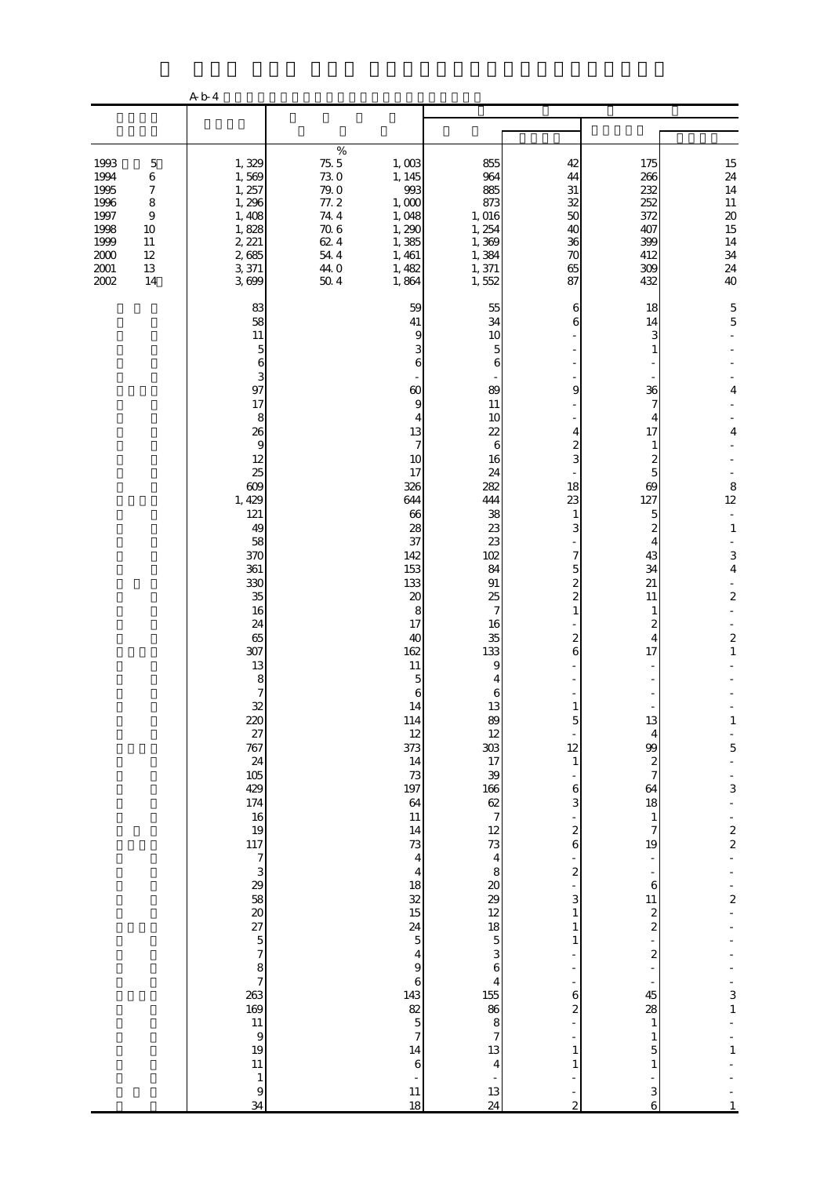|                                                                                  |                                                                                                               | A b 4                                                                                                                                                                                                                                                                                                                                                                                                            |                                                                                    |                                                                                                                                                                                                                                                                                                                                                                                                                                                                                                                                                                                                      |                                                                                                                                                                                                                                                                                                                                                                                                                                                                                                             |                                                                                                                                                                                                                                                                                                                                                                           |                                                                                                                                                                                                                                                                                                                                                                                                                                                                         |                                                                                                                                                                                                                                                                                                                        |
|----------------------------------------------------------------------------------|---------------------------------------------------------------------------------------------------------------|------------------------------------------------------------------------------------------------------------------------------------------------------------------------------------------------------------------------------------------------------------------------------------------------------------------------------------------------------------------------------------------------------------------|------------------------------------------------------------------------------------|------------------------------------------------------------------------------------------------------------------------------------------------------------------------------------------------------------------------------------------------------------------------------------------------------------------------------------------------------------------------------------------------------------------------------------------------------------------------------------------------------------------------------------------------------------------------------------------------------|-------------------------------------------------------------------------------------------------------------------------------------------------------------------------------------------------------------------------------------------------------------------------------------------------------------------------------------------------------------------------------------------------------------------------------------------------------------------------------------------------------------|---------------------------------------------------------------------------------------------------------------------------------------------------------------------------------------------------------------------------------------------------------------------------------------------------------------------------------------------------------------------------|-------------------------------------------------------------------------------------------------------------------------------------------------------------------------------------------------------------------------------------------------------------------------------------------------------------------------------------------------------------------------------------------------------------------------------------------------------------------------|------------------------------------------------------------------------------------------------------------------------------------------------------------------------------------------------------------------------------------------------------------------------------------------------------------------------|
|                                                                                  |                                                                                                               |                                                                                                                                                                                                                                                                                                                                                                                                                  |                                                                                    |                                                                                                                                                                                                                                                                                                                                                                                                                                                                                                                                                                                                      |                                                                                                                                                                                                                                                                                                                                                                                                                                                                                                             |                                                                                                                                                                                                                                                                                                                                                                           |                                                                                                                                                                                                                                                                                                                                                                                                                                                                         |                                                                                                                                                                                                                                                                                                                        |
| 1993<br>1994<br>1995<br>1996<br>1997<br>1998<br>1999<br>2000<br>$2001\,$<br>2002 | $\mathbf 5$<br>$\,6$<br>$\boldsymbol{7}$<br>$\,$ 8 $\,$<br>$\boldsymbol{9}$<br>10<br>11<br>12<br>$13\,$<br>14 | 1,329<br>1,569<br>1, 257<br>1,296<br>1,408<br>1,828<br>2, 221<br>2,685<br>3,371<br>3,699                                                                                                                                                                                                                                                                                                                         | %<br>75.5<br>730<br>$79.0$<br>77.2<br>74.4<br>$70.6$<br>624<br>54 4<br>44.0<br>504 | 1,003<br>1, 145<br>993<br>1,000<br>1,048<br>1,290<br>1,385<br>1, 461<br>1,482<br>1,864                                                                                                                                                                                                                                                                                                                                                                                                                                                                                                               | 855<br>964<br>885<br>873<br>1, 016<br>1, 254<br>1,369<br>1,384<br>1,371<br>1,552                                                                                                                                                                                                                                                                                                                                                                                                                            | 42<br>44<br>$31\,$<br>32<br>50<br>40<br>36<br>70<br>65<br>87                                                                                                                                                                                                                                                                                                              | 175<br>266<br>232<br>252<br>372<br>407<br>399<br>412<br>309<br>432                                                                                                                                                                                                                                                                                                                                                                                                      | 15<br>$\frac{24}{14}$<br>$11\,$<br>$\boldsymbol{\mathsf{20}}$<br>$\frac{15}{14}$<br>34<br>24<br>40                                                                                                                                                                                                                     |
|                                                                                  |                                                                                                               | 83<br>58<br>11<br>$\mathbf{5}$<br>6<br>3<br>97<br>17<br>8<br>26<br>$\theta$<br>12<br>25<br>609<br>1, 429<br>121<br>49<br>58<br>370<br>361<br>330<br>35<br>16<br>24<br>65<br>307<br>13<br>$\begin{array}{c} 8 \\ 7 \end{array}$<br>32<br>220<br>$\frac{27}{767}$<br>24<br>105<br>429<br>174<br>$\frac{16}{19}$<br>11773<br>$3888888883$<br>$787578757$<br>169<br>11<br>$\theta$<br>19<br>11<br>$\,1\,$<br>9<br>34 |                                                                                    | 59<br>41<br>9<br>3<br>6<br>$\omega$<br>$\boldsymbol{9}$<br>4<br>13<br>$\boldsymbol{7}$<br>10<br>17<br>326<br>644<br>66<br>28<br>37<br>142<br>153<br>133<br>$20\,$<br>8<br>17<br>40<br>162<br>11<br>5<br>6<br>14<br>114<br>$12\,$<br>373<br>14<br>$73\,$<br>197<br>64<br>11<br>14<br>73<br>$\overline{\mathbf{4}}$<br>$\overline{\mathbf{4}}$<br>18<br>$\overline{\text{32}}$<br>15<br>$\frac{24}{5}$<br>$\overline{\mathbf{r}}$<br>$\overline{9}$<br>$\overline{6}$<br>143<br>$\begin{array}{c}\n 82 \\  5 \\  7\n \end{array}$<br>$14\,$<br>$\,$ 6 $\,$<br>$\overline{\phantom{a}}$<br>$11\,$<br>18 | 55<br>34<br>10<br>$\overline{5}$<br>6<br>89<br>11<br>10<br>22<br>6<br>16<br>24<br>282<br>444<br>38<br>23<br>23<br>102<br>84<br>$91\,$<br>25<br>7<br>16<br>35<br>133<br>9<br>4<br>6<br>13<br>89<br>12<br>303<br>17<br>$\begin{array}{c}\n 39 \\  106 \\  62\n 7\n 12\n 3\n 4\n 8\n \end{array}$<br>$\frac{20}{29}$<br>$\begin{array}{c}\n18 \\ 5 \\ 3\n\end{array}$<br>$\boldsymbol{6}$<br>$\overline{\mathbf{4}}$<br>155<br>86<br>$\begin{array}{c} 8 \\ 7 \end{array}$<br>13<br>$\overline{4}$<br>13<br>24 | 6<br>6<br>9<br>4<br>$\boldsymbol{z}$<br>3<br>18<br>23<br>1<br>3<br>7<br>5<br>2<br>$\overline{\mathcal{Z}}$<br>$\mathbf{1}$<br>2<br>6<br>$\overline{5}$<br>12<br>$\mathbf{1}$<br>6<br>3<br>$\overline{\mathcal{L}}$<br>6<br>$\overline{\mathcal{L}}$<br>3<br>$\mathbf{1}$<br>1<br>1<br>6<br>$\overline{\mathcal{Z}}$<br>$\mathbf{1}$<br>1<br>÷<br>$\overline{\mathcal{Z}}$ | 18<br>14<br>3<br>1<br>36<br>7<br>4<br>17<br>$\mathbf{1}$<br>2<br>5<br>69<br>127<br>5<br>2<br>4<br>43<br>34<br>21<br>11<br>1<br>2<br>$\overline{4}$<br>17<br>13<br>$\overline{4}$<br>99<br>$\boldsymbol{z}$<br>$\overline{\mathcal{U}}$<br>64<br>18<br>$\mathbf{1}$<br>$\boldsymbol{7}$<br>19<br>$\overline{\phantom{0}}$<br>÷<br>$\,$ 6 $\,$<br>11<br>$\frac{2}{2}$<br>$\boldsymbol{z}$<br>÷<br>45<br>28<br>$\mathbf{1}$<br>$\mathbf{1}$<br>5<br>$\mathbf{1}$<br>3<br>6 | 5<br>$\mathbf 5$<br>4<br>4<br>$\begin{array}{c} 8 \\ 12 \end{array}$<br>$\Box$<br>$\mathbf{1}$<br>3<br>$\bf 4$<br>$\boldsymbol{2}$<br>$\boldsymbol{2}$<br>$\mathbf{1}$<br>$\mathbf{1}$<br>5<br>3<br>$\frac{2}{2}$<br>$\overline{\mathcal{L}}$<br>$\begin{array}{c} 3 \\ 1 \end{array}$<br>$\mathbf{1}$<br>$\mathbf{1}$ |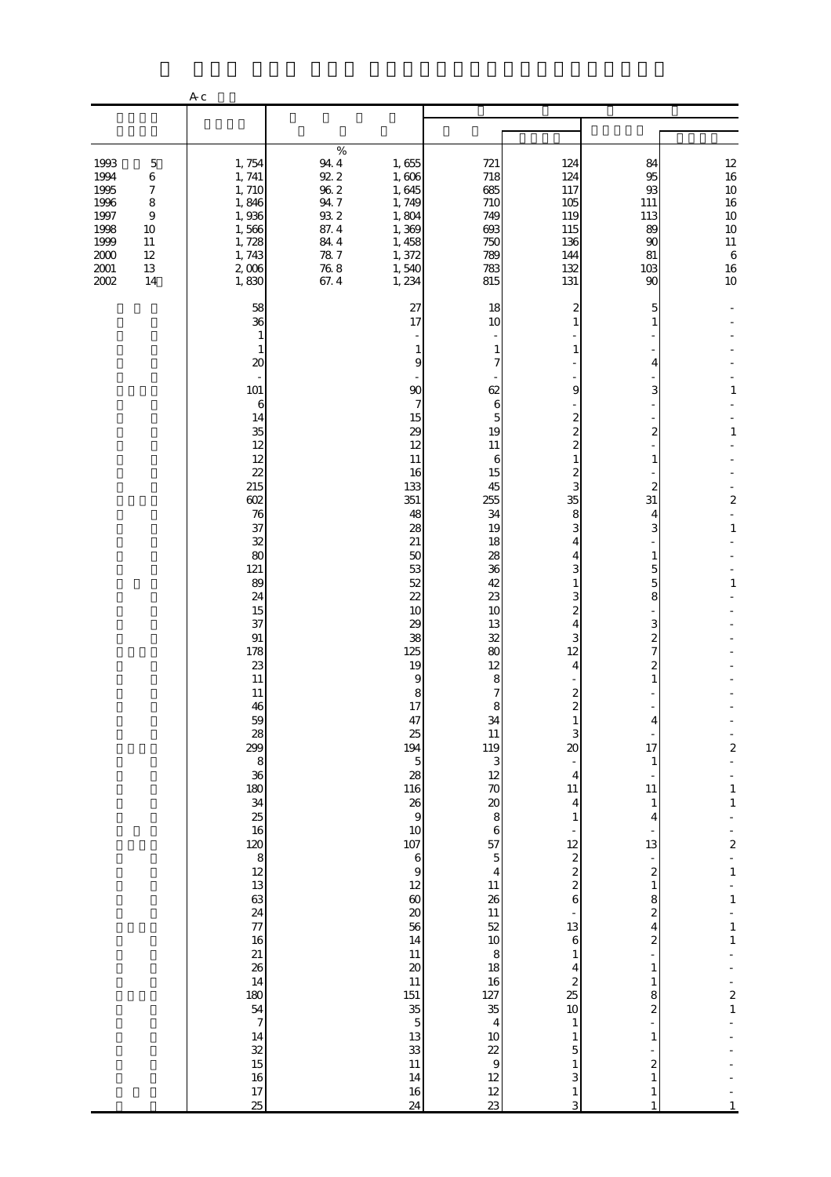|                                                                                      |                                                                                               | A c                                                                                                                                                                                                                                                                                                                                                                                                                                                                                            |                                                                                                  |                                                                                                                                                                                                                                                                                                                                                                                                                                                         |                                                                                                                                                                                                                                                                                                                                                                                                                                           |                                                                                                                                                                                                                                                                                                                                                                                                                                                                                                                                                          |                                                                                                                                                                                                                                                                                                                                                                                                                                                                                             |                                                                                                                                                                                                                                                          |
|--------------------------------------------------------------------------------------|-----------------------------------------------------------------------------------------------|------------------------------------------------------------------------------------------------------------------------------------------------------------------------------------------------------------------------------------------------------------------------------------------------------------------------------------------------------------------------------------------------------------------------------------------------------------------------------------------------|--------------------------------------------------------------------------------------------------|---------------------------------------------------------------------------------------------------------------------------------------------------------------------------------------------------------------------------------------------------------------------------------------------------------------------------------------------------------------------------------------------------------------------------------------------------------|-------------------------------------------------------------------------------------------------------------------------------------------------------------------------------------------------------------------------------------------------------------------------------------------------------------------------------------------------------------------------------------------------------------------------------------------|----------------------------------------------------------------------------------------------------------------------------------------------------------------------------------------------------------------------------------------------------------------------------------------------------------------------------------------------------------------------------------------------------------------------------------------------------------------------------------------------------------------------------------------------------------|---------------------------------------------------------------------------------------------------------------------------------------------------------------------------------------------------------------------------------------------------------------------------------------------------------------------------------------------------------------------------------------------------------------------------------------------------------------------------------------------|----------------------------------------------------------------------------------------------------------------------------------------------------------------------------------------------------------------------------------------------------------|
|                                                                                      |                                                                                               |                                                                                                                                                                                                                                                                                                                                                                                                                                                                                                |                                                                                                  |                                                                                                                                                                                                                                                                                                                                                                                                                                                         |                                                                                                                                                                                                                                                                                                                                                                                                                                           |                                                                                                                                                                                                                                                                                                                                                                                                                                                                                                                                                          |                                                                                                                                                                                                                                                                                                                                                                                                                                                                                             |                                                                                                                                                                                                                                                          |
| 1993<br>1994<br>1995<br>1996<br>1997<br>1998<br>1999<br>$2000\,$<br>$2001\,$<br>2002 | $\mathbf 5$<br>6<br>$\boldsymbol{7}$<br>8<br>$\overline{9}$<br>10<br>11<br>12<br>$13\,$<br>14 | 1,754<br>1, 741<br>1,710<br>1,846<br>1,936<br>1,566<br>1,728<br>1,743<br>2,006<br>1,830                                                                                                                                                                                                                                                                                                                                                                                                        | $\%$<br>$94\ 4$<br>92.2<br>$96\ 2$<br>94.7<br>$93\ 2$<br>87.4<br>84.4<br>78.7<br>$76\ 8$<br>67.4 | 1,655<br>1,606<br>1,645<br>1,749<br>1,804<br>1,369<br>1, 458<br>1,372<br>1,540<br>1, 234                                                                                                                                                                                                                                                                                                                                                                | 721<br>718<br>685<br>710<br>749<br>693<br>750<br>789<br>783<br>815                                                                                                                                                                                                                                                                                                                                                                        | 124<br>124<br>117<br>105<br>119<br>115<br>136<br>144<br>132<br>131                                                                                                                                                                                                                                                                                                                                                                                                                                                                                       | 84<br>95<br>93<br>111<br>113<br>89<br>90<br>81<br>103<br>90                                                                                                                                                                                                                                                                                                                                                                                                                                 | $\begin{array}{c} 12 \\ 16 \end{array}$<br>10<br>16<br>$10$<br>10<br>$11\,$<br>$\,6\,$<br>$16\,$<br>10 <sub>o</sub>                                                                                                                                      |
|                                                                                      |                                                                                               | 58<br>36<br>1<br>1<br>20<br>101<br>6<br>14<br>35<br>12<br>12<br>22<br>215<br>602<br>76<br>37<br>32<br>80<br>121<br>89<br>24<br>15<br>37<br>91<br>178<br>23<br>11<br>11<br>46<br>$\frac{59}{28}$<br>299<br>$\begin{array}{c} 8 \\ 36 \end{array}$<br>$\frac{180}{34}$<br>25<br>16<br>$\begin{array}{c}\n 120 \\  8 \\  12 \\  13\n \end{array}$<br>63<br>24<br>$\overline{77}$<br>16<br>21<br>26<br>14<br>180<br>54<br>$\begin{array}{c} 7 \end{array}$<br>14<br>32<br>15<br>16<br>$17\,$<br>25 |                                                                                                  | 27<br>17<br>1<br>9<br>90<br>7<br>15<br>29<br>12<br>11<br>16<br>133<br>351<br>48<br>28<br>21<br>50<br>53<br>52<br>$\overline{2}$<br>10<br>29<br>38<br>125<br>19<br>9<br>8<br>17<br>47<br>25<br>194<br>$\mathbf 5$<br>28<br>116<br>26<br>$\,9$<br>10<br>107<br>$\,$ 6 $\,$<br>$\overline{9}$<br>12<br>$\pmb{\infty}$<br>$20\,$<br>56<br>14<br>11<br>$20\,$<br>11<br>151<br>$35\,$<br>$\mathbf 5$<br>13<br>$33\,$<br>11<br>$14\phantom{.}$<br>$16\,$<br>24 | 18<br>10<br>1<br>7<br>62<br>6<br>5<br>19<br>11<br>6<br>15<br>45<br>255<br>34<br>19<br>18<br>28<br>36<br>42<br>23<br>10<br>13<br>32<br>80<br>12<br>8<br>7<br>34<br>11<br>119<br>3<br>$12 \text{ }$<br>70<br>$\boldsymbol{\alpha}$<br>$\bf8$<br>$\,$ 6 $\,$<br>57<br>$\mathbf 5$<br>$\overline{\mathbf{4}}$<br>11<br>26<br>11<br>52<br>10<br>8<br>18<br>16<br>127<br>35<br>$\overline{4}$<br>$10$<br>22<br>$\overline{9}$<br>12<br>12<br>23 | 2<br>1<br>1<br>9<br>$\overline{c}$<br>$\overline{c}$<br>$\overline{c}$<br>$\mathbf{1}$<br>2<br>3<br>35<br>8<br>3<br>4<br>4<br>3<br>1<br>3<br>$\overline{c}$<br>4<br>3<br>12<br>4<br>$\boldsymbol{z}$<br>$\mathbf{1}$<br>3<br>$\infty$<br>$\overline{4}$<br>$11\,$<br>$\overline{4}$<br>$\mathbf{1}$<br>12<br>$\boldsymbol{z}$<br>$\overline{\mathcal{L}}$<br>$\overline{\mathcal{L}}$<br>6<br>13<br>$\,$ 6 $\,$<br>$\mathbf{1}$<br>4<br>$\overline{\mathcal{Z}}$<br>25<br>$10$<br>$\mathbf{1}$<br>$\mathbf{1}$<br>5<br>$\mathbf{1}$<br>3<br>$\,1\,$<br>3 | 5<br>1<br>4<br>3<br>2<br>$\mathbf{1}$<br>2<br>31<br>4<br>3<br>$\mathbf{1}$<br>5<br>5<br>8<br>3<br>$\boldsymbol{2}$<br>7<br>$\overline{\mathcal{Z}}$<br>$\mathbf{1}$<br>4<br>17<br>$\mathbf{1}$<br>$11\,$<br>$\mathbf{1}$<br>4<br>13<br>-<br>$\boldsymbol{z}$<br>$\mathbf{1}$<br>8<br>$\boldsymbol{z}$<br>4<br>$\boldsymbol{z}$<br>$\mathbf{1}$<br>$\mathbf{1}$<br>8<br>$\overline{\mathcal{Z}}$<br>$\mathbf{1}$<br>$\overline{\mathcal{Z}}$<br>$\mathbf{1}$<br>$\mathbf{1}$<br>$\mathbf{1}$ | 1<br>$\mathbf{1}$<br>$\overline{c}$<br>$\mathbf{1}$<br>$\mathbf{1}$<br>$\overline{\mathbf{c}}$<br>$\mathbf{1}$<br>$\mathbf 1$<br>$\overline{\mathbf{c}}$<br>$\,1\,$<br>$\,1\,$<br>$\mathbf{1}$<br>$\,1\,$<br>$\overline{\mathbf{c}}$<br>$\,1\,$<br>$1\,$ |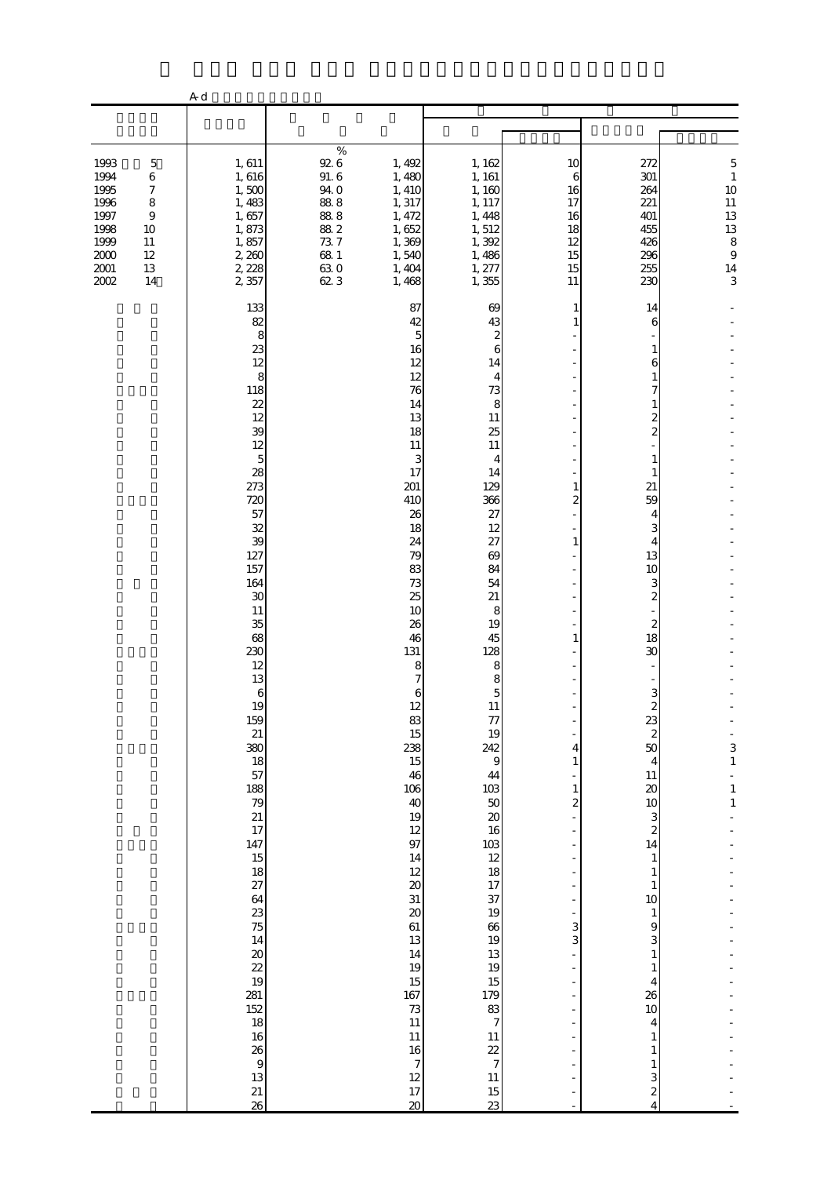|                                                                                                                                                                    | A d                                                                                                                                                                                                                                                                                                                                                                                                          |                                                                                           |                                                                                                                                                                                                                                                                                                                                                                                                                                                     |                                                                                                                                                                                                                                                                                                                                                                                                                                                    |                                                                                                                                                             |                                                                                                                                                                                                                                                                                                                                                                                                                                                                                             |                                                                                                       |
|--------------------------------------------------------------------------------------------------------------------------------------------------------------------|--------------------------------------------------------------------------------------------------------------------------------------------------------------------------------------------------------------------------------------------------------------------------------------------------------------------------------------------------------------------------------------------------------------|-------------------------------------------------------------------------------------------|-----------------------------------------------------------------------------------------------------------------------------------------------------------------------------------------------------------------------------------------------------------------------------------------------------------------------------------------------------------------------------------------------------------------------------------------------------|----------------------------------------------------------------------------------------------------------------------------------------------------------------------------------------------------------------------------------------------------------------------------------------------------------------------------------------------------------------------------------------------------------------------------------------------------|-------------------------------------------------------------------------------------------------------------------------------------------------------------|---------------------------------------------------------------------------------------------------------------------------------------------------------------------------------------------------------------------------------------------------------------------------------------------------------------------------------------------------------------------------------------------------------------------------------------------------------------------------------------------|-------------------------------------------------------------------------------------------------------|
|                                                                                                                                                                    |                                                                                                                                                                                                                                                                                                                                                                                                              |                                                                                           |                                                                                                                                                                                                                                                                                                                                                                                                                                                     |                                                                                                                                                                                                                                                                                                                                                                                                                                                    |                                                                                                                                                             |                                                                                                                                                                                                                                                                                                                                                                                                                                                                                             |                                                                                                       |
| 1993<br>$\mathbf 5$<br>1994<br>6<br>1995<br>7<br>1996<br>8<br>1997<br>$\boldsymbol{9}$<br>1998<br>10<br>1999<br>11<br>$2000$<br>12<br>$2001\,$<br>13<br>2002<br>14 | 1,611<br>1,616<br>1,500<br>1,483<br>1,657<br>1,873<br>1,857<br>2,260<br>2, 228<br>2,357                                                                                                                                                                                                                                                                                                                      | $\%$<br>$92\,6$<br>91.6<br>94.0<br>88.8<br>88.8<br>88.2<br>73.7<br>$68\ 1$<br>63.0<br>623 | 1, 492<br>1,480<br>1, 410<br>1, 317<br>1, 472<br>1,652<br>1,369<br>1,540<br>1, 404<br>1,468                                                                                                                                                                                                                                                                                                                                                         | 1, 162<br>1, 161<br>1,160<br>1, 117<br>1, 448<br>1,512<br>1,392<br>1,486<br>1, 277<br>1,355                                                                                                                                                                                                                                                                                                                                                        | 10<br>6<br>16<br>17<br>16<br>18<br>12<br>15<br>15<br>11                                                                                                     | 272<br>301<br>264<br>221<br>401<br>455<br>426<br>296<br>255<br>230                                                                                                                                                                                                                                                                                                                                                                                                                          | 5<br>$\,1\,$<br>10<br>$\begin{array}{c} 11 \\ 13 \\ 13 \\ 8 \end{array}$<br>$\overline{9}$<br>14<br>3 |
|                                                                                                                                                                    | 133<br>82<br>23<br>12<br>118<br>22<br>12<br>39<br>12<br>28<br>273<br>720<br>57<br>32<br>39<br>127<br>157<br>164<br>30<br>11<br>35<br>68<br>230<br>12<br>13<br>19<br>159<br>21<br>380<br>18<br>57<br>188<br>79<br>21<br>17<br>147<br>15<br>$\frac{18}{27}$<br>64<br>23<br>75<br>14<br>$\infty$<br>$\overline{22}$<br>19<br>281<br>152<br>18<br>16<br>26<br>$\begin{array}{c} 9 \\ 13 \end{array}$<br>21<br>26 | 8<br>8<br>$\overline{5}$<br>$\,6$                                                         | 87<br>42<br>5<br>16<br>12<br>12<br>76<br>14<br>13<br>18<br>11<br>3<br>17<br>201<br>410<br>26<br>18<br>24<br>79<br>83<br>73<br>25<br>10<br>26<br>46<br>131<br>8<br>7<br>6<br>12<br>83<br>15<br>238<br>15<br>46<br>$106\,$<br>40<br>19<br>12<br>97<br>14<br>12<br>$\boldsymbol{\mathsf{20}}$<br>31<br>$\pmb{\mathcal{X}}$<br>61<br>13<br>14<br>19<br>15<br>167<br>$73\,$<br>11<br>11<br>$16\,$<br>$\boldsymbol{7}$<br>12<br>17<br>$\boldsymbol{\chi}$ | 69<br>43<br>2<br>6<br>14<br>4<br>73<br>8<br>11<br>25<br>11<br>4<br>14<br>129<br>366<br>27<br>12<br>27<br>69<br>84<br>54<br>21<br>8<br>19<br>45<br>128<br>8<br>8<br>$\overline{5}$<br>11<br>77<br>19<br>242<br>$\overline{9}$<br>44<br>$\begin{array}{c} 103 \\ 50 \end{array}$<br>$\pmb{\mathcal{Z}}$<br>16<br>103<br>12<br>18<br>17<br>37<br>19<br>66<br>19<br>13<br>19<br>$15\,$<br>179<br>83<br>7<br>11<br>$\frac{22}{7}$<br>11<br>$15\,$<br>23 | 1<br>1<br>1<br>2<br>1<br>1<br>4<br>$\mathbf{1}$<br>$\mathbf{1}$<br>$\overline{\mathcal{Z}}$<br>$\sim$<br>3<br>3<br>$\bar{a}$<br>$\bar{a}$<br>$\overline{a}$ | 14<br>6<br>1<br>6<br>7<br>2<br>$\overline{c}$<br>1<br>21<br>59<br>4<br>3<br>4<br>13<br>10<br>3<br>$\boldsymbol{2}$<br>$\boldsymbol{z}$<br>18<br>30<br>3<br>23<br>$\boldsymbol{z}$<br>50<br>$\overline{4}$<br>$11\,$<br>$\infty$<br>$10$<br>$\ensuremath{\mathsf{3}}$<br>$\boldsymbol{z}$<br>14<br>$\mathbf{1}$<br>1<br>$\mathbf{1}$<br>$10\,$<br>$\mathbf{1}$<br>9<br>3<br>$\mathbf{1}$<br>$\mathbf{1}$<br>4<br>26<br>$10\,$<br>4<br>1<br>1<br>1<br>3<br>$\boldsymbol{2}$<br>$\overline{4}$ | $\begin{array}{c} 3 \\ 1 \end{array}$<br>$\begin{smallmatrix}1\\1\end{smallmatrix}$                   |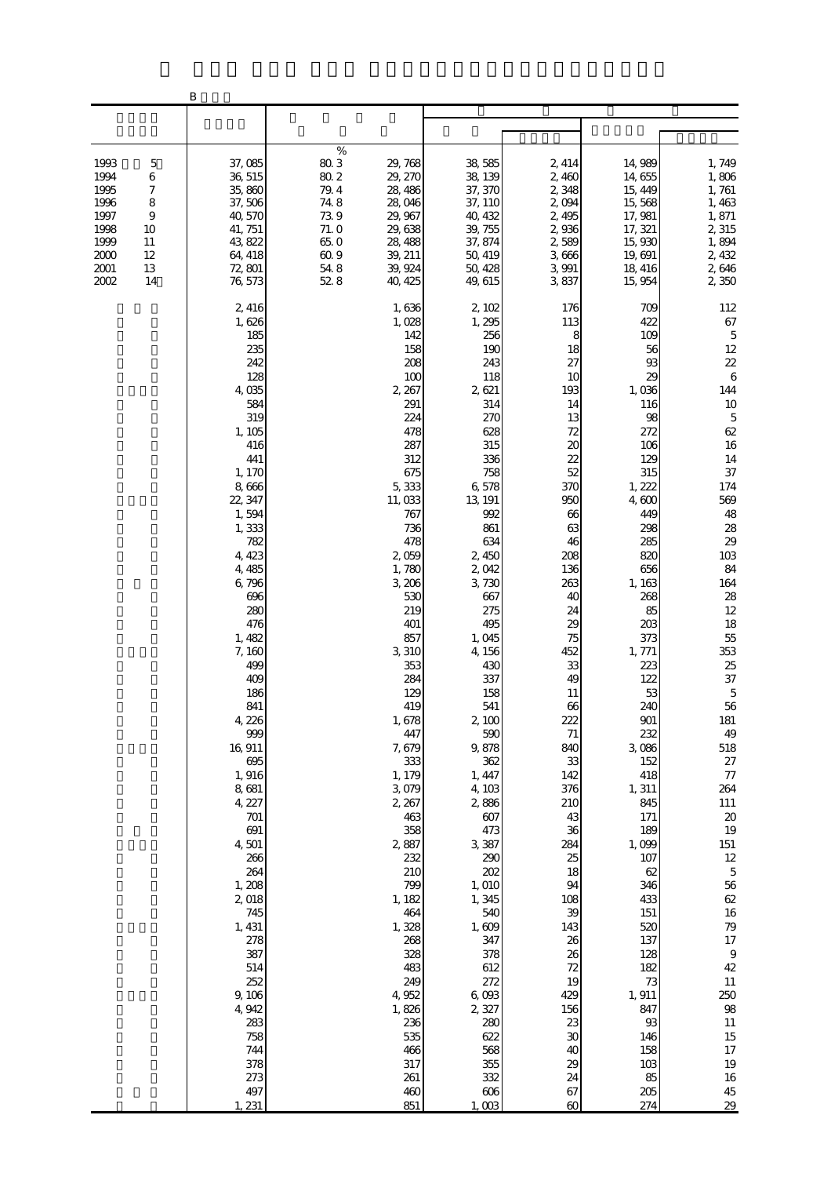|                                                                                                                                     | B                                                                                                                                                                                                                                                                                                                                                                                                                                                                                          |                                                                                                                                                                                                                                                                                                                                                                                                                                                                       |                                                                                                                                                                                                                                                                                                                                                                                                                                                                           |                                                                                                                                                                                                                                                                                                                                                                                          |                                                                                                                                                                                                                                                                                                                                                                                                                                           |                                                                                                                                                                                                                                                                                                                                                                                                                                                              |
|-------------------------------------------------------------------------------------------------------------------------------------|--------------------------------------------------------------------------------------------------------------------------------------------------------------------------------------------------------------------------------------------------------------------------------------------------------------------------------------------------------------------------------------------------------------------------------------------------------------------------------------------|-----------------------------------------------------------------------------------------------------------------------------------------------------------------------------------------------------------------------------------------------------------------------------------------------------------------------------------------------------------------------------------------------------------------------------------------------------------------------|---------------------------------------------------------------------------------------------------------------------------------------------------------------------------------------------------------------------------------------------------------------------------------------------------------------------------------------------------------------------------------------------------------------------------------------------------------------------------|------------------------------------------------------------------------------------------------------------------------------------------------------------------------------------------------------------------------------------------------------------------------------------------------------------------------------------------------------------------------------------------|-------------------------------------------------------------------------------------------------------------------------------------------------------------------------------------------------------------------------------------------------------------------------------------------------------------------------------------------------------------------------------------------------------------------------------------------|--------------------------------------------------------------------------------------------------------------------------------------------------------------------------------------------------------------------------------------------------------------------------------------------------------------------------------------------------------------------------------------------------------------------------------------------------------------|
|                                                                                                                                     |                                                                                                                                                                                                                                                                                                                                                                                                                                                                                            |                                                                                                                                                                                                                                                                                                                                                                                                                                                                       |                                                                                                                                                                                                                                                                                                                                                                                                                                                                           |                                                                                                                                                                                                                                                                                                                                                                                          |                                                                                                                                                                                                                                                                                                                                                                                                                                           |                                                                                                                                                                                                                                                                                                                                                                                                                                                              |
| 1993<br>5<br>1994<br>6<br>1995<br>7<br>1996<br>8<br>1997<br>9<br>1998<br>10<br>1999<br>11<br>2000<br>12<br>2001<br>13<br>2002<br>14 | 37,085<br>36, 515<br>35,860<br>37,506<br>40, 570<br>41, 751<br>43, 822<br>64, 418<br>72, 801<br>76, 573                                                                                                                                                                                                                                                                                                                                                                                    | $\%$<br>80.3<br>29,768<br>$80.2\,$<br>29, 270<br>79.4<br>28, 486<br>74.8<br>28,046<br>739<br>29, 967<br>71.0<br>29,638<br>65.0<br>28, 488<br>$60.9$<br>39, 211<br>$54\ 8$<br>39, 924<br>528<br>40, 425                                                                                                                                                                                                                                                                | 38,585<br>38, 139<br>37, 370<br>37, 110<br>40, 432<br>39, 755<br>37, 874<br>50, 419<br>50, 428<br>49, 615                                                                                                                                                                                                                                                                                                                                                                 | 2, 414<br>2,460<br>2,348<br>2,094<br>2,495<br>2,936<br>2,589<br>3,666<br>3,991<br>3,837                                                                                                                                                                                                                                                                                                  | 14,989<br>14,655<br>15, 449<br>15,568<br>17, 981<br>17, 321<br>15,930<br>19, 691<br>18, 416<br>15, 954                                                                                                                                                                                                                                                                                                                                    | 1,749<br>1,806<br>1,761<br>1,463<br>1,871<br>2,315<br>1,894<br>2, 432<br>2,646<br>2,350                                                                                                                                                                                                                                                                                                                                                                      |
|                                                                                                                                     | 2,416<br>1,626<br>185<br>235<br>242<br>128<br>4,035<br>584<br>319<br>1, 105<br>416<br>441<br>1, 170<br>8,666<br>22, 347<br>1,594<br>1,333<br>782<br>4, 423<br>4,485<br>6,796<br>696<br>280<br>476<br>1,482<br>7,160<br>499<br>409<br>186<br>841<br>4,226<br>999<br>16, 911<br>695<br>1,916<br>8,681<br>4, 227<br>$701$<br>691<br>4,501<br>266<br>264<br>1, 208<br>2,018<br>745<br>1, 431<br>278<br>387<br>514<br>252<br>9,106<br>4,942<br>283<br>758<br>744<br>378<br>273<br>497<br>1, 231 | 1,636<br>1,028<br>142<br>158<br>208<br>100<br>2, 267<br>291<br>224<br>478<br>287<br>312<br>675<br>5,333<br>11,033<br>767<br>736<br>478<br>2,059<br>1,780<br>3,206<br>530<br>219<br>401<br>857<br>3,310<br>353<br>284<br>129<br>419<br>1,678<br>447<br>7, 679<br>333<br>1, 179<br>3,079<br>2, 267<br>463<br>358<br>2,887<br>232<br>210<br>799<br>1, 182<br>464<br>1,328<br>268<br>328<br>483<br>249<br>4,952<br>1,826<br>236<br>535<br>466<br>317<br>261<br>460<br>851 | 2,102<br>1,295<br>256<br>190<br>243<br>118<br>2,621<br>314<br>270<br>628<br>315<br>336<br>758<br>6,578<br>13, 191<br>992<br>861<br>634<br>2,450<br>2,042<br>3,730<br>667<br>275<br>495<br>1,045<br>4, 156<br>430<br>337<br>158<br>541<br>2,100<br>590<br>9,878<br>362<br>1, 447<br>4,103<br>2,886<br>607<br>473<br>3,387<br>290<br>202<br>1,010<br>1,345<br>540<br>1,609<br>347<br>378<br>612<br>272<br>6,093<br>2,327<br>280<br>622<br>568<br>355<br>332<br>606<br>1,003 | 176<br>113<br>8<br>18<br>27<br>10<br>193<br>14<br>13<br>72<br>20<br>22<br>52<br>370<br>950<br>66<br>63<br>46<br>208<br>136<br>263<br>40<br>24<br>29<br>75<br>452<br>33<br>49<br>11<br>$66\,$<br>222<br>71<br>840<br>33<br>142<br>376<br>210<br>43<br>36<br>284<br>25<br>18<br>94<br>108<br>39<br>143<br>26<br>26<br>72<br>19<br>429<br>156<br>23<br>$30\,$<br>40<br>29<br>24<br>67<br>60 | 709<br>422<br>109<br>56<br>93<br>29<br>1,036<br>116<br>98<br>272<br>106<br>129<br>315<br>1, 222<br>4,600<br>449<br>298<br>285<br>820<br>656<br>1, 163<br>268<br>85<br>203<br>373<br>1, 771<br>223<br>122<br>53<br>240<br>901<br>232<br>3,086<br>152<br>418<br>1, 311<br>845<br>171<br>189<br>1,099<br>107<br>62<br>346<br>433<br>$151\,$<br>520<br>137<br>128<br>182<br>73<br>1,911<br>847<br>93<br>146<br>158<br>103<br>85<br>205<br>274 | 112<br>67<br>5<br>12<br>$2\!2$<br>$\,6$<br>144<br>10<br>5<br>62<br>16<br>14<br>37<br>174<br>569<br>48<br>28<br>29<br>103<br>84<br>164<br>28<br>12<br>18<br>55<br>353<br>25<br>37<br>$\mathbf 5$<br>56<br>$181\,$<br>49<br>518<br>$27\,$<br>$77\,$<br>264<br>$111\,$<br>$20\,$<br>19<br>151<br>12<br>$\mathbf 5$<br>56<br>62<br>16<br>79<br>$17\,$<br>$\boldsymbol{9}$<br>$42\,$<br>11<br>250<br>$98\,$<br>11<br>$15\,$<br>$17\,$<br>19<br>16<br>$45\,$<br>29 |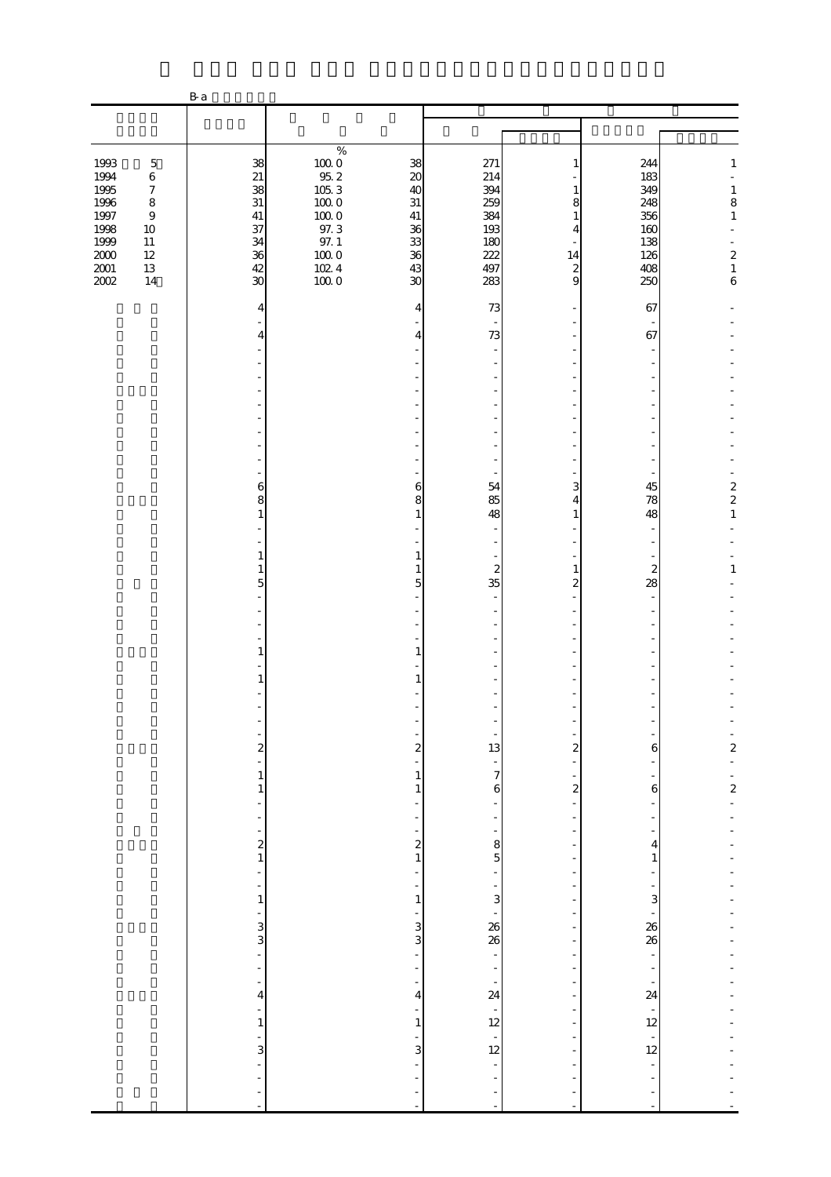|                                                                              |                                                                                                  | B a                                                      |                                                                                                                |                                                                                   |                                                             |                                                                 |                                                             |                                                                                                                              |
|------------------------------------------------------------------------------|--------------------------------------------------------------------------------------------------|----------------------------------------------------------|----------------------------------------------------------------------------------------------------------------|-----------------------------------------------------------------------------------|-------------------------------------------------------------|-----------------------------------------------------------------|-------------------------------------------------------------|------------------------------------------------------------------------------------------------------------------------------|
|                                                                              |                                                                                                  |                                                          |                                                                                                                |                                                                                   |                                                             |                                                                 |                                                             |                                                                                                                              |
|                                                                              |                                                                                                  |                                                          |                                                                                                                |                                                                                   |                                                             |                                                                 |                                                             |                                                                                                                              |
| 1993<br>1994<br>1995<br>1996<br>1997<br>1998<br>1999<br>$2000\,$<br>$2001\,$ | $\mathbf 5$<br>$\,6$<br>$\boldsymbol{7}$<br>$\,8\,$<br>$\,9$<br>$10\,$<br>$11\,$<br>$12\,$<br>13 | 38<br>21<br>38<br>31<br>41<br>37<br>34<br>36<br>42<br>30 | $\%$<br>$100\;0$<br>95.2<br>$105.3\,$<br>$100\ 0$<br>$100\;0$<br>97.3<br>$97. \;1$<br>$100\;0$<br>1024<br>1000 | 38<br>$\boldsymbol{\chi}$<br>40<br>$31\,$<br>$41\,$<br>36<br>33<br>36<br>43<br>30 | 271<br>214<br>394<br>259<br>384<br>193<br>180<br>222<br>497 | 1<br>1<br>8<br>$\mathbf{1}$<br>4<br>14<br>$\boldsymbol{z}$<br>9 | 244<br>183<br>349<br>248<br>356<br>160<br>138<br>126<br>408 | $\mathbf{1}$<br>$\begin{array}{c} 1 \\ 8 \end{array}$<br>$\,1\,$<br>$\begin{smallmatrix}2\\1\end{smallmatrix}$<br>$\epsilon$ |
| 2002                                                                         | 14                                                                                               |                                                          |                                                                                                                |                                                                                   | 283                                                         |                                                                 | 250                                                         |                                                                                                                              |
|                                                                              |                                                                                                  | 4                                                        |                                                                                                                | 4                                                                                 | 73                                                          |                                                                 | 67                                                          |                                                                                                                              |
|                                                                              |                                                                                                  | 4                                                        |                                                                                                                | $\overline{4}$                                                                    | 73                                                          |                                                                 | 67                                                          |                                                                                                                              |
|                                                                              |                                                                                                  |                                                          |                                                                                                                |                                                                                   |                                                             |                                                                 |                                                             |                                                                                                                              |
|                                                                              |                                                                                                  |                                                          |                                                                                                                |                                                                                   |                                                             |                                                                 |                                                             |                                                                                                                              |
|                                                                              |                                                                                                  |                                                          |                                                                                                                |                                                                                   |                                                             |                                                                 |                                                             |                                                                                                                              |
|                                                                              |                                                                                                  |                                                          |                                                                                                                |                                                                                   |                                                             |                                                                 |                                                             |                                                                                                                              |
|                                                                              |                                                                                                  |                                                          |                                                                                                                |                                                                                   | $\overline{\phantom{a}}$                                    |                                                                 |                                                             |                                                                                                                              |
|                                                                              |                                                                                                  | 6                                                        |                                                                                                                | 6                                                                                 | 54                                                          | 3                                                               | 45                                                          |                                                                                                                              |
|                                                                              |                                                                                                  | 8                                                        |                                                                                                                | 8<br>$\mathbf{1}$                                                                 | 85                                                          | 4                                                               | 78                                                          | $\frac{2}{2}$<br>$\,1\,$                                                                                                     |
|                                                                              |                                                                                                  | $\mathbf{1}$                                             |                                                                                                                |                                                                                   | 48<br>$\overline{\phantom{a}}$                              | $\mathbf{1}$                                                    | 48                                                          |                                                                                                                              |
|                                                                              |                                                                                                  | 1                                                        |                                                                                                                | $\mathbf{1}$                                                                      | $\overline{\phantom{a}}$                                    |                                                                 |                                                             |                                                                                                                              |
|                                                                              |                                                                                                  | 1<br>5                                                   |                                                                                                                | $\mathbf{1}$<br>$\overline{5}$                                                    | $\boldsymbol{z}$<br>35                                      | $1\,$<br>$\boldsymbol{2}$                                       | $\overline{\mathcal{Z}}$<br>28                              | $1\,$                                                                                                                        |
|                                                                              |                                                                                                  |                                                          |                                                                                                                |                                                                                   | $\overline{\phantom{a}}$                                    | $\bar{a}$                                                       |                                                             |                                                                                                                              |
|                                                                              |                                                                                                  |                                                          |                                                                                                                |                                                                                   | $\overline{\phantom{a}}$                                    |                                                                 |                                                             |                                                                                                                              |
|                                                                              |                                                                                                  | 1                                                        |                                                                                                                | 1                                                                                 | $\overline{a}$                                              |                                                                 |                                                             |                                                                                                                              |
|                                                                              |                                                                                                  | 1                                                        |                                                                                                                | 1                                                                                 | ٠                                                           |                                                                 |                                                             |                                                                                                                              |
|                                                                              |                                                                                                  |                                                          |                                                                                                                |                                                                                   |                                                             |                                                                 |                                                             |                                                                                                                              |
|                                                                              |                                                                                                  |                                                          |                                                                                                                |                                                                                   |                                                             |                                                                 |                                                             |                                                                                                                              |
|                                                                              |                                                                                                  | $\overline{\mathbf{c}}$                                  |                                                                                                                | $\overline{\mathbf{c}}$                                                           | $\begin{bmatrix} 1 \\ 1 \end{bmatrix}$                      | $\overline{\mathbf{c}}$                                         | 6                                                           | $\frac{1}{2}$                                                                                                                |
|                                                                              |                                                                                                  | 1                                                        |                                                                                                                | $\mathbf{1}$                                                                      | $\frac{1}{7}$                                               |                                                                 |                                                             |                                                                                                                              |
|                                                                              |                                                                                                  | 1                                                        |                                                                                                                | $\mathbf{1}$                                                                      | $\mathbf{6}$                                                | $\boldsymbol{z}$                                                | $\,$ 6 $\,$                                                 | $\frac{1}{2}$                                                                                                                |
|                                                                              |                                                                                                  |                                                          |                                                                                                                |                                                                                   | $\frac{1}{2}$                                               | ÷,                                                              |                                                             |                                                                                                                              |
|                                                                              |                                                                                                  | $\frac{2}{1}$                                            |                                                                                                                | $\begin{array}{c} 2 \\ 1 \end{array}$                                             | $\frac{8}{5}$                                               |                                                                 | 4                                                           |                                                                                                                              |
|                                                                              |                                                                                                  |                                                          |                                                                                                                | ÷                                                                                 | $\frac{1}{2}$                                               |                                                                 | $\mathbf{1}$                                                |                                                                                                                              |
|                                                                              |                                                                                                  | $\mathbf{1}$                                             |                                                                                                                | $\overline{\phantom{0}}$<br>$\mathbf 1$                                           |                                                             |                                                                 | 3                                                           |                                                                                                                              |
|                                                                              |                                                                                                  |                                                          |                                                                                                                |                                                                                   | .<br>28 - აა                                                |                                                                 |                                                             |                                                                                                                              |
|                                                                              |                                                                                                  | . دى دى                                                  |                                                                                                                | $\frac{1}{3}$                                                                     |                                                             |                                                                 | 26<br>26                                                    |                                                                                                                              |
|                                                                              |                                                                                                  | $\overline{a}$                                           |                                                                                                                | $\qquad \qquad \blacksquare$<br>÷,                                                |                                                             |                                                                 | $\overline{\phantom{0}}$<br>÷                               |                                                                                                                              |
|                                                                              |                                                                                                  | 4                                                        |                                                                                                                | $\frac{1}{2}$<br>4                                                                | $-24$<br>12<br>12<br>12                                     |                                                                 | $\frac{1}{24}$                                              |                                                                                                                              |
|                                                                              |                                                                                                  | ÷<br>$\mathbf{1}$                                        |                                                                                                                | $\overline{\phantom{m}}$<br>$\mathbf{1}$                                          |                                                             | $\overline{\phantom{m}}$                                        | $\frac{1}{12}$                                              |                                                                                                                              |
|                                                                              |                                                                                                  |                                                          |                                                                                                                | ÷                                                                                 |                                                             |                                                                 | $\frac{1}{12}$                                              |                                                                                                                              |
|                                                                              |                                                                                                  | 3                                                        |                                                                                                                | 3<br>÷                                                                            | $\frac{1}{\sqrt{2}}$                                        |                                                                 | -                                                           |                                                                                                                              |
|                                                                              |                                                                                                  |                                                          |                                                                                                                | ÷,<br>$\overline{\phantom{0}}$                                                    | $\frac{1}{2}$                                               |                                                                 | -<br>÷                                                      |                                                                                                                              |
|                                                                              |                                                                                                  |                                                          |                                                                                                                | ÷,                                                                                |                                                             | L,                                                              | ÷                                                           |                                                                                                                              |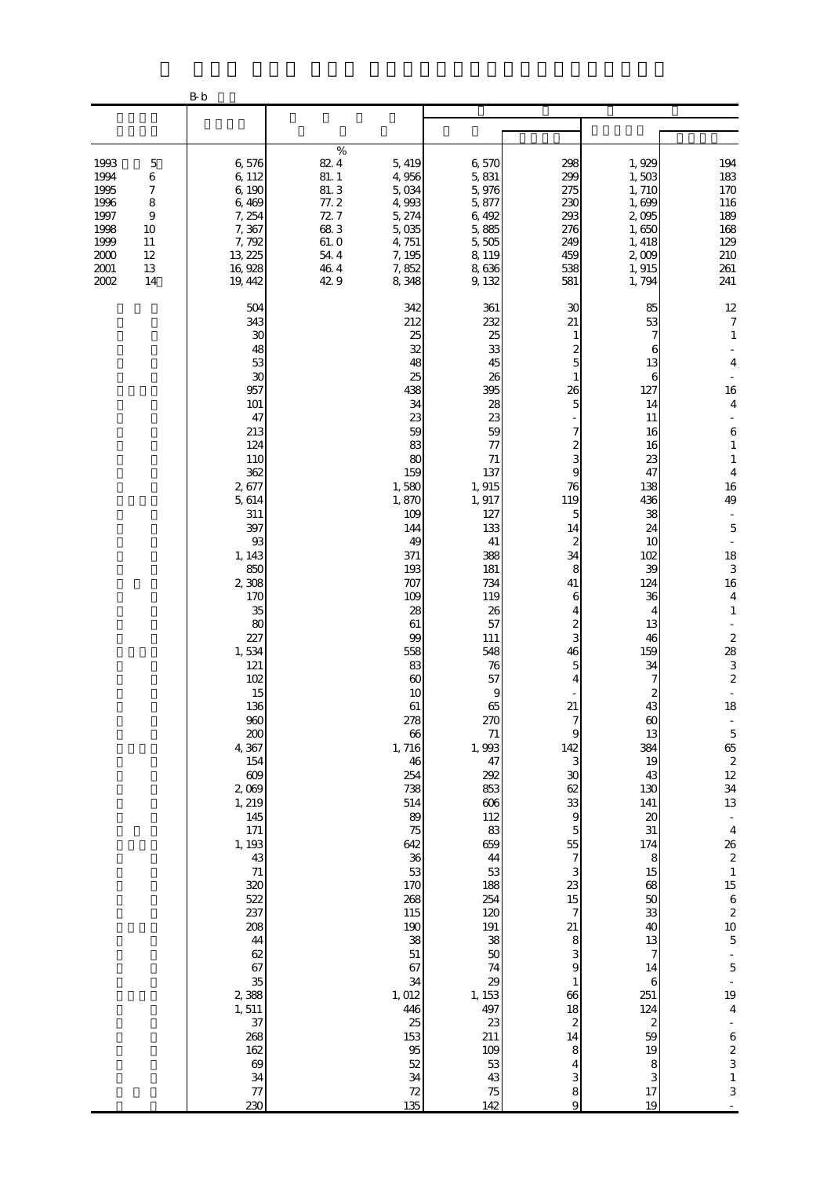|                                                                                                                                                            | $\rm B\,b$                                                                                                                                                                                                                                                                                                                                                                                                                       |                                                                                                                                                                                                                                                                                                                                                                                                               |                                                                                                                                                                                                                                                                                                                                                                                                        |                                                                                                                                                                                                                                                                                                                                                                                                       |                                                                                                                                                                                                                                                                                                                                                                                                                         |                                                                                                                                                                                                                                                                                                                                                                                                                                                                                                                                                                                                                                                                                     |
|------------------------------------------------------------------------------------------------------------------------------------------------------------|----------------------------------------------------------------------------------------------------------------------------------------------------------------------------------------------------------------------------------------------------------------------------------------------------------------------------------------------------------------------------------------------------------------------------------|---------------------------------------------------------------------------------------------------------------------------------------------------------------------------------------------------------------------------------------------------------------------------------------------------------------------------------------------------------------------------------------------------------------|--------------------------------------------------------------------------------------------------------------------------------------------------------------------------------------------------------------------------------------------------------------------------------------------------------------------------------------------------------------------------------------------------------|-------------------------------------------------------------------------------------------------------------------------------------------------------------------------------------------------------------------------------------------------------------------------------------------------------------------------------------------------------------------------------------------------------|-------------------------------------------------------------------------------------------------------------------------------------------------------------------------------------------------------------------------------------------------------------------------------------------------------------------------------------------------------------------------------------------------------------------------|-------------------------------------------------------------------------------------------------------------------------------------------------------------------------------------------------------------------------------------------------------------------------------------------------------------------------------------------------------------------------------------------------------------------------------------------------------------------------------------------------------------------------------------------------------------------------------------------------------------------------------------------------------------------------------------|
|                                                                                                                                                            |                                                                                                                                                                                                                                                                                                                                                                                                                                  |                                                                                                                                                                                                                                                                                                                                                                                                               |                                                                                                                                                                                                                                                                                                                                                                                                        |                                                                                                                                                                                                                                                                                                                                                                                                       |                                                                                                                                                                                                                                                                                                                                                                                                                         |                                                                                                                                                                                                                                                                                                                                                                                                                                                                                                                                                                                                                                                                                     |
| 1993<br>$\mathbf 5$<br>1994<br>6<br>1995<br>7<br>1996<br>8<br>1997<br>$\overline{9}$<br>1998<br>10<br>1999<br>11<br>2000<br>12<br>2001<br>13<br>2002<br>14 | 6,576<br>6,112<br>6,190<br>6,469<br>7, 254<br>7,367<br>7,792<br>13, 225<br>16,928<br>19, 442                                                                                                                                                                                                                                                                                                                                     | $\%$<br>82.4<br>5, 419<br>81.1<br>4,956<br>81.3<br>5,034<br>77.2<br>4,993<br>72.7<br>5, 274<br>683<br>5,035<br>61.0<br>4,751<br>54.4<br>7, 195<br>46.4<br>7,852<br>42 9<br>8,348                                                                                                                                                                                                                              | 6,570<br>5,831<br>5,976<br>5,877<br>6,492<br>5,885<br>5,505<br>8, 119<br>8,636<br>9, 132                                                                                                                                                                                                                                                                                                               | 298<br>299<br>275<br>230<br>293<br>276<br>249<br>459<br>538<br>581                                                                                                                                                                                                                                                                                                                                    | 1,929<br>1,503<br>1,710<br>1,699<br>2,095<br>1,650<br>1, 418<br>2,009<br>1, 915<br>1,794                                                                                                                                                                                                                                                                                                                                | 194<br>183<br>170<br>116<br>189<br>168<br>129<br>210<br>261<br>241                                                                                                                                                                                                                                                                                                                                                                                                                                                                                                                                                                                                                  |
|                                                                                                                                                            | 504<br>343<br>30<br>48<br>53<br>30<br>957<br>101<br>47<br>213<br>124<br>110<br>362<br>2,677<br>5, 614<br>311<br>397<br>93<br>1, 143<br>850<br>2,308<br>170<br>35<br>80<br>227<br>1,534<br>121<br>102<br>15<br>136<br>960<br>200<br>4,367<br>154<br>609<br>2,069<br>1, 219<br>145<br>171<br>1, 193<br>43<br>71<br>320<br>522<br>237<br>208<br>44<br>62<br>67<br>35<br>2,388<br>1,511<br>37<br>268<br>162<br>69<br>34<br>77<br>230 | 342<br>212<br>25<br>32<br>48<br>25<br>438<br>34<br>23<br>59<br>83<br>80<br>159<br>1,580<br>1,870<br>109<br>144<br>49<br>371<br>193<br>707<br>109<br>28<br>61<br>99<br>558<br>83<br>60<br>10<br>$61\,$<br>278<br>66<br>1,716<br>46<br>254<br>738<br>514<br>89<br>75<br>642<br>36<br>53<br>170<br>268<br>115<br>190<br>38<br>51<br>67<br>34<br>1,012<br>446<br>$25\,$<br>153<br>95<br>52<br>34<br>$72\,$<br>135 | 361<br>232<br>25<br>33<br>45<br>26<br>395<br>28<br>23<br>59<br>77<br>71<br>137<br>1,915<br>1,917<br>127<br>133<br>41<br>388<br>181<br>734<br>119<br>26<br>57<br>111<br>548<br>76<br>57<br>9<br>65<br>270<br>71<br>1,993<br>47<br>292<br>853<br>$606$<br>112<br>83<br>659<br>44<br>53<br>188<br>254<br>120<br>191<br>38<br>50<br>74<br>29<br>1, 153<br>497<br>23<br>211<br>109<br>53<br>43<br>75<br>142 | 30<br>21<br>1<br>2<br>5<br>26<br>5<br>7<br>2<br>3<br>9<br>76<br>119<br>5<br>14<br>2<br>34<br>8<br>41<br>6<br>4<br>$\overline{\mathcal{Z}}$<br>3<br>46<br>5<br>4<br>21<br>7<br>9<br>142<br>3<br>30<br>62<br>33<br>$\overline{9}$<br>$\overline{5}$<br>55<br>7<br>3<br>23<br>15<br>$\boldsymbol{7}$<br>21<br>8<br>3<br>9<br>$\mathbf{1}$<br>66<br>18<br>$\boldsymbol{z}$<br>14<br>8<br>4<br>3<br>8<br>9 | 85<br>53<br>7<br>6<br>13<br>6<br>127<br>14<br>11<br>16<br>16<br>23<br>47<br>138<br>436<br>38<br>24<br>10<br>102<br>39<br>124<br>36<br>4<br>13<br>46<br>159<br>34<br>7<br>$\boldsymbol{z}$<br>43<br>$\infty$<br>13<br>384<br>19<br>43<br>130<br>141<br>$\boldsymbol{\chi}$<br>$31\,$<br>174<br>8<br>15<br>68<br>50<br>33<br>40<br>13<br>7<br>14<br>6<br>251<br>124<br>$\boldsymbol{z}$<br>59<br>19<br>8<br>3<br>17<br>19 | 12<br>$\boldsymbol{7}$<br>$\mathbf{1}$<br>$\overline{4}$<br>16<br>$\overline{4}$<br>$\,6$<br>$\mathbf{1}$<br>$\mathbf{1}$<br>$\overline{4}$<br>16<br>49<br>$\blacksquare$<br>$\mathbf 5$<br>$\blacksquare$<br>18<br>$\,$ 3 $\,$<br>$16\,$<br>$\overline{4}$<br>$\mathbf{1}$<br>$\frac{2}{28}$<br>3<br>$\boldsymbol{z}$<br>$\Box$<br>18<br>$\begin{array}{c} 5 \\ 65 \\ 2 \end{array}$<br>$12\,$<br>34<br>13<br>$\overline{\phantom{a}}$<br>$\overline{4}$<br>$\begin{array}{c}\n26 \\ 2 \\ 1\n\end{array}$<br>$15\,$<br>$\begin{array}{c} 6 \\ 2 \\ 10 \\ 5 \end{array}$<br>$\overline{5}$<br>19<br>$\bf 4$<br>$\begin{array}{c} 6 \\ 2 \\ 3 \end{array}$<br>$\,1\,$<br>$\,$ 3 $\,$ |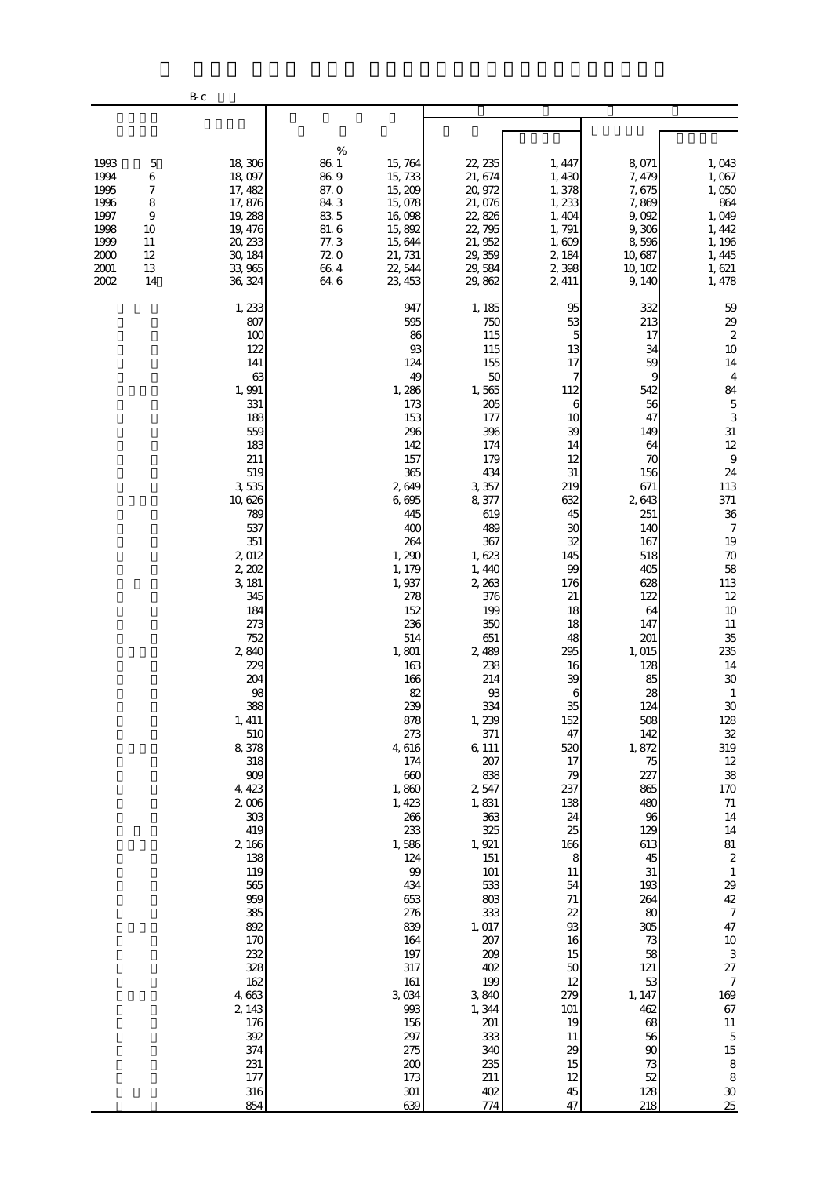|                                                                              |                                                                            | $\rm B\,\rm c$                                                                                                                                                                                                                                                                                                                                                                                                                                                        |                                                                                    |                                                                                                                                                                                                                                                                                                                                                                                                                                                            |                                                                                                                                                                                                                                                                                                                                                                                                                                                                       |                                                                                                                                                                                                                                                                                                                                                                                                 |                                                                                                                                                                                                                                                                                                                                                                                                              |                                                                                                                                                                                                                                                                                                                                                                                                                                                                                                                                                                                                                                |
|------------------------------------------------------------------------------|----------------------------------------------------------------------------|-----------------------------------------------------------------------------------------------------------------------------------------------------------------------------------------------------------------------------------------------------------------------------------------------------------------------------------------------------------------------------------------------------------------------------------------------------------------------|------------------------------------------------------------------------------------|------------------------------------------------------------------------------------------------------------------------------------------------------------------------------------------------------------------------------------------------------------------------------------------------------------------------------------------------------------------------------------------------------------------------------------------------------------|-----------------------------------------------------------------------------------------------------------------------------------------------------------------------------------------------------------------------------------------------------------------------------------------------------------------------------------------------------------------------------------------------------------------------------------------------------------------------|-------------------------------------------------------------------------------------------------------------------------------------------------------------------------------------------------------------------------------------------------------------------------------------------------------------------------------------------------------------------------------------------------|--------------------------------------------------------------------------------------------------------------------------------------------------------------------------------------------------------------------------------------------------------------------------------------------------------------------------------------------------------------------------------------------------------------|--------------------------------------------------------------------------------------------------------------------------------------------------------------------------------------------------------------------------------------------------------------------------------------------------------------------------------------------------------------------------------------------------------------------------------------------------------------------------------------------------------------------------------------------------------------------------------------------------------------------------------|
|                                                                              |                                                                            |                                                                                                                                                                                                                                                                                                                                                                                                                                                                       |                                                                                    |                                                                                                                                                                                                                                                                                                                                                                                                                                                            |                                                                                                                                                                                                                                                                                                                                                                                                                                                                       |                                                                                                                                                                                                                                                                                                                                                                                                 |                                                                                                                                                                                                                                                                                                                                                                                                              |                                                                                                                                                                                                                                                                                                                                                                                                                                                                                                                                                                                                                                |
| 1993<br>1994<br>1995<br>1996<br>1997<br>1998<br>1999<br>2000<br>2001<br>2002 | $\mathbf 5$<br>6<br>7<br>8<br>$\overline{9}$<br>10<br>11<br>12<br>13<br>14 | 18,306<br>18,097<br>17, 482<br>17,876<br>19, 288<br>19, 476<br>20, 233<br>30, 184<br>33,965<br>36, 324                                                                                                                                                                                                                                                                                                                                                                | $\%$<br>86.1<br>86.9<br>87.0<br>84.3<br>83 5<br>81.6<br>77.3<br>720<br>664<br>64.6 | 15, 764<br>15,733<br>15, 209<br>15,078<br>16,098<br>15,892<br>15, 644<br>21, 731<br>22, 544<br>23, 453                                                                                                                                                                                                                                                                                                                                                     | 22, 235<br>21, 674<br>20, 972<br>21,076<br>22,826<br>22, 795<br>21, 952<br>29, 359<br>29, 584<br>29,862                                                                                                                                                                                                                                                                                                                                                               | 1, 447<br>1,430<br>1,378<br>1,233<br>1,404<br>1,791<br>1,609<br>2, 184<br>2,398<br>2, 411                                                                                                                                                                                                                                                                                                       | 8,071<br>7, 479<br>7,675<br>7,869<br>9,092<br>9,306<br>8,596<br>10,687<br>10, 102<br>9,140                                                                                                                                                                                                                                                                                                                   | 1,043<br>1,067<br>1,050<br>864<br>1,049<br>1, 442<br>1, 196<br>1, 445<br>1,621<br>1, 478                                                                                                                                                                                                                                                                                                                                                                                                                                                                                                                                       |
|                                                                              |                                                                            | 1, 233<br>807<br>100<br>122<br>141<br>63<br>1,991<br>331<br>188<br>559<br>183<br>211<br>519<br>3,535<br>10, 626<br>789<br>537<br>351<br>2,012<br>2, 202<br>3, 181<br>345<br>184<br>273<br>752<br>2,840<br>229<br>204<br>98<br>388<br>1, 411<br>510<br>8,378<br>318<br>$909$<br>4, 423<br>$2,006$<br>$303\,$<br>419<br>2,166<br>138<br>119<br>565<br>959<br>385<br>892<br>170<br>232<br>328<br>162<br>4,663<br>2, 143<br>176<br>392<br>374<br>231<br>177<br>316<br>854 |                                                                                    | 947<br>595<br>86<br>93<br>124<br>49<br>1,286<br>173<br>153<br>296<br>142<br>157<br>365<br>2,649<br>6,695<br>445<br>400<br>264<br>1,290<br>1, 179<br>1,937<br>278<br>152<br>236<br>514<br>1,801<br>163<br>166<br>82<br>239<br>878<br>273<br>4,616<br>174<br>660<br>1,860<br>1, 423<br>266<br>233<br>1,586<br>124<br>99<br>434<br>653<br>276<br>839<br>164<br>197<br>317<br>$161\,$<br>3,034<br>993<br>156<br>297<br>275<br>$200\,$<br>173<br>$301\,$<br>639 | 1, 185<br>750<br>115<br>115<br>155<br>50<br>1,565<br>205<br>177<br>396<br>174<br>179<br>434<br>3, 357<br>8,377<br>619<br>489<br>367<br>1,623<br>1, 440<br>2, 263<br>376<br>199<br>350<br>651<br>2,489<br>238<br>214<br>$93\,$<br>334<br>1,239<br>371<br>6, 111<br>207<br>838<br>2,547<br>1,831<br>363<br>325<br>1, 921<br>151<br>101<br>533<br>$803\,$<br>333<br>1,017<br>207<br>209<br>402<br>199<br>3,840<br>1,344<br>201<br>333<br>340<br>235<br>211<br>402<br>774 | 95<br>53<br>5<br>13<br>17<br>7<br>112<br>6<br>10<br>39<br>14<br>12<br>31<br>219<br>632<br>45<br>30<br>32<br>145<br>99<br>176<br>21<br>18<br>18<br>48<br>295<br>16<br>39<br>$\boldsymbol{6}$<br>35<br>152<br>47<br>520<br>17<br>79<br>237<br>138<br>24<br>25<br>166<br>$\,8\,$<br>11<br>54<br>$71\,$<br>22<br>93<br>16<br>15<br>50<br>12<br>279<br>101<br>19<br>11<br>29<br>15<br>12<br>45<br>47 | 332<br>213<br>17<br>34<br>59<br>9<br>542<br>56<br>47<br>149<br>64<br>70<br>156<br>671<br>2643<br>251<br>140<br>167<br>518<br>405<br>628<br>122<br>64<br>147<br>201<br>1,015<br>128<br>85<br>28<br>124<br>508<br>142<br>1,872<br>75<br>227<br>865<br>480<br>96<br>129<br>613<br>45<br>$31\,$<br>193<br>264<br>80<br>305<br>73<br>58<br>121<br>53<br>1, 147<br>462<br>68<br>56<br>90<br>73<br>52<br>128<br>218 | 59<br>29<br>$\boldsymbol{z}$<br>10<br>14<br>$\overline{4}$<br>84<br>$\mathbf 5$<br>3<br>$31\,$<br>$12 \text{ }$<br>$\,9$<br>$2\!$<br>113<br>371<br>$3\!6$<br>$\boldsymbol{7}$<br>19<br>$70\,$<br>58<br>113<br>$12\,$<br>$10$<br>$11\,$<br>35<br>235<br>14<br>$3\!\mathrm{O}$<br>$\mathbf{1}$<br>$30\,$<br>128<br>$32\,$<br>319<br>$12\,$<br>38<br>$170\,$<br>$71\,$<br>$14\,$<br>$14\,$<br>81<br>$\boldsymbol{2}$<br>$\mathbf{1}$<br>29<br>$4\!$<br>$\boldsymbol{7}$<br>47<br>$10\,$<br>$\,3$<br>$27\,$<br>$\boldsymbol{7}$<br>169<br>$67\,$<br>$11\,$<br>$\mathbf 5$<br>15<br>$\,8\,$<br>$\,8\,$<br>$3\!\mathrm{O}$<br>$25\,$ |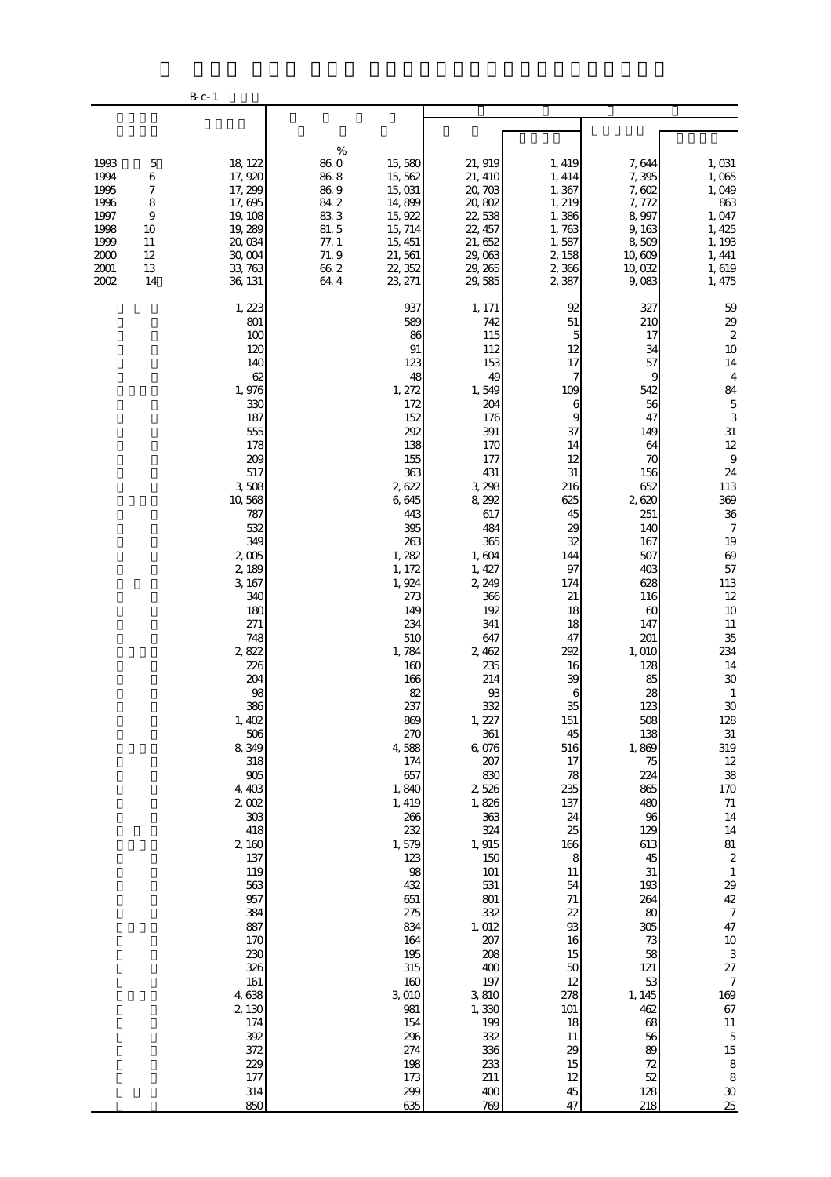|                                                                              |                                                                                             | $B_{c-1}$                                                                                                                                                                                                                                                                                                                                                                                                                                                      |                                                                                       |                                                                                                                                                                                                                                                                                                                                                                                                                                                |                                                                                                                                                                                                                                                                                                                                                                                                                                                                    |                                                                                                                                                                                                                                                                                                                                                                       |                                                                                                                                                                                                                                                                                                                                                                                                              |                                                                                                                                                                                                                                                                                                                                                                                                                                                                                                                                                                          |
|------------------------------------------------------------------------------|---------------------------------------------------------------------------------------------|----------------------------------------------------------------------------------------------------------------------------------------------------------------------------------------------------------------------------------------------------------------------------------------------------------------------------------------------------------------------------------------------------------------------------------------------------------------|---------------------------------------------------------------------------------------|------------------------------------------------------------------------------------------------------------------------------------------------------------------------------------------------------------------------------------------------------------------------------------------------------------------------------------------------------------------------------------------------------------------------------------------------|--------------------------------------------------------------------------------------------------------------------------------------------------------------------------------------------------------------------------------------------------------------------------------------------------------------------------------------------------------------------------------------------------------------------------------------------------------------------|-----------------------------------------------------------------------------------------------------------------------------------------------------------------------------------------------------------------------------------------------------------------------------------------------------------------------------------------------------------------------|--------------------------------------------------------------------------------------------------------------------------------------------------------------------------------------------------------------------------------------------------------------------------------------------------------------------------------------------------------------------------------------------------------------|--------------------------------------------------------------------------------------------------------------------------------------------------------------------------------------------------------------------------------------------------------------------------------------------------------------------------------------------------------------------------------------------------------------------------------------------------------------------------------------------------------------------------------------------------------------------------|
|                                                                              |                                                                                             |                                                                                                                                                                                                                                                                                                                                                                                                                                                                |                                                                                       |                                                                                                                                                                                                                                                                                                                                                                                                                                                |                                                                                                                                                                                                                                                                                                                                                                                                                                                                    |                                                                                                                                                                                                                                                                                                                                                                       |                                                                                                                                                                                                                                                                                                                                                                                                              |                                                                                                                                                                                                                                                                                                                                                                                                                                                                                                                                                                          |
| 1993<br>1994<br>1995<br>1996<br>1997<br>1998<br>1999<br>2000<br>2001<br>2002 | $\mathbf 5$<br>6<br>7<br>$\,$ 8 $\,$<br>$\boldsymbol{9}$<br>10<br>11<br>$12 \,$<br>13<br>14 | 18, 122<br>17,920<br>17, 299<br>17,695<br>19, 108<br>19, 289<br>20,034<br>30,004<br>33, 763<br>36, 131                                                                                                                                                                                                                                                                                                                                                         | $\%$<br>86.0<br>$86\ 8$<br>86.9<br>84.2<br>833<br>81.5<br>77.1<br>71.9<br>662<br>64.4 | 15,580<br>15, 562<br>15,031<br>14,899<br>15, 922<br>15, 714<br>15, 451<br>21, 561<br>22, 352<br>23, 271                                                                                                                                                                                                                                                                                                                                        | 21, 919<br>21, 410<br>20, 703<br>20,802<br>22,538<br>22, 457<br>21, 652<br>29,063<br>29, 265<br>29,585                                                                                                                                                                                                                                                                                                                                                             | 1, 419<br>1, 414<br>1,367<br>1, 219<br>1,386<br>1,763<br>1,587<br>2, 158<br>2,366<br>2,387                                                                                                                                                                                                                                                                            | 7,644<br>7,395<br>7,602<br>7,772<br>8,997<br>9,163<br>8,509<br>10,609<br>10,032<br>9,083                                                                                                                                                                                                                                                                                                                     | 1,031<br>1,065<br>1,049<br>863<br>1,047<br>1, 425<br>1, 193<br>1, 441<br>1,619<br>1, 475                                                                                                                                                                                                                                                                                                                                                                                                                                                                                 |
|                                                                              |                                                                                             | 1, 223<br>801<br>100<br>120<br>140<br>62<br>1,976<br>330<br>187<br>555<br>178<br>209<br>517<br>3,508<br>10,568<br>787<br>532<br>349<br>2,005<br>2,189<br>3, 167<br>340<br>180<br>271<br>748<br>2,822<br>226<br>204<br>98<br>386<br>1,402<br>506<br>8,349<br>318<br>$905$<br>4,403<br>2,002<br>$303\,$<br>418<br>2,160<br>137<br>119<br>563<br>957<br>384<br>887<br>170<br>230<br>326<br>161<br>4,638<br>2,130<br>174<br>392<br>372<br>229<br>177<br>314<br>850 |                                                                                       | 937<br>589<br>86<br>91<br>123<br>48<br>1, 272<br>172<br>152<br>292<br>138<br>155<br>363<br>2622<br>6,645<br>443<br>395<br>263<br>1,282<br>1, 172<br>1,924<br>273<br>149<br>234<br>510<br>1,784<br>160<br>166<br>82<br>237<br>869<br>270<br>4,588<br>174<br>657<br>1,840<br>1, 419<br>266<br>232<br>1,579<br>123<br>98<br>432<br>651<br>275<br>834<br>164<br>195<br>315<br>160<br>3,010<br>981<br>154<br>296<br>274<br>198<br>173<br>299<br>635 | 1, 171<br>742<br>115<br>112<br>153<br>49<br>1,549<br>204<br>176<br>391<br>170<br>177<br>431<br>3, 298<br>8,292<br>617<br>484<br>365<br>1,604<br>1, 427<br>2, 249<br>366<br>192<br>341<br>647<br>2,462<br>235<br>214<br>$93\,$<br>332<br>1, 227<br>361<br>6,076<br>207<br>830<br>2,526<br>1,826<br>363<br>324<br>1,915<br>150<br>101<br>531<br>801<br>332<br>1,012<br>207<br>208<br>400<br>197<br>3,810<br>1,330<br>199<br>332<br>336<br>233<br>211<br>$400$<br>769 | 92<br>51<br>5<br>12<br>17<br>7<br>109<br>6<br>9<br>37<br>14<br>12<br>31<br>216<br>625<br>45<br>29<br>32<br>144<br>97<br>174<br>21<br>18<br>18<br>47<br>292<br>16<br>39<br>6<br>35<br>151<br>45<br>516<br>17<br>78<br>235<br>137<br>24<br>25<br>166<br>8<br>11<br>54<br>71<br>22<br>93<br>16<br>15<br>50<br>12<br>278<br>101<br>18<br>11<br>29<br>15<br>12<br>45<br>47 | 327<br>210<br>17<br>34<br>57<br>9<br>542<br>56<br>47<br>149<br>64<br>70<br>156<br>652<br>2620<br>251<br>140<br>167<br>507<br>403<br>628<br>116<br>60<br>147<br>201<br>1,010<br>128<br>85<br>28<br>123<br>508<br>138<br>1,869<br>75<br>224<br>865<br>480<br>96<br>129<br>613<br>45<br>$31\,$<br>193<br>264<br>80<br>305<br>73<br>58<br>121<br>53<br>1, 145<br>462<br>68<br>56<br>89<br>72<br>52<br>128<br>218 | 59<br>$\frac{29}{2}$<br>10<br>14<br>$\overline{4}$<br>84<br>$\mathbf 5$<br>3<br>$31\,$<br>12<br>$\,9$<br>24<br>113<br>369<br>$3\!6$<br>$\boldsymbol{7}$<br>19<br>69<br>57<br>113<br>12<br>$10$<br>$11\,$<br>35<br>234<br>$14\,$<br>$3\!\mathrm{O}$<br>$\mathbf{1}$<br>30<br>128<br>$31\,$<br>319<br>12<br>38<br>$170\,$<br>$71\,$<br>14<br>$14\,$<br>81<br>$\boldsymbol{2}$<br>$\,1\,$<br>29<br>$4\!$<br>$\boldsymbol{7}$<br>47<br>$10\,$<br>$\,$ 3 $\,$<br>$27\,$<br>$\boldsymbol{7}$<br>169<br>67<br>$11\,$<br>$\mathbf 5$<br>$15\,$<br>8<br>$\,8\,$<br>$\rm 30$<br>25 |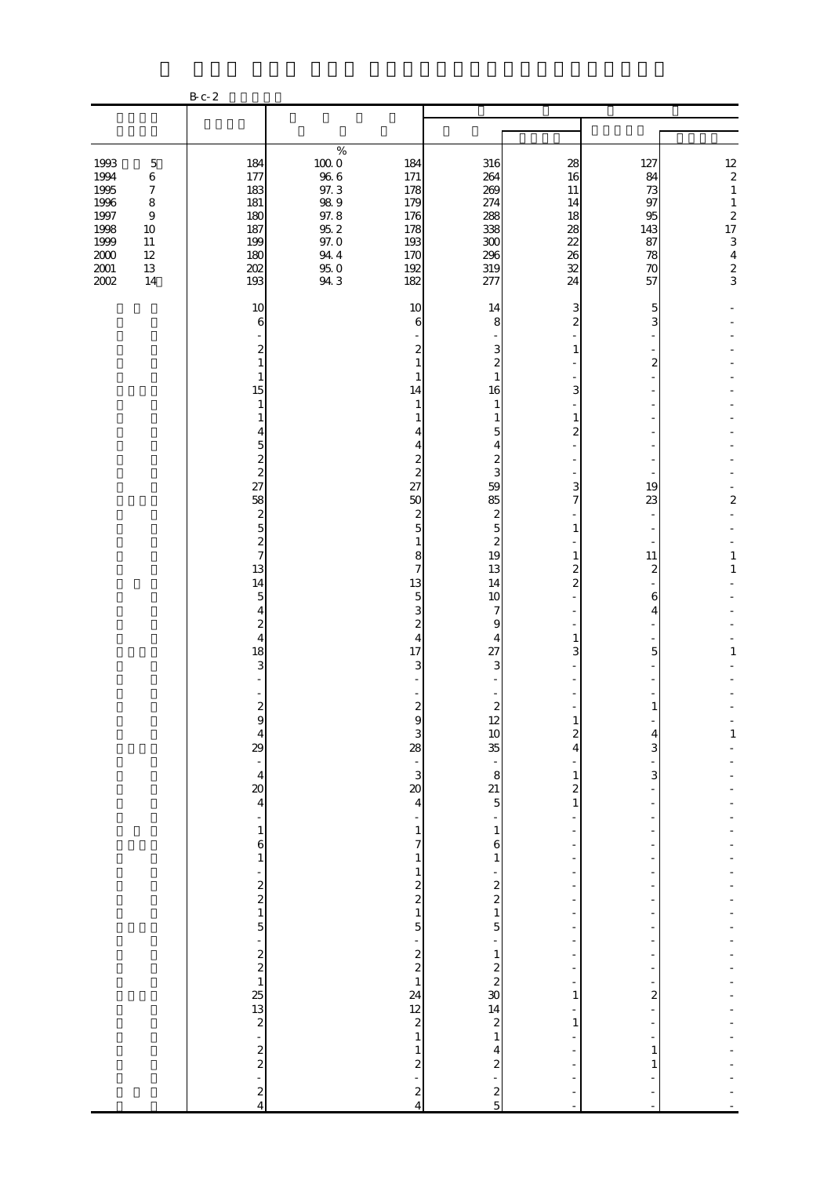|                      |                             | B c - 2                                                                                           |                     |                                            |                                         |                                          |                         |                              |
|----------------------|-----------------------------|---------------------------------------------------------------------------------------------------|---------------------|--------------------------------------------|-----------------------------------------|------------------------------------------|-------------------------|------------------------------|
|                      |                             |                                                                                                   |                     |                                            |                                         |                                          |                         |                              |
| 1993                 | $\mathbf 5$                 | 184                                                                                               | $\%$<br>$100\;0$    | 184                                        | 316                                     | 28                                       | 127                     | $\frac{12}{2}$               |
| 1994<br>1995         | $\,6$<br>$\boldsymbol{7}$   | 177<br>183                                                                                        | $96\ 6$<br>97.3     | 171<br>178                                 | 264<br>269                              | 16<br>11                                 | 84<br>73                | $\,1\,$                      |
| 1996<br>1997         | $\,8\,$<br>$\boldsymbol{9}$ | 181<br>180                                                                                        | $98\ 9$<br>97.8     | 179<br>176                                 | 274<br>288                              | 14<br>18                                 | 97<br>95                | $\,1\,$<br>$\boldsymbol{z}$  |
| 1998<br>1999         | $10\,$<br>$11\,$            | 187<br>199                                                                                        | $95\ 2$<br>$97.0\,$ | 178<br>193                                 | 338<br>300                              | 28<br>22                                 | 143<br>87               | 17<br>$\mathbf{3}$           |
| $2000\,$<br>$2001\,$ | $12\,$<br>$13\,$            | 180<br>202                                                                                        | 94.4<br>$95\ 0$     | 170<br>192                                 | 296<br>319                              | 26<br>32                                 | 78<br>70                | $\overline{4}$               |
| 2002                 | 14                          | 193                                                                                               | 94.3                | 182                                        | 277                                     | 24                                       | 57                      | $\frac{2}{3}$                |
|                      |                             | 10<br>6                                                                                           |                     | 10<br>6                                    | 14<br>8                                 | 3<br>$\overline{c}$                      | 5<br>3                  |                              |
|                      |                             | 2<br>1                                                                                            |                     | 2<br>1                                     | 3<br>$\mathbf{z}$                       | 1                                        | $\mathbf{z}$            |                              |
|                      |                             | $\mathbf{1}$<br>15                                                                                |                     | 1<br>14                                    | $\mathbf{1}$<br>16                      | 3                                        |                         |                              |
|                      |                             | $\mathbf{1}$                                                                                      |                     | 1<br>1                                     | 1<br>$\mathbf{1}$                       | 1                                        |                         |                              |
|                      |                             | 1<br>4                                                                                            |                     | ⊿                                          | 5                                       | 2                                        |                         |                              |
|                      |                             | $\overline{5}$<br>$\overline{\mathcal{L}}$                                                        |                     | 4<br>$\boldsymbol{2}$                      | 4<br>$\boldsymbol{z}$                   |                                          |                         |                              |
|                      |                             | $\overline{\mathcal{L}}$<br>27                                                                    |                     | $\overline{\mathcal{L}}$<br>27             | 3<br>59                                 | 3                                        | 19                      |                              |
|                      |                             | 58<br>$\boldsymbol{z}$                                                                            |                     | 50<br>$\boldsymbol{2}$                     | 85<br>$\boldsymbol{z}$                  | $\overline{7}$                           | 23                      | $\overline{\mathbf{c}}$      |
|                      |                             | $\overline{5}$<br>$\overline{\mathcal{L}}$                                                        |                     | $\overline{5}$<br>$\mathbf{1}$             | $\mathbf 5$<br>$\overline{\mathcal{Z}}$ | $\mathbf{1}$                             |                         |                              |
|                      |                             | $\overline{7}$<br>13                                                                              |                     | 8<br>$\overline{7}$                        | 19<br>13                                | $\mathbf{1}$<br>$\overline{c}$           | 11<br>$\boldsymbol{z}$  | $\mathbf{1}$<br>$\mathbf{1}$ |
|                      |                             | 14<br>$\mathbf 5$                                                                                 |                     | 13<br>$\mathbf 5$                          | 14<br>10                                | $\overline{c}$                           | 6                       |                              |
|                      |                             | 4<br>$\overline{\mathcal{L}}$                                                                     |                     | 3<br>$\overline{\mathcal{Z}}$              | 7<br>9                                  |                                          | $\overline{4}$          |                              |
|                      |                             | $\overline{4}$<br>18                                                                              |                     | 4<br>17                                    | 4<br>27                                 | $\mathbf{1}$<br>3                        | 5                       | 1                            |
|                      |                             | 3                                                                                                 |                     | 3                                          | 3                                       |                                          |                         |                              |
|                      |                             | $\overline{\mathcal{L}}$                                                                          |                     | $\overline{\mathcal{L}}$                   | $\overline{\mathcal{L}}$                |                                          | $\mathbf{1}$            |                              |
|                      |                             | 9                                                                                                 |                     | 9<br>3                                     | $\frac{12}{10}$                         | T<br>$\boldsymbol{z}$                    | 4                       | $\mathbf{1}$                 |
|                      |                             | $\begin{bmatrix} 4 \\ 29 \\ 1 \end{bmatrix}$                                                      |                     | 28                                         | $\frac{1}{2}$                           | 4                                        | 3                       |                              |
|                      |                             | $\overline{\mathbf{4}}$<br>$\infty$                                                               |                     | $\frac{1}{3}$                              | 8<br>21                                 | $\mathbf{1}$<br>$\overline{\mathcal{L}}$ | 3                       |                              |
|                      |                             | $\overline{\mathbf{4}}$<br>$\overline{\phantom{a}}$                                               |                     | $\overline{\mathbf{4}}$<br>÷               | $\overline{5}$                          | $\,1\,$                                  |                         |                              |
|                      |                             | $\mathbf{1}$                                                                                      |                     | $\mathbf{1}$<br>7                          | $\mathbf{1}$                            |                                          |                         |                              |
|                      |                             | 6<br>$\,1\,$                                                                                      |                     | $\mathbf{1}$                               | 6<br>$\,1\,$                            | $\overline{a}$                           |                         |                              |
|                      |                             | -                                                                                                 |                     | $\mathbf{1}$                               |                                         |                                          |                         |                              |
|                      |                             | $\begin{smallmatrix}2\2\2\1\end{smallmatrix}$                                                     |                     | $\begin{array}{c} 2 \\ 2 \\ 1 \end{array}$ | $2 \times 1$<br>5                       |                                          |                         |                              |
|                      |                             | 5<br>÷                                                                                            |                     | 5                                          |                                         |                                          |                         |                              |
|                      |                             |                                                                                                   |                     | $\begin{array}{c} 2 \\ 2 \\ 1 \end{array}$ |                                         | ÷,                                       |                         |                              |
|                      |                             |                                                                                                   |                     | 24                                         |                                         | 1                                        | $\overline{\mathbf{c}}$ |                              |
|                      |                             | $\frac{1}{2}$ $\frac{1}{2}$ $\frac{1}{2}$ $\frac{1}{2}$ $\frac{1}{2}$ $\frac{1}{2}$ $\frac{1}{2}$ |                     | $\frac{12}{2}$                             | $\frac{1}{2}$<br>30<br>$\frac{2}{14}$   | $\mathbf{1}$                             | $\overline{a}$          |                              |
|                      |                             |                                                                                                   |                     | $\mathbf{1}$<br>$\mathbf{1}$               | $\,1\,$<br>$\overline{4}$               |                                          | $\mathbf{1}$            |                              |
|                      |                             | $\frac{2}{2}$<br>$\overline{a}$                                                                   |                     | $\overline{\mathcal{L}}$<br>$\overline{a}$ | $\overline{\mathcal{Z}}$                |                                          | 1                       |                              |
|                      |                             | $\frac{2}{4}$                                                                                     |                     | $\frac{2}{4}$                              | $rac{2}{5}$                             |                                          |                         |                              |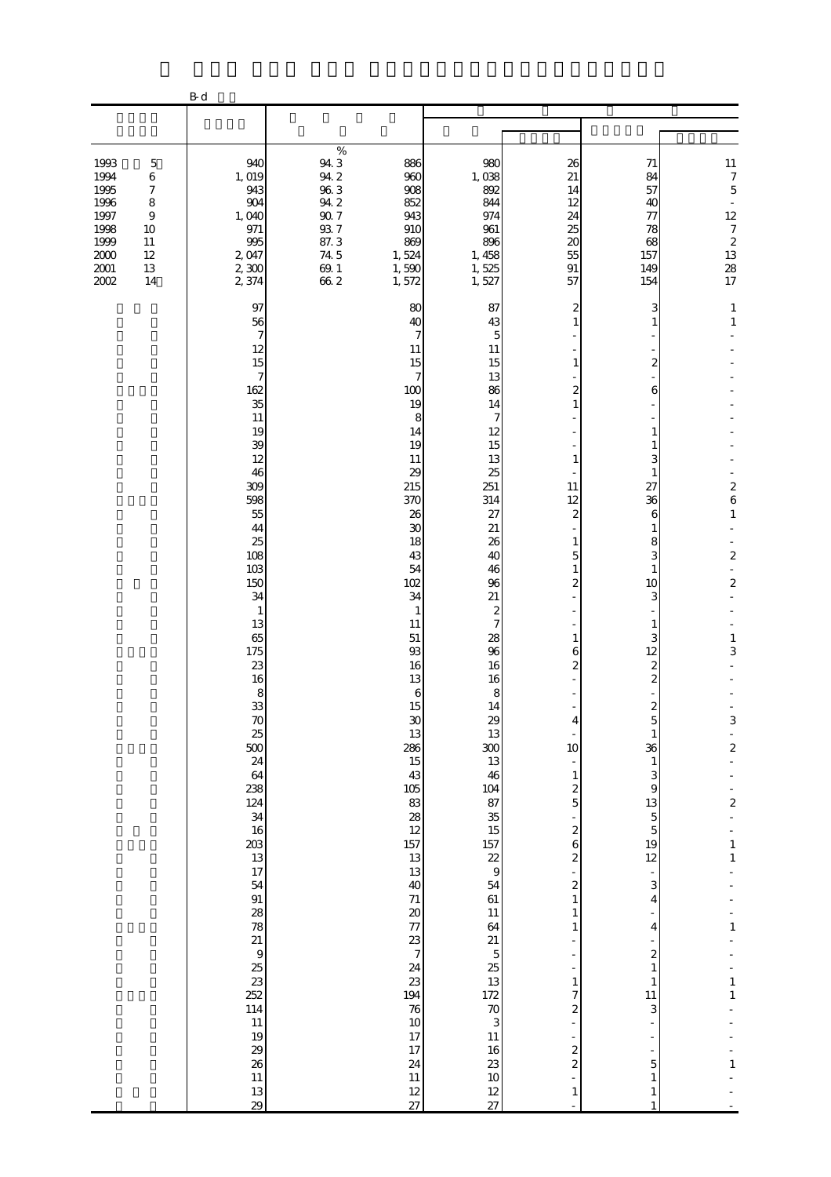|                                                                                                                                                                                               | $\mathbf{B}\,\mathbf{d}$                                                                                                                                                                                                                                                                                                                                                                                                         |                                                                                                                                                                                                                                                                                                                                                                                                                                                                                                     |                                                                                                                                                                                                                                                                                                                                                                                                                                                                                                                             |                                                                                                                                                                                                                                                                                                                                                                                                                                                                                                                                                                         |                                                                                                                                                                                                                                                                                                                                                                                                                                                                                                                                                                                             |                                                                                                                                                                                                                                                                                                 |
|-----------------------------------------------------------------------------------------------------------------------------------------------------------------------------------------------|----------------------------------------------------------------------------------------------------------------------------------------------------------------------------------------------------------------------------------------------------------------------------------------------------------------------------------------------------------------------------------------------------------------------------------|-----------------------------------------------------------------------------------------------------------------------------------------------------------------------------------------------------------------------------------------------------------------------------------------------------------------------------------------------------------------------------------------------------------------------------------------------------------------------------------------------------|-----------------------------------------------------------------------------------------------------------------------------------------------------------------------------------------------------------------------------------------------------------------------------------------------------------------------------------------------------------------------------------------------------------------------------------------------------------------------------------------------------------------------------|-------------------------------------------------------------------------------------------------------------------------------------------------------------------------------------------------------------------------------------------------------------------------------------------------------------------------------------------------------------------------------------------------------------------------------------------------------------------------------------------------------------------------------------------------------------------------|---------------------------------------------------------------------------------------------------------------------------------------------------------------------------------------------------------------------------------------------------------------------------------------------------------------------------------------------------------------------------------------------------------------------------------------------------------------------------------------------------------------------------------------------------------------------------------------------|-------------------------------------------------------------------------------------------------------------------------------------------------------------------------------------------------------------------------------------------------------------------------------------------------|
|                                                                                                                                                                                               |                                                                                                                                                                                                                                                                                                                                                                                                                                  |                                                                                                                                                                                                                                                                                                                                                                                                                                                                                                     |                                                                                                                                                                                                                                                                                                                                                                                                                                                                                                                             |                                                                                                                                                                                                                                                                                                                                                                                                                                                                                                                                                                         |                                                                                                                                                                                                                                                                                                                                                                                                                                                                                                                                                                                             |                                                                                                                                                                                                                                                                                                 |
| 1993<br>$\mathbf 5$<br>1994<br>$\,6$<br>1995<br>$\boldsymbol{7}$<br>1996<br>$\,8\,$<br>1997<br>$\boldsymbol{9}$<br>1998<br>10<br>1999<br>$11\,$<br>2000<br>12<br>$2001\,$<br>13<br>2002<br>14 | 940<br>1, 019<br>943<br>904<br>1,040<br>971<br>995<br>2,047<br>$2,300$<br>2 374                                                                                                                                                                                                                                                                                                                                                  | %<br>94 3<br>94 2<br>96 3<br>886<br>960<br>908<br>94.2<br>852<br>$90\ 7$<br>943<br>93 7<br>87 3<br>74 5<br>910<br>869<br>1,524<br>69.1<br>1,590<br>662<br>1,572                                                                                                                                                                                                                                                                                                                                     | 980<br>1,038<br>892<br>844<br>974<br>961<br>896<br>1, 458<br>1,525<br>1,527                                                                                                                                                                                                                                                                                                                                                                                                                                                 | 26<br>21<br>14<br>12<br>24<br>25<br>20<br>55<br>$\,91$<br>57                                                                                                                                                                                                                                                                                                                                                                                                                                                                                                            | 71<br>84<br>57<br>40<br>77<br>78<br>68<br>157<br>149<br>154                                                                                                                                                                                                                                                                                                                                                                                                                                                                                                                                 | $\begin{array}{c} 11 \\ 7 \\ 5 \end{array}$<br>$\overline{\phantom{a}}$<br>12<br>$\begin{array}{c} 7 \\ 2 \\ 13 \end{array}$<br>28<br>17                                                                                                                                                        |
|                                                                                                                                                                                               | 97<br>56<br>$\boldsymbol{7}$<br>12<br>15<br>$\boldsymbol{7}$<br>162<br>35<br>$11\,$<br>19<br>39<br>12<br>46<br>309<br>598<br>55<br>44<br>25<br>108<br>103<br>150<br>34<br>$\mathbf{1}$<br>13<br>65<br>175<br>23<br>16<br>8<br>33<br>70<br>25<br>500<br>24<br>64<br>238<br>124<br>34<br>16<br>203<br>13<br>17<br>54<br>91<br>28<br>78<br>21<br>$\frac{9}{25}$<br>252<br>114<br>$11\,$<br>19<br>29<br>26<br>$11\,$<br>$13\,$<br>29 | 80<br>40<br>7<br>11<br>15<br>7<br>100<br>19<br>$\,$ 8 $\,$<br>14<br>19<br>11<br>29<br>215<br>370<br>26<br>$30\,$<br>18<br>43<br>54<br>102<br>34<br>$\mathbf{1}$<br>11<br>$51\,$<br>93<br>16<br>13<br>$\,6$<br>15<br>$30\,$<br>13<br>286<br>$15\,$<br>43<br>$105\,$<br>83<br>28<br>$12 \text{ }$<br>157<br>$13\,$<br>13<br>40<br>$71$<br>$\boldsymbol{\chi}$<br>77<br>23<br>$\begin{array}{c} 7 \end{array}$<br>24<br>23<br>194<br>$\rm 76$<br>$10\,$<br>17<br>17<br>$2\!$<br>$11\,$<br>$12\,$<br>27 | 87<br>43<br>5<br>11<br>15<br>13<br>86<br>14<br>7<br>12<br>15<br>13<br>25<br>251<br>314<br>27<br>$21\,$<br>26<br>40<br>46<br>96<br>21<br>$\boldsymbol{z}$<br>$\overline{7}$<br>28<br>96<br>16<br>16<br>8<br>14<br>29<br>13<br>300<br>13<br>46<br>104<br>$\begin{array}{c} 87 \\ 35 \end{array}$<br>$\frac{15}{15}$<br>$\frac{17}{2}$<br>54<br>61<br>$11\,$<br>64<br>21<br>$\begin{array}{c} 5 \\ 25 \\ 13 \end{array}$<br>$\begin{array}{c} 172 \\ 70 \\ 3 \end{array}$<br>$11\,$<br>16<br>$23\,$<br>$10$<br>$\frac{12}{27}$ | 2<br>1<br>$\mathbf{1}$<br>$\overline{\mathbf{c}}$<br>$\mathbf{1}$<br>1<br>11<br>12<br>2<br>1<br>5<br>$\mathbf{1}$<br>2<br>1<br>6<br>2<br>4<br>÷<br>10<br>$\frac{1}{2}$<br>$\mathbf{1}$<br>$\boldsymbol{z}$<br>$\overline{5}$<br>$\blacksquare$<br>$\overline{\mathcal{Z}}$<br>6<br>$\overline{\mathcal{Z}}$<br>-<br>$\overline{\mathcal{Z}}$<br>$\,1\,$<br>$\mathbf{1}$<br>1<br>÷,<br>$\mathbf{1}$<br>7<br>$\overline{\mathcal{Z}}$<br>$\overline{a}$<br>$\overline{a}$<br>$\overline{\mathcal{Z}}$<br>$\overline{\mathcal{Z}}$<br>$\overline{a}$<br>$\mathbf{1}$<br>L. | 3<br>$\overline{\mathcal{Z}}$<br>6<br>1<br>1<br>3<br>1<br>27<br>36<br>6<br>$\mathbf{1}$<br>8<br>3<br>$\mathbf{1}$<br>10<br>3<br>1<br>3<br>12<br>$\overline{\mathcal{Z}}$<br>$\overline{\mathcal{Z}}$<br>$\mathbf{z}$<br>5<br>$\mathbf{1}$<br>36<br>$\mathbf{1}$<br>3<br>$\boldsymbol{9}$<br>13<br>$\overline{5}$<br>$\overline{5}$<br>19<br>$12\,$<br>$\overline{\phantom{a}}$<br>3<br>$\overline{4}$<br>$\frac{1}{2}$<br>4<br>$\overline{\mathcal{Z}}$<br>$\,1\,$<br>$\mathbf{1}$<br>11<br>3<br>÷<br>$\blacksquare$<br>÷<br>$\overline{5}$<br>$\mathbf{1}$<br>$\mathbf{1}$<br>$\mathbf{1}$ | $\mathbf{1}$<br>$\mathbf{1}$<br>$\overline{\mathbf{c}}$<br>$\epsilon$<br>$\mathbf{1}$<br>$\boldsymbol{2}$<br>$\boldsymbol{2}$<br>$\mathbf{1}$<br>3<br>$\,3$<br>÷<br>$\overline{a}$<br>$\overline{\mathcal{L}}$<br>$\mathbf{1}$<br>$\,1\,$<br>$\mathbf{1}$<br>$\,1\,$<br>$\mathbf{1}$<br>$\,1\,$ |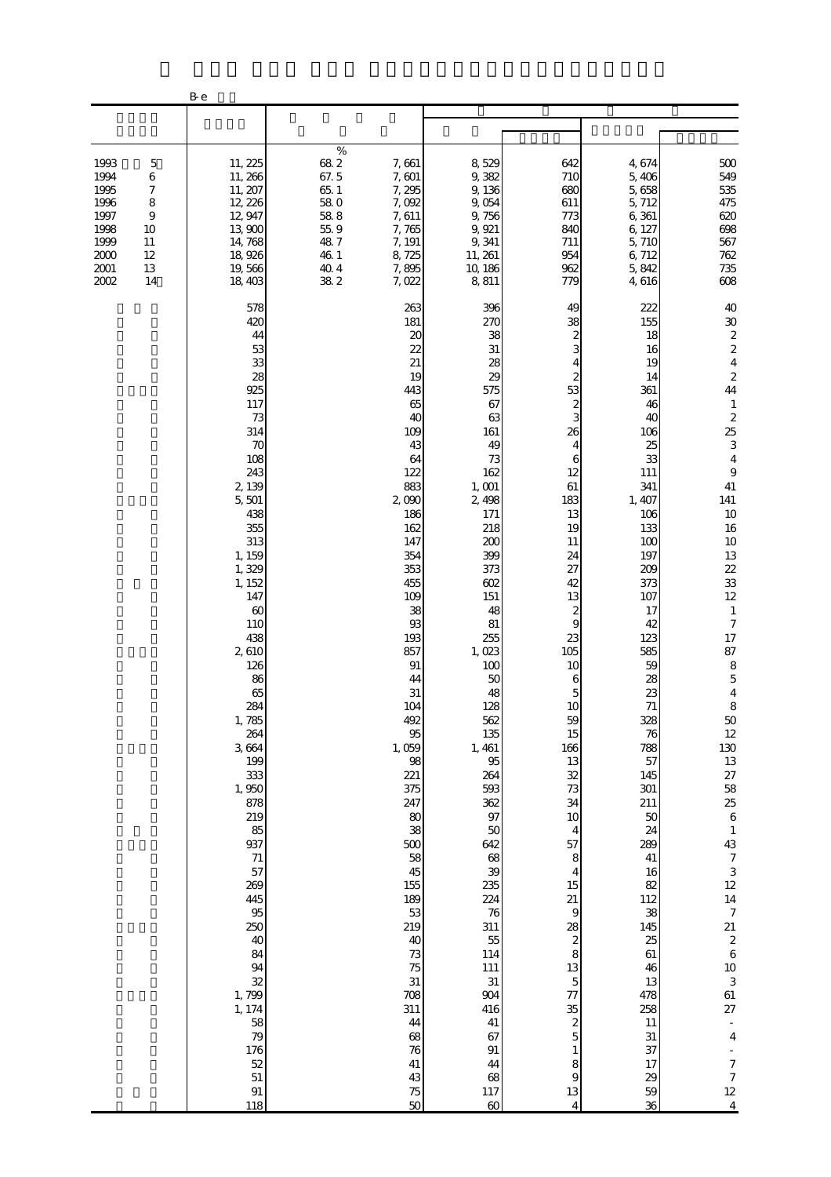|                                                                                                                                     | B-e                                                                                                                                                                                                                                                                                                                                                                                                                                         |                                                                                    |                                                                                                                                                                                                                                                                                                                                                                                                                                                   |                                                                                                                                                                                                                                                                                                                                                                                                                                        |                                                                                                                                                                                                                                                                                                                                                                                                                                                                                                                  |                                                                                                                                                                                                                                                                                                                                                                                                    |                                                                                                                                                                                                                                                                                                                                                                                                                                                                                                                                                                                                                                                                                                         |
|-------------------------------------------------------------------------------------------------------------------------------------|---------------------------------------------------------------------------------------------------------------------------------------------------------------------------------------------------------------------------------------------------------------------------------------------------------------------------------------------------------------------------------------------------------------------------------------------|------------------------------------------------------------------------------------|---------------------------------------------------------------------------------------------------------------------------------------------------------------------------------------------------------------------------------------------------------------------------------------------------------------------------------------------------------------------------------------------------------------------------------------------------|----------------------------------------------------------------------------------------------------------------------------------------------------------------------------------------------------------------------------------------------------------------------------------------------------------------------------------------------------------------------------------------------------------------------------------------|------------------------------------------------------------------------------------------------------------------------------------------------------------------------------------------------------------------------------------------------------------------------------------------------------------------------------------------------------------------------------------------------------------------------------------------------------------------------------------------------------------------|----------------------------------------------------------------------------------------------------------------------------------------------------------------------------------------------------------------------------------------------------------------------------------------------------------------------------------------------------------------------------------------------------|---------------------------------------------------------------------------------------------------------------------------------------------------------------------------------------------------------------------------------------------------------------------------------------------------------------------------------------------------------------------------------------------------------------------------------------------------------------------------------------------------------------------------------------------------------------------------------------------------------------------------------------------------------------------------------------------------------|
|                                                                                                                                     |                                                                                                                                                                                                                                                                                                                                                                                                                                             |                                                                                    |                                                                                                                                                                                                                                                                                                                                                                                                                                                   |                                                                                                                                                                                                                                                                                                                                                                                                                                        |                                                                                                                                                                                                                                                                                                                                                                                                                                                                                                                  |                                                                                                                                                                                                                                                                                                                                                                                                    |                                                                                                                                                                                                                                                                                                                                                                                                                                                                                                                                                                                                                                                                                                         |
| 1993<br>5<br>1994<br>6<br>1995<br>7<br>1996<br>8<br>1997<br>9<br>1998<br>10<br>1999<br>11<br>2000<br>12<br>2001<br>13<br>2002<br>14 | 11, 225<br>11, 266<br>11, 207<br>12, 226<br>12, 947<br>13,900<br>14,768<br>18,926<br>19,566<br>18,403                                                                                                                                                                                                                                                                                                                                       | %<br>682<br>67.5<br>65.1<br>58.0<br>$58\ 8$<br>55.9<br>487<br>46 1<br>40.4<br>38 2 | 7,661<br>7,601<br>7,295<br>7,092<br>7,611<br>7,765<br>7, 191<br>8,725<br>7,895<br>7,022                                                                                                                                                                                                                                                                                                                                                           | 8,529<br>9,382<br>9,136<br>9,054<br>9,756<br>9, 921<br>9,341<br>11, 261<br>10, 186<br>8,811                                                                                                                                                                                                                                                                                                                                            | 642<br>710<br>680<br>611<br>773<br>840<br>711<br>954<br>962<br>779                                                                                                                                                                                                                                                                                                                                                                                                                                               | 4,674<br>5,406<br>5,658<br>5, 712<br>6,361<br>6, 127<br>5,710<br>6,712<br>5,842<br>4,616                                                                                                                                                                                                                                                                                                           | 500<br>549<br>535<br>475<br>620<br>698<br>567<br>762<br>735<br>608                                                                                                                                                                                                                                                                                                                                                                                                                                                                                                                                                                                                                                      |
|                                                                                                                                     | 578<br>420<br>44<br>53<br>33<br>28<br>925<br>117<br>73<br>314<br>70<br>108<br>243<br>2, 139<br>5,501<br>438<br>355<br>313<br>1, 159<br>1,329<br>1, 152<br>147<br>60<br>110<br>438<br>2,610<br>126<br>86<br>65<br>284<br>1,785<br>264<br>3,664<br>199<br>333<br>1,950<br>878<br>219<br>85<br>937<br>$71\,$<br>57<br>269<br>445<br>95<br>250<br>40<br>84<br>94<br>32<br>1,799<br>1, 174<br>58<br>79<br>176<br>52<br>$51\,$<br>$\rm 91$<br>118 |                                                                                    | 263<br>181<br>20<br>$\overline{22}$<br>21<br>19<br>443<br>65<br>40<br>109<br>43<br>64<br>122<br>883<br>2,090<br>186<br>162<br>147<br>354<br>353<br>455<br>109<br>38<br>93<br>193<br>857<br>91<br>44<br>31<br>104<br>492<br>$95\,$<br>1,059<br>$9\!8$<br>221<br>375<br>247<br>80<br>38<br>500<br>58<br>45<br>155<br>189<br>53<br>219<br>40<br>73<br>75<br>$31\,$<br>708<br>311<br>$\bf 44$<br>68<br>$76\,$<br>$41\,$<br>$43\,$<br>$7\!5$<br>$50\,$ | 396<br>270<br>38<br>31<br>28<br>29<br>575<br>67<br>63<br>161<br>49<br>73<br>162<br>1,001<br>2,498<br>171<br>218<br>200<br>399<br>373<br>602<br>151<br>48<br>81<br>255<br>1,023<br>100<br>50<br>48<br>128<br>562<br>135<br>1, 461<br>$95\,$<br>264<br>593<br>362<br>$97\,$<br>$50\,$<br>642<br>68<br>39<br>235<br>224<br>76<br>311<br>55<br>114<br>111<br>$31\,$<br>904<br>416<br>41<br>67<br>$91\,$<br>44<br>68<br>$117\,$<br>$\infty$ | 49<br>38<br>2<br>3<br>4<br>$\boldsymbol{z}$<br>53<br>$\boldsymbol{z}$<br>3<br>26<br>4<br>6<br>12<br>61<br>183<br>13<br>19<br>11<br>24<br>27<br>42<br>13<br>$\boldsymbol{z}$<br>9<br>23<br>105<br>10<br>6<br>5<br>10<br>59<br>15<br>166<br>13<br>32<br>73<br>34<br>$10$<br>4<br>57<br>8<br>$\overline{\mathcal{A}}$<br>15<br>$21\,$<br>$\overline{9}$<br>28<br>$\boldsymbol{z}$<br>8<br>13<br>$\mathbf 5$<br>77<br>35<br>$\boldsymbol{z}$<br>$\overline{5}$<br>$\mathbf{1}$<br>8<br>9<br>$13\,$<br>$\overline{4}$ | 222<br>155<br>18<br>16<br>19<br>14<br>361<br>46<br>40<br>106<br>25<br>33<br>111<br>341<br>1,407<br>106<br>133<br>100<br>197<br>209<br>373<br>107<br>17<br>42<br>123<br>585<br>59<br>28<br>23<br>71<br>328<br>76<br>788<br>57<br>145<br>301<br>211<br>50<br>24<br>289<br>$41\,$<br>16<br>82<br>112<br>38<br>145<br>25<br>$61\,$<br>46<br>13<br>478<br>258<br>11<br>31<br>37<br>17<br>29<br>59<br>36 | 40<br>$30\,$<br>$\begin{array}{c} 2 \\ 2 \\ 4 \end{array}$<br>$\boldsymbol{z}$<br>44<br>$\mathbf{1}$<br>$\begin{array}{c} 2 \\ 25 \end{array}$<br>$\,$ 3 $\,$<br>$\overline{4}$<br>$\,9$<br>41<br>141<br>10<br>16<br>10<br>13<br>22<br>33<br>$12\,$<br>$\mathbf{1}$<br>$\boldsymbol{7}$<br>17<br>87<br>$\,8\,$<br>$\mathbf 5$<br>$\overline{4}$<br>8<br>$\begin{bmatrix} 50 \\ 12 \\ 130 \\ 13 \end{bmatrix}$<br>$27\,$<br>$\begin{array}{c} 58 \\ 25 \\ 6 \end{array}$<br>$\,$ 1<br>43<br>$\boldsymbol{7}$<br>$\,3$<br>$12\,$<br>$14\,$<br>$\boldsymbol{7}$<br>21<br>$\boldsymbol{2}$<br>$\,6\,$<br>10 <sup>10</sup><br>$\,3$<br>61<br>27<br>$\boldsymbol{4}$<br>$\frac{7}{7}$<br>$12\,$<br>$\sqrt{4}$ |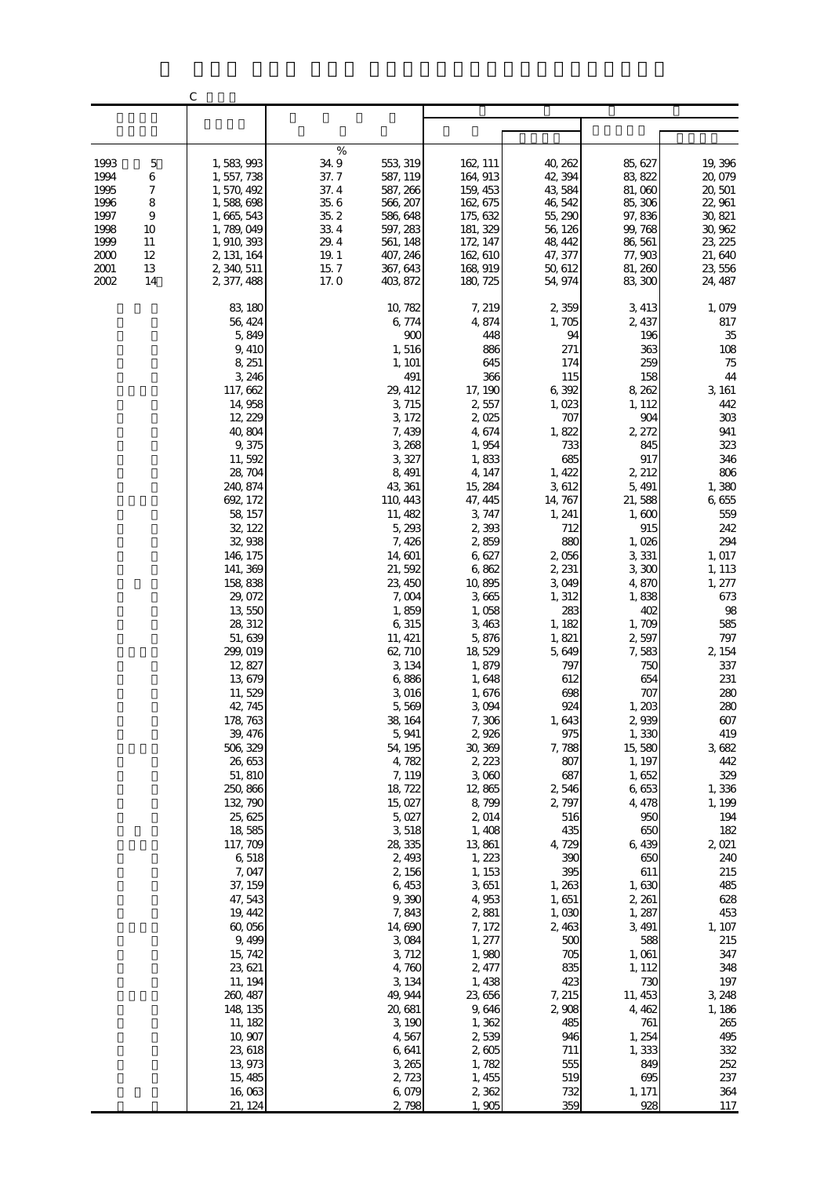|                                                                                             | $\mathsf{C}$                                                                                                                                                                                                                                                                                                                                                                                                                                                                                                                                                                                  |                                                                                                                                                                                                                                                                                                                                                                                                                                                                                                                                            |                                                                                                                                                                                                                                                                                                                                                                                                                                                                                                            |                                                                                                                                                                                                                                                                                                                                                                                                                                                   |                                                                                                                                                                                                                                                                                                                                                                                                                                                                          |                                                                                                                                                                                                                                                                                                                                                                                                                                            |
|---------------------------------------------------------------------------------------------|-----------------------------------------------------------------------------------------------------------------------------------------------------------------------------------------------------------------------------------------------------------------------------------------------------------------------------------------------------------------------------------------------------------------------------------------------------------------------------------------------------------------------------------------------------------------------------------------------|--------------------------------------------------------------------------------------------------------------------------------------------------------------------------------------------------------------------------------------------------------------------------------------------------------------------------------------------------------------------------------------------------------------------------------------------------------------------------------------------------------------------------------------------|------------------------------------------------------------------------------------------------------------------------------------------------------------------------------------------------------------------------------------------------------------------------------------------------------------------------------------------------------------------------------------------------------------------------------------------------------------------------------------------------------------|---------------------------------------------------------------------------------------------------------------------------------------------------------------------------------------------------------------------------------------------------------------------------------------------------------------------------------------------------------------------------------------------------------------------------------------------------|--------------------------------------------------------------------------------------------------------------------------------------------------------------------------------------------------------------------------------------------------------------------------------------------------------------------------------------------------------------------------------------------------------------------------------------------------------------------------|--------------------------------------------------------------------------------------------------------------------------------------------------------------------------------------------------------------------------------------------------------------------------------------------------------------------------------------------------------------------------------------------------------------------------------------------|
|                                                                                             |                                                                                                                                                                                                                                                                                                                                                                                                                                                                                                                                                                                               |                                                                                                                                                                                                                                                                                                                                                                                                                                                                                                                                            |                                                                                                                                                                                                                                                                                                                                                                                                                                                                                                            |                                                                                                                                                                                                                                                                                                                                                                                                                                                   |                                                                                                                                                                                                                                                                                                                                                                                                                                                                          |                                                                                                                                                                                                                                                                                                                                                                                                                                            |
| 1993<br>$\mathbf 5$<br>1994<br>6<br>7<br>1995                                               | 1,583,993<br>1, 557, 738<br>1,570,492                                                                                                                                                                                                                                                                                                                                                                                                                                                                                                                                                         | $\%$<br>34.9<br>553, 319<br>37.7<br>587, 119<br>37.4<br>587, 266                                                                                                                                                                                                                                                                                                                                                                                                                                                                           | 162, 111<br>164, 913<br>159, 453                                                                                                                                                                                                                                                                                                                                                                                                                                                                           | 40, 262<br>42, 394<br>43,584                                                                                                                                                                                                                                                                                                                                                                                                                      | 85, 627<br>83, 822<br>81,060                                                                                                                                                                                                                                                                                                                                                                                                                                             | 19,396<br>20,079<br>20, 501                                                                                                                                                                                                                                                                                                                                                                                                                |
| 8<br>1996<br>1997<br>$\overline{9}$<br>1998<br>10<br>1999<br>11<br>2000<br>12<br>2001<br>13 | 1,588,698<br>1, 665, 543<br>1, 789, 049<br>1, 910, 393<br>2, 131, 164<br>2, 340, 511                                                                                                                                                                                                                                                                                                                                                                                                                                                                                                          | $35\;6$<br>566, 207<br>35.2<br>586, 648<br>33 4<br>597, 283<br>29.4<br>561, 148<br>$19.1\,$<br>407, 246<br>15.7<br>367, 643                                                                                                                                                                                                                                                                                                                                                                                                                | 162, 675<br>175, 632<br>181, 329<br>172, 147<br>162, 610<br>168, 919                                                                                                                                                                                                                                                                                                                                                                                                                                       | 46, 542<br>55, 290<br>56, 126<br>48, 442<br>47, 377<br>50, 612                                                                                                                                                                                                                                                                                                                                                                                    | 85, 306<br>97,836<br>99, 768<br>86, 561<br>77,903<br>81, 260                                                                                                                                                                                                                                                                                                                                                                                                             | 22,961<br>30, 821<br>30, 962<br>23, 225<br>21,640<br>23, 556                                                                                                                                                                                                                                                                                                                                                                               |
| 2002<br>14                                                                                  | 2, 377, 488<br>83, 180<br>56, 424<br>5,849<br>9,410<br>8, 251<br>3, 246<br>117, 662<br>14, 958<br>12, 229<br>40,804<br>9,375<br>11,592<br>28, 704<br>240, 874<br>692, 172<br>58, 157<br>32, 122<br>32,938<br>146, 175<br>141, 369<br>158,838<br>29, 072<br>13,550<br>28, 312<br>51, 639<br>299, 019<br>12, 827<br>13,679<br>11,529<br>42, 745<br>178, 763<br>39, 476<br>506, 329<br>26,653<br>51, 810<br>250, 866<br>132, 790<br>25, 625<br>18,585<br>117, 709<br>6,518<br>7,047<br>37, 159<br>47, 543<br>19, 442<br>60,056<br>9,499<br>15, 742<br>23, 621<br>11, 194<br>260, 487<br>148, 135 | 17.0<br>403, 872<br>10, 782<br>6,774<br>900<br>1,516<br>1, 101<br>491<br>29, 412<br>3, 715<br>3, 172<br>7,439<br>3, 268<br>3,327<br>8, 491<br>43, 361<br>110, 443<br>11, 482<br>5,293<br>7,426<br>14,601<br>21,592<br>23, 450<br>7,004<br>1,859<br>6,315<br>11, 421<br>62, 710<br>3, 134<br>6,886<br>3,016<br>5,569<br>38, 164<br>5, 941<br>54, 195<br>4,782<br>7, 119<br>18, 722<br>15,027<br>5,027<br>3,518<br>28,335<br>2,493<br>2,156<br>6,453<br>9,390<br>7,843<br>14,690<br>3,084<br>3, 712<br>4,760<br>3, 134<br>49, 944<br>20, 681 | 180, 725<br>7, 219<br>4,874<br>448<br>886<br>645<br>366<br>17, 190<br>2,557<br>2,025<br>4,674<br>1,954<br>1,833<br>4, 147<br>15, 284<br>47, 445<br>3,747<br>2,393<br>2,859<br>6,627<br>6,862<br>10,895<br>3,665<br>1,058<br>3,463<br>5,876<br>18,529<br>1,879<br>1,648<br>1,676<br>3,094<br>7,306<br>2,926<br>30, 369<br>2, 223<br>3,000<br>12,865<br>8,799<br>2,014<br>1,408<br>13,861<br>1, 223<br>1, 153<br>3,651<br>4,953<br>2,881<br>7, 172<br>1, 277<br>1,980<br>2, 477<br>1,438<br>23, 656<br>9,646 | 54, 974<br>2,359<br>1,705<br>94<br>271<br>174<br>115<br>6,392<br>1,023<br>707<br>1,822<br>733<br>685<br>1, 422<br>3,612<br>14, 767<br>1, 241<br>712<br>880<br>2,056<br>2, 231<br>3,049<br>1, 312<br>283<br>1, 182<br>1,821<br>5,649<br>797<br>612<br>698<br>924<br>1,643<br>975<br>7,788<br>807<br>687<br>2,546<br>2,797<br>516<br>435<br>4, 729<br>390<br>395<br>1,263<br>1,651<br>1,030<br>2,463<br>500<br>705<br>835<br>423<br>7, 215<br>2,908 | 83, 300<br>3, 413<br>2, 437<br>196<br>363<br>259<br>158<br>8, 262<br>1, 112<br>904<br>2, 272<br>845<br>917<br>2, 212<br>5, 491<br>21,588<br>1,600<br>915<br>1,026<br>3,331<br>3,300<br>4,870<br>1,838<br>402<br>1,709<br>2,597<br>7,583<br>750<br>654<br>707<br>1,203<br>2939<br>1,330<br>15,580<br>1, 197<br>1,652<br>6,653<br>4, 478<br>950<br>650<br>6,439<br>650<br>611<br>1,630<br>2, 261<br>1, 287<br>3, 491<br>588<br>1,061<br>1, 112<br>730<br>11, 453<br>4, 462 | 24, 487<br>1,079<br>817<br>$35\,$<br>$108\,$<br>$75\,$<br>$44\,$<br>3, 161<br>442<br>303<br>941<br>323<br>346<br>$806\,$<br>1,380<br>6,655<br>559<br>242<br>294<br>1, 017<br>1, 113<br>1, 277<br>673<br>98<br>585<br>797<br>2, 154<br>337<br>231<br>280<br>280<br>607<br>419<br>3,682<br>442<br>329<br>1,336<br>1, 199<br>194<br>182<br>2,021<br>240<br>215<br>485<br>628<br>453<br>1, 107<br>215<br>347<br>348<br>197<br>3, 248<br>1, 186 |
|                                                                                             | 11, 182<br>10,907<br>23, 618<br>13,973<br>15, 485<br>16,063<br>21, 124                                                                                                                                                                                                                                                                                                                                                                                                                                                                                                                        | 3,190<br>4,567<br>6,641<br>3, 265<br>2,723<br>6,079<br>2,798                                                                                                                                                                                                                                                                                                                                                                                                                                                                               | 1,362<br>2,539<br>2,605<br>1,782<br>1, 455<br>2,362<br>1,905                                                                                                                                                                                                                                                                                                                                                                                                                                               | 485<br>946<br>711<br>555<br>519<br>732<br>359                                                                                                                                                                                                                                                                                                                                                                                                     | 761<br>1, 254<br>1,333<br>849<br>695<br>1, 171<br>928                                                                                                                                                                                                                                                                                                                                                                                                                    | 265<br>495<br>332<br>252<br>237<br>364<br>117                                                                                                                                                                                                                                                                                                                                                                                              |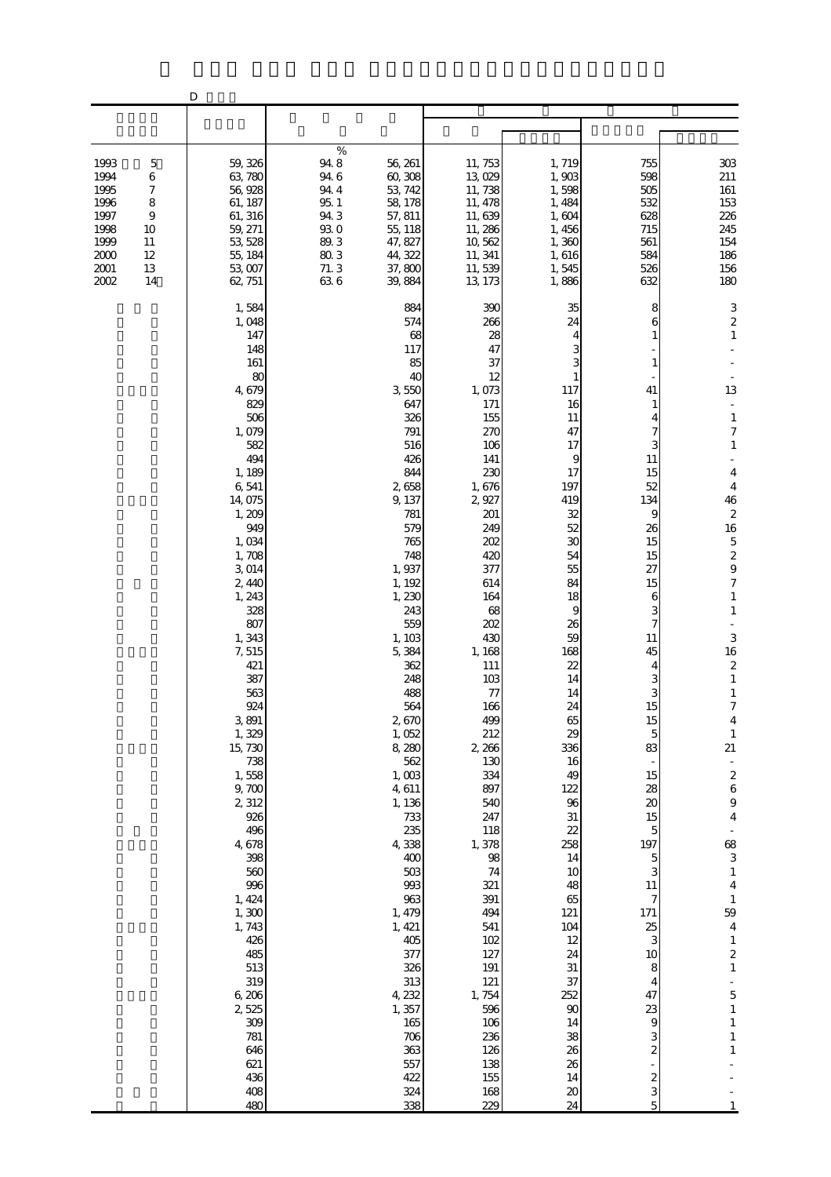|                                                                                                                                               | D                                                                                                                                                                                                                                                                                                                                                                                                                                                                                      |                                                                                                                                                                                                                                                                                                                                                                                                                                                                          |                                                                                                                                                                                                                                                                                                                                                                                                                                   |                                                                                                                                                                                                                                                                                                                                                        |                                                                                                                                                                                                                                                                                                                                 |                                                                                                                                                                                                                                                                                                                                                                                                                                                                                                                                                                                                                                                         |
|-----------------------------------------------------------------------------------------------------------------------------------------------|----------------------------------------------------------------------------------------------------------------------------------------------------------------------------------------------------------------------------------------------------------------------------------------------------------------------------------------------------------------------------------------------------------------------------------------------------------------------------------------|--------------------------------------------------------------------------------------------------------------------------------------------------------------------------------------------------------------------------------------------------------------------------------------------------------------------------------------------------------------------------------------------------------------------------------------------------------------------------|-----------------------------------------------------------------------------------------------------------------------------------------------------------------------------------------------------------------------------------------------------------------------------------------------------------------------------------------------------------------------------------------------------------------------------------|--------------------------------------------------------------------------------------------------------------------------------------------------------------------------------------------------------------------------------------------------------------------------------------------------------------------------------------------------------|---------------------------------------------------------------------------------------------------------------------------------------------------------------------------------------------------------------------------------------------------------------------------------------------------------------------------------|---------------------------------------------------------------------------------------------------------------------------------------------------------------------------------------------------------------------------------------------------------------------------------------------------------------------------------------------------------------------------------------------------------------------------------------------------------------------------------------------------------------------------------------------------------------------------------------------------------------------------------------------------------|
|                                                                                                                                               |                                                                                                                                                                                                                                                                                                                                                                                                                                                                                        |                                                                                                                                                                                                                                                                                                                                                                                                                                                                          |                                                                                                                                                                                                                                                                                                                                                                                                                                   |                                                                                                                                                                                                                                                                                                                                                        |                                                                                                                                                                                                                                                                                                                                 |                                                                                                                                                                                                                                                                                                                                                                                                                                                                                                                                                                                                                                                         |
| 1993<br>$\mathbf 5$<br>1994<br>6<br>1995<br>7<br>1996<br>8<br>1997<br>9<br>1998<br>10<br>1999<br>11<br>2000<br>12<br>2001<br>13<br>2002<br>14 | 59, 326<br>63,780<br>56,928<br>61, 187<br>61, 316<br>59, 271<br>53, 528<br>55, 184<br>53,007<br>62, 751                                                                                                                                                                                                                                                                                                                                                                                | $\%$<br>94.8<br>56, 261<br>94.6<br>60, 308<br>94.4<br>53, 742<br>$95.1\,$<br>58, 178<br>94.3<br>57, 811<br>930<br>55, 118<br>89.3<br>47, 827<br>803<br>44, 322<br>71.3<br>37,800<br>636<br>39,884                                                                                                                                                                                                                                                                        | 11, 753<br>13,029<br>11,738<br>11, 478<br>11,639<br>11, 286<br>10,562<br>11, 341<br>11,539<br>13, 173                                                                                                                                                                                                                                                                                                                             | 1,719<br>1,903<br>1,598<br>1,484<br>1,604<br>1,456<br>1,360<br>1,616<br>1,545<br>1,886                                                                                                                                                                                                                                                                 | 755<br>598<br>505<br>532<br>628<br>715<br>561<br>584<br>526<br>632                                                                                                                                                                                                                                                              | 303<br>211<br>161<br>153<br>226<br>245<br>154<br>186<br>156<br>180                                                                                                                                                                                                                                                                                                                                                                                                                                                                                                                                                                                      |
|                                                                                                                                               | 1,584<br>1,048<br>147<br>148<br>161<br>80<br>4, 679<br>829<br>506<br>1,079<br>582<br>494<br>1, 189<br>6,541<br>14,075<br>1,209<br>949<br>1,034<br>1,708<br>3,014<br>2,440<br>1, 243<br>328<br>807<br>1,343<br>7,515<br>421<br>387<br>563<br>924<br>3,891<br>1,329<br>15,730<br>738<br>1,558<br>9,700<br>2,312<br>926<br>496<br>4, 678<br>398<br>560<br>996<br>1, 424<br>1, 300<br>1,743<br>426<br>485<br>513<br>319<br>6,206<br>2,525<br>309<br>781<br>646<br>621<br>436<br>408<br>480 | 884<br>574<br>68<br>117<br>85<br>40<br>3,550<br>647<br>326<br>791<br>516<br>426<br>844<br>2658<br>9, 137<br>781<br>579<br>765<br>748<br>1,937<br>1, 192<br>1,230<br>243<br>559<br>1, 103<br>5,384<br>362<br>248<br>488<br>564<br>2,670<br>1,052<br>8,280<br>562<br>1,003<br>4,611<br>1, 136<br>733<br>235<br>4,338<br>400<br>$503$<br>993<br>963<br>1, 479<br>1, 421<br>405<br>377<br>326<br>313<br>4, 232<br>1,357<br>$165\,$<br>706<br>363<br>557<br>422<br>324<br>338 | 390<br>266<br>28<br>47<br>37<br>12<br>1,073<br>171<br>155<br>270<br>106<br>141<br>230<br>1,676<br>2,927<br>201<br>249<br>202<br>420<br>377<br>614<br>164<br>68<br>202<br>430<br>1, 168<br>111<br>103<br>77<br>166<br>499<br>212<br>2, 266<br>130<br>334<br>897<br>540<br>247<br>118<br>1,378<br>98<br>74<br>321<br>391<br>494<br>541<br>102<br>127<br>191<br>121<br>1,754<br>596<br>106<br>236<br>126<br>138<br>155<br>168<br>229 | 35<br>24<br>117<br>16<br>11<br>47<br>17<br>9<br>17<br>197<br>419<br>32<br>52<br>30<br>54<br>55<br>84<br>18<br>9<br>26<br>59<br>168<br>22<br>14<br>14<br>24<br>65<br>29<br>336<br>16<br>49<br>122<br>96<br>31<br>22<br>258<br>14<br>10<br>48<br>65<br>121<br>104<br>12<br>24<br>$31\,$<br>37<br>252<br>$90\,$<br>14<br>38<br>26<br>26<br>14<br>20<br>24 | 8<br>6<br>1<br>1<br>41<br>1<br>4<br>7<br>3<br>11<br>15<br>52<br>134<br>9<br>26<br>15<br>15<br>27<br>15<br>6<br>3<br>7<br>11<br>45<br>4<br>З<br>3<br>15<br>15<br>5<br>83<br>15<br>28<br>20<br>15<br>5<br>197<br>5<br>3<br>11<br>7<br>$171\,$<br>25<br>3<br>10<br>8<br>4<br>47<br>23<br>9<br>3<br>2<br>$\boldsymbol{z}$<br>3<br>5 | 3<br>$\boldsymbol{z}$<br>$\,1\,$<br>13<br>$\blacksquare$<br>$\,1\,$<br>$\boldsymbol{7}$<br>$\mathbf{1}$<br>$\overline{4}$<br>4<br>46<br>$\boldsymbol{z}$<br>16<br>$\overline{5}$<br>$\frac{2}{9}$<br>$\boldsymbol{7}$<br>$\mathbf{1}$<br>$\mathbf{1}$<br>3<br>16<br>$\boldsymbol{z}$<br>$\mathbf{1}$<br>$\mathbf{1}$<br>7<br>4<br>$\mathbf{1}$<br>21<br>$\overline{a}$<br>$\begin{array}{c} 2 \\ 6 \end{array}$<br>$\theta$<br>$\overline{\mathbf{4}}$<br>68<br>3<br>$\,1\,$<br>$\overline{4}$<br>$\,1\,$<br>59<br>$\overline{\mathbf{4}}$<br>$\,1\,$<br>$\boldsymbol{z}$<br>$\,1\,$<br>5<br>$\mathbf 1$<br>$\,1\,$<br>$\,1$<br>$\,1\,$<br>$\mathbf{1}$ |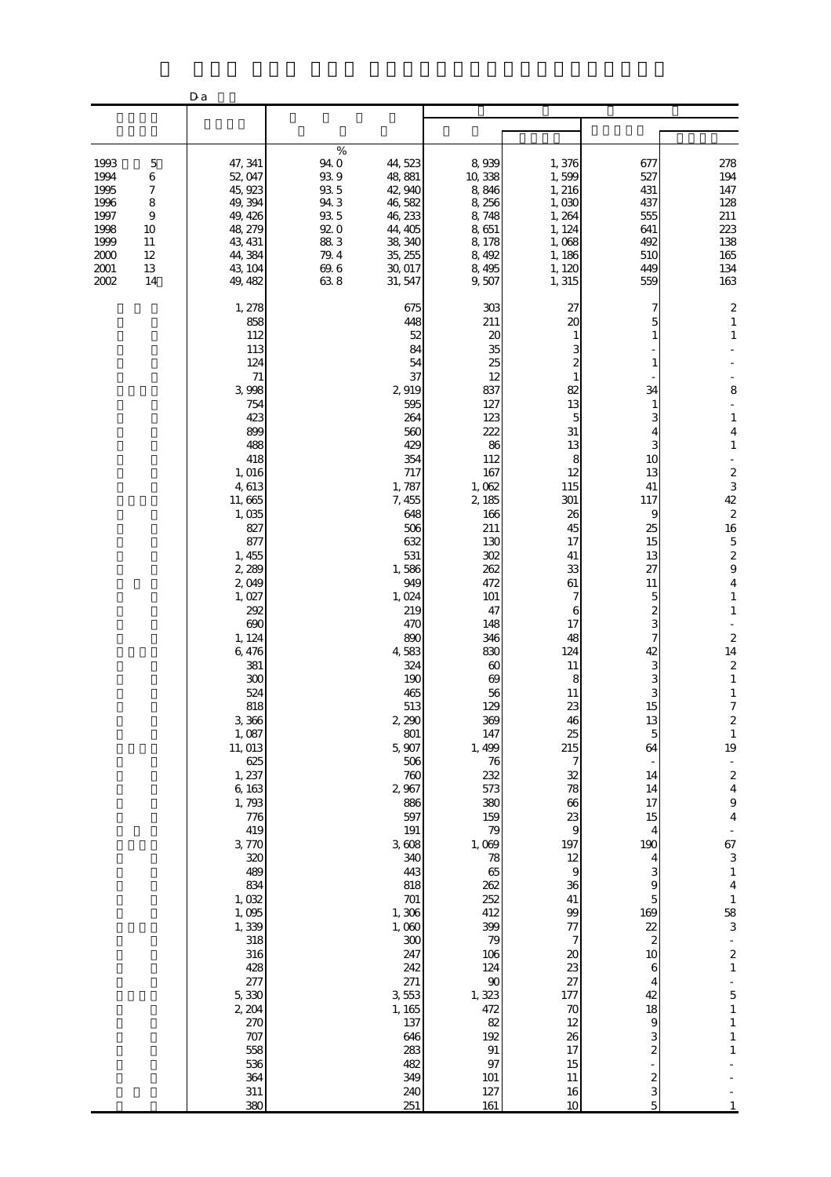|                                                                              |                                                                            | D a                                                                                                                                                                                                                                                                                                                                                                                                                                                                                    |                                                                                            |                                                                                                                                                                                                                                                                                                                                                                                                                                                         |                                                                                                                                                                                                                                                                                                                                                                                                                                 |                                                                                                                                                                                                                                                                                                                                                                                   |                                                                                                                                                                                                                                                                                                                                                     |                                                                                                                                                                                                                                                                                                                                                                                                                                                                                                                                                                                                                                       |
|------------------------------------------------------------------------------|----------------------------------------------------------------------------|----------------------------------------------------------------------------------------------------------------------------------------------------------------------------------------------------------------------------------------------------------------------------------------------------------------------------------------------------------------------------------------------------------------------------------------------------------------------------------------|--------------------------------------------------------------------------------------------|---------------------------------------------------------------------------------------------------------------------------------------------------------------------------------------------------------------------------------------------------------------------------------------------------------------------------------------------------------------------------------------------------------------------------------------------------------|---------------------------------------------------------------------------------------------------------------------------------------------------------------------------------------------------------------------------------------------------------------------------------------------------------------------------------------------------------------------------------------------------------------------------------|-----------------------------------------------------------------------------------------------------------------------------------------------------------------------------------------------------------------------------------------------------------------------------------------------------------------------------------------------------------------------------------|-----------------------------------------------------------------------------------------------------------------------------------------------------------------------------------------------------------------------------------------------------------------------------------------------------------------------------------------------------|---------------------------------------------------------------------------------------------------------------------------------------------------------------------------------------------------------------------------------------------------------------------------------------------------------------------------------------------------------------------------------------------------------------------------------------------------------------------------------------------------------------------------------------------------------------------------------------------------------------------------------------|
|                                                                              |                                                                            |                                                                                                                                                                                                                                                                                                                                                                                                                                                                                        |                                                                                            |                                                                                                                                                                                                                                                                                                                                                                                                                                                         |                                                                                                                                                                                                                                                                                                                                                                                                                                 |                                                                                                                                                                                                                                                                                                                                                                                   |                                                                                                                                                                                                                                                                                                                                                     |                                                                                                                                                                                                                                                                                                                                                                                                                                                                                                                                                                                                                                       |
| 1993<br>1994<br>1995<br>1996<br>1997<br>1998<br>1999<br>2000<br>2001<br>2002 | $\mathbf 5$<br>6<br>7<br>8<br>$\overline{9}$<br>10<br>11<br>12<br>13<br>14 | 47, 341<br>52, 047<br>45, 923<br>49, 394<br>49, 426<br>48, 279<br>43, 431<br>44,384<br>43, 104<br>49, 482                                                                                                                                                                                                                                                                                                                                                                              | $\%$<br>94.0<br>$93\,9$<br>$93\,5$<br>94.3<br>$93\,5$<br>920<br>883<br>79.4<br>69.6<br>638 | 44,523<br>48, 881<br>42, 940<br>46,582<br>46, 233<br>44, 405<br>38, 340<br>35, 255<br>30, 017<br>31, 547                                                                                                                                                                                                                                                                                                                                                | 8,939<br>10,338<br>8,846<br>8,256<br>8,748<br>8,651<br>8,178<br>8,492<br>8,495<br>9,507                                                                                                                                                                                                                                                                                                                                         | 1,376<br>1,599<br>1, 216<br>1,030<br>1,264<br>1, 124<br>1,068<br>1, 186<br>1, 120<br>1,315                                                                                                                                                                                                                                                                                        | 677<br>527<br>431<br>437<br>555<br>641<br>492<br>510<br>449<br>559                                                                                                                                                                                                                                                                                  | 278<br>194<br>147<br>128<br>211<br>223<br>138<br>165<br>134<br>163                                                                                                                                                                                                                                                                                                                                                                                                                                                                                                                                                                    |
|                                                                              |                                                                            | 1, 278<br>858<br>112<br>113<br>124<br>71<br>3,998<br>754<br>423<br>899<br>488<br>418<br>1,016<br>4, 613<br>11,665<br>1,035<br>827<br>877<br>1, 455<br>2,289<br>2,049<br>1,027<br>292<br>690<br>1, 124<br>6,476<br>381<br>300<br>524<br>818<br>3,366<br>1,087<br>11, 013<br>625<br>1, 237<br>6, 163<br>1,793<br>776<br>419<br>3,770<br>320<br>489<br>834<br>1,032<br>1,095<br>1,339<br>318<br>316<br>428<br>277<br>5,330<br>2, 204<br>270<br>707<br>558<br>536<br>364<br>$311\,$<br>380 |                                                                                            | 675<br>448<br>52<br>84<br>54<br>37<br>2919<br>595<br>264<br>560<br>429<br>354<br>717<br>1,787<br>7,455<br>648<br>506<br>632<br>531<br>1,586<br>949<br>1,024<br>219<br>470<br>890<br>4,583<br>324<br>190<br>465<br>513<br>2,290<br>801<br>5,907<br>506<br>760<br>2,967<br>886<br>597<br>191<br>3,608<br>340<br>443<br>818<br>$701$<br>1,306<br>1,060<br>$300\,$<br>247<br>242<br>271<br>3,553<br>1, 165<br>137<br>646<br>283<br>482<br>349<br>240<br>251 | 303<br>211<br>20<br>35<br>25<br>12<br>837<br>127<br>123<br>222<br>86<br>112<br>167<br>1,062<br>2,185<br>166<br>211<br>130<br>302<br>262<br>472<br>101<br>47<br>148<br>346<br>830<br>60<br>69<br>56<br>129<br>369<br>147<br>1, 499<br>76<br>232<br>573<br>380<br>159<br>79<br>1,069<br>78<br>65<br>262<br>252<br>412<br>399<br>79<br>106<br>124<br>$90\,$<br>1,323<br>472<br>82<br>192<br>$\, 91$<br>97<br>$101\,$<br>127<br>161 | 27<br>20<br>82<br>13<br>5<br>$31\,$<br>13<br>8<br>12<br>115<br>301<br>26<br>45<br>17<br>41<br>33<br>61<br>7<br>6<br>17<br>48<br>124<br>11<br>8<br>11<br>23<br>46<br>25<br>215<br>7<br>32<br>78<br>66<br>23<br>9<br>197<br>12<br>$\overline{9}$<br>36<br>$41\,$<br>$99$<br>77<br>$\overline{\phantom{a}}$<br>20<br>23<br>27<br>177<br>70<br>12<br>26<br>17<br>15<br>11<br>16<br>10 | 5<br>34<br>1<br>3<br>3<br>10<br>13<br>41<br>117<br>9<br>25<br>15<br>13<br>27<br>11<br>5<br>2<br>3<br>7<br>42<br>З<br>3<br>3<br>15<br>13<br>5<br>64<br>14<br>14<br>17<br>15<br>4<br>190<br>4<br>3<br>9<br>5<br>169<br>$\overline{2}$<br>$\overline{\mathcal{L}}$<br>10<br>6<br>4<br>42<br>18<br>9<br>3<br>$\mathbf{z}$<br>$\boldsymbol{z}$<br>3<br>5 | $\overline{\mathbf{c}}$<br>$\mathbf{1}$<br>$\mathbf{1}$<br>8<br>$\mathbf{1}$<br>4<br>$\mathbf{1}$<br>$\frac{2}{3}$<br>42<br>$\boldsymbol{z}$<br>16<br>$\overline{5}$<br>$\overline{\mathcal{L}}$<br>$\mathbf{9}$<br>$\overline{\mathbf{4}}$<br>$\mathbf{1}$<br>$\mathbf{1}$<br>$\mathbf{z}$<br>14<br>$\boldsymbol{2}$<br>$\mathbf{1}$<br>$\mathbf{1}$<br>$\overline{7}$<br>$\boldsymbol{z}$<br>$\,1\,$<br>19<br>$\frac{1}{2}$<br>$\frac{2}{4}$<br>$\boldsymbol{9}$<br>$\bf 4$<br>67<br>3<br>$\mathbf{1}$<br>$\bf 4$<br>$\,1\,$<br>$\frac{58}{3}$<br>$\boldsymbol{z}$<br>$\,1\,$<br>5<br>$\,1\,$<br>$\,1\,$<br>$\,1\,$<br>$\mathbf{1}$ |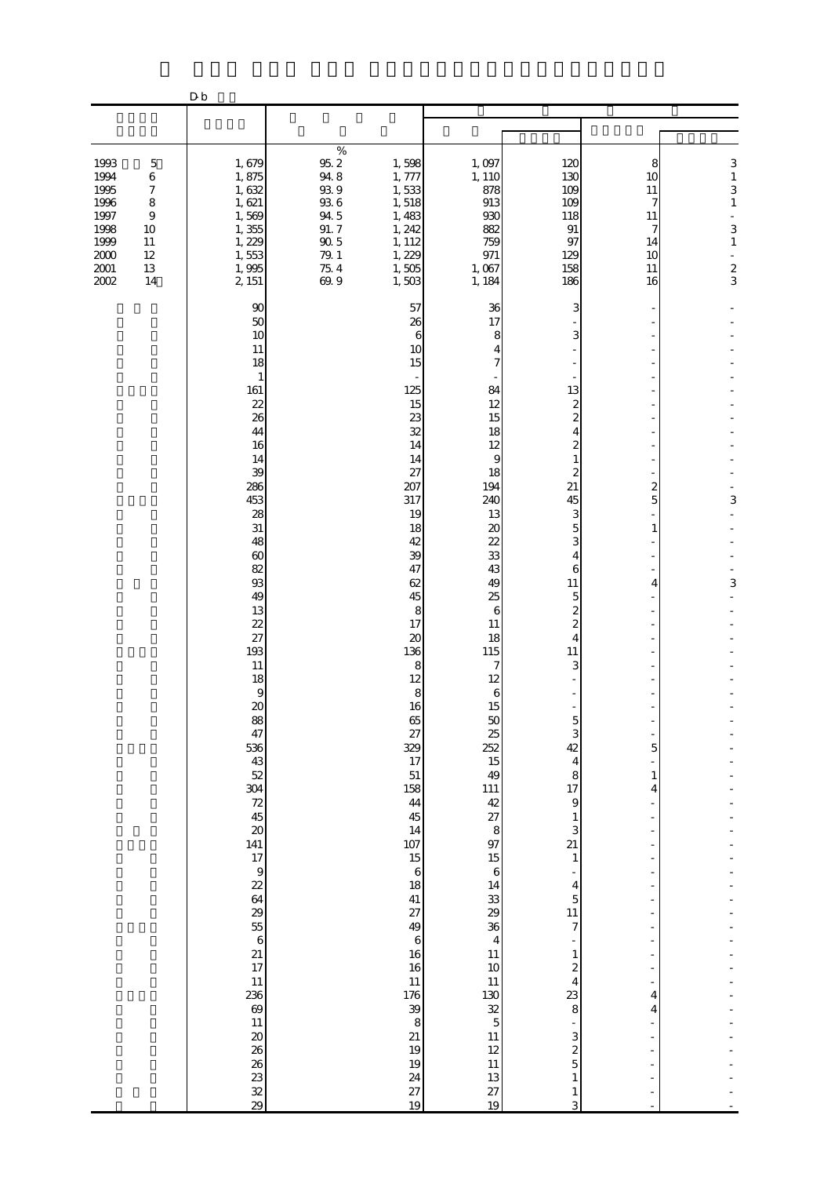|                                                                                                                                                                            | D <sub>b</sub>                                                                                                                                                                                                                                                                                                                                                                                                    |                                                                                                                                                                                                        |                                                                                                                                                                                                                                                                                                                                                                                                                                                                                                                                                                                                                                                                                                                                                                                                                            |                                                                                                                                                                                                                                                                                                                                                                                                                                                                                                                                                                                                                            |                                                                                                                                                                                                                                                    |                                                                                                      |
|----------------------------------------------------------------------------------------------------------------------------------------------------------------------------|-------------------------------------------------------------------------------------------------------------------------------------------------------------------------------------------------------------------------------------------------------------------------------------------------------------------------------------------------------------------------------------------------------------------|--------------------------------------------------------------------------------------------------------------------------------------------------------------------------------------------------------|----------------------------------------------------------------------------------------------------------------------------------------------------------------------------------------------------------------------------------------------------------------------------------------------------------------------------------------------------------------------------------------------------------------------------------------------------------------------------------------------------------------------------------------------------------------------------------------------------------------------------------------------------------------------------------------------------------------------------------------------------------------------------------------------------------------------------|----------------------------------------------------------------------------------------------------------------------------------------------------------------------------------------------------------------------------------------------------------------------------------------------------------------------------------------------------------------------------------------------------------------------------------------------------------------------------------------------------------------------------------------------------------------------------------------------------------------------------|----------------------------------------------------------------------------------------------------------------------------------------------------------------------------------------------------------------------------------------------------|------------------------------------------------------------------------------------------------------|
|                                                                                                                                                                            |                                                                                                                                                                                                                                                                                                                                                                                                                   |                                                                                                                                                                                                        |                                                                                                                                                                                                                                                                                                                                                                                                                                                                                                                                                                                                                                                                                                                                                                                                                            |                                                                                                                                                                                                                                                                                                                                                                                                                                                                                                                                                                                                                            |                                                                                                                                                                                                                                                    |                                                                                                      |
|                                                                                                                                                                            |                                                                                                                                                                                                                                                                                                                                                                                                                   |                                                                                                                                                                                                        |                                                                                                                                                                                                                                                                                                                                                                                                                                                                                                                                                                                                                                                                                                                                                                                                                            |                                                                                                                                                                                                                                                                                                                                                                                                                                                                                                                                                                                                                            |                                                                                                                                                                                                                                                    |                                                                                                      |
| 1993<br>$\mathbf 5$<br>1994<br>6<br>1995<br>$\boldsymbol{7}$<br>1996<br>$\,8\,$<br>1997<br>9<br>1998<br>10<br>1999<br>11<br>$2000\,$<br>12<br>$2001\,$<br>13<br>2002<br>14 | 1,679<br>1,875<br>1,632<br>1,621<br>1,569<br>1,355<br>1, 229<br>1,553<br>1,995<br>2, 151                                                                                                                                                                                                                                                                                                                          | $\%$<br>$95.2\,$<br>1,598<br>$94\ 8$<br>1,777<br>$93\ 9$<br>1,533<br>$93\ 6$<br>1,518<br>94.5<br>1,483<br>91.7<br>1, 242<br>$90\,5$<br>1, 112<br>$79. \;1$<br>1, 229<br>75.4<br>1,505<br>69.9<br>1,503 | 1,097<br>1, 110<br>878<br>913<br>930<br>882<br>759<br>971<br>1,067<br>1, 184                                                                                                                                                                                                                                                                                                                                                                                                                                                                                                                                                                                                                                                                                                                                               | 120<br>130<br>109<br>109<br>118<br>$91\,$<br>97<br>129<br>158<br>186                                                                                                                                                                                                                                                                                                                                                                                                                                                                                                                                                       | 8<br>10<br>11<br>7<br>11<br>7<br>14<br>10<br>11<br>16                                                                                                                                                                                              | 3<br>$\,1\,$<br>3<br>$\mathbf{1}$<br>L,<br>3<br>$\,1\,$<br>$\overline{\phantom{a}}$<br>$\frac{2}{3}$ |
|                                                                                                                                                                            | 90<br>50<br>10<br>11<br>18<br>$\mathbf{1}$<br>161<br>22<br>26<br>44<br>16<br>14<br>39<br>286<br>453<br>28<br>31<br>48<br>60<br>82<br>93<br>49<br>13<br>22<br>27<br>193<br>11<br>18<br>$\theta$<br>20<br>88<br>47<br>536<br>43<br>52<br>304<br>72<br>45<br>20<br>141<br>17<br>$\overline{9}$<br>22<br>64<br>29<br>55<br>$\boldsymbol{6}$<br>21<br>17<br>11<br>236<br>69<br>11<br>20<br>26<br>26<br>$\frac{23}{28}$ |                                                                                                                                                                                                        | 57<br>36<br>26<br>17<br>6<br>8<br>10<br>4<br>15<br>7<br>125<br>84<br>15<br>12<br>23<br>15<br>32<br>18<br>14<br>12<br>9<br>14<br>27<br>18<br>207<br>194<br>317<br>240<br>19<br>13<br>$\boldsymbol{\chi}$<br>18<br>42<br>22<br>33<br>39<br>47<br>43<br>62<br>49<br>25<br>45<br>8<br>6<br>17<br>11<br>$\boldsymbol{\chi}$<br>18<br>136<br>115<br>8<br>7<br>12<br>12<br>$\,8\,$<br>6<br>16<br>15<br>$50\,$<br>65<br>27<br>25<br>329<br>252<br>15<br>17<br>51<br>49<br>158<br>111<br>42<br>44<br>27<br>45<br>14<br>$\,8\,$<br>97<br>107<br>15<br>15<br>$\,6\,$<br>$\,6$<br>18<br>14<br>$\frac{33}{29}$<br>41<br>27<br>49<br>36<br>$\,6\,$<br>$\overline{4}$<br>16<br>$11\,$<br>$10$<br>16<br>11<br>11<br>130<br>176<br>32<br>39<br>$\mathbf 5$<br>8<br>21<br>11<br>19<br>12<br>19<br>$11\,$<br>24<br>13<br>27<br>27<br>19<br>19 | 3<br>3<br>13<br>$\boldsymbol{z}$<br>2<br>4<br>$\overline{c}$<br>$\mathbf{1}$<br>$\overline{\mathcal{Z}}$<br>21<br>45<br>3<br>5<br>3<br>4<br>6<br>11<br>5<br>2<br>$\overline{\mathcal{Z}}$<br>$\overline{4}$<br>11<br>3<br>$\overline{5}$<br>3<br>42<br>$\overline{4}$<br>8<br>17<br>$\,9$<br>$\,1\,$<br>3<br>$\overline{21}$<br>$\mathbf{1}$<br>$\overline{\phantom{m}}$<br>$\overline{\mathbf{4}}$<br>$\overline{5}$<br>$11\,$<br>$\overline{7}$<br>$\overline{a}$<br>$\,1\,$<br>$\overline{\mathcal{L}}$<br>$\overline{4}$<br>23<br>8<br>÷<br>3<br>$\overline{\mathcal{L}}$<br>$\overline{5}$<br>$\,1\,$<br>$\,1\,$<br>3 | 2<br>5<br>1<br>4<br>5<br>$\mathbf{1}$<br>4<br>$\overline{a}$<br>$\overline{a}$<br>$\overline{\phantom{0}}$<br>÷,<br>÷,<br>÷,<br>÷<br>÷<br>÷<br>÷,<br>4<br>$\overline{4}$<br>$\frac{1}{2}$<br>÷<br>$\overline{a}$<br>$\frac{1}{2}$<br>$\frac{1}{2}$ | 3<br>3                                                                                               |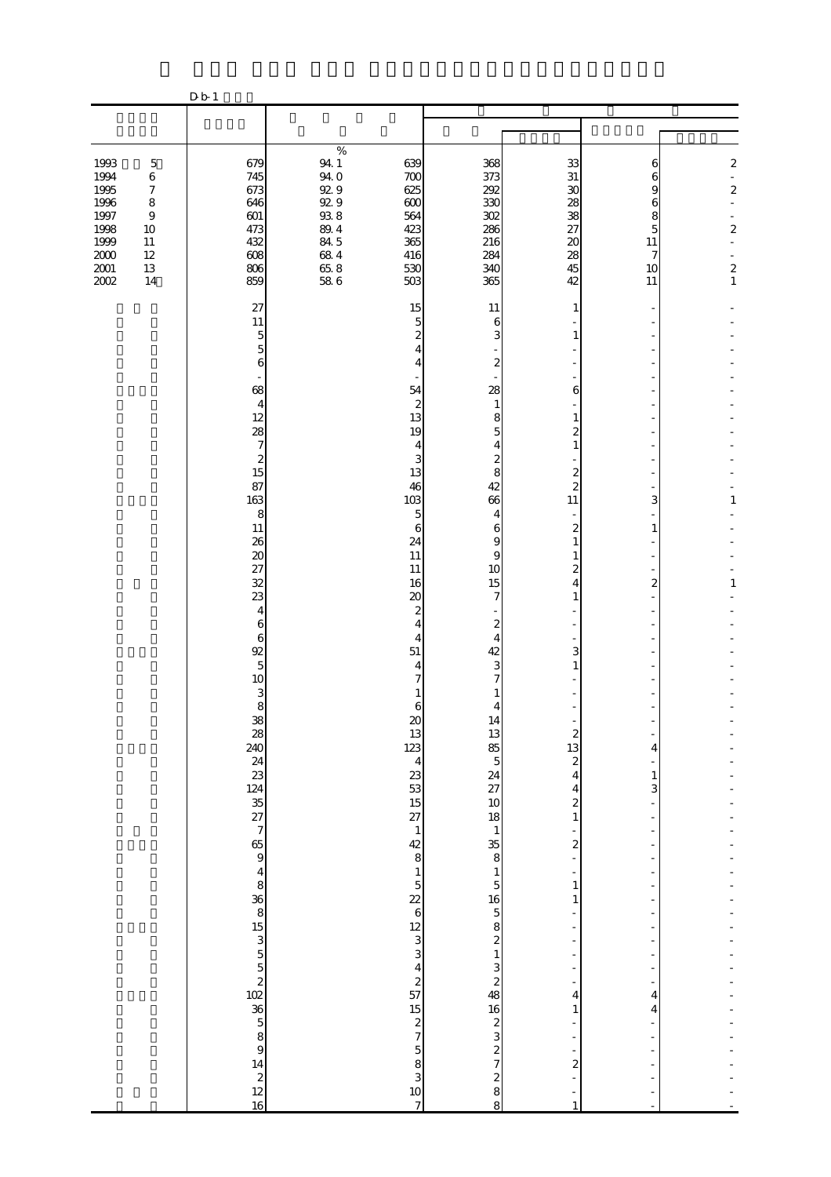|                                                                                      |                                                                                                                       | D b 1                                                              |                                                                                                         |                                                                    |                                                                    |                                                              |                                                   |                                                                                                                                      |
|--------------------------------------------------------------------------------------|-----------------------------------------------------------------------------------------------------------------------|--------------------------------------------------------------------|---------------------------------------------------------------------------------------------------------|--------------------------------------------------------------------|--------------------------------------------------------------------|--------------------------------------------------------------|---------------------------------------------------|--------------------------------------------------------------------------------------------------------------------------------------|
|                                                                                      |                                                                                                                       |                                                                    |                                                                                                         |                                                                    |                                                                    |                                                              |                                                   |                                                                                                                                      |
|                                                                                      |                                                                                                                       |                                                                    |                                                                                                         |                                                                    |                                                                    |                                                              |                                                   |                                                                                                                                      |
| 1993<br>1994<br>1995<br>1996<br>1997<br>1998<br>1999<br>$2000\,$<br>$2001\,$<br>2002 | $\mathbf 5$<br>$\,6$<br>$\boldsymbol{7}$<br>$\,8\,$<br>$\boldsymbol{9}$<br>$10\,$<br>$11\,$<br>$12\,$<br>$13\,$<br>14 | 679<br>745<br>673<br>646<br>601<br>473<br>432<br>608<br>806<br>859 | $\%$<br>94.1<br>94.0<br>92.9<br>92.9<br>$93\ 8$<br>$8\!\!.0$ $4$<br>84.5<br>$68\ 4$<br>$65.8$<br>$58.6$ | 639<br>700<br>625<br>600<br>564<br>423<br>365<br>416<br>530<br>503 | 368<br>373<br>292<br>330<br>302<br>286<br>216<br>284<br>340<br>365 | 33<br>$31\,$<br>30<br>28<br>38<br>27<br>20<br>28<br>45<br>42 | 6<br>6<br>9<br>6<br>8<br>5<br>11<br>7<br>10<br>11 | $\boldsymbol{z}$<br>$\overline{a}$<br>$\boldsymbol{2}$<br>L.<br>$\boldsymbol{2}$<br>L.<br>$\sim$<br>$\boldsymbol{z}$<br>$\mathbf{1}$ |
|                                                                                      |                                                                                                                       |                                                                    |                                                                                                         |                                                                    |                                                                    |                                                              |                                                   |                                                                                                                                      |
|                                                                                      |                                                                                                                       | 27<br>11<br>$\overline{5}$<br>5<br>6                               |                                                                                                         | 15<br>5<br>$\boldsymbol{z}$<br>4<br>4                              | 11<br>6<br>3<br>$\boldsymbol{z}$                                   | 1<br>1                                                       |                                                   |                                                                                                                                      |
|                                                                                      |                                                                                                                       | 68                                                                 |                                                                                                         | 54                                                                 | 28                                                                 | 6                                                            |                                                   |                                                                                                                                      |
|                                                                                      |                                                                                                                       | $\overline{4}$<br>12                                               |                                                                                                         | $\boldsymbol{z}$<br>13                                             | 1<br>8                                                             | 1                                                            |                                                   |                                                                                                                                      |
|                                                                                      |                                                                                                                       | 28<br>$\boldsymbol{7}$                                             |                                                                                                         | 19<br>4                                                            | 5<br>4                                                             | 2<br>$\mathbf{1}$                                            |                                                   |                                                                                                                                      |
|                                                                                      |                                                                                                                       | $\boldsymbol{z}$<br>15                                             |                                                                                                         | 3<br>13                                                            | $\mathbf{z}$<br>8                                                  | $\overline{c}$                                               |                                                   |                                                                                                                                      |
|                                                                                      |                                                                                                                       | 87<br>163                                                          |                                                                                                         | 46<br>103                                                          | 42                                                                 | 2                                                            |                                                   | 1                                                                                                                                    |
|                                                                                      |                                                                                                                       | 8                                                                  |                                                                                                         | 5                                                                  | 66<br>4                                                            | 11                                                           | 3                                                 |                                                                                                                                      |
|                                                                                      |                                                                                                                       | $11\,$<br>26                                                       |                                                                                                         | 6<br>24                                                            | 6<br>9                                                             | $\overline{\mathcal{Z}}$<br>$\mathbf{1}$                     | 1                                                 |                                                                                                                                      |
|                                                                                      |                                                                                                                       | $\boldsymbol{\chi}$<br>27                                          |                                                                                                         | 11<br>11                                                           | 9<br>10                                                            | 1<br>2                                                       |                                                   |                                                                                                                                      |
|                                                                                      |                                                                                                                       | 32<br>23                                                           |                                                                                                         | 16<br>$\infty$                                                     | 15<br>$\overline{7}$                                               | 4<br>$\mathbf{1}$                                            | $\overline{c}$                                    | $\mathbf{1}$                                                                                                                         |
|                                                                                      |                                                                                                                       | $\overline{4}$<br>$\boldsymbol{6}$                                 |                                                                                                         | $\boldsymbol{z}$<br>4                                              | $\overline{\mathcal{Z}}$                                           |                                                              |                                                   |                                                                                                                                      |
|                                                                                      |                                                                                                                       | $\,$ 6 $\,$<br>92                                                  |                                                                                                         | 4<br>51                                                            | $\overline{4}$<br>42                                               | 3                                                            |                                                   |                                                                                                                                      |
|                                                                                      |                                                                                                                       | $\mathbf 5$<br>$10$                                                |                                                                                                         | 4                                                                  | 3<br>7                                                             | 1                                                            |                                                   |                                                                                                                                      |
|                                                                                      |                                                                                                                       | 3<br>8                                                             |                                                                                                         | 6                                                                  | 1<br>$\overline{4}$                                                |                                                              |                                                   |                                                                                                                                      |
|                                                                                      |                                                                                                                       | $\frac{38}{28}$<br>240                                             |                                                                                                         | $\omega$<br>13                                                     |                                                                    | $\boldsymbol{z}$                                             |                                                   |                                                                                                                                      |
|                                                                                      |                                                                                                                       |                                                                    |                                                                                                         | 123                                                                | $\frac{14}{3}$ 85 5                                                | 13<br>$\overline{\mathcal{L}}$                               | 4                                                 |                                                                                                                                      |
|                                                                                      |                                                                                                                       |                                                                    |                                                                                                         | $\begin{array}{c}\n 4 \\  23 \\  15 \\  27\n \end{array}$          | 24<br>27                                                           | $\overline{4}$<br>4                                          | $\mathbf{1}$<br>3                                 |                                                                                                                                      |
|                                                                                      |                                                                                                                       |                                                                    |                                                                                                         |                                                                    | $\frac{10}{18}$                                                    | $\overline{\mathcal{L}}$<br>$\,1\,$                          | ÷,                                                |                                                                                                                                      |
|                                                                                      |                                                                                                                       |                                                                    |                                                                                                         | $\mathbf{1}$<br>$\begin{array}{c} 42 \\ 8 \end{array}$             | $\mathbf{1}$<br>$\frac{35}{8}$                                     | $\overline{\mathbf{c}}$                                      |                                                   |                                                                                                                                      |
|                                                                                      |                                                                                                                       |                                                                    |                                                                                                         | $\,1$                                                              | $\,1$                                                              | ÷,<br>$\overline{\phantom{0}}$                               | $\overline{\phantom{0}}$                          |                                                                                                                                      |
|                                                                                      |                                                                                                                       |                                                                    |                                                                                                         | $\overline{5}$<br>22                                               | $\overline{5}$                                                     | $\,1\,$<br>$\mathbf{1}$                                      |                                                   |                                                                                                                                      |
|                                                                                      |                                                                                                                       |                                                                    |                                                                                                         | $\boldsymbol{6}$                                                   |                                                                    |                                                              |                                                   |                                                                                                                                      |
|                                                                                      |                                                                                                                       |                                                                    |                                                                                                         | $\begin{array}{c}\n 12 \\  3 \\  3\n \end{array}$                  | 16<br>$58213$<br>$2132$<br>$132$                                   | ÷                                                            |                                                   |                                                                                                                                      |
|                                                                                      |                                                                                                                       |                                                                    |                                                                                                         | $\begin{array}{c} 4 \\ 2 \\ 57 \end{array}$                        |                                                                    | ÷,                                                           | ÷,                                                |                                                                                                                                      |
|                                                                                      |                                                                                                                       |                                                                    |                                                                                                         |                                                                    |                                                                    | 4<br>$\mathbf{1}$                                            | 4                                                 |                                                                                                                                      |
|                                                                                      |                                                                                                                       |                                                                    |                                                                                                         | $15\,$<br>$rac{2}{7}$                                              | 16<br>$\frac{2}{3}$                                                |                                                              | 4                                                 |                                                                                                                                      |
|                                                                                      |                                                                                                                       |                                                                    |                                                                                                         |                                                                    | $\frac{2}{7}$                                                      |                                                              | ÷,                                                |                                                                                                                                      |
|                                                                                      |                                                                                                                       | $\begin{array}{c} 14 \\ 2 \\ 12 \end{array}$                       |                                                                                                         | $\begin{array}{c} 5 \\ 8 \\ 3 \end{array}$                         |                                                                    | $\overline{\mathcal{L}}$<br>÷,                               |                                                   |                                                                                                                                      |
|                                                                                      |                                                                                                                       | 16                                                                 |                                                                                                         | 10<br>$\boldsymbol{7}$                                             | $\begin{smallmatrix} 2 \\ 8 \\ 8 \end{smallmatrix}$                | ÷<br>$\mathbf{1}$                                            | ÷<br>L,                                           |                                                                                                                                      |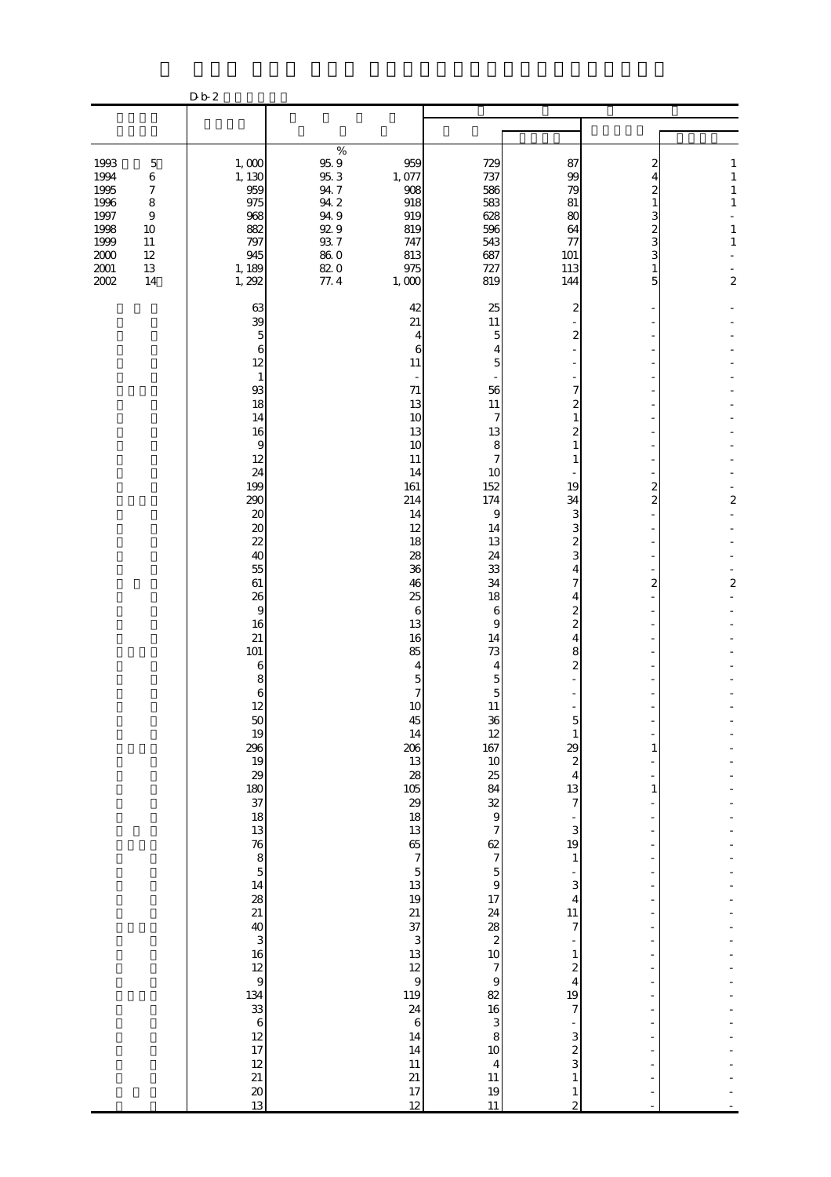|                                                                                                                                                                                            | D b 2                                                                                                                                                                                                                                                                                                                                                                                                                                                                                              |                                                                                                                                                                                                                                                                                                                                                                                                                                                    |                                                                                                                                                                                                                                                                                                                                                                                                                                    |                                                                                                                                                                                                                                                                                                                                                                                                                                                                                                                                                                                                                                                                |                                                                                                                                                                                                                                                                                                           |                                                                                                       |
|--------------------------------------------------------------------------------------------------------------------------------------------------------------------------------------------|----------------------------------------------------------------------------------------------------------------------------------------------------------------------------------------------------------------------------------------------------------------------------------------------------------------------------------------------------------------------------------------------------------------------------------------------------------------------------------------------------|----------------------------------------------------------------------------------------------------------------------------------------------------------------------------------------------------------------------------------------------------------------------------------------------------------------------------------------------------------------------------------------------------------------------------------------------------|------------------------------------------------------------------------------------------------------------------------------------------------------------------------------------------------------------------------------------------------------------------------------------------------------------------------------------------------------------------------------------------------------------------------------------|----------------------------------------------------------------------------------------------------------------------------------------------------------------------------------------------------------------------------------------------------------------------------------------------------------------------------------------------------------------------------------------------------------------------------------------------------------------------------------------------------------------------------------------------------------------------------------------------------------------------------------------------------------------|-----------------------------------------------------------------------------------------------------------------------------------------------------------------------------------------------------------------------------------------------------------------------------------------------------------|-------------------------------------------------------------------------------------------------------|
|                                                                                                                                                                                            |                                                                                                                                                                                                                                                                                                                                                                                                                                                                                                    |                                                                                                                                                                                                                                                                                                                                                                                                                                                    |                                                                                                                                                                                                                                                                                                                                                                                                                                    |                                                                                                                                                                                                                                                                                                                                                                                                                                                                                                                                                                                                                                                                |                                                                                                                                                                                                                                                                                                           |                                                                                                       |
|                                                                                                                                                                                            |                                                                                                                                                                                                                                                                                                                                                                                                                                                                                                    |                                                                                                                                                                                                                                                                                                                                                                                                                                                    |                                                                                                                                                                                                                                                                                                                                                                                                                                    |                                                                                                                                                                                                                                                                                                                                                                                                                                                                                                                                                                                                                                                                |                                                                                                                                                                                                                                                                                                           |                                                                                                       |
| 1993<br>$\mathbf 5$<br>1994<br>6<br>1995<br>$\boldsymbol{7}$<br>1996<br>$\,$ 8 $\,$<br>1997<br>$\,9$<br>1998<br>10<br>1999<br>$11\,$<br>$2000\,$<br>12<br>$2001\,$<br>$13\,$<br>2002<br>14 | 1,000<br>1, 130<br>959<br>975<br>968<br>882<br>797<br>945<br>1, 189<br>1, 292                                                                                                                                                                                                                                                                                                                                                                                                                      | %<br>$95.9\,$<br>959<br>95.3<br>1,077<br>94.7<br>908<br>94.2<br>918<br>949<br>919<br>929<br>819<br>937<br>747<br>$86\ 0$<br>813<br>82.0<br>975<br>77.4<br>1,000                                                                                                                                                                                                                                                                                    | 729<br>737<br>586<br>583<br>628<br>596<br>543<br>687<br>727<br>819                                                                                                                                                                                                                                                                                                                                                                 | 87<br>99<br>79<br>81<br>80<br>64<br>77<br>101<br>113<br>144                                                                                                                                                                                                                                                                                                                                                                                                                                                                                                                                                                                                    | 2<br>4<br>2<br>1<br>3<br>$\overline{\mathcal{Z}}$<br>3<br>3<br>1<br>5                                                                                                                                                                                                                                     | $\mathbf{1}$<br>$\mathbf{1}$<br>$\,1\,$<br>$\,1\,$<br>L,<br>$\,1\,$<br>$\mathbf{1}$<br>$\overline{c}$ |
|                                                                                                                                                                                            | 63<br>39<br>5<br>6<br>12<br>$\mathbf{1}$<br>93<br>18<br>14<br>16<br>$\overline{9}$<br>12<br>24<br>199<br>290<br>20<br>$\boldsymbol{\mathsf{20}}$<br>22<br>40<br>55<br>61<br>26<br>9<br>16<br>21<br>101<br>6<br>8<br>6<br>12<br>$\begin{array}{c} 50 \\ 19 \end{array}$<br>296<br>19<br>29<br>180<br>37<br>18<br>13<br>76<br>8<br>5<br>$\begin{array}{c} 14 \\ 28 \\ 21 \end{array}$<br>$\frac{40}{3}$<br>$\frac{3}{16}$<br>9<br>$134$<br>$33$<br>$6$<br>$12$<br>$17$<br>$12$<br>$21$<br>$20$<br>13 | 42<br>21<br>$\overline{4}$<br>6<br>11<br>$\sim$<br>71<br>13<br>10<br>13<br>10<br>11<br>14<br>161<br>214<br>14<br>12<br>18<br>28<br>36<br>46<br>25<br>$\boldsymbol{6}$<br>13<br>16<br>85<br>$\overline{4}$<br>$\overline{5}$<br>$\overline{7}$<br>10<br>45<br>14<br>206<br>13<br>28<br>105<br>29<br>18<br>13<br>$rac{65}{7}$<br>13<br>19<br>21<br>37<br>3<br>13<br>12<br>$\overline{9}$<br>119<br>24<br>$\,6\,$<br>14<br>14<br>11<br>21<br>17<br>12 | 25<br>11<br>$\overline{5}$<br>4<br>5<br>56<br>11<br>$\overline{7}$<br>13<br>8<br>7<br>10<br>152<br>174<br>9<br>14<br>13<br>24<br>33<br>34<br>18<br>6<br>9<br>14<br>73<br>$\overline{4}$<br>$\overline{5}$<br>$\overline{5}$<br>11<br>$\begin{bmatrix} 36 \\ 12 \\ 167 \end{bmatrix}$<br>10<br>3888<br>$\begin{array}{c}\n 2 \\  7\n \end{array}$<br>$\overline{9}$<br>82<br>16<br>3<br>8<br>10<br>$\overline{4}$<br>11<br>19<br>11 | 2<br>$\boldsymbol{2}$<br>7<br>$\mathbf{z}$<br>1<br>$\overline{\mathcal{Z}}$<br>1<br>1<br>19<br>34<br>3<br>3<br>$\boldsymbol{z}$<br>3<br>4<br>7<br>4<br>2<br>$\overline{\mathcal{Z}}$<br>$\overline{4}$<br>8<br>$\overline{\mathcal{Z}}$<br>$\circ$<br>$\,1\,$<br>29<br>$\boldsymbol{z}$<br>$\overline{4}$<br>13<br>$\boldsymbol{7}$<br>$\overline{\phantom{a}}$<br>3<br>19<br>$\mathbf{1}$<br>$\frac{1}{2}$<br>3<br>$\overline{4}$<br>11<br>$\overline{7}$<br>$\mathbf{1}$<br>$\overline{\mathcal{L}}$<br>$\overline{\mathbf{4}}$<br>19<br>$\boldsymbol{7}$<br>$\qquad \qquad \blacksquare$<br>3<br>$\frac{2}{3}$<br>$\,1\,$<br>$\mathbf{1}$<br>$\overline{c}$ | $\overline{\mathbf{c}}$<br>$\overline{2}$<br>$\boldsymbol{z}$<br>-<br>1<br>$\overline{\phantom{0}}$<br>$\mathbf{1}$<br>٠<br>$\overline{\phantom{a}}$<br>÷,<br>÷,<br>÷,<br>÷<br>$\overline{a}$<br>÷<br>$\overline{a}$<br>$\overline{\phantom{a}}$<br>÷<br>÷,<br>÷<br>÷,<br>$\frac{1}{2}$<br>$\blacksquare$ | 2<br>$\boldsymbol{2}$                                                                                 |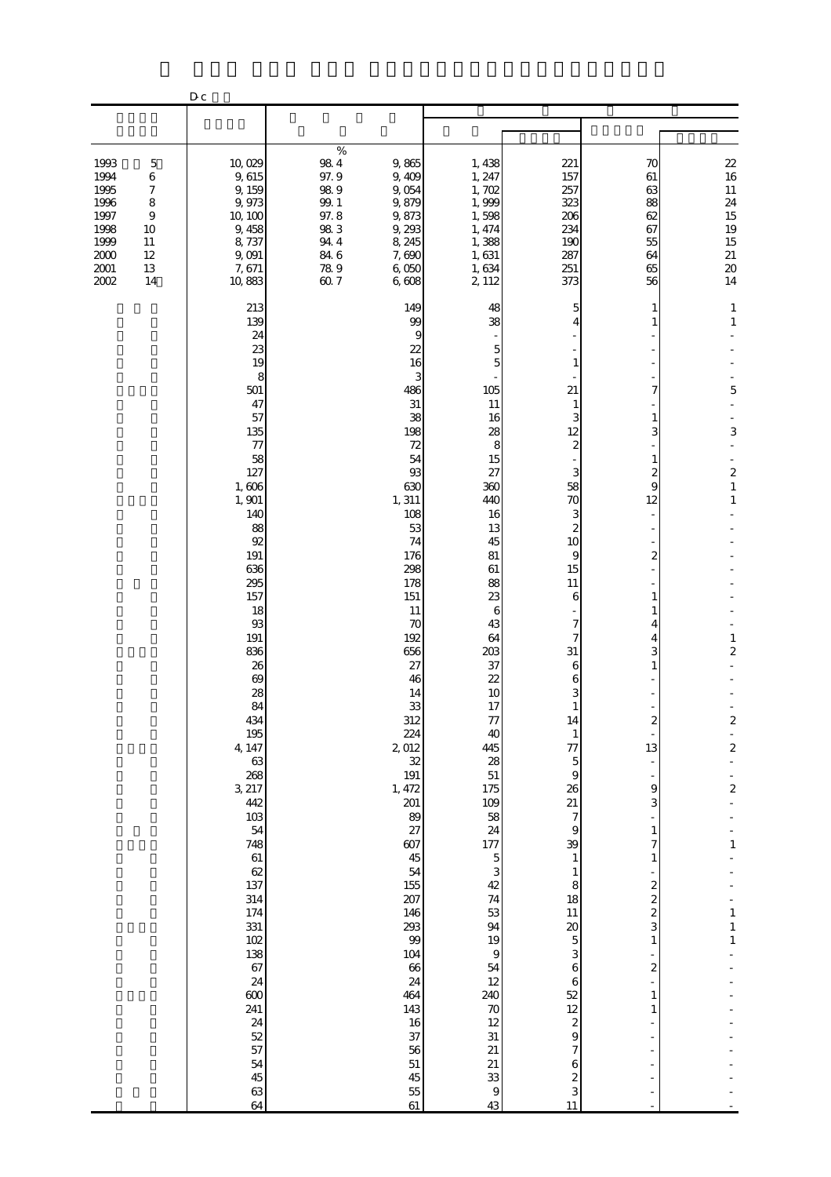|                                                                                                                                                                      | ${\bf D}$ c |                                                                                                                                                                                                                                                                                                                                                                                                           |                                                                                      |                                                                                                                                                                                                                                                                                                                                                                                                |                                                                                                                                                                                                                                                                                                                                                                                                                        |                                                                                                                                                                                                                                                                                                                                                                                                                                                                                                |                                                                                                                                                                                                                                                                                               |                                                                                                                                                                                                                                                        |
|----------------------------------------------------------------------------------------------------------------------------------------------------------------------|-------------|-----------------------------------------------------------------------------------------------------------------------------------------------------------------------------------------------------------------------------------------------------------------------------------------------------------------------------------------------------------------------------------------------------------|--------------------------------------------------------------------------------------|------------------------------------------------------------------------------------------------------------------------------------------------------------------------------------------------------------------------------------------------------------------------------------------------------------------------------------------------------------------------------------------------|------------------------------------------------------------------------------------------------------------------------------------------------------------------------------------------------------------------------------------------------------------------------------------------------------------------------------------------------------------------------------------------------------------------------|------------------------------------------------------------------------------------------------------------------------------------------------------------------------------------------------------------------------------------------------------------------------------------------------------------------------------------------------------------------------------------------------------------------------------------------------------------------------------------------------|-----------------------------------------------------------------------------------------------------------------------------------------------------------------------------------------------------------------------------------------------------------------------------------------------|--------------------------------------------------------------------------------------------------------------------------------------------------------------------------------------------------------------------------------------------------------|
|                                                                                                                                                                      |             |                                                                                                                                                                                                                                                                                                                                                                                                           |                                                                                      |                                                                                                                                                                                                                                                                                                                                                                                                |                                                                                                                                                                                                                                                                                                                                                                                                                        |                                                                                                                                                                                                                                                                                                                                                                                                                                                                                                |                                                                                                                                                                                                                                                                                               |                                                                                                                                                                                                                                                        |
| 1993<br>$\mathbf 5$<br>1994<br>$\,6$<br>1995<br>7<br>1996<br>8<br>1997<br>$\overline{9}$<br>1998<br>10<br>1999<br>11<br>$2000$<br>12<br>$2001\,$<br>13<br>2002<br>14 |             | 10,029<br>9,615<br>9, 159<br>9,973<br>10, 100<br>9, 458<br>8,737<br>9,091<br>7,671<br>10,883                                                                                                                                                                                                                                                                                                              | $\%$<br>$98\ 4$<br>97.9<br>98.9<br>99.1<br>97.8<br>983<br>94.4<br>84.6<br>789<br>607 | 9,865<br>9,409<br>9,054<br>9,879<br>9,873<br>9,293<br>8, 245<br>7,690<br>6,050<br>6,608                                                                                                                                                                                                                                                                                                        | 1,438<br>1, 247<br>1,702<br>1,999<br>1,598<br>1, 474<br>1,388<br>1,631<br>1,634<br>2, 112                                                                                                                                                                                                                                                                                                                              | 221<br>157<br>257<br>323<br>206<br>234<br>190<br>287<br>251<br>373                                                                                                                                                                                                                                                                                                                                                                                                                             | 70<br>61<br>63<br>88<br>62<br>67<br>55<br>64<br>65<br>56                                                                                                                                                                                                                                      | 22<br>16<br>$11\,$<br>24<br>15<br>19<br>15<br>$\frac{21}{20}$<br>14                                                                                                                                                                                    |
|                                                                                                                                                                      |             | 213<br>139<br>24<br>23<br>19<br>8<br>501<br>47<br>57<br>135<br>77<br>58<br>127<br>1,606<br>1,901<br>140<br>88<br>92<br>191<br>636<br>295<br>157<br>18<br>93<br>191<br>836<br>26<br>69<br>28<br>84<br>434<br>195<br>4, 147<br>63<br>268<br>3, 217<br>442<br>$103$<br>54<br>748<br>61<br>62<br>137<br>314<br>174<br>331<br>$102$<br>138<br>67<br>24<br>600<br>241<br>24<br>52<br>57<br>54<br>45<br>63<br>64 |                                                                                      | 149<br>99<br>9<br>22<br>16<br>3<br>486<br>31<br>38<br>198<br>72<br>54<br>93<br>630<br>1, 311<br>108<br>53<br>74<br>176<br>298<br>178<br>151<br>11<br>70<br>192<br>656<br>27<br>46<br>14<br>33<br>312<br>224<br>2,012<br>32<br>191<br>1, 472<br>201<br>89<br>27<br>607<br>45<br>54<br>155<br>207<br>146<br>293<br>99<br>104<br>66<br>24<br>464<br>143<br>16<br>37<br>56<br>51<br>45<br>55<br>61 | 48<br>38<br>$\overline{5}$<br>5<br>105<br>11<br>16<br>28<br>8<br>15<br>27<br>360<br>440<br>16<br>13<br>45<br>81<br>61<br>88<br>23<br>6<br>43<br>64<br>203<br>37<br>22<br>10<br>17<br>77<br>40<br>445<br>28<br>51<br>175<br>109<br>$\frac{58}{24}$<br>177<br>$\frac{5}{3}$<br>$4\!$<br>$74\,$<br>53<br>94<br>19<br>$\,9$<br>${\bf 54}$<br>$12\,$<br>240<br>$70$<br>12<br>31<br>21<br>21<br>33<br>$\boldsymbol{9}$<br>43 | 5<br>1<br>21<br>$\mathbf{1}$<br>3<br>12<br>$\boldsymbol{2}$<br>3<br>58<br>70<br>3<br>$\boldsymbol{z}$<br>10<br>9<br>15<br>11<br>6<br>7<br>7<br>31<br>6<br>6<br>3<br>$\mathbf{1}$<br>14<br>$\,1\,$<br>77<br>$\overline{5}$<br>$\boldsymbol{9}$<br>26<br>21<br>$\boldsymbol{7}$<br>$\Theta$<br>39<br>$\mathbf{1}$<br>$\mathbf{1}$<br>$\,$ 8 $\,$<br>18<br>$11\,$<br>$\infty$<br>$\overline{5}$<br>3<br>6<br>6<br>52<br>12<br>$\boldsymbol{z}$<br>9<br>$\overline{7}$<br>6<br>$\frac{2}{3}$<br>11 | 1<br>1<br>7<br>1<br>3<br>$\mathbf{1}$<br>$\mathbf{z}$<br>9<br>12<br>$\overline{\mathcal{Z}}$<br>$\mathbf{1}$<br>1<br>4<br>4<br>3<br>$\mathbf{1}$<br>2<br>13<br>$\theta$<br>3<br>$1\,$<br>7<br>$\mathbf{1}$<br>$2$ $2$ $3$<br>$1\,$<br>$\overline{\mathcal{L}}$<br>1<br>$\mathbf{1}$<br>÷<br>÷ | $\mathbf{1}$<br>$\,1\,$<br>5<br>3<br>$\boldsymbol{z}$<br>$\mathbf{1}$<br>1<br>$\,1\,$<br>$\overline{\mathbf{c}}$<br>$\boldsymbol{z}$<br>$\mathbb{Z}$<br>$\overline{\mathbf{c}}$<br>$\overline{\mathcal{L}}$<br>$\mathbf{1}$<br>$\,1\,$<br>1<br>$\,1\,$ |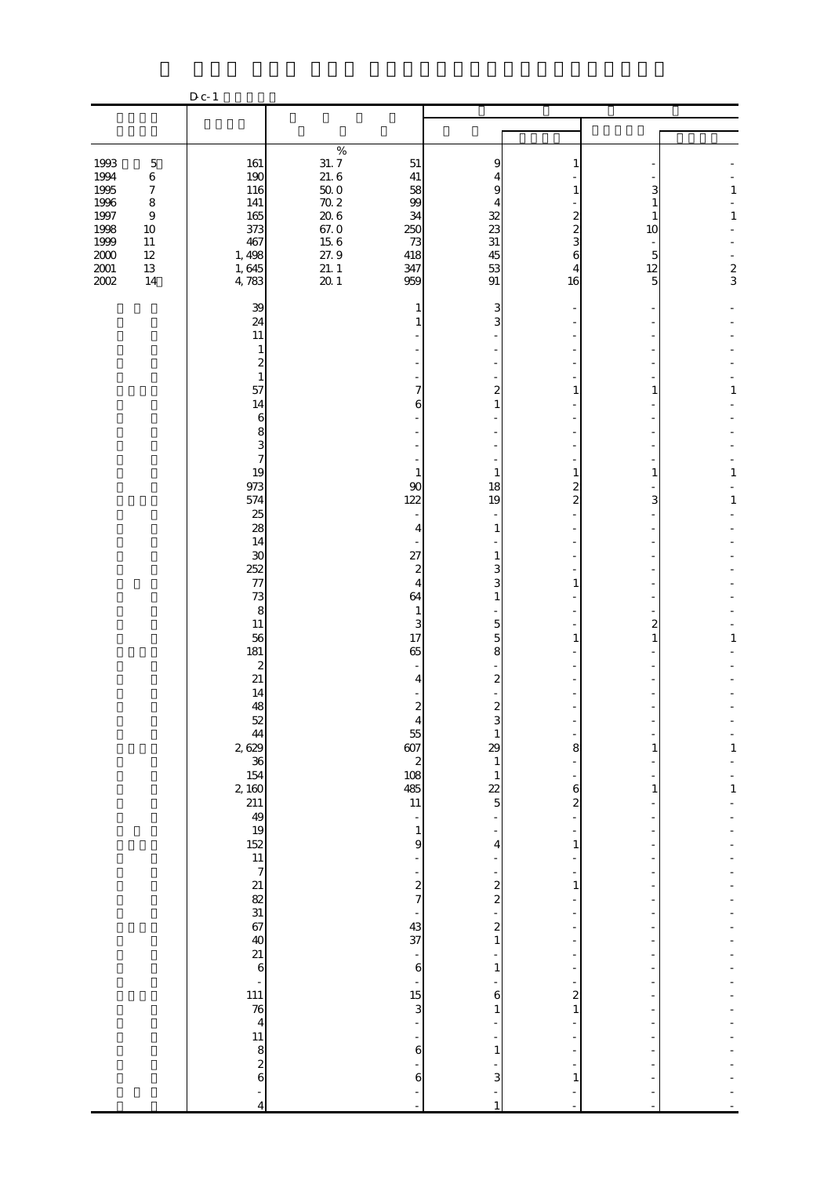|                                                                                         |                                                                                                                   | $D_{c-1}$                                                                 |                                                                                                  |                                                              |                                                             |                                                              |                                          |                                   |
|-----------------------------------------------------------------------------------------|-------------------------------------------------------------------------------------------------------------------|---------------------------------------------------------------------------|--------------------------------------------------------------------------------------------------|--------------------------------------------------------------|-------------------------------------------------------------|--------------------------------------------------------------|------------------------------------------|-----------------------------------|
|                                                                                         |                                                                                                                   |                                                                           |                                                                                                  |                                                              |                                                             |                                                              |                                          |                                   |
|                                                                                         |                                                                                                                   |                                                                           |                                                                                                  |                                                              |                                                             |                                                              |                                          |                                   |
| 1993<br>1994<br>1995<br>1996<br>1997<br>1998<br>1999<br>$2000\,$<br>$\frac{2001}{2002}$ | $\mathbf 5$<br>$\,6\,$<br>$\boldsymbol{7}$<br>8<br>$\boldsymbol{9}$<br>$10\,$<br>$11\,$<br>$12\,$<br>$13\,$<br>14 | 161<br>190<br>116<br>141<br>165<br>373<br>467<br>1, 498<br>1,645<br>4,783 | $\%$<br>$\frac{31.7}{21.6}$<br>$5002$<br>$7026$<br>$67.0$<br>$15.6$<br>$27.9$<br>$21.1$<br>$201$ | 51<br>41<br>58<br>99<br>34<br>250<br>73<br>418<br>347<br>959 | 9<br>4<br>9<br>4<br>$\frac{32}{23}$<br>31<br>45<br>53<br>91 | 1<br>1<br>2<br>$\overline{\mathcal{Z}}$<br>3<br>6<br>4<br>16 | 3<br>10<br>5<br>12<br>5                  | $\,1$<br>$\,1\,$<br>$\frac{2}{3}$ |
|                                                                                         |                                                                                                                   | 39                                                                        |                                                                                                  | 1                                                            | 3                                                           |                                                              |                                          |                                   |
|                                                                                         |                                                                                                                   | 24<br>11                                                                  |                                                                                                  |                                                              | 3                                                           |                                                              |                                          |                                   |
|                                                                                         |                                                                                                                   | 1<br>$\boldsymbol{z}$                                                     |                                                                                                  |                                                              |                                                             |                                                              |                                          |                                   |
|                                                                                         |                                                                                                                   | $\mathbf{1}$<br>57                                                        |                                                                                                  | 7                                                            | $\overline{\mathbf{c}}$                                     | 1                                                            | 1                                        | 1                                 |
|                                                                                         |                                                                                                                   | 14<br>$\,$ 6 $\,$                                                         |                                                                                                  | 6                                                            | $\mathbf{1}$                                                |                                                              |                                          |                                   |
|                                                                                         |                                                                                                                   | 8<br>3                                                                    |                                                                                                  |                                                              |                                                             |                                                              |                                          |                                   |
|                                                                                         |                                                                                                                   | $\overline{7}$<br>19                                                      |                                                                                                  | $\mathbf{1}$                                                 | $\mathbf{1}$                                                | $\mathbf{1}$                                                 | 1                                        | $\,1\,$                           |
|                                                                                         |                                                                                                                   | 973<br>574                                                                |                                                                                                  | 90<br>122                                                    | 18<br>19                                                    | 2<br>$\overline{2}$                                          | 3                                        | 1                                 |
|                                                                                         |                                                                                                                   | 25<br>28                                                                  |                                                                                                  | ÷,<br>$\overline{4}$                                         | 1                                                           |                                                              |                                          |                                   |
|                                                                                         |                                                                                                                   | 14<br>30                                                                  |                                                                                                  | 27                                                           | 1                                                           |                                                              |                                          |                                   |
|                                                                                         |                                                                                                                   | 252<br>77                                                                 |                                                                                                  | $\boldsymbol{z}$<br>$\overline{4}$                           | 3<br>3                                                      | 1                                                            |                                          |                                   |
|                                                                                         |                                                                                                                   | 73<br>$\,8\,$                                                             |                                                                                                  | 64<br>$\mathbf{1}$                                           | $\mathbf{1}$                                                |                                                              |                                          |                                   |
|                                                                                         |                                                                                                                   | 11<br>56                                                                  |                                                                                                  | 3<br>17<br>65                                                | $\overline{5}$<br>$\overline{5}$                            | $\mathbf{1}$                                                 | $\overline{\mathcal{Z}}$<br>$\mathbf{1}$ | 1                                 |
|                                                                                         |                                                                                                                   | 181<br>$\boldsymbol{z}$<br>21                                             |                                                                                                  |                                                              | 8<br>$\overline{\mathbf{c}}$                                |                                                              |                                          |                                   |
|                                                                                         |                                                                                                                   | 14<br>48                                                                  |                                                                                                  | 4<br>$\boldsymbol{z}$                                        | $\boldsymbol{z}$                                            |                                                              |                                          |                                   |
|                                                                                         |                                                                                                                   | 52                                                                        |                                                                                                  | 55                                                           |                                                             |                                                              |                                          |                                   |
|                                                                                         |                                                                                                                   | $\frac{44}{26}$<br>36                                                     |                                                                                                  | 607<br>$\boldsymbol{z}$                                      | 29<br>1                                                     | 8                                                            | 1                                        | 1                                 |
|                                                                                         |                                                                                                                   | 154<br>2, 160                                                             |                                                                                                  | 108<br>485                                                   | 1<br>22                                                     | 6                                                            | 1                                        | $\mathbf{1}$                      |
|                                                                                         |                                                                                                                   | $\frac{211}{49}$                                                          |                                                                                                  | 11<br>÷,                                                     | $\overline{5}$                                              | $\boldsymbol{z}$                                             |                                          |                                   |
|                                                                                         |                                                                                                                   | $\frac{19}{152}$                                                          |                                                                                                  | $\mathbf{1}$<br>9                                            | 4                                                           | 1                                                            |                                          |                                   |
|                                                                                         |                                                                                                                   | 11<br>$\overline{7}$                                                      |                                                                                                  |                                                              |                                                             |                                                              |                                          |                                   |
|                                                                                         |                                                                                                                   |                                                                           |                                                                                                  | $\overline{\mathcal{L}}$<br>$\overline{7}$                   | $\frac{2}{2}$                                               | $\mathbf{1}$                                                 |                                          |                                   |
|                                                                                         |                                                                                                                   | $21$ 82 $31$ 67 40                                                        |                                                                                                  | 43<br>37                                                     | $\overline{\mathbf{c}}$                                     |                                                              |                                          |                                   |
|                                                                                         |                                                                                                                   | 21                                                                        |                                                                                                  | $\overline{\phantom{a}}$                                     | $\mathbf{1}$                                                |                                                              |                                          |                                   |
|                                                                                         |                                                                                                                   | 6                                                                         |                                                                                                  | $\,$ 6 $\,$                                                  | 1                                                           |                                                              |                                          |                                   |
|                                                                                         |                                                                                                                   | 111<br>$\overline{76}$                                                    |                                                                                                  | 15<br>3                                                      | 6<br>1                                                      | $\overline{a}$<br>$\mathbf{1}$                               |                                          |                                   |
|                                                                                         |                                                                                                                   | $\overline{4}$<br>11                                                      |                                                                                                  |                                                              |                                                             |                                                              |                                          |                                   |
|                                                                                         |                                                                                                                   | 8<br>$\overline{\mathcal{L}}$                                             |                                                                                                  | 6                                                            | $\mathbf{1}$                                                |                                                              |                                          |                                   |
|                                                                                         |                                                                                                                   | 6                                                                         |                                                                                                  | 6                                                            | 3                                                           | 1                                                            |                                          |                                   |
|                                                                                         |                                                                                                                   | 4                                                                         |                                                                                                  |                                                              |                                                             |                                                              |                                          |                                   |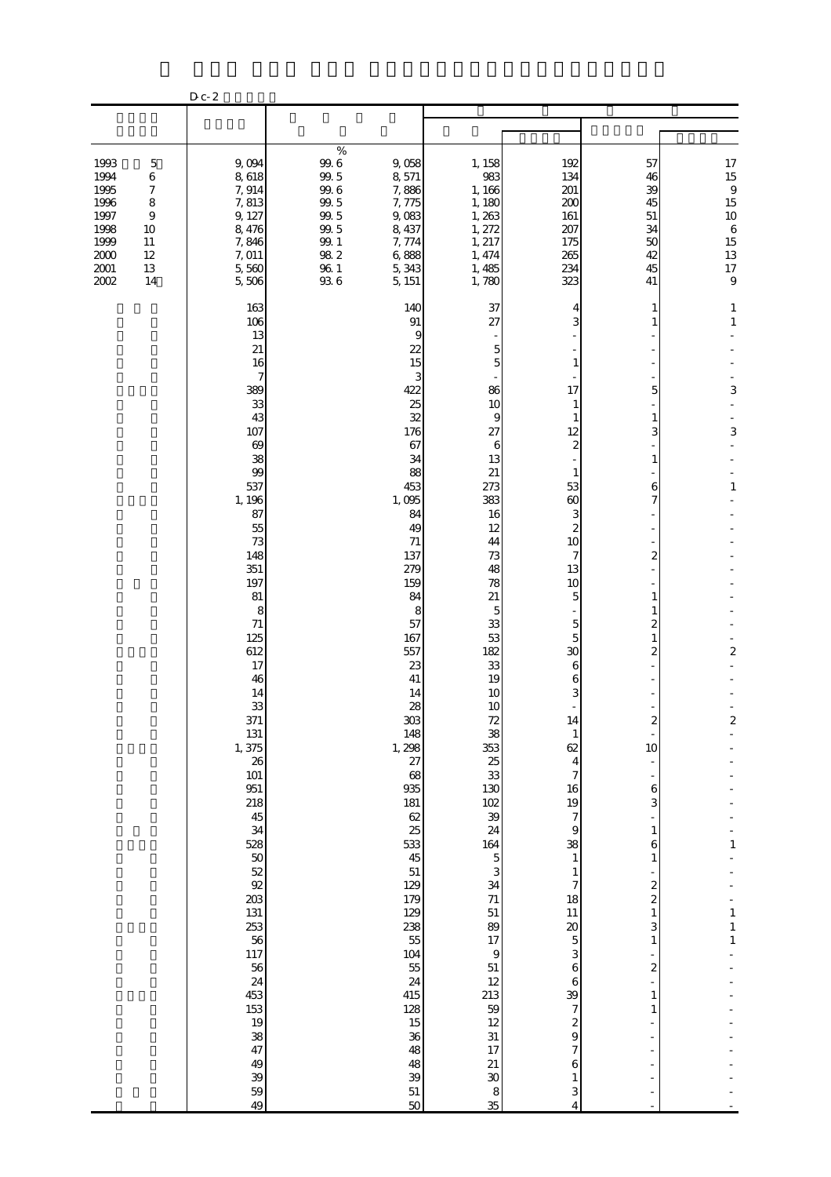|                                                                                  |                                                                            | D c- 2                                                                                                                                                                                                                                                                                                                                                                                                          |                                                                                                         |                                                                                                                                                                                                                                                                                                                                                                                                                 |                                                                                                                                                                                                                                                                                                                                                                                                                                                   |                                                                                                                                                                                                                                                                                                                                                                                                                                                                                                |                                                                                                                                                                                                                                                                                                                                                   |                                                                                                                                                   |
|----------------------------------------------------------------------------------|----------------------------------------------------------------------------|-----------------------------------------------------------------------------------------------------------------------------------------------------------------------------------------------------------------------------------------------------------------------------------------------------------------------------------------------------------------------------------------------------------------|---------------------------------------------------------------------------------------------------------|-----------------------------------------------------------------------------------------------------------------------------------------------------------------------------------------------------------------------------------------------------------------------------------------------------------------------------------------------------------------------------------------------------------------|---------------------------------------------------------------------------------------------------------------------------------------------------------------------------------------------------------------------------------------------------------------------------------------------------------------------------------------------------------------------------------------------------------------------------------------------------|------------------------------------------------------------------------------------------------------------------------------------------------------------------------------------------------------------------------------------------------------------------------------------------------------------------------------------------------------------------------------------------------------------------------------------------------------------------------------------------------|---------------------------------------------------------------------------------------------------------------------------------------------------------------------------------------------------------------------------------------------------------------------------------------------------------------------------------------------------|---------------------------------------------------------------------------------------------------------------------------------------------------|
|                                                                                  |                                                                            |                                                                                                                                                                                                                                                                                                                                                                                                                 |                                                                                                         |                                                                                                                                                                                                                                                                                                                                                                                                                 |                                                                                                                                                                                                                                                                                                                                                                                                                                                   |                                                                                                                                                                                                                                                                                                                                                                                                                                                                                                |                                                                                                                                                                                                                                                                                                                                                   |                                                                                                                                                   |
| 1993<br>1994<br>1995<br>1996<br>1997<br>1998<br>1999<br>2000<br>$2001\,$<br>2002 | $\mathbf 5$<br>6<br>7<br>8<br>$\overline{9}$<br>10<br>11<br>12<br>13<br>14 | 9,094<br>8,618<br>7,914<br>7,813<br>9, 127<br>8,476<br>7,846<br>7, 011<br>5,560<br>5,506                                                                                                                                                                                                                                                                                                                        | $\%$<br>$99.6\,$<br>$99.5$<br>$99.6\,$<br>$99.5$<br>$99.5$<br>99.5<br>99.1<br>$98\ 2$<br>$96\ 1$<br>936 | 9,058<br>8,571<br>7,886<br>7,775<br>9,083<br>8, 437<br>7,774<br>6,888<br>5,343<br>5, 151                                                                                                                                                                                                                                                                                                                        | 1, 158<br>983<br>1, 166<br>1, 180<br>1,263<br>1, 272<br>1, 217<br>1, 474<br>1,485<br>1,780                                                                                                                                                                                                                                                                                                                                                        | 192<br>134<br>201<br>200<br>161<br>207<br>175<br>265<br>234<br>323                                                                                                                                                                                                                                                                                                                                                                                                                             | 57<br>46<br>39<br>45<br>$51\,$<br>34<br>50<br>42<br>45<br>41                                                                                                                                                                                                                                                                                      | $17\,$<br>15<br>$\boldsymbol{9}$<br>15<br>$\begin{array}{c} 10 \\ 6 \end{array}$<br>15<br>13<br>$17\,$<br>9                                       |
|                                                                                  |                                                                            | 163<br>106<br>13<br>21<br>16<br>$\mathcal I$<br>389<br>33<br>43<br>107<br>69<br>38<br>99<br>537<br>1, 196<br>87<br>55<br>73<br>148<br>351<br>197<br>81<br>8<br>71<br>125<br>612<br>17<br>46<br>14<br>33<br>371<br>131<br>1,375<br>26<br>101<br>951<br>218<br>45<br>34<br>528<br>$\frac{50}{52}$<br>92<br>203<br>$131\,$<br>253<br>56<br>117<br>56<br>24<br>453<br>153<br>19<br>38<br>47<br>49<br>39<br>59<br>49 |                                                                                                         | 140<br>91<br>9<br>22<br>15<br>3<br>422<br>25<br>32<br>176<br>67<br>34<br>88<br>453<br>1,095<br>84<br>49<br>71<br>137<br>279<br>159<br>84<br>8<br>57<br>167<br>557<br>23<br>41<br>14<br>28<br>303<br>148<br>1, 298<br>27<br>68<br>935<br>181<br>$62\,$<br>25<br>533<br>45<br>51<br>129<br>179<br>129<br>238<br>55<br>$104\,$<br>55<br>24<br>415<br>128<br>$15\,$<br>$3\!6$<br>48<br>48<br>39<br>$51\,$<br>$50\,$ | 37<br>27<br>5<br>5<br>86<br>10<br>9<br>27<br>6<br>13<br>21<br>273<br>383<br>16<br>12<br>44<br>73<br>48<br>78<br>21<br>5<br>33<br>53<br>182<br>33<br>19<br>$10$<br>1 <sub>O</sub><br>72<br>38<br>353<br>25<br>33<br>130<br>102<br>39<br>24<br>$\begin{array}{c}\n164 \\ 5 \\ 3\n\end{array}$<br>34<br>$71$<br>51<br>89<br>17<br>$\boldsymbol{9}$<br>51<br>12<br>213<br>59<br>12<br>$31\,$<br>17<br>$21\,$<br>$\boldsymbol{\mathcal{X}}$<br>8<br>35 | 4<br>3<br>1<br>17<br>1<br>1<br>12<br>$\overline{c}$<br>1<br>53<br>60<br>З<br>2<br>10<br>7<br>13<br>10<br>5<br>5<br>5<br>30<br>6<br>6<br>3<br>14<br>$\,1\,$<br>62<br>$\overline{4}$<br>$\overline{7}$<br>16<br>19<br>$\overline{7}$<br>$\mathbf{9}$<br>38<br>$\,1\,$<br>$\mathbf{1}$<br>$\overline{\phantom{a}}$<br>18<br>11<br>$\infty$<br>$\overline{5}$<br>3<br>6<br>$\boldsymbol{6}$<br>39<br>$\overline{7}$<br>$\frac{2}{9}$<br>$\overline{7}$<br>6<br>$\mathbf{1}$<br>3<br>$\overline{4}$ | 1<br>5<br>1<br>3<br>1<br>6<br>7<br>2<br>1<br>1<br>$\overline{c}$<br>1<br>$\overline{2}$<br>2<br>$\frac{1}{2}$<br>10<br>÷,<br>6<br>3<br>$\overline{a}$<br>$\mathbf{1}$<br>6<br>$\mathbf{1}$<br>$\frac{2}{2}$<br>$\,1\,$<br>3<br>$\,1\,$<br>-<br>$\overline{\mathcal{L}}$<br>$\overline{a}$<br>1<br>1<br>÷,<br>÷,<br>÷,<br>÷<br>÷<br>$\overline{a}$ | 1<br>$\mathbf{1}$<br>3<br>$\,$ 3 $\,$<br>$\mathbf{1}$<br>$\overline{a}$<br>$\boldsymbol{2}$<br>$\mathbf{1}$<br>$\,1\,$<br>$\mathbf{1}$<br>$\,1\,$ |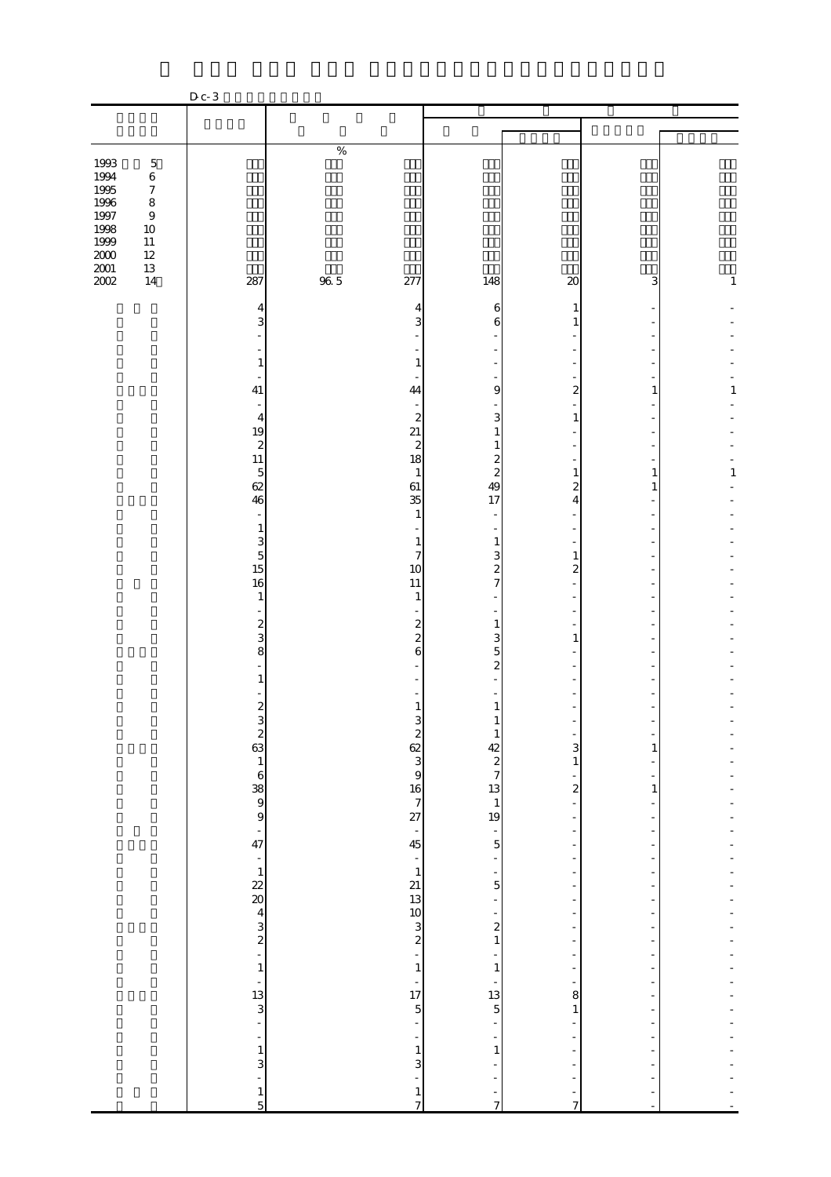|                                                                                  |                                                                                                                       | $D c-3$                                                                                                                                                                               |             |                                                                                                                                                          |                                                                                                                                                                                                                                                                                                                                                                                                         |                                                                                                                                                                                                        |                                                                                                                                                                          |                   |
|----------------------------------------------------------------------------------|-----------------------------------------------------------------------------------------------------------------------|---------------------------------------------------------------------------------------------------------------------------------------------------------------------------------------|-------------|----------------------------------------------------------------------------------------------------------------------------------------------------------|---------------------------------------------------------------------------------------------------------------------------------------------------------------------------------------------------------------------------------------------------------------------------------------------------------------------------------------------------------------------------------------------------------|--------------------------------------------------------------------------------------------------------------------------------------------------------------------------------------------------------|--------------------------------------------------------------------------------------------------------------------------------------------------------------------------|-------------------|
|                                                                                  |                                                                                                                       |                                                                                                                                                                                       |             |                                                                                                                                                          |                                                                                                                                                                                                                                                                                                                                                                                                         |                                                                                                                                                                                                        |                                                                                                                                                                          |                   |
|                                                                                  |                                                                                                                       |                                                                                                                                                                                       |             |                                                                                                                                                          |                                                                                                                                                                                                                                                                                                                                                                                                         |                                                                                                                                                                                                        |                                                                                                                                                                          |                   |
| 1993<br>1994<br>1995<br>1996<br>1997<br>1998<br>1999<br>$2000\,$<br>2001<br>2002 | $\mathbf 5$<br>$\,6$<br>$\boldsymbol{7}$<br>$\,8\,$<br>$\boldsymbol{9}$<br>$10\,$<br>$11\,$<br>$12\,$<br>$13\,$<br>14 | 287                                                                                                                                                                                   | $\%$<br>965 | 277                                                                                                                                                      | 148                                                                                                                                                                                                                                                                                                                                                                                                     | $\boldsymbol{\mathsf{20}}$                                                                                                                                                                             | 3                                                                                                                                                                        | $\mathbf{1}$      |
|                                                                                  |                                                                                                                       | 4<br>3<br>$\mathbf{1}$<br>41<br>$\overline{4}$<br>19<br>$\boldsymbol{z}$<br>11<br>$\overline{5}$<br>62<br>46<br>$\sim$<br>$\mathbf{1}$<br>$\begin{array}{c} 3 \\ 5 \\ 15 \end{array}$ |             | 4<br>3<br>$\mathbf{1}$<br>44<br>$\boldsymbol{z}$<br>21<br>$\boldsymbol{z}$<br>18<br>$\mathbf{1}$<br>61<br>35<br>1<br>1<br>$\overline{\mathcal{U}}$<br>10 | 6<br>6<br>9<br>3<br>$\mathbf{1}$<br>$\mathbf{1}$<br>$\frac{2}{2}$<br>49<br>17<br>1<br>3<br>$rac{2}{7}$                                                                                                                                                                                                                                                                                                  | 1<br>$\overline{\mathbf{c}}$<br>1<br>1<br>$\overline{\mathbf{c}}$<br>4<br>1<br>$\overline{\mathcal{Z}}$                                                                                                | 1<br>1<br>1                                                                                                                                                              | 1<br>$\mathbf{1}$ |
|                                                                                  |                                                                                                                       | 16<br>$\mathbf{1}$<br>÷,<br>$\frac{2}{3}$<br>8<br>$\mathbf{1}$<br>$\boldsymbol{z}$<br>$4 - 8 - 8 - 8 - 8 - 8$                                                                         |             | 11<br>$\mathbf{1}$<br>$\frac{2}{2}$<br>6<br>1                                                                                                            | $\sim$<br>$\mathbf{1}$<br>3<br>5<br>$\overline{\mathcal{Z}}$<br>1<br>$\mathbf{I}$                                                                                                                                                                                                                                                                                                                       | 1<br>$\begin{bmatrix} 1 \\ 3 \end{bmatrix}$<br>$\frac{1}{2}$<br>÷                                                                                                                                      | $\frac{1}{1}$<br>÷<br>$\overline{\phantom{0}}$<br>$\,1\,$<br>-<br>÷                                                                                                      |                   |
|                                                                                  |                                                                                                                       |                                                                                                                                                                                       |             |                                                                                                                                                          | $\frac{1}{2}$ $\frac{1}{2}$ $\frac{1}{2}$ $\frac{1}{2}$ $\frac{1}{2}$ $\frac{1}{2}$ $\frac{1}{2}$ $\frac{1}{2}$ $\frac{1}{2}$ $\frac{1}{2}$ $\frac{1}{2}$ $\frac{1}{2}$ $\frac{1}{2}$ $\frac{1}{2}$ $\frac{1}{2}$ $\frac{1}{2}$ $\frac{1}{2}$ $\frac{1}{2}$ $\frac{1}{2}$ $\frac{1}{2}$ $\frac{1}{2}$ $\frac{1}{2}$<br>$\frac{1}{1}$<br>13<br>5<br>13<br>5<br>$\frac{1}{1}$<br>÷,<br>÷<br>$\frac{1}{7}$ | $\overline{a}$<br>$\frac{1}{2}$<br>÷<br>÷<br>$\ddot{\phantom{0}}$<br>÷<br>$\frac{1}{2}$<br>$\frac{1}{2}$<br>$\begin{array}{c} 1 \ 1 \ 1 \end{array}$<br>$\frac{1}{2}$<br>÷<br>÷<br>÷,<br>$\frac{1}{7}$ | ÷<br>-<br>÷,<br>÷<br>$\overline{a}$<br>$\blacksquare$<br>÷<br>-<br>÷<br>÷<br>÷,<br>÷<br>$\overline{\phantom{a}}$<br>÷<br>÷<br>÷<br>÷<br>$\overline{a}$<br>$\blacksquare$ |                   |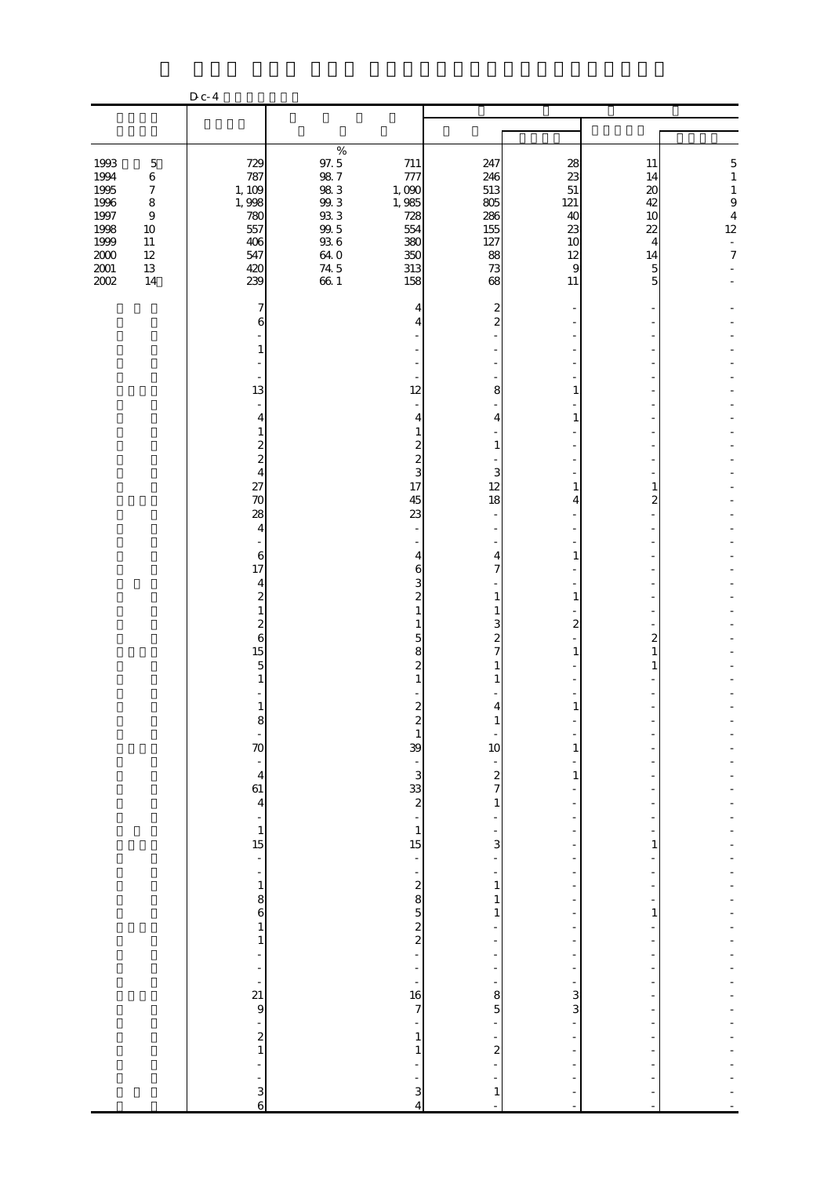|                                                                                      |                                                                                                                       | D c- 4                                                                  |                                                                                                        |                                                                        |                                                                 |                                                          |                                                                        |                                                                                                                            |
|--------------------------------------------------------------------------------------|-----------------------------------------------------------------------------------------------------------------------|-------------------------------------------------------------------------|--------------------------------------------------------------------------------------------------------|------------------------------------------------------------------------|-----------------------------------------------------------------|----------------------------------------------------------|------------------------------------------------------------------------|----------------------------------------------------------------------------------------------------------------------------|
|                                                                                      |                                                                                                                       |                                                                         |                                                                                                        |                                                                        |                                                                 |                                                          |                                                                        |                                                                                                                            |
|                                                                                      |                                                                                                                       |                                                                         |                                                                                                        |                                                                        |                                                                 |                                                          |                                                                        |                                                                                                                            |
| 1993<br>1994<br>1995<br>1996<br>1997<br>1998<br>1999<br>$2000\,$<br>$2001\,$<br>2002 | $\mathbf 5$<br>$\,6$<br>$\boldsymbol{7}$<br>$\,8\,$<br>$\boldsymbol{9}$<br>$10\,$<br>$11\,$<br>$12\,$<br>$13\,$<br>14 | 729<br>787<br>1, 109<br>1,998<br>780<br>557<br>406<br>547<br>420<br>239 | $\%$<br>97.5<br>98.7<br>$98\ 3$<br>$99.3\,$<br>$93\ 3$<br>$99.5$<br>$93\ 6$<br>64. O<br>$74.5$<br>66.1 | 711<br>777<br>1,090<br>1,985<br>728<br>554<br>380<br>350<br>313<br>158 | 247<br>246<br>513<br>805<br>286<br>155<br>127<br>88<br>73<br>68 | 28<br>23<br>51<br>121<br>40<br>23<br>10<br>12<br>9<br>11 | 11<br>14<br>$\boldsymbol{\chi}$<br>42<br>10<br>22<br>4<br>14<br>5<br>5 | $\overline{5}$<br>$\,1\,$<br>$\mathbf{1}$<br>$\,9$<br>$\overline{4}$<br>12<br>$\overline{\phantom{a}}$<br>$\boldsymbol{7}$ |
|                                                                                      |                                                                                                                       | 7<br>6                                                                  |                                                                                                        | 4<br>4                                                                 | $\overline{c}$<br>$\overline{\mathcal{Z}}$                      |                                                          |                                                                        |                                                                                                                            |
|                                                                                      |                                                                                                                       | 1                                                                       |                                                                                                        |                                                                        |                                                                 |                                                          |                                                                        |                                                                                                                            |
|                                                                                      |                                                                                                                       | ä,<br>13<br>$\sim$                                                      |                                                                                                        | 12                                                                     | 8                                                               | 1                                                        |                                                                        |                                                                                                                            |
|                                                                                      |                                                                                                                       | 4<br>1<br>$\boldsymbol{z}$                                              |                                                                                                        | 4<br>1<br>$\boldsymbol{z}$                                             | 4<br>1                                                          | 1                                                        |                                                                        |                                                                                                                            |
|                                                                                      |                                                                                                                       | $\overline{\mathcal{L}}$<br>$\overline{4}$<br>27                        |                                                                                                        | $\overline{\mathcal{L}}$<br>3<br>17                                    | 3<br>12                                                         | 1                                                        | 1                                                                      |                                                                                                                            |
|                                                                                      |                                                                                                                       | 70<br>28<br>$\overline{4}$                                              |                                                                                                        | 45<br>23<br>$\overline{a}$                                             | 18                                                              | 4                                                        | 2                                                                      |                                                                                                                            |
|                                                                                      |                                                                                                                       | $\,6$                                                                   |                                                                                                        | 4                                                                      | 4                                                               | 1                                                        |                                                                        |                                                                                                                            |
|                                                                                      |                                                                                                                       | 17<br>4<br>$\overline{\mathcal{Z}}$                                     |                                                                                                        | 6<br>3<br>$\overline{\mathcal{Z}}$                                     | $\overline{7}$<br>$\mathbf{1}$                                  | 1                                                        |                                                                        |                                                                                                                            |
|                                                                                      |                                                                                                                       | $\mathbf{1}$<br>$\overline{\mathcal{Z}}$<br>6                           |                                                                                                        | 1<br>1<br>5                                                            | 1<br>3<br>$\overline{\mathcal{Z}}$                              | $\overline{\mathcal{Z}}$                                 | 2                                                                      |                                                                                                                            |
|                                                                                      |                                                                                                                       | 15<br>$\mathbf 5$<br>1                                                  |                                                                                                        | 8<br>$\mathbf{z}$                                                      | $\overline{7}$                                                  | 1                                                        | 1<br>1                                                                 |                                                                                                                            |
|                                                                                      |                                                                                                                       | $\mathbf{1}$<br>ŏ                                                       |                                                                                                        | $\boldsymbol{2}$                                                       | 4                                                               | $\mathbf{1}$                                             |                                                                        |                                                                                                                            |
|                                                                                      |                                                                                                                       | 70<br>$\frac{1}{4}$                                                     |                                                                                                        | $\mathbf{1}$<br>39                                                     | 10                                                              | 1                                                        |                                                                        |                                                                                                                            |
|                                                                                      |                                                                                                                       | $\frac{61}{4}$                                                          |                                                                                                        | . യ 33 യ                                                               | $\frac{1}{2}$<br>$\mathbf{1}$                                   | $\mathbf{1}$                                             |                                                                        |                                                                                                                            |
|                                                                                      |                                                                                                                       | ÷,<br>$\mathbf{1}$<br>15                                                |                                                                                                        | $\mathbf{1}$<br>15                                                     | $\overline{\mathbf{3}}$                                         | $\overline{\phantom{m}}$                                 | 1                                                                      |                                                                                                                            |
|                                                                                      |                                                                                                                       | ÷,<br>$\overline{\phantom{a}}$<br>$\mathbf 1$                           |                                                                                                        | ÷<br>÷,                                                                | $\,1\,$                                                         | $\overline{\phantom{0}}$                                 |                                                                        |                                                                                                                            |
|                                                                                      |                                                                                                                       | $\begin{matrix}8\\6\end{matrix}$<br>1                                   |                                                                                                        | $\sim$ 20 $\mu$ 80 $\mu$                                               | $\mathbf{1}$<br>$\mathbf{1}$                                    |                                                          | 1                                                                      |                                                                                                                            |
|                                                                                      |                                                                                                                       | $\,1\,$<br>÷,<br>-                                                      |                                                                                                        | $\overline{a}$                                                         | $\overline{a}$                                                  | $\overline{\phantom{m}}$<br>÷,                           |                                                                        |                                                                                                                            |
|                                                                                      |                                                                                                                       | $\frac{1}{2}$<br>21<br>$\theta$                                         |                                                                                                        | ÷<br>16<br>$\overline{7}$                                              | 8<br>5                                                          | 3<br>3                                                   |                                                                        |                                                                                                                            |
|                                                                                      |                                                                                                                       | $\overline{\phantom{0}}$<br>$\begin{smallmatrix}2\\1\end{smallmatrix}$  |                                                                                                        | ÷<br>$\mathbf{1}$<br>$\mathbf{1}$                                      | $\overline{\phantom{0}}$<br>$\overline{\mathcal{L}}$            |                                                          |                                                                        |                                                                                                                            |
|                                                                                      |                                                                                                                       | ÷                                                                       |                                                                                                        | ۳                                                                      |                                                                 |                                                          |                                                                        |                                                                                                                            |
|                                                                                      |                                                                                                                       | $\frac{1}{6}$                                                           |                                                                                                        | 3<br>$\overline{4}$                                                    | $\mathbf{1}$                                                    |                                                          |                                                                        |                                                                                                                            |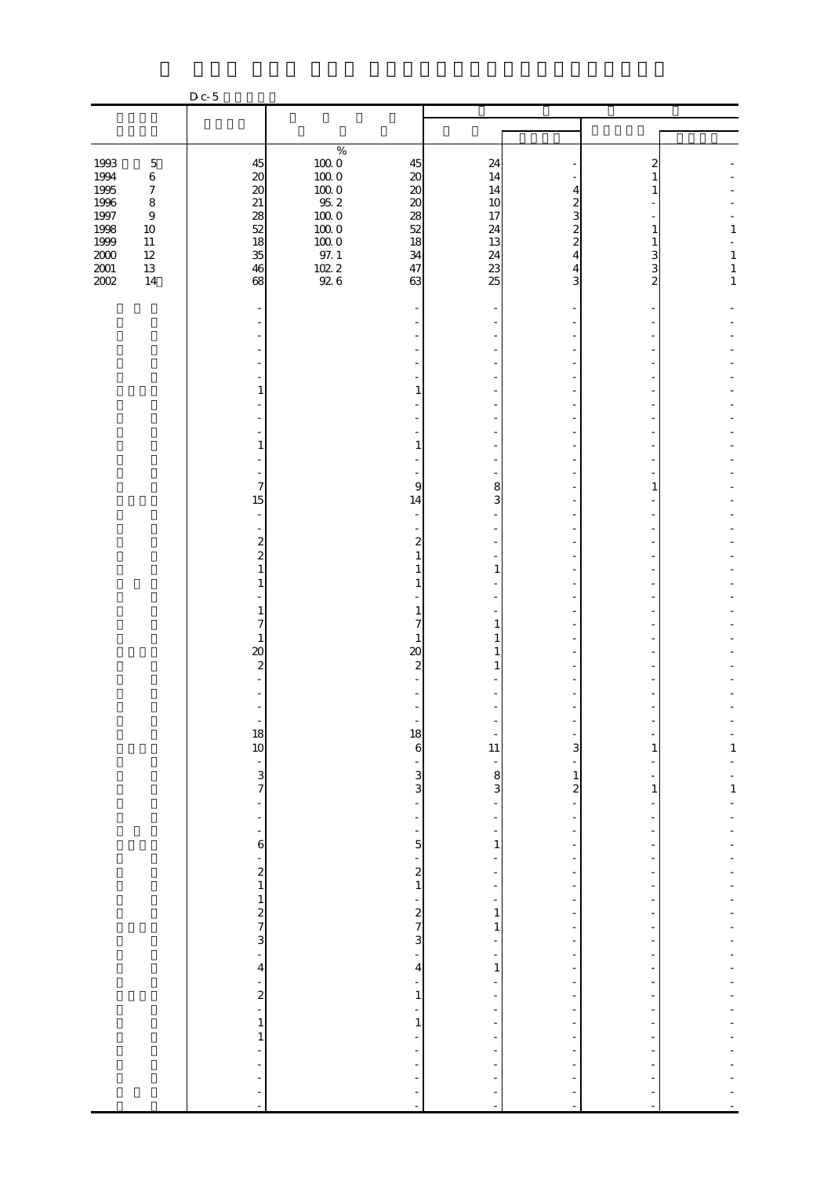|                                              |                                                           | $D_{c-5}$                                                           |                                                           |                                                |                            |                                                              |              |                                |
|----------------------------------------------|-----------------------------------------------------------|---------------------------------------------------------------------|-----------------------------------------------------------|------------------------------------------------|----------------------------|--------------------------------------------------------------|--------------|--------------------------------|
|                                              |                                                           |                                                                     |                                                           |                                                |                            |                                                              |              |                                |
|                                              |                                                           |                                                                     |                                                           |                                                |                            |                                                              |              |                                |
| 1993<br>1994<br>1995                         | $\mathbf 5$<br>$\,6\,$<br>$\boldsymbol{7}$                | 45<br>$\boldsymbol{\mathsf{20}}$<br>$20\,$                          | $\%$<br>$100\;0$<br>$100\;0$<br>$100\;0$                  | 45<br>$20\,$<br>$20\,$                         | 24<br>14<br>14             | 4                                                            | 2<br>1<br>1  |                                |
| $1996\,$<br>1997<br>1998<br>1999<br>$2000\,$ | $\,8\,$<br>$\boldsymbol{9}$<br>$10\,$<br>$11\,$<br>$12\,$ | $21\,$<br>28<br>52<br>18<br>35                                      | $95.2\,$<br>$100\;0$<br>$100\;0$<br>$100\;0$<br>$97. \;1$ | $\boldsymbol{\chi}$<br>28<br>$52$<br>18<br>34  | 10<br>17<br>24<br>13<br>24 | $\overline{c}$<br>3<br>$\overline{c}$<br>$\overline{c}$<br>4 | 1<br>1<br>3  | $\mathbf{1}$<br>$\mathbf{1}$   |
| $2001\,$<br>2002                             | $13\,$<br>$14$                                            | 46<br>68                                                            | $\frac{102.2}{92.6}$                                      | 47<br>63                                       | 23<br>25                   | 4<br>3                                                       | 3<br>2       | $\,1$<br>$\mathbf{1}$          |
|                                              |                                                           |                                                                     |                                                           |                                                |                            |                                                              |              |                                |
|                                              |                                                           | 1                                                                   |                                                           | 1                                              |                            |                                                              |              |                                |
|                                              |                                                           | $\mathbf{1}$                                                        |                                                           | 1                                              |                            |                                                              |              |                                |
|                                              |                                                           | 7<br>15                                                             |                                                           | 9                                              | 8<br>3                     |                                                              | 1            |                                |
|                                              |                                                           | $\overline{\phantom{a}}$<br>$\bar{\phantom{a}}$<br>$\boldsymbol{z}$ |                                                           | 14<br>$\boldsymbol{z}$                         |                            |                                                              |              |                                |
|                                              |                                                           | $\overline{c}$<br>$\mathbf{1}$<br>1                                 |                                                           | $\mathbf{1}$<br>1                              | $\mathbf{1}$               |                                                              |              |                                |
|                                              |                                                           | $\mathbf{1}$<br>$\overline{7}$<br>$\mathbf{1}$                      |                                                           | 1<br>$\overline{7}$<br>1                       | 1<br>1                     |                                                              |              |                                |
|                                              |                                                           | $\infty$<br>$\boldsymbol{2}$                                        |                                                           | 20<br>$\boldsymbol{z}$                         | 1                          |                                                              |              |                                |
|                                              |                                                           |                                                                     |                                                           | 18                                             |                            |                                                              |              |                                |
|                                              |                                                           | $\frac{18}{10}$<br>$\frac{1}{3}$                                    |                                                           | 6<br>$\frac{1}{3}$                             | 11<br>$\frac{1}{3}$        | 3<br>$\mathbf{1}$                                            | 1            | $\frac{1}{1}$<br>$\frac{1}{1}$ |
|                                              |                                                           | ÷<br>$\blacksquare$<br>÷                                            |                                                           | $\overline{a}$<br>$\frac{1}{2}$                | $\overline{a}$             | $\boldsymbol{z}$<br>÷,                                       | $\mathbf{1}$ |                                |
|                                              |                                                           | 6<br>$\frac{1}{2}$                                                  |                                                           | 5<br>$\overline{\phantom{0}}$<br>$\frac{2}{1}$ | 1                          | -<br>$\overline{\phantom{0}}$                                |              |                                |
|                                              |                                                           | $\frac{1}{2}$                                                       |                                                           | -<br>$\frac{2}{7}$                             | $\mathbf{1}$<br>1          |                                                              |              |                                |
|                                              |                                                           | 3<br>$\frac{1}{2}$<br>$\overline{\mathbf{4}}$                       |                                                           | 3<br>$\frac{1}{2}$<br>$\overline{4}$           | ÷<br>$\mathbf{1}$          | $\overline{\phantom{m}}$<br>÷,                               |              |                                |
|                                              |                                                           | -<br>$\frac{2}{1}$                                                  |                                                           | ÷<br>1<br>$\overline{\phantom{0}}$             |                            | $\overline{\phantom{m}}$                                     |              |                                |
|                                              |                                                           | $\mathbf{1}$<br>$\mathbf{1}$<br>÷,<br>÷                             |                                                           | $\mathbf 1$                                    |                            |                                                              |              |                                |
|                                              |                                                           | ÷<br>÷<br>÷                                                         |                                                           | ÷                                              | ÷<br>÷,                    |                                                              |              |                                |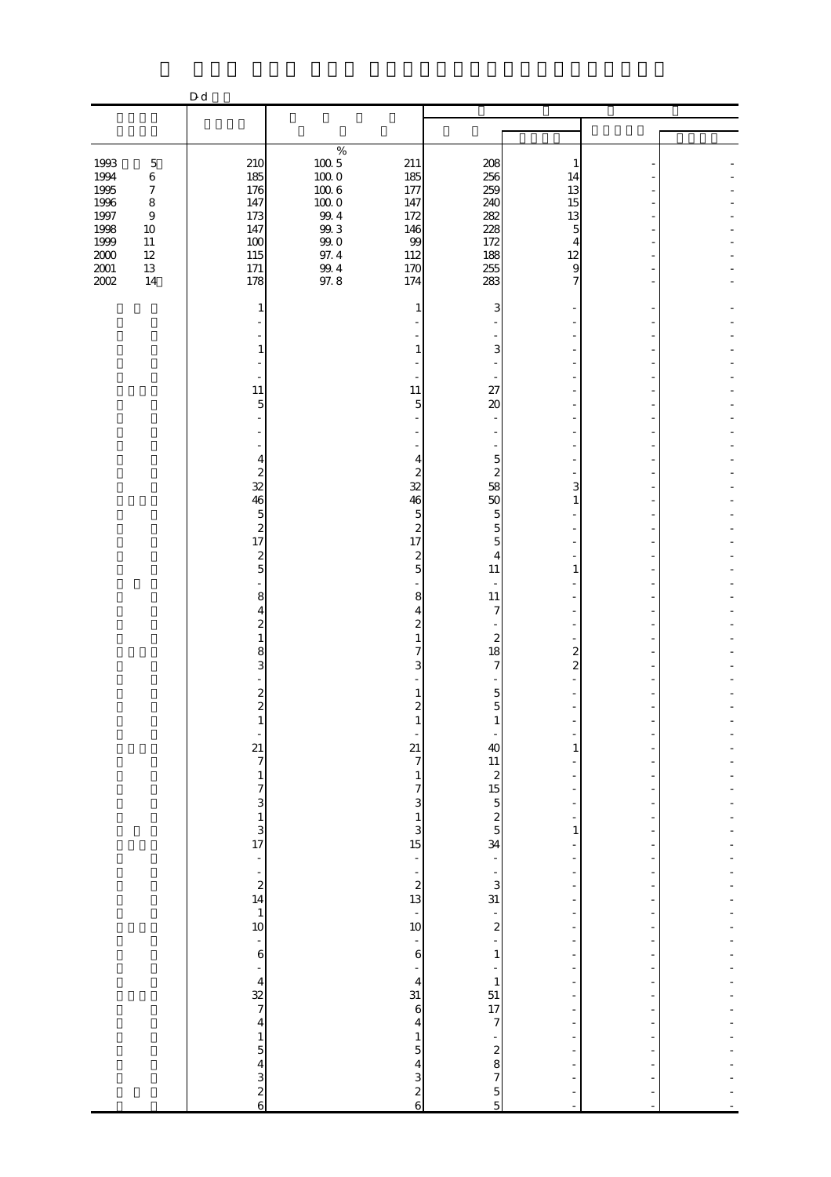|                              |                                          | D d                                                    |                                            |                                                                     |                                                              |                                                                                                    |                                                      |  |
|------------------------------|------------------------------------------|--------------------------------------------------------|--------------------------------------------|---------------------------------------------------------------------|--------------------------------------------------------------|----------------------------------------------------------------------------------------------------|------------------------------------------------------|--|
|                              |                                          |                                                        |                                            |                                                                     |                                                              |                                                                                                    |                                                      |  |
|                              |                                          |                                                        |                                            |                                                                     |                                                              |                                                                                                    |                                                      |  |
| 1993<br>1994<br>1995         | $\mathbf 5$<br>$\,6$<br>$\boldsymbol{7}$ | 210<br>185<br>176                                      | $\%$<br>$100\,5$<br>$10000$<br>$100\ 6$    | 211<br>185<br>177                                                   | 208<br>256<br>259                                            | 1<br>14<br>13                                                                                      |                                                      |  |
| 1996<br>1997<br>1998<br>1999 | $\,8\,$<br>$\,9$<br>$10\,$<br>$11\,$     | 147<br>173<br>147<br>100                               | $100\;0$<br>$99\,4$<br>$99.3\,$<br>$99\;0$ | 147<br>172<br>146<br>99                                             | 240<br>282<br>228<br>172                                     | 15<br>13<br>5<br>4                                                                                 |                                                      |  |
| $2000\,$<br>$2001\,$<br>2002 | $12\,$<br>13<br>14                       | 115<br>171<br>178                                      | 97.4<br>$\frac{99.4}{97.8}$                | 112<br>170<br>174                                                   | 188<br>255<br>283                                            | 12<br>9<br>7                                                                                       |                                                      |  |
|                              |                                          | $\mathbf{1}$                                           |                                            | 1                                                                   | 3                                                            |                                                                                                    |                                                      |  |
|                              |                                          | 1                                                      |                                            |                                                                     | 3                                                            |                                                                                                    |                                                      |  |
|                              |                                          | 11<br>$\overline{5}$                                   |                                            | 11<br>5                                                             | 27<br>$\boldsymbol{\alpha}$                                  |                                                                                                    |                                                      |  |
|                              |                                          | 4<br>$\boldsymbol{z}$                                  |                                            | 4<br>$\boldsymbol{z}$                                               | $\overline{5}$<br>$\overline{\mathcal{Z}}$                   |                                                                                                    |                                                      |  |
|                              |                                          | 32<br>46<br>$\mathbf 5$                                |                                            | 32<br>46<br>5                                                       | 58<br>50<br>5                                                | 3<br>1                                                                                             |                                                      |  |
|                              |                                          | $\boldsymbol{z}$<br>17<br>$\boldsymbol{z}$             |                                            | $\boldsymbol{z}$<br>17<br>$\boldsymbol{z}$                          | $\overline{5}$<br>5<br>4                                     |                                                                                                    |                                                      |  |
|                              |                                          | $\overline{5}$<br>8<br>4                               |                                            | 5<br>8<br>4                                                         | 11<br>11<br>7                                                | $\mathbf{1}$                                                                                       |                                                      |  |
|                              |                                          | $\overline{\mathcal{L}}$<br>$\mathbf{1}$<br>8          |                                            | $\overline{\mathcal{Z}}$<br>1<br>7                                  | $\boldsymbol{z}$<br>18                                       | $\overline{2}$                                                                                     |                                                      |  |
|                              |                                          | 3<br>$\boldsymbol{z}$                                  |                                            | 3                                                                   | $\overline{7}$<br>5                                          | $\overline{c}$                                                                                     |                                                      |  |
|                              |                                          | $\overline{\mathcal{L}}$<br>f                          |                                            | $\overline{c}$<br>21                                                | 5<br>40                                                      | 1                                                                                                  | ÷,                                                   |  |
|                              |                                          | $\frac{21}{7}$<br>$\mathbf{1}$                         |                                            | $\overline{7}$<br>$\,1$                                             |                                                              | $\blacksquare$<br>$\overline{\phantom{0}}$                                                         | ÷                                                    |  |
|                              |                                          | $\begin{bmatrix} 7 \\ 3 \\ 1 \\ 3 \\ 17 \end{bmatrix}$ |                                            | $\begin{array}{c} 7 \\ 3 \\ 1 \\ 3 \\ \hline 15 \end{array}$        | 11 2 2 5 $\frac{1}{2}$ 5 2 5 34                              | $\blacksquare$<br>$\overline{\phantom{a}}$<br>$\mathbf{1}$                                         | $\overline{\phantom{a}}$                             |  |
|                              |                                          | $\begin{bmatrix} 1 \\ 2 \\ 14 \end{bmatrix}$           |                                            | ÷,                                                                  | $\overline{\phantom{0}}$                                     | $\overline{a}$<br>$\overline{\phantom{a}}$<br>$\overline{\phantom{a}}$<br>$\overline{\phantom{a}}$ | ÷,<br>÷<br>$\overline{\phantom{a}}$                  |  |
|                              |                                          | $\begin{array}{c} 1 \\ 10 \end{array}$                 |                                            | $\begin{array}{c} 2 \\ 2 \\ 13 \end{array}$<br>$\frac{1}{10}$       | $\frac{1}{3}$<br>$\frac{1}{2}$                               | $\frac{1}{2}$<br>$\frac{1}{2}$<br>$\overline{\phantom{a}}$                                         | $\overline{\phantom{a}}$                             |  |
|                              |                                          | $\frac{1}{6}$                                          |                                            | $\overline{\phantom{a}}$<br>$\overline{6}$<br>÷                     | $\overline{a}$<br>$\,1\,$                                    | $\overline{\phantom{m}}$<br>$\overline{a}$<br>$\overline{\phantom{a}}$                             | ÷<br>-                                               |  |
|                              |                                          | $\frac{4}{32}$ 7<br>4                                  |                                            | $\overline{\mathbf{4}}$<br>31<br>$\boldsymbol{6}$                   | $\mathbf{1}$<br>$\begin{array}{c} 51 \\ 17 \\ 7 \end{array}$ | -<br>$\overline{\phantom{0}}$<br>$\overline{\phantom{a}}$                                          | ÷<br>$\overline{\phantom{a}}$                        |  |
|                              |                                          |                                                        |                                            | $\overline{\mathbf{4}}$<br>$\frac{1}{5}$<br>$\overline{\mathbf{4}}$ | $\begin{array}{c} 2 \\ 2 \\ 3 \end{array}$                   | $\blacksquare$<br>$\blacksquare$<br>$\overline{a}$                                                 | $\overline{\phantom{0}}$<br>$\overline{\phantom{a}}$ |  |
|                              |                                          | $\frac{1}{5}$ 4 3 2 6                                  |                                            | $\begin{array}{c} 3 \\ 2 \\ 6 \end{array}$                          | $\frac{5}{5}$                                                | $\overline{a}$<br>$\overline{\phantom{m}}$<br>$\overline{a}$                                       | $\overline{a}$<br>÷<br>÷,                            |  |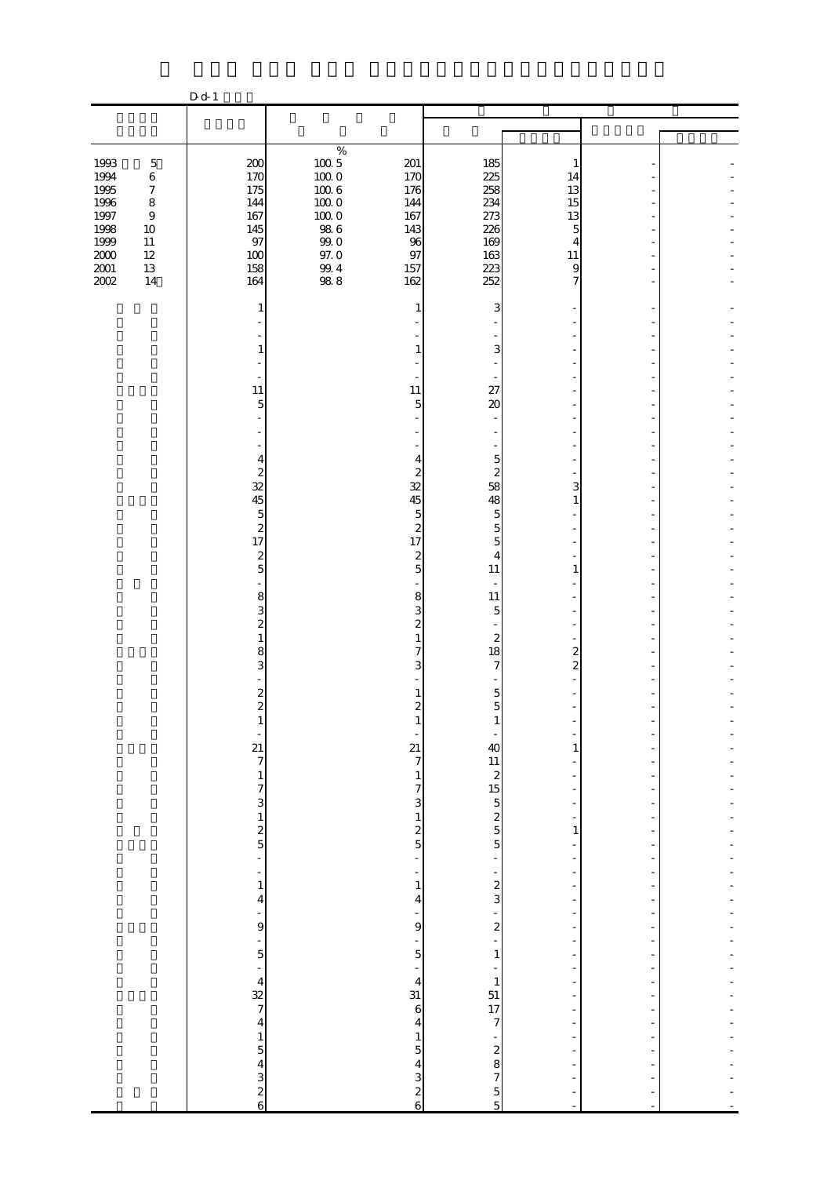|                                      |                                                 | D d 1                                                                        |                                 |                                                       |                                                              |                                                                                                    |                                           |  |
|--------------------------------------|-------------------------------------------------|------------------------------------------------------------------------------|---------------------------------|-------------------------------------------------------|--------------------------------------------------------------|----------------------------------------------------------------------------------------------------|-------------------------------------------|--|
|                                      |                                                 |                                                                              |                                 |                                                       |                                                              |                                                                                                    |                                           |  |
|                                      |                                                 |                                                                              |                                 |                                                       |                                                              |                                                                                                    |                                           |  |
| 1993<br>1994                         | $\mathbf 5$<br>$\,6$                            | 200<br>170                                                                   | $\%$<br>$100\,5$<br>1000        | 201<br>170                                            | 185<br>225                                                   | $\mathbf{1}$<br>14                                                                                 |                                           |  |
| 1995<br>1996<br>1997                 | $\boldsymbol{7}$<br>$\,8\,$<br>$\boldsymbol{9}$ | 175<br>144<br>167                                                            | $100\ 6$<br>$100\;0$<br>$10000$ | 176<br>144<br>167                                     | 258<br>234<br>273                                            | 13<br>15<br>13                                                                                     |                                           |  |
| 1998<br>1999<br>$2000\,$<br>$2001\,$ | $10\,$<br>$11\,$<br>$12\,$<br>$13\,$            | 145<br>97<br>100<br>158                                                      | $98\ 6$<br>$99\;0$<br>$97.0\,$  | 143<br>96<br>97<br>157                                | 226<br>169<br>163<br>223                                     | 5<br>4<br>11<br>$\overline{9}$                                                                     |                                           |  |
| 2002                                 | 14                                              | 164<br>1                                                                     | $\frac{99.4}{98.8}$             | 162<br>1                                              | 252<br>3                                                     | $\overline{7}$                                                                                     |                                           |  |
|                                      |                                                 |                                                                              |                                 | 1                                                     | 3                                                            |                                                                                                    |                                           |  |
|                                      |                                                 | 11                                                                           |                                 | 11                                                    | 27                                                           |                                                                                                    |                                           |  |
|                                      |                                                 | $\overline{5}$                                                               |                                 | 5                                                     | 20                                                           |                                                                                                    |                                           |  |
|                                      |                                                 | 4<br>$\overline{\mathcal{Z}}$                                                |                                 | 4<br>$\overline{\mathcal{L}}$                         | $\overline{5}$<br>$\boldsymbol{z}$                           |                                                                                                    |                                           |  |
|                                      |                                                 | 32<br>45<br>$\overline{5}$                                                   |                                 | 32<br>45<br>$\overline{5}$                            | 58<br>48<br>5                                                | 3<br>1                                                                                             |                                           |  |
|                                      |                                                 | $\boldsymbol{z}$<br>17<br>$\overline{\mathcal{L}}$<br>5                      |                                 | $\mathbf{z}$<br>17<br>$\boldsymbol{z}$<br>5           | $\overline{5}$<br>5<br>$\overline{4}$<br>$11\,$              | $\mathbf{1}$                                                                                       |                                           |  |
|                                      |                                                 | 8<br>3                                                                       |                                 | 8<br>3                                                | $11\,$<br>$\overline{5}$                                     |                                                                                                    |                                           |  |
|                                      |                                                 | $\overline{\mathcal{Z}}$<br>$\mathbf{1}$<br>8                                |                                 | $\overline{\mathcal{Z}}$<br>$\mathbf{1}$<br>7         | $\boldsymbol{z}$<br>18                                       | $\overline{2}$                                                                                     |                                           |  |
|                                      |                                                 | 3<br>$\overline{\mathcal{Z}}$                                                |                                 | 3                                                     | 7<br>5                                                       | $\overline{\mathcal{Z}}$                                                                           |                                           |  |
|                                      |                                                 | $\overline{c}$                                                               |                                 | $\overline{\mathcal{Z}}$<br>I<br>f                    | 5<br>T                                                       | -                                                                                                  | -                                         |  |
|                                      |                                                 | $27$ $7$ $1$ $7$ $3$ $1$ $2$ $5$ $-$                                         |                                 | 21<br>$\overline{7}$<br>$\,1$                         | 40<br>11<br>2<br>15<br>5<br>2<br>5<br>5<br>5                 | 1<br>÷,                                                                                            | $\overline{a}$                            |  |
|                                      |                                                 |                                                                              |                                 | $\begin{array}{c} 7 \\ 2 \\ 1 \\ 2 \end{array}$       |                                                              | $\blacksquare$<br>$\qquad \qquad \blacksquare$                                                     | $\frac{1}{2}$                             |  |
|                                      |                                                 |                                                                              |                                 | ÷                                                     | $\overline{\phantom{0}}$                                     | $\mathbf{1}$<br>$\overline{a}$<br>$\qquad \qquad \blacksquare$                                     | $\qquad \qquad \blacksquare$              |  |
|                                      |                                                 | $\frac{1}{1}$<br>$\overline{\mathbf{4}}$                                     |                                 | $\overline{\phantom{a}}$<br>$\,1\,$<br>$\overline{4}$ | $\sim$ 2 $\sim$ 3 $\sim$ 3                                   | $\overline{\phantom{0}}$<br>$\overline{\phantom{0}}$<br>÷                                          | -                                         |  |
|                                      |                                                 | -<br>9                                                                       |                                 | -<br>9<br>$\frac{1}{5}$                               |                                                              | $\qquad \qquad \blacksquare$<br>$\overline{a}$<br>$\overline{\phantom{0}}$                         |                                           |  |
|                                      |                                                 | $-5$<br>$-4$<br>$-4$<br>$-4$<br>$-1$<br>$-5$<br>$-4$<br>$-3$<br>$-2$<br>$-6$ |                                 | $\ddot{\phantom{0}}$<br>$\overline{\mathbf{4}}$<br>31 | $\,1\,$<br>$\begin{array}{c} 1 \\ -1 \\ 17 \\ 7 \end{array}$ | $\overline{\phantom{a}}$<br>$\overline{\phantom{a}}$<br>$\overline{\phantom{0}}$<br>$\overline{a}$ | $\overline{\phantom{0}}$<br>$\frac{1}{2}$ |  |
|                                      |                                                 |                                                                              |                                 | $\mathbf{6}$<br>$\overline{\mathbf{r}}$               |                                                              | $\overline{\phantom{a}}$<br>÷                                                                      | $\frac{1}{2}$                             |  |
|                                      |                                                 |                                                                              |                                 | $\frac{1}{5}$ 4 3 2 6                                 | $\begin{array}{c}\n1 \\ 2 \\ 7\n\end{array}$                 | ÷<br>÷<br>$\overline{a}$                                                                           |                                           |  |
|                                      |                                                 |                                                                              |                                 |                                                       | $\frac{5}{5}$                                                | ł,<br>$\blacksquare$                                                                               | $\overline{\phantom{a}}$<br>$\Box$        |  |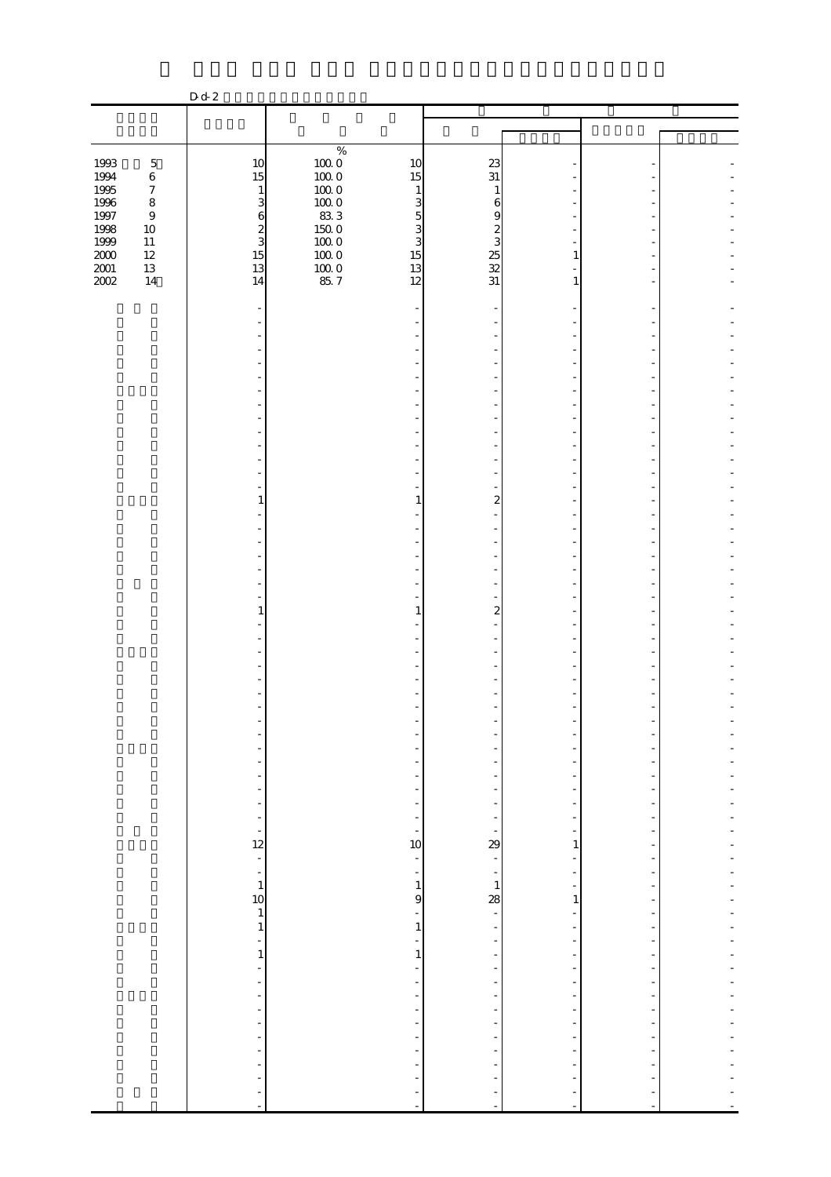|                                                   |                             | D d 2                        |                                                     |                  |                          |  |
|---------------------------------------------------|-----------------------------|------------------------------|-----------------------------------------------------|------------------|--------------------------|--|
|                                                   |                             |                              |                                                     |                  |                          |  |
|                                                   |                             |                              |                                                     |                  |                          |  |
|                                                   |                             |                              | $\%$                                                |                  |                          |  |
| 1993                                              | $\mathbf 5$                 | 10                           | $\begin{array}{c} 100.0 \\ 100.0 \end{array}$<br>10 | 23               |                          |  |
| 1994<br>1995                                      | $\,6\,$                     | 15                           | 15                                                  | 31               |                          |  |
| $1996\,$                                          | $\boldsymbol{7}$<br>$\,8\,$ | $\mathbf{1}$<br>3            | $100\;0$<br>$\mathbf{1}$<br>$100\;0$<br>3           | 1<br>6           |                          |  |
| $1997\,$                                          | $\boldsymbol{9}$            | $\mathbf{6}$                 | 833<br>$\overline{5}$                               | 9                |                          |  |
|                                                   | $10\,$                      |                              | 3                                                   |                  |                          |  |
| 1998<br>1999                                      | $11\,$                      | $\frac{2}{3}$                | $\frac{150}{100}$ 0<br>3                            | $rac{2}{3}$      |                          |  |
| $\begin{array}{c} 2000 \\[-4pt] 2001 \end{array}$ | $12\,$                      | 15                           | $100\;0$<br>15                                      | $\frac{25}{32}$  | 1                        |  |
| 2002                                              | 13<br>14                    | 13<br>14                     | $\frac{10000}{857}$<br>13<br>12                     | 31               | $\mathbf{1}$             |  |
|                                                   |                             |                              |                                                     |                  |                          |  |
|                                                   |                             |                              |                                                     |                  |                          |  |
|                                                   |                             |                              |                                                     |                  |                          |  |
|                                                   |                             |                              |                                                     |                  |                          |  |
|                                                   |                             |                              |                                                     |                  |                          |  |
|                                                   |                             |                              |                                                     |                  |                          |  |
|                                                   |                             |                              |                                                     |                  |                          |  |
|                                                   |                             |                              |                                                     |                  |                          |  |
|                                                   |                             |                              |                                                     |                  |                          |  |
|                                                   |                             |                              |                                                     |                  |                          |  |
|                                                   |                             |                              |                                                     |                  |                          |  |
|                                                   |                             |                              |                                                     |                  |                          |  |
|                                                   |                             |                              |                                                     |                  |                          |  |
|                                                   |                             | 1                            | 1                                                   | 2                |                          |  |
|                                                   |                             |                              |                                                     |                  |                          |  |
|                                                   |                             |                              |                                                     |                  |                          |  |
|                                                   |                             |                              |                                                     |                  |                          |  |
|                                                   |                             |                              |                                                     |                  |                          |  |
|                                                   |                             |                              |                                                     |                  |                          |  |
|                                                   |                             |                              |                                                     |                  |                          |  |
|                                                   |                             | $\mathbf{1}$                 | $\mathbf{1}$                                        | $\boldsymbol{2}$ |                          |  |
|                                                   |                             |                              |                                                     |                  |                          |  |
|                                                   |                             |                              |                                                     |                  |                          |  |
|                                                   |                             |                              |                                                     |                  |                          |  |
|                                                   |                             |                              |                                                     |                  |                          |  |
|                                                   |                             |                              |                                                     |                  |                          |  |
|                                                   |                             |                              |                                                     |                  |                          |  |
|                                                   |                             |                              |                                                     |                  |                          |  |
|                                                   |                             |                              |                                                     |                  |                          |  |
|                                                   |                             |                              |                                                     |                  |                          |  |
|                                                   |                             | ÷                            |                                                     |                  |                          |  |
|                                                   |                             | ÷,                           |                                                     |                  |                          |  |
|                                                   |                             | $\overline{\phantom{a}}$     |                                                     |                  |                          |  |
|                                                   |                             | $\frac{1}{2}$                | ÷,                                                  |                  |                          |  |
|                                                   |                             | f<br>12                      | 10                                                  | 29               | 1                        |  |
|                                                   |                             | $\blacksquare$               | $\frac{1}{2}$                                       | $\frac{1}{2}$    |                          |  |
|                                                   |                             | $\overline{\phantom{a}}$     | ÷,                                                  |                  |                          |  |
|                                                   |                             | $\mathbf{1}$                 | $\,1\,$                                             | $\mathbf 1$      |                          |  |
|                                                   |                             | 10                           | 9                                                   | 28               | $\mathbf{1}$             |  |
|                                                   |                             | $\mathbf{1}$<br>$\mathbf{1}$ | ÷<br>$\mathbf{1}$                                   | ÷,               |                          |  |
|                                                   |                             | ۳                            | ÷                                                   |                  |                          |  |
|                                                   |                             | $\,1\,$                      | $\mathbf{1}$                                        |                  |                          |  |
|                                                   |                             | ÷,                           | ÷                                                   |                  |                          |  |
|                                                   |                             | ÷                            | ÷                                                   |                  |                          |  |
|                                                   |                             | $\qquad \qquad \blacksquare$ | $\overline{a}$                                      |                  |                          |  |
|                                                   |                             | ÷,<br>ł,                     | $\frac{1}{2}$                                       |                  | $\overline{\phantom{a}}$ |  |
|                                                   |                             | L,                           | ÷                                                   |                  |                          |  |
|                                                   |                             | ÷                            |                                                     |                  |                          |  |
|                                                   |                             | ä,                           |                                                     |                  |                          |  |
|                                                   |                             |                              |                                                     |                  |                          |  |
|                                                   |                             |                              |                                                     |                  |                          |  |
|                                                   |                             | ÷,                           | ÷                                                   | L,               |                          |  |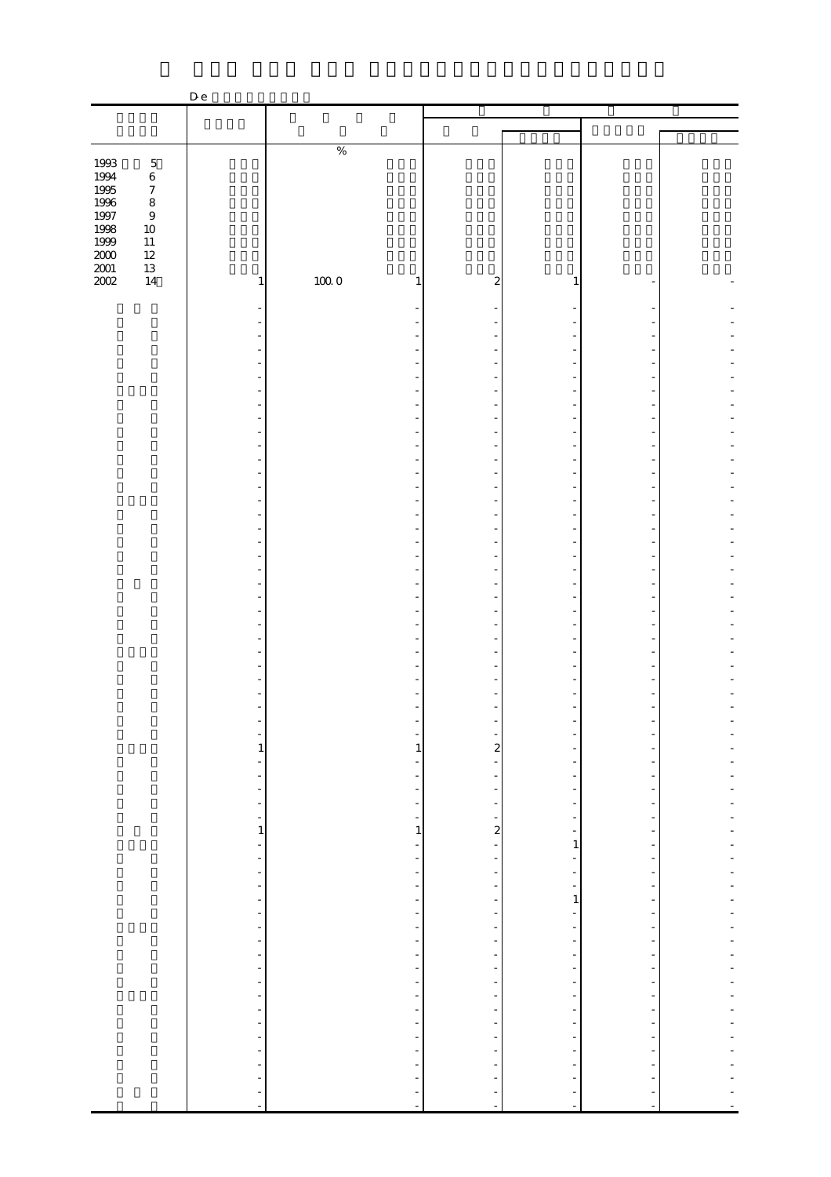|                   |                  | D e                                                     |                          |                                                   |                          |                              |                |
|-------------------|------------------|---------------------------------------------------------|--------------------------|---------------------------------------------------|--------------------------|------------------------------|----------------|
|                   |                  |                                                         |                          |                                                   |                          |                              |                |
|                   |                  |                                                         |                          |                                                   |                          |                              |                |
|                   |                  |                                                         |                          |                                                   |                          |                              |                |
|                   |                  |                                                         | $\%$                     |                                                   |                          |                              |                |
| 1993              | $\mathbf 5$      |                                                         |                          |                                                   |                          |                              |                |
| 1994<br>1995      | $\,$ 6 $\,$      |                                                         |                          |                                                   |                          |                              |                |
|                   | $\boldsymbol{7}$ |                                                         |                          |                                                   |                          |                              |                |
| $1996\,$          | $\,$ 8 $\,$      |                                                         |                          |                                                   |                          |                              |                |
| 1997              | $\boldsymbol{9}$ |                                                         |                          |                                                   |                          |                              |                |
| 1998              | $10\,$           |                                                         |                          |                                                   |                          |                              |                |
| $1999\,$          | $11\,$           |                                                         |                          |                                                   |                          |                              |                |
|                   | $12\,$           |                                                         |                          |                                                   |                          |                              |                |
| $\frac{200}{200}$ | $13\,$           |                                                         |                          |                                                   |                          |                              |                |
|                   | 14               | 1                                                       | 1000<br>1                | $\overline{a}$                                    | 1                        |                              |                |
|                   |                  |                                                         |                          |                                                   |                          |                              |                |
|                   |                  |                                                         |                          |                                                   |                          |                              |                |
|                   |                  |                                                         |                          |                                                   |                          |                              |                |
|                   |                  |                                                         |                          |                                                   |                          |                              |                |
|                   |                  |                                                         |                          |                                                   |                          |                              |                |
|                   |                  |                                                         |                          |                                                   |                          |                              |                |
|                   |                  |                                                         |                          |                                                   | ä,                       |                              |                |
|                   |                  |                                                         |                          |                                                   |                          |                              |                |
|                   |                  |                                                         |                          |                                                   |                          |                              |                |
|                   |                  |                                                         |                          |                                                   | ÷,                       |                              |                |
|                   |                  |                                                         |                          |                                                   |                          |                              |                |
|                   |                  |                                                         |                          |                                                   |                          |                              |                |
|                   |                  |                                                         |                          |                                                   |                          |                              |                |
|                   |                  |                                                         |                          |                                                   | L,                       |                              |                |
|                   |                  |                                                         |                          |                                                   |                          |                              |                |
|                   |                  |                                                         |                          |                                                   |                          |                              |                |
|                   |                  |                                                         |                          |                                                   |                          |                              |                |
|                   |                  |                                                         |                          |                                                   |                          |                              |                |
|                   |                  |                                                         |                          |                                                   |                          |                              |                |
|                   |                  |                                                         |                          |                                                   |                          |                              |                |
|                   |                  |                                                         |                          |                                                   |                          |                              |                |
|                   |                  |                                                         |                          |                                                   | ł,                       |                              |                |
|                   |                  |                                                         |                          |                                                   |                          |                              |                |
|                   |                  |                                                         |                          |                                                   |                          |                              |                |
|                   |                  |                                                         |                          |                                                   | ÷,                       |                              |                |
|                   |                  |                                                         |                          |                                                   |                          |                              |                |
|                   |                  |                                                         |                          |                                                   | L,                       |                              |                |
|                   |                  |                                                         |                          |                                                   |                          |                              |                |
|                   |                  |                                                         |                          |                                                   |                          |                              |                |
|                   |                  |                                                         |                          |                                                   |                          |                              |                |
|                   |                  |                                                         |                          |                                                   |                          |                              |                |
|                   |                  |                                                         |                          |                                                   |                          |                              |                |
|                   |                  |                                                         |                          |                                                   |                          |                              |                |
|                   |                  |                                                         |                          |                                                   |                          |                              |                |
|                   |                  |                                                         |                          |                                                   |                          |                              |                |
|                   |                  | $\frac{1}{1}$                                           | $\frac{1}{1}$            |                                                   | $\frac{1}{2}$            | $\overline{a}$               |                |
|                   |                  |                                                         |                          | $\frac{1}{2}$                                     | $\overline{\phantom{0}}$ | -                            |                |
|                   |                  | f                                                       | ÷,                       |                                                   | $\overline{\phantom{a}}$ | $\frac{1}{2}$                |                |
|                   |                  |                                                         | $\overline{\phantom{a}}$ | $\blacksquare$                                    | $\overline{\phantom{a}}$ | $\overline{\phantom{0}}$     |                |
|                   |                  |                                                         |                          |                                                   |                          | $\frac{1}{2}$                |                |
|                   |                  | $\begin{bmatrix} 1 & 1 \\ 1 & 1 \\ 1 & 1 \end{bmatrix}$ | $\frac{1}{2}$            | $\begin{array}{cccc}\n1 & 1 & 1 & 1\n\end{array}$ | $\frac{1}{2}$            | $\overline{\phantom{a}}$     |                |
|                   |                  |                                                         |                          |                                                   |                          | $\overline{\phantom{a}}$     | ÷,             |
|                   |                  |                                                         | $\,1$                    |                                                   | $\frac{1}{\sqrt{2}}$     | $\blacksquare$               |                |
|                   |                  |                                                         |                          |                                                   | $\mathbf{1}$             | $\qquad \qquad \blacksquare$ | $\overline{a}$ |
|                   |                  | $\frac{1}{2}$                                           |                          | ÷,                                                |                          | $\frac{1}{2}$                | ÷,             |
|                   |                  | $\frac{1}{\sqrt{2}}$                                    |                          | $\frac{1}{2}$                                     |                          | ۳                            |                |
|                   |                  |                                                         |                          |                                                   | $\frac{1}{2}$            | ÷,                           | ÷              |
|                   |                  | $\frac{1}{2}$                                           |                          | $\frac{1}{2}$                                     | $\mathbf{1}$             | $\frac{1}{2}$                | ÷              |
|                   |                  |                                                         |                          |                                                   |                          | $\overline{\phantom{a}}$     |                |
|                   |                  |                                                         |                          |                                                   |                          |                              | ÷              |
|                   |                  |                                                         |                          | $\frac{1}{2}$                                     |                          | -                            |                |
|                   |                  |                                                         |                          |                                                   |                          | $\blacksquare$               | ÷              |
|                   |                  |                                                         | 医单位的 医单位的 医单位            | ÷,                                                |                          | $\blacksquare$               | ÷              |
|                   |                  |                                                         |                          | ÷,                                                |                          | $\blacksquare$               | ÷              |
|                   |                  |                                                         |                          |                                                   |                          | ۳                            | ÷,             |
|                   |                  | $\frac{1}{2}$                                           |                          | $\frac{1}{2}$                                     |                          | $\overline{\phantom{a}}$     | $\overline{a}$ |
|                   |                  |                                                         |                          |                                                   |                          | $\overline{\phantom{a}}$     |                |
|                   |                  |                                                         |                          | $\overline{\phantom{a}}$                          |                          | $\blacksquare$               |                |
|                   |                  |                                                         |                          |                                                   |                          | $\blacksquare$               |                |
|                   |                  |                                                         |                          | $\frac{1}{2}$                                     |                          | ÷,                           | ÷,             |
|                   |                  | ÷,                                                      | $\overline{a}$           | ÷                                                 |                          | $\frac{1}{2}$                |                |
|                   |                  |                                                         |                          |                                                   |                          |                              |                |
|                   |                  | $\frac{1}{2}$                                           | $\frac{1}{2}$            | $\frac{1}{2}$                                     |                          | $\frac{1}{2}$                |                |
|                   |                  | $\blacksquare$                                          |                          |                                                   |                          |                              |                |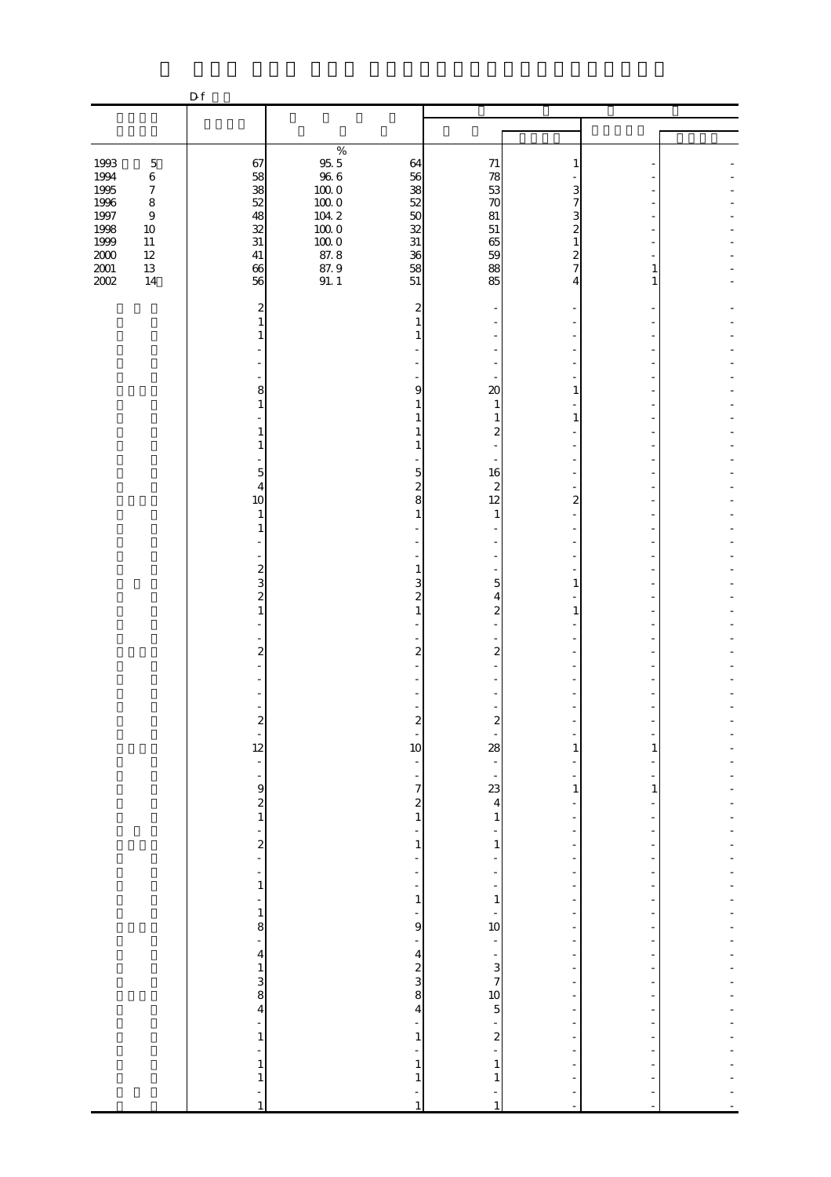|                              |                                                 | D f                                                                    |                                                 |                                                                                       |                                               |                                                                                       |                     |  |
|------------------------------|-------------------------------------------------|------------------------------------------------------------------------|-------------------------------------------------|---------------------------------------------------------------------------------------|-----------------------------------------------|---------------------------------------------------------------------------------------|---------------------|--|
|                              |                                                 |                                                                        |                                                 |                                                                                       |                                               |                                                                                       |                     |  |
|                              |                                                 |                                                                        |                                                 |                                                                                       |                                               |                                                                                       |                     |  |
| 1993<br>1994<br>1995         | $\mathbf 5$<br>$\,6$<br>$\boldsymbol{7}$        | 67<br>58<br>38                                                         | $\%$<br>$\frac{95}{96} \frac{5}{6}$<br>$100\;0$ | 64<br>56<br>38                                                                        | $71\,$<br>78<br>53                            | 1<br>3                                                                                |                     |  |
| 1996<br>1997<br>1998<br>1999 | $\,8\,$<br>$\boldsymbol{9}$<br>$10\,$<br>$11\,$ | 52<br>48<br>32<br>$31\,$                                               | $100\;0$<br>104.2<br>$100\;0$<br>$100\;0$       | $52\,$<br>50<br>32<br>$31\,$                                                          | 70<br>81<br>$51\,$<br>65                      | 7<br>3<br>$\overline{c}$<br>$\mathbf{1}$                                              |                     |  |
| $2000\,$<br>$2001\,$<br>2002 | $12\,$<br>$13\,$<br>14                          | $41\,$<br>66<br>56                                                     | 87.8<br>$87.9$<br>91.1                          | 36<br>58<br>51                                                                        | 59<br>88<br>85                                | $\overline{\mathcal{Z}}$<br>7<br>4                                                    | 1<br>1              |  |
|                              |                                                 | 2<br>1<br>1                                                            |                                                 | 2<br>$\mathbf{1}$<br>1                                                                |                                               |                                                                                       |                     |  |
|                              |                                                 | 8<br>$\mathbf{1}$                                                      |                                                 | 9<br>$\mathbf{1}$                                                                     | 20<br>$\mathbf{1}$                            | 1                                                                                     |                     |  |
|                              |                                                 | 1<br>1                                                                 |                                                 | 1<br>$\mathbf{1}$                                                                     | $\mathbf{1}$<br>$\boldsymbol{z}$              | $\mathbf{1}$                                                                          |                     |  |
|                              |                                                 | $\overline{5}$<br>4<br>10<br>$\mathbf{1}$                              |                                                 | $\overline{5}$<br>$\overline{\mathbf{c}}$<br>8<br>$\mathbf{1}$                        | 16<br>2<br>12<br>1                            | $\overline{2}$                                                                        |                     |  |
|                              |                                                 | 1<br>÷,                                                                |                                                 | $\mathbf{1}$                                                                          |                                               |                                                                                       |                     |  |
|                              |                                                 | $\frac{2}{3}$<br>$\overline{\mathcal{L}}$<br>$\mathbf{1}$              |                                                 | 3<br>$\overline{\mathcal{Z}}$<br>$\mathbf{1}$                                         | 5<br>4<br>$\overline{\mathcal{Z}}$            | 1<br>$\mathbf{1}$                                                                     |                     |  |
|                              |                                                 | $\overline{\mathbf{c}}$                                                |                                                 | $\overline{2}$                                                                        | $\overline{2}$                                |                                                                                       |                     |  |
|                              |                                                 | $\boldsymbol{z}$                                                       |                                                 | $\boldsymbol{z}$                                                                      | $\boldsymbol{z}$                              |                                                                                       |                     |  |
|                              |                                                 | $\frac{1}{12}$<br>$\overline{\phantom{a}}$<br>$\overline{\phantom{a}}$ |                                                 | ÷<br>10<br>$\overline{\phantom{a}}$<br>$\overline{\phantom{a}}$<br>$\overline{7}$     | 28                                            | 1<br>$\mathbf{1}$                                                                     | 1<br>$\mathbf{1}$   |  |
|                              |                                                 | $\begin{array}{c} 9 \\ 2 \\ 1 \end{array}$<br>÷,                       |                                                 | $\begin{smallmatrix} 2 \\ 1 \end{smallmatrix}$<br>÷,                                  | $rac{1}{2}$<br>$\,1$                          | $\blacksquare$<br>$\overline{\phantom{a}}$<br>$\overline{a}$                          |                     |  |
|                              |                                                 | $\frac{2}{1}$<br>$\frac{1}{2}$<br>$\,1$                                |                                                 | $\mathbf{1}$<br>$\frac{1}{2}$<br>$\overline{\phantom{0}}$<br>$\overline{\phantom{0}}$ | $\mathbf{1}$<br>-<br>$\overline{\phantom{m}}$ | $\overline{\phantom{m}}$<br>$\overline{\phantom{0}}$<br>$\overline{\phantom{a}}$<br>- | ÷,<br>÷,            |  |
|                              |                                                 | ÷,<br>$\,1$<br>$\mathbf{8}$<br>÷,                                      |                                                 | $\,1$<br>÷<br>9<br>÷                                                                  | $\,1\,$<br>$\frac{1}{10}$<br>÷,               | ÷<br>$\overline{\phantom{a}}$<br>$\overline{\phantom{0}}$                             | $\frac{1}{2}$       |  |
|                              |                                                 | $\overline{\mathbf{r}}$<br>$\begin{array}{c} 1 \\ 3 \\ 8 \end{array}$  |                                                 | $\begin{array}{c} 4 \\ 2 \\ 3 \\ 8 \end{array}$                                       | $\frac{1}{3}$<br>$\frac{10}{5}$               | $\overline{\phantom{a}}$<br>-<br>-<br>-                                               | ٠<br>$\overline{a}$ |  |
|                              |                                                 | ÷<br>$\,1$<br>÷,                                                       |                                                 | $\overline{4}$<br>÷<br>$\,1\,$<br>÷                                                   | $\frac{1}{2}$                                 | $\frac{1}{2}$<br>$\blacksquare$<br>-<br>÷                                             |                     |  |
|                              |                                                 | $\,1\,$<br>$\,1$<br>÷<br>$\overline{1}$                                |                                                 | $\mathbf 1$<br>$\mathbf{1}$<br>$\overline{1}$                                         | $1\,$<br>$\mathbf{1}$<br>$\mathbf{1}$         | ÷                                                                                     |                     |  |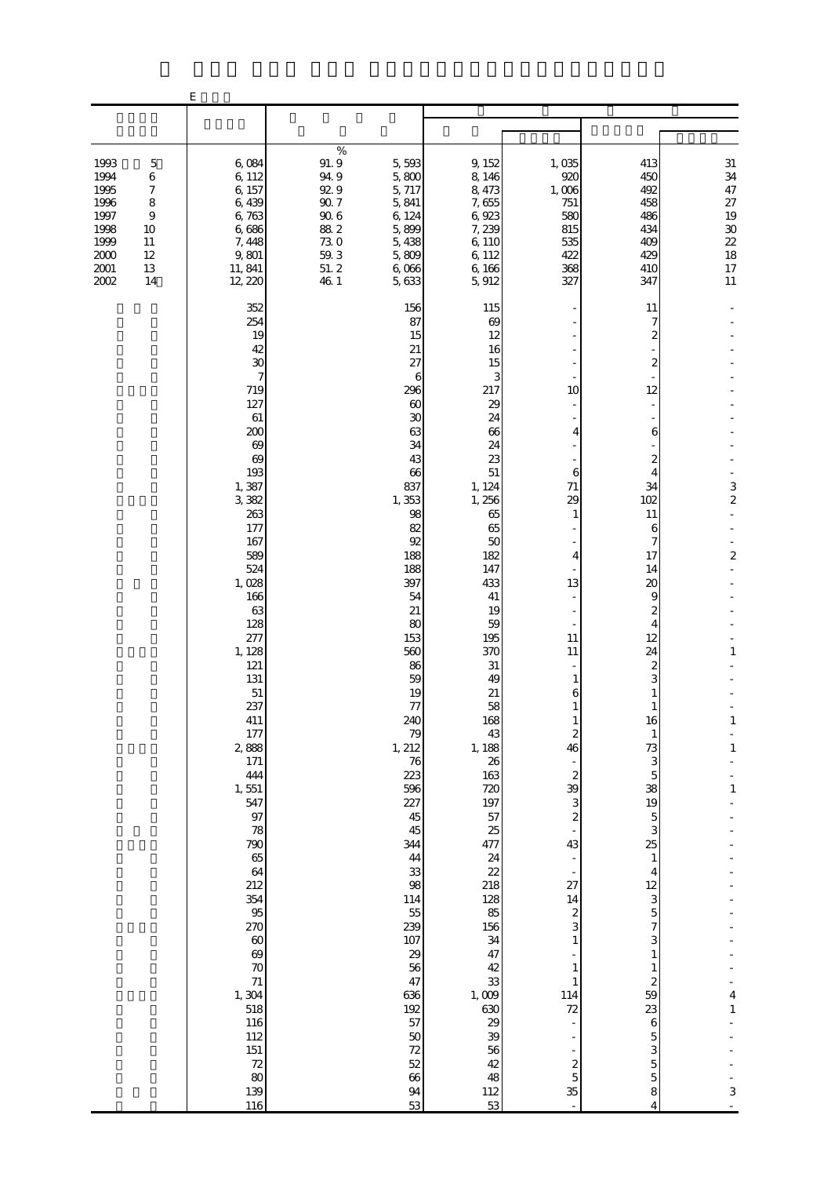|                                                                                  |                                                                                | $\mathbf E$                                                                                                                                                                                                                                                                                                                                                                                                                                          |                                                                                             |                                                                                                                                                                                                                                                                                                                                                                                                              |                                                                                                                                                                                                                                                                                                                                                                                                     |                                                                                                                                                                                                                                                                                                                                                                               |                                                                                                                                                                                                                                                                                                                                                                                                          |                                                                                                                           |
|----------------------------------------------------------------------------------|--------------------------------------------------------------------------------|------------------------------------------------------------------------------------------------------------------------------------------------------------------------------------------------------------------------------------------------------------------------------------------------------------------------------------------------------------------------------------------------------------------------------------------------------|---------------------------------------------------------------------------------------------|--------------------------------------------------------------------------------------------------------------------------------------------------------------------------------------------------------------------------------------------------------------------------------------------------------------------------------------------------------------------------------------------------------------|-----------------------------------------------------------------------------------------------------------------------------------------------------------------------------------------------------------------------------------------------------------------------------------------------------------------------------------------------------------------------------------------------------|-------------------------------------------------------------------------------------------------------------------------------------------------------------------------------------------------------------------------------------------------------------------------------------------------------------------------------------------------------------------------------|----------------------------------------------------------------------------------------------------------------------------------------------------------------------------------------------------------------------------------------------------------------------------------------------------------------------------------------------------------------------------------------------------------|---------------------------------------------------------------------------------------------------------------------------|
|                                                                                  |                                                                                |                                                                                                                                                                                                                                                                                                                                                                                                                                                      |                                                                                             |                                                                                                                                                                                                                                                                                                                                                                                                              |                                                                                                                                                                                                                                                                                                                                                                                                     |                                                                                                                                                                                                                                                                                                                                                                               |                                                                                                                                                                                                                                                                                                                                                                                                          |                                                                                                                           |
| 1993<br>1994<br>1995<br>1996<br>1997<br>1998<br>1999<br>2000<br>$2001\,$<br>2002 | $\mathbf 5$<br>$\,6$<br>7<br>8<br>$\overline{9}$<br>10<br>11<br>12<br>13<br>14 | 6,084<br>6,112<br>6, 157<br>6,439<br>6,763<br>6,686<br>7, 448<br>9,801<br>11, 841<br>12, 220                                                                                                                                                                                                                                                                                                                                                         | $\%$<br>91.9<br>94.9<br>92.9<br>$90.7\,$<br>$90\;6$<br>88.2<br>73.0<br>59.3<br>51.2<br>46 1 | 5,593<br>5,800<br>5, 717<br>5,841<br>6, 124<br>5,899<br>5,438<br>5,809<br>6,066<br>5, 633                                                                                                                                                                                                                                                                                                                    | 9, 152<br>8, 146<br>8, 473<br>7,655<br>6,923<br>7, 239<br>6,110<br>6,112<br>6,166<br>5,912                                                                                                                                                                                                                                                                                                          | 1,035<br>920<br>1,006<br>751<br>580<br>815<br>535<br>422<br>368<br>327                                                                                                                                                                                                                                                                                                        | 413<br>450<br>492<br>458<br>486<br>434<br>409<br>429<br>410<br>347                                                                                                                                                                                                                                                                                                                                       | $31\,$<br>34<br>47<br>$27\,$<br>19<br>$30\,$<br>22<br>18<br>17<br>11                                                      |
|                                                                                  |                                                                                | 352<br>254<br>19<br>42<br>30<br>7<br>719<br>127<br>61<br>200<br>69<br>69<br>193<br>1,387<br>3,382<br>263<br>177<br>167<br>589<br>524<br>1,028<br>166<br>63<br>128<br>277<br>1, 128<br>121<br>131<br>51<br>237<br>411<br>177<br>2,888<br>171<br>444<br>1,551<br>547<br>97<br>78<br>790<br>65<br>64<br>212<br>354<br>95<br>270<br>$\boldsymbol{\omega}$<br>$\infty$<br>70<br>$71\,$<br>1,304<br>518<br>116<br>112<br>$151\,$<br>72<br>80<br>139<br>116 |                                                                                             | 156<br>87<br>15<br>21<br>27<br>6<br>296<br>60<br>$30\,$<br>63<br>34<br>43<br>66<br>837<br>1,353<br>98<br>82<br>92<br>188<br>188<br>397<br>54<br>21<br>80<br>153<br>560<br>86<br>59<br>19<br>77<br>240<br>79<br>1,212<br>$76\,$<br>223<br>596<br>227<br>45<br>45<br>344<br>44<br>33<br>98<br>114<br>$5\!$<br>239<br>107<br>29<br>56<br>47<br>636<br>192<br>57<br>$50\,$<br>72<br>$52\,$<br>66<br>$9\!4$<br>53 | 115<br>69<br>12<br>16<br>15<br>3<br>217<br>29<br>24<br>66<br>24<br>23<br>51<br>1, 124<br>1,256<br>65<br>65<br>50<br>182<br>147<br>433<br>41<br>19<br>59<br>195<br>370<br>31<br>49<br>21<br>58<br>168<br>43<br>1, 188<br>26<br>163<br>720<br>197<br>57<br>25<br>477<br>24<br>22<br>218<br>128<br>85<br>156<br>34<br>47<br>42<br>33<br>1,009<br>630<br>29<br>39<br>56<br>42<br>48<br>$\frac{112}{53}$ | 10<br>4<br>6<br>71<br>29<br>1<br>4<br>13<br>$\overline{\phantom{a}}$<br>11<br>11<br>1<br>6<br>$\mathbf{1}$<br>1<br>$\boldsymbol{2}$<br>46<br>$\boldsymbol{2}$<br>39<br>3<br>$\boldsymbol{z}$<br>43<br>$\overline{a}$<br>$\overline{\phantom{a}}$<br>27<br>14<br>$\boldsymbol{z}$<br>3<br>$\mathbf{1}$<br>$\mathbf{1}$<br>$\mathbf{1}$<br>114<br>72<br>÷,<br>$rac{2}{5}$<br>35 | 11<br>7<br>2<br>2<br>12<br>6<br>2<br>4<br>34<br>102<br>11<br>6<br>7<br>17<br>14<br>20<br>9<br>2<br>4<br>12<br>24<br>2<br>3<br>1<br>16<br>$\mathbf{1}$<br>73<br>3<br>$\mathbf 5$<br>38<br>19<br>5<br>3<br>25<br>$\mathbf{1}$<br>$\overline{4}$<br>$12\,$<br>3<br>$\overline{5}$<br>7<br>3<br>$\mathbf{1}$<br>$\mathbf{1}$<br>$\boldsymbol{z}$<br>59<br>23<br>6<br>5<br>3<br>$\overline{5}$<br>5<br>8<br>4 | $\frac{3}{2}$<br>$\overline{\mathcal{L}}$<br>$\mathbf{1}$<br>$\mathbf{1}$<br>$\mathbf{1}$<br>$\,1\,$<br>4<br>$\,1\,$<br>3 |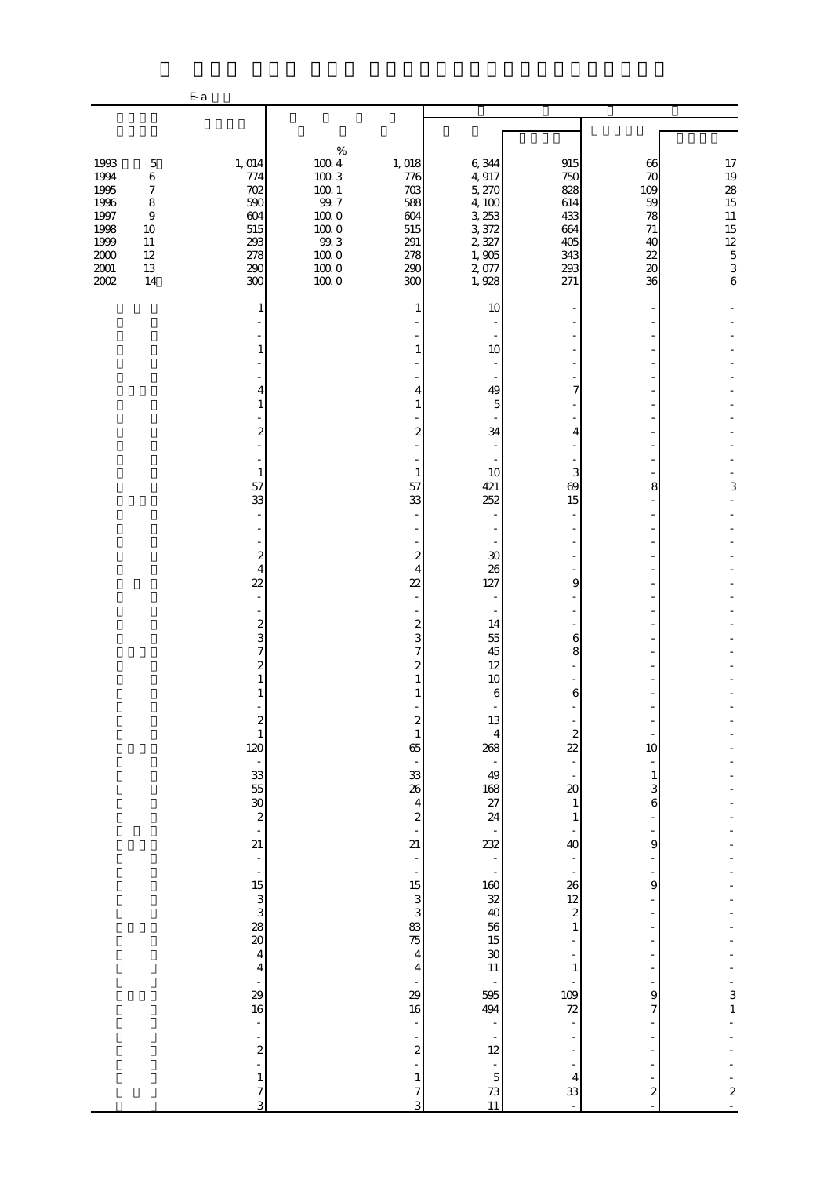|                                                                                                                                                                                                       | $E-a$                                                                                                                                                                                                                                                                |                                                                                                                         |                                                                                                                                                                |                                                                                                                                                       |                                                                            |                                                                            |                                  |
|-------------------------------------------------------------------------------------------------------------------------------------------------------------------------------------------------------|----------------------------------------------------------------------------------------------------------------------------------------------------------------------------------------------------------------------------------------------------------------------|-------------------------------------------------------------------------------------------------------------------------|----------------------------------------------------------------------------------------------------------------------------------------------------------------|-------------------------------------------------------------------------------------------------------------------------------------------------------|----------------------------------------------------------------------------|----------------------------------------------------------------------------|----------------------------------|
|                                                                                                                                                                                                       |                                                                                                                                                                                                                                                                      |                                                                                                                         |                                                                                                                                                                |                                                                                                                                                       |                                                                            |                                                                            |                                  |
| 1993<br>$\mathbf 5$<br>1994<br>$\,6$<br>1995<br>$\boldsymbol{7}$<br>1996<br>$\,8\,$<br>1997<br>$\boldsymbol{9}$<br>1998<br>10<br>1999<br>11<br>$2000\,$<br>$12\,$<br>$2001\,$<br>$13\,$<br>2002<br>14 | 1, 014<br>774<br>702<br>590<br>604<br>515<br>293<br>278<br>290<br>300                                                                                                                                                                                                | $\%$<br>$100\ 4$<br>$100\ 3$<br>$100\,$ $1$<br>99.7<br>$100\;0$<br>$100\;0$<br>$99.3\,$<br>$100\;0$<br>$100\;0$<br>1000 | 1, 018<br>776<br>$703$<br>588<br>604<br>515<br>291<br>278<br>290<br>300                                                                                        | 6,344<br>4,917<br>5, 270<br>4,100<br>3, 253<br>3,372<br>2,327<br>1,905<br>2,077<br>1,928                                                              | 915<br>750<br>828<br>614<br>433<br>664<br>405<br>343<br>293<br>271         | 66<br>70<br>109<br>59<br>78<br>71<br>40<br>22<br>$\boldsymbol{\chi}$<br>36 | $17$ 19 28 15 11 15 12 5 3 6     |
|                                                                                                                                                                                                       | 1<br>4<br>1<br>2<br>1<br>57<br>33                                                                                                                                                                                                                                    |                                                                                                                         | 1<br>1<br>4<br>1<br>$\overline{c}$<br>$\mathbf{1}$<br>57<br>33                                                                                                 | 10<br>10<br>49<br>5<br>34<br>10<br>421<br>252                                                                                                         | 7<br>4<br>3<br>69<br>15                                                    | 8                                                                          | 3                                |
|                                                                                                                                                                                                       | $\boldsymbol{z}$<br>$\overline{4}$<br>22<br>$\boldsymbol{z}$<br>3<br>7<br>2<br>1                                                                                                                                                                                     |                                                                                                                         | 2<br>4<br>$\overline{2}$<br>$\mathbf{z}$<br>3<br>7<br>$\overline{c}$<br>1<br>1<br>2                                                                            | 30<br>26<br>127<br>14<br>55<br>45<br>12<br>10<br>6<br>13                                                                                              | 9<br>6<br>8<br>6                                                           |                                                                            |                                  |
|                                                                                                                                                                                                       | $\begin{smallmatrix} 2\\1 \end{smallmatrix}$<br>120<br>$\overline{\phantom{a}}$<br>$\begin{array}{c} 33 \\ 55 \end{array}$<br>$\overline{30}$<br>$\overline{\mathcal{L}}$<br>÷,<br>21<br>$\frac{1}{\sqrt{2}}$<br>$\overline{\phantom{a}}$<br>$15\,$<br>$\frac{3}{3}$ |                                                                                                                         | $\mathbf{1}$<br>65<br>33<br>26<br>$\overline{4}$<br>$\boldsymbol{z}$<br>$\overline{\phantom{a}}$<br>21<br>$\frac{1}{2}$<br>$\overline{\phantom{m}}$<br>15<br>3 | 4<br>268<br>49<br>168<br>27<br>24<br>232<br>$\frac{1}{2}$<br>$160\,$<br>32                                                                            | $\boldsymbol{z}$<br>$\overline{2}$<br>$\infty$<br>1<br>1<br>40<br>26<br>12 | 10<br>1<br>3<br>6<br>9<br>$\overline{9}$                                   |                                  |
|                                                                                                                                                                                                       | $\frac{28}{20}$<br>$\bf 4$<br>$\overline{\mathbf{4}}$<br>$\overline{\phantom{a}}$<br>29<br>16<br>$\bar{\phantom{a}}$<br>$\overline{\mathcal{Z}}$<br>÷,<br>$\mathbf{1}$<br>7                                                                                          |                                                                                                                         | 3<br>83<br>75<br>$\overline{4}$<br>$\overline{4}$<br>$\overline{a}$<br>29<br>$16\,$<br>÷,<br>$\boldsymbol{2}$<br>1<br>7                                        | 40<br>56<br>15<br>$\boldsymbol{\mathcal{X}}$<br>$11\,$<br>$\overline{\phantom{a}}$<br>595<br>494<br>÷<br>12<br>$\frac{1}{2}$<br>$\mathbf 5$<br>$73\,$ | $\overline{\mathcal{L}}$<br>1<br>1<br>109<br>72<br>4<br>33                 | 9<br>7<br>$\boldsymbol{z}$                                                 | 3<br>$\,1\,$<br>$\boldsymbol{2}$ |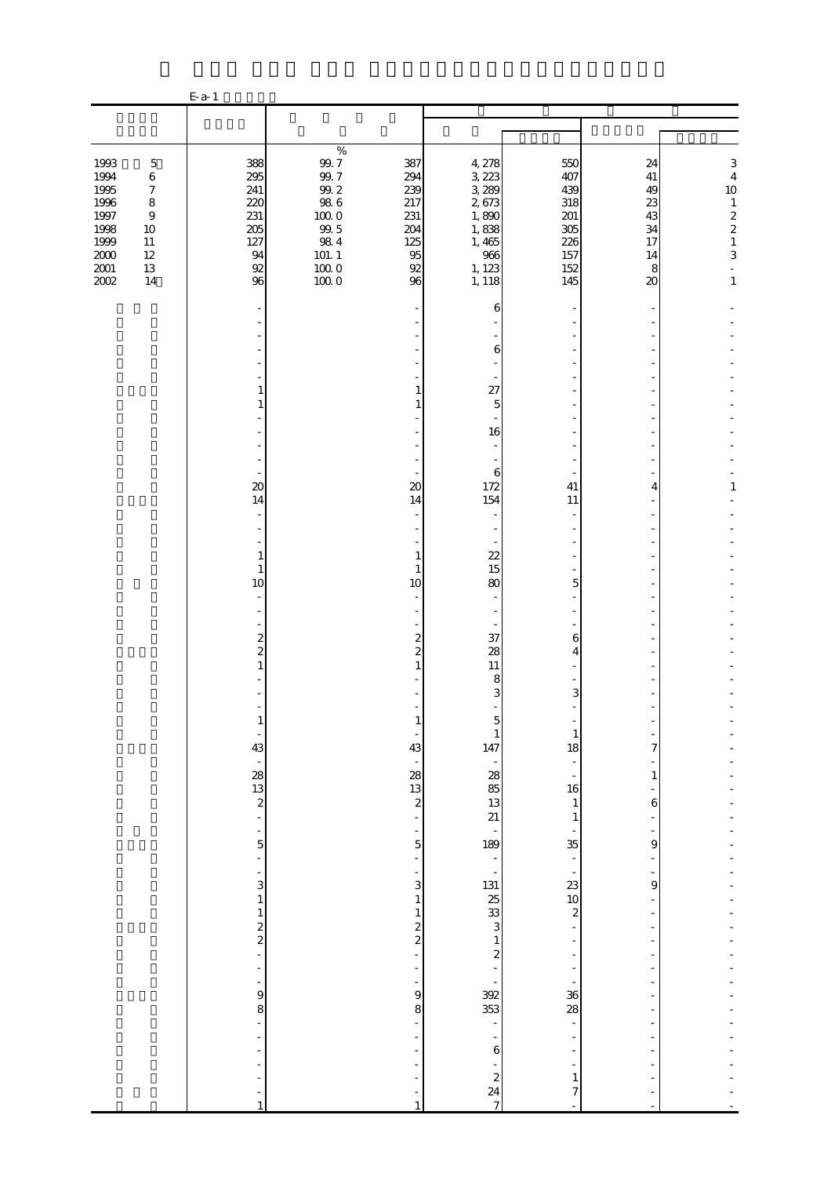|                                                                                      |                                                                                                                   | $E-a-1$                                                             |                                                                                                                     |                                                                     |                                                                                          |                                                                        |                                                             |                                                                                                                                 |
|--------------------------------------------------------------------------------------|-------------------------------------------------------------------------------------------------------------------|---------------------------------------------------------------------|---------------------------------------------------------------------------------------------------------------------|---------------------------------------------------------------------|------------------------------------------------------------------------------------------|------------------------------------------------------------------------|-------------------------------------------------------------|---------------------------------------------------------------------------------------------------------------------------------|
|                                                                                      |                                                                                                                   |                                                                     |                                                                                                                     |                                                                     |                                                                                          |                                                                        |                                                             |                                                                                                                                 |
|                                                                                      |                                                                                                                   |                                                                     |                                                                                                                     |                                                                     |                                                                                          |                                                                        |                                                             |                                                                                                                                 |
| 1993<br>1994<br>1995<br>1996<br>1997<br>1998<br>1999<br>$2000\,$<br>$2001\,$<br>2002 | $\mathbf 5$<br>$\,6$<br>$\boldsymbol{7}$<br>$\,8\,$<br>$\boldsymbol{9}$<br>$10\,$<br>$11\,$<br>$12\,$<br>13<br>14 | 388<br>295<br>241<br>220<br>231<br>205<br>127<br>94<br>$92\,$<br>96 | $\%$<br>$9\!.7$<br>99.7<br>$99.2\,$<br>$98\ 6$<br>$100\;0$<br>$99\,5$<br>$98\ 4$<br>$101. \; 1$<br>$100\;0$<br>1000 | 387<br>294<br>239<br>217<br>231<br>204<br>125<br>95<br>$92\,$<br>96 | 4, 278<br>3, 223<br>3,289<br>2,673<br>1,890<br>1,838<br>1,465<br>966<br>1, 123<br>1, 118 | 550<br>407<br>439<br>318<br>$201\,$<br>305<br>226<br>157<br>152<br>145 | 24<br>$41\,$<br>49<br>23<br>43<br>34<br>17<br>14<br>8<br>20 | $\,$ 3 $\,$<br>$\overline{4}$<br>$10$<br>$\begin{array}{c} 1 \\ 2 \\ 2 \\ 1 \\ 3 \end{array}$<br>$\overline{a}$<br>$\mathbf{1}$ |
|                                                                                      |                                                                                                                   |                                                                     |                                                                                                                     |                                                                     | 6                                                                                        |                                                                        |                                                             |                                                                                                                                 |
|                                                                                      |                                                                                                                   |                                                                     |                                                                                                                     |                                                                     | 6                                                                                        |                                                                        |                                                             |                                                                                                                                 |
|                                                                                      |                                                                                                                   | 1                                                                   |                                                                                                                     | 1                                                                   | 27                                                                                       |                                                                        |                                                             |                                                                                                                                 |
|                                                                                      |                                                                                                                   | 1                                                                   |                                                                                                                     | 1                                                                   | 5                                                                                        |                                                                        |                                                             |                                                                                                                                 |
|                                                                                      |                                                                                                                   |                                                                     |                                                                                                                     |                                                                     | 16<br>$\overline{\phantom{a}}$                                                           |                                                                        |                                                             |                                                                                                                                 |
|                                                                                      |                                                                                                                   | $\overline{\phantom{a}}$<br>$\infty$<br>14                          |                                                                                                                     | $\boldsymbol{\chi}$<br>14                                           | 6<br>172<br>154                                                                          | 41<br>11                                                               | 4                                                           | 1                                                                                                                               |
|                                                                                      |                                                                                                                   |                                                                     |                                                                                                                     |                                                                     |                                                                                          |                                                                        |                                                             |                                                                                                                                 |
|                                                                                      |                                                                                                                   | $\mathbf{1}$<br>$\mathbf{1}$                                        |                                                                                                                     | 1<br>$\mathbf{1}$                                                   | 22<br>15                                                                                 |                                                                        |                                                             |                                                                                                                                 |
|                                                                                      |                                                                                                                   | 10<br>$\sim$                                                        |                                                                                                                     | 10                                                                  | 80                                                                                       | 5                                                                      |                                                             |                                                                                                                                 |
|                                                                                      |                                                                                                                   |                                                                     |                                                                                                                     |                                                                     |                                                                                          |                                                                        |                                                             |                                                                                                                                 |
|                                                                                      |                                                                                                                   | $\boldsymbol{z}$<br>$\overline{\mathbf{c}}$                         |                                                                                                                     | $\boldsymbol{z}$<br>$\overline{2}$                                  | 37<br>28                                                                                 | 6<br>4                                                                 |                                                             |                                                                                                                                 |
|                                                                                      |                                                                                                                   | 1                                                                   |                                                                                                                     | $\mathbf{1}$                                                        | 11<br>8                                                                                  |                                                                        |                                                             |                                                                                                                                 |
|                                                                                      |                                                                                                                   |                                                                     |                                                                                                                     |                                                                     | 3                                                                                        | 3                                                                      |                                                             |                                                                                                                                 |
|                                                                                      |                                                                                                                   |                                                                     |                                                                                                                     |                                                                     | 1                                                                                        | $\mathbf{1}$                                                           |                                                             |                                                                                                                                 |
|                                                                                      |                                                                                                                   | 43                                                                  |                                                                                                                     | 43                                                                  | 147<br>$\overline{\phantom{a}}$                                                          | 18                                                                     | 7                                                           |                                                                                                                                 |
|                                                                                      |                                                                                                                   | $\blacksquare$<br>28                                                |                                                                                                                     | 28                                                                  | 28                                                                                       |                                                                        | $\mathbf{1}$                                                |                                                                                                                                 |
|                                                                                      |                                                                                                                   | 13<br>$\overline{\mathcal{L}}$                                      |                                                                                                                     | 13<br>$\overline{\mathcal{L}}$                                      | 85<br>13                                                                                 | 16<br>$\mathbf{1}$                                                     | $\,$ 6 $\,$                                                 |                                                                                                                                 |
|                                                                                      |                                                                                                                   | L                                                                   |                                                                                                                     |                                                                     | 21                                                                                       | 1                                                                      |                                                             |                                                                                                                                 |
|                                                                                      |                                                                                                                   | 5                                                                   |                                                                                                                     | 5<br>÷,                                                             | 189<br>$\overline{\phantom{0}}$                                                          | 35                                                                     | 9                                                           |                                                                                                                                 |
|                                                                                      |                                                                                                                   | ÷                                                                   |                                                                                                                     | ÷                                                                   | $\frac{1}{2}$                                                                            | $\overline{\phantom{a}}$                                               |                                                             |                                                                                                                                 |
|                                                                                      |                                                                                                                   | 3<br>$\mathbf{1}$                                                   |                                                                                                                     | 3<br>1                                                              | 131<br>25<br>33                                                                          | 23<br>10                                                               | 9                                                           |                                                                                                                                 |
|                                                                                      |                                                                                                                   | $\mathbf{1}$                                                        |                                                                                                                     | $\mathbf{1}$<br>$\overline{\mathbf{c}}$                             | 3                                                                                        | $\overline{\mathcal{L}}$                                               |                                                             |                                                                                                                                 |
|                                                                                      |                                                                                                                   | $\frac{2}{2}$                                                       |                                                                                                                     | $\overline{\mathcal{L}}$                                            | $\mathbf{1}$                                                                             |                                                                        |                                                             |                                                                                                                                 |
|                                                                                      |                                                                                                                   | L,<br>$\overline{a}$                                                |                                                                                                                     |                                                                     | $\overline{\mathcal{L}}$<br>$\blacksquare$                                               |                                                                        | $\overline{\phantom{a}}$                                    |                                                                                                                                 |
|                                                                                      |                                                                                                                   | ÷<br>9                                                              |                                                                                                                     | 9                                                                   | 392                                                                                      | 36                                                                     |                                                             |                                                                                                                                 |
|                                                                                      |                                                                                                                   | 8<br>L,                                                             |                                                                                                                     | 8                                                                   | 353<br>L,                                                                                | 28                                                                     | ٠                                                           |                                                                                                                                 |
|                                                                                      |                                                                                                                   |                                                                     |                                                                                                                     |                                                                     |                                                                                          |                                                                        |                                                             |                                                                                                                                 |
|                                                                                      |                                                                                                                   |                                                                     |                                                                                                                     |                                                                     | 6                                                                                        |                                                                        |                                                             |                                                                                                                                 |
|                                                                                      |                                                                                                                   |                                                                     |                                                                                                                     |                                                                     | $\boldsymbol{z}$<br>24                                                                   | $\mathbf{1}$<br>7                                                      |                                                             |                                                                                                                                 |
|                                                                                      |                                                                                                                   | $\mathbf{1}$                                                        |                                                                                                                     | $\mathbf{1}$                                                        | $\overline{7}$                                                                           |                                                                        |                                                             |                                                                                                                                 |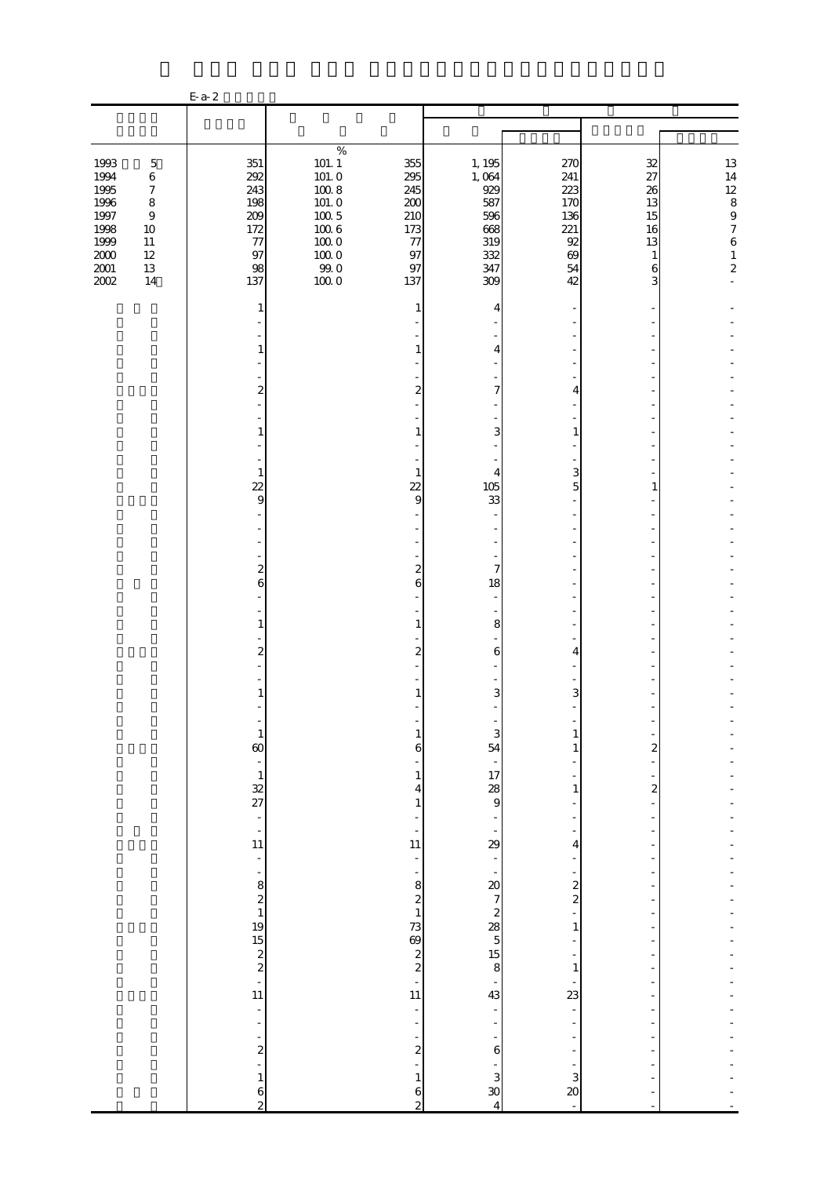|                                                                                      |                                                                                                            | $E-a-2$                                                             |                                                                                                                 |                                                                       |                                                                         |                                                                |                                                       |                                                                                                                 |
|--------------------------------------------------------------------------------------|------------------------------------------------------------------------------------------------------------|---------------------------------------------------------------------|-----------------------------------------------------------------------------------------------------------------|-----------------------------------------------------------------------|-------------------------------------------------------------------------|----------------------------------------------------------------|-------------------------------------------------------|-----------------------------------------------------------------------------------------------------------------|
|                                                                                      |                                                                                                            |                                                                     |                                                                                                                 |                                                                       |                                                                         |                                                                |                                                       |                                                                                                                 |
|                                                                                      |                                                                                                            |                                                                     |                                                                                                                 |                                                                       |                                                                         |                                                                |                                                       |                                                                                                                 |
| 1993<br>1994<br>1995<br>1996<br>1997<br>1998<br>1999<br>$2000\,$<br>$2001\,$<br>2002 | $\mathbf 5$<br>$\,6$<br>$\boldsymbol{7}$<br>$\,8\,$<br>$\,9$<br>$10\,$<br>$11\,$<br>$12\,$<br>$13\,$<br>14 | 351<br>292<br>243<br>198<br>209<br>172<br>$77\,$<br>97<br>98<br>137 | $\%$<br>$101.\;1$<br>101.0<br>$100\ 8$<br>101.0<br>$100\ 5$<br>$1006$<br>$100\;0$<br>$100\;0$<br>$99.0$<br>1000 | 355<br>295<br>245<br>200<br>210<br>173<br>77<br>97<br>97<br>137       | 1, 195<br>1,064<br>929<br>587<br>596<br>668<br>319<br>332<br>347<br>309 | 270<br>241<br>223<br>170<br>136<br>221<br>92<br>69<br>54<br>42 | 32<br>27<br>26<br>13<br>15<br>16<br>13<br>1<br>6<br>3 | $\begin{array}{c} 13 \\ 14 \\ 12 \\ 8 \\ 9 \\ 7 \end{array}$<br>$\boldsymbol{6}$<br>$\,1\,$<br>$\boldsymbol{z}$ |
|                                                                                      |                                                                                                            | 1                                                                   |                                                                                                                 | 1                                                                     | 4                                                                       |                                                                |                                                       |                                                                                                                 |
|                                                                                      |                                                                                                            | 1                                                                   |                                                                                                                 |                                                                       | 4                                                                       |                                                                |                                                       |                                                                                                                 |
|                                                                                      |                                                                                                            | $\overline{\mathbf{c}}$                                             |                                                                                                                 | 2                                                                     | $\overline{7}$                                                          | 4                                                              |                                                       |                                                                                                                 |
|                                                                                      |                                                                                                            | 1                                                                   |                                                                                                                 |                                                                       | 3                                                                       | 1                                                              |                                                       |                                                                                                                 |
|                                                                                      |                                                                                                            | $\mathbf{1}$<br>$\overline{22}$                                     |                                                                                                                 | $\mathbf{1}$<br>$\overline{22}$                                       | 4<br>105                                                                | 3<br>5                                                         | 1                                                     |                                                                                                                 |
|                                                                                      |                                                                                                            | 9                                                                   |                                                                                                                 | 9                                                                     | 33                                                                      |                                                                |                                                       |                                                                                                                 |
|                                                                                      |                                                                                                            | $\overline{\mathcal{L}}$                                            |                                                                                                                 | $\boldsymbol{z}$                                                      | $\overline{7}$                                                          |                                                                |                                                       |                                                                                                                 |
|                                                                                      |                                                                                                            | 6                                                                   |                                                                                                                 | 6                                                                     | 18<br>$\sim$                                                            |                                                                |                                                       |                                                                                                                 |
|                                                                                      |                                                                                                            | 1<br>$\overline{2}$                                                 |                                                                                                                 | 1<br>2                                                                | 8<br>6                                                                  | 4                                                              |                                                       |                                                                                                                 |
|                                                                                      |                                                                                                            | 1                                                                   |                                                                                                                 |                                                                       | 3                                                                       | 3                                                              |                                                       |                                                                                                                 |
|                                                                                      |                                                                                                            | $\frac{1}{60}$                                                      |                                                                                                                 | $\mathbf{1}$                                                          | 3                                                                       | $\mathbf{1}$                                                   | ÷                                                     |                                                                                                                 |
|                                                                                      |                                                                                                            | $\frac{1}{32}$<br>27                                                |                                                                                                                 | 6<br>$\mathbf{1}$                                                     | 54<br>$\frac{17}{28}$                                                   | 1                                                              | $\overline{\mathbf{c}}$                               |                                                                                                                 |
|                                                                                      |                                                                                                            | $\frac{1}{2}$                                                       |                                                                                                                 | 4<br>$\mathbf{1}$                                                     | $\overline{a}$                                                          | $\mathbf{1}$<br>$\overline{\phantom{a}}$                       | $\boldsymbol{z}$<br>$\overline{\phantom{a}}$          |                                                                                                                 |
|                                                                                      |                                                                                                            | 11<br>$\overline{\phantom{a}}$                                      |                                                                                                                 | 11<br>$\overline{\phantom{a}}$                                        | $\overline{a}$<br>29<br>$\frac{1}{\sqrt{2}}$                            | 4<br>$\overline{\phantom{0}}$                                  | ٠<br>÷                                                |                                                                                                                 |
|                                                                                      |                                                                                                            | $\overline{\phantom{a}}$                                            |                                                                                                                 | $\overline{\phantom{0}}$<br>8                                         |                                                                         | $\overline{a}$<br>$\boldsymbol{z}$<br>$\overline{\mathcal{L}}$ |                                                       |                                                                                                                 |
|                                                                                      |                                                                                                            |                                                                     |                                                                                                                 |                                                                       |                                                                         | ÷,<br>$\mathbf{1}$<br>÷                                        |                                                       |                                                                                                                 |
|                                                                                      |                                                                                                            | 8<br>2<br>2<br>3<br>2<br>3<br>3<br>2<br>3<br>2<br>3<br>2<br>3       |                                                                                                                 | $\begin{array}{c}\n2 \\ 2 \\ 3\n\end{array}$                          | $\frac{1}{43}$                                                          | $\overline{a}$<br>$\mathbf{1}$<br>$\frac{1}{23}$               |                                                       |                                                                                                                 |
|                                                                                      |                                                                                                            | $\blacksquare$<br>$\frac{1}{2}$                                     |                                                                                                                 | $\overline{\phantom{a}}$                                              | $\overline{\phantom{a}}$                                                | ÷                                                              | $\overline{\phantom{a}}$                              |                                                                                                                 |
|                                                                                      |                                                                                                            | $\frac{1}{2}$<br>÷,                                                 |                                                                                                                 | $\overline{\phantom{0}}$<br>$\overline{\mathcal{L}}$<br>$\frac{1}{2}$ | -<br>$\,$ 6 $\,$                                                        | ÷,<br>$\overline{\phantom{a}}$                                 |                                                       |                                                                                                                 |
|                                                                                      |                                                                                                            | $\,1\,$<br>$\frac{6}{2}$                                            |                                                                                                                 | $\mathbf{1}$<br>$\boldsymbol{6}$<br>$\overline{\mathcal{L}}$          | $\begin{array}{c} 3 \\ 30 \end{array}$<br>$\overline{4}$                | 3<br>$\infty$<br>$\Box$                                        | $\overline{a}$<br>L,                                  |                                                                                                                 |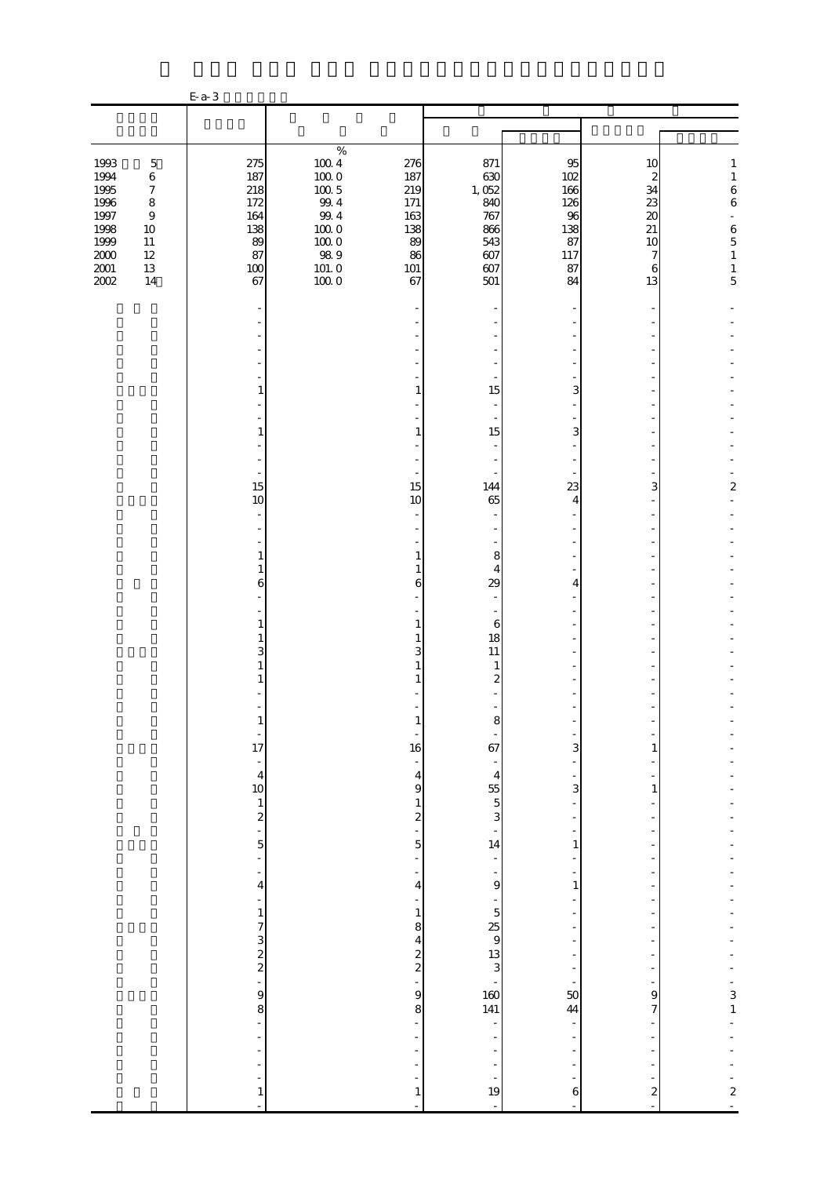|                                                                                      |                                                                                                                       | E- a- 3                                                         |                                                                                                                   |                                                                     |                                                                        |                                                               |                                                                            |                                                                                                                                            |
|--------------------------------------------------------------------------------------|-----------------------------------------------------------------------------------------------------------------------|-----------------------------------------------------------------|-------------------------------------------------------------------------------------------------------------------|---------------------------------------------------------------------|------------------------------------------------------------------------|---------------------------------------------------------------|----------------------------------------------------------------------------|--------------------------------------------------------------------------------------------------------------------------------------------|
|                                                                                      |                                                                                                                       |                                                                 |                                                                                                                   |                                                                     |                                                                        |                                                               |                                                                            |                                                                                                                                            |
|                                                                                      |                                                                                                                       |                                                                 |                                                                                                                   |                                                                     |                                                                        |                                                               |                                                                            |                                                                                                                                            |
| 1993<br>1994<br>1995<br>1996<br>1997<br>1998<br>1999<br>$2000\,$<br>$2001\,$<br>2002 | $\mathbf 5$<br>$\,6$<br>$\boldsymbol{7}$<br>$\,8\,$<br>$\boldsymbol{9}$<br>$10\,$<br>$11\,$<br>$12\,$<br>$13\,$<br>14 | 275<br>187<br>218<br>172<br>164<br>138<br>89<br>87<br>100<br>67 | $\%$<br>$100\ 4$<br>$100\,0$<br>$100\ 5$<br>$99.4\,$<br>$99\,4$<br>$100\;0$<br>$100\;0$<br>989<br>101.0<br>$1000$ | 276<br>187<br>219<br>171<br>163<br>138<br>89<br>86<br>$101\,$<br>67 | 871<br>630<br>1,052<br>840<br>767<br>866<br>543<br>607<br>$607$<br>501 | 95<br>102<br>166<br>126<br>96<br>138<br>87<br>117<br>87<br>84 | 10<br>$\boldsymbol{z}$<br>34<br>23<br>$\infty$<br>21<br>10<br>7<br>6<br>13 | 1<br>$\,1\,$<br>$\begin{array}{c} 6 \\ 6 \end{array}$<br>$\blacksquare$<br>$\begin{array}{c} 6 \\ 5 \end{array}$<br>$\,1$<br>$\frac{1}{5}$ |
|                                                                                      |                                                                                                                       |                                                                 |                                                                                                                   |                                                                     |                                                                        |                                                               |                                                                            |                                                                                                                                            |
|                                                                                      |                                                                                                                       | 1<br>1<br>$\sim$                                                |                                                                                                                   | $\mathbf{1}$<br>1                                                   | 15<br>$\overline{\phantom{a}}$<br>15<br>$\overline{\phantom{a}}$       | 3<br>3                                                        |                                                                            |                                                                                                                                            |
|                                                                                      |                                                                                                                       | 15<br>10                                                        |                                                                                                                   | 15<br>10                                                            | 144<br>65                                                              | 23<br>4                                                       | 3                                                                          | 2                                                                                                                                          |
|                                                                                      |                                                                                                                       | 1<br>$\mathbf{1}$<br>6<br>1                                     |                                                                                                                   | 1<br>1<br>6<br>1                                                    | 8<br>$\overline{4}$<br>29<br>6                                         | 4                                                             |                                                                            |                                                                                                                                            |
|                                                                                      |                                                                                                                       | 1<br>3                                                          |                                                                                                                   | 1<br>3<br>1                                                         | 18<br>11<br>$\mathbf{1}$<br>$\boldsymbol{z}$                           |                                                               |                                                                            |                                                                                                                                            |
|                                                                                      |                                                                                                                       | $\frac{1}{17}$<br>÷,<br>$\begin{array}{c} 4 \\ 10 \end{array}$  |                                                                                                                   | 16<br>$\overline{\mathbf{4}}$                                       | ୪<br>67<br>$\overline{4}$                                              | 3                                                             | 1                                                                          |                                                                                                                                            |
|                                                                                      |                                                                                                                       | $\frac{1}{2}$<br>5<br>$\overline{\phantom{a}}$                  |                                                                                                                   | $\Theta$<br>$\mathbf{1}$<br>$\boldsymbol{2}$<br>5                   | $\frac{55}{5}$<br>3<br>14                                              | 3<br>1                                                        | 1                                                                          |                                                                                                                                            |
|                                                                                      |                                                                                                                       | $\frac{1}{2}$<br>$\overline{4}$<br>$\mathbf{1}$<br>7            |                                                                                                                   | $\overline{4}$<br>$\mathbf{1}$<br>8                                 | $\mathbf{9}$<br>$\overline{5}$<br>$\frac{25}{9}$                       | $\mathbf{1}$                                                  |                                                                            |                                                                                                                                            |
|                                                                                      |                                                                                                                       | $\frac{3}{2}$<br>$\overline{a}$<br>9<br>8                       |                                                                                                                   | 4<br>$\boldsymbol{z}$<br>$\overline{\mathcal{L}}$<br>9<br>8         | $\frac{13}{3}$<br>160<br>141                                           | 50<br>44                                                      | 9<br>7                                                                     | $\frac{3}{1}$                                                                                                                              |
|                                                                                      |                                                                                                                       |                                                                 |                                                                                                                   |                                                                     | -<br>$\frac{1}{19}$                                                    |                                                               |                                                                            |                                                                                                                                            |
|                                                                                      |                                                                                                                       | $\mathbf{1}$<br>L                                               |                                                                                                                   | $\mathbf{1}$                                                        |                                                                        | 6                                                             | $\boldsymbol{z}$                                                           | $\frac{2}{1}$                                                                                                                              |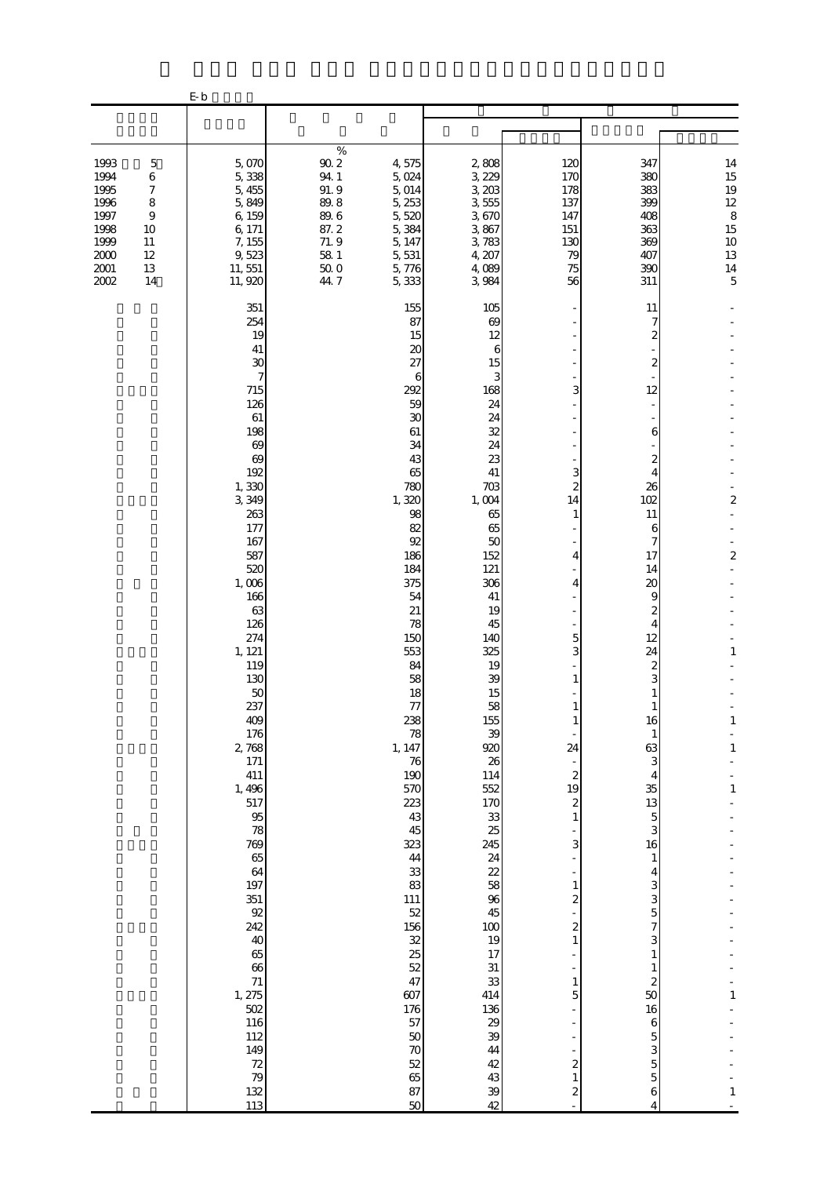|                                                                                                                                                                | $\mathbf{E}\cdot\mathbf{b}$                                                                                                                                                                                                                                                                                                                                                                                                 |                                                                                                |                                                                                                                                                                                                                                                                                                                                                                                                                            |                                                                                                                                                                                                                                                                                                                                                                                         |                                                                                                                                                                                                                                                                                                                                                 |                                                                                                                                                                                                                                                                                                                                                                                                                                                                 |                                                                                                                             |
|----------------------------------------------------------------------------------------------------------------------------------------------------------------|-----------------------------------------------------------------------------------------------------------------------------------------------------------------------------------------------------------------------------------------------------------------------------------------------------------------------------------------------------------------------------------------------------------------------------|------------------------------------------------------------------------------------------------|----------------------------------------------------------------------------------------------------------------------------------------------------------------------------------------------------------------------------------------------------------------------------------------------------------------------------------------------------------------------------------------------------------------------------|-----------------------------------------------------------------------------------------------------------------------------------------------------------------------------------------------------------------------------------------------------------------------------------------------------------------------------------------------------------------------------------------|-------------------------------------------------------------------------------------------------------------------------------------------------------------------------------------------------------------------------------------------------------------------------------------------------------------------------------------------------|-----------------------------------------------------------------------------------------------------------------------------------------------------------------------------------------------------------------------------------------------------------------------------------------------------------------------------------------------------------------------------------------------------------------------------------------------------------------|-----------------------------------------------------------------------------------------------------------------------------|
|                                                                                                                                                                |                                                                                                                                                                                                                                                                                                                                                                                                                             |                                                                                                |                                                                                                                                                                                                                                                                                                                                                                                                                            |                                                                                                                                                                                                                                                                                                                                                                                         |                                                                                                                                                                                                                                                                                                                                                 |                                                                                                                                                                                                                                                                                                                                                                                                                                                                 |                                                                                                                             |
| 1993<br>$\mathbf 5$<br>1994<br>6<br>1995<br>7<br>1996<br>8<br>1997<br>$\overline{9}$<br>1998<br>10<br>1999<br>11<br>2000<br>12<br>$2001\,$<br>13<br>2002<br>14 | 5,070<br>5,338<br>5,455<br>5,849<br>6,159<br>6, 171<br>7, 155<br>9,523<br>11, 551<br>11, 920                                                                                                                                                                                                                                                                                                                                | $\%$<br>$90\,2$<br>94.1<br>91.9<br>89.8<br>$89.6\,$<br>87.2<br>71.9<br>58 1<br>$50\;0$<br>44.7 | 4,575<br>5,024<br>5,014<br>5, 253<br>5,520<br>5,384<br>5, 147<br>5, 531<br>5,776<br>5,333                                                                                                                                                                                                                                                                                                                                  | 2,808<br>3, 229<br>3, 203<br>3,555<br>3,670<br>3,867<br>3,783<br>4, 207<br>4,089<br>3,984                                                                                                                                                                                                                                                                                               | 120<br>170<br>178<br>137<br>147<br>151<br>130<br>79<br>75<br>56                                                                                                                                                                                                                                                                                 | 347<br>380<br>383<br>399<br>408<br>363<br>369<br>407<br>390<br>311                                                                                                                                                                                                                                                                                                                                                                                              | $\begin{array}{c} 14 \\ 15 \\ 19 \end{array}$<br>$\begin{array}{c} 12 \\ 8 \end{array}$<br>15<br>10<br>13<br>$\frac{14}{5}$ |
|                                                                                                                                                                | 351<br>254<br>19<br>41<br>30<br>7<br>715<br>126<br>61<br>198<br>69<br>69<br>192<br>1,330<br>3, 349<br>263<br>177<br>167<br>587<br>520<br>1,006<br>166<br>63<br>126<br>274<br>1, 121<br>119<br>130<br>50<br>237<br>409<br>176<br>2,768<br>171<br>411<br>1,496<br>517<br>$95\,$<br>78<br>769<br>65<br>64<br>197<br>351<br>92<br>242<br>40<br>65<br>66<br>71<br>1, 275<br>502<br>116<br>112<br>149<br>$72$<br>79<br>132<br>113 |                                                                                                | 155<br>87<br>15<br>$\boldsymbol{\chi}$<br>27<br>6<br>292<br>59<br>30<br>61<br>34<br>43<br>65<br>780<br>1,320<br>98<br>82<br>92<br>186<br>184<br>375<br>54<br>21<br>78<br>150<br>553<br>84<br>58<br>18<br>$77\,$<br>238<br>78<br>1, 147<br>76<br>190<br>570<br>223<br>43<br>45<br>323<br>44<br>33<br>83<br>111<br>$52\,$<br>156<br>32<br>25<br>52<br>47<br>607<br>176<br>57<br>$50\,$<br>$70\,$<br>52<br>65<br>87<br>$50\,$ | 105<br>69<br>12<br>6<br>15<br>3<br>168<br>24<br>24<br>32<br>24<br>23<br>41<br>703<br>1,004<br>65<br>65<br>50<br>152<br>121<br>306<br>41<br>19<br>45<br>140<br>325<br>19<br>39<br>15<br>58<br>155<br>39<br>920<br>26<br>114<br>552<br>170<br>33<br>25<br>245<br>24<br>22<br>58<br>96<br>45<br>100<br>19<br>17<br>$31\,$<br>33<br>414<br>136<br>29<br>39<br>44<br>$4\!$<br>43<br>39<br>42 | 3<br>3<br>$\overline{a}$<br>14<br>1<br>4<br>4<br>5<br>3<br>$\mathbf{1}$<br>1<br>24<br>$\overline{\phantom{a}}$<br>$\boldsymbol{2}$<br>19<br>$\mathbf{z}$<br>$\mathbf{1}$<br>3<br>$\mathbf{1}$<br>$\overline{\mathcal{Z}}$<br>$\overline{\mathbf{c}}$<br>$\mathbf{1}$<br>1<br>5<br>$\overline{\mathcal{Z}}$<br>$\,1$<br>$\overline{\mathcal{Z}}$ | 11<br>7<br>$\overline{\mathcal{Z}}$<br>$\overline{\mathcal{Z}}$<br>12<br>6<br>$\boldsymbol{z}$<br>4<br>26<br>102<br>11<br>6<br>7<br>17<br>14<br>20<br>9<br>$\boldsymbol{z}$<br>4<br>12<br>24<br>$\boldsymbol{z}$<br>3<br>1<br>$\mathbf{1}$<br>16<br>1<br>63<br>3<br>4<br>35<br>13<br>5<br>3<br>16<br>$\mathbf{1}$<br>4<br>3<br>3<br>5<br>7<br>3<br>$\mathbf{1}$<br>$\mathbf{1}$<br>$\boldsymbol{z}$<br>50<br>16<br>6<br>5<br>3<br>$\overline{5}$<br>5<br>6<br>4 | 2<br>$\boldsymbol{2}$<br>$\mathbf{1}$<br>$\mathbf{1}$<br>$\mathbf{1}$<br>$\mathbf{1}$<br>1<br>$\mathbf{1}$                  |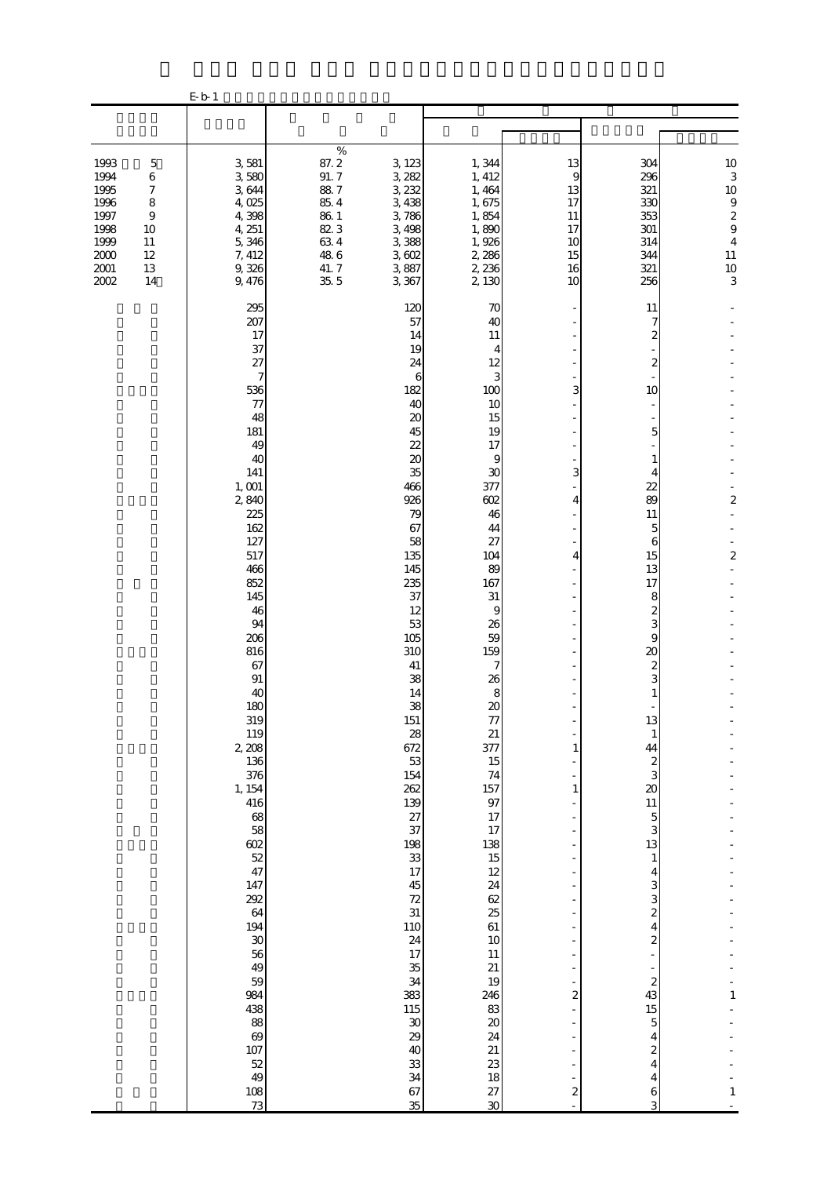|                                                                                  |                                                                                                       | E b 1                                                                                                                                                                                                                                                                                                                                                                                                                                                                     |                                                                                                 |                                                                                                                                                                                                                                                                                                                                                                                                                                           |                                                                                                                                                                                                                                                                                                                                                                                                              |                                                                                                                                                |                                                                                                                                                                                                                                                                                                                                                                                                                                                                                                                                                                                |                                                                                                         |
|----------------------------------------------------------------------------------|-------------------------------------------------------------------------------------------------------|---------------------------------------------------------------------------------------------------------------------------------------------------------------------------------------------------------------------------------------------------------------------------------------------------------------------------------------------------------------------------------------------------------------------------------------------------------------------------|-------------------------------------------------------------------------------------------------|-------------------------------------------------------------------------------------------------------------------------------------------------------------------------------------------------------------------------------------------------------------------------------------------------------------------------------------------------------------------------------------------------------------------------------------------|--------------------------------------------------------------------------------------------------------------------------------------------------------------------------------------------------------------------------------------------------------------------------------------------------------------------------------------------------------------------------------------------------------------|------------------------------------------------------------------------------------------------------------------------------------------------|--------------------------------------------------------------------------------------------------------------------------------------------------------------------------------------------------------------------------------------------------------------------------------------------------------------------------------------------------------------------------------------------------------------------------------------------------------------------------------------------------------------------------------------------------------------------------------|---------------------------------------------------------------------------------------------------------|
|                                                                                  |                                                                                                       |                                                                                                                                                                                                                                                                                                                                                                                                                                                                           |                                                                                                 |                                                                                                                                                                                                                                                                                                                                                                                                                                           |                                                                                                                                                                                                                                                                                                                                                                                                              |                                                                                                                                                |                                                                                                                                                                                                                                                                                                                                                                                                                                                                                                                                                                                |                                                                                                         |
| 1993<br>1994<br>1995<br>1996<br>1997<br>1998<br>1999<br>2000<br>$2001\,$<br>2002 | $\mathbf 5$<br>6<br>$\boldsymbol{7}$<br>$\,$ 8 $\,$<br>$\boldsymbol{9}$<br>10<br>11<br>12<br>13<br>14 | 3,581<br>3,580<br>3644<br>4,025<br>4,398<br>4, 251<br>5,346<br>7, 412<br>9,326<br>9, 476                                                                                                                                                                                                                                                                                                                                                                                  | $\%$<br>87.2<br>91.7<br>$88\ 7$<br>$85\ 4$<br>$86\ 1$<br>823<br>$63\ 4$<br>48.6<br>41.7<br>35.5 | 3, 123<br>3, 282<br>3, 232<br>3,438<br>3,786<br>3,498<br>3,388<br>3,602<br>3,887<br>3, 367                                                                                                                                                                                                                                                                                                                                                | 1,344<br>1, 412<br>1, 464<br>1,675<br>1,854<br>1,890<br>1,926<br>2,286<br>2, 236<br>2,130                                                                                                                                                                                                                                                                                                                    | 13<br>9<br>13<br>17<br>11<br>17<br>10<br>15<br>16<br>10                                                                                        | 304<br>296<br>321<br>330<br>353<br>301<br>314<br>344<br>321<br>256                                                                                                                                                                                                                                                                                                                                                                                                                                                                                                             | $10$<br>3<br>10<br>$\begin{array}{c} 9 \\ 2 \\ 9 \end{array}$<br>$\overline{4}$<br>11<br>$\frac{10}{3}$ |
|                                                                                  |                                                                                                       | 295<br>207<br>17<br>37<br>27<br>$\tau$<br>536<br>77<br>48<br>181<br>49<br>40<br>141<br>1,001<br>2,840<br>225<br>162<br>127<br>517<br>466<br>852<br>145<br>46<br>94<br>206<br>816<br>67<br>91<br>40<br>180<br>319<br>119<br>2 208<br>136<br>376<br>1, 154<br>416<br>68<br>58<br>602<br>$\begin{array}{c} 52 \\ 47 \end{array}$<br>147<br>292<br>64<br>194<br>$\boldsymbol{\mathcal{S}}$<br>56<br>49<br>59<br>984<br>438<br>88<br>69<br>107<br>52<br>49<br>$\frac{108}{73}$ |                                                                                                 | 120<br>57<br>14<br>19<br>24<br>6<br>182<br>40<br>$\boldsymbol{\chi}$<br>45<br>22<br>$\boldsymbol{\chi}$<br>35<br>466<br>926<br>79<br>67<br>58<br>135<br>145<br>235<br>37<br>12<br>53<br>105<br>310<br>41<br>38<br>14<br>38<br>151<br>28<br>672<br>53<br>154<br>262<br>139<br>27<br>37<br>198<br>33<br>17<br>45<br>72<br>31<br><b>110</b><br>24<br>$17\,$<br>35<br>34<br>383<br>115<br>$30\,$<br>29<br>40<br>$^{\rm 33}$<br>34<br>67<br>35 | 70<br>40<br>11<br>4<br>12<br>3<br>100<br>10<br>15<br>19<br>17<br>9<br>30<br>377<br>602<br>46<br>44<br>27<br>104<br>89<br>167<br>$31\,$<br>9<br>26<br>59<br>159<br>7<br>26<br>$\bf8$<br>$\infty$<br>77<br>21<br>377<br>15<br>74<br>157<br>97<br>17<br>17<br>138<br>15<br>12<br>24<br>62<br>25<br>61<br>$10$<br>$11\,$<br>$21\,$<br>19<br>246<br>83<br>$20\,$<br>24<br>21<br>23<br>18<br>27<br>$\overline{30}$ | 3<br>3<br>4<br>4<br>-<br>1<br>$\mathbf{1}$<br>÷<br>÷,<br>$\overline{\mathbf{c}}$<br>L<br>Ξ<br>÷,<br>$\overline{\mathcal{Z}}$<br>$\overline{a}$ | 11<br>7<br>2<br>$\boldsymbol{z}$<br>10<br>5<br>1<br>4<br>$\overline{22}$<br>89<br>11<br>5<br>6<br>15<br>13<br>17<br>8<br>$\boldsymbol{z}$<br>3<br>9<br>$\infty$<br>$\boldsymbol{z}$<br>3<br>$\mathbf{1}$<br>13<br>$\mathbf{1}$<br>44<br>$\boldsymbol{z}$<br>3<br>$\infty$<br>$11\,$<br>$\overline{5}$<br>3<br>13<br>$\mathbf{1}$<br>4<br>3<br>3<br>$\overline{\mathcal{L}}$<br>4<br>$\overline{\mathcal{L}}$<br>÷,<br>÷<br>$\boldsymbol{z}$<br>43<br>$15\,$<br>$\overline{5}$<br>$\overline{\mathbf{4}}$<br>$\overline{\mathcal{L}}$<br>4<br>$\overline{\mathbf{4}}$<br>6<br>3 | $\overline{\mathbf{c}}$<br>$\boldsymbol{z}$<br>1<br>$\mathbf{1}$                                        |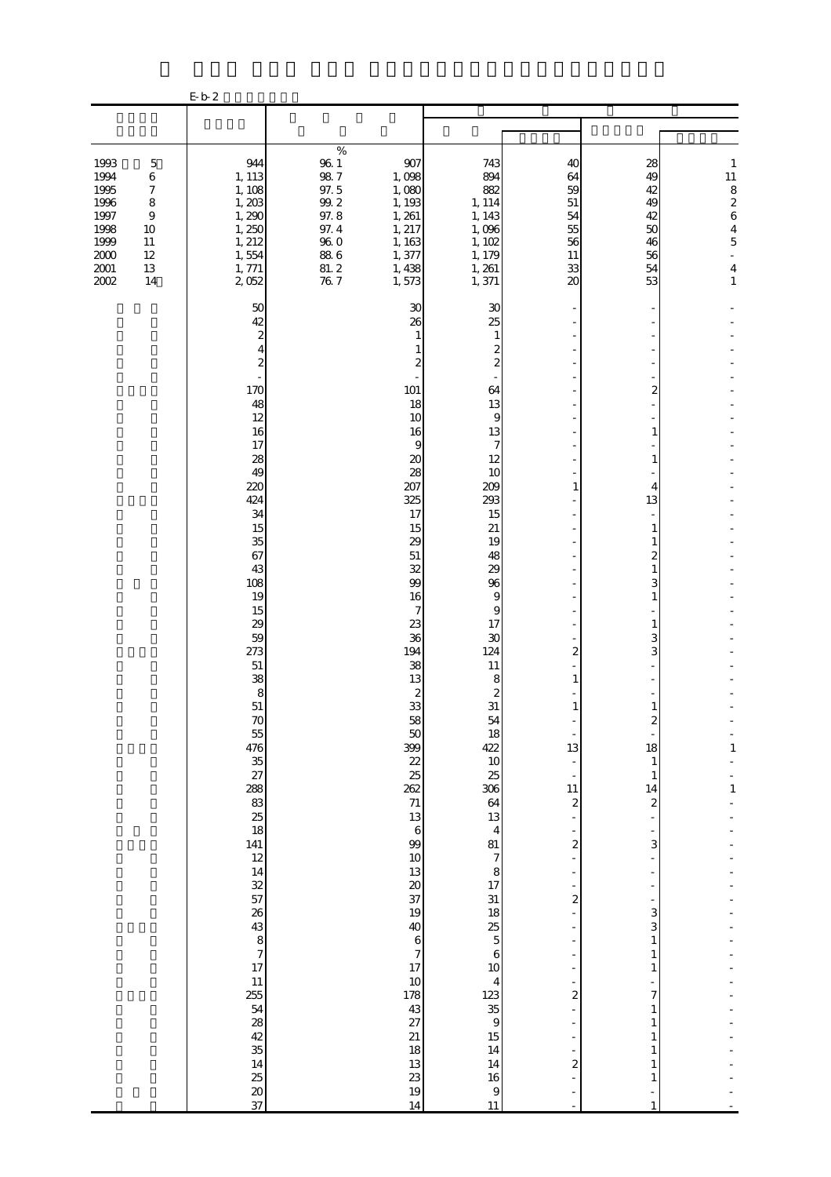|                                                                                                                                                                                         | $\operatorname{E}\nolimits$ b $2$                                                                                                                                                                                                                                                                                                                                                                                                                                                        |                                                                                                                        |                                                                                                                                                                                                                                                                                                                                                                                                                                                                                                                                                                                                                                                                                                                                                                                                                                                                                                                                                                     |                                                                                                                                                                                                                                                                                                                                 |                                                                                                                                                                                                                                                                                                                                                                                                                             |                                                                                                                                                  |
|-----------------------------------------------------------------------------------------------------------------------------------------------------------------------------------------|------------------------------------------------------------------------------------------------------------------------------------------------------------------------------------------------------------------------------------------------------------------------------------------------------------------------------------------------------------------------------------------------------------------------------------------------------------------------------------------|------------------------------------------------------------------------------------------------------------------------|---------------------------------------------------------------------------------------------------------------------------------------------------------------------------------------------------------------------------------------------------------------------------------------------------------------------------------------------------------------------------------------------------------------------------------------------------------------------------------------------------------------------------------------------------------------------------------------------------------------------------------------------------------------------------------------------------------------------------------------------------------------------------------------------------------------------------------------------------------------------------------------------------------------------------------------------------------------------|---------------------------------------------------------------------------------------------------------------------------------------------------------------------------------------------------------------------------------------------------------------------------------------------------------------------------------|-----------------------------------------------------------------------------------------------------------------------------------------------------------------------------------------------------------------------------------------------------------------------------------------------------------------------------------------------------------------------------------------------------------------------------|--------------------------------------------------------------------------------------------------------------------------------------------------|
|                                                                                                                                                                                         |                                                                                                                                                                                                                                                                                                                                                                                                                                                                                          |                                                                                                                        |                                                                                                                                                                                                                                                                                                                                                                                                                                                                                                                                                                                                                                                                                                                                                                                                                                                                                                                                                                     |                                                                                                                                                                                                                                                                                                                                 |                                                                                                                                                                                                                                                                                                                                                                                                                             |                                                                                                                                                  |
| 1993<br>$\mathbf 5$<br>1994<br>6<br>1995<br>$\boldsymbol{7}$<br>1996<br>$\,8\,$<br>1997<br>$\boldsymbol{9}$<br>1998<br>10<br>1999<br>11<br>$2000$<br>12<br>$2001\,$<br>13<br>2002<br>14 | 944<br>1, 113<br>1, 108<br>1,203<br>1,290<br>1,250<br>1, 212<br>1,554<br>1, 771<br>2,052                                                                                                                                                                                                                                                                                                                                                                                                 | $\%$<br>$96\ 1$<br>$98\ 7$<br>97.5<br>$99.2\,$<br>97.8<br>1, 261<br>97.4<br>$96\ 0$<br>$88\ 6$<br>1,377<br>81.2<br>767 | 907<br>743<br>894<br>1,098<br>882<br>1,080<br>1, 193<br>1, 114<br>1, 143<br>1,096<br>1, 217<br>1,102<br>1, 163<br>1, 179<br>1, 261<br>1,438<br>1,371<br>1,573                                                                                                                                                                                                                                                                                                                                                                                                                                                                                                                                                                                                                                                                                                                                                                                                       | 40<br>64<br>59<br>$51\,$<br>54<br>55<br>56<br>11<br>33<br>20                                                                                                                                                                                                                                                                    | 28<br>49<br>42<br>49<br>42<br>50<br>46<br>56<br>54<br>53                                                                                                                                                                                                                                                                                                                                                                    | $\mathbf{1}$<br>$11\,$<br>$\begin{array}{c} 8 \\ 2 \\ 6 \end{array}$<br>$\overline{4}$<br>$\overline{5}$<br>÷,<br>$\overline{4}$<br>$\mathbf{1}$ |
|                                                                                                                                                                                         | 50<br>42<br>$\boldsymbol{z}$<br>4<br>$\boldsymbol{z}$<br>170<br>48<br>12<br>16<br>17<br>28<br>49<br>220<br>424<br>34<br>15<br>35<br>67<br>43<br>108<br>19<br>15<br>29<br>59<br>273<br>51<br>38<br>8<br>51<br>70<br>55<br>476<br>$\overline{35}$<br>27<br>288<br>$\begin{array}{c} 83 \\ 25 \end{array}$<br>18<br>141<br>12<br>14<br>32<br>57<br>26<br>43<br>$\begin{array}{c}\n 8 \\  7 \\  17\n \end{array}$<br>11<br>255<br>54<br>28<br>$\frac{42}{35}$<br>14<br>$\frac{25}{20}$<br>37 |                                                                                                                        | 30<br>30<br>25<br>26<br>1<br>1<br>$\boldsymbol{z}$<br>$\overline{\mathcal{Z}}$<br>2<br>101<br>64<br>18<br>13<br>10<br>9<br>16<br>13<br>$\overline{7}$<br>9<br>12<br>20<br>28<br>10<br>207<br>209<br>325<br>293<br>17<br>15<br>15<br>$21\,$<br>29<br>19<br>51<br>48<br>32<br>29<br>99<br>96<br>16<br>9<br>9<br>7<br>23<br>17<br>36<br>30<br>194<br>124<br>38<br>11<br>13<br>8<br>$\boldsymbol{z}$<br>$\boldsymbol{z}$<br>33<br>31<br>58<br>54<br>50<br>18<br>399<br>422<br>22<br>$10$<br>25<br>25<br>306<br>262<br>$71\,$<br>64<br>13<br>13<br>$\,6\,$<br>$\overline{4}$<br>99<br>81<br>$10$<br>$\overline{7}$<br>8<br>13<br>17<br>$\boldsymbol{\chi}$<br>37<br>31<br>19<br>18<br>$\frac{25}{5}$<br>40<br>$\,6$<br>$\begin{array}{c} 7 \\ 17 \end{array}$<br>$\boldsymbol{6}$<br>10<br>$10$<br>$\overline{4}$<br>178<br>$\frac{123}{35}$<br>43<br>27<br>$\overline{9}$<br>21<br>$15\,$<br>18<br>14<br>13<br>14<br>23<br>$16\,$<br>19<br>$\boldsymbol{9}$<br>14<br>11 | 1<br>$\overline{2}$<br>1<br>1<br>÷,<br>13<br>$\frac{1}{2}$<br>÷<br>11<br>$\boldsymbol{2}$<br>÷,<br>$\overline{\mathbf{c}}$<br>÷,<br>÷,<br>÷<br>$\overline{\mathcal{L}}$<br>$\overline{a}$<br>÷<br>$\bar{a}$<br>÷<br>$\overline{\mathbf{c}}$<br>L<br>÷<br>$\overline{\mathcal{L}}$<br>$\overline{a}$<br>$\overline{\phantom{0}}$ | 2<br>1<br>1<br>4<br>13<br>1<br>1<br>2<br>$\mathbf{1}$<br>3<br>$\mathbf{1}$<br>1<br>3<br>3<br>$\mathbf{1}$<br>2<br>18<br>$\mathbf{1}$<br>$\mathbf{1}$<br>14<br>$\boldsymbol{z}$<br>$\blacksquare$<br>3<br>÷<br>$\overline{a}$<br>$\overline{a}$<br>3<br>3<br>$\mathbf{1}$<br>$1\,$<br>$\mathbf{1}$<br>7<br>$\mathbf{1}$<br>$\mathbf{1}$<br>$\mathbf{1}$<br>$\mathbf{1}$<br>$\mathbf{1}$<br>$\mathbf{1}$<br>÷<br>$\mathbf{1}$ | $\mathbf{1}$<br>$\,1\,$                                                                                                                          |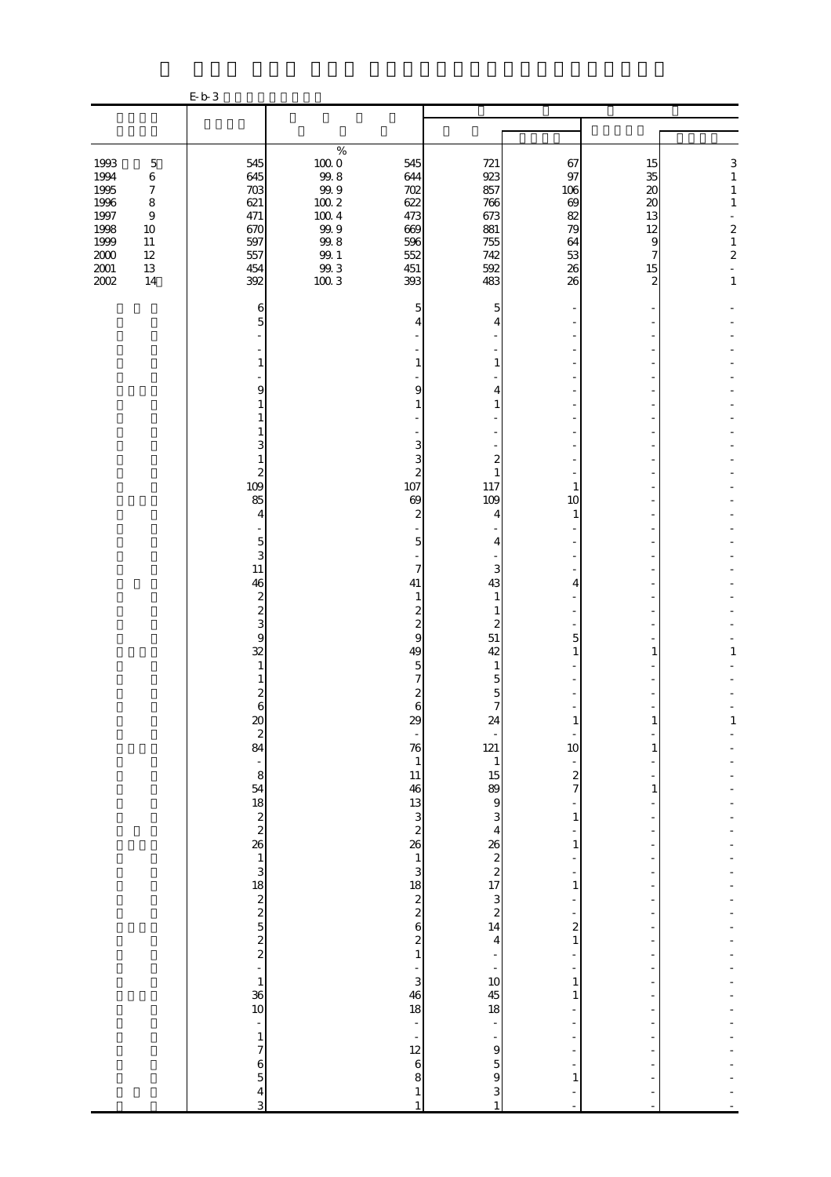|                                                                                      |                                                                                                            | E b 3                                                              |                                                                                                                    |                                                                    |                                                                    |                                                           |                                                                                            |                                                                                                                           |
|--------------------------------------------------------------------------------------|------------------------------------------------------------------------------------------------------------|--------------------------------------------------------------------|--------------------------------------------------------------------------------------------------------------------|--------------------------------------------------------------------|--------------------------------------------------------------------|-----------------------------------------------------------|--------------------------------------------------------------------------------------------|---------------------------------------------------------------------------------------------------------------------------|
|                                                                                      |                                                                                                            |                                                                    |                                                                                                                    |                                                                    |                                                                    |                                                           |                                                                                            |                                                                                                                           |
|                                                                                      |                                                                                                            |                                                                    |                                                                                                                    |                                                                    |                                                                    |                                                           |                                                                                            |                                                                                                                           |
| 1993<br>1994<br>1995<br>1996<br>1997<br>1998<br>1999<br>$2000\,$<br>$2001\,$<br>2002 | $\mathbf 5$<br>$\,6$<br>$\boldsymbol{7}$<br>$\,8\,$<br>$\,9$<br>$10\,$<br>$11\,$<br>$12\,$<br>$13\,$<br>14 | 545<br>645<br>703<br>621<br>471<br>670<br>597<br>557<br>454<br>392 | $\%$<br>$100\;0$<br>$99.8$<br>$99.9$<br>$100\ 2$<br>$100\ 4$<br>$99\,9$<br>$99.8\,$<br>$99.1\,$<br>$9\!.3$<br>1003 | 545<br>644<br>702<br>622<br>473<br>669<br>596<br>552<br>451<br>393 | 721<br>923<br>857<br>766<br>673<br>881<br>755<br>742<br>592<br>483 | 67<br>97<br>106<br>69<br>82<br>79<br>64<br>53<br>26<br>26 | 15<br>35<br>$\boldsymbol{\mathsf{20}}$<br>20<br>13<br>12<br>$\overline{9}$<br>7<br>15<br>2 | 3<br>$\,1$<br>$\mathbf{1}$<br>$\,1\,$<br>÷,<br>$\begin{smallmatrix}2\\1\end{smallmatrix}$<br>$\mathbf{z}$<br>$\mathbf{1}$ |
|                                                                                      |                                                                                                            | 6                                                                  |                                                                                                                    | 5                                                                  | 5                                                                  |                                                           |                                                                                            |                                                                                                                           |
|                                                                                      |                                                                                                            | 5                                                                  |                                                                                                                    | 4                                                                  | 4                                                                  |                                                           |                                                                                            |                                                                                                                           |
|                                                                                      |                                                                                                            |                                                                    |                                                                                                                    |                                                                    |                                                                    |                                                           |                                                                                            |                                                                                                                           |
|                                                                                      |                                                                                                            | 1                                                                  |                                                                                                                    |                                                                    | 1                                                                  |                                                           |                                                                                            |                                                                                                                           |
|                                                                                      |                                                                                                            | 9<br>1                                                             |                                                                                                                    | 9                                                                  | 4<br>1                                                             |                                                           |                                                                                            |                                                                                                                           |
|                                                                                      |                                                                                                            | 1                                                                  |                                                                                                                    |                                                                    |                                                                    |                                                           |                                                                                            |                                                                                                                           |
|                                                                                      |                                                                                                            | 3                                                                  |                                                                                                                    | 3                                                                  |                                                                    |                                                           |                                                                                            |                                                                                                                           |
|                                                                                      |                                                                                                            | 1<br>$\boldsymbol{2}$                                              |                                                                                                                    | 3<br>$\overline{\mathcal{Z}}$                                      | $\boldsymbol{z}$<br>1                                              |                                                           |                                                                                            |                                                                                                                           |
|                                                                                      |                                                                                                            | 109                                                                |                                                                                                                    | 107                                                                | 117                                                                | 1                                                         |                                                                                            |                                                                                                                           |
|                                                                                      |                                                                                                            | 85<br>$\overline{4}$                                               |                                                                                                                    | 69<br>$\mathbf{z}$                                                 | 109<br>4                                                           | 10<br>1                                                   |                                                                                            |                                                                                                                           |
|                                                                                      |                                                                                                            | $\overline{5}$                                                     |                                                                                                                    | 5                                                                  | 4                                                                  |                                                           |                                                                                            |                                                                                                                           |
|                                                                                      |                                                                                                            | 3                                                                  |                                                                                                                    |                                                                    |                                                                    |                                                           |                                                                                            |                                                                                                                           |
|                                                                                      |                                                                                                            | 11<br>46                                                           |                                                                                                                    | $\overline{7}$<br>41                                               | 3<br>43                                                            | 4                                                         |                                                                                            |                                                                                                                           |
|                                                                                      |                                                                                                            | $\boldsymbol{z}$<br>$\overline{\mathcal{L}}$                       |                                                                                                                    | 1<br>$\overline{c}$                                                | $\mathbf{1}$<br>1                                                  |                                                           |                                                                                            |                                                                                                                           |
|                                                                                      |                                                                                                            | 3                                                                  |                                                                                                                    | $\overline{\mathbf{c}}$                                            | $\boldsymbol{z}$                                                   |                                                           |                                                                                            |                                                                                                                           |
|                                                                                      |                                                                                                            | $\overline{9}$<br>32                                               |                                                                                                                    | 9<br>49                                                            | $51\,$<br>42                                                       | 5<br>1                                                    | 1                                                                                          | 1                                                                                                                         |
|                                                                                      |                                                                                                            | 1<br>1                                                             |                                                                                                                    | 5                                                                  | 1<br>5                                                             |                                                           |                                                                                            |                                                                                                                           |
|                                                                                      |                                                                                                            | $\boldsymbol{z}$                                                   |                                                                                                                    |                                                                    | 5                                                                  |                                                           |                                                                                            |                                                                                                                           |
|                                                                                      |                                                                                                            | 6                                                                  |                                                                                                                    | 6<br>$\omega$                                                      | $\overline{7}$<br>24                                               | T                                                         | T                                                                                          |                                                                                                                           |
|                                                                                      |                                                                                                            | <u>ಜ</u> ಇ ಹ                                                       |                                                                                                                    | $\frac{1}{\sqrt{2}}$<br>76                                         | 121                                                                | 10                                                        | 1                                                                                          |                                                                                                                           |
|                                                                                      |                                                                                                            |                                                                    |                                                                                                                    | $\mathbf{1}$                                                       |                                                                    | f                                                         |                                                                                            |                                                                                                                           |
|                                                                                      |                                                                                                            |                                                                    |                                                                                                                    | $\frac{11}{46}$<br>$\frac{13}{3}$                                  | $\begin{array}{c}\n1 \\ 15 \\ 9 \\ 3\n\end{array}$                 | $rac{2}{7}$                                               | $\mathbf{1}$                                                                               |                                                                                                                           |
|                                                                                      |                                                                                                            |                                                                    |                                                                                                                    |                                                                    |                                                                    | ÷<br>$\,1\,$                                              |                                                                                            |                                                                                                                           |
|                                                                                      |                                                                                                            |                                                                    |                                                                                                                    | $\boldsymbol{z}$<br>26                                             | $\overline{4}$                                                     | 1                                                         |                                                                                            |                                                                                                                           |
|                                                                                      |                                                                                                            |                                                                    |                                                                                                                    |                                                                    | $26 \times 17$<br>14<br>4<br>4<br>4                                | $\frac{1}{2}$                                             |                                                                                            |                                                                                                                           |
|                                                                                      |                                                                                                            |                                                                    |                                                                                                                    | $\begin{array}{c} 1 \\ 3 \\ 18 \\ 2 \\ 6 \\ 2 \\ 1 \end{array}$    |                                                                    | $\mathbf{1}$                                              |                                                                                            |                                                                                                                           |
|                                                                                      |                                                                                                            |                                                                    |                                                                                                                    |                                                                    |                                                                    | $\overline{\phantom{m}}$                                  |                                                                                            |                                                                                                                           |
|                                                                                      |                                                                                                            |                                                                    |                                                                                                                    |                                                                    |                                                                    | $\overline{\mathbf{c}}$                                   |                                                                                            |                                                                                                                           |
|                                                                                      |                                                                                                            |                                                                    |                                                                                                                    |                                                                    |                                                                    | $\,1\,$<br>$\overline{a}$                                 |                                                                                            |                                                                                                                           |
|                                                                                      |                                                                                                            |                                                                    |                                                                                                                    | 3                                                                  |                                                                    | $\mathbf{1}$                                              |                                                                                            |                                                                                                                           |
|                                                                                      |                                                                                                            |                                                                    |                                                                                                                    | $\frac{46}{18}$                                                    | $10$<br>$45$<br>$18$                                               | 1                                                         |                                                                                            |                                                                                                                           |
|                                                                                      |                                                                                                            | $\overline{\phantom{a}}$                                           |                                                                                                                    | $\frac{1}{2}$                                                      | f                                                                  | $\overline{\phantom{a}}$                                  | $\overline{\phantom{a}}$                                                                   |                                                                                                                           |
|                                                                                      |                                                                                                            | $\mathbf{1}$<br>$\overline{7}$                                     |                                                                                                                    | $\overline{\phantom{0}}$<br>12                                     | $\frac{1}{9}$                                                      |                                                           |                                                                                            |                                                                                                                           |
|                                                                                      |                                                                                                            | $\frac{6}{5}$                                                      |                                                                                                                    | $\boldsymbol{6}$                                                   | $\begin{array}{c} 5 \\ 9 \end{array}$                              |                                                           |                                                                                            |                                                                                                                           |
|                                                                                      |                                                                                                            | $\frac{4}{3}$                                                      |                                                                                                                    | 8<br>$\,1\,$                                                       | 3                                                                  | $\mathbf{1}$<br>$\overline{a}$                            | $\overline{\phantom{0}}$                                                                   |                                                                                                                           |
|                                                                                      |                                                                                                            |                                                                    |                                                                                                                    | $\,1\,$                                                            | $\,1\,$                                                            |                                                           | $\sim$                                                                                     |                                                                                                                           |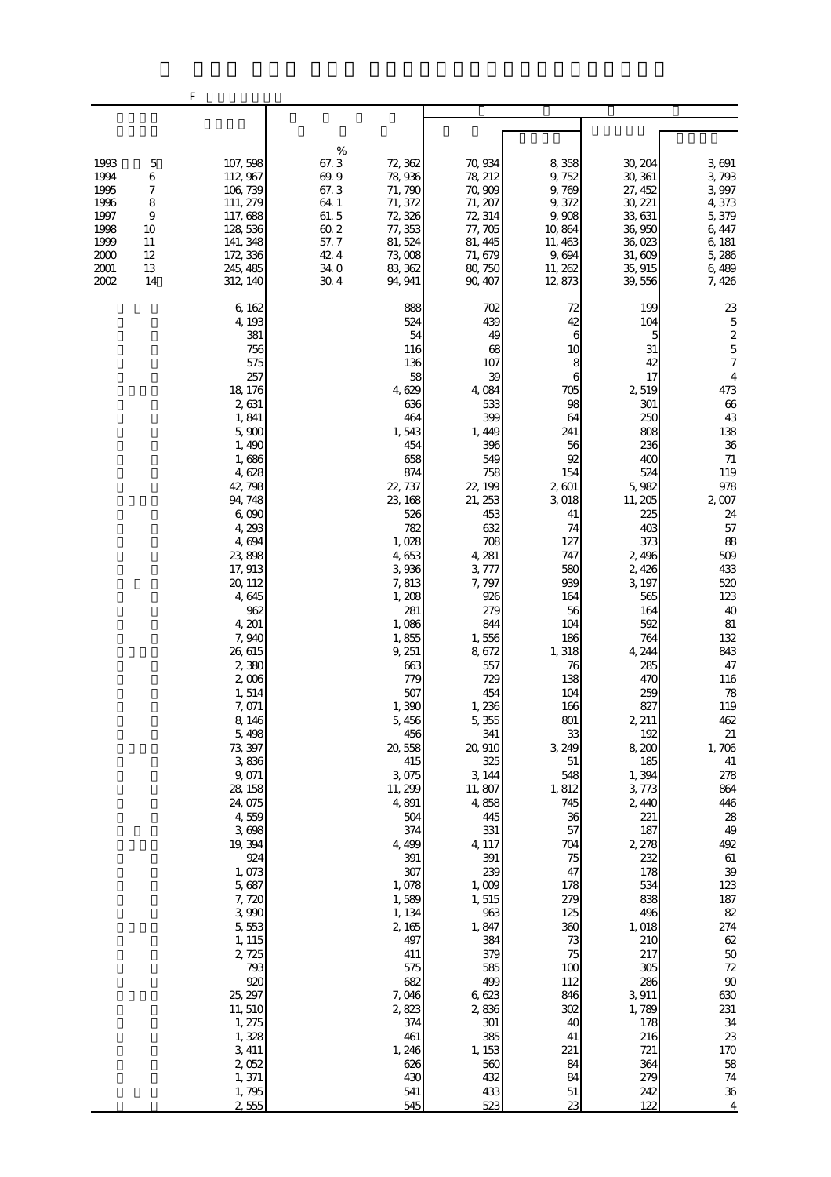|                                                                                                                                               | F                                                                                                                                                                                                                                                                                                                                                                                                                                                                                                                                                                 |                                                                                                                                                                                                                                                                                                                                                                                                                                                                                         |                                                                                                                                                                                                                                                                                                                                                                                                                                                                                |                                                                                                                                                                                                                                                                                                                                                                                                               |                                                                                                                                                                                                                                                                                                                                                                                                                                                            |                                                                                                                                                                                                                                                                                                                                                                                                                                                                                                                 |
|-----------------------------------------------------------------------------------------------------------------------------------------------|-------------------------------------------------------------------------------------------------------------------------------------------------------------------------------------------------------------------------------------------------------------------------------------------------------------------------------------------------------------------------------------------------------------------------------------------------------------------------------------------------------------------------------------------------------------------|-----------------------------------------------------------------------------------------------------------------------------------------------------------------------------------------------------------------------------------------------------------------------------------------------------------------------------------------------------------------------------------------------------------------------------------------------------------------------------------------|--------------------------------------------------------------------------------------------------------------------------------------------------------------------------------------------------------------------------------------------------------------------------------------------------------------------------------------------------------------------------------------------------------------------------------------------------------------------------------|---------------------------------------------------------------------------------------------------------------------------------------------------------------------------------------------------------------------------------------------------------------------------------------------------------------------------------------------------------------------------------------------------------------|------------------------------------------------------------------------------------------------------------------------------------------------------------------------------------------------------------------------------------------------------------------------------------------------------------------------------------------------------------------------------------------------------------------------------------------------------------|-----------------------------------------------------------------------------------------------------------------------------------------------------------------------------------------------------------------------------------------------------------------------------------------------------------------------------------------------------------------------------------------------------------------------------------------------------------------------------------------------------------------|
|                                                                                                                                               |                                                                                                                                                                                                                                                                                                                                                                                                                                                                                                                                                                   |                                                                                                                                                                                                                                                                                                                                                                                                                                                                                         |                                                                                                                                                                                                                                                                                                                                                                                                                                                                                |                                                                                                                                                                                                                                                                                                                                                                                                               |                                                                                                                                                                                                                                                                                                                                                                                                                                                            |                                                                                                                                                                                                                                                                                                                                                                                                                                                                                                                 |
| 1993<br>$\mathbf 5$<br>6<br>1994<br>7<br>1995<br>1996<br>8<br>1997<br>9<br>1998<br>10<br>1999<br>11<br>2000<br>12<br>2001<br>13<br>2002<br>14 | 107, 598<br>112, 967<br>106, 739<br>111, 279<br>117,688<br>128, 536<br>141, 348<br>172, 336<br>245, 485<br>312, 140                                                                                                                                                                                                                                                                                                                                                                                                                                               | $\%$<br>67.3<br>72, 362<br>69.9<br>78,936<br>67.3<br>71, 790<br>64.1<br>71, 372<br>61.5<br>72, 326<br>$60\ 2$<br>77, 353<br>57.7<br>81, 524<br>42.4<br>73,008<br>34.0<br>83, 362<br>30.4<br>94, 941                                                                                                                                                                                                                                                                                     | 70, 934<br>78, 212<br>70,909<br>71, 207<br>72, 314<br>77, 705<br>81, 445<br>71, 679<br>80, 750<br>90, 407                                                                                                                                                                                                                                                                                                                                                                      | 8,358<br>9,752<br>9,769<br>9,372<br>9,908<br>10,864<br>11, 463<br>9,694<br>11, 262<br>12,873                                                                                                                                                                                                                                                                                                                  | 30, 204<br>30, 361<br>27, 452<br>30, 221<br>33, 631<br>36,950<br>36,023<br>31,609<br>35, 915<br>39,556                                                                                                                                                                                                                                                                                                                                                     | 3,691<br>3,793<br>3,997<br>4,373<br>5,379<br>6,447<br>6, 181<br>5,286<br>6,489<br>7, 426                                                                                                                                                                                                                                                                                                                                                                                                                        |
|                                                                                                                                               | 6, 162<br>4, 193<br>381<br>756<br>575<br>257<br>18, 176<br>2,631<br>1,841<br>5,900<br>1,490<br>1,686<br>4,628<br>42, 798<br>94, 748<br>6,090<br>4,293<br>4,694<br>23,898<br>17, 913<br>20, 112<br>4,645<br>962<br>4, 201<br>7,940<br>26, 615<br>2,380<br>$2,008$<br>1,514<br>7,071<br>8,146<br>5,498<br>73, 397<br>3,836<br>9,071<br>28, 158<br>24, 075<br>4,559<br>3,698<br>19, 394<br>924<br>1,073<br>5,687<br>7,720<br>3,990<br>5,553<br>1, 115<br>2,725<br>793<br>920<br>25, 297<br>11, 510<br>1, 275<br>1,328<br>3, 411<br>2,052<br>1, 371<br>1,795<br>2,555 | 888<br>524<br>54<br>116<br>136<br>58<br>4,629<br>636<br>464<br>1,543<br>454<br>658<br>874<br>22, 737<br>23, 168<br>526<br>782<br>1,028<br>4,653<br>3,936<br>7,813<br>1, 208<br>281<br>1,086<br>1,855<br>9, 251<br>663<br>779<br>507<br>1,390<br>5,456<br>456<br>20,558<br>415<br>3,075<br>11, 299<br>4,891<br>504<br>374<br>4, 499<br>391<br>307<br>1,078<br>1,589<br>1, 134<br>2,165<br>497<br>411<br>575<br>682<br>7,046<br>2,823<br>374<br>461<br>1, 246<br>626<br>430<br>541<br>545 | 702<br>439<br>49<br>68<br>107<br>39<br>4,084<br>533<br>399<br>1, 449<br>396<br>549<br>758<br>22, 199<br>21, 253<br>453<br>632<br>708<br>4, 281<br>3,777<br>7,797<br>926<br>279<br>844<br>1,556<br>8,672<br>557<br>729<br>454<br>1,236<br>5,355<br>341<br>20,910<br>325<br>3, 144<br>11, 807<br>4,858<br>445<br>331<br>4, 117<br>391<br>239<br>1,009<br>1,515<br>963<br>1,847<br>384<br>379<br>585<br>499<br>6,623<br>2,836<br>301<br>385<br>1, 153<br>560<br>432<br>433<br>523 | 72<br>42<br>6<br>10<br>8<br>6<br>705<br>98<br>64<br>241<br>56<br>92<br>154<br>2,601<br>3,018<br>41<br>74<br>127<br>747<br>580<br>939<br>164<br>56<br>104<br>186<br>1,318<br>76<br>138<br>104<br>166<br>801<br>33<br>3, 249<br>$51\,$<br>548<br>1,812<br>745<br>36<br>57<br>704<br>75<br>47<br>178<br>279<br>125<br>360<br>73<br>75<br>100<br>112<br>846<br>302<br>40<br>41<br>221<br>84<br>84<br>$51\,$<br>23 | 199<br>104<br>5<br>31<br>42<br>17<br>2,519<br>301<br>250<br>808<br>236<br>400<br>524<br>5,982<br>11, 205<br>225<br>403<br>373<br>2,496<br>2,426<br>3, 197<br>565<br>164<br>592<br>764<br>4, 244<br>285<br>470<br>259<br>827<br>2, 211<br>192<br>8,200<br>185<br>1,394<br>3,773<br>2,440<br>221<br>187<br>2, 278<br>232<br>178<br>534<br>838<br>496<br>1,018<br>210<br>217<br>305<br>286<br>3,911<br>1,789<br>178<br>216<br>721<br>364<br>279<br>242<br>122 | 23<br>$\overline{5}$<br>$\boldsymbol{z}$<br>$\overline{5}$<br>$\boldsymbol{7}$<br>$\overline{4}$<br>473<br>$66\,$<br>43<br>138<br>36<br>$71\,$<br>119<br>978<br>$2,007$<br>24<br>57<br>88<br>509<br>433<br>520<br>123<br>40<br>$81\,$<br>132<br>843<br>47<br>116<br>78<br>119<br>462<br>$21\,$<br>1,706<br>41<br>278<br>864<br>446<br>$28\,$<br>49<br>492<br>$61\,$<br>39<br>123<br>187<br>82<br>274<br>$62\,$<br>$5\hskip-2pt 0$<br>$72$<br>90<br>630<br>231<br>34<br>23<br>170<br>58<br>$74\,$<br>$36\,$<br>4 |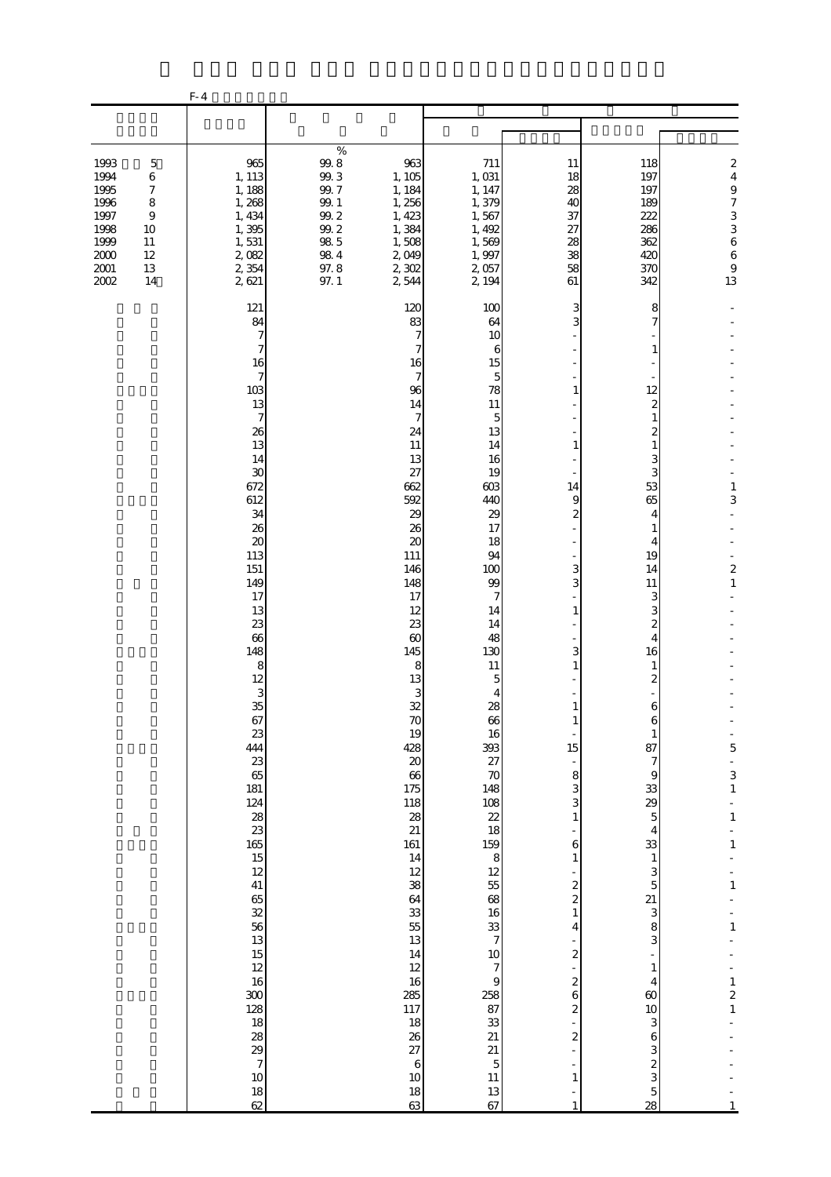|                                                                                  |                                                                              | $F-4$                                                                                                                                                                                                                                                                                                                                                                                                                                                                                              |                                                                                                        |                                                                                                                                                                                                                                                                                                                                                                                                         |                                                                                                                                                                                                                                                                                                                                                                                                                                                       |                                                                                                                                                                                                                                                                                                                                                                                                                         |                                                                                                                                                                                                                                                                                                                                                                                                                                      |                                                                                                                                                                                        |
|----------------------------------------------------------------------------------|------------------------------------------------------------------------------|----------------------------------------------------------------------------------------------------------------------------------------------------------------------------------------------------------------------------------------------------------------------------------------------------------------------------------------------------------------------------------------------------------------------------------------------------------------------------------------------------|--------------------------------------------------------------------------------------------------------|---------------------------------------------------------------------------------------------------------------------------------------------------------------------------------------------------------------------------------------------------------------------------------------------------------------------------------------------------------------------------------------------------------|-------------------------------------------------------------------------------------------------------------------------------------------------------------------------------------------------------------------------------------------------------------------------------------------------------------------------------------------------------------------------------------------------------------------------------------------------------|-------------------------------------------------------------------------------------------------------------------------------------------------------------------------------------------------------------------------------------------------------------------------------------------------------------------------------------------------------------------------------------------------------------------------|--------------------------------------------------------------------------------------------------------------------------------------------------------------------------------------------------------------------------------------------------------------------------------------------------------------------------------------------------------------------------------------------------------------------------------------|----------------------------------------------------------------------------------------------------------------------------------------------------------------------------------------|
|                                                                                  |                                                                              |                                                                                                                                                                                                                                                                                                                                                                                                                                                                                                    |                                                                                                        |                                                                                                                                                                                                                                                                                                                                                                                                         |                                                                                                                                                                                                                                                                                                                                                                                                                                                       |                                                                                                                                                                                                                                                                                                                                                                                                                         |                                                                                                                                                                                                                                                                                                                                                                                                                                      |                                                                                                                                                                                        |
| 1993<br>1994<br>1995<br>1996<br>1997<br>1998<br>1999<br>2000<br>$2001\,$<br>2002 | $\mathbf 5$<br>6<br>7<br>8<br>$\boldsymbol{9}$<br>10<br>11<br>12<br>13<br>14 | 965<br>1, 113<br>1, 188<br>1,268<br>1, 434<br>1,395<br>1,531<br>2,082<br>2,354<br>2,621                                                                                                                                                                                                                                                                                                                                                                                                            | $\%$<br>$99.8\,$<br>99.3<br>99.7<br>$99. \;1$<br>$99.2\,$<br>$99.2$<br>$98\ 5$<br>98.4<br>97.8<br>97.1 | 963<br>1, 105<br>1, 184<br>1,256<br>1, 423<br>1,384<br>1,508<br>2,049<br>2,302<br>2,544                                                                                                                                                                                                                                                                                                                 | 711<br>1,031<br>1, 147<br>1,379<br>1,567<br>1, 492<br>1,569<br>1,997<br>2,057<br>2, 194                                                                                                                                                                                                                                                                                                                                                               | 11<br>18<br>28<br>40<br>37<br>27<br>28<br>38<br>58<br>61                                                                                                                                                                                                                                                                                                                                                                | 118<br>197<br>197<br>189<br>222<br>286<br>362<br>420<br>370<br>342                                                                                                                                                                                                                                                                                                                                                                   | $\boldsymbol{z}$<br>$\overline{4}$<br>$\overline{9}$<br>$\begin{array}{c} 7 \\ 3 \\ 3 \\ 6 \end{array}$<br>$\begin{array}{c} 6 \\ 9 \end{array}$<br>13                                 |
|                                                                                  |                                                                              | 121<br>84<br>7<br>7<br>16<br>$\tau$<br>103<br>13<br>$\boldsymbol{7}$<br>26<br>13<br>14<br>30<br>672<br>612<br>34<br>26<br>$\boldsymbol{\mathsf{20}}$<br>113<br>151<br>149<br>17<br>13<br>23<br>66<br>148<br>8<br>12<br>$\frac{3}{35}$<br>67<br>23<br>444<br>23<br>65<br>181<br>124<br>$\frac{28}{23}$<br>$\frac{165}{15}$<br>12<br>41<br>65<br>32<br>$\frac{56}{13}$<br>15<br>12<br>$16\,$<br>300<br>128<br>18<br>$\frac{28}{29}$<br>$\begin{array}{c} \n7 \n\end{array}$<br>10<br>$\frac{18}{62}$ |                                                                                                        | 120<br>83<br>7<br>7<br>16<br>7<br>96<br>14<br>$\mathcal I$<br>24<br>11<br>13<br>27<br>662<br>592<br>29<br>26<br>20<br>111<br>146<br>148<br>17<br>12<br>23<br>$\infty$<br>145<br>8<br>13<br>3<br>32<br>$70$<br>19<br>428<br>$20\,$<br>66<br>175<br>118<br>28<br>21<br>161<br>14<br>$12\,$<br>38<br>64<br>33<br>55<br>13<br>14<br>12<br>16<br>285<br>117<br>18<br>26<br>27<br>$\,6\,$<br>$10$<br>18<br>63 | 100<br>64<br>10<br>6<br>15<br>5<br>78<br>11<br>5<br>13<br>14<br>16<br>19<br>603<br>440<br>29<br>17<br>18<br>94<br>100<br>99<br>7<br>14<br>14<br>48<br>130<br>11<br>5<br>4<br>28<br>66<br>16<br>393<br>27<br>$\boldsymbol{70}$<br>148<br>108<br>22<br>18<br>159<br>$\begin{array}{c} 8 \\ 12 \end{array}$<br>55<br>$68\,$<br>16<br>$\frac{33}{7}$<br>10<br>7<br>$\overline{9}$<br>258<br>87<br>33<br>21<br>21<br>$\mathbf 5$<br>$11\,$<br>$13\,$<br>67 | 3<br>3<br>1<br>1<br>14<br>9<br>$\overline{\mathcal{Z}}$<br>3<br>3<br>1<br>3<br>1<br>$\mathbf{1}$<br>15<br>$\frac{1}{2}$<br>8<br>3<br>3<br>$\mathbf{1}$<br>6<br>$\mathbf{1}$<br>$\overline{\mathcal{L}}$<br>$\overline{\mathcal{L}}$<br>$\mathbf{1}$<br>4<br>$\overline{\mathcal{L}}$<br>$\overline{\mathcal{L}}$<br>6<br>$\overline{\mathcal{L}}$<br>$\overline{\mathcal{L}}$<br>L<br>$\mathbf{1}$<br>-<br>$\mathbf{1}$ | 8<br>7<br>1<br>12<br>2<br>1<br>2<br>$\mathbf{1}$<br>3<br>3<br>53<br>65<br>4<br>1<br>4<br>19<br>14<br>11<br>3<br>3<br>2<br>$\overline{4}$<br>16<br>1<br>2<br>6<br>6<br>$\mathbf{1}$<br>87<br>$\boldsymbol{7}$<br>9<br>33<br>29<br>$\overline{5}$<br>4<br>33<br>$\,1\,$<br>3<br>$\overline{5}$<br>21<br>3<br>8<br>3<br>$\mathbf{1}$<br>$\overline{4}$<br>60<br>10<br>3<br>$\,$ 6 $\,$<br>3<br>$\overline{\mathcal{L}}$<br>3<br>5<br>28 | 1<br>3<br>$\boldsymbol{z}$<br>$\,1\,$<br>5<br>3<br>$\,1\,$<br>$\,1\,$<br>$\mathbf{1}$<br>$\,1\,$<br>$\mathbf{1}$<br>$\mathbf{1}$<br>$\overline{\mathbf{c}}$<br>$\,1\,$<br>$\mathbf{1}$ |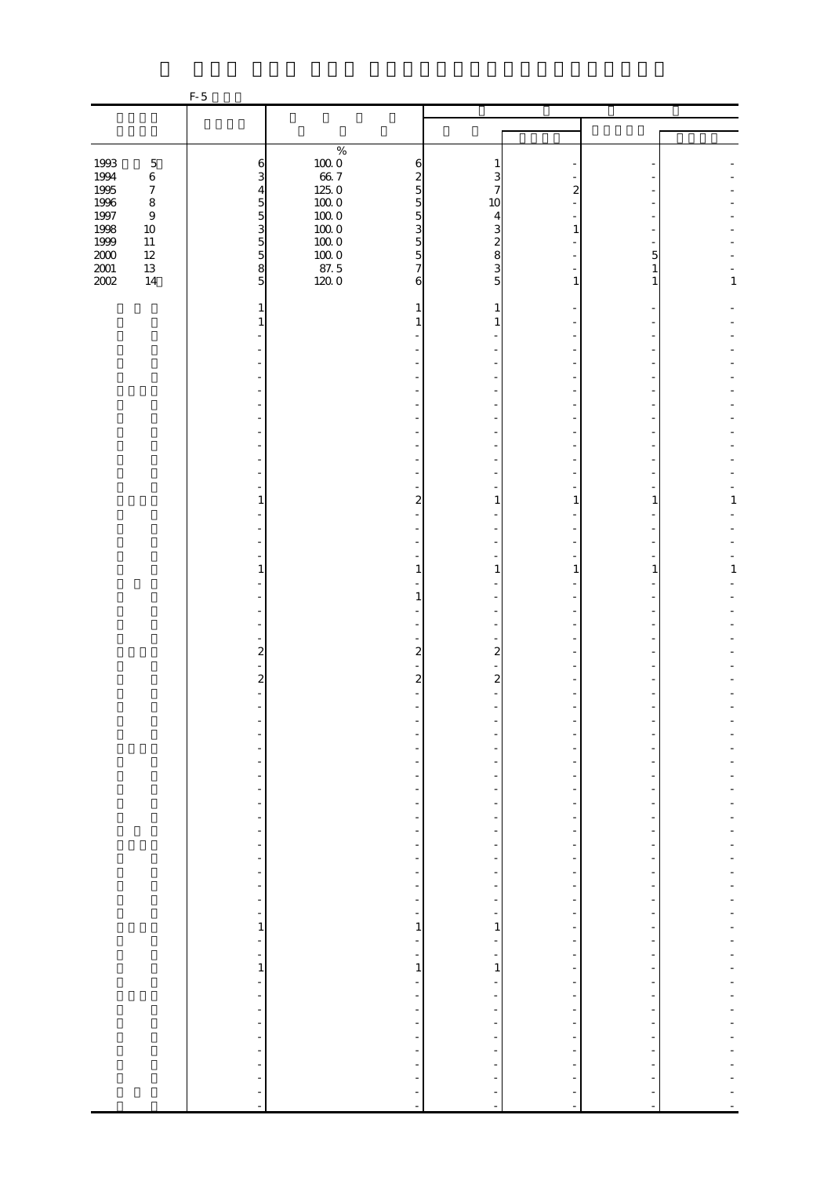|                  |                  | $F-5$                            |                      |                                                      |                          |                          |                |              |
|------------------|------------------|----------------------------------|----------------------|------------------------------------------------------|--------------------------|--------------------------|----------------|--------------|
|                  |                  |                                  |                      |                                                      |                          |                          |                |              |
|                  |                  |                                  |                      |                                                      |                          |                          |                |              |
|                  |                  |                                  | $\%$                 |                                                      |                          |                          |                |              |
| 1993             | $\mathbf 5$      | 6                                | $100\;0$             | 6                                                    | 1                        |                          |                |              |
| 1994             | $\,6\,$          | 3                                | $66\ 7$              | $\boldsymbol{z}$                                     | 3                        |                          |                |              |
| 1995             | $\boldsymbol{7}$ | $\overline{4}$                   | $125.0\,$            | $\overline{5}$                                       | 7                        | 2                        |                |              |
| 1996             | $\,8\,$          | $\overline{5}$                   | $100\;0$             | $\overline{5}$                                       | 10                       |                          |                |              |
| $1997\,$<br>1998 | $\boldsymbol{9}$ | $\overline{5}$<br>$\overline{3}$ | $100\;0$<br>$100\;0$ | $\overline{5}$                                       | 4                        | 1                        |                |              |
| 1999             | $10\,$<br>$11\,$ |                                  | $100\;0$             | 3<br>$\overline{5}$                                  | 3<br>$\boldsymbol{z}$    |                          |                |              |
| $2000\,$         | $12\,$           | $\frac{5}{5}$                    | $100\;0$             | $\overline{5}$                                       | 8                        |                          | 5              |              |
| $2001\,$         | $13\,$           | 8                                | 87.5                 | $\overline{7}$                                       | 3                        |                          | 1              |              |
| 2002             | $14$             | 5                                | 1200                 | 6                                                    | 5                        | $\mathbf{1}$             | 1              | 1            |
|                  |                  |                                  |                      |                                                      |                          |                          |                |              |
|                  |                  | 1                                |                      | 1                                                    | 1                        |                          |                |              |
|                  |                  | 1                                |                      |                                                      | 1                        |                          |                |              |
|                  |                  |                                  |                      |                                                      |                          |                          |                |              |
|                  |                  |                                  |                      |                                                      |                          |                          |                |              |
|                  |                  |                                  |                      |                                                      |                          |                          |                |              |
|                  |                  |                                  |                      |                                                      |                          |                          |                |              |
|                  |                  |                                  |                      |                                                      |                          |                          |                |              |
|                  |                  |                                  |                      |                                                      |                          |                          |                |              |
|                  |                  |                                  |                      |                                                      |                          |                          |                |              |
|                  |                  |                                  |                      |                                                      |                          |                          |                |              |
|                  |                  |                                  |                      |                                                      |                          |                          |                |              |
|                  |                  |                                  |                      |                                                      |                          |                          |                |              |
|                  |                  | 1                                |                      |                                                      | 1                        | 1                        | 1              | 1            |
|                  |                  |                                  |                      | 2                                                    |                          |                          |                |              |
|                  |                  |                                  |                      |                                                      |                          |                          |                |              |
|                  |                  |                                  |                      |                                                      |                          |                          |                |              |
|                  |                  |                                  |                      |                                                      |                          |                          |                |              |
|                  |                  | 1                                |                      | $\mathbf{1}$                                         | 1                        | 1                        | 1              | $\mathbf{1}$ |
|                  |                  |                                  |                      |                                                      |                          |                          |                |              |
|                  |                  |                                  |                      | 1                                                    |                          |                          |                |              |
|                  |                  |                                  |                      |                                                      |                          |                          |                |              |
|                  |                  |                                  |                      |                                                      |                          |                          |                |              |
|                  |                  | $\overline{\mathbf{c}}$          |                      | $\overline{2}$                                       | $\overline{a}$           |                          |                |              |
|                  |                  |                                  |                      |                                                      |                          |                          |                |              |
|                  |                  | $\overline{\mathcal{Z}}$         |                      | $\boldsymbol{z}$                                     | $\boldsymbol{z}$         |                          |                |              |
|                  |                  |                                  |                      |                                                      |                          |                          |                |              |
|                  |                  |                                  |                      |                                                      |                          |                          |                |              |
|                  |                  |                                  |                      |                                                      |                          |                          |                |              |
|                  |                  |                                  |                      |                                                      |                          |                          |                |              |
|                  |                  |                                  |                      |                                                      |                          |                          |                |              |
|                  |                  | $\frac{1}{2}$                    |                      |                                                      |                          |                          |                |              |
|                  |                  | $\overline{\phantom{0}}$         |                      | $\frac{1}{2}$                                        |                          |                          |                |              |
|                  |                  | $\overline{\phantom{0}}$         |                      | $\overline{\phantom{a}}$                             |                          |                          |                |              |
|                  |                  | $\frac{1}{2}$                    |                      | $\overline{\phantom{a}}$                             | $\overline{\phantom{m}}$ | $\overline{a}$           |                |              |
|                  |                  | $\frac{1}{2}$                    |                      | $\overline{\phantom{0}}$                             |                          |                          |                |              |
|                  |                  | $\qquad \qquad \blacksquare$     |                      | -                                                    |                          | -                        |                |              |
|                  |                  | $\blacksquare$                   |                      | $\overline{\phantom{a}}$                             |                          | $\overline{\phantom{a}}$ |                |              |
|                  |                  | $\frac{1}{2}$                    |                      | $\overline{\phantom{a}}$                             |                          |                          |                |              |
|                  |                  | $\frac{1}{2}$<br>$\blacksquare$  |                      | $\overline{\phantom{a}}$<br>$\overline{\phantom{a}}$ | $\frac{1}{2}$            |                          |                |              |
|                  |                  | $\overline{\phantom{a}}$         |                      | $\overline{\phantom{a}}$                             | $\overline{\phantom{a}}$ | $\overline{a}$           |                |              |
|                  |                  | $\mathbf{1}$                     |                      | $\mathbf{1}$                                         | 1                        |                          |                |              |
|                  |                  | $\overline{\phantom{a}}$         |                      | $\overline{\phantom{a}}$                             |                          | $\frac{1}{2}$            |                |              |
|                  |                  |                                  |                      | $\frac{1}{\sqrt{2}}$                                 | $\frac{1}{\sqrt{2}}$     | $\overline{\phantom{m}}$ |                |              |
|                  |                  | $\frac{1}{1}$                    |                      | $\,1\,$                                              | $\,1\,$                  | $\overline{\phantom{a}}$ | ÷,             |              |
|                  |                  | ÷,                               |                      | -                                                    |                          |                          |                |              |
|                  |                  | ÷                                |                      | $\overline{\phantom{a}}$                             |                          | $\overline{a}$           |                |              |
|                  |                  | $\blacksquare$                   |                      | $\frac{1}{2}$                                        | $\frac{1}{2}$            | $\overline{\phantom{a}}$ |                |              |
|                  |                  | $\frac{1}{2}$                    |                      | ÷                                                    |                          |                          |                |              |
|                  |                  | ÷<br>$\overline{a}$              |                      | $\frac{1}{2}$<br>$\overline{\phantom{a}}$            |                          | $\overline{a}$<br>÷      |                |              |
|                  |                  | $\frac{1}{2}$                    |                      |                                                      |                          |                          |                |              |
|                  |                  | ÷                                |                      |                                                      |                          |                          |                |              |
|                  |                  | $\overline{\phantom{a}}$         |                      |                                                      | <sup>-</sup>             |                          |                |              |
|                  |                  | $\omega$                         |                      | $\frac{1}{2}$                                        | $\blacksquare$           | $\blacksquare$           | $\blacksquare$ |              |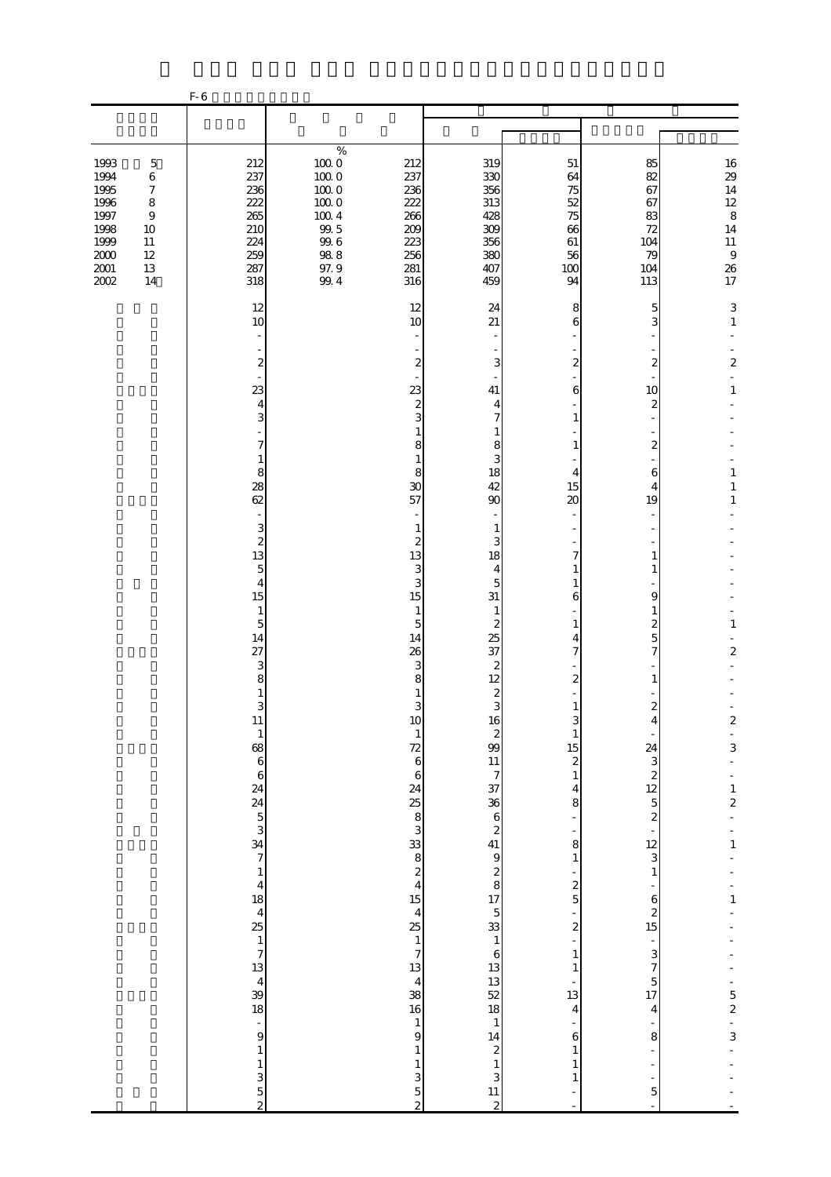|                  |                       | $F-6$                                                                                                    |                                                                                                                |                                        |                                            |                                                                                        |                             |
|------------------|-----------------------|----------------------------------------------------------------------------------------------------------|----------------------------------------------------------------------------------------------------------------|----------------------------------------|--------------------------------------------|----------------------------------------------------------------------------------------|-----------------------------|
|                  |                       |                                                                                                          |                                                                                                                |                                        |                                            |                                                                                        |                             |
| 1993<br>1994     | $\mathbf 5$<br>6      | 212<br>237                                                                                               | %<br>$100\ 0$<br>212<br>$100\ 0$<br>237                                                                        | 319<br>330                             | 51<br>64                                   | 85<br>82                                                                               | $16\,$<br>29                |
| 1995<br>1996     | $\boldsymbol{7}$<br>8 | 236<br>222                                                                                               | $100\;0$<br>236<br>$100\;0$<br>222                                                                             | 356<br>313                             | 75<br>52                                   | 67<br>67                                                                               | $14\,$<br>$12\,$            |
| 1997<br>1998     | $\,9$<br>10           | 265<br>210                                                                                               | $100\ 4$<br>266<br>$99.5$<br>209                                                                               | 428<br>309                             | 75<br>66                                   | 83<br>72                                                                               | $\,8\,$<br>14               |
| 1999<br>$2000\,$ | $11\,$<br>12          | 224<br>259                                                                                               | $99.6$<br>223<br>$98.8\,$<br>256                                                                               | 356<br>380                             | 61<br>56                                   | 104<br>79                                                                              | $11\,$<br>$\,9$             |
| $2001\,$<br>2002 | $13\,$<br>14          | 287<br>318                                                                                               | 97.9<br>281<br>99.4<br>316                                                                                     | 407<br>459                             | 100<br>94                                  | 104<br>113                                                                             | 26<br>17                    |
|                  |                       | 12<br>10<br>$\overline{\phantom{a}}$                                                                     | 12<br>10                                                                                                       | 24<br>21                               | 8<br>6                                     | 5<br>3                                                                                 | $\mathsf 3$<br>$\mathbf{1}$ |
|                  |                       | $\boldsymbol{z}$                                                                                         | $\boldsymbol{z}$                                                                                               | $\overline{\phantom{a}}$<br>3          | $\mathbf{z}$                               | $\boldsymbol{z}$                                                                       | $\mathbf{z}$                |
|                  |                       | 23                                                                                                       | 23                                                                                                             | 41                                     | 6                                          | 10                                                                                     | 1                           |
|                  |                       | $\overline{4}$<br>3                                                                                      | $\boldsymbol{z}$<br>3                                                                                          | 4<br>7                                 | $\mathbf{1}$                               | $\mathbf{z}$                                                                           |                             |
|                  |                       | 7                                                                                                        | $\mathbf{1}$<br>8                                                                                              | 1<br>8                                 | 1                                          | $\boldsymbol{z}$                                                                       |                             |
|                  |                       | 1<br>8                                                                                                   | $\mathbf{1}$<br>8                                                                                              | 3<br>18<br>42                          | $\overline{4}$                             | 6                                                                                      | $\mathbf{1}$                |
|                  |                       | 28<br>62                                                                                                 | 30<br>57                                                                                                       | 90                                     | 15<br>$\infty$                             | 4<br>19                                                                                | $\mathbf{1}$<br>1           |
|                  |                       | 3<br>$\overline{\mathcal{L}}$                                                                            | 1<br>$\boldsymbol{z}$                                                                                          | $\mathbf{1}$<br>3                      |                                            |                                                                                        |                             |
|                  |                       | 13<br>5                                                                                                  | 13<br>3                                                                                                        | 18<br>4                                | 7<br>1                                     | 1<br>1                                                                                 |                             |
|                  |                       | $\overline{4}$<br>15                                                                                     | 3<br>15                                                                                                        | 5<br>31                                | 1<br>6                                     | 9                                                                                      |                             |
|                  |                       | $\mathbf{1}$<br>$\overline{5}$<br>14                                                                     | $\mathbf{1}$<br>$\overline{5}$<br>14                                                                           | $\mathbf{1}$<br>$\boldsymbol{z}$<br>25 | 1                                          | $\mathbf{1}$<br>$\boldsymbol{z}$<br>$\overline{5}$                                     | $\mathbf{1}$                |
|                  |                       | 27<br>3                                                                                                  | 26<br>3                                                                                                        | 37<br>$\boldsymbol{z}$                 | 4<br>$\overline{7}$                        | $\overline{7}$                                                                         | $\overline{a}$              |
|                  |                       | 8<br>1                                                                                                   | 8<br>1                                                                                                         | 12                                     | $\boldsymbol{2}$                           | 1                                                                                      |                             |
|                  |                       | 3<br>$11\,$                                                                                              | 3                                                                                                              | $\frac{2}{3}$                          | $\mathbf{1}$<br>3                          | $\boldsymbol{2}$<br>4                                                                  |                             |
|                  |                       |                                                                                                          | $\begin{array}{c}\n10 \\ 1 \\ 72 \\ 6\n\end{array}$                                                            |                                        | $\frac{1}{15}$                             |                                                                                        | $\frac{2}{3}$               |
|                  |                       | $\frac{1}{3}$ as $\frac{1}{3}$ as $\frac{1}{3}$ as $\frac{1}{3}$ as $\frac{1}{3}$                        | $\overline{6}$                                                                                                 |                                        | $\,1$                                      | 24<br>$3 \times 2 \times 5$<br>$3 \times 5 \times 5$<br>$3 \times 5 \times 5 \times 5$ |                             |
|                  |                       |                                                                                                          |                                                                                                                |                                        | $\overline{\mathbf{4}}$<br>8               |                                                                                        | $\frac{1}{2}$               |
|                  |                       |                                                                                                          |                                                                                                                |                                        | ÷,                                         |                                                                                        | $\frac{1}{1}$               |
|                  |                       |                                                                                                          |                                                                                                                |                                        | 8<br>$\,1\,$                               | $\,1$                                                                                  |                             |
|                  |                       |                                                                                                          |                                                                                                                |                                        | $\frac{1}{2}$                              |                                                                                        | $\frac{1}{1}$               |
|                  |                       |                                                                                                          |                                                                                                                |                                        | $\frac{1}{2}$                              | $\begin{array}{c} 6 \\ 2 \\ 15 \end{array}$                                            |                             |
|                  |                       |                                                                                                          |                                                                                                                |                                        | $\,1$                                      |                                                                                        |                             |
|                  |                       |                                                                                                          |                                                                                                                |                                        | $\mathbf 1$                                | $\begin{array}{c}\n3 \\ 7 \\ 5 \\ 17\n\end{array}$                                     |                             |
|                  |                       | $\frac{4}{18}$ $\frac{18}{4}$ $\frac{4}{18}$ $\frac{4}{18}$ $\frac{4}{18}$ $\frac{4}{18}$ $\frac{4}{18}$ | 23 23 23 23 24 25 26 26 26 27 28 29 29 20 20 21 22 22 23 23 23 23 24 25 26 27 28 29 29 20 20 21 22 22 23 23 24 |                                        | $\frac{1}{13}$<br>$\overline{\mathbf{4}}$  | $\overline{\mathbf{4}}$                                                                |                             |
|                  |                       | $\frac{1}{9}$                                                                                            | $\begin{array}{c} 1 \\ 9 \end{array}$                                                                          |                                        | $\overline{\phantom{0}}$<br>$\overline{6}$ | 8                                                                                      | $-52$<br>$-3$               |
|                  |                       | $\,$ 1 $\,$                                                                                              | $\,1\,$<br>$\,1$                                                                                               |                                        | $\mathbf{1}$<br>$\mathbf{1}$               | $\overline{\phantom{0}}$                                                               |                             |
|                  |                       |                                                                                                          | $\begin{array}{c} 3 \\ 5 \\ 2 \end{array}$                                                                     |                                        | $\mathbf{1}$<br>÷                          | ÷<br>$\overline{5}$                                                                    |                             |
|                  |                       |                                                                                                          |                                                                                                                |                                        | $\blacksquare$                             | $\bar{\phantom{a}}$                                                                    |                             |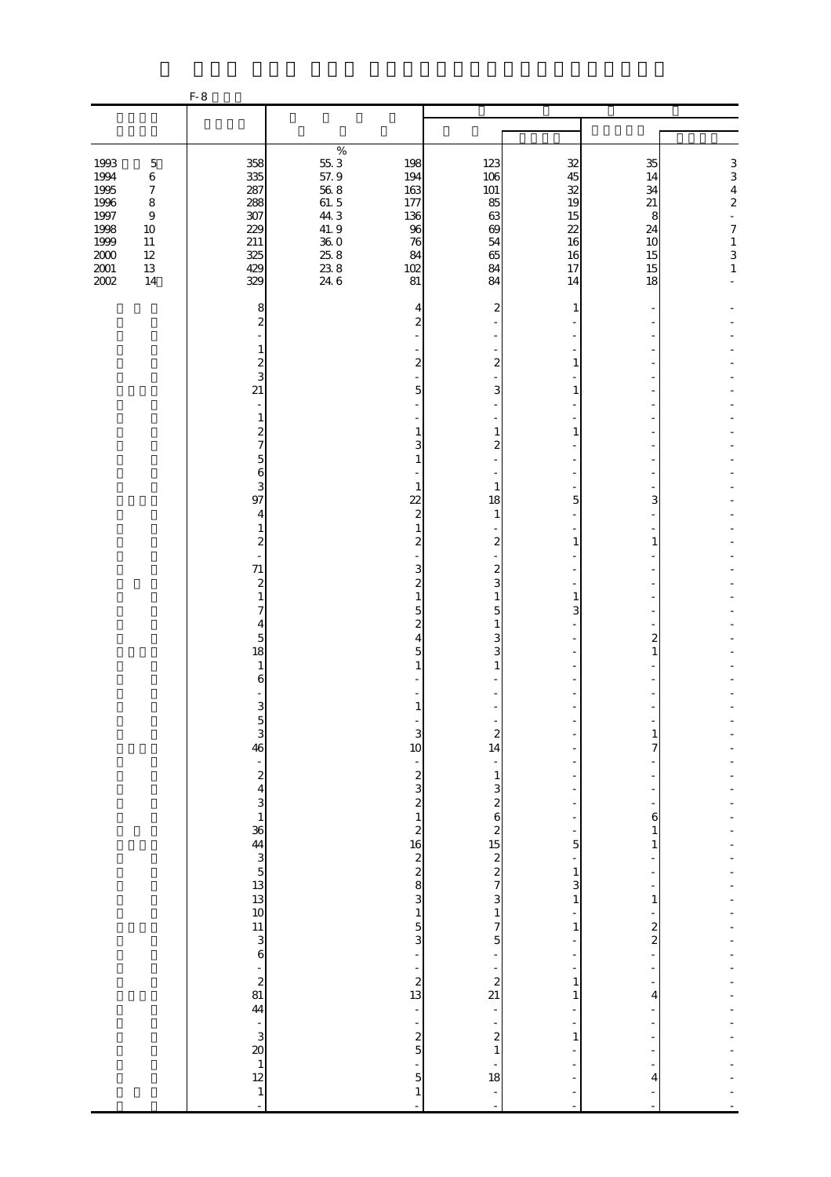|                                                  |                                                                                   | $F-8$                                                                                                                                            |                                                            |                                                                                                      |                                                                                                            |                                                          |                                 |                                                                                         |
|--------------------------------------------------|-----------------------------------------------------------------------------------|--------------------------------------------------------------------------------------------------------------------------------------------------|------------------------------------------------------------|------------------------------------------------------------------------------------------------------|------------------------------------------------------------------------------------------------------------|----------------------------------------------------------|---------------------------------|-----------------------------------------------------------------------------------------|
|                                                  |                                                                                   |                                                                                                                                                  |                                                            |                                                                                                      |                                                                                                            |                                                          |                                 |                                                                                         |
| 1993<br>1994<br>1995<br>1996<br>$1997\,$<br>1998 | $\mathbf 5$<br>$\,6$<br>$\boldsymbol{7}$<br>$\,8\,$<br>$\boldsymbol{9}$<br>$10\,$ | 358<br>335<br>287<br>288<br>307<br>229                                                                                                           | $\%$<br>$55\,3$<br>57.9<br>$56\;8$<br>61.5<br>44.3<br>41.9 | 198<br>194<br>163<br>177<br>136<br>96                                                                | 123<br>106<br>101<br>85<br>63<br>69                                                                        | 32<br>45<br>32<br>19<br>15<br>22                         | 35<br>14<br>34<br>21<br>8<br>24 | 3<br>3<br>$\overline{4}$<br>$\overline{\mathcal{L}}$<br>$\frac{1}{2}$<br>$\overline{7}$ |
| 1999<br>$2000\,$<br>$2001\,$<br>2002             | $11\,$<br>$12\,$<br>$13\,$<br>14                                                  | 211<br>325<br>429<br>329                                                                                                                         | $36\;0$<br>25.8<br>238<br>24.6                             | 76<br>84<br>102<br>81                                                                                | 54<br>65<br>84<br>84                                                                                       | 16<br>16<br>17<br>14                                     | 10<br>15<br>15<br>18            | $\,1$<br>3<br>$\,1$                                                                     |
|                                                  |                                                                                   | 8<br>$\overline{\mathcal{Z}}$<br>1<br>$\overline{\mathcal{Z}}$                                                                                   |                                                            | 4<br>$\overline{c}$<br>$\boldsymbol{2}$                                                              | 2<br>$\boldsymbol{z}$                                                                                      | 1<br>1                                                   |                                 |                                                                                         |
|                                                  |                                                                                   | 3<br>21<br>$\overline{\phantom{a}}$<br>$\mathbf{1}$<br>$\mathbf{z}$                                                                              |                                                            | 5<br>1                                                                                               | 3<br>$\mathbf{1}$                                                                                          | 1<br>1                                                   |                                 |                                                                                         |
|                                                  |                                                                                   | $\overline{\mathcal{U}}$<br>$\overline{5}$<br>6<br>3<br>97                                                                                       |                                                            | 3<br>$\mathbf{1}$<br>$\overline{22}$                                                                 | $\boldsymbol{z}$<br>1<br>18                                                                                | 5                                                        | 3                               |                                                                                         |
|                                                  |                                                                                   | 4<br>1<br>2<br>71                                                                                                                                |                                                            | $\overline{\mathcal{L}}$<br>$\mathbf{1}$<br>$\boldsymbol{z}$<br>3                                    | $\mathbf{1}$<br>$\boldsymbol{z}$<br>$\boldsymbol{z}$                                                       | 1                                                        | 1                               |                                                                                         |
|                                                  |                                                                                   | $\boldsymbol{z}$<br>1<br>7<br>4<br>5                                                                                                             |                                                            | $\boldsymbol{z}$<br>$\mathbf{1}$<br>5<br>$\boldsymbol{z}$<br>4                                       | 3<br>$\mathbf{1}$<br>5<br>1<br>3                                                                           | 1<br>3                                                   | 2                               |                                                                                         |
|                                                  |                                                                                   | 18<br>$\mathbf{1}$<br>6<br>3                                                                                                                     |                                                            | 5<br>1                                                                                               | 3<br>1                                                                                                     |                                                          | 1                               |                                                                                         |
|                                                  |                                                                                   | $\frac{5}{3}$<br>46                                                                                                                              |                                                            | 3<br>10<br>÷                                                                                         | $\boldsymbol{z}$<br>14<br>$\overline{\phantom{0}}$<br>$\mathbf{1}$                                         |                                                          | 1<br>7                          |                                                                                         |
|                                                  |                                                                                   |                                                                                                                                                  |                                                            |                                                                                                      | $\mathbf{3}$<br>$2625$<br>$1522$<br>$7$                                                                    | ÷,<br>5                                                  | $\boldsymbol{6}$<br>1<br>1      |                                                                                         |
|                                                  |                                                                                   | $-2$<br>$-2$<br>$-3$<br>$-3$<br>$-3$<br>$-4$<br>$-3$<br><br>$-6$<br><br>$-1$<br><br><br><br><br><br><br><br><br><br><br><br><br><br><br><br><br> |                                                            |                                                                                                      | $\overline{\mathbf{3}}$                                                                                    | $\overline{\phantom{0}}$<br>$\mathbf{1}$<br>3<br>$\,1\,$ | 1                               |                                                                                         |
|                                                  |                                                                                   | $\begin{bmatrix} 11 \\ 3 \\ 6 \end{bmatrix}$                                                                                                     |                                                            | $\begin{array}{c} 1 \\ 5 \\ 3 \end{array}$<br>÷<br>÷                                                 | $\,1$<br>7<br>$\overline{5}$<br>$\overline{\phantom{a}}$<br>$\overline{\phantom{0}}$                       | ÷<br>1<br>÷,<br>÷,<br>$\overline{\phantom{a}}$           | $\frac{2}{2}$<br>÷,             |                                                                                         |
|                                                  |                                                                                   | $\begin{array}{c} 2 \\ 2 \\ 44 \end{array}$                                                                                                      |                                                            | $\begin{array}{c} 2 \\ 13 \end{array}$<br>$\overline{\phantom{a}}$<br>$\frac{1}{2}$<br>$\frac{2}{5}$ | $\overline{\mathcal{L}}$<br>21<br>$\overline{\phantom{a}}$<br>$\overline{\phantom{0}}$<br>$\boldsymbol{z}$ | $\mathbf{1}$<br>1<br>÷,<br>÷,<br>$\mathbf{1}$            | 4                               |                                                                                         |
|                                                  |                                                                                   | $\begin{array}{c} 1 \\ 3 \\ 2 \\ 12 \end{array}$<br>$\frac{1}{1}$                                                                                |                                                            | $\overline{\phantom{0}}$<br>$\overline{5}$<br>$\mathbf{1}$                                           | $\,1\,$<br>$\frac{1}{18}$<br>$\frac{1}{\sqrt{2}}$<br>÷,                                                    |                                                          | 4                               |                                                                                         |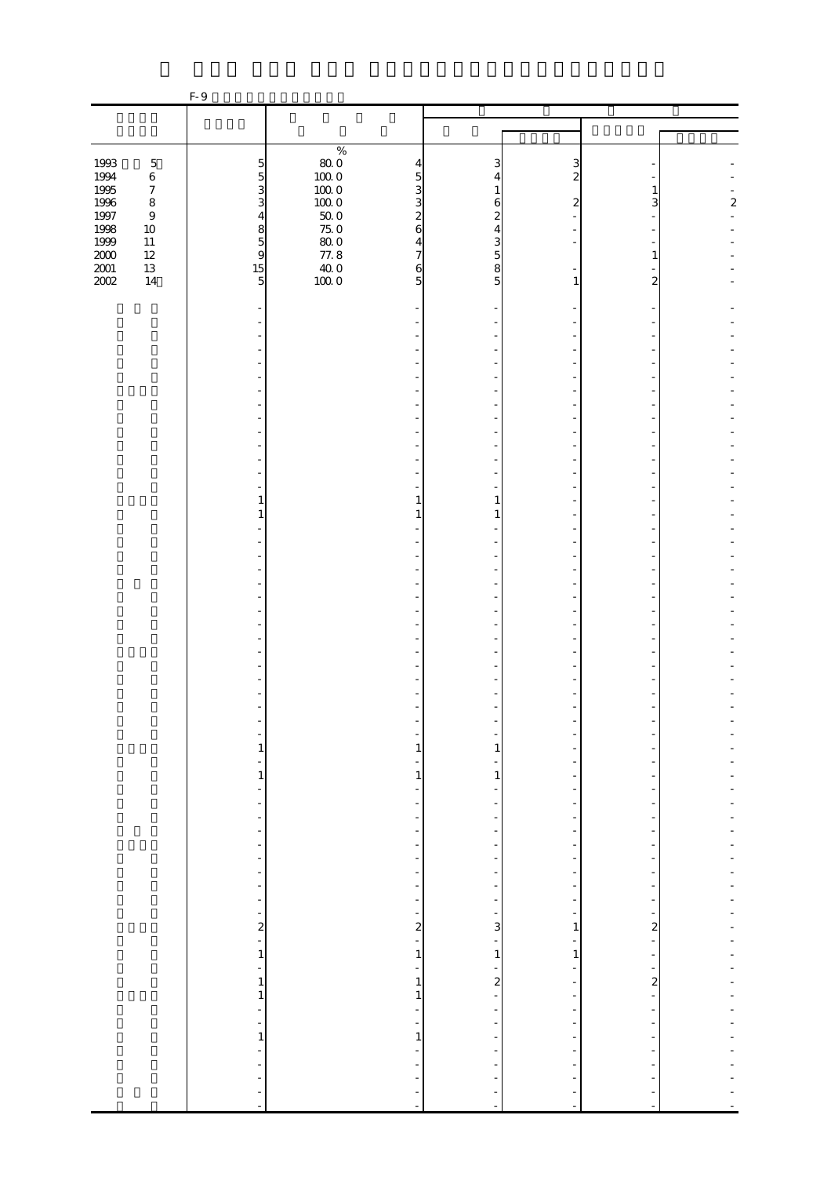|                  |                             | F-9                                                                                                     |                                                                |                               |                                                      |                                           |                  |
|------------------|-----------------------------|---------------------------------------------------------------------------------------------------------|----------------------------------------------------------------|-------------------------------|------------------------------------------------------|-------------------------------------------|------------------|
|                  |                             |                                                                                                         |                                                                |                               |                                                      |                                           |                  |
|                  |                             |                                                                                                         |                                                                |                               |                                                      |                                           |                  |
|                  |                             |                                                                                                         | $\%$                                                           |                               |                                                      |                                           |                  |
| 1993             | $\mathbf 5$                 | $\overline{5}$                                                                                          | $\begin{array}{c} 80.0 \\ 100.0 \end{array}$<br>$\overline{4}$ | 3                             | 3                                                    |                                           |                  |
| 1994             | $\,6\,$                     | $\overline{5}$                                                                                          | 5                                                              | 4                             | $\overline{c}$                                       |                                           |                  |
| 1995             | $\boldsymbol{7}$<br>$\,8\,$ | 3<br>3                                                                                                  | $100\;0$<br>3<br>3                                             | 1                             |                                                      | 1<br>3                                    | $\boldsymbol{z}$ |
| 1996<br>$1997\,$ | $\boldsymbol{9}$            | $\overline{4}$                                                                                          | $100\;0$<br>$50\;0$<br>$\overline{\mathcal{Z}}$                | 6<br>$\mathbf{z}$             | $\boldsymbol{2}$                                     |                                           |                  |
| 1998             | $10\,$                      |                                                                                                         | $75.0\,$<br>$\mathbf{6}$                                       | 4                             |                                                      |                                           |                  |
| $1999\,$         | $11\,$                      | $\begin{array}{c} 8 \\ 5 \\ 9 \end{array}$                                                              | $80\;0$<br>$\overline{4}$                                      | 3                             |                                                      |                                           |                  |
| $2000\,$         | $12\,$                      |                                                                                                         | 77.8<br>$\overline{7}$                                         | 5                             |                                                      | 1                                         |                  |
| $2001\,$         | $13\,$                      | 15                                                                                                      | $\frac{40}{100}$ 0<br>6                                        | 8                             |                                                      |                                           |                  |
| 2002             | $14\,$                      | 5                                                                                                       | 5                                                              | 5                             | 1                                                    | 2                                         |                  |
|                  |                             |                                                                                                         |                                                                |                               |                                                      |                                           |                  |
|                  |                             |                                                                                                         |                                                                |                               |                                                      |                                           |                  |
|                  |                             |                                                                                                         |                                                                |                               |                                                      |                                           |                  |
|                  |                             |                                                                                                         |                                                                |                               |                                                      |                                           |                  |
|                  |                             |                                                                                                         |                                                                |                               |                                                      |                                           |                  |
|                  |                             |                                                                                                         |                                                                |                               |                                                      |                                           |                  |
|                  |                             |                                                                                                         |                                                                |                               |                                                      |                                           |                  |
|                  |                             |                                                                                                         |                                                                |                               |                                                      |                                           |                  |
|                  |                             |                                                                                                         |                                                                |                               |                                                      |                                           |                  |
|                  |                             |                                                                                                         |                                                                |                               |                                                      |                                           |                  |
|                  |                             |                                                                                                         |                                                                |                               |                                                      |                                           |                  |
|                  |                             |                                                                                                         |                                                                |                               |                                                      |                                           |                  |
|                  |                             |                                                                                                         |                                                                |                               |                                                      |                                           |                  |
|                  |                             | 1                                                                                                       | 1                                                              | 1                             |                                                      |                                           |                  |
|                  |                             | $\mathbf{1}$                                                                                            |                                                                | 1                             |                                                      |                                           |                  |
|                  |                             |                                                                                                         |                                                                |                               |                                                      |                                           |                  |
|                  |                             |                                                                                                         |                                                                |                               |                                                      |                                           |                  |
|                  |                             |                                                                                                         |                                                                |                               |                                                      |                                           |                  |
|                  |                             |                                                                                                         |                                                                |                               |                                                      |                                           |                  |
|                  |                             |                                                                                                         |                                                                |                               |                                                      |                                           |                  |
|                  |                             |                                                                                                         |                                                                |                               |                                                      |                                           |                  |
|                  |                             |                                                                                                         |                                                                |                               |                                                      |                                           |                  |
|                  |                             |                                                                                                         |                                                                |                               |                                                      |                                           |                  |
|                  |                             |                                                                                                         |                                                                |                               |                                                      |                                           |                  |
|                  |                             |                                                                                                         |                                                                |                               |                                                      |                                           |                  |
|                  |                             |                                                                                                         |                                                                |                               |                                                      |                                           |                  |
|                  |                             |                                                                                                         |                                                                |                               |                                                      |                                           |                  |
|                  |                             |                                                                                                         |                                                                |                               |                                                      |                                           |                  |
|                  |                             |                                                                                                         |                                                                |                               |                                                      |                                           |                  |
|                  |                             | $\mathbf{1}$                                                                                            | 1                                                              | 1                             |                                                      |                                           |                  |
|                  |                             | -<br>$\mathbf{1}$                                                                                       | ٠<br>$\,1\,$                                                   | $\mathbf{1}$                  |                                                      |                                           |                  |
|                  |                             | $\frac{1}{2}$                                                                                           | $\overline{\phantom{a}}$                                       | $\overline{a}$                | $\overline{\phantom{m}}$                             | -                                         |                  |
|                  |                             | $\overline{\phantom{0}}$                                                                                | $\overline{\phantom{a}}$                                       | $\overline{\phantom{0}}$      | $\overline{\phantom{m}}$                             | $\frac{1}{2}$                             |                  |
|                  |                             | $\frac{1}{2}$                                                                                           | $\overline{\phantom{a}}$                                       | $\overline{\phantom{a}}$      | $\overline{\phantom{a}}$                             | $\overline{\phantom{m}}$                  |                  |
|                  |                             | $\qquad \qquad \blacksquare$                                                                            | $\overline{\phantom{0}}$                                       |                               |                                                      |                                           |                  |
|                  |                             | $\qquad \qquad \blacksquare$                                                                            | $\overline{\phantom{a}}$                                       | -                             | -                                                    | ÷                                         |                  |
|                  |                             | $\blacksquare$<br>÷                                                                                     | $\overline{\phantom{0}}$                                       | $\overline{\phantom{0}}$<br>- | $\overline{\phantom{a}}$<br>$\overline{\phantom{m}}$ | $\overline{\phantom{m}}$<br>$\frac{1}{2}$ |                  |
|                  |                             | $\frac{1}{2}$                                                                                           | $\overline{\phantom{a}}$<br>$\overline{\phantom{a}}$           | $\overline{\phantom{0}}$      | $\frac{1}{2}$                                        | $\frac{1}{2}$                             |                  |
|                  |                             | $\blacksquare$                                                                                          | $\overline{\phantom{0}}$                                       | $\overline{\phantom{a}}$      | $\overline{\phantom{m}}$                             | ÷                                         |                  |
|                  |                             | $\frac{1}{\sqrt{2}}\int_{0}^{\sqrt{2}}\frac{1}{\sqrt{2}}\left( \frac{1}{\sqrt{2}}\right) ^{2}d\mu d\nu$ | $\overline{\phantom{a}}$                                       | $\frac{1}{\sqrt{2}}$          | $\frac{1}{\sqrt{2}}$                                 | $\overline{\phantom{0}}$                  |                  |
|                  |                             | $\frac{2}{1}$                                                                                           | $\overline{a}$                                                 | 3                             | $\mathbf{1}$                                         | $\overline{\mathbf{c}}$                   |                  |
|                  |                             |                                                                                                         | ÷,                                                             | -                             | $\overline{\phantom{a}}$                             | ÷,                                        |                  |
|                  |                             | $\,1$                                                                                                   | $\,1$                                                          | $\,1\,$                       | $\,1$                                                | $\overline{\phantom{0}}$                  |                  |
|                  |                             | $\overline{\phantom{a}}$<br>$\,1$                                                                       | $\overline{\phantom{a}}$<br>$\,1\,$                            | -                             | $\overline{\phantom{m}}$                             | $\frac{1}{2}$<br>$\boldsymbol{z}$         |                  |
|                  |                             | $\mathbf{1}$                                                                                            | $\mathbf{1}$                                                   | $\mathbf{z}$<br>-             | $\overline{\phantom{m}}$<br>$\overline{a}$           | -                                         |                  |
|                  |                             | $\blacksquare$                                                                                          | $\overline{\phantom{a}}$                                       | $\overline{\phantom{a}}$      | $\overline{\phantom{a}}$                             | $\overline{\phantom{a}}$                  |                  |
|                  |                             | ÷                                                                                                       | -                                                              |                               | ÷                                                    |                                           |                  |
|                  |                             | $\,1$                                                                                                   | $\,1\,$                                                        | $\frac{1}{2}$                 | $\frac{1}{2}$                                        | $\frac{1}{2}$                             |                  |
|                  |                             | $\Box$                                                                                                  | $\frac{1}{2}$                                                  | $\overline{\phantom{0}}$      | $\overline{\phantom{m}}$                             | $\frac{1}{2}$                             |                  |
|                  |                             | $\overline{\phantom{m}}$                                                                                | $\overline{\phantom{0}}$                                       |                               | $\overline{a}$                                       |                                           |                  |
|                  |                             | ÷                                                                                                       | $\overline{a}$                                                 |                               |                                                      |                                           |                  |
|                  |                             | ÷<br>$\blacksquare$                                                                                     | $\blacksquare$                                                 | f<br>$\blacksquare$           | ÷,                                                   | ÷,                                        |                  |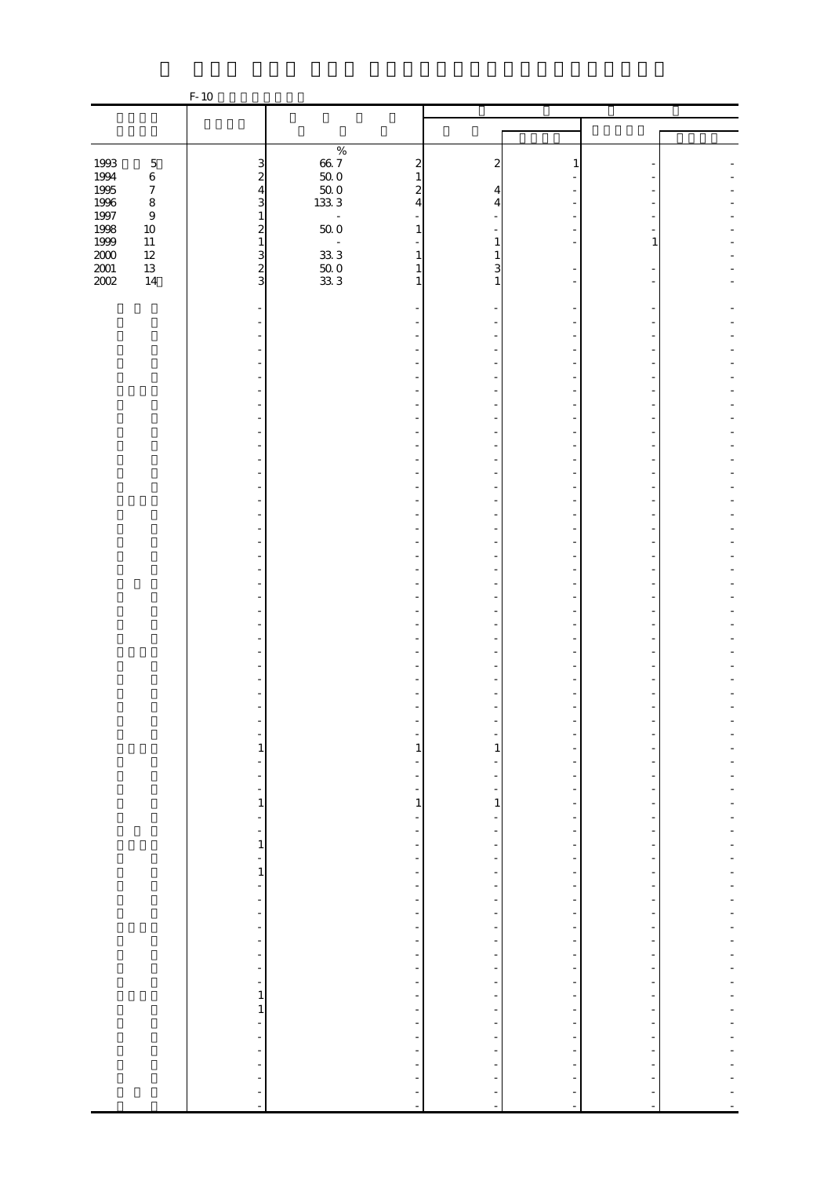|                                      |                                 | $F-10$                                       |                                                         |                                                      |                                                      |                                                      |  |
|--------------------------------------|---------------------------------|----------------------------------------------|---------------------------------------------------------|------------------------------------------------------|------------------------------------------------------|------------------------------------------------------|--|
|                                      |                                 |                                              |                                                         |                                                      |                                                      |                                                      |  |
|                                      |                                 |                                              |                                                         |                                                      |                                                      |                                                      |  |
|                                      |                                 |                                              | $\%$                                                    |                                                      |                                                      |                                                      |  |
| 1993                                 | $\mathbf 5$                     |                                              | $66\frac{7}{500}$<br>$500$<br>$500$<br>$\boldsymbol{z}$ | 2                                                    | 1                                                    |                                                      |  |
| 1994<br>1995                         | $\,6\,$                         | $\frac{3}{2}$                                | $\mathbf{1}$                                            |                                                      |                                                      |                                                      |  |
|                                      | $\boldsymbol{7}$                | $\overline{4}$<br>3                          | $\boldsymbol{z}$<br>$\overline{4}$                      | 4                                                    |                                                      |                                                      |  |
| 1996<br>1997                         | $\,$ 8 $\,$<br>$\boldsymbol{9}$ | $\mathbf{1}$                                 | 1333<br>$\frac{1}{2}$                                   | 4                                                    |                                                      |                                                      |  |
| 1998<br>1999<br>2000<br>2001<br>2002 | $10\,$                          | $\overline{\mathcal{L}}$                     | $50\;0$<br>$\mathbf{1}$                                 |                                                      |                                                      |                                                      |  |
|                                      | $11\,$                          | $\mathbf{1}$                                 |                                                         | 1                                                    |                                                      | 1                                                    |  |
|                                      | $12\,$                          | $\frac{3}{2}$                                | 33.3<br>$\mathbf{1}$                                    |                                                      |                                                      |                                                      |  |
|                                      | $13\,$<br>14                    |                                              | $\frac{500}{333}$<br>$\mathbf{1}$<br>$\mathbf{1}$       | 3<br>1                                               |                                                      |                                                      |  |
|                                      |                                 |                                              |                                                         |                                                      |                                                      |                                                      |  |
|                                      |                                 |                                              |                                                         |                                                      |                                                      |                                                      |  |
|                                      |                                 |                                              |                                                         |                                                      |                                                      |                                                      |  |
|                                      |                                 |                                              |                                                         |                                                      |                                                      |                                                      |  |
|                                      |                                 |                                              |                                                         |                                                      |                                                      |                                                      |  |
|                                      |                                 |                                              |                                                         |                                                      |                                                      |                                                      |  |
|                                      |                                 |                                              |                                                         |                                                      |                                                      |                                                      |  |
|                                      |                                 |                                              |                                                         |                                                      |                                                      |                                                      |  |
|                                      |                                 |                                              |                                                         |                                                      |                                                      |                                                      |  |
|                                      |                                 |                                              |                                                         |                                                      |                                                      |                                                      |  |
|                                      |                                 |                                              |                                                         |                                                      |                                                      |                                                      |  |
|                                      |                                 |                                              |                                                         |                                                      |                                                      |                                                      |  |
|                                      |                                 |                                              |                                                         |                                                      |                                                      |                                                      |  |
|                                      |                                 |                                              |                                                         |                                                      |                                                      |                                                      |  |
|                                      |                                 |                                              |                                                         |                                                      |                                                      |                                                      |  |
|                                      |                                 |                                              |                                                         |                                                      |                                                      |                                                      |  |
|                                      |                                 |                                              |                                                         |                                                      |                                                      |                                                      |  |
|                                      |                                 |                                              |                                                         |                                                      |                                                      |                                                      |  |
|                                      |                                 |                                              |                                                         |                                                      |                                                      |                                                      |  |
|                                      |                                 |                                              |                                                         |                                                      |                                                      |                                                      |  |
|                                      |                                 |                                              |                                                         |                                                      |                                                      |                                                      |  |
|                                      |                                 |                                              |                                                         |                                                      |                                                      |                                                      |  |
|                                      |                                 |                                              |                                                         |                                                      |                                                      |                                                      |  |
|                                      |                                 |                                              |                                                         |                                                      |                                                      |                                                      |  |
|                                      |                                 |                                              |                                                         |                                                      |                                                      |                                                      |  |
|                                      |                                 |                                              |                                                         |                                                      |                                                      |                                                      |  |
|                                      |                                 |                                              |                                                         |                                                      |                                                      |                                                      |  |
|                                      |                                 |                                              |                                                         |                                                      |                                                      |                                                      |  |
|                                      |                                 |                                              | -                                                       |                                                      |                                                      |                                                      |  |
|                                      |                                 | $\mathbf{1}$<br>$\overline{\phantom{0}}$     | $\mathbf{1}$<br>-                                       | $\mathbf{1}$                                         | -<br>-                                               |                                                      |  |
|                                      |                                 | $\overline{\phantom{a}}$                     | $\overline{\phantom{a}}$                                |                                                      | ÷                                                    |                                                      |  |
|                                      |                                 | $\frac{1}{\sqrt{2}}$                         | ÷                                                       | $\overline{\phantom{0}}$                             | $\overline{\phantom{a}}$                             | $\overline{a}$                                       |  |
|                                      |                                 | $\mathbf 1$                                  | $\,1\,$                                                 | $\,1\,$                                              | $\overline{\phantom{a}}$                             | $\frac{1}{2}$                                        |  |
|                                      |                                 | ÷,                                           | $\frac{1}{2}$                                           | $\frac{1}{2}$                                        | $\overline{\phantom{a}}$                             | $\overline{\phantom{m}}$                             |  |
|                                      |                                 | ÷<br>$\mathbf{1}$                            | $\overline{\phantom{a}}$                                | $\overline{\phantom{0}}$                             | -                                                    |                                                      |  |
|                                      |                                 |                                              | $\overline{\phantom{0}}$<br>f                           | $\overline{\phantom{0}}$<br>$\overline{\phantom{a}}$ | ÷,<br>$\overline{\phantom{a}}$                       | -<br>$\overline{\phantom{a}}$                        |  |
|                                      |                                 | $\frac{1}{1}$                                | f                                                       | ÷,                                                   | $\overline{\phantom{a}}$                             | $\overline{\phantom{0}}$                             |  |
|                                      |                                 | ÷,                                           | ÷,                                                      | $\overline{\phantom{0}}$                             | $\overline{\phantom{a}}$                             | $\overline{\phantom{0}}$                             |  |
|                                      |                                 | $\frac{1}{\pi}$                              | ÷,                                                      | $\overline{\phantom{a}}$                             | $\overline{\phantom{a}}$                             | $\frac{1}{2}$                                        |  |
|                                      |                                 | $\frac{1}{\sqrt{2}}$                         | $\frac{1}{2}$                                           | $\overline{\phantom{0}}$                             | $\overline{\phantom{a}}$                             | -                                                    |  |
|                                      |                                 | -                                            | ÷                                                       | $\qquad \qquad \blacksquare$                         | $\overline{a}$                                       | ۰                                                    |  |
|                                      |                                 | $\frac{1}{\sqrt{2}}$                         | $\frac{1}{\sqrt{2}}$                                    | $\overline{\phantom{a}}$<br>$\overline{\phantom{a}}$ | $\overline{\phantom{a}}$<br>$\overline{\phantom{a}}$ | $\overline{a}$<br>-                                  |  |
|                                      |                                 | $\frac{1}{\sqrt{2}}$<br>$\frac{1}{\sqrt{2}}$ | $\frac{1}{\sqrt{2}}$<br>$\blacksquare$                  | $\overline{\phantom{a}}$                             | $\overline{\phantom{a}}$                             | $\overline{\phantom{m}}$                             |  |
|                                      |                                 | ÷,                                           | ÷,                                                      | $\overline{\phantom{0}}$                             | f                                                    | $\overline{a}$                                       |  |
|                                      |                                 | $\mathbf{1}$                                 | $\overline{\phantom{0}}$                                | $\overline{\phantom{a}}$                             | ÷,                                                   | -                                                    |  |
|                                      |                                 | $\mathbf{1}$                                 | $\overline{\phantom{a}}$                                | $\overline{\phantom{a}}$                             | $\overline{\phantom{a}}$                             | $\overline{\phantom{m}}$                             |  |
|                                      |                                 | $\frac{1}{2}$                                |                                                         | $\overline{\phantom{0}}$                             | $\frac{1}{\sqrt{2}}$                                 |                                                      |  |
|                                      |                                 |                                              | $\frac{1}{2}$                                           | ÷<br>$\overline{\phantom{a}}$                        | $\overline{\phantom{a}}$<br>$\overline{\phantom{a}}$ | $\overline{\phantom{0}}$<br>$\overline{\phantom{m}}$ |  |
|                                      |                                 | $\overline{\phantom{0}}$                     | $\overline{\phantom{a}}$                                | $\overline{\phantom{0}}$                             | $\overline{\phantom{a}}$                             |                                                      |  |
|                                      |                                 | ÷,                                           | $\overline{\phantom{0}}$                                |                                                      | -                                                    |                                                      |  |
|                                      |                                 | $\ddot{\phantom{0}}$                         | $\frac{1}{2}$                                           | $\frac{1}{2}$                                        | ÷,                                                   | $\overline{\phantom{a}}$                             |  |
|                                      |                                 | $\blacksquare$                               |                                                         |                                                      | $\blacksquare$                                       | $\blacksquare$                                       |  |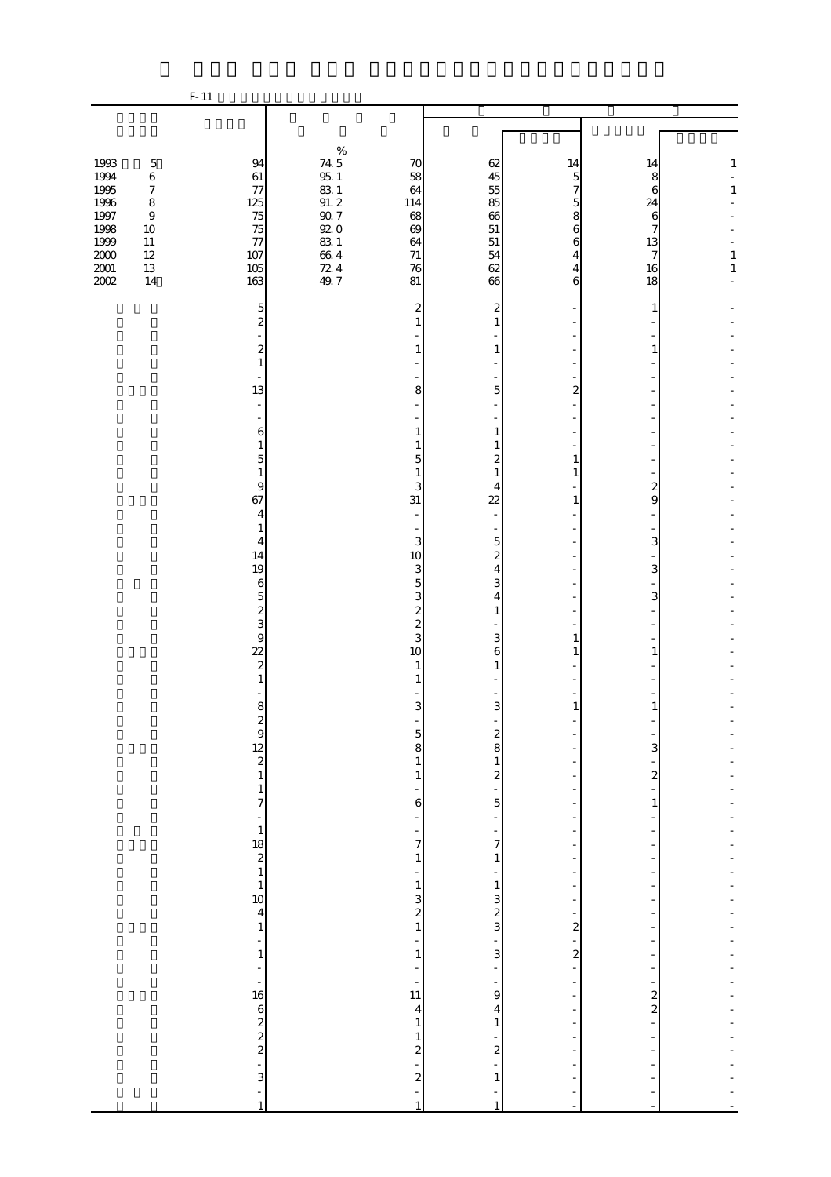|                                          |                                                           | $F-11$                                                                        |                                   |                                                            |                                                                  |                                                               |                                                      |                  |
|------------------------------------------|-----------------------------------------------------------|-------------------------------------------------------------------------------|-----------------------------------|------------------------------------------------------------|------------------------------------------------------------------|---------------------------------------------------------------|------------------------------------------------------|------------------|
|                                          |                                                           |                                                                               |                                   |                                                            |                                                                  |                                                               |                                                      |                  |
| 1993<br>1994                             | $\mathbf 5$<br>$\,6$                                      | 94<br>61                                                                      | $\%$<br>74.5<br>$95\!\!.$ $1\!\!$ | 70<br>58                                                   | 62<br>45                                                         | 14<br>5                                                       | 14<br>8                                              | $\mathbf{1}$     |
| 1995<br>1996<br>1997<br>1998             | $\boldsymbol{7}$<br>$\,8\,$<br>$\boldsymbol{9}$<br>$10\,$ | 77<br>125<br>75<br>75                                                         | $831$<br>91.2<br>92.7<br>92.0     | 64<br>114<br>68<br>69                                      | 55<br>85<br>66<br>51                                             | 7<br>5<br>8<br>6                                              | 6<br>24<br>6<br>7                                    | $\,1\,$          |
| 1999<br>$2000\,$<br>$2001\,$<br>$2002\,$ | $11\,$<br>$12\,$<br>$13\,$<br>14                          | 77<br>107<br>$105\,$<br>163                                                   | $831$<br>$664$<br>$724$<br>$49.7$ | 64<br>$71\,$<br>76<br>81                                   | 51<br>54<br>62<br>66                                             | 6<br>4<br>4                                                   | 13<br>7<br>16<br>18                                  | $\,1$<br>$\,1\,$ |
|                                          |                                                           | 5<br>$\overline{\mathcal{Z}}$                                                 |                                   | $\overline{\mathbf{c}}$<br>$\mathbf{1}$                    | 2<br>$\mathbf{1}$                                                | 6                                                             | 1                                                    |                  |
|                                          |                                                           | $\boldsymbol{z}$<br>$\mathbf{1}$                                              |                                   | $\mathbf{1}$                                               | 1                                                                |                                                               | 1                                                    |                  |
|                                          |                                                           | 13<br>L,                                                                      |                                   | 8                                                          | 5                                                                | $\overline{2}$                                                |                                                      |                  |
|                                          |                                                           | 6<br>1                                                                        |                                   | $\mathbf{1}$<br>1                                          | $\mathbf{1}$<br>1                                                |                                                               |                                                      |                  |
|                                          |                                                           | 5<br>1<br>9<br>67                                                             |                                   | 5<br>$\mathbf{1}$<br>3<br>31                               | $\boldsymbol{z}$<br>$\mathbf{1}$<br>4<br>22                      | 1<br>$\mathbf{1}$<br>1                                        | 2<br>9                                               |                  |
|                                          |                                                           | 4<br>1<br>4                                                                   |                                   | $\overline{\phantom{a}}$<br>$\frac{1}{2}$<br>3             | $\overline{5}$                                                   |                                                               | 3                                                    |                  |
|                                          |                                                           | 14<br>19<br>$\boldsymbol{6}$                                                  |                                   | 10<br>3<br>5                                               | $\boldsymbol{z}$<br>$\overline{4}$<br>3                          |                                                               | 3                                                    |                  |
|                                          |                                                           | $\overline{5}$<br>$\frac{2}{3}$                                               |                                   | 3<br>$\begin{array}{c} 2 \\ 2 \\ 3 \end{array}$            | $\overline{4}$<br>1                                              |                                                               | 3                                                    |                  |
|                                          |                                                           | $\overline{9}$<br>$\overline{22}$<br>$\overline{\mathcal{L}}$<br>$\mathbf{1}$ |                                   | 10<br>$\mathbf{1}$<br>1                                    | 3<br>6<br>$\mathbf{1}$                                           | 1<br>1                                                        | 1                                                    |                  |
|                                          |                                                           | 8                                                                             |                                   | 3<br>$\overline{a}$                                        | 3<br>٠                                                           | 1                                                             | 1                                                    |                  |
|                                          |                                                           | $\begin{array}{c}\n 2 \\  12 \\  2\n \end{array}$                             |                                   | $\frac{5}{8}$<br>$\,$ 1 $\,$                               | $\frac{2}{8}$                                                    | ÷,<br>$\overline{a}$                                          | 3<br>÷                                               |                  |
|                                          |                                                           | $\frac{1}{7}$<br>$\overline{a}$                                               |                                   | $\,1\,$<br>÷,<br>6<br>÷                                    | $\frac{1}{5}$<br>÷                                               | $\overline{\phantom{a}}$<br>÷<br>÷                            | $\overline{\mathcal{L}}$<br>$\mathbf{1}$             |                  |
|                                          |                                                           | $\mathbf{1}$                                                                  |                                   | $\frac{1}{7}$<br>$\mathbf 1$                               | ÷,<br>7<br>$\,1$                                                 | -<br>$\overline{a}$<br>$\overline{\phantom{0}}$               | ÷                                                    |                  |
|                                          |                                                           | $\begin{array}{c}\n 18 \\  2 \\  1 \\  1\n \end{array}$                       |                                   | $\frac{1}{2}$<br>$\mathbf{1}$                              | $\frac{1}{2}$<br>$\begin{array}{c} 1 \\ 3 \\ 2 \\ 3 \end{array}$ | $\frac{1}{2}$<br>$\overline{\phantom{a}}$<br>-                | ÷,                                                   |                  |
|                                          |                                                           | $\frac{4}{1}$<br>÷,<br>$\,$ 1 $\,$                                            |                                   | $\begin{array}{c} 3 \\ 2 \\ 1 \end{array}$<br>÷<br>$\,1\,$ | $\overline{a}$<br>$\mathbf{3}$                                   | -<br>$\overline{\mathbf{c}}$<br>÷<br>$\overline{\mathcal{L}}$ | $\overline{a}$<br>$\overline{a}$                     |                  |
|                                          |                                                           | $\overline{a}$<br>$\overline{\phantom{0}}$<br>16                              |                                   | $\frac{1}{2}$<br>÷<br>11                                   | ÷<br>$\frac{1}{9}$                                               | $\frac{1}{\sqrt{2}}$<br>$\overline{\phantom{0}}$<br>-         | $\overline{\phantom{m}}$<br>$\overline{\phantom{0}}$ |                  |
|                                          |                                                           | $\omega$ ' $\approx \infty$ $\infty$ $\infty$                                 |                                   | $\overline{\mathbf{4}}$<br>$\,1\,$<br>$\,1\,$              | $\overline{\mathbf{4}}$<br>$\,1$                                 | $\frac{1}{2}$<br>$\overline{\phantom{a}}$<br>$\blacksquare$   | $\frac{2}{2}$<br>$\overline{a}$                      |                  |
|                                          |                                                           |                                                                               |                                   | $\begin{array}{c} 2 \\ 2 \end{array}$                      | $\frac{1}{2}$<br>$1\,$                                           | $\frac{1}{2}$<br>$\frac{1}{2}$<br>÷,                          |                                                      |                  |
|                                          |                                                           | $\overline{a}$<br>1                                                           |                                   | ÷<br>$\mathbf{1}$                                          | -<br>$\mathbf{1}$                                                |                                                               |                                                      |                  |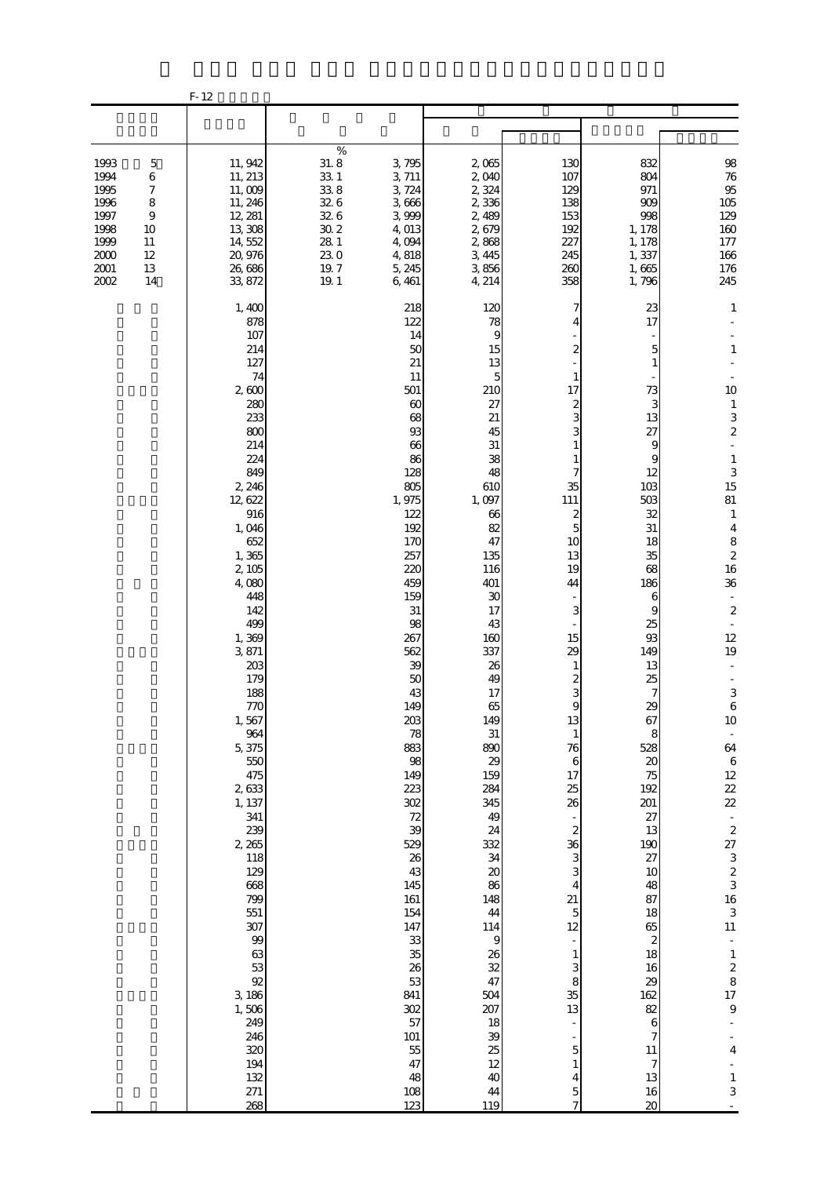|                                                                                                |                                                          | $F-12$                                                                                                                                                                                                                                                                                                                                                                                                                                                          |                                                                                                                           |                                                                                                                                                                                                                                                                                                                                                                                                                |                                                                                                                                                                                                                                                                                                                                                                                                                   |                                                                                                                                                                                                                                                                                                                                                                               |                                                                                                                                                                                                                                                                                                                                                              |                                                                                                                                                                                                                                                                                                                                                                                                                                                                                                                                                                                                              |
|------------------------------------------------------------------------------------------------|----------------------------------------------------------|-----------------------------------------------------------------------------------------------------------------------------------------------------------------------------------------------------------------------------------------------------------------------------------------------------------------------------------------------------------------------------------------------------------------------------------------------------------------|---------------------------------------------------------------------------------------------------------------------------|----------------------------------------------------------------------------------------------------------------------------------------------------------------------------------------------------------------------------------------------------------------------------------------------------------------------------------------------------------------------------------------------------------------|-------------------------------------------------------------------------------------------------------------------------------------------------------------------------------------------------------------------------------------------------------------------------------------------------------------------------------------------------------------------------------------------------------------------|-------------------------------------------------------------------------------------------------------------------------------------------------------------------------------------------------------------------------------------------------------------------------------------------------------------------------------------------------------------------------------|--------------------------------------------------------------------------------------------------------------------------------------------------------------------------------------------------------------------------------------------------------------------------------------------------------------------------------------------------------------|--------------------------------------------------------------------------------------------------------------------------------------------------------------------------------------------------------------------------------------------------------------------------------------------------------------------------------------------------------------------------------------------------------------------------------------------------------------------------------------------------------------------------------------------------------------------------------------------------------------|
|                                                                                                |                                                          |                                                                                                                                                                                                                                                                                                                                                                                                                                                                 |                                                                                                                           |                                                                                                                                                                                                                                                                                                                                                                                                                |                                                                                                                                                                                                                                                                                                                                                                                                                   |                                                                                                                                                                                                                                                                                                                                                                               |                                                                                                                                                                                                                                                                                                                                                              |                                                                                                                                                                                                                                                                                                                                                                                                                                                                                                                                                                                                              |
| 1993<br>1994<br>1995<br>1996<br>1997<br>1998<br>1999<br>11<br>2000<br>12<br>2001<br>13<br>2002 | $\mathbf 5$<br>6<br>7<br>8<br>$\overline{9}$<br>10<br>14 | 11, 942<br>11, 213<br>11,009<br>11, 246<br>12, 281<br>13,308<br>14, 552<br>20,976<br>26,686<br>33, 872                                                                                                                                                                                                                                                                                                                                                          | $\%$<br>31.8<br>$\begin{array}{c} 33.1 \\ 33.8 \end{array}$<br>32.6<br>32.6<br>$30\,2$<br>28 1<br>230<br>$19.7\,$<br>19.1 | 3,795<br>3, 711<br>3, 724<br>3,666<br>3,999<br>4,013<br>4,094<br>4,818<br>5, 245<br>6,461                                                                                                                                                                                                                                                                                                                      | 2,065<br>2,040<br>2,324<br>2,336<br>2,489<br>2,679<br>2,868<br>3, 445<br>3,856<br>4, 214                                                                                                                                                                                                                                                                                                                          | 130<br>107<br>129<br>138<br>153<br>192<br>227<br>245<br>260<br>358                                                                                                                                                                                                                                                                                                            | 832<br>804<br>971<br>909<br>998<br>1, 178<br>1, 178<br>1,337<br>1,665<br>1,796                                                                                                                                                                                                                                                                               | 98<br>76<br>95<br>105<br>129<br>$160\,$<br>$177\,$<br>166<br>176<br>245                                                                                                                                                                                                                                                                                                                                                                                                                                                                                                                                      |
|                                                                                                |                                                          | 1,400<br>878<br>107<br>214<br>127<br>74<br>2,600<br>280<br>233<br>800<br>214<br>224<br>849<br>2, 246<br>12, 622<br>916<br>1,046<br>652<br>1,365<br>2,105<br>4,080<br>448<br>142<br>499<br>1,369<br>3,871<br>203<br>179<br>188<br>770<br>1,567<br>964<br>5,375<br>550<br>475<br>2,633<br>1, 137<br>341<br>239<br>2 265<br>118<br>129<br>668<br>799<br>551<br>307<br>99<br>63<br>53<br>92<br>3, 186<br>1,506<br>249<br>246<br>320<br>194<br>132<br>$271\,$<br>268 |                                                                                                                           | 218<br>122<br>14<br>50<br>21<br>11<br>501<br>60<br>68<br>93<br>66<br>86<br>128<br>805<br>1,975<br>122<br>192<br>170<br>257<br>220<br>459<br>159<br>$31\,$<br>98<br>267<br>562<br>39<br>$50\,$<br>43<br>149<br>$203\,$<br>78<br>883<br>98<br>149<br>223<br>302<br>72<br>39<br>529<br>26<br>43<br>145<br>161<br>154<br>147<br>33<br>35<br>26<br>53<br>841<br>302<br>57<br>101<br>$5\!$<br>47<br>48<br>108<br>123 | 120<br>78<br>9<br>15<br>13<br>5<br>210<br>27<br>21<br>45<br>31<br>38<br>48<br>610<br>1,097<br>66<br>82<br>47<br>135<br>116<br>401<br>30<br>17<br>43<br>160<br>337<br>26<br>49<br>17<br>65<br>149<br>31<br>890<br>29<br>159<br>284<br>345<br>49<br>24<br>332<br>34<br>$\boldsymbol{\chi}$<br>86<br>148<br>44<br>114<br>$\boldsymbol{9}$<br>26<br>32<br>47<br>504<br>207<br>18<br>39<br>25<br>12<br>40<br>44<br>119 | 7<br>2<br>17<br>$\overline{c}$<br>3<br>3<br>35<br>111<br>$\boldsymbol{z}$<br>$\overline{5}$<br>10<br>13<br>19<br>44<br>3<br>15<br>29<br>1<br>2<br>3<br>9<br>13<br>$\mathbf{1}$<br>76<br>$\,6$<br>17<br>25<br>26<br>$\boldsymbol{z}$<br>36<br>3<br>3<br>4<br>21<br>$\overline{5}$<br>12<br>$\mathbf{1}$<br>3<br>8<br>35<br>13<br>5<br>$\mathbf{1}$<br>4<br>5<br>$\overline{7}$ | 23<br>17<br>5<br>73<br>3<br>13<br>27<br>9<br>9<br>12<br>103<br>503<br>32<br>$31\,$<br>18<br>35<br>68<br>186<br>6<br>9<br>25<br>93<br>149<br>13<br>25<br>7<br>29<br>67<br>8<br>528<br>20<br>75<br>192<br>201<br>27<br>13<br>190<br>27<br>10<br>48<br>87<br>18<br>65<br>$\boldsymbol{z}$<br>18<br>16<br>29<br>162<br>82<br>6<br>7<br>11<br>7<br>13<br>16<br>20 | $\mathbf{1}$<br>$\,1\,$<br>10<br>$\mathbf{1}$<br>3<br>$\overline{\mathcal{L}}$<br>$\overline{a}$<br>$\,1\,$<br>$\begin{array}{c} 3 \\ 15 \end{array}$<br>81<br>$\mathbf{1}$<br>$\overline{4}$<br>8<br>$\begin{array}{c} 2 \\ 16 \end{array}$<br>36<br>$\overline{\phantom{a}}$<br>$\boldsymbol{2}$<br>$\overline{\phantom{a}}$<br>12<br>19<br>$\ensuremath{\mathsf{3}}$<br>$\,$ 6 $\,$<br>$10\,$<br>$\overline{\phantom{a}}$<br>64<br>$\,$ 6 $\,$<br>$12\,$<br>22<br>22<br>$\frac{1}{2}$<br>$27$ 3 2 3 3 16 3<br>11<br>$\bar{\phantom{a}}$<br>$\frac{1}{2}$ 8<br>17<br>9<br>4<br>$\mathbf{1}$<br>$\,$ 3 $\,$ |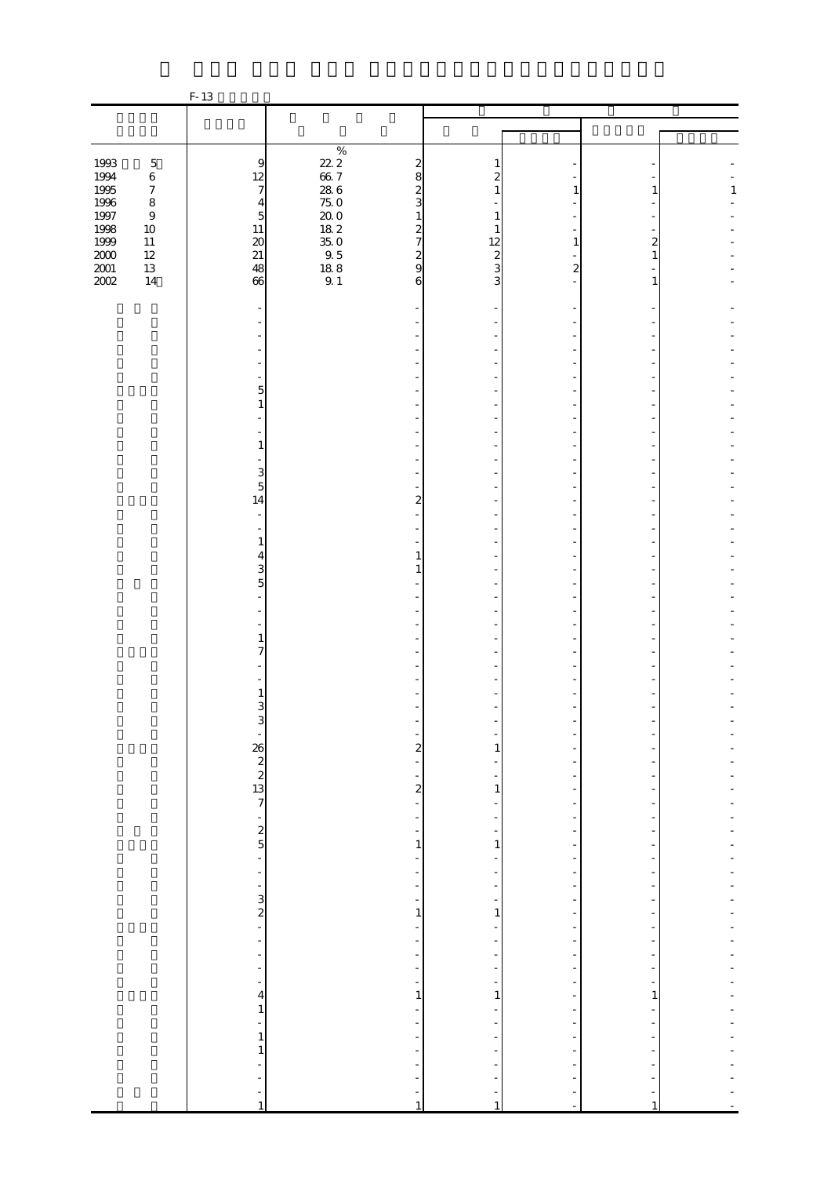|                                             |                             | F-13                                                              |                                             |                               |                          |                          |              |              |
|---------------------------------------------|-----------------------------|-------------------------------------------------------------------|---------------------------------------------|-------------------------------|--------------------------|--------------------------|--------------|--------------|
|                                             |                             |                                                                   |                                             |                               |                          |                          |              |              |
|                                             |                             |                                                                   |                                             |                               |                          |                          |              |              |
|                                             |                             |                                                                   | $\%$                                        |                               |                          |                          |              |              |
| 1993                                        | $\mathbf 5$                 | $\overline{9}$                                                    | $22.2\,$                                    | $\boldsymbol{z}$              | 1                        |                          |              |              |
| 1994<br>1995                                | $\,6\,$                     | 12                                                                | $66\ 7$                                     | 8                             | $\overline{\mathcal{Z}}$ |                          |              |              |
|                                             | $\boldsymbol{7}$            | $\overline{7}$                                                    | $\begin{array}{c} 28.6 \\ 75.0 \end{array}$ | $\boldsymbol{z}$              | 1                        | 1                        |              | $\mathbf{1}$ |
| $\begin{array}{c} 1996 \\ 1997 \end{array}$ | $\,8\,$<br>$\boldsymbol{9}$ | $\overline{4}$<br>$\overline{5}$                                  |                                             | 3<br>$\mathbf{1}$             | 1                        |                          |              |              |
|                                             | $10\,$                      | $11\,$                                                            | $\begin{array}{c} 20.0 \\ 18.2 \end{array}$ | $\boldsymbol{z}$              | 1                        |                          |              |              |
| 1998<br>1999                                | $11\,$                      |                                                                   | $35\;0$                                     | $\overline{7}$                | 12                       | 1                        | 2            |              |
| $\frac{200}{200}$                           | $12\,$                      | $\begin{array}{c} 20 \\ 21 \end{array}$                           | $9\,5$                                      | $\overline{\mathcal{L}}$      | $\overline{\mathcal{L}}$ |                          | 1            |              |
|                                             | $13\,$                      | 48                                                                | $\frac{188}{9.1}$                           | $\overline{9}$                | 3                        | 2                        |              |              |
|                                             | $14\,$                      | 66                                                                |                                             | 6                             | 3                        |                          | 1            |              |
|                                             |                             |                                                                   |                                             |                               |                          |                          |              |              |
|                                             |                             |                                                                   |                                             |                               |                          |                          |              |              |
|                                             |                             |                                                                   |                                             |                               |                          |                          |              |              |
|                                             |                             |                                                                   |                                             |                               |                          |                          |              |              |
|                                             |                             |                                                                   |                                             |                               |                          |                          |              |              |
|                                             |                             |                                                                   |                                             |                               |                          |                          |              |              |
|                                             |                             | 5                                                                 |                                             |                               |                          |                          |              |              |
|                                             |                             | 1                                                                 |                                             |                               |                          |                          |              |              |
|                                             |                             |                                                                   |                                             |                               |                          |                          |              |              |
|                                             |                             |                                                                   |                                             |                               |                          |                          |              |              |
|                                             |                             | 1                                                                 |                                             |                               |                          |                          |              |              |
|                                             |                             | 3                                                                 |                                             |                               |                          |                          |              |              |
|                                             |                             | 5                                                                 |                                             |                               |                          |                          |              |              |
|                                             |                             | 14                                                                |                                             | 2                             |                          |                          |              |              |
|                                             |                             |                                                                   |                                             |                               |                          |                          |              |              |
|                                             |                             |                                                                   |                                             |                               |                          |                          |              |              |
|                                             |                             | 1                                                                 |                                             |                               |                          |                          |              |              |
|                                             |                             | 4                                                                 |                                             | 1                             |                          |                          |              |              |
|                                             |                             | 3                                                                 |                                             | 1                             |                          |                          |              |              |
|                                             |                             | $\overline{5}$                                                    |                                             |                               |                          |                          |              |              |
|                                             |                             |                                                                   |                                             |                               |                          |                          |              |              |
|                                             |                             |                                                                   |                                             |                               |                          |                          |              |              |
|                                             |                             | 1                                                                 |                                             |                               |                          |                          |              |              |
|                                             |                             | 7                                                                 |                                             |                               |                          |                          |              |              |
|                                             |                             |                                                                   |                                             |                               |                          |                          |              |              |
|                                             |                             |                                                                   |                                             |                               |                          |                          |              |              |
|                                             |                             | 1                                                                 |                                             |                               |                          |                          |              |              |
|                                             |                             | 3                                                                 |                                             |                               |                          |                          |              |              |
|                                             |                             |                                                                   |                                             |                               |                          |                          |              |              |
|                                             |                             |                                                                   |                                             | $\overline{\mathbf{c}}$       | 1                        |                          |              |              |
|                                             |                             | $\begin{array}{c}\n 26 \\  2 \\  13 \\  \hline\n 7\n \end{array}$ |                                             | $\overline{\phantom{0}}$      |                          |                          |              |              |
|                                             |                             |                                                                   |                                             | -                             |                          |                          |              |              |
|                                             |                             |                                                                   |                                             | $\frac{2}{1}$                 | 1                        |                          |              |              |
|                                             |                             |                                                                   |                                             |                               |                          |                          |              |              |
|                                             |                             |                                                                   |                                             | $\overline{\phantom{m}}$      | $\overline{a}$           | $\overline{\phantom{a}}$ |              |              |
|                                             |                             | $\frac{1}{2}$                                                     |                                             |                               |                          |                          |              |              |
|                                             |                             | $\frac{1}{2}$                                                     |                                             | 1<br>$\overline{\phantom{0}}$ | 1                        | $\overline{a}$           |              |              |
|                                             |                             | $\frac{1}{2}$                                                     |                                             | $\overline{\phantom{0}}$      |                          |                          |              |              |
|                                             |                             | $\qquad \qquad \blacksquare$                                      |                                             | ÷,                            |                          |                          |              |              |
|                                             |                             |                                                                   |                                             | $\overline{\phantom{0}}$      |                          |                          |              |              |
|                                             |                             | $\frac{3}{2}$                                                     |                                             | $\,1\,$                       | $\mathbf{1}$             |                          |              |              |
|                                             |                             | $\overline{\phantom{a}}$                                          |                                             |                               |                          |                          |              |              |
|                                             |                             | $\frac{1}{2}$                                                     |                                             | $\overline{\phantom{0}}$      |                          |                          |              |              |
|                                             |                             | $\frac{1}{2}$                                                     |                                             | $\overline{\phantom{0}}$      |                          | ۰                        |              |              |
|                                             |                             | ÷,<br>$\frac{1}{2}$                                               |                                             | $\overline{\phantom{m}}$      | ÷,                       | $\overline{\phantom{a}}$ |              |              |
|                                             |                             | 4                                                                 |                                             | -<br>1                        | 1                        | ٠                        | 1            |              |
|                                             |                             | $\,1\,$                                                           |                                             | $\overline{\phantom{a}}$      |                          | $\overline{\phantom{a}}$ |              |              |
|                                             |                             | ÷                                                                 |                                             |                               |                          |                          |              |              |
|                                             |                             | $\,1\,$                                                           |                                             | ÷,                            |                          |                          |              |              |
|                                             |                             | $\,1\,$                                                           |                                             | ÷                             |                          |                          |              |              |
|                                             |                             | ÷                                                                 |                                             |                               |                          |                          |              |              |
|                                             |                             | ÷,                                                                |                                             |                               |                          |                          |              |              |
|                                             |                             | $\overline{\phantom{a}}$                                          |                                             |                               | ÷                        |                          |              |              |
|                                             |                             | $\,1\,$                                                           |                                             | $\mathbf{1}$                  | $\mathbf{1}$             |                          | $\mathbf{1}$ |              |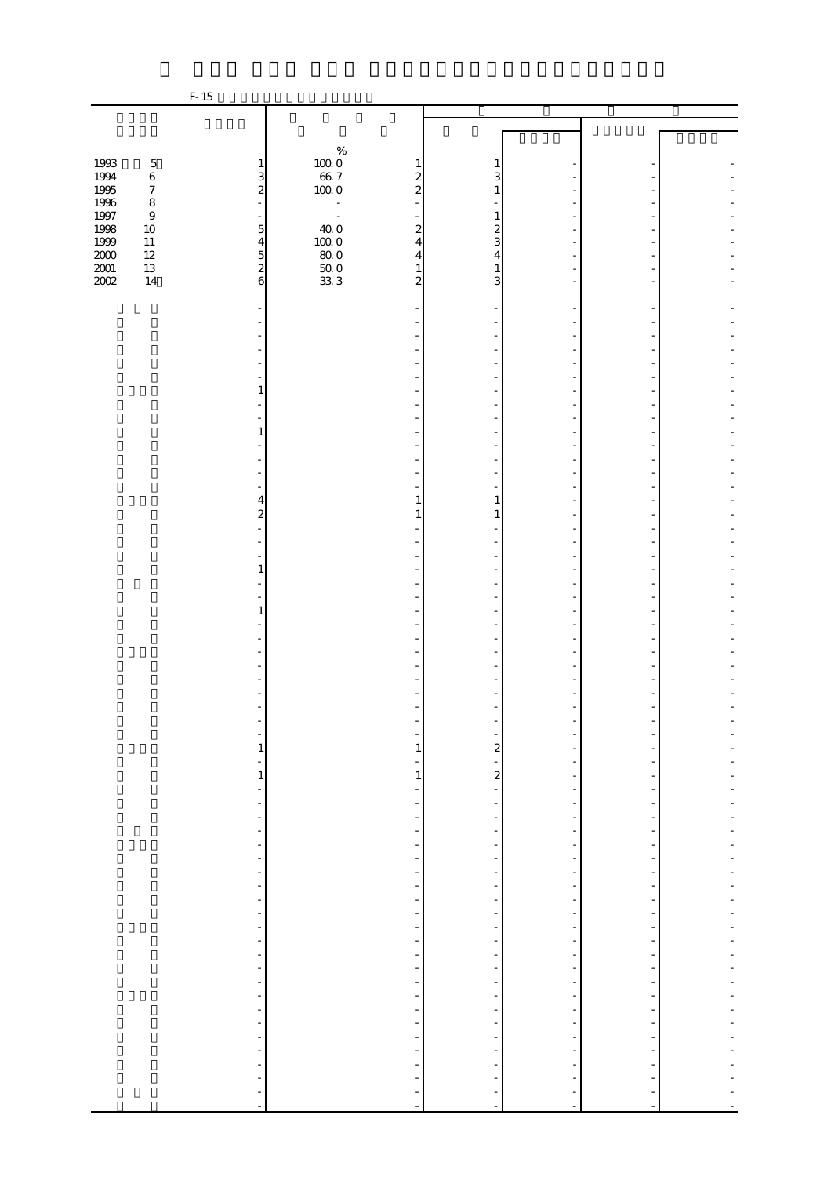|                                             |                  | $F-15$                                                   |                            |                                                                                                   |                                                      |                                           |  |
|---------------------------------------------|------------------|----------------------------------------------------------|----------------------------|---------------------------------------------------------------------------------------------------|------------------------------------------------------|-------------------------------------------|--|
|                                             |                  |                                                          |                            |                                                                                                   |                                                      |                                           |  |
|                                             |                  |                                                          |                            |                                                                                                   |                                                      |                                           |  |
|                                             |                  |                                                          | $\%$                       |                                                                                                   |                                                      |                                           |  |
| 1993                                        | $\mathbf 5$      | $\mathbf{1}$                                             |                            | 1<br>1                                                                                            |                                                      |                                           |  |
|                                             | $\,6\,$          | 3                                                        |                            | $\boldsymbol{z}$<br>3                                                                             |                                                      |                                           |  |
| 1994<br>1995                                | $\boldsymbol{7}$ | $\overline{\mathbf{c}}$                                  | $10000$<br>66. 7<br>100. 0 | $\overline{\mathcal{Z}}$                                                                          |                                                      |                                           |  |
| $\begin{array}{c} 1996 \\ 1997 \end{array}$ | $\,8\,$          | L.                                                       | $\blacksquare$             |                                                                                                   |                                                      |                                           |  |
|                                             | $\,9$            |                                                          | $\sim$                     | 1                                                                                                 |                                                      |                                           |  |
| 1998<br>1999                                | $10\,$           | $\overline{5}$                                           | $40.0$                     | $\boldsymbol{z}$<br>2                                                                             |                                                      |                                           |  |
|                                             | $11\,$<br>$12\,$ | $\frac{4}{5}$                                            | $100\;0$<br>$80\,0$        | 3<br>$\overline{4}$<br>$\overline{4}$<br>4                                                        |                                                      |                                           |  |
| $\frac{200}{200}$                           | $13\,$           |                                                          |                            | 1                                                                                                 |                                                      |                                           |  |
|                                             | $14\,$           | 6                                                        | $\frac{500}{333}$          | $\overline{\mathbf{c}}$<br>3                                                                      |                                                      |                                           |  |
|                                             |                  |                                                          |                            |                                                                                                   |                                                      |                                           |  |
|                                             |                  |                                                          |                            |                                                                                                   |                                                      |                                           |  |
|                                             |                  |                                                          |                            |                                                                                                   |                                                      |                                           |  |
|                                             |                  |                                                          |                            |                                                                                                   |                                                      |                                           |  |
|                                             |                  |                                                          |                            |                                                                                                   |                                                      |                                           |  |
|                                             |                  |                                                          |                            |                                                                                                   |                                                      |                                           |  |
|                                             |                  | 1                                                        |                            |                                                                                                   |                                                      |                                           |  |
|                                             |                  |                                                          |                            |                                                                                                   |                                                      |                                           |  |
|                                             |                  |                                                          |                            |                                                                                                   |                                                      |                                           |  |
|                                             |                  | 1                                                        |                            |                                                                                                   |                                                      |                                           |  |
|                                             |                  |                                                          |                            |                                                                                                   |                                                      |                                           |  |
|                                             |                  |                                                          |                            |                                                                                                   |                                                      |                                           |  |
|                                             |                  |                                                          |                            |                                                                                                   |                                                      |                                           |  |
|                                             |                  |                                                          |                            |                                                                                                   |                                                      |                                           |  |
|                                             |                  | 4                                                        |                            | 1<br>1                                                                                            |                                                      |                                           |  |
|                                             |                  | $\boldsymbol{z}$                                         |                            |                                                                                                   |                                                      |                                           |  |
|                                             |                  |                                                          |                            |                                                                                                   |                                                      |                                           |  |
|                                             |                  |                                                          |                            |                                                                                                   |                                                      |                                           |  |
|                                             |                  |                                                          |                            |                                                                                                   |                                                      |                                           |  |
|                                             |                  | 1                                                        |                            |                                                                                                   |                                                      |                                           |  |
|                                             |                  |                                                          |                            |                                                                                                   |                                                      |                                           |  |
|                                             |                  | 1                                                        |                            |                                                                                                   |                                                      |                                           |  |
|                                             |                  |                                                          |                            |                                                                                                   |                                                      |                                           |  |
|                                             |                  |                                                          |                            |                                                                                                   |                                                      |                                           |  |
|                                             |                  |                                                          |                            |                                                                                                   |                                                      |                                           |  |
|                                             |                  |                                                          |                            |                                                                                                   |                                                      |                                           |  |
|                                             |                  |                                                          |                            |                                                                                                   |                                                      |                                           |  |
|                                             |                  |                                                          |                            |                                                                                                   |                                                      |                                           |  |
|                                             |                  |                                                          |                            |                                                                                                   |                                                      |                                           |  |
|                                             |                  |                                                          |                            |                                                                                                   |                                                      |                                           |  |
|                                             |                  | $\mathbf{1}$                                             |                            | $\mathbf{1}$<br>$\overline{\mathbf{c}}$                                                           |                                                      |                                           |  |
|                                             |                  | -                                                        |                            | Ξ                                                                                                 |                                                      |                                           |  |
|                                             |                  | $\,1$                                                    |                            | $\mathbf{z}$<br>$\,1\,$                                                                           |                                                      |                                           |  |
|                                             |                  | $\overline{\phantom{a}}$                                 |                            | ÷<br>$\overline{\phantom{a}}$                                                                     | $\overline{\phantom{m}}$                             |                                           |  |
|                                             |                  | $\blacksquare$                                           |                            | $\overline{\phantom{a}}$<br>$\frac{1}{2}$                                                         | $\overline{a}$                                       |                                           |  |
|                                             |                  | $\blacksquare$                                           |                            | $\frac{1}{2}$<br>$\overline{\phantom{a}}$                                                         | $\overline{\phantom{a}}$                             | $\overline{\phantom{a}}$                  |  |
|                                             |                  | $\overline{\phantom{0}}$                                 |                            | ÷                                                                                                 |                                                      |                                           |  |
|                                             |                  | $\overline{\phantom{0}}$                                 |                            | $\overline{\phantom{0}}$<br>÷                                                                     | -                                                    | -                                         |  |
|                                             |                  | $\overline{\phantom{a}}$<br>$\qquad \qquad \blacksquare$ |                            | $\frac{1}{\sqrt{2}}$<br>$\overline{\phantom{0}}$                                                  | $\overline{\phantom{m}}$<br>$\overline{\phantom{m}}$ | $\overline{\phantom{0}}$<br>$\frac{1}{2}$ |  |
|                                             |                  | $\frac{1}{2}$                                            |                            | $\overline{\phantom{0}}$<br>$\overline{\phantom{0}}$<br>$\overline{\phantom{a}}$<br>$\frac{1}{2}$ | $\overline{\phantom{m}}$                             | ÷,                                        |  |
|                                             |                  | $\blacksquare$                                           |                            | $\overline{\phantom{a}}$<br>$\overline{\phantom{0}}$                                              | $\frac{1}{2}$                                        |                                           |  |
|                                             |                  | $\blacksquare$                                           |                            | $\overline{\phantom{a}}$<br>$\frac{1}{2}$                                                         | $\overline{\phantom{m}}$                             | $\frac{1}{2}$                             |  |
|                                             |                  | $\qquad \qquad \blacksquare$                             |                            | $\overline{\phantom{0}}$                                                                          | ٠                                                    |                                           |  |
|                                             |                  | $\overline{\phantom{a}}$                                 |                            | $\overline{\phantom{a}}$<br>$\frac{1}{2}$                                                         | $\frac{1}{2}$                                        | $\overline{\phantom{0}}$                  |  |
|                                             |                  | $\frac{1}{2}$                                            |                            | $\frac{1}{\sqrt{2}}$<br>$\frac{1}{\sqrt{2}}$                                                      | $\overline{\phantom{m}}$                             | $\frac{1}{2}$                             |  |
|                                             |                  | $\blacksquare$                                           |                            | $\overline{\phantom{a}}$<br>$\overline{\phantom{0}}$                                              | $\overline{\phantom{m}}$                             | $\overline{\phantom{m}}$                  |  |
|                                             |                  | $\frac{1}{2}$                                            |                            | $\overline{\phantom{0}}$<br>$\overline{\phantom{a}}$                                              | $\overline{\phantom{a}}$                             |                                           |  |
|                                             |                  | ÷                                                        |                            | $\overline{\phantom{a}}$<br>-                                                                     | $\overline{a}$                                       | -                                         |  |
|                                             |                  | $\blacksquare$                                           |                            | ÷<br>$\overline{\phantom{0}}$                                                                     | $\overline{\phantom{a}}$                             | ÷,                                        |  |
|                                             |                  | $\frac{1}{2}$                                            |                            | $\overline{\phantom{0}}$                                                                          |                                                      |                                           |  |
|                                             |                  | $\frac{1}{2}$                                            |                            | $\overline{\phantom{a}}$<br>$\frac{1}{2}$<br>$\frac{1}{2}$<br>$\overline{\phantom{0}}$            | $\overline{\phantom{m}}$<br>$\overline{\phantom{a}}$ | $\frac{1}{2}$                             |  |
|                                             |                  | $\overline{\phantom{a}}$                                 |                            | $\overline{\phantom{0}}$                                                                          |                                                      |                                           |  |
|                                             |                  | $\overline{\phantom{a}}$                                 |                            |                                                                                                   |                                                      |                                           |  |
|                                             |                  | ÷                                                        |                            |                                                                                                   |                                                      |                                           |  |
|                                             |                  | $\overline{\phantom{a}}$                                 |                            | $\frac{1}{2}$<br>$\blacksquare$                                                                   | ÷,                                                   | ÷,                                        |  |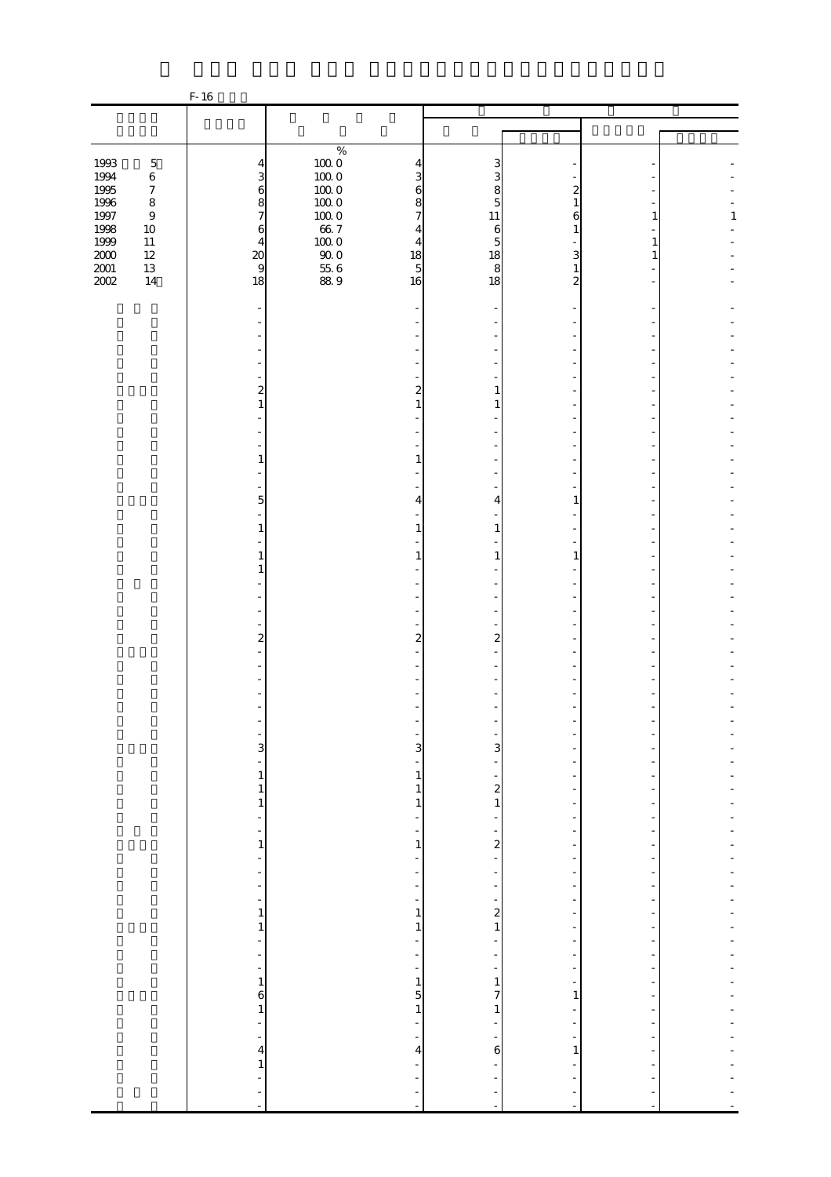|                                                   |                             | F-16                              |                      |                                                      |                                                      |                                                      |                          |              |
|---------------------------------------------------|-----------------------------|-----------------------------------|----------------------|------------------------------------------------------|------------------------------------------------------|------------------------------------------------------|--------------------------|--------------|
|                                                   |                             |                                   |                      |                                                      |                                                      |                                                      |                          |              |
|                                                   |                             |                                   |                      |                                                      |                                                      |                                                      |                          |              |
|                                                   |                             |                                   | $\%$                 |                                                      |                                                      |                                                      |                          |              |
| 1993                                              | $\mathbf 5$                 | $\overline{4}$                    | $100\;0$             | 4                                                    | 3                                                    |                                                      |                          |              |
| 1994                                              | $\,6\,$                     | 3                                 | $100\;0$             | 3                                                    | 3                                                    |                                                      |                          |              |
| 1995<br>1996                                      | $\boldsymbol{7}$<br>$\,8\,$ | $\mathbf{6}$<br>8                 | $100\;0$<br>$100\;0$ | 6<br>8                                               | 8<br>5                                               | 2<br>1                                               |                          |              |
| $1997\,$                                          | $\boldsymbol{9}$            | $\overline{7}$                    | $100\;0$             | $\overline{7}$                                       | 11                                                   | 6                                                    |                          | $\mathbf{1}$ |
| 1998                                              | $10\,$                      | 6                                 |                      | $\overline{4}$                                       | $\boldsymbol{6}$                                     | 1                                                    |                          |              |
| $1999\,$                                          | $11\,$                      | $\overline{4}$                    | $66.7$<br>100.0      | 4                                                    | 5                                                    |                                                      |                          |              |
| $\begin{array}{c} 2000 \\[-4pt] 2001 \end{array}$ | $12\,$                      | $\underset{9}{\text{20}}$         | $90\;0$              | 18                                                   | 18                                                   | 3                                                    |                          |              |
| 2002                                              | $13\,$<br>$14\,$            | 18                                | $\frac{55}{88}$ 6    | $\overline{5}$<br>16                                 | 8<br>18                                              | 1<br>2                                               |                          |              |
|                                                   |                             |                                   |                      |                                                      |                                                      |                                                      |                          |              |
|                                                   |                             |                                   |                      |                                                      |                                                      |                                                      |                          |              |
|                                                   |                             |                                   |                      |                                                      |                                                      |                                                      |                          |              |
|                                                   |                             |                                   |                      |                                                      |                                                      |                                                      |                          |              |
|                                                   |                             |                                   |                      |                                                      |                                                      |                                                      |                          |              |
|                                                   |                             |                                   |                      |                                                      |                                                      |                                                      |                          |              |
|                                                   |                             | $\overline{\mathbf{c}}$           |                      | $\overline{a}$                                       | 1                                                    |                                                      |                          |              |
|                                                   |                             | $\mathbf{1}$                      |                      | $\mathbf{1}$                                         |                                                      |                                                      |                          |              |
|                                                   |                             |                                   |                      |                                                      |                                                      |                                                      |                          |              |
|                                                   |                             |                                   |                      |                                                      |                                                      |                                                      |                          |              |
|                                                   |                             | 1                                 |                      | 1                                                    |                                                      |                                                      |                          |              |
|                                                   |                             |                                   |                      |                                                      |                                                      |                                                      |                          |              |
|                                                   |                             |                                   |                      |                                                      |                                                      |                                                      |                          |              |
|                                                   |                             | 5                                 |                      | 4                                                    | 4                                                    | 1                                                    |                          |              |
|                                                   |                             |                                   |                      |                                                      |                                                      |                                                      |                          |              |
|                                                   |                             | 1                                 |                      | 1                                                    | 1                                                    |                                                      |                          |              |
|                                                   |                             | 1                                 |                      | 1                                                    | 1                                                    | 1                                                    |                          |              |
|                                                   |                             | 1                                 |                      |                                                      |                                                      |                                                      |                          |              |
|                                                   |                             |                                   |                      |                                                      |                                                      |                                                      |                          |              |
|                                                   |                             |                                   |                      |                                                      |                                                      |                                                      |                          |              |
|                                                   |                             |                                   |                      |                                                      |                                                      |                                                      |                          |              |
|                                                   |                             | $\boldsymbol{z}$                  |                      | $\boldsymbol{z}$                                     | $\boldsymbol{z}$                                     |                                                      |                          |              |
|                                                   |                             |                                   |                      |                                                      |                                                      |                                                      |                          |              |
|                                                   |                             |                                   |                      |                                                      |                                                      |                                                      |                          |              |
|                                                   |                             |                                   |                      |                                                      |                                                      |                                                      |                          |              |
|                                                   |                             |                                   |                      |                                                      |                                                      |                                                      |                          |              |
|                                                   |                             |                                   |                      |                                                      |                                                      |                                                      |                          |              |
|                                                   |                             |                                   |                      |                                                      |                                                      |                                                      |                          |              |
|                                                   |                             | $\overline{3}$                    |                      | $\overline{3}$                                       | 3                                                    |                                                      |                          |              |
|                                                   |                             | ۳                                 |                      | ÷                                                    |                                                      |                                                      |                          |              |
|                                                   |                             | $\,1$                             |                      | $\,1\,$                                              | $\frac{1}{\sqrt{2}}$                                 |                                                      |                          |              |
|                                                   |                             | $\,1$<br>$\,1$                    |                      | $1\,$<br>$\,1$                                       | $\begin{smallmatrix}2\\1\end{smallmatrix}$           | $\overline{\phantom{m}}$<br>$\overline{\phantom{m}}$ |                          |              |
|                                                   |                             | ÷                                 |                      | $\overline{\phantom{a}}$                             | $\frac{1}{2}$                                        | $\overline{\phantom{a}}$                             | ÷,                       |              |
|                                                   |                             | $\frac{1}{2}$                     |                      | ÷                                                    | ÷                                                    |                                                      |                          |              |
|                                                   |                             | 1                                 |                      | $\mathbf{1}$                                         | $\overline{a}$                                       | $\overline{\phantom{0}}$                             | -                        |              |
|                                                   |                             | $\blacksquare$                    |                      | $\overline{\phantom{a}}$                             | $\overline{\phantom{a}}$                             | $\overline{\phantom{a}}$                             | $\overline{\phantom{0}}$ |              |
|                                                   |                             | $\frac{1}{2}$<br>$\frac{1}{2}$    |                      | $\overline{\phantom{a}}$<br>$\overline{\phantom{a}}$ | $\frac{1}{\sqrt{2}}$                                 | $\frac{1}{2}$<br>$\frac{1}{2}$                       | $\overline{a}$           |              |
|                                                   |                             | $\overline{\phantom{a}}$          |                      | $\overline{\phantom{0}}$                             | $\overline{\phantom{a}}$<br>$\overline{\phantom{a}}$ | $\overline{\phantom{a}}$                             | $\frac{1}{2}$            |              |
|                                                   |                             | $\,1$                             |                      | $\,1$                                                | $\frac{2}{1}$                                        | $\overline{\phantom{m}}$                             | $\overline{\phantom{0}}$ |              |
|                                                   |                             | $\mathbf{1}$                      |                      | $\mathbf{1}$                                         |                                                      | $\overline{a}$                                       |                          |              |
|                                                   |                             | ÷                                 |                      | $\overline{\phantom{a}}$                             | $\overline{\phantom{a}}$                             | $\overline{\phantom{0}}$                             | -                        |              |
|                                                   |                             | $\overline{\phantom{a}}$          |                      | $\overline{\phantom{0}}$                             | $\overline{\phantom{a}}$                             | $\overline{\phantom{0}}$                             | $\frac{1}{2}$            |              |
|                                                   |                             | $\overline{\phantom{a}}$<br>$\,1$ |                      | $\overline{\phantom{a}}$<br>$\,1\,$                  | $\overline{\phantom{a}}$<br>$\,1\,$                  | $\overline{\phantom{a}}$<br>÷                        | $\overline{\phantom{a}}$ |              |
|                                                   |                             | 6                                 |                      | $\overline{5}$                                       | 7                                                    | $\mathbf{1}$                                         | ÷                        |              |
|                                                   |                             | $\mathbf{1}$                      |                      | $\,1\,$                                              | $\,1$                                                | $\overline{\phantom{a}}$                             | ÷,                       |              |
|                                                   |                             | ÷,                                |                      | ÷                                                    | $\frac{1}{2}$                                        | ÷                                                    |                          |              |
|                                                   |                             | $\overline{\phantom{a}}$          |                      | $\frac{1}{\sqrt{2}}$                                 | $\frac{1}{2}$                                        | ÷                                                    |                          |              |
|                                                   |                             | $\overline{4}$                    |                      | $\overline{4}$                                       | $\mathbf 6$                                          | $\mathbf{1}$                                         |                          |              |
|                                                   |                             | $\,1\,$<br>$\overline{a}$         |                      | $\overline{\phantom{0}}$<br>÷                        |                                                      |                                                      |                          |              |
|                                                   |                             | ÷                                 |                      |                                                      | f,                                                   |                                                      |                          |              |
|                                                   |                             | $\blacksquare$                    |                      | ÷,                                                   | $\blacksquare$                                       | ÷                                                    | ÷,                       |              |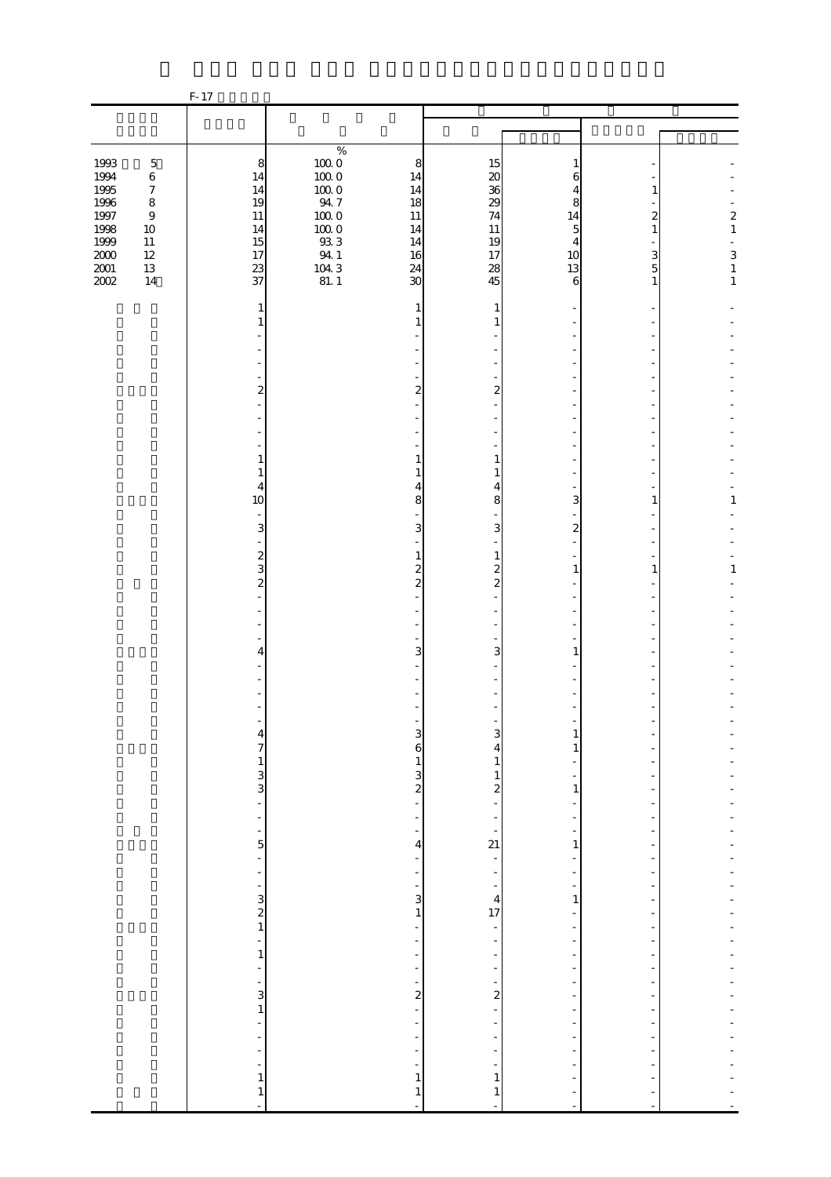|                                              |                                                                           | F-17                                            |                                                                 |                                                                    |                                             |                                                                                                  |                                                      |                                                                           |
|----------------------------------------------|---------------------------------------------------------------------------|-------------------------------------------------|-----------------------------------------------------------------|--------------------------------------------------------------------|---------------------------------------------|--------------------------------------------------------------------------------------------------|------------------------------------------------------|---------------------------------------------------------------------------|
|                                              |                                                                           |                                                 |                                                                 |                                                                    |                                             |                                                                                                  |                                                      |                                                                           |
|                                              |                                                                           |                                                 |                                                                 |                                                                    |                                             |                                                                                                  |                                                      |                                                                           |
| 1993<br>1994<br>1995<br>$1996\,$<br>1997     | $\mathbf 5$<br>$\,6\,$<br>$\boldsymbol{7}$<br>$\,8\,$<br>$\boldsymbol{9}$ | 8<br>14<br>14<br>19<br>$11\,$                   | $\%$<br>$100\;0$<br>$100\;0$<br>$100\;0$<br>$94\,7$<br>$100\;0$ | 8<br>14<br>14<br>18<br>$11\,$                                      | 15<br>$\boldsymbol{\chi}$<br>36<br>29<br>74 | 1<br>6<br>4<br>8<br>14                                                                           | 1<br>2                                               | $\boldsymbol{z}$                                                          |
| 1998<br>1999<br>$2000\,$<br>$2001\,$<br>2002 | $10\,$<br>$11\,$<br>$12\,$<br>$13\,$<br>$14$                              | 14<br>15<br>17<br>23<br>37                      | $100\;0$<br>$93\,3$<br>94.1<br>$\frac{104.3}{81.1}$             | 14<br>14<br>16<br>24<br>30                                         | 11<br>19<br>17<br>28<br>45                  | 5<br>4<br>10<br>13<br>6                                                                          | $\mathbf{1}$<br>3<br>5<br>1                          | $\,1\,$<br>$\begin{smallmatrix} 3 \\ 1 \end{smallmatrix}$<br>$\mathbf{1}$ |
|                                              |                                                                           | 1<br>1                                          |                                                                 | 1<br>1                                                             | 1<br>1                                      |                                                                                                  |                                                      |                                                                           |
|                                              |                                                                           | 2                                               |                                                                 | 2                                                                  | 2                                           |                                                                                                  |                                                      |                                                                           |
|                                              |                                                                           |                                                 |                                                                 |                                                                    |                                             |                                                                                                  |                                                      |                                                                           |
|                                              |                                                                           | 1<br>1                                          |                                                                 | 1<br>1                                                             | $\mathbf{1}$<br>1                           |                                                                                                  |                                                      |                                                                           |
|                                              |                                                                           | 4<br>10<br>$\overline{\phantom{a}}$<br>3        |                                                                 | 4<br>8<br>3                                                        | 4<br>8<br>3                                 | 3<br>$\overline{\mathbf{c}}$                                                                     | 1                                                    | 1                                                                         |
|                                              |                                                                           | $\overline{a}$<br>$\overline{\mathbf{c}}$<br>3  |                                                                 | 1<br>$\overline{\mathcal{Z}}$                                      | $\mathbf{1}$<br>$\overline{\mathcal{Z}}$    | 1                                                                                                | $\mathbf{1}$                                         | $\mathbf{1}$                                                              |
|                                              |                                                                           | $\overline{\mathcal{L}}$                        |                                                                 | $\overline{\mathcal{L}}$                                           | $\overline{c}$                              |                                                                                                  |                                                      |                                                                           |
|                                              |                                                                           | 4                                               |                                                                 | 3                                                                  | 3                                           | 1                                                                                                |                                                      |                                                                           |
|                                              |                                                                           |                                                 |                                                                 |                                                                    |                                             |                                                                                                  |                                                      |                                                                           |
|                                              |                                                                           | $\frac{4}{7}$                                   |                                                                 | $\mathbf{3}$<br>6                                                  | $\mathbf{3}$<br>4                           | $\mathbf{1}$<br>1                                                                                |                                                      |                                                                           |
|                                              |                                                                           | $\begin{bmatrix} 1 \\ 3 \\ -1 \end{bmatrix}$    |                                                                 | $\frac{1}{2}$ 3                                                    | $\mathbf{1}$<br>$\,1\,$<br>$\frac{2}{1}$    | $\mathbf{1}$                                                                                     |                                                      |                                                                           |
|                                              |                                                                           | $\frac{1}{2}$<br>-<br>5                         |                                                                 | $\frac{1}{2}$<br>÷<br>4                                            | ÷<br>$\overline{a}$<br>21                   | $\overline{\phantom{m}}$<br>1                                                                    | $\overline{\phantom{a}}$                             |                                                                           |
|                                              |                                                                           | ÷<br>$\frac{1}{2}$<br>÷,                        |                                                                 | $\frac{1}{2}$<br>÷<br>$\overline{\phantom{0}}$                     | $\frac{1}{\sqrt{2}}$<br>÷<br>÷,             | $\overline{\phantom{0}}$<br>$\frac{1}{2}$<br>$\frac{1}{2}$                                       | $\overline{a}$                                       |                                                                           |
|                                              |                                                                           | $\begin{array}{c} 3 \\ 2 \\ 1 \end{array}$<br>÷ |                                                                 | 3<br>$\,1$<br>$\overline{\phantom{0}}$<br>$\overline{\phantom{0}}$ | $\overline{4}$<br>17<br>-<br>÷              | $\mathbf{1}$<br>$\overline{\phantom{m}}$<br>$\overline{\phantom{a}}$<br>$\overline{\phantom{0}}$ | $\overline{a}$                                       |                                                                           |
|                                              |                                                                           | $\,1\,$<br>$\frac{1}{2}$<br>÷,                  |                                                                 | $\frac{1}{2}$<br>$\overline{\phantom{0}}$<br>-                     | -<br>$\overline{\phantom{a}}$<br>-          | $\overline{\phantom{m}}$<br>$\overline{\phantom{a}}$<br>-                                        | $\overline{\phantom{m}}$<br>$\overline{\phantom{m}}$ |                                                                           |
|                                              |                                                                           | $\frac{3}{1}$<br>$\overline{a}$                 |                                                                 | $\overline{\mathbf{c}}$<br>÷,<br>÷                                 | $\overline{\mathbf{c}}$<br>$\overline{a}$   | -<br>$\overline{\phantom{a}}$                                                                    | ÷,<br>÷,                                             |                                                                           |
|                                              |                                                                           | ÷<br>$\blacksquare$<br><sup>-</sup><br>$\,1\,$  |                                                                 | $\frac{1}{2}$<br>$\overline{\phantom{0}}$<br>÷<br>$\mathbf{1}$     | ÷<br>÷<br>$\mathbf{1}$                      | $\frac{1}{2}$<br>$\blacksquare$                                                                  |                                                      |                                                                           |
|                                              |                                                                           | $\,1\,$<br>$\overline{a}$                       |                                                                 | $\mathbf{1}$<br>$\overline{a}$                                     | $\mathbf{1}$<br>÷,                          |                                                                                                  |                                                      |                                                                           |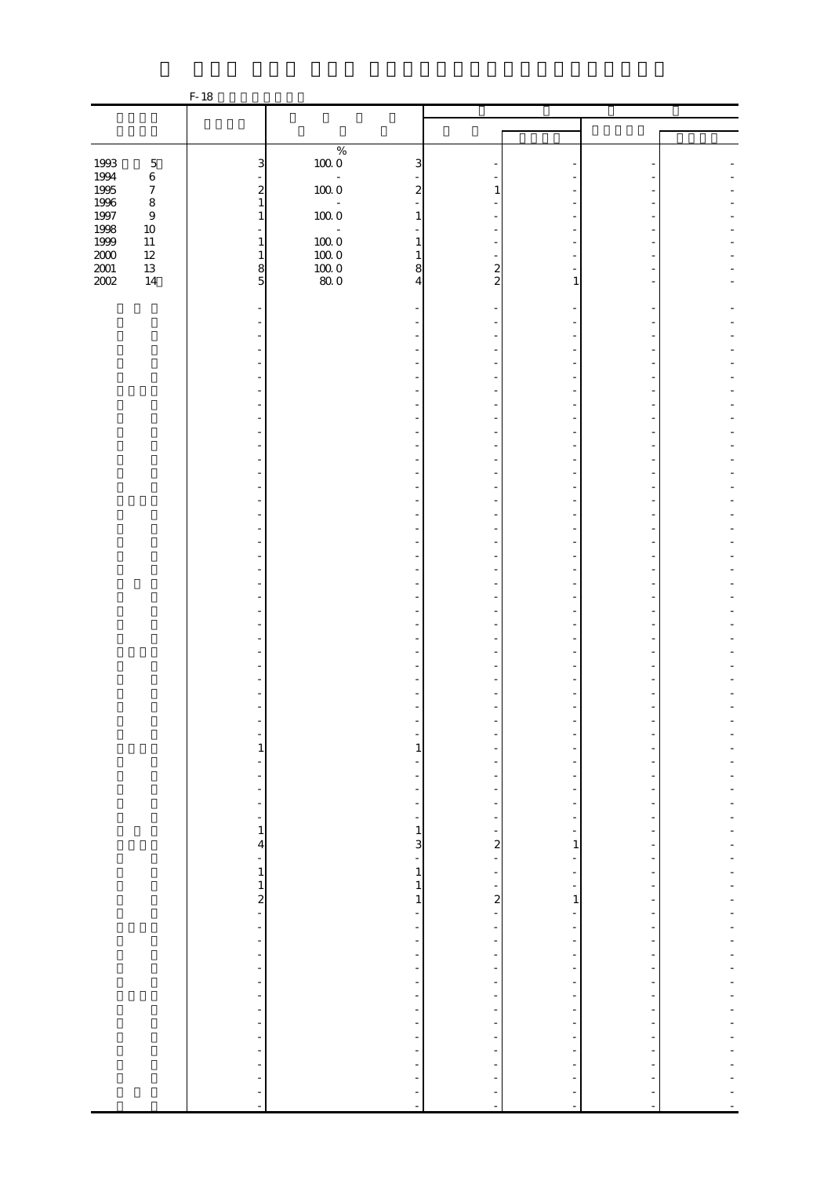|                     |                  | F-18                                                                                                                                |                                                      |                               |                                           |                                                      |  |
|---------------------|------------------|-------------------------------------------------------------------------------------------------------------------------------------|------------------------------------------------------|-------------------------------|-------------------------------------------|------------------------------------------------------|--|
|                     |                  |                                                                                                                                     |                                                      |                               |                                           |                                                      |  |
|                     |                  |                                                                                                                                     |                                                      |                               |                                           |                                                      |  |
|                     |                  |                                                                                                                                     | $\%$                                                 |                               |                                           |                                                      |  |
| 1993                | $\mathbf 5$      | 3                                                                                                                                   | $100\;0$<br>3                                        |                               |                                           |                                                      |  |
| 1994                | $\,6$            |                                                                                                                                     | $\omega$                                             |                               |                                           |                                                      |  |
| 1995                | $\boldsymbol{7}$ | $\boldsymbol{z}$                                                                                                                    | $100\ 0$<br>$\overline{\mathcal{Z}}$                 | 1                             |                                           |                                                      |  |
| 1996                | $\,8\,$          | $\mathbf{1}$                                                                                                                        |                                                      |                               |                                           |                                                      |  |
| 1997<br>1998        | $\,9$<br>$10\,$  | $\mathbf{1}$<br>$\equiv$                                                                                                            | $100\;0$<br>$\mathbf{1}$                             |                               |                                           |                                                      |  |
| 1999                | $11\,$           | $\mathbf{1}$                                                                                                                        | $100\;0$<br>1                                        |                               |                                           |                                                      |  |
|                     | $12\,$           | $\mathbf{1}$                                                                                                                        | $100\;0$<br>$\mathbf{1}$                             |                               |                                           |                                                      |  |
| $\frac{2000}{2001}$ | $13\,$           | $\,$ 8 $\,$                                                                                                                         | $\frac{10000}{800}$<br>8                             | $\boldsymbol{z}$              |                                           |                                                      |  |
| 2002                | $14\,$           | 5                                                                                                                                   | $\overline{4}$                                       | $\overline{2}$                | 1                                         |                                                      |  |
|                     |                  |                                                                                                                                     |                                                      |                               |                                           |                                                      |  |
|                     |                  |                                                                                                                                     |                                                      |                               |                                           |                                                      |  |
|                     |                  |                                                                                                                                     |                                                      |                               |                                           |                                                      |  |
|                     |                  |                                                                                                                                     |                                                      |                               |                                           |                                                      |  |
|                     |                  |                                                                                                                                     |                                                      |                               |                                           |                                                      |  |
|                     |                  |                                                                                                                                     |                                                      |                               |                                           |                                                      |  |
|                     |                  |                                                                                                                                     |                                                      |                               |                                           |                                                      |  |
|                     |                  |                                                                                                                                     |                                                      |                               |                                           |                                                      |  |
|                     |                  |                                                                                                                                     |                                                      |                               |                                           |                                                      |  |
|                     |                  |                                                                                                                                     |                                                      |                               |                                           |                                                      |  |
|                     |                  |                                                                                                                                     |                                                      |                               |                                           |                                                      |  |
|                     |                  |                                                                                                                                     |                                                      |                               |                                           |                                                      |  |
|                     |                  |                                                                                                                                     |                                                      |                               |                                           |                                                      |  |
|                     |                  |                                                                                                                                     |                                                      |                               |                                           |                                                      |  |
|                     |                  |                                                                                                                                     |                                                      |                               |                                           |                                                      |  |
|                     |                  |                                                                                                                                     |                                                      |                               |                                           |                                                      |  |
|                     |                  |                                                                                                                                     |                                                      |                               |                                           |                                                      |  |
|                     |                  |                                                                                                                                     |                                                      |                               |                                           |                                                      |  |
|                     |                  |                                                                                                                                     |                                                      |                               |                                           |                                                      |  |
|                     |                  |                                                                                                                                     |                                                      |                               |                                           |                                                      |  |
|                     |                  |                                                                                                                                     |                                                      |                               |                                           |                                                      |  |
|                     |                  |                                                                                                                                     |                                                      |                               |                                           |                                                      |  |
|                     |                  |                                                                                                                                     |                                                      |                               |                                           |                                                      |  |
|                     |                  |                                                                                                                                     |                                                      |                               |                                           |                                                      |  |
|                     |                  |                                                                                                                                     |                                                      |                               |                                           |                                                      |  |
|                     |                  |                                                                                                                                     |                                                      |                               |                                           |                                                      |  |
|                     |                  |                                                                                                                                     |                                                      |                               |                                           |                                                      |  |
|                     |                  |                                                                                                                                     |                                                      |                               |                                           |                                                      |  |
|                     |                  | -                                                                                                                                   | ÷                                                    |                               |                                           |                                                      |  |
|                     |                  | $\mathbf{1}$                                                                                                                        | $\mathbf{1}$                                         |                               |                                           |                                                      |  |
|                     |                  | ۰                                                                                                                                   | $\overline{a}$                                       |                               |                                           |                                                      |  |
|                     |                  | $\qquad \qquad \blacksquare$                                                                                                        | $\overline{\phantom{a}}$                             | -                             | $\overline{\phantom{a}}$                  |                                                      |  |
|                     |                  | $\overline{\phantom{a}}$<br>$\frac{1}{\sqrt{2}}\int_{0}^{\sqrt{2}}\frac{1}{\sqrt{2}}\left( \frac{1}{\sqrt{2}}\right) ^{2}d\mu d\nu$ | $\overline{\phantom{a}}$<br>$\overline{\phantom{a}}$ | $\overline{\phantom{a}}$<br>- | $\frac{1}{2}$<br>$\overline{\phantom{m}}$ | $\overline{\phantom{0}}$<br>$\overline{\phantom{0}}$ |  |
|                     |                  | $\overline{\phantom{a}}$                                                                                                            | $\overline{\phantom{0}}$                             | $\overline{\phantom{a}}$      | $\overline{\phantom{a}}$                  | $\overline{\phantom{m}}$                             |  |
|                     |                  | $\,1$                                                                                                                               | $\,1\,$                                              | ÷,                            | $\frac{1}{\sqrt{2}}$                      | -                                                    |  |
|                     |                  | $\overline{\mathcal{A}}$                                                                                                            | $\overline{3}$                                       | $\overline{a}$                | $\mathbf{1}$                              | -                                                    |  |
|                     |                  | $\overline{\phantom{a}}$                                                                                                            | ÷                                                    | $\frac{1}{\sqrt{2}}$          | $\overline{\phantom{a}}$                  | $\overline{\phantom{m}}$                             |  |
|                     |                  | $\,1$                                                                                                                               | $\,1\,$                                              | $\frac{1}{\sqrt{2}}$          | ÷                                         |                                                      |  |
|                     |                  | $\frac{1}{2}$                                                                                                                       | $\,1$                                                | ÷,<br>$\mathbf{z}$            | $\overline{\phantom{0}}$                  | $\overline{\phantom{0}}$                             |  |
|                     |                  | Ê,                                                                                                                                  | $\,1$<br>$\overline{\phantom{a}}$                    | $\overline{\phantom{0}}$      | $\mathbf{1}$<br>$\frac{1}{2}$             | $\overline{\phantom{m}}$<br>$\frac{1}{2}$            |  |
|                     |                  | ÷,                                                                                                                                  | $\overline{\phantom{a}}$                             | -                             | $\overline{a}$                            | ۰                                                    |  |
|                     |                  | $\frac{1}{2}$                                                                                                                       | $\overline{\phantom{a}}$                             | $\frac{1}{\sqrt{2}}$          | $\overline{\phantom{0}}$                  | $\overline{\phantom{0}}$                             |  |
|                     |                  | $\frac{1}{2}$                                                                                                                       | $\overline{\phantom{a}}$                             | $\overline{\phantom{a}}$      | $\overline{\phantom{m}}$                  | $\frac{1}{2}$                                        |  |
|                     |                  | $\overline{\phantom{a}}$                                                                                                            | $\overline{\phantom{m}}$                             | $\frac{1}{2}$                 | $\frac{1}{2}$                             | $\overline{a}$                                       |  |
|                     |                  | ÷,                                                                                                                                  | $\overline{\phantom{a}}$                             | $\overline{\phantom{a}}$      | $\overline{\phantom{0}}$                  | $\overline{\phantom{0}}$                             |  |
|                     |                  | $\qquad \qquad \blacksquare$                                                                                                        | $\overline{\phantom{a}}$                             | -                             | $\overline{\phantom{0}}$                  | -                                                    |  |
|                     |                  | $\blacksquare$                                                                                                                      | $\overline{\phantom{a}}$                             | $\frac{1}{2}$                 | $\overline{\phantom{a}}$                  | $\overline{\phantom{m}}$                             |  |
|                     |                  | $\frac{1}{2}$                                                                                                                       | $\overline{\phantom{a}}$                             | ÷                             | -                                         | $\overline{\phantom{0}}$                             |  |
|                     |                  | ÷<br>$\blacksquare$                                                                                                                 | $\overline{\phantom{a}}$<br>$\overline{\phantom{a}}$ | -<br>$\frac{1}{2}$            | $\frac{1}{2}$<br>$\overline{\phantom{a}}$ | $\frac{1}{2}$<br>$\overline{\phantom{m}}$            |  |
|                     |                  | ÷                                                                                                                                   | ÷                                                    |                               |                                           |                                                      |  |
|                     |                  | ÷                                                                                                                                   | ÷                                                    | ÷                             | $\overline{a}$                            |                                                      |  |
|                     |                  | ÷                                                                                                                                   |                                                      | ÷                             |                                           |                                                      |  |
|                     |                  | $\blacksquare$                                                                                                                      | ÷,                                                   | ÷,                            | ÷,                                        |                                                      |  |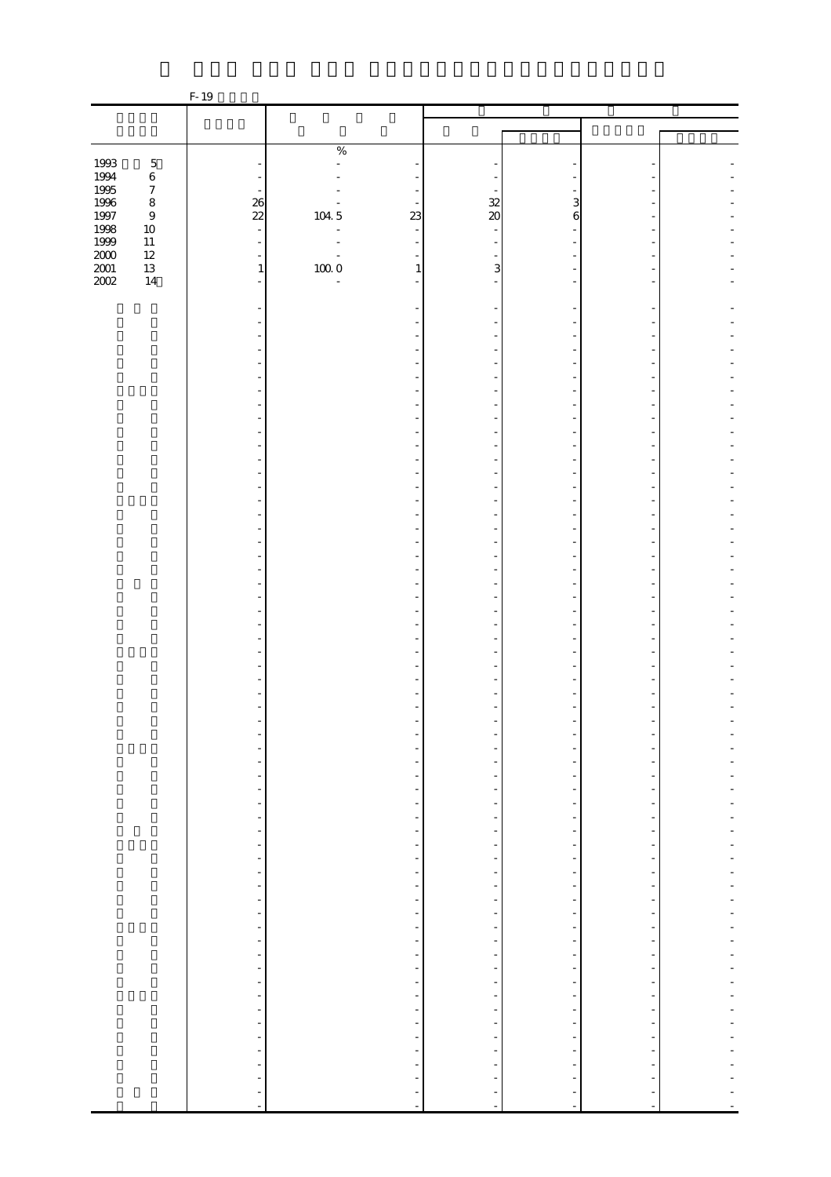|                      |                  | F-19                                         |                |                                                  |                                                      |                                            |                                                      |  |
|----------------------|------------------|----------------------------------------------|----------------|--------------------------------------------------|------------------------------------------------------|--------------------------------------------|------------------------------------------------------|--|
|                      |                  |                                              |                |                                                  |                                                      |                                            |                                                      |  |
|                      |                  |                                              |                |                                                  |                                                      |                                            |                                                      |  |
|                      |                  |                                              | $\%$           |                                                  |                                                      |                                            |                                                      |  |
| 1993                 | $\mathbf 5$      |                                              | $\overline{a}$ |                                                  |                                                      |                                            |                                                      |  |
| 1994<br>1995         | $\,6\,$          |                                              |                |                                                  |                                                      |                                            |                                                      |  |
|                      | $\boldsymbol{7}$ |                                              |                |                                                  |                                                      |                                            |                                                      |  |
| 1996<br>1997<br>1998 | $\,8\,$          | $\frac{26}{22}$                              |                |                                                  | 32                                                   | 3                                          |                                                      |  |
|                      | $\boldsymbol{9}$ |                                              | 104.5          | 23                                               | $\infty$                                             | $\,$ 6 $\,$                                |                                                      |  |
| 1999                 | $10\,$<br>$11\,$ | $\mathbb{Z}$<br>$\overline{a}$               |                | $\overline{\phantom{a}}$                         |                                                      |                                            |                                                      |  |
|                      | $12\,$           | $\overline{a}$                               |                |                                                  |                                                      |                                            |                                                      |  |
| $\frac{200}{200}$    | 13               | $\,1\,$                                      | $10000$        | $\mathbf{1}$                                     | 3                                                    |                                            |                                                      |  |
|                      | $14\,$           | $\frac{1}{2}$                                | $\frac{1}{2}$  | ٠                                                |                                                      |                                            |                                                      |  |
|                      |                  |                                              |                |                                                  |                                                      |                                            |                                                      |  |
|                      |                  |                                              |                |                                                  |                                                      |                                            |                                                      |  |
|                      |                  |                                              |                |                                                  |                                                      |                                            |                                                      |  |
|                      |                  |                                              |                |                                                  |                                                      |                                            |                                                      |  |
|                      |                  |                                              |                |                                                  |                                                      |                                            |                                                      |  |
|                      |                  |                                              |                |                                                  |                                                      |                                            |                                                      |  |
|                      |                  |                                              |                |                                                  |                                                      |                                            |                                                      |  |
|                      |                  |                                              |                |                                                  |                                                      |                                            |                                                      |  |
|                      |                  |                                              |                |                                                  |                                                      |                                            |                                                      |  |
|                      |                  |                                              |                |                                                  |                                                      |                                            |                                                      |  |
|                      |                  |                                              |                |                                                  |                                                      |                                            |                                                      |  |
|                      |                  |                                              |                |                                                  |                                                      |                                            |                                                      |  |
|                      |                  |                                              |                |                                                  |                                                      |                                            |                                                      |  |
|                      |                  |                                              |                |                                                  |                                                      |                                            |                                                      |  |
|                      |                  |                                              |                |                                                  |                                                      |                                            |                                                      |  |
|                      |                  |                                              |                |                                                  |                                                      |                                            |                                                      |  |
|                      |                  |                                              |                |                                                  |                                                      |                                            |                                                      |  |
|                      |                  |                                              |                |                                                  |                                                      |                                            |                                                      |  |
|                      |                  |                                              |                |                                                  |                                                      |                                            |                                                      |  |
|                      |                  |                                              |                |                                                  |                                                      |                                            |                                                      |  |
|                      |                  |                                              |                |                                                  |                                                      |                                            |                                                      |  |
|                      |                  |                                              |                |                                                  |                                                      |                                            |                                                      |  |
|                      |                  |                                              |                |                                                  |                                                      |                                            |                                                      |  |
|                      |                  |                                              |                |                                                  |                                                      |                                            |                                                      |  |
|                      |                  |                                              |                |                                                  |                                                      |                                            |                                                      |  |
|                      |                  |                                              |                |                                                  |                                                      |                                            |                                                      |  |
|                      |                  |                                              |                |                                                  |                                                      |                                            |                                                      |  |
|                      |                  |                                              |                |                                                  |                                                      |                                            |                                                      |  |
|                      |                  |                                              |                |                                                  |                                                      |                                            |                                                      |  |
|                      |                  |                                              |                |                                                  |                                                      |                                            |                                                      |  |
|                      |                  | -                                            |                | $\overline{\phantom{0}}$                         |                                                      | $\overline{a}$                             |                                                      |  |
|                      |                  | $\overline{\phantom{m}}$                     |                |                                                  |                                                      | $\overline{\phantom{a}}$                   |                                                      |  |
|                      |                  | ÷                                            |                | $\overline{\phantom{m}}$                         |                                                      | $\overline{\phantom{a}}$                   |                                                      |  |
|                      |                  | ÷,<br>÷                                      |                | $\overline{\phantom{a}}$                         | $\overline{\phantom{0}}$                             | $\overline{\phantom{a}}$<br>$\frac{1}{2}$  | $\overline{\phantom{a}}$                             |  |
|                      |                  | ÷                                            |                | $\frac{1}{\sqrt{2}}$<br>$\overline{\phantom{a}}$ | $\overline{\phantom{0}}$<br>$\overline{\phantom{0}}$ | $\overline{\phantom{a}}$                   | -<br>$\overline{\phantom{a}}$                        |  |
|                      |                  | f                                            |                | $\frac{1}{\sqrt{2}}$                             |                                                      | $\overline{\phantom{a}}$                   |                                                      |  |
|                      |                  |                                              |                |                                                  | -                                                    | $\overline{\phantom{a}}$                   | -                                                    |  |
|                      |                  | $\frac{1}{2}$                                |                | $\frac{1}{2}$                                    | $\frac{1}{2}$                                        | $\overline{\phantom{a}}$                   | $\overline{\phantom{a}}$                             |  |
|                      |                  | $\frac{1}{2}$                                |                | ÷,                                               |                                                      | $\overline{\phantom{a}}$                   |                                                      |  |
|                      |                  |                                              |                | ÷,                                               | ÷                                                    | ÷                                          | $\overline{\phantom{a}}$                             |  |
|                      |                  |                                              |                | f                                                | $\overline{\phantom{0}}$                             | $\frac{1}{2}$                              | -                                                    |  |
|                      |                  |                                              |                | $\overline{\phantom{0}}$                         | -                                                    | $\overline{\phantom{a}}$                   | $\overline{\phantom{a}}$                             |  |
|                      |                  |                                              |                | $\frac{1}{2}$                                    | $\overline{\phantom{a}}$                             | $\overline{\phantom{a}}$                   | ÷                                                    |  |
|                      |                  | $\begin{bmatrix} 1 \\ -1 \\ 1 \end{bmatrix}$ |                |                                                  | $\qquad \qquad \blacksquare$<br>$\frac{1}{2}$        | ÷<br>$\overline{\phantom{a}}$              | $\overline{\phantom{a}}$<br>$\overline{\phantom{a}}$ |  |
|                      |                  |                                              |                | $\overline{\phantom{0}}$<br>÷,                   | $\frac{1}{2}$                                        | $\overline{\phantom{a}}$                   | $\overline{\phantom{a}}$                             |  |
|                      |                  |                                              |                | ÷                                                | $\qquad \qquad \blacksquare$                         | $\frac{1}{2}$                              | $\overline{\phantom{a}}$                             |  |
|                      |                  |                                              |                | ÷,                                               | $\overline{\phantom{a}}$                             | $\blacksquare$                             | -                                                    |  |
|                      |                  | $\frac{1}{2}$                                |                | ÷                                                | $\overline{\phantom{0}}$                             | $\overline{\phantom{a}}$                   | $\overline{\phantom{a}}$                             |  |
|                      |                  |                                              |                |                                                  | $\qquad \qquad \blacksquare$                         | f                                          |                                                      |  |
|                      |                  | $\frac{1}{2}$                                |                | $\frac{1}{1}$                                    | $\qquad \qquad \blacksquare$                         | ÷                                          | $\overline{\phantom{m}}$                             |  |
|                      |                  |                                              |                | ÷                                                | $\overline{\phantom{0}}$                             | $\overline{\phantom{a}}$                   | $\overline{\phantom{a}}$                             |  |
|                      |                  |                                              |                | ÷                                                |                                                      | ÷                                          |                                                      |  |
|                      |                  | $\frac{1}{2}$                                |                | ÷                                                |                                                      | $\overline{\phantom{a}}$                   |                                                      |  |
|                      |                  | $\overline{a}$                               |                | ÷<br>$\overline{a}$                              | $\frac{1}{2}$                                        | $\overline{\phantom{a}}$<br>$\overline{a}$ | ÷<br>$\ddot{\phantom{0}}$                            |  |
|                      |                  |                                              |                |                                                  |                                                      |                                            |                                                      |  |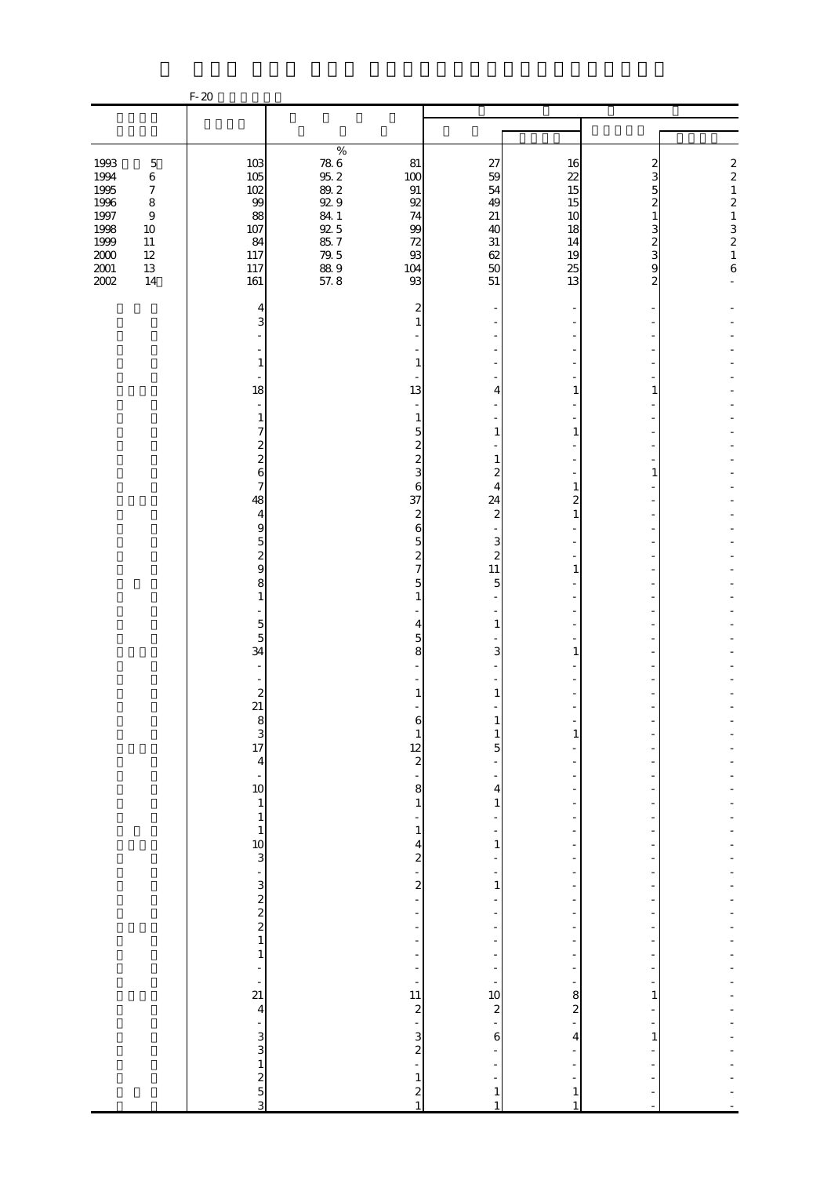|                                                                                      |                                                                                                                       | $F-20$                                                                                                                                                                                                                                                                                                                                                                                                                                                                                                                                                                                      |                                                                                                                       |                                                                                                                                                                                                                                                                                                                                                                                                                                                                                                                                |                                                                                                                                                                                                                                                                                                         |                                                                                                                                                                                                                                                                     |                                                                                                        |                                                                                                                              |
|--------------------------------------------------------------------------------------|-----------------------------------------------------------------------------------------------------------------------|---------------------------------------------------------------------------------------------------------------------------------------------------------------------------------------------------------------------------------------------------------------------------------------------------------------------------------------------------------------------------------------------------------------------------------------------------------------------------------------------------------------------------------------------------------------------------------------------|-----------------------------------------------------------------------------------------------------------------------|--------------------------------------------------------------------------------------------------------------------------------------------------------------------------------------------------------------------------------------------------------------------------------------------------------------------------------------------------------------------------------------------------------------------------------------------------------------------------------------------------------------------------------|---------------------------------------------------------------------------------------------------------------------------------------------------------------------------------------------------------------------------------------------------------------------------------------------------------|---------------------------------------------------------------------------------------------------------------------------------------------------------------------------------------------------------------------------------------------------------------------|--------------------------------------------------------------------------------------------------------|------------------------------------------------------------------------------------------------------------------------------|
|                                                                                      |                                                                                                                       |                                                                                                                                                                                                                                                                                                                                                                                                                                                                                                                                                                                             |                                                                                                                       |                                                                                                                                                                                                                                                                                                                                                                                                                                                                                                                                |                                                                                                                                                                                                                                                                                                         |                                                                                                                                                                                                                                                                     |                                                                                                        |                                                                                                                              |
| 1993<br>1994<br>1995<br>1996<br>1997<br>1998<br>1999<br>$2000\,$<br>$2001\,$<br>2002 | $\mathbf 5$<br>$\,6$<br>$\boldsymbol{7}$<br>$\,8\,$<br>$\boldsymbol{9}$<br>$10\,$<br>$11\,$<br>$12\,$<br>$13\,$<br>14 | 103<br>105<br>102<br>99<br>88<br>107<br>84<br>117<br>117<br>161                                                                                                                                                                                                                                                                                                                                                                                                                                                                                                                             | $\%$<br>$\begin{array}{c} 78.6 \\ 95.2 \end{array}$<br>89.2<br>92.9<br>84 1<br>92 5<br>85.7<br>$79.5$<br>88.9<br>57.8 | 81<br>100<br>$\,91$<br>$92\,$<br>74<br>99<br>72<br>$93\,$<br>104<br>93                                                                                                                                                                                                                                                                                                                                                                                                                                                         | 27<br>59<br>54<br>49<br>21<br>40<br>31<br>62<br>50<br>51                                                                                                                                                                                                                                                | 16<br>22<br>15<br>15<br>10<br>18<br>14<br>19<br>25<br>13                                                                                                                                                                                                            | 2<br>3<br>5<br>$\overline{\mathcal{Z}}$<br>$\mathbf{1}$<br>3<br>$\overline{\mathbf{c}}$<br>3<br>9<br>2 | $\frac{2}{2}$<br>$\,1$<br>$\overline{c}$<br>$\begin{array}{c} 1 \\ 3 \\ 2 \\ 1 \end{array}$<br>$\,$ 6 $\,$<br>$\overline{a}$ |
|                                                                                      |                                                                                                                       | 4<br>3<br>$\mathbf{1}$<br>18<br>$\overline{\phantom{a}}$<br>$\mathbf{1}$<br>7<br>$\boldsymbol{z}$<br>$\overline{\mathcal{L}}$<br>6<br>7<br>48<br>$\overline{4}$<br>9<br>$\overline{5}$<br>$\boldsymbol{z}$<br>9<br>8<br>$\mathbf{1}$<br>L,<br>$\overline{5}$<br>$\overline{5}$<br>34<br>÷,<br>$\boldsymbol{z}$<br>21<br>$\begin{array}{c}\n 8 \\  3 \\  17 \\  4\n \end{array}$<br>$\frac{1}{10}$<br>$\,1\,$<br>$\,1\,$<br>$\mathbf{1}$<br>$\begin{array}{c} 10 \\ 20 \\ 1 \end{array}$<br>$\,1\,$<br>÷<br>$\frac{1}{21}$<br>$\overline{4}$<br>$\begin{array}{c} 2 \ 3 \ 2 \ 3 \end{array}$ |                                                                                                                       | 2<br>1<br>1<br>13<br>$\overline{\phantom{a}}$<br>1<br>5<br>$\overline{\mathcal{Z}}$<br>$\overline{\mathcal{Z}}$<br>3<br>6<br>37<br>$\boldsymbol{z}$<br>6<br>5<br>$\overline{\mathcal{Z}}$<br>$\overline{7}$<br>5<br>$\mathbf{1}$<br>4<br>$\overline{5}$<br>8<br>1<br>6<br>$\mathbf{1}$<br>$\frac{12}{2}$<br>-<br>8<br>$\,1\,$<br>$\,1\,$<br>4<br>$\boldsymbol{z}$<br>$\frac{1}{\sqrt{2}}$<br>$\overline{\mathcal{L}}$<br>L,<br>÷<br>$\overline{a}$<br>÷<br>-<br>$\overline{a}$<br>f<br>11<br>$\frac{1}{2}$ $\frac{1}{2}$<br>÷, | 4<br>1<br>1<br>$\boldsymbol{z}$<br>4<br>24<br>$\boldsymbol{z}$<br>3<br>$\overline{\mathcal{Z}}$<br>11<br>5<br>$\mathbf{1}$<br>3<br>1<br>$\mathbf{1}$<br>$\mathbf{1}$<br>5<br>$\overline{4}$<br>$\mathbf{1}$<br>-<br>1<br>$\mathbf{1}$<br>$\frac{1}{10}$<br>$\overline{\mathcal{L}}$<br>÷<br>$\,$ 6 $\,$ | 1<br>1<br>1<br>2<br>$\mathbf{1}$<br>1<br>1<br>$\mathbf{1}$<br>$\bar{a}$<br>÷,<br>÷,<br>$\overline{a}$<br>$\overline{\phantom{0}}$<br>$\overline{\phantom{0}}$<br>÷,<br>-<br>$\frac{1}{2}$<br>-<br>8<br>$\overline{\mathcal{L}}$<br>$\overline{a}$<br>$\overline{4}$ | 1<br>1<br>$\mathbf{1}$<br>$\mathbf{1}$                                                                 |                                                                                                                              |
|                                                                                      |                                                                                                                       |                                                                                                                                                                                                                                                                                                                                                                                                                                                                                                                                                                                             |                                                                                                                       | $\,1$<br>$\frac{2}{1}$                                                                                                                                                                                                                                                                                                                                                                                                                                                                                                         | $\mathbf{1}$                                                                                                                                                                                                                                                                                            | $\mathbf{1}$<br>$\mathbf{1}$                                                                                                                                                                                                                                        |                                                                                                        |                                                                                                                              |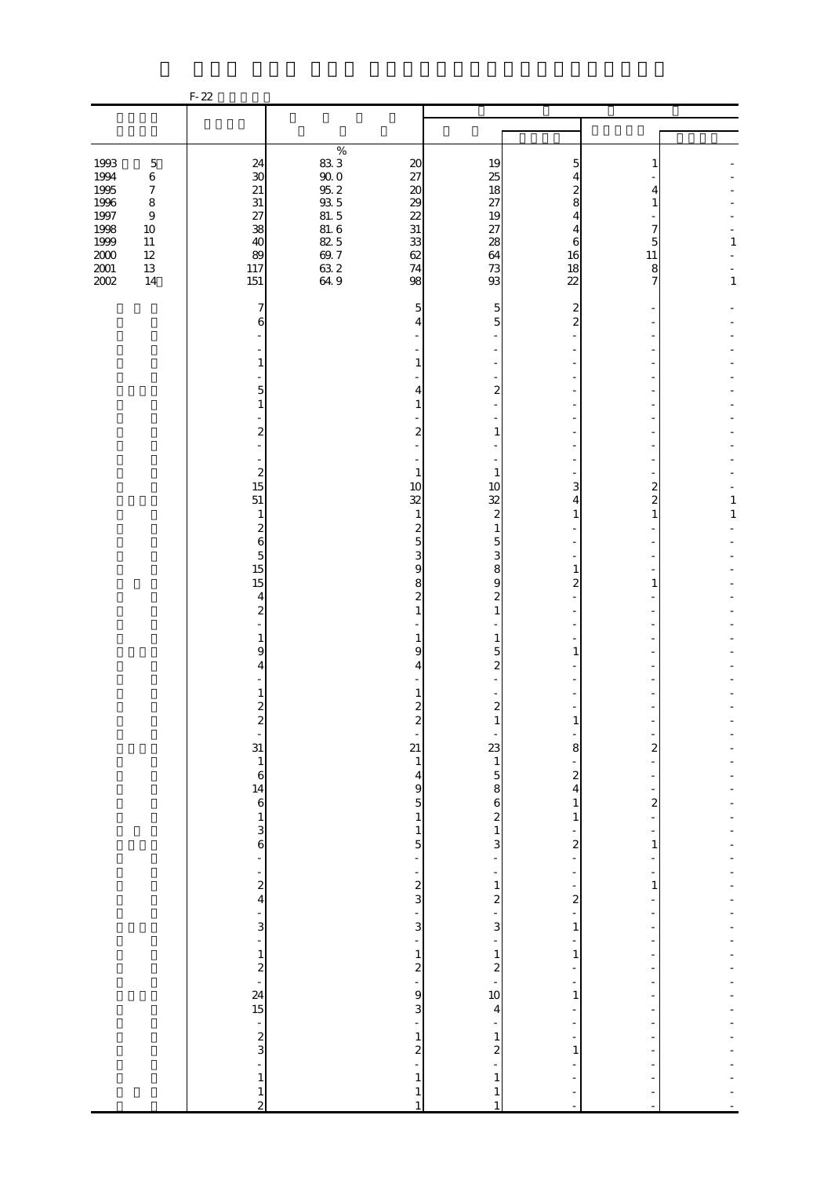|                                                                                                                                                                                                               | $F-22$                                                                                          |                                                                                     |                                                                                     |                                                                                                                     |                                                                                                                                                       |                                                               |                   |
|---------------------------------------------------------------------------------------------------------------------------------------------------------------------------------------------------------------|-------------------------------------------------------------------------------------------------|-------------------------------------------------------------------------------------|-------------------------------------------------------------------------------------|---------------------------------------------------------------------------------------------------------------------|-------------------------------------------------------------------------------------------------------------------------------------------------------|---------------------------------------------------------------|-------------------|
|                                                                                                                                                                                                               |                                                                                                 |                                                                                     |                                                                                     |                                                                                                                     |                                                                                                                                                       |                                                               |                   |
|                                                                                                                                                                                                               |                                                                                                 | $\%$                                                                                |                                                                                     |                                                                                                                     |                                                                                                                                                       |                                                               |                   |
| 1993<br>$\mathbf 5$<br>1994<br>$\,6$<br>1995<br>$\boldsymbol{7}$<br>1996<br>$\,8\,$<br>1997<br>$\boldsymbol{9}$<br>1998<br>$10\,$<br>1999<br>$11\,$<br>$2000\,$<br>$12\,$<br>$2001\,$<br>$13\,$<br>2002<br>14 | 24<br>$\boldsymbol{\mathcal{S}}$<br>$21\,$<br>$31\,$<br>27<br>38<br>40<br>89<br>117<br>151      | $\frac{83}{90}$ 0<br>95, 2<br>93, 5<br>81, 6<br>82, 5<br>$69.7$<br>$63.2$<br>$64.9$ | $20\,$<br>27<br>$20\,$<br>29<br>22<br>$3\mathbf{1}$<br>33<br>62<br>74<br>98         | 19<br>25<br>18<br>27<br>19<br>27<br>28<br>64<br>73<br>93                                                            | 5<br>4<br>8<br>4<br>4<br>6<br>16<br>18<br>$\overline{22}$                                                                                             | 4<br>1<br>7<br>5<br>11<br>8<br>7                              | 1<br>$\mathbf{1}$ |
|                                                                                                                                                                                                               | 7<br>6<br>1<br>5<br>$\mathbf{1}$<br>2                                                           |                                                                                     | 5<br>4<br>1<br>4<br>$\mathbf{1}$<br>$\boldsymbol{2}$                                | 5<br>5<br>$\overline{2}$<br>1                                                                                       | $\overline{2}$<br>2                                                                                                                                   |                                                               |                   |
|                                                                                                                                                                                                               | $\boldsymbol{z}$<br>15<br>51<br>$\mathbf{1}$<br>$\overline{\mathcal{Z}}$<br>6<br>$\overline{5}$ |                                                                                     | $\mathbf{1}$<br>10<br>32<br>$\mathbf{1}$<br>$\boldsymbol{z}$<br>$\overline{5}$<br>3 | 1<br>10<br>32<br>$\boldsymbol{2}$<br>$\mathbf{1}$<br>$\overline{5}$<br>3                                            | 3<br>4<br>1                                                                                                                                           | 2<br>$\overline{\mathbf{c}}$<br>$\mathbf{1}$                  | 1<br>$\mathbf 1$  |
|                                                                                                                                                                                                               | 15<br>15<br>4<br>$\overline{\mathcal{Z}}$<br>1<br>9<br>4                                        |                                                                                     | $\boldsymbol{9}$<br>8<br>$\boldsymbol{z}$<br>1<br>1<br>9<br>4                       | 8<br>$\overline{9}$<br>$\boldsymbol{z}$<br>1<br>1<br>5<br>$\boldsymbol{z}$                                          | 1<br>$\overline{c}$<br>1                                                                                                                              | 1                                                             |                   |
|                                                                                                                                                                                                               | 1<br>$\boldsymbol{z}$<br>$\boldsymbol{z}$<br>÷,<br>31<br>$\,1\,$<br>$\boldsymbol{6}$            |                                                                                     | $\boldsymbol{z}$<br>$\boldsymbol{z}$<br>21<br>$\mathbf{1}$<br>$\overline{4}$        | $\boldsymbol{z}$<br>1<br>$\begin{array}{c} 23 \\ 1 \end{array}$<br>$\overline{5}$                                   | $\mathbf{1}$<br>8<br>$\boldsymbol{2}$                                                                                                                 | $\overline{\mathbf{c}}$                                       |                   |
|                                                                                                                                                                                                               | $\begin{array}{c} 14 \\ 6 \end{array}$<br>$\,1$<br>3<br>6<br>÷<br>$\frac{1}{2}$                 |                                                                                     | 9<br>$\overline{5}$<br>$\,1\,$<br>$\,1$<br>5<br>÷<br>$\overline{\phantom{0}}$       | 8<br>$\mathbf{6}$<br>$\begin{smallmatrix}2\\1\end{smallmatrix}$<br>$\mathbf{3}$<br>÷<br>$\,1\,$                     | $\overline{\mathbf{4}}$<br>$\,1$<br>$\mathbf{1}$<br>$\frac{1}{2}$<br>$\overline{\mathbf{c}}$<br>÷<br>$\overline{\phantom{0}}$<br>$\frac{1}{\sqrt{2}}$ | $\overline{\mathcal{Z}}$<br>÷<br>$\mathbf{1}$<br>$\mathbf{1}$ |                   |
|                                                                                                                                                                                                               | ÷<br>$\frac{3}{1}$<br>$\begin{array}{c} 1 \\ 2 \\ 15 \end{array}$                               |                                                                                     | $\frac{2}{3}$<br>$\overline{a}$<br>3<br>$\overline{a}$<br>$\,1$<br>$\frac{2}{9}$    | $\mathbf{z}$<br>$\overline{3}$<br>÷,<br>$\,$ 1 $\,$<br>$\begin{array}{c} 2 \\ -10 \end{array}$                      | $\overline{\mathcal{L}}$<br>$\mathbf{1}$<br>÷<br>$\,1\,$<br>÷<br>-                                                                                    |                                                               |                   |
|                                                                                                                                                                                                               | $\frac{1}{2}$<br>÷<br>$\,1\,$<br>$\frac{1}{2}$                                                  |                                                                                     | $\mathbf{3}$<br>÷,<br>$\frac{1}{2}$<br>$\mathbf{1}$<br>$\mathbf{1}$<br>$\mathbf{1}$ | $\overline{\mathbf{4}}$<br>$\mathbf{1}$<br>$\overline{\mathcal{L}}$<br>$\mathbf{1}$<br>$\mathbf{1}$<br>$\mathbf{1}$ | $\mathbf{1}$<br>$\overline{\phantom{0}}$<br>÷<br>$\,1\,$                                                                                              | $\overline{a}$                                                |                   |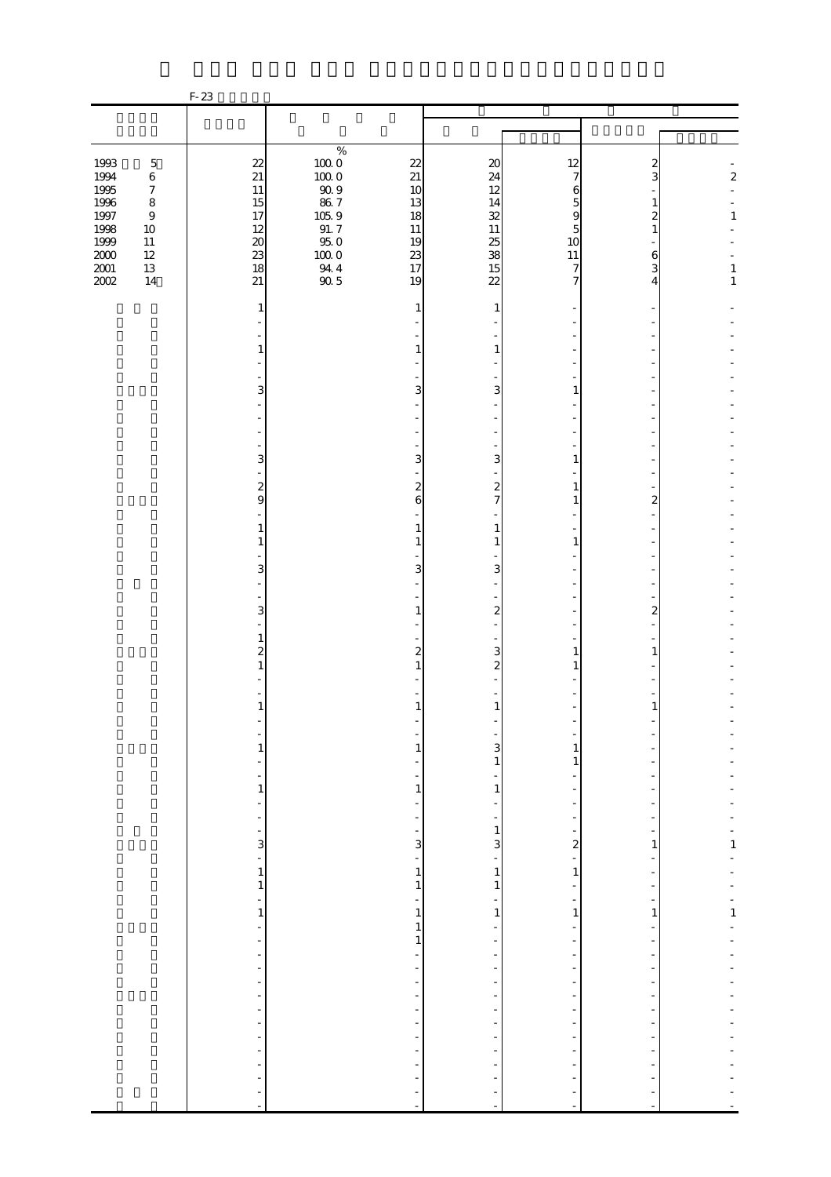|                                                  |                                                                                     | $F-23$                                                      |                                                                 |                                                                |                                                                     |                                                                 |                                             |                                  |
|--------------------------------------------------|-------------------------------------------------------------------------------------|-------------------------------------------------------------|-----------------------------------------------------------------|----------------------------------------------------------------|---------------------------------------------------------------------|-----------------------------------------------------------------|---------------------------------------------|----------------------------------|
|                                                  |                                                                                     |                                                             |                                                                 |                                                                |                                                                     |                                                                 |                                             |                                  |
|                                                  |                                                                                     |                                                             |                                                                 |                                                                |                                                                     |                                                                 |                                             |                                  |
| 1993<br>1994<br>1995<br>$1996\,$<br>1997<br>1998 | $\mathbf 5$<br>$\,6\,$<br>$\boldsymbol{7}$<br>$\,8\,$<br>$\boldsymbol{9}$<br>$10\,$ | 22<br>$21\,$<br>$11\,$<br>15<br>17<br>12                    | $\%$<br>$100\;0$<br>1000<br>$90\;9$<br>$86\ 7$<br>105.9<br>91.7 | 22<br>21<br>10<br>13<br>18<br>$11\,$                           | $\boldsymbol{\chi}$<br>24<br>12<br>14<br>32<br>$11\,$               | 12<br>7<br>6<br>5<br>9<br>5                                     | 2<br>3<br>1<br>$\overline{\mathcal{Z}}$     | $\boldsymbol{z}$<br>$\mathbf{1}$ |
| 1999<br>$2000\,$<br>$2001\,$<br>2002             | $11\,$<br>$12\,$<br>$13\,$<br>14                                                    | $20\,$<br>23<br>18<br>21                                    | 95.0<br>$100\;0$<br>$\frac{94.4}{90.5}$                         | 19<br>23<br>17<br>19                                           | 25<br>38<br>15<br>$\overline{22}$                                   | 10<br>11<br>7<br>7                                              | $\,$ 6 $\,$<br>$\overline{\mathbf{3}}$<br>4 | $\mathbf{1}$<br>$\mathbf{1}$     |
|                                                  |                                                                                     | 1                                                           |                                                                 | 1                                                              | 1                                                                   |                                                                 |                                             |                                  |
|                                                  |                                                                                     | 1                                                           |                                                                 | 1                                                              | 1                                                                   |                                                                 |                                             |                                  |
|                                                  |                                                                                     | 3                                                           |                                                                 | 3                                                              | 3                                                                   | 1                                                               |                                             |                                  |
|                                                  |                                                                                     | 3                                                           |                                                                 | 3                                                              | 3                                                                   | 1                                                               |                                             |                                  |
|                                                  |                                                                                     | $\overline{\mathbf{c}}$<br>9                                |                                                                 | $\overline{\mathbf{c}}$<br>6                                   | $\overline{a}$<br>$\overline{7}$                                    | 1<br>1                                                          | 2                                           |                                  |
|                                                  |                                                                                     | 1<br>1                                                      |                                                                 | 1<br>1                                                         | $\mathbf{1}$<br>$\mathbf{1}$                                        | $\mathbf{1}$                                                    |                                             |                                  |
|                                                  |                                                                                     | 3                                                           |                                                                 | 3                                                              | 3                                                                   |                                                                 |                                             |                                  |
|                                                  |                                                                                     | 3<br>$\mathbf{1}$<br>$\overline{\mathbf{c}}$                |                                                                 | $\mathbf{1}$<br>2                                              | $\mathbf{z}$<br>3                                                   | 1                                                               | 2<br>1                                      |                                  |
|                                                  |                                                                                     |                                                             |                                                                 | 1                                                              | $\boldsymbol{z}$                                                    | 1                                                               |                                             |                                  |
|                                                  |                                                                                     | $\mathbf{1}$                                                |                                                                 | 1                                                              | $\mathbf{1}$                                                        |                                                                 |                                             |                                  |
|                                                  |                                                                                     | $\frac{1}{1}$                                               |                                                                 | 1                                                              | 3<br>$\mathbf{1}$                                                   | 1<br>$\mathbf{1}$                                               |                                             |                                  |
|                                                  |                                                                                     | $\frac{1}{1}$                                               |                                                                 | $\mathbf{1}$<br>$\overline{\phantom{a}}$                       | $\vert$<br>-<br>$\overline{\phantom{a}}$                            | $\overline{\phantom{a}}$<br>÷,<br>÷                             | $\overline{a}$                              |                                  |
|                                                  |                                                                                     | $\frac{1}{1}$ = $\frac{1}{1}$                               |                                                                 | 3<br>$\frac{1}{2}$                                             | $\mathbf{1}$<br>$\overline{\mathbf{3}}$<br>$\overline{\phantom{a}}$ | $\overline{\mathbf{c}}$<br>÷                                    | 1<br>-                                      | $\frac{1}{1}$<br>÷,              |
|                                                  |                                                                                     | $\,1$<br>$\overline{a}$                                     |                                                                 | $\,1\,$<br>$\mathbf{1}$<br>$\frac{1}{2}$                       | $\vert$<br>$1\vert$<br>$\overline{\phantom{a}}$                     | $\mathbf{1}$<br>$\overline{\phantom{a}}$<br>$\frac{1}{2}$       | ÷                                           | ÷<br>÷<br>$\frac{1}{1}$          |
|                                                  |                                                                                     | $\mathbf{1}$<br>$\begin{bmatrix} 1 \\ 1 \\ 1 \end{bmatrix}$ |                                                                 | $\,1\,$<br>1<br>$\mathbf{1}$                                   | $1\vert$<br>$\overline{\phantom{a}}$                                | $\,1$<br>÷,<br>$\frac{1}{2}$                                    | $\frac{1}{2}$                               | $\overline{a}$                   |
|                                                  |                                                                                     |                                                             |                                                                 | -<br>$\overline{\phantom{a}}$<br>-<br>$\overline{\phantom{0}}$ | ÷<br>$\overline{\phantom{a}}$<br>÷<br>$\qquad \qquad \blacksquare$  | $\overline{\phantom{a}}$<br>$\overline{\phantom{a}}$<br>÷,<br>- | $\overline{a}$<br>÷<br>÷                    |                                  |
|                                                  |                                                                                     |                                                             |                                                                 | $\overline{\phantom{a}}$<br>$\overline{\phantom{0}}$           | $\overline{\phantom{a}}$<br>$\overline{\phantom{a}}$                | $\overline{\phantom{a}}$<br>÷,<br>÷                             |                                             |                                  |
|                                                  |                                                                                     | $\overline{\phantom{a}}$                                    |                                                                 | $\frac{1}{2}$                                                  | $\overline{\phantom{a}}$                                            | $\overline{\phantom{0}}$<br>$\overline{a}$                      |                                             |                                  |
|                                                  |                                                                                     | $\frac{1}{2}$                                               |                                                                 | $\blacksquare$                                                 | $\frac{1}{2}$                                                       | $\overline{a}$<br>$\blacksquare$                                | ł,<br>÷,                                    |                                  |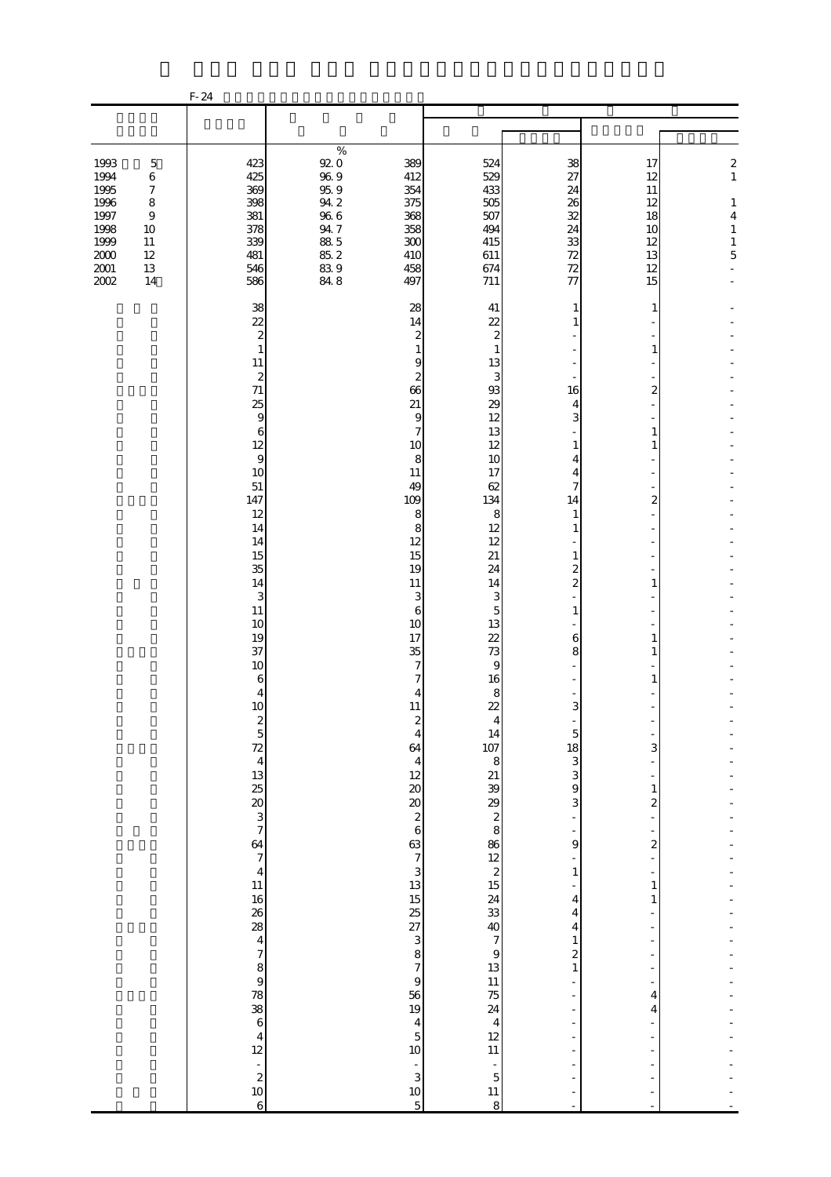|                                                                                      |                                                                                          | $F-24$                                                                                                                                                                                                                                                                                                                                                                                                     |                                                                                                                                                                                                                              |                                                                                                                                                                                                                                                                                                                                                                                                                                                                                                                                                                                                                                                                                                                                                 |                                                                                                                                                                                                                                                                                                                                                                                                                                                                                        |                                                                                                                                                                                       |                                                                                                                |
|--------------------------------------------------------------------------------------|------------------------------------------------------------------------------------------|------------------------------------------------------------------------------------------------------------------------------------------------------------------------------------------------------------------------------------------------------------------------------------------------------------------------------------------------------------------------------------------------------------|------------------------------------------------------------------------------------------------------------------------------------------------------------------------------------------------------------------------------|-------------------------------------------------------------------------------------------------------------------------------------------------------------------------------------------------------------------------------------------------------------------------------------------------------------------------------------------------------------------------------------------------------------------------------------------------------------------------------------------------------------------------------------------------------------------------------------------------------------------------------------------------------------------------------------------------------------------------------------------------|----------------------------------------------------------------------------------------------------------------------------------------------------------------------------------------------------------------------------------------------------------------------------------------------------------------------------------------------------------------------------------------------------------------------------------------------------------------------------------------|---------------------------------------------------------------------------------------------------------------------------------------------------------------------------------------|----------------------------------------------------------------------------------------------------------------|
|                                                                                      |                                                                                          |                                                                                                                                                                                                                                                                                                                                                                                                            |                                                                                                                                                                                                                              |                                                                                                                                                                                                                                                                                                                                                                                                                                                                                                                                                                                                                                                                                                                                                 |                                                                                                                                                                                                                                                                                                                                                                                                                                                                                        |                                                                                                                                                                                       |                                                                                                                |
|                                                                                      |                                                                                          |                                                                                                                                                                                                                                                                                                                                                                                                            |                                                                                                                                                                                                                              |                                                                                                                                                                                                                                                                                                                                                                                                                                                                                                                                                                                                                                                                                                                                                 |                                                                                                                                                                                                                                                                                                                                                                                                                                                                                        |                                                                                                                                                                                       |                                                                                                                |
| 1993<br>1994<br>1995<br>1996<br>1997<br>1998<br>1999<br>$2000\,$<br>$2001\,$<br>2002 | $\mathbf 5$<br>$\,6$<br>$\boldsymbol{7}$<br>8<br>$\,9$<br>10<br>11<br>12<br>$13\,$<br>14 | 423<br>425<br>369<br>398<br>381<br>378<br>339<br>481<br>546<br>586                                                                                                                                                                                                                                                                                                                                         | $\%$<br>92.0<br>389<br>$96\ 9$<br>412<br>$95.9$<br>354<br>$94.2\,$<br>375<br>$96\ 6$<br>368<br>$94\ 7$<br>358<br>88.5<br>300<br>85.2<br>410<br>$839$<br>$848$<br>458<br>497                                                  | 524<br>529<br>433<br>505<br>507<br>494<br>415<br>611<br>674<br>711                                                                                                                                                                                                                                                                                                                                                                                                                                                                                                                                                                                                                                                                              | 38<br>27<br>24<br>26<br>32<br>24<br>33<br>72<br>$72\,$<br>77                                                                                                                                                                                                                                                                                                                                                                                                                           | 17<br>12<br>11<br>12<br>18<br>10<br>12<br>13<br>12<br>15                                                                                                                              | $\boldsymbol{z}$<br>$\,1\,$<br>$\mathbf{1}$<br>$\overline{\mathbf{4}}$<br>$\,1\,$<br>$\,1\,$<br>$\overline{5}$ |
|                                                                                      |                                                                                          | 38<br>22<br>$\boldsymbol{z}$<br>$\mathbf{1}$<br>11<br>$\boldsymbol{z}$<br>71<br>25<br>$\boldsymbol{9}$<br>6<br>12<br>$\overline{9}$<br>10<br>51<br>147<br>12<br>14<br>14<br>15<br>35<br>14<br>3<br>$11\,$<br>10<br>19<br>37<br>10<br>6<br>4<br>10<br>2 5 7 4 5 7 8 8 9 9 7<br>$64$ 7<br>4<br>11<br>$\begin{array}{c} 4 \\ 12 \end{array}$<br>$\begin{array}{c} 2 \\ 2 \\ 10 \end{array}$<br>$\overline{6}$ | 28<br>14<br>66<br>21<br>10<br>11<br>49<br>109<br>12<br>15<br>19<br>$11\,$<br>10<br>17<br>35<br>11<br>64<br>12<br>$\infty$<br>$rac{20}{2}$<br>63<br>13<br>$\frac{15}{25}$<br>56<br>19<br>10<br>$\overline{\phantom{a}}$<br>10 | 41<br>22<br>$\boldsymbol{2}$<br>2<br>$\mathbf{1}$<br>$\mathbf{1}$<br>13<br>9<br>$\boldsymbol{z}$<br>3<br>93<br>29<br>9<br>12<br>7<br>13<br>12<br>8<br>10<br>17<br>62<br>134<br>8<br>8<br>8<br>12<br>12<br>21<br>24<br>14<br>3<br>3<br>6<br>5<br>13<br>22<br>73<br>7<br>9<br>16<br>7<br>8<br>4<br>22<br>14<br>$\overline{4}$<br>107<br>8<br>$\overline{4}$<br>$\frac{21}{39}$<br>8<br>8<br>8<br>$\overline{6}$<br>$\frac{86}{12}$<br>$\frac{2}{15}$<br>$\overline{7}$<br>3<br>$\frac{24}{33}$<br>40<br>3<br>$\overline{7}$<br>$\mathbf{9}$<br>8<br>$\overline{7}$<br>13<br>$\Theta$<br>$\frac{11}{75}$<br>$\overline{4}$<br>$\overline{\mathbf{4}}$<br>12<br>$\overline{5}$<br>$11\,$<br>÷,<br>3<br>$\overline{5}$<br>$11\,$<br>$\mathbf 5$<br>8 | 1<br>16<br>4<br>3<br>1<br>4<br>4<br>7<br>14<br>1<br>1<br>$\mathbf{1}$<br>$\boldsymbol{2}$<br>$\overline{\mathcal{L}}$<br>$\mathbf{1}$<br>$\overline{a}$<br>$\,$ 6 $\,$<br>8<br>3<br>$\overline{5}$<br>18<br>$\frac{3}{3}$<br>$\overline{9}$<br>3<br>$\overline{\phantom{a}}$<br>9<br>$\overline{\phantom{0}}$<br>$\,1\,$<br>÷,<br>4<br>4<br>4<br>$\mathbf{1}$<br>$\boldsymbol{z}$<br>$\mathbf{1}$<br>$\overline{a}$<br>$\overline{\phantom{a}}$<br>$\overline{a}$<br>÷<br>÷<br>÷<br>÷, | 1<br>1<br>2<br>1<br>1<br>2<br>1<br>1<br>1<br>1<br>3<br>$\mathbf{1}$<br>$\overline{\mathcal{L}}$<br>$\overline{\mathbf{c}}$<br>$\mathbf{1}$<br>1<br>4<br>4<br>$\overline{\phantom{a}}$ |                                                                                                                |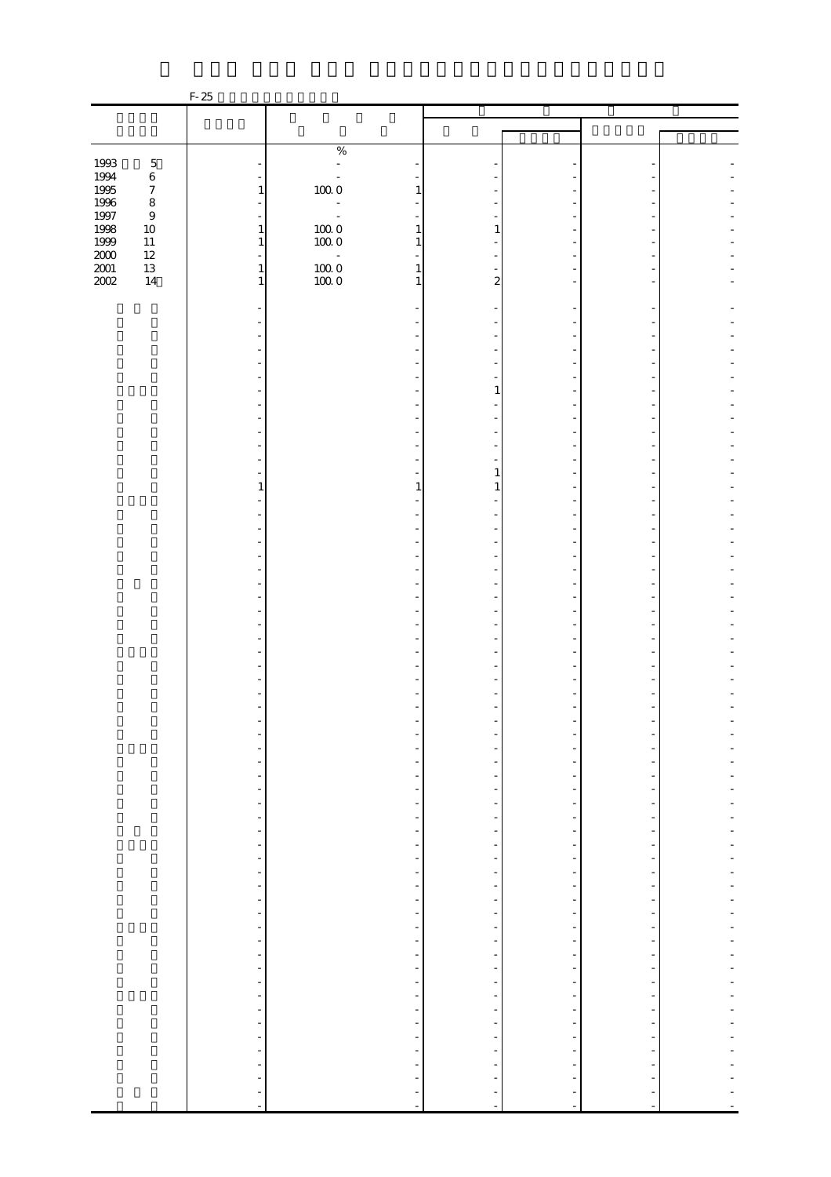|                   |                  | $F-25$                                     |                                                          |                                                      |                                                      |                                                      |  |
|-------------------|------------------|--------------------------------------------|----------------------------------------------------------|------------------------------------------------------|------------------------------------------------------|------------------------------------------------------|--|
|                   |                  |                                            |                                                          |                                                      |                                                      |                                                      |  |
|                   |                  |                                            |                                                          |                                                      |                                                      |                                                      |  |
|                   |                  |                                            | $\%$                                                     |                                                      |                                                      |                                                      |  |
| 1993              | $\mathbf 5$      |                                            | $\bar{\phantom{a}}$                                      |                                                      |                                                      |                                                      |  |
| 1994              | $\,6\,$          |                                            |                                                          |                                                      |                                                      |                                                      |  |
| 1995              | $\boldsymbol{7}$ | $\mathbf{1}$                               | $10000$                                                  |                                                      |                                                      |                                                      |  |
| $1996\,$<br>1997  | $\,8\,$<br>$\,9$ | $\overline{a}$<br>$\overline{\phantom{a}}$ | ÷<br>$\sim$ $\omega$                                     |                                                      |                                                      |                                                      |  |
| 1998              | $10\,$           | $\,1\,$                                    | 1                                                        |                                                      |                                                      |                                                      |  |
| 1999              | $11\,$           | $\mathbf{1}$                               | $\begin{array}{c} 100.0 \\ 100.0 \end{array}$<br>1       |                                                      |                                                      |                                                      |  |
| $\frac{200}{201}$ | $12\,$           |                                            | $\omega$                                                 |                                                      |                                                      |                                                      |  |
|                   | $13\,$<br>$14\,$ | $1\,$<br>$\mathbf{1}$                      | $\begin{array}{c} 100.0 \\ 100.0 \end{array}$<br>1<br>1  | 2                                                    |                                                      |                                                      |  |
|                   |                  |                                            |                                                          |                                                      |                                                      |                                                      |  |
|                   |                  |                                            |                                                          |                                                      |                                                      |                                                      |  |
|                   |                  |                                            |                                                          |                                                      |                                                      |                                                      |  |
|                   |                  |                                            |                                                          |                                                      |                                                      |                                                      |  |
|                   |                  |                                            |                                                          |                                                      |                                                      |                                                      |  |
|                   |                  |                                            |                                                          |                                                      |                                                      |                                                      |  |
|                   |                  |                                            |                                                          | 1                                                    |                                                      |                                                      |  |
|                   |                  |                                            |                                                          |                                                      |                                                      |                                                      |  |
|                   |                  |                                            |                                                          |                                                      |                                                      |                                                      |  |
|                   |                  |                                            |                                                          |                                                      |                                                      |                                                      |  |
|                   |                  |                                            |                                                          |                                                      |                                                      |                                                      |  |
|                   |                  |                                            |                                                          |                                                      |                                                      |                                                      |  |
|                   |                  | 1                                          | 1                                                        |                                                      |                                                      |                                                      |  |
|                   |                  |                                            |                                                          |                                                      |                                                      |                                                      |  |
|                   |                  |                                            |                                                          |                                                      |                                                      |                                                      |  |
|                   |                  |                                            |                                                          |                                                      |                                                      |                                                      |  |
|                   |                  |                                            |                                                          |                                                      |                                                      |                                                      |  |
|                   |                  |                                            |                                                          |                                                      |                                                      |                                                      |  |
|                   |                  |                                            |                                                          |                                                      |                                                      |                                                      |  |
|                   |                  |                                            |                                                          |                                                      |                                                      |                                                      |  |
|                   |                  |                                            |                                                          |                                                      |                                                      |                                                      |  |
|                   |                  |                                            |                                                          |                                                      |                                                      |                                                      |  |
|                   |                  |                                            |                                                          |                                                      |                                                      |                                                      |  |
|                   |                  |                                            |                                                          |                                                      |                                                      |                                                      |  |
|                   |                  |                                            |                                                          |                                                      |                                                      |                                                      |  |
|                   |                  |                                            |                                                          |                                                      |                                                      |                                                      |  |
|                   |                  |                                            |                                                          |                                                      |                                                      |                                                      |  |
|                   |                  |                                            |                                                          |                                                      |                                                      |                                                      |  |
|                   |                  | $\qquad \qquad \blacksquare$               |                                                          |                                                      |                                                      |                                                      |  |
|                   |                  | $\qquad \qquad \blacksquare$               |                                                          |                                                      |                                                      |                                                      |  |
|                   |                  | $\overline{\phantom{a}}$                   |                                                          |                                                      | $\overline{\phantom{a}}$                             |                                                      |  |
|                   |                  | $\overline{\phantom{a}}$                   | $\overline{\phantom{a}}$                                 |                                                      | $\overline{\phantom{a}}$                             | $\frac{1}{2}$                                        |  |
|                   |                  | $\frac{1}{2}$<br>$\overline{\phantom{a}}$  | $\overline{\phantom{a}}$<br>$\overline{\phantom{a}}$     | -<br>$\overline{\phantom{a}}$                        | $\overline{\phantom{a}}$<br>$\overline{\phantom{a}}$ | $\overline{\phantom{0}}$<br>$\overline{\phantom{a}}$ |  |
|                   |                  | $\overline{\phantom{a}}$                   | -                                                        |                                                      | $\overline{\phantom{a}}$                             | ۰                                                    |  |
|                   |                  | $\overline{\phantom{m}}$                   | $\qquad \qquad \blacksquare$                             |                                                      | $\overline{\phantom{m}}$                             | -                                                    |  |
|                   |                  | $\frac{1}{2}$                              | $\overline{\phantom{a}}$                                 | $\overline{\phantom{a}}$                             | $\overline{\phantom{a}}$                             | $\overline{\phantom{a}}$                             |  |
|                   |                  | $\overline{\phantom{a}}$                   | $\overline{\phantom{a}}$                                 |                                                      | $\overline{a}$                                       |                                                      |  |
|                   |                  | ÷<br>$\frac{1}{2}$                         | $\overline{\phantom{a}}$<br>$\overline{\phantom{a}}$     | $\overline{\phantom{a}}$<br>$\overline{\phantom{a}}$ | $\overline{\phantom{a}}$<br>$\overline{\phantom{a}}$ | $\blacksquare$<br>$\overline{\phantom{a}}$           |  |
|                   |                  | $\overline{\phantom{a}}$                   | $\overline{\phantom{a}}$                                 |                                                      | $\overline{\phantom{a}}$                             | $\frac{1}{2}$                                        |  |
|                   |                  | ÷,                                         | ÷                                                        |                                                      | $\overline{a}$                                       | ۰                                                    |  |
|                   |                  | ÷                                          | $\overline{\phantom{a}}$                                 |                                                      | $\overline{\phantom{a}}$                             | $\frac{1}{2}$                                        |  |
|                   |                  | ÷,                                         | $\overline{\phantom{a}}$                                 | $\overline{\phantom{a}}$                             | $\overline{\phantom{a}}$                             | -                                                    |  |
|                   |                  | $\frac{1}{\sqrt{2}}$                       | $\frac{1}{2}$                                            |                                                      | $\overline{a}$                                       |                                                      |  |
|                   |                  | ÷,                                         | $\overline{\phantom{a}}$<br>$\qquad \qquad \blacksquare$ | $\overline{\phantom{a}}$<br>-                        | $\overline{\phantom{a}}$<br>$\overline{\phantom{a}}$ | $\overline{\phantom{0}}$<br>۰                        |  |
|                   |                  | ÷,<br>$\overline{\phantom{0}}$             | $\overline{\phantom{a}}$                                 |                                                      | $\overline{\phantom{a}}$                             | $\overline{\phantom{a}}$                             |  |
|                   |                  | $\frac{1}{\sqrt{2}}$                       | $\overline{\phantom{0}}$                                 |                                                      | $\overline{\phantom{0}}$                             | $\overline{\phantom{0}}$                             |  |
|                   |                  | $\frac{1}{\sqrt{2}}$                       | $\overline{\phantom{a}}$                                 |                                                      | $\overline{\phantom{a}}$                             | $\overline{\phantom{0}}$                             |  |
|                   |                  | $\frac{1}{2}$                              | $\overline{\phantom{a}}$                                 | $\overline{\phantom{a}}$                             | $\overline{\phantom{a}}$                             | $\overline{\phantom{a}}$                             |  |
|                   |                  | $\overline{\phantom{a}}$                   |                                                          |                                                      |                                                      |                                                      |  |
|                   |                  | ÷<br>$\overline{\phantom{a}}$              |                                                          | $\overline{\phantom{a}}$                             | $\overline{a}$                                       | $\overline{\phantom{a}}$                             |  |
|                   |                  | $\bar{\phantom{a}}$                        | $\overline{\phantom{a}}$                                 | $\blacksquare$                                       | $\blacksquare$                                       | $\blacksquare$                                       |  |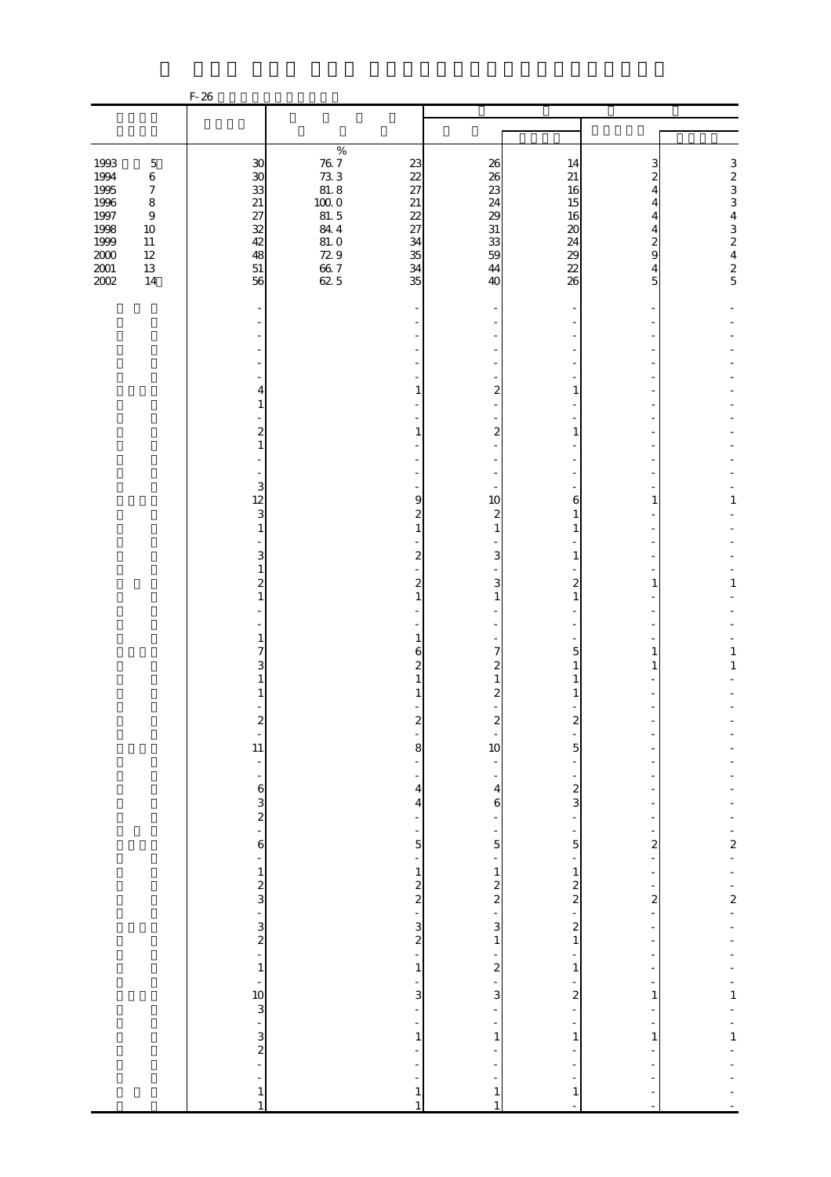| $\%$<br>$\begin{array}{c} 76 & 7 \\ 73 & 3 \\ 81 & 8 \end{array}$<br>1993<br>$\begin{array}{c} 3 \\ 2 \\ 3 \\ 3 \end{array}$<br>$\mathbf 5$<br>$30\,$<br>23<br>26<br>14<br>3<br>$\boldsymbol{\mathcal{S}}$<br>22<br>1994<br>26<br>21<br>$\,6$<br>2<br>1995<br>33<br>27<br>$\boldsymbol{7}$<br>23<br>16<br>4<br>21<br>$100\;0$<br>1996<br>$\,8\,$<br>$21\,$<br>24<br>15<br>4<br>1997<br>81.5<br>432425<br>27<br>22<br>$\boldsymbol{9}$<br>29<br>16<br>4<br>32<br>1998<br>844<br>27<br>31<br>$10\,$<br>20<br>4<br>42<br>1999<br>$11\,$<br>81.0<br>34<br>33<br>24<br>2<br>48<br>729<br>35<br>9<br>$2000\,$<br>$12\,$<br>59<br>29<br>$\frac{66}{62}$ 5<br>$2001\,$<br>13<br>$51\,$<br>34<br>22<br>44<br>4<br>2002<br>35<br>14<br>56<br>26<br>40<br>5<br>1<br>2<br>1<br>4<br>1<br>2<br>$\boldsymbol{z}$<br>1<br>1<br>$\mathbf{1}$<br>3<br>12<br>9<br>1<br>10<br>1<br>6<br>3<br>2<br>$\mathbf{z}$<br>1<br>$\mathbf{1}$<br>$\mathbf{1}$<br>$\mathbf{1}$<br>1<br>3<br>3<br>$\boldsymbol{2}$<br>1<br>$\mathbf{1}$<br>$\overline{\mathcal{Z}}$<br>$\overline{\mathcal{Z}}$<br>3<br>2<br>$\mathbf{1}$<br>1<br>$\mathbf{1}$<br>$\mathbf{1}$<br>$\mathbf{1}$<br>$\mathbf{1}$<br>$\mathbf{1}$<br>1<br>7<br>$\mathbf{1}$<br>7<br>1<br>6<br>5<br>3<br>$\mathbf{1}$<br>$\mathbf{z}$<br>2<br>1<br>1<br>$\mathbf{z}$<br>1<br>Z<br>$\boldsymbol{z}$<br>z<br>z<br>$\frac{1}{11}$<br>8<br>10<br>5<br>÷,<br>$-63$<br>$-2$<br>$\frac{2}{3}$<br>$\overline{4}$<br>$\overline{\mathbf{4}}$<br>$\mathbf 6$<br>$\overline{\mathbf{4}}$<br>÷,<br>÷,<br>$\overline{\phantom{0}}$<br>$-2 - 2$<br>$\overline{5}$<br>$\mathbf{6}$<br>$\overline{5}$<br>5<br>$\overline{\mathbf{c}}$<br>$\frac{1}{2}$ $\frac{1}{2}$ $\frac{1}{2}$ $\frac{1}{2}$ $\frac{1}{2}$ $\frac{1}{2}$<br>÷,<br>÷<br>÷<br>$\frac{1}{2}$<br>2 2 2 3 4 2 1<br>$\frac{1}{2}$<br>3 - 3<br>$\overline{\phantom{0}}$<br>$\boldsymbol{z}$<br>-<br>$\,1\,$<br>$\frac{1}{2}$<br>$\frac{1}{2}$<br>$\overline{\phantom{0}}$<br>$\mathbf 1$<br>$\overline{\phantom{m}}$<br>$\frac{10}{3}$<br>$\frac{3}{2}$<br>$\frac{1}{1}$<br>÷<br>$\overline{3}$<br>$\overline{3}$<br>$\overline{\mathbf{c}}$<br>$\mathbf{1}$<br>$\overline{a}$<br>÷,<br>÷,<br>$\frac{1}{1}$<br>$\,1\,$<br>$\,1\,$<br>$\,1\,$<br>$\mathbf{1}$<br>-<br>$\mathbf{1}% _{T}\left( t\right)$<br>$\mathbf{1}$<br>$\mathbf{1}$<br>$\mathbf{1}$<br>$\,1\,$<br>$\mathbf{1}$<br>$\mathbf{1}$ |  | $F-26$ |  |  |  |
|-----------------------------------------------------------------------------------------------------------------------------------------------------------------------------------------------------------------------------------------------------------------------------------------------------------------------------------------------------------------------------------------------------------------------------------------------------------------------------------------------------------------------------------------------------------------------------------------------------------------------------------------------------------------------------------------------------------------------------------------------------------------------------------------------------------------------------------------------------------------------------------------------------------------------------------------------------------------------------------------------------------------------------------------------------------------------------------------------------------------------------------------------------------------------------------------------------------------------------------------------------------------------------------------------------------------------------------------------------------------------------------------------------------------------------------------------------------------------------------------------------------------------------------------------------------------------------------------------------------------------------------------------------------------------------------------------------------------------------------------------------------------------------------------------------------------------------------------------------------------------------------------------------------------------------------------------------------------------------------------------------------------------------------------------------------------------------------------------------------------------------------------------------------------------------------------------------------------------------------------------------------------------------------------------------------------------------------------------------------------------------|--|--------|--|--|--|
|                                                                                                                                                                                                                                                                                                                                                                                                                                                                                                                                                                                                                                                                                                                                                                                                                                                                                                                                                                                                                                                                                                                                                                                                                                                                                                                                                                                                                                                                                                                                                                                                                                                                                                                                                                                                                                                                                                                                                                                                                                                                                                                                                                                                                                                                                                                                                                             |  |        |  |  |  |
|                                                                                                                                                                                                                                                                                                                                                                                                                                                                                                                                                                                                                                                                                                                                                                                                                                                                                                                                                                                                                                                                                                                                                                                                                                                                                                                                                                                                                                                                                                                                                                                                                                                                                                                                                                                                                                                                                                                                                                                                                                                                                                                                                                                                                                                                                                                                                                             |  |        |  |  |  |
|                                                                                                                                                                                                                                                                                                                                                                                                                                                                                                                                                                                                                                                                                                                                                                                                                                                                                                                                                                                                                                                                                                                                                                                                                                                                                                                                                                                                                                                                                                                                                                                                                                                                                                                                                                                                                                                                                                                                                                                                                                                                                                                                                                                                                                                                                                                                                                             |  |        |  |  |  |
|                                                                                                                                                                                                                                                                                                                                                                                                                                                                                                                                                                                                                                                                                                                                                                                                                                                                                                                                                                                                                                                                                                                                                                                                                                                                                                                                                                                                                                                                                                                                                                                                                                                                                                                                                                                                                                                                                                                                                                                                                                                                                                                                                                                                                                                                                                                                                                             |  |        |  |  |  |
|                                                                                                                                                                                                                                                                                                                                                                                                                                                                                                                                                                                                                                                                                                                                                                                                                                                                                                                                                                                                                                                                                                                                                                                                                                                                                                                                                                                                                                                                                                                                                                                                                                                                                                                                                                                                                                                                                                                                                                                                                                                                                                                                                                                                                                                                                                                                                                             |  |        |  |  |  |
|                                                                                                                                                                                                                                                                                                                                                                                                                                                                                                                                                                                                                                                                                                                                                                                                                                                                                                                                                                                                                                                                                                                                                                                                                                                                                                                                                                                                                                                                                                                                                                                                                                                                                                                                                                                                                                                                                                                                                                                                                                                                                                                                                                                                                                                                                                                                                                             |  |        |  |  |  |
|                                                                                                                                                                                                                                                                                                                                                                                                                                                                                                                                                                                                                                                                                                                                                                                                                                                                                                                                                                                                                                                                                                                                                                                                                                                                                                                                                                                                                                                                                                                                                                                                                                                                                                                                                                                                                                                                                                                                                                                                                                                                                                                                                                                                                                                                                                                                                                             |  |        |  |  |  |
|                                                                                                                                                                                                                                                                                                                                                                                                                                                                                                                                                                                                                                                                                                                                                                                                                                                                                                                                                                                                                                                                                                                                                                                                                                                                                                                                                                                                                                                                                                                                                                                                                                                                                                                                                                                                                                                                                                                                                                                                                                                                                                                                                                                                                                                                                                                                                                             |  |        |  |  |  |
|                                                                                                                                                                                                                                                                                                                                                                                                                                                                                                                                                                                                                                                                                                                                                                                                                                                                                                                                                                                                                                                                                                                                                                                                                                                                                                                                                                                                                                                                                                                                                                                                                                                                                                                                                                                                                                                                                                                                                                                                                                                                                                                                                                                                                                                                                                                                                                             |  |        |  |  |  |
|                                                                                                                                                                                                                                                                                                                                                                                                                                                                                                                                                                                                                                                                                                                                                                                                                                                                                                                                                                                                                                                                                                                                                                                                                                                                                                                                                                                                                                                                                                                                                                                                                                                                                                                                                                                                                                                                                                                                                                                                                                                                                                                                                                                                                                                                                                                                                                             |  |        |  |  |  |
|                                                                                                                                                                                                                                                                                                                                                                                                                                                                                                                                                                                                                                                                                                                                                                                                                                                                                                                                                                                                                                                                                                                                                                                                                                                                                                                                                                                                                                                                                                                                                                                                                                                                                                                                                                                                                                                                                                                                                                                                                                                                                                                                                                                                                                                                                                                                                                             |  |        |  |  |  |
|                                                                                                                                                                                                                                                                                                                                                                                                                                                                                                                                                                                                                                                                                                                                                                                                                                                                                                                                                                                                                                                                                                                                                                                                                                                                                                                                                                                                                                                                                                                                                                                                                                                                                                                                                                                                                                                                                                                                                                                                                                                                                                                                                                                                                                                                                                                                                                             |  |        |  |  |  |
|                                                                                                                                                                                                                                                                                                                                                                                                                                                                                                                                                                                                                                                                                                                                                                                                                                                                                                                                                                                                                                                                                                                                                                                                                                                                                                                                                                                                                                                                                                                                                                                                                                                                                                                                                                                                                                                                                                                                                                                                                                                                                                                                                                                                                                                                                                                                                                             |  |        |  |  |  |
|                                                                                                                                                                                                                                                                                                                                                                                                                                                                                                                                                                                                                                                                                                                                                                                                                                                                                                                                                                                                                                                                                                                                                                                                                                                                                                                                                                                                                                                                                                                                                                                                                                                                                                                                                                                                                                                                                                                                                                                                                                                                                                                                                                                                                                                                                                                                                                             |  |        |  |  |  |
|                                                                                                                                                                                                                                                                                                                                                                                                                                                                                                                                                                                                                                                                                                                                                                                                                                                                                                                                                                                                                                                                                                                                                                                                                                                                                                                                                                                                                                                                                                                                                                                                                                                                                                                                                                                                                                                                                                                                                                                                                                                                                                                                                                                                                                                                                                                                                                             |  |        |  |  |  |
|                                                                                                                                                                                                                                                                                                                                                                                                                                                                                                                                                                                                                                                                                                                                                                                                                                                                                                                                                                                                                                                                                                                                                                                                                                                                                                                                                                                                                                                                                                                                                                                                                                                                                                                                                                                                                                                                                                                                                                                                                                                                                                                                                                                                                                                                                                                                                                             |  |        |  |  |  |
|                                                                                                                                                                                                                                                                                                                                                                                                                                                                                                                                                                                                                                                                                                                                                                                                                                                                                                                                                                                                                                                                                                                                                                                                                                                                                                                                                                                                                                                                                                                                                                                                                                                                                                                                                                                                                                                                                                                                                                                                                                                                                                                                                                                                                                                                                                                                                                             |  |        |  |  |  |
|                                                                                                                                                                                                                                                                                                                                                                                                                                                                                                                                                                                                                                                                                                                                                                                                                                                                                                                                                                                                                                                                                                                                                                                                                                                                                                                                                                                                                                                                                                                                                                                                                                                                                                                                                                                                                                                                                                                                                                                                                                                                                                                                                                                                                                                                                                                                                                             |  |        |  |  |  |
|                                                                                                                                                                                                                                                                                                                                                                                                                                                                                                                                                                                                                                                                                                                                                                                                                                                                                                                                                                                                                                                                                                                                                                                                                                                                                                                                                                                                                                                                                                                                                                                                                                                                                                                                                                                                                                                                                                                                                                                                                                                                                                                                                                                                                                                                                                                                                                             |  |        |  |  |  |
|                                                                                                                                                                                                                                                                                                                                                                                                                                                                                                                                                                                                                                                                                                                                                                                                                                                                                                                                                                                                                                                                                                                                                                                                                                                                                                                                                                                                                                                                                                                                                                                                                                                                                                                                                                                                                                                                                                                                                                                                                                                                                                                                                                                                                                                                                                                                                                             |  |        |  |  |  |
|                                                                                                                                                                                                                                                                                                                                                                                                                                                                                                                                                                                                                                                                                                                                                                                                                                                                                                                                                                                                                                                                                                                                                                                                                                                                                                                                                                                                                                                                                                                                                                                                                                                                                                                                                                                                                                                                                                                                                                                                                                                                                                                                                                                                                                                                                                                                                                             |  |        |  |  |  |
|                                                                                                                                                                                                                                                                                                                                                                                                                                                                                                                                                                                                                                                                                                                                                                                                                                                                                                                                                                                                                                                                                                                                                                                                                                                                                                                                                                                                                                                                                                                                                                                                                                                                                                                                                                                                                                                                                                                                                                                                                                                                                                                                                                                                                                                                                                                                                                             |  |        |  |  |  |
|                                                                                                                                                                                                                                                                                                                                                                                                                                                                                                                                                                                                                                                                                                                                                                                                                                                                                                                                                                                                                                                                                                                                                                                                                                                                                                                                                                                                                                                                                                                                                                                                                                                                                                                                                                                                                                                                                                                                                                                                                                                                                                                                                                                                                                                                                                                                                                             |  |        |  |  |  |
|                                                                                                                                                                                                                                                                                                                                                                                                                                                                                                                                                                                                                                                                                                                                                                                                                                                                                                                                                                                                                                                                                                                                                                                                                                                                                                                                                                                                                                                                                                                                                                                                                                                                                                                                                                                                                                                                                                                                                                                                                                                                                                                                                                                                                                                                                                                                                                             |  |        |  |  |  |
|                                                                                                                                                                                                                                                                                                                                                                                                                                                                                                                                                                                                                                                                                                                                                                                                                                                                                                                                                                                                                                                                                                                                                                                                                                                                                                                                                                                                                                                                                                                                                                                                                                                                                                                                                                                                                                                                                                                                                                                                                                                                                                                                                                                                                                                                                                                                                                             |  |        |  |  |  |
|                                                                                                                                                                                                                                                                                                                                                                                                                                                                                                                                                                                                                                                                                                                                                                                                                                                                                                                                                                                                                                                                                                                                                                                                                                                                                                                                                                                                                                                                                                                                                                                                                                                                                                                                                                                                                                                                                                                                                                                                                                                                                                                                                                                                                                                                                                                                                                             |  |        |  |  |  |
|                                                                                                                                                                                                                                                                                                                                                                                                                                                                                                                                                                                                                                                                                                                                                                                                                                                                                                                                                                                                                                                                                                                                                                                                                                                                                                                                                                                                                                                                                                                                                                                                                                                                                                                                                                                                                                                                                                                                                                                                                                                                                                                                                                                                                                                                                                                                                                             |  |        |  |  |  |
|                                                                                                                                                                                                                                                                                                                                                                                                                                                                                                                                                                                                                                                                                                                                                                                                                                                                                                                                                                                                                                                                                                                                                                                                                                                                                                                                                                                                                                                                                                                                                                                                                                                                                                                                                                                                                                                                                                                                                                                                                                                                                                                                                                                                                                                                                                                                                                             |  |        |  |  |  |
|                                                                                                                                                                                                                                                                                                                                                                                                                                                                                                                                                                                                                                                                                                                                                                                                                                                                                                                                                                                                                                                                                                                                                                                                                                                                                                                                                                                                                                                                                                                                                                                                                                                                                                                                                                                                                                                                                                                                                                                                                                                                                                                                                                                                                                                                                                                                                                             |  |        |  |  |  |
|                                                                                                                                                                                                                                                                                                                                                                                                                                                                                                                                                                                                                                                                                                                                                                                                                                                                                                                                                                                                                                                                                                                                                                                                                                                                                                                                                                                                                                                                                                                                                                                                                                                                                                                                                                                                                                                                                                                                                                                                                                                                                                                                                                                                                                                                                                                                                                             |  |        |  |  |  |
|                                                                                                                                                                                                                                                                                                                                                                                                                                                                                                                                                                                                                                                                                                                                                                                                                                                                                                                                                                                                                                                                                                                                                                                                                                                                                                                                                                                                                                                                                                                                                                                                                                                                                                                                                                                                                                                                                                                                                                                                                                                                                                                                                                                                                                                                                                                                                                             |  |        |  |  |  |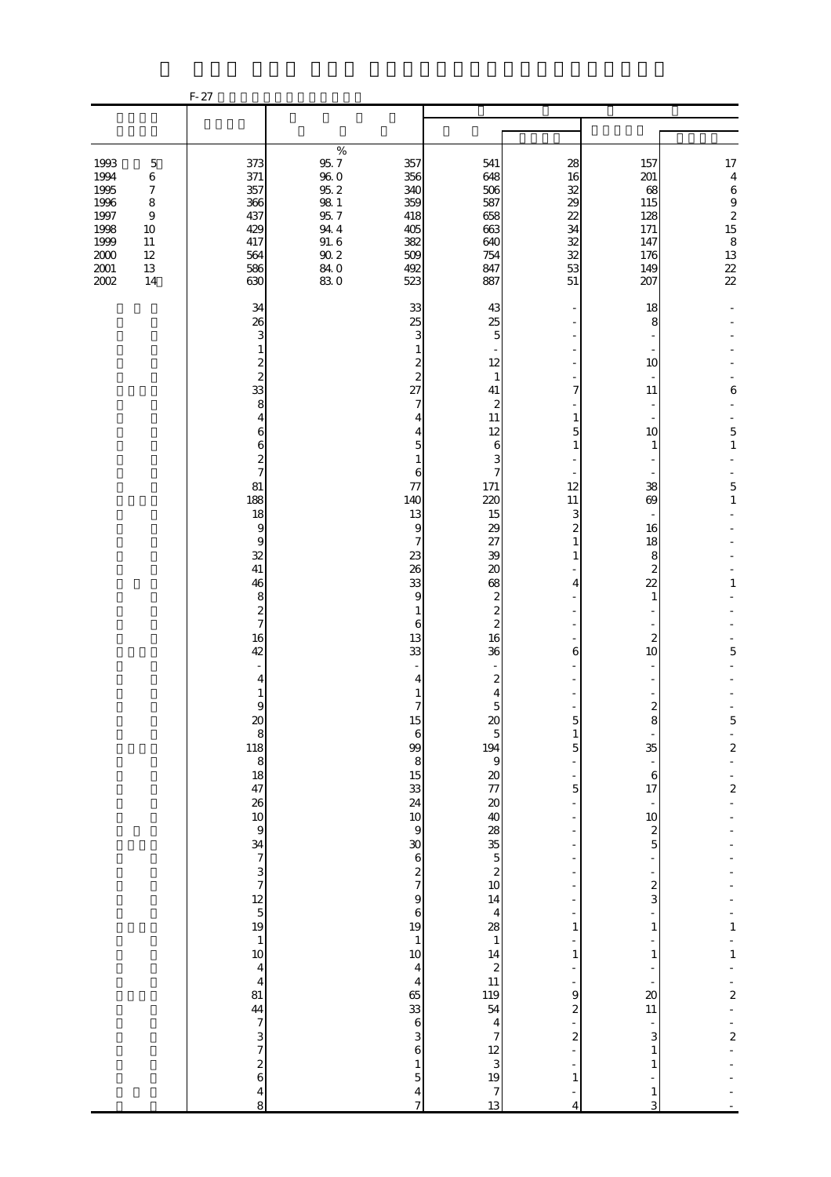|                                                                                      |                                                                                                    | $F-27$                                                                                                                                                                                                                                                                                                                                                                                                                                                                                                                                                                                                |                                                                                                         |                                                                                                                                                                                                                                                                                                                                                                                                                                                                                                                                                                                                          |                                                                                                                                                                                                                                                                                                                                                                                                                                                                                                                                                                                                                        |                                                                                                                                                                                                                                                                             |                                                                                                                                                                                                                                                                                                                                                                                |                                                                                                                                                                                            |
|--------------------------------------------------------------------------------------|----------------------------------------------------------------------------------------------------|-------------------------------------------------------------------------------------------------------------------------------------------------------------------------------------------------------------------------------------------------------------------------------------------------------------------------------------------------------------------------------------------------------------------------------------------------------------------------------------------------------------------------------------------------------------------------------------------------------|---------------------------------------------------------------------------------------------------------|----------------------------------------------------------------------------------------------------------------------------------------------------------------------------------------------------------------------------------------------------------------------------------------------------------------------------------------------------------------------------------------------------------------------------------------------------------------------------------------------------------------------------------------------------------------------------------------------------------|------------------------------------------------------------------------------------------------------------------------------------------------------------------------------------------------------------------------------------------------------------------------------------------------------------------------------------------------------------------------------------------------------------------------------------------------------------------------------------------------------------------------------------------------------------------------------------------------------------------------|-----------------------------------------------------------------------------------------------------------------------------------------------------------------------------------------------------------------------------------------------------------------------------|--------------------------------------------------------------------------------------------------------------------------------------------------------------------------------------------------------------------------------------------------------------------------------------------------------------------------------------------------------------------------------|--------------------------------------------------------------------------------------------------------------------------------------------------------------------------------------------|
|                                                                                      |                                                                                                    |                                                                                                                                                                                                                                                                                                                                                                                                                                                                                                                                                                                                       |                                                                                                         |                                                                                                                                                                                                                                                                                                                                                                                                                                                                                                                                                                                                          |                                                                                                                                                                                                                                                                                                                                                                                                                                                                                                                                                                                                                        |                                                                                                                                                                                                                                                                             |                                                                                                                                                                                                                                                                                                                                                                                |                                                                                                                                                                                            |
| 1993<br>1994<br>1995<br>1996<br>1997<br>1998<br>1999<br>$2000\,$<br>$2001\,$<br>2002 | $\mathbf 5$<br>$\,6$<br>$\boldsymbol{7}$<br>$\,8\,$<br>$\,9$<br>10<br>$11\,$<br>12<br>$13\,$<br>14 | 373<br>371<br>357<br>366<br>437<br>429<br>417<br>564<br>586<br>630                                                                                                                                                                                                                                                                                                                                                                                                                                                                                                                                    | $\%$<br>$95.7\,$<br>$96\ 0$<br>$95.2\,$<br>$98\ 1$<br>95.7<br>$94\ 4$<br>91.6<br>$90\ 2$<br>84.0<br>830 | 357<br>356<br>340<br>359<br>418<br>405<br>382<br>509<br>492<br>523                                                                                                                                                                                                                                                                                                                                                                                                                                                                                                                                       | 541<br>648<br>506<br>587<br>658<br>663<br>640<br>754<br>847<br>887                                                                                                                                                                                                                                                                                                                                                                                                                                                                                                                                                     | 28<br>16<br>32<br>29<br>22<br>34<br>32<br>32<br>53<br>51                                                                                                                                                                                                                    | 157<br>201<br>68<br>115<br>128<br>171<br>147<br>176<br>149<br>207                                                                                                                                                                                                                                                                                                              | $17\,$<br>$\overline{\mathbf{4}}$<br>$\,6\,$<br>$\,9$<br>$\boldsymbol{z}$<br>15<br>$\,8\,$<br>13<br>$\frac{22}{22}$                                                                        |
|                                                                                      |                                                                                                    | 34<br>26<br>3<br>1<br>$\boldsymbol{z}$<br>$\overline{\mathcal{L}}$<br>33<br>8<br>4<br>6<br>6<br>$\overline{\mathcal{Z}}$<br>$\overline{7}$<br>81<br>188<br>18<br>$\overline{9}$<br>9<br>32<br>41<br>46<br>8<br>$\boldsymbol{z}$<br>$\overline{\phantom{a}}$<br>16<br>42<br>4<br>1<br>$\Theta$<br>$20$<br>$8$<br>$118$<br>$8$<br>$18$<br>$47$<br>$26$<br>$10$<br>$\overline{9}$<br>$34$ 7 3 7 3 7 12 5 19<br>$\,1\,$<br>10<br>$\overline{\mathbf{4}}$<br>$\overline{4}$<br>81<br>$\overline{44}$<br>$\begin{array}{c} 7 \end{array}$<br>$\frac{3}{7}$<br>$\frac{2}{6}$<br>$\overline{\mathbf{4}}$<br>8 |                                                                                                         | 33<br>25<br>3<br>1<br>$\overline{\mathcal{Z}}$<br>$\overline{\mathcal{L}}$<br>27<br>7<br>4<br>4<br>5<br>$\mathbf{1}$<br>6<br>77<br>140<br>13<br>9<br>7<br>23<br>26<br>33<br>9<br>$\mathbf{1}$<br>6<br>13<br>33<br>4<br>1<br>7<br>L5<br>$\,$ 6 $\,$<br>99<br>8<br>$\begin{array}{c} 15 \\ 33 \\ 24 \end{array}$<br>$10$<br>$\,9$<br>30<br>$\boldsymbol{6}$<br>$\frac{2}{7}$<br>$\overline{9}$<br>$\boldsymbol{6}$<br>19<br>$\,1\,$<br>10 <sub>1</sub><br>$\overline{4}$<br>$\overline{\mathbf{4}}$<br>65<br>33<br>$\,$ 6 $\,$<br>3<br>6<br>$\mathbf{1}$<br>$\overline{5}$<br>$\overline{\mathbf{4}}$<br>7 | 43<br>25<br>5<br>12<br>1<br>41<br>$\mathbf{z}$<br>11<br>12<br>$\epsilon$<br>3<br>$\overline{7}$<br>171<br>220<br>15<br>29<br>27<br>39<br>$\infty$<br>68<br>$\boldsymbol{2}$<br>$\overline{\mathcal{Z}}$<br>$\overline{\mathcal{Z}}$<br>16<br>36<br>$\boldsymbol{z}$<br>4<br>5<br>$\boldsymbol{\alpha}$<br>$\overline{5}$<br>194<br>$\mathbf{9}$<br><b>2000 3000 3000 3000 3000 3000</b><br>14<br>$\overline{\mathbf{4}}$<br>$\begin{array}{c} 28 \\ 1 \end{array}$<br>$\begin{array}{c} 14 \\ 2 \\ 11 \\ 119 \\ 54 \end{array}$<br>$\overline{\mathbf{4}}$<br>$\overline{7}$<br>$\frac{12}{3}$<br>$\overline{7}$<br>13 | 7<br>$\mathbf{1}$<br>5<br>$\mathbf{1}$<br>12<br>11<br>3<br>$\overline{\mathcal{Z}}$<br>$\mathbf{1}$<br>$\mathbf{1}$<br>4<br>6<br>C<br>$\mathbf{1}$<br>5<br>$\overline{5}$<br>1<br>$\,1\,$<br>9<br>$\overline{\mathcal{Z}}$<br>$\overline{\mathcal{L}}$<br>$\mathbf{1}$<br>4 | 18<br>8<br>10<br>11<br>10<br>$\mathbf{1}$<br>38<br>69<br>16<br>18<br>8<br>$\mathbf{z}$<br>22<br>$\mathbf{1}$<br>$\boldsymbol{z}$<br>10<br>$\boldsymbol{z}$<br>8<br>35<br>$\overline{\phantom{a}}$<br>$\,$ 6 $\,$<br>17<br>$10$<br>$\boldsymbol{z}$<br>5<br>$\boldsymbol{z}$<br>3<br>1<br>$1\,$<br>$\infty$<br>$11\,$<br>3<br>$\mathbf{1}$<br>$\mathbf{1}$<br>$\mathbf{1}$<br>3 | 6<br>$\mathbf 5$<br>$\,1\,$<br>5<br>$\mathbf{1}$<br>$\mathbf{1}$<br>5<br>C<br>$\frac{1}{2}$<br>$\frac{1}{2}$<br>$\mathbf{1}$<br>$\mathbf{1}$<br>$\overline{a}$<br>$\overline{\mathcal{L}}$ |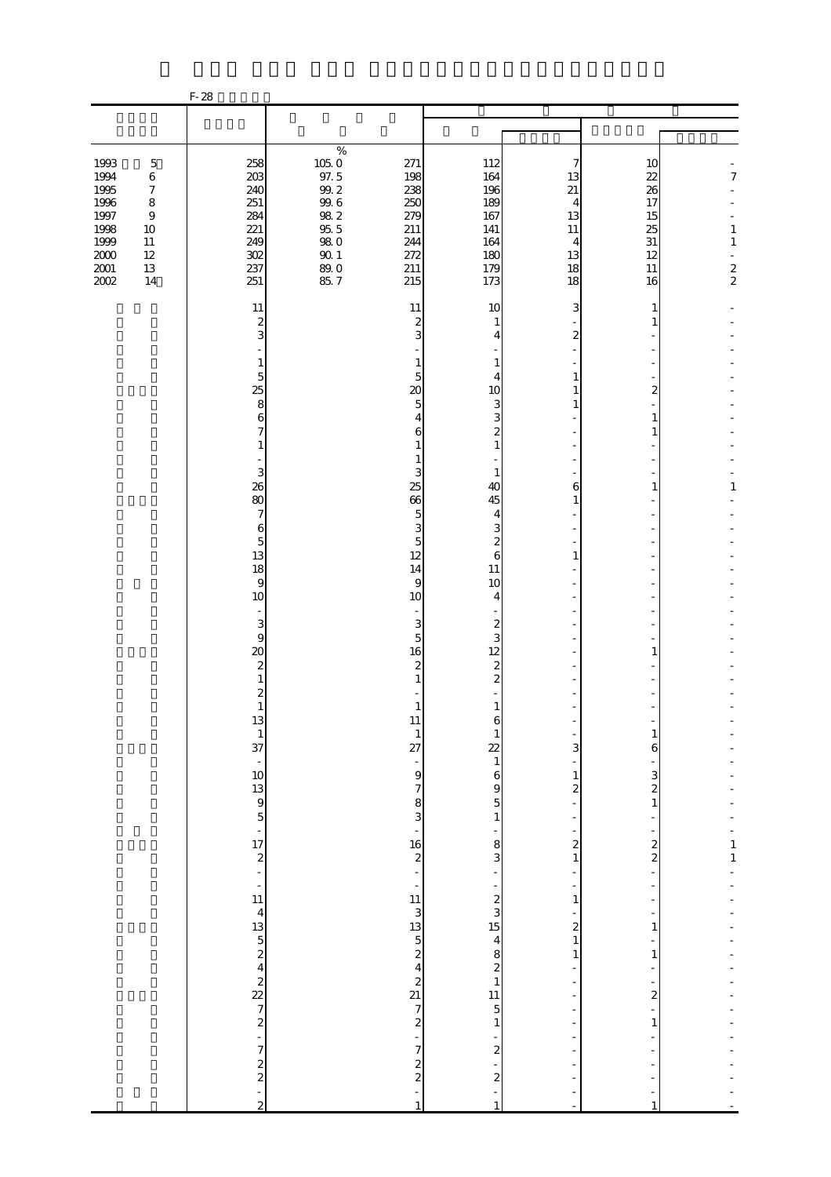|                                                                                      |                                                                                                                   | $F-28$                                                                                                                                                  |                                                                                                       |                                                                                                                                                                                                                                                      |                                                                                                                                                                                                                                     |                                                                                         |                                                          |                                              |
|--------------------------------------------------------------------------------------|-------------------------------------------------------------------------------------------------------------------|---------------------------------------------------------------------------------------------------------------------------------------------------------|-------------------------------------------------------------------------------------------------------|------------------------------------------------------------------------------------------------------------------------------------------------------------------------------------------------------------------------------------------------------|-------------------------------------------------------------------------------------------------------------------------------------------------------------------------------------------------------------------------------------|-----------------------------------------------------------------------------------------|----------------------------------------------------------|----------------------------------------------|
|                                                                                      |                                                                                                                   |                                                                                                                                                         |                                                                                                       |                                                                                                                                                                                                                                                      |                                                                                                                                                                                                                                     |                                                                                         |                                                          |                                              |
|                                                                                      |                                                                                                                   |                                                                                                                                                         | $\%$                                                                                                  |                                                                                                                                                                                                                                                      |                                                                                                                                                                                                                                     |                                                                                         |                                                          |                                              |
| 1993<br>1994<br>1995<br>1996<br>1997<br>1998<br>1999<br>$2000\,$<br>$2001\,$<br>2002 | $\mathbf 5$<br>$\,6$<br>$\boldsymbol{7}$<br>$\,8\,$<br>$\boldsymbol{9}$<br>$10\,$<br>$11\,$<br>12<br>$13\,$<br>14 | 258<br>203<br>240<br>251<br>284<br>221<br>249<br>302<br>237<br>251                                                                                      | $105.0\,$<br>97.5<br>$99.2\,$<br>$99.6\,$<br>$98\ 2$<br>955<br>$98\ 0$<br>$90\,1$<br>$89.0$<br>$85.7$ | 271<br>198<br>238<br>250<br>279<br>211<br>244<br>272<br>211<br>215                                                                                                                                                                                   | 112<br>164<br>196<br>189<br>167<br>141<br>164<br>180<br>179<br>173                                                                                                                                                                  | 7<br>13<br>21<br>4<br>13<br>11<br>4<br>13<br>18<br>18                                   | 10<br>22<br>26<br>17<br>15<br>25<br>31<br>12<br>11<br>16 | 7<br>$\,1$<br>$\,1\,$<br>ä,<br>$\frac{2}{2}$ |
|                                                                                      |                                                                                                                   | 11<br>$\boldsymbol{z}$<br>3<br>1<br>5<br>25<br>8<br>6<br>$\overline{7}$<br>$\mathbf{1}$                                                                 |                                                                                                       | 11<br>$\boldsymbol{z}$<br>3<br>1<br>5<br>$\infty$<br>5<br>$\overline{4}$<br>6<br>$\mathbf{1}$                                                                                                                                                        | 10<br>1<br>4<br>$\mathbf{1}$<br>4<br>10<br>3<br>3<br>$\overline{\mathcal{Z}}$<br>$\mathbf{1}$                                                                                                                                       | 3<br>$\mathbf{z}$<br>1<br>1<br>1                                                        | 1<br>2<br>1                                              |                                              |
|                                                                                      |                                                                                                                   | 3<br>26<br>80<br>7<br>6<br>$\mathbf 5$<br>13<br>18<br>$\overline{9}$<br>10                                                                              |                                                                                                       | 1<br>3<br>25<br>66<br>5<br>3<br>5<br>12<br>14<br>9<br>10                                                                                                                                                                                             | $\mathbf{1}$<br>40<br>45<br>4<br>3<br>$\mathbf{z}$<br>6<br>$11\,$<br>10<br>4                                                                                                                                                        | 6<br>1<br>1                                                                             | 1                                                        | 1                                            |
|                                                                                      |                                                                                                                   | $\overline{\phantom{a}}$<br>3<br>$\boldsymbol{9}$<br>20<br>$\boldsymbol{z}$<br>$\mathbf{1}$<br>$\boldsymbol{z}$<br>$\mathbf{1}$<br>13<br>$\frac{1}{37}$ |                                                                                                       | 3<br>5<br>16<br>$\mathbf{z}$<br>1<br>1<br>$\mathbf{1}$<br>$\frac{1}{27}$                                                                                                                                                                             | $\overline{\mathcal{Z}}$<br>3<br>12<br>$\overline{\mathcal{Z}}$<br>$\overline{\mathcal{L}}$<br>$\mathbf{1}$<br>$\mathbf{1}$<br>$\overline{2}$                                                                                       | 3                                                                                       | 1<br>6                                                   |                                              |
|                                                                                      |                                                                                                                   | $\frac{1}{10}$<br>$1395$<br>$172$<br>$-172$                                                                                                             |                                                                                                       | $\overline{\phantom{0}}$<br>9<br>$\overline{7}$<br>$\frac{8}{3}$<br>$\frac{16}{2}$<br>÷<br>$\overline{\phantom{a}}$                                                                                                                                  | $\mathbf{1}$<br>$\mathbf{6}$<br>9<br>$\overline{5}$<br>$1\,$<br>8<br>3                                                                                                                                                              | $\mathbf{1}$<br>$\overline{\mathcal{L}}$<br>÷,<br>$\overline{\mathbf{c}}$<br>$1\,$<br>÷ | 3<br>$\overline{\mathcal{Z}}$<br>1<br>$\frac{2}{2}$      | $\begin{array}{c} 1 \\ 1 \end{array}$        |
|                                                                                      |                                                                                                                   | $-11$ 4 13 5 2 4 2 2 7 2 $-$ 7 2 2 $-$ 2                                                                                                                |                                                                                                       | $\frac{11}{3}$<br>13<br>$\overline{5}$<br>$\boldsymbol{z}$<br>$\overline{\mathbf{4}}$<br>$\overline{\mathcal{L}}$<br>$\overline{21}$<br>$\overline{7}$<br>$\overline{\mathcal{L}}$<br>$\frac{1}{\sqrt{2}}$<br>$\boldsymbol{7}$<br>$\frac{2}{2}$<br>÷ | $\begin{array}{c} 2 \\ 3 \\ 15 \end{array}$<br>$\overline{4}$<br>$\begin{array}{c} 8 \\ 2 \\ 1 \end{array}$<br>$\begin{bmatrix} 11 \\ 5 \end{bmatrix}$<br>$\mathbf{1}$<br>$\overline{\mathcal{L}}$<br>$\overline{\mathcal{L}}$<br>÷ | $\mathbf{1}$<br>$\overline{\mathbf{c}}$<br>$\mathbf{1}$<br>$\mathbf 1$                  | 1<br>1<br>2<br>1                                         |                                              |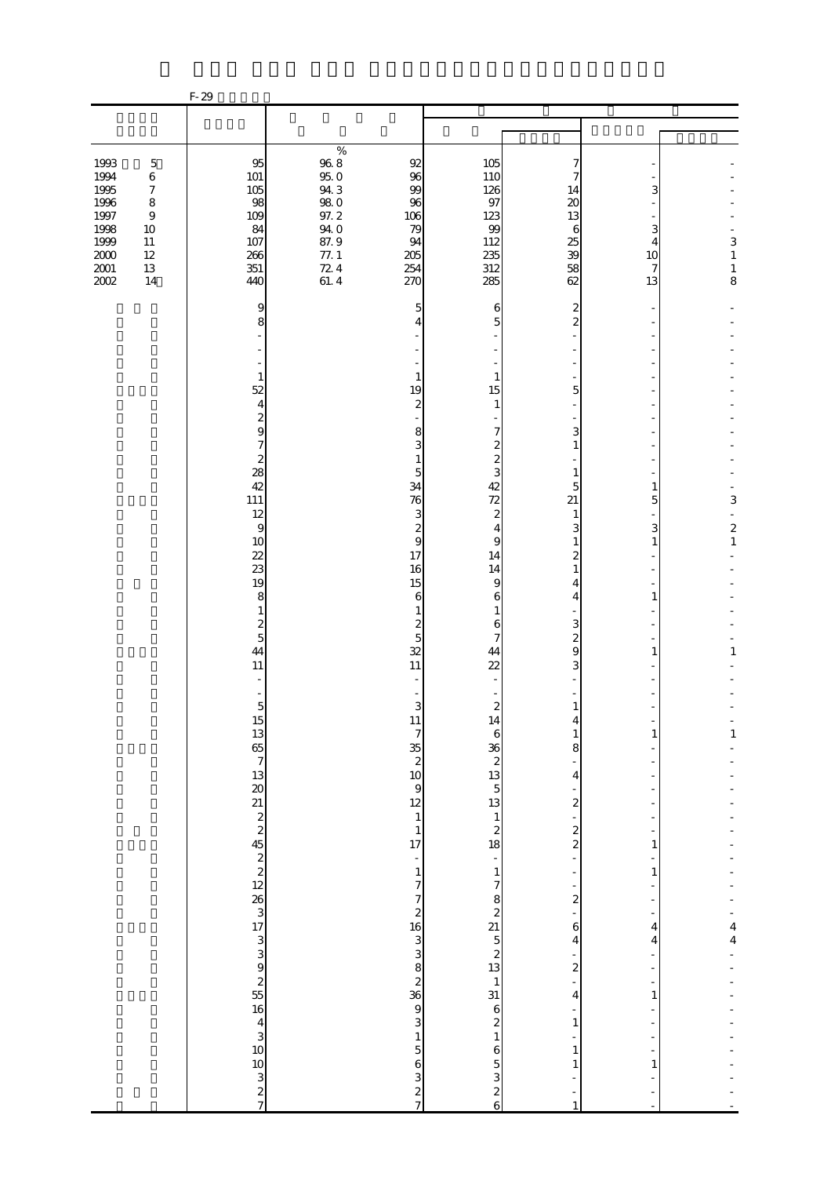|                                                                                                                                                                                                               | $F-29$                                                                                                                                                                                                                                                                                                                                                                |                                                                                                                                                                                                                                                                                                                                                                                                        |                                                                                                                                                                                                                                                                                                                                                                                                                                                                        |                                                                                                                                                                                                                                                                                                                                                                                                                                       |                                                          |                                                                              |
|---------------------------------------------------------------------------------------------------------------------------------------------------------------------------------------------------------------|-----------------------------------------------------------------------------------------------------------------------------------------------------------------------------------------------------------------------------------------------------------------------------------------------------------------------------------------------------------------------|--------------------------------------------------------------------------------------------------------------------------------------------------------------------------------------------------------------------------------------------------------------------------------------------------------------------------------------------------------------------------------------------------------|------------------------------------------------------------------------------------------------------------------------------------------------------------------------------------------------------------------------------------------------------------------------------------------------------------------------------------------------------------------------------------------------------------------------------------------------------------------------|---------------------------------------------------------------------------------------------------------------------------------------------------------------------------------------------------------------------------------------------------------------------------------------------------------------------------------------------------------------------------------------------------------------------------------------|----------------------------------------------------------|------------------------------------------------------------------------------|
|                                                                                                                                                                                                               |                                                                                                                                                                                                                                                                                                                                                                       |                                                                                                                                                                                                                                                                                                                                                                                                        |                                                                                                                                                                                                                                                                                                                                                                                                                                                                        |                                                                                                                                                                                                                                                                                                                                                                                                                                       |                                                          |                                                                              |
|                                                                                                                                                                                                               |                                                                                                                                                                                                                                                                                                                                                                       |                                                                                                                                                                                                                                                                                                                                                                                                        |                                                                                                                                                                                                                                                                                                                                                                                                                                                                        |                                                                                                                                                                                                                                                                                                                                                                                                                                       |                                                          |                                                                              |
| 1993<br>$\mathbf 5$<br>1994<br>$\,6$<br>1995<br>$\boldsymbol{7}$<br>1996<br>$\,8\,$<br>1997<br>$\boldsymbol{9}$<br>1998<br>$10\,$<br>1999<br>$11\,$<br>$2000\,$<br>$12\,$<br>$2001\,$<br>$13\,$<br>2002<br>14 | $95\,$<br>101<br>105<br>98<br>109<br>84<br>107<br>266<br>351<br>440                                                                                                                                                                                                                                                                                                   | $\%$<br>$96\ 8$<br>92<br>95.0<br>96<br>94.3<br>99<br>$\frac{980}{97.2}$<br>96<br>106<br>94.0<br>79<br>87.9<br>94<br>77.1<br>205<br>$72.4$<br>61.4<br>254<br>270                                                                                                                                                                                                                                        | 105<br>110<br>126<br>97<br>123<br>99<br>112<br>235<br>312<br>285                                                                                                                                                                                                                                                                                                                                                                                                       | 7<br>14<br>20<br>13<br>6<br>25<br>39<br>58<br>62                                                                                                                                                                                                                                                                                                                                                                                      | З<br>3<br>4<br>10<br>7<br>13                             | 3<br>$\,1\,$<br>$\,1\,$<br>8                                                 |
|                                                                                                                                                                                                               | 9<br>8<br>$\mathbf{1}$<br>52<br>$\overline{4}$<br>$\overline{\mathcal{Z}}$<br>9<br>7<br>$\overline{\mathcal{Z}}$<br>28<br>42<br>111<br>12<br>$\overline{9}$<br>10<br>22<br>23<br>19<br>8<br>1<br>$\boldsymbol{2}$<br>5<br>44<br>11<br>L,<br>$\overline{5}$<br>15 13 65 7 13 20 21 2 2 45 2 2 45 2 2 45 2 2 45 2 2 45 2 3 46 2 2 2 3 3 3 3 3 3 3 3 3 3 3 3 3 3 4 5 2 7 | 5<br>1<br>19<br>$\mathbf{z}$<br>8<br>3<br>1<br>5<br>34<br>76<br>3<br>$\overline{\mathcal{L}}$<br>9<br>17<br>16<br>15<br>6<br>1<br>$\boldsymbol{z}$<br>5<br>32<br>11<br>3<br>$11 \t 7$<br>35 2 10 9 12 1<br>$\begin{array}{c} 1 \\ 17 \end{array}$<br>$\frac{1}{\sqrt{2}}$<br>$\frac{1}{7}$<br>კ დ ჯ ა დ დ დ ა პ დ კ<br>$\frac{1}{5}$<br>$\boldsymbol{6}$<br>$\begin{array}{c} 3 \\ 2 \\ 7 \end{array}$ | 6<br>5<br>1<br>15<br>1<br>7<br>$\boldsymbol{z}$<br>$\overline{\mathcal{Z}}$<br>3<br>42<br>72<br>$\mathbf{z}$<br>4<br>9<br>14<br>14<br>9<br>6<br>$\mathbf{1}$<br>6<br>7<br>44<br>22<br>$\boldsymbol{z}$<br>14<br>$\,$ 6 $\,$<br>$\frac{36}{28}$<br>3 $\frac{13}{12}$<br>3 $\frac{1}{2}$<br>3 $\frac{1}{2}$<br>$\frac{1}{1}$<br>$\overline{7}$<br>$\begin{array}{c}\n0 & 0 \\ 0 & 0 \\ 1 & 0\n\end{array}$<br>$\mathbf{6}$<br>$\begin{array}{c} 5 \\ 2 \\ 6 \end{array}$ | 2<br>$\overline{c}$<br>5<br>3<br>$\overline{1}$<br>1<br>5<br>21<br>1<br>3<br>$\mathbf{1}$<br>2<br>1<br>4<br>4<br>3<br>$\boldsymbol{z}$<br>9<br>3<br>1<br>4<br>$\mathbf{1}$<br>8<br>4<br>$\overline{\mathcal{L}}$<br>$\frac{1}{2}$<br>$\overline{\mathbf{c}}$<br>f<br>f<br>$\frac{1}{2}$<br>÷,<br>6<br>$\overline{\mathbf{4}}$<br>$\frac{1}{2}$<br>÷,<br>$\overline{\mathbf{4}}$<br>÷<br>$\,1\,$<br>÷,<br>$\mathbf{1}$<br>$\mathbf{1}$ | 1<br>5<br>3<br>1<br>1<br>1<br>1<br>1<br>4<br>4<br>1<br>1 | 3<br>$\overline{\mathcal{L}}$<br>$\,1$<br>1<br>$\mathbf{1}$<br>$\frac{4}{4}$ |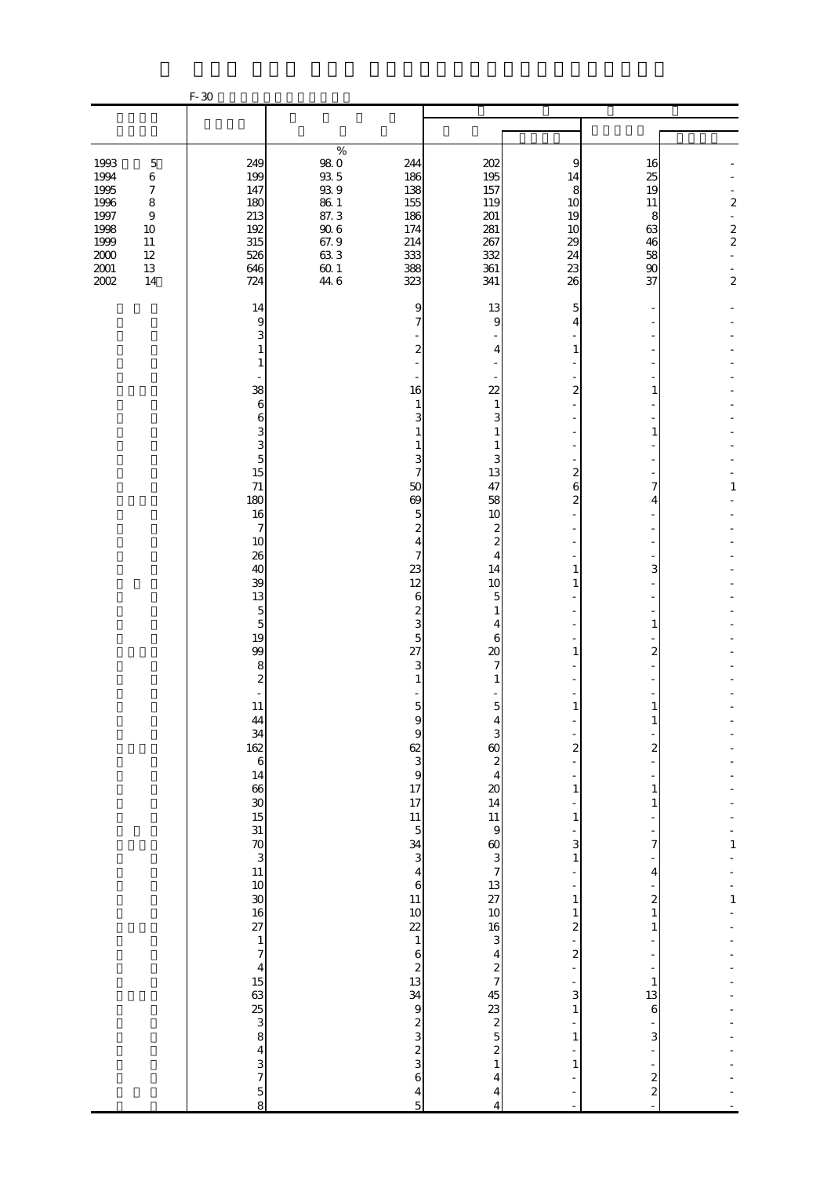|                                                                                      |                                                                                                        | $F-30$                                                                                                     |                                                                                                                                                                                |                                                                    |                                                        |                                                         |                                                                                         |
|--------------------------------------------------------------------------------------|--------------------------------------------------------------------------------------------------------|------------------------------------------------------------------------------------------------------------|--------------------------------------------------------------------------------------------------------------------------------------------------------------------------------|--------------------------------------------------------------------|--------------------------------------------------------|---------------------------------------------------------|-----------------------------------------------------------------------------------------|
|                                                                                      |                                                                                                        |                                                                                                            |                                                                                                                                                                                |                                                                    |                                                        |                                                         |                                                                                         |
|                                                                                      |                                                                                                        |                                                                                                            |                                                                                                                                                                                |                                                                    |                                                        |                                                         |                                                                                         |
| 1993<br>1994<br>1995<br>1996<br>1997<br>1998<br>1999<br>$2000\,$<br>$2001\,$<br>2002 | $\mathbf 5$<br>$\,6$<br>$\boldsymbol{7}$<br>$\,$ 8 $\,$<br>$\,9$<br>10<br>$11\,$<br>12<br>$13\,$<br>14 | 249<br>199<br>147<br>180<br>213<br>192<br>315<br>526<br>646<br>724                                         | $\%$<br><b>980</b><br>244<br>$93\,5$<br>186<br>$93\;9$<br>138<br>$86\ 1$<br>155<br>87.3<br>186<br>$90\;6$<br>174<br>67.9<br>214<br>633<br>333<br>$60\,1$<br>388<br>44.6<br>323 | 202<br>195<br>157<br>119<br>201<br>281<br>267<br>332<br>361<br>341 | 9<br>14<br>8<br>10<br>19<br>10<br>29<br>24<br>23<br>26 | 16<br>25<br>19<br>11<br>8<br>63<br>46<br>58<br>90<br>37 | $\boldsymbol{2}$<br>÷,<br>$\begin{array}{c} 2 \\ 2 \end{array}$<br>÷.<br>$\overline{c}$ |
|                                                                                      |                                                                                                        | 14                                                                                                         |                                                                                                                                                                                | 9<br>13                                                            | 5                                                      |                                                         |                                                                                         |
|                                                                                      |                                                                                                        | 9<br>3<br>1<br>1                                                                                           | $\overline{7}$                                                                                                                                                                 | 9<br>2<br>4                                                        | 4<br>1                                                 |                                                         |                                                                                         |
|                                                                                      |                                                                                                        | 38                                                                                                         | 16                                                                                                                                                                             | $\overline{22}$                                                    | 2                                                      | 1                                                       |                                                                                         |
|                                                                                      |                                                                                                        | 6<br>6                                                                                                     | 1                                                                                                                                                                              | 1<br>3<br>3                                                        |                                                        |                                                         |                                                                                         |
|                                                                                      |                                                                                                        | 3<br>3                                                                                                     | 1<br>1                                                                                                                                                                         | 1<br>$\mathbf{1}$                                                  |                                                        | 1                                                       |                                                                                         |
|                                                                                      |                                                                                                        | $\overline{5}$<br>15                                                                                       | 7                                                                                                                                                                              | 3<br>3<br>13                                                       | $\overline{c}$                                         |                                                         |                                                                                         |
|                                                                                      |                                                                                                        | $71$<br>180                                                                                                | 50<br>69                                                                                                                                                                       | 47<br>58                                                           | 6<br>2                                                 | 7<br>4                                                  | 1                                                                                       |
|                                                                                      |                                                                                                        | 16<br>$\boldsymbol{7}$                                                                                     |                                                                                                                                                                                | 5<br>10<br>$\overline{\mathcal{Z}}$<br>$\boldsymbol{2}$            |                                                        |                                                         |                                                                                         |
|                                                                                      |                                                                                                        | 10<br>26                                                                                                   | 4                                                                                                                                                                              | $\boldsymbol{z}$<br>7<br>4                                         |                                                        |                                                         |                                                                                         |
|                                                                                      |                                                                                                        | 40<br>39                                                                                                   | 23<br>12                                                                                                                                                                       | 14<br>10                                                           | 1<br>1                                                 | 3                                                       |                                                                                         |
|                                                                                      |                                                                                                        | 13<br>$\mathbf 5$                                                                                          |                                                                                                                                                                                | 6<br>5<br>2<br>$\mathbf{1}$                                        |                                                        |                                                         |                                                                                         |
|                                                                                      |                                                                                                        | $\overline{5}$<br>19                                                                                       |                                                                                                                                                                                | 3<br>4<br>5<br>6                                                   |                                                        | 1                                                       |                                                                                         |
|                                                                                      |                                                                                                        | 99<br>$\,$ 8 $\,$                                                                                          | 27                                                                                                                                                                             | 20<br>3<br>$\overline{7}$                                          | 1                                                      | 2                                                       |                                                                                         |
|                                                                                      |                                                                                                        | $\overline{\mathcal{L}}$                                                                                   | 1                                                                                                                                                                              | 1                                                                  |                                                        |                                                         |                                                                                         |
|                                                                                      |                                                                                                        | 11<br>44                                                                                                   | A                                                                                                                                                                              | $\mathbf 5$<br>$\mathbf 5$                                         | $\mathbf{1}$                                           | $\mathbf{1}$<br>T                                       |                                                                                         |
|                                                                                      |                                                                                                        | $\frac{34}{162}$                                                                                           |                                                                                                                                                                                | 9<br>3<br>$rac{60}{2}$                                             | $\overline{\mathbf{c}}$                                | $\overline{\mathbf{c}}$                                 |                                                                                         |
|                                                                                      |                                                                                                        | $\mathbf{6}$                                                                                               | $\frac{2}{3}$<br>$\frac{3}{17}$<br>$\frac{3}{17}$<br>$\frac{17}{11}$                                                                                                           |                                                                    |                                                        |                                                         |                                                                                         |
|                                                                                      |                                                                                                        |                                                                                                            |                                                                                                                                                                                |                                                                    | $\,1\,$                                                | $\mathbf{1}$<br>1                                       |                                                                                         |
|                                                                                      |                                                                                                        |                                                                                                            | $\overline{5}$                                                                                                                                                                 | $\begin{array}{c} 4 \\ 20 \\ 14 \\ 11 \\ 9 \end{array}$            | $\,1$                                                  |                                                         |                                                                                         |
|                                                                                      |                                                                                                        | $\begin{array}{c}\n 14 \\  66 \\  30 \\  15 \\  31 \\  \hline\n 70 \\  3\n \end{array}$                    | $\frac{34}{3}$                                                                                                                                                                 |                                                                    | 3<br>$\,1\,$                                           | 7                                                       | $\mathbf{1}$                                                                            |
|                                                                                      |                                                                                                        |                                                                                                            |                                                                                                                                                                                | $\begin{array}{c} 4 \\ 6 \end{array}$                              |                                                        | 4                                                       |                                                                                         |
|                                                                                      |                                                                                                        | 30<br>16<br>27                                                                                             | $\begin{array}{c} 11 \\ 10 \end{array}$                                                                                                                                        | $60$ 3 7 13 27 10                                                  | $\,1\,$<br>$\,1$                                       | $\boldsymbol{z}$<br>$\,1$                               | $\mathbf 1$                                                                             |
|                                                                                      |                                                                                                        |                                                                                                            | $\overline{22}$<br>$\,1\,$                                                                                                                                                     | $\frac{16}{3}$                                                     | $\overline{\mathbf{c}}$<br>$\overline{a}$              | 1                                                       |                                                                                         |
|                                                                                      |                                                                                                        | $\frac{1}{7}$                                                                                              | $\begin{array}{c} 6 \\ 2 \\ 13 \end{array}$                                                                                                                                    | $\frac{4}{2}$                                                      | $\overline{\mathcal{L}}$<br>÷,                         |                                                         |                                                                                         |
|                                                                                      |                                                                                                        |                                                                                                            |                                                                                                                                                                                |                                                                    | 3                                                      | $\mathbf{1}$<br>13                                      |                                                                                         |
|                                                                                      |                                                                                                        |                                                                                                            | 34<br>9                                                                                                                                                                        | $45$ 23 2 5 2 1                                                    | $\,1\,$                                                | $\,$ 6 $\,$                                             |                                                                                         |
|                                                                                      |                                                                                                        |                                                                                                            |                                                                                                                                                                                |                                                                    | $\mathbf{1}$                                           | 3                                                       |                                                                                         |
|                                                                                      |                                                                                                        |                                                                                                            |                                                                                                                                                                                | 6<br>$\overline{4}$                                                | $\mathbf{1}$                                           | $\boldsymbol{z}$                                        |                                                                                         |
|                                                                                      |                                                                                                        | $4\frac{15}{3}$ $3\frac{15}{3}$ $8\frac{3}{3}$ $8\frac{3}{3}$ $8\frac{4}{3}$ $3\frac{5}{3}$ $8\frac{4}{3}$ |                                                                                                                                                                                | $\frac{4}{5}$<br>$\overline{\mathcal{L}}$<br>4                     |                                                        | $\overline{\mathcal{L}}$<br>L,                          |                                                                                         |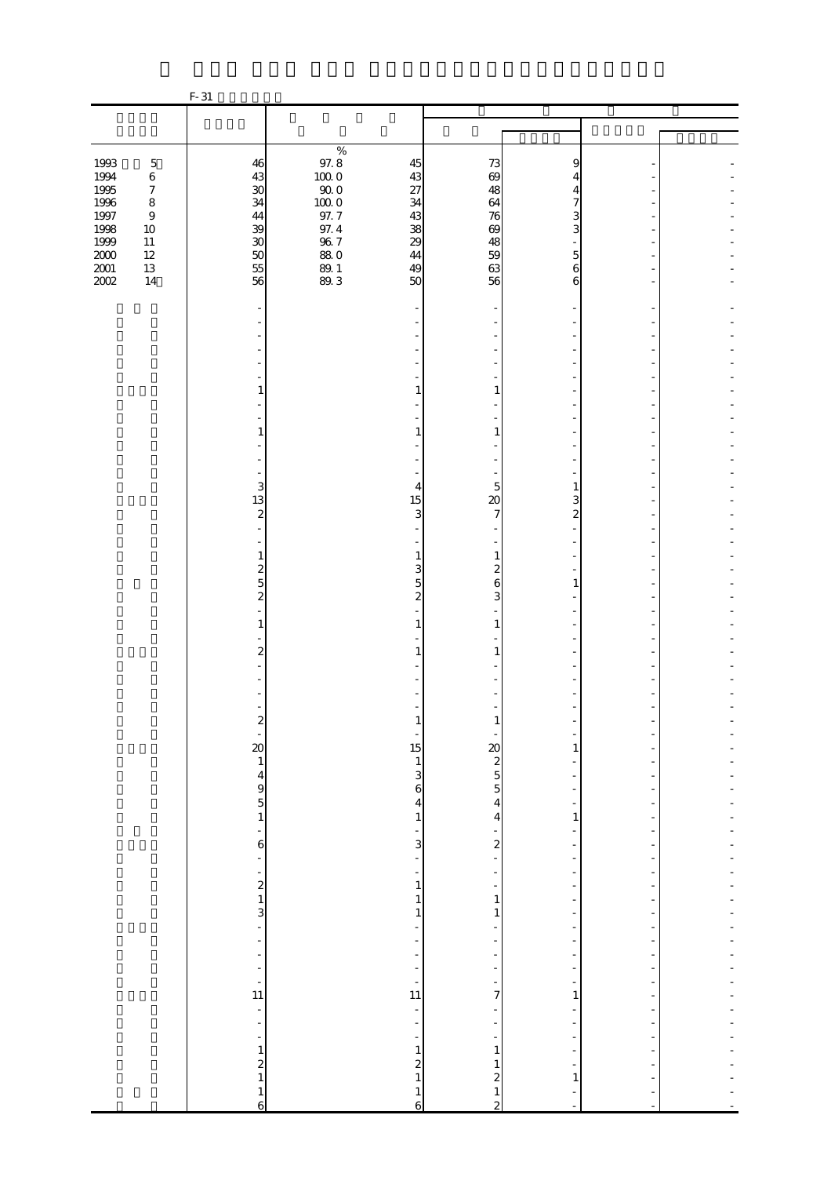|                     |                             | $F-31$                                                      |                     |                                              |                                            |                                     |  |
|---------------------|-----------------------------|-------------------------------------------------------------|---------------------|----------------------------------------------|--------------------------------------------|-------------------------------------|--|
|                     |                             |                                                             |                     |                                              |                                            |                                     |  |
|                     |                             |                                                             |                     |                                              |                                            |                                     |  |
| 1993                | $\mathbf 5$                 | 46                                                          | $\%$<br>97.8        | 45                                           | 73                                         | 9                                   |  |
| 1994<br>1995        | $\,6\,$<br>$\boldsymbol{7}$ | 43<br>30                                                    | $100\;0$<br>$90\,0$ | 43<br>27                                     | 69<br>48                                   | 4<br>4                              |  |
| $1996\,$            | $\,$ 8 $\,$                 | 34                                                          | $100\;0$            | 34                                           | 64                                         | 7                                   |  |
| 1997                | $\boldsymbol{9}$            | 44                                                          | 97.7                | 43                                           | 76                                         | 3                                   |  |
| 1998<br>1999        | $10\,$<br>$11\,$            | 39<br>$30\,$                                                | $\frac{97.4}{96.7}$ | 38<br>29                                     | 69<br>48                                   | 3                                   |  |
| $2000\,$            | $12\,$                      | $50\,$                                                      | <b>880</b>          | 44                                           | 59                                         | $\overline{5}$                      |  |
| $\frac{2001}{2002}$ | $13\,$<br>14                | 55<br>56                                                    | 89.1<br>89.3        | 49<br>50                                     | 63<br>56                                   | $\sqrt{6}$                          |  |
|                     |                             |                                                             |                     |                                              |                                            | 6                                   |  |
|                     |                             |                                                             |                     |                                              |                                            |                                     |  |
|                     |                             |                                                             |                     |                                              |                                            |                                     |  |
|                     |                             |                                                             |                     |                                              |                                            |                                     |  |
|                     |                             |                                                             |                     |                                              |                                            |                                     |  |
|                     |                             | 1                                                           |                     | $\mathbf{1}$                                 | 1                                          |                                     |  |
|                     |                             |                                                             |                     |                                              |                                            |                                     |  |
|                     |                             | 1                                                           |                     | 1                                            | 1                                          |                                     |  |
|                     |                             |                                                             |                     |                                              |                                            |                                     |  |
|                     |                             |                                                             |                     |                                              |                                            |                                     |  |
|                     |                             | 3                                                           |                     | 4                                            | 5                                          | 1                                   |  |
|                     |                             | 13                                                          |                     | 15                                           | $\infty$                                   | 3                                   |  |
|                     |                             | $\overline{\mathcal{L}}$<br>÷.                              |                     | 3                                            | 7                                          | $\boldsymbol{z}$                    |  |
|                     |                             |                                                             |                     |                                              |                                            |                                     |  |
|                     |                             | 1                                                           |                     | $\mathbf{1}$                                 | $\mathbf{1}$                               |                                     |  |
|                     |                             | $\frac{2}{5}$                                               |                     | 3<br>$\overline{5}$                          | $\boldsymbol{z}$<br>$\mathbf{6}$           | $\mathbf{1}$                        |  |
|                     |                             | $\overline{c}$                                              |                     | $\overline{\mathcal{L}}$                     | 3                                          |                                     |  |
|                     |                             | 1                                                           |                     | $\mathbf{1}$                                 | $\mathbf{1}$                               |                                     |  |
|                     |                             |                                                             |                     |                                              |                                            |                                     |  |
|                     |                             | $\overline{\mathbf{c}}$                                     |                     | 1                                            | 1                                          |                                     |  |
|                     |                             |                                                             |                     |                                              |                                            |                                     |  |
|                     |                             |                                                             |                     |                                              |                                            |                                     |  |
|                     |                             | z                                                           |                     |                                              |                                            |                                     |  |
|                     |                             |                                                             |                     |                                              |                                            |                                     |  |
|                     |                             | $\begin{bmatrix} 20 \\ 1 \\ 4 \\ 9 \\ 5 \\ 1 \end{bmatrix}$ |                     | $\begin{array}{c} 15 \\ 13 \\ 6 \end{array}$ | 20<br>2<br>5<br>5<br>4                     | $\mathbf{1}$                        |  |
|                     |                             |                                                             |                     |                                              |                                            | ÷                                   |  |
|                     |                             |                                                             |                     |                                              |                                            | -                                   |  |
|                     |                             |                                                             |                     | $\overline{\mathbf{4}}$<br>$\,1\,$           | $\overline{\mathbf{4}}$                    | $\overline{\phantom{a}}$<br>$\,1\,$ |  |
|                     |                             | $\overline{a}$                                              |                     | $\frac{1}{3}$                                |                                            |                                     |  |
|                     |                             | $\mathbf{6}$<br>$\frac{1}{\sqrt{2}}$                        |                     | $\frac{1}{\sqrt{2}}$                         | $\overline{\mathbf{c}}$<br>÷,              | -<br>$\overline{\phantom{a}}$       |  |
|                     |                             |                                                             |                     | f                                            | $\overline{\phantom{0}}$                   | -                                   |  |
|                     |                             |                                                             |                     | $\,1\,$<br>$\,1\,$                           | -<br>$\,1$                                 | -<br>$\overline{\phantom{a}}$       |  |
|                     |                             | $\frac{1}{2}$ $\frac{2}{3}$                                 |                     | $\,1\,$                                      | $\,1\,$                                    | $\frac{1}{2}$                       |  |
|                     |                             |                                                             |                     | $\overline{a}$                               |                                            | -                                   |  |
|                     |                             | $\overline{a}$<br>$\overline{\phantom{a}}$                  |                     | ÷<br>f                                       | -                                          | -<br>$\overline{\phantom{0}}$       |  |
|                     |                             | ÷                                                           |                     | ÷                                            | $\frac{1}{2}$                              | $\frac{1}{2}$                       |  |
|                     |                             | $\frac{1}{11}$                                              |                     | $\frac{1}{11}$                               | $\frac{1}{7}$                              | ÷,<br>$\mathbf{1}$                  |  |
|                     |                             | ÷,                                                          |                     | ÷,                                           |                                            | $\overline{\phantom{a}}$            |  |
|                     |                             | ÷                                                           |                     |                                              |                                            |                                     |  |
|                     |                             | $\overline{\phantom{0}}$                                    |                     | $\frac{1}{1}$                                | $\,1$                                      | ÷<br>÷                              |  |
|                     |                             | $\frac{1}{2}$                                               |                     | $\frac{2}{1}$                                | $\mathbf{1}$                               | ÷                                   |  |
|                     |                             | $\mathbf{1}$                                                |                     | $\mathbf{1}$                                 | $\begin{array}{c} 2 \\ 1 \\ 2 \end{array}$ | $\mathbf{1}$                        |  |
|                     |                             | 6                                                           |                     | $\overline{6}$                               |                                            |                                     |  |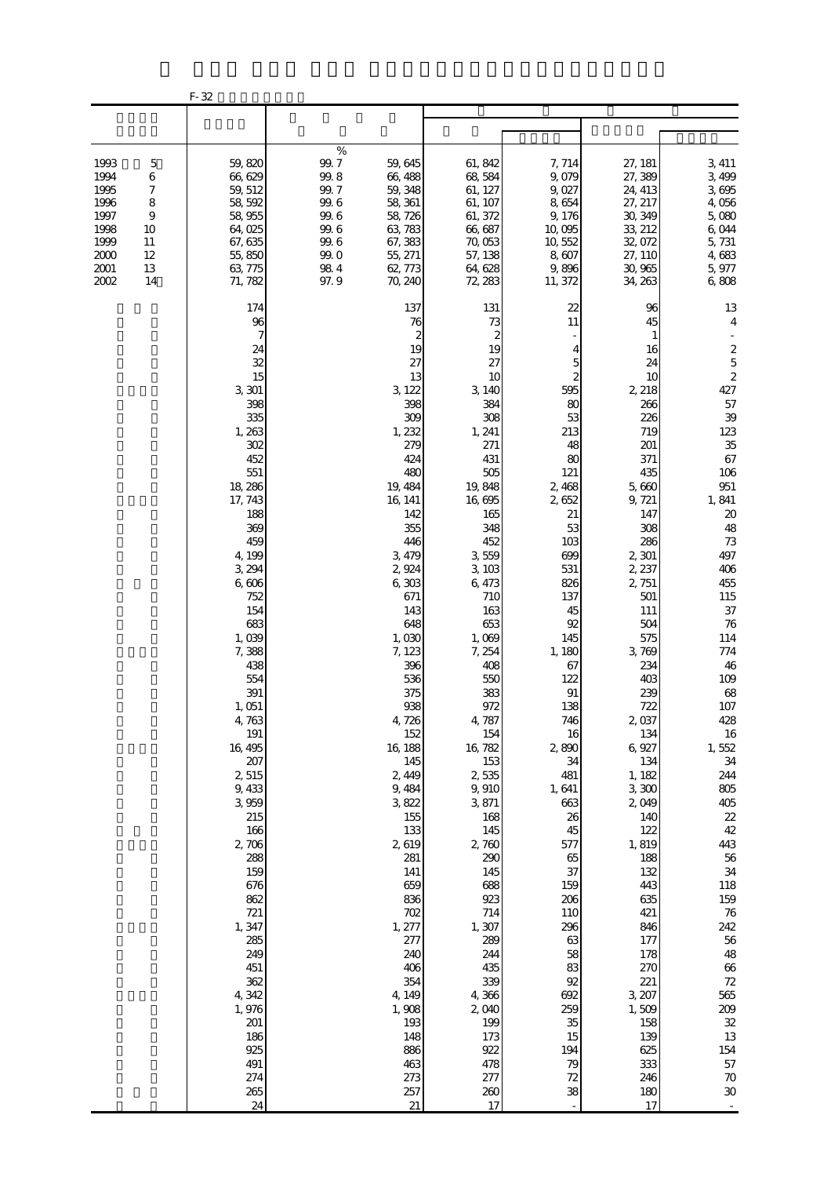|                                                                              |                                                                                      | F-32                                                                                                                                                                                                                                                                                                                                                                                                                                                             |                                                                                                                                                                                                                                                                                                                                                                                                                                                                   |                                                                                                                                                                                                                                                                                                                                                                                                                                                               |                                                                                                                                                                                                                                                                                                                                                                                   |                                                                                                                                                                                                                                                                                                                                                                                                                                                |                                                                                                                                                                                                                                                                                                                                                                                                                                                                                                                                         |
|------------------------------------------------------------------------------|--------------------------------------------------------------------------------------|------------------------------------------------------------------------------------------------------------------------------------------------------------------------------------------------------------------------------------------------------------------------------------------------------------------------------------------------------------------------------------------------------------------------------------------------------------------|-------------------------------------------------------------------------------------------------------------------------------------------------------------------------------------------------------------------------------------------------------------------------------------------------------------------------------------------------------------------------------------------------------------------------------------------------------------------|---------------------------------------------------------------------------------------------------------------------------------------------------------------------------------------------------------------------------------------------------------------------------------------------------------------------------------------------------------------------------------------------------------------------------------------------------------------|-----------------------------------------------------------------------------------------------------------------------------------------------------------------------------------------------------------------------------------------------------------------------------------------------------------------------------------------------------------------------------------|------------------------------------------------------------------------------------------------------------------------------------------------------------------------------------------------------------------------------------------------------------------------------------------------------------------------------------------------------------------------------------------------------------------------------------------------|-----------------------------------------------------------------------------------------------------------------------------------------------------------------------------------------------------------------------------------------------------------------------------------------------------------------------------------------------------------------------------------------------------------------------------------------------------------------------------------------------------------------------------------------|
|                                                                              |                                                                                      |                                                                                                                                                                                                                                                                                                                                                                                                                                                                  |                                                                                                                                                                                                                                                                                                                                                                                                                                                                   |                                                                                                                                                                                                                                                                                                                                                                                                                                                               |                                                                                                                                                                                                                                                                                                                                                                                   |                                                                                                                                                                                                                                                                                                                                                                                                                                                |                                                                                                                                                                                                                                                                                                                                                                                                                                                                                                                                         |
| 1993<br>1994<br>1995<br>1996<br>1997<br>1998<br>1999<br>2000<br>2001<br>2002 | $\mathbf 5$<br>6<br>7<br>$\,$ 8 $\,$<br>$\overline{9}$<br>10<br>11<br>12<br>13<br>14 | 59,820<br>66,629<br>59, 512<br>58, 592<br>58, 955<br>64,025<br>67, 635<br>55, 850<br>63, 775<br>71, 782                                                                                                                                                                                                                                                                                                                                                          | $\%$<br>99.7<br>59, 645<br>$99.8$<br>66, 488<br>99.7<br>59, 348<br>99.6<br>58, 361<br>$99.6\,$<br>58, 726<br>99.6<br>63, 783<br>$99.6$<br>67,383<br>99.0<br>55, 271<br>984<br>62, 773<br>97.9<br>70, 240                                                                                                                                                                                                                                                          | 61, 842<br>68,584<br>61, 127<br>61, 107<br>61, 372<br>66,687<br>70,053<br>57, 138<br>64, 628<br>72, 283                                                                                                                                                                                                                                                                                                                                                       | 7, 714<br>9,079<br>9,027<br>8,654<br>9,176<br>10,095<br>10, 552<br>8,607<br>9,896<br>11, 372                                                                                                                                                                                                                                                                                      | 27, 181<br>27,389<br>24, 413<br>27, 217<br>30, 349<br>33, 212<br>32,072<br>27, 110<br>30,965<br>34, 263                                                                                                                                                                                                                                                                                                                                        | 3, 411<br>3,499<br>3,695<br>4,056<br>5,080<br>6,044<br>5,731<br>4,683<br>5,977<br>6,808                                                                                                                                                                                                                                                                                                                                                                                                                                                 |
|                                                                              |                                                                                      | 174<br>96<br>7<br>24<br>32<br>15<br>3,301<br>398<br>335<br>1,263<br>302<br>452<br>551<br>18, 286<br>17, 743<br>188<br>369<br>459<br>4,199<br>3, 294<br>6,606<br>752<br>154<br>683<br>1,039<br>7,388<br>438<br>554<br>391<br>1,051<br>4,763<br>191<br>16, 495<br>207<br>2,515<br>9,433<br>3,959<br>215<br>166<br>2,706<br>288<br>159<br>676<br>862<br>721<br>1, 347<br>285<br>249<br>451<br>362<br>4,342<br>1,976<br>201<br>186<br>925<br>491<br>274<br>265<br>24 | 137<br>76<br>2<br>19<br>27<br>13<br>3, 122<br>398<br>309<br>1,232<br>279<br>424<br>480<br>19, 484<br>16, 141<br>142<br>355<br>446<br>3, 479<br>2,924<br>6,303<br>671<br>143<br>648<br>1,030<br>7, 123<br>396<br>536<br>375<br>938<br>4,726<br>152<br>16, 188<br>145<br>2,449<br>9,484<br>3,822<br>155<br>133<br>2,619<br>281<br>141<br>659<br>836<br>702<br>1, 277<br>277<br>240<br>406<br>354<br>4, 149<br>1,908<br>193<br>148<br>886<br>463<br>273<br>257<br>21 | 131<br>73<br>2<br>19<br>27<br>10<br>3, 140<br>384<br>308<br>1, 241<br>271<br>431<br>505<br>19,848<br>16,695<br>165<br>348<br>452<br>3,559<br>3,103<br>6,473<br>710<br>163<br>653<br>1,089<br>7, 254<br>408<br>550<br>383<br>972<br>4,787<br>154<br>16, 782<br>153<br>2,535<br>9,910<br>3,871<br>168<br>145<br>2,760<br>290<br>145<br>688<br>923<br>714<br>1,307<br>289<br>244<br>435<br>339<br>4,366<br>2,040<br>199<br>173<br>922<br>478<br>277<br>260<br>17 | 22<br>11<br>5<br>2<br>595<br>80<br>53<br>213<br>48<br>80<br>121<br>2,468<br>2,652<br>21<br>53<br>103<br>699<br>531<br>826<br>137<br>45<br>92<br>145<br>1,180<br>67<br>122<br>91<br>138<br>746<br>16<br>2,890<br>34<br>481<br>1,641<br>663<br>26<br>45<br>577<br>65<br>37<br>159<br>206<br>110<br>296<br>63<br>58<br>83<br>$92$<br>692<br>259<br>35<br>15<br>194<br>79<br>72<br>38 | 96<br>45<br>16<br>24<br>10<br>2,218<br>266<br>226<br>719<br>201<br>371<br>435<br>5,660<br>9, 721<br>147<br>308<br>286<br>2,301<br>2, 237<br>2,751<br>501<br>111<br>504<br>575<br>3,769<br>234<br>403<br>239<br>722<br>2,037<br>134<br>6,927<br>134<br>1, 182<br>3,300<br>2,049<br>140<br>122<br>1,819<br>188<br>132<br>443<br>635<br>421<br>846<br>177<br>178<br>270<br>221<br>3, 207<br>1,509<br>158<br>139<br>625<br>333<br>246<br>180<br>17 | 13<br>$\overline{4}$<br>$\boldsymbol{2}$<br>$\overline{5}$<br>$\boldsymbol{z}$<br>427<br>57<br>39<br>123<br>35<br>67<br>106<br>951<br>1,841<br>$\boldsymbol{\chi}$<br>48<br>$7\!$<br>497<br>406<br>455<br>115<br>$37\,$<br>$76\,$<br>114<br>774<br>$\sqrt{46}$<br>109<br>$68\,$<br>$107$<br>428<br>16<br>1,552<br>34<br>244<br>805<br>405<br>$2\!$<br>$4\!$<br>443<br>$56\,$<br>$34\,$<br>118<br>159<br>$76\,$<br>242<br>$5\!6$<br>48<br>66<br>$7\!\mathbb{Z}$<br>565<br>209<br>$3\!2$<br>13<br>$154\,$<br>$57\,$<br>$\rm 70$<br>$30\,$ |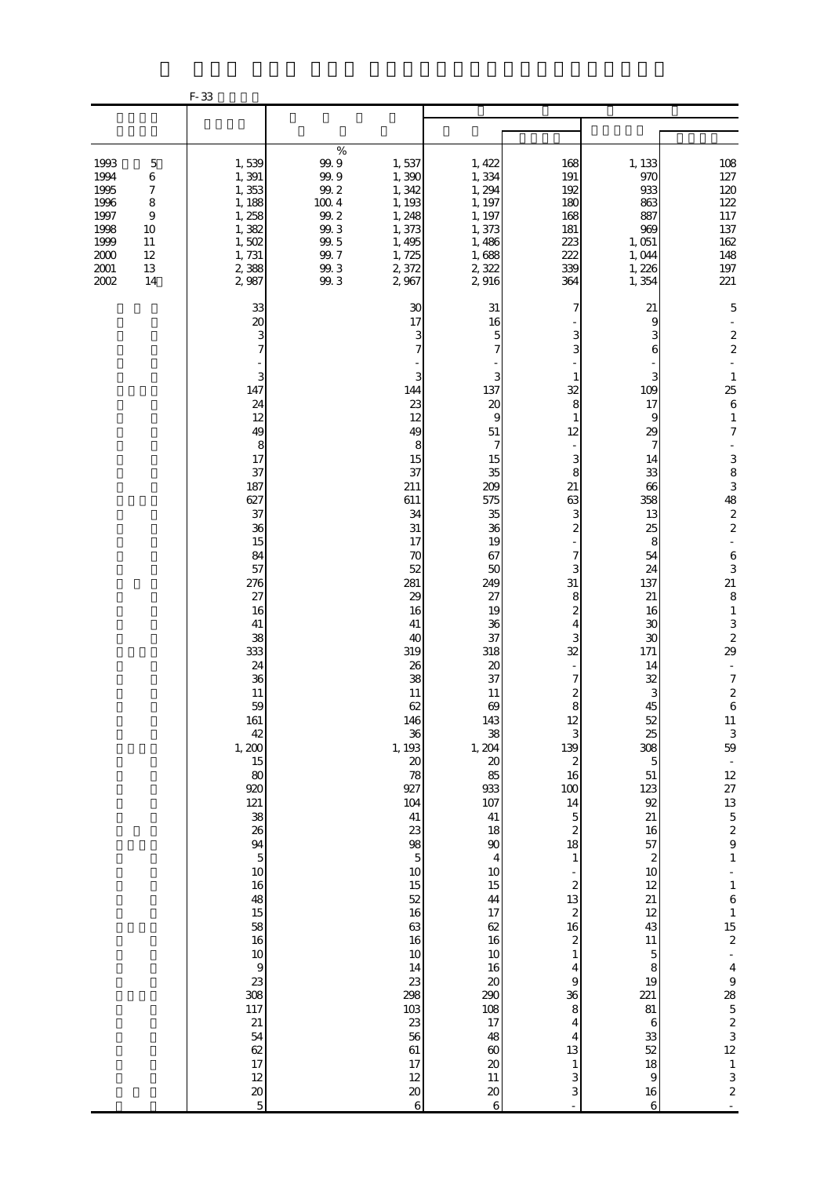|                                                                                                                                                                         | F-33                                                                                                                                                                                                                                                                                                                                                                                                                     |                                                                                                                                                                                         |                                                                                                                                                                                                                                                                                                                                                                                                                                                                                                                                                                                                                                                                                                                                                                                                                                       |                                                                                                                                                                                                                                                                                                                                                                                                                                                                  |                                                                                                                                                                                                                                                                                                                                                                                                                         |                                                                                                                                                                                                                                                                                                                                                                                                                                                                                                                                                 |
|-------------------------------------------------------------------------------------------------------------------------------------------------------------------------|--------------------------------------------------------------------------------------------------------------------------------------------------------------------------------------------------------------------------------------------------------------------------------------------------------------------------------------------------------------------------------------------------------------------------|-----------------------------------------------------------------------------------------------------------------------------------------------------------------------------------------|---------------------------------------------------------------------------------------------------------------------------------------------------------------------------------------------------------------------------------------------------------------------------------------------------------------------------------------------------------------------------------------------------------------------------------------------------------------------------------------------------------------------------------------------------------------------------------------------------------------------------------------------------------------------------------------------------------------------------------------------------------------------------------------------------------------------------------------|------------------------------------------------------------------------------------------------------------------------------------------------------------------------------------------------------------------------------------------------------------------------------------------------------------------------------------------------------------------------------------------------------------------------------------------------------------------|-------------------------------------------------------------------------------------------------------------------------------------------------------------------------------------------------------------------------------------------------------------------------------------------------------------------------------------------------------------------------------------------------------------------------|-------------------------------------------------------------------------------------------------------------------------------------------------------------------------------------------------------------------------------------------------------------------------------------------------------------------------------------------------------------------------------------------------------------------------------------------------------------------------------------------------------------------------------------------------|
|                                                                                                                                                                         |                                                                                                                                                                                                                                                                                                                                                                                                                          |                                                                                                                                                                                         |                                                                                                                                                                                                                                                                                                                                                                                                                                                                                                                                                                                                                                                                                                                                                                                                                                       |                                                                                                                                                                                                                                                                                                                                                                                                                                                                  |                                                                                                                                                                                                                                                                                                                                                                                                                         |                                                                                                                                                                                                                                                                                                                                                                                                                                                                                                                                                 |
| 1993<br>5<br>1994<br>6<br>1995<br>$\boldsymbol{7}$<br>1996<br>8<br>1997<br>$\overline{9}$<br>1998<br>10<br>1999<br>11<br>2000<br>12<br>$2001\,$<br>$13\,$<br>2002<br>14 | 1,539<br>1,391<br>1,353<br>1, 188<br>1,258<br>1,382<br>1,502<br>1,731<br>2,388<br>2,987                                                                                                                                                                                                                                                                                                                                  | $\%$<br>$99.9$<br>1,537<br>99.9<br>1,390<br>99.2<br>1,342<br>$100\ 4$<br>1, 193<br>99.2<br>1,248<br>99.3<br>1,373<br>$99.5$<br>1,495<br>99.7<br>1,725<br>99.3<br>2,372<br>99.3<br>2,967 | 1, 422<br>1,334<br>1, 294<br>1, 197<br>1, 197<br>1,373<br>1,486<br>1,688<br>2,322<br>2916                                                                                                                                                                                                                                                                                                                                                                                                                                                                                                                                                                                                                                                                                                                                             | 168<br>191<br>192<br>180<br>168<br>181<br>223<br>222<br>339<br>364                                                                                                                                                                                                                                                                                                                                                                                               | 1, 133<br>970<br>933<br>863<br>887<br>969<br>1,051<br>1,044<br>1,226<br>1,354                                                                                                                                                                                                                                                                                                                                           | 108<br>127<br>120<br>122<br>117<br>$137\,$<br>162<br>148<br>197<br>221                                                                                                                                                                                                                                                                                                                                                                                                                                                                          |
|                                                                                                                                                                         | 33<br>20<br>3<br>7<br>3<br>147<br>24<br>12<br>49<br>8<br>17<br>37<br>187<br>627<br>37<br>36<br>15<br>84<br>57<br>276<br>27<br>16<br>41<br>38<br>333<br>24<br>36<br>11<br>59<br>161<br>42<br>1,200<br>15<br>80<br>920<br>121<br>38<br>26<br>$\begin{array}{c}\n94 \\ 5\n\end{array}$<br>10<br>16<br>48<br>15<br>58<br>16<br>10<br>$\,9$<br>23<br>308<br>117<br>21<br>54<br>62<br>17<br>12<br>$\pmb{20}$<br>$\overline{5}$ | 144<br>211<br>611<br>281<br>1, 193<br>927<br>104<br>298<br>103                                                                                                                          | 30<br>31<br>17<br>16<br>3<br>5<br>$\overline{7}$<br>7<br>3<br>3<br>137<br>23<br>20<br>12<br>9<br>49<br>$51\,$<br>$\overline{7}$<br>8<br>15<br>15<br>37<br>35<br>209<br>575<br>34<br>35<br>31<br>36<br>19<br>17<br>67<br>70<br>52<br>50<br>249<br>29<br>27<br>16<br>19<br>41<br>36<br>37<br>40<br>319<br>318<br>20<br>26<br>38<br>37<br>11<br>11<br>62<br>69<br>146<br>143<br>38<br>36<br>1, 204<br>$\boldsymbol{\mathsf{20}}$<br>$20\,$<br>85<br>78<br>933<br>107<br>41<br>41<br>23<br>18<br>98<br>90<br>$\overline{5}$<br>$\overline{4}$<br>$10$<br>$10$<br>15<br>15<br>52<br>44<br>16<br>17<br>63<br>62<br>16<br>16<br>10<br>10<br>14<br>16<br>23<br>$\boldsymbol{\chi}$<br>290<br>108<br>23<br>17<br>56<br>48<br>61<br>$60\,$<br>17<br>$20\,$<br>12<br>$11\,$<br>$\pmb{\mathcal{Z}}$<br>$20\,$<br>$\overline{6}$<br>$\overline{6}$ | 7<br>З<br>3<br>32<br>8<br>$\mathbf{1}$<br>12<br>3<br>8<br>21<br>63<br>3<br>$\boldsymbol{z}$<br>7<br>3<br>31<br>8<br>$\boldsymbol{z}$<br>4<br>3<br>32<br>7<br>2<br>8<br>12<br>3<br>139<br>$\boldsymbol{z}$<br>16<br>$100\,$<br>14<br>$\overline{5}$<br>$\overline{\mathcal{L}}$<br>18<br>$\mathbf{1}$<br>$\boldsymbol{z}$<br>13<br>$\boldsymbol{2}$<br>16<br>$\boldsymbol{2}$<br>$\,1\,$<br>4<br>$\Theta$<br>36<br>$\,$ 8 $\,$<br>4<br>4<br>13<br>$\,1$<br>3<br>3 | 21<br>9<br>З<br>6<br>3<br>109<br>17<br>9<br>29<br>7<br>14<br>33<br>66<br>358<br>13<br>25<br>8<br>54<br>24<br>137<br>21<br>16<br>30<br>30<br>171<br>14<br>32<br>3<br>45<br>52<br>25<br>308<br>$\overline{5}$<br>51<br>123<br>92<br>21<br>16<br>57<br>$\boldsymbol{z}$<br>$10$<br>12<br>$21\,$<br>12<br>43<br>$11\,$<br>$\mathbf 5$<br>8<br>19<br>221<br>81<br>$\boldsymbol{6}$<br>33<br>52<br>18<br>$\,9$<br>$16\,$<br>6 | 5<br>$\boldsymbol{2}$<br>$\boldsymbol{z}$<br>$\mathbf{1}$<br>25<br>$\,6$<br>$\mathbf{1}$<br>$\boldsymbol{7}$<br>$\begin{array}{c}\n3 & 8 \\ 3 & 48 \\ 2 & 2\n\end{array}$<br>$\Box$<br>$\,6$<br>3<br>21<br>$\,8\,$<br>$\,1\,$<br>$\frac{3}{2}$<br>29<br>÷,<br>$\boldsymbol{7}$<br>$\boldsymbol{2}$<br>$\,$ 6 $\,$<br>11<br>$\frac{3}{59}$<br>12<br>27<br>$13 \n5 \n2 \n9 \n1$<br>$\begin{array}{c} 1 \\ 6 \\ 1 \end{array}$<br>$\frac{15}{2}$<br>$\overline{\mathbf{4}}$<br>9<br>28<br>$523$<br>$12$<br>3<br>$\mathbf{1}$<br>3<br>$\frac{2}{1}$ |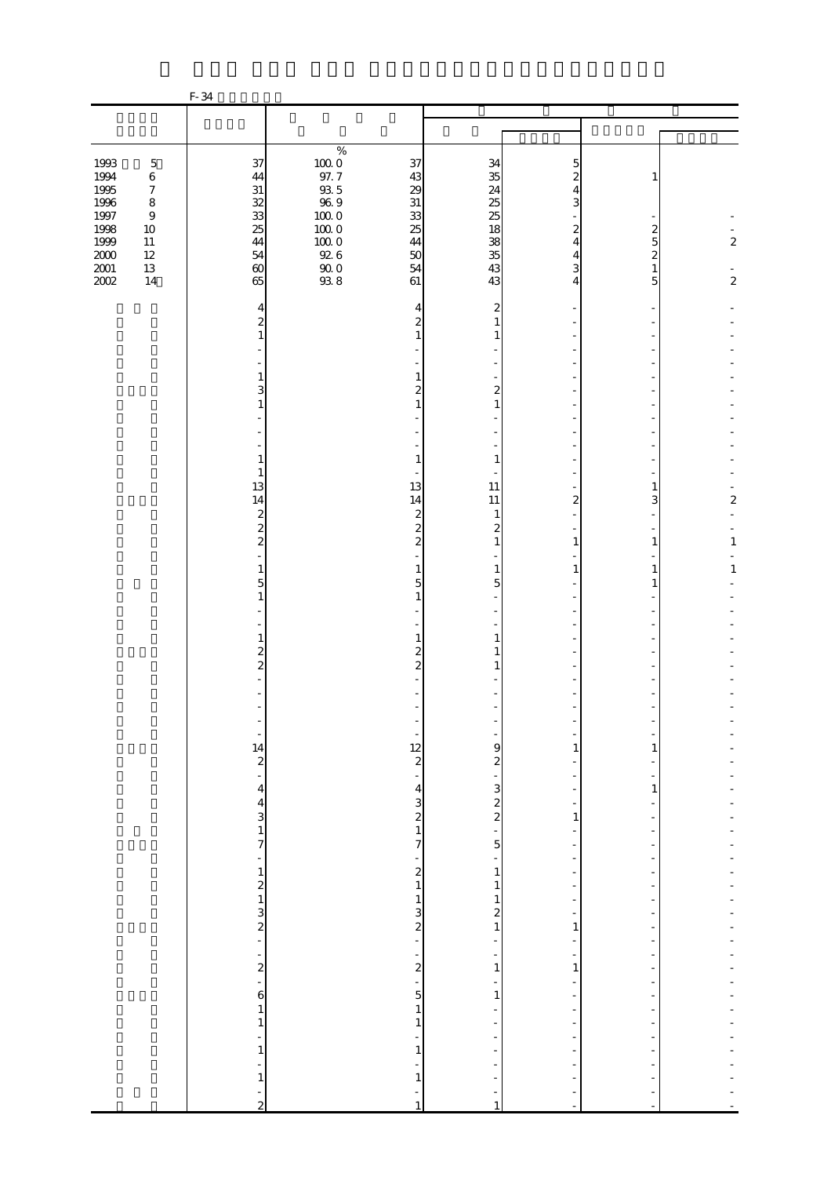|                                                                                          |                                                                                                                         | F-34                                                                                                   |                                                                                                                          |                                                                                      |                                                                           |                                                                                                                   |                                                                           |                                             |
|------------------------------------------------------------------------------------------|-------------------------------------------------------------------------------------------------------------------------|--------------------------------------------------------------------------------------------------------|--------------------------------------------------------------------------------------------------------------------------|--------------------------------------------------------------------------------------|---------------------------------------------------------------------------|-------------------------------------------------------------------------------------------------------------------|---------------------------------------------------------------------------|---------------------------------------------|
|                                                                                          |                                                                                                                         |                                                                                                        |                                                                                                                          |                                                                                      |                                                                           |                                                                                                                   |                                                                           |                                             |
|                                                                                          |                                                                                                                         |                                                                                                        |                                                                                                                          |                                                                                      |                                                                           |                                                                                                                   |                                                                           |                                             |
| 1993<br>1994<br>1995<br>$1996\,$<br>1997<br>1998<br>1999<br>$2000\,$<br>$2001\,$<br>2002 | $\mathbf 5$<br>$\,6\,$<br>$\boldsymbol{7}$<br>$\,8\,$<br>$\boldsymbol{9}$<br>$10\,$<br>$11\,$<br>$12\,$<br>$13\,$<br>14 | 37<br>44<br>$31\,$<br>32<br>33<br>25<br>44<br>54<br>$\infty$<br>65                                     | $\%$<br>$100\;0$<br>$97. \ 7$<br>$9\!\!3.5$<br>$96\ 9$<br>$10000$<br>$10000$<br>$100\;0$<br>$92\ 6$<br>$\frac{90}{93}$ 8 | 37<br>43<br>29<br>$31\,$<br>33<br>25<br>44<br>50<br>54<br>61                         | 34<br>35<br>24<br>25<br>25<br>18<br>38<br>35<br>43<br>43                  | 5<br>$\overline{c}$<br>4<br>3<br>$\mathbf{z}$<br>$\overline{4}$<br>4<br>3<br>4                                    | $\boldsymbol{z}$<br>$\overline{5}$<br>$\overline{c}$<br>$\mathbf{1}$<br>5 | $\boldsymbol{2}$<br>$\overline{\mathbf{c}}$ |
|                                                                                          |                                                                                                                         | 4<br>$\overline{\mathcal{Z}}$<br>$\mathbf{1}$<br>1<br>3<br>$\mathbf{1}$                                |                                                                                                                          | 4<br>$\overline{\mathcal{Z}}$<br>$\mathbf{1}$<br>1<br>$\overline{a}$<br>$\mathbf{1}$ | $\overline{c}$<br>1<br>1<br>$\overline{\mathbf{c}}$<br>$\mathbf{1}$       |                                                                                                                   |                                                                           |                                             |
|                                                                                          |                                                                                                                         | $\mathbf{1}$<br>$\mathbf{1}$<br>13<br>14<br>$\boldsymbol{z}$                                           |                                                                                                                          | $\mathbf{1}$<br>13<br>14<br>$\boldsymbol{z}$                                         | $\mathbf{1}$<br>11<br>11<br>$\mathbf{1}$                                  | 2                                                                                                                 | 1<br>3                                                                    | $\overline{\mathbf{c}}$                     |
|                                                                                          |                                                                                                                         | $\overline{\mathcal{L}}$<br>$\overline{\mathcal{L}}$<br>$\mathbf{1}$<br>$\overline{5}$<br>$\mathbf{1}$ |                                                                                                                          | $\overline{\mathcal{L}}$<br>$\boldsymbol{z}$<br>1<br>5<br>$\mathbf{1}$               | $\boldsymbol{2}$<br>$\mathbf{1}$<br>$\mathbf{1}$<br>5                     | $\mathbf{1}$<br>1                                                                                                 | $\mathbf{1}$<br>$\mathbf{1}$<br>1                                         | $\mathbf{1}$<br>$1\,$                       |
|                                                                                          |                                                                                                                         | $\mathbf{1}$<br>$\frac{2}{2}$                                                                          |                                                                                                                          | 1<br>$\overline{2}$<br>$\overline{\mathcal{L}}$                                      | 1<br>1<br>1                                                               |                                                                                                                   |                                                                           |                                             |
|                                                                                          |                                                                                                                         | $\frac{14}{2}$<br>$\overline{a}$<br>$\overline{\mathbf{r}}$                                            |                                                                                                                          | $\frac{12}{2}$<br>$\overline{a}$                                                     | 9<br>$\boldsymbol{z}$                                                     | 1<br>$\overline{a}$                                                                                               | 1<br>$\mathbf{1}$                                                         |                                             |
|                                                                                          |                                                                                                                         | $\frac{4}{3}$<br>7<br>-                                                                                |                                                                                                                          | $\begin{array}{c} 4 \\ 2 \\ 3 \end{array}$<br>7<br>$\frac{1}{2}$                     | $\frac{1}{2}$ $\frac{1}{2}$<br>$\overline{5}$<br>÷<br>$\,1$<br>$\,1\,$    | $\overline{\phantom{0}}$<br>$\,1\,$<br>-<br>$\frac{1}{2}$<br>$\frac{1}{2}$<br>$\frac{1}{2}$                       |                                                                           |                                             |
|                                                                                          |                                                                                                                         | $\frac{1}{2}$<br>$\frac{1}{3}$<br>$\frac{3}{2}$<br>$\frac{1}{2}$                                       |                                                                                                                          | $\frac{1}{2}$<br>$\frac{1}{2}$                                                       | $\mathbf{1}$<br>$\frac{2}{1}$<br>$\overline{\phantom{0}}$<br>-<br>$\,1\,$ | $\overline{\phantom{0}}$<br>$\overline{\phantom{0}}$<br>1<br>$\overline{\phantom{0}}$<br>$\frac{1}{2}$<br>$\,1\,$ |                                                                           |                                             |
|                                                                                          |                                                                                                                         | 6<br>$\mathbf{1}$<br>$\,1$<br>÷,<br>$\,1\,$<br>÷                                                       |                                                                                                                          | ÷<br>5<br>$\,1\,$<br>$\,1\,$<br>$\overline{a}$<br>$\,1\,$                            | 1<br>$\overline{\phantom{0}}$                                             | $\overline{\phantom{0}}$<br>-<br>$\frac{1}{2}$<br>÷,                                                              |                                                                           |                                             |
|                                                                                          |                                                                                                                         | $\,1\,$<br>$\frac{1}{2}$                                                                               |                                                                                                                          | $\mathbf{1}$<br>$\mathbf{1}$                                                         | -<br>$\mathbf{1}$                                                         |                                                                                                                   |                                                                           |                                             |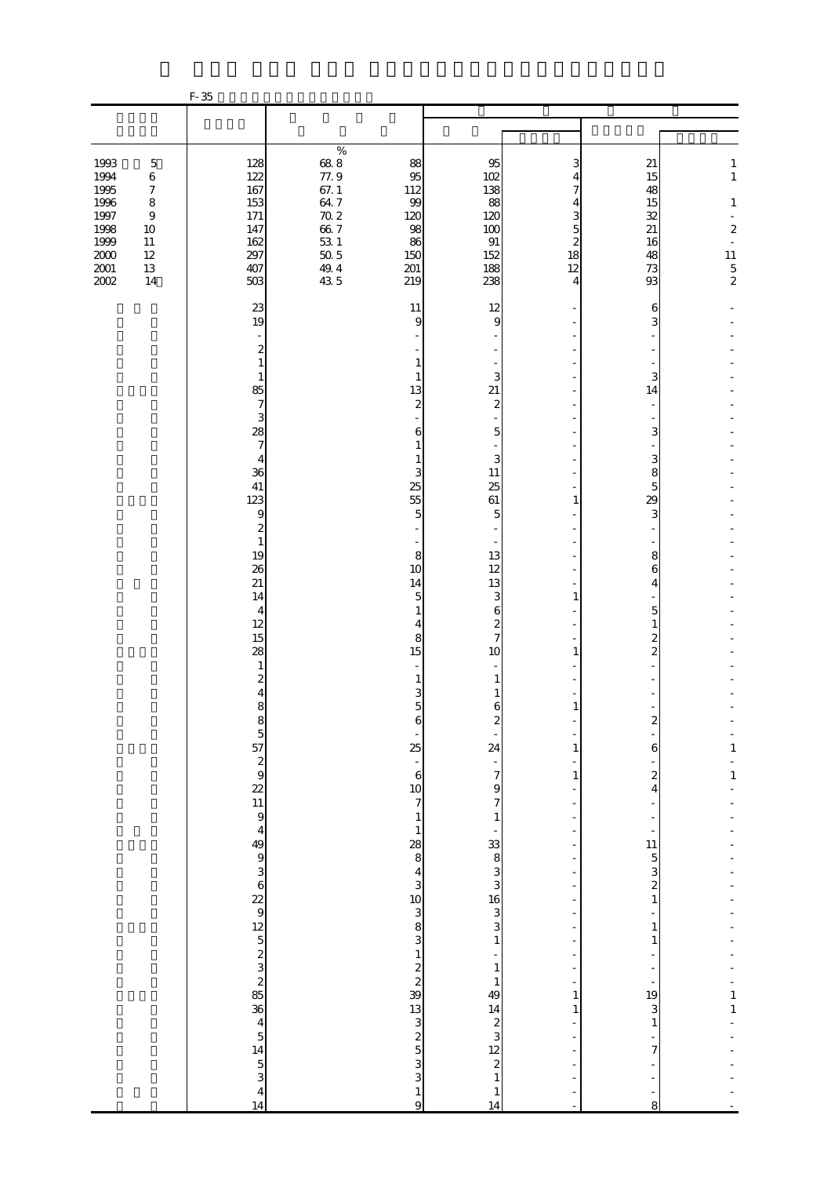|                                                                              |                                                                                                  | $F-35$                                                      |                                                                               |                                                            |                                                          |                                                          |                                                    |                                                                                                                                     |
|------------------------------------------------------------------------------|--------------------------------------------------------------------------------------------------|-------------------------------------------------------------|-------------------------------------------------------------------------------|------------------------------------------------------------|----------------------------------------------------------|----------------------------------------------------------|----------------------------------------------------|-------------------------------------------------------------------------------------------------------------------------------------|
|                                                                              |                                                                                                  |                                                             |                                                                               |                                                            |                                                          |                                                          |                                                    |                                                                                                                                     |
|                                                                              |                                                                                                  |                                                             | $\%$                                                                          |                                                            |                                                          |                                                          |                                                    |                                                                                                                                     |
| 1993<br>1994<br>1995<br>1996<br>1997<br>1998<br>1999<br>$2000\,$<br>$2001\,$ | $\mathbf 5$<br>$\,6$<br>$\boldsymbol{7}$<br>$\,8\,$<br>$\,9$<br>$10\,$<br>$11\,$<br>12<br>$13\,$ | 128<br>122<br>167<br>153<br>171<br>147<br>162<br>297<br>407 | $68\ 8$<br>77.9<br>67.1<br>$64.7\,$<br>$70.2\,$<br>66.7<br>$53\ 1$<br>$50\,5$ | 88<br>95<br>112<br>99<br>120<br>98<br>86<br>150<br>201     | 95<br>102<br>138<br>88<br>120<br>100<br>91<br>152<br>188 | 3<br>4<br>7<br>4<br>3<br>5<br>$\overline{c}$<br>18<br>12 | 21<br>15<br>48<br>15<br>32<br>21<br>16<br>48<br>73 | $\mathbf{1}$<br>$\,1$<br>$1\,$<br>÷,<br>$\boldsymbol{z}$<br>$\overline{\phantom{a}}$<br>$\begin{array}{c} 11 \\ 5 \\ 2 \end{array}$ |
| 2002                                                                         | 14                                                                                               | 503                                                         | $\frac{49.4}{43.5}$                                                           | 219                                                        | 238                                                      | 4                                                        | 93                                                 |                                                                                                                                     |
|                                                                              |                                                                                                  | 23<br>19                                                    |                                                                               | 11<br>9                                                    | 12<br>9                                                  |                                                          | 6<br>3                                             |                                                                                                                                     |
|                                                                              |                                                                                                  | $\overline{\mathcal{Z}}$                                    |                                                                               |                                                            |                                                          |                                                          |                                                    |                                                                                                                                     |
|                                                                              |                                                                                                  | 1<br>$\mathbf{1}$                                           |                                                                               | 1<br>1                                                     | 3                                                        |                                                          | 3                                                  |                                                                                                                                     |
|                                                                              |                                                                                                  | 85<br>$\overline{7}$                                        |                                                                               | 13<br>$\mathbf{z}$                                         | 21<br>$\mathbf{z}$                                       |                                                          | 14                                                 |                                                                                                                                     |
|                                                                              |                                                                                                  | 3<br>28<br>$\overline{7}$                                   |                                                                               | 6<br>1                                                     | 5                                                        |                                                          | 3                                                  |                                                                                                                                     |
|                                                                              |                                                                                                  | 4<br>36                                                     |                                                                               | 1<br>3                                                     | 3<br>11                                                  |                                                          | 3<br>8                                             |                                                                                                                                     |
|                                                                              |                                                                                                  | 41<br>123                                                   |                                                                               | 25<br>55                                                   | 25<br>61                                                 | 1                                                        | 5<br>29                                            |                                                                                                                                     |
|                                                                              |                                                                                                  | 9<br>$\boldsymbol{z}$                                       |                                                                               | 5                                                          | 5                                                        |                                                          | 3                                                  |                                                                                                                                     |
|                                                                              |                                                                                                  | $\mathbf{1}$<br>19                                          |                                                                               | 8                                                          | 13                                                       |                                                          | 8                                                  |                                                                                                                                     |
|                                                                              |                                                                                                  | 26<br>21                                                    |                                                                               | 10<br>14                                                   | 12<br>13                                                 |                                                          | 6<br>4                                             |                                                                                                                                     |
|                                                                              |                                                                                                  | 14<br>$\overline{4}$                                        |                                                                               | 5<br>$\mathbf{1}$                                          | 3<br>6                                                   | 1                                                        | $\overline{5}$                                     |                                                                                                                                     |
|                                                                              |                                                                                                  | 12<br>15                                                    |                                                                               | $\overline{4}$<br>8                                        | $\overline{\mathcal{Z}}$<br>$\overline{7}$               |                                                          | $\mathbf{1}$<br>2                                  |                                                                                                                                     |
|                                                                              |                                                                                                  | 28<br>1                                                     |                                                                               | 15                                                         | 10                                                       | 1                                                        | $\overline{2}$                                     |                                                                                                                                     |
|                                                                              |                                                                                                  | $\boldsymbol{2}$<br>4                                       |                                                                               | 1<br>3                                                     | 1<br>1                                                   |                                                          |                                                    |                                                                                                                                     |
|                                                                              |                                                                                                  | 8                                                           |                                                                               | 5<br>Ò                                                     | 6<br>z                                                   | $\mathbf{1}$                                             |                                                    |                                                                                                                                     |
|                                                                              |                                                                                                  |                                                             |                                                                               | 25                                                         | 24                                                       | 1                                                        | 6                                                  | $\mathbf{1}$                                                                                                                        |
|                                                                              |                                                                                                  |                                                             |                                                                               | $\frac{1}{6}$                                              | $\frac{1}{7}$                                            | $\mathbf{1}$                                             | $\boldsymbol{z}$                                   | $\mathbf{1}$                                                                                                                        |
|                                                                              |                                                                                                  |                                                             |                                                                               | 10<br>$\overline{7}$                                       | $\Theta$<br>$\overline{7}$                               |                                                          | $\overline{4}$                                     |                                                                                                                                     |
|                                                                              |                                                                                                  |                                                             |                                                                               | $\,1$<br>$\mathbf{1}$                                      | $1\,$                                                    |                                                          |                                                    |                                                                                                                                     |
|                                                                              |                                                                                                  |                                                             |                                                                               | $\frac{28}{8}$                                             |                                                          | $\overline{\phantom{0}}$                                 | 11                                                 |                                                                                                                                     |
|                                                                              |                                                                                                  |                                                             |                                                                               | $\begin{array}{c} 4 \\ 3 \\ 10 \\ 3 \\ 8 \\ 3 \end{array}$ | $33883$<br>33833                                         |                                                          | $\frac{5}{2}$ s<br>$\,1$                           |                                                                                                                                     |
|                                                                              |                                                                                                  |                                                             |                                                                               |                                                            |                                                          |                                                          | 1                                                  |                                                                                                                                     |
|                                                                              |                                                                                                  |                                                             |                                                                               |                                                            | $\,1\,$                                                  |                                                          | $\mathbf{1}$                                       |                                                                                                                                     |
|                                                                              |                                                                                                  |                                                             |                                                                               | $\frac{1}{2}$<br>39                                        | $\,1\,$<br>$\mathbf{1}$                                  | ÷,                                                       |                                                    |                                                                                                                                     |
|                                                                              |                                                                                                  |                                                             |                                                                               |                                                            | 49                                                       | 1<br>$\mathbf{1}$                                        | 19<br>3                                            | $\begin{array}{c} 1 \\ 1 \end{array}$                                                                                               |
|                                                                              |                                                                                                  |                                                             |                                                                               |                                                            |                                                          |                                                          | $\mathbf{1}$                                       |                                                                                                                                     |
|                                                                              |                                                                                                  |                                                             |                                                                               | $\frac{13}{3}$ and $\frac{13}{3}$                          | $14$<br>$2$<br>$3$<br>$12$<br>$2$                        |                                                          | $\boldsymbol{7}$                                   |                                                                                                                                     |
|                                                                              |                                                                                                  |                                                             |                                                                               |                                                            | $\mathbf{1}$<br>$\mathbf{1}$                             |                                                          |                                                    |                                                                                                                                     |
|                                                                              |                                                                                                  | 14                                                          |                                                                               | $\frac{1}{9}$                                              | 14                                                       | $\bar{a}$                                                | 8                                                  |                                                                                                                                     |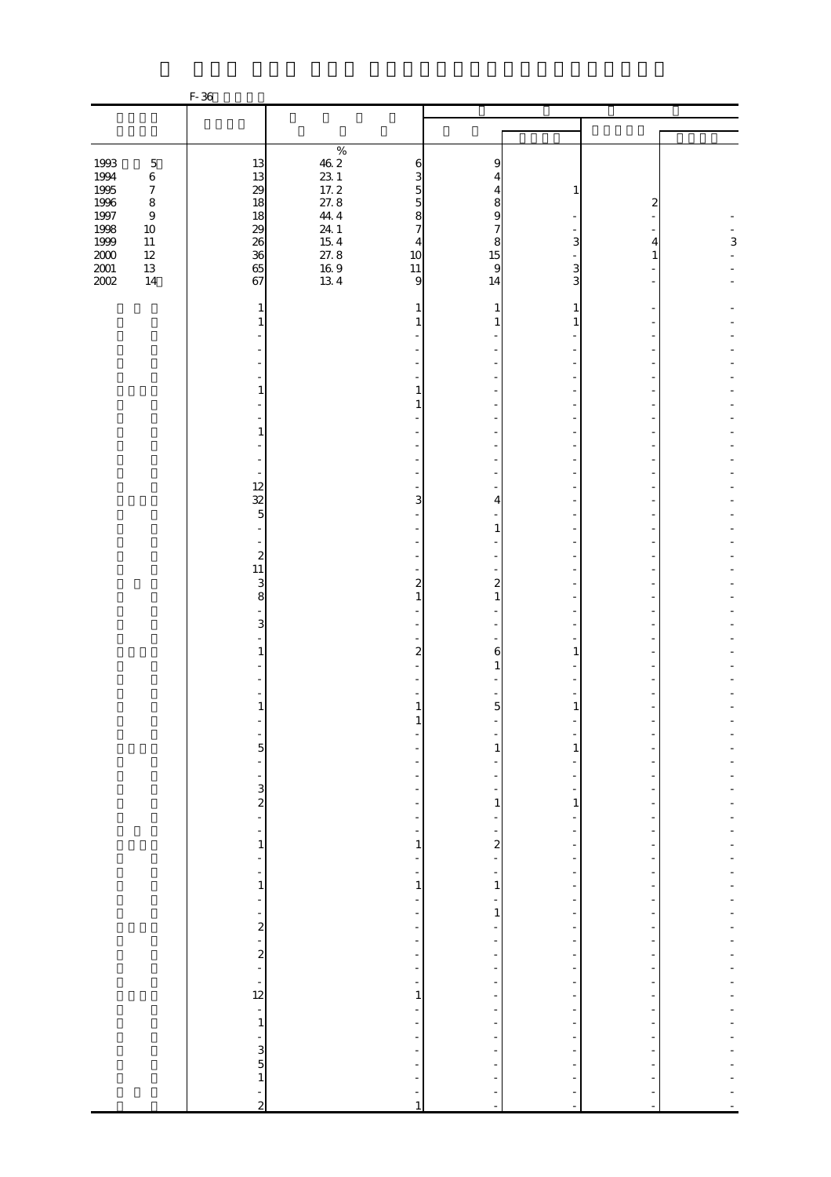|                                      |                                                                               | F-36                                             |                                                                                       |                                                                                                   |                                                                                  |                                                                                       |                          |   |
|--------------------------------------|-------------------------------------------------------------------------------|--------------------------------------------------|---------------------------------------------------------------------------------------|---------------------------------------------------------------------------------------------------|----------------------------------------------------------------------------------|---------------------------------------------------------------------------------------|--------------------------|---|
|                                      |                                                                               |                                                  |                                                                                       |                                                                                                   |                                                                                  |                                                                                       |                          |   |
|                                      |                                                                               |                                                  |                                                                                       |                                                                                                   |                                                                                  |                                                                                       |                          |   |
| 1993<br>1994<br>1995<br>1996<br>1997 | $\mathbf 5$<br>$\,6\,$<br>$\boldsymbol{7}$<br>$\,$ 8 $\,$<br>$\boldsymbol{9}$ | 13<br>13<br>29<br>18<br>18                       | $\%$<br>$\begin{array}{c} 46.2 \\ 23.1 \\ 17.2 \\ 27.8 \\ \vdots \end{array}$<br>44.4 | 6<br>3<br>5<br>$\overline{5}$<br>8                                                                | 9<br>4<br>4<br>8<br>$\overline{9}$                                               | 1                                                                                     | 2                        |   |
| 1998<br>1999<br>$\frac{200}{200}$    | $10\,$<br>$11\,$<br>$12\,$<br>13<br>14                                        | 29<br>36<br>65<br>67                             | $24$ 1<br>15 4<br>27.8<br>16 9<br>13 4                                                | $\overline{7}$<br>4<br>10<br>11<br>9                                                              | $\overline{7}$<br>8<br>15<br>$\overline{9}$<br>14                                | 3<br>3<br>3                                                                           | 4<br>1                   | 3 |
|                                      |                                                                               | 1<br>1                                           |                                                                                       | 1<br>$\mathbf{1}$                                                                                 | 1<br>1                                                                           | 1<br>1                                                                                |                          |   |
|                                      |                                                                               |                                                  |                                                                                       |                                                                                                   |                                                                                  |                                                                                       |                          |   |
|                                      |                                                                               | 1                                                |                                                                                       | $\mathbf{1}$<br>1                                                                                 |                                                                                  |                                                                                       |                          |   |
|                                      |                                                                               | 1                                                |                                                                                       |                                                                                                   |                                                                                  |                                                                                       |                          |   |
|                                      |                                                                               | 12<br>$\frac{32}{5}$                             |                                                                                       | 3                                                                                                 | 4                                                                                |                                                                                       |                          |   |
|                                      |                                                                               | $\boldsymbol{z}$                                 |                                                                                       |                                                                                                   | 1                                                                                |                                                                                       |                          |   |
|                                      |                                                                               | 11<br>3<br>8                                     |                                                                                       | $\overline{\mathcal{L}}$<br>$\mathbf{1}$                                                          | $\overline{\mathcal{L}}$<br>$\mathbf{1}$                                         |                                                                                       |                          |   |
|                                      |                                                                               | 3<br>1                                           |                                                                                       | $\overline{\mathbf{c}}$                                                                           | 6                                                                                | 1                                                                                     |                          |   |
|                                      |                                                                               |                                                  |                                                                                       |                                                                                                   | 1                                                                                |                                                                                       |                          |   |
|                                      |                                                                               | $\mathbf{1}$                                     |                                                                                       | $\mathbf{1}$                                                                                      | $\overline{5}$                                                                   | $\mathbf{1}$                                                                          |                          |   |
|                                      |                                                                               | $\overline{5}$<br>÷<br>-                         |                                                                                       | $\overline{a}$<br>-<br>$\frac{1}{2}$                                                              | 1                                                                                | $\mathbf{1}$<br>-<br>÷                                                                |                          |   |
|                                      |                                                                               | $\frac{3}{2}$<br>÷                               |                                                                                       | $\overline{\phantom{a}}$<br>$\overline{\phantom{a}}$<br>$\frac{1}{2}$<br>$\overline{\phantom{0}}$ | $\frac{1}{2}$<br>$\,1$<br>$\qquad \qquad \blacksquare$                           | $\frac{1}{\sqrt{2}}$<br>$\,1$<br>$\overline{\phantom{a}}$                             | $\overline{\phantom{a}}$ |   |
|                                      |                                                                               | 1<br>÷<br>-                                      |                                                                                       | $\mathbf{1}$<br>$\overline{\phantom{a}}$<br>$\overline{\phantom{a}}$                              | $\overline{a}$<br>$\frac{1}{2}$<br>$\overline{\phantom{0}}$                      | $\overline{a}$<br>÷<br>÷                                                              | $\overline{\phantom{a}}$ |   |
|                                      |                                                                               | $\,$ 1 $\,$<br>$\overline{a}$                    |                                                                                       | $\mathbf{1}$<br>$\overline{\phantom{a}}$<br>$\overline{\phantom{a}}$                              | $\mathbf{1}$<br>$\qquad \qquad \blacksquare$<br>$\,1$                            | $\overline{\phantom{0}}$<br>$\overline{\phantom{a}}$<br>$\overline{\phantom{a}}$      | $\frac{1}{2}$            |   |
|                                      |                                                                               | $2^{1}$ 2                                        |                                                                                       | $\overline{\phantom{a}}$<br>$\overline{\phantom{a}}$<br>f                                         | $\frac{1}{2}$<br>$\overline{\phantom{0}}$                                        | $\overline{a}$<br>$\overline{\phantom{0}}$<br>$\overline{\phantom{0}}$                | -                        |   |
|                                      |                                                                               | $\frac{1}{12}$                                   |                                                                                       | $\overline{\phantom{0}}$<br>$\overline{\phantom{a}}$<br>$\mathbf{1}$                              | $\overline{\phantom{m}}$<br>-<br>-                                               | $\overline{\phantom{a}}$<br>f<br>$\overline{a}$                                       | ÷,                       |   |
|                                      |                                                                               | $\begin{array}{c} -1 \\ 1 \\ 3 \\ 5 \end{array}$ |                                                                                       | $\overline{\phantom{a}}$<br>$\overline{\phantom{0}}$<br>÷<br>$\frac{1}{2}$                        | $\overline{\phantom{m}}$<br>$\overline{\phantom{m}}$<br>$\overline{\phantom{m}}$ | $\overline{\phantom{a}}$<br>÷<br>$\overline{\phantom{a}}$<br>$\overline{\phantom{a}}$ | $\overline{\phantom{m}}$ |   |
|                                      |                                                                               | $\mathbf{1}$                                     |                                                                                       | $\overline{\phantom{m}}$<br>$\blacksquare$<br>$\overline{a}$                                      | -<br><sup>-</sup>                                                                | -<br>-<br>÷                                                                           |                          |   |
|                                      |                                                                               | $\frac{1}{2}$                                    |                                                                                       | $\,1\,$                                                                                           | $\bar{\phantom{a}}$                                                              | ÷,                                                                                    | ÷,                       |   |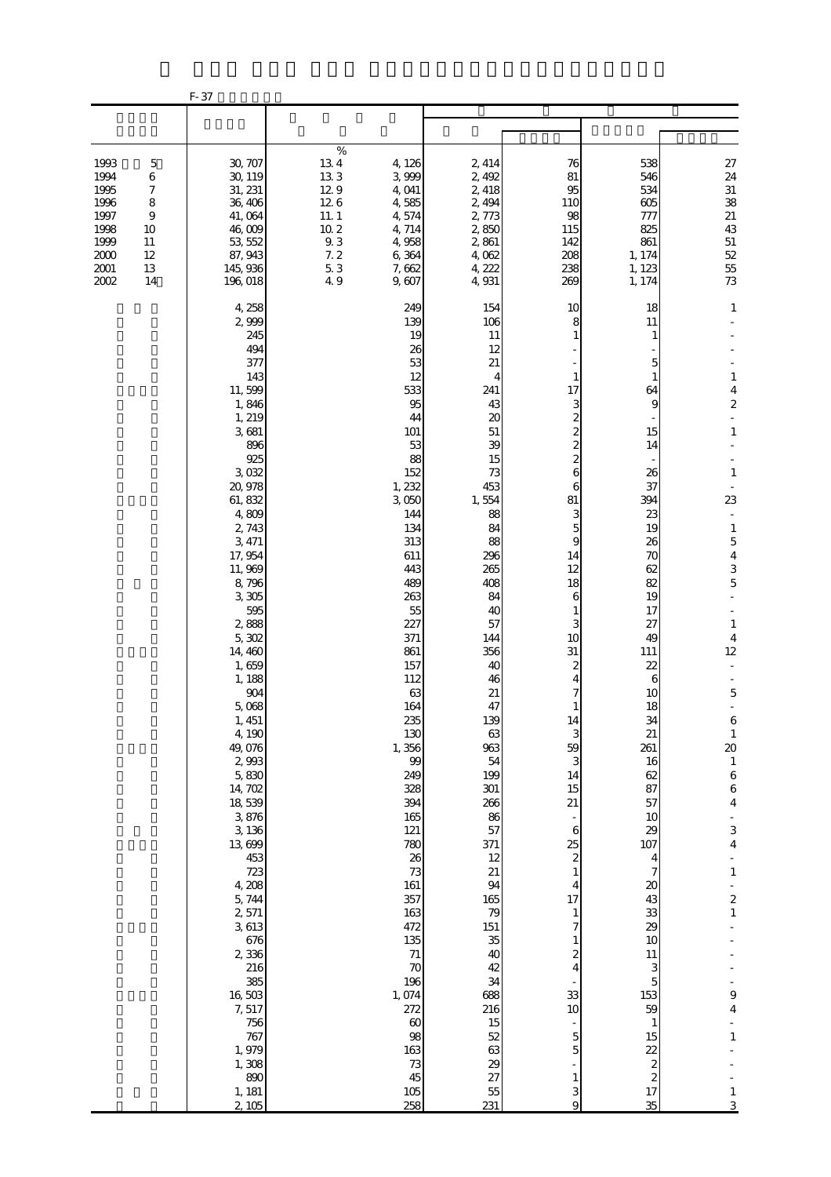|                                                                                  |                                                                                                           | F-37                                                                                                                                                                                                                                                                                                                                                                                                                                                                                                                                       |                                                                                                  |                                                                                                                                                                                                                                                                                                                                                                                                                         |                                                                                                                                                                                                                                                                                                                                                                                            |                                                                                                                                                                                                                                                                                                                                                                                                                                                          |                                                                                                                                                                                                                                                                                                                                                                                                                             |                                                                                                                                                                                                                                                                                                                                                                                                                                                                                 |
|----------------------------------------------------------------------------------|-----------------------------------------------------------------------------------------------------------|--------------------------------------------------------------------------------------------------------------------------------------------------------------------------------------------------------------------------------------------------------------------------------------------------------------------------------------------------------------------------------------------------------------------------------------------------------------------------------------------------------------------------------------------|--------------------------------------------------------------------------------------------------|-------------------------------------------------------------------------------------------------------------------------------------------------------------------------------------------------------------------------------------------------------------------------------------------------------------------------------------------------------------------------------------------------------------------------|--------------------------------------------------------------------------------------------------------------------------------------------------------------------------------------------------------------------------------------------------------------------------------------------------------------------------------------------------------------------------------------------|----------------------------------------------------------------------------------------------------------------------------------------------------------------------------------------------------------------------------------------------------------------------------------------------------------------------------------------------------------------------------------------------------------------------------------------------------------|-----------------------------------------------------------------------------------------------------------------------------------------------------------------------------------------------------------------------------------------------------------------------------------------------------------------------------------------------------------------------------------------------------------------------------|---------------------------------------------------------------------------------------------------------------------------------------------------------------------------------------------------------------------------------------------------------------------------------------------------------------------------------------------------------------------------------------------------------------------------------------------------------------------------------|
|                                                                                  |                                                                                                           |                                                                                                                                                                                                                                                                                                                                                                                                                                                                                                                                            |                                                                                                  |                                                                                                                                                                                                                                                                                                                                                                                                                         |                                                                                                                                                                                                                                                                                                                                                                                            |                                                                                                                                                                                                                                                                                                                                                                                                                                                          |                                                                                                                                                                                                                                                                                                                                                                                                                             |                                                                                                                                                                                                                                                                                                                                                                                                                                                                                 |
| 1993<br>1994<br>1995<br>1996<br>1997<br>1998<br>1999<br>2000<br>$2001\,$<br>2002 | $\mathbf 5$<br>$\,6$<br>$\boldsymbol{7}$<br>$\,$ 8 $\,$<br>$\boldsymbol{9}$<br>10<br>11<br>12<br>13<br>14 | 30, 707<br>30, 119<br>31, 231<br>36, 406<br>41,064<br>46,009<br>53, 552<br>87, 943<br>145, 936<br>196,018                                                                                                                                                                                                                                                                                                                                                                                                                                  | $\%$<br>$13\ 4$<br>133<br>129<br>126<br>11.1<br>$10\ 2$<br>$9\!\!.$ $3\!\!$<br>7.2<br>5.3<br>4.9 | 4, 126<br>3,999<br>4,041<br>4,585<br>4,574<br>4, 714<br>4,958<br>6,364<br>7,662<br>9,607                                                                                                                                                                                                                                                                                                                                | 2, 414<br>2,492<br>2, 418<br>2, 494<br>2,773<br>2,850<br>2,861<br>4,062<br>4, 222<br>4,931                                                                                                                                                                                                                                                                                                 | 76<br>81<br>95<br>110<br>98<br>115<br>142<br>208<br>238<br>269                                                                                                                                                                                                                                                                                                                                                                                           | 538<br>546<br>534<br>605<br>777<br>825<br>861<br>1, 174<br>1, 123<br>1, 174                                                                                                                                                                                                                                                                                                                                                 | $27\,$<br>$24\,$<br>$31\,$<br>38<br>$21\,$<br>43<br>$51\,$<br>52<br>55<br>73                                                                                                                                                                                                                                                                                                                                                                                                    |
|                                                                                  |                                                                                                           | 4, 258<br>2,999<br>245<br>494<br>377<br>143<br>11,599<br>1,846<br>1, 219<br>3,681<br>896<br>925<br>3,032<br>20, 978<br>61, 832<br>4,809<br>2,743<br>3, 471<br>17,954<br>11,969<br>8,796<br>3,305<br>595<br>2,888<br>5,302<br>14,460<br>1,659<br>1, 188<br>$904\,$<br>5,068<br>1,451<br>4,190<br>49,076<br>2,993<br>5,830<br>14, 702<br>18,539<br>3,876<br>3, 136<br>13,699<br>453<br>723<br>4, 208<br>5,744<br>2,571<br>3, 613<br>676<br>2,336<br>216<br>385<br>16,503<br>7,517<br>756<br>767<br>1,979<br>1,308<br>890<br>1, 181<br>2, 105 |                                                                                                  | 249<br>139<br>19<br>26<br>53<br>12<br>533<br>95<br>44<br>101<br>53<br>88<br>152<br>1, 232<br>3,050<br>144<br>134<br>313<br>611<br>443<br>489<br>263<br>55<br>227<br>371<br>861<br>157<br>112<br>63<br>164<br>235<br>130<br>1,356<br>99<br>249<br>328<br>394<br>165<br>121<br>780<br>26<br>73<br>161<br>357<br>163<br>472<br>135<br>$71\,$<br>70<br>196<br>1,074<br>272<br>60<br>98<br>163<br>$73\,$<br>45<br>105<br>258 | 154<br>106<br>11<br>12<br>21<br>4<br>241<br>43<br>$\infty$<br>51<br>39<br>15<br>73<br>453<br>1,554<br>88<br>84<br>88<br>296<br>265<br>408<br>84<br>40<br>57<br>144<br>356<br>40<br>46<br>21<br>47<br>139<br>63<br>963<br>54<br>199<br>301<br>266<br>86<br>57<br>371<br>12<br>21<br>94<br>165<br>79<br>151<br>35<br>40<br>42<br>34<br>688<br>216<br>15<br>52<br>63<br>29<br>27<br>55<br>231 | 10<br>8<br>1<br>1<br>17<br>3<br>$\overline{\mathcal{Z}}$<br>$\overline{\mathcal{Z}}$<br>$\overline{\mathcal{Z}}$<br>$\overline{c}$<br>6<br>6<br>81<br>3<br>5<br>9<br>14<br>12<br>18<br>6<br>1<br>3<br>10<br>31<br>2<br>4<br>7<br>$\mathbf{1}$<br>14<br>3<br>59<br>3<br>14<br>15<br>21<br>$\Box$<br>$\,6$<br>25<br>$\overline{\mathcal{Z}}$<br>$\,1$<br>$\overline{\mathbf{r}}$<br>17<br>$\mathbf{1}$<br>7<br>2<br>4<br>33<br>10<br>5<br>5<br>1<br>3<br>9 | 18<br>11<br>1<br>5<br>1<br>64<br>9<br>15<br>14<br>26<br>37<br>394<br>23<br>19<br>26<br>70<br>62<br>82<br>19<br>17<br>27<br>49<br>111<br>22<br>6<br>10<br>18<br>34<br>21<br>261<br>16<br>62<br>87<br>57<br>10<br>29<br>107<br>4<br>$\overline{7}$<br>$\boldsymbol{\mathsf{20}}$<br>43<br>33<br>29<br>10<br>11<br>3<br>5<br>153<br>59<br>$\mathbf{1}$<br>15<br>22<br>$\boldsymbol{z}$<br>$\overline{\mathcal{L}}$<br>17<br>35 | $\mathbf{1}$<br>$1\,$<br>4<br>$\boldsymbol{z}$<br>$\Box$<br>$1\,$<br>$\mathbf{1}$<br>23<br>$\mathbf{1}$<br>$\overline{5}$<br>$\overline{4}$<br>$\mathbf{3}$<br>$\mathbf 5$<br>$\mathbf{1}$<br>$\overline{4}$<br>12<br>$\mathbf 5$<br>$\boldsymbol{6}$<br>$\,1\,$<br>$\infty$<br>$\,1\,$<br>$6\atop6$<br>$\overline{4}$<br>3<br>$\overline{\mathbf{4}}$<br>$\,1\,$<br>$\begin{array}{c} 2 \\ 2 \\ 1 \end{array}$<br>9<br>$\overline{\mathbf{4}}$<br>$\,1\,$<br>$\mathbf{1}$<br>3 |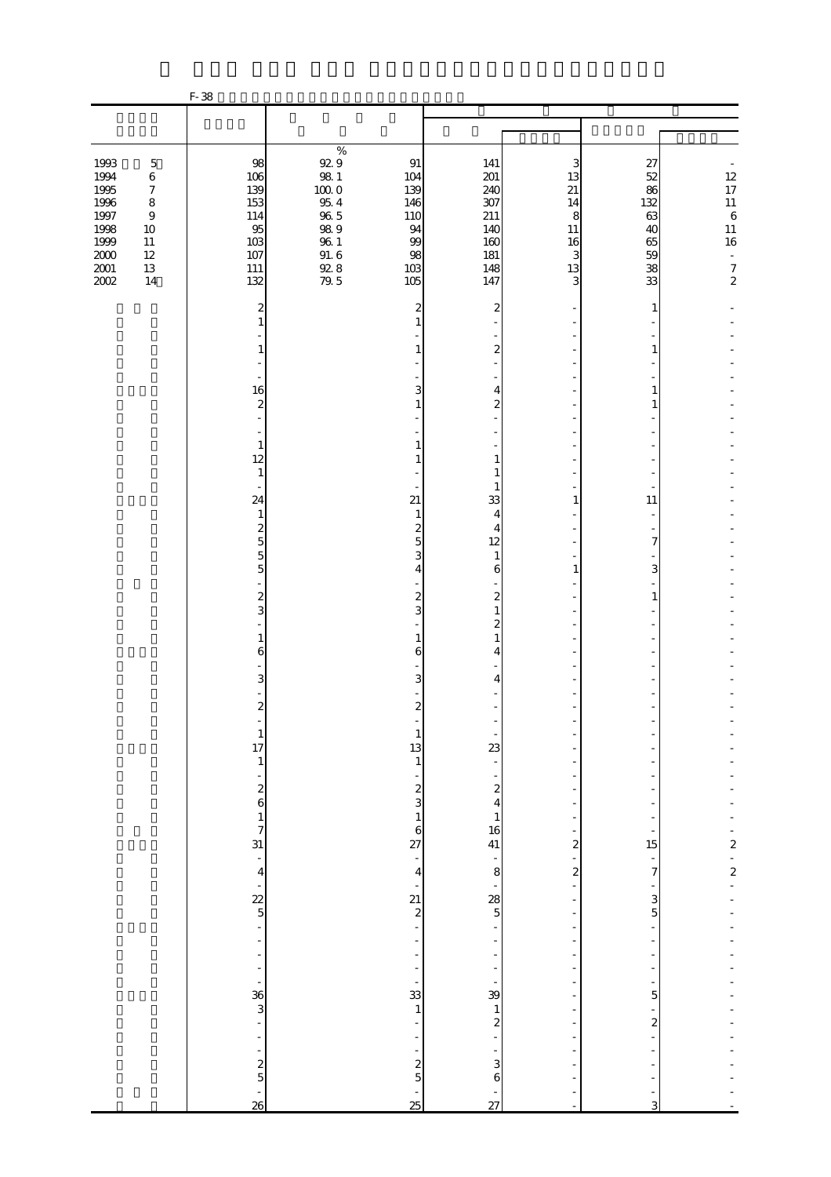|                                                                  |                                                                                                         | F-38                                                               |                                                                                                        |                                                  |                                                              |                                                                |                                               |                                                                                                 |
|------------------------------------------------------------------|---------------------------------------------------------------------------------------------------------|--------------------------------------------------------------------|--------------------------------------------------------------------------------------------------------|--------------------------------------------------|--------------------------------------------------------------|----------------------------------------------------------------|-----------------------------------------------|-------------------------------------------------------------------------------------------------|
|                                                                  |                                                                                                         |                                                                    |                                                                                                        |                                                  |                                                              |                                                                |                                               |                                                                                                 |
|                                                                  |                                                                                                         |                                                                    | $\%$                                                                                                   |                                                  |                                                              |                                                                |                                               |                                                                                                 |
| 1993<br>1994<br>1995<br>1996<br>1997<br>1998<br>1999<br>$2000\,$ | $\mathbf 5$<br>$\,6\,$<br>$\boldsymbol{7}$<br>$\,8\,$<br>$\boldsymbol{9}$<br>$10\,$<br>$11\,$<br>$12\,$ | 98<br>106<br>139<br>153<br>114<br>95<br>103<br>107                 | $\begin{array}{c} 92.9 \\ 98.1 \end{array}$<br>$10000$<br>$95\,4$<br>$96\ 5$<br>989<br>$96\ 1$<br>91.6 | 91<br>104<br>139<br>146<br>110<br>94<br>99<br>98 | 141<br>$201$<br>240<br>307<br>211<br>140<br>160<br>181       | 3<br>13<br>21<br>14<br>8<br>11<br>16<br>3                      | 27<br>52<br>86<br>132<br>63<br>40<br>65<br>59 | $\begin{array}{c} 12 \\ 17 \\ 11 \end{array}$<br>$\,6\,$<br>$11\,$<br>$16\phantom{.}$<br>$\Box$ |
| $2001\,$<br>2002                                                 | $13\,$<br>14                                                                                            | $111\,$<br>132                                                     | $\frac{92}{79}$ . 5                                                                                    | 103<br>105                                       | 148<br>147                                                   | 13<br>3                                                        | 38<br>33                                      | $\boldsymbol{7}$<br>$\mathbf 2$                                                                 |
|                                                                  |                                                                                                         | $\overline{\mathbf{c}}$<br>1                                       |                                                                                                        | 2<br>1                                           | 2                                                            |                                                                | 1                                             |                                                                                                 |
|                                                                  |                                                                                                         | 1<br>L,                                                            |                                                                                                        | 1                                                | $\boldsymbol{z}$                                             |                                                                | 1                                             |                                                                                                 |
|                                                                  |                                                                                                         | 16<br>$\boldsymbol{z}$                                             |                                                                                                        | 3<br>1                                           | 4<br>2                                                       |                                                                | 1<br>1                                        |                                                                                                 |
|                                                                  |                                                                                                         | $\mathbf{1}$<br>12                                                 |                                                                                                        | 1<br>1                                           | $\mathbf{1}$                                                 |                                                                |                                               |                                                                                                 |
|                                                                  |                                                                                                         | $\mathbf{1}$<br>24<br>$\mathbf{1}$                                 |                                                                                                        | 21<br>$\mathbf{1}$                               | 1<br>1<br>33<br>4                                            | 1                                                              | 11                                            |                                                                                                 |
|                                                                  |                                                                                                         | $\overline{\mathcal{L}}$<br>$\overline{5}$<br>5                    |                                                                                                        | $\overline{\mathcal{L}}$<br>5<br>3               | 4<br>12<br>$\mathbf{1}$                                      |                                                                | 7                                             |                                                                                                 |
|                                                                  |                                                                                                         | $\overline{5}$<br>$\boldsymbol{z}$                                 |                                                                                                        | 4<br>$\boldsymbol{z}$                            | $\boldsymbol{6}$<br>$\boldsymbol{z}$                         | 1                                                              | 3<br>1                                        |                                                                                                 |
|                                                                  |                                                                                                         | 3<br>1<br>6                                                        |                                                                                                        | 3<br>1<br>6                                      | $\mathbf{1}$<br>$\overline{\mathbf{c}}$<br>$\mathbf{1}$<br>4 |                                                                |                                               |                                                                                                 |
|                                                                  |                                                                                                         | 3                                                                  |                                                                                                        | 3                                                | 4                                                            |                                                                |                                               |                                                                                                 |
|                                                                  |                                                                                                         | $\overline{\mathcal{Z}}$<br>$\begin{array}{c} 1 \\ 17 \end{array}$ |                                                                                                        | $\boldsymbol{z}$<br>$\mathbf{1}$<br>13           | 23                                                           |                                                                |                                               |                                                                                                 |
|                                                                  |                                                                                                         | $\,1\,$                                                            |                                                                                                        | $\mathbf{1}$                                     | $\boldsymbol{z}$                                             |                                                                |                                               |                                                                                                 |
|                                                                  |                                                                                                         | $\frac{2}{6}$<br>$\frac{1}{7}$                                     |                                                                                                        | $rac{2}{3}$<br>$\,1\,$<br>6                      | 4<br>$\mathbf{1}$<br>16                                      |                                                                |                                               |                                                                                                 |
|                                                                  |                                                                                                         | 31<br>$\frac{1}{4}$                                                |                                                                                                        | 27<br>÷<br>$\overline{4}$                        | 41<br>$\overline{\phantom{0}}$<br>8                          | $\overline{\mathbf{c}}$<br>÷<br>$\overline{\mathcal{L}}$<br>Ē, | 15<br>$\overline{7}$                          | $\overline{\mathbf{c}}$<br>$\frac{1}{2}$                                                        |
|                                                                  |                                                                                                         | $rac{22}{5}$                                                       |                                                                                                        | 21<br>$\overline{\mathcal{L}}$                   | 28<br>$\overline{5}$                                         | ÷,                                                             | 3<br>$\overline{5}$                           |                                                                                                 |
|                                                                  |                                                                                                         | $\overline{a}$<br>÷<br>÷<br>÷                                      |                                                                                                        |                                                  |                                                              | ÷<br>$\overline{a}$                                            |                                               |                                                                                                 |
|                                                                  |                                                                                                         | $\frac{36}{3}$<br>÷,                                               |                                                                                                        | 33<br>$\,1\,$                                    | 39<br>$\mathbf{1}$<br>$\overline{\mathcal{Z}}$               | Ĭ.<br>$\overline{\phantom{a}}$                                 | 5<br>$\boldsymbol{z}$                         |                                                                                                 |
|                                                                  |                                                                                                         | ÷<br>$\frac{2}{5}$                                                 |                                                                                                        | $\boldsymbol{z}$                                 | 3                                                            |                                                                |                                               |                                                                                                 |
|                                                                  |                                                                                                         | -<br>26                                                            |                                                                                                        | $\overline{5}$<br>25                             | 6<br>$\overline{27}$                                         | $\sim$                                                         | 3                                             |                                                                                                 |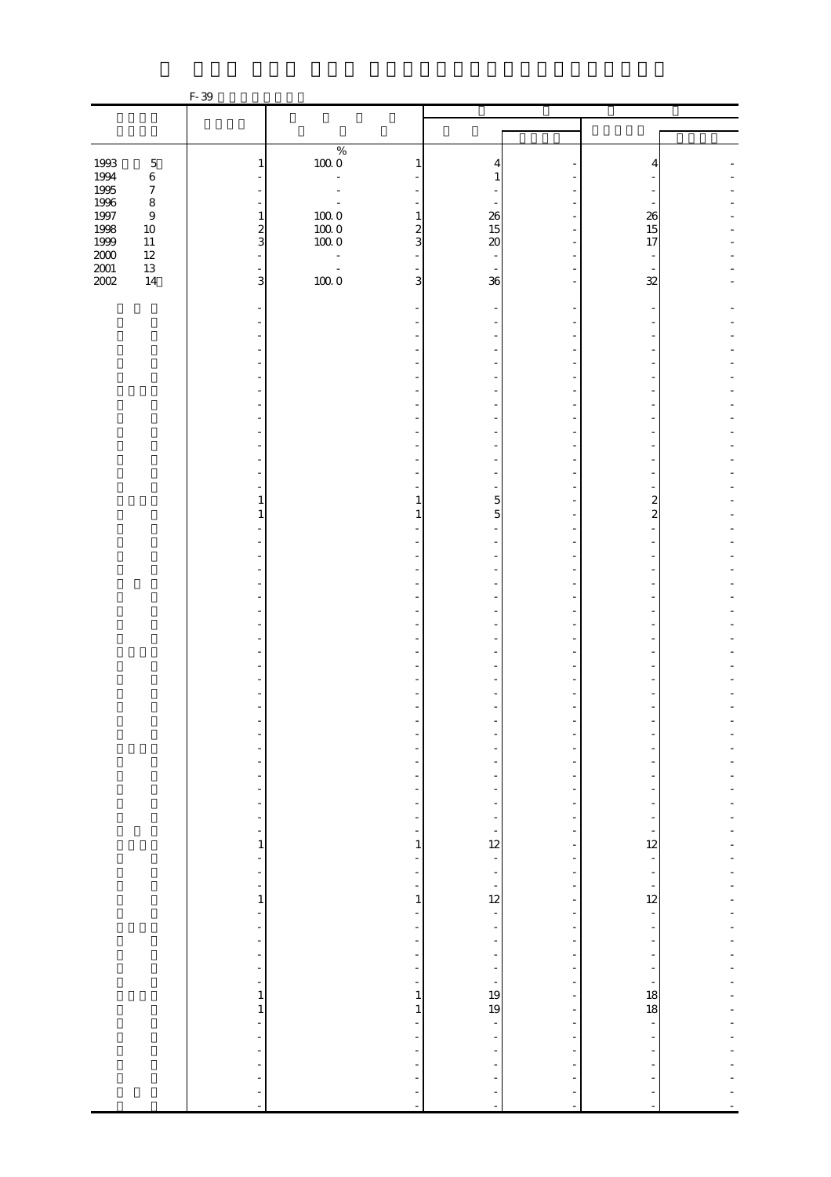|                   |                             | F-39                                       |                                                                 |               |                          |    |                          |  |
|-------------------|-----------------------------|--------------------------------------------|-----------------------------------------------------------------|---------------|--------------------------|----|--------------------------|--|
|                   |                             |                                            |                                                                 |               |                          |    |                          |  |
|                   |                             |                                            |                                                                 |               |                          |    |                          |  |
|                   |                             |                                            | $\%$                                                            |               |                          |    |                          |  |
| 1993              | $\mathbf 5$                 | $\mathbf{1}$                               | $100\;0$                                                        | $\mathbf{1}$  | 4                        |    |                          |  |
| 1994<br>1995      | $\,6\,$                     |                                            | ÷,                                                              |               | 1                        |    |                          |  |
|                   | $\boldsymbol{7}$<br>$\,8\,$ |                                            |                                                                 |               |                          |    |                          |  |
| 1996<br>1997      | $\boldsymbol{9}$            | ÷<br>$\mathbf{1}$                          |                                                                 | $\mathbf{1}$  | 26                       |    | 26                       |  |
| 1998              | $10\,$                      |                                            |                                                                 |               | 15                       |    | 15                       |  |
| 1999              | $11\,$                      | $rac{2}{3}$                                | $\begin{array}{c} 100 \ 0 \\ 100 \ 0 \\ 100 \ 0 \\ \end{array}$ | $\frac{2}{3}$ | 20                       |    | 17                       |  |
| $\frac{200}{200}$ | $12\,$                      | $\bar{\phantom{a}}$                        | $\overline{\phantom{a}}$                                        |               |                          |    |                          |  |
|                   | $13\,$<br>$14\,$            | $\overline{\phantom{a}}$<br>$\overline{3}$ | $\frac{1}{1000}$                                                | 3             | 36                       |    | 32                       |  |
|                   |                             |                                            |                                                                 |               |                          |    |                          |  |
|                   |                             |                                            |                                                                 |               |                          |    |                          |  |
|                   |                             |                                            |                                                                 |               |                          |    |                          |  |
|                   |                             |                                            |                                                                 |               |                          |    |                          |  |
|                   |                             |                                            |                                                                 |               |                          |    |                          |  |
|                   |                             |                                            |                                                                 |               |                          |    |                          |  |
|                   |                             |                                            |                                                                 |               |                          |    |                          |  |
|                   |                             |                                            |                                                                 |               |                          |    |                          |  |
|                   |                             |                                            |                                                                 |               |                          |    |                          |  |
|                   |                             |                                            |                                                                 |               |                          |    |                          |  |
|                   |                             |                                            |                                                                 |               |                          |    |                          |  |
|                   |                             |                                            |                                                                 |               |                          |    |                          |  |
|                   |                             |                                            |                                                                 |               |                          |    |                          |  |
|                   |                             | 1                                          |                                                                 | 1             | 5                        |    | 2                        |  |
|                   |                             | 1                                          |                                                                 |               | 5                        |    | $\overline{c}$           |  |
|                   |                             |                                            |                                                                 |               |                          |    |                          |  |
|                   |                             |                                            |                                                                 |               |                          |    |                          |  |
|                   |                             |                                            |                                                                 |               |                          |    |                          |  |
|                   |                             |                                            |                                                                 |               |                          |    |                          |  |
|                   |                             |                                            |                                                                 |               |                          |    |                          |  |
|                   |                             |                                            |                                                                 |               |                          |    |                          |  |
|                   |                             |                                            |                                                                 |               |                          |    |                          |  |
|                   |                             |                                            |                                                                 |               |                          |    |                          |  |
|                   |                             |                                            |                                                                 |               |                          |    |                          |  |
|                   |                             |                                            |                                                                 |               |                          |    |                          |  |
|                   |                             |                                            |                                                                 |               |                          |    |                          |  |
|                   |                             |                                            |                                                                 |               |                          |    |                          |  |
|                   |                             |                                            |                                                                 |               |                          |    |                          |  |
|                   |                             | $\overline{\phantom{0}}$                   |                                                                 |               |                          |    |                          |  |
|                   |                             |                                            |                                                                 |               |                          |    |                          |  |
|                   |                             | Ĭ.                                         |                                                                 |               |                          |    |                          |  |
|                   |                             | L,                                         |                                                                 |               |                          |    |                          |  |
|                   |                             | ÷                                          |                                                                 |               |                          |    |                          |  |
|                   |                             | L,<br>÷                                    |                                                                 |               | $\frac{1}{2}$            |    |                          |  |
|                   |                             | $\mathbf{1}$                               |                                                                 | 1             | $\frac{1}{12}$           |    | 12                       |  |
|                   |                             | ÷                                          |                                                                 |               | ÷                        |    |                          |  |
|                   |                             | ÷                                          |                                                                 |               | -                        |    |                          |  |
|                   |                             | ÷                                          |                                                                 |               | $\frac{1}{12}$           |    | $\frac{1}{12}$           |  |
|                   |                             | $\,1\,$                                    |                                                                 | $\mathbf{1}$  |                          |    |                          |  |
|                   |                             | ÷,<br>$\overline{a}$                       |                                                                 |               | ÷,                       |    | ÷,                       |  |
|                   |                             | ÷,                                         |                                                                 |               | $\overline{\phantom{0}}$ |    |                          |  |
|                   |                             | ÷                                          |                                                                 |               | $\overline{\phantom{0}}$ |    |                          |  |
|                   |                             | ÷,                                         |                                                                 | ÷,            | $\frac{1}{2}$            |    |                          |  |
|                   |                             | ÷                                          |                                                                 | ÷             |                          |    |                          |  |
|                   |                             | 1                                          |                                                                 | 1             | $\frac{1}{19}$           |    | 18                       |  |
|                   |                             | $\mathbf{1}$<br>Ĭ.                         |                                                                 | $\mathbf 1$   | ÷                        | ÷, | 18                       |  |
|                   |                             | L,                                         |                                                                 | Ē,            | ÷                        |    | $\overline{\phantom{a}}$ |  |
|                   |                             | Ĭ.                                         |                                                                 |               | ÷                        |    |                          |  |
|                   |                             | ÷,                                         |                                                                 |               | $\overline{a}$           |    |                          |  |
|                   |                             | ÷,                                         |                                                                 |               | ÷                        |    |                          |  |
|                   |                             |                                            |                                                                 |               | $\overline{\phantom{0}}$ |    | $\overline{a}$           |  |
|                   |                             | $\overline{\phantom{a}}$                   |                                                                 | ÷             | $\overline{a}$           |    | $\overline{a}$           |  |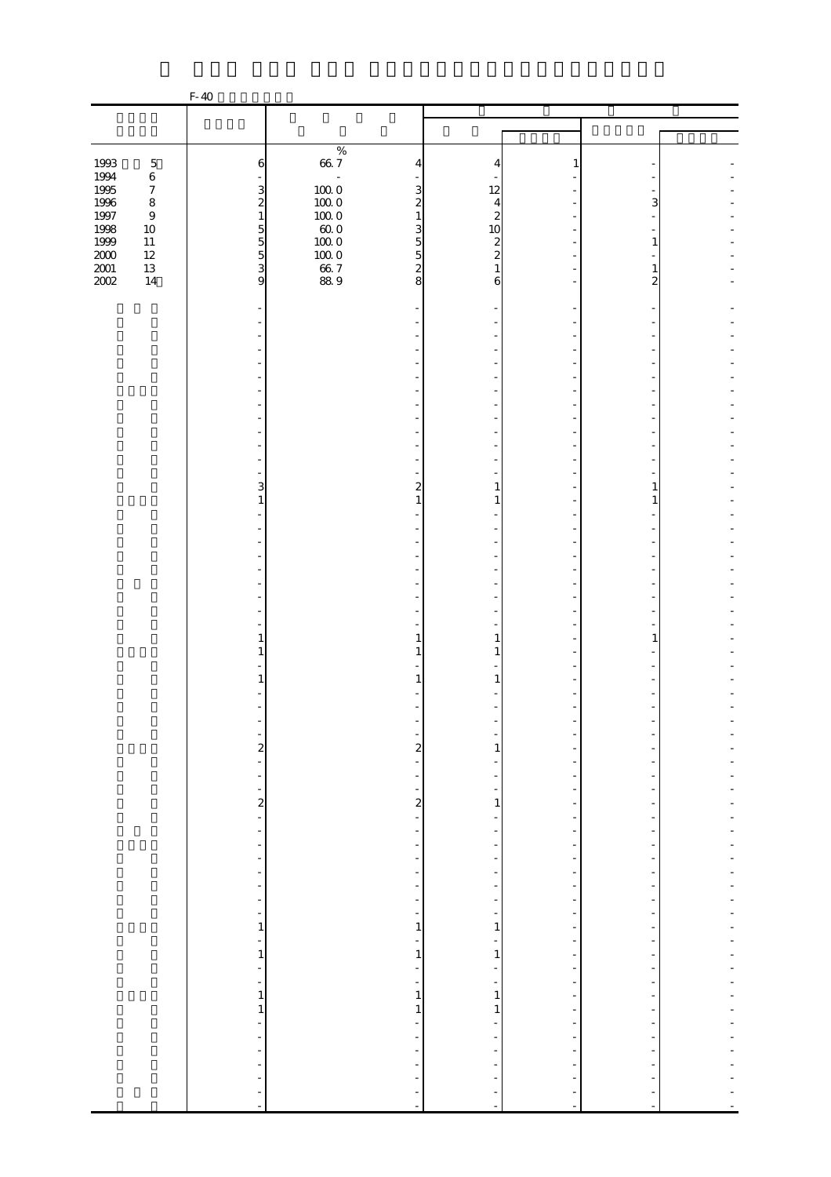|                  |                             | F-40                                       |                      |                                                      |                               |                                                      |                                           |  |
|------------------|-----------------------------|--------------------------------------------|----------------------|------------------------------------------------------|-------------------------------|------------------------------------------------------|-------------------------------------------|--|
|                  |                             |                                            |                      |                                                      |                               |                                                      |                                           |  |
|                  |                             |                                            |                      |                                                      |                               |                                                      |                                           |  |
|                  |                             |                                            | $\%$                 |                                                      |                               |                                                      |                                           |  |
| 1993             | $\mathbf 5$                 | 6                                          | $66\ 7$              | 4                                                    | 4                             | 1                                                    |                                           |  |
| 1994             | $\,6\,$                     |                                            | $\blacksquare$       |                                                      |                               |                                                      |                                           |  |
| $1995\,$         | $\boldsymbol{7}$<br>$\,8\,$ | 3                                          | $100\;0$             | 3<br>$\overline{\mathcal{Z}}$                        | 12                            |                                                      | 3                                         |  |
| 1996<br>$1997\,$ | $\,9$                       | $\boldsymbol{z}$<br>$\,1\,$                | $100\;0$<br>$100\;0$ | $\mathbf{1}$                                         | 4<br>$\overline{\mathcal{Z}}$ |                                                      |                                           |  |
| 1998             | $10\,$                      |                                            | $60\;0$              | 3                                                    | 10                            |                                                      |                                           |  |
| 1999             | $11\,$                      | $\begin{array}{c} 5 \\ 5 \\ 3 \end{array}$ | $100\;0$             | $\overline{5}$                                       | $\boldsymbol{z}$              |                                                      |                                           |  |
| $2000\,$         | $12\,$                      |                                            | $100\;0$             | $\overline{5}$                                       | $\overline{\mathcal{Z}}$      |                                                      |                                           |  |
| $2001\,$         | $13\,$                      |                                            | $66\ 7$              | $\boldsymbol{z}$                                     |                               |                                                      |                                           |  |
| 2002             | $14$                        | 9                                          | 88.9                 | 8                                                    | 6                             |                                                      | 2                                         |  |
|                  |                             |                                            |                      |                                                      |                               |                                                      |                                           |  |
|                  |                             |                                            |                      |                                                      |                               |                                                      |                                           |  |
|                  |                             |                                            |                      |                                                      |                               |                                                      |                                           |  |
|                  |                             |                                            |                      |                                                      |                               |                                                      |                                           |  |
|                  |                             |                                            |                      |                                                      |                               |                                                      |                                           |  |
|                  |                             |                                            |                      |                                                      |                               |                                                      |                                           |  |
|                  |                             |                                            |                      |                                                      |                               |                                                      |                                           |  |
|                  |                             |                                            |                      |                                                      |                               |                                                      |                                           |  |
|                  |                             |                                            |                      |                                                      |                               |                                                      |                                           |  |
|                  |                             |                                            |                      |                                                      |                               |                                                      |                                           |  |
|                  |                             |                                            |                      |                                                      |                               |                                                      |                                           |  |
|                  |                             |                                            |                      |                                                      |                               |                                                      |                                           |  |
|                  |                             | 3                                          |                      | 2                                                    | 1                             |                                                      | 1                                         |  |
|                  |                             | 1                                          |                      | 1                                                    | 1                             |                                                      | 1                                         |  |
|                  |                             |                                            |                      |                                                      |                               |                                                      |                                           |  |
|                  |                             |                                            |                      |                                                      |                               |                                                      |                                           |  |
|                  |                             |                                            |                      |                                                      |                               |                                                      |                                           |  |
|                  |                             |                                            |                      |                                                      |                               |                                                      |                                           |  |
|                  |                             |                                            |                      |                                                      |                               |                                                      |                                           |  |
|                  |                             |                                            |                      |                                                      |                               |                                                      |                                           |  |
|                  |                             |                                            |                      |                                                      |                               |                                                      |                                           |  |
|                  |                             |                                            |                      |                                                      |                               |                                                      |                                           |  |
|                  |                             | 1                                          |                      | 1<br>1                                               | 1<br>1                        |                                                      | 1                                         |  |
|                  |                             | 1                                          |                      |                                                      |                               |                                                      |                                           |  |
|                  |                             | 1                                          |                      |                                                      |                               |                                                      |                                           |  |
|                  |                             |                                            |                      |                                                      |                               |                                                      |                                           |  |
|                  |                             |                                            |                      |                                                      |                               |                                                      |                                           |  |
|                  |                             |                                            |                      |                                                      |                               |                                                      |                                           |  |
|                  |                             |                                            |                      | -                                                    |                               |                                                      |                                           |  |
|                  |                             | $\overline{\mathbf{c}}$                    |                      | $\overline{\mathbf{c}}$                              | 1                             |                                                      |                                           |  |
|                  |                             | $\frac{1}{2}$                              |                      | $\overline{\phantom{a}}$                             |                               |                                                      |                                           |  |
|                  |                             | $\frac{1}{2}$<br>÷,                        |                      | $\overline{\phantom{a}}$<br>÷,                       | $\overline{a}$                | $\overline{\phantom{m}}$                             | -                                         |  |
|                  |                             | $\boldsymbol{z}$                           |                      | $\boldsymbol{z}$                                     | $\,1\,$                       | $\overline{\phantom{m}}$                             |                                           |  |
|                  |                             | ÷,                                         |                      | ÷                                                    | $\overline{\phantom{0}}$      | $\overline{\phantom{a}}$                             | $\overline{\phantom{a}}$                  |  |
|                  |                             | $\frac{1}{2}$                              |                      | -                                                    |                               |                                                      |                                           |  |
|                  |                             | $\qquad \qquad \blacksquare$               |                      | $\overline{\phantom{a}}$                             | -                             | -                                                    | -                                         |  |
|                  |                             | $\blacksquare$                             |                      | $\overline{\phantom{0}}$                             | $\overline{\phantom{0}}$      | $\frac{1}{2}$                                        | $\overline{\phantom{0}}$                  |  |
|                  |                             | ÷<br>$\frac{1}{2}$                         |                      | $\overline{\phantom{0}}$<br>$\overline{\phantom{a}}$ | $\overline{\phantom{0}}$<br>- | $\overline{\phantom{m}}$<br>$\overline{\phantom{m}}$ | $\frac{1}{2}$<br>$\overline{\phantom{m}}$ |  |
|                  |                             | $\blacksquare$                             |                      | $\overline{\phantom{0}}$                             | $\frac{1}{2}$                 | $\overline{\phantom{m}}$                             | $\frac{1}{2}$                             |  |
|                  |                             | $\overline{\phantom{a}}$                   |                      | $\overline{\phantom{0}}$                             | $\overline{\phantom{0}}$      | $\overline{\phantom{m}}$                             | $\overline{\phantom{0}}$                  |  |
|                  |                             | $\mathbf{1}$                               |                      | $\mathbf{1}$                                         | 1                             | $\overline{a}$                                       |                                           |  |
|                  |                             | $\overline{\phantom{a}}$                   |                      | $\overline{\phantom{0}}$                             | -                             | $\overline{\phantom{0}}$                             | -                                         |  |
|                  |                             | $\,1$                                      |                      | $\,1\,$                                              | $\,1$                         | $\frac{1}{2}$                                        | $\frac{1}{2}$                             |  |
|                  |                             | $\blacksquare$                             |                      | $\overline{\phantom{a}}$                             | $\overline{\phantom{0}}$      | $\overline{\phantom{a}}$                             | $\overline{\phantom{a}}$                  |  |
|                  |                             | -<br>$\mathbf{1}$                          |                      | $\overline{\phantom{0}}$<br>$\mathbf{1}$             | $\frac{1}{\sqrt{2}}$<br>1     | -                                                    |                                           |  |
|                  |                             | $\,1$                                      |                      | $\,1$                                                | $\,1\,$                       | $\overline{\phantom{0}}$<br>$\overline{\phantom{a}}$ | ÷<br>÷,                                   |  |
|                  |                             | ÷                                          |                      | -                                                    |                               | -                                                    |                                           |  |
|                  |                             | $\frac{1}{2}$                              |                      | $\overline{\phantom{a}}$                             | ÷                             | $\frac{1}{2}$                                        | $\frac{1}{2}$                             |  |
|                  |                             | $\blacksquare$                             |                      | $\overline{\phantom{a}}$                             | $\overline{\phantom{0}}$      | $\overline{\phantom{0}}$                             |                                           |  |
|                  |                             | ÷                                          |                      | $\overline{\phantom{0}}$                             |                               | $\overline{a}$                                       |                                           |  |
|                  |                             | ÷                                          |                      | $\overline{a}$                                       |                               |                                                      |                                           |  |
|                  |                             | ÷                                          |                      |                                                      | ÷,                            |                                                      |                                           |  |
|                  |                             | $\blacksquare$                             |                      | $\frac{1}{2}$                                        | $\blacksquare$                | $\frac{1}{2}$                                        | ÷,                                        |  |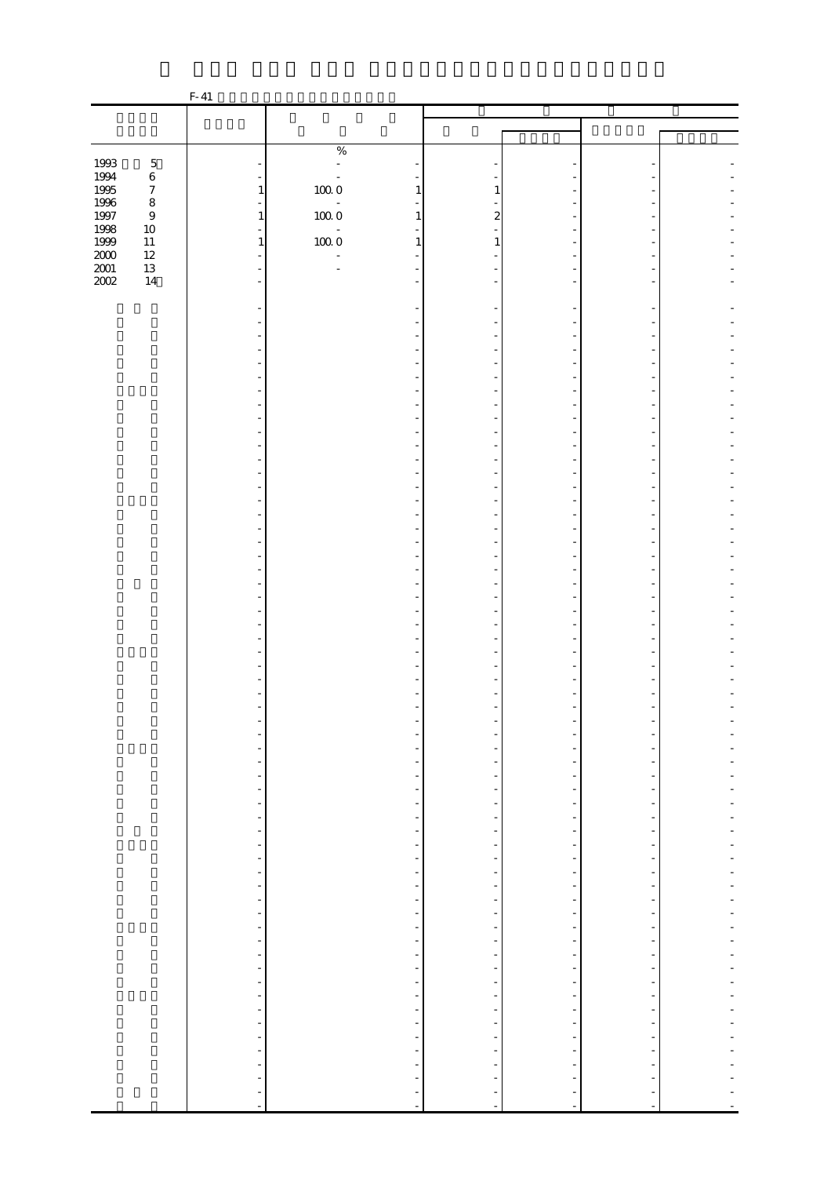|                                                   |                  | $F-41$                                                   |                                                      |                                                      |                                                      |                          |  |
|---------------------------------------------------|------------------|----------------------------------------------------------|------------------------------------------------------|------------------------------------------------------|------------------------------------------------------|--------------------------|--|
|                                                   |                  |                                                          |                                                      |                                                      |                                                      |                          |  |
|                                                   |                  |                                                          |                                                      |                                                      |                                                      |                          |  |
|                                                   |                  |                                                          | $\%$                                                 |                                                      |                                                      |                          |  |
| 1993                                              | $\mathbf 5$      |                                                          | $\Box$                                               |                                                      |                                                      |                          |  |
| 1994                                              | $\,6\,$          |                                                          |                                                      |                                                      |                                                      |                          |  |
|                                                   | $\boldsymbol{7}$ | $\mathbf{1}$                                             | $100\;0$<br>$\mathbf{1}$                             | 1                                                    |                                                      |                          |  |
| 1995<br>1996<br>1997                              | $\,8\,$<br>$\,9$ | $\bar{\phantom{a}}$<br>$\mathbf{1}$                      | $\frac{1}{2}$<br>$100\ 0$                            | $\boldsymbol{z}$<br>1                                |                                                      |                          |  |
| 1998                                              | $10\,$           | L.                                                       | $\blacksquare$                                       |                                                      |                                                      |                          |  |
| $1999\,$                                          | $11\,$           | $\mathbf{1}$                                             | $100\;0$                                             | $\mathbf{1}$<br>1                                    |                                                      |                          |  |
| $\begin{array}{c} 2000 \\[-4pt] 2001 \end{array}$ | $12\,$           | L.                                                       |                                                      |                                                      |                                                      |                          |  |
| 2002                                              | $13\,$<br>$14\,$ | ÷,                                                       | L,                                                   |                                                      |                                                      |                          |  |
|                                                   |                  |                                                          |                                                      |                                                      |                                                      |                          |  |
|                                                   |                  |                                                          |                                                      |                                                      |                                                      |                          |  |
|                                                   |                  |                                                          |                                                      |                                                      |                                                      |                          |  |
|                                                   |                  |                                                          |                                                      |                                                      |                                                      |                          |  |
|                                                   |                  |                                                          |                                                      |                                                      |                                                      |                          |  |
|                                                   |                  |                                                          |                                                      |                                                      |                                                      |                          |  |
|                                                   |                  |                                                          |                                                      |                                                      |                                                      |                          |  |
|                                                   |                  |                                                          |                                                      |                                                      |                                                      |                          |  |
|                                                   |                  |                                                          |                                                      |                                                      |                                                      |                          |  |
|                                                   |                  |                                                          |                                                      |                                                      |                                                      |                          |  |
|                                                   |                  |                                                          |                                                      |                                                      |                                                      |                          |  |
|                                                   |                  |                                                          |                                                      |                                                      |                                                      |                          |  |
|                                                   |                  |                                                          |                                                      |                                                      |                                                      |                          |  |
|                                                   |                  |                                                          |                                                      |                                                      |                                                      |                          |  |
|                                                   |                  |                                                          |                                                      |                                                      |                                                      |                          |  |
|                                                   |                  |                                                          |                                                      |                                                      |                                                      |                          |  |
|                                                   |                  |                                                          |                                                      |                                                      |                                                      |                          |  |
|                                                   |                  |                                                          |                                                      |                                                      |                                                      |                          |  |
|                                                   |                  |                                                          |                                                      |                                                      |                                                      |                          |  |
|                                                   |                  |                                                          |                                                      |                                                      |                                                      |                          |  |
|                                                   |                  |                                                          |                                                      |                                                      |                                                      |                          |  |
|                                                   |                  |                                                          |                                                      |                                                      |                                                      |                          |  |
|                                                   |                  |                                                          |                                                      |                                                      |                                                      |                          |  |
|                                                   |                  |                                                          |                                                      |                                                      |                                                      |                          |  |
|                                                   |                  |                                                          |                                                      |                                                      |                                                      |                          |  |
|                                                   |                  |                                                          |                                                      |                                                      |                                                      |                          |  |
|                                                   |                  |                                                          |                                                      |                                                      |                                                      |                          |  |
|                                                   |                  |                                                          |                                                      |                                                      |                                                      |                          |  |
|                                                   |                  | $\overline{\phantom{a}}$                                 | $\overline{a}$                                       |                                                      |                                                      |                          |  |
|                                                   |                  | $\frac{1}{2}$                                            |                                                      |                                                      |                                                      |                          |  |
|                                                   |                  | $\frac{1}{\sqrt{2}}$                                     | $\overline{\phantom{a}}$                             | -                                                    | $\frac{1}{2}$                                        | $\overline{\phantom{0}}$ |  |
|                                                   |                  | $\overline{\phantom{a}}$<br>$\qquad \qquad \blacksquare$ | $\frac{1}{\sqrt{2}}$<br>$\overline{\phantom{a}}$     | $\overline{\phantom{0}}$<br>$\overline{\phantom{0}}$ | $\overline{\phantom{m}}$<br>$\overline{\phantom{m}}$ | $\overline{\phantom{0}}$ |  |
|                                                   |                  | $\overline{\phantom{a}}$                                 | $\frac{1}{\sqrt{2}}$                                 | $\frac{1}{\sqrt{2}}$                                 | $\overline{\phantom{m}}$                             |                          |  |
|                                                   |                  | $\blacksquare$                                           | $\overline{\phantom{0}}$                             | $\overline{\phantom{0}}$                             | $\frac{1}{2}$                                        | $\frac{1}{2}$            |  |
|                                                   |                  | $\tilde{\tau}$                                           | f                                                    | -                                                    | $\overline{a}$                                       | -                        |  |
|                                                   |                  | $\omega$                                                 | $\frac{1}{2}$                                        |                                                      | $\frac{1}{2}$                                        |                          |  |
|                                                   |                  | $\overline{\phantom{a}}$<br>$\frac{1}{\sqrt{2}}$         | $\overline{\phantom{a}}$<br>$\overline{\phantom{a}}$ | $\overline{\phantom{0}}$<br>$\frac{1}{2}$            | $\overline{\phantom{0}}$<br>$\overline{\phantom{0}}$ | $\overline{\phantom{0}}$ |  |
|                                                   |                  | $\blacksquare$                                           | $\overline{\phantom{a}}$                             | $\frac{1}{2}$                                        | $\overline{\phantom{a}}$                             | $\overline{\phantom{m}}$ |  |
|                                                   |                  | ÷,                                                       | $\overline{\phantom{a}}$                             | -                                                    | -                                                    |                          |  |
|                                                   |                  | ÷,                                                       | $\qquad \qquad \blacksquare$                         | -                                                    | $\overline{\phantom{0}}$                             | -                        |  |
|                                                   |                  | $\overline{\phantom{a}}$                                 | $\frac{1}{2}$                                        | $\overline{\phantom{0}}$                             | $\overline{\phantom{a}}$                             | $\overline{\phantom{m}}$ |  |
|                                                   |                  | $\frac{1}{\sqrt{2}}$                                     | $\overline{\phantom{a}}$                             | $\overline{\phantom{a}}$                             | $\overline{\phantom{0}}$                             |                          |  |
|                                                   |                  | $\frac{1}{2}$                                            | ÷<br>$\frac{1}{2}$                                   | ÷<br>$\overline{\phantom{a}}$                        | $\overline{\phantom{a}}$<br>$\overline{\phantom{a}}$ | ÷<br>$\blacksquare$      |  |
|                                                   |                  | ÷,                                                       | f                                                    | $\overline{\phantom{0}}$                             | $\overline{\phantom{0}}$                             | -                        |  |
|                                                   |                  |                                                          | $\overline{\phantom{0}}$                             | $\frac{1}{\sqrt{2}}$                                 | $\overline{\phantom{0}}$                             |                          |  |
|                                                   |                  | $\frac{1}{2}$                                            | $\frac{1}{\sqrt{2}}$                                 | $\overline{\phantom{0}}$                             | $\overline{\phantom{a}}$                             | $\overline{\phantom{0}}$ |  |
|                                                   |                  |                                                          | f                                                    | $\overline{\phantom{0}}$                             | $\overline{\phantom{0}}$                             | $\overline{\phantom{0}}$ |  |
|                                                   |                  |                                                          | $\overline{\phantom{a}}$                             | $\overline{\phantom{0}}$                             | $\overline{\phantom{a}}$                             | $\overline{\phantom{a}}$ |  |
|                                                   |                  | $\frac{1}{2}$                                            | ÷<br>÷                                               | $\overline{\phantom{0}}$                             | -                                                    |                          |  |
|                                                   |                  |                                                          |                                                      | ÷                                                    |                                                      |                          |  |
|                                                   |                  | $\overline{a}$                                           |                                                      |                                                      |                                                      |                          |  |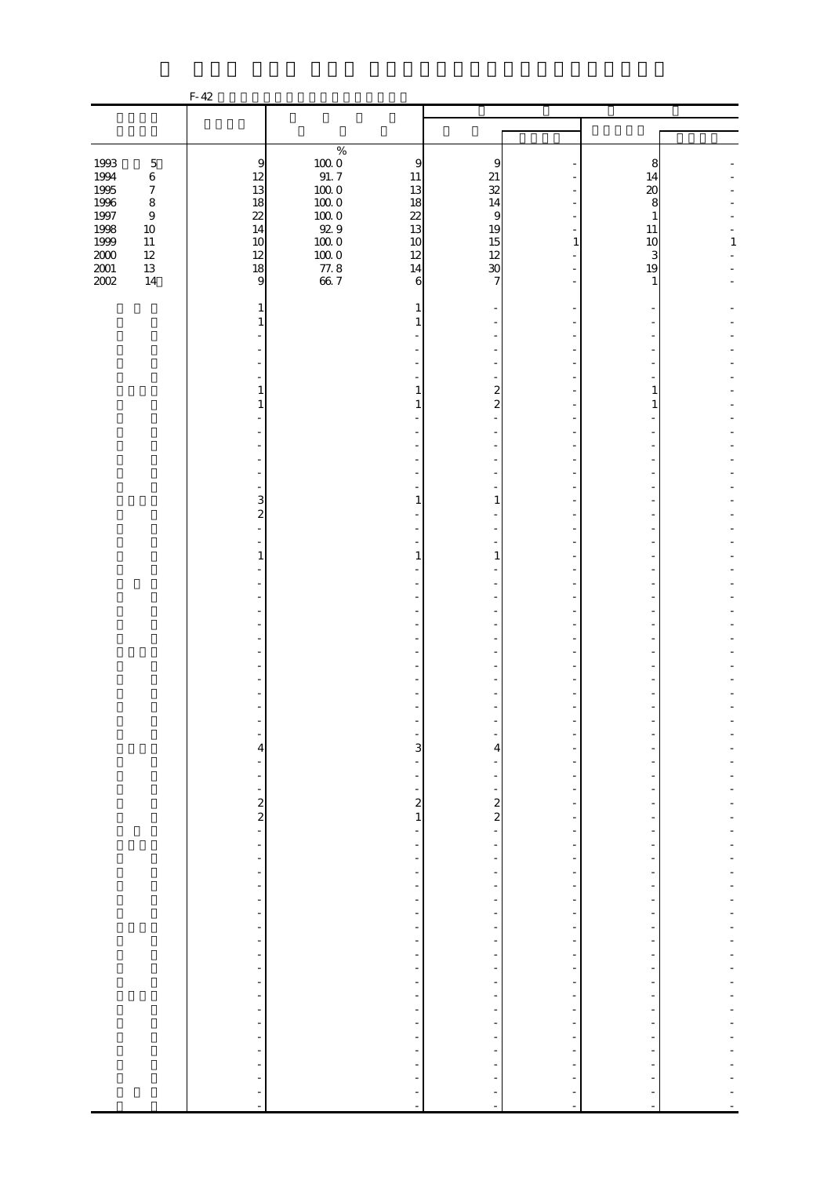|                                                      |                                                                               | $F-42$                                                              |                                                                                                                                             |                                                                                       |                                                                                                              |                                                           |         |
|------------------------------------------------------|-------------------------------------------------------------------------------|---------------------------------------------------------------------|---------------------------------------------------------------------------------------------------------------------------------------------|---------------------------------------------------------------------------------------|--------------------------------------------------------------------------------------------------------------|-----------------------------------------------------------|---------|
|                                                      |                                                                               |                                                                     |                                                                                                                                             |                                                                                       |                                                                                                              |                                                           |         |
|                                                      |                                                                               |                                                                     |                                                                                                                                             |                                                                                       |                                                                                                              |                                                           |         |
| 1993<br>1994<br>1995<br>$1996\,$<br>$1997\,$<br>1998 | $\mathbf 5$<br>$\,6\,$<br>$\boldsymbol{7}$<br>$\,$ 8 $\,$<br>$\boldsymbol{9}$ | $\overline{9}$<br>12<br>13<br>18<br>22<br>14                        | $\%$<br>$\begin{array}{c} 100.0 \\ 91.7 \end{array}$<br>$\overline{9}$<br>11<br>$100\;0$<br>13<br>$100\;0$<br>18<br>1000<br>22<br>929<br>13 | 9<br>$21\,$<br>$\overline{32}$<br>14<br>$\overline{9}$                                |                                                                                                              | 8<br>14<br>20<br>8<br>$\mathbf{1}$                        |         |
| $1999\,$<br>$2000\,$<br>$\frac{2001}{2002}$          | $10\,$<br>$11\,$<br>$12\,$<br>$13\,$<br>14                                    | 10<br>12<br>18<br>9                                                 | $100\;0$<br>10<br>$100\;0$<br>12<br>$77.8$<br>66.7<br>14                                                                                    | 19<br>15<br>12<br>$\boldsymbol{\mathcal{X}}$<br>6<br>7                                | $1\,$                                                                                                        | 11<br>10<br>3<br>19<br>1                                  | $\,1\,$ |
|                                                      |                                                                               | 1<br>1                                                              | $\mathbf{1}$                                                                                                                                | 1                                                                                     |                                                                                                              |                                                           |         |
|                                                      |                                                                               | 1                                                                   |                                                                                                                                             | $\overline{\mathbf{c}}$<br>1                                                          |                                                                                                              | 1                                                         |         |
|                                                      |                                                                               | 1                                                                   | $\mathbf{1}$                                                                                                                                | $\overline{\mathcal{L}}$                                                              |                                                                                                              | $\mathbf{1}$                                              |         |
|                                                      |                                                                               |                                                                     |                                                                                                                                             |                                                                                       |                                                                                                              |                                                           |         |
|                                                      |                                                                               | $\frac{3}{2}$                                                       | 1                                                                                                                                           | 1                                                                                     |                                                                                                              |                                                           |         |
|                                                      |                                                                               | 1                                                                   | $\mathbf{1}$                                                                                                                                | $\mathbf{1}$                                                                          |                                                                                                              |                                                           |         |
|                                                      |                                                                               |                                                                     |                                                                                                                                             |                                                                                       |                                                                                                              |                                                           |         |
|                                                      |                                                                               |                                                                     |                                                                                                                                             |                                                                                       |                                                                                                              |                                                           |         |
|                                                      |                                                                               |                                                                     |                                                                                                                                             |                                                                                       |                                                                                                              |                                                           |         |
|                                                      |                                                                               | $\overline{\mathcal{A}}$<br>÷<br>$\frac{1}{2}$                      | ÷<br>$\frac{1}{2}$<br>$\frac{1}{2}$                                                                                                         | 3<br>4<br>$\frac{1}{2}$                                                               | ÷,<br>۰<br>÷                                                                                                 |                                                           |         |
|                                                      |                                                                               | $\sim$ 2 $\sim$ 3                                                   | ÷,                                                                                                                                          | $\frac{1}{2}$<br>$\frac{2}{1}$<br>$\overline{a}$                                      | $\overline{\phantom{0}}$<br>$\overline{\phantom{a}}$<br>$\overline{\phantom{a}}$                             | ÷<br>$\overline{\phantom{a}}$                             |         |
|                                                      |                                                                               | $\overline{\phantom{0}}$<br>$\blacksquare$<br>÷                     | ÷<br>$\qquad \qquad \blacksquare$<br>$\frac{1}{2}$<br>$\frac{1}{2}$                                                                         | $\qquad \qquad \blacksquare$<br>$\overline{\phantom{a}}$<br>$\overline{\phantom{0}}$  | ÷<br>$\overline{a}$<br>$\overline{\phantom{0}}$<br>÷                                                         | ÷,<br>-                                                   |         |
|                                                      |                                                                               | $\frac{1}{2}$<br>$\overline{\phantom{a}}$<br>÷                      | $\frac{1}{2}$<br>$\overline{\phantom{a}}$<br>$\frac{1}{2}$                                                                                  | $\overline{\phantom{a}}$<br>$\overline{\phantom{a}}$<br>$\overline{\phantom{m}}$      | $\overline{\phantom{0}}$<br>$\overline{\phantom{a}}$<br>$\overline{\phantom{a}}$                             | $\frac{1}{2}$<br>$\overline{a}$                           |         |
|                                                      |                                                                               | $\qquad \qquad \blacksquare$<br>÷,<br>÷<br>$\overline{\phantom{0}}$ | $\overline{\phantom{a}}$<br>÷<br>$\frac{1}{2}$<br>$\frac{1}{2}$                                                                             | -<br>$\overline{\phantom{a}}$<br>$\overline{\phantom{0}}$<br>$\overline{\phantom{a}}$ | $\overline{\phantom{a}}$<br>$\overline{\phantom{0}}$<br>$\overline{\phantom{a}}$<br>$\overline{\phantom{a}}$ | $\overline{\phantom{m}}$<br>-<br>$\overline{\phantom{m}}$ |         |
|                                                      |                                                                               | $\frac{1}{2}$<br>-<br>÷                                             | $\overline{\phantom{0}}$<br>$\overline{\phantom{a}}$<br>$\frac{1}{2}$                                                                       | $\overline{\phantom{0}}$<br>-<br>$\overline{\phantom{a}}$                             | $\overline{\phantom{0}}$<br>$\overline{\phantom{a}}$<br>$\overline{\phantom{a}}$                             | -<br>$\overline{\phantom{a}}$                             |         |
|                                                      |                                                                               | ÷<br>÷<br>$\blacksquare$                                            | $\frac{1}{2}$<br>$\frac{1}{2}$<br>$\frac{1}{2}$                                                                                             | $\overline{\phantom{0}}$<br>$\frac{1}{2}$<br>$\frac{1}{2}$                            | $\overline{\phantom{0}}$<br>$\frac{1}{2}$<br>$\overline{\phantom{a}}$                                        |                                                           |         |
|                                                      |                                                                               | ÷<br>÷<br>$\overline{a}$<br>÷,                                      | $\frac{1}{2}$<br>$\frac{1}{2}$<br>-<br>$\blacksquare$                                                                                       | ÷<br>÷<br>$\bar{\phantom{a}}$                                                         | $\overline{\phantom{0}}$<br>-<br>÷<br>$\overline{a}$                                                         | $\overline{a}$<br>÷,                                      |         |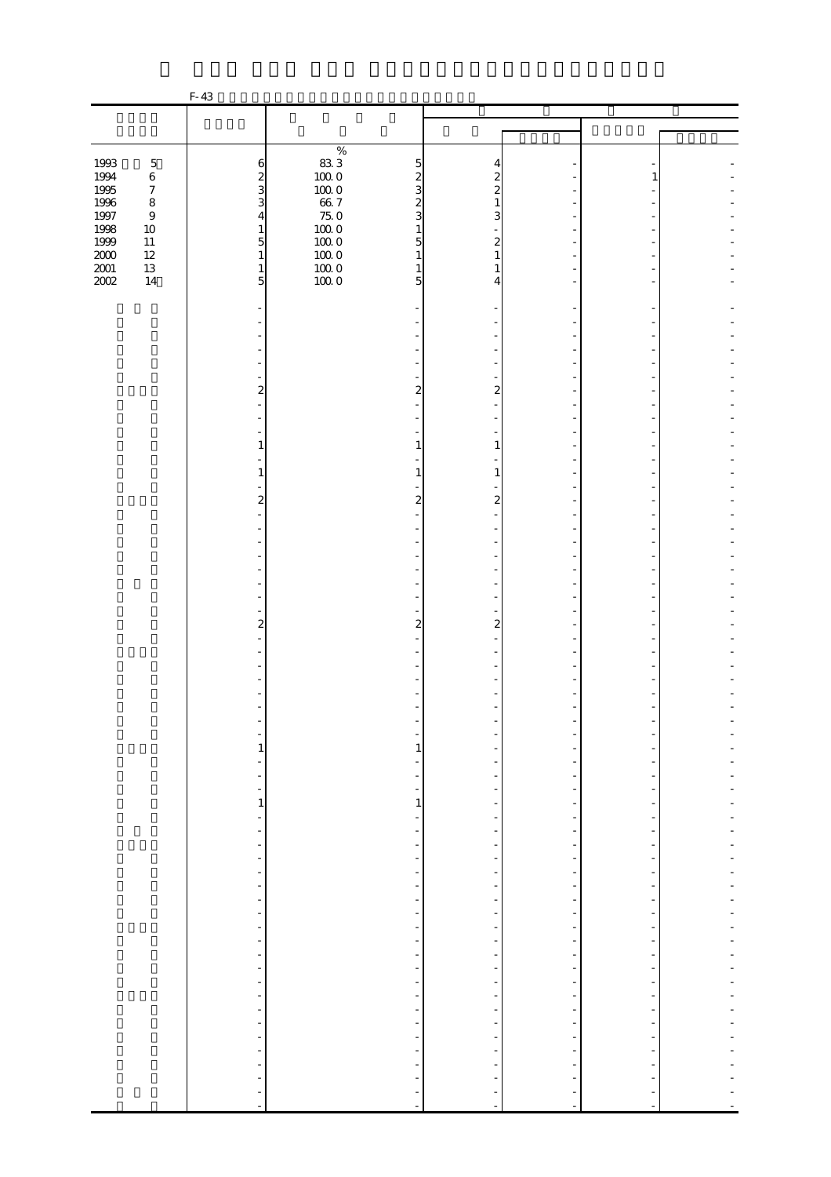|                  |                             | F-43                                                     |                     |                                                                                                              |                                                      |                                           |  |
|------------------|-----------------------------|----------------------------------------------------------|---------------------|--------------------------------------------------------------------------------------------------------------|------------------------------------------------------|-------------------------------------------|--|
|                  |                             |                                                          |                     |                                                                                                              |                                                      |                                           |  |
|                  |                             |                                                          |                     |                                                                                                              |                                                      |                                           |  |
|                  |                             |                                                          | $\%$                |                                                                                                              |                                                      |                                           |  |
| 1993             | $\mathbf 5$                 | $\,$ 6 $\,$                                              | $83\;3$             | $\overline{5}$                                                                                               | 4                                                    |                                           |  |
| 1994             | $\,6\,$                     | $\frac{2}{3}$                                            | $100\;0$            | $\boldsymbol{z}$<br>$\boldsymbol{z}$                                                                         |                                                      |                                           |  |
| 1995             | $\boldsymbol{7}$            |                                                          | $100\;0$            | 3<br>$\overline{\mathcal{Z}}$                                                                                |                                                      |                                           |  |
| 1996<br>$1997\,$ | $\,8\,$<br>$\boldsymbol{9}$ | 3<br>$\overline{4}$                                      | $66\,7$<br>$75.0\,$ | $\overline{\mathcal{Z}}$<br>3                                                                                | 1<br>3                                               |                                           |  |
| 1998             | $10\,$                      | $\mathbf{1}$                                             |                     | $\mathbf{1}$                                                                                                 |                                                      |                                           |  |
| $1999\,$         | $11\,$                      | $\overline{5}$                                           | $10000$<br>$1000$   | 5                                                                                                            | $\mathbf{z}$                                         |                                           |  |
| $2000\,$         | $12\,$                      | $1\,$                                                    | $100\;0$            | 1                                                                                                            | 1                                                    |                                           |  |
| $2001\,$         | $13\,$                      | $\mathbf{1}$                                             | $100\;0$            | 1                                                                                                            |                                                      |                                           |  |
| 2002             | $14\,$                      | 5                                                        | 1000                | 5                                                                                                            | 4                                                    |                                           |  |
|                  |                             |                                                          |                     |                                                                                                              |                                                      |                                           |  |
|                  |                             |                                                          |                     |                                                                                                              |                                                      |                                           |  |
|                  |                             |                                                          |                     |                                                                                                              |                                                      |                                           |  |
|                  |                             |                                                          |                     |                                                                                                              |                                                      |                                           |  |
|                  |                             |                                                          |                     |                                                                                                              |                                                      |                                           |  |
|                  |                             |                                                          |                     |                                                                                                              |                                                      |                                           |  |
|                  |                             | $\overline{\mathbf{c}}$                                  |                     | $\overline{a}$                                                                                               | 2                                                    |                                           |  |
|                  |                             |                                                          |                     |                                                                                                              |                                                      |                                           |  |
|                  |                             |                                                          |                     |                                                                                                              |                                                      |                                           |  |
|                  |                             | 1                                                        |                     | 1<br>1                                                                                                       |                                                      |                                           |  |
|                  |                             |                                                          |                     |                                                                                                              |                                                      |                                           |  |
|                  |                             | 1                                                        |                     | 1<br>1                                                                                                       |                                                      |                                           |  |
|                  |                             | $\overline{2}$                                           |                     | 2                                                                                                            | 2                                                    |                                           |  |
|                  |                             |                                                          |                     |                                                                                                              |                                                      |                                           |  |
|                  |                             |                                                          |                     |                                                                                                              |                                                      |                                           |  |
|                  |                             |                                                          |                     |                                                                                                              |                                                      |                                           |  |
|                  |                             |                                                          |                     |                                                                                                              |                                                      |                                           |  |
|                  |                             |                                                          |                     |                                                                                                              |                                                      |                                           |  |
|                  |                             |                                                          |                     |                                                                                                              |                                                      |                                           |  |
|                  |                             |                                                          |                     |                                                                                                              |                                                      |                                           |  |
|                  |                             | $\overline{c}$                                           |                     | $\overline{\mathcal{L}}$<br>$\overline{\mathcal{Z}}$                                                         |                                                      |                                           |  |
|                  |                             |                                                          |                     |                                                                                                              |                                                      |                                           |  |
|                  |                             |                                                          |                     |                                                                                                              |                                                      |                                           |  |
|                  |                             |                                                          |                     |                                                                                                              |                                                      |                                           |  |
|                  |                             |                                                          |                     |                                                                                                              |                                                      |                                           |  |
|                  |                             |                                                          |                     |                                                                                                              |                                                      |                                           |  |
|                  |                             |                                                          |                     |                                                                                                              |                                                      |                                           |  |
|                  |                             |                                                          |                     |                                                                                                              |                                                      |                                           |  |
|                  |                             | $\mathbf{1}$                                             |                     | 1                                                                                                            |                                                      |                                           |  |
|                  |                             |                                                          |                     | -                                                                                                            |                                                      |                                           |  |
|                  |                             | $\frac{1}{2}$<br>$\qquad \qquad \blacksquare$            |                     | ÷<br>$\overline{\phantom{0}}$<br>$\overline{a}$                                                              | $\overline{\phantom{m}}$                             |                                           |  |
|                  |                             | $\,1$                                                    |                     | $\,1$<br>$\frac{1}{2}$                                                                                       | $\overline{a}$                                       |                                           |  |
|                  |                             | $\frac{1}{2}$                                            |                     | $\frac{1}{2}$<br>$\overline{\phantom{a}}$                                                                    | $\overline{\phantom{a}}$                             | $\overline{\phantom{a}}$                  |  |
|                  |                             | $\overline{\phantom{0}}$                                 |                     | $\overline{\phantom{0}}$                                                                                     |                                                      |                                           |  |
|                  |                             | $\qquad \qquad \blacksquare$                             |                     | $\overline{\phantom{a}}$<br>-                                                                                | -                                                    | -                                         |  |
|                  |                             | $\blacksquare$                                           |                     | $\overline{\phantom{0}}$<br>$\overline{\phantom{0}}$                                                         | $\overline{\phantom{m}}$                             | $\overline{\phantom{0}}$<br>$\frac{1}{2}$ |  |
|                  |                             | ÷<br>$\frac{1}{2}$                                       |                     | $\overline{\phantom{a}}$<br>$\overline{\phantom{0}}$<br>$\overline{\phantom{a}}$<br>$\overline{\phantom{0}}$ | $\overline{\phantom{m}}$<br>$\overline{\phantom{a}}$ | ÷,                                        |  |
|                  |                             | $\blacksquare$                                           |                     | $\overline{\phantom{a}}$<br>$\overline{\phantom{0}}$                                                         | $\frac{1}{2}$                                        | $\frac{1}{2}$                             |  |
|                  |                             | $\overline{\phantom{a}}$                                 |                     | $\overline{\phantom{a}}$<br>$\overline{\phantom{0}}$                                                         | $\overline{\phantom{a}}$                             | $\overline{\phantom{0}}$                  |  |
|                  |                             | $\qquad \qquad \blacksquare$                             |                     | $\overline{\phantom{0}}$                                                                                     | ÷                                                    |                                           |  |
|                  |                             | $\frac{1}{2}$                                            |                     | $\overline{\phantom{a}}$<br>-                                                                                | $\frac{1}{2}$                                        | -                                         |  |
|                  |                             | $\frac{1}{2}$                                            |                     | $\overline{\phantom{a}}$<br>$\overline{\phantom{0}}$                                                         | $\overline{\phantom{m}}$                             | $\frac{1}{2}$                             |  |
|                  |                             | $\overline{\phantom{a}}$<br>$\qquad \qquad \blacksquare$ |                     | $\overline{\phantom{a}}$<br>$\frac{1}{2}$<br>$\overline{\phantom{0}}$<br>-                                   | $\overline{\phantom{m}}$<br>$\overline{\phantom{a}}$ | $\overline{\phantom{a}}$                  |  |
|                  |                             | $\qquad \qquad \blacksquare$                             |                     | $\overline{\phantom{a}}$<br>-                                                                                | -                                                    | ÷                                         |  |
|                  |                             | $\equiv$                                                 |                     | $\overline{\phantom{a}}$<br>$\frac{1}{2}$                                                                    | $\overline{\phantom{a}}$                             | ÷,                                        |  |
|                  |                             | $\frac{1}{2}$                                            |                     | -                                                                                                            |                                                      |                                           |  |
|                  |                             | $\frac{1}{2}$                                            |                     | $\overline{\phantom{a}}$<br>$\overline{\phantom{0}}$                                                         | $\frac{1}{2}$                                        | $\frac{1}{2}$                             |  |
|                  |                             | $\Box$                                                   |                     | $\frac{1}{2}$<br>$\overline{\phantom{0}}$                                                                    | $\frac{1}{2}$                                        |                                           |  |
|                  |                             | ÷                                                        |                     | $\overline{\phantom{0}}$<br>$\overline{a}$                                                                   |                                                      |                                           |  |
|                  |                             | $\overline{\phantom{a}}$<br>÷                            |                     | ÷,                                                                                                           |                                                      |                                           |  |
|                  |                             | $\overline{\phantom{a}}$                                 |                     | $\blacksquare$<br>$\overline{\phantom{a}}$                                                                   | ÷,                                                   | $\blacksquare$                            |  |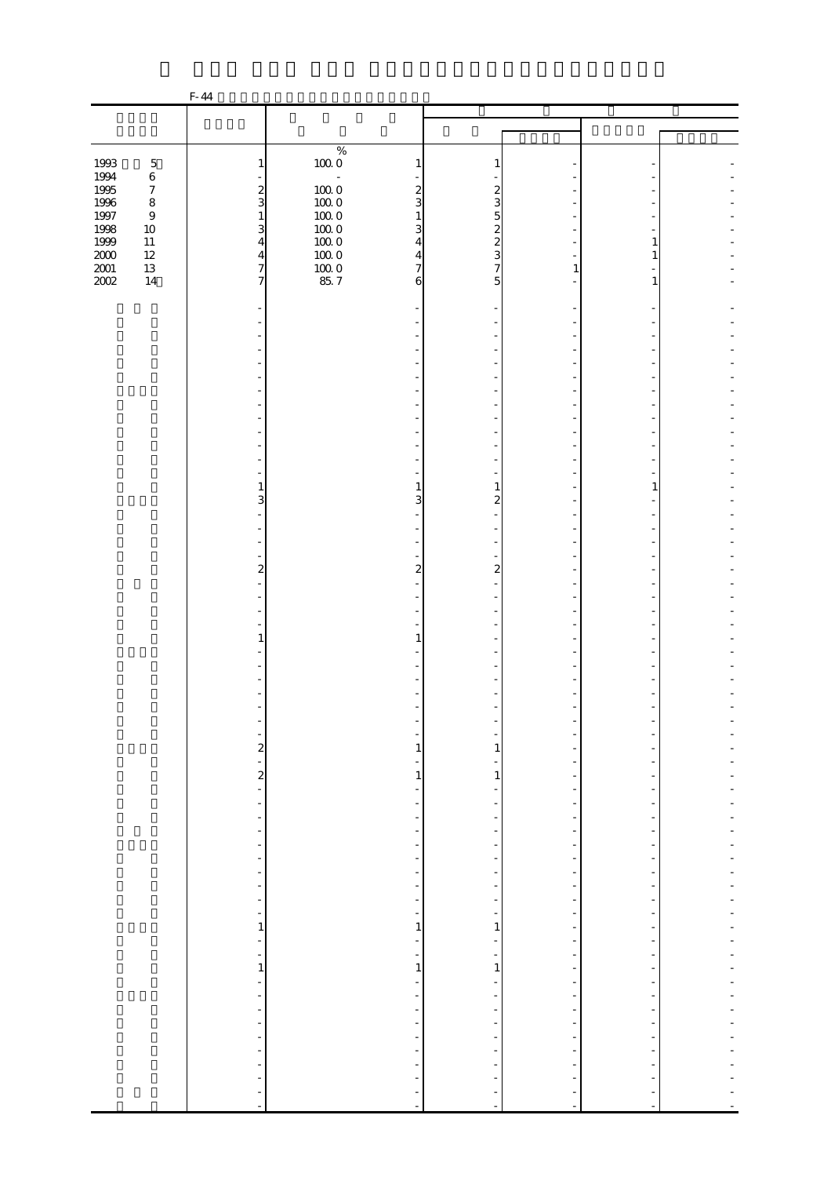|                   |                            | F-44                                             |                                          |                                                      |                                                      |                                                      |  |
|-------------------|----------------------------|--------------------------------------------------|------------------------------------------|------------------------------------------------------|------------------------------------------------------|------------------------------------------------------|--|
|                   |                            |                                                  |                                          |                                                      |                                                      |                                                      |  |
|                   |                            |                                                  |                                          |                                                      |                                                      |                                                      |  |
|                   |                            |                                                  | $\%$                                     |                                                      |                                                      |                                                      |  |
| 1993              | $\mathbf 5$                | 1                                                | $100\;0$<br>1                            | 1                                                    |                                                      |                                                      |  |
| $1994\,$          | $\,6$                      |                                                  | $\bar{\phantom{a}}$                      |                                                      |                                                      |                                                      |  |
| 1995              | $\boldsymbol{7}$           | $\frac{2}{3}$                                    | $100\;0$<br>$\boldsymbol{z}$             | $\boldsymbol{z}$                                     |                                                      |                                                      |  |
| 1996<br>1997      | $\,8\,$                    |                                                  | 3<br>$100\;0$                            | 3                                                    |                                                      |                                                      |  |
| 1998              | $\boldsymbol{9}$<br>$10\,$ | $\mathbf{1}$<br>$\overline{\mathbf{3}}$          | $10000$<br>$1000$<br>$\mathbf{1}$<br>3   | $\overline{5}$                                       |                                                      |                                                      |  |
| 1999              | $11\,$                     | $\overline{4}$                                   | $100\;0$<br>$\overline{4}$               | $\frac{2}{3}$                                        |                                                      | 1                                                    |  |
|                   | $12\,$                     | $\overline{\mathbf{4}}$                          | 1000<br>$\overline{4}$                   |                                                      |                                                      | 1                                                    |  |
| $\frac{200}{200}$ | $13\,$                     | $\overline{7}$                                   | $\frac{100}{85}$ 7<br>$\overline{7}$     | $\overline{7}$                                       | $\mathbf{1}$                                         |                                                      |  |
|                   | 14                         | $\overline{7}$                                   | 6                                        | 5                                                    |                                                      | 1                                                    |  |
|                   |                            |                                                  |                                          |                                                      |                                                      |                                                      |  |
|                   |                            |                                                  |                                          |                                                      |                                                      |                                                      |  |
|                   |                            |                                                  |                                          |                                                      |                                                      |                                                      |  |
|                   |                            |                                                  |                                          |                                                      |                                                      |                                                      |  |
|                   |                            |                                                  |                                          |                                                      |                                                      |                                                      |  |
|                   |                            |                                                  |                                          |                                                      |                                                      |                                                      |  |
|                   |                            |                                                  |                                          |                                                      |                                                      |                                                      |  |
|                   |                            |                                                  |                                          |                                                      |                                                      |                                                      |  |
|                   |                            |                                                  |                                          |                                                      |                                                      |                                                      |  |
|                   |                            |                                                  |                                          |                                                      |                                                      |                                                      |  |
|                   |                            |                                                  |                                          |                                                      |                                                      |                                                      |  |
|                   |                            |                                                  |                                          |                                                      |                                                      |                                                      |  |
|                   |                            | 1                                                | 1                                        | 1                                                    |                                                      | 1                                                    |  |
|                   |                            | 3                                                | 3                                        | $\overline{a}$                                       |                                                      |                                                      |  |
|                   |                            |                                                  |                                          |                                                      |                                                      |                                                      |  |
|                   |                            |                                                  |                                          |                                                      |                                                      |                                                      |  |
|                   |                            |                                                  |                                          |                                                      |                                                      |                                                      |  |
|                   |                            |                                                  |                                          |                                                      |                                                      |                                                      |  |
|                   |                            | $\overline{\mathbf{c}}$                          | $\overline{\mathcal{L}}$                 | $\boldsymbol{z}$                                     |                                                      |                                                      |  |
|                   |                            |                                                  |                                          |                                                      |                                                      |                                                      |  |
|                   |                            |                                                  |                                          |                                                      |                                                      |                                                      |  |
|                   |                            |                                                  |                                          |                                                      |                                                      |                                                      |  |
|                   |                            | 1                                                | $\mathbf{1}$                             |                                                      |                                                      |                                                      |  |
|                   |                            |                                                  |                                          |                                                      |                                                      |                                                      |  |
|                   |                            |                                                  |                                          |                                                      |                                                      |                                                      |  |
|                   |                            |                                                  |                                          |                                                      |                                                      |                                                      |  |
|                   |                            |                                                  |                                          |                                                      |                                                      |                                                      |  |
|                   |                            |                                                  |                                          |                                                      |                                                      |                                                      |  |
|                   |                            | -                                                | $\overline{\phantom{a}}$                 |                                                      |                                                      |                                                      |  |
|                   |                            |                                                  | $\mathbf{1}$                             | 1                                                    | $\overline{a}$                                       |                                                      |  |
|                   |                            | $2^{1}$ 2                                        | $\overline{\phantom{a}}$                 |                                                      | $\overline{\phantom{a}}$                             |                                                      |  |
|                   |                            |                                                  | $1\,$                                    | $\mathbf{1}$                                         | $\overline{\phantom{0}}$                             |                                                      |  |
|                   |                            |                                                  | $\overline{\phantom{0}}$                 | $\overline{\phantom{m}}$                             | $\overline{\phantom{a}}$                             | ÷                                                    |  |
|                   |                            | $\frac{1}{\sqrt{2}}$<br>$\overline{\phantom{a}}$ | ÷,<br>$\frac{1}{2}$                      | ۳<br>$\overline{\phantom{a}}$                        | $\overline{\phantom{a}}$<br>$\overline{\phantom{a}}$ | -<br>$\overline{\phantom{m}}$                        |  |
|                   |                            | $\overline{\phantom{a}}$                         | $\overline{\phantom{0}}$                 | -                                                    | ÷                                                    | -                                                    |  |
|                   |                            | $\overline{\phantom{0}}$                         | $\qquad \qquad \blacksquare$             | $\overline{\phantom{0}}$                             | $\overline{\phantom{a}}$                             | -                                                    |  |
|                   |                            | ÷                                                | $\frac{1}{2}$                            | $\overline{\phantom{a}}$                             | $\overline{\phantom{a}}$                             | $\overline{\phantom{m}}$                             |  |
|                   |                            | ÷,                                               | $\overline{\phantom{0}}$                 | $\frac{1}{2}$                                        | -                                                    |                                                      |  |
|                   |                            | ÷                                                | ÷                                        | ÷                                                    | $\overline{\phantom{a}}$                             | -                                                    |  |
|                   |                            | f                                                | f                                        | $\overline{\phantom{a}}$                             | $\overline{\phantom{a}}$                             | $\overline{\phantom{a}}$<br>$\overline{\phantom{0}}$ |  |
|                   |                            | $\overline{\phantom{0}}$<br>$\mathbf{1}$         | $\overline{\phantom{a}}$<br>$\mathbf{1}$ | $\overline{\phantom{0}}$<br>1                        | $\frac{1}{\sqrt{2}}$<br>$\overline{a}$               | ۰                                                    |  |
|                   |                            | $\frac{1}{\sqrt{2}}$                             | ÷,                                       | $\frac{1}{2}$                                        | $\overline{\phantom{0}}$                             | $\overline{\phantom{0}}$                             |  |
|                   |                            | ÷,                                               | ÷,                                       | $\overline{\phantom{a}}$                             | $\overline{\phantom{a}}$                             | -                                                    |  |
|                   |                            | $\,1\,$                                          | $\,1\,$                                  | $\,1$                                                | $\overline{\phantom{a}}$                             |                                                      |  |
|                   |                            | ÷,                                               | $\frac{1}{2}$                            | $\frac{1}{2}$                                        | $\overline{\phantom{0}}$                             | $\overline{a}$                                       |  |
|                   |                            | $\qquad \qquad \blacksquare$                     | $\overline{\phantom{a}}$                 | $\overline{\phantom{a}}$                             | $\qquad \qquad \blacksquare$                         | -                                                    |  |
|                   |                            | $\overline{\phantom{a}}$                         | $\overline{\phantom{a}}$                 | $\overline{\phantom{m}}$                             | $\overline{\phantom{a}}$                             | $\overline{\phantom{m}}$                             |  |
|                   |                            | $\overline{\phantom{a}}$                         | $\overline{\phantom{0}}$                 | -                                                    | ÷,                                                   | ٠                                                    |  |
|                   |                            | ÷<br>$\blacksquare$                              | $\frac{1}{\sqrt{2}}$<br>$\frac{1}{2}$    | $\overline{\phantom{m}}$<br>$\overline{\phantom{a}}$ | $\overline{\phantom{a}}$<br>$\overline{\phantom{a}}$ | $\frac{1}{2}$<br>$\overline{\phantom{m}}$            |  |
|                   |                            | ÷                                                | $\frac{1}{2}$                            |                                                      | ÷                                                    |                                                      |  |
|                   |                            | ÷,                                               | $\overline{\phantom{a}}$                 | ÷                                                    | $\overline{\phantom{a}}$                             |                                                      |  |
|                   |                            |                                                  | $\frac{1}{2}$                            | $\frac{1}{2}$                                        | ÷                                                    |                                                      |  |
|                   |                            |                                                  | $\overline{a}$                           | $\blacksquare$                                       | ÷,                                                   |                                                      |  |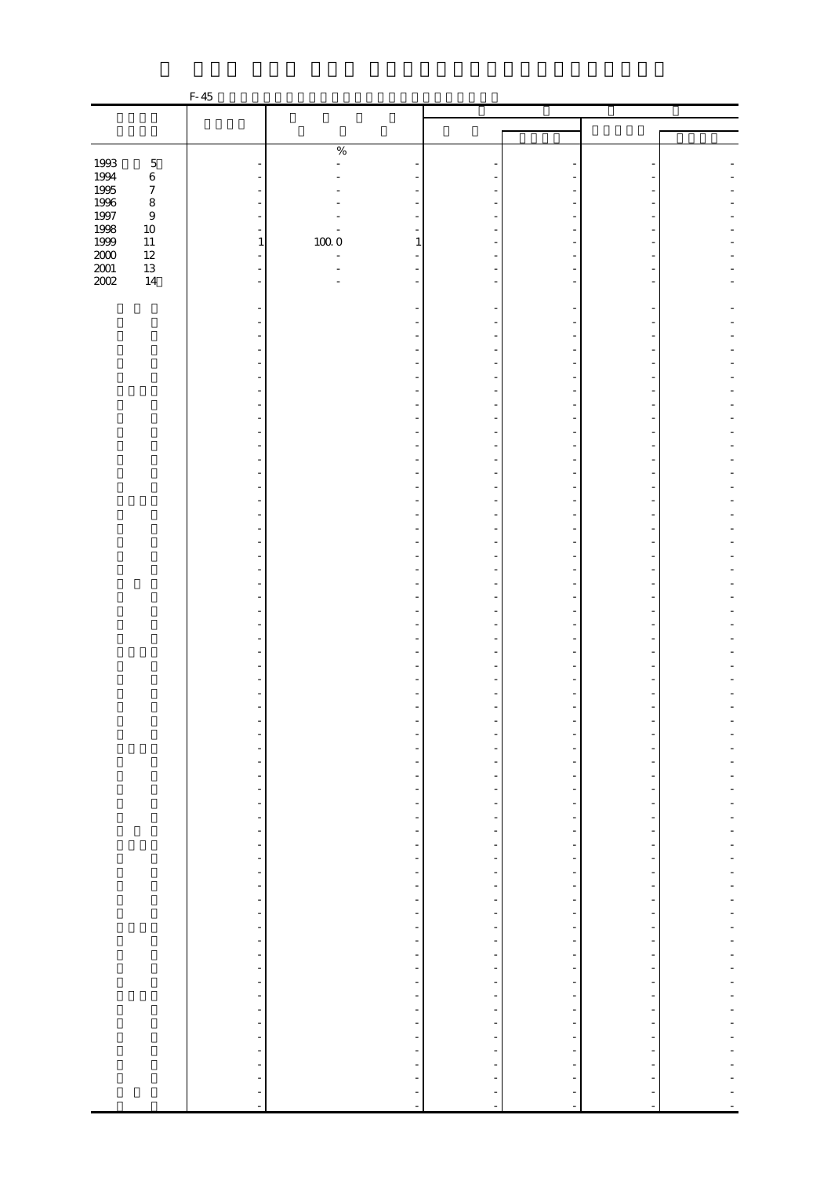|                   |                  | $F-45$                       |                |                          |                                                      |                                                      |                               |                |
|-------------------|------------------|------------------------------|----------------|--------------------------|------------------------------------------------------|------------------------------------------------------|-------------------------------|----------------|
|                   |                  |                              |                |                          |                                                      |                                                      |                               |                |
|                   |                  |                              |                |                          |                                                      |                                                      |                               |                |
|                   |                  |                              | $\%$           |                          |                                                      |                                                      |                               |                |
| 1993              | $\mathbf 5$      |                              | $\overline{a}$ |                          |                                                      |                                                      |                               |                |
| 1994              | $\,6$            | ä,                           |                |                          |                                                      |                                                      |                               |                |
| 1995              | $\boldsymbol{7}$ |                              |                |                          |                                                      |                                                      |                               |                |
| 1996<br>1997      | $\,8\,$          | ÷                            |                |                          |                                                      |                                                      |                               |                |
|                   | $\,9$            | ÷,                           |                |                          |                                                      |                                                      |                               |                |
| 1998              | $10\,$           | $\equiv$                     |                |                          |                                                      |                                                      |                               |                |
| 1999              | $11\,$<br>$12\,$ | $\mathbf{1}$<br>L,           | $100\;0$<br>ä, | $\mathbf{1}$             |                                                      |                                                      |                               |                |
| $\frac{200}{200}$ | $13\,$           | $\equiv$                     |                |                          |                                                      |                                                      |                               |                |
| 2002              | $14\,$           | $\overline{a}$               |                | ٠                        |                                                      |                                                      |                               |                |
|                   |                  |                              |                |                          |                                                      |                                                      |                               |                |
|                   |                  |                              |                |                          |                                                      |                                                      |                               |                |
|                   |                  |                              |                |                          |                                                      |                                                      |                               |                |
|                   |                  |                              |                |                          |                                                      |                                                      |                               |                |
|                   |                  |                              |                |                          |                                                      |                                                      |                               |                |
|                   |                  |                              |                |                          |                                                      |                                                      |                               |                |
|                   |                  |                              |                |                          |                                                      |                                                      |                               |                |
|                   |                  |                              |                |                          |                                                      |                                                      |                               |                |
|                   |                  |                              |                |                          |                                                      |                                                      |                               |                |
|                   |                  |                              |                |                          |                                                      |                                                      |                               |                |
|                   |                  |                              |                |                          |                                                      |                                                      |                               |                |
|                   |                  |                              |                |                          |                                                      |                                                      |                               |                |
|                   |                  |                              |                |                          |                                                      |                                                      |                               |                |
|                   |                  |                              |                |                          |                                                      |                                                      |                               |                |
|                   |                  |                              |                |                          |                                                      |                                                      |                               |                |
|                   |                  |                              |                |                          |                                                      |                                                      |                               |                |
|                   |                  |                              |                |                          |                                                      |                                                      |                               |                |
|                   |                  |                              |                |                          |                                                      |                                                      |                               |                |
|                   |                  |                              |                |                          |                                                      |                                                      |                               |                |
|                   |                  |                              |                |                          |                                                      |                                                      |                               |                |
|                   |                  |                              |                |                          |                                                      |                                                      |                               |                |
|                   |                  |                              |                |                          |                                                      |                                                      |                               |                |
|                   |                  |                              |                |                          |                                                      |                                                      |                               |                |
|                   |                  |                              |                |                          |                                                      |                                                      |                               |                |
|                   |                  |                              |                |                          |                                                      |                                                      |                               |                |
|                   |                  |                              |                |                          |                                                      |                                                      |                               |                |
|                   |                  |                              |                |                          |                                                      |                                                      |                               |                |
|                   |                  |                              |                |                          |                                                      |                                                      |                               |                |
|                   |                  |                              |                |                          |                                                      |                                                      |                               |                |
|                   |                  |                              |                |                          |                                                      |                                                      |                               |                |
|                   |                  | $\qquad \qquad \blacksquare$ |                | ÷                        |                                                      |                                                      |                               |                |
|                   |                  | ۰                            |                | ÷                        |                                                      |                                                      |                               |                |
|                   |                  |                              |                | $\overline{\phantom{a}}$ | $\overline{\phantom{0}}$                             | $\frac{1}{2}$                                        |                               |                |
|                   |                  | $\frac{1}{2}$                |                | $\frac{1}{\sqrt{2}}$     | $\frac{1}{2}$                                        | $\overline{\phantom{m}}$                             | $\blacksquare$                |                |
|                   |                  | $\frac{1}{2}$                |                | $\frac{1}{\sqrt{2}}$     | $\overline{\phantom{0}}$                             | $\frac{1}{2}$                                        | $\overline{\phantom{0}}$      |                |
|                   |                  |                              |                | $\overline{\phantom{a}}$ | $\overline{\phantom{0}}$                             | $\overline{\phantom{a}}$                             |                               |                |
|                   |                  | $\frac{1}{\sqrt{2}}$         |                | $\frac{1}{\sqrt{2}}$     | $\overline{\phantom{0}}$                             | $\overline{\phantom{0}}$                             | $\overline{\phantom{0}}$      |                |
|                   |                  | $\frac{1}{2}$                |                | f<br>÷                   | $\overline{\phantom{0}}$<br>$\overline{\phantom{0}}$ | $\overline{\phantom{0}}$<br>$\overline{\phantom{a}}$ | -<br>$\overline{\phantom{m}}$ | $\overline{a}$ |
|                   |                  |                              |                |                          | $\frac{1}{\sqrt{2}}$                                 | ÷                                                    | $\overline{\phantom{0}}$      |                |
|                   |                  | $\frac{1}{2}$                |                | f<br>÷                   | -                                                    | $\overline{\phantom{a}}$                             | $\overline{\phantom{0}}$      |                |
|                   |                  |                              |                | $\frac{1}{2}$            | $\overline{\phantom{a}}$                             | $\overline{\phantom{a}}$                             | $\overline{\phantom{a}}$      |                |
|                   |                  |                              |                | $\overline{\phantom{a}}$ | $\overline{\phantom{0}}$                             | $\overline{\phantom{0}}$                             |                               |                |
|                   |                  | $\frac{1}{2}$                |                | ÷,                       | -                                                    | $\overline{\phantom{a}}$                             | -                             | $\overline{a}$ |
|                   |                  |                              |                | ÷,                       | $\qquad \qquad \blacksquare$                         | $\overline{\phantom{a}}$                             | $\frac{1}{2}$                 |                |
|                   |                  | f                            |                | f                        | ÷,                                                   | $\overline{\phantom{a}}$                             | $\overline{\phantom{0}}$      |                |
|                   |                  |                              |                | $\frac{1}{\sqrt{2}}$     | -                                                    | $\overline{\phantom{a}}$                             | $\blacksquare$                |                |
|                   |                  |                              |                | ÷                        | -                                                    | $\overline{\phantom{a}}$                             | $\overline{\phantom{a}}$      | ÷,             |
|                   |                  |                              |                | ÷,                       | $\overline{\phantom{a}}$                             | $\qquad \qquad \blacksquare$                         | -                             | $\overline{a}$ |
|                   |                  |                              |                | $\frac{1}{\sqrt{2}}$     | $\overline{\phantom{0}}$                             | $\overline{\phantom{a}}$                             |                               |                |
|                   |                  | 医三角 医三角 医三角                  |                | $\frac{1}{2}$            | -<br>÷                                               | $\frac{1}{\sqrt{2}}$<br>$\frac{1}{\sqrt{2}}$         | $\frac{1}{2}$<br>÷            |                |
|                   |                  |                              |                | ÷                        | $\overline{\phantom{a}}$                             | $\blacksquare$                                       | $\overline{\phantom{m}}$      |                |
|                   |                  |                              |                | $\overline{\phantom{0}}$ |                                                      | -                                                    |                               |                |
|                   |                  |                              |                | ÷                        |                                                      | ÷                                                    |                               |                |
|                   |                  |                              |                |                          |                                                      | ÷                                                    |                               |                |
|                   |                  |                              |                | $\frac{1}{2}$            | $\frac{1}{2}$                                        | $\Box$                                               | ÷,                            |                |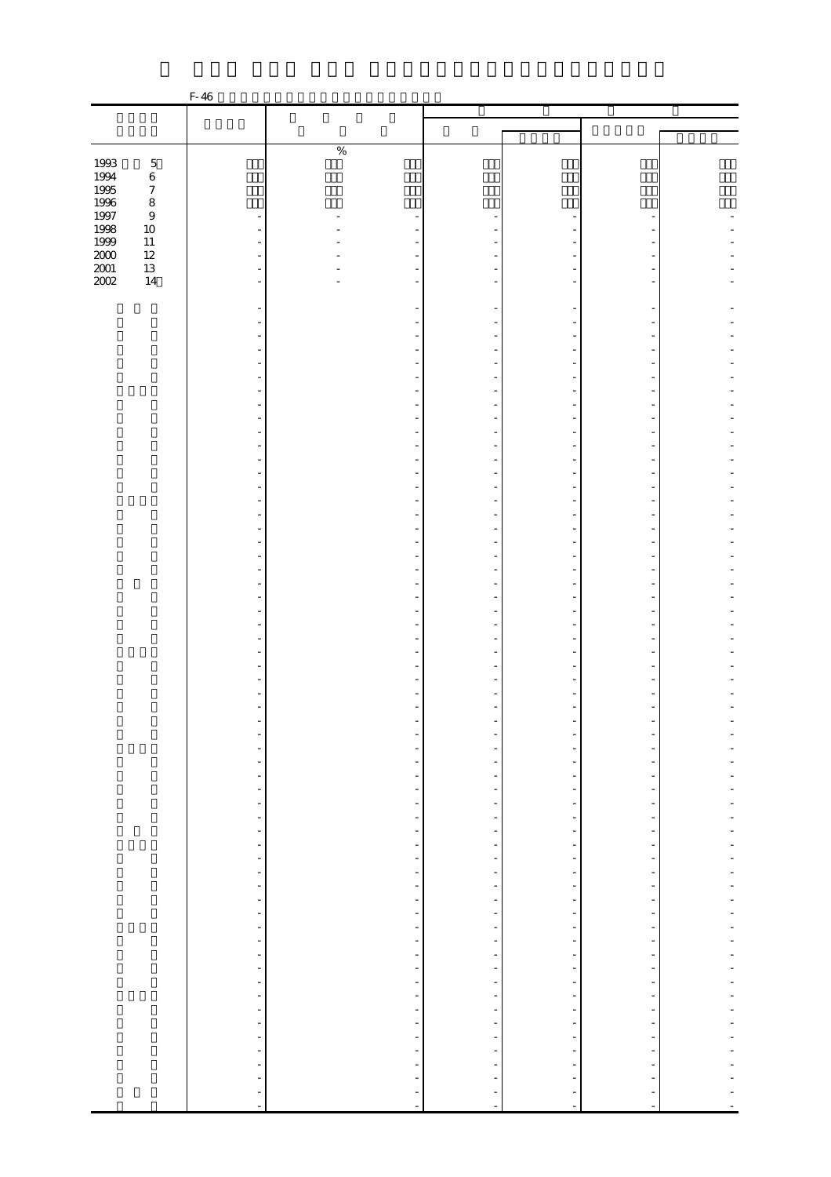|                                             |                  | F-46                           |                          |                              |                                |                              |                          |
|---------------------------------------------|------------------|--------------------------------|--------------------------|------------------------------|--------------------------------|------------------------------|--------------------------|
|                                             |                  |                                |                          |                              |                                |                              |                          |
|                                             |                  |                                |                          |                              |                                |                              |                          |
|                                             |                  |                                |                          |                              |                                |                              |                          |
|                                             |                  |                                | $\%$                     |                              |                                |                              |                          |
| 1993<br>1994<br>1995<br>1996<br>1997        | $\mathbf 5$      |                                |                          |                              |                                |                              |                          |
|                                             | $\,6\,$          |                                |                          |                              |                                |                              |                          |
|                                             | $\boldsymbol{7}$ |                                |                          |                              |                                |                              |                          |
|                                             | $\,8\,$          |                                |                          |                              |                                |                              |                          |
|                                             | $\boldsymbol{9}$ | $\overline{\phantom{0}}$       |                          |                              |                                |                              |                          |
| 1998<br>1999                                | 10<br>$11\,$     |                                |                          |                              |                                |                              |                          |
|                                             | $12\,$           |                                |                          |                              |                                |                              |                          |
| $\begin{array}{c} 2000 \\ 2001 \end{array}$ | $13\,$           |                                |                          |                              |                                |                              |                          |
| $2002\,$                                    | 14               |                                |                          |                              |                                |                              |                          |
|                                             |                  |                                |                          |                              |                                |                              |                          |
|                                             |                  |                                |                          |                              |                                |                              |                          |
|                                             |                  |                                |                          |                              |                                |                              |                          |
|                                             |                  |                                |                          |                              |                                |                              |                          |
|                                             |                  |                                |                          |                              |                                |                              |                          |
|                                             |                  |                                |                          |                              |                                |                              |                          |
|                                             |                  |                                |                          |                              |                                |                              |                          |
|                                             |                  |                                |                          |                              |                                |                              |                          |
|                                             |                  |                                |                          |                              |                                |                              |                          |
|                                             |                  |                                |                          |                              |                                |                              |                          |
|                                             |                  |                                |                          |                              |                                |                              |                          |
|                                             |                  |                                |                          |                              |                                |                              |                          |
|                                             |                  |                                |                          |                              |                                |                              |                          |
|                                             |                  |                                |                          |                              |                                |                              |                          |
|                                             |                  |                                |                          |                              |                                |                              |                          |
|                                             |                  |                                |                          |                              |                                |                              |                          |
|                                             |                  |                                |                          |                              |                                |                              |                          |
|                                             |                  |                                |                          |                              |                                |                              |                          |
|                                             |                  |                                |                          |                              |                                |                              |                          |
|                                             |                  |                                |                          |                              |                                |                              |                          |
|                                             |                  |                                |                          |                              |                                |                              |                          |
|                                             |                  |                                |                          |                              |                                |                              |                          |
|                                             |                  |                                |                          |                              |                                |                              |                          |
|                                             |                  |                                |                          |                              |                                |                              |                          |
|                                             |                  |                                |                          |                              | ٠                              |                              |                          |
|                                             |                  |                                |                          |                              |                                |                              |                          |
|                                             |                  |                                |                          |                              |                                |                              |                          |
|                                             |                  |                                |                          |                              |                                |                              |                          |
|                                             |                  |                                |                          |                              |                                |                              |                          |
|                                             |                  |                                |                          |                              |                                |                              |                          |
|                                             |                  |                                |                          |                              |                                |                              |                          |
|                                             |                  |                                |                          |                              |                                |                              |                          |
|                                             |                  |                                |                          |                              |                                |                              |                          |
|                                             |                  |                                |                          |                              | $\overline{\phantom{0}}$       |                              |                          |
|                                             |                  | -                              | -                        |                              | $\overline{\phantom{a}}$       |                              |                          |
|                                             |                  | $\overline{\phantom{m}}$       | $\frac{1}{2}$            |                              | $\overline{\phantom{a}}$       | $\overline{\phantom{a}}$     |                          |
|                                             |                  | $\overline{\phantom{a}}$       | $\overline{\phantom{a}}$ | $\overline{\phantom{a}}$     | $\overline{\phantom{a}}$       | $\overline{\phantom{a}}$     | ÷,                       |
|                                             |                  | $\frac{1}{\sqrt{2}}$           | $\overline{\phantom{a}}$ | $\frac{1}{2}$                | $\frac{1}{\sqrt{2}}$           | $\overline{\phantom{a}}$     |                          |
|                                             |                  | ÷                              | $\overline{\phantom{a}}$ | $\overline{\phantom{0}}$     | $\frac{1}{2}$                  | $\blacksquare$               |                          |
|                                             |                  | $\overline{\phantom{a}}$       | $\frac{1}{2}$            |                              | $\overline{\phantom{a}}$       | $\overline{\phantom{a}}$     |                          |
|                                             |                  | $\overline{\phantom{0}}$       | $\overline{\phantom{a}}$ | -                            | $\overline{\phantom{a}}$       | $\overline{\phantom{a}}$     | $\overline{\phantom{a}}$ |
|                                             |                  | f                              | $\overline{\phantom{a}}$ | -                            | f                              | -                            |                          |
|                                             |                  | $\overline{\phantom{0}}$       | f                        | ÷,                           | $\frac{1}{\sqrt{2}}$           | $\overline{\phantom{a}}$     |                          |
|                                             |                  | $\frac{1}{\sqrt{2}}$           | $\overline{\phantom{a}}$ | $\frac{1}{\sqrt{2}}$         | $\overline{\phantom{0}}$       | $\overline{\phantom{a}}$     |                          |
|                                             |                  | $\frac{1}{\sqrt{2}}$           | $\frac{1}{2}$            | $\overline{\phantom{a}}$     | $\overline{\phantom{a}}$       | $\overline{\phantom{a}}$     | ÷,                       |
|                                             |                  | $\overline{\phantom{0}}$       | $\overline{\phantom{a}}$ | $\overline{\phantom{a}}$     | $\frac{1}{2}$                  | $\overline{\phantom{a}}$     | ÷,                       |
|                                             |                  | $\qquad \qquad \blacksquare$   | $\overline{\phantom{a}}$ | -                            | $\overline{\phantom{a}}$       | $\qquad \qquad \blacksquare$ | $\overline{a}$           |
|                                             |                  | ÷                              | $\frac{1}{2}$            | $\overline{\phantom{a}}$     | $\frac{1}{\sqrt{2}}$           | $\overline{\phantom{a}}$     | $\overline{a}$           |
|                                             |                  | $\frac{1}{\sqrt{2}}$           | ÷,                       | -                            | f                              | $\overline{\phantom{a}}$     |                          |
|                                             |                  | ÷                              | $\overline{\phantom{a}}$ | $\qquad \qquad \blacksquare$ | $\overline{\phantom{a}}$       | $\overline{\phantom{a}}$     |                          |
|                                             |                  | $\frac{1}{\sqrt{2}}$           | f                        | $\overline{\phantom{0}}$     | $\frac{1}{\sqrt{2}}$           | $\frac{1}{\sqrt{2}}$         |                          |
|                                             |                  |                                | $\overline{\phantom{a}}$ | -                            | $\overline{\phantom{a}}$       | $\qquad \qquad \blacksquare$ |                          |
|                                             |                  | ÷,<br>$\overline{\phantom{0}}$ | $\overline{\phantom{a}}$ | $\qquad \qquad \blacksquare$ | ÷                              | $\overline{\phantom{a}}$     |                          |
|                                             |                  |                                | $\overline{\phantom{a}}$ | $\frac{1}{\sqrt{2}}$         |                                | $\frac{1}{\sqrt{2}}$         |                          |
|                                             |                  | f                              | ÷                        | $\overline{\phantom{a}}$     | f,<br>$\overline{\phantom{0}}$ | $\frac{1}{\sqrt{2}}$         |                          |
|                                             |                  | $\frac{1}{2}$                  | $\overline{\phantom{a}}$ | $\frac{1}{2}$                | ÷                              | $\overline{\phantom{a}}$     |                          |
|                                             |                  | $\frac{1}{2}$                  | $\overline{\phantom{0}}$ |                              | $\overline{\phantom{a}}$       | $\overline{\phantom{a}}$     |                          |
|                                             |                  | $\overline{\phantom{m}}$       | $\frac{1}{2}$            |                              | $\overline{\phantom{a}}$       |                              |                          |
|                                             |                  | $\overline{\phantom{0}}$       | -                        |                              |                                |                              |                          |
|                                             |                  | $\overline{a}$                 | $\overline{\phantom{a}}$ | $\frac{1}{2}$                | $\frac{1}{2}$                  | $\frac{1}{2}$                |                          |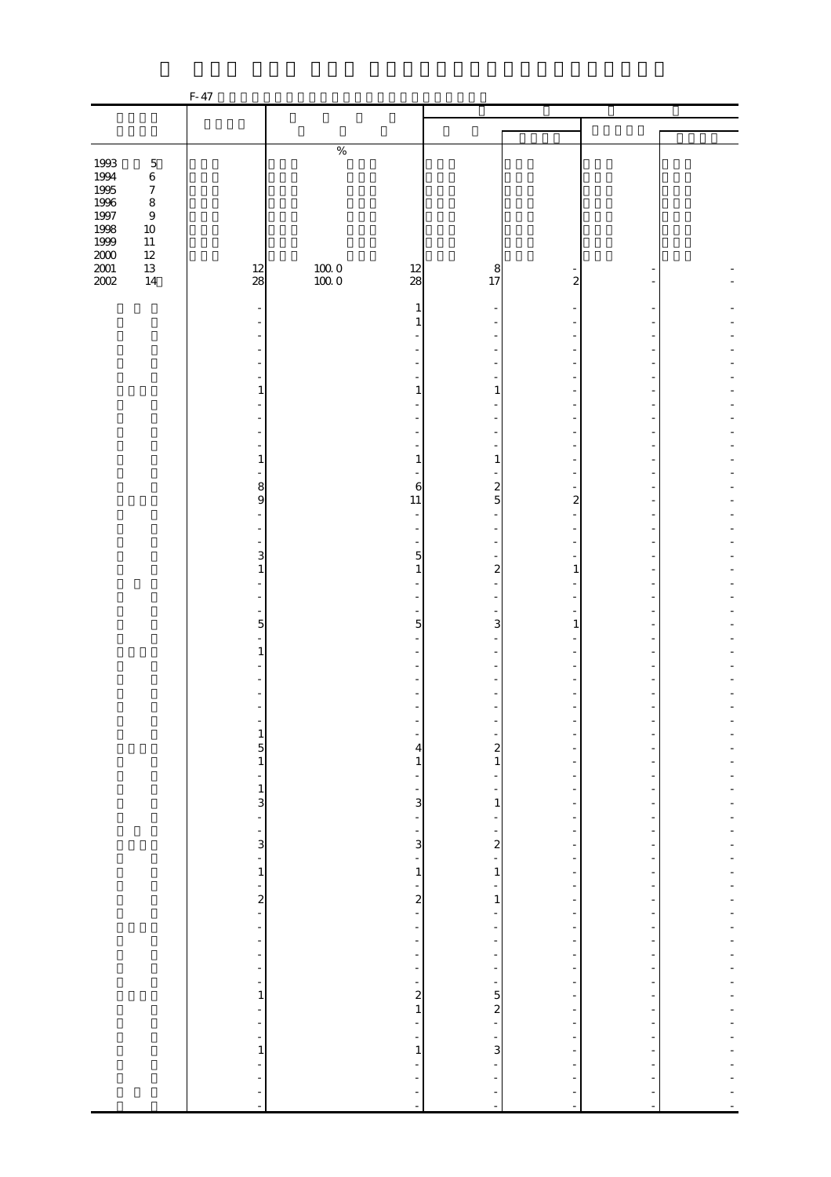|                     |                                 | F-47                                    |                                               |                                                                                                   |                                             |                                   |                                           |          |
|---------------------|---------------------------------|-----------------------------------------|-----------------------------------------------|---------------------------------------------------------------------------------------------------|---------------------------------------------|-----------------------------------|-------------------------------------------|----------|
|                     |                                 |                                         |                                               |                                                                                                   |                                             |                                   |                                           |          |
|                     |                                 |                                         |                                               |                                                                                                   |                                             |                                   |                                           |          |
|                     |                                 |                                         | $\%$                                          |                                                                                                   |                                             |                                   |                                           |          |
| 1993                | $\mathbf 5$                     |                                         |                                               |                                                                                                   |                                             |                                   |                                           |          |
| 1994<br>1995        | $\,$ 6 $\,$<br>$\boldsymbol{7}$ |                                         |                                               |                                                                                                   |                                             |                                   |                                           |          |
| 1996                | $\,$ 8 $\,$                     |                                         |                                               |                                                                                                   |                                             |                                   |                                           |          |
| 1997                | $\,9$                           |                                         |                                               |                                                                                                   |                                             |                                   |                                           |          |
| 1998                | $10\,$                          |                                         |                                               |                                                                                                   |                                             |                                   |                                           |          |
| $1999\,$            | $11\,$<br>$12\,$                |                                         |                                               |                                                                                                   |                                             |                                   |                                           |          |
| $2000\,$            | 13                              | 12                                      |                                               | 12                                                                                                | 8                                           |                                   |                                           |          |
| $\frac{2001}{2002}$ | 14                              | 28                                      | $\begin{array}{c} 100.0 \\ 100.0 \end{array}$ | 28                                                                                                | 17                                          | $\overline{\mathbf{c}}$           |                                           |          |
|                     |                                 |                                         |                                               |                                                                                                   |                                             |                                   |                                           |          |
|                     |                                 |                                         |                                               | 1                                                                                                 |                                             |                                   |                                           |          |
|                     |                                 |                                         |                                               |                                                                                                   |                                             |                                   |                                           |          |
|                     |                                 |                                         |                                               |                                                                                                   |                                             |                                   |                                           |          |
|                     |                                 |                                         |                                               |                                                                                                   |                                             |                                   |                                           |          |
|                     |                                 |                                         |                                               |                                                                                                   |                                             |                                   |                                           |          |
|                     |                                 | 1                                       |                                               | $\mathbf{1}$                                                                                      | 1                                           |                                   |                                           |          |
|                     |                                 |                                         |                                               |                                                                                                   |                                             |                                   |                                           |          |
|                     |                                 |                                         |                                               |                                                                                                   |                                             |                                   |                                           |          |
|                     |                                 |                                         |                                               |                                                                                                   |                                             |                                   |                                           |          |
|                     |                                 | 1                                       |                                               | $\mathbf{1}$                                                                                      | $\mathbf{1}$                                |                                   |                                           |          |
|                     |                                 | 8                                       |                                               | 6                                                                                                 | $\overline{\mathbf{c}}$                     |                                   |                                           |          |
|                     |                                 | 9                                       |                                               | 11                                                                                                | 5                                           | 2                                 |                                           |          |
|                     |                                 |                                         |                                               | ÷,                                                                                                |                                             |                                   |                                           |          |
|                     |                                 |                                         |                                               | $\overline{a}$                                                                                    |                                             |                                   |                                           |          |
|                     |                                 | 3                                       |                                               | $\overline{5}$                                                                                    |                                             |                                   |                                           |          |
|                     |                                 | $\mathbf{1}$                            |                                               | $\mathbf{1}$                                                                                      | $\overline{\mathcal{L}}$                    | 1                                 |                                           |          |
|                     |                                 |                                         |                                               |                                                                                                   |                                             |                                   |                                           |          |
|                     |                                 |                                         |                                               |                                                                                                   |                                             |                                   |                                           |          |
|                     |                                 | $\mathbf 5$                             |                                               | ÷,<br>$\overline{5}$                                                                              | 3                                           | 1                                 |                                           |          |
|                     |                                 |                                         |                                               |                                                                                                   |                                             |                                   |                                           |          |
|                     |                                 | 1                                       |                                               |                                                                                                   |                                             |                                   |                                           |          |
|                     |                                 |                                         |                                               |                                                                                                   |                                             |                                   |                                           |          |
|                     |                                 |                                         |                                               |                                                                                                   |                                             |                                   |                                           |          |
|                     |                                 |                                         |                                               |                                                                                                   |                                             |                                   |                                           |          |
|                     |                                 |                                         |                                               |                                                                                                   |                                             |                                   |                                           |          |
|                     |                                 |                                         |                                               | $\frac{1}{4}$                                                                                     |                                             | ÷                                 |                                           |          |
|                     |                                 | $\frac{1}{5}$                           |                                               |                                                                                                   | $\frac{1}{2}$                               | -                                 |                                           | -        |
|                     |                                 | $\overline{\phantom{a}}$                |                                               | $\,1$                                                                                             | $\overline{\phantom{0}}$                    | ۳<br>$\overline{\phantom{a}}$     |                                           |          |
|                     |                                 |                                         |                                               | $\frac{1}{1}$ $\frac{1}{1}$ $\frac{1}{2}$ $\frac{1}{2}$ $\frac{1}{2}$ $\frac{1}{2}$ $\frac{1}{2}$ |                                             | $\overline{\phantom{0}}$          | $\overline{\phantom{a}}$                  | ÷        |
|                     |                                 | $\frac{1}{3}$                           |                                               |                                                                                                   | $\frac{1}{1}$                               | $\overline{\phantom{0}}$          | $\overline{\phantom{0}}$                  |          |
|                     |                                 |                                         |                                               |                                                                                                   | ÷                                           | $\overline{\phantom{a}}$          | $\overline{\phantom{a}}$                  | ÷,       |
|                     |                                 | $\begin{array}{c} -1 \\ -1 \end{array}$ |                                               |                                                                                                   | $\begin{array}{c} -2 \\ 2 \\ 1 \end{array}$ | -<br>$\overline{\phantom{a}}$     | -                                         | -        |
|                     |                                 |                                         |                                               |                                                                                                   |                                             | $\frac{1}{2}$                     | $\overline{\phantom{a}}$                  | ÷,       |
|                     |                                 |                                         |                                               |                                                                                                   |                                             | $\frac{1}{\sqrt{2}}$              | $\overline{\phantom{0}}$                  |          |
|                     |                                 | $\frac{1}{2}$                           |                                               |                                                                                                   | $\frac{1}{1}$                               | $\frac{1}{2}$                     | $\overline{\phantom{0}}$                  | ÷        |
|                     |                                 |                                         |                                               |                                                                                                   | $\overline{\phantom{a}}$                    | $\frac{1}{2}$<br>$\frac{1}{2}$    | $\overline{\phantom{a}}$<br>$\frac{1}{2}$ | ÷<br>÷,  |
|                     |                                 | $\qquad \qquad \blacksquare$            |                                               |                                                                                                   | ÷,                                          | $\overline{\phantom{a}}$          | -                                         |          |
|                     |                                 | $\overline{\phantom{a}}$                |                                               |                                                                                                   | f                                           | $\frac{1}{2}$                     | $\overline{\phantom{0}}$                  | ÷,       |
|                     |                                 | f                                       |                                               |                                                                                                   | $\frac{1}{\sqrt{2}}$                        | $\frac{1}{2}$                     | $\frac{1}{\sqrt{2}}$                      | ÷        |
|                     |                                 | $\overline{\phantom{a}}$                |                                               |                                                                                                   | $\frac{1}{\sqrt{2}}$                        | $\frac{1}{2}$                     | $\overline{\phantom{a}}$                  | ÷,<br>÷, |
|                     |                                 | ÷,<br>$\mathbf{1}$                      |                                               |                                                                                                   | $\frac{1}{3}$ = $\frac{1}{3}$               | f<br>$\qquad \qquad \blacksquare$ | -<br>-                                    | -        |
|                     |                                 | ÷,                                      |                                               |                                                                                                   |                                             | ÷                                 | $\overline{\phantom{a}}$                  |          |
|                     |                                 | $\frac{1}{2}$                           |                                               |                                                                                                   |                                             | $\overline{\phantom{a}}$          |                                           |          |
|                     |                                 | $\frac{1}{\sqrt{2}}$                    |                                               | $\frac{1}{1}$                                                                                     |                                             | ÷                                 | $\frac{1}{2}$                             |          |
|                     |                                 | $\mathbf{1}$<br>$\overline{a}$          |                                               |                                                                                                   | ÷,                                          | $\frac{1}{2}$<br>$\frac{1}{2}$    | $\overline{\phantom{0}}$                  | Ĭ.       |
|                     |                                 | ÷                                       |                                               | ÷,                                                                                                |                                             | ÷                                 |                                           |          |
|                     |                                 | ÷                                       |                                               | $\frac{1}{2}$                                                                                     | $\frac{1}{2}$                               | ÷                                 | $\overline{\phantom{a}}$                  |          |
|                     |                                 | $\overline{\phantom{a}}$                |                                               |                                                                                                   |                                             | $\blacksquare$                    | $\blacksquare$                            |          |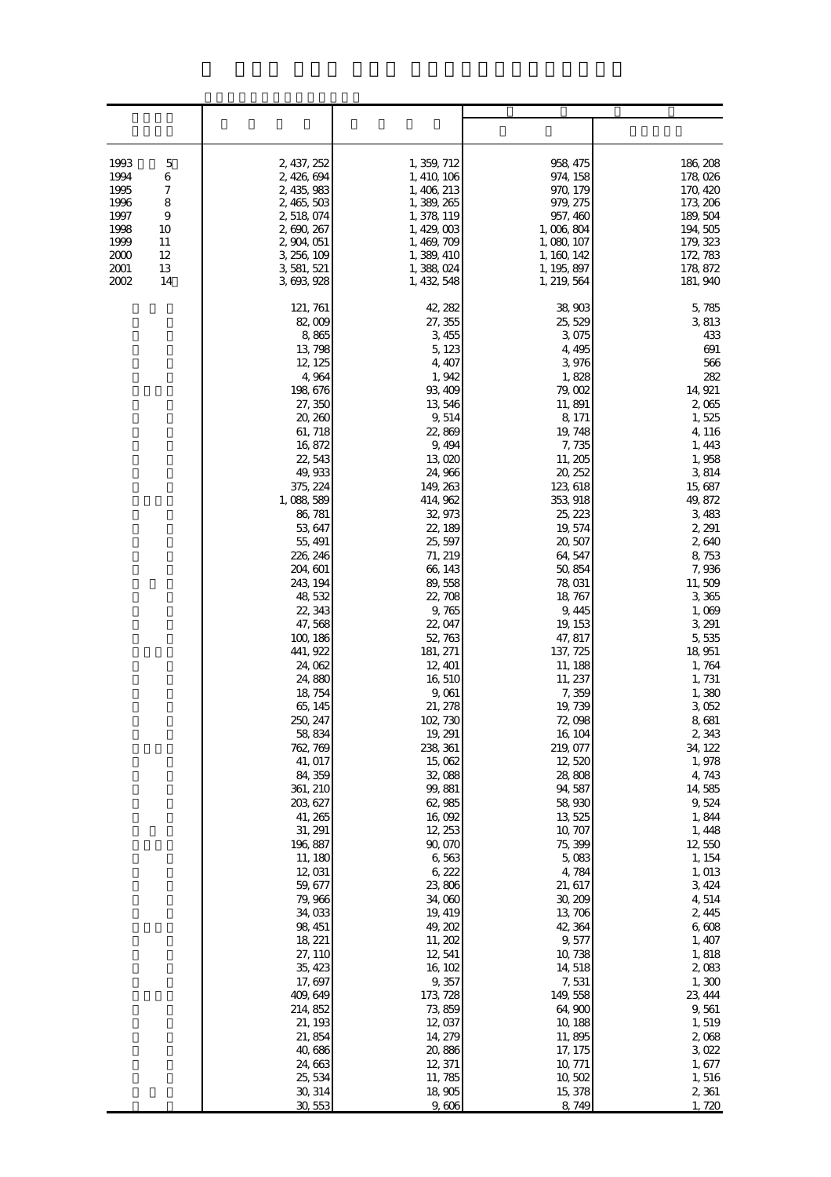| 1993<br>5<br>6<br>1994<br>7<br>1995<br>1996<br>8<br>1997<br>9<br>1998<br>10<br>1999<br>11<br>2000<br>12<br>2001<br>13<br>2002<br>14 | 2, 437, 252<br>2, 426, 694<br>2, 435, 983<br>2, 465, 503<br>2, 518, 074<br>2, 690, 267<br>2, 904, 051<br>3, 256, 109<br>3, 581, 521<br>3, 693, 928                                                                                                                                                                                                                                                                                                                                                                                                                                                                                                                          | 1, 359, 712<br>1, 410, 106<br>1, 406, 213<br>1, 389, 265<br>1, 378, 119<br>1, 429, 003<br>1, 469, 709<br>1, 389, 410<br>1,388,024<br>1, 432, 548                                                                                                                                                                                                                                                                                                                                                                                                                                                                                      | 958, 475<br>974, 158<br>970, 179<br>979, 275<br>957, 460<br>1,006,804<br>1, 080, 107<br>1, 160, 142<br>1, 195, 897<br>1, 219, 564                                                                                                                                                                                                                                                                                                                                                                                                                                                                                                     | 186, 208<br>178,026<br>170, 420<br>173, 206<br>189, 504<br>194, 505<br>179, 323<br>172, 783<br>178, 872<br>181, 940                                                                                                                                                                                                                                                                                                                                                                                                                                               |
|-------------------------------------------------------------------------------------------------------------------------------------|-----------------------------------------------------------------------------------------------------------------------------------------------------------------------------------------------------------------------------------------------------------------------------------------------------------------------------------------------------------------------------------------------------------------------------------------------------------------------------------------------------------------------------------------------------------------------------------------------------------------------------------------------------------------------------|---------------------------------------------------------------------------------------------------------------------------------------------------------------------------------------------------------------------------------------------------------------------------------------------------------------------------------------------------------------------------------------------------------------------------------------------------------------------------------------------------------------------------------------------------------------------------------------------------------------------------------------|---------------------------------------------------------------------------------------------------------------------------------------------------------------------------------------------------------------------------------------------------------------------------------------------------------------------------------------------------------------------------------------------------------------------------------------------------------------------------------------------------------------------------------------------------------------------------------------------------------------------------------------|-------------------------------------------------------------------------------------------------------------------------------------------------------------------------------------------------------------------------------------------------------------------------------------------------------------------------------------------------------------------------------------------------------------------------------------------------------------------------------------------------------------------------------------------------------------------|
|                                                                                                                                     | 121, 761<br>82,009<br>8,865<br>13, 798<br>12, 125<br>4,964<br>198, 676<br>27, 350<br>20, 260<br>61, 718<br>16,872<br>22, 543<br>49, 933<br>375, 224<br>1,088,589<br>86, 781<br>53, 647<br>55, 491<br>226, 246<br>204, 601<br>243, 194<br>48,532<br>22, 343<br>47, 568<br>100, 186<br>441, 922<br>24, 062<br>24,880<br>18, 754<br>65, 145<br>250, 247<br>58, 834<br>762, 769<br>41, 017<br>84, 359<br>361, 210<br>203, 627<br>41, 265<br>31, 291<br>196, 887<br>11, 180<br>12,031<br>59, 677<br>79, 966<br>34, 033<br>98, 451<br>18, 221<br>27, 110<br>35, 423<br>17, 697<br>409, 649<br>214, 852<br>21, 193<br>21,854<br>40, 686<br>24, 663<br>25, 534<br>30, 314<br>30,553 | 42, 282<br>27, 355<br>3,455<br>5, 123<br>4, 407<br>1, 942<br>93, 409<br>13,546<br>9,514<br>22,869<br>9, 494<br>13,020<br>24, 966<br>149, 263<br>414, 962<br>32, 973<br>22, 189<br>25, 597<br>71, 219<br>66, 143<br>89,558<br>22,708<br>9,765<br>22, 047<br>52, 763<br>181, 271<br>12, 401<br>16,510<br>9,061<br>21, 278<br>102, 730<br>19, 291<br>238, 361<br>15,062<br>32,088<br>99,881<br>62,985<br>16,092<br>12, 253<br>90,070<br>6,563<br>6,222<br>23,806<br>34,060<br>19, 419<br>49, 202<br>11, 202<br>12,541<br>16, 102<br>9,357<br>173, 728<br>73, 859<br>12,037<br>14, 279<br>20,886<br>12, 371<br>11, 785<br>18,905<br>9,606 | 38,903<br>25, 529<br>3,075<br>4, 495<br>3,976<br>1,828<br>79,002<br>11,891<br>8, 171<br>19, 748<br>7,735<br>11, 205<br>20, 252<br>123, 618<br>353, 918<br>25, 223<br>19, 574<br>20,507<br>64, 547<br>50,854<br>78,031<br>18, 767<br>9, 445<br>19, 153<br>47, 817<br>137, 725<br>11, 188<br>11, 237<br>7,359<br>19, 739<br>72,098<br>16, 104<br>219, 077<br>12,520<br>28,808<br>94, 587<br>58,930<br>13, 525<br>10, 707<br>75, 399<br>5,083<br>4,784<br>21, 617<br>30, 209<br>13, 706<br>42, 364<br>9, 577<br>10, 738<br>14,518<br>7,531<br>149,558<br>64,900<br>10, 188<br>11,895<br>17, 175<br>10, 771<br>10,502<br>15, 378<br>8,749 | 5,785<br>3,813<br>433<br>691<br>566<br>282<br>14, 921<br>2,065<br>1,525<br>4, 116<br>1, 443<br>1,958<br>3,814<br>15, 687<br>49, 872<br>3,483<br>2, 291<br>2,640<br>8,753<br>7,936<br>11,509<br>3,365<br>1,069<br>3, 291<br>5,535<br>18, 951<br>1, 764<br>1, 731<br>1,380<br>3,052<br>8,681<br>2,343<br>34, 122<br>1,978<br>4, 743<br>14,585<br>9,524<br>1,844<br>1,448<br>12,550<br>1, 154<br>1,013<br>3, 424<br>4,514<br>2,445<br>6,608<br>1, 407<br>1,818<br>2,083<br>1,300<br>23, 444<br>9,561<br>1,519<br>2,068<br>3,022<br>1, 677<br>1,516<br>2,361<br>1,720 |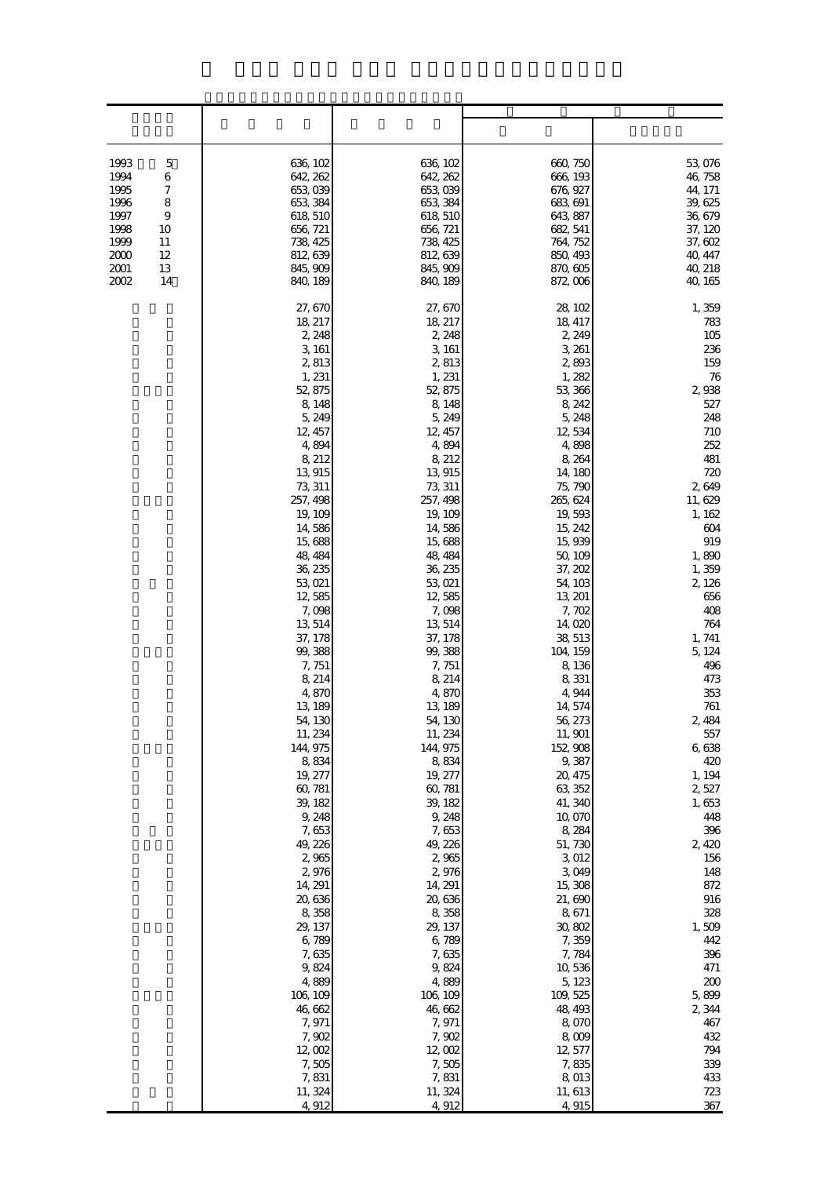| 1993<br>5<br>6<br>1994<br>1995<br>7<br>8<br>1996<br>1997<br>9<br>1998<br>10<br>1999<br>11<br>2000<br>12<br>2001<br>13<br>2002<br>14 | 636, 102<br>642, 262<br>653,039<br>653, 384<br>618, 510<br>656, 721<br>738, 425<br>812, 639<br>845, 909<br>840, 189                                                                                                                                                                                                                                                                                                                                                                                                                                                                                                 | 636, 102<br>642, 262<br>653,039<br>653, 384<br>618, 510<br>656, 721<br>738, 425<br>812, 639<br>845, 909<br>840, 189                                                                                                                                                                                                                                                                                                                                                                                                                                                                                                | 660, 750<br>666, 193<br>676, 927<br>683, 691<br>643, 887<br>682, 541<br>764, 752<br>850, 493<br>870, 605<br>872,006                                                                                                                                                                                                                                                                                                                                                                                                                                                                                                 | 53,076<br>46, 758<br>44, 171<br>39, 625<br>36, 679<br>37, 120<br>37, 602<br>40, 447<br>40, 218<br>40, 165                                                                                                                                                                                                                                                                                                                                                             |
|-------------------------------------------------------------------------------------------------------------------------------------|---------------------------------------------------------------------------------------------------------------------------------------------------------------------------------------------------------------------------------------------------------------------------------------------------------------------------------------------------------------------------------------------------------------------------------------------------------------------------------------------------------------------------------------------------------------------------------------------------------------------|--------------------------------------------------------------------------------------------------------------------------------------------------------------------------------------------------------------------------------------------------------------------------------------------------------------------------------------------------------------------------------------------------------------------------------------------------------------------------------------------------------------------------------------------------------------------------------------------------------------------|---------------------------------------------------------------------------------------------------------------------------------------------------------------------------------------------------------------------------------------------------------------------------------------------------------------------------------------------------------------------------------------------------------------------------------------------------------------------------------------------------------------------------------------------------------------------------------------------------------------------|-----------------------------------------------------------------------------------------------------------------------------------------------------------------------------------------------------------------------------------------------------------------------------------------------------------------------------------------------------------------------------------------------------------------------------------------------------------------------|
|                                                                                                                                     | 27, 670<br>18, 217<br>2, 248<br>3, 161<br>2,813<br>1, 231<br>52, 875<br>8,148<br>5, 249<br>12, 457<br>4,894<br>8, 212<br>13, 915<br>73, 311<br>257, 498<br>19, 109<br>14,586<br>15,688<br>48, 484<br>36, 235<br>53, 021<br>12,585<br>7,098<br>13, 514<br>37, 178<br>99, 388<br>7,751<br>8, 214<br>4,870<br>13, 189<br>54, 130<br>11, 234<br>144, 975<br>8,834<br>19, 277<br>60, 781<br>39, 182<br>9, 248<br>7,653<br>49, 226<br>2,965<br>2,976<br>14, 291<br>20,636<br>8,358<br>29, 137<br>6,789<br>7,635<br>9,824<br>4,889<br>106, 109<br>46,662<br>7,971<br>7,902<br>12,002<br>7,505<br>7,831<br>11, 324<br>4,912 | 27, 670<br>18, 217<br>2, 248<br>3, 161<br>2,813<br>1, 231<br>52, 875<br>8,148<br>5, 249<br>12, 457<br>4,894<br>8, 212<br>13, 915<br>73, 311<br>257, 498<br>19, 109<br>14,586<br>15,688<br>48, 484<br>36, 235<br>53,021<br>12,585<br>7,098<br>13, 514<br>37, 178<br>99, 388<br>7,751<br>8, 214<br>4,870<br>13, 189<br>54, 130<br>11, 234<br>144, 975<br>8,834<br>19, 277<br>60, 781<br>39, 182<br>9, 248<br>7,653<br>49, 226<br>2,965<br>2,976<br>14, 291<br>20,636<br>8,358<br>29, 137<br>6,789<br>7,635<br>9,824<br>4,889<br>106, 109<br>46,662<br>7,971<br>7,902<br>12,002<br>7,505<br>7,831<br>11, 324<br>4,912 | 28, 102<br>18, 417<br>2, 249<br>3, 261<br>2,893<br>1,282<br>53, 366<br>8, 242<br>5, 248<br>12,534<br>4,898<br>8,264<br>14, 180<br>75, 790<br>265, 624<br>19,593<br>15, 242<br>15,939<br>50, 109<br>37, 202<br>54, 103<br>13, 201<br>7,702<br>14,020<br>38, 513<br>104, 159<br>8,136<br>8,331<br>4,944<br>14, 574<br>56, 273<br>11, 901<br>152, 908<br>9,387<br>20, 475<br>63, 352<br>41, 340<br>10,070<br>8,284<br>51,730<br>3,012<br>3,049<br>15, 308<br>21,690<br>8,671<br>30,802<br>7,359<br>7,784<br>10,536<br>5, 123<br>109, 525<br>48, 493<br>8,070<br>8,009<br>12, 577<br>7,835<br>8,013<br>11, 613<br>4,915 | 1,359<br>783<br>105<br>236<br>159<br>76<br>2,938<br>527<br>248<br>710<br>252<br>481<br>720<br>2,649<br>11, 629<br>1, 162<br>604<br>919<br>1,890<br>1,359<br>2, 126<br>656<br>408<br>764<br>1, 741<br>5, 124<br>496<br>473<br>353<br>761<br>2,484<br>557<br>6,638<br>420<br>1, 194<br>2,527<br>1,653<br>448<br>396<br>2,420<br>156<br>148<br>872<br>916<br>328<br>1,509<br>442<br>396<br>471<br>200<br>5,899<br>2,344<br>467<br>432<br>794<br>339<br>433<br>723<br>367 |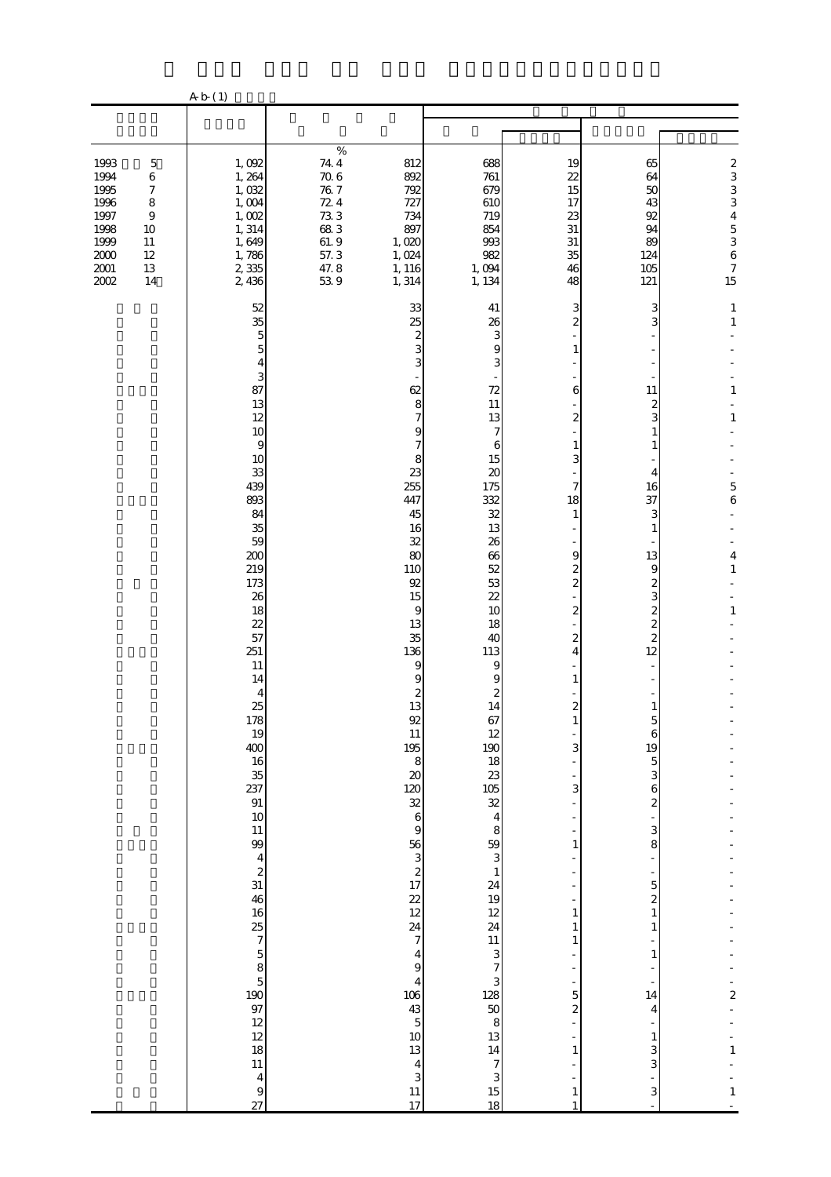|                                                                                                                                              | A b (1)                                                                                                                                                                                                                                                                                                                                                                                    |                                                                                                                                                                                                                                                                                                                                                                                                                                                                                                                                                     |                                                                                                                                                                                                                                                                                                                                                                                                                                          |                                                                                                                                                                                                                                                                  |                                                                                                                                                                                                                                                                                                                                                                                                                             |                                                                                                                                                                       |
|----------------------------------------------------------------------------------------------------------------------------------------------|--------------------------------------------------------------------------------------------------------------------------------------------------------------------------------------------------------------------------------------------------------------------------------------------------------------------------------------------------------------------------------------------|-----------------------------------------------------------------------------------------------------------------------------------------------------------------------------------------------------------------------------------------------------------------------------------------------------------------------------------------------------------------------------------------------------------------------------------------------------------------------------------------------------------------------------------------------------|------------------------------------------------------------------------------------------------------------------------------------------------------------------------------------------------------------------------------------------------------------------------------------------------------------------------------------------------------------------------------------------------------------------------------------------|------------------------------------------------------------------------------------------------------------------------------------------------------------------------------------------------------------------------------------------------------------------|-----------------------------------------------------------------------------------------------------------------------------------------------------------------------------------------------------------------------------------------------------------------------------------------------------------------------------------------------------------------------------------------------------------------------------|-----------------------------------------------------------------------------------------------------------------------------------------------------------------------|
|                                                                                                                                              |                                                                                                                                                                                                                                                                                                                                                                                            |                                                                                                                                                                                                                                                                                                                                                                                                                                                                                                                                                     |                                                                                                                                                                                                                                                                                                                                                                                                                                          |                                                                                                                                                                                                                                                                  |                                                                                                                                                                                                                                                                                                                                                                                                                             |                                                                                                                                                                       |
| 1993<br>$\mathbf 5$<br>1994<br>$\,6$<br>1995<br>$\boldsymbol{7}$<br>1996<br>8<br>1997<br>$\,9$<br>1998<br>$10\,$<br>1999<br>$11\,$<br>$12\,$ | 1,092<br>1,264<br>1,032<br>1,004<br>1,002<br>1, 314<br>1,649                                                                                                                                                                                                                                                                                                                               | $\%$<br>$74\,4$<br>812<br>70.6<br>892<br>$76\ 7$<br>792<br>72.4<br>727<br>733<br>734<br>683<br>897<br>61.9<br>1,020<br>57.3<br>1,024                                                                                                                                                                                                                                                                                                                                                                                                                | 688<br>761<br>679<br>610<br>719<br>854<br>993<br>982                                                                                                                                                                                                                                                                                                                                                                                     | 19<br>22<br>15<br>17<br>23<br>31<br>$31\,$<br>35                                                                                                                                                                                                                 | 65<br>64<br>50<br>43<br>92<br>94<br>89<br>124                                                                                                                                                                                                                                                                                                                                                                               | $\begin{array}{c} 2 \\ 3 \\ 3 \end{array}$<br>$\overline{4}$<br>$\begin{array}{c} 5 \\ 3 \\ 6 \end{array}$                                                            |
| $2000\,$<br>$2001\,$<br>$13\,$<br>2002<br>14                                                                                                 | 1,786<br>2,335<br>2,436<br>52<br>35<br>5<br>5<br>4<br>3<br>87<br>13<br>12<br>10<br>$\overline{9}$<br>10<br>33<br>439<br>893<br>84<br>35<br>59<br>200<br>219<br>173<br>26<br>18<br>22<br>57<br>251<br>11<br>14<br>4<br>25<br>$\frac{178}{19}$<br>400<br>16<br>$\frac{35}{237}$<br>91<br>10<br>$11\,$<br>99<br>$\frac{4}{2}$<br>31<br>46<br>16<br>$\frac{12}{12}$<br>$11\,$<br>$\frac{4}{9}$ | $47.8$<br>53.9<br>1, 116<br>1,314<br>33<br>25<br>$\boldsymbol{z}$<br>3<br>3<br>62<br>8<br>7<br>9<br>7<br>8<br>23<br>255<br>447<br>45<br>16<br>32<br>80<br>110<br>92<br>15<br>9<br>13<br>35<br>136<br>$\boldsymbol{9}$<br>9<br>$\boldsymbol{z}$<br>13<br>$\frac{92}{11}$<br>195<br>8<br>$\boldsymbol{\chi}$<br>120<br>32<br>$\,6\,$<br>$\overline{9}$<br>$\frac{56}{3}$<br>$\frac{3}{17}$<br>22<br>12<br>24<br>$\overline{7}$<br>$\overline{\mathbf{r}}$<br>9<br>$\overline{4}$<br>106<br>$\frac{43}{5}$<br>10<br>13<br>$\overline{\mathbf{4}}$<br>3 | 1,094<br>1, 134<br>41<br>26<br>3<br>9<br>3<br>72<br>$11\,$<br>13<br>7<br>6<br>15<br>$\infty$<br>175<br>332<br>32<br>13<br>26<br>66<br>52<br>53<br>22<br>10<br>18<br>40<br>113<br>9<br>9<br>$\boldsymbol{z}$<br>14<br>$\frac{67}{12}$<br>190<br>$\frac{18}{23}$<br>$\frac{23}{4}$<br>8<br>59<br>3<br>$\,1\,$<br>24<br>19<br>12<br>24<br>11<br>$\frac{3}{7}$<br>3<br>$\frac{128}{50}$<br>8<br>13<br>14<br>$\overline{7}$<br>$\frac{3}{15}$ | 46<br>48<br>3<br>$\overline{c}$<br>1<br>6<br>2<br>1<br>3<br>7<br>18<br>$\mathbf{1}$<br>9<br>$\boldsymbol{2}$<br>$\overline{c}$<br>2<br>2<br>4<br>1<br>$\boldsymbol{2}$<br>3<br>3<br>1<br>$\mathbf{1}$<br>1<br>1<br>5<br>$\overline{\mathcal{L}}$<br>$\mathbf{1}$ | 105<br>121<br>3<br>3<br>11<br>$\boldsymbol{z}$<br>3<br>1<br>4<br>16<br>37<br>3<br>1<br>13<br>9<br>$\boldsymbol{z}$<br>3<br>$\boldsymbol{z}$<br>$\overline{\mathcal{L}}$<br>$\overline{\mathcal{L}}$<br>12<br>$\mathbf{1}$<br>6<br>19<br>$\mathbf 5$<br>3<br>6<br>$\overline{\mathbf{c}}$<br>3<br>8<br>$\overline{5}$<br>$\overline{\mathcal{L}}$<br>$\,1\,$<br>1<br>$\mathbf{1}$<br>14<br>4<br>$\mathbf{1}$<br>3<br>3<br>÷, | $\boldsymbol{7}$<br>15<br>$\mathbf{1}$<br>$\mathbf{1}$<br>$\mathbf{1}$<br>$\,1\,$<br>5<br>6<br>$\overline{4}$<br>$\mathbf{1}$<br>$\,1\,$<br>$\overline{a}$<br>$\,1\,$ |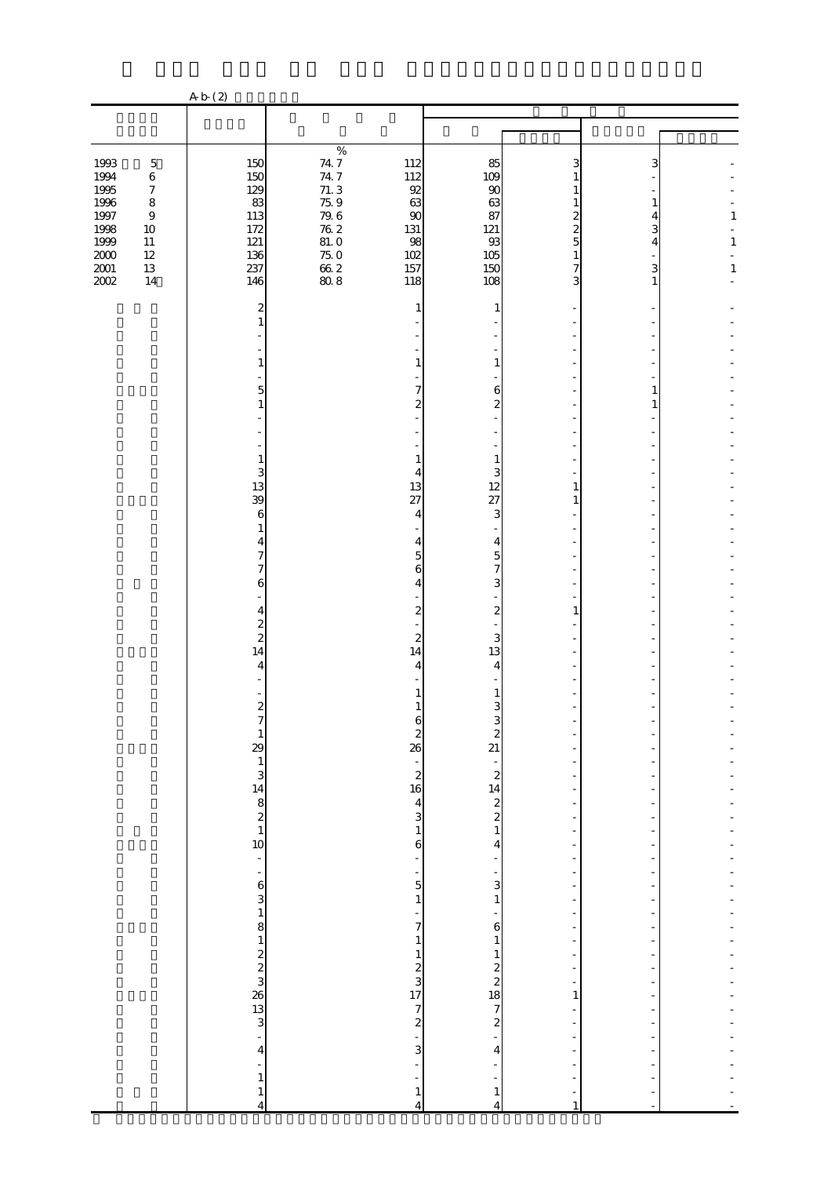|                                                                                  |                                                                                                                   | A b (2)                                                                                                                               |                                                                                                                                      |                                                               |                                                                  |                                    |                            |                        |
|----------------------------------------------------------------------------------|-------------------------------------------------------------------------------------------------------------------|---------------------------------------------------------------------------------------------------------------------------------------|--------------------------------------------------------------------------------------------------------------------------------------|---------------------------------------------------------------|------------------------------------------------------------------|------------------------------------|----------------------------|------------------------|
|                                                                                  |                                                                                                                   |                                                                                                                                       |                                                                                                                                      |                                                               |                                                                  |                                    |                            |                        |
|                                                                                  |                                                                                                                   |                                                                                                                                       |                                                                                                                                      |                                                               |                                                                  |                                    |                            |                        |
| 1993<br>1994<br>1995<br>$1996\,$<br>1997<br>1998<br>1999<br>$2000\,$<br>$2001\,$ | $\mathbf 5$<br>$\,6\,$<br>$\boldsymbol{7}$<br>$\,8\,$<br>$\boldsymbol{9}$<br>$10\,$<br>$11\,$<br>$12\,$<br>$13\,$ | 150<br>150<br>129<br>83<br>113<br>172<br>121<br>136<br>237                                                                            | $\%$<br>$\begin{array}{c} 74.7 \\ 74.7 \end{array}$<br>71.3<br>75.9<br>$\frac{79.6}{76.2}$<br>$81.\,0$<br>$75.0$<br>$66.2$<br>$80.8$ | 112<br>112<br>92<br>63<br>$\infty$<br>131<br>98<br>102<br>157 | 85<br>109<br>90<br>63<br>87<br>121<br>93<br>105<br>150           | 3<br>2<br>$\overline{c}$<br>5<br>7 | 3<br>1<br>4<br>3<br>4<br>3 | 1<br>$\mathbf{1}$<br>1 |
| 2002                                                                             | 14                                                                                                                | 146                                                                                                                                   |                                                                                                                                      | 118                                                           | 108                                                              | 3                                  | 1                          |                        |
|                                                                                  |                                                                                                                   | 2                                                                                                                                     |                                                                                                                                      | 1                                                             | 1                                                                |                                    |                            |                        |
|                                                                                  |                                                                                                                   |                                                                                                                                       |                                                                                                                                      |                                                               |                                                                  |                                    |                            |                        |
|                                                                                  |                                                                                                                   | 1                                                                                                                                     |                                                                                                                                      | $\mathbf{1}$                                                  | $\mathbf{1}$                                                     |                                    |                            |                        |
|                                                                                  |                                                                                                                   | 5                                                                                                                                     |                                                                                                                                      | 7<br>$\overline{c}$                                           | 6<br>$\overline{\mathcal{Z}}$                                    |                                    | 1                          |                        |
|                                                                                  |                                                                                                                   |                                                                                                                                       |                                                                                                                                      |                                                               |                                                                  |                                    |                            |                        |
|                                                                                  |                                                                                                                   | 1                                                                                                                                     |                                                                                                                                      | 1                                                             | $\mathbf{1}$                                                     |                                    |                            |                        |
|                                                                                  |                                                                                                                   | 3                                                                                                                                     |                                                                                                                                      | 4                                                             | 3                                                                |                                    |                            |                        |
|                                                                                  |                                                                                                                   | 13<br>39                                                                                                                              |                                                                                                                                      | 13<br>27                                                      | 12<br>27                                                         | 1<br>1                             |                            |                        |
|                                                                                  |                                                                                                                   | 6                                                                                                                                     |                                                                                                                                      | $\overline{4}$                                                | 3                                                                |                                    |                            |                        |
|                                                                                  |                                                                                                                   | 1<br>4                                                                                                                                |                                                                                                                                      | 4                                                             | 4                                                                |                                    |                            |                        |
|                                                                                  |                                                                                                                   | 7<br>7                                                                                                                                |                                                                                                                                      | 5                                                             | $\overline{5}$<br>$\overline{7}$                                 |                                    |                            |                        |
|                                                                                  |                                                                                                                   | 6                                                                                                                                     |                                                                                                                                      | 6<br>4                                                        | 3                                                                |                                    |                            |                        |
|                                                                                  |                                                                                                                   |                                                                                                                                       |                                                                                                                                      |                                                               | $\boldsymbol{z}$                                                 |                                    |                            |                        |
|                                                                                  |                                                                                                                   | 4<br>$\overline{\mathcal{Z}}$                                                                                                         |                                                                                                                                      | $\boldsymbol{z}$                                              |                                                                  |                                    |                            |                        |
|                                                                                  |                                                                                                                   | $\overline{\mathcal{L}}$<br>14                                                                                                        |                                                                                                                                      | 2<br>14                                                       | 3<br>13                                                          |                                    |                            |                        |
|                                                                                  |                                                                                                                   | 4                                                                                                                                     |                                                                                                                                      | 4                                                             | 4                                                                |                                    |                            |                        |
|                                                                                  |                                                                                                                   |                                                                                                                                       |                                                                                                                                      |                                                               | 1                                                                |                                    |                            |                        |
|                                                                                  |                                                                                                                   | $\boldsymbol{z}$                                                                                                                      |                                                                                                                                      |                                                               | 3                                                                |                                    |                            |                        |
|                                                                                  |                                                                                                                   |                                                                                                                                       |                                                                                                                                      | b                                                             |                                                                  |                                    |                            |                        |
|                                                                                  |                                                                                                                   |                                                                                                                                       |                                                                                                                                      | $\begin{array}{c}\n2 \\ 26\n\end{array}$                      |                                                                  |                                    |                            |                        |
|                                                                                  |                                                                                                                   | $\frac{1}{29}$<br>$\frac{1}{3}$<br>$\frac{3}{4}$<br>$\frac{1}{8}$<br>$\frac{3}{8}$<br>$\frac{1}{2}$<br>$\frac{3}{1}$<br>$\frac{1}{3}$ |                                                                                                                                      | $\begin{array}{c} 2 \\ 2 \\ 16 \end{array}$                   | $\begin{array}{c}\n3 \\ 2 \\ 1\n\end{array}$                     |                                    |                            |                        |
|                                                                                  |                                                                                                                   |                                                                                                                                       |                                                                                                                                      |                                                               |                                                                  |                                    |                            |                        |
|                                                                                  |                                                                                                                   |                                                                                                                                       |                                                                                                                                      | $\begin{array}{c} 4 \\ 3 \\ 1 \end{array}$                    |                                                                  | $\overline{\phantom{a}}$           |                            |                        |
|                                                                                  |                                                                                                                   |                                                                                                                                       |                                                                                                                                      |                                                               |                                                                  |                                    |                            |                        |
|                                                                                  |                                                                                                                   | ÷,                                                                                                                                    |                                                                                                                                      | 6<br>$\frac{1}{2}$                                            | 4<br>$\overline{\phantom{a}}$                                    | $\frac{1}{2}$                      |                            |                        |
|                                                                                  |                                                                                                                   | $\overline{\phantom{a}}$                                                                                                              |                                                                                                                                      | $\frac{1}{5}$                                                 | $\frac{1}{3}$                                                    |                                    |                            |                        |
|                                                                                  |                                                                                                                   |                                                                                                                                       |                                                                                                                                      | $\mathbf{1}$                                                  | $\,1\,$                                                          |                                    |                            |                        |
|                                                                                  |                                                                                                                   | $63$<br>$18$                                                                                                                          |                                                                                                                                      | $\frac{1}{7}$                                                 | ÷                                                                |                                    |                            |                        |
|                                                                                  |                                                                                                                   |                                                                                                                                       |                                                                                                                                      | $\,1\,$                                                       | 6<br>$\,1\,$                                                     |                                    |                            |                        |
|                                                                                  |                                                                                                                   |                                                                                                                                       |                                                                                                                                      |                                                               |                                                                  | -                                  |                            |                        |
|                                                                                  |                                                                                                                   |                                                                                                                                       |                                                                                                                                      |                                                               |                                                                  | ÷<br>÷                             |                            |                        |
|                                                                                  |                                                                                                                   | $\begin{array}{c}\n1 \\ 2 \\ 3\n\end{array}$                                                                                          |                                                                                                                                      | $123$<br>$1772$<br>$-3$                                       | $\frac{1}{2}$<br>$\frac{2}{3}$<br>$\frac{2}{3}$<br>$\frac{3}{4}$ | 1<br>$\frac{1}{2}$                 |                            |                        |
|                                                                                  |                                                                                                                   |                                                                                                                                       |                                                                                                                                      |                                                               |                                                                  |                                    |                            |                        |
|                                                                                  |                                                                                                                   | $\overline{\mathbf{4}}$                                                                                                               |                                                                                                                                      |                                                               |                                                                  |                                    |                            |                        |
|                                                                                  |                                                                                                                   | $\overline{\phantom{0}}$                                                                                                              |                                                                                                                                      | ÷,                                                            |                                                                  |                                    |                            |                        |
|                                                                                  |                                                                                                                   | $\mathbf{1}$<br>$\mathbf{1}$                                                                                                          |                                                                                                                                      | $\frac{1}{2}$<br>$\mathbf{1}$                                 | ÷<br>$\mathbf 1$                                                 | $\overline{\phantom{0}}$           | -                          |                        |
|                                                                                  |                                                                                                                   | $\overline{4}$                                                                                                                        |                                                                                                                                      | $\overline{4}$                                                | $\overline{4}$                                                   | $\mathbf{1}$                       | ÷                          |                        |

 $\mathcal{L}(\mathcal{L}(\mathcal{L}(\mathcal{L}(\mathcal{L}(\mathcal{L}(\mathcal{L}(\mathcal{L}(\mathcal{L}(\mathcal{L}(\mathcal{L}(\mathcal{L}(\mathcal{L}(\mathcal{L}(\mathcal{L}(\mathcal{L}(\mathcal{L}(\mathcal{L}(\mathcal{L}(\mathcal{L}(\mathcal{L}(\mathcal{L}(\mathcal{L}(\mathcal{L}(\mathcal{L}(\mathcal{L}(\mathcal{L}(\mathcal{L}(\mathcal{L}(\mathcal{L}(\mathcal{L}(\mathcal{L}(\mathcal{L}(\mathcal{L}(\mathcal{L}(\mathcal{L}(\mathcal{$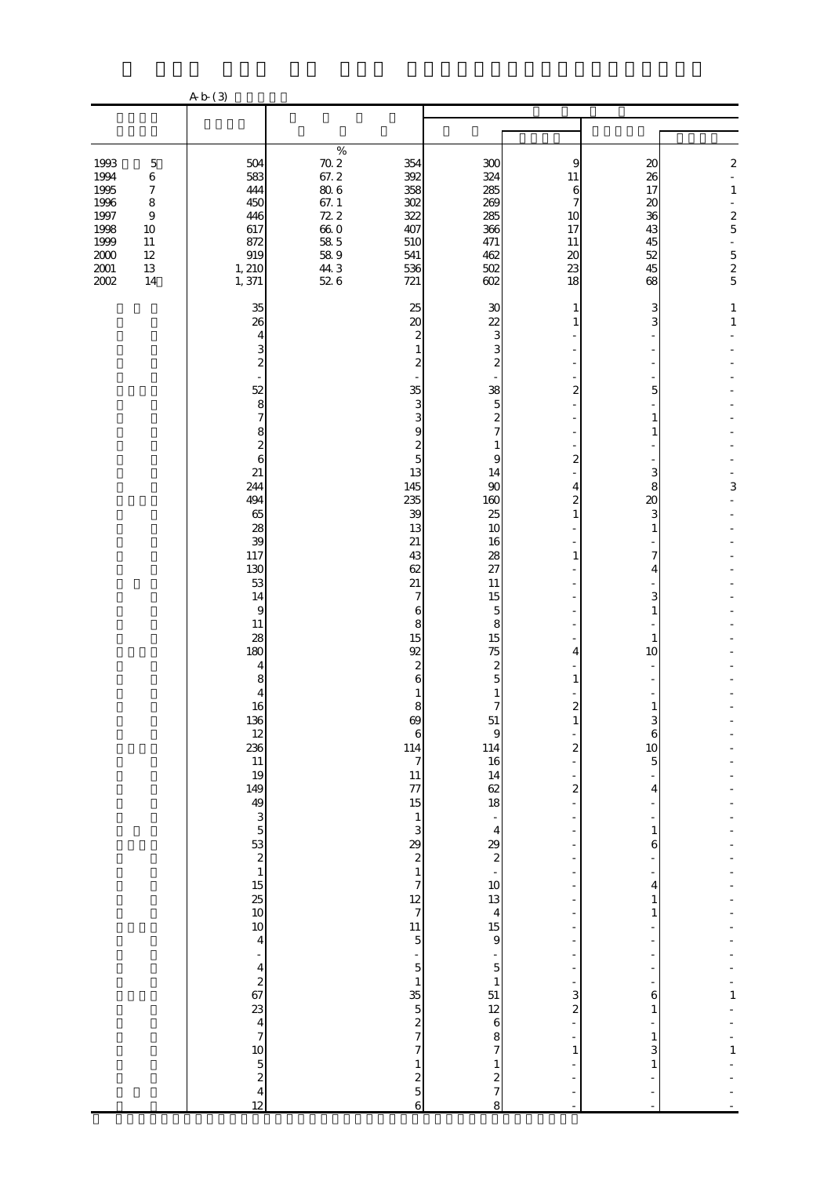|                                                                                                                                                                                                           | A b (3)                                                                                                                                                                                                                                                                                                                                                                                                                                                                                                                                                     |                                                                                                                                                          |                                                                                                                                                                                                                                                                                                                                                                                                                                                                                                                                                                   |                                                                                                                                                                                                                                                                                                                                                                                                                                                                                                                                                                                                    |                                                                                                                                                                                                                                                                               |                                                                                                                                                                                                                                                                                                                              |                                                                                                   |
|-----------------------------------------------------------------------------------------------------------------------------------------------------------------------------------------------------------|-------------------------------------------------------------------------------------------------------------------------------------------------------------------------------------------------------------------------------------------------------------------------------------------------------------------------------------------------------------------------------------------------------------------------------------------------------------------------------------------------------------------------------------------------------------|----------------------------------------------------------------------------------------------------------------------------------------------------------|-------------------------------------------------------------------------------------------------------------------------------------------------------------------------------------------------------------------------------------------------------------------------------------------------------------------------------------------------------------------------------------------------------------------------------------------------------------------------------------------------------------------------------------------------------------------|----------------------------------------------------------------------------------------------------------------------------------------------------------------------------------------------------------------------------------------------------------------------------------------------------------------------------------------------------------------------------------------------------------------------------------------------------------------------------------------------------------------------------------------------------------------------------------------------------|-------------------------------------------------------------------------------------------------------------------------------------------------------------------------------------------------------------------------------------------------------------------------------|------------------------------------------------------------------------------------------------------------------------------------------------------------------------------------------------------------------------------------------------------------------------------------------------------------------------------|---------------------------------------------------------------------------------------------------|
|                                                                                                                                                                                                           |                                                                                                                                                                                                                                                                                                                                                                                                                                                                                                                                                             |                                                                                                                                                          |                                                                                                                                                                                                                                                                                                                                                                                                                                                                                                                                                                   |                                                                                                                                                                                                                                                                                                                                                                                                                                                                                                                                                                                                    |                                                                                                                                                                                                                                                                               |                                                                                                                                                                                                                                                                                                                              |                                                                                                   |
| 1993<br>$\mathbf 5$<br>1994<br>$\,6$<br>1995<br>$\boldsymbol{7}$<br>1996<br>$\,8\,$<br>1997<br>$\boldsymbol{9}$<br>1998<br>$10\,$<br>1999<br>$11\,$<br>$2000\,$<br>$12\,$<br>$2001\,$<br>13<br>2002<br>14 | 504<br>583<br>444<br>450<br>446<br>617<br>872<br>919<br>1, 210<br>1,371                                                                                                                                                                                                                                                                                                                                                                                                                                                                                     | $\%$<br>$\begin{array}{c} 70.2 \\ 67.2 \end{array}$<br>$80\;6$<br>67.1<br>72.2<br>$\begin{array}{c} 66.0 \\ 58.5 \end{array}$<br>$58\ 9$<br>44.3<br>52 6 | 354<br>392<br>358<br>302<br>322<br>407<br>510<br>541<br>536<br>721                                                                                                                                                                                                                                                                                                                                                                                                                                                                                                | 300<br>324<br>285<br>269<br>285<br>366<br>471<br>462<br>502<br>602                                                                                                                                                                                                                                                                                                                                                                                                                                                                                                                                 | 9<br>11<br>6<br>7<br>10<br>17<br>11<br>20<br>23<br>18                                                                                                                                                                                                                         | 20<br>26<br>17<br>$20\,$<br>36<br>43<br>45<br>52<br>45<br>68                                                                                                                                                                                                                                                                 | $\boldsymbol{2}$<br>÷,<br>$\,1$<br>L,<br>$rac{2}{5}$<br>$\overline{\phantom{a}}$<br>$\frac{5}{2}$ |
|                                                                                                                                                                                                           | 35<br>26<br>4<br>3<br>$\overline{\mathcal{L}}$<br>52<br>8<br>$\overline{7}$<br>8<br>$\overline{\mathcal{L}}$<br>6<br>21<br>244<br>494<br>65<br>28<br>39<br>117<br>130<br>53<br>14<br>$\overline{9}$<br>11<br>28<br>180<br>$\overline{4}$<br>8<br>4<br>16<br>136<br>12<br>236<br>11<br>19<br>149<br>49<br>$\frac{3}{5}$<br>$\frac{53}{2}$<br>$\mathbf{1}$<br>$\frac{15}{25}$<br>10<br>10<br>$\overline{4}$<br>$\overline{a}$<br>$\begin{array}{c}\n4 \\ 2 \\ 67\n\end{array}$<br>23<br>$\frac{4}{7}$<br>10<br>$\frac{5}{2}$<br>$\overline{\mathbf{4}}$<br>12 |                                                                                                                                                          | 25<br>20<br>$\boldsymbol{z}$<br>1<br>$\boldsymbol{z}$<br>35<br>3<br>3<br>9<br>$\boldsymbol{z}$<br>$\overline{5}$<br>13<br>145<br>235<br>39<br>13<br>21<br>43<br>62<br>21<br>7<br>6<br>8<br>15<br>92<br>$\boldsymbol{2}$<br>6<br>1<br>8<br>69<br>$\,6\,$<br>114<br>$\boldsymbol{7}$<br>11<br>77<br>15<br>$\mathbf{1}$<br>3<br>29<br>$\boldsymbol{z}$<br>$\,1\,$<br>$\overline{7}$<br>12<br>$\overline{7}$<br>11<br>$\overline{5}$<br>÷<br>$\overline{5}$<br>$\,1\,$<br>35<br>$\overline{5}$<br>$\frac{2}{7}$<br>$\overline{7}$<br>$\mathbf{1}$<br>$rac{2}{5}$<br>6 | 30<br>22<br>3<br>3<br>$\boldsymbol{z}$<br>38<br>$\overline{5}$<br>$\overline{\mathcal{L}}$<br>$\overline{7}$<br>$\mathbf{1}$<br>9<br>14<br>90<br>160<br>25<br>10<br>16<br>28<br>27<br>$11\,$<br>15<br>$\mathbf 5$<br>8<br>15<br>75<br>$\boldsymbol{z}$<br>5<br>$\,1$<br>$\overline{7}$<br>51<br>$\overline{9}$<br>114<br>16<br>14<br>62<br>18<br>$\blacksquare$<br>$\overline{4}$<br>29<br>$\boldsymbol{z}$<br>$\Box$<br>$10$<br>13<br>4<br>15<br>$\theta$<br>$\overline{\phantom{0}}$<br>$\overline{5}$<br>$\,1\,$<br>51<br>12<br>$\,$ 6 $\,$<br>8<br>$\overline{7}$<br>$\,1$<br>$rac{2}{7}$<br>8 | 1<br>1<br>$\overline{a}$<br>2<br>4<br>$\overline{a}$<br>$\mathbf{1}$<br>1<br>4<br>$\mathbf{1}$<br>$\boldsymbol{2}$<br>$\mathbf{1}$<br>$\overline{a}$<br>$\boldsymbol{z}$<br>٠<br>÷,<br>÷,<br>÷,<br>÷<br>3<br>$\overline{\mathcal{Z}}$<br>$\overline{a}$<br>÷,<br>$\mathbf{1}$ | 3<br>3<br>5<br>$\mathbf{1}$<br>1<br>3<br>8<br>20<br>3<br>$\mathbf{1}$<br>7<br>4<br>3<br>$\mathbf{1}$<br>$\mathbf{1}$<br>10<br>$\mathbf{1}$<br>3<br>6<br>10<br>5<br>4<br>$\mathbf{1}$<br>6<br>$\frac{1}{2}$<br>$\overline{4}$<br>$\mathbf{1}$<br>$\mathbf{1}$<br>÷,<br>6<br>$\mathbf{1}$<br>$\mathbf{1}$<br>3<br>$\mathbf{1}$ | $\mathbf{1}$<br>$\,1\,$<br>3<br>$\mathbf{1}$<br>$\mathbf{1}$                                      |

注 「上がり込み」とは、昼間または夜間就寝前に屋内に侵入し、金品を強奪するものをいう。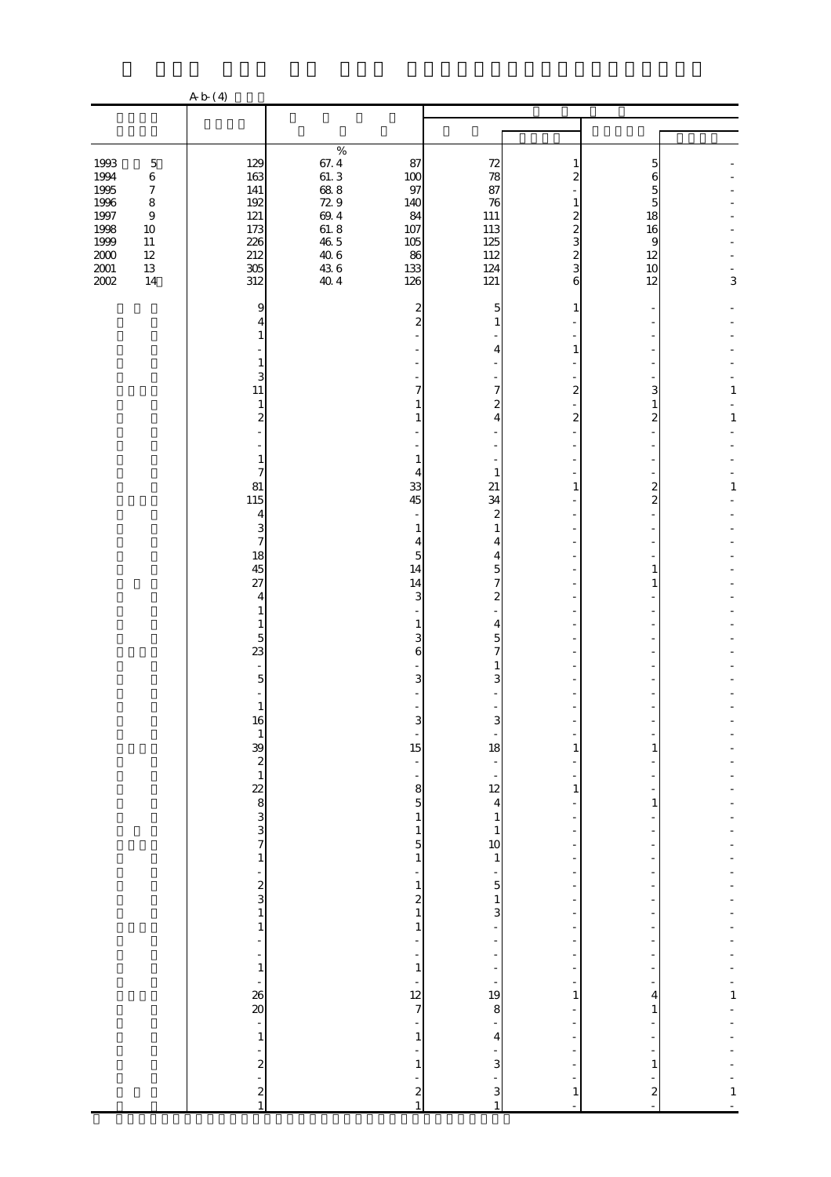|                                                                                                                                                                                                            | A b (4)                                                                                                                    |                                                                                                        |                                                                                                                             |                                                                                                                                                  |                                                                               |                                                     |                            |
|------------------------------------------------------------------------------------------------------------------------------------------------------------------------------------------------------------|----------------------------------------------------------------------------------------------------------------------------|--------------------------------------------------------------------------------------------------------|-----------------------------------------------------------------------------------------------------------------------------|--------------------------------------------------------------------------------------------------------------------------------------------------|-------------------------------------------------------------------------------|-----------------------------------------------------|----------------------------|
|                                                                                                                                                                                                            |                                                                                                                            |                                                                                                        |                                                                                                                             |                                                                                                                                                  |                                                                               |                                                     |                            |
| 1993<br>$\mathbf 5$<br>1994<br>$\,6$<br>1995<br>$\boldsymbol{7}$<br>1996<br>1997<br>$\,8\,$<br>$\boldsymbol{9}$<br>1998<br>$10\,$<br>1999<br>$11\,$<br>$\frac{200}{200}$<br>$12\,$<br>$13\,$<br>2002<br>14 | 129<br>163<br>$141\,$<br>192<br>121<br>173<br>226<br>212<br>305<br>312                                                     | $\%$<br>$\begin{array}{l} 67.4 \\ 61.3 \\ 68.8 \\ 72.9 \\ 61.8 \\ 46.5 \\ 43.6 \\ 43.4 \\ \end{array}$ | 87<br>$100\,$<br>97<br>140<br>84<br>107<br>105<br>86<br>133<br>126                                                          | 72<br>78<br>87<br>76<br>111<br>113<br>125<br>112<br>124<br>121                                                                                   | 1<br>2<br>1<br>2<br>$\overline{c}$<br>3<br>$\overline{\mathcal{Z}}$<br>3<br>6 | 5<br>6<br>5<br>5<br>18<br>16<br>9<br>12<br>10<br>12 | 3                          |
|                                                                                                                                                                                                            | 9<br>4<br>1<br>1<br>3<br>11<br>$\mathbf{1}$<br>$\boldsymbol{z}$<br>1<br>7<br>81                                            |                                                                                                        | 2<br>$\overline{c}$<br>7<br>1<br>4<br>33                                                                                    | 5<br>4<br>7<br>$\boldsymbol{2}$<br>4<br>1<br>21                                                                                                  | 1<br>1<br>$\overline{2}$<br>$\overline{\mathcal{Z}}$<br>1                     | 3<br>1<br>$\overline{c}$<br>$\overline{\mathbf{c}}$ | $\mathbf{1}$<br>$\,1$<br>1 |
|                                                                                                                                                                                                            | 115<br>4<br>3<br>$\overline{7}$<br>18<br>45<br>27<br>4<br>1<br>1<br>$\overline{5}$<br>23<br>$\overline{5}$                 |                                                                                                        | 45<br>1<br>4<br>5<br>14<br>14<br>3<br>1<br>3<br>6<br>3                                                                      | 34<br>$\mathbf{z}$<br>$\mathbf{1}$<br>4<br>4<br>$\overline{5}$<br>$\overline{7}$<br>$\boldsymbol{z}$<br>$\overline{4}$<br>$\mathbf{5}$<br>7<br>3 |                                                                               | $\overline{c}$<br>1<br>1                            |                            |
|                                                                                                                                                                                                            | $\mathbf{1}$<br>16<br>$\,$ 1<br>$\begin{array}{c}\n 39 \\  2 \\  1\n \end{array}$<br>22 8 3 3 7<br>$\,1\,$                 |                                                                                                        | 3<br>÷<br>15<br>÷,<br>$\overline{\phantom{m}}$<br>8<br>5<br>$\mathbf{1}$<br>$\mathbf 1$<br>5<br>$\mathbf{1}$                | З<br>18<br>$\frac{1}{12}$<br>$\overline{4}$<br>$\mathbf{1}$<br>$\mathbf{1}$<br>10<br>$\mathbf{1}$                                                | 1<br>1                                                                        | 1<br>1                                              |                            |
|                                                                                                                                                                                                            | $\frac{1}{2}$<br>$\,$ 1 $\,$<br>1<br>$\frac{1}{2}$<br>$\mathbf 1$<br>$\frac{1}{26}$<br>$\overline{\phantom{a}}$<br>$\,1\,$ |                                                                                                        | $\,1$<br>$\begin{smallmatrix} 2\\1 \end{smallmatrix}$<br>1<br>÷<br>$\mathbf 1$<br>÷<br>12<br>$\overline{7}$<br>$\mathbf{1}$ | $\overline{5}$<br>$\,1\,$<br>$\overline{\mathbf{3}}$<br>-<br>$\frac{1}{19}$<br>$\bf8$<br>4                                                       | $\overline{a}$<br>-<br>1                                                      | 4<br>1                                              | $\mathbf{1}$               |
|                                                                                                                                                                                                            | ÷<br>$\overline{\mathcal{L}}$<br>$\overline{a}$<br>$\boldsymbol{z}$<br>$\mathbf{1}$                                        |                                                                                                        | $\mathbf{1}$<br>$\boldsymbol{z}$<br>$\mathbf{1}$                                                                            | $\mathbf{3}$<br>3<br>$\mathbf{1}$                                                                                                                | $\mathbf{1}$                                                                  | 1<br>$\boldsymbol{z}$                               | $\mathbf{1}$               |

 $\mathcal{A} = \{x_i, y_i\}$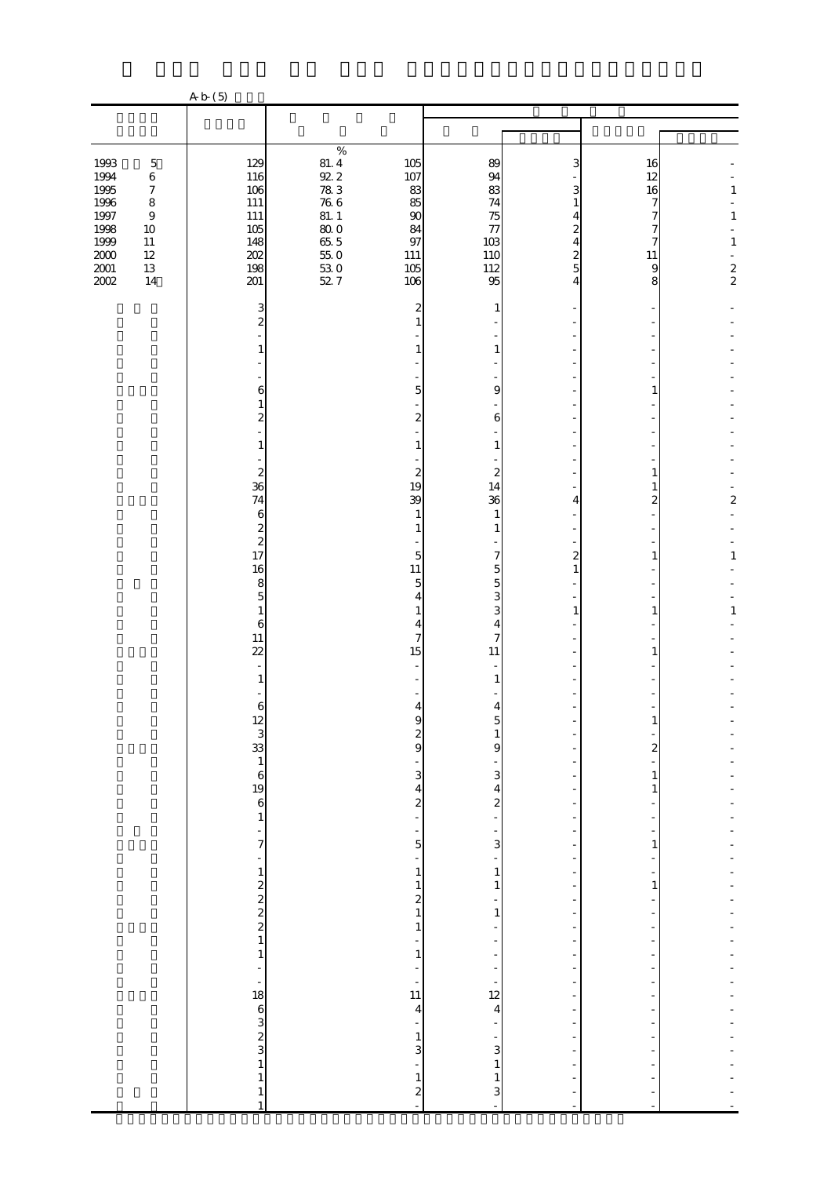|                                                                                      |                                                                                                                         | A b (5)                                                                    |                                                                                                             |                                                                       |                                                             |                                                                  |                                                                 |                                                      |
|--------------------------------------------------------------------------------------|-------------------------------------------------------------------------------------------------------------------------|----------------------------------------------------------------------------|-------------------------------------------------------------------------------------------------------------|-----------------------------------------------------------------------|-------------------------------------------------------------|------------------------------------------------------------------|-----------------------------------------------------------------|------------------------------------------------------|
|                                                                                      |                                                                                                                         |                                                                            |                                                                                                             |                                                                       |                                                             |                                                                  |                                                                 |                                                      |
|                                                                                      |                                                                                                                         |                                                                            |                                                                                                             |                                                                       |                                                             |                                                                  |                                                                 |                                                      |
| 1993<br>1994<br>1995<br>1996<br>1997<br>1998<br>1999<br>$2000\,$<br>$2001\,$<br>2002 | $\mathbf 5$<br>$\,6\,$<br>$\boldsymbol{7}$<br>$\,8\,$<br>$\boldsymbol{9}$<br>$10\,$<br>$11\,$<br>$12\,$<br>$13\,$<br>14 | 129<br>116<br>106<br>$111\,$<br>$111\,$<br>105<br>148<br>202<br>198<br>201 | $\%$<br>$81.4$<br>$92.2$<br>$78.3$<br>$76\ 6$<br>$81.1$<br>$80.0$<br>$65.5$<br>$55\,0$<br>$\frac{53}{52}$ 0 | 105<br>107<br>83<br>85<br>$90\,$<br>84<br>97<br>$111\,$<br>105<br>106 | 89<br>94<br>83<br>74<br>75<br>77<br>103<br>110<br>112<br>95 | 3<br>3<br>4<br>2<br>4<br>$\boldsymbol{z}$<br>$\overline{5}$<br>4 | 16<br>12<br>16<br>7<br>7<br>7<br>7<br>11<br>$\overline{9}$<br>8 | $\,1\,$<br>$\,1\,$<br>$\,1\,$<br>÷,<br>$\frac{2}{2}$ |
|                                                                                      |                                                                                                                         |                                                                            |                                                                                                             |                                                                       |                                                             |                                                                  |                                                                 |                                                      |
|                                                                                      |                                                                                                                         | 3<br>$\overline{\mathcal{Z}}$<br>1<br>6                                    |                                                                                                             | 2<br>5                                                                | 1<br>1<br>9                                                 |                                                                  | 1                                                               |                                                      |
|                                                                                      |                                                                                                                         | 1<br>$\overline{\mathcal{Z}}$                                              |                                                                                                             | 2                                                                     | $\sqrt{6}$                                                  |                                                                  |                                                                 |                                                      |
|                                                                                      |                                                                                                                         | 1                                                                          |                                                                                                             | 1                                                                     | $\mathbf{1}$                                                |                                                                  |                                                                 |                                                      |
|                                                                                      |                                                                                                                         |                                                                            |                                                                                                             |                                                                       |                                                             |                                                                  |                                                                 |                                                      |
|                                                                                      |                                                                                                                         | $\boldsymbol{z}$<br>36                                                     |                                                                                                             | $\boldsymbol{z}$<br>19                                                | $\overline{\mathcal{Z}}$<br>14                              |                                                                  | 1                                                               |                                                      |
|                                                                                      |                                                                                                                         | 74<br>6                                                                    |                                                                                                             | 39<br>1                                                               | 36<br>1                                                     | 4                                                                | 2                                                               | $\overline{\mathbf{c}}$                              |
|                                                                                      |                                                                                                                         | $\boldsymbol{z}$<br>$\overline{\mathcal{L}}$                               |                                                                                                             | 1                                                                     | 1                                                           |                                                                  |                                                                 |                                                      |
|                                                                                      |                                                                                                                         | 17                                                                         |                                                                                                             | 5                                                                     | 7                                                           | $\boldsymbol{z}$                                                 | 1                                                               | $\,1$                                                |
|                                                                                      |                                                                                                                         | 16<br>8                                                                    |                                                                                                             | $11\,$<br>5                                                           | 5<br>$\overline{5}$                                         | $\mathbf{1}$                                                     |                                                                 |                                                      |
|                                                                                      |                                                                                                                         | $\overline{5}$<br>$\mathbf{1}$                                             |                                                                                                             | 4                                                                     | 3<br>3                                                      | $\mathbf{1}$                                                     | 1                                                               | $\,1$                                                |
|                                                                                      |                                                                                                                         | $\mathbf{6}$<br>$11\,$                                                     |                                                                                                             | 4<br>7                                                                | 4<br>7                                                      |                                                                  |                                                                 |                                                      |
|                                                                                      |                                                                                                                         | $\overline{22}$                                                            |                                                                                                             | 15                                                                    | 11                                                          |                                                                  | 1                                                               |                                                      |
|                                                                                      |                                                                                                                         | $\mathbf{1}$                                                               |                                                                                                             |                                                                       | 1                                                           |                                                                  |                                                                 |                                                      |
|                                                                                      |                                                                                                                         | $\mathbf{6}$                                                               |                                                                                                             | 4                                                                     | $\overline{4}$                                              |                                                                  |                                                                 |                                                      |
|                                                                                      |                                                                                                                         |                                                                            |                                                                                                             | A                                                                     | $\mathbf{1}$                                                |                                                                  |                                                                 |                                                      |
|                                                                                      |                                                                                                                         | $12$ 3<br>$3$ 3<br>$1$ 6<br>$1$ 6<br>$1$                                   |                                                                                                             | $\frac{2}{9}$                                                         | 9                                                           |                                                                  | 2                                                               |                                                      |
|                                                                                      |                                                                                                                         |                                                                            |                                                                                                             | 3                                                                     | 3                                                           |                                                                  | 1                                                               |                                                      |
|                                                                                      |                                                                                                                         |                                                                            |                                                                                                             | $\overline{\mathbf{4}}$<br>$\boldsymbol{z}$                           | $\overline{\mathcal{L}}$<br>$\mathbf{z}$                    |                                                                  |                                                                 |                                                      |
|                                                                                      |                                                                                                                         |                                                                            |                                                                                                             | $\overline{a}$                                                        | ÷                                                           | $\overline{\phantom{a}}$                                         |                                                                 |                                                      |
|                                                                                      |                                                                                                                         | $\frac{1}{7}$                                                              |                                                                                                             | 5                                                                     | 3                                                           | $\overline{a}$                                                   | 1                                                               |                                                      |
|                                                                                      |                                                                                                                         |                                                                            |                                                                                                             | $\overline{\phantom{0}}$<br>$\mathbf{1}$                              | $\overline{a}$<br>$\mathbf{1}$                              | ÷,<br>÷,                                                         |                                                                 |                                                      |
|                                                                                      |                                                                                                                         | $\begin{array}{c} 1 \\ 1 \\ 1 \end{array}$                                 |                                                                                                             | $\mathbf{1}$                                                          | $\mathbf{1}$                                                | ÷<br>ł,                                                          | 1                                                               |                                                      |
|                                                                                      |                                                                                                                         |                                                                            |                                                                                                             | $\begin{smallmatrix} 2\\1 \end{smallmatrix}$<br>1                     | $\mathbf{1}$                                                | ÷<br>ł,                                                          |                                                                 |                                                      |
|                                                                                      |                                                                                                                         |                                                                            |                                                                                                             |                                                                       |                                                             | ÷                                                                |                                                                 |                                                      |
|                                                                                      |                                                                                                                         | ÷,                                                                         |                                                                                                             | $\,1\,$                                                               | $\overline{\phantom{m}}$                                    | ÷,<br>÷,                                                         |                                                                 |                                                      |
|                                                                                      |                                                                                                                         |                                                                            |                                                                                                             | 11                                                                    | f<br>12                                                     | $\overline{\phantom{a}}$                                         |                                                                 |                                                      |
|                                                                                      |                                                                                                                         | $18$<br>$6$<br>$3$<br>$2$<br>$3$<br>$1$                                    |                                                                                                             | $\overline{4}$                                                        | $\overline{4}$                                              | $\overline{\phantom{a}}$                                         |                                                                 |                                                      |
|                                                                                      |                                                                                                                         |                                                                            |                                                                                                             | $\,1\,$                                                               | $\frac{1}{3}$                                               |                                                                  |                                                                 |                                                      |
|                                                                                      |                                                                                                                         |                                                                            |                                                                                                             | 3                                                                     | $\mathbf{1}$                                                |                                                                  |                                                                 |                                                      |
|                                                                                      |                                                                                                                         | $\,1$<br>$\mathbf{1}$                                                      |                                                                                                             | $\mathbf{1}$<br>$\overline{\mathcal{L}}$                              | $\mathbf{1}$<br>3                                           |                                                                  |                                                                 |                                                      |
|                                                                                      |                                                                                                                         | $1\,$                                                                      |                                                                                                             | L.                                                                    | ÷,                                                          |                                                                  |                                                                 |                                                      |

「民主な」とは、全国の屋内に侵入し、家人等に発見されて戦争をいう。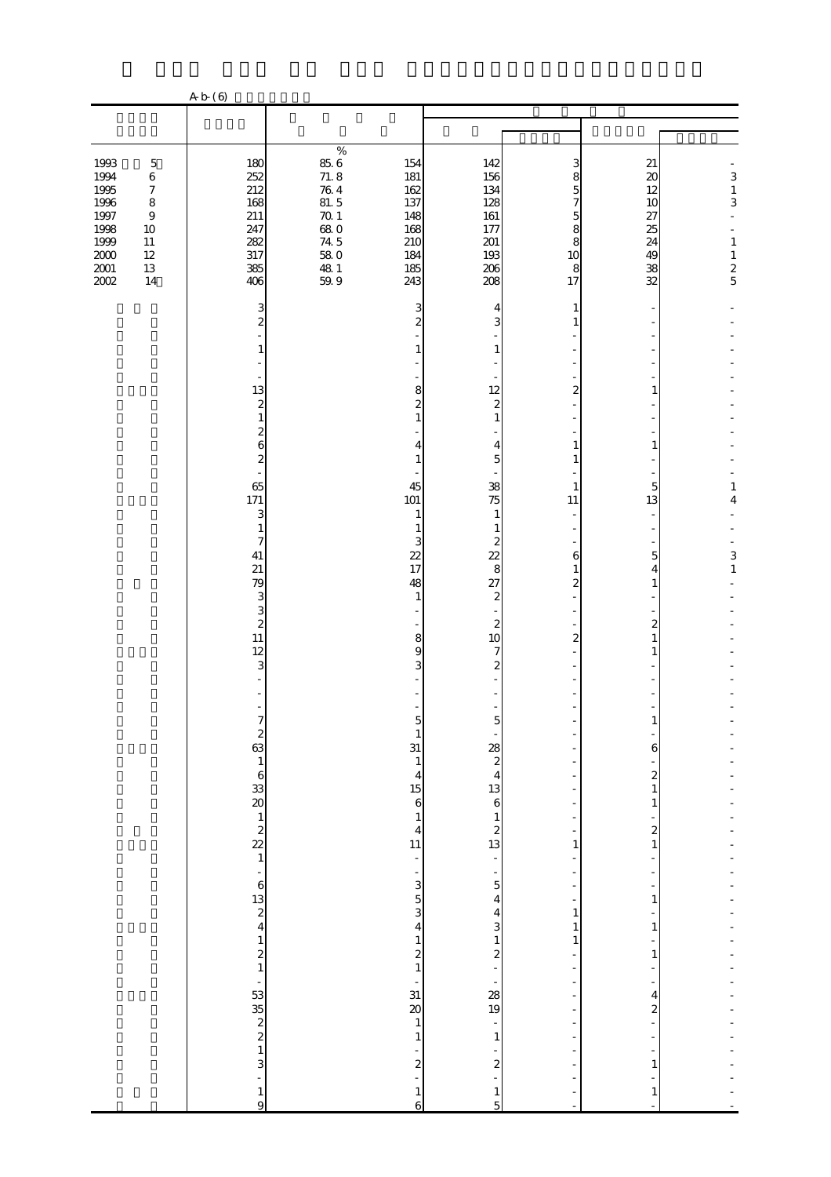|                                                                                          |                                                                                                               | A b (6)                                                                                                                                                                                                                                                                                                                                                                                                                                                                                                                                    |                                                                                                                                                                                                                                                                                                                                                                       |                                                                                                                                                                                                                                                                                                                                                                                                                                                                     |                                                                                                            |                                                                                                                                          |                                                                  |
|------------------------------------------------------------------------------------------|---------------------------------------------------------------------------------------------------------------|--------------------------------------------------------------------------------------------------------------------------------------------------------------------------------------------------------------------------------------------------------------------------------------------------------------------------------------------------------------------------------------------------------------------------------------------------------------------------------------------------------------------------------------------|-----------------------------------------------------------------------------------------------------------------------------------------------------------------------------------------------------------------------------------------------------------------------------------------------------------------------------------------------------------------------|---------------------------------------------------------------------------------------------------------------------------------------------------------------------------------------------------------------------------------------------------------------------------------------------------------------------------------------------------------------------------------------------------------------------------------------------------------------------|------------------------------------------------------------------------------------------------------------|------------------------------------------------------------------------------------------------------------------------------------------|------------------------------------------------------------------|
|                                                                                          |                                                                                                               |                                                                                                                                                                                                                                                                                                                                                                                                                                                                                                                                            |                                                                                                                                                                                                                                                                                                                                                                       |                                                                                                                                                                                                                                                                                                                                                                                                                                                                     |                                                                                                            |                                                                                                                                          |                                                                  |
|                                                                                          |                                                                                                               |                                                                                                                                                                                                                                                                                                                                                                                                                                                                                                                                            |                                                                                                                                                                                                                                                                                                                                                                       |                                                                                                                                                                                                                                                                                                                                                                                                                                                                     |                                                                                                            |                                                                                                                                          |                                                                  |
| 1993<br>1994<br>1995<br>1996<br>$1997\,$<br>1998<br>1999<br>$2000\,$<br>$2001\,$<br>2002 | $\mathbf 5$<br>$\,6\,$<br>$\boldsymbol{7}$<br>8<br>$\boldsymbol{9}$<br>$10\,$<br>$11\,$<br>$12\,$<br>13<br>14 | 180<br>252<br>212<br>168<br>211<br>247<br>282<br>317<br>385<br>406                                                                                                                                                                                                                                                                                                                                                                                                                                                                         | $\%$<br>$85.6$<br>71.8<br>154<br>181<br>$76\ 4$<br>162<br>81.5<br>137<br>$70.1\,$<br>148<br>$\frac{680}{745}$<br>168<br>210<br>$58\ 0$<br>184<br>$\frac{48}{59}$ 9<br>185<br>243                                                                                                                                                                                      | 142<br>156<br>134<br>128<br>161<br>177<br>201<br>193<br>206<br>208                                                                                                                                                                                                                                                                                                                                                                                                  | З<br>8<br>5<br>7<br>5<br>8<br>8<br>10<br>8<br>17                                                           | 21<br>$\boldsymbol{\chi}$<br>12<br>10<br>27<br>25<br>24<br>49<br>38<br>32                                                                | 3<br>$\frac{1}{3}$<br>$\overline{a}$<br>$\,1\,$<br>$\frac{1}{2}$ |
|                                                                                          |                                                                                                               | 3<br>$\overline{\mathcal{Z}}$<br>1<br>13<br>$\boldsymbol{z}$<br>$\mathbf{1}$<br>$\overline{\mathcal{Z}}$<br>6<br>$\overline{\mathcal{Z}}$<br>65<br>171<br>3<br>$\mathbf{1}$<br>7<br>41<br>21<br>79<br>3<br>3<br>$\boldsymbol{z}$<br>11<br>12<br>3<br>$\overline{\phantom{m}}$<br>$\begin{array}{c} 2 \\ 63 \\ 1 \end{array}$<br>$\begin{array}{c} 6 \\ 33 \\ 20 \end{array}$<br>$\begin{array}{c} 1 \\ 2 \\ 22 \\ 1 \end{array}$<br>÷,<br>$\boldsymbol{6}$<br>$\begin{array}{c} 13 \\ 2 \\ 4 \end{array}$<br>$\mathbf{1}$<br>$\frac{2}{1}$ | 3<br>2<br>1<br>8<br>$\overline{c}$<br>1<br>4<br>1<br>45<br>101<br>$\mathbf{1}$<br>1<br>3<br>22<br>17<br>48<br>1<br>8<br>9<br>3<br>$\mathbf{1}$<br>31<br>$\mathbf{1}$<br>$\overline{4}$<br>15<br>$\overline{6}$<br>$\mathbf{1}$<br>$\overline{4}$<br>11<br>÷,<br>$\overline{\phantom{0}}$<br>3<br>$\overline{5}$<br>3<br>4<br>$\mathbf{1}$<br>$\overline{\mathcal{L}}$ | 4<br>3<br>$\mathbf{1}$<br>12<br>$\overline{\mathcal{Z}}$<br>$\mathbf{1}$<br>4<br>$\overline{5}$<br>38<br>75<br>$\mathbf{1}$<br>$\mathbf{1}$<br>2<br>22<br>8<br>27<br>$\boldsymbol{z}$<br>$\overline{\phantom{m}}$<br>$\boldsymbol{z}$<br>10<br>7<br>$\mathbf{z}$<br>5<br>$\frac{28}{2}$<br>$\overline{4}$<br>13<br>$\mathbf 6$<br>$\mathbf{1}$<br>$\boldsymbol{z}$<br>13<br>$\frac{1}{2}$<br>$\overline{a}$<br>5<br>4<br>4<br>3<br>$\mathbf{1}$<br>$\boldsymbol{z}$ | 1<br>$\overline{a}$<br>1<br>1<br>1<br>11<br>6<br>1<br>$\mathbf{z}$<br>$\boldsymbol{2}$<br>1<br>1<br>1<br>1 | 1<br>1<br>5<br>13<br>5<br>4<br>1<br>2<br>$\mathbf{1}$<br>1<br>6<br>$\mathbf{z}$<br>1<br>$\mathbf{1}$<br>$\mathbf{z}$<br>1<br>1<br>1<br>1 | 1<br>4<br>$\begin{array}{c} 3 \\ 1 \end{array}$                  |
|                                                                                          |                                                                                                               | ÷<br>$\begin{array}{c}\n 53 \\  2 \ 2 \ 1\n \end{array}$<br>3<br>$\mathbf{1}$<br>$\overline{9}$                                                                                                                                                                                                                                                                                                                                                                                                                                            | $\mathbf{1}$<br>31<br>$\infty$<br>$\mathbf{1}$<br>$\mathbf{1}$<br>$\boldsymbol{z}$<br>$\mathbf{1}$<br>$\overline{6}$                                                                                                                                                                                                                                                  | <b>28</b><br>19<br>$1\,$<br>$\boldsymbol{z}$<br>$\mathbf{1}$<br>$\mathbf{5}$                                                                                                                                                                                                                                                                                                                                                                                        |                                                                                                            | 4<br>2<br>1<br>1                                                                                                                         |                                                                  |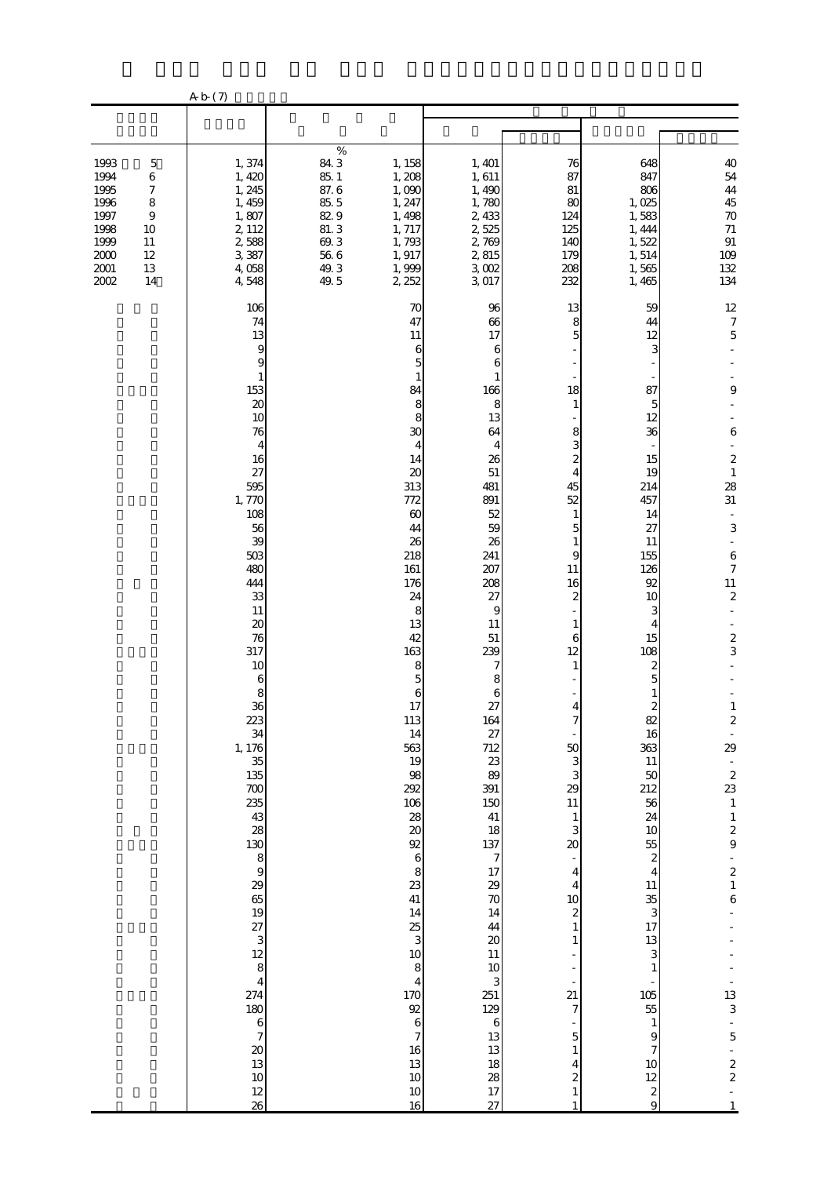|                                                                                                                                                                                               | A b (7)                                                                                                                                                                                                                                                                                                                                                                                                                                                                             |                                                                                                                                                                                                                                                                                                                                                                                                                                                            |                                                                                                                                                                                                                                                                                                                                                                                                                                               |                                                                                                                                                                                                                                                                                                                                                                                                        |                                                                                                                                                                                                                                                                                                                                                                                                                           |                                                                                                                                                                                                                                                                                                                                                                                                                                                                               |
|-----------------------------------------------------------------------------------------------------------------------------------------------------------------------------------------------|-------------------------------------------------------------------------------------------------------------------------------------------------------------------------------------------------------------------------------------------------------------------------------------------------------------------------------------------------------------------------------------------------------------------------------------------------------------------------------------|------------------------------------------------------------------------------------------------------------------------------------------------------------------------------------------------------------------------------------------------------------------------------------------------------------------------------------------------------------------------------------------------------------------------------------------------------------|-----------------------------------------------------------------------------------------------------------------------------------------------------------------------------------------------------------------------------------------------------------------------------------------------------------------------------------------------------------------------------------------------------------------------------------------------|--------------------------------------------------------------------------------------------------------------------------------------------------------------------------------------------------------------------------------------------------------------------------------------------------------------------------------------------------------------------------------------------------------|---------------------------------------------------------------------------------------------------------------------------------------------------------------------------------------------------------------------------------------------------------------------------------------------------------------------------------------------------------------------------------------------------------------------------|-------------------------------------------------------------------------------------------------------------------------------------------------------------------------------------------------------------------------------------------------------------------------------------------------------------------------------------------------------------------------------------------------------------------------------------------------------------------------------|
|                                                                                                                                                                                               |                                                                                                                                                                                                                                                                                                                                                                                                                                                                                     |                                                                                                                                                                                                                                                                                                                                                                                                                                                            |                                                                                                                                                                                                                                                                                                                                                                                                                                               |                                                                                                                                                                                                                                                                                                                                                                                                        |                                                                                                                                                                                                                                                                                                                                                                                                                           |                                                                                                                                                                                                                                                                                                                                                                                                                                                                               |
| 1993<br>$\mathbf 5$<br>6<br>1994<br>1995<br>$\boldsymbol{7}$<br>$\,$ 8 $\,$<br>1996<br>1997<br>$\boldsymbol{9}$<br>1998<br>10<br>1999<br>$11\,$<br>2000<br>12<br>$2001\,$<br>13<br>2002<br>14 | 1,374<br>1, 420<br>1, 245<br>1, 459<br>1,807<br>2, 112<br>2,588<br>3,387<br>4,058<br>4,548                                                                                                                                                                                                                                                                                                                                                                                          | $\%$<br>84.3<br>1, 158<br>85. 1<br>87. 6<br>1, 208<br>1,090<br>85.5<br>1, 247<br>82.9<br>1,498<br>$81.\,3$<br>1, 717<br>69.3<br>1,793<br>$56\ 6$<br>1, 917<br>49.3<br>1,999<br>49.5<br>2, 252                                                                                                                                                                                                                                                              | 1, 401<br>1,611<br>1,490<br>1,780<br>2, 433<br>2,525<br>2,769<br>2,815<br>3,002<br>3,017                                                                                                                                                                                                                                                                                                                                                      | 76<br>87<br>81<br>80<br>124<br>125<br>140<br>179<br>208<br>232                                                                                                                                                                                                                                                                                                                                         | 648<br>847<br>806<br>1,025<br>1,583<br>1, 444<br>1,522<br>1,514<br>1,565<br>1,465                                                                                                                                                                                                                                                                                                                                         | 40<br>54<br>44<br>45<br>$\rm 70$<br>$71$<br>$\, 91$<br>109<br>132<br>134                                                                                                                                                                                                                                                                                                                                                                                                      |
|                                                                                                                                                                                               | 106<br>74<br>13<br>9<br>9<br>1<br>153<br>$\infty$<br>10<br>76<br>$\overline{4}$<br>16<br>27<br>595<br>1,770<br>108<br>56<br>39<br>503<br>480<br>444<br>33<br>$11\,$<br>20<br>76<br>317<br>10<br>$\boldsymbol{6}$<br>8<br>36<br>223<br>34<br>1, 176<br>35<br>135<br>700<br>235<br>43<br>28<br>$\begin{bmatrix} 130 \\ 8 \\ 9 \end{bmatrix}$<br>29<br>65<br>$\begin{array}{c} 19 \\ 27 \\ 3 \\ 8 \\ 4 \end{array}$<br>274<br>180<br>$\frac{6}{7}$<br>$\infty$<br>13<br>10<br>12<br>26 | 70<br>47<br>$11\,$<br>6<br>5<br>1<br>84<br>8<br>8<br>30<br>4<br>14<br>20<br>313<br>772<br>$\infty$<br>44<br>26<br>218<br>161<br>176<br>24<br>8<br>13<br>42<br>163<br>8<br>5<br>6<br>17<br>113<br>14<br>563<br>19<br>98<br>292<br>106<br>28<br>$\pmb{\mathcal{Z}}$<br>92<br>$\,$ 6 $\,$<br>8<br>23<br>41<br>14<br>25<br>3<br>10<br>8<br>$\overline{\mathbf{4}}$<br><b>170</b><br>92<br>$\boldsymbol{6}$<br>$\overline{7}$<br>16<br>13<br>10<br>$10\,$<br>16 | 96<br>66<br>17<br>6<br>6<br>1<br>166<br>8<br>13<br>64<br>4<br>26<br>51<br>481<br>891<br>52<br>59<br>26<br>241<br>207<br>208<br>27<br>9<br>11<br>$51\,$<br>239<br>7<br>8<br>6<br>27<br>164<br>27<br>712<br>23<br>89<br>391<br>150<br>41<br>18<br>$\begin{array}{c} 137 \\ 7 \end{array}$<br>17<br>29<br>$\overline{70}$<br>14<br>44<br>$\boldsymbol{\chi}$<br>$11\,$<br>$10$<br>3<br>251<br>129<br>$\,6\,$<br>13<br>13<br>18<br>28<br>17<br>27 | 13<br>8<br>5<br>18<br>1<br>8<br>3<br>$\overline{\mathcal{Z}}$<br>4<br>45<br>52<br>$\mathbf{1}$<br>5<br>1<br>9<br>11<br>16<br>2<br>1<br>6<br>12<br>1<br>$\overline{4}$<br>50<br>3<br>3<br>29<br>11<br>$\mathbf{1}$<br>3<br>20<br>$\overline{\mathbf{4}}$<br>4<br>10<br>$\overline{\mathcal{L}}$<br>1<br>$\overline{21}$<br>7<br>5<br>1<br>4<br>$\overline{\mathcal{Z}}$<br>$\mathbf{1}$<br>$\mathbf{1}$ | 59<br>44<br>12<br>3<br>87<br>5<br>12<br>36<br>15<br>19<br>214<br>457<br>14<br>27<br>11<br>155<br>126<br>92<br>10<br>З<br>4<br>15<br>108<br>$\boldsymbol{z}$<br>5<br>1<br>$\mathbf{z}$<br>82<br>16<br>363<br>11<br>50<br>212<br>56<br>24<br>10<br>55<br>$\boldsymbol{z}$<br>$\overline{4}$<br>11<br>35<br>3<br>17<br>13<br>3<br>1<br>105<br>55<br>$\mathbf{1}$<br>9<br>7<br>10<br>12<br>$\boldsymbol{z}$<br>$\overline{9}$ | 12<br>$\boldsymbol{7}$<br>$\mathbf 5$<br>9<br>$\,6$<br>$\boldsymbol{z}$<br>$\,1\,$<br>28<br>31<br>$\Box$<br>$\,$ 3 $\,$<br>$\blacksquare$<br>$\,6$<br>$\boldsymbol{7}$<br>$\frac{11}{2}$<br>$\frac{2}{3}$<br>$\mathbf{1}$<br>$\boldsymbol{2}$<br>29<br>$rac{2}{23}$<br>$\,1\,$<br>$\begin{array}{c} 1 \\ 2 \\ 9 \end{array}$<br>$\begin{array}{c} 2 \\ 1 \end{array}$<br>$\overline{6}$<br>13<br>3<br>$\overline{5}$<br>$\begin{array}{c} 2 \\ 2 \end{array}$<br>$\mathbf{1}$ |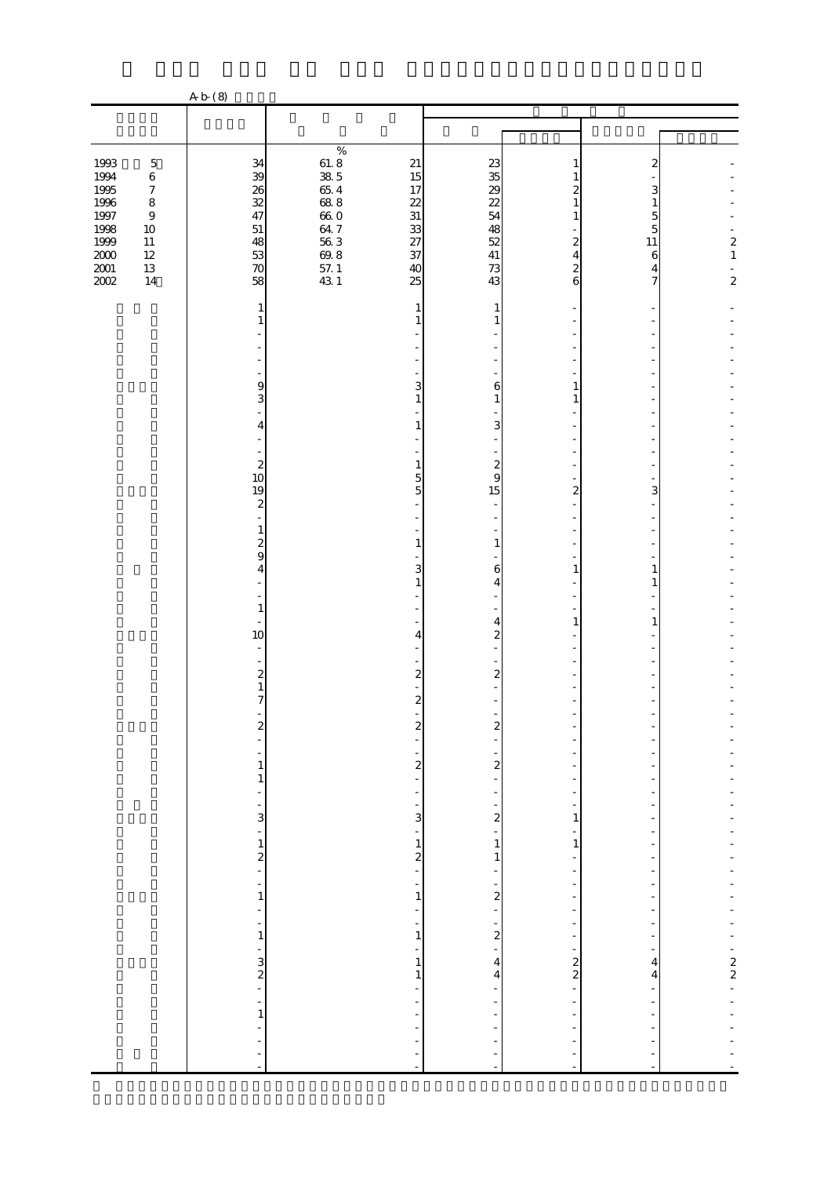|                                      |                                                     | A b (8)                                                      |                                                                                                  |                                                           |                                                 |                                                                                  |                     |                                            |
|--------------------------------------|-----------------------------------------------------|--------------------------------------------------------------|--------------------------------------------------------------------------------------------------|-----------------------------------------------------------|-------------------------------------------------|----------------------------------------------------------------------------------|---------------------|--------------------------------------------|
|                                      |                                                     |                                                              |                                                                                                  |                                                           |                                                 |                                                                                  |                     |                                            |
|                                      |                                                     |                                                              |                                                                                                  |                                                           |                                                 |                                                                                  |                     |                                            |
| 1993                                 | $\mathbf 5$<br>$\,$ 6 $\,$                          | 34                                                           | $\%$                                                                                             | 21<br>15                                                  | 23                                              | 1                                                                                | 2                   |                                            |
| 1994<br>1995<br>$1996\,$<br>$1997\,$ | $\boldsymbol{7}$<br>$\,$ 8 $\,$<br>$\boldsymbol{9}$ | $\frac{1}{32}$<br>47                                         |                                                                                                  | 17<br>22<br>31                                            | $\frac{35}{29}$<br>22<br>54                     | 1                                                                                | 3<br>1<br>5         |                                            |
| $1998\,$<br>$1999\,$<br>$2000\,$     | $10\,$<br>$11\,$<br>$12\,$                          | 51<br>48<br>53                                               | $\begin{array}{l} 61.8 \\ 38.5 \\ 65.4 \\ 68.8 \\ 64.8 \\ 64.7 \\ 56.8 \\ 71.4 \\ 1 \end{array}$ | $\frac{33}{27}$<br>37                                     | 48<br>52<br>$41\,$                              | $\overline{\mathcal{Z}}$<br>4                                                    | 5<br>$11\,$<br>6    | $\begin{smallmatrix}2\\1\end{smallmatrix}$ |
| $\frac{2001}{2002}$                  | 13<br>14                                            | $\boldsymbol{\pi}$<br>58                                     |                                                                                                  | 40<br>25                                                  | 73<br>43                                        | $\boldsymbol{z}$<br>6                                                            | 4<br>7              | $\frac{1}{2}$                              |
|                                      |                                                     | 1<br>1                                                       |                                                                                                  | 1<br>1                                                    | 1<br>1                                          |                                                                                  |                     |                                            |
|                                      |                                                     |                                                              |                                                                                                  |                                                           |                                                 |                                                                                  |                     |                                            |
|                                      |                                                     | 9<br>3                                                       |                                                                                                  | 3<br>$\mathbf{1}$                                         | 6<br>$\mathbf{1}$                               | 1<br>1                                                                           |                     |                                            |
|                                      |                                                     | 4                                                            |                                                                                                  | 1                                                         | 3<br>$\blacksquare$                             |                                                                                  |                     |                                            |
|                                      |                                                     | $\begin{array}{c} 2 \\ 10 \end{array}$<br>19                 |                                                                                                  | $\mathbf{1}$<br>5<br>5                                    | $\boldsymbol{z}$<br>9<br>15                     | $\overline{2}$                                                                   | 3                   |                                            |
|                                      |                                                     | $\boldsymbol{z}$<br>1                                        |                                                                                                  |                                                           |                                                 |                                                                                  |                     |                                            |
|                                      |                                                     | $\overline{\mathcal{Z}}$<br>$\overline{9}$<br>$\overline{4}$ |                                                                                                  | $\mathbf{1}$<br>3<br>1                                    | $\mathbf{1}$<br>6<br>4                          | $\mathbf{1}$                                                                     | 1<br>1              |                                            |
|                                      |                                                     | $\mathbf{1}$                                                 |                                                                                                  |                                                           | 4                                               | $\mathbf{1}$                                                                     | $\mathbf{1}$        |                                            |
|                                      |                                                     | 10                                                           |                                                                                                  | 4<br>÷,                                                   | $\overline{a}$                                  |                                                                                  |                     |                                            |
|                                      |                                                     | $\overline{\mathcal{Z}}$<br>$\mathbf{1}$<br>7                |                                                                                                  | $\overline{\mathcal{L}}$<br>$\boldsymbol{z}$              | $\boldsymbol{z}$                                |                                                                                  |                     |                                            |
|                                      |                                                     | $\frac{2}{2}$                                                |                                                                                                  | $\overline{\mathbf{c}}$<br>$\overline{a}$                 | $\overline{\mathbf{c}}$                         |                                                                                  |                     |                                            |
|                                      |                                                     | $\,1$<br>$\mathbf{1}$                                        |                                                                                                  | -<br>$\overline{\mathcal{L}}$<br>÷,                       | $\frac{1}{2}$                                   | $\overline{a}$                                                                   |                     |                                            |
|                                      |                                                     | L,<br>$\frac{1}{3}$                                          |                                                                                                  | $\frac{1}{2}$<br>$\frac{1}{3}$                            | $\frac{1}{2}$<br>$\frac{1}{2}$                  | $\frac{1}{2}$<br>$\mathbf{1}$                                                    |                     |                                            |
|                                      |                                                     |                                                              |                                                                                                  |                                                           | $\begin{smallmatrix}1\\1\end{smallmatrix}$      | ÷<br>$\,1\,$<br>$\overline{\phantom{0}}$                                         |                     |                                            |
|                                      |                                                     | $\frac{1}{2}$ = $\frac{1}{1}$                                |                                                                                                  | $\frac{1}{2}$ = $\frac{1}{1}$                             | $\sim$ 2 $\sim$ 1                               | $\frac{1}{\sqrt{2}}$<br>$\overline{\phantom{a}}$<br>-                            |                     |                                            |
|                                      |                                                     | ÷<br>÷<br>$\,1\,$                                            |                                                                                                  | $\frac{1}{2}$<br>$\overline{\phantom{0}}$<br>$\,1\,$<br>÷ | $\frac{1}{2}$                                   | $\overline{\phantom{a}}$<br>$\overline{\phantom{0}}$<br>$\overline{\phantom{0}}$ |                     |                                            |
|                                      |                                                     | $\frac{1}{2}$ $\frac{1}{2}$                                  |                                                                                                  | $\mathbf{1}$<br>$\,1\,$<br>÷                              | $\overline{4}$<br>$\overline{\mathbf{4}}$<br>÷, | ÷,<br>$\frac{2}{2}$<br>$\overline{a}$                                            | 4<br>$\overline{4}$ | $-22$                                      |
|                                      |                                                     | 1                                                            |                                                                                                  | $\blacksquare$<br>$\frac{1}{2}$<br>÷,                     | ÷,                                              | $\Box$                                                                           |                     |                                            |
|                                      |                                                     |                                                              |                                                                                                  | ÷,<br>÷,<br>L,                                            |                                                 |                                                                                  |                     |                                            |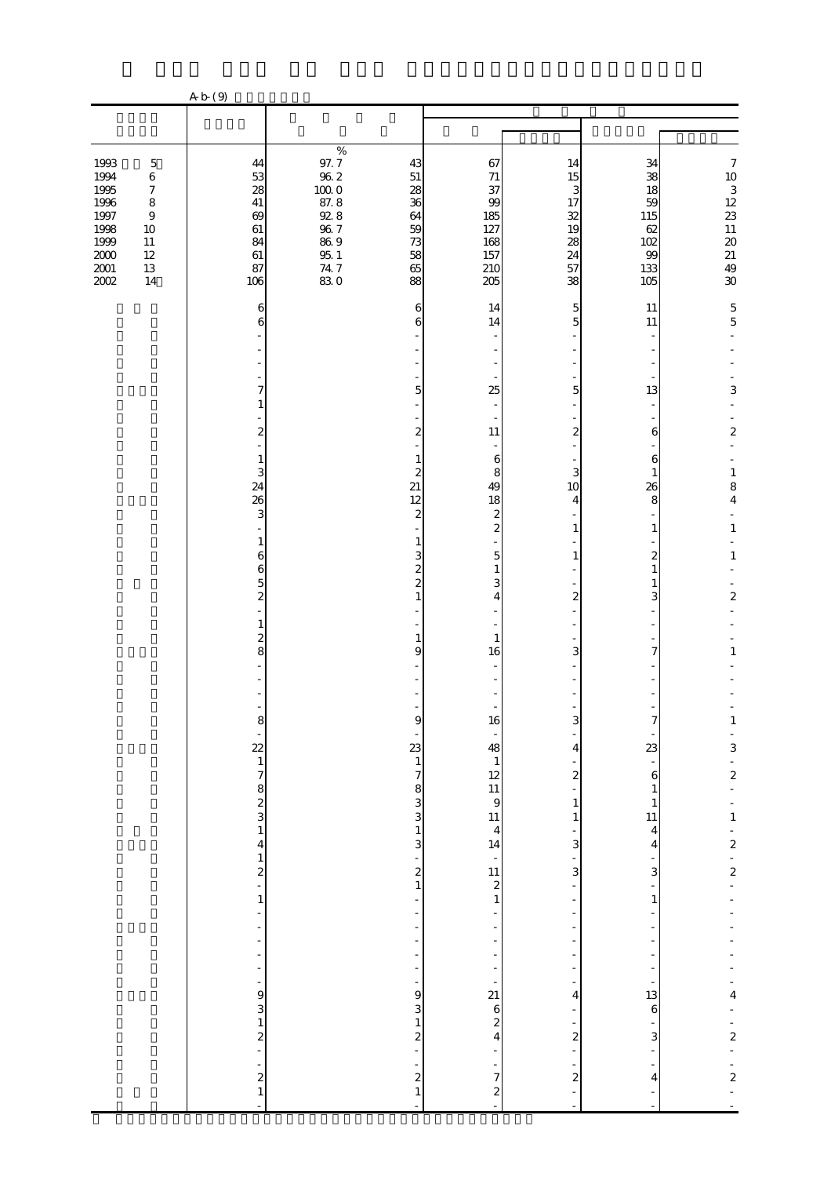|                                                                              |                                                                                                                 | A b (9)                                                |                                                                                                                 |                                                        |                                                         |                                                   |                                                                   |                                                                                                                |
|------------------------------------------------------------------------------|-----------------------------------------------------------------------------------------------------------------|--------------------------------------------------------|-----------------------------------------------------------------------------------------------------------------|--------------------------------------------------------|---------------------------------------------------------|---------------------------------------------------|-------------------------------------------------------------------|----------------------------------------------------------------------------------------------------------------|
|                                                                              |                                                                                                                 |                                                        |                                                                                                                 |                                                        |                                                         |                                                   |                                                                   |                                                                                                                |
|                                                                              |                                                                                                                 |                                                        |                                                                                                                 |                                                        |                                                         |                                                   |                                                                   |                                                                                                                |
| 1993<br>1994<br>1995<br>1996<br>1997<br>1998<br>1999<br>$2000\,$<br>$2001\,$ | $\mathbf 5$<br>$\,6$<br>$\boldsymbol{7}$<br>$\,8\,$<br>$\boldsymbol{9}$<br>$10\,$<br>$11\,$<br>$12\,$<br>$13\,$ | 44<br>53<br>28<br>$41\,$<br>69<br>61<br>84<br>61<br>87 | $\%$<br>$97.7\,$<br>$96\ 2$<br>$100\;0$<br>87.8<br>$92.8\,$<br>$96\ 7$<br>$86\ 9$<br>$95\,$ $1\,$<br>$74\,$ $7$ | 43<br>$51\,$<br>28<br>36<br>64<br>59<br>73<br>58<br>65 | 67<br>71<br>37<br>99<br>185<br>127<br>168<br>157<br>210 | 14<br>15<br>3<br>17<br>32<br>19<br>28<br>24<br>57 | 34<br>38<br>18<br>59<br>115<br>62<br>102<br>99<br>133             | $\boldsymbol{7}$<br>$\begin{array}{c} 10 \\ 3 \\ 12 \end{array}$<br>23<br>$11\,$<br>$\pmb{20}$<br>$21\,$<br>49 |
| 2002                                                                         | 14                                                                                                              | 106                                                    | 830                                                                                                             | 88                                                     | 205                                                     | 38                                                | 105                                                               | 30                                                                                                             |
|                                                                              |                                                                                                                 | 6<br>6                                                 |                                                                                                                 | 6<br>6                                                 | 14<br>14                                                | 5<br>5                                            | 11<br>11                                                          | $\frac{5}{5}$                                                                                                  |
|                                                                              |                                                                                                                 |                                                        |                                                                                                                 |                                                        |                                                         |                                                   |                                                                   |                                                                                                                |
|                                                                              |                                                                                                                 |                                                        |                                                                                                                 |                                                        |                                                         |                                                   |                                                                   |                                                                                                                |
|                                                                              |                                                                                                                 | 7<br>1                                                 |                                                                                                                 | 5                                                      | 25                                                      | 5                                                 | 13                                                                | 3                                                                                                              |
|                                                                              |                                                                                                                 | 2                                                      |                                                                                                                 | $\boldsymbol{2}$                                       | 11                                                      | $\overline{c}$                                    | 6                                                                 | $\mathbf{z}$                                                                                                   |
|                                                                              |                                                                                                                 |                                                        |                                                                                                                 |                                                        |                                                         |                                                   |                                                                   |                                                                                                                |
|                                                                              |                                                                                                                 | $\mathbf{1}$<br>3                                      |                                                                                                                 | 1<br>$\boldsymbol{z}$                                  | 6<br>8                                                  | 3                                                 | 6<br>1                                                            | $\mathbf{1}$                                                                                                   |
|                                                                              |                                                                                                                 | 24<br>26                                               |                                                                                                                 | 21<br>12                                               | 49<br>18                                                | 10<br>4                                           | 26<br>8                                                           | 8<br>4                                                                                                         |
|                                                                              |                                                                                                                 | 3<br>ä,                                                |                                                                                                                 | $\boldsymbol{2}$                                       | 2<br>$\overline{\mathcal{L}}$                           | 1                                                 | $\mathbf{1}$                                                      | $\mathbf{1}$                                                                                                   |
|                                                                              |                                                                                                                 | $\mathbf{1}$<br>6                                      |                                                                                                                 | 1<br>3                                                 | 5                                                       | 1                                                 | $\mathbf{z}$                                                      | $\mathbf{1}$                                                                                                   |
|                                                                              |                                                                                                                 | 6<br>5                                                 |                                                                                                                 | $\overline{\mathcal{Z}}$<br>$\overline{c}$             | $\mathbf{1}$<br>3                                       |                                                   | $\mathbf{1}$<br>1                                                 |                                                                                                                |
|                                                                              |                                                                                                                 | $\overline{\mathcal{Z}}$                               |                                                                                                                 | $\mathbf{1}$                                           | $\overline{4}$                                          | $\mathbf{z}$                                      | 3                                                                 | $\boldsymbol{z}$                                                                                               |
|                                                                              |                                                                                                                 | 1                                                      |                                                                                                                 |                                                        |                                                         |                                                   |                                                                   |                                                                                                                |
|                                                                              |                                                                                                                 | $\boldsymbol{2}$<br>8                                  |                                                                                                                 | 1<br>9                                                 | $\mathbf{1}$<br>16                                      | 3                                                 | 7                                                                 | 1                                                                                                              |
|                                                                              |                                                                                                                 |                                                        |                                                                                                                 |                                                        |                                                         |                                                   |                                                                   |                                                                                                                |
|                                                                              |                                                                                                                 |                                                        |                                                                                                                 |                                                        |                                                         |                                                   |                                                                   |                                                                                                                |
|                                                                              |                                                                                                                 | 8                                                      |                                                                                                                 | A                                                      | IQ                                                      |                                                   |                                                                   | $\mathbf{I}$                                                                                                   |
|                                                                              |                                                                                                                 | $22$ 1 7 8 2 3 1                                       |                                                                                                                 | $\begin{array}{c} 23 \\ 1 \end{array}$                 | $-48$ 1<br>12<br>11 9<br>11 9<br>11 4                   | 4                                                 | 23                                                                | $-3 - 2 - 1 - 2 - 2 -$                                                                                         |
|                                                                              |                                                                                                                 |                                                        |                                                                                                                 | $\overline{7}$                                         |                                                         | $\overline{\mathcal{L}}$                          | $\mathbf 6$                                                       |                                                                                                                |
|                                                                              |                                                                                                                 |                                                        |                                                                                                                 | $\begin{array}{c} 8 \\ 3 \\ 3 \end{array}$             |                                                         | $\,1\,$                                           | $\mathbf{1}$                                                      |                                                                                                                |
|                                                                              |                                                                                                                 |                                                        |                                                                                                                 | $\,1$                                                  |                                                         | $\mathbf{1}$                                      | $\begin{array}{c} 1 \\ 11 \end{array}$<br>$\overline{\mathbf{r}}$ |                                                                                                                |
|                                                                              |                                                                                                                 | 4                                                      |                                                                                                                 | $\overline{3}$                                         | 14                                                      | 3                                                 | 4                                                                 |                                                                                                                |
|                                                                              |                                                                                                                 | $\frac{1}{2}$                                          |                                                                                                                 | $\frac{1}{2}$                                          | $\begin{array}{c} 11 \\ 2 \end{array}$                  | 3                                                 | 3                                                                 |                                                                                                                |
|                                                                              |                                                                                                                 | $\,1\,$                                                |                                                                                                                 |                                                        | $\,1$                                                   |                                                   | $\mathbf{1}$                                                      | $\overline{a}$                                                                                                 |
|                                                                              |                                                                                                                 | ÷,<br>$\overline{a}$                                   |                                                                                                                 |                                                        |                                                         |                                                   |                                                                   |                                                                                                                |
|                                                                              |                                                                                                                 | $\blacksquare$<br>$\frac{1}{2}$                        |                                                                                                                 | ÷                                                      | -                                                       |                                                   |                                                                   |                                                                                                                |
|                                                                              |                                                                                                                 | $\frac{1}{2}$                                          |                                                                                                                 | $\overline{a}$                                         | ÷                                                       | $\overline{\phantom{0}}$                          |                                                                   |                                                                                                                |
|                                                                              |                                                                                                                 | -                                                      |                                                                                                                 | ÷<br>9                                                 | $\frac{1}{21}$                                          | 4                                                 | 13                                                                | $\frac{1}{4}$                                                                                                  |
|                                                                              |                                                                                                                 | 2212                                                   |                                                                                                                 | 3<br>$\,1$                                             | $\,$ 6 $\,$<br>$\mathbf{z}$                             | ÷                                                 | $\,$ 6 $\,$                                                       |                                                                                                                |
|                                                                              |                                                                                                                 |                                                        |                                                                                                                 | $\frac{2}{1}$                                          | $\overline{4}$                                          | $\overline{\mathcal{L}}$                          | 3                                                                 | $\frac{1}{2}$                                                                                                  |
|                                                                              |                                                                                                                 | $\frac{1}{2}$                                          |                                                                                                                 | $\frac{1}{2}$                                          | $\overline{7}$                                          | $\overline{\mathcal{L}}$                          | 4                                                                 | $\frac{1}{2}$                                                                                                  |
|                                                                              |                                                                                                                 | $\overline{\phantom{a}}$                               |                                                                                                                 | $\mathbf 1$<br>$\overline{a}$                          | $\frac{2}{1}$                                           |                                                   |                                                                   |                                                                                                                |

注 「おびき出し、金品を装けておびき出し、金品を装けておびき出し、金品を装けておびき出し、金品を装けておびき出し、金品を装けておびき出し、金品をいう。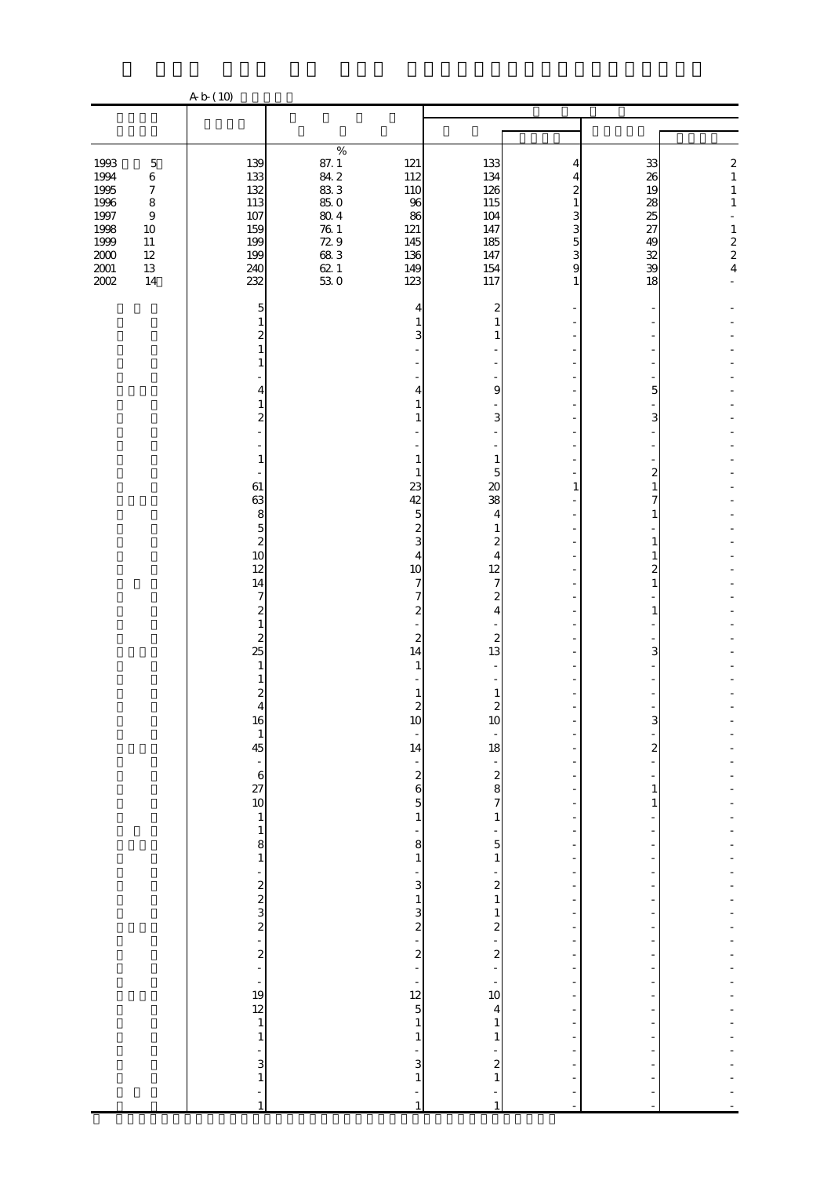|                                                      |                                                                                               | A b (10)                                                                     |                                                                                             |                                                                        |                                                                        |                                 |                                        |                                                                                                            |
|------------------------------------------------------|-----------------------------------------------------------------------------------------------|------------------------------------------------------------------------------|---------------------------------------------------------------------------------------------|------------------------------------------------------------------------|------------------------------------------------------------------------|---------------------------------|----------------------------------------|------------------------------------------------------------------------------------------------------------|
|                                                      |                                                                                               |                                                                              |                                                                                             |                                                                        |                                                                        |                                 |                                        |                                                                                                            |
|                                                      |                                                                                               |                                                                              | $\%$                                                                                        |                                                                        |                                                                        |                                 |                                        |                                                                                                            |
| 1993<br>1994<br>1995<br>1996<br>1997<br>1998<br>1999 | $\mathbf 5$<br>$\,6\,$<br>$\boldsymbol{7}$<br>$\,8\,$<br>$\boldsymbol{9}$<br>$10\,$<br>$11\,$ | 139<br>133<br>132<br>113<br>$107\,$<br>159<br>199                            | $\begin{array}{c} 87.1 \\ 84.2 \end{array}$<br>83 3<br>85.0<br>$80\,4$<br>$\frac{76}{72}$ 9 | 121<br>112<br>110<br>96<br>86<br>121<br>145                            | 133<br>134<br>126<br>115<br>104<br>147<br>185                          | 4<br>4<br>2<br>1<br>3<br>3<br>5 | 33<br>26<br>19<br>28<br>25<br>27<br>49 | $\boldsymbol{z}$<br>$\,1$<br>$\,1$<br>$\,1\,$<br>L,<br>$\,1$<br>$\begin{array}{c} 2 \\ 2 \\ 4 \end{array}$ |
| $2000\,$<br>$2001\,$<br>2002                         | $12\,$<br>$13\,$<br>14                                                                        | 199<br>240<br>232<br>5                                                       | 68.3<br>$621$<br>$530$                                                                      | 136<br>149<br>123<br>4                                                 | 147<br>154<br>117                                                      | 3<br>9<br>1                     | 32<br>39<br>18                         |                                                                                                            |
|                                                      |                                                                                               | 2<br>1                                                                       |                                                                                             | 3                                                                      | 2<br>1<br>1                                                            |                                 |                                        |                                                                                                            |
|                                                      |                                                                                               | 4<br>1<br>$\mathbf{z}$                                                       |                                                                                             | 4<br>1<br>1                                                            | 9<br>3                                                                 |                                 | 5<br>3                                 |                                                                                                            |
|                                                      |                                                                                               | $\mathbf{1}$<br>÷,<br>61<br>63                                               |                                                                                             | 1<br>1<br>23<br>42                                                     | $\mathbf{1}$<br>5<br>$\infty$<br>38                                    | 1                               | 2<br>1<br>7                            |                                                                                                            |
|                                                      |                                                                                               | 8<br>$\overline{5}$<br>$\overline{\mathcal{L}}$<br>10<br>12                  |                                                                                             | $\overline{5}$<br>$\overline{\mathcal{Z}}$<br>3<br>4<br>10             | 4<br>1<br>$\mathbf{z}$<br>4<br>12                                      |                                 | 1<br>1<br>1<br>$\overline{c}$          |                                                                                                            |
|                                                      |                                                                                               | 14<br>$\tau$<br>$\overline{\mathcal{Z}}$<br>$\mathbf{1}$<br>$\boldsymbol{z}$ |                                                                                             | 7<br>7<br>$\overline{\mathcal{Z}}$<br>$\boldsymbol{z}$                 | 7<br>$\boldsymbol{z}$<br>$\overline{4}$<br>$\boldsymbol{z}$            |                                 | 1<br>$\mathbf{1}$                      |                                                                                                            |
|                                                      |                                                                                               | 25<br>1<br>$\boldsymbol{z}$                                                  |                                                                                             | 14<br>1                                                                | 13<br>1                                                                |                                 | 3                                      |                                                                                                            |
|                                                      |                                                                                               | $\overline{4}$<br>16<br>$\begin{array}{c} 1 \\ 45 \end{array}$               |                                                                                             | 2<br>IQ<br>$\overline{\phantom{a}}$<br>14                              | $\overline{\mathcal{Z}}$<br>IQ<br>18                                   |                                 | $\overline{c}$                         |                                                                                                            |
|                                                      |                                                                                               | $-6$<br>$27$<br>10<br>$\,1$<br>$\,1$                                         |                                                                                             | $\frac{1}{2}$<br>$\overline{5}$<br>$\,1\,$                             | $\frac{1}{2}$<br>$\overline{7}$<br>$\mathbf{1}$                        |                                 | 1<br>1                                 |                                                                                                            |
|                                                      |                                                                                               | $\begin{matrix}8\\1\end{matrix}$<br>-                                        |                                                                                             | 8<br>$\,1\,$<br>-<br>3                                                 | $5\overline{a}$<br>$1\,$<br>$\overline{\mathcal{Z}}$                   |                                 |                                        |                                                                                                            |
|                                                      |                                                                                               | $\frac{1}{2}$ 2 2 3 2 2 2 2 2 $\frac{1}{2}$                                  |                                                                                             | $\mathbf{1}$<br>3<br>$\overline{\mathbf{c}}$<br>÷,<br>$\boldsymbol{z}$ | $\,1\,$<br>$\mathbf{1}$<br>$\overline{\mathbf{c}}$<br>$\boldsymbol{z}$ |                                 |                                        |                                                                                                            |
|                                                      |                                                                                               | L,<br>$\frac{1}{19}$<br>$\begin{array}{c} 12 \\ 1 \end{array}$               |                                                                                             | ÷<br>$\begin{array}{c} 12 \\ 5 \end{array}$                            | 10<br>4                                                                | $\overline{\phantom{a}}$        |                                        |                                                                                                            |
|                                                      |                                                                                               | $\,1\,$<br>÷<br>3<br>$\,1\,$                                                 |                                                                                             | $\,1\,$<br>$\mathbf{1}$<br>3<br>$\mathbf{1}$                           | $\mathbf{1}$<br>1<br>$\overline{\mathcal{L}}$<br>$\mathbf{1}$          |                                 |                                        |                                                                                                            |
|                                                      |                                                                                               | ÷<br>$\overline{1}$                                                          |                                                                                             | $\mathbf{1}$                                                           | $\mathbf{1}$                                                           |                                 |                                        |                                                                                                            |

注 「自動車強盗」とは、自動車に乗車中の者から自動車又は金品を強奪するものをいう。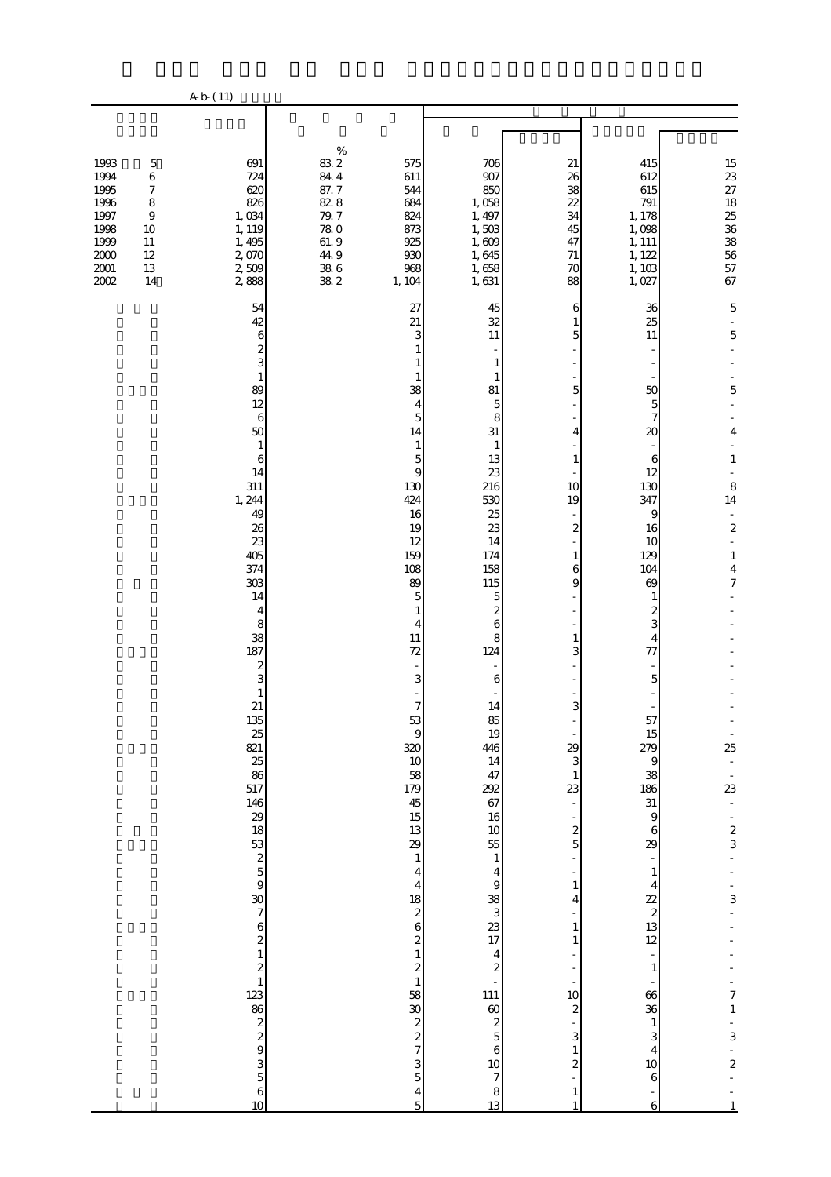|                                                                                                                                                                                                     | A b (11)                                                                                                                                                                                                                                                                                                                                                                   |                                                                                                                          |                                                                                                                                                                                                                                                                                                                                                                                                                                                                                                                                                                                             |                                                                                                                                                                                                                                                                                                                                                                                                                                                                                                                                                                                                   |                                                                                                                                                                                                                                                                                                                                  |                                                                                                                                                                                                                                                                                                                                                                                                                   |                                                                                                                                                                                                                                                                                                                                                                     |
|-----------------------------------------------------------------------------------------------------------------------------------------------------------------------------------------------------|----------------------------------------------------------------------------------------------------------------------------------------------------------------------------------------------------------------------------------------------------------------------------------------------------------------------------------------------------------------------------|--------------------------------------------------------------------------------------------------------------------------|---------------------------------------------------------------------------------------------------------------------------------------------------------------------------------------------------------------------------------------------------------------------------------------------------------------------------------------------------------------------------------------------------------------------------------------------------------------------------------------------------------------------------------------------------------------------------------------------|---------------------------------------------------------------------------------------------------------------------------------------------------------------------------------------------------------------------------------------------------------------------------------------------------------------------------------------------------------------------------------------------------------------------------------------------------------------------------------------------------------------------------------------------------------------------------------------------------|----------------------------------------------------------------------------------------------------------------------------------------------------------------------------------------------------------------------------------------------------------------------------------------------------------------------------------|-------------------------------------------------------------------------------------------------------------------------------------------------------------------------------------------------------------------------------------------------------------------------------------------------------------------------------------------------------------------------------------------------------------------|---------------------------------------------------------------------------------------------------------------------------------------------------------------------------------------------------------------------------------------------------------------------------------------------------------------------------------------------------------------------|
|                                                                                                                                                                                                     |                                                                                                                                                                                                                                                                                                                                                                            |                                                                                                                          |                                                                                                                                                                                                                                                                                                                                                                                                                                                                                                                                                                                             |                                                                                                                                                                                                                                                                                                                                                                                                                                                                                                                                                                                                   |                                                                                                                                                                                                                                                                                                                                  |                                                                                                                                                                                                                                                                                                                                                                                                                   |                                                                                                                                                                                                                                                                                                                                                                     |
| 1993<br>$\mathbf 5$<br>1994<br>$\,6$<br>1995<br>$\boldsymbol{7}$<br>1996<br>$\,8\,$<br>1997<br>$\boldsymbol{9}$<br>1998<br>10<br>1999<br>$11\,$<br>$2000$<br>$12\,$<br>$2001\,$<br>13<br>2002<br>14 | 691<br>724<br>620<br>826<br>1,034<br>1, 119<br>1, 495<br>2,070<br>2,509<br>2888                                                                                                                                                                                                                                                                                            | $\%$<br>83.2<br>84 4<br>87. 7<br>82.8<br>79.7<br>$\begin{array}{c} 78.0 \\ 61.9 \end{array}$<br>44.9<br>$\frac{386}{82}$ | 575<br>611<br>544<br>684<br>824<br>873<br>925<br>930<br>968<br>1, 104                                                                                                                                                                                                                                                                                                                                                                                                                                                                                                                       | 706<br>907<br>850<br>1,058<br>1, 497<br>1,503<br>1,609<br>1,645<br>1,658<br>1,631                                                                                                                                                                                                                                                                                                                                                                                                                                                                                                                 | 21<br>26<br>38<br>22<br>34<br>45<br>47<br>71<br>$70\,$<br>88                                                                                                                                                                                                                                                                     | 415<br>612<br>615<br>791<br>1, 178<br>1,098<br>1, 111<br>1, 122<br>1, 103<br>1,027                                                                                                                                                                                                                                                                                                                                | 15227825383657<br>67                                                                                                                                                                                                                                                                                                                                                |
|                                                                                                                                                                                                     | 54<br>42<br>6<br>$\frac{2}{3}$<br>$\mathbf{1}$<br>89<br>12<br>$\,$ 6 $\,$<br>50<br>$\mathbf{1}$<br>6<br>14<br>311<br>1, 244<br>49<br>26<br>23<br>405<br>374<br>303<br>14<br>$\overline{4}$<br>8<br>38<br>187<br>$\boldsymbol{z}$<br>3<br>$\mathbf{1}$<br>21<br>135<br>යි හි සි<br>517<br>$146$<br>$29$<br>$18$<br>$53$<br>$25$<br>$59$<br>$\frac{30}{7}$<br>$\alpha$<br>10 |                                                                                                                          | 27<br>21<br>3<br>38<br>$\overline{4}$<br>5<br>14<br>1<br>5<br>$\boldsymbol{9}$<br>130<br>424<br>16<br>19<br>12<br>159<br>108<br>89<br>5<br>1<br>4<br>11<br>72<br>3<br>$\overline{7}$<br>$53\,$<br>$\boldsymbol{9}$<br>320<br>10<br>58<br>179<br>45<br>15<br>13<br>29<br>$\,1\,$<br>$\overline{\mathbf{4}}$<br>$\begin{array}{c}\n4 \\ 18 \\ 26\n\end{array}$<br>$\overline{\mathcal{L}}$<br>$\mathbf{1}$<br>$\overline{\mathcal{L}}$<br>$\mathbf{1}$<br>58<br>$\boldsymbol{30}$<br>$\begin{array}{c} 2 \\ 2 \\ 7 \end{array}$<br>$\frac{3}{5}$<br>$\overline{\mathbf{4}}$<br>$\overline{5}$ | 45<br>32<br>$11\,$<br>$\mathbf{1}$<br>1<br>81<br>5<br>8<br>31<br>$\mathbf{1}$<br>13<br>23<br>216<br>530<br>25<br>23<br>14<br>174<br>158<br>115<br>$\mathbf 5$<br>$\overline{\mathcal{Z}}$<br>6<br>8<br>124<br>$\overline{\phantom{a}}$<br>6<br>14<br>85<br>19<br>446<br>14<br>47<br>292<br>67<br>16<br>$\begin{array}{c}\n10 \\ 55 \\ 1\n\end{array}$<br>$\frac{4}{9}$<br>$\begin{array}{c}\n 38 \\  3 \\  17\n \end{array}$<br>$\begin{array}{c}\n4 \\ 2 \\ -111\n\end{array}$<br>$\begin{array}{c}\n 60 \\  25 \\  6\n \end{array}$<br>$\frac{10}{7}$<br>$\begin{array}{c} 8 \\ 13 \end{array}$ | 6<br>1<br>5<br>5<br>4<br>1<br>10<br>19<br>$\boldsymbol{z}$<br>1<br>6<br>9<br>1<br>3<br>3<br>29<br>3<br>$\mathbf{1}$<br>23<br>$\overline{\phantom{a}}$<br>$\overline{\mathcal{L}}$<br>5<br>$\mathbf{1}$<br>4<br>1<br>1<br>÷<br>10<br>$\boldsymbol{2}$<br>3<br>$\mathbf{1}$<br>$\overline{\mathcal{Z}}$<br>$\mathbf{1}$<br>$\,1\,$ | 36<br>25<br>$11\,$<br>50<br>5<br>7<br>20<br>6<br>12<br>130<br>347<br>9<br>16<br>10<br>129<br>104<br>69<br>1<br>$\overline{\mathcal{Z}}$<br>3<br>4<br>77<br>5<br>÷,<br>57<br>15<br>279<br>$\,9$<br>38<br>186<br>$\begin{array}{c} 31 \\ 9 \end{array}$<br>$\,6$<br>29<br>$\mathbf{1}$<br>4<br>$rac{22}{2}$<br>13<br>12<br>$\frac{1}{2}$<br>$\mathbf{1}$<br>66<br>36<br>$\mathbf{1}$<br>3<br>4<br>10<br>6<br>÷<br>6 | 5<br>$\overline{5}$<br>5<br>$\overline{4}$<br>$\mathbf{1}$<br>8<br>14<br>$\blacksquare$<br>$\boldsymbol{2}$<br>$\blacksquare$<br>$\mathbf{1}$<br>$\boldsymbol{4}$<br>$\overline{7}$<br>25<br>$\frac{1}{23}$<br>$\Box$<br>$\overline{\phantom{0}}$<br>$rac{2}{3}$<br>$\frac{1}{3}$<br>$\begin{array}{c} 7 \\ 1 \end{array}$<br>3<br>$\boldsymbol{z}$<br>$\mathbf{1}$ |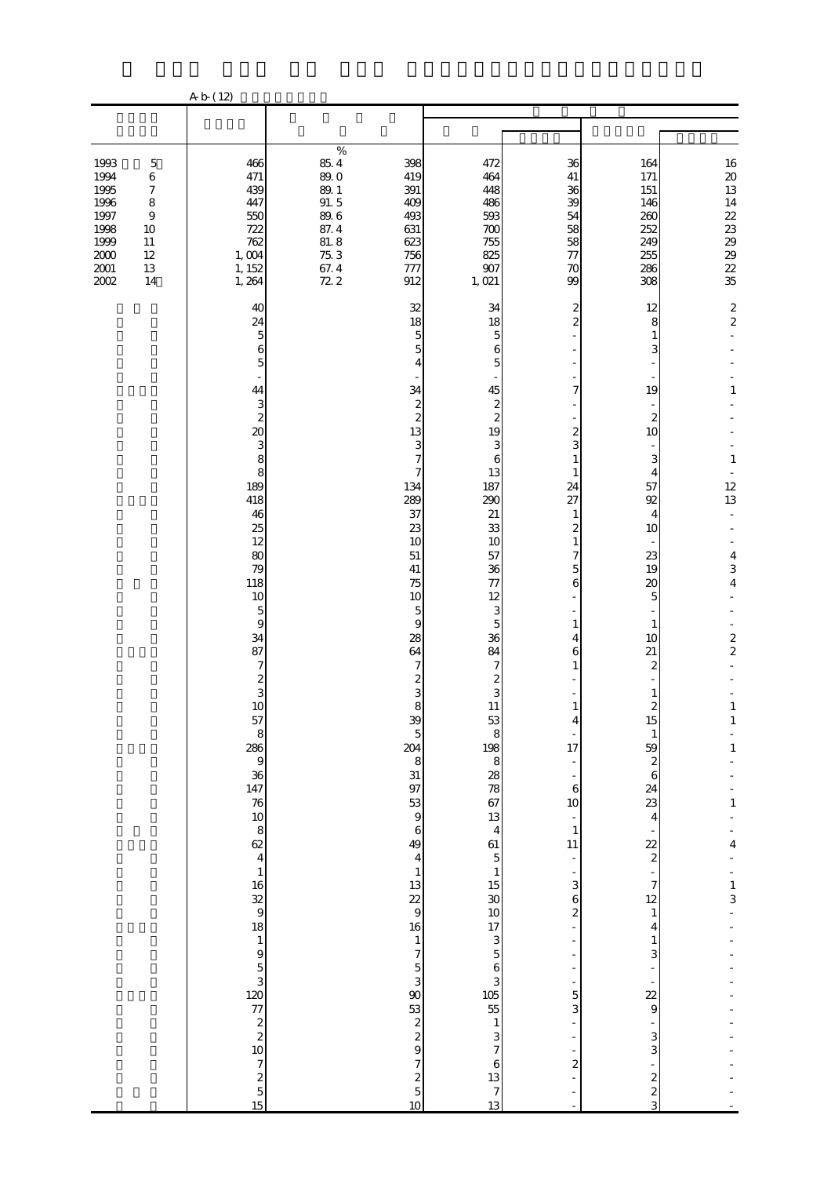|                                      |                                                 | A b (12)                                                                            |                                                                  |                                                            |                                               |                                                      |                                               |
|--------------------------------------|-------------------------------------------------|-------------------------------------------------------------------------------------|------------------------------------------------------------------|------------------------------------------------------------|-----------------------------------------------|------------------------------------------------------|-----------------------------------------------|
|                                      |                                                 |                                                                                     |                                                                  |                                                            |                                               |                                                      |                                               |
| 1993<br>1994                         | $\mathbf 5$<br>$\,6$                            | 466<br>471                                                                          | $\%$<br>$85\ 4$<br>398<br>89.0<br>419                            | 472<br>464                                                 | 36<br>$41\,$                                  | 164<br>171                                           | $\begin{array}{c} 16 \\ 20 \\ 13 \end{array}$ |
| 1995<br>1996<br>1997<br>1998         | $\boldsymbol{7}$<br>$\,8\,$<br>$\boldsymbol{9}$ | 439<br>447<br>550<br>722                                                            | 391<br>89.1<br>91.5<br>409<br>$89\,6$<br>493<br>87.4<br>631      | 448<br>486<br>593<br>700                                   | 36<br>39<br>54<br>58                          | 151<br>146<br>260<br>252                             | 14<br>$2\!$<br>23                             |
| 1999<br>$2000\,$<br>$2001\,$<br>2002 | $10\,$<br>$11\,$<br>$12\,$<br>$13\,$<br>14      | 762<br>1,004<br>1, 152<br>1, 264                                                    | $81.\,8$<br>623<br>$75.3\,$<br>756<br>67.4<br>72 2<br>777<br>912 | 755<br>825<br>907<br>1,021                                 | 58<br>$77\,$<br>70<br>99                      | 249<br>255<br>286<br>308                             | 29<br>29<br>22<br>35                          |
|                                      |                                                 | 40<br>24                                                                            | 32<br>18                                                         | 34<br>18                                                   | 2<br>$\overline{c}$                           | 12<br>8                                              | $\frac{2}{2}$                                 |
|                                      |                                                 | $\overline{5}$<br>6<br>5                                                            | 5<br>5<br>4                                                      | 5<br>6<br>5                                                |                                               | $\mathbf{1}$<br>3                                    |                                               |
|                                      |                                                 | 44<br>3<br>$\boldsymbol{z}$                                                         | 34<br>$\boldsymbol{z}$<br>$\overline{\mathcal{Z}}$               | 45<br>$\overline{\mathcal{Z}}$<br>$\overline{\mathcal{Z}}$ | 7                                             | 19<br>$\boldsymbol{z}$                               | 1                                             |
|                                      |                                                 | $\infty$<br>3<br>8                                                                  | 13<br>3<br>7                                                     | 19<br>3<br>6                                               | 2<br>3<br>$\mathbf{1}$                        | 10<br>3                                              | $\mathbf{1}$                                  |
|                                      |                                                 | 8<br>189<br>418<br>46                                                               | 7<br>134<br>289<br>37                                            | 13<br>187<br>290<br>21                                     | 1<br>24<br>27<br>$\mathbf{1}$                 | 4<br>57<br>92<br>4                                   | 12<br>13                                      |
|                                      |                                                 | 25<br>12<br>80                                                                      | 23<br>10<br>51                                                   | 33<br>10<br>57                                             | $\overline{\mathcal{Z}}$<br>$\mathbf{1}$<br>7 | 10<br>23                                             | $\overline{4}$                                |
|                                      |                                                 | 79<br>118<br>10                                                                     | 41<br>75<br>10                                                   | 36<br>77<br>12<br>$\mathbf{3}$                             | 5<br>6                                        | 19<br>20<br>5                                        | 3<br>$\overline{\mathbf{4}}$                  |
|                                      |                                                 | $\mathbf 5$<br>$\boldsymbol{9}$<br>34<br>87                                         | 5<br>9<br>$28\,$<br>64                                           | 5<br>36<br>84                                              | 1<br>4<br>6                                   | 1<br>10<br>21                                        | $\frac{2}{2}$                                 |
|                                      |                                                 | $\overline{\mathcal{U}}$<br>$\boldsymbol{z}$<br>3<br>10                             | 7<br>$\overline{\mathcal{Z}}$<br>3                               | 7<br>$\overline{\mathcal{Z}}$<br>3                         | $\mathbf{1}$                                  | 2<br>1                                               |                                               |
|                                      |                                                 | 57<br>8                                                                             | 8<br>39<br>$\overline{5}$<br>204                                 | $11\,$<br>53<br>8<br>198                                   | $\mathbf{1}$<br>17                            | $\overline{\mathcal{Z}}$<br>15<br>$\mathbf{1}$<br>59 | $\mathbf{1}$<br>$\mathbf{1}$<br>$\mathbf{1}$  |
|                                      |                                                 | $\begin{array}{c}\n 286 \\  \circ \\  36 \\  \hline\n 147\n \end{array}$            | 8<br>$\begin{array}{c} 31 \\ 97 \end{array}$                     | $\bf{8}$<br>$\frac{28}{78}$                                | 6                                             | $\boldsymbol{z}$<br>$\overline{6}$<br>24             |                                               |
|                                      |                                                 | $\begin{array}{c} 76 \\ 10 \end{array}$<br>$\begin{array}{c}\n8 \\ 62\n\end{array}$ | 53<br>$\overline{9}$<br>$\,6\,$<br>49                            | 67<br>13<br>$\overline{4}$<br>61                           | 10<br>$\mathbf{1}$<br>11                      | 23<br>4                                              | $\mathbf{1}% _{T}\left( t\right)$<br>4        |
|                                      |                                                 | $\,1\,$<br>16                                                                       | $\overline{\mathbf{4}}$<br>$\,1$<br>13                           | $\overline{5}$<br>$\,1\,$<br>$15\,$                        | ÷,<br>3                                       | $\frac{22}{2}$<br>÷<br>$\boldsymbol{7}$              | $\frac{1}{3}$                                 |
|                                      |                                                 | $\begin{array}{c} 32 \\ 9 \\ 18 \end{array}$<br>$\,1\,$                             | 22<br>$\mathbf{9}$<br>16<br>$\,1$                                | $\boldsymbol{30}$<br>$10$<br>17<br>$\mathbf{3}$            | 6<br>$\overline{\mathcal{Z}}$                 | $12\,$<br>$\mathbf{1}$<br>4<br>$\mathbf{1}$          |                                               |
|                                      |                                                 |                                                                                     | $\overline{\phantom{a}}$<br>$\frac{5}{3}$                        | $\mathbf{5}$<br>6<br>3                                     |                                               | 3                                                    |                                               |
|                                      |                                                 | $10.88$ $10.38$ $10.9$                                                              | $\infty$<br>53<br>$\begin{array}{c} 2 \\ 2 \\ 9 \end{array}$     | $\begin{array}{c} 105 \\ 55 \end{array}$<br>$\,1\,$<br>3   | 5<br>3                                        | $\overline{22}$<br>$\mathbf{9}$<br>3                 |                                               |
|                                      |                                                 | $\begin{array}{c} 7 \\ 2 \\ 5 \\ 15 \end{array}$                                    | $\overline{\phantom{a}}$<br>$rac{2}{5}$                          | $\overline{7}$<br>$\,6$<br>13                              | $\boldsymbol{z}$                              | 3<br>$\boldsymbol{z}$                                |                                               |
|                                      |                                                 |                                                                                     | 10                                                               | $\overline{7}$<br>13                                       |                                               | $\overline{\mathcal{L}}$<br>3                        |                                               |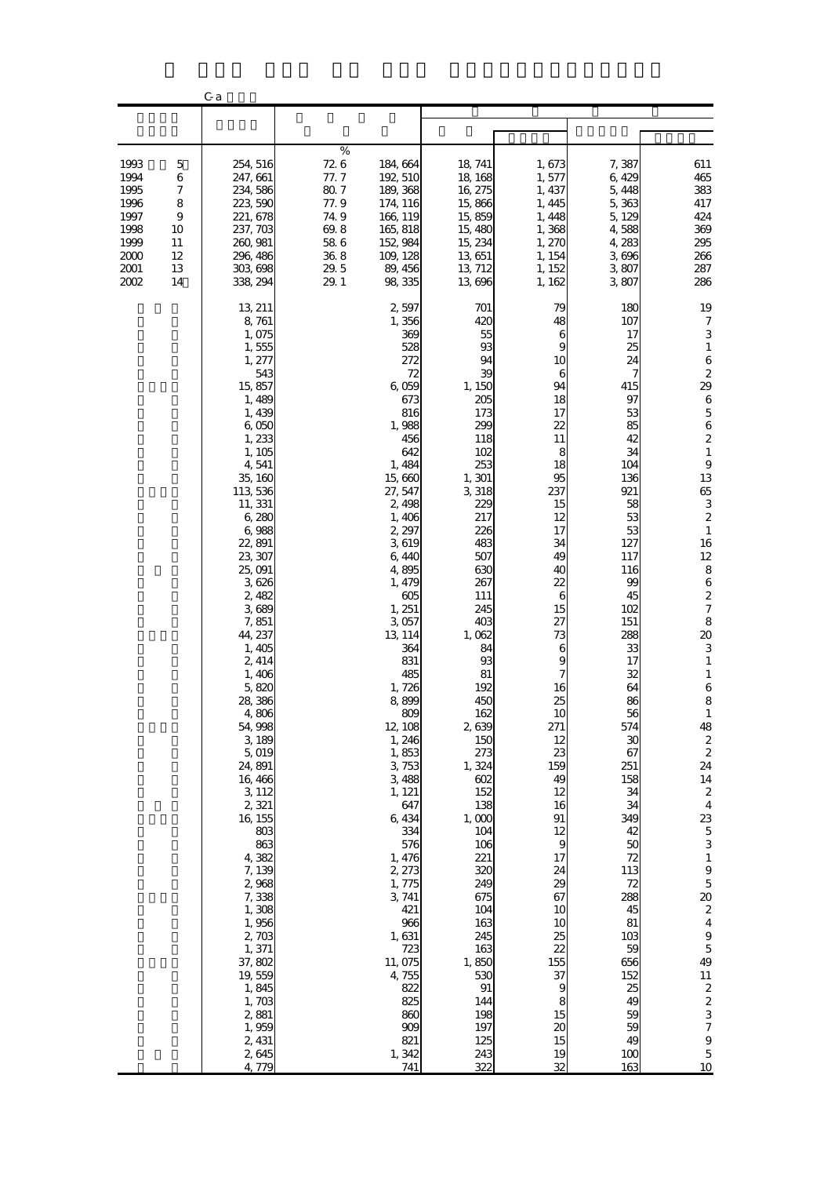|                                                                                  |                                                     | C <sub>a</sub>                                                                                                                                                                                                                                                                                                                                                                                                                                                                                                                                                        |                                                                                     |                                                                                                                                                                                                                                                                                                                                                                                                                                                                                                           |                                                                                                                                                                                                                                                                                                                                                                                                                                     |                                                                                                                                                                                                                                                                                                                                                                 |                                                                                                                                                                                                                                                                                                                                                                                                  |                                                                                                                                                                                                                                                                                                                                                                                                                                                                                                                                                                                                                                                                                                                  |
|----------------------------------------------------------------------------------|-----------------------------------------------------|-----------------------------------------------------------------------------------------------------------------------------------------------------------------------------------------------------------------------------------------------------------------------------------------------------------------------------------------------------------------------------------------------------------------------------------------------------------------------------------------------------------------------------------------------------------------------|-------------------------------------------------------------------------------------|-----------------------------------------------------------------------------------------------------------------------------------------------------------------------------------------------------------------------------------------------------------------------------------------------------------------------------------------------------------------------------------------------------------------------------------------------------------------------------------------------------------|-------------------------------------------------------------------------------------------------------------------------------------------------------------------------------------------------------------------------------------------------------------------------------------------------------------------------------------------------------------------------------------------------------------------------------------|-----------------------------------------------------------------------------------------------------------------------------------------------------------------------------------------------------------------------------------------------------------------------------------------------------------------------------------------------------------------|--------------------------------------------------------------------------------------------------------------------------------------------------------------------------------------------------------------------------------------------------------------------------------------------------------------------------------------------------------------------------------------------------|------------------------------------------------------------------------------------------------------------------------------------------------------------------------------------------------------------------------------------------------------------------------------------------------------------------------------------------------------------------------------------------------------------------------------------------------------------------------------------------------------------------------------------------------------------------------------------------------------------------------------------------------------------------------------------------------------------------|
|                                                                                  |                                                     |                                                                                                                                                                                                                                                                                                                                                                                                                                                                                                                                                                       |                                                                                     |                                                                                                                                                                                                                                                                                                                                                                                                                                                                                                           |                                                                                                                                                                                                                                                                                                                                                                                                                                     |                                                                                                                                                                                                                                                                                                                                                                 |                                                                                                                                                                                                                                                                                                                                                                                                  |                                                                                                                                                                                                                                                                                                                                                                                                                                                                                                                                                                                                                                                                                                                  |
| 1993<br>1994<br>1995<br>1996<br>1997<br>1998<br>1999<br>2000<br>2001<br>$2002\,$ | 5<br>6<br>7<br>8<br>9<br>10<br>11<br>12<br>13<br>14 | 254, 516<br>247, 661<br>234,586<br>223,590<br>221, 678<br>237, 703<br>260, 981<br>296, 486<br>303 698<br>338, 294                                                                                                                                                                                                                                                                                                                                                                                                                                                     | $\%$<br>726<br>77.7<br>80.7<br>77.9<br>74.9<br>69.8<br>58 6<br>36.8<br>29.5<br>29.1 | 184, 664<br>192, 510<br>189, 368<br>174, 116<br>166, 119<br>165, 818<br>152, 984<br>109, 128<br>89, 456<br>98,335                                                                                                                                                                                                                                                                                                                                                                                         | 18, 741<br>18, 168<br>16, 275<br>15,866<br>15,859<br>15,480<br>15, 234<br>13,651<br>13, 712<br>13,696                                                                                                                                                                                                                                                                                                                               | 1,673<br>1,577<br>1, 437<br>1,445<br>1, 448<br>1,368<br>1, 270<br>1, 154<br>1, 152<br>1, 162                                                                                                                                                                                                                                                                    | 7,387<br>6429<br>5,448<br>5,363<br>5, 129<br>4,588<br>4,283<br>3,696<br>3,807<br>3,807                                                                                                                                                                                                                                                                                                           | 611<br>465<br>383<br>417<br>424<br>369<br>295<br>266<br>287<br>286                                                                                                                                                                                                                                                                                                                                                                                                                                                                                                                                                                                                                                               |
|                                                                                  |                                                     | 13, 211<br>8,761<br>1,075<br>1,555<br>1, 277<br>543<br>15,857<br>1,489<br>1,439<br>6,050<br>1,233<br>1,105<br>4,541<br>35, 160<br>113 536<br>11, 331<br>6,280<br>6,988<br>22,891<br>23, 307<br>25, 091<br>3626<br>2,482<br>3,689<br>7,851<br>44, 237<br>1,405<br>2, 414<br>1,406<br>5,820<br>28,386<br>4,806<br>54,998<br>3,189<br>5,019<br>24,891<br>16,466<br>3, 112<br>2,321<br>16, 155<br>803<br>863<br>4,382<br>7, 139<br>2,968<br>7,338<br>1,308<br>1,956<br>2,703<br>1,371<br>37,802<br>19,559<br>1,845<br>1,703<br>2,881<br>1,959<br>2, 431<br>2,645<br>4,779 |                                                                                     | 2,597<br>1,356<br>369<br>528<br>272<br>72<br>6,059<br>673<br>816<br>1,988<br>456<br>642<br>1,484<br>15,660<br>27, 547<br>2,498<br>1,406<br>2, 297<br>3,619<br>6,440<br>4,895<br>1, 479<br>605<br>1, 251<br>3.057<br>13 114<br>364<br>831<br>485<br>1,726<br>8,899<br>809<br>12, 108<br>1,246<br>1,853<br>3,753<br>3,488<br>1, 121<br>647<br>6,434<br>334<br>576<br>1,476<br>2, 273<br>1,775<br>3, 741<br>421<br>966<br>1,631<br>723<br>11,075<br>4,755<br>822<br>825<br>860<br>909<br>821<br>1,342<br>741 | 701<br>420<br>55<br>93<br>94<br>39<br>1, 150<br>205<br>173<br>299<br>118<br>102<br>253<br>1, 301<br>3,318<br>229<br>217<br>226<br>483<br>507<br>630<br>267<br>111<br>245<br>403<br>1,062<br>84<br>93<br>81<br>192<br>450<br>162<br>2,639<br>150<br>273<br>1,324<br>602<br>152<br>138<br>1,000<br>104<br>106<br>221<br>320<br>249<br>675<br>104<br>163<br>245<br>163<br>1,850<br>530<br>91<br>144<br>198<br>197<br>125<br>243<br>322 | 79<br>48<br>6<br>9<br>10<br>6<br>94<br>18<br>17<br>22<br>11<br>8<br>18<br>95<br>237<br>15<br>12<br>17<br>34<br>49<br>40<br>22<br>6<br>15<br>27<br>73<br>6<br>9<br>16<br>25<br>10<br>271<br>12<br>23<br>159<br>49<br>12<br>16<br>91<br>12<br>9<br>17<br>24<br>29<br>67<br>10<br>10<br>25<br>22<br>155<br>37<br>9<br>8<br>15<br>20<br>15<br>19<br>$\overline{32}$ | 180<br>107<br>17<br>25<br>24<br>7<br>415<br>97<br>53<br>85<br>42<br>34<br>104<br>136<br>921<br>58<br>53<br>53<br>127<br>117<br>116<br>99<br>45<br>102<br>151<br>288<br>33<br>17<br>32<br>64<br>86<br>56<br>574<br>30<br>67<br>251<br>158<br>34<br>34<br>349<br>42<br>50<br>72<br>113<br>72<br>288<br>45<br>81<br>10 <sub>3</sub><br>59<br>656<br>152<br>25<br>49<br>59<br>59<br>49<br>100<br>163 | 19<br>7<br>3<br>$\mathbf{1}$<br>6<br>$\boldsymbol{z}$<br>29<br>6<br>$\mathbf 5$<br>$\boldsymbol{6}$<br>$\boldsymbol{z}$<br>$\mathbf{1}$<br>$\boldsymbol{9}$<br>13<br>65<br>3<br>$\boldsymbol{2}$<br>$\mathbf{1}$<br>16<br>12<br>8<br>6<br>2<br>$\boldsymbol{7}$<br>8<br>$20\,$<br>3<br>$\mathbf{1}$<br>$\mathbf{1}$<br>6<br>8<br>1<br>48<br>2<br>$\overline{\mathbf{c}}$<br>24<br>14<br>$\boldsymbol{2}$<br>$\overline{\mathbf{4}}$<br>23<br>$\overline{5}$<br>3<br>$\mathbf{1}$<br>$\boldsymbol{9}$<br>$\overline{5}$<br>$\boldsymbol{\mathsf{20}}$<br>$\boldsymbol{z}$<br>$\boldsymbol{4}$<br>$\boldsymbol{9}$<br>$\overline{5}$<br>49<br>11<br>$\boldsymbol{z}$<br>$\frac{2}{3}$<br>9<br>$\overline{5}$<br>10 |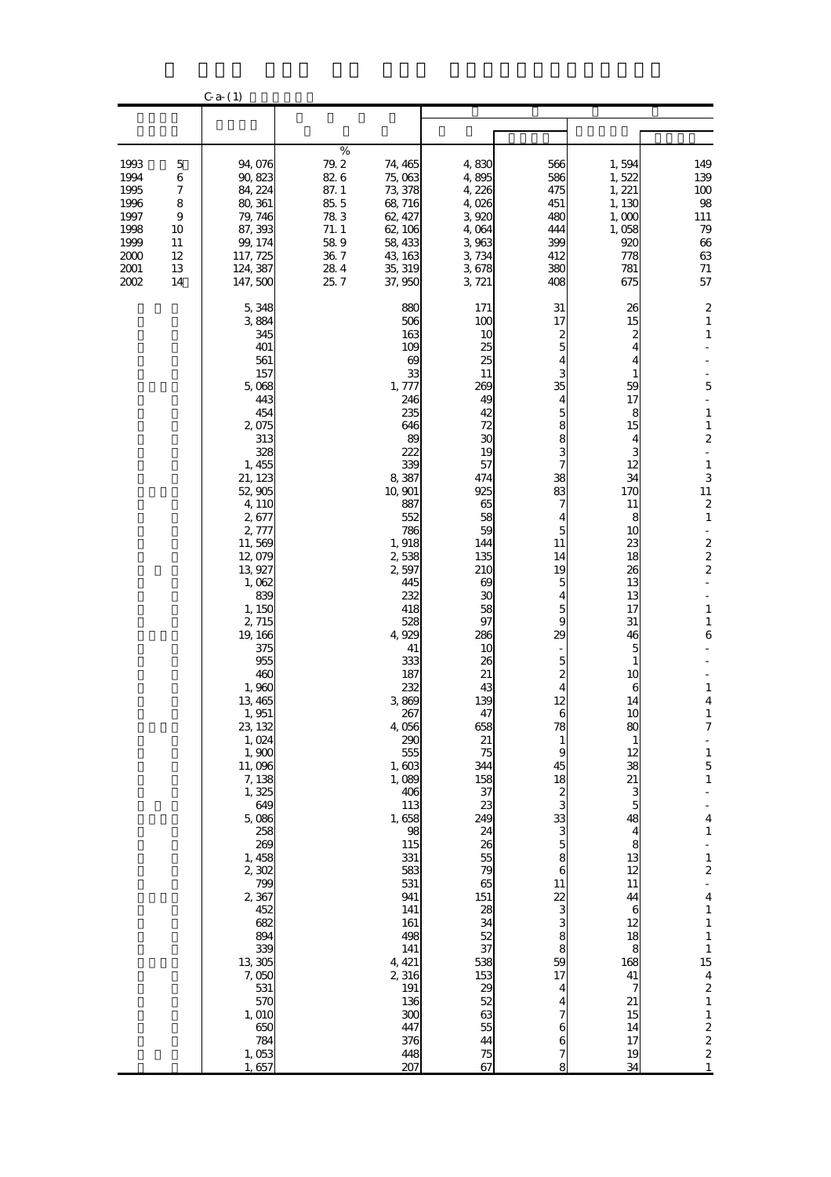|                                                                              |                                                               | $C$ a- $(1)$                                                                                                                                                                                                                                                                                                                                                                                                                                                                                                   |                                                                                        |                                                                                                                                                                                                                                                                                                                                                                                                                                                                       |                                                                                                                                                                                                                                                                                                                                                                                                                |                                                                                                                                                                                                                                                                                                           |                                                                                                                                                                                                                                                                                                                                                                                           |                                                                                                                                                                                                                                                                                                                                                                                                                                                                                                                                                                                                                                                                                                                                 |
|------------------------------------------------------------------------------|---------------------------------------------------------------|----------------------------------------------------------------------------------------------------------------------------------------------------------------------------------------------------------------------------------------------------------------------------------------------------------------------------------------------------------------------------------------------------------------------------------------------------------------------------------------------------------------|----------------------------------------------------------------------------------------|-----------------------------------------------------------------------------------------------------------------------------------------------------------------------------------------------------------------------------------------------------------------------------------------------------------------------------------------------------------------------------------------------------------------------------------------------------------------------|----------------------------------------------------------------------------------------------------------------------------------------------------------------------------------------------------------------------------------------------------------------------------------------------------------------------------------------------------------------------------------------------------------------|-----------------------------------------------------------------------------------------------------------------------------------------------------------------------------------------------------------------------------------------------------------------------------------------------------------|-------------------------------------------------------------------------------------------------------------------------------------------------------------------------------------------------------------------------------------------------------------------------------------------------------------------------------------------------------------------------------------------|---------------------------------------------------------------------------------------------------------------------------------------------------------------------------------------------------------------------------------------------------------------------------------------------------------------------------------------------------------------------------------------------------------------------------------------------------------------------------------------------------------------------------------------------------------------------------------------------------------------------------------------------------------------------------------------------------------------------------------|
|                                                                              |                                                               |                                                                                                                                                                                                                                                                                                                                                                                                                                                                                                                |                                                                                        |                                                                                                                                                                                                                                                                                                                                                                                                                                                                       |                                                                                                                                                                                                                                                                                                                                                                                                                |                                                                                                                                                                                                                                                                                                           |                                                                                                                                                                                                                                                                                                                                                                                           |                                                                                                                                                                                                                                                                                                                                                                                                                                                                                                                                                                                                                                                                                                                                 |
| 1993<br>1994<br>1995<br>1996<br>1997<br>1998<br>1999<br>2000<br>2001<br>2002 | 5<br>$\,$ 6 $\,$<br>7<br>8<br>9<br>10<br>11<br>12<br>13<br>14 | 94,076<br>90, 823<br>84, 224<br>80, 361<br>79, 746<br>87, 393<br>99, 174<br>117, 725<br>124, 387<br>147,500                                                                                                                                                                                                                                                                                                                                                                                                    | $\%$<br>79.2<br>826<br>87.1<br>$85\ 5$<br>783<br>71.1<br>589<br>$36\ 7$<br>284<br>25.7 | 74, 465<br>75,063<br>73, 378<br>68,716<br>62, 427<br>62, 106<br>58, 433<br>43, 163<br>35, 319<br>37,950                                                                                                                                                                                                                                                                                                                                                               | 4,830<br>4,895<br>4,226<br>4,026<br>3,920<br>4,064<br>3,963<br>3,734<br>3,678<br>3, 721                                                                                                                                                                                                                                                                                                                        | 566<br>586<br>475<br>451<br>480<br>444<br>399<br>412<br>380<br>408                                                                                                                                                                                                                                        | 1,594<br>1,522<br>1, 221<br>1,130<br>1,000<br>1,058<br>920<br>778<br>781<br>675                                                                                                                                                                                                                                                                                                           | 149<br>139<br>100<br>98<br>111<br>79<br>66<br>63<br>$71\,$<br>57                                                                                                                                                                                                                                                                                                                                                                                                                                                                                                                                                                                                                                                                |
|                                                                              |                                                               | 5,348<br>3884<br>345<br>401<br>561<br>157<br>5,068<br>443<br>454<br>2,075<br>313<br>328<br>1, 455<br>21, 123<br>52,905<br>4,110<br>2,677<br>2,777<br>11,569<br>12,079<br>13,927<br>1,062<br>839<br>1, 150<br>2,715<br>19, 166<br>375<br>955<br>460<br>1,960<br>13,465<br>1,951<br>23, 132<br>1,024<br>1,900<br>11,096<br>7,138<br>1,325<br>649<br>5,086<br>258<br>269<br>1, 458<br>2,302<br>799<br>2,367<br>452<br>682<br>894<br>339<br>13 305<br>7,050<br>531<br>570<br>1,010<br>650<br>784<br>1,053<br>1,657 |                                                                                        | 880<br>506<br>163<br>109<br>$\boldsymbol{\omega}$<br>33<br>1,777<br>246<br>235<br>646<br>89<br>222<br>339<br>8,387<br>10,901<br>887<br>552<br>786<br>1,918<br>2,538<br>2,597<br>445<br>232<br>418<br>528<br>4,929<br>41<br>333<br>187<br>232<br>3,869<br>267<br>4,056<br>290<br>555<br>1,603<br>1,089<br>406<br>113<br>1,658<br>98<br>115<br>331<br>583<br>531<br>941<br>141<br>161<br>498<br>141<br>4, 421<br>2,316<br>191<br>136<br>300<br>447<br>376<br>448<br>207 | 171<br>100<br>10<br>25<br>25<br>11<br>269<br>49<br>42<br>72<br>30<br>19<br>57<br>474<br>925<br>65<br>58<br>59<br>144<br>135<br>210<br>69<br>30<br>58<br>97<br>286<br>10<br>26<br>21<br>43<br>139<br>47<br>658<br>21<br>75<br>344<br>158<br>37<br>23<br>249<br>24<br>26<br>55<br>79<br>65<br>151<br>28<br>34<br>52<br>37<br>538<br>153<br>$\begin{array}{c} 29 \\ 52 \end{array}$<br>63<br>55<br>44<br>75<br>67 | 31<br>17<br>2<br>5<br>4<br>3<br>35<br>4<br>5<br>8<br>8<br>3<br>7<br>38<br>83<br>7<br>4<br>5<br>11<br>14<br>19<br>5<br>4<br>5<br>9<br>29<br>5<br>2<br>12<br>78<br>1<br>g<br>45<br>18<br>2<br>3<br>33<br>3<br>$\overline{5}$<br>8<br>6<br>11<br>22<br>3<br>3<br>8<br>8<br>59<br>17<br>4<br>4<br>6<br>6<br>8 | 26<br>15<br>2<br>$\overline{\mathbf{4}}$<br>4<br>1<br>59<br>17<br>8<br>15<br>4<br>3<br>12<br>34<br>170<br>11<br>8<br>10<br>23<br>18<br>26<br>13<br>13<br>17<br>31<br>46<br>5<br>1<br>10<br>6<br>14<br>1C<br>80<br>1<br>12<br>38<br>21<br>3<br>5<br>48<br>$\overline{\mathbf{4}}$<br>8<br>13<br>12<br>11<br>44<br>6<br>12<br>18<br>8<br>168<br>41<br>7<br>21<br>15<br>14<br>17<br>19<br>34 | $\boldsymbol{z}$<br>$\mathbf{1}$<br>$\mathbf{1}$<br>$\overline{5}$<br>$\mathbf 1$<br>$\mathbf{1}$<br>$\boldsymbol{2}$<br>$\mathbf{1}$<br>3<br>11<br>$\boldsymbol{z}$<br>$\mathbf{1}$<br>$\blacksquare$<br>$\frac{2}{2}$<br>$\boldsymbol{2}$<br>$\mathbf{1}$<br>$\mathbf{1}$<br>6<br>$\mathbf{1}$<br>4<br>$\mathbf{1}$<br>7<br>$\frac{1}{2}$<br>$\mathbf{1}$<br>$\overline{5}$<br>$\mathbf{1}$<br>$\overline{\mathbf{4}}$<br>$\mathbf{1}$<br>$\mathbf{1}$<br>$\overline{\mathcal{L}}$<br>$\overline{\mathbf{4}}$<br>$\mathbf{1}$<br>$\mathbf{1}$<br>$\mathbf{1}$<br>$\mathbf{1}$<br>15<br>$\overline{\mathbf{4}}$<br>$\boldsymbol{z}$<br>$\mathbf{1}$<br>$\mathbf 1$<br>$\frac{2}{2}$<br>$\overline{\mathbf{c}}$<br>$\mathbf{1}$ |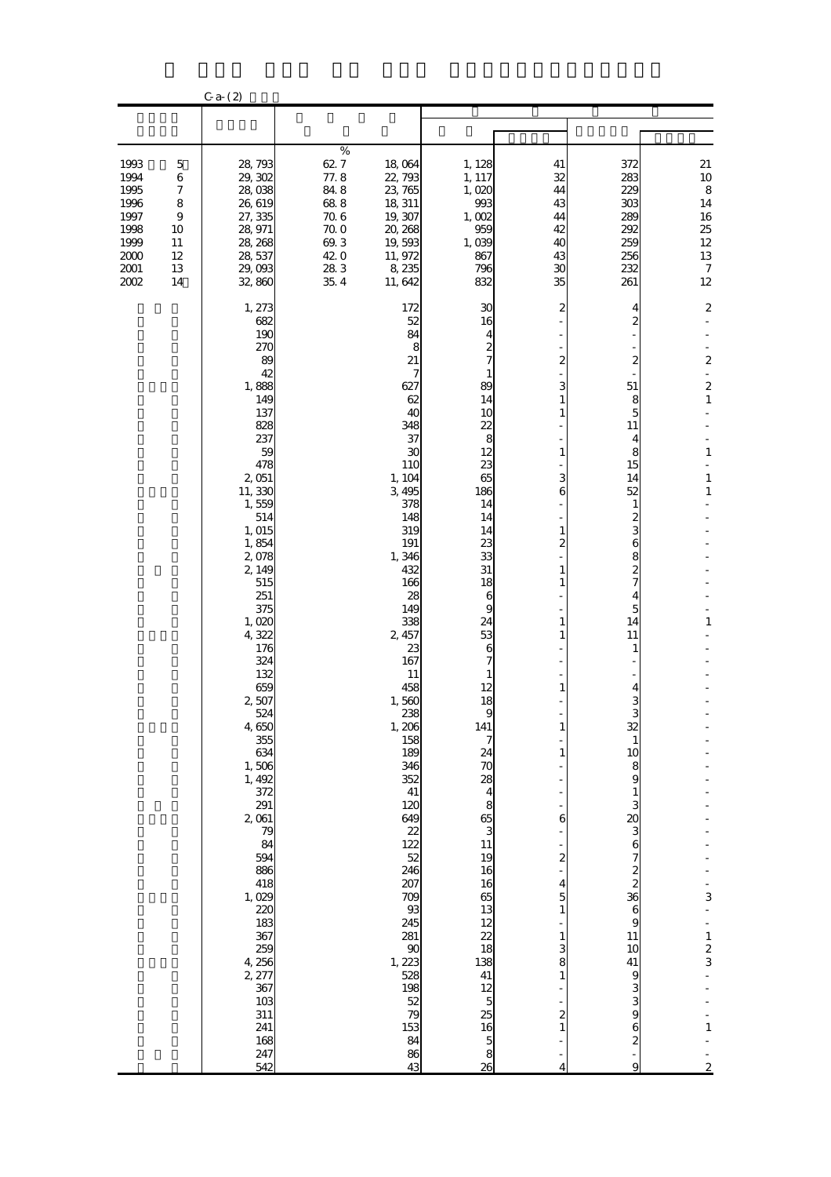|                                                                                |                                                     | $C_{a-}(2)$                                                                                                                                                                                                                                                                                                                                                                                                                                                      |                                                                                     |                                                                                                                                                                                                                                                                                                                                                                                                                         |                                                                                                                                                                                                                                                                                                                                                                                                                                                                                                                            |                                                                                                                                                                                                                                                                                                  |                                                                                                                                                                                                                                                                                                                                                                                            |                                                                                                                                                                                                                                                            |
|--------------------------------------------------------------------------------|-----------------------------------------------------|------------------------------------------------------------------------------------------------------------------------------------------------------------------------------------------------------------------------------------------------------------------------------------------------------------------------------------------------------------------------------------------------------------------------------------------------------------------|-------------------------------------------------------------------------------------|-------------------------------------------------------------------------------------------------------------------------------------------------------------------------------------------------------------------------------------------------------------------------------------------------------------------------------------------------------------------------------------------------------------------------|----------------------------------------------------------------------------------------------------------------------------------------------------------------------------------------------------------------------------------------------------------------------------------------------------------------------------------------------------------------------------------------------------------------------------------------------------------------------------------------------------------------------------|--------------------------------------------------------------------------------------------------------------------------------------------------------------------------------------------------------------------------------------------------------------------------------------------------|--------------------------------------------------------------------------------------------------------------------------------------------------------------------------------------------------------------------------------------------------------------------------------------------------------------------------------------------------------------------------------------------|------------------------------------------------------------------------------------------------------------------------------------------------------------------------------------------------------------------------------------------------------------|
|                                                                                |                                                     |                                                                                                                                                                                                                                                                                                                                                                                                                                                                  |                                                                                     |                                                                                                                                                                                                                                                                                                                                                                                                                         |                                                                                                                                                                                                                                                                                                                                                                                                                                                                                                                            |                                                                                                                                                                                                                                                                                                  |                                                                                                                                                                                                                                                                                                                                                                                            |                                                                                                                                                                                                                                                            |
| 1993<br>1994<br>1995<br>1996<br>1997<br>1998<br>1999<br>$2000$<br>2001<br>2002 | 5<br>6<br>7<br>8<br>9<br>10<br>11<br>12<br>13<br>14 | 28,793<br>29, 302<br>28,038<br>26,619<br>27, 335<br>28, 971<br>28, 268<br>28, 537<br>29,093<br>32,860                                                                                                                                                                                                                                                                                                                                                            | $\%$<br>627<br>77.8<br>84.8<br>688<br>706<br>70.0<br>69.3<br>42.0<br>283<br>$35\;4$ | 18,064<br>22,793<br>23, 765<br>18, 311<br>19, 307<br>20, 268<br>19,593<br>11, 972<br>8,235<br>11,642                                                                                                                                                                                                                                                                                                                    | 1, 128<br>1, 117<br>1,020<br>993<br>1,002<br>959<br>1,039<br>867<br>796<br>832                                                                                                                                                                                                                                                                                                                                                                                                                                             | 41<br>32<br>44<br>43<br>44<br>42<br>40<br>43<br>30<br>35                                                                                                                                                                                                                                         | 372<br>283<br>229<br>303<br>289<br>292<br>259<br>256<br>232<br>261                                                                                                                                                                                                                                                                                                                         | $21\,$<br>10<br>$\bf8$<br>14<br>16<br>25<br>12<br>13<br>$\boldsymbol{7}$<br>12                                                                                                                                                                             |
|                                                                                |                                                     | 1, 273<br>682<br>190<br>270<br>89<br>42<br>1,888<br>149<br>137<br>828<br>237<br>59<br>478<br>2,051<br>11,330<br>1,559<br>514<br>1, 015<br>1,854<br>2,078<br>2, 149<br>515<br>251<br>375<br>1,020<br>4,322<br>176<br>324<br>132<br>659<br>2,507<br>524<br>4,650<br>355<br>634<br>1,506<br>1, 492<br>372<br>291<br>2,061<br>79<br>84<br>594<br>886<br>418<br>1,029<br>220<br>183<br>367<br>259<br>4,256<br>2, 277<br>367<br>103<br>311<br>241<br>168<br>247<br>542 |                                                                                     | 172<br>52<br>84<br>8<br>21<br>7<br>627<br>62<br>40<br>348<br>37<br>30<br>110<br>1, 104<br>3,495<br>378<br>148<br>319<br>191<br>1,346<br>432<br>166<br>28<br>149<br>338<br>2, 457<br>23<br>167<br>11<br>458<br>1,560<br>238<br>1, 206<br>158<br>189<br>346<br>352<br>41<br>120<br>649<br>22<br>122<br>52<br>246<br>207<br>709<br>$93\,$<br>245<br>281<br>90<br>1, 223<br>528<br>198<br>52<br>79<br>153<br>84<br>86<br>43 | 30<br>16<br>4<br>$\boldsymbol{z}$<br>7<br>1<br>89<br>14<br>10<br>22<br>8<br>12<br>23<br>65<br>186<br>14<br>14<br>14<br>23<br>33<br>31<br>18<br>6<br>9<br>24<br>53<br>6<br>12<br>18<br>$\alpha$<br>141<br>$\boldsymbol{7}$<br>$\frac{24}{70}$<br>$\frac{28}{4}$<br>$\begin{matrix}8\\6\\3\end{matrix}$<br>11<br>19<br>16<br>$\frac{16}{65}$<br>$\frac{12}{12}$<br>$\frac{22}{18}$<br>41<br>$\begin{array}{c} 12 \\ 5 \end{array}$<br>$\begin{array}{c} 25 \\ 16 \end{array}$<br>$\begin{array}{c} 5 \\ 8 \\ 26 \end{array}$ | 2<br>2<br>3<br>1<br>1<br>1<br>3<br>6<br>1<br>2<br>1<br>1<br>1<br>1<br>1<br>$\mathbf{1}$<br>$\mathbf{1}$<br>6<br>$\overline{\mathcal{Z}}$<br>$\overline{\mathbf{4}}$<br>$\overline{5}$<br>$\mathbf{1}$<br>$\mathbf{1}$<br>3<br>8<br>$\mathbf{1}$<br>$\overline{\mathcal{Z}}$<br>$\mathbf{1}$<br>4 | 4<br>2<br>2<br>51<br>8<br>5<br>11<br>4<br>8<br>15<br>14<br>52<br>1<br>$\boldsymbol{z}$<br>3<br>$\mathbf{6}$<br>8<br>$\overline{\mathbf{c}}$<br>7<br>4<br>5<br>14<br>11<br>1<br>4<br>3<br>Q<br>32<br>$\mathbf{1}$<br>10<br>8<br>$\boldsymbol{9}$<br>$\frac{1}{3}$<br>$\boldsymbol{6}$<br>$\boldsymbol{9}$<br>11<br>10<br>41<br>9<br>3 <sub>9</sub><br>$\mathbf{6}$<br>$\boldsymbol{2}$<br>9 | $\boldsymbol{2}$<br>$\overline{\mathbf{c}}$<br>$\overline{\mathbf{c}}$<br>$\mathbf{1}$<br>$\mathbf{1}$<br>$\mathbf{1}$<br>$\mathbf{1}$<br>$\mathbf{1}$<br>3<br>$\overline{\phantom{0}}$<br>$\mathbf{1}$<br>$\frac{2}{3}$<br>$\mathbf{1}$<br>$\overline{c}$ |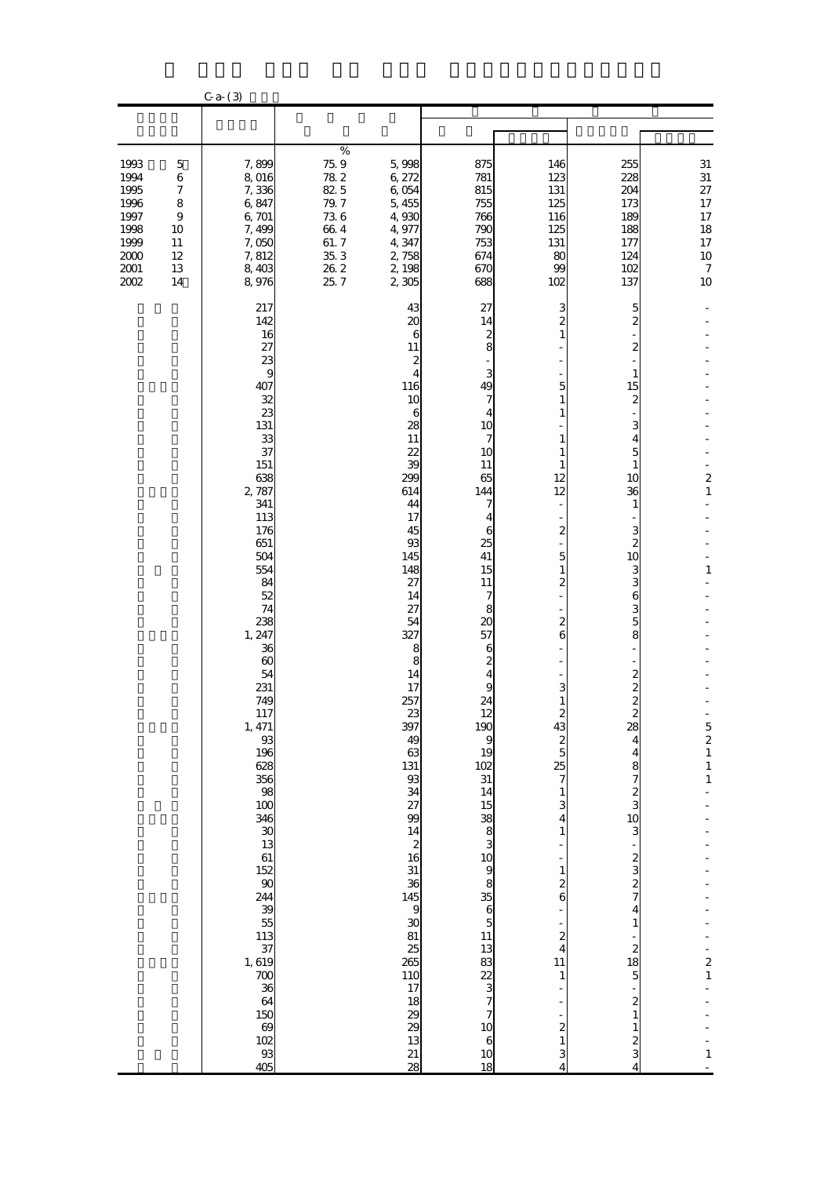|                                                                                    |                                                                             | $C$ a- $(3)$                                                                                                                                                                                                                                                                                                                                                                                                                                                               |                                                                                             |                                                                                                                                                                                                                                                                                                                                                                                                                                                                                                                             |                                                                                                                                                                                                                                                                                                                                                                                                |                                                                                                                                                                                                                                                                                                                                                                                                                                                                    |                                                                                                                                                                                                                                                                                                                                                                                                                                                                                                                         |                                                                                                                                       |
|------------------------------------------------------------------------------------|-----------------------------------------------------------------------------|----------------------------------------------------------------------------------------------------------------------------------------------------------------------------------------------------------------------------------------------------------------------------------------------------------------------------------------------------------------------------------------------------------------------------------------------------------------------------|---------------------------------------------------------------------------------------------|-----------------------------------------------------------------------------------------------------------------------------------------------------------------------------------------------------------------------------------------------------------------------------------------------------------------------------------------------------------------------------------------------------------------------------------------------------------------------------------------------------------------------------|------------------------------------------------------------------------------------------------------------------------------------------------------------------------------------------------------------------------------------------------------------------------------------------------------------------------------------------------------------------------------------------------|--------------------------------------------------------------------------------------------------------------------------------------------------------------------------------------------------------------------------------------------------------------------------------------------------------------------------------------------------------------------------------------------------------------------------------------------------------------------|-------------------------------------------------------------------------------------------------------------------------------------------------------------------------------------------------------------------------------------------------------------------------------------------------------------------------------------------------------------------------------------------------------------------------------------------------------------------------------------------------------------------------|---------------------------------------------------------------------------------------------------------------------------------------|
|                                                                                    |                                                                             |                                                                                                                                                                                                                                                                                                                                                                                                                                                                            |                                                                                             |                                                                                                                                                                                                                                                                                                                                                                                                                                                                                                                             |                                                                                                                                                                                                                                                                                                                                                                                                |                                                                                                                                                                                                                                                                                                                                                                                                                                                                    |                                                                                                                                                                                                                                                                                                                                                                                                                                                                                                                         |                                                                                                                                       |
| 1993<br>1994<br>1995<br>1996<br>1997<br>1998<br>1999<br>$2000$<br>2001<br>$2002\,$ | $\mathbf 5$<br>$\,$ 6 $\,$<br>7<br>8<br>$\,9$<br>10<br>11<br>12<br>13<br>14 | 7,899<br>8,016<br>7,336<br>6,847<br>6,701<br>7,499<br>7,050<br>7,812<br>8,403<br>8,976                                                                                                                                                                                                                                                                                                                                                                                     | $\%$<br>$75\;9$<br>782<br>82.5<br>79.7<br>$73\;6$<br>664<br>61.7<br>$35\ 3$<br>26.2<br>25.7 | 5,998<br>6,272<br>6,054<br>5,455<br>4,930<br>4,977<br>4,347<br>2,758<br>2,198<br>2,305                                                                                                                                                                                                                                                                                                                                                                                                                                      | 875<br>781<br>815<br>755<br>766<br>790<br>753<br>674<br>670<br>688                                                                                                                                                                                                                                                                                                                             | 146<br>123<br>131<br>125<br>116<br>125<br>131<br>80<br>99<br>102                                                                                                                                                                                                                                                                                                                                                                                                   | 255<br>228<br>204<br>173<br>189<br>188<br>177<br>124<br>102<br>137                                                                                                                                                                                                                                                                                                                                                                                                                                                      | $31\,$<br>$31\,$<br>$27\,$<br>17<br>17<br>18<br>17<br>10<br>$\boldsymbol{7}$<br>$10\,$                                                |
|                                                                                    |                                                                             | 217<br>142<br>16<br>27<br>23<br>9<br>407<br>32<br>23<br>131<br>33<br>37<br>151<br>638<br>2,787<br>341<br>113<br>176<br>651<br>504<br>554<br>84<br>52<br>74<br>238<br>1, 247<br>36<br>$\boldsymbol{\omega}$<br>54<br>231<br>749<br>117<br>1, 471<br>93<br>196<br>628<br>356<br>98<br>100<br>346<br>$\begin{array}{c} 30 \\ 13 \end{array}$<br>$\frac{61}{152}$<br>244<br>39<br>$\frac{55}{113}$<br>37<br>1,619<br>$\frac{700}{36}$<br>64<br>150<br>$\frac{100}{102}$<br>405 |                                                                                             | 43<br>20<br>$\boldsymbol{6}$<br>11<br>$\boldsymbol{z}$<br>4<br>116<br>10<br>6<br>28<br>11<br>22<br>39<br>299<br>614<br>44<br>17<br>45<br>93<br>145<br>148<br>27<br>14<br>27<br>54<br>327<br>8<br>8<br>14<br>17<br>257<br>$\frac{23}{397}$<br>49<br>63<br>131<br>$93$<br>34<br>27<br>99<br>14<br>$\begin{array}{c} 2 \\ 16 \end{array}$<br>$\frac{31}{36}$<br>145<br>$\overline{9}$<br>$\boldsymbol{\mathfrak{D}}$<br>81<br>$\begin{array}{c} 25 \\ 265 \end{array}$<br><b>110</b><br>17<br>18<br>29<br>29<br>13<br>21<br>28 | 27<br>14<br>$\frac{2}{8}$<br>3<br>49<br>7<br>4<br>10<br>7<br>10<br>11<br>65<br>144<br>7<br>4<br>6<br>25<br>41<br>15<br>11<br>7<br>8<br>20<br>57<br>6<br>$\boldsymbol{z}$<br>4<br>9<br>24<br>$\begin{array}{c}\n 12 \\  190 \\  9\n \end{array}$<br>19<br>$\frac{102}{31}$<br>14<br>$\begin{array}{c}\n15 \\ 38 \\ 0\n\end{array}$<br>$9$ $8$ $6$ $5$ $11$<br>$13888$<br>$08770$<br>$006$<br>18 | 3<br>2<br>$\mathbf{1}$<br>5<br>$\mathbf{1}$<br>1<br>1<br>1<br>1<br>12<br>12<br>2<br>5<br>1<br>2<br>$\mathbf{z}$<br>6<br>3<br>$\mathbf{1}$<br>$\begin{array}{c} 2 \\ 43 \end{array}$<br>$\overline{\mathcal{Z}}$<br>$\overline{5}$<br>25<br>$\overline{\phantom{a}}$<br>$\mathbf{1}$<br>3<br>4<br>$\mathbf{1}$<br>$\mathbf{1}$<br>2<br>6<br>$\overline{\mathcal{Z}}$<br>$\overline{\mathbf{4}}$<br>11<br>$\mathbf{1}$<br>$\boldsymbol{z}$<br>$\mathbf{1}$<br>3<br>4 | 5<br>$\boldsymbol{2}$<br>2<br>1<br>15<br>2<br>3<br>4<br>5<br>1<br>10<br>36<br>$\mathbf{1}$<br>3<br>$\boldsymbol{2}$<br>10<br>3<br>3<br>6<br>3<br>5<br>8<br>$\frac{2}{2}$<br>$\overline{c}$<br>28<br>4<br>$\overline{\mathbf{r}}$<br>$\begin{array}{c} 8 \\ 7 \\ 8 \end{array}$<br>3<br>$\begin{array}{c}\n2 \\ 3 \\ 2 \\ 7\n\end{array}$<br>$\overline{\mathbf{4}}$<br>$\mathbf{1}$<br>$\begin{array}{c}\n2 \\ 18 \\ 5\n\end{array}$<br>$\begin{smallmatrix}2\1\end{smallmatrix}$<br>$\mathbf{1}$<br>$\frac{2}{3}$<br>4 | $\overline{\mathbf{c}}$<br>$\mathbf{1}$<br>$\mathbf{1}$<br>$\frac{5}{2}$ $\frac{2}{1}$ $\frac{1}{1}$<br>$\frac{1}{2}$<br>$\mathbf{1}$ |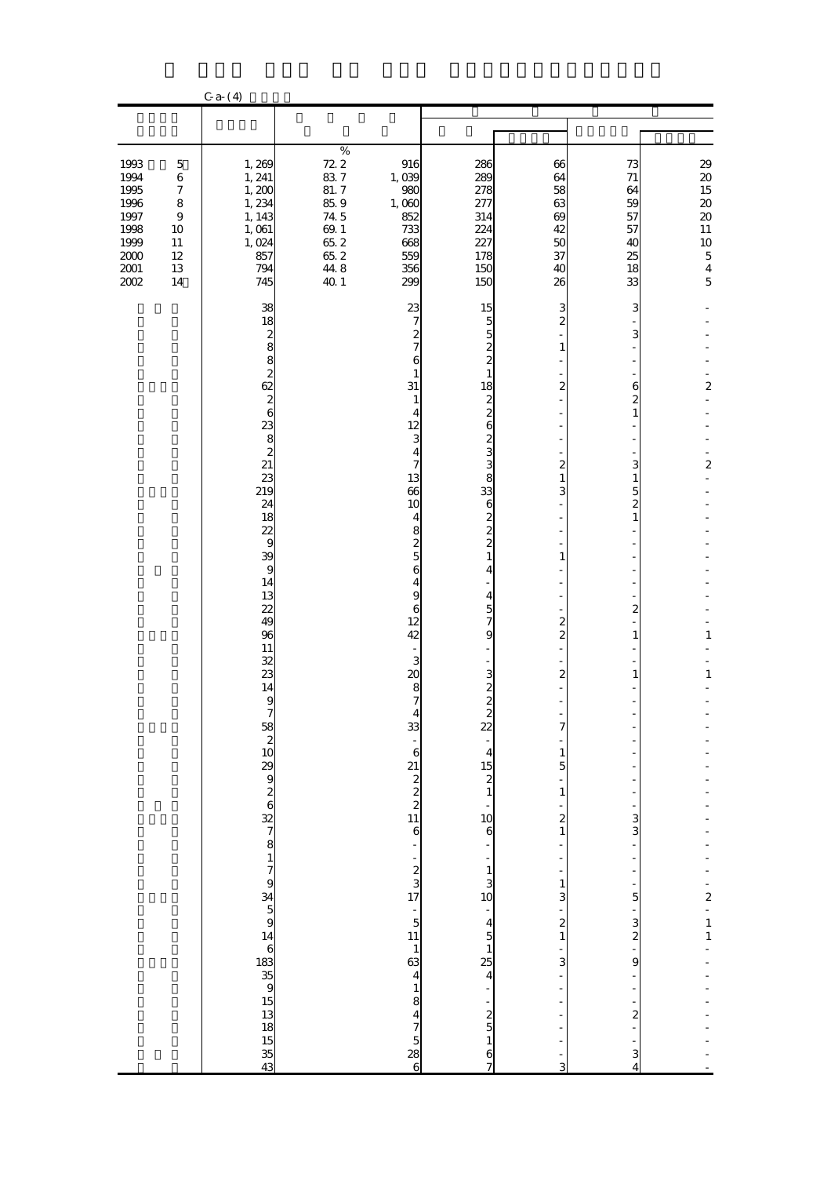|                                                                                      |                                                                                                            | $C_{a-}(4)$                                                                                                                                                                                                                                                                                                                                                               |                                                                                                   |                                                                                                                                                                                                                                                                                                                                                                                                                                    |                                                                                                                                                                                                                                        |                                                                                                                                                                                                                                                 |                                                                                                                                                                                                                               |                                                                                                                                                                                |
|--------------------------------------------------------------------------------------|------------------------------------------------------------------------------------------------------------|---------------------------------------------------------------------------------------------------------------------------------------------------------------------------------------------------------------------------------------------------------------------------------------------------------------------------------------------------------------------------|---------------------------------------------------------------------------------------------------|------------------------------------------------------------------------------------------------------------------------------------------------------------------------------------------------------------------------------------------------------------------------------------------------------------------------------------------------------------------------------------------------------------------------------------|----------------------------------------------------------------------------------------------------------------------------------------------------------------------------------------------------------------------------------------|-------------------------------------------------------------------------------------------------------------------------------------------------------------------------------------------------------------------------------------------------|-------------------------------------------------------------------------------------------------------------------------------------------------------------------------------------------------------------------------------|--------------------------------------------------------------------------------------------------------------------------------------------------------------------------------|
|                                                                                      |                                                                                                            |                                                                                                                                                                                                                                                                                                                                                                           |                                                                                                   |                                                                                                                                                                                                                                                                                                                                                                                                                                    |                                                                                                                                                                                                                                        |                                                                                                                                                                                                                                                 |                                                                                                                                                                                                                               |                                                                                                                                                                                |
| 1993<br>1994<br>1995<br>1996<br>1997<br>1998<br>1999<br>2000<br>$2001\,$<br>$2002\,$ | $\mathbf 5$<br>$\,$ 6 $\,$<br>$\boldsymbol{7}$<br>$\bf8$<br>$\boldsymbol{9}$<br>10<br>11<br>12<br>13<br>14 | 1,269<br>1, 241<br>1,200<br>1, 234<br>1, 143<br>1,061<br>1,024<br>857<br>794<br>745                                                                                                                                                                                                                                                                                       | $\%$<br>$72.2$<br>837<br>81.7<br>85.9<br>74.5<br>$69.1\,$<br>$65.2\,$<br>$65.2\,$<br>44.8<br>40.1 | 916<br>1,039<br>980<br>1,000<br>852<br>733<br>668<br>559<br>356<br>299                                                                                                                                                                                                                                                                                                                                                             | 286<br>289<br>278<br>277<br>314<br>224<br>227<br>178<br>150<br>150                                                                                                                                                                     | 66<br>64<br>58<br>63<br>69<br>42<br>50<br>37<br>40<br>26                                                                                                                                                                                        | 73<br>71<br>64<br>59<br>57<br>57<br>40<br>25<br>18<br>33                                                                                                                                                                      | $\mathop{20}\limits^{29}$<br>15<br>$\boldsymbol{\mathsf{20}}$<br>$\boldsymbol{\mathsf{20}}$<br>$11\,$<br>$10\,$<br>$\overline{5}$<br>$\overline{\mathbf{4}}$<br>$\overline{5}$ |
|                                                                                      |                                                                                                            | 38<br>18<br>$\frac{\partial}{\partial \lambda}$ is $\infty$ as as<br>$\frac{2}{6}$<br>23<br>$\frac{8}{2}$<br>21<br>23<br>219<br>24<br>18<br>22<br>$\boldsymbol{9}$<br>39<br>9<br>14<br>13<br>22<br>49<br>96<br>11<br>32<br>23<br>14<br>$\boldsymbol{9}$<br>88 2 10 29 9 2 6 32 7 8 1 7 9 34 5 9 14 6 13 36 9 2 6 32 7 8 1 7 9 36 27 8 1 7 9 36 27 8 1 9 15 13 13 13 13 13 |                                                                                                   | 23<br>7<br>$\frac{2}{7}$<br>6<br>$\mathbf{1}$<br>31<br>$\mathbf{1}$<br>$\overline{4}$<br>12<br>3<br>$\overline{\mathbf{4}}$<br>$\overline{\phantom{a}}$<br>13<br>66<br>10<br>$\overline{\mathbf{4}}$<br>8<br>$\frac{2}{5}$<br>$\boldsymbol{6}$<br>$\overline{\mathbf{4}}$<br>9<br>6<br>12<br>42<br>3<br>$\boldsymbol{\alpha}$<br>8<br>$\overline{\phantom{a}}$<br>$rac{4}{33}$<br>$-6$<br>$-6$<br>$-1$<br>$-6$<br>$-1$<br><br>$-6$ | 15<br>$\frac{5}{2}$<br>$\mathbf{1}$<br>18<br>33<br>$\mathbf{6}$<br>$\begin{array}{c} 2 \\ 2 \\ 2 \\ 1 \end{array}$<br>4<br>$\frac{4}{5}$<br>9<br>$\overline{\phantom{0}}$<br>$\frac{3}{2}$<br>$22 - 41521 - 106 - 1310 - 451234 - 251$ | 3<br>$\mathbf{z}$<br>1<br>2<br>2<br>$\mathbf{1}$<br>3<br>1<br>2<br>$\boldsymbol{z}$<br>$\mathbf{z}$<br>7<br>$\mathbf{1}$<br>5<br>$\mathbf{1}$<br>$\overline{\mathbf{c}}$<br>$\mathbf{1}$<br>$\mathbf{1}$<br>3<br>$\frac{1}{2}$<br>$\frac{1}{3}$ | З<br>3<br>$\boldsymbol{6}$<br>2<br>$\mathbf{1}$<br>3<br>$\mathbf{1}$<br>5<br>$\overline{\mathcal{Z}}$<br>$\mathbf{1}$<br>2<br>1<br>1<br>$\frac{3}{3}$<br>$\overline{5}$<br>$\frac{3}{2}$<br>9<br>$\overline{\mathbf{c}}$<br>3 | $\overline{\mathbf{c}}$<br>$\overline{\mathbf{c}}$<br>$\mathbf{1}$<br>$\mathbf{1}$<br>$-2$<br>$-1$<br>$1$                                                                      |
|                                                                                      |                                                                                                            |                                                                                                                                                                                                                                                                                                                                                                           |                                                                                                   |                                                                                                                                                                                                                                                                                                                                                                                                                                    | $\frac{6}{7}$                                                                                                                                                                                                                          | 3                                                                                                                                                                                                                                               |                                                                                                                                                                                                                               |                                                                                                                                                                                |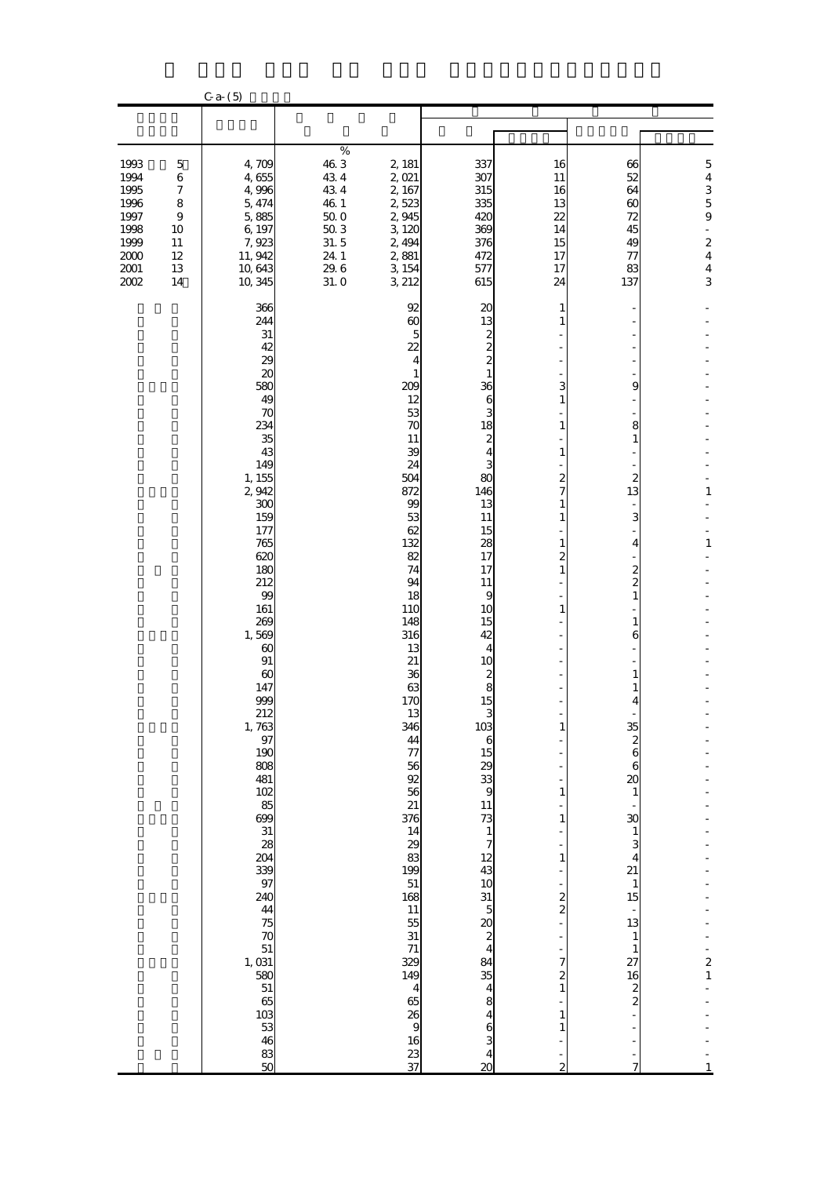|                                                                                    |                                                                             | $C_{a-}(5)$                                                                                                                                                                                                                                                                                                                                                                                                                                                                                              |                                                                                          |                                                                                                                                                                                                                                                                                                                                                                                                                                                                                                               |                                                                                                                                                                                                                                                                                                                                                                                                                                                                                                                                          |                                                                                                                                                                                                                                                                                          |                                                                                                                                                                                                                                                                                                                                                                                                 |                                                                                                                                                                              |
|------------------------------------------------------------------------------------|-----------------------------------------------------------------------------|----------------------------------------------------------------------------------------------------------------------------------------------------------------------------------------------------------------------------------------------------------------------------------------------------------------------------------------------------------------------------------------------------------------------------------------------------------------------------------------------------------|------------------------------------------------------------------------------------------|---------------------------------------------------------------------------------------------------------------------------------------------------------------------------------------------------------------------------------------------------------------------------------------------------------------------------------------------------------------------------------------------------------------------------------------------------------------------------------------------------------------|------------------------------------------------------------------------------------------------------------------------------------------------------------------------------------------------------------------------------------------------------------------------------------------------------------------------------------------------------------------------------------------------------------------------------------------------------------------------------------------------------------------------------------------|------------------------------------------------------------------------------------------------------------------------------------------------------------------------------------------------------------------------------------------------------------------------------------------|-------------------------------------------------------------------------------------------------------------------------------------------------------------------------------------------------------------------------------------------------------------------------------------------------------------------------------------------------------------------------------------------------|------------------------------------------------------------------------------------------------------------------------------------------------------------------------------|
|                                                                                    |                                                                             |                                                                                                                                                                                                                                                                                                                                                                                                                                                                                                          |                                                                                          |                                                                                                                                                                                                                                                                                                                                                                                                                                                                                                               |                                                                                                                                                                                                                                                                                                                                                                                                                                                                                                                                          |                                                                                                                                                                                                                                                                                          |                                                                                                                                                                                                                                                                                                                                                                                                 |                                                                                                                                                                              |
| 1993<br>1994<br>1995<br>1996<br>1997<br>1998<br>1999<br>$2000$<br>2001<br>$2002\,$ | $\mathbf 5$<br>$\,$ 6 $\,$<br>7<br>8<br>$\,9$<br>10<br>11<br>12<br>13<br>14 | 4,709<br>4,655<br>4,996<br>5,474<br>5,885<br>6,197<br>7,923<br>11, 942<br>10,643<br>10,345                                                                                                                                                                                                                                                                                                                                                                                                               | $\%$<br>46.3<br>434<br>434<br>46.1<br>$50\;0$<br>$50\,3$<br>31.5<br>24.1<br>29.6<br>31.0 | 2, 181<br>2,021<br>2, 167<br>2,523<br>2,945<br>3,120<br>2, 494<br>2,881<br>3,154<br>3, 212                                                                                                                                                                                                                                                                                                                                                                                                                    | 337<br>307<br>315<br>335<br>420<br>369<br>376<br>472<br>577<br>615                                                                                                                                                                                                                                                                                                                                                                                                                                                                       | 16<br>11<br>16<br>13<br>22<br>14<br>15<br>17<br>17<br>24                                                                                                                                                                                                                                 | 66<br>52<br>64<br>$\boldsymbol{\omega}$<br>72<br>45<br>49<br>77<br>83<br>137                                                                                                                                                                                                                                                                                                                    | $\mathbf 5$<br>$\overline{\mathbf{4}}$<br>$\frac{3}{5}$<br>$\bf{9}$<br>$\blacksquare$<br>$\overline{\mathcal{L}}$<br>$\overline{\mathbf{4}}$<br>$\overline{\mathbf{4}}$<br>3 |
|                                                                                    |                                                                             | 366<br>244<br>31<br>42<br>29<br>20<br>580<br>49<br>70<br>234<br>35<br>43<br>149<br>1, 155<br>2,942<br>300<br>159<br>177<br>765<br>620<br>180<br>212<br>99<br>161<br>269<br>1,569<br>$\boldsymbol{\omega}$<br>$91\,$<br>$\boldsymbol{\omega}$<br>147<br>999<br>212<br>1,763<br>97<br>190<br>808<br>481<br>102<br>85<br>699<br>$\frac{31}{28}$<br>204<br>339<br>97<br>240<br>44<br>75<br>70<br>51<br>$\begin{array}{c} 1,031 \\ 580 \end{array}$<br>${\bf 51}$<br>65<br>103<br>53<br>46<br>$\frac{83}{50}$ |                                                                                          | 92<br>$\boldsymbol{\omega}$<br>$\overline{5}$<br>22<br>4<br>$\mathbf{1}$<br>209<br>12<br>53<br>70<br>11<br>39<br>24<br>504<br>872<br>99<br>53<br>62<br>132<br>82<br>74<br>94<br>18<br>110<br>148<br>316<br>13<br>21<br>36<br>63<br>170<br>13<br>346<br>44<br>$\overline{\tau}$<br>56<br>$\overline{92}$<br>56<br>21<br>376<br>14<br>29<br>83<br>199<br>51<br>168<br>11<br>55<br>31<br>$71\,$<br>329<br>149<br>$\overline{\mathbf{4}}$<br>65<br>$\begin{array}{c}\n 26 \\  9 \\  16\n \end{array}$<br>23<br>37 | $\boldsymbol{\chi}$<br>13<br>$\frac{2}{2}$<br>$\mathbf{1}$<br>36<br>6<br>3<br>18<br>$\frac{2}{4}$<br>3<br>80<br>146<br>13<br>11<br>15<br>28<br>17<br>17<br>11<br>9<br>10<br>15<br>42<br>$\overline{4}$<br>10<br>$\begin{array}{c} 2 \\ 8 \\ 15 \end{array}$<br>3<br>103<br>$\overline{6}$<br>15<br>$29$<br>$33$<br>11<br>73<br>$\frac{1}{7}$<br>12<br>43<br>10<br>$\begin{array}{c} 31 \\ 5 \\ 2 \\ 4 \end{array}$<br>84<br>35<br>4<br>$\begin{array}{c} 8 \\ 4 \\ 6 \end{array}$<br>$\overline{\mathbf{r}}$<br>$\overline{\mathbf{20}}$ | 1<br>$\mathbf{1}$<br>3<br>$\mathbf{1}$<br>1<br>$\mathbf{1}$<br>2<br>7<br>$\mathbf{1}$<br>$\mathbf{1}$<br>$\mathbf{1}$<br>2<br>$\mathbf{1}$<br>1<br>$\mathbf{1}$<br>$\mathbf{1}$<br>$\mathbf{1}$<br>$\mathbf{1}$<br>2<br>$\overline{\mathbf{c}}$<br>7<br>2<br>$\mathbf{1}$<br>1<br>1<br>2 | 9<br>8<br>$\mathbf{1}$<br>$\boldsymbol{z}$<br>13<br>3<br>4<br>$\boldsymbol{z}$<br>$\overline{c}$<br>$\mathbf{1}$<br>$\mathbf{1}$<br>6<br>1<br>$\mathbf{1}$<br>4<br>35<br>$\frac{2}{6}$<br>$\boldsymbol{6}$<br>$\boldsymbol{\alpha}$<br>$\mathbf{1}$<br>30<br>$\mathbf{1}$<br>3<br>$\overline{4}$<br>21<br>$\mathbf{1}$<br>15<br>13<br>$\mathbf{1}$<br>$\mathbf{1}$<br>27<br>16<br>$\frac{2}{2}$ | $\mathbf 1$<br>$\mathbf{1}$<br>$\frac{2}{1}$                                                                                                                                 |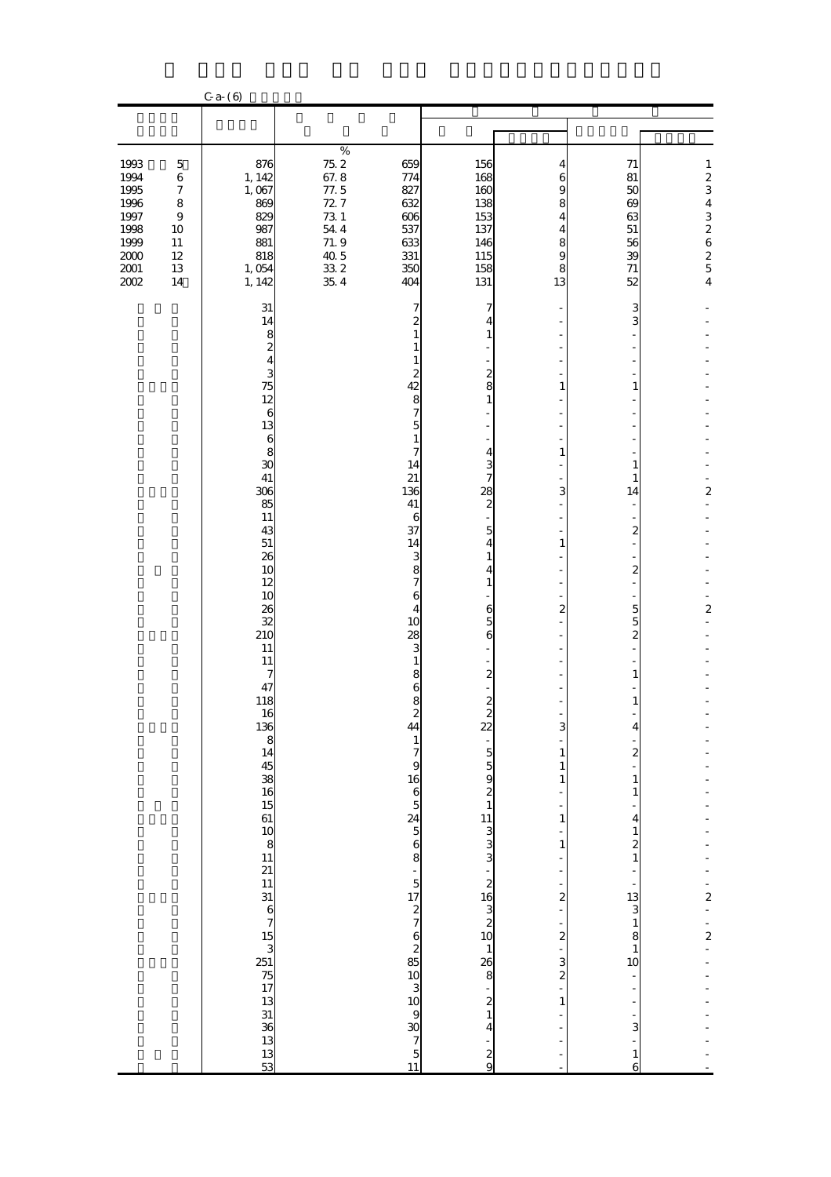|                                                                                      |                                                                                                             | $C$ a- $(6)$                                                                                                                                                                                                                                                                                     |                                                                                                   |                                                                                                                                                                                                                                                                                                                                      |                                                                                                                                                                                                                                                                                                                                                          |                                                                                                                                                      |                                                                                                                                                                                                                                                                                                                                                                                                                                                                                    |                                                                                                                      |
|--------------------------------------------------------------------------------------|-------------------------------------------------------------------------------------------------------------|--------------------------------------------------------------------------------------------------------------------------------------------------------------------------------------------------------------------------------------------------------------------------------------------------|---------------------------------------------------------------------------------------------------|--------------------------------------------------------------------------------------------------------------------------------------------------------------------------------------------------------------------------------------------------------------------------------------------------------------------------------------|----------------------------------------------------------------------------------------------------------------------------------------------------------------------------------------------------------------------------------------------------------------------------------------------------------------------------------------------------------|------------------------------------------------------------------------------------------------------------------------------------------------------|------------------------------------------------------------------------------------------------------------------------------------------------------------------------------------------------------------------------------------------------------------------------------------------------------------------------------------------------------------------------------------------------------------------------------------------------------------------------------------|----------------------------------------------------------------------------------------------------------------------|
|                                                                                      |                                                                                                             |                                                                                                                                                                                                                                                                                                  |                                                                                                   |                                                                                                                                                                                                                                                                                                                                      |                                                                                                                                                                                                                                                                                                                                                          |                                                                                                                                                      |                                                                                                                                                                                                                                                                                                                                                                                                                                                                                    |                                                                                                                      |
| 1993<br>1994<br>1995<br>1996<br>1997<br>1998<br>1999<br>$2000\,$<br>2001<br>$2002\,$ | $\mathbf 5$<br>$\,6\,$<br>$\boldsymbol{7}$<br>$\bf 8$<br>$\boldsymbol{9}$<br>10<br>$11\,$<br>12<br>13<br>14 | 876<br>1, 142<br>1,067<br>869<br>829<br>987<br>881<br>818<br>1,054<br>1, 142                                                                                                                                                                                                                     | $\%$<br>$75.2\,$<br>67.8<br>77.5<br>72.7<br>73 1<br>$54\ 4$<br>71.9<br>40.5<br>$33\,2$<br>$35\ 4$ | 659<br>774<br>827<br>632<br>606<br>537<br>633<br>331<br>350<br>404                                                                                                                                                                                                                                                                   | 156<br>168<br>160<br>138<br>153<br>137<br>146<br>115<br>158<br>131                                                                                                                                                                                                                                                                                       | 4<br>6<br>9<br>8<br>$\overline{\mathbf{4}}$<br>$\overline{\mathbf{4}}$<br>8<br>9<br>8<br>13                                                          | 71<br>81<br>50<br>69<br>63<br>51<br>56<br>39<br>$71\,$<br>52                                                                                                                                                                                                                                                                                                                                                                                                                       | $\mathbf{1}$<br>$\begin{array}{c} 2 \\ 3 \end{array}$<br>$\overline{\mathbf{4}}$<br>32625<br>$\overline{\mathbf{4}}$ |
|                                                                                      |                                                                                                             | 31<br>14<br>$\frac{1}{3}$ a $\frac{1}{2}$<br>75<br>12<br>$\boldsymbol{6}$<br>13<br>6<br>8<br>30<br>41<br>306<br>85<br>11<br>43<br>51<br>26<br>10<br>12<br>10<br>26<br>32<br>210<br>11<br>11<br>7<br>47<br>118<br>16.36 8 14 45 38 16 15 61 10 8 11 21 11 31 16 7 15 3 51 75 17 13 31 33 33 13 33 |                                                                                                   | 7<br>2<br>$\mathbf{1}$<br>$\mathbf{1}$<br>$\mathbf{1}$<br>$\boldsymbol{z}$<br>42<br>8<br>$\overline{\phantom{a}}$<br>$\overline{5}$<br>$\mathbf{1}$<br>7<br>14<br>21<br>136<br>41<br>6<br>37<br>14<br>3<br>8<br>$\overline{7}$<br>$\mathbf{6}$<br>$\overline{\mathbf{4}}$<br>10<br>28<br>3<br>$\mathbf{1}$<br>8<br>$\mathbf{6}$<br>8 | 7<br>4<br>$\mathbf{1}$<br>$\frac{2}{8}$<br>$\mathbf{1}$<br>-<br>$\overline{\mathbf{4}}$<br>$\frac{3}{7}$<br>$rac{28}{2}$<br>$\overline{5}$<br>$\overline{\mathbf{4}}$<br>$\mathbf{1}$<br>$\overline{\mathbf{4}}$<br>$\mathbf{1}$<br>$\frac{6}{5}$<br>6<br>$\overline{\mathbf{c}}$<br>$\mathbf{z}$<br>$22 - 55921113333 - 210432101$<br>$3333 - 214 - 29$ | $\mathbf{1}$<br>$\mathbf{1}$<br>3<br>$\mathbf{1}$<br>$\boldsymbol{z}$<br>3<br>$\frac{1}{1}$<br>$\mathbf{1}$<br>$\frac{1}{1}$<br>÷,<br>$\overline{a}$ | з<br>3<br>$\overline{a}$<br>$\mathbf{1}$<br>$\mathbf{1}$<br>1<br>14<br>$\overline{\mathcal{Z}}$<br>$\qquad \qquad \blacksquare$<br>$\overline{\mathcal{Z}}$<br>$\overline{5}$<br>$\overline{5}$<br>$\overline{\mathbf{c}}$<br>$\mathbf{1}$<br>$\mathbf{1}$<br>4<br>$\mathbf{z}$<br>$\mathbf{1}$<br>$\mathbf{1}$<br>$\overline{\mathbf{4}}$<br>$\mathbf{1}$<br>$\frac{2}{1}$<br>$-13$<br>$-13$<br>$-18$<br>$-10$<br>$\frac{1}{\sqrt{2}}$<br>f<br>$\frac{1}{3}$<br>$\mathbf{1}$<br>6 | $\overline{\mathbf{c}}$<br>$\boldsymbol{2}$<br>$\frac{1}{2}$<br>$\frac{1}{2}$                                        |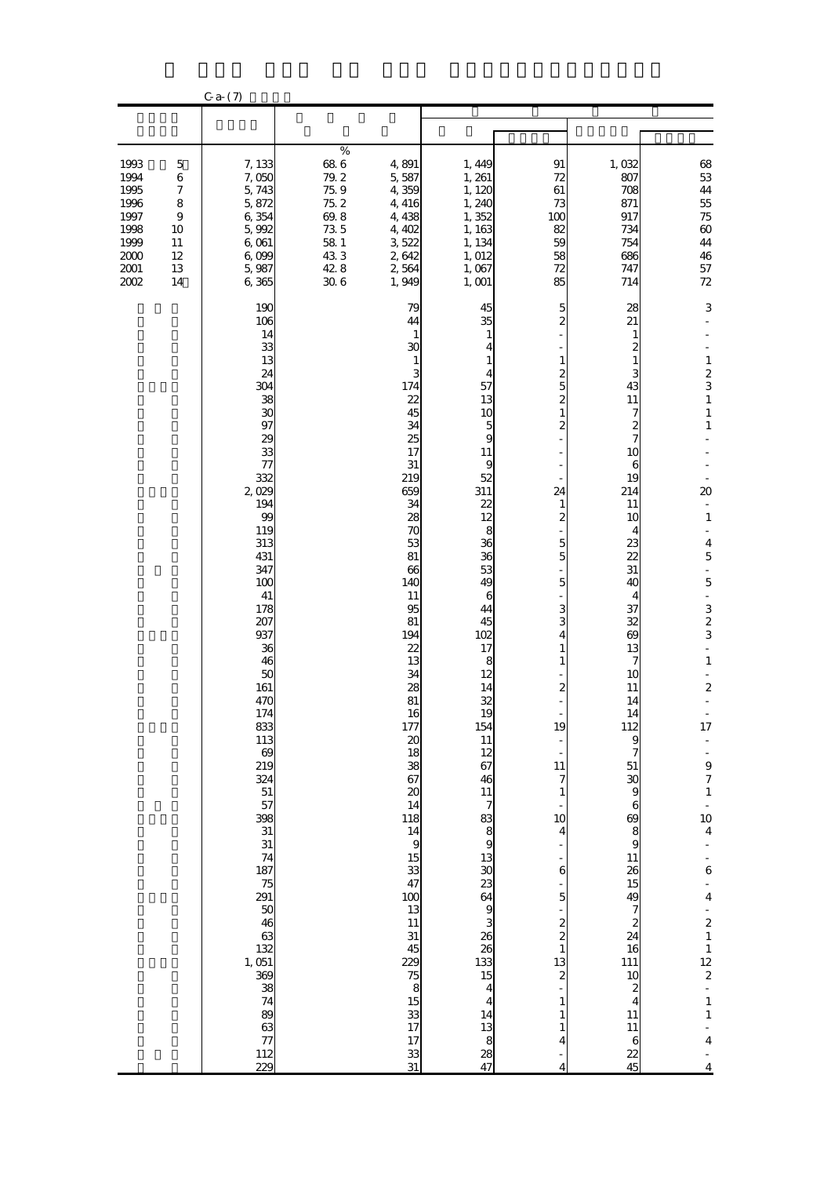|                                                                              |                                                                                        | $C$ a- $(7)$                                                                                                                                                                                                                                                                                                                                                                                                    |                                                                                   |                                                                                                                                                                                                                                                                                                                                                                                                                                                                                                                                              |                                                                                                                                                                                                                                                                                                                                                                                                  |                                                                                                                                                                                                                                                                                                                                                                              |                                                                                                                                                                                                                                                                                                                                                                                                                                                                                                                                                                     |                                                                                                                                                                                                                                                                                                                                                                                                                                                                                                                                                                |
|------------------------------------------------------------------------------|----------------------------------------------------------------------------------------|-----------------------------------------------------------------------------------------------------------------------------------------------------------------------------------------------------------------------------------------------------------------------------------------------------------------------------------------------------------------------------------------------------------------|-----------------------------------------------------------------------------------|----------------------------------------------------------------------------------------------------------------------------------------------------------------------------------------------------------------------------------------------------------------------------------------------------------------------------------------------------------------------------------------------------------------------------------------------------------------------------------------------------------------------------------------------|--------------------------------------------------------------------------------------------------------------------------------------------------------------------------------------------------------------------------------------------------------------------------------------------------------------------------------------------------------------------------------------------------|------------------------------------------------------------------------------------------------------------------------------------------------------------------------------------------------------------------------------------------------------------------------------------------------------------------------------------------------------------------------------|---------------------------------------------------------------------------------------------------------------------------------------------------------------------------------------------------------------------------------------------------------------------------------------------------------------------------------------------------------------------------------------------------------------------------------------------------------------------------------------------------------------------------------------------------------------------|----------------------------------------------------------------------------------------------------------------------------------------------------------------------------------------------------------------------------------------------------------------------------------------------------------------------------------------------------------------------------------------------------------------------------------------------------------------------------------------------------------------------------------------------------------------|
|                                                                              |                                                                                        |                                                                                                                                                                                                                                                                                                                                                                                                                 |                                                                                   |                                                                                                                                                                                                                                                                                                                                                                                                                                                                                                                                              |                                                                                                                                                                                                                                                                                                                                                                                                  |                                                                                                                                                                                                                                                                                                                                                                              |                                                                                                                                                                                                                                                                                                                                                                                                                                                                                                                                                                     |                                                                                                                                                                                                                                                                                                                                                                                                                                                                                                                                                                |
| 1993<br>1994<br>1995<br>1996<br>1997<br>1998<br>1999<br>2000<br>2001<br>2002 | $\mathbf 5$<br>$\,$ 6 $\,$<br>7<br>8<br>$\boldsymbol{9}$<br>10<br>11<br>12<br>13<br>14 | 7,133<br>7,050<br>5,743<br>5,872<br>6,354<br>5,992<br>$6\,001$<br>6,099<br>5,987<br>6,365                                                                                                                                                                                                                                                                                                                       | $\%$<br>68 6<br>79.2<br>75.9<br>75.2<br>69.8<br>735<br>58 1<br>433<br>42.8<br>306 | 4,891<br>5,587<br>4,359<br>4,416<br>4,438<br>4,402<br>3,522<br>2,642<br>2,564<br>1,949                                                                                                                                                                                                                                                                                                                                                                                                                                                       | 1,449<br>1, 261<br>1, 120<br>1,240<br>1,352<br>1,163<br>1, 134<br>1, 012<br>1,067<br>1,001                                                                                                                                                                                                                                                                                                       | 91<br>72<br>61<br>73<br>100<br>82<br>59<br>58<br>72<br>85                                                                                                                                                                                                                                                                                                                    | 1,032<br>807<br>708<br>871<br>917<br>734<br>754<br>686<br>747<br>714                                                                                                                                                                                                                                                                                                                                                                                                                                                                                                | $\begin{array}{c} 68 \\ 53 \end{array}$<br>$\bf 44$<br>55<br>$7\!5$<br>$\pmb{\infty}$<br>44<br>46<br>$57\,$<br>$72\,$                                                                                                                                                                                                                                                                                                                                                                                                                                          |
|                                                                              |                                                                                        | 190<br>106<br>14<br>33<br>13<br>24<br>304<br>38<br>30<br>97<br>29<br>33<br>77<br>332<br>2,029<br>194<br>99<br>119<br>313<br>431<br>347<br>100<br>41<br>178<br>207<br>937<br>36<br>46<br>50<br>161<br>470<br>174<br>833<br>113<br>69<br>219<br>324<br>51<br>57<br>398<br>${\bf 31}$<br>31<br>74<br>187<br>75<br>291<br>50<br>$\frac{46}{63}$<br>132<br>1, 051<br>369<br>38<br>74<br>89<br>63<br>77<br>112<br>229 |                                                                                   | 79<br>44<br>$\mathbf{1}$<br>30<br>$\mathbf{1}$<br>3<br>174<br>22<br>45<br>34<br>25<br>17<br>31<br>219<br>659<br>34<br>28<br>70<br>53<br>81<br>66<br>140<br>11<br>95<br>81<br>194<br>22<br>13<br>34<br>28<br>81<br>16<br>177<br>$\boldsymbol{\mathsf{20}}$<br>18<br>38<br>67<br>$\boldsymbol{\mathsf{20}}$<br>14<br>118<br>$\begin{array}{c} 14 \\ 9 \\ 15 \end{array}$<br>33<br>47<br>$\begin{array}{c} 100 \\ 13 \end{array}$<br>11<br>31<br>45<br>229<br>$\begin{array}{c} 75 \\ 8 \\ 15 \end{array}$<br>$\frac{33}{17}$<br>17<br>33<br>31 | 45<br>35<br>$\mathbf{1}$<br>4<br>1<br>4<br>57<br>13<br>10<br>$\frac{5}{9}$<br>$11\,$<br>9<br>52<br>311<br>22<br>12<br>8<br>36<br>36<br>53<br>49<br>6<br>44<br>45<br>102<br>17<br>8<br>12<br>14<br>32<br>19<br>154<br>11<br>12<br>67<br>46<br>11<br>783891330236493262632632632632632632632632632632515<br>$\overline{\mathbf{r}}$<br>$\overline{\mathbf{4}}$<br>14<br>$\frac{13}{8}$<br>28<br>47 | 5<br>$\overline{c}$<br>$\mathbf{1}$<br>2<br>5<br>$\overline{\mathcal{Z}}$<br>$\mathbf{1}$<br>2<br>24<br>1<br>2<br>5<br>5<br>5<br>3<br>3<br>4<br>$\mathbf{1}$<br>$\mathbf{1}$<br>$\boldsymbol{z}$<br>19<br>11<br>7<br>1<br>10<br>$\overline{4}$<br>$\mathbf{6}$<br>$\overline{5}$<br>$\frac{2}{2}$<br>$\mathbf{1}$<br>13<br>$\overline{\mathcal{Z}}$<br>1<br>1<br>1<br>4<br>4 | 28<br>21<br>1<br>2<br>1<br>3<br>43<br>11<br>7<br>$\overline{\mathcal{Z}}$<br>$\overline{7}$<br>10<br>6<br>19<br>214<br>11<br>10<br>4<br>23<br>22<br>31<br>40<br>4<br>37<br>32<br>$\boldsymbol{\omega}$<br>13<br>7<br>10<br>11<br>14<br>14<br>112<br>9<br>7<br>51<br>$\boldsymbol{\mathfrak{D}}$<br>9<br>$\boldsymbol{6}$<br>$\boldsymbol{\omega}$<br>8<br>9<br>11<br>26<br>15<br>49<br>$\overline{7}$<br>$\boldsymbol{z}$<br>24<br>16<br>$\begin{array}{c} 111 \\ 10 \end{array}$<br>$\boldsymbol{z}$<br>$\overline{4}$<br>11<br>11<br>$\boldsymbol{6}$<br>22<br>45 | 3<br>$\mathbf{1}$<br>$\frac{2}{3}$<br>$\mathbf{1}$<br>$\mathbf{1}$<br>$\mathbf{1}$<br>$20\,$<br>$\mathbf{1}$<br>$\overline{\mathbf{4}}$<br>$\overline{5}$<br>$\frac{1}{2}$<br>$\overline{5}$<br>÷,<br>$\frac{3}{2}$<br>$\frac{1}{2}$<br>$\mathbf 1$<br>$\frac{1}{2}$<br>$\overline{\mathbf{c}}$<br>17<br>$\begin{array}{c} 1 \ 1 \ 1 \ 0 \ 0 \ 0 \ 0 \end{array}$<br>$\mathbf{1}$<br>$\frac{1}{4}$<br>$\frac{1}{6}$<br>$\frac{1}{4}$<br>$\frac{2}{1}$<br>$\frac{1}{12}$<br>$\frac{1}{2}$<br>÷,<br>$\mathbf{1}$<br>$\mathbf{1}$<br>$\overline{\mathbf{4}}$<br>4 |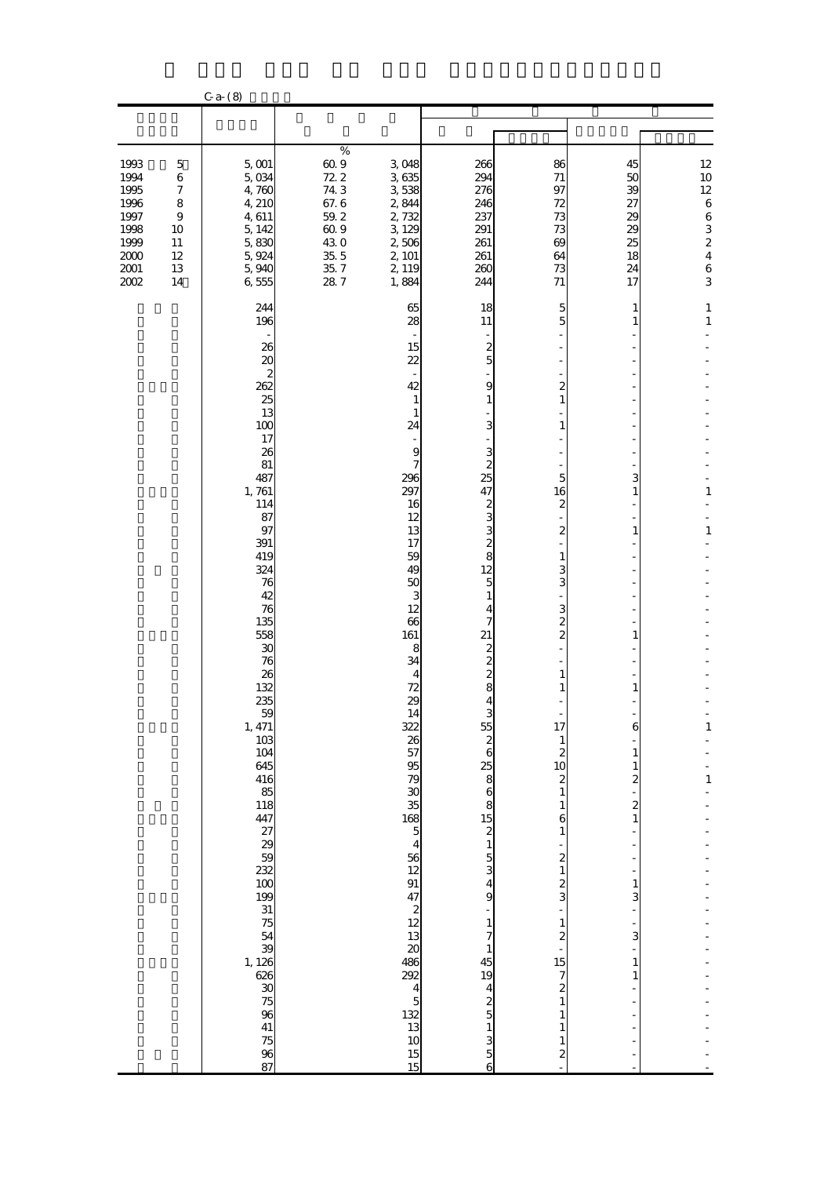|                                                                                    |                                                                               | $C$ a- $(8)$                                                                                                                                                                                                                                                                                                                                                                                                                                             |                                                                                           |                                                                                                                                                                                                                                                                                                                                                                                                                                                                                             |                                                                                                                                                                                                                                                                                                                                                                                                    |                                                                                                                                                                                                                                                                                                                                                                                       |                                                                                                                                                                                |                                                                                                                    |
|------------------------------------------------------------------------------------|-------------------------------------------------------------------------------|----------------------------------------------------------------------------------------------------------------------------------------------------------------------------------------------------------------------------------------------------------------------------------------------------------------------------------------------------------------------------------------------------------------------------------------------------------|-------------------------------------------------------------------------------------------|---------------------------------------------------------------------------------------------------------------------------------------------------------------------------------------------------------------------------------------------------------------------------------------------------------------------------------------------------------------------------------------------------------------------------------------------------------------------------------------------|----------------------------------------------------------------------------------------------------------------------------------------------------------------------------------------------------------------------------------------------------------------------------------------------------------------------------------------------------------------------------------------------------|---------------------------------------------------------------------------------------------------------------------------------------------------------------------------------------------------------------------------------------------------------------------------------------------------------------------------------------------------------------------------------------|--------------------------------------------------------------------------------------------------------------------------------------------------------------------------------|--------------------------------------------------------------------------------------------------------------------|
|                                                                                    |                                                                               |                                                                                                                                                                                                                                                                                                                                                                                                                                                          |                                                                                           |                                                                                                                                                                                                                                                                                                                                                                                                                                                                                             |                                                                                                                                                                                                                                                                                                                                                                                                    |                                                                                                                                                                                                                                                                                                                                                                                       |                                                                                                                                                                                |                                                                                                                    |
| 1993<br>1994<br>1995<br>1996<br>1997<br>1998<br>1999<br>$2000$<br>2001<br>$2002\,$ | $\mathbf 5$<br>$\,6\,$<br>7<br>$\bf 8$<br>$\,9$<br>10<br>11<br>12<br>13<br>14 | $5,001$<br>5,034<br>4,760<br>4, 210<br>4,611<br>5, 142<br>5,830<br>5,924<br>5,940<br>6,555                                                                                                                                                                                                                                                                                                                                                               | $\%$<br>60.9<br>72.2<br>743<br>67.6<br>$59.2\,$<br>60.9<br>430<br>35.5<br>$35\ 7$<br>28.7 | 3,048<br>3,635<br>3538<br>2,844<br>2,732<br>3,129<br>2,506<br>2, 101<br>2, 119<br>1,884                                                                                                                                                                                                                                                                                                                                                                                                     | 266<br>294<br>276<br>246<br>237<br>291<br>261<br>261<br>260<br>244                                                                                                                                                                                                                                                                                                                                 | 86<br>$71\,$<br>97<br>72<br>73<br>73<br>69<br>64<br>73<br>71                                                                                                                                                                                                                                                                                                                          | 45<br>50<br>39<br>27<br>29<br>29<br>25<br>18<br>24<br>17                                                                                                                       | 12<br>10<br>$12\,$<br>$\bf{6}$<br>$\,$ 6 $\,$<br>$\frac{3}{2}$<br>$\overline{\mathbf{4}}$<br>$\boldsymbol{6}$<br>3 |
|                                                                                    |                                                                               | 244<br>196<br>26<br>20<br>2<br>262<br>25<br>13<br>100<br>17<br>26<br>81<br>487<br>1,761<br>114<br>87<br>97<br>391<br>419<br>324<br>76<br>42<br>76<br>135<br>558<br>30<br>76<br>26<br>132<br>235<br>59<br>1, 471<br>103<br>104<br>645<br>416<br>85<br>118<br>447<br>$\frac{27}{29}$<br>59<br>232<br>100<br>199<br>31<br>$\begin{array}{c} 75 \\ 54 \end{array}$<br>39<br>1, 126<br>626<br>$\boldsymbol{\mathfrak{D}}$<br>75<br>96<br>41<br>75<br>96<br>87 |                                                                                           | 65<br>28<br>15<br>22<br>42<br>$\mathbf{1}$<br>$\mathbf{1}$<br>24<br>9<br>7<br>296<br>297<br>16<br>12<br>13<br>17<br>59<br>49<br>50<br>3<br>12<br>66<br>161<br>8<br>34<br>4<br>72<br>29<br>14<br>322<br>26<br>57<br>95<br>79<br>$\boldsymbol{\mathfrak{D}}$<br>35<br>$\frac{168}{5}$<br>$\overline{\mathbf{4}}$<br>$\frac{56}{12}$<br>91<br>47<br>$\begin{array}{c} 2 \\ 12 \end{array}$<br>$\frac{13}{20}$<br>486<br>292<br>$\frac{4}{13}$<br>$\frac{5}{13}$<br>$\frac{13}{10}$<br>15<br>15 | 18<br>11<br>$\overline{\phantom{a}}$<br>$\frac{2}{5}$<br>$\boldsymbol{9}$<br>$\mathbf{1}$<br>3<br>$\frac{3}{2}$<br>25<br>47<br>8 R W W W<br>12<br>5<br>1<br>4<br>7<br>21<br>2802<br>$\overline{\mathbf{4}}$<br>$\frac{55}{2}$<br>6<br>$\circ$ a $\circ$ b $\circ$ b $\circ$ a $\circ$ a $\circ$<br>$\overline{a}$<br>$\frac{1}{7}$<br>$\mathbf{1}$<br>45<br>19<br>$\frac{4}{2}$<br>$\frac{1}{3}$ 3 | 5<br>5<br>$\boldsymbol{z}$<br>$\mathbf{1}$<br>1<br>5<br>16<br>2<br>2<br>1<br>3<br>3<br>3<br>$\overline{c}$<br>2<br>1<br>1<br>17<br>$\mathbf{1}$<br>2<br>10<br>$\overline{\mathcal{Z}}$<br>$\mathbf{1}$<br>1<br>6<br>$\mathbf{1}$<br>$\overline{\mathcal{Z}}$<br>$\mathbf{1}$<br>$\frac{2}{3}$<br>$\mathbf{1}$<br>$\boldsymbol{z}$<br>15<br>7<br>2<br>$\mathbf{1}$<br>1<br>1<br>1<br>2 | 1<br>1<br>3<br>1<br>1<br>1<br>1<br>6<br>1<br>$\mathbf{1}$<br>$\overline{\mathbf{c}}$<br>$\overline{\mathbf{c}}$<br>$\mathbf{1}$<br>$\mathbf{1}$<br>3<br>3<br>1<br>$\mathbf{1}$ | $\mathbf{1}$<br>$\mathbf{1}$<br>$\mathbf{1}$<br>$\mathbf{1}$<br>$\mathbf{1}$<br>$\mathbf{1}$                       |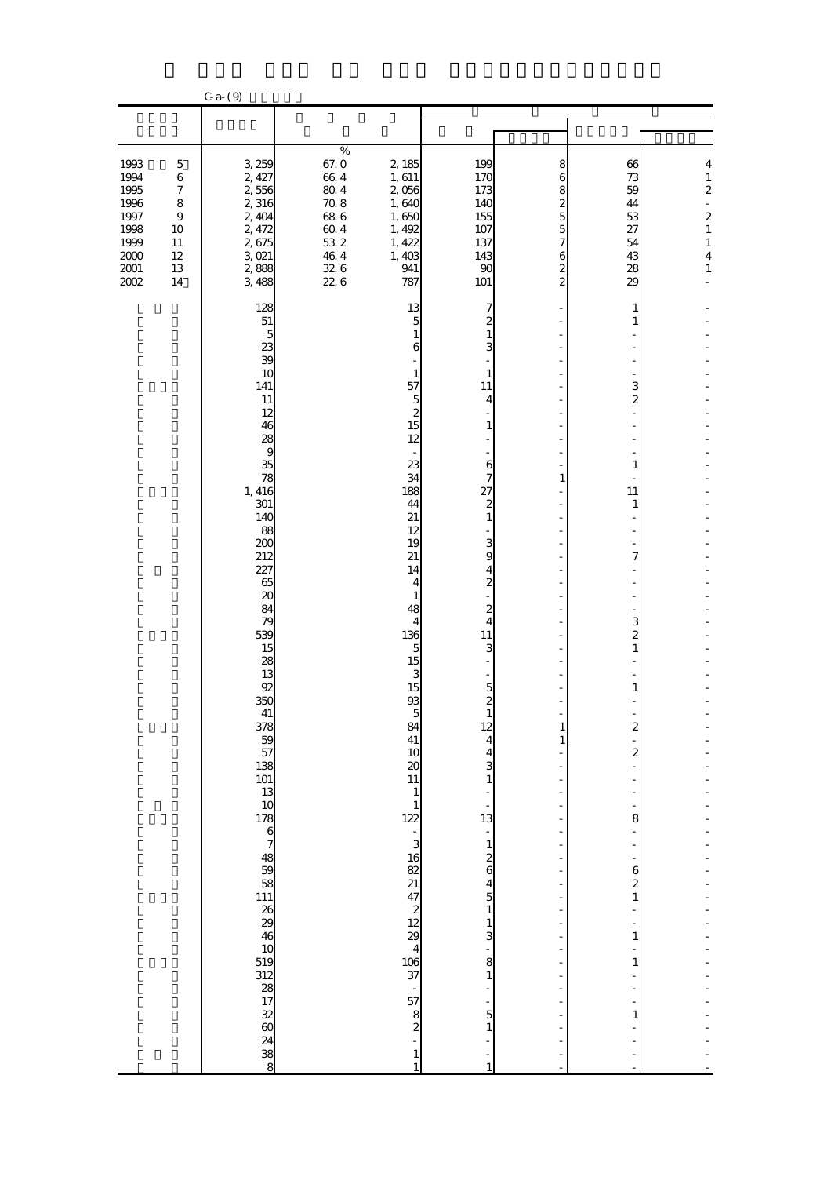|                                                                                          |                                                                                                              | $C$ a- $(9)$                                                                                                                                                                                                                                                                                                                                         |                                                                                                      |                                                                                                                                                                                                                                                                                                                                                                                                                                                                                                                                                                                                                                                                                                                                                                                                                                                                                                                                                                                                     |                                                                                                                                                                                                                                                                                                                                                                                                                                                                 |                                                             |                                                                                                                                                                              |                                                                                                                                               |
|------------------------------------------------------------------------------------------|--------------------------------------------------------------------------------------------------------------|------------------------------------------------------------------------------------------------------------------------------------------------------------------------------------------------------------------------------------------------------------------------------------------------------------------------------------------------------|------------------------------------------------------------------------------------------------------|-----------------------------------------------------------------------------------------------------------------------------------------------------------------------------------------------------------------------------------------------------------------------------------------------------------------------------------------------------------------------------------------------------------------------------------------------------------------------------------------------------------------------------------------------------------------------------------------------------------------------------------------------------------------------------------------------------------------------------------------------------------------------------------------------------------------------------------------------------------------------------------------------------------------------------------------------------------------------------------------------------|-----------------------------------------------------------------------------------------------------------------------------------------------------------------------------------------------------------------------------------------------------------------------------------------------------------------------------------------------------------------------------------------------------------------------------------------------------------------|-------------------------------------------------------------|------------------------------------------------------------------------------------------------------------------------------------------------------------------------------|-----------------------------------------------------------------------------------------------------------------------------------------------|
|                                                                                          |                                                                                                              |                                                                                                                                                                                                                                                                                                                                                      |                                                                                                      |                                                                                                                                                                                                                                                                                                                                                                                                                                                                                                                                                                                                                                                                                                                                                                                                                                                                                                                                                                                                     |                                                                                                                                                                                                                                                                                                                                                                                                                                                                 |                                                             |                                                                                                                                                                              |                                                                                                                                               |
| 1993<br>1994<br>1995<br>1996<br>1997<br>1998<br>1999<br>$2000\,$<br>$2001\,$<br>$2002\,$ | $\mathbf 5$<br>$\,6\,$<br>$\boldsymbol{7}$<br>$\bf 8$<br>$\,9$<br>$10\,$<br>$11\,$<br>$12\,$<br>13<br>$14\,$ | 3,259<br>2, 427<br>2,556<br>2,316<br>2, 404<br>2, 472<br>2,675<br>3021<br>2,888<br>3,488                                                                                                                                                                                                                                                             | $\%$<br>67.0<br>664<br>$80\;4$<br>$70\;8$<br>$68\ 6$<br>$60\;4$<br>$53\;2$<br>46.4<br>$32\;6$<br>226 | 2,185<br>1,611<br>2,056<br>1,640<br>1,650<br>1,492<br>1, 422<br>1,403<br>941<br>787                                                                                                                                                                                                                                                                                                                                                                                                                                                                                                                                                                                                                                                                                                                                                                                                                                                                                                                 | 199<br>170<br>173<br>140<br>155<br>107<br>137<br>143<br>90<br>101                                                                                                                                                                                                                                                                                                                                                                                               | 8<br>6<br>8<br>2<br>5<br>5<br>7<br>6<br>2<br>$\overline{c}$ | 66<br>73<br>59<br>44<br>53<br>27<br>54<br>43<br>28<br>29                                                                                                                     | 4<br>$\mathbf 1$<br>$\boldsymbol{z}$<br>÷<br>$\overline{\mathbf{c}}$<br>$\mathbf{1}$<br>$\mathbf 1$<br>$\overline{\mathbf{4}}$<br>$\mathbf 1$ |
|                                                                                          |                                                                                                              | 128<br>${\bf 51}$<br>5<br>23<br>39<br>10<br>141<br>11<br>12<br>46<br>28<br>$\bf{9}$<br>35<br>78<br>1, 416<br>301<br>140<br>88<br>200<br>212<br>227<br>65<br>20<br>84<br>79<br>539<br>15<br>28<br>13<br>92<br>350<br>41<br>378<br>$-59$<br>$57$<br>$138$<br>$101$<br>$13$<br>17867483946<br>10<br>519<br>312<br>38<br>17<br>32<br>60<br>24<br>38<br>8 |                                                                                                      | 13<br>$\overline{5}$<br>$\mathbf{1}$<br>6<br>$\mathbf{1}$<br>57<br>$\overline{5}$<br>$\overline{\mathcal{Z}}$<br>15<br>12<br>$\overline{\phantom{a}}$<br>23<br>34<br>188<br>44<br>21<br>12<br>19<br>21<br>14<br>4<br>$\mathbf{1}$<br>48<br>$\overline{4}$<br>136<br>$\overline{5}$<br>15<br>3<br>15<br>$93\,$<br>5<br>84<br>41<br>10<br>$\boldsymbol{\mathsf{20}}$<br>11<br>$\mathbf{1}$<br>$\mathbf{1}$<br>122<br>÷,<br>$\begin{array}{c} 3 \\ 16 \end{array}$<br>$\begin{array}{l} 3 \overline{0} \\ 3 \overline{0} \\ 4 \overline{0} \\ 5 \overline{0} \\ 6 \overline{0} \\ 7 \overline{0} \\ 8 \overline{0} \\ 1 \overline{0} \\ 1 \overline{0} \\ 1 \overline{0} \\ 1 \overline{0} \\ 1 \overline{0} \\ 1 \overline{0} \\ 1 \overline{0} \\ 1 \overline{0} \\ 1 \overline{0} \\ 1 \overline{0} \\ 1 \overline{0} \\ 1 \overline{0} \\ 1 \overline{0} \\ 1 \overline{0} \\ 1 \overline{0} \\ 1 \overline{0} \\ 1 \overline{$<br>$\frac{1}{57}$<br>$\frac{8}{2}$<br>$\mathbf{1}$<br>$\mathbf{1}$ | 7<br>2<br>$\mathbf{1}$<br>3<br>1<br>11<br>4<br>$\mathbf{1}$<br>6<br>7<br>27<br>$\boldsymbol{z}$<br>$\mathbf{1}$<br>$\frac{3}{9}$<br>$\frac{4}{2}$<br>$\frac{2}{4}$<br>11<br>3<br>$\overline{a}$<br>$\frac{5}{2}$<br>12<br>$\overline{\mathbf{4}}$<br>$\frac{4}{3}$<br>$\begin{bmatrix} 1 \\ 13 \end{bmatrix}$<br>÷,<br>$\frac{1}{2}$ $\frac{2}{5}$ $\frac{4}{1}$<br>$\frac{1}{3}$<br>$\begin{array}{c} 8 \\ 1 \end{array}$<br>÷,<br>-<br>5<br>$\mathbf{1}$<br>1 | $\mathbf{1}$<br>$\mathbf{1}$<br>$\mathbf{1}$                | 1<br>1<br>3<br>2<br>1<br>11<br>1<br>7<br>3<br>$\overline{\mathbf{c}}$<br>$\mathbf{1}$<br>1<br>$\boldsymbol{z}$<br>2<br>8<br>$\boldsymbol{6}$<br>$\frac{2}{1}$<br>1<br>1<br>1 |                                                                                                                                               |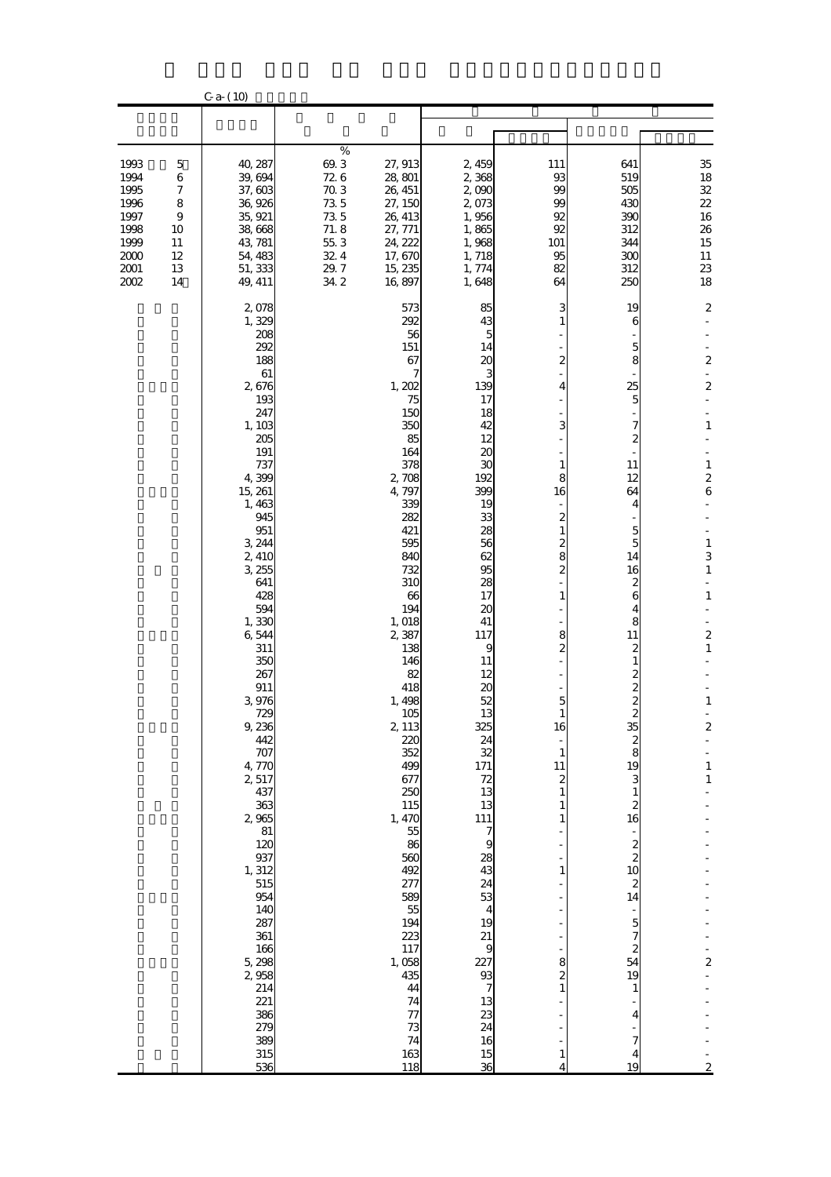|                                                                              |                                                                              | $C$ a- $(10)$                                                                                                                                                                                                                                                                                                                                                                                                                                                     |                                                                                                          |                                                                                                                                                                                                                                                                                                                                                                                                                                               |                                                                                                                                                                                                                                                                                                                                                                                                                                               |                                                                                                                                                                                                                                                                                                                                                        |                                                                                                                                                                                                                                                                                                                                                                                                               |                                                                                                                                                                                                                                                                               |
|------------------------------------------------------------------------------|------------------------------------------------------------------------------|-------------------------------------------------------------------------------------------------------------------------------------------------------------------------------------------------------------------------------------------------------------------------------------------------------------------------------------------------------------------------------------------------------------------------------------------------------------------|----------------------------------------------------------------------------------------------------------|-----------------------------------------------------------------------------------------------------------------------------------------------------------------------------------------------------------------------------------------------------------------------------------------------------------------------------------------------------------------------------------------------------------------------------------------------|-----------------------------------------------------------------------------------------------------------------------------------------------------------------------------------------------------------------------------------------------------------------------------------------------------------------------------------------------------------------------------------------------------------------------------------------------|--------------------------------------------------------------------------------------------------------------------------------------------------------------------------------------------------------------------------------------------------------------------------------------------------------------------------------------------------------|---------------------------------------------------------------------------------------------------------------------------------------------------------------------------------------------------------------------------------------------------------------------------------------------------------------------------------------------------------------------------------------------------------------|-------------------------------------------------------------------------------------------------------------------------------------------------------------------------------------------------------------------------------------------------------------------------------|
|                                                                              |                                                                              |                                                                                                                                                                                                                                                                                                                                                                                                                                                                   |                                                                                                          |                                                                                                                                                                                                                                                                                                                                                                                                                                               |                                                                                                                                                                                                                                                                                                                                                                                                                                               |                                                                                                                                                                                                                                                                                                                                                        |                                                                                                                                                                                                                                                                                                                                                                                                               |                                                                                                                                                                                                                                                                               |
| 1993<br>1994<br>1995<br>1996<br>1997<br>1998<br>1999<br>2000<br>2001<br>2002 | 5<br>$\,$ 6 $\,$<br>$\boldsymbol{7}$<br>8<br>9<br>10<br>11<br>12<br>13<br>14 | 40, 287<br>39,694<br>37,603<br>36,926<br>35, 921<br>38,668<br>43, 781<br>54, 483<br>51, 333<br>49, 411                                                                                                                                                                                                                                                                                                                                                            | $\%$<br>69.3<br>726<br>$70.3$<br>$73\,5$<br>$73\,5$<br>71.8<br>$55\ 3$<br>$32\,4$<br>$29.7\,$<br>$34\ 2$ | 27, 913<br>28, 801<br>26, 451<br>27, 150<br>26, 413<br>27, 771<br>24, 222<br>17,670<br>15, 235<br>16,897                                                                                                                                                                                                                                                                                                                                      | 2,459<br>2,368<br>2,090<br>2,073<br>1,956<br>1,865<br>1,968<br>1,718<br>1,774<br>1,648                                                                                                                                                                                                                                                                                                                                                        | 111<br>93<br>99<br>99<br>92<br>92<br>101<br>95<br>82<br>64                                                                                                                                                                                                                                                                                             | 641<br>519<br>505<br>430<br>390<br>312<br>344<br>300<br>312<br>250                                                                                                                                                                                                                                                                                                                                            | 35<br>18<br>${\bf 32}$<br>$2\!2$<br>$16\,$<br>26<br>15<br>11<br>$23\,$<br>18                                                                                                                                                                                                  |
|                                                                              |                                                                              | 2,078<br>1,329<br>208<br>292<br>188<br>61<br>2,676<br>193<br>247<br>1,103<br>205<br>191<br>737<br>4,399<br>15, 261<br>1,463<br>945<br>951<br>3,244<br>2,410<br>3,255<br>641<br>428<br>594<br>1,330<br>6,544<br>311<br>350<br>267<br>911<br>3976<br>729<br>9,236<br>442<br>707<br>4,770<br>2,517<br>437<br>363<br>2,965<br>81<br>120<br>937<br>1, 312<br>515<br>954<br>140<br>287<br>361<br>166<br>5,298<br>2,958<br>214<br>221<br>386<br>279<br>389<br>315<br>536 |                                                                                                          | 573<br>292<br>56<br>151<br>67<br>7<br>1,202<br>75<br>150<br>350<br>85<br>164<br>378<br>2,708<br>4,797<br>339<br>282<br>421<br>595<br>840<br>732<br>310<br>66<br>194<br>1, 018<br>2,387<br>138<br>146<br>82<br>418<br>1,498<br>105<br>2, 113<br>220<br>352<br>499<br>677<br>250<br>115<br>1, 470<br>55<br>86<br>560<br>492<br>277<br>589<br>55<br>194<br>223<br>117<br>1,058<br>435<br>44<br>74<br>$\overline{\tau}$<br>73<br>74<br>163<br>118 | 85<br>43<br>5<br>14<br>20<br>3<br>139<br>17<br>18<br>42<br>12<br>20<br>30<br>192<br>399<br>19<br>33<br>28<br>56<br>62<br>95<br>28<br>17<br>20<br>41<br>117<br>9<br>11<br>12<br>20<br>52<br>13<br>325<br>24<br>$\overline{32}$<br>171<br>$\frac{72}{13}$<br>13<br>$\frac{111}{7}$<br>9<br>28<br>43<br>24<br>$\frac{1}{4}$<br>19<br>$\begin{array}{c} 21 \\ 9 \end{array}$<br>227<br>$\frac{93}{7}$<br>$\frac{13}{24}$<br>16<br>$\frac{15}{36}$ | 3<br>1<br>2<br>4<br>3<br>$\mathbf{1}$<br>8<br>16<br>2<br>1<br>$\overline{\mathcal{Z}}$<br>8<br>$\overline{\mathcal{Z}}$<br>1<br>8<br>$\overline{\mathcal{Z}}$<br>5<br>1<br>16<br>$\mathbf 1$<br>11<br>$\boldsymbol{z}$<br>$\mathbf{1}$<br>1<br>1<br>$\mathbf{1}$<br>8<br>$\begin{smallmatrix}2\2\1\end{smallmatrix}$<br>$\mathbf{1}$<br>$\overline{4}$ | 19<br>6<br>5<br>8<br>25<br>5<br>7<br>$\mathbf{z}$<br>11<br>12<br>64<br>4<br>5<br>5<br>14<br>16<br>2<br>6<br>4<br>8<br>11<br>2<br>1<br>2<br>$\overline{\mathcal{Z}}$<br>$\boldsymbol{z}$<br>35<br>2<br>8<br>19<br>3<br>$\mathbf{1}$<br>$\boldsymbol{z}$<br>16<br>$\boldsymbol{z}$<br>$\overline{\mathbf{c}}$<br>10<br>$\boldsymbol{z}$<br>14<br>$\overline{5}$<br>7<br>2<br>54<br>19<br>1<br>4<br>7<br>4<br>19 | $\boldsymbol{2}$<br>2<br>$\boldsymbol{2}$<br>$\mathbf{1}$<br>$\mathbf{1}$<br>2<br>6<br>$\mathbf{1}$<br>3<br>$\mathbf 1$<br>$\mathbf{1}$<br>$\boldsymbol{z}$<br>$\mathbf{1}$<br>$\mathbf{1}$<br>$\overline{\mathbf{c}}$<br>$\mathbf{1}$<br>$\mathbf{1}$<br>2<br>$\overline{2}$ |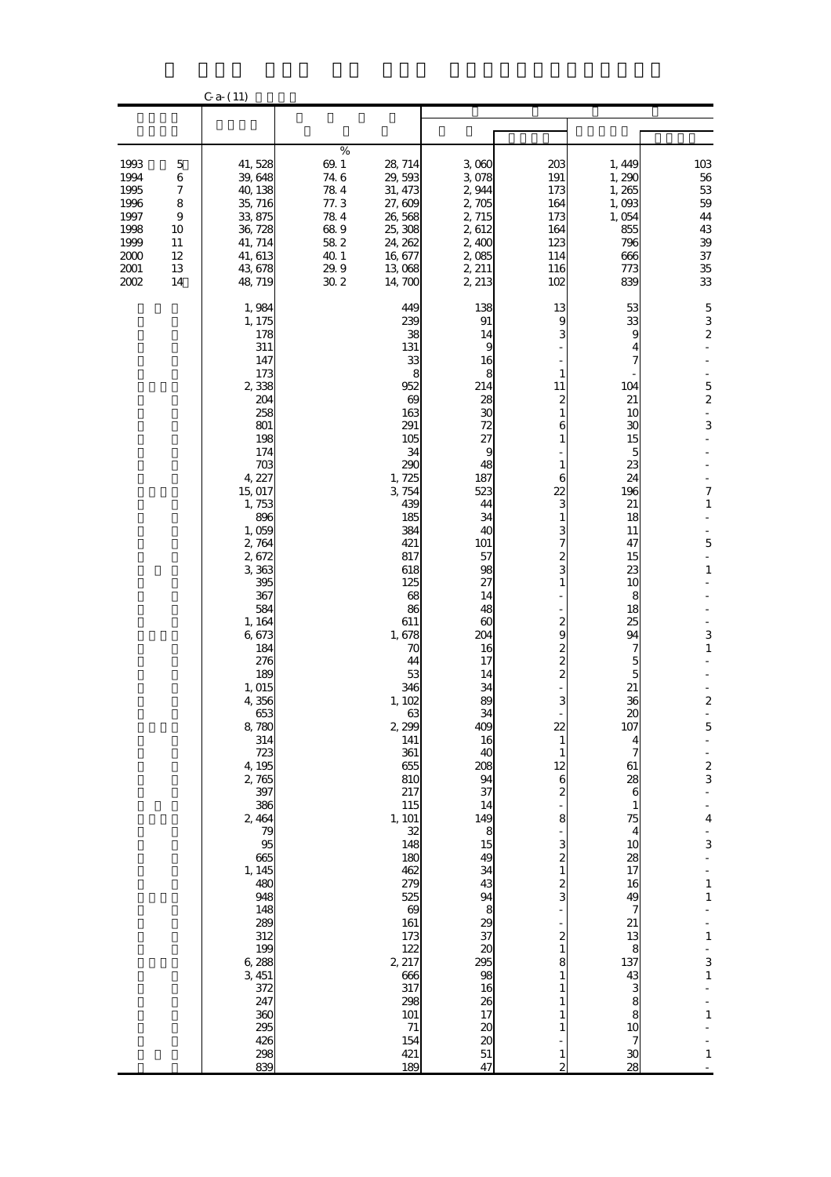|                                                                                    |                                                               | $C$ a- $(11)$                                                                                                                                                                                                                                                                                                                                                                                                                                                           |                                                                                          |                                                                                                                                                                                                                                                                                                                                                                                                                                                   |                                                                                                                                                                                                                                                                                                                                                                                                                                                 |                                                                                                                                                                                                                                                                                                                                                                                                                                                                                 |                                                                                                                                                                                                                                                                                                                                                 |                                                                                                                                                                                                                                                                                                                           |
|------------------------------------------------------------------------------------|---------------------------------------------------------------|-------------------------------------------------------------------------------------------------------------------------------------------------------------------------------------------------------------------------------------------------------------------------------------------------------------------------------------------------------------------------------------------------------------------------------------------------------------------------|------------------------------------------------------------------------------------------|---------------------------------------------------------------------------------------------------------------------------------------------------------------------------------------------------------------------------------------------------------------------------------------------------------------------------------------------------------------------------------------------------------------------------------------------------|-------------------------------------------------------------------------------------------------------------------------------------------------------------------------------------------------------------------------------------------------------------------------------------------------------------------------------------------------------------------------------------------------------------------------------------------------|---------------------------------------------------------------------------------------------------------------------------------------------------------------------------------------------------------------------------------------------------------------------------------------------------------------------------------------------------------------------------------------------------------------------------------------------------------------------------------|-------------------------------------------------------------------------------------------------------------------------------------------------------------------------------------------------------------------------------------------------------------------------------------------------------------------------------------------------|---------------------------------------------------------------------------------------------------------------------------------------------------------------------------------------------------------------------------------------------------------------------------------------------------------------------------|
|                                                                                    |                                                               |                                                                                                                                                                                                                                                                                                                                                                                                                                                                         |                                                                                          |                                                                                                                                                                                                                                                                                                                                                                                                                                                   |                                                                                                                                                                                                                                                                                                                                                                                                                                                 |                                                                                                                                                                                                                                                                                                                                                                                                                                                                                 |                                                                                                                                                                                                                                                                                                                                                 |                                                                                                                                                                                                                                                                                                                           |
| 1993<br>1994<br>1995<br>1996<br>1997<br>1998<br>1999<br>2000<br>$2001$<br>$2002\,$ | 5<br>$\,$ 6 $\,$<br>7<br>8<br>9<br>10<br>11<br>12<br>13<br>14 | 41,528<br>39,648<br>40, 138<br>35, 716<br>33,875<br>36, 728<br>41, 714<br>41, 613<br>43,678<br>48, 719                                                                                                                                                                                                                                                                                                                                                                  | %<br>69.1<br>74 6<br>$78\;4$<br>77.3<br>$78\;4$<br>689<br>582<br>40.1<br>29.9<br>$30\,2$ | 28, 714<br>29,593<br>31, 473<br>27,609<br>26,568<br>25,308<br>24, 262<br>16,677<br>13 068<br>14,700                                                                                                                                                                                                                                                                                                                                               | 3,060<br>3,078<br>2,944<br>2,705<br>2, 715<br>2,612<br>2,400<br>2,085<br>2, 211<br>2, 213                                                                                                                                                                                                                                                                                                                                                       | 203<br>191<br>173<br>164<br>173<br>164<br>123<br>114<br>116<br>102                                                                                                                                                                                                                                                                                                                                                                                                              | 1,449<br>1,290<br>1,265<br>1,093<br>1,054<br>855<br>796<br>666<br>773<br>839                                                                                                                                                                                                                                                                    | 103<br>$56\,$<br>53<br>$5\!9$<br>44<br>43<br>$3\!$<br>37<br>$35\,$<br>$3\!$                                                                                                                                                                                                                                               |
|                                                                                    |                                                               | 1,984<br>1, 175<br>178<br>311<br>147<br>173<br>2,338<br>204<br>258<br>801<br>198<br>174<br>703<br>4, 227<br>15,017<br>1,753<br>896<br>1,059<br>2,764<br>2,672<br>3,363<br>395<br>367<br>584<br>1, 164<br>6,673<br>184<br>276<br>189<br>1, 015<br>4,356<br>653<br>8,780<br>314<br>723<br>4,195<br>2,765<br>397<br>386<br>2,464<br>79<br>95<br>665<br>1, 145<br>480<br>948<br>148<br>289<br>312<br>199<br>6,288<br>3,451<br>372<br>247<br>360<br>295<br>426<br>298<br>839 |                                                                                          | 449<br>239<br>38<br>131<br>33<br>8<br>952<br>69<br>163<br>291<br>105<br>34<br>290<br>1,725<br>3,754<br>439<br>185<br>384<br>421<br>817<br>618<br>125<br>68<br>86<br>611<br>1,678<br>70<br>44<br>53<br>346<br>1,102<br>63<br>2,299<br>141<br>361<br>655<br>810<br>217<br>115<br>1, 101<br>32<br>148<br>180<br>462<br>279<br>525<br>$\boldsymbol{\omega}$<br>161<br>173<br>122<br>2, 217<br>666<br>317<br>298<br>101<br>$71\,$<br>154<br>421<br>189 | 138<br>91<br>14<br>9<br>16<br>8<br>214<br>28<br>30<br>72<br>27<br>9<br>48<br>187<br>523<br>44<br>34<br>40<br><b>101</b><br>57<br>98<br>27<br>14<br>48<br>60<br>204<br>16<br>17<br>14<br>34<br>89<br>34<br>409<br>16<br>40<br>208<br>94<br>37<br>14<br>$\begin{array}{c}\n 149 \\  8 \\  15\n \end{array}$<br>49<br>34<br>43<br>94<br>8<br>37<br>$\boldsymbol{\alpha}$<br>295<br>98<br>16<br>26<br>17<br>20<br>$\infty$<br>51<br>$\overline{47}$ | 13<br>9<br>3<br>$\mathbf{1}$<br>11<br>$\boldsymbol{z}$<br>1<br>6<br>1<br>$\mathbf{1}$<br>6<br>22<br>3<br>1<br>3<br>7<br>2<br>3<br>$\mathbf{1}$<br>$\overline{\mathcal{Z}}$<br>9<br>2<br>2<br>$\overline{c}$<br>3<br>22<br>$\mathbf{1}$<br>$\mathbf{1}$<br>12<br>6<br>$\overline{\mathcal{Z}}$<br>8<br>3<br>$\overline{\mathcal{Z}}$<br>$\mathbf{1}$<br>$\frac{2}{3}$<br>2<br>$\mathbf{1}$<br>8<br>1<br>1<br>1<br>$\mathbf{1}$<br>$\mathbf{1}$<br>$\mathbf{1}$<br>$\overline{2}$ | 53<br>33<br>9<br>4<br>7<br>104<br>21<br>10<br>30<br>15<br>5<br>23<br>24<br>196<br>21<br>18<br>11<br>47<br>15<br>23<br>10<br>8<br>18<br>25<br>94<br>7<br>5<br>5<br>21<br>36<br>$\alpha$<br>107<br>4<br>7<br>61<br>28<br>6<br>1<br>75<br>4<br>10<br>28<br>17<br>16<br>49<br>7<br>21<br>13<br>8<br>137<br>43<br>3<br>8<br>8<br>10<br>7<br>30<br>28 | $\mathbf 5$<br>3<br>$\boldsymbol{2}$<br>$\overline{5}$<br>2<br>$\blacksquare$<br>3<br>7<br>$\mathbf 1$<br>$\overline{5}$<br>$\mathbf{1}$<br>3<br>$\mathbf{1}$<br>$\boldsymbol{2}$<br>5<br>$\frac{2}{3}$<br>4<br>3<br>÷<br>$\mathbf{1}$<br>$\mathbf 1$<br>$\mathbf{1}$<br>3<br>$\mathbf 1$<br>$\mathbf{1}$<br>$\mathbf{1}$ |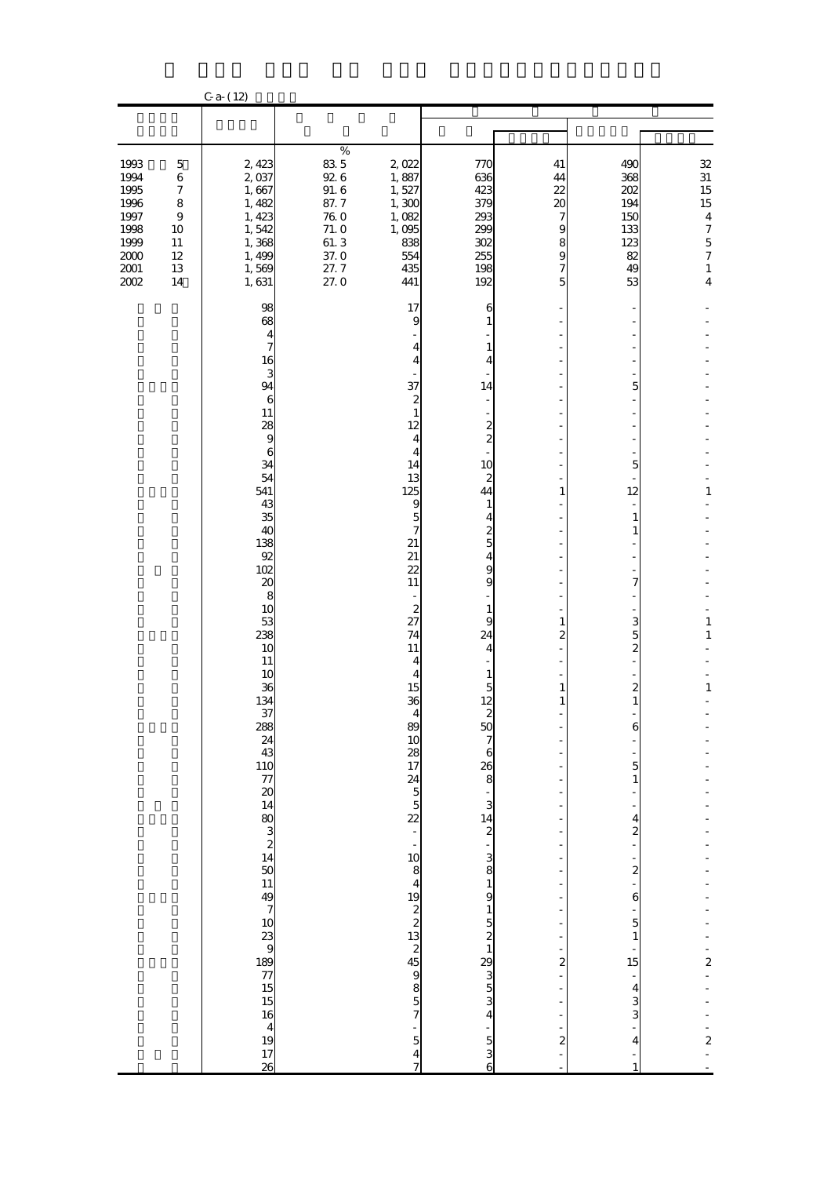|                                                                                          |                                                                                                  | $C_{a}$ (12)                                                                                                                                                                                                                                                                                                     |                                                                                                      |                                                                                                                                                                                                                                                                                                                                                                     |                                                                                                                                                                                                                                                                                  |                                                                                                    |                                                                                                                                                                                                                                                                          |                                                                                                                                                    |
|------------------------------------------------------------------------------------------|--------------------------------------------------------------------------------------------------|------------------------------------------------------------------------------------------------------------------------------------------------------------------------------------------------------------------------------------------------------------------------------------------------------------------|------------------------------------------------------------------------------------------------------|---------------------------------------------------------------------------------------------------------------------------------------------------------------------------------------------------------------------------------------------------------------------------------------------------------------------------------------------------------------------|----------------------------------------------------------------------------------------------------------------------------------------------------------------------------------------------------------------------------------------------------------------------------------|----------------------------------------------------------------------------------------------------|--------------------------------------------------------------------------------------------------------------------------------------------------------------------------------------------------------------------------------------------------------------------------|----------------------------------------------------------------------------------------------------------------------------------------------------|
|                                                                                          |                                                                                                  |                                                                                                                                                                                                                                                                                                                  |                                                                                                      |                                                                                                                                                                                                                                                                                                                                                                     |                                                                                                                                                                                                                                                                                  |                                                                                                    |                                                                                                                                                                                                                                                                          |                                                                                                                                                    |
| 1993<br>1994<br>1995<br>1996<br>1997<br>1998<br>1999<br>$2000\,$<br>$2001\,$<br>$2002\,$ | $\mathbf 5$<br>$\,6\,$<br>$\boldsymbol{7}$<br>$\bf 8$<br>$\,9$<br>10<br>11<br>12<br>13<br>$14\,$ | 2, 423<br>2,037<br>1,667<br>1,482<br>1, 423<br>1,542<br>1,368<br>1,499<br>1,569<br>1, 631                                                                                                                                                                                                                        | $\%$<br>83 5<br>$92\,6$<br>$91.\,\,6$<br>87.7<br>$76\ 0$<br>$71.0$<br>$61.3$<br>37.0<br>27.7<br>27.0 | 2,022<br>1,887<br>1,527<br>1,300<br>1,082<br>1,095<br>838<br>554<br>435<br>441                                                                                                                                                                                                                                                                                      | 77C<br>636<br>423<br>379<br>293<br>299<br>302<br>255<br>198<br>192                                                                                                                                                                                                               | 41<br>44<br>22<br>20<br>7<br>9<br>8<br>9<br>7<br>5                                                 | 490<br>368<br>202<br>194<br>150<br>133<br>123<br>82<br>49<br>53                                                                                                                                                                                                          | $3\!2$<br>$31\,$<br>15<br>15<br>$\boldsymbol{4}$<br>$\boldsymbol{7}$<br>$\mathbf 5$<br>$\boldsymbol{7}$<br>$\mathbf{1}$<br>$\overline{\mathbf{4}}$ |
|                                                                                          |                                                                                                  | 98<br>68<br>$\frac{4}{7}$<br>16<br>3<br>94<br>6<br>11<br>28<br>9<br>6<br>34<br>54<br>541<br>43<br>35<br>40<br>138<br>92<br>102<br>20<br>8<br>10<br>53<br>238<br>10<br>11<br>10<br>36<br>134<br>$\mathfrak{Z}$<br>288<br>24 43 110 77 20 14 80 3 2 2 14 50 11 49 7 10 23 9 89 77 15 15 16 4 19<br>$\frac{17}{26}$ |                                                                                                      | 17<br>$\boldsymbol{9}$<br>4<br>4<br>37<br>$\overline{\mathcal{Z}}$<br>$\mathbf{1}$<br>12<br>$\overline{\mathbf{4}}$<br>4<br>14<br>13<br>125<br>9<br>5<br>7<br>21<br>21<br>22<br>11<br>$\overline{\phantom{a}}$<br>$\boldsymbol{z}$<br>27<br>74<br>11<br>4<br>4<br>15<br>36<br>89<br>$\frac{10}{28}$<br>24 5 5 22 - - 10 8 4 19 2 2 13 2 45 9 8 5 7<br>$\frac{5}{7}$ | 6<br>1<br>$\mathbf{1}$<br>4<br>14<br>$\overline{\phantom{a}}$<br>$\frac{1}{2}$<br>$\frac{2}{2}$<br>10<br>2<br>44<br>$\mathbf{1}$<br>4<br>$\frac{2}{5}$<br>$\overline{\mathbf{4}}$<br>9<br>9<br>1<br>9<br>24<br>$\overline{4}$<br>1<br>5<br>12<br>$\overline{c}$<br>$\frac{5}{6}$ | $\mathbf{1}$<br>1<br>2<br>1<br>$\mathbf{1}$<br>$\overline{\mathcal{Z}}$<br>$\overline{\mathbf{c}}$ | 5<br>5<br>12<br>1<br>1<br>7<br>3<br>5<br>$\overline{c}$<br>2<br>$\mathbf{1}$<br>6<br>$\overline{5}$<br>$\mathbf{1}$<br>$\overline{\mathbf{4}}$<br>$\boldsymbol{2}$<br>$\boldsymbol{2}$<br>$\boldsymbol{6}$<br>$\overline{5}$<br>$\mathbf{1}$<br>15<br>$\frac{4}{3}$<br>4 | $\mathbf{1}$<br>$\mathbf{1}$<br>$\mathbf{1}$<br>$\mathbf{1}$<br>$\overline{\mathbf{c}}$<br>$\frac{1}{2}$                                           |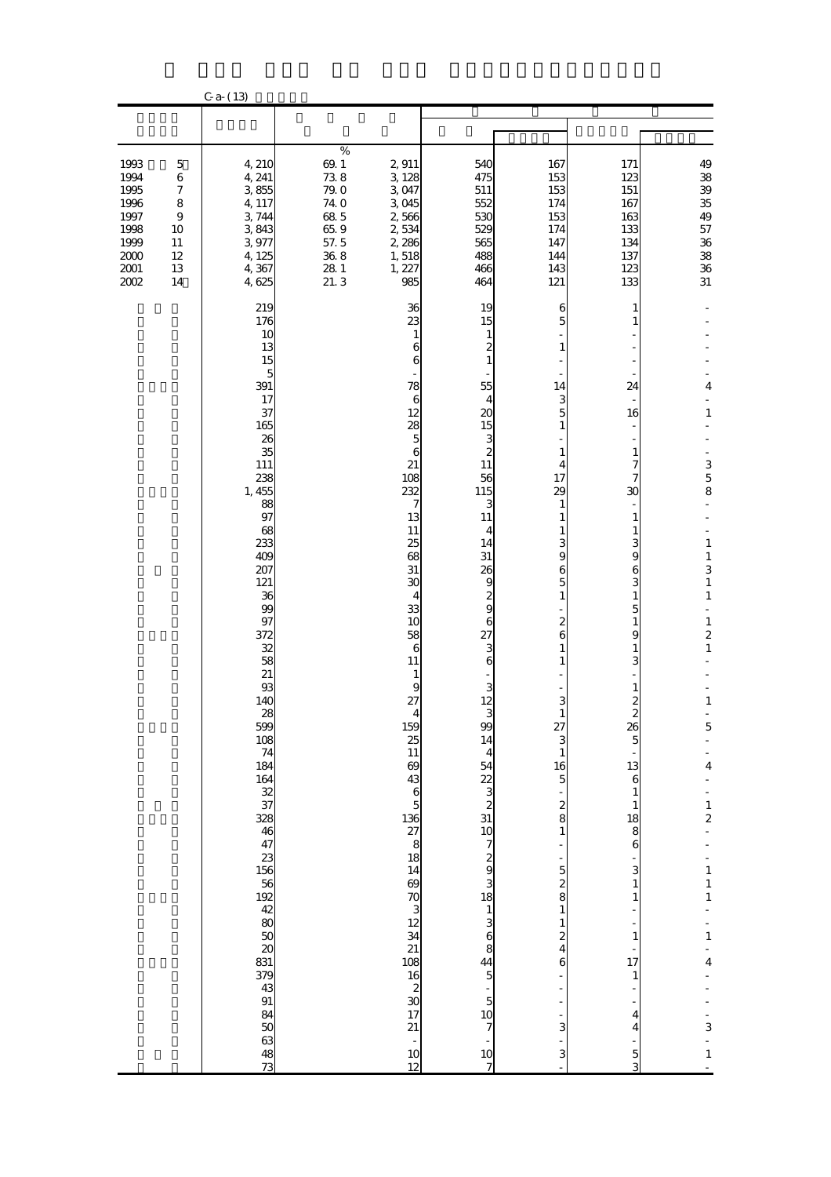|                                                                                    |                                                                                                 | $C$ a- $(13)$                                                                                                                                                                                                                                                                                                                                                                                                                                                                                                   |                                                                                                            |                                                                                                                                                                                                                                                                                                                                                                                                              |                                                                                                                                                                                                                                                                                                                                                                                          |                                                                                                                                                                                                                                                                                                                   |                                                                                                                                                                                                                                                                                                                                                      |                                                                                                                                                                                                                                                                                                                                                                                                                         |
|------------------------------------------------------------------------------------|-------------------------------------------------------------------------------------------------|-----------------------------------------------------------------------------------------------------------------------------------------------------------------------------------------------------------------------------------------------------------------------------------------------------------------------------------------------------------------------------------------------------------------------------------------------------------------------------------------------------------------|------------------------------------------------------------------------------------------------------------|--------------------------------------------------------------------------------------------------------------------------------------------------------------------------------------------------------------------------------------------------------------------------------------------------------------------------------------------------------------------------------------------------------------|------------------------------------------------------------------------------------------------------------------------------------------------------------------------------------------------------------------------------------------------------------------------------------------------------------------------------------------------------------------------------------------|-------------------------------------------------------------------------------------------------------------------------------------------------------------------------------------------------------------------------------------------------------------------------------------------------------------------|------------------------------------------------------------------------------------------------------------------------------------------------------------------------------------------------------------------------------------------------------------------------------------------------------------------------------------------------------|-------------------------------------------------------------------------------------------------------------------------------------------------------------------------------------------------------------------------------------------------------------------------------------------------------------------------------------------------------------------------------------------------------------------------|
|                                                                                    |                                                                                                 |                                                                                                                                                                                                                                                                                                                                                                                                                                                                                                                 |                                                                                                            |                                                                                                                                                                                                                                                                                                                                                                                                              |                                                                                                                                                                                                                                                                                                                                                                                          |                                                                                                                                                                                                                                                                                                                   |                                                                                                                                                                                                                                                                                                                                                      |                                                                                                                                                                                                                                                                                                                                                                                                                         |
| 1993<br>1994<br>1995<br>1996<br>1997<br>1998<br>1999<br>$2000$<br>$2001\,$<br>2002 | $\mathbf 5$<br>$\,6$<br>$\boldsymbol{7}$<br>8<br>$\boldsymbol{9}$<br>10<br>11<br>12<br>13<br>14 | 4, 210<br>4, 241<br>3855<br>4, 117<br>3,744<br>3843<br>3,977<br>4, 125<br>4,367<br>4,625                                                                                                                                                                                                                                                                                                                                                                                                                        | $\%$<br>$69.1\,$<br>738<br>79.0<br>74.0<br>68.5<br>65.9<br>57.5<br>$36\;8$<br>${\bf 28}$ ${\bf 1}$<br>21.3 | 2,911<br>3 128<br>3,047<br>3045<br>2,566<br>2,534<br>2,286<br>1,518<br>1, 227<br>985                                                                                                                                                                                                                                                                                                                         | 540<br>475<br>511<br>552<br>530<br>529<br>565<br>488<br>466<br>464                                                                                                                                                                                                                                                                                                                       | 167<br>153<br>153<br>174<br>153<br>174<br>147<br>144<br>143<br>121                                                                                                                                                                                                                                                | 171<br>123<br>151<br>167<br>163<br>133<br>134<br>137<br>123<br>133                                                                                                                                                                                                                                                                                   | 49<br>38<br>39<br>35<br>49<br>$57\,$<br>${\bf 36}$<br>${\bf 38}$<br>${\bf 36}$<br>$31\,$                                                                                                                                                                                                                                                                                                                                |
|                                                                                    |                                                                                                 | 219<br>176<br>10<br>13<br>15<br>5<br>391<br>17<br>37<br>165<br>26<br>35<br>111<br>238<br>1, 455<br>88<br>97<br>68<br>233<br>409<br>207<br>121<br>36<br>99<br>97<br>372<br>32<br>58<br>21<br>93<br>140<br>$\begin{array}{c} 28 \\ 599 \end{array}$<br>$\frac{108}{74}$<br>$184$<br>$184$<br>$32$<br>$37$<br>328<br>46<br>47<br>$23 + 36$<br>$156$<br>$182$<br>$48$<br>$80$<br>50<br>$\boldsymbol{\mathsf{20}}$<br>831<br>$\frac{379}{43}$<br>$91\,$<br>84<br>$\begin{array}{c} 50 \\ 63 \end{array}$<br>48<br>73 |                                                                                                            | 36<br>23<br>$\mathbf{1}$<br>6<br>6<br>78<br>$\boldsymbol{6}$<br>12<br>28<br>$\overline{5}$<br>6<br>21<br>108<br>232<br>7<br>13<br>11<br>25<br>68<br>31<br>30<br>$\overline{4}$<br>33<br>10<br>58<br>$\boldsymbol{6}$<br>11<br>$\mathbf{1}$<br>$\bf{9}$<br>27<br>$\frac{4}{159}$<br>$\frac{25}{11}$<br>$\boldsymbol{\omega}$<br><u>ន្ង ១ ដែន ១ និង ក្នុង ក្នុង ក្នុង ក្នុង</u><br>17<br>21<br>$\frac{10}{12}$ | 19<br>15<br>$\mathbf{1}$<br>$\overline{\mathbf{c}}$<br>$\mathbf{1}$<br>55<br>4<br>20<br>15<br>3<br>$\overline{\mathcal{Z}}$<br>11<br>56<br>115<br>3<br>11<br>4<br>14<br>31<br>26<br>$\begin{array}{c} 9 \\ 2 \\ 9 \end{array}$<br>$\boldsymbol{6}$<br>27<br>$\frac{3}{6}$<br>$\frac{3}{12}$<br>$\frac{3}{99}$<br>14<br>⊿ 12 0 ω ω 20 Ω ω ω ω ω ω ω ω ω Ω 24 ω ω Ω 24 ω<br>$\frac{10}{7}$ | 6<br>5<br>1<br>14<br>3<br>5<br>1<br>1<br>4<br>17<br>29<br>1<br>1<br>з<br>9<br>6<br>5<br>$\mathbf{1}$<br>2<br>6<br>1<br>3<br>27<br>3<br>$\mathbf{1}$<br>$\begin{array}{c} 16 \\ 5 \end{array}$<br>$\frac{2}{8}$<br>$\mathbf{1}$<br>$\frac{5}{2}$ 8<br>$\mathbf{1}$<br>$\mathbf{1}$<br>$\frac{2}{4}$<br>6<br>3<br>3 | 1<br>1<br>24<br>16<br>1<br>7<br>7<br>30<br>1<br>1<br>3<br>9<br>6<br>3<br>$\mathbf{1}$<br>$\overline{5}$<br>$\mathbf{1}$<br>9<br>1<br>3<br>2<br>26<br>$\overline{5}$<br>13<br>$\mathbf{6}$<br>1<br>$\mathbf{1}$<br>18<br>8<br>$\bf{6}$<br>3<br>$\mathbf{1}$<br>1<br>1<br>$\frac{1}{17}$<br>$\mathbf{1}$<br>4<br>$\overline{4}$<br>$\overline{5}$<br>3 | $\overline{\mathbf{4}}$<br>$\mathbf 1$<br>$\frac{3}{5}$<br>$\mathbf 1$<br>$\mathbf{1}$<br>3<br>$\mathbf{1}$<br>$\mathbf 1$<br>$\mathbf{1}$<br>$\frac{2}{1}$<br>$\mathbf{1}% _{T}\left  \mathbf{1}\right\rangle$<br>$\overline{5}$<br>$\overline{\mathbf{4}}$<br>÷<br>$\frac{1}{2}$<br>$\begin{array}{c} 1 \\ 1 \\ 1 \end{array}$<br>÷<br>$\mathbf{1}$<br>$\overline{\mathbf{4}}$<br>$\frac{1}{3}$<br>L,<br>$\mathbf{1}$ |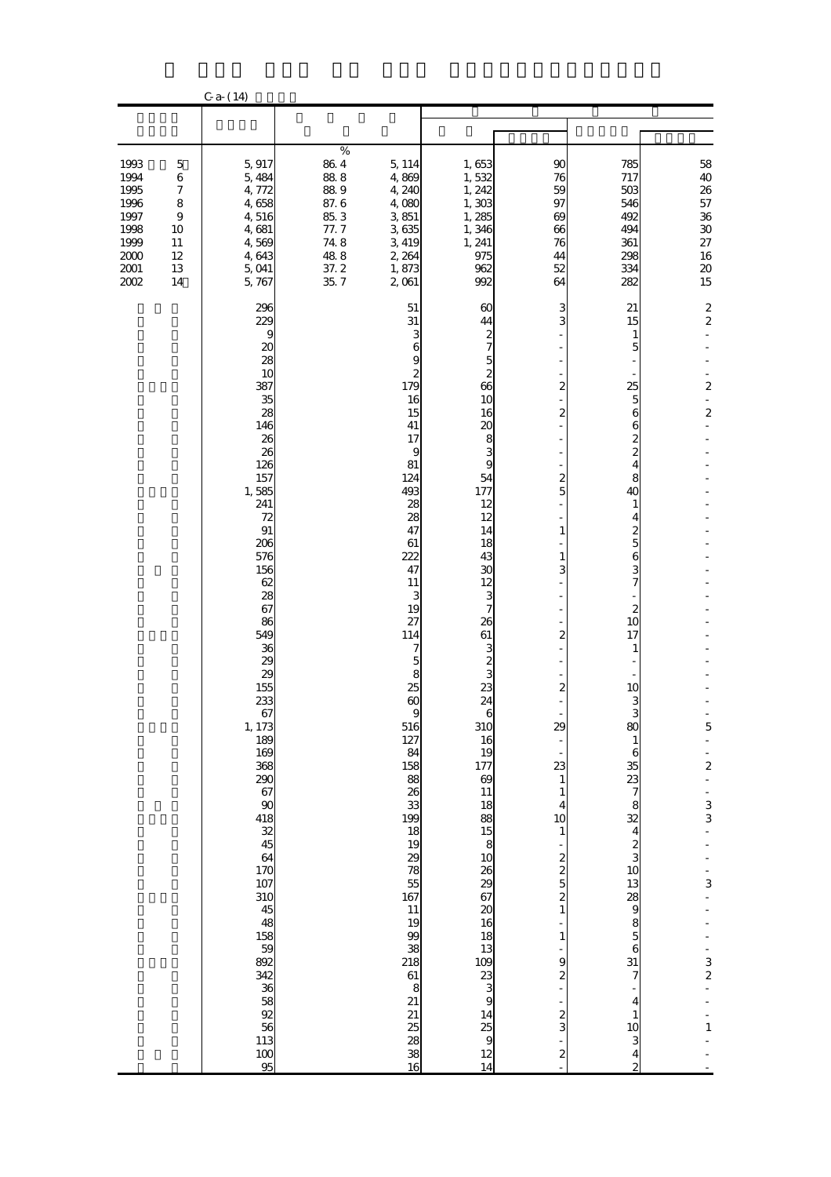|                                                                                  |                                                                                                       | $C$ a- $(14)$                                                                                                                                                                                                                                                                                                                                                                                                |                                                                                       |                                                                                                                                                                                                                                                                                                                                                                                                                                                   |                                                                                                                                                                                                                                                                                                                                                                                                                                                                                    |                                                                                                                                                                                                                                                                                                                                                                                             |                                                                                                                                                                                                                                                                                                                                                                                                       |                                                                                                                                                                                                           |
|----------------------------------------------------------------------------------|-------------------------------------------------------------------------------------------------------|--------------------------------------------------------------------------------------------------------------------------------------------------------------------------------------------------------------------------------------------------------------------------------------------------------------------------------------------------------------------------------------------------------------|---------------------------------------------------------------------------------------|---------------------------------------------------------------------------------------------------------------------------------------------------------------------------------------------------------------------------------------------------------------------------------------------------------------------------------------------------------------------------------------------------------------------------------------------------|------------------------------------------------------------------------------------------------------------------------------------------------------------------------------------------------------------------------------------------------------------------------------------------------------------------------------------------------------------------------------------------------------------------------------------------------------------------------------------|---------------------------------------------------------------------------------------------------------------------------------------------------------------------------------------------------------------------------------------------------------------------------------------------------------------------------------------------------------------------------------------------|-------------------------------------------------------------------------------------------------------------------------------------------------------------------------------------------------------------------------------------------------------------------------------------------------------------------------------------------------------------------------------------------------------|-----------------------------------------------------------------------------------------------------------------------------------------------------------------------------------------------------------|
|                                                                                  |                                                                                                       |                                                                                                                                                                                                                                                                                                                                                                                                              |                                                                                       |                                                                                                                                                                                                                                                                                                                                                                                                                                                   |                                                                                                                                                                                                                                                                                                                                                                                                                                                                                    |                                                                                                                                                                                                                                                                                                                                                                                             |                                                                                                                                                                                                                                                                                                                                                                                                       |                                                                                                                                                                                                           |
| 1993<br>1994<br>1995<br>1996<br>1997<br>1998<br>1999<br>2000<br>$2001\,$<br>2002 | $\mathbf 5$<br>$\,$ 6 $\,$<br>$\boldsymbol{7}$<br>8<br>$\boldsymbol{9}$<br>10<br>11<br>12<br>13<br>14 | 5,917<br>5,484<br>4,772<br>4,658<br>4,516<br>4,681<br>4,569<br>4,643<br>5,041<br>5,767                                                                                                                                                                                                                                                                                                                       | $\%$<br>$86\;4$<br>88.8<br>889<br>87.6<br>85.3<br>77.7<br>748<br>488<br>37.2<br>35, 7 | 5, 114<br>4,869<br>4,240<br>4,080<br>$3\,851$<br>3635<br>3,419<br>2, 264<br>1,873<br>2,061                                                                                                                                                                                                                                                                                                                                                        | 1,653<br>1,532<br>1, 242<br>1,303<br>1,285<br>1,346<br>1, 241<br>975<br>962<br>992                                                                                                                                                                                                                                                                                                                                                                                                 | 90<br>76<br>59<br>97<br>69<br>66<br>76<br>44<br>52<br>64                                                                                                                                                                                                                                                                                                                                    | 785<br>717<br>503<br>546<br>492<br>494<br>361<br>298<br>334<br>282                                                                                                                                                                                                                                                                                                                                    | 58<br>40<br>26<br>57<br>${\bf 36}$<br>${\bf 30}$<br>$27\,$<br>16<br>$\pmb{20}$<br>15                                                                                                                      |
|                                                                                  |                                                                                                       | 296<br>229<br>9<br>20<br>28<br>10<br>387<br>35<br>28<br>146<br>26<br>26<br>126<br>157<br>1,585<br>241<br>72<br>91<br>206<br>576<br>156<br>62<br>28<br>67<br>86<br>549<br>36<br>29<br>29<br>155<br>233<br>67<br>1, 173<br>189<br>169<br>368<br>290<br>67<br>90<br>418<br>$\frac{32}{45}$<br>64<br>170<br>107<br>310<br>45<br>48<br>158<br>59<br>892<br>342<br>36<br>58<br>92<br>56<br>113<br>$\frac{100}{95}$ |                                                                                       | 51<br>31<br>3<br>6<br>9<br>$\boldsymbol{z}$<br>179<br>16<br>15<br>41<br>17<br>9<br>81<br>124<br>493<br>28<br>28<br>47<br>61<br>222<br>47<br>11<br>3<br>19<br>27<br>114<br>7<br>5<br>8<br>25<br>$\boldsymbol{\omega}$<br>9<br>516<br>$\begin{array}{c} 127 \\ 84 \\ 158 \end{array}$<br>88<br>26<br>$\frac{33}{199}$<br>$\frac{18}{19}$<br>29<br>78<br>55<br>167<br>11<br>19<br>99<br>38<br>218<br>$61\,$<br>8<br>21<br>21<br>25<br>28<br>38<br>16 | 60<br>44<br>$\frac{2}{7}$<br>$\frac{5}{2}$<br>66<br>10<br>16<br>20<br>$\frac{8}{3}$<br>54<br>177<br>12<br>12<br>14<br>18<br>43<br>30<br>12<br>3<br>7<br>26<br>61<br>$\frac{3}{3}$<br>23<br>24<br>b<br>310<br>$\frac{16}{19}$<br>177<br>$\boldsymbol{\omega}$<br>11<br>$\begin{array}{c} 18 \\ 88 \\ 15 \\ 8 \\ 10 \end{array}$<br>28<br>29<br>37<br>30<br>30<br>30<br>30<br>30<br>4<br>25<br>9<br>20<br>30<br>30<br>30<br>30<br>30<br>30<br>30<br>20<br>20<br>20<br>20<br>20<br>20 | 3<br>3<br>$\boldsymbol{z}$<br>2<br>$\overline{\mathcal{Z}}$<br>5<br>$\mathbf{1}$<br>$\mathbf{1}$<br>3<br>$\overline{\mathcal{Z}}$<br>$\boldsymbol{z}$<br>Ξ<br>29<br>23<br>$\mathbf{1}$<br>$\mathbf{1}$<br>$\overline{\mathbf{4}}$<br>10<br>$\mathbf{1}$<br>$\frac{2}{2}$<br>$\overline{\mathcal{Z}}$<br>$\mathbf{1}$<br>$\mathbf{1}$<br>9<br>2<br>$\frac{2}{3}$<br>$\overline{\mathcal{Z}}$ | 21<br>15<br>1<br>5<br>25<br>5<br>6<br>6<br>2<br>$\overline{\mathcal{Z}}$<br>4<br>8<br>40<br>1<br>4<br>2<br>5<br>6<br>3<br>7<br>2<br>10<br>17<br>1<br>10<br>3<br>80<br>$\mathbf{1}$<br>6<br>35<br>23<br>$\boldsymbol{7}$<br>8<br>32<br>$\overline{\mathbf{4}}$<br>$\frac{2}{3}$<br>10<br>$\frac{13}{9}$<br>$\frac{8}{5}$<br>$\bf{6}$<br>31<br>7<br>4<br>$\mathbf{1}$<br>10<br>3<br>4<br>$\overline{c}$ | $\boldsymbol{z}$<br>$\boldsymbol{2}$<br>$\boldsymbol{z}$<br>$\boldsymbol{z}$<br>$\frac{5}{1}$<br>$\frac{1}{2}$<br>$\frac{1}{3}$<br>$\frac{1}{3}$<br>$\begin{array}{c} 3 \\ 2 \end{array}$<br>$\mathbf{1}$ |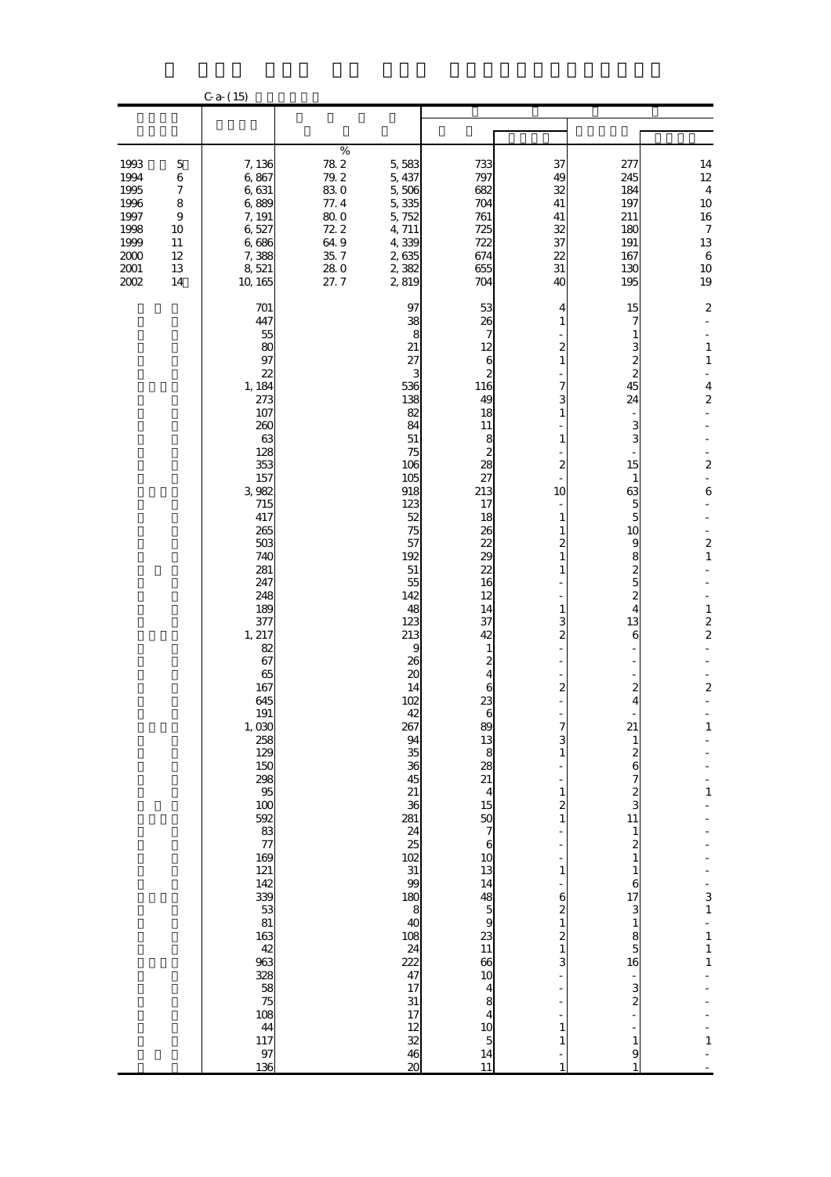|                                                                                      |                                                                                        | $C$ a- $(15)$                                                                                                                                                                                                                                                                                                                                                                                                                                 |                                                                                  |                                                                                                                                                                                                                                                                                                                                                                                                                                                                                  |                                                                                                                                                                                                                                                                                                                                                                                                                                                                              |                                                                                                                                                                                                                                                                                                                                                                                                                                                                                                     |                                                                                                                                                                                                                                                                                                                                                                                                   |                                                                                                                                                                                                                                                                                                                                                                                             |
|--------------------------------------------------------------------------------------|----------------------------------------------------------------------------------------|-----------------------------------------------------------------------------------------------------------------------------------------------------------------------------------------------------------------------------------------------------------------------------------------------------------------------------------------------------------------------------------------------------------------------------------------------|----------------------------------------------------------------------------------|----------------------------------------------------------------------------------------------------------------------------------------------------------------------------------------------------------------------------------------------------------------------------------------------------------------------------------------------------------------------------------------------------------------------------------------------------------------------------------|------------------------------------------------------------------------------------------------------------------------------------------------------------------------------------------------------------------------------------------------------------------------------------------------------------------------------------------------------------------------------------------------------------------------------------------------------------------------------|-----------------------------------------------------------------------------------------------------------------------------------------------------------------------------------------------------------------------------------------------------------------------------------------------------------------------------------------------------------------------------------------------------------------------------------------------------------------------------------------------------|---------------------------------------------------------------------------------------------------------------------------------------------------------------------------------------------------------------------------------------------------------------------------------------------------------------------------------------------------------------------------------------------------|---------------------------------------------------------------------------------------------------------------------------------------------------------------------------------------------------------------------------------------------------------------------------------------------------------------------------------------------------------------------------------------------|
|                                                                                      |                                                                                        |                                                                                                                                                                                                                                                                                                                                                                                                                                               |                                                                                  |                                                                                                                                                                                                                                                                                                                                                                                                                                                                                  |                                                                                                                                                                                                                                                                                                                                                                                                                                                                              |                                                                                                                                                                                                                                                                                                                                                                                                                                                                                                     |                                                                                                                                                                                                                                                                                                                                                                                                   |                                                                                                                                                                                                                                                                                                                                                                                             |
| 1993<br>1994<br>1995<br>1996<br>1997<br>1998<br>1999<br>$2000\,$<br>$2001\,$<br>2002 | $\mathbf 5$<br>$\,$ 6 $\,$<br>$\boldsymbol{7}$<br>8<br>9<br>10<br>11<br>12<br>13<br>14 | 7,136<br>6,867<br>6,631<br>6,889<br>7, 191<br>6,527<br>6,686<br>7,388<br>8,521<br>10, 165                                                                                                                                                                                                                                                                                                                                                     | $\%$<br>782<br>79.2<br>830<br>77.4<br>800<br>72.2<br>649<br>35, 7<br>280<br>27.7 | 5,583<br>5, 437<br>5,506<br>5,335<br>5,752<br>4,711<br>4,339<br>2,635<br>2,382<br>2,819                                                                                                                                                                                                                                                                                                                                                                                          | 733<br>797<br>682<br>704<br>761<br>725<br>722<br>674<br>655<br>704                                                                                                                                                                                                                                                                                                                                                                                                           | 37<br>49<br>32<br>41<br>41<br>32<br>37<br>22<br>31<br>40                                                                                                                                                                                                                                                                                                                                                                                                                                            | 277<br>245<br>184<br>197<br>211<br>180<br>191<br>167<br>130<br>195                                                                                                                                                                                                                                                                                                                                | 14<br>$12 \text{ }$<br>$\boldsymbol{4}$<br>$10\,$<br>$16\,$<br>$\boldsymbol{7}$<br>13<br>$\,6\,$<br>$10\,$<br>19                                                                                                                                                                                                                                                                            |
|                                                                                      |                                                                                        | 701<br>447<br>55<br>80<br>97<br>22<br>1, 184<br>273<br>107<br>260<br>63<br>128<br>353<br>157<br>3,982<br>715<br>417<br>265<br>503<br>740<br>281<br>247<br>248<br>189<br>377<br>1, 217<br>82<br>67<br>65<br>167<br>645<br>$\frac{191}{1,030}$<br>258<br>129<br>150<br>298<br>95<br>100<br>592<br>$\frac{83}{77}$<br>169<br>121<br>142<br>339<br>53<br>81<br>163<br>42<br>963<br>328<br>58<br>75<br>$\frac{108}{44}$<br>117<br>$\frac{97}{136}$ |                                                                                  | 97<br>38<br>8<br>21<br>27<br>3<br>536<br>138<br>82<br>84<br>$51\,$<br>75<br>106<br>105<br>918<br>123<br>52<br>75<br>57<br>192<br>$51\,$<br>55<br>142<br>48<br>123<br>213<br>9<br>26<br>$\boldsymbol{\mathsf{20}}$<br>14<br>102<br>42<br>267<br>94<br>35<br>36<br>45<br>21<br>36<br>281<br>24<br>25<br>102<br>31<br>99<br>180<br>$\begin{array}{c}\n 8 \\  40\n \end{array}$<br>108<br>$\frac{24}{222}$<br>47<br>17<br>31<br>17<br>$\frac{12}{32}$<br>46<br>$\boldsymbol{\alpha}$ | 53<br>26<br>7<br>12<br>$\mathbf{6}$<br>$\overline{\mathcal{Z}}$<br>116<br>49<br>18<br>11<br>8<br>2<br>28<br>27<br>213<br>17<br>18<br>26<br>22<br>29<br>22<br>16<br>12<br>14<br>37<br>42<br>$\frac{1}{2}$<br>6<br>23<br>6<br>$803888$<br>$1545$<br>$\frac{50}{7}$<br>$\begin{array}{c} 6 \\ 10 \end{array}$<br>13<br>14<br>$\begin{array}{c}\n 48 \\  50 \\  \hline\n 11\n \end{array}$<br>$\frac{66}{10}$<br>$\begin{array}{c}\n4 \\ 8 \\ 4\n\end{array}$<br>$\frac{14}{11}$ | 4<br>1<br>$\overline{\mathcal{Z}}$<br>$\mathbf{1}$<br>7<br>3<br>$\mathbf{1}$<br>$\mathbf{1}$<br>-<br>2<br>10<br>$\overline{a}$<br>$\mathbf{1}$<br>$\mathbf{1}$<br>2<br>$\mathbf{1}$<br>$\mathbf{1}$<br>$\mathbf{1}$<br>3<br>$\overline{\mathcal{Z}}$<br>$\boldsymbol{z}$<br>÷,<br>7<br>3<br>$\mathbf{1}$<br>$\mathbf{1}$<br>$\overline{\mathbf{c}}$<br>$\mathbf{1}$<br>$\mathbf{1}$<br>6<br>2<br>$\mathbf{1}$<br>$\overline{\mathcal{Z}}$<br>$\mathbf{1}$<br>3<br>$\mathbf{1}$<br>$\mathbf{1}$<br>1 | 15<br>7<br>1<br>3<br>2<br>2<br>45<br>24<br>3<br>3<br>15<br>$\mathbf{1}$<br>63<br>5<br>5<br>10<br>9<br>8<br>$\boldsymbol{z}$<br>$\overline{5}$<br>$\boldsymbol{z}$<br>4<br>13<br>6<br>2<br>4<br>21<br>1<br>2<br>6<br>7<br>$\frac{2}{3}$<br>11<br>$\mathbf{1}$<br>$\boldsymbol{z}$<br>$\mathbf{1}$<br>1<br>6<br>17<br>3<br>$\mathbf{1}$<br>8<br>$\overline{5}$<br>16<br>3<br>2<br>$\mathbf{1}$<br>9 | $\boldsymbol{2}$<br>ä,<br>$\mathbf{1}$<br>$\mathbf 1$<br>$\overline{\mathbf{4}}$<br>$\overline{\mathbf{c}}$<br>$\boldsymbol{z}$<br>L,<br>6<br>$\overline{\mathbf{c}}$<br>$\mathbf{1}$<br>$\mathbf{1}$<br>$\overline{\mathbf{c}}$<br>2<br>$\boldsymbol{2}$<br>$\mathbf{1}$<br>$\mathbf{1}$<br>$\frac{3}{1}$<br>$\overline{a}$<br>$\mathbf{1}$<br>$\mathbf{1}$<br>$\mathbf 1$<br>$\mathbf{1}$ |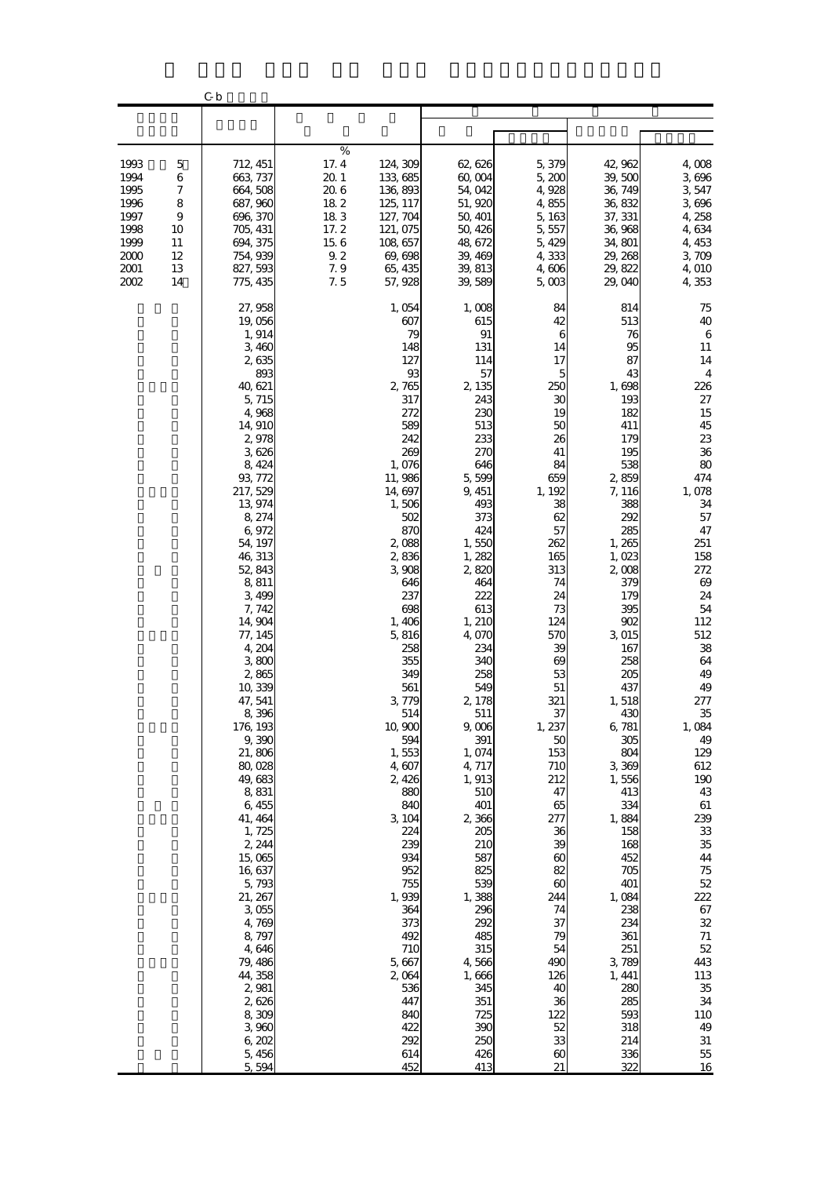|                                                                              |                                                     | C b                                                                                                                                                                                                                                                                                                                                                                                                                                                                                                                                                                                 |                                                                                    |                                                                                                                                                                                                                                                                                                                                                                                                                                                                    |                                                                                                                                                                                                                                                                                                                                                                                                                                                                 |                                                                                                                                                                                                                                                                                                                                                                                                                                               |                                                                                                                                                                                                                                                                                                                                                                                                                                                      |                                                                                                                                                                                                                                                                                                                                                                                                                              |
|------------------------------------------------------------------------------|-----------------------------------------------------|-------------------------------------------------------------------------------------------------------------------------------------------------------------------------------------------------------------------------------------------------------------------------------------------------------------------------------------------------------------------------------------------------------------------------------------------------------------------------------------------------------------------------------------------------------------------------------------|------------------------------------------------------------------------------------|--------------------------------------------------------------------------------------------------------------------------------------------------------------------------------------------------------------------------------------------------------------------------------------------------------------------------------------------------------------------------------------------------------------------------------------------------------------------|-----------------------------------------------------------------------------------------------------------------------------------------------------------------------------------------------------------------------------------------------------------------------------------------------------------------------------------------------------------------------------------------------------------------------------------------------------------------|-----------------------------------------------------------------------------------------------------------------------------------------------------------------------------------------------------------------------------------------------------------------------------------------------------------------------------------------------------------------------------------------------------------------------------------------------|------------------------------------------------------------------------------------------------------------------------------------------------------------------------------------------------------------------------------------------------------------------------------------------------------------------------------------------------------------------------------------------------------------------------------------------------------|------------------------------------------------------------------------------------------------------------------------------------------------------------------------------------------------------------------------------------------------------------------------------------------------------------------------------------------------------------------------------------------------------------------------------|
|                                                                              |                                                     |                                                                                                                                                                                                                                                                                                                                                                                                                                                                                                                                                                                     |                                                                                    |                                                                                                                                                                                                                                                                                                                                                                                                                                                                    |                                                                                                                                                                                                                                                                                                                                                                                                                                                                 |                                                                                                                                                                                                                                                                                                                                                                                                                                               |                                                                                                                                                                                                                                                                                                                                                                                                                                                      |                                                                                                                                                                                                                                                                                                                                                                                                                              |
|                                                                              |                                                     |                                                                                                                                                                                                                                                                                                                                                                                                                                                                                                                                                                                     |                                                                                    |                                                                                                                                                                                                                                                                                                                                                                                                                                                                    |                                                                                                                                                                                                                                                                                                                                                                                                                                                                 |                                                                                                                                                                                                                                                                                                                                                                                                                                               |                                                                                                                                                                                                                                                                                                                                                                                                                                                      |                                                                                                                                                                                                                                                                                                                                                                                                                              |
| 1993<br>1994<br>1995<br>1996<br>1997<br>1998<br>1999<br>2000<br>2001<br>2002 | 5<br>6<br>7<br>8<br>9<br>10<br>11<br>12<br>13<br>14 | 712, 451<br>663, 737<br>664,508<br>687, 960<br>696, 370<br>705, 431<br>694, 375<br>754, 939<br>827, 593<br>775, 435                                                                                                                                                                                                                                                                                                                                                                                                                                                                 | $\%$<br>17.4<br>20.1<br>20.6<br>182<br>183<br>17.2<br>15.6<br>$9\,2$<br>7.9<br>7.5 | 124, 309<br>133,685<br>136,893<br>125, 117<br>127, 704<br>121, 075<br>108,657<br>69,698<br>65, 435<br>57, 928                                                                                                                                                                                                                                                                                                                                                      | 62, 626<br>60,004<br>54,042<br>51,920<br>50, 401<br>50, 426<br>48 672<br>39, 469<br>39, 813<br>39,589                                                                                                                                                                                                                                                                                                                                                           | 5,379<br>5,200<br>4,928<br>4,855<br>5,163<br>5,557<br>5,429<br>4,333<br>4 606<br>5,003                                                                                                                                                                                                                                                                                                                                                        | 42,962<br>39,500<br>36, 749<br>36,832<br>37, 331<br>36,968<br>34,801<br>29, 268<br>29,822<br>29,040                                                                                                                                                                                                                                                                                                                                                  | 4,008<br>3696<br>3,547<br>3,696<br>4,258<br>4,634<br>4, 453<br>3,709<br>4,010<br>4,353                                                                                                                                                                                                                                                                                                                                       |
|                                                                              |                                                     | 27,958<br>19,056<br>1, 914<br>3,460<br>2635<br>893<br>40, 621<br>5,715<br>4 9 68<br>14,910<br>2978<br>3626<br>8,424<br>93, 772<br>217, 529<br>13,974<br>8,274<br>6,972<br>54, 197<br>46, 313<br>52,843<br>8 8 1<br>3,499<br>7, 742<br>14,904<br>77, 145<br>4,204<br>3,800<br>2,865<br>10,339<br>47, 541<br>8,396<br>176, 193<br>9,390<br>21,806<br>80,028<br>49,683<br>8,831<br>6,455<br>41, 464<br>1,725<br>2, 244<br>15,065<br>16,637<br>5,793<br>21, 267<br>3,055<br>4,769<br>8,797<br>4,646<br>79, 486<br>44,358<br>2,981<br>2,626<br>8,309<br>3,960<br>6,202<br>5,456<br>5,594 |                                                                                    | 1,054<br>607<br>79<br>148<br>127<br>93<br>2,765<br>317<br>272<br>589<br>242<br>269<br>1,076<br>11,986<br>14,697<br>1,506<br>502<br>870<br>2,088<br>2,836<br>3,908<br>646<br>237<br>698<br>1,406<br>5,816<br>258<br>355<br>349<br>561<br>3,779<br>514<br>10,900<br>594<br>1,553<br>4,607<br>2,426<br>880<br>840<br>3,104<br>224<br>239<br>934<br>952<br>755<br>1,939<br>364<br>373<br>492<br>710<br>5,667<br>2,064<br>536<br>447<br>840<br>422<br>292<br>614<br>452 | 1,008<br>615<br>91<br>131<br>114<br>57<br>2, 135<br>243<br>230<br>513<br>233<br>270<br>646<br>5,599<br>9, 451<br>493<br>373<br>424<br>1,550<br>1,282<br>2,820<br>464<br>222<br>613<br>1, 210<br>4,070<br>234<br>340<br>258<br>549<br>2,178<br>511<br>9,006<br>391<br>1,074<br>4, 717<br>1,913<br>510<br>401<br>2,366<br>205<br>210<br>587<br>825<br>539<br>1,388<br>296<br>292<br>485<br>315<br>4,566<br>1,666<br>345<br>351<br>725<br>390<br>250<br>426<br>413 | 84<br>42<br>6<br>14<br>17<br>5<br>250<br>30<br>19<br>50<br>26<br>41<br>84<br>659<br>1, 192<br>38<br>62<br>57<br>262<br>165<br>313<br>74<br>24<br>73<br>124<br>570<br>39<br>69<br>53<br>51<br>321<br>37<br>1, 237<br>50<br>153<br>710<br>212<br>47<br>65<br>277<br>36<br>39<br>$\boldsymbol{\omega}$<br>82<br>$\boldsymbol{\omega}$<br>244<br>74<br>37<br>79<br>54<br>490<br>126<br>40<br>36<br>122<br>52<br>33<br>$\boldsymbol{\omega}$<br>21 | 814<br>513<br>76<br>95<br>87<br>43<br>1,698<br>193<br>182<br>411<br>179<br>195<br>538<br>2859<br>7, 116<br>388<br>292<br>285<br>1,265<br>1,023<br>2,008<br>379<br>179<br>395<br>902<br>3 015<br>167<br>258<br>205<br>437<br>1,518<br>430<br>6,781<br>305<br>804<br>3,369<br>1,556<br>413<br>334<br>1,884<br>158<br>168<br>452<br>705<br>401<br>1,084<br>238<br>234<br>361<br>251<br>3,789<br>1, 441<br>280<br>285<br>593<br>318<br>214<br>336<br>322 | 75<br>40<br>6<br>11<br>14<br>$\overline{\mathbf{4}}$<br>226<br>$27\,$<br>15<br>45<br>23<br>36<br>80<br>474<br>1,078<br>34<br>57<br>$47\,$<br>251<br>158<br>272<br>69<br>24<br>54<br>112<br>512<br>38<br>64<br>49<br>49<br>277<br>35<br>1,084<br>49<br>129<br>612<br>190<br>43<br>61<br>239<br>${\bf 33}$<br>35<br>44<br>75<br>52<br>222<br>67<br>$32\,$<br>71<br>52<br>443<br>113<br>35<br>34<br>110<br>49<br>31<br>55<br>16 |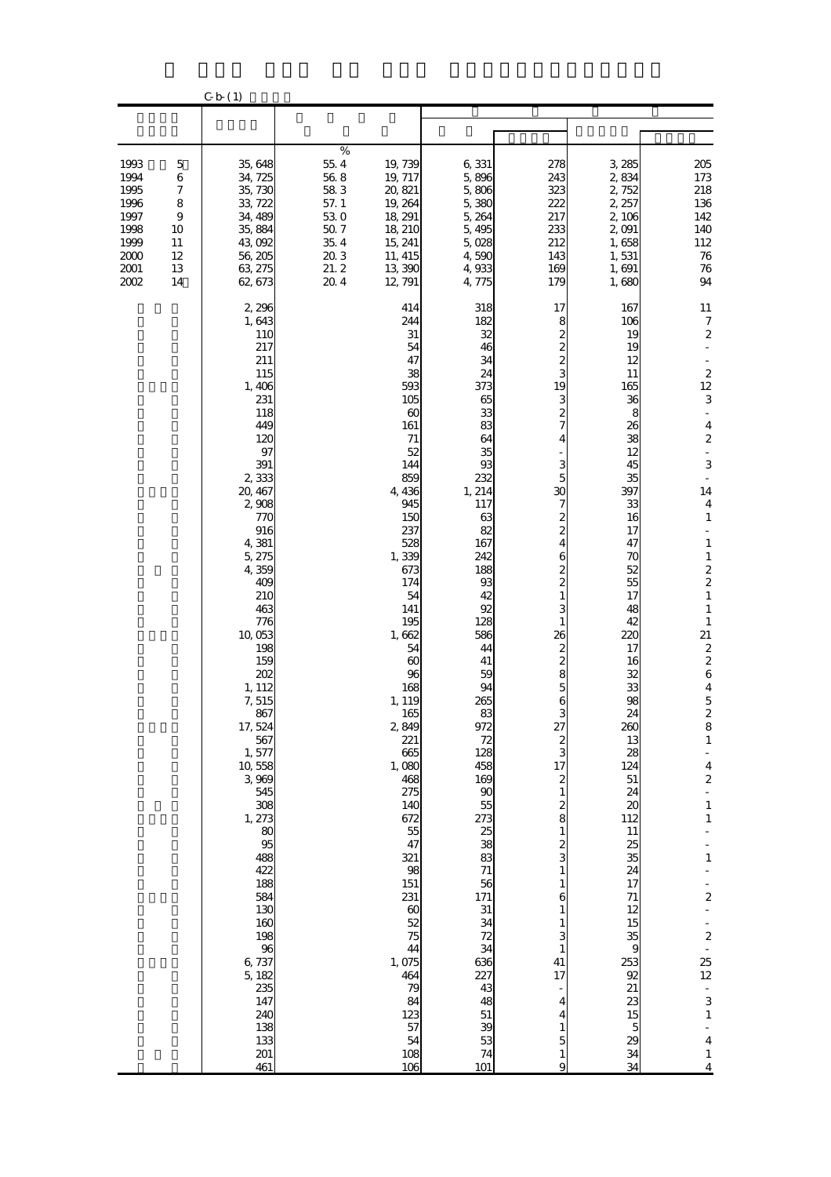|                                                                              |                                                                                        | C b (1)                                                                                                                                                                                                                                                                                                                                                                                                                                                              |                                                                                             |                                                                                                                                                                                                                                                                                                                                                                                                                                                                             |                                                                                                                                                                                                                                                                                                                                                                                                                      |                                                                                                                                                                                                                                                                                                                                                                                                                                                                                           |                                                                                                                                                                                                                                                                                                                                                                                                                   |                                                                                                                                                                                                                                                                                                                                                                                                                                                                                                                                                                                                                                                                     |
|------------------------------------------------------------------------------|----------------------------------------------------------------------------------------|----------------------------------------------------------------------------------------------------------------------------------------------------------------------------------------------------------------------------------------------------------------------------------------------------------------------------------------------------------------------------------------------------------------------------------------------------------------------|---------------------------------------------------------------------------------------------|-----------------------------------------------------------------------------------------------------------------------------------------------------------------------------------------------------------------------------------------------------------------------------------------------------------------------------------------------------------------------------------------------------------------------------------------------------------------------------|----------------------------------------------------------------------------------------------------------------------------------------------------------------------------------------------------------------------------------------------------------------------------------------------------------------------------------------------------------------------------------------------------------------------|-------------------------------------------------------------------------------------------------------------------------------------------------------------------------------------------------------------------------------------------------------------------------------------------------------------------------------------------------------------------------------------------------------------------------------------------------------------------------------------------|-------------------------------------------------------------------------------------------------------------------------------------------------------------------------------------------------------------------------------------------------------------------------------------------------------------------------------------------------------------------------------------------------------------------|---------------------------------------------------------------------------------------------------------------------------------------------------------------------------------------------------------------------------------------------------------------------------------------------------------------------------------------------------------------------------------------------------------------------------------------------------------------------------------------------------------------------------------------------------------------------------------------------------------------------------------------------------------------------|
|                                                                              |                                                                                        |                                                                                                                                                                                                                                                                                                                                                                                                                                                                      |                                                                                             |                                                                                                                                                                                                                                                                                                                                                                                                                                                                             |                                                                                                                                                                                                                                                                                                                                                                                                                      |                                                                                                                                                                                                                                                                                                                                                                                                                                                                                           |                                                                                                                                                                                                                                                                                                                                                                                                                   |                                                                                                                                                                                                                                                                                                                                                                                                                                                                                                                                                                                                                                                                     |
| 1993<br>1994<br>1995<br>1996<br>1997<br>1998<br>1999<br>2000<br>2001<br>2002 | $\mathbf 5$<br>$\,$ 6 $\,$<br>7<br>8<br>$\boldsymbol{9}$<br>10<br>11<br>12<br>13<br>14 | 35,648<br>34, 725<br>35,730<br>33, 722<br>34, 489<br>35,884<br>43,092<br>56,205<br>63, 275<br>62, 673                                                                                                                                                                                                                                                                                                                                                                | $\%$<br>55.4<br>$56\;8$<br>583<br>57.1<br>530<br>$50\ 7$<br>$35\;4$<br>20.3<br>21.2<br>20.4 | 19,739<br>19, 717<br>20, 821<br>19, 264<br>18, 291<br>18, 210<br>15, 241<br>11, 415<br>13,390<br>12, 791                                                                                                                                                                                                                                                                                                                                                                    | 6,331<br>5,896<br>5,806<br>5,380<br>5,264<br>5,495<br>5,028<br>4,590<br>4,933<br>4,775                                                                                                                                                                                                                                                                                                                               | 278<br>243<br>323<br>222<br>217<br>233<br>212<br>143<br>169<br>179                                                                                                                                                                                                                                                                                                                                                                                                                        | 3,285<br>2,834<br>2,752<br>2, 257<br>2,106<br>2,091<br>1,658<br>1,531<br>1,691<br>1,680                                                                                                                                                                                                                                                                                                                           | 205<br>$173\,$<br>218<br>136<br>142<br>140<br>112<br>$76\,$<br>${\bf 76}$<br>94                                                                                                                                                                                                                                                                                                                                                                                                                                                                                                                                                                                     |
|                                                                              |                                                                                        | 2,296<br>1,643<br>110<br>217<br>211<br>115<br>1,406<br>231<br>118<br>449<br>120<br>97<br>391<br>2,333<br>20, 467<br>2,908<br>770<br>916<br>4,381<br>5,275<br>4,359<br>409<br>210<br>463<br>776<br>10,053<br>198<br>159<br>202<br>1, 112<br>7,515<br>867<br>17, 524<br>567<br>1,577<br>10,558<br>3 969<br>545<br>308<br>1, 273<br>80<br>95<br>488<br>422<br>188<br>584<br>130<br>160<br>198<br>96<br>6,737<br>5, 182<br>235<br>147<br>240<br>138<br>133<br>201<br>461 |                                                                                             | 414<br>244<br>31<br>54<br>47<br>38<br>593<br>105<br>$\boldsymbol{\omega}$<br>161<br>71<br>52<br>144<br>859<br>4,436<br>945<br>150<br>237<br>528<br>1,339<br>673<br>174<br>54<br>141<br>195<br>1,662<br>54<br>$\boldsymbol{\omega}$<br>96<br>168<br>1, 119<br>165<br>2,849<br>221<br>665<br>1,080<br>468<br>275<br>140<br>672<br>55<br>47<br>321<br>98<br>151<br>231<br>$\boldsymbol{\omega}$<br>52<br>75<br>44<br>1,075<br>464<br>79<br>84<br>123<br>57<br>54<br>108<br>106 | 318<br>182<br>32<br>46<br>34<br>24<br>373<br>65<br>33<br>83<br>64<br>35<br>93<br>232<br>1, 214<br>117<br>63<br>82<br>167<br>242<br>188<br>93<br>42<br>92<br>128<br>586<br>44<br>41<br>59<br>94<br>265<br>83<br>972<br>72<br>128<br>458<br>169<br>$\boldsymbol{\mathsf{S}}$<br>55<br>273<br>25<br>38<br>83<br>71<br>56<br>171<br>31<br>34<br>72<br>34<br>$\frac{636}{227}$<br>43<br>48<br>51<br>39<br>53<br>74<br>101 | 17<br>8<br>2<br>$\overline{\mathcal{Z}}$<br>2<br>3<br>19<br>3<br>$\overline{\mathcal{Z}}$<br>$\overline{7}$<br>4<br>3<br>5<br>30<br>7<br>2<br>$\overline{c}$<br>4<br>6<br>2<br>$\overline{\mathbf{c}}$<br>$\mathbf{1}$<br>3<br>1<br>26<br>2<br>$\overline{\mathcal{Z}}$<br>8<br>5<br>6<br>З<br>27<br>$\overline{\mathcal{Z}}$<br>3<br>17<br>2<br>$\mathbf{1}$<br>2<br>8<br>1<br>2<br>3<br>1<br>$\mathbf{1}$<br>6<br>1<br>1<br>3<br>$\mathbf{1}$<br>41<br>17<br>4<br>4<br>1<br>5<br>1<br>9 | 167<br>106<br>19<br>19<br>12<br>11<br>165<br>36<br>8<br>26<br>38<br>12<br>45<br>35<br>397<br>33<br>16<br>17<br>47<br>70<br>52<br>55<br>17<br>48<br>42<br>220<br>17<br>16<br>32<br>33<br>98<br>24<br>260<br>13<br>28<br>124<br>$51\,$<br>24<br>$\boldsymbol{\mathsf{20}}$<br>112<br>11<br>25<br>35<br>24<br>17<br>$71\,$<br>12<br>15<br>35<br>9<br>253<br>92<br>21<br>23<br>15<br>$\overline{5}$<br>29<br>34<br>34 | 11<br>7<br>$\boldsymbol{2}$<br>$\begin{array}{c} 2 \\ 12 \end{array}$<br>3<br>$\boldsymbol{4}$<br>$\boldsymbol{2}$<br>3<br>14<br>$\overline{\mathbf{4}}$<br>$\mathbf{1}$<br>÷<br>$\mathbf 1$<br>$\mathbf 1$<br>$\frac{2}{2}$<br>$\mathbf 1$<br>$\mathbf{1}$<br>$\mathbf{1}$<br>21<br>$\frac{2}{2}$<br>$\bf{6}$<br>$\boldsymbol{4}$<br>$\overline{5}$<br>$\frac{2}{8}$<br>$\mathbf 1$<br>$\overline{\mathbf{4}}$<br>$\overline{\mathbf{c}}$<br>÷<br>$\mathbf{1}$<br>$\mathbf 1$<br>$\mathbf{1}$<br>$\overline{\mathbf{c}}$<br>$\overline{\mathbf{c}}$<br>25<br>12<br>$\frac{1}{3}$<br>$\mathbf{1}$<br>÷,<br>$\overline{\mathbf{4}}$<br>$\mathbf 1$<br>$\overline{4}$ |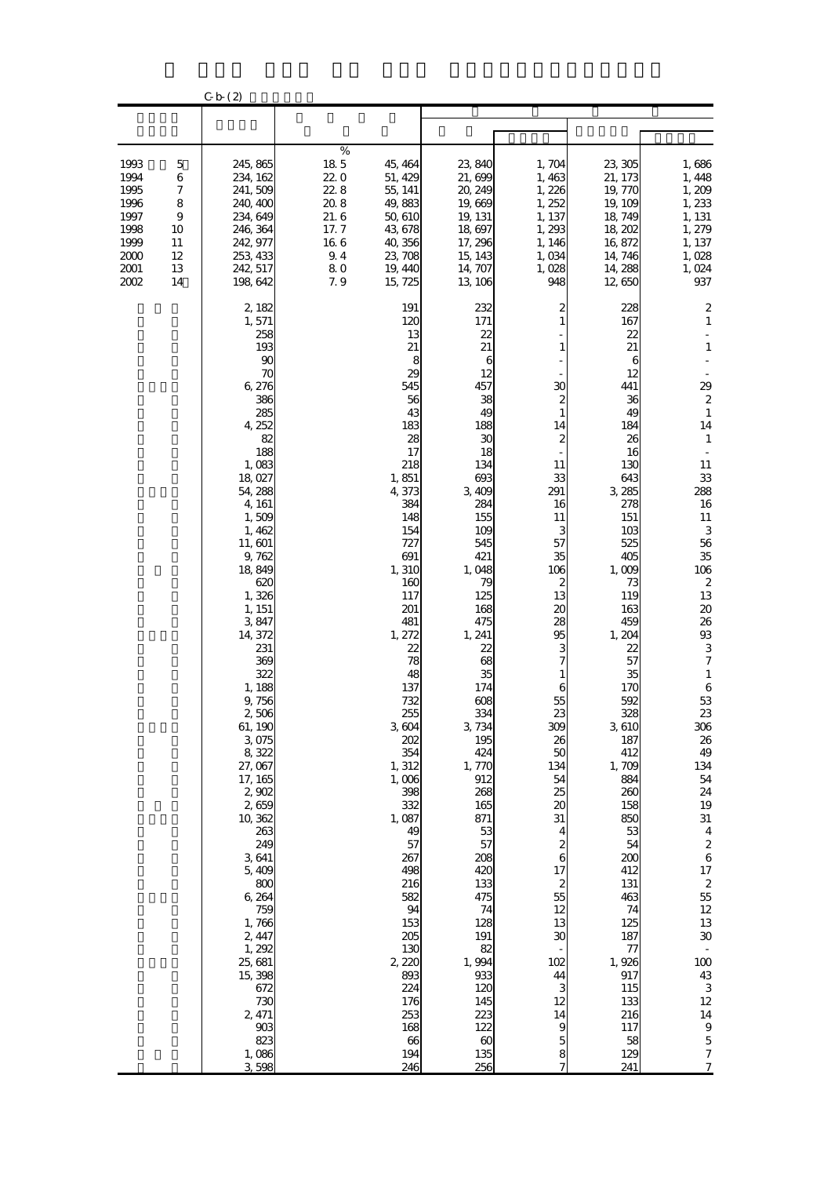|                                                                              |                                                                    | C b(2)                                                                                                                                                                                                                                                                                                                                                                                                                                                                                                                   |                                                                               |                                                                                                                                                                                                                                                                                                                                                                                                                               |                                                                                                                                                                                                                                                                                                                                                                                                                                         |                                                                                                                                                                                                                                                                                                                                              |                                                                                                                                                                                                                                                                                                                                                                                                                                  |                                                                                                                                                                                                                                                                                                                                                                                                                                                                                                                                                                                            |
|------------------------------------------------------------------------------|--------------------------------------------------------------------|--------------------------------------------------------------------------------------------------------------------------------------------------------------------------------------------------------------------------------------------------------------------------------------------------------------------------------------------------------------------------------------------------------------------------------------------------------------------------------------------------------------------------|-------------------------------------------------------------------------------|-------------------------------------------------------------------------------------------------------------------------------------------------------------------------------------------------------------------------------------------------------------------------------------------------------------------------------------------------------------------------------------------------------------------------------|-----------------------------------------------------------------------------------------------------------------------------------------------------------------------------------------------------------------------------------------------------------------------------------------------------------------------------------------------------------------------------------------------------------------------------------------|----------------------------------------------------------------------------------------------------------------------------------------------------------------------------------------------------------------------------------------------------------------------------------------------------------------------------------------------|----------------------------------------------------------------------------------------------------------------------------------------------------------------------------------------------------------------------------------------------------------------------------------------------------------------------------------------------------------------------------------------------------------------------------------|--------------------------------------------------------------------------------------------------------------------------------------------------------------------------------------------------------------------------------------------------------------------------------------------------------------------------------------------------------------------------------------------------------------------------------------------------------------------------------------------------------------------------------------------------------------------------------------------|
|                                                                              |                                                                    |                                                                                                                                                                                                                                                                                                                                                                                                                                                                                                                          |                                                                               |                                                                                                                                                                                                                                                                                                                                                                                                                               |                                                                                                                                                                                                                                                                                                                                                                                                                                         |                                                                                                                                                                                                                                                                                                                                              |                                                                                                                                                                                                                                                                                                                                                                                                                                  |                                                                                                                                                                                                                                                                                                                                                                                                                                                                                                                                                                                            |
| 1993<br>1994<br>1995<br>1996<br>1997<br>1998<br>1999<br>2000<br>2001<br>2002 | 5<br>6<br>$\boldsymbol{7}$<br>8<br>9<br>10<br>11<br>12<br>13<br>14 | 245, 865<br>234, 162<br>241,509<br>240, 400<br>234, 649<br>246, 364<br>242, 977<br>253 433<br>242, 517<br>198,642                                                                                                                                                                                                                                                                                                                                                                                                        | $\%$<br>185<br>220<br>22.8<br>20.8<br>21.6<br>17.7<br>166<br>9.4<br>80<br>7.9 | 45, 464<br>51, 429<br>55, 141<br>49,883<br>50,610<br>43,678<br>40,356<br>23, 708<br>19, 440<br>15, 725                                                                                                                                                                                                                                                                                                                        | 23,840<br>21,699<br>20, 249<br>19,669<br>19, 131<br>18,697<br>17, 296<br>15, 143<br>14, 707<br>13, 106                                                                                                                                                                                                                                                                                                                                  | 1,704<br>1,463<br>1,226<br>1, 252<br>1, 137<br>1,293<br>1, 146<br>1,034<br>1,028<br>948                                                                                                                                                                                                                                                      | 23, 305<br>21, 173<br>19,770<br>19, 109<br>18,749<br>18,202<br>16,872<br>14, 746<br>14, 288<br>12,650                                                                                                                                                                                                                                                                                                                            | 1,686<br>1,448<br>1,209<br>1,233<br>1, 131<br>1, 279<br>1, 137<br>1,028<br>1,024<br>937                                                                                                                                                                                                                                                                                                                                                                                                                                                                                                    |
|                                                                              |                                                                    | 2, 182<br>1,571<br>258<br>193<br>90<br>70<br>6,276<br>386<br>285<br>4, 252<br>82<br>188<br>1,083<br>18,027<br>54, 288<br>4, 161<br>1,509<br>1,462<br>11,601<br>9,762<br>18,849<br>620<br>1,326<br>1, 151<br>3847<br>14, 372<br>231<br>369<br>322<br>1, 188<br>9,756<br>2,506<br>61, 190<br>3,075<br>8,322<br>27,067<br>17, 165<br>2,902<br>2,659<br>10,362<br>263<br>249<br>3641<br>5,409<br>800<br>6,264<br>759<br>1,766<br>2, 447<br>1,292<br>25, 681<br>15,398<br>672<br>730<br>2, 471<br>903<br>823<br>1,086<br>3598 |                                                                               | 191<br>120<br>13<br>21<br>8<br>29<br>545<br>56<br>43<br>183<br>28<br>17<br>218<br>1,851<br>4,373<br>384<br>148<br>154<br>727<br>691<br>1, 310<br>160<br>117<br>201<br>481<br>1, 272<br>22<br>78<br>48<br>137<br>732<br>255<br>3604<br>202<br>354<br>1, 312<br>1,006<br>398<br>332<br>1,087<br>49<br>57<br>267<br>498<br>216<br>582<br>94<br>153<br>205<br>130<br>2,220<br>893<br>224<br>176<br>253<br>168<br>66<br>194<br>246 | 232<br>171<br>22<br>21<br>6<br>12<br>457<br>38<br>49<br>188<br>30<br>18<br>134<br>693<br>3,409<br>284<br>155<br>109<br>545<br>421<br>1,048<br>79<br>125<br>168<br>475<br>1, 241<br>22<br>68<br>35<br>174<br>608<br>334<br>3,734<br>195<br>424<br>1,770<br>912<br>268<br>165<br>871<br>53<br>57<br>208<br>420<br>133<br>475<br>74<br>128<br>191<br>82<br>1,994<br>933<br>120<br>145<br>223<br>122<br>$\boldsymbol{\omega}$<br>135<br>256 | 2<br>$\mathbf{1}$<br>$\mathbf{1}$<br>30<br>2<br>$\mathbf{1}$<br>14<br>2<br>11<br>33<br>291<br>16<br>11<br>3<br>57<br>35<br>106<br>2<br>13<br>20<br>28<br>95<br>з<br>7<br>6<br>55<br>23<br>309<br>26<br>50<br>134<br>54<br>25<br>20<br>31<br>4<br>2<br>6<br>17<br>2<br>55<br>12<br>13<br>30<br>102<br>44<br>3<br>12<br>14<br>9<br>5<br>8<br>7 | 228<br>167<br>22<br>21<br>6<br>12<br>441<br>36<br>49<br>184<br>26<br>16<br>130<br>643<br>3 285<br>278<br>151<br>10 <sub>3</sub><br>525<br>405<br>1,009<br>73<br>119<br>163<br>459<br>1, 204<br>22<br>57<br>35<br>170<br>592<br>328<br>3,610<br>187<br>412<br>1,709<br>884<br>260<br>158<br>850<br>53<br>54<br>200<br>412<br>131<br>463<br>74<br>125<br>187<br>77<br>1,926<br>917<br>115<br>133<br>216<br>117<br>58<br>129<br>241 | 2<br>$\mathbf{1}$<br>$\mathbf{1}$<br>29<br>$\boldsymbol{2}$<br>$\mathbf{1}$<br>14<br>$\mathbf{1}$<br>11<br>33<br>288<br>$16\,$<br>11<br>3<br>56<br>35<br>106<br>$\boldsymbol{2}$<br>13<br>$20\,$<br>26<br>$9\!\!3$<br>3<br>7<br>$\mathbf{1}$<br>6<br>53<br>23<br>306<br>${\bf 26}$<br>49<br>134<br>${\bf 54}$<br>24<br>19<br>$31\,$<br>$\boldsymbol{4}$<br>$\boldsymbol{2}$<br>$\,6$<br>17<br>$\boldsymbol{2}$<br>$5\!$<br>$12\,$<br>13<br>${\bf 30}$<br>$\blacksquare$<br>$100\,$<br>$43\,$<br>$\,3$<br>12<br>14<br>$\boldsymbol{9}$<br>$\mathbf 5$<br>$\boldsymbol{7}$<br>$\overline{7}$ |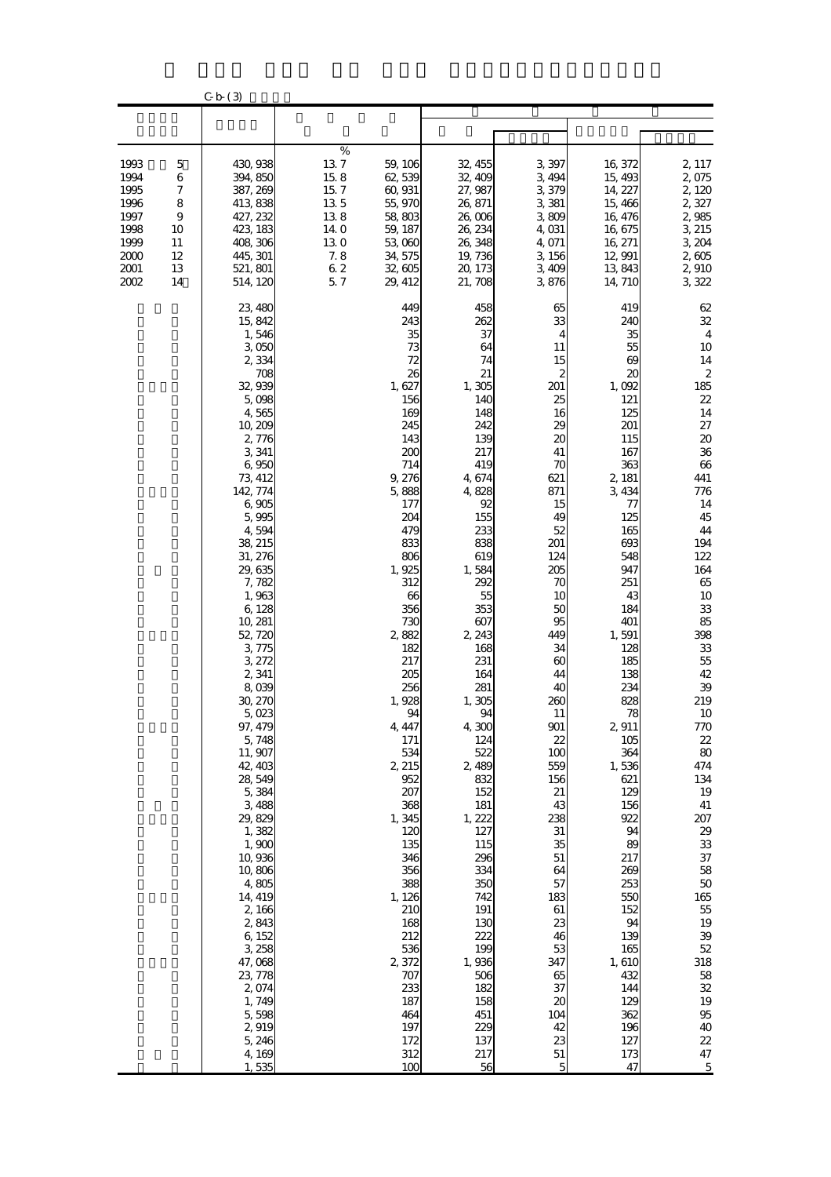|                                                                              |                                                     | C b (3)                                                                                                                                                                                                                                                                                                                                                                                                                                                                                                                                                                                        |                                                                                        |                                                                                                                                                                                                                                                                                                                                                                                                                                              |                                                                                                                                                                                                                                                                                                                                                                                                                                         |                                                                                                                                                                                                                                                                                                                                                                                               |                                                                                                                                                                                                                                                                                                                                                                                                                                        |                                                                                                                                                                                                                                                                                                                                                                                                                                                                                                           |
|------------------------------------------------------------------------------|-----------------------------------------------------|------------------------------------------------------------------------------------------------------------------------------------------------------------------------------------------------------------------------------------------------------------------------------------------------------------------------------------------------------------------------------------------------------------------------------------------------------------------------------------------------------------------------------------------------------------------------------------------------|----------------------------------------------------------------------------------------|----------------------------------------------------------------------------------------------------------------------------------------------------------------------------------------------------------------------------------------------------------------------------------------------------------------------------------------------------------------------------------------------------------------------------------------------|-----------------------------------------------------------------------------------------------------------------------------------------------------------------------------------------------------------------------------------------------------------------------------------------------------------------------------------------------------------------------------------------------------------------------------------------|-----------------------------------------------------------------------------------------------------------------------------------------------------------------------------------------------------------------------------------------------------------------------------------------------------------------------------------------------------------------------------------------------|----------------------------------------------------------------------------------------------------------------------------------------------------------------------------------------------------------------------------------------------------------------------------------------------------------------------------------------------------------------------------------------------------------------------------------------|-----------------------------------------------------------------------------------------------------------------------------------------------------------------------------------------------------------------------------------------------------------------------------------------------------------------------------------------------------------------------------------------------------------------------------------------------------------------------------------------------------------|
|                                                                              |                                                     |                                                                                                                                                                                                                                                                                                                                                                                                                                                                                                                                                                                                |                                                                                        |                                                                                                                                                                                                                                                                                                                                                                                                                                              |                                                                                                                                                                                                                                                                                                                                                                                                                                         |                                                                                                                                                                                                                                                                                                                                                                                               |                                                                                                                                                                                                                                                                                                                                                                                                                                        |                                                                                                                                                                                                                                                                                                                                                                                                                                                                                                           |
| 1993<br>1994<br>1995<br>1996<br>1997<br>1998<br>1999<br>2000<br>2001<br>2002 | 5<br>6<br>7<br>8<br>9<br>10<br>11<br>12<br>13<br>14 | 430,938<br>394, 850<br>387, 269<br>413 838<br>427, 232<br>423, 183<br>408 306<br>445, 301<br>521, 801<br>514, 120                                                                                                                                                                                                                                                                                                                                                                                                                                                                              | $\%$<br>137<br>15.8<br>15.7<br>135<br>138<br>14 O<br>130<br>$7.8$<br>$6\;2$<br>$5.7\,$ | 59, 106<br>62,539<br>60,931<br>55,970<br>58,803<br>59, 187<br>53,060<br>34, 575<br>32,605<br>29, 412                                                                                                                                                                                                                                                                                                                                         | 32, 455<br>32, 409<br>27, 987<br>26, 871<br>26,006<br>26, 234<br>26, 348<br>19,736<br>20, 173<br>21, 708                                                                                                                                                                                                                                                                                                                                | 3 397<br>3,494<br>3,379<br>3,381<br>3,809<br>4,031<br>4,071<br>3,156<br>3,409<br>3,876                                                                                                                                                                                                                                                                                                        | 16 372<br>15,493<br>14, 227<br>15,466<br>16, 476<br>16,675<br>16, 271<br>12,991<br>13,843<br>14, 710                                                                                                                                                                                                                                                                                                                                   | 2, 117<br>2,075<br>2,120<br>2,327<br>2,985<br>3, 215<br>3, 204<br>2,605<br>2,910<br>3,322                                                                                                                                                                                                                                                                                                                                                                                                                 |
|                                                                              |                                                     | 23, 480<br>15,842<br>1,546<br>3,050<br>2,334<br>708<br>32,939<br>5,098<br>4,565<br>10,209<br>2,776<br>3,341<br>6,950<br>73, 412<br>142, 774<br>6,905<br>5,995<br>4,594<br>38, 215<br>31, 276<br>29,635<br>7,782<br>1,963<br>6,128<br>10, 281<br>52, 720<br>3,775<br>3, 272<br>2,341<br>8,039<br>30, 270<br>$5 \, \text{023}$<br>97, 479<br>5,748<br>11, 907<br>42, 403<br>28,549<br>5,384<br>3,488<br>29,829<br>1,382<br>1,900<br>10,936<br>10,806<br>4,805<br>14, 419<br>2,166<br>2,843<br>6,152<br>3,258<br>47,068<br>23, 778<br>2,074<br>1,749<br>5,598<br>2,919<br>5,246<br>4,169<br>1,535 |                                                                                        | 449<br>243<br>35<br>73<br>72<br>26<br>1,627<br>156<br>169<br>245<br>143<br>200<br>714<br>9,276<br>5,888<br>177<br>204<br>479<br>833<br>806<br>1,925<br>312<br>66<br>356<br>730<br>2,882<br>182<br>217<br>205<br>256<br>1,928<br>94<br>4, 447<br>171<br>534<br>2, 215<br>952<br>207<br>368<br>1,345<br>120<br>135<br>346<br>356<br>388<br>1, 126<br>210<br>168<br>212<br>536<br>2,372<br>707<br>233<br>187<br>464<br>197<br>172<br>312<br>100 | 458<br>262<br>37<br>64<br>74<br>21<br>1,305<br>140<br>148<br>242<br>139<br>217<br>419<br>4,674<br>4,828<br>92<br>155<br>233<br>838<br>619<br>1,584<br>292<br>55<br>353<br>607<br>2, 243<br>168<br>231<br>164<br>281<br>1,305<br>94<br>4,300<br>124<br>522<br>2,489<br>832<br>152<br>181<br>1, 222<br>127<br>115<br>296<br>334<br>350<br>742<br>191<br>130<br>222<br>199<br>1,936<br>506<br>182<br>158<br>451<br>229<br>137<br>217<br>56 | 65<br>33<br>4<br>11<br>15<br>2<br>201<br>25<br>16<br>29<br>20<br>41<br>70<br>621<br>871<br>15<br>49<br>52<br>201<br>124<br>205<br>70<br>10<br>50<br>95<br>449<br>34<br>60<br>44<br>40<br>260<br>$\mathbf{H}$<br>901<br>22<br>100<br>559<br>156<br>21<br>43<br>238<br>31<br>35<br>$51\,$<br>64<br>57<br>183<br>61<br>23<br>46<br>53<br>347<br>65<br>37<br>20<br>104<br>42<br>23<br>$51\,$<br>5 | 419<br>240<br>35<br>55<br>69<br>$_{\rm ac}$<br>1,092<br>121<br>125<br>201<br>115<br>167<br>363<br>2, 181<br>3,434<br>77<br>125<br>165<br>693<br>548<br>947<br>251<br>43<br>184<br>401<br>1,591<br>128<br>185<br>138<br>234<br>828<br>78<br>2,911<br>105<br>364<br>1,536<br>621<br>129<br>156<br>922<br>94<br>89<br>217<br>269<br>253<br>550<br>152<br>94<br>139<br>165<br>1,610<br>432<br>144<br>129<br>362<br>196<br>127<br>173<br>47 | 62<br>32<br>$\overline{\mathbf{4}}$<br>10<br>14<br>$\boldsymbol{2}$<br>185<br>22<br>14<br>27<br>$20\,$<br>36<br>$66\,$<br>441<br>776<br>14<br>45<br>44<br>194<br>122<br>164<br>65<br>10<br>33<br>85<br>398<br>${\bf 33}$<br>55<br>42<br>39<br>219<br>$10\,$<br>770<br>$2\!2$<br>$80\,$<br>474<br>134<br>19<br>$41\,$<br>207<br>29<br>$3\!$<br>$37\,$<br>${\bf 58}$<br>$50\,$<br>165<br>$5\!$<br>19<br>39<br>52<br>318<br>${\bf 58}$<br>$3\!2$<br>19<br>$9\!5$<br>$40\,$<br>22<br>$47\,$<br>$\overline{5}$ |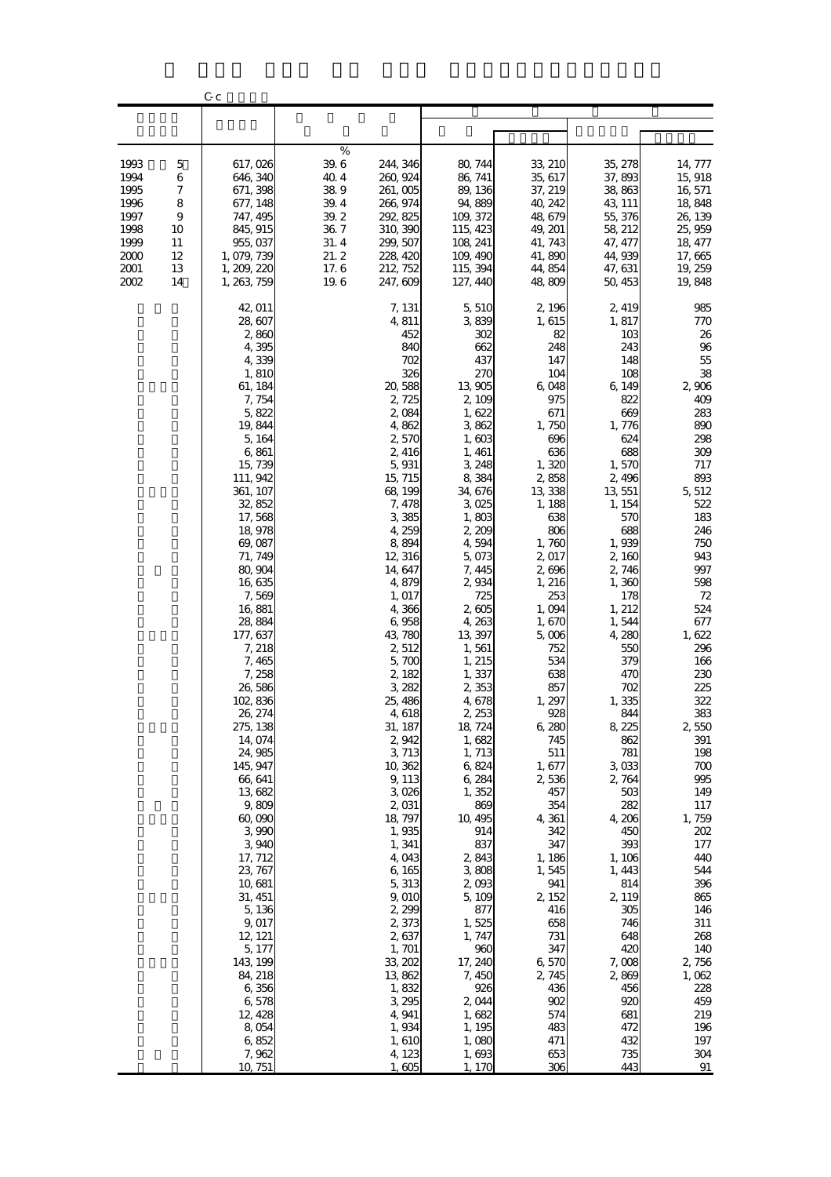|                                                                                                                                     | C c                                                                                                                                                                                                                                                                                                                                                                                                                                                                                                                                                                                                              |                                                                                                                                                                                                                                                                                                                                                                                                                                                                                                                                                               |                                                                                                                                                                                                                                                                                                                                                                                                                                                                                                                                             |                                                                                                                                                                                                                                                                                                                                                                                                                                                                                |                                                                                                                                                                                                                                                                                                                                                                                                                                                                                   |                                                                                                                                                                                                                                                                                                                                                                                                                                   |
|-------------------------------------------------------------------------------------------------------------------------------------|------------------------------------------------------------------------------------------------------------------------------------------------------------------------------------------------------------------------------------------------------------------------------------------------------------------------------------------------------------------------------------------------------------------------------------------------------------------------------------------------------------------------------------------------------------------------------------------------------------------|---------------------------------------------------------------------------------------------------------------------------------------------------------------------------------------------------------------------------------------------------------------------------------------------------------------------------------------------------------------------------------------------------------------------------------------------------------------------------------------------------------------------------------------------------------------|---------------------------------------------------------------------------------------------------------------------------------------------------------------------------------------------------------------------------------------------------------------------------------------------------------------------------------------------------------------------------------------------------------------------------------------------------------------------------------------------------------------------------------------------|--------------------------------------------------------------------------------------------------------------------------------------------------------------------------------------------------------------------------------------------------------------------------------------------------------------------------------------------------------------------------------------------------------------------------------------------------------------------------------|-----------------------------------------------------------------------------------------------------------------------------------------------------------------------------------------------------------------------------------------------------------------------------------------------------------------------------------------------------------------------------------------------------------------------------------------------------------------------------------|-----------------------------------------------------------------------------------------------------------------------------------------------------------------------------------------------------------------------------------------------------------------------------------------------------------------------------------------------------------------------------------------------------------------------------------|
|                                                                                                                                     |                                                                                                                                                                                                                                                                                                                                                                                                                                                                                                                                                                                                                  |                                                                                                                                                                                                                                                                                                                                                                                                                                                                                                                                                               |                                                                                                                                                                                                                                                                                                                                                                                                                                                                                                                                             |                                                                                                                                                                                                                                                                                                                                                                                                                                                                                |                                                                                                                                                                                                                                                                                                                                                                                                                                                                                   |                                                                                                                                                                                                                                                                                                                                                                                                                                   |
|                                                                                                                                     |                                                                                                                                                                                                                                                                                                                                                                                                                                                                                                                                                                                                                  |                                                                                                                                                                                                                                                                                                                                                                                                                                                                                                                                                               |                                                                                                                                                                                                                                                                                                                                                                                                                                                                                                                                             |                                                                                                                                                                                                                                                                                                                                                                                                                                                                                |                                                                                                                                                                                                                                                                                                                                                                                                                                                                                   |                                                                                                                                                                                                                                                                                                                                                                                                                                   |
| 1993<br>5<br>1994<br>6<br>1995<br>7<br>1996<br>8<br>1997<br>9<br>1998<br>10<br>1999<br>11<br>2000<br>12<br>2001<br>13<br>2002<br>14 | 617,026<br>646, 340<br>671, 398<br>677, 148<br>747, 495<br>845, 915<br>955,037<br>1,079,739<br>1, 209, 220<br>1,263,759                                                                                                                                                                                                                                                                                                                                                                                                                                                                                          | $\%$<br>39.6<br>244, 346<br>40.4<br>260, 924<br>389<br>261,005<br>39.4<br>266, 974<br>39.2<br>292, 825<br>36.7<br>310, 390<br>31.4<br>299, 507<br>21.2<br>228, 420<br>17.6<br>212, 752<br>19.6<br>247, 609                                                                                                                                                                                                                                                                                                                                                    | 80, 744<br>86, 741<br>89, 136<br>94,889<br>109, 372<br>115, 423<br>108, 241<br>109, 490<br>115, 394<br>127, 440                                                                                                                                                                                                                                                                                                                                                                                                                             | 33, 210<br>35, 617<br>37, 219<br>40, 242<br>48,679<br>49, 201<br>41, 743<br>41,890<br>44, 854<br>48,809                                                                                                                                                                                                                                                                                                                                                                        | 35, 278<br>37,893<br>38,863<br>43, 111<br>55,376<br>58, 212<br>47, 477<br>44,939<br>47, 631<br>50, 453                                                                                                                                                                                                                                                                                                                                                                            | 14, 777<br>15, 918<br>16, 571<br>18,848<br>26, 139<br>25,959<br>18, 477<br>17,665<br>19, 259<br>19,848                                                                                                                                                                                                                                                                                                                            |
|                                                                                                                                     | 42, 011<br>28,607<br>2,860<br>4,395<br>4,339<br>1,810<br>61, 184<br>7,754<br>5,822<br>19,844<br>5, 164<br>6,861<br>15,739<br>111, 942<br>361, 107<br>32,852<br>17,568<br>18,978<br>69,087<br>71, 749<br>80, 904<br>16,635<br>7,569<br>16,881<br>28,884<br>177, 637<br>7, 218<br>7, 465<br>7,258<br>26 586<br>102,836<br>26, 274<br>275, 138<br>14,074<br>24,985<br>145, 947<br>66, 641<br>13,682<br>9,809<br>60,090<br>3 990<br>3,940<br>17, 712<br>23, 767<br>10,681<br>31, 451<br>5,136<br>9,017<br>12, 121<br>5, 177<br>143, 199<br>84, 218<br>6,356<br>6,578<br>12, 428<br>8,054<br>6,852<br>7,962<br>10 751 | 7, 131<br>4,811<br>452<br>840<br>702<br>326<br>20,588<br>2,725<br>2,084<br>4,862<br>2,570<br>2,416<br>5,931<br>15, 715<br>68, 199<br>7,478<br>3385<br>4,259<br>8,894<br>12, 316<br>14,647<br>4,879<br>1, 017<br>4,366<br>6,958<br>43,780<br>2,512<br>5,700<br>2,182<br>3,282<br>25, 486<br>4,618<br>31, 187<br>2,942<br>3,713<br>10,362<br>9, 113<br>3,026<br>2,031<br>18, 797<br>1,935<br>1,341<br>4,043<br>6,165<br>5,313<br>9,010<br>2,299<br>2,373<br>2,637<br>1, 701<br>33, 202<br>13,862<br>1,832<br>3,295<br>4,941<br>1,934<br>1,610<br>4,123<br>1,605 | 5,510<br>3839<br>302<br>662<br>437<br>270<br>13,905<br>2,109<br>1,622<br>3,862<br>1,603<br>1, 461<br>3,248<br>8,384<br>34,676<br>3,025<br>1,803<br>2,209<br>4,594<br>5,073<br>7, 445<br>2,934<br>725<br>2,605<br>4,263<br>13, 397<br>1,561<br>1, 215<br>1, 337<br>2,353<br>4,678<br>2, 253<br>18, 724<br>1,682<br>1, 713<br>6,824<br>6,284<br>1,352<br>869<br>10, 495<br>914<br>837<br>2,843<br>3,808<br>2,093<br>5,109<br>877<br>1,525<br>1, 747<br>960<br>17, 240<br>7,450<br>926<br>2,044<br>1,682<br>1, 195<br>1,080<br>1,693<br>1, 170 | 2,196<br>1,615<br>82<br>248<br>147<br>104<br>6,048<br>975<br>671<br>1,750<br>696<br>636<br>1,320<br>2,858<br>13,338<br>1, 188<br>638<br>806<br>1,760<br>2,017<br>2,696<br>1, 216<br>253<br>1,094<br>1,670<br>5,006<br>752<br>534<br>638<br>857<br>1,297<br>928<br>6,280<br>745<br>511<br>1,677<br>2,536<br>457<br>354<br>4,361<br>342<br>347<br>1,186<br>1,545<br>941<br>2, 152<br>416<br>658<br>731<br>347<br>6,570<br>2,745<br>436<br>902<br>574<br>483<br>471<br>653<br>306 | 2, 419<br>1,817<br>103<br>243<br>148<br>108<br>6 149<br>822<br>669<br>1,776<br>624<br>688<br>1,570<br>2,496<br>13,551<br>1, 154<br>570<br>688<br>1,939<br>2,160<br>2,746<br>1,360<br>178<br>1, 212<br>1,544<br>4,280<br>550<br>379<br>470<br>702<br>1,335<br>844<br>8,225<br>862<br>781<br>3,033<br>2,764<br>503<br>282<br>4,206<br>450<br>393<br>1, 106<br>1,443<br>814<br>2, 119<br>305<br>746<br>648<br>420<br>7,008<br>2,869<br>456<br>920<br>681<br>472<br>432<br>735<br>443 | 985<br>770<br>26<br>96<br>55<br>38<br>2,906<br>409<br>283<br>890<br>298<br>309<br>717<br>893<br>5,512<br>522<br>183<br>246<br>750<br>943<br>997<br>598<br>72<br>524<br>677<br>1,622<br>296<br>166<br>230<br>225<br>322<br>383<br>2,550<br>391<br>198<br>700<br>995<br>149<br>117<br>1,759<br>202<br>177<br>440<br>544<br>396<br>865<br>146<br>311<br>268<br>140<br>2,756<br>1,062<br>228<br>459<br>219<br>196<br>197<br>304<br>91 |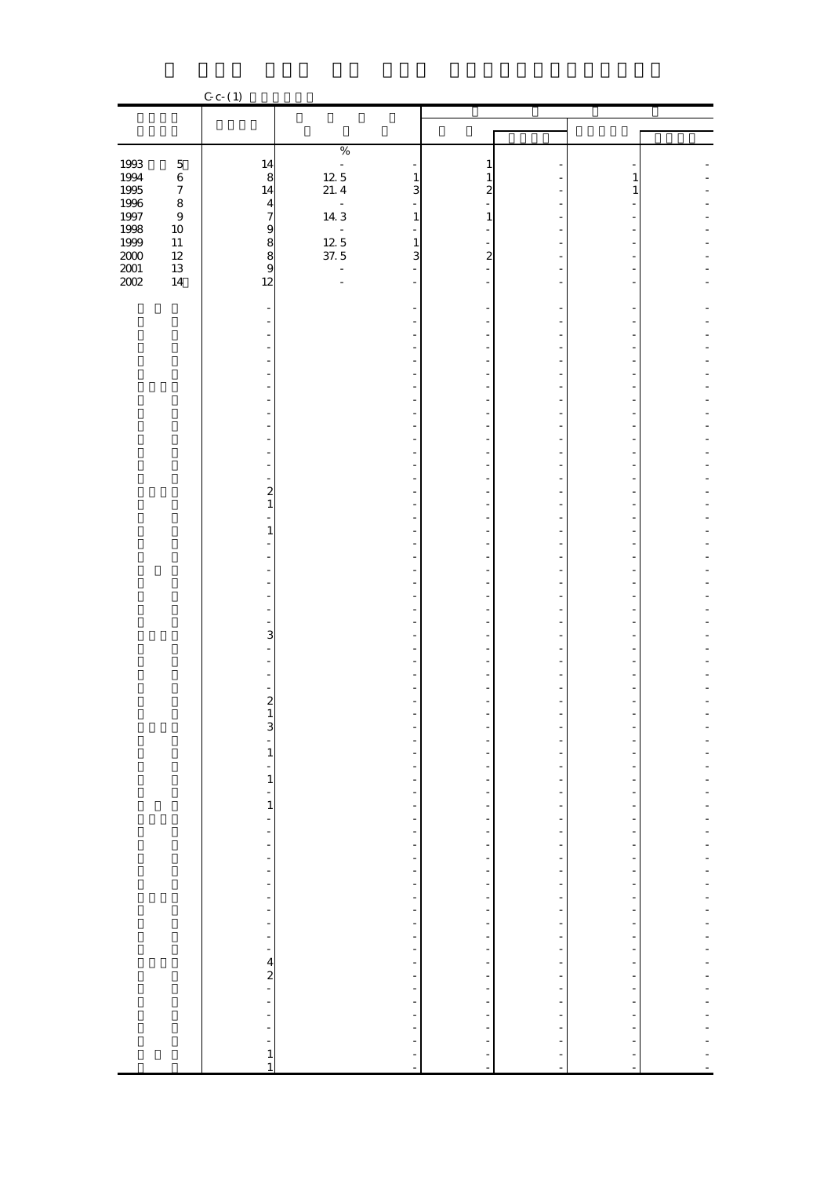|                     |                  | $C_{c}$ (1)                               |                                                              |                                                  |                          |                               |                          |
|---------------------|------------------|-------------------------------------------|--------------------------------------------------------------|--------------------------------------------------|--------------------------|-------------------------------|--------------------------|
|                     |                  |                                           |                                                              |                                                  |                          |                               |                          |
|                     |                  |                                           |                                                              |                                                  |                          |                               |                          |
|                     |                  |                                           |                                                              |                                                  |                          |                               |                          |
|                     |                  |                                           | $\%$                                                         |                                                  |                          |                               |                          |
| 1993                | $\mathbf 5$      | $\frac{14}{8}$                            | $12.5$<br>$21.4$                                             | 1                                                |                          |                               |                          |
| 1994<br>1995        | $\,$ 6 $\,$      |                                           | $\mathbf{1}$                                                 | $\mathbf{1}$                                     |                          | 1                             |                          |
|                     | $\boldsymbol{7}$ | 14                                        | 3                                                            | $\overline{\mathbf{c}}$                          |                          | 1                             |                          |
| 1996                | $\bf8$           |                                           | $\begin{array}{c} \text{-} \\ \text{14.3} \end{array}$<br>÷, |                                                  |                          |                               |                          |
| $1997\,$            | $\boldsymbol{9}$ |                                           | $\mathbf{1}$                                                 | $\mathbf{1}$                                     |                          |                               |                          |
|                     | $10\,$           |                                           | $\overline{\phantom{a}}$                                     |                                                  |                          |                               |                          |
| 1998<br>1999        | $11\,$           | 479889                                    | $\frac{12}{37.5}$<br>$\frac{1}{3}$                           |                                                  | ÷,                       |                               |                          |
| $2000\,$            | $12\,$           |                                           |                                                              | $\overline{c}$                                   |                          |                               |                          |
| $\frac{2001}{2002}$ | $13\,$           |                                           | ÷,<br>$\blacksquare$                                         |                                                  |                          |                               |                          |
|                     | $14\,$           | 12                                        | $\overline{\phantom{a}}$                                     |                                                  |                          |                               |                          |
|                     |                  |                                           |                                                              |                                                  |                          |                               |                          |
|                     |                  |                                           |                                                              |                                                  |                          |                               |                          |
|                     |                  |                                           | $\overline{a}$                                               |                                                  |                          |                               |                          |
|                     |                  |                                           |                                                              |                                                  |                          |                               |                          |
|                     |                  |                                           |                                                              |                                                  |                          |                               |                          |
|                     |                  |                                           | $\blacksquare$                                               |                                                  |                          |                               |                          |
|                     |                  |                                           |                                                              |                                                  |                          |                               |                          |
|                     |                  |                                           |                                                              |                                                  |                          |                               |                          |
|                     |                  |                                           |                                                              |                                                  |                          |                               |                          |
|                     |                  |                                           | ä,                                                           |                                                  | ÷,                       |                               |                          |
|                     |                  |                                           |                                                              |                                                  |                          |                               |                          |
|                     |                  |                                           | $\overline{a}$                                               |                                                  |                          |                               |                          |
|                     |                  |                                           |                                                              |                                                  | ÷                        |                               |                          |
|                     |                  |                                           | $\blacksquare$                                               |                                                  | ÷,                       |                               |                          |
|                     |                  |                                           |                                                              |                                                  |                          |                               |                          |
|                     |                  | $\overline{\mathbf{c}}$                   |                                                              |                                                  |                          |                               |                          |
|                     |                  | $\mathbf{1}$                              |                                                              |                                                  |                          |                               |                          |
|                     |                  |                                           |                                                              |                                                  | ÷,                       |                               |                          |
|                     |                  | $\mathbf{1}$                              | $\overline{a}$                                               | L,                                               |                          |                               |                          |
|                     |                  |                                           |                                                              |                                                  |                          |                               |                          |
|                     |                  |                                           |                                                              |                                                  |                          |                               |                          |
|                     |                  |                                           | ۰                                                            |                                                  | ٠                        |                               |                          |
|                     |                  |                                           |                                                              |                                                  |                          |                               |                          |
|                     |                  |                                           |                                                              |                                                  |                          |                               |                          |
|                     |                  |                                           |                                                              |                                                  |                          |                               |                          |
|                     |                  |                                           | $\blacksquare$                                               |                                                  | ÷,                       |                               |                          |
|                     |                  | 3                                         |                                                              |                                                  |                          |                               |                          |
|                     |                  |                                           |                                                              |                                                  |                          |                               |                          |
|                     |                  |                                           |                                                              |                                                  |                          |                               |                          |
|                     |                  |                                           |                                                              |                                                  |                          |                               |                          |
|                     |                  |                                           |                                                              |                                                  |                          |                               |                          |
|                     |                  | $\overline{c}$                            |                                                              |                                                  |                          |                               |                          |
|                     |                  | $\mathbf{1}$                              |                                                              |                                                  |                          |                               |                          |
|                     |                  | $\mathbf{3}$                              |                                                              |                                                  |                          |                               |                          |
|                     |                  | $\frac{1}{1}$ $\frac{1}{1}$ $\frac{1}{1}$ |                                                              |                                                  | <sup>-</sup>             |                               |                          |
|                     |                  |                                           |                                                              |                                                  | $\overline{\phantom{0}}$ |                               |                          |
|                     |                  |                                           |                                                              |                                                  | $\overline{\phantom{a}}$ | $\overline{\phantom{a}}$      | ÷                        |
|                     |                  |                                           |                                                              |                                                  | $\frac{1}{2}$            | $\overline{\phantom{0}}$      |                          |
|                     |                  |                                           |                                                              |                                                  |                          | $\overline{\phantom{a}}$<br>÷ | ÷                        |
|                     |                  |                                           |                                                              |                                                  | f<br>÷                   | $\overline{\phantom{a}}$      | ÷,                       |
|                     |                  | ÷,                                        |                                                              |                                                  |                          | $\overline{a}$                | ÷                        |
|                     |                  |                                           |                                                              |                                                  | $\frac{1}{2}$            | $\overline{\phantom{a}}$      | ÷,                       |
|                     |                  |                                           |                                                              |                                                  |                          | ÷                             | ÷,                       |
|                     |                  | $\frac{1}{2}$                             |                                                              |                                                  | $\frac{1}{1}$            | $\overline{\phantom{m}}$      | ÷,                       |
|                     |                  |                                           |                                                              |                                                  |                          | $\overline{\phantom{a}}$      | $\overline{\phantom{0}}$ |
|                     |                  | $\frac{1}{2}$                             |                                                              |                                                  | f                        | $\overline{\phantom{a}}$      |                          |
|                     |                  | ÷,                                        |                                                              |                                                  | f<br>÷                   | $\overline{\phantom{m}}$      | ÷                        |
|                     |                  |                                           |                                                              |                                                  |                          | ł,                            |                          |
|                     |                  | $\overline{\phantom{a}}$                  |                                                              |                                                  | <sup>-</sup>             | ÷                             | ÷                        |
|                     |                  |                                           |                                                              |                                                  | ÷,                       | $\overline{\phantom{m}}$      | $\overline{\phantom{a}}$ |
|                     |                  | $-42$                                     | ---------------------------                                  |                                                  | $\frac{1}{2}$            | ÷                             | ÷,                       |
|                     |                  |                                           |                                                              |                                                  |                          | $\overline{\phantom{m}}$      | ÷                        |
|                     |                  |                                           |                                                              |                                                  |                          | -                             | ÷                        |
|                     |                  |                                           |                                                              |                                                  | $\frac{1}{2}$            | $\overline{\phantom{a}}$      | ÷,                       |
|                     |                  | ÷                                         |                                                              |                                                  | $\overline{\phantom{0}}$ | ÷                             |                          |
|                     |                  | ۰                                         |                                                              |                                                  | $\overline{\phantom{0}}$ |                               |                          |
|                     |                  | -                                         |                                                              |                                                  |                          |                               |                          |
|                     |                  | $\mathbf{1}$                              | $\frac{1}{1}$                                                | 医水杨酸 医水杨酸 医水杨酸 医水杨酸 医水杨酸 医水杨酸盐 医水杨酸盐 医水杨酸盐 医水杨酸盐 | f,<br>f                  |                               |                          |
|                     |                  | $\mathbf{1}$                              |                                                              | ł,                                               |                          |                               |                          |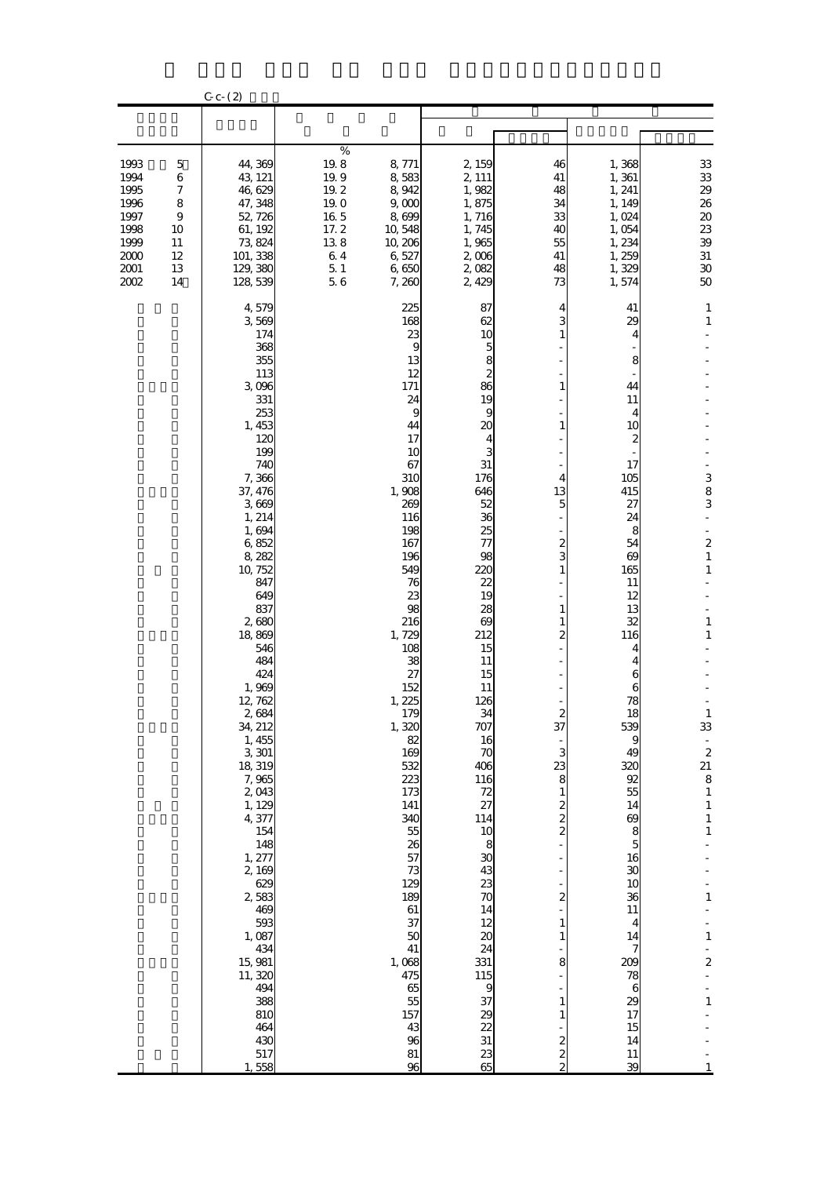|                                                                                |                                                     | $C_{c-}(2)$                                                                                                                                                                                                                                                                                                                                                                                                                                                                                                 |                                                                                    |                                                                                                                                                                                                                                                                                                                                                                                                      |                                                                                                                                                                                                                                                                                                                                                                                                                         |                                                                                                                                                                                                                                                                                                              |                                                                                                                                                                                                                                                                                                                                                   |                                                                                                                                                                                                                                                                                                                               |
|--------------------------------------------------------------------------------|-----------------------------------------------------|-------------------------------------------------------------------------------------------------------------------------------------------------------------------------------------------------------------------------------------------------------------------------------------------------------------------------------------------------------------------------------------------------------------------------------------------------------------------------------------------------------------|------------------------------------------------------------------------------------|------------------------------------------------------------------------------------------------------------------------------------------------------------------------------------------------------------------------------------------------------------------------------------------------------------------------------------------------------------------------------------------------------|-------------------------------------------------------------------------------------------------------------------------------------------------------------------------------------------------------------------------------------------------------------------------------------------------------------------------------------------------------------------------------------------------------------------------|--------------------------------------------------------------------------------------------------------------------------------------------------------------------------------------------------------------------------------------------------------------------------------------------------------------|---------------------------------------------------------------------------------------------------------------------------------------------------------------------------------------------------------------------------------------------------------------------------------------------------------------------------------------------------|-------------------------------------------------------------------------------------------------------------------------------------------------------------------------------------------------------------------------------------------------------------------------------------------------------------------------------|
|                                                                                |                                                     |                                                                                                                                                                                                                                                                                                                                                                                                                                                                                                             |                                                                                    |                                                                                                                                                                                                                                                                                                                                                                                                      |                                                                                                                                                                                                                                                                                                                                                                                                                         |                                                                                                                                                                                                                                                                                                              |                                                                                                                                                                                                                                                                                                                                                   |                                                                                                                                                                                                                                                                                                                               |
| 1993<br>1994<br>1995<br>1996<br>1997<br>1998<br>1999<br>$2000$<br>2001<br>2002 | 5<br>6<br>7<br>8<br>9<br>10<br>11<br>12<br>13<br>14 | 44,369<br>43, 121<br>46,629<br>47, 348<br>52, 726<br>61, 192<br>73, 824<br>101, 338<br>129, 380<br>128,539                                                                                                                                                                                                                                                                                                                                                                                                  | $\%$<br>19.8<br>19.9<br>19.2<br>19.0<br>16.5<br>17.2<br>138<br>64<br>$5\,1$<br>5.6 | 8,771<br>8,583<br>8,942<br>9,000<br>8,699<br>10,548<br>10, 206<br>6,527<br>6,650<br>7,260                                                                                                                                                                                                                                                                                                            | 2, 159<br>2, 111<br>1,982<br>1,875<br>1,716<br>1,745<br>1,965<br>2,006<br>2,082<br>2,429                                                                                                                                                                                                                                                                                                                                | 46<br>41<br>48<br>34<br>33<br>40<br>55<br>41<br>48<br>73                                                                                                                                                                                                                                                     | 1,368<br>1,361<br>1, 241<br>1, 149<br>1,024<br>1,054<br>1,234<br>1,259<br>1,329<br>1,574                                                                                                                                                                                                                                                          | 33<br>${\bf 33}$<br>29<br>26<br>$20\,$<br>23<br>$3\!9$<br>$31\,$<br>$30\,$<br>$50\,$                                                                                                                                                                                                                                          |
|                                                                                |                                                     | 4,579<br>3,569<br>174<br>368<br>355<br>113<br>3,096<br>331<br>253<br>1,453<br>120<br>199<br>740<br>7,366<br>37, 476<br>3,669<br>1, 214<br>1,694<br>6,852<br>8,282<br>10, 752<br>847<br>649<br>837<br>2,680<br>18,869<br>546<br>484<br>424<br>1,969<br>12, 762<br>2,684<br>34, 212<br>1, 455<br>3,301<br>18, 319<br>7,965<br>2,043<br>1, 129<br>4,377<br>154<br>148<br>1, 277<br>2,169<br>629<br>2,583<br>469<br>593<br>1,087<br>434<br>15,981<br>11, 320<br>494<br>388<br>810<br>464<br>430<br>517<br>1,558 |                                                                                    | 225<br>168<br>23<br>9<br>13<br>12<br>171<br>24<br>9<br>44<br>17<br>10<br>67<br>310<br>1,908<br>269<br>116<br>198<br>167<br>196<br>549<br>76<br>23<br>98<br>216<br>1,729<br>108<br>38<br>27<br>152<br>1, 225<br>179<br>1,320<br>82<br>169<br>532<br>223<br>173<br>141<br>340<br>55<br>26<br>57<br>73<br>129<br>189<br>61<br>37<br>50<br>41<br>1,068<br>475<br>65<br>55<br>157<br>43<br>96<br>81<br>96 | 87<br>62<br>10<br>$\mathbf{5}$<br>8<br>2<br>86<br>19<br>9<br>20<br>4<br>3<br>31<br>176<br>646<br>52<br>36<br>25<br>77<br>98<br>220<br>22<br>19<br>28<br>69<br>212<br>15<br>11<br>15<br>11<br>126<br>34<br>707<br>$\frac{16}{70}$<br>406<br><b>116</b><br>$\frac{72}{27}$<br>114<br>10<br>8<br>30<br>43<br>23<br>70<br>14<br>12<br>20<br>24<br>331<br>115<br>$\boldsymbol{9}$<br>37<br>29<br>22<br>31<br>$\frac{23}{65}$ | 4<br>1<br>1<br>1<br>4<br>13<br>5<br>2<br>3<br>$\mathbf{1}$<br>1<br>1<br>$\overline{2}$<br>37<br>3<br>23<br>8<br>$\mathbf{1}$<br>$\boldsymbol{z}$<br>$\overline{\mathcal{Z}}$<br>$\overline{\mathcal{Z}}$<br>2<br>$\mathbf{1}$<br>1<br>8<br>$\mathbf{1}$<br>$\mathbf{1}$<br>$\boldsymbol{z}$<br>$\frac{2}{2}$ | 41<br>29<br>4<br>8<br>44<br>11<br>4<br>10<br>2<br>17<br>105<br>415<br>27<br>24<br>8<br>54<br>69<br>165<br>11<br>12<br>13<br>32<br>116<br>4<br>4<br>6<br>6<br>78<br>18<br>539<br>9<br>49<br>320<br>92<br>55<br>14<br>69<br>8<br>$\overline{5}$<br>16<br>30<br>10<br>36<br>11<br>4<br>14<br>7<br>209<br>78<br>6<br>29<br>17<br>15<br>14<br>11<br>39 | $\mathbf{1}$<br>$\mathbf{1}$<br>3<br>8<br>3<br>$\overline{\mathbf{c}}$<br>$\mathbf{1}$<br>$\mathbf{1}$<br>$\mathbf{1}$<br>$\mathbf{1}$<br>1<br>33<br>$\frac{1}{2}$<br>21<br>8<br>$\mathbf 1$<br>$\mathbf{1}$<br>$\mathbf{1}$<br>$\mathbf{1}$<br>$\mathbf{1}$<br>$\mathbf{1}$<br>$\overline{\mathbf{c}}$<br>L,<br>$\mathbf{1}$ |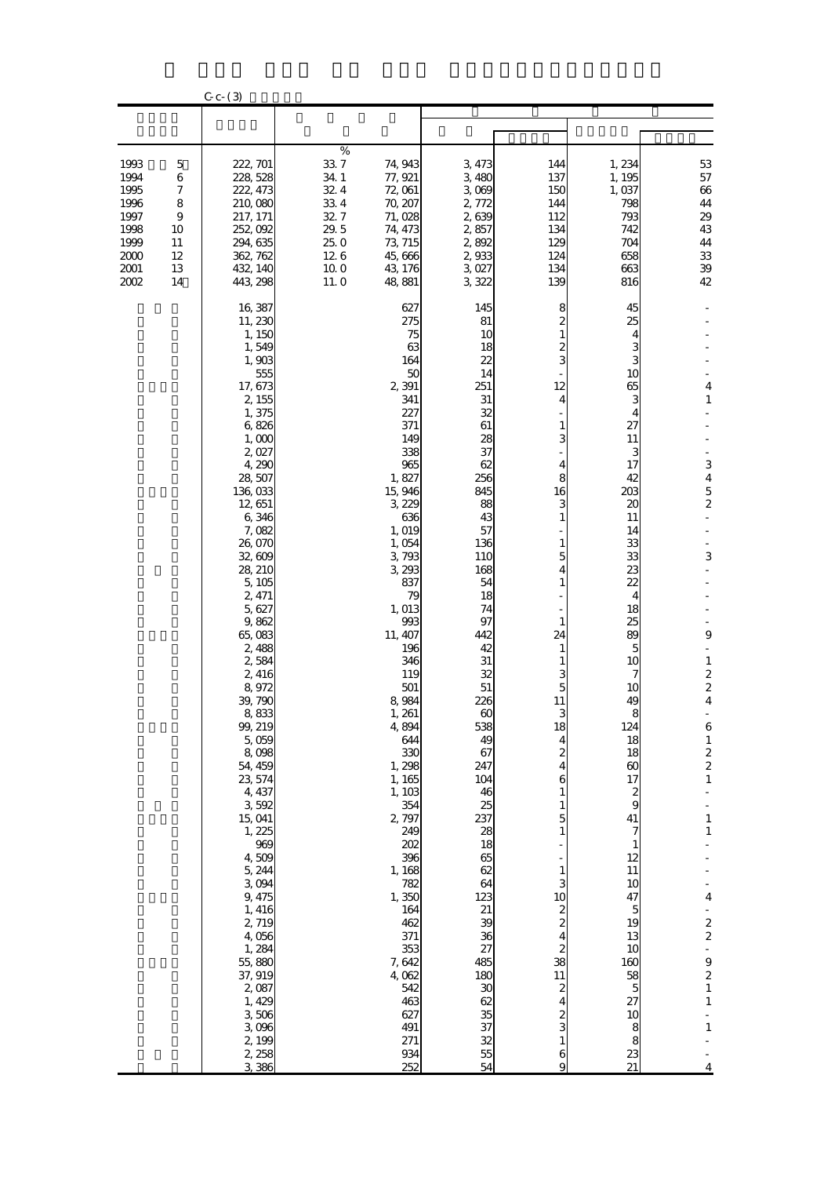|                                                                              |                                                                      | $C_{c}$ $ (3)$                                                                                                                                                                                                                                                                                                                                                                                                                                                                                                                                                            |                                                                                   |                                                                                                                                                                                                                                                                                                                                                                                                                                                                       |                                                                                                                                                                                                                                                                                                                                                                                                   |                                                                                                                                                                                                    |                                                                                                                                                                                                                                                                                                                                                                                  |                                                                                                                                                                                                                                                                                                                                                                                                                                                                             |
|------------------------------------------------------------------------------|----------------------------------------------------------------------|---------------------------------------------------------------------------------------------------------------------------------------------------------------------------------------------------------------------------------------------------------------------------------------------------------------------------------------------------------------------------------------------------------------------------------------------------------------------------------------------------------------------------------------------------------------------------|-----------------------------------------------------------------------------------|-----------------------------------------------------------------------------------------------------------------------------------------------------------------------------------------------------------------------------------------------------------------------------------------------------------------------------------------------------------------------------------------------------------------------------------------------------------------------|---------------------------------------------------------------------------------------------------------------------------------------------------------------------------------------------------------------------------------------------------------------------------------------------------------------------------------------------------------------------------------------------------|----------------------------------------------------------------------------------------------------------------------------------------------------------------------------------------------------|----------------------------------------------------------------------------------------------------------------------------------------------------------------------------------------------------------------------------------------------------------------------------------------------------------------------------------------------------------------------------------|-----------------------------------------------------------------------------------------------------------------------------------------------------------------------------------------------------------------------------------------------------------------------------------------------------------------------------------------------------------------------------------------------------------------------------------------------------------------------------|
|                                                                              |                                                                      |                                                                                                                                                                                                                                                                                                                                                                                                                                                                                                                                                                           |                                                                                   |                                                                                                                                                                                                                                                                                                                                                                                                                                                                       |                                                                                                                                                                                                                                                                                                                                                                                                   |                                                                                                                                                                                                    |                                                                                                                                                                                                                                                                                                                                                                                  |                                                                                                                                                                                                                                                                                                                                                                                                                                                                             |
| 1993<br>1994<br>1995<br>1996<br>1997<br>1998<br>1999<br>2000<br>2001<br>2002 | $\mathbf 5$<br>6<br>7<br>8<br>$\bf{9}$<br>10<br>11<br>12<br>13<br>14 | 222, 701<br>228, 528<br>222, 473<br>210,080<br>217, 171<br>252, 092<br>294, 635<br>362, 762<br>432, 140<br>443, 298                                                                                                                                                                                                                                                                                                                                                                                                                                                       | $\%$<br>33.7<br>34 1<br>32.4<br>334<br>327<br>29.5<br>25.0<br>126<br>100<br>11. O | 74.943<br>77, 921<br>72,061<br>70, 207<br>71,028<br>74, 473<br>73, 715<br>45,666<br>43, 176<br>48,881                                                                                                                                                                                                                                                                                                                                                                 | 3,473<br>3,480<br>3,069<br>2,772<br>2,639<br>2,857<br>2,892<br>2,933<br>3,027<br>3,322                                                                                                                                                                                                                                                                                                            | 144<br>137<br>150<br>144<br>112<br>134<br>129<br>124<br>134<br>139                                                                                                                                 | 1,234<br>1, 195<br>1,037<br>798<br>793<br>742<br>704<br>658<br>663<br>816                                                                                                                                                                                                                                                                                                        | 53<br>$57\,$<br>$66\,$<br>44<br>29<br>43<br>44<br>33<br>39<br>$42\,$                                                                                                                                                                                                                                                                                                                                                                                                        |
|                                                                              |                                                                      | 16,387<br>11, 230<br>1, 150<br>1,549<br>1,903<br>555<br>17,673<br>2, 155<br>1,375<br>6,826<br>1,000<br>2,027<br>4,290<br>28,507<br>136,033<br>12,651<br>6,346<br>7,082<br>26,070<br>32,609<br>28, 210<br>5,105<br>2, 471<br>5,627<br>9,862<br>65,083<br>2,488<br>2,584<br>2,416<br>8,972<br>39,790<br>8,833<br>99, 219<br>5,059<br>8,098<br>54, 459<br>23, 574<br>4, 437<br>3,592<br>15,041<br>1, 225<br>969<br>4,509<br>5,244<br>3094<br>9,475<br>1, 416<br>2,719<br>4,056<br>1,284<br>55,880<br>37, 919<br>2,087<br>1, 429<br>3506<br>3096<br>2, 199<br>2, 258<br>3,386 |                                                                                   | 627<br>275<br>75<br>63<br>164<br>50<br>2,391<br>341<br>227<br>371<br>149<br>338<br>965<br>1,827<br>15,946<br>3,229<br>636<br>1,019<br>1,054<br>3,793<br>3,293<br>837<br>79<br>1,013<br>993<br>11, 407<br>196<br>346<br>119<br>501<br>8,984<br>1, 261<br>4,894<br>644<br>330<br>1,298<br>1, 165<br>1,103<br>354<br>2,797<br>249<br>202<br>396<br>1, 168<br>782<br>1,350<br>164<br>462<br>371<br>353<br>7,642<br>4,062<br>542<br>463<br>627<br>491<br>271<br>934<br>252 | 145<br>81<br>10<br>18<br>22<br>14<br>251<br>31<br>32<br>61<br>28<br>37<br>62<br>256<br>845<br>88<br>43<br>57<br>136<br>110<br>168<br>54<br>18<br>74<br>97<br>442<br>42<br>31<br>32<br>51<br>226<br>$\boldsymbol{\omega}$<br>538<br>49<br>67<br>247<br>104<br>46<br>25<br>237<br>28<br>18<br>65<br>62<br>64<br>123<br>21<br>39<br>36<br>27<br>485<br>180<br>30<br>62<br>35<br>37<br>32<br>55<br>54 | 8<br>2<br>1<br>3<br>12<br>4<br>1<br>3<br>4<br>8<br>16<br>3<br>1<br>1<br>5<br>4<br>1<br>1<br>24<br>5<br>11<br>З<br>18<br>4<br>2<br>6<br>5<br>1<br>1<br>10<br>2<br>2<br>2<br>38<br>11<br>2<br>6<br>9 | 45<br>25<br>4<br>3<br>3<br>10<br>65<br>З<br>4<br>27<br>11<br>3<br>17<br>42<br>203<br>20<br>11<br>14<br>33<br>33<br>23<br>22<br>4<br>18<br>25<br>89<br>5<br>10<br>10<br>49<br>124<br>18<br>18<br>$\boldsymbol{\omega}$<br>17<br>2<br>$\overline{9}$<br>41<br>7<br>$\mathbf{1}$<br>12<br>11<br>10<br>47<br>5<br>19<br>13<br>10<br>160<br>58<br>5<br>27<br>10<br>8<br>8<br>23<br>21 | $\overline{\mathbf{4}}$<br>$\mathbf{1}$<br>3<br>$\overline{\mathbf{4}}$<br>$\overline{5}$<br>$\boldsymbol{2}$<br>3<br>$\boldsymbol{9}$<br>$\mathbf{1}$<br>$\frac{2}{2}$<br>$\overline{\mathbf{4}}$<br>6<br>$\mathbf{1}$<br>$\begin{array}{c} 2 \\ 2 \\ 1 \end{array}$<br>$\mathbf{1}$<br>$\mathbf{1}$<br>4<br>$\overline{\mathcal{L}}$<br>$\boldsymbol{z}$<br>$\overline{\phantom{a}}$<br>9<br>$\overline{\mathbf{c}}$<br>$\mathbf{1}$<br>$\mathbf{1}$<br>$\mathbf{1}$<br>4 |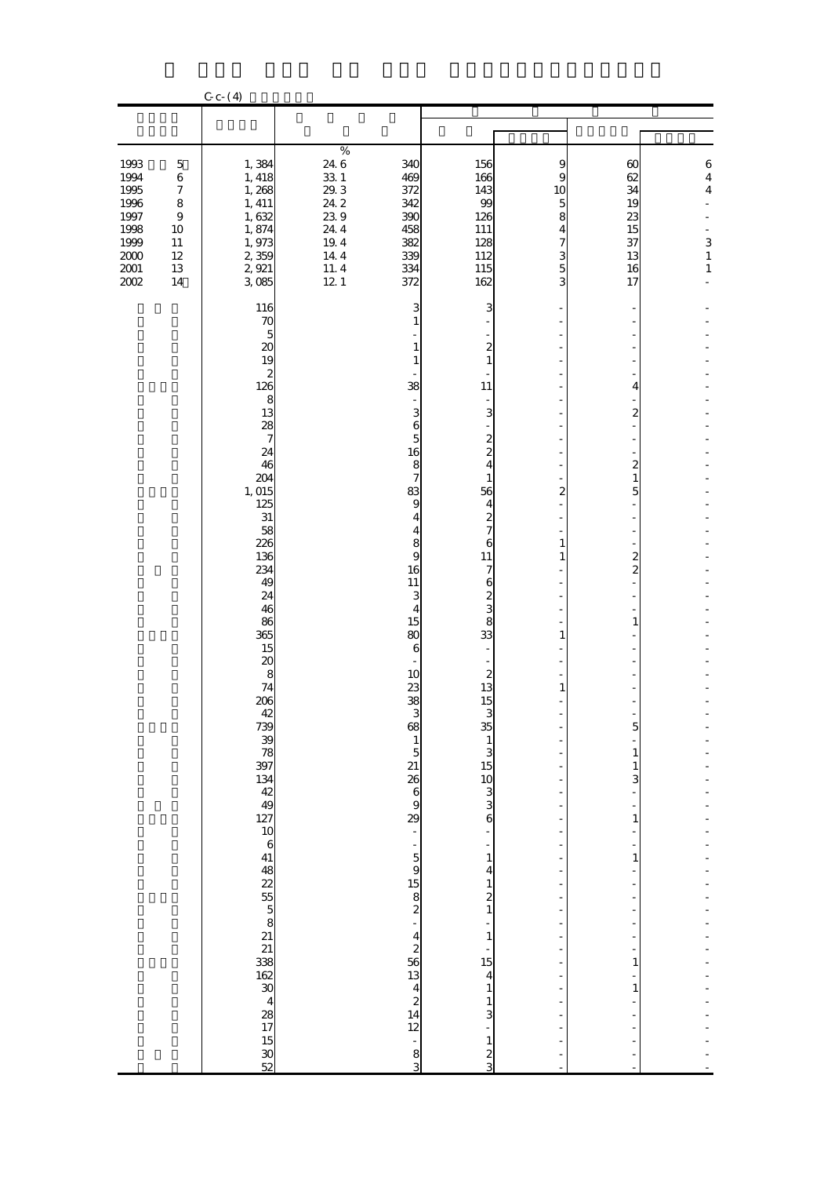|                                              |                                                                               | $C_{c-}(4)$                                                          |                                                           |                                                            |                                                                                 |                                          |                                                     |                                                                             |
|----------------------------------------------|-------------------------------------------------------------------------------|----------------------------------------------------------------------|-----------------------------------------------------------|------------------------------------------------------------|---------------------------------------------------------------------------------|------------------------------------------|-----------------------------------------------------|-----------------------------------------------------------------------------|
|                                              |                                                                               |                                                                      |                                                           |                                                            |                                                                                 |                                          |                                                     |                                                                             |
|                                              |                                                                               |                                                                      |                                                           |                                                            |                                                                                 |                                          |                                                     |                                                                             |
| 1993<br>1994<br>1995<br>1996<br>1997<br>1998 | $\mathbf 5$<br>$\,$ 6 $\,$<br>$\boldsymbol{7}$<br>8<br>$\boldsymbol{9}$<br>10 | 1,384<br>1, 418<br>1,268<br>1, 411<br>1,632<br>1,874                 | $\%$<br>24 6<br>$33\ 1$<br>$29.3\,$<br>24.2<br>239<br>244 | 340<br>469<br>372<br>342<br>390<br>458                     | 156<br>166<br>143<br>99<br>126<br>111                                           | 9<br>9<br>10<br>$\overline{5}$<br>8<br>4 | $\boldsymbol{\omega}$<br>62<br>34<br>19<br>23<br>15 | $\boldsymbol{6}$<br>$\overline{\mathbf{4}}$<br>$\overline{\mathbf{4}}$<br>٠ |
| 1999<br>$2000\,$<br>$2001\,$<br>$2002\,$     | $11\,$<br>$12\,$<br>13<br>$14\,$                                              | 1,973<br>2,359<br>2,921<br>3,085<br>116                              | $19.4\,$<br>14.4<br>11.4<br>12.1                          | 382<br>339<br>334<br>372<br>3                              | 128<br>112<br>115<br>162<br>3                                                   | 7<br>3<br>5<br>3                         | 37<br>13<br>16<br>17                                | 3<br>$\mathbf{1}$<br>$\mathbf 1$                                            |
|                                              |                                                                               | 70<br>5<br>20<br>19                                                  |                                                           | $\mathbf{1}$<br>$\mathbf{1}$<br>$\mathbf{1}$               | -<br>$\mathbf{z}$<br>$\mathbf 1$                                                |                                          |                                                     |                                                                             |
|                                              |                                                                               | $\begin{array}{c} 2 \\ 126 \end{array}$<br>$\frac{8}{13}$<br>28<br>7 |                                                           | 38<br>$\blacksquare$<br>3<br>$\frac{6}{5}$                 | $11\,$<br>3                                                                     |                                          | 4<br>$\overline{\mathcal{Z}}$                       |                                                                             |
|                                              |                                                                               | 24<br>46<br>204<br>1,015<br>125                                      |                                                           | 16<br>8<br>$\overline{7}$<br>83<br>9                       | $\frac{2}{2}$<br>$\mathbf{1}$<br>56<br>$\overline{\mathbf{r}}$                  | ٠<br>2                                   | $\overline{\mathcal{Z}}$<br>$\mathbf{1}$<br>5       |                                                                             |
|                                              |                                                                               | 31<br>58<br>226<br>136<br>234                                        |                                                           | 4<br>$\overline{\mathbf{4}}$<br>$\frac{8}{9}$<br>16        | $\frac{2}{7}$<br>6<br>$11\,$<br>$\overline{\mathcal{U}}$                        | $\mathbf{1}$<br>$\mathbf{1}$             | $\overline{\mathcal{Z}}$<br>$\overline{\mathbf{c}}$ |                                                                             |
|                                              |                                                                               | 49<br>24<br>46<br>86<br>365                                          |                                                           | 11<br>3<br>$\overline{\mathbf{4}}$<br>15<br>80             | 62838<br>33                                                                     | $\mathbf{1}$                             | 1                                                   |                                                                             |
|                                              |                                                                               | 15<br>20<br>8<br>74<br>206                                           |                                                           | 6<br>10<br>23<br>38                                        | $\blacksquare$<br>$\frac{2}{13}$<br>15                                          | 1                                        |                                                     |                                                                             |
|                                              |                                                                               | 42<br>739<br>38<br>397                                               |                                                           | 3<br>68<br>$\begin{array}{c} 1 \\ 5 \\ 21 \end{array}$     | 3<br>35<br>$\begin{array}{c} 1 \\ 3 \\ 15 \end{array}$                          |                                          | 5<br>1<br>$\mathbf{1}$                              |                                                                             |
|                                              |                                                                               | $134$<br>$42$<br>$49$<br>127<br>10                                   |                                                           | $26$<br>$6$<br>$9$<br>$29$<br>$\overline{\phantom{a}}$     | $\frac{10}{3}$<br>$\frac{3}{6}$                                                 |                                          | 3<br>1                                              |                                                                             |
|                                              |                                                                               | $\boldsymbol{6}$<br>41<br>$48$<br>$25$<br>$5$<br>$5$<br>$8$<br>$21$  |                                                           | ÷                                                          | $\mathbf 1$<br>$\overline{\mathbf{4}}$<br>$\frac{1}{2}$                         |                                          | 1                                                   |                                                                             |
|                                              |                                                                               | $rac{21}{338}$                                                       |                                                           | $\begin{array}{c} 5915 \\ 1582 \\ -4256 \\ 13 \end{array}$ | $\overline{a}$<br>$\mathbf{1}$<br>$\begin{array}{c} \n\cdot \\ 15\n\end{array}$ |                                          | 1                                                   |                                                                             |
|                                              |                                                                               | 162<br>$\overline{30}$<br>$\overline{\mathbf{4}}$<br>$\frac{28}{17}$ |                                                           | $\begin{array}{c} 4 \\ 2 \\ 14 \end{array}$<br>12          | 4<br>$\mathbf{1}$<br>$\frac{1}{3}$                                              |                                          | 1                                                   |                                                                             |
|                                              |                                                                               | 15<br>$rac{1}{52}$                                                   |                                                           | ÷,<br>$\frac{8}{3}$                                        | $\mathbf{1}$<br>$\frac{2}{3}$                                                   |                                          |                                                     |                                                                             |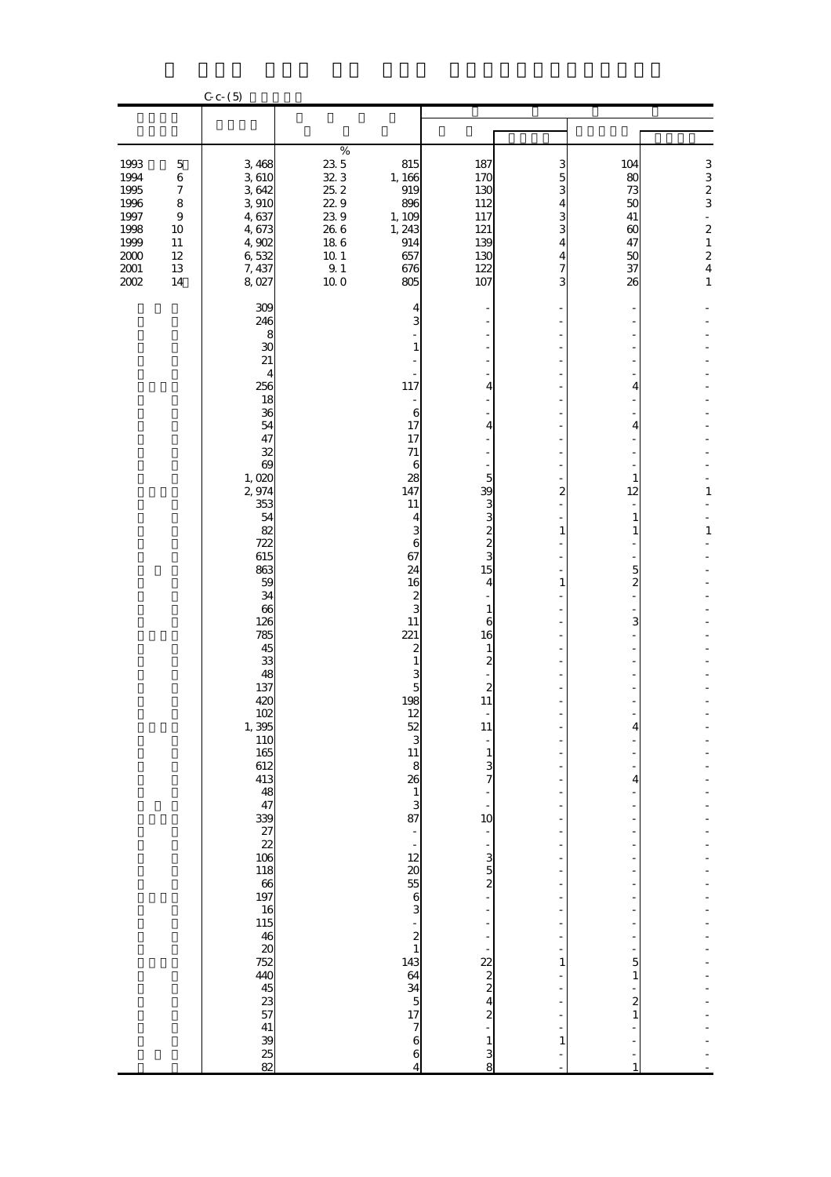|                                                                                          |                                                                                                           | $C_{c-}(5)$                                                                                                                                                                                                                                                                                                                                                                                                |                                                                                                                               |                                                                                                                                                                                                                                                                                                                                                                                                                                                                                                                                                                                          |                                                                                                                                                                                                                                                                                                                                                                                |                                                  |                                                                                                 |                                                                                                                                                      |
|------------------------------------------------------------------------------------------|-----------------------------------------------------------------------------------------------------------|------------------------------------------------------------------------------------------------------------------------------------------------------------------------------------------------------------------------------------------------------------------------------------------------------------------------------------------------------------------------------------------------------------|-------------------------------------------------------------------------------------------------------------------------------|------------------------------------------------------------------------------------------------------------------------------------------------------------------------------------------------------------------------------------------------------------------------------------------------------------------------------------------------------------------------------------------------------------------------------------------------------------------------------------------------------------------------------------------------------------------------------------------|--------------------------------------------------------------------------------------------------------------------------------------------------------------------------------------------------------------------------------------------------------------------------------------------------------------------------------------------------------------------------------|--------------------------------------------------|-------------------------------------------------------------------------------------------------|------------------------------------------------------------------------------------------------------------------------------------------------------|
|                                                                                          |                                                                                                           |                                                                                                                                                                                                                                                                                                                                                                                                            |                                                                                                                               |                                                                                                                                                                                                                                                                                                                                                                                                                                                                                                                                                                                          |                                                                                                                                                                                                                                                                                                                                                                                |                                                  |                                                                                                 |                                                                                                                                                      |
|                                                                                          |                                                                                                           |                                                                                                                                                                                                                                                                                                                                                                                                            |                                                                                                                               |                                                                                                                                                                                                                                                                                                                                                                                                                                                                                                                                                                                          |                                                                                                                                                                                                                                                                                                                                                                                |                                                  |                                                                                                 |                                                                                                                                                      |
| 1993<br>1994<br>1995<br>1996<br>1997<br>1998<br>1999<br>$2000\,$<br>$2001\,$<br>$2002\,$ | $\mathbf 5$<br>$\,$ 6 $\,$<br>$\boldsymbol{7}$<br>8<br>$\boldsymbol{9}$<br>10<br>$11\,$<br>12<br>13<br>14 | 3,468<br>3610<br>3642<br>3,910<br>4,637<br>4,673<br>4,902<br>6,532<br>7, 437<br>8,027                                                                                                                                                                                                                                                                                                                      | $\%$<br>23 5<br>323<br>25.2<br>229<br>239<br>$26\;6$<br>$18\ 6$<br>$10\,$ $1\,$<br>$\begin{array}{c} 9.1 \\ 10.0 \end{array}$ | 815<br>1, 166<br>919<br>896<br>1, 109<br>1, 243<br>914<br>657<br>676<br>805                                                                                                                                                                                                                                                                                                                                                                                                                                                                                                              | 187<br>170<br>130<br>112<br>117<br>121<br>139<br>130<br>122<br>107                                                                                                                                                                                                                                                                                                             | 3<br>5<br>3<br>4<br>3<br>3<br>4<br>4<br>7<br>3   | 104<br>80<br>73<br>50<br>41<br>$\boldsymbol{\omega}$<br>47<br>50<br>37<br>26                    | 3<br>$\frac{3}{2}$<br>$\blacksquare$<br>$\overline{\mathbf{c}}$<br>$\mathbf{1}$<br>$\overline{\mathbf{c}}$<br>$\overline{\mathbf{4}}$<br>$\mathbf 1$ |
|                                                                                          |                                                                                                           | 309<br>246<br>8<br>30<br>21<br>4<br>256<br>18<br>36<br>54<br>47<br>32<br>69<br>1,020<br>2,974<br>353<br>54<br>82<br>722<br>615<br>863<br>59<br>34<br>66<br>126<br>785<br>45<br>33<br>48<br>137<br>420<br>102<br>1,395<br>110<br>165<br>612<br>413<br>48<br>47<br>339<br>27<br>22<br>106<br>118<br>$\frac{66}{197}$<br>16<br>115<br>46<br>20<br>752<br>440<br>45<br>23<br>57<br>41<br>39<br>$\frac{25}{82}$ |                                                                                                                               | 4<br>3<br>$\mathbf{1}$<br>117<br>$\overline{\phantom{m}}$<br>6<br>17<br>17<br>$71\,$<br>6<br>28<br>147<br>11<br>4<br>3<br>6<br>67<br>24<br>16<br>$\overline{\mathbf{c}}$<br>3<br>11<br>221<br>$\boldsymbol{z}$<br>$\mathbf{1}$<br>$\frac{3}{5}$<br>198<br>12<br>$\begin{array}{c} 52 \\ 3 \\ 11 \end{array}$<br>8<br>26<br>$\begin{array}{c} 1 \\ 3 \\ 87 \end{array}$<br>$\blacksquare$<br>$\overline{\phantom{a}}$<br>12<br>$\boldsymbol{\alpha}$<br>55<br>$\frac{6}{3}$<br>$\frac{2}{1}$<br>143<br>64<br>$\frac{34}{5}$<br>17<br>$\overline{\phantom{a}}$<br>$\overline{6}$<br>6<br>4 | $\frac{1}{2}$<br>4<br>4<br>$\overline{\phantom{0}}$<br>$\overline{5}$<br>39<br>3880<br>15<br>4<br>$\mathbf{1}$<br>6<br>16<br>$\mathbf{1}$<br>$\overline{c}$<br>$\boldsymbol{z}$<br>$11\,$<br>11<br>$\frac{1}{7}$<br>$\frac{1}{10}$<br>$\blacksquare$<br>$\frac{3}{2}$<br>÷<br>÷<br>$\begin{array}{c} 22 \\ 2 \\ 2 \\ 4 \end{array}$<br>$\overline{c}$<br>$\mathbf 1$<br>3<br>8 | ٠<br>2<br>$\mathbf{1}$<br>1<br>1<br>$\mathbf{1}$ | 4<br>4<br>1<br>12<br>1<br>1<br>5<br>$\overline{c}$<br>3<br>4<br>5<br>1<br>$\boldsymbol{z}$<br>1 | $\mathbf 1$<br>$\mathbf{1}$                                                                                                                          |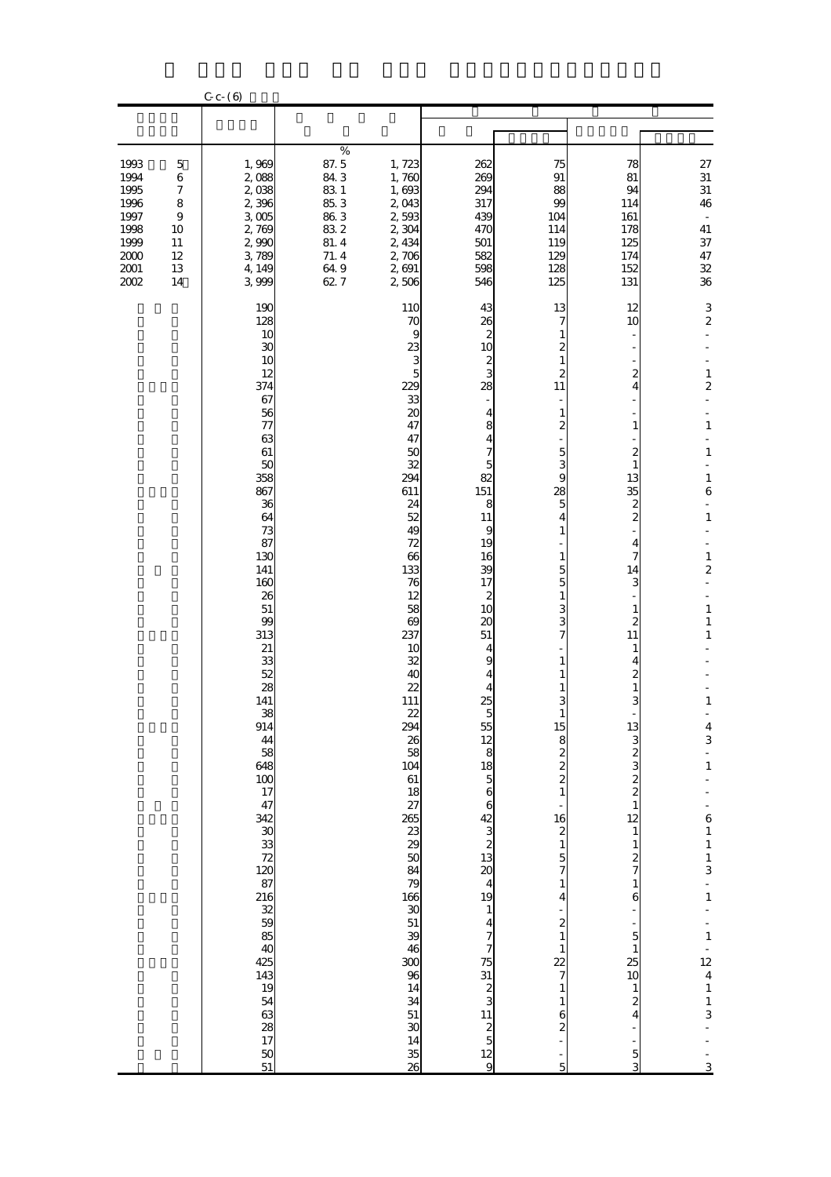|                                                                                    |                                                                         | $C - C - 6$                                                                                                                                                                                                                                                                                                                                                                                               |                                                                                   |                                                                                                                                                                                                                                                                                                                                                                                                                                     |                                                                                                                                                                                                                                                                                                                                                                                    |                                                                                                                                                                                                                                                                                                                                                                                                                               |                                                                                                                                                                                                                                                                                                                                                                        |                                                                                                                                                                                                                                                                                                                                                                                                                                     |
|------------------------------------------------------------------------------------|-------------------------------------------------------------------------|-----------------------------------------------------------------------------------------------------------------------------------------------------------------------------------------------------------------------------------------------------------------------------------------------------------------------------------------------------------------------------------------------------------|-----------------------------------------------------------------------------------|-------------------------------------------------------------------------------------------------------------------------------------------------------------------------------------------------------------------------------------------------------------------------------------------------------------------------------------------------------------------------------------------------------------------------------------|------------------------------------------------------------------------------------------------------------------------------------------------------------------------------------------------------------------------------------------------------------------------------------------------------------------------------------------------------------------------------------|-------------------------------------------------------------------------------------------------------------------------------------------------------------------------------------------------------------------------------------------------------------------------------------------------------------------------------------------------------------------------------------------------------------------------------|------------------------------------------------------------------------------------------------------------------------------------------------------------------------------------------------------------------------------------------------------------------------------------------------------------------------------------------------------------------------|-------------------------------------------------------------------------------------------------------------------------------------------------------------------------------------------------------------------------------------------------------------------------------------------------------------------------------------------------------------------------------------------------------------------------------------|
|                                                                                    |                                                                         |                                                                                                                                                                                                                                                                                                                                                                                                           |                                                                                   |                                                                                                                                                                                                                                                                                                                                                                                                                                     |                                                                                                                                                                                                                                                                                                                                                                                    |                                                                                                                                                                                                                                                                                                                                                                                                                               |                                                                                                                                                                                                                                                                                                                                                                        |                                                                                                                                                                                                                                                                                                                                                                                                                                     |
| 1993<br>1994<br>1995<br>1996<br>1997<br>1998<br>1999<br>$2000$<br>2001<br>$2002\,$ | $\mathbf 5$<br>$\,$ 6 $\,$<br>7<br>8<br>9<br>10<br>11<br>12<br>13<br>14 | 1,969<br>2,088<br>2,038<br>2,396<br>3005<br>2,769<br>2,990<br>3,789<br>4, 149<br>3,999                                                                                                                                                                                                                                                                                                                    | $\%$<br>87.5<br>843<br>83 1<br>85.3<br>86.3<br>832<br>81.4<br>71.4<br>64.9<br>627 | 1,723<br>1,760<br>1,693<br>2,043<br>2,593<br>2,304<br>2, 434<br>2,706<br>2,691<br>2,506                                                                                                                                                                                                                                                                                                                                             | 262<br>269<br>294<br>317<br>439<br>470<br>501<br>582<br>598<br>546                                                                                                                                                                                                                                                                                                                 | 75<br>91<br>88<br>99<br>104<br>114<br>119<br>129<br>128<br>125                                                                                                                                                                                                                                                                                                                                                                | 78<br>81<br>94<br>114<br>161<br>178<br>125<br>174<br>152<br>131                                                                                                                                                                                                                                                                                                        | $\begin{array}{c} 27 \\ 31 \end{array}$<br>$31\,$<br>46<br>$\overline{\phantom{a}}$<br>${\bf 41}$<br>37<br>$47\,$<br>32<br>${\bf 36}$                                                                                                                                                                                                                                                                                               |
|                                                                                    |                                                                         | 190<br>128<br>10<br>30<br>10<br>12<br>374<br>67<br>56<br>77<br>63<br>61<br>50<br>358<br>867<br>36<br>64<br>73<br>87<br>130<br>141<br>160<br>26<br>51<br>99<br>313<br>21<br>33<br>52<br>28<br>141<br>$\begin{array}{c} 38 \\ 914 \end{array}$<br>$\frac{44}{58}$<br>648<br>$\frac{100}{17}$<br>47<br>342 30 33 72 120 87 130 87 88 40<br>425<br>143<br>19<br>54<br>63<br>28<br>17<br>50<br>$\overline{51}$ |                                                                                   | 110<br>70<br>9<br>23<br>3<br>$\overline{5}$<br>229<br>33<br>20<br>47<br>47<br>50<br>32<br>294<br>611<br>24<br>52<br>49<br>72<br>66<br>133<br>76<br>12<br>58<br>$\theta$<br>237<br>10<br>32<br>40<br>22<br>111<br>$\begin{array}{c} 22 \\ 294 \end{array}$<br>26<br>58<br>104<br>61<br>18<br>$\frac{27}{265}$<br>$\frac{23}{29}$<br>$\frac{50}{29}$<br>46<br>300<br>$\frac{1}{34}$<br>51<br>$\overline{30}$<br>14<br>$\frac{35}{26}$ | 43<br>26<br>$\boldsymbol{z}$<br>10<br>$\boldsymbol{z}$<br>3<br>28<br>$\overline{\mathbf{4}}$<br>$\frac{8}{4}$<br>5<br>82<br>151<br>8<br>11<br>9<br>19<br>16<br>39<br>17<br>$\boldsymbol{z}$<br>10<br>20<br>51<br>4<br>9<br>4<br>25<br>5<br>55<br>12<br>8<br>18<br>5<br>6<br>6<br>2<br>3<br>2<br>3<br>2<br>3<br>2<br>3<br>2<br><br><br><br><br><br>7<br>7<br><br>7<br>7531231125129 | 13<br>7<br>1<br>2<br>1<br>2<br>11<br>1<br>2<br>5<br>3<br>9<br>28<br>$\overline{5}$<br>4<br>1<br>1<br>5<br>5<br>$\mathbf{1}$<br>3<br>3<br>7<br>1<br>3<br>$\bf{1}$<br>15<br>$\begin{smallmatrix}8&8&8\&2&2\end{smallmatrix}$<br>$\mathbf{1}$<br>16<br>$\begin{smallmatrix}2\2\1\end{smallmatrix}$<br>5<br>7<br>$\mathbf{1}$<br>4<br>$\overline{\mathbf{c}}$<br>$\mathbf{1}$<br>$\mathbf{1}$<br>22<br>7<br>1<br>1<br>6<br>2<br>5 | 12<br>10<br>$\boldsymbol{z}$<br>4<br>1<br>2<br>$\mathbf{1}$<br>13<br>35<br>$\frac{2}{2}$<br>4<br>7<br>14<br>3<br>1<br>$\overline{\mathcal{Z}}$<br>11<br>$\mathbf{1}$<br>4<br>$\overline{\mathcal{Z}}$<br>$\mathbf{1}$<br>3<br>13322322<br>$\mathbf{1}$<br>$\frac{1}{2}$ $\frac{2}{7}$ $\frac{1}{6}$<br>5<br>$\mathbf{1}$<br>25<br>10<br>$\frac{1}{2}$<br>$\frac{5}{3}$ | 3<br>$\boldsymbol{2}$<br>$\mathbf{1}$<br>$\overline{\mathbf{c}}$<br>$\mathbf{1}$<br>÷<br>$\mathbf{1}$<br>$\blacksquare$<br>$\mathbf{1}$<br>$\bf{6}$<br>$\mathbf 1$<br>$\mathbf 1$<br>$\overline{\mathbf{c}}$<br>÷,<br>$\mathbf{1}$<br>$\mathbf{1}$<br>$\mathbf{1}$<br>$\mathbf{1}$<br>$\frac{4}{3}$<br>$\frac{1}{1}$<br>$-61$<br>$11$<br>$3$<br>$\frac{1}{1}$<br>$\frac{1}{1}$<br>$\frac{12}{4}$<br>$\frac{1}{3}$<br>$\overline{3}$ |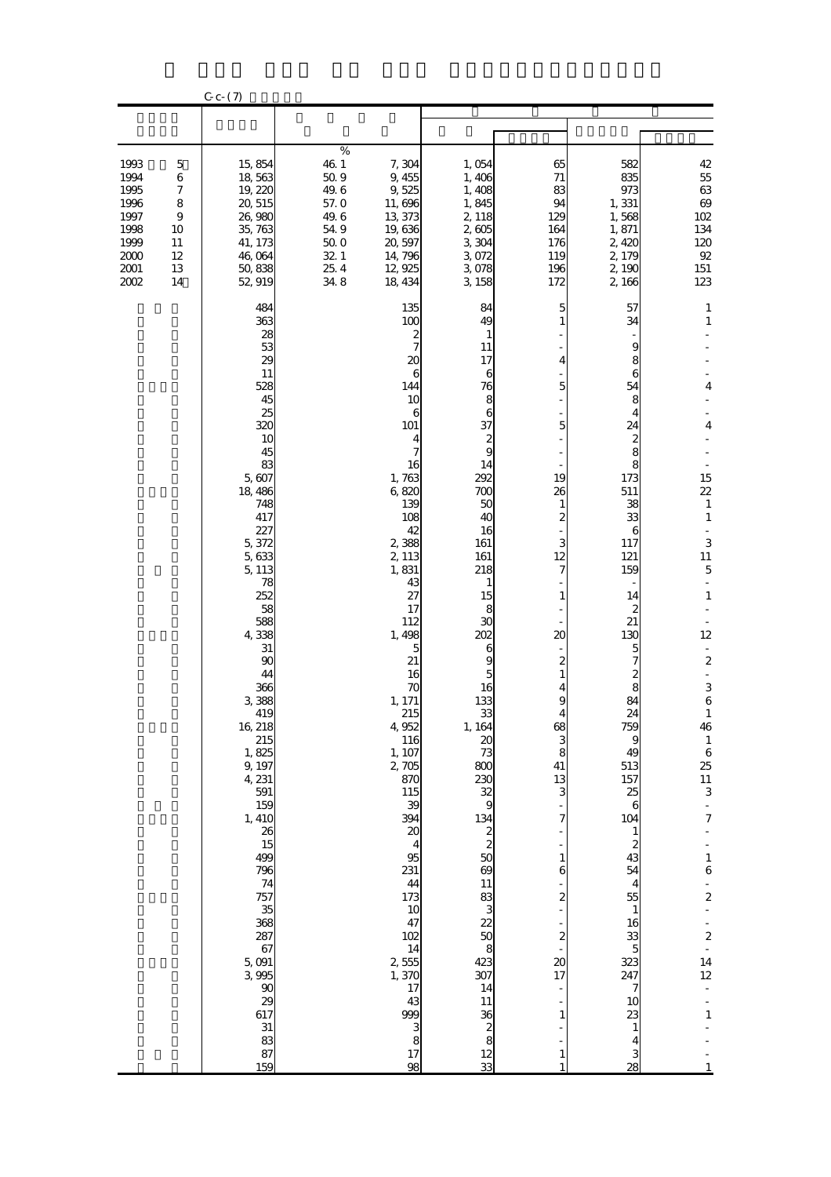|                                                                                |                                                                         | $C_{c}$ $(7)$                                                                                                                                                                                                                                                                                                                                                                                                                              |                                                                                            |                                                                                                                                                                                                                                                                                                                                                                                                                                                                                                          |                                                                                                                                                                                                                                                                                                                                                                                                                                                                   |                                                                                                                                                                                                        |                                                                                                                                                                                                                                                                                                                                                                                |                                                                                                                                                                                                                                                                                                                                                                                                                                                       |
|--------------------------------------------------------------------------------|-------------------------------------------------------------------------|--------------------------------------------------------------------------------------------------------------------------------------------------------------------------------------------------------------------------------------------------------------------------------------------------------------------------------------------------------------------------------------------------------------------------------------------|--------------------------------------------------------------------------------------------|----------------------------------------------------------------------------------------------------------------------------------------------------------------------------------------------------------------------------------------------------------------------------------------------------------------------------------------------------------------------------------------------------------------------------------------------------------------------------------------------------------|-------------------------------------------------------------------------------------------------------------------------------------------------------------------------------------------------------------------------------------------------------------------------------------------------------------------------------------------------------------------------------------------------------------------------------------------------------------------|--------------------------------------------------------------------------------------------------------------------------------------------------------------------------------------------------------|--------------------------------------------------------------------------------------------------------------------------------------------------------------------------------------------------------------------------------------------------------------------------------------------------------------------------------------------------------------------------------|-------------------------------------------------------------------------------------------------------------------------------------------------------------------------------------------------------------------------------------------------------------------------------------------------------------------------------------------------------------------------------------------------------------------------------------------------------|
|                                                                                |                                                                         |                                                                                                                                                                                                                                                                                                                                                                                                                                            |                                                                                            |                                                                                                                                                                                                                                                                                                                                                                                                                                                                                                          |                                                                                                                                                                                                                                                                                                                                                                                                                                                                   |                                                                                                                                                                                                        |                                                                                                                                                                                                                                                                                                                                                                                |                                                                                                                                                                                                                                                                                                                                                                                                                                                       |
| 1993<br>1994<br>1995<br>1996<br>1997<br>1998<br>1999<br>$2000$<br>2001<br>2002 | $\mathbf 5$<br>$\,$ 6 $\,$<br>7<br>8<br>9<br>10<br>11<br>12<br>13<br>14 | 15,854<br>18,563<br>19,220<br>20, 515<br>26,980<br>35,763<br>41, 173<br>46,064<br>50,838<br>52, 919                                                                                                                                                                                                                                                                                                                                        | $\%$<br>46.1<br>509<br>49.6<br>57.0<br>49.6<br>$54\;9$<br>$500$<br>$32.1\,$<br>25.4<br>348 | 7,304<br>9,455<br>9,525<br>11,696<br>13,373<br>19,636<br>20, 597<br>14,796<br>12,925<br>18, 434                                                                                                                                                                                                                                                                                                                                                                                                          | 1,054<br>1,406<br>1,408<br>1,845<br>2, 118<br>2,605<br>3,304<br>3,072<br>3,078<br>3,158                                                                                                                                                                                                                                                                                                                                                                           | 65<br>71<br>83<br>94<br>129<br>164<br>176<br>119<br>196<br>172                                                                                                                                         | 582<br>835<br>973<br>1,331<br>1,568<br>1,871<br>2,420<br>2, 179<br>2,190<br>2,166                                                                                                                                                                                                                                                                                              | $42\,$<br>$55\,$<br>$63\,$<br>$6\hskip-2pt 9$<br>102<br>134<br>120<br>$9\!$<br>151<br>123                                                                                                                                                                                                                                                                                                                                                             |
|                                                                                |                                                                         | 484<br>363<br>28<br>53<br>29<br>11<br>528<br>45<br>25<br>320<br>10<br>45<br>83<br>5,607<br>18,486<br>748<br>417<br>227<br>5,372<br>5,633<br>5, 113<br>78<br>252<br>58<br>588<br>4,338<br>31<br>90<br>44<br>366<br>3 388<br>419<br>16, 218<br>$215$<br>1,825<br>9, 197<br>4, 231<br>591<br>159<br>1, 410<br>26<br>15<br>499<br>796<br>74<br>757<br>35<br>368<br>287<br>67<br>5,091<br>3 995<br>90<br>29<br>617<br>$31\,$<br>83<br>87<br>159 |                                                                                            | 135<br>100<br>$\frac{2}{7}$<br>20<br>$\boldsymbol{6}$<br>144<br>10<br>6<br>101<br>4<br>7<br>16<br>1,763<br>6,820<br>139<br>108<br>42<br>2,388<br>2, 113<br>1,831<br>43<br>27<br>17<br>112<br>1,498<br>$\mathbf{5}$<br>21<br>16<br>70<br>1, 171<br>215<br>4,952<br><b>116</b><br>1, 107<br>2,705<br>870<br>115<br>39<br>394<br>$\boldsymbol{\mathsf{20}}$<br>$\overline{\mathbf{4}}$<br>95<br>231<br>44<br>173<br>10<br>47<br>102<br>14<br>2,555<br>1,370<br>17<br>43<br>999<br>$\frac{3}{8}$<br>17<br>98 | 84<br>49<br>1<br>11<br>17<br>6<br>76<br>8<br>6<br>37<br>$\frac{2}{9}$<br>14<br>292<br>700<br>50<br>40<br>16<br>161<br>161<br>218<br>1<br>15<br>8<br>30<br>202<br>$\boldsymbol{6}$<br>$\frac{9}{5}$<br>16<br>133<br>33<br>1, 164<br>20<br>73<br>း<br>မဆွေ<br>၁<br>$\begin{array}{c}\n 134 \\  2 \\  50 \\  \end{array}$<br>$\boldsymbol{\omega}$<br>$\begin{array}{c} 11 \\ 83 \end{array}$<br>$\frac{2}{3}$<br>$\frac{8}{3}$<br>307<br>14<br>11<br>38<br>32<br>33 | 5<br>1<br>4<br>5<br>5<br>19<br>26<br>1<br>$\boldsymbol{z}$<br>3<br>12<br>7<br>1<br>20<br>2<br>9<br>68<br>3<br>8<br>41<br>13<br>3<br>7<br>1<br>6<br>2<br>$\overline{\mathcal{Z}}$<br>20<br>17<br>1<br>1 | 57<br>34<br>9<br>8<br>6<br>54<br>8<br>4<br>24<br>2<br>8<br>8<br>173<br>511<br>38<br>33<br>6<br>117<br>121<br>159<br>14<br>21<br>130<br>5<br>2<br>8<br>84<br>24<br>759<br>$\boldsymbol{9}$<br>49<br>513<br>157<br>25<br>$\mathbf{6}$<br>104<br>$\mathbf{1}$<br>2<br>43<br>54<br>4<br>55<br>$\mathbf{1}$<br>16<br>33<br>$\overline{5}$<br>323<br>247<br>7<br>10<br>23<br>3<br>28 | $\mathbf{1}$<br>$\mathbf{1}$<br>4<br>$\overline{\mathbf{4}}$<br>15<br>22<br>$\mathbf{1}$<br>$\mathbf{1}$<br>3<br>${\bf 11}$<br>$\overline{5}$<br>$\mathbf{1}$<br>12<br>$\blacksquare$<br>$\boldsymbol{z}$<br>3<br>$\boldsymbol{6}$<br>$\mathbf 1$<br>46<br>$\begin{array}{c} 1 \\ 6 \\ 25 \end{array}$<br>$\frac{11}{3}$<br>$\overline{\phantom{a}}$<br>$\frac{1}{1}$<br>$\overline{6}$<br>$\frac{1}{2}$<br>$\frac{1}{2}$<br>14<br>12<br>$\mathbf{1}$ |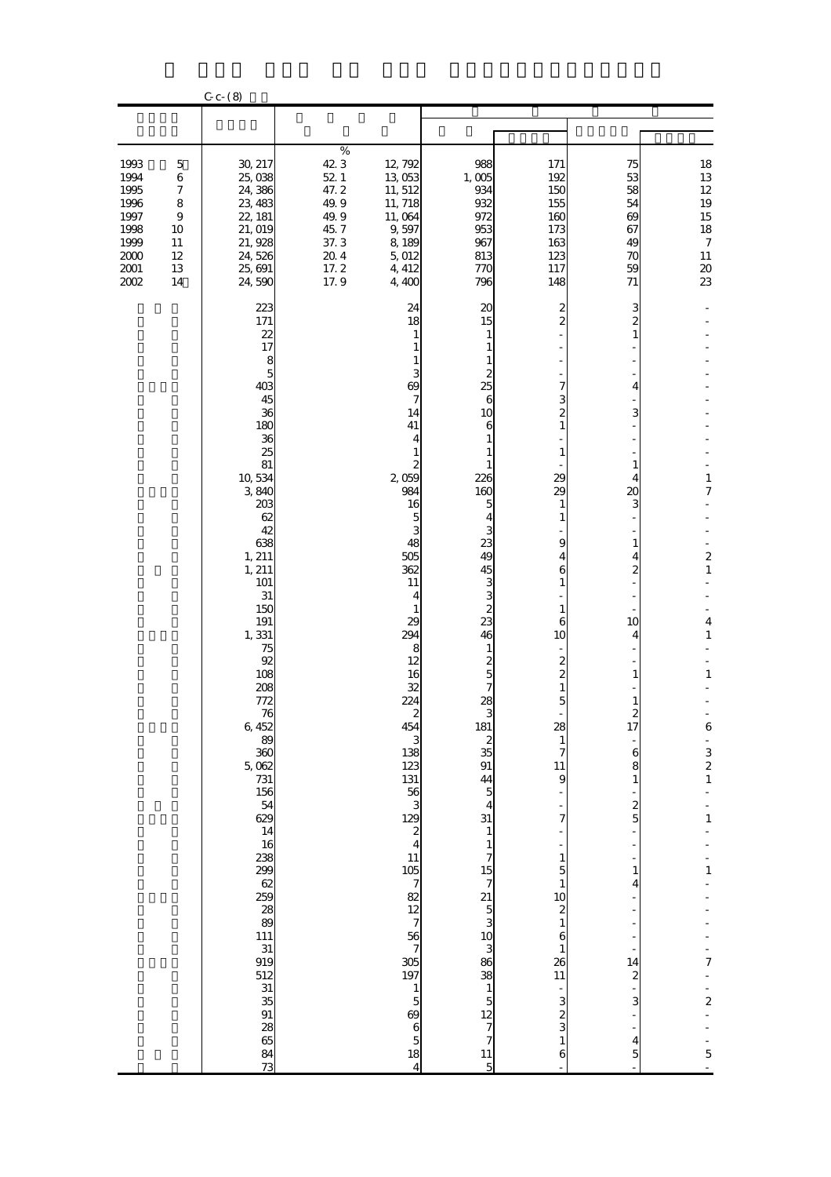|                                                                                    |                                                                                            | $C_{c}$ (8)                                                                                                                                                                                                                                                                                                                                                                                                                                                                                                |                                                                                             |                                                                                                                                                                                                                                                                                                                                                                                                                                                                                                              |                                                                                                                                                                                                                                                                                                                                                                                                                 |                                                                                                                                                                                                                                                                                                                                      |                                                                                                                                                                                                                           |                                                                                                                                                                                                                                                                  |
|------------------------------------------------------------------------------------|--------------------------------------------------------------------------------------------|------------------------------------------------------------------------------------------------------------------------------------------------------------------------------------------------------------------------------------------------------------------------------------------------------------------------------------------------------------------------------------------------------------------------------------------------------------------------------------------------------------|---------------------------------------------------------------------------------------------|--------------------------------------------------------------------------------------------------------------------------------------------------------------------------------------------------------------------------------------------------------------------------------------------------------------------------------------------------------------------------------------------------------------------------------------------------------------------------------------------------------------|-----------------------------------------------------------------------------------------------------------------------------------------------------------------------------------------------------------------------------------------------------------------------------------------------------------------------------------------------------------------------------------------------------------------|--------------------------------------------------------------------------------------------------------------------------------------------------------------------------------------------------------------------------------------------------------------------------------------------------------------------------------------|---------------------------------------------------------------------------------------------------------------------------------------------------------------------------------------------------------------------------|------------------------------------------------------------------------------------------------------------------------------------------------------------------------------------------------------------------------------------------------------------------|
|                                                                                    |                                                                                            |                                                                                                                                                                                                                                                                                                                                                                                                                                                                                                            |                                                                                             |                                                                                                                                                                                                                                                                                                                                                                                                                                                                                                              |                                                                                                                                                                                                                                                                                                                                                                                                                 |                                                                                                                                                                                                                                                                                                                                      |                                                                                                                                                                                                                           |                                                                                                                                                                                                                                                                  |
| 1993<br>1994<br>1995<br>1996<br>1997<br>1998<br>1999<br>$2000$<br>2001<br>$2002\,$ | $\mathbf 5$<br>$\,$ 6 $\,$<br>$\boldsymbol{7}$<br>8<br>$\,9$<br>10<br>11<br>12<br>13<br>14 | 30, 217<br>25,038<br>24,386<br>23, 483<br>22, 181<br>21, 019<br>21, 928<br>24,526<br>25, 691<br>24,590                                                                                                                                                                                                                                                                                                                                                                                                     | $\%$<br>423<br>$52\,$ $1\,$<br>47.2<br>49.9<br>49.9<br>45.7<br>37.3<br>20.4<br>17.2<br>17.9 | 12, 792<br>13 053<br>11, 512<br>11, 718<br>11,064<br>9,597<br>8,189<br>5,012<br>4, 412<br>4,400                                                                                                                                                                                                                                                                                                                                                                                                              | 988<br>1,005<br>934<br>932<br>972<br>953<br>967<br>813<br>770<br>796                                                                                                                                                                                                                                                                                                                                            | 171<br>192<br>150<br>155<br>160<br>173<br>163<br>123<br>117<br>148                                                                                                                                                                                                                                                                   | 75<br>53<br>58<br>54<br>69<br>67<br>49<br>70<br>59<br>71                                                                                                                                                                  | 18<br>13<br>$12\,$<br>19<br>15<br>18<br>$\boldsymbol{7}$<br>$11\,$<br>$\pmb{20}$<br>23                                                                                                                                                                           |
|                                                                                    |                                                                                            | 223<br>171<br>22<br>17<br>$\frac{8}{5}$<br>403<br>45<br>36<br>180<br>36<br>25<br>81<br>10,534<br>3840<br>203<br>62<br>42<br>638<br>1, 211<br>1, 211<br>101<br>$31\,$<br>150<br>191<br>1,331<br>75<br>92<br>108<br>208<br>772<br>76<br>6,452<br>$\begin{array}{c} 89 \\ 360 \end{array}$<br>$5.062$<br>731<br>156<br>$\frac{54}{629}$<br>14<br>16<br>238<br>299<br>$\frac{62}{259}$<br>$\begin{array}{c} 28 \\ 89 \end{array}$<br>111<br>$\frac{31}{919}$<br>512<br>$\frac{31}{35}$<br>91<br>28<br>65<br>73 |                                                                                             | 24<br>18<br>$\mathbf{1}$<br>1<br>1<br>3<br>$\boldsymbol{\omega}$<br>7<br>14<br>41<br>4<br>1<br>$\boldsymbol{z}$<br>2,059<br>984<br>16<br>5<br>3<br>48<br>505<br>362<br>11<br>4<br>1<br>29<br>294<br>8<br>12<br>16<br>32<br>224<br>$\begin{array}{c} 2 \\ 454 \end{array}$<br>$\begin{array}{c} 3 \\ 138 \end{array}$<br>123<br>131<br>$\begin{array}{c}\n 56 \\  129 \\  24\n \end{array}$<br>11<br>105782789197<br>$\frac{1}{5}$<br>$\boldsymbol{\omega}$<br>$\frac{6}{5}$<br>18<br>$\overline{\mathbf{4}}$ | $\boldsymbol{\chi}$<br>15<br>1<br>1<br>1<br>2<br>25<br>6<br>10<br>6<br>1<br>1<br>226<br>160<br>5<br>4<br>3<br>23<br>49<br>45<br>$\frac{3}{3}$<br>$\overline{\mathcal{Z}}$<br>23<br>46<br>1<br>$\frac{2}{5}$<br>7<br>28<br>181<br>$\begin{array}{c} 2 \\ 35 \\ 91 \end{array}$<br>$\frac{44}{5}$<br>$\overline{4}$<br>31<br>$\mathbf{1}$<br>$\frac{1}{7}$<br>15 7 21 30 30 30 30 30 7 7 31 4 7<br>$\frac{11}{5}$ | 2<br>2<br>7<br>3<br>2<br>1<br>1<br>29<br>29<br>1<br>1<br>9<br>4<br>6<br>1<br>1<br>6<br>10<br>$\overline{c}$<br>5<br>28<br>$\mathbf{1}$<br>7<br>11<br>9<br>7<br>$\mathbf{1}$<br>$\overline{5}$<br>$\mathbf{1}$<br>10<br>$\overline{\mathcal{Z}}$<br>$\mathbf{1}$<br>6<br>$\mathbf{1}$<br>26<br>11<br>3<br>2<br>3<br>$\mathbf{1}$<br>6 | 3<br>2<br>$\mathbf{1}$<br>4<br>3<br>1<br>4<br>20<br>3<br>1<br>4<br>$\overline{c}$<br>10<br>4<br>1<br>1<br>17<br>$\boldsymbol{6}$<br>8<br>$\mathbf{1}$<br>$\frac{2}{5}$<br>1<br>4<br>14<br>$\boldsymbol{z}$<br>3<br>4<br>5 | $\mathbf{1}$<br>$\boldsymbol{7}$<br>$\overline{\mathbf{c}}$<br>$\mathbf{1}$<br>$\overline{\mathbf{4}}$<br>$\mathbf{1}$<br>$\mathbf 1$<br>$\boldsymbol{6}$<br>$\frac{1}{3}$ $\frac{1}{2}$<br>$\mathbf{1}$<br>$\mathbf{1}$<br>7<br>$\frac{1}{2}$<br>$\overline{5}$ |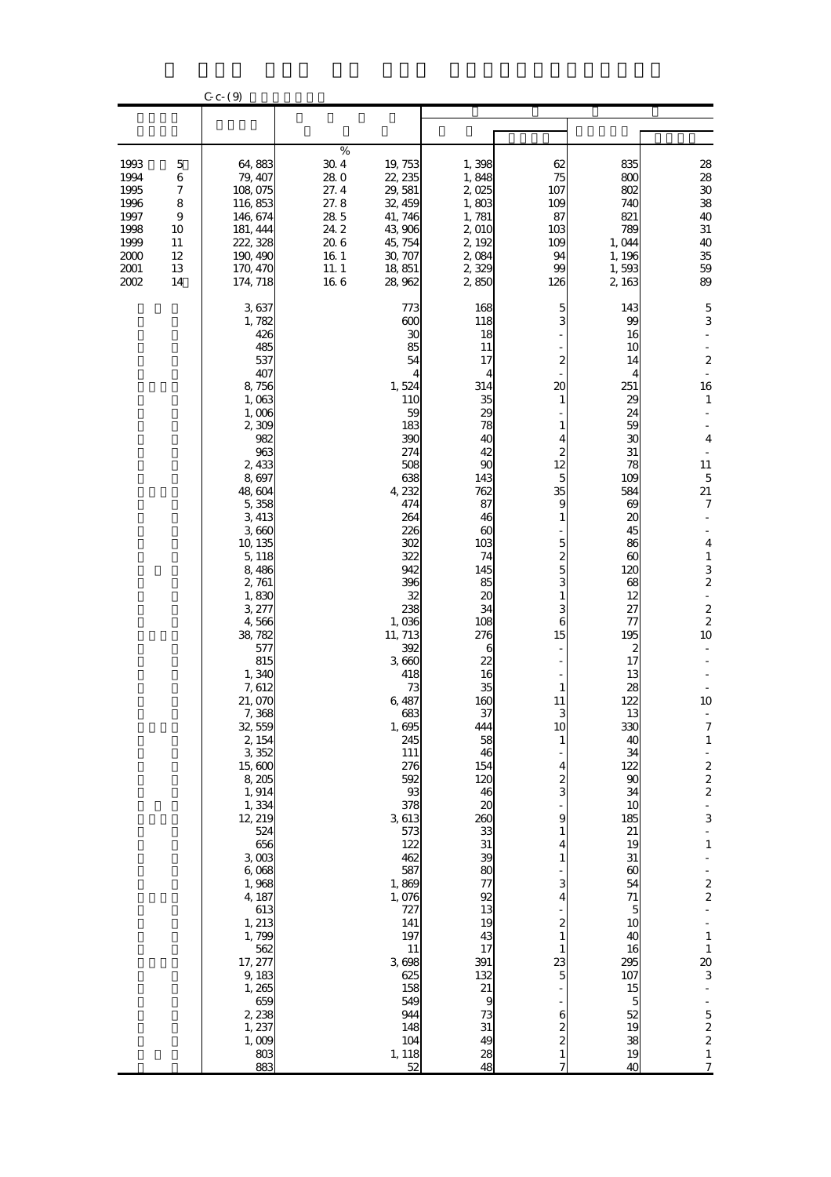|                                      |                            | $C_{c}$ $C_{c}$ $(9)$                                    |                                            |                                                     |                                            |                                            |                                                   |                                                                   |
|--------------------------------------|----------------------------|----------------------------------------------------------|--------------------------------------------|-----------------------------------------------------|--------------------------------------------|--------------------------------------------|---------------------------------------------------|-------------------------------------------------------------------|
|                                      |                            |                                                          |                                            |                                                     |                                            |                                            |                                                   |                                                                   |
|                                      |                            |                                                          |                                            |                                                     |                                            |                                            |                                                   |                                                                   |
| 1993<br>1994<br>1995<br>1996<br>1997 | 5<br>6<br>7<br>8<br>9      | 64,883<br>79, 407<br>108,075<br>116,853<br>146, 674      | $\%$<br>304<br>280<br>27.4<br>27.8<br>28.5 | 19, 753<br>22, 235<br>29, 581<br>32, 459<br>41, 746 | 1,398<br>1,848<br>2,025<br>1,803<br>1,781  | 62<br>75<br>107<br>109<br>87               | 835<br>800<br>802<br>740<br>821                   | 28<br>28<br>$30\,$<br>38<br>40                                    |
| 1998<br>1999<br>2000<br>2001<br>2002 | 10<br>11<br>12<br>13<br>14 | 181, 444<br>222, 328<br>190, 490<br>170, 470<br>174, 718 | 24.2<br>20.6<br>16 1<br>11.1<br>166        | 43,906<br>45, 754<br>30, 707<br>18,851<br>28,962    | 2,010<br>2, 192<br>2,084<br>2,329<br>2,850 | 103<br>109<br>94<br>99<br>126              | 789<br>1,044<br>1,196<br>1,593<br>2,163           | $31\,$<br>40<br>$35\,$<br>59<br>89                                |
|                                      |                            | 3637<br>1,782<br>426<br>485                              |                                            | 773<br>600<br>30<br>85                              | 168<br>118<br>18<br>11                     | 5<br>3                                     | 143<br>99<br>16<br>10                             | $\mathbf 5$<br>3                                                  |
|                                      |                            | 537<br>407<br>8,756<br>1,063<br>1,006                    |                                            | 54<br>4<br>1,524<br>110<br>59                       | 17<br>4<br>314<br>35<br>29                 | 2<br>20<br>1                               | 14<br>4<br>251<br>29<br>24                        | $\boldsymbol{2}$<br>16<br>1                                       |
|                                      |                            | 2,309<br>982<br>963<br>2,433                             |                                            | 183<br>390<br>274<br>508                            | 78<br>40<br>42<br>90                       | 1<br>4<br>2<br>12                          | 59<br>30<br>31<br>78                              | $\overline{4}$<br>11                                              |
|                                      |                            | 8,697<br>48,604<br>5,358<br>3,413<br>3,660               |                                            | 638<br>4,232<br>474<br>264<br>226                   | 143<br>762<br>87<br>46<br>60               | 5<br>35<br>9<br>1                          | 109<br>584<br>$\boldsymbol{\omega}$<br>20<br>45   | $\mathbf 5$<br>21<br>$\boldsymbol{7}$                             |
|                                      |                            | 10, 135<br>5, 118<br>8,486<br>2,761                      |                                            | 302<br>322<br>942<br>396                            | 103<br>74<br>145<br>85                     | 5<br>2<br>5<br>3                           | 86<br>$\boldsymbol{\omega}$<br>120<br>68          | $\overline{\mathbf{4}}$<br>$\mathbf{1}$<br>3<br>$\boldsymbol{2}$  |
|                                      |                            | 1,830<br>3,277<br>4,566<br>38,782<br>577                 |                                            | 32<br>238<br>1,036<br>11, 713<br>392                | 20<br>34<br>108<br>276<br>6                | 1<br>6<br>15                               | 12<br>27<br>77<br>195<br>2                        | $\blacksquare$<br>$\overline{\mathbf{c}}$<br>$\overline{c}$<br>10 |
|                                      |                            | 815<br>1,340<br>7, 612<br>21,070                         |                                            | 3,660<br>418<br>73<br>6,487                         | 22<br>16<br>35<br>160                      | 1<br>11                                    | 17<br>13<br>28<br>122                             | 10                                                                |
|                                      |                            | 7,368<br>32,559<br>2, 154<br>3,352<br>15,600             |                                            | 683<br>1,695<br>245<br>111<br>276                   | 37<br>444<br>58<br>46<br>154               | R<br>10<br>$\mathbf{1}$<br>4               | 13<br>330<br>40<br>34<br>122                      | 7<br>$\mathbf{1}$                                                 |
|                                      |                            | 8,205<br>1, 914<br>1,334<br>12, 219                      |                                            | 592<br>$93\,$<br>378<br>3613                        | 120<br>46<br>20<br>260                     | 2<br>3<br>9                                | 90<br>34<br>10<br>185                             | $\frac{2}{2}$ $\frac{2}{2}$<br>$\frac{1}{3}$                      |
|                                      |                            | 524<br>656<br>$3 \text{ } 003$<br>6,068<br>1,968         |                                            | 573<br>122<br>462<br>587<br>1,869                   | 33<br>31<br>39<br>80<br>$\tau$             | 1<br>4<br>1<br>з                           | 21<br>19<br>$31\,$<br>$\boldsymbol{\omega}$<br>54 | ÷<br>$\mathbf{1}$                                                 |
|                                      |                            | 4, 187<br>613<br>1, 213<br>1,799                         |                                            | 1,076<br>727<br>141<br>197                          | 92<br>13<br>19<br>43                       | 4<br>$\boldsymbol{z}$<br>$\mathbf{1}$      | 71<br>$\mathbf{5}$<br>10<br>40                    | $\frac{1}{2}$<br>$\mathbf{1}$                                     |
|                                      |                            | 562<br>17, 277<br>9, 183<br>1,265                        |                                            | 11<br>3698<br>625<br>158                            | 17<br>391<br>132<br>21                     | 1<br>23<br>5                               | 16<br>295<br>107<br>15                            | $\mathbf{1}$<br>20<br>3                                           |
|                                      |                            | 659<br>2,238<br>1, 237<br>1,009<br>803                   |                                            | 549<br>944<br>148<br>104<br>1, 118                  | 9<br>73<br>31<br>49                        | 6<br>2<br>$\boldsymbol{z}$<br>$\mathbf{1}$ | $\overline{5}$<br>52<br>19<br>38<br>19            | $\frac{5}{2}$                                                     |
|                                      |                            | 883                                                      |                                            | 52                                                  | 28<br>48                                   | 7                                          | 40                                                | $\frac{1}{7}$                                                     |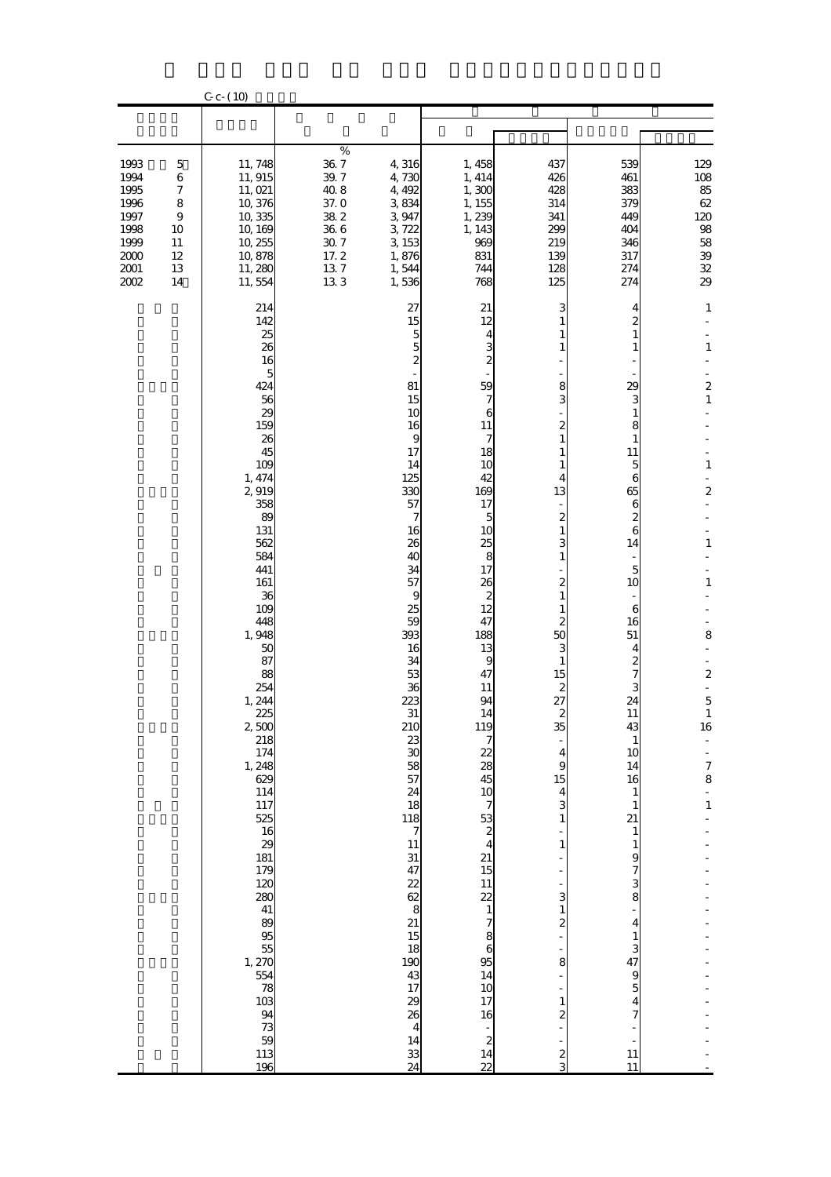|                                                                                  |                                                                                        | $C_{c}$ (10)                                                                                                                                                                                                                                                                                                                                                                                                                                       |                                                                                                       |                                                                                                                                                                                                                                                                                                                                                                                                                                                                                                 |                                                                                                                                                                                                                                                                                                                                                                                                                                          |                                                                                                                                                                                                                                                                                                                                                                                                       |                                                                                                                                                                                                                                                                                                                                                                                           |                                                                                                                                                                                                                                                          |
|----------------------------------------------------------------------------------|----------------------------------------------------------------------------------------|----------------------------------------------------------------------------------------------------------------------------------------------------------------------------------------------------------------------------------------------------------------------------------------------------------------------------------------------------------------------------------------------------------------------------------------------------|-------------------------------------------------------------------------------------------------------|-------------------------------------------------------------------------------------------------------------------------------------------------------------------------------------------------------------------------------------------------------------------------------------------------------------------------------------------------------------------------------------------------------------------------------------------------------------------------------------------------|------------------------------------------------------------------------------------------------------------------------------------------------------------------------------------------------------------------------------------------------------------------------------------------------------------------------------------------------------------------------------------------------------------------------------------------|-------------------------------------------------------------------------------------------------------------------------------------------------------------------------------------------------------------------------------------------------------------------------------------------------------------------------------------------------------------------------------------------------------|-------------------------------------------------------------------------------------------------------------------------------------------------------------------------------------------------------------------------------------------------------------------------------------------------------------------------------------------------------------------------------------------|----------------------------------------------------------------------------------------------------------------------------------------------------------------------------------------------------------------------------------------------------------|
|                                                                                  |                                                                                        |                                                                                                                                                                                                                                                                                                                                                                                                                                                    |                                                                                                       |                                                                                                                                                                                                                                                                                                                                                                                                                                                                                                 |                                                                                                                                                                                                                                                                                                                                                                                                                                          |                                                                                                                                                                                                                                                                                                                                                                                                       |                                                                                                                                                                                                                                                                                                                                                                                           |                                                                                                                                                                                                                                                          |
| 1993<br>1994<br>1995<br>1996<br>1997<br>1998<br>1999<br>2000<br>$2001\,$<br>2002 | $\mathbf 5$<br>$\,$ 6 $\,$<br>$\boldsymbol{7}$<br>8<br>9<br>10<br>11<br>12<br>13<br>14 | 11, 748<br>11, 915<br>11, 021<br>10,376<br>10,335<br>10, 169<br>10, 255<br>10,878<br>11, 280<br>11,554                                                                                                                                                                                                                                                                                                                                             | $\%$<br>$36\ 7$<br>$39.7\,$<br>$40.8$<br>37.0<br>$38\ 2$<br>36 6<br>$30\ 7$<br>17.2<br>$13\ 7$<br>133 | 4,316<br>4,730<br>4, 492<br>3834<br>3,947<br>3,722<br>3 153<br>1,876<br>1,544<br>1,536                                                                                                                                                                                                                                                                                                                                                                                                          | 1,458<br>1, 414<br>1,300<br>1, 155<br>1,239<br>1, 143<br>969<br>831<br>744<br>768                                                                                                                                                                                                                                                                                                                                                        | 437<br>426<br>428<br>314<br>341<br>299<br>219<br>139<br>128<br>125                                                                                                                                                                                                                                                                                                                                    | 539<br>461<br>383<br>379<br>449<br>404<br>346<br>317<br>274<br>274                                                                                                                                                                                                                                                                                                                        | 129<br>108<br>85<br>$62\,$<br>120<br>$9\!8$<br>58<br>$3\hskip-2pt 9$<br>${\bf 32}$<br>29                                                                                                                                                                 |
|                                                                                  |                                                                                        | 214<br>142<br>25<br>26<br>16<br>5<br>424<br>56<br>29<br>159<br>26<br>45<br>109<br>1, 474<br>2,919<br>358<br>89<br>131<br>562<br>584<br>441<br>161<br>36<br>109<br>448<br>1,948<br>50<br>87<br>88<br>254<br>1, 244<br>$\begin{array}{c} 225 \\ 2,500 \end{array}$<br>218<br>174<br>1, 248<br>629<br>114<br>117<br>525<br>16<br>29<br>181<br>179<br>120<br>280<br>41<br>89<br>95<br>55<br>1, 270<br>554<br>78<br>103<br>94<br>73<br>59<br>113<br>196 |                                                                                                       | 27<br>15<br>5<br>5<br>$\overline{\mathcal{Z}}$<br>81<br>15<br>10<br>16<br>$\boldsymbol{9}$<br>17<br>14<br>125<br>330<br>57<br>7<br>16<br>26<br>40<br>34<br>57<br>$\boldsymbol{9}$<br>25<br>59<br>393<br>16<br>34<br>53<br>36<br>223<br>31<br>210<br>$\frac{23}{30}$<br>58<br>57<br>24<br>$\begin{array}{c}\n 18 \\  118 \\  7\n \end{array}$<br>11<br>$31\,$<br>47<br>22<br>62<br>$rac{8}{21}$<br>15<br>18<br>190<br>43<br>17<br>29<br>26<br>$\begin{array}{c} 4 \\ 14 \end{array}$<br>33<br>24 | 21<br>12<br>$\frac{4}{3}$<br>59<br>7<br>6<br>11<br>7<br>18<br>10<br>42<br>169<br>17<br>$\overline{5}$<br>10<br>25<br>8<br>17<br>26<br>$\boldsymbol{z}$<br>12<br>47<br>188<br>13<br>9<br>47<br>11<br>94<br>$\begin{array}{c}\n14 \\ 119 \\ 7\n\end{array}$<br>$\frac{22}{28}$<br>45<br>$\frac{10}{7}$ 53<br>$\frac{2}{4}$ 21<br>15<br>$1122$<br>$786$<br>$86$<br>14<br>10<br>17<br>16<br>$\overline{\mathbf{c}}$<br>14<br>$\overline{22}$ | з<br>1<br>1<br>8<br>3<br>$\overline{c}$<br>1<br>1<br>1<br>4<br>13<br>$\boldsymbol{z}$<br>1<br>3<br>1<br>2<br>1<br>$\boldsymbol{z}$<br>50<br>3<br>1<br>15<br>$\boldsymbol{z}$<br>27<br>$rac{2}{35}$<br>4<br>9<br>15<br>$\overline{\mathbf{4}}$<br>3<br>$\mathbf{1}$<br>$\mathbf{1}$<br>3<br>$\mathbf{1}$<br>$\overline{\mathcal{Z}}$<br>8<br>$\mathbf{1}$<br>$\overline{\mathcal{Z}}$<br>$\frac{2}{3}$ | 4<br>2<br>1<br>1<br>29<br>3<br>1<br>8<br>1<br>11<br>5<br>$\boldsymbol{6}$<br>65<br>6<br>2<br>$\mathbf{6}$<br>14<br>$\overline{5}$<br>10<br>6<br>16<br>51<br>4<br>2<br>7<br>3<br>24<br>11<br>43<br>$\mathbf{1}$<br>10<br>14<br>16<br>1<br>21<br>$\mathbf{1}$<br>1<br>9<br>$\frac{7}{3}$<br>8<br>$\overline{4}$<br>1<br>3<br>47<br>$\boldsymbol{9}$<br>$\overline{5}$<br>4<br>7<br>11<br>11 | $\mathbf{1}$<br>$\mathbf{1}$<br>$\overline{\mathbf{c}}$<br>$\mathbf 1$<br>$\mathbf{1}$<br>$\overline{\mathbf{c}}$<br>$\mathbf 1$<br>$\mathbf{1}$<br>8<br>$\boldsymbol{2}$<br>$\overline{5}$<br>$\mathbf{1}$<br>16<br>$\frac{1}{7}$<br>8<br>$\frac{1}{1}$ |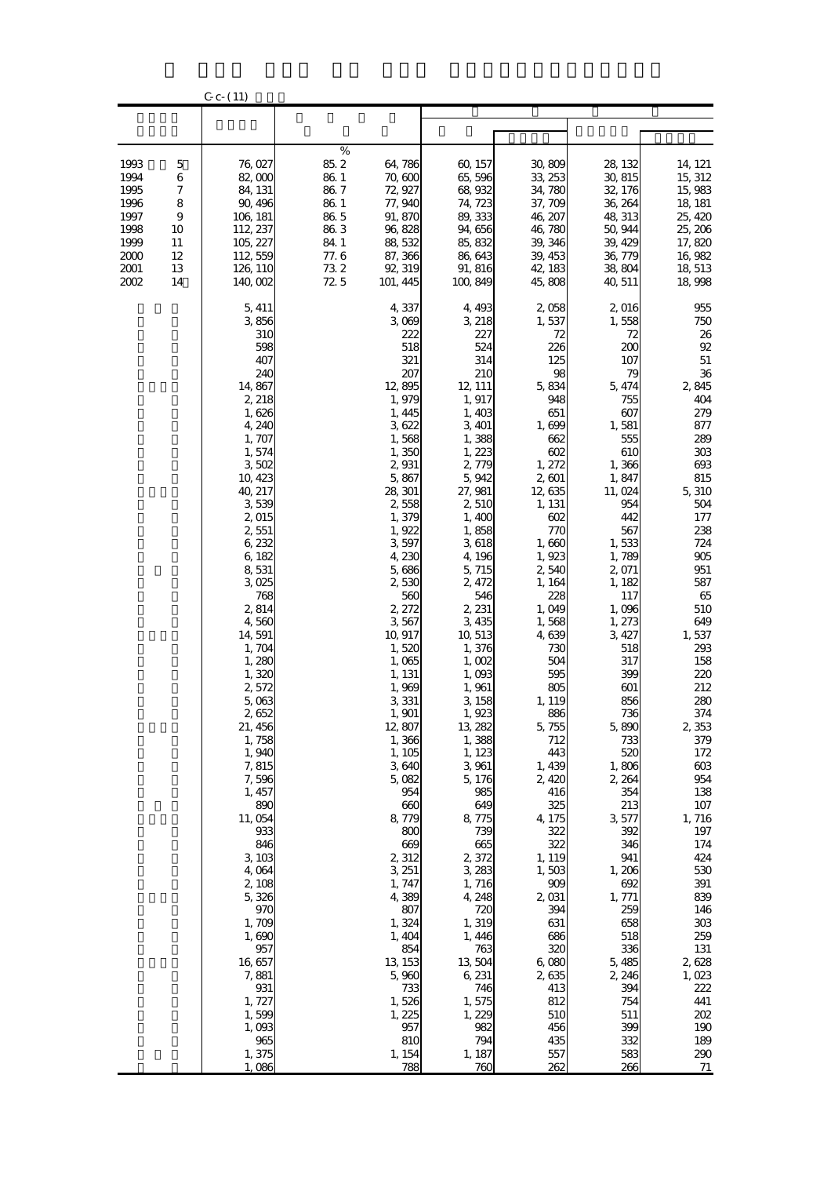|                |          | $C_{c}$ (11)         |              |                    |                    |                    |                    |                    |
|----------------|----------|----------------------|--------------|--------------------|--------------------|--------------------|--------------------|--------------------|
|                |          |                      |              |                    |                    |                    |                    |                    |
|                |          |                      |              |                    |                    |                    |                    |                    |
| 1993           | 5        | 76,027               | $\%$<br>85.2 | 64,786             | 60, 157            | 30,809             | 28, 132            | 14, 121            |
| 1994           | 6        | 82,000               | 86 1         | 70,600             | 65,596             | 33, 253            | 30, 815            | 15, 312            |
| 1995           | 7        | 84, 131              | 86.7         | 72, 927            | 68,932             | 34,780             | 32, 176            | 15,983             |
| 1996<br>1997   | 8<br>9   | 90, 496<br>106, 181  | 86.1<br>86.5 | 77, 940<br>91, 870 | 74, 723<br>89, 333 | 37, 709<br>46, 207 | 36, 264<br>48, 313 | 18, 181<br>25, 420 |
| 1998           | 10       | 112, 237             | 86.3         | 96,828             | 94,656             | 46,780             | 50, 944            | 25, 206            |
| 1999           | 11       | 105, 227             | 84.1         | 88,532             | 85, 832            | 39, 346            | 39, 429            | 17,820             |
| $2000$<br>2001 | 12<br>13 | 112, 559<br>126, 110 | 77.6<br>732  | 87, 366<br>92, 319 | 86,643<br>91, 816  | 39, 453<br>42, 183 | 36, 779<br>38,804  | 16,982<br>18, 513  |
| 2002           | 14       | 140,002              | 72.5         | 101, 445           | 100,849            | 45,808             | 40, 511            | 18,998             |
|                |          | 5, 411               |              | 4,337              | 4, 493             | 2,058              | 2,016              | 955                |
|                |          | 3856<br>310          |              | 3,069<br>222       | 3, 218<br>227      | 1,537<br>72        | 1,558<br>72        | 750<br>26          |
|                |          | 598                  |              | 518                | 524                | 226                | 200                | 92                 |
|                |          | 407                  |              | 321                | 314                | 125                | 107                | $51\,$             |
|                |          | 240<br>14,867        |              | 207<br>12,895      | 210<br>12, 111     | 98<br>5,834        | 79<br>5, 474       | 36<br>2,845        |
|                |          | 2, 218               |              | 1,979              | 1, 917             | 948                | 755                | 404                |
|                |          | 1,626                |              | 1, 445             | 1,403              | 651                | 607                | 279                |
|                |          | 4,240<br>1, 707      |              | 3622<br>1,568      | 3, 401<br>1,388    | 1,699<br>662       | 1,581<br>555       | 877<br>289         |
|                |          | 1,574                |              | 1,350              | 1, 223             | 602                | 610                | 303                |
|                |          | 3502                 |              | 2,931              | 2,779              | 1, 272             | 1,366              | $693$              |
|                |          | 10,423<br>40, 217    |              | 5,867<br>28, 301   | 5,942<br>27, 981   | 2,601              | 1,847              | 815<br>5,310       |
|                |          | 3539                 |              | 2,558              | 2,510              | 12,635<br>1, 131   | 11,024<br>954      | 504                |
|                |          | 2,015                |              | 1,379              | 1,400              | 602                | 442                | 177                |
|                |          | 2,551                |              | 1,922              | 1,858              | 770                | 567                | 238                |
|                |          | 6,232<br>6,182       |              | 3,597<br>4,230     | 3,618<br>4,196     | 1,660<br>1,923     | 1,533<br>1,789     | 724<br>905         |
|                |          | 8,531                |              | 5,686              | 5,715              | 2,540              | 2,071              | 951                |
|                |          | 3025                 |              | 2,530              | 2, 472             | 1, 164             | 1, 182             | 587                |
|                |          | 768<br>2,814         |              | 560<br>2, 272      | 546<br>2, 231      | 228<br>1,049       | 117<br>1,096       | 65<br>510          |
|                |          | 4,560                |              | 3,567              | 3,435              | 1,568              | 1, 273             | 649                |
|                |          | 14,591               |              | 10, 917            | 10, 513            | 4639               | 3 427              | 1,537              |
|                |          | 1,704<br>1,280       |              | 1,520<br>1,065     | 1,376<br>1,002     | 730<br>504         | 518<br>317         | 293<br>158         |
|                |          | 1,320                |              | 1, 131             | 1,093              | 595                | 399                | 220                |
|                |          | 2,572                |              | 1,969              | 1,961              | 805                | 601                | 212                |
|                |          | 5,063<br>2,652       |              | 3,331              | 3, 158             | 1, 119<br>886      | 856<br>736         | 280<br>374         |
|                |          | 21, 456              |              | 1,901<br>12,807    | 1,923<br>13, 282   | 5,755              | 5,890              | 2,353              |
|                |          | 1,758                |              | 1,366              | 1,388              | 712                | 733                | 379                |
|                |          | 1,940<br>7,815       |              | 1, 105             | 1, 123<br>3,961    | 443<br>1,439       | 520<br>1,806       | 172<br>603         |
|                |          | 7,596                |              | 3640<br>5,082      | 5,176              | 2,420              | 2, 264             | 954                |
|                |          | 1, 457               |              | 954                | 985                | 416                | 354                | 138                |
|                |          | 890                  |              | 660                | 649                | 325                | 213<br>3577        | $107$<br>1,716     |
|                |          | 11,054<br>933        |              | 8,779<br>800       | 8,775<br>739       | 4, 175<br>322      | 392                | 197                |
|                |          | 846                  |              | 669                | 665                | 322                | 346                | 174                |
|                |          | 3,103                |              | 2,312              | 2,372              | 1, 119             | 941                | 424                |
|                |          | 4,064<br>2, 108      |              | 3, 251<br>1,747    | 3, 283<br>1, 716   | 1,503<br>909       | 1,206<br>692       | 530<br>391         |
|                |          | 5,326                |              | 4,389              | 4,248              | 2,031              | 1, 771             | 839                |
|                |          | 970                  |              | 807                | 720                | 394                | 259                | 146                |
|                |          | 1,709<br>1,690       |              | 1,324<br>1,404     | 1,319<br>1,446     | 631<br>686         | 658<br>518         | 303<br>259         |
|                |          | 957                  |              | 854                | 763                | 320                | 336                | 131                |
|                |          | 16,657               |              | 13, 153            | 13,504             | 6,080              | 5,485              | 2,628              |
|                |          | 7,881<br>931         |              | 5,960<br>733       | 6, 231<br>746      | 2,635<br>413       | 2, 246<br>394      | 1,023<br>222       |
|                |          | 1, 727               |              | 1,526              | 1,575              | 812                | 754                | 441                |
|                |          | 1,599                |              | 1,225              | 1,229              | 510                | 511                | 202                |
|                |          | 1,093<br>965         |              | 957<br>810         | 982<br>794         | 456<br>435         | 399<br>332         | 190<br>189         |
|                |          | 1,375                |              | 1, 154             | 1, 187             | 557                | 583                | 290                |
|                |          | 1,086                |              | 788                | 760                | 262                | 266                | 71                 |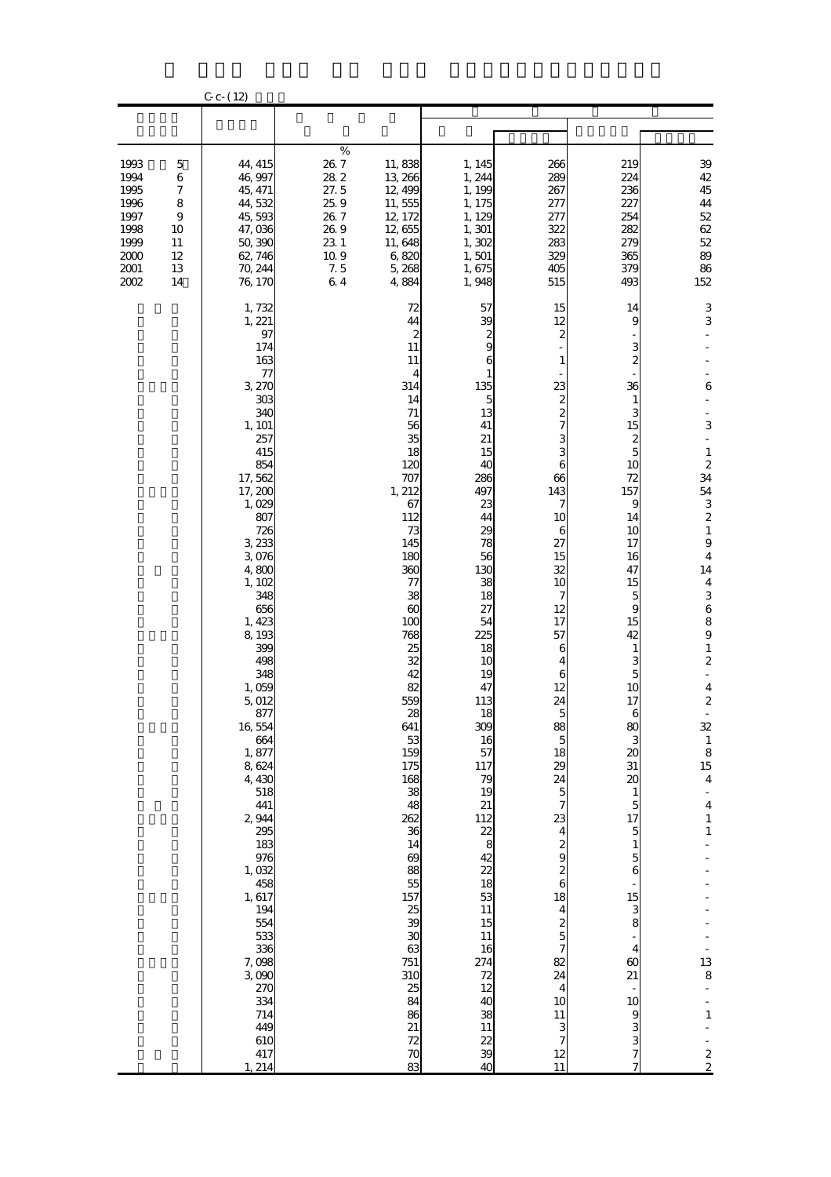|                                                                              |                                                                              | $C_{c}$ - (12)                                                                                                                                                                                                                                                                                                                                                                                                                                                                     |                                                                                                 |                                                                                                                                                                                                                                                                                                                                                                                                                                                                        |                                                                                                                                                                                                                                                                                                                                                                                                 |                                                                                                                                                                                                                                                                                                                                                                                                                                                                                               |                                                                                                                                                                                                                                                                                                                                                                                        |                                                                                                                                                                                                                                                                                                                                                                                                                                                                                   |
|------------------------------------------------------------------------------|------------------------------------------------------------------------------|------------------------------------------------------------------------------------------------------------------------------------------------------------------------------------------------------------------------------------------------------------------------------------------------------------------------------------------------------------------------------------------------------------------------------------------------------------------------------------|-------------------------------------------------------------------------------------------------|------------------------------------------------------------------------------------------------------------------------------------------------------------------------------------------------------------------------------------------------------------------------------------------------------------------------------------------------------------------------------------------------------------------------------------------------------------------------|-------------------------------------------------------------------------------------------------------------------------------------------------------------------------------------------------------------------------------------------------------------------------------------------------------------------------------------------------------------------------------------------------|-----------------------------------------------------------------------------------------------------------------------------------------------------------------------------------------------------------------------------------------------------------------------------------------------------------------------------------------------------------------------------------------------------------------------------------------------------------------------------------------------|----------------------------------------------------------------------------------------------------------------------------------------------------------------------------------------------------------------------------------------------------------------------------------------------------------------------------------------------------------------------------------------|-----------------------------------------------------------------------------------------------------------------------------------------------------------------------------------------------------------------------------------------------------------------------------------------------------------------------------------------------------------------------------------------------------------------------------------------------------------------------------------|
|                                                                              |                                                                              |                                                                                                                                                                                                                                                                                                                                                                                                                                                                                    |                                                                                                 |                                                                                                                                                                                                                                                                                                                                                                                                                                                                        |                                                                                                                                                                                                                                                                                                                                                                                                 |                                                                                                                                                                                                                                                                                                                                                                                                                                                                                               |                                                                                                                                                                                                                                                                                                                                                                                        |                                                                                                                                                                                                                                                                                                                                                                                                                                                                                   |
| 1993<br>1994<br>1995<br>1996<br>1997<br>1998<br>1999<br>2000<br>2001<br>2002 | 5<br>$\,$ 6 $\,$<br>$\boldsymbol{7}$<br>8<br>9<br>10<br>11<br>12<br>13<br>14 | 44, 415<br>46,997<br>45, 471<br>44,532<br>45,593<br>47,036<br>50,390<br>62, 746<br>70, 244<br>76, 170                                                                                                                                                                                                                                                                                                                                                                              | $\%$<br>$26\ 7$<br>282<br>27.5<br>25.9<br>26.7<br>26.9<br>23 1<br>$10.9\,$<br>$7.5\,$<br>$6\;4$ | 11,838<br>13, 266<br>12, 499<br>11,555<br>12, 172<br>12,655<br>11,648<br>6,820<br>5,268<br>4,884                                                                                                                                                                                                                                                                                                                                                                       | 1, 145<br>1, 244<br>1, 199<br>1, 175<br>1, 129<br>1, 301<br>1,302<br>1,501<br>1,675<br>1,948                                                                                                                                                                                                                                                                                                    | 266<br>289<br>267<br>277<br>277<br>322<br>283<br>329<br>405<br>515                                                                                                                                                                                                                                                                                                                                                                                                                            | 219<br>224<br>236<br>227<br>254<br>282<br>279<br>365<br>379<br>493                                                                                                                                                                                                                                                                                                                     | 39<br>$42\,$<br>45<br>44<br>$52\,$<br>62<br>$52\,$<br>89<br>86<br>152                                                                                                                                                                                                                                                                                                                                                                                                             |
|                                                                              |                                                                              | 1,732<br>1, 221<br>97<br>174<br>163<br>77<br>3,270<br>303<br>340<br>1, 101<br>257<br>415<br>854<br>17,562<br>17, 200<br>1,029<br>807<br>726<br>3,233<br>3,076<br>4,800<br>1, 102<br>348<br>656<br>1, 423<br>8,193<br>399<br>498<br>348<br>1,059<br>5,012<br>877<br>16,554<br>664<br>1,877<br>8,624<br>4,430<br>518<br>441<br>2,944<br>295<br>183<br>976<br>1,032<br>458<br>1,617<br>194<br>554<br>533<br>336<br>7,098<br>3,090<br>270<br>334<br>714<br>449<br>610<br>417<br>1, 214 |                                                                                                 | 72<br>44<br>$\boldsymbol{z}$<br>11<br>11<br>4<br>314<br>14<br>$71\,$<br>56<br>35<br>18<br>120<br>707<br>1, 212<br>67<br>112<br>73<br>145<br>180<br>360<br>77<br>38<br>$\infty$<br>100<br>768<br>25<br>32<br>42<br>82<br>559<br>$\boldsymbol{\mathcal{Z}}$<br>641<br>53<br>159<br>175<br>168<br>38<br>48<br>262<br>36<br>14<br>$\boldsymbol{\omega}$<br>88<br>55<br>157<br>25<br>39<br>30<br>63<br>751<br>310<br>25<br>84<br>86<br>21<br>72<br>$\boldsymbol{\pi}$<br>83 | 57<br>39<br>$\frac{2}{9}$<br>6<br>$\mathbf{1}$<br>135<br>5<br>13<br>41<br>21<br>15<br>40<br>286<br>497<br>23<br>44<br>29<br>78<br>56<br>130<br>38<br>18<br>27<br>54<br>225<br>18<br>10<br>19<br>47<br>113<br>18<br>309<br>16<br>57<br>117<br>79<br>19<br>21<br>$rac{112}{8}$<br>42<br>$\frac{2}{2}$<br>18<br>53<br>11<br>15<br>11<br>16<br>274<br>72<br>12<br>40<br>38<br>11<br>$\frac{22}{39}$ | 15<br>12<br>2<br>1<br>23<br>2<br>$\overline{\mathcal{Z}}$<br>7<br>3<br>3<br>6<br>66<br>143<br>7<br>10<br>6<br>27<br>15<br>32<br>10<br>7<br>12<br>17<br>57<br>6<br>4<br>6<br>12<br>24<br>88<br>$\overline{5}$<br>18<br>29<br>24<br>$\mathbf{5}$<br>$\overline{7}$<br>23<br>$\overline{\mathbf{4}}$<br>2<br>9<br>$\frac{2}{6}$<br>18<br>$\overline{\mathbf{4}}$<br>$\frac{2}{5}$<br>$\overline{7}$<br>82<br>24<br>$\overline{\mathbf{4}}$<br>10<br><b>11</b><br>3<br>$\overline{7}$<br>12<br>11 | 14<br>9<br>3<br>$\boldsymbol{2}$<br>36<br>1<br>3<br>15<br>2<br>5<br>10<br>72<br>157<br>9<br>14<br>10<br>17<br>16<br>47<br>15<br>5<br>9<br>15<br>42<br>1<br>з<br>5<br>10<br>17<br>80<br>20<br>$31\,$<br>$\boldsymbol{\alpha}$<br>$\mathbf{1}$<br>5<br>17<br>$\overline{5}$<br>$\mathbf{1}$<br>5<br>6<br>15<br>3<br>8<br>4<br>$\boldsymbol{\omega}$<br>21<br>10<br>9<br>3<br>3<br>7<br>7 | $\,3$<br>3<br>6<br>3<br>$\blacksquare$<br>$\mathbf{1}$<br>$\boldsymbol{z}$<br>34<br>54<br>3<br>$\boldsymbol{z}$<br>$\mathbf{1}$<br>$\boldsymbol{9}$<br>$\boldsymbol{4}$<br>14<br>$\boldsymbol{4}$<br>3<br>$\,$ 6 $\,$<br>8<br>$\boldsymbol{9}$<br>$\mathbf{1}$<br>$\boldsymbol{2}$<br>$\boldsymbol{4}$<br>$\boldsymbol{2}$<br>32<br>$\mathbf{1}$<br>8<br>15<br>$\boldsymbol{4}$<br>$\frac{1}{4}$<br>$\mathbf{1}$<br>$\mathbf{1}$<br>13<br>8<br>-<br>$\mathbf{1}$<br>$\frac{2}{2}$ |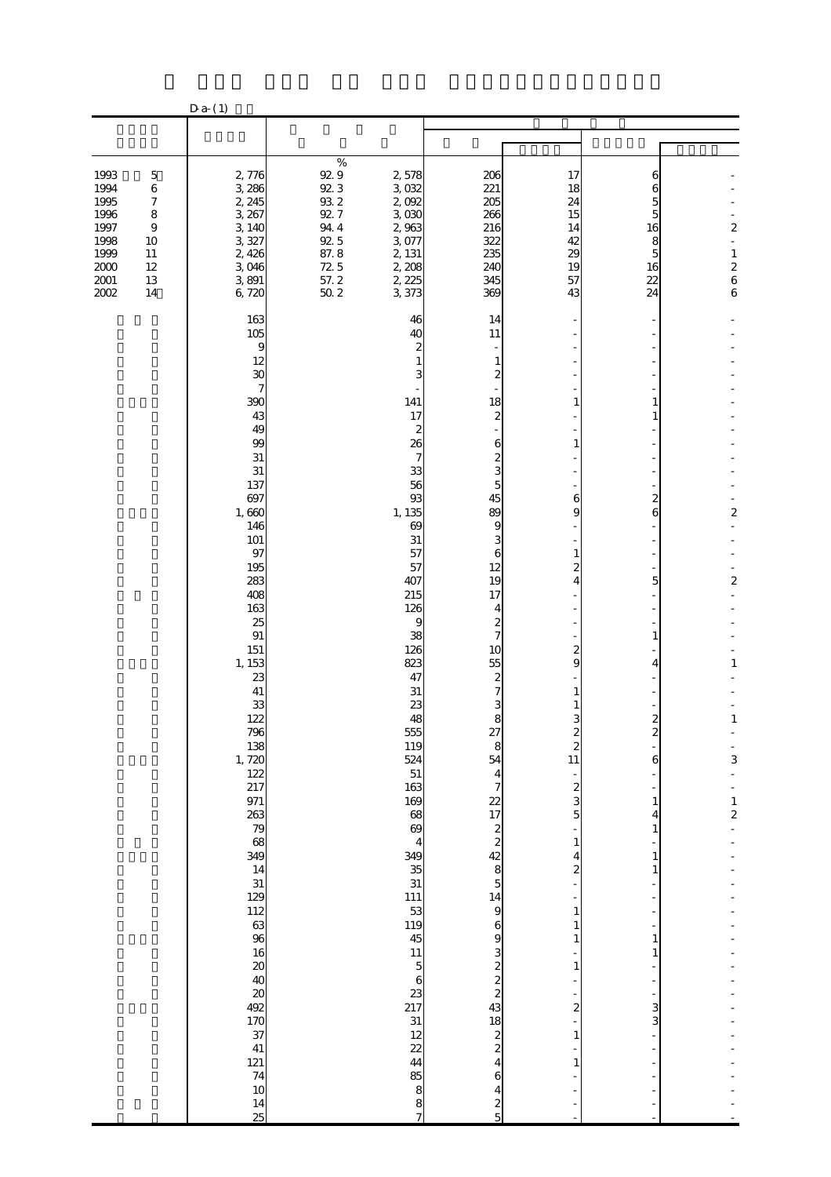|                                                                                      |                                                                                      | $D a-(1)$                                                                                                                                                                                                                                                                                                                                                                                                                       |                                                                                                                        |                                                                                                                                                                                                                                                                                                                                                                             |                                                                                                                                                                                                                                                                                                                                                                                                                                                           |                                                                                                                                        |                                                                         |                                                                                                    |
|--------------------------------------------------------------------------------------|--------------------------------------------------------------------------------------|---------------------------------------------------------------------------------------------------------------------------------------------------------------------------------------------------------------------------------------------------------------------------------------------------------------------------------------------------------------------------------------------------------------------------------|------------------------------------------------------------------------------------------------------------------------|-----------------------------------------------------------------------------------------------------------------------------------------------------------------------------------------------------------------------------------------------------------------------------------------------------------------------------------------------------------------------------|-----------------------------------------------------------------------------------------------------------------------------------------------------------------------------------------------------------------------------------------------------------------------------------------------------------------------------------------------------------------------------------------------------------------------------------------------------------|----------------------------------------------------------------------------------------------------------------------------------------|-------------------------------------------------------------------------|----------------------------------------------------------------------------------------------------|
|                                                                                      |                                                                                      |                                                                                                                                                                                                                                                                                                                                                                                                                                 |                                                                                                                        |                                                                                                                                                                                                                                                                                                                                                                             |                                                                                                                                                                                                                                                                                                                                                                                                                                                           |                                                                                                                                        |                                                                         |                                                                                                    |
| 1993<br>1994<br>1995<br>1996<br>1997<br>1998<br>1999<br>$2000\,$<br>2001<br>$2002\,$ | $\mathbf 5$<br>$\,6\,$<br>7<br>$\bf 8$<br>$\bf{9}$<br>10<br>11<br>12<br>$13\,$<br>14 | 2,776<br>3,286<br>2, 245<br>3, 267<br>3,140<br>3,327<br>2,426<br>3 046<br>3891<br>6,720                                                                                                                                                                                                                                                                                                                                         | $\%$<br>$92.9$<br>$92.3$<br>$9\!\mathrm{3}\,2$<br>$92.7\,$<br>944<br>$92\,5$<br>87.8<br>$\frac{72}{57}$ . 2<br>$50\ 2$ | 2,578<br>3,032<br>2,092<br>3,030<br>2,963<br>3,077<br>2, 131<br>2,208<br>2, 225<br>3,373                                                                                                                                                                                                                                                                                    | 206<br>221<br>205<br>266<br>216<br>322<br>235<br>240<br>345<br>369                                                                                                                                                                                                                                                                                                                                                                                        | 17<br>18<br>24<br>15<br>14<br>42<br>$\infty$<br>19<br>57<br>43                                                                         | 6<br>6<br>5<br>5<br>16<br>8<br>5<br>16<br>22<br>24                      | $\overline{\mathbf{c}}$<br>$\overline{a}$<br>$\mathbf{1}$<br>$\frac{2}{6}$<br>$\boldsymbol{6}$     |
|                                                                                      |                                                                                      | 163<br>105<br>9<br>12<br>30<br>7<br>390<br>43<br>49<br>99<br>31<br>31<br>137<br>697<br>1,660<br>146<br>101<br>97<br>195<br>283<br>408<br>163<br>25<br>91<br>151<br>1, 153<br>23<br>41<br>33<br>122<br>796<br>138<br>1,720<br>122<br>217<br>971<br>263<br>$\begin{array}{c} 79 \\ 68 \end{array}$<br>349<br>14<br>31<br>129<br>112<br>63<br>96<br>16<br>20<br>20<br>492<br>170<br>37<br>41<br>121<br>74<br>10<br>$\frac{14}{25}$ |                                                                                                                        | 46<br>40<br>141<br>17<br>2<br>26<br>7<br>33<br>56<br>93<br>1, 135<br>69<br>31<br>57<br>57<br>407<br>215<br>126<br>9<br>38<br>126<br>823<br>47<br>31<br>23<br>48<br>555<br>119<br>524<br>51<br>163<br>169<br>68<br>69<br>4<br>349<br>$\frac{35}{31}$<br><b>111</b><br>53<br>119<br>45<br>11<br>$\overline{5}$<br>6<br>23<br>217<br>31<br>12<br>22<br>44<br>85<br>8<br>8<br>7 | 14<br>11<br>$\mathbf{1}$<br>2<br>18<br>$\boldsymbol{2}$<br>6<br>$\boldsymbol{z}$<br>3<br>5<br>45<br>89<br>9<br>3<br>6<br>12<br>19<br>17<br>4<br>$\boldsymbol{z}$<br>7<br>10<br>55<br>$\boldsymbol{z}$<br>7<br>3<br>8<br>27<br>8<br>54<br>4<br>7<br>22<br>17<br>$\boldsymbol{z}$<br>$\overline{\mathbf{c}}$<br>42<br>8<br>5<br>14<br>9<br>6<br>9<br>3<br>$\begin{array}{c} 2 \\ 2 \\ 3 \end{array}$<br>18<br>$\frac{2}{2}$<br>4<br>6<br>4<br>$\frac{2}{5}$ | 6<br>9<br>3<br>$\boldsymbol{z}$<br>$\overline{\mathbf{c}}$<br>11<br>$\boldsymbol{z}$<br>3<br>5<br>1<br>4<br>2<br>1<br>1<br>1<br>2<br>1 | 1<br>2<br>6<br>5<br>1<br>2<br>2<br>6<br>1<br>4<br>1<br>1<br>1<br>3<br>3 | $\overline{\mathcal{Z}}$<br>$\boldsymbol{z}$<br>$\mathbf{1}$<br>$\mathbf{1}$<br>3<br>$\frac{1}{2}$ |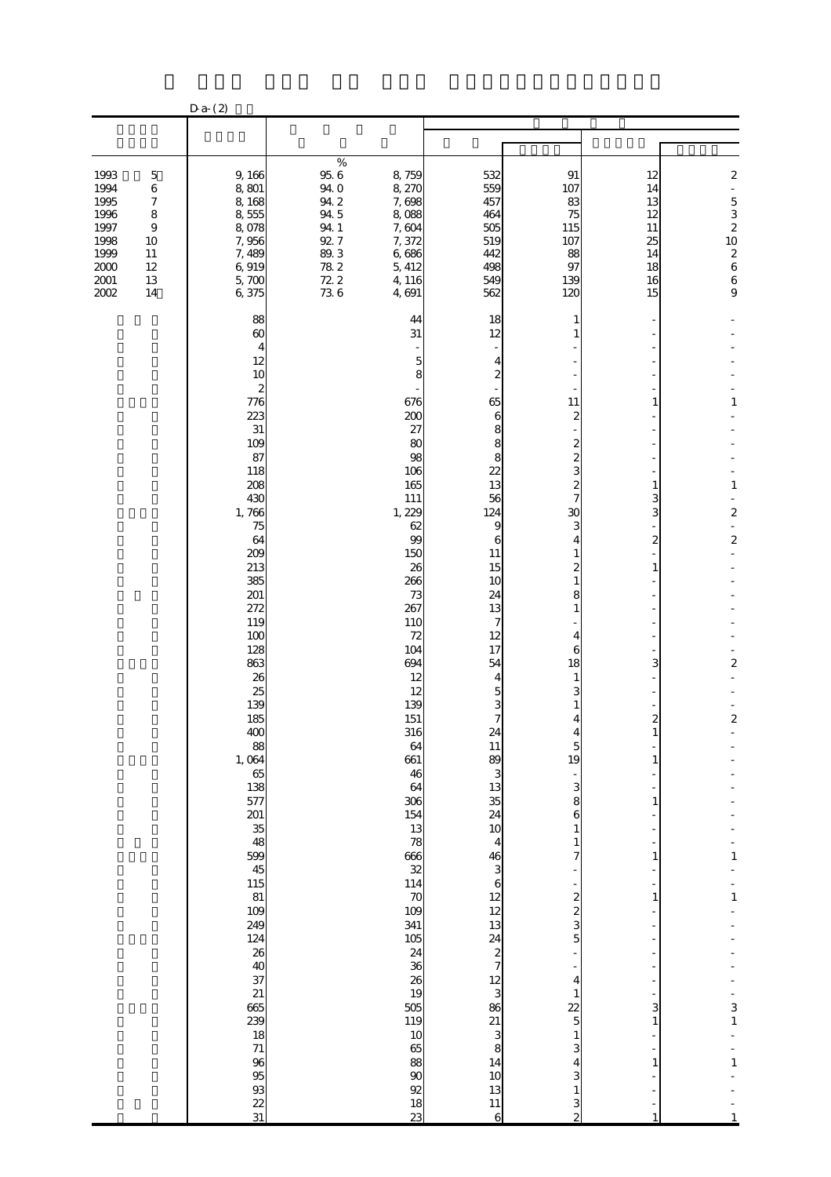| $\%$<br>$95\ 6$<br>1993<br>9,166<br>532<br>91<br>$\mathbf 5$<br>8,759<br>12<br>940<br>8,270<br>559<br>1994<br>$\,6$<br>8,801<br>107<br>14<br>1995<br>942<br>$\boldsymbol{7}$<br>7,698<br>457<br>83<br>8,168<br>13<br>1996<br>94 5<br>$\bf 8$<br>8,555<br>464<br>8,088<br>75<br>12<br>1997<br>8,078<br>94 1<br>7,604<br>505<br>9<br>115<br>11<br>92.7<br>1998<br>7,956<br>7,372<br>519<br>107<br>25<br>10<br>1999<br>7,489<br>$8\!0$ $3$<br>6,686<br>11<br>442<br>88<br>14<br>$2000\,$<br>$78\ 2$<br>12<br>6,919<br>5, 412<br>498<br>97<br>18<br>72.2<br>$2001\,$<br>13<br>5,700<br>4,116<br>549<br>139<br>16<br>736<br>6,375<br>$2002\,$<br>4,691<br>562<br>14<br>120<br>15<br>88<br>44<br>18<br>1<br>$\boldsymbol{\omega}$<br>31<br>12<br>4<br>12<br>5<br>4<br>10<br>$\overline{c}$<br>8<br>2<br>776<br>676<br>65<br>11<br>1 |  | $Da-(2)$ |     |   |   |                                                                                                                        |
|-------------------------------------------------------------------------------------------------------------------------------------------------------------------------------------------------------------------------------------------------------------------------------------------------------------------------------------------------------------------------------------------------------------------------------------------------------------------------------------------------------------------------------------------------------------------------------------------------------------------------------------------------------------------------------------------------------------------------------------------------------------------------------------------------------------------------------|--|----------|-----|---|---|------------------------------------------------------------------------------------------------------------------------|
|                                                                                                                                                                                                                                                                                                                                                                                                                                                                                                                                                                                                                                                                                                                                                                                                                               |  |          |     |   |   |                                                                                                                        |
|                                                                                                                                                                                                                                                                                                                                                                                                                                                                                                                                                                                                                                                                                                                                                                                                                               |  |          |     |   |   |                                                                                                                        |
|                                                                                                                                                                                                                                                                                                                                                                                                                                                                                                                                                                                                                                                                                                                                                                                                                               |  |          |     |   |   | $\overline{\mathcal{Z}}$<br>÷,<br>$\frac{5}{2}$ $\frac{3}{2}$ $\frac{2}{10}$ $\frac{2}{6}$ $\frac{6}{9}$ $\frac{6}{9}$ |
|                                                                                                                                                                                                                                                                                                                                                                                                                                                                                                                                                                                                                                                                                                                                                                                                                               |  |          |     |   |   |                                                                                                                        |
|                                                                                                                                                                                                                                                                                                                                                                                                                                                                                                                                                                                                                                                                                                                                                                                                                               |  |          |     |   |   |                                                                                                                        |
|                                                                                                                                                                                                                                                                                                                                                                                                                                                                                                                                                                                                                                                                                                                                                                                                                               |  |          |     |   |   |                                                                                                                        |
|                                                                                                                                                                                                                                                                                                                                                                                                                                                                                                                                                                                                                                                                                                                                                                                                                               |  |          |     |   |   |                                                                                                                        |
|                                                                                                                                                                                                                                                                                                                                                                                                                                                                                                                                                                                                                                                                                                                                                                                                                               |  |          |     |   |   | $\mathbf{1}$                                                                                                           |
|                                                                                                                                                                                                                                                                                                                                                                                                                                                                                                                                                                                                                                                                                                                                                                                                                               |  | 223      | 200 | 6 | 2 |                                                                                                                        |
| 31<br>27<br>8<br>109<br>80<br>8                                                                                                                                                                                                                                                                                                                                                                                                                                                                                                                                                                                                                                                                                                                                                                                               |  |          |     |   |   |                                                                                                                        |
| 87<br>98<br>8<br>118<br>106<br>22                                                                                                                                                                                                                                                                                                                                                                                                                                                                                                                                                                                                                                                                                                                                                                                             |  |          |     |   |   |                                                                                                                        |
| 208<br>165<br>13                                                                                                                                                                                                                                                                                                                                                                                                                                                                                                                                                                                                                                                                                                                                                                                                              |  |          |     |   |   | $\mathbf{1}$                                                                                                           |
| 430<br>111<br>56<br>3<br>1,766<br>1, 229<br>124<br>$\mathbf{C}$<br>3                                                                                                                                                                                                                                                                                                                                                                                                                                                                                                                                                                                                                                                                                                                                                          |  |          |     |   |   | $\overline{\mathcal{Z}}$                                                                                               |
| 62<br>9<br>75<br>99                                                                                                                                                                                                                                                                                                                                                                                                                                                                                                                                                                                                                                                                                                                                                                                                           |  |          |     |   |   |                                                                                                                        |
| 64<br>$\boldsymbol{2}$<br>6<br>209<br>150<br>11                                                                                                                                                                                                                                                                                                                                                                                                                                                                                                                                                                                                                                                                                                                                                                               |  |          |     |   |   | $\overline{\mathcal{L}}$                                                                                               |
| 213<br>26<br>15<br>1<br>385<br>266<br>10                                                                                                                                                                                                                                                                                                                                                                                                                                                                                                                                                                                                                                                                                                                                                                                      |  |          |     |   |   |                                                                                                                        |
| 201<br>24<br>73                                                                                                                                                                                                                                                                                                                                                                                                                                                                                                                                                                                                                                                                                                                                                                                                               |  |          |     |   |   |                                                                                                                        |
| 272<br>267<br>13<br>119<br>110<br>7                                                                                                                                                                                                                                                                                                                                                                                                                                                                                                                                                                                                                                                                                                                                                                                           |  |          |     |   |   |                                                                                                                        |
| 100<br>72<br>12<br>128                                                                                                                                                                                                                                                                                                                                                                                                                                                                                                                                                                                                                                                                                                                                                                                                        |  |          |     |   |   |                                                                                                                        |
| 104<br>17<br>6<br>863<br>694<br>54<br>3<br>18                                                                                                                                                                                                                                                                                                                                                                                                                                                                                                                                                                                                                                                                                                                                                                                 |  |          |     |   |   | $\overline{\mathcal{Z}}$                                                                                               |
| 26<br>12<br>4<br>25<br>12<br>5                                                                                                                                                                                                                                                                                                                                                                                                                                                                                                                                                                                                                                                                                                                                                                                                |  |          |     |   |   |                                                                                                                        |
| 139<br>139                                                                                                                                                                                                                                                                                                                                                                                                                                                                                                                                                                                                                                                                                                                                                                                                                    |  |          |     |   |   |                                                                                                                        |
| 185<br>151<br>7<br>2<br>316<br>400<br>24                                                                                                                                                                                                                                                                                                                                                                                                                                                                                                                                                                                                                                                                                                                                                                                      |  |          |     |   |   | $\overline{\mathbf{c}}$                                                                                                |
| 11<br>$88$<br>1, 064<br>64<br>5<br>89<br>661<br>19<br>1                                                                                                                                                                                                                                                                                                                                                                                                                                                                                                                                                                                                                                                                                                                                                                       |  |          |     |   |   |                                                                                                                        |
| $\frac{65}{138}$<br>46<br>3                                                                                                                                                                                                                                                                                                                                                                                                                                                                                                                                                                                                                                                                                                                                                                                                   |  |          |     |   |   |                                                                                                                        |
| 13<br>64<br>3<br>577<br>306<br>35<br>8                                                                                                                                                                                                                                                                                                                                                                                                                                                                                                                                                                                                                                                                                                                                                                                        |  |          |     |   |   |                                                                                                                        |
| 24<br>154<br>6                                                                                                                                                                                                                                                                                                                                                                                                                                                                                                                                                                                                                                                                                                                                                                                                                |  |          |     |   |   |                                                                                                                        |
| 201<br>35<br>48<br>$\frac{13}{78}$<br>$\frac{38}{32}$<br>10<br>4                                                                                                                                                                                                                                                                                                                                                                                                                                                                                                                                                                                                                                                                                                                                                              |  |          |     |   |   |                                                                                                                        |
| 599<br>$\frac{46}{3}$                                                                                                                                                                                                                                                                                                                                                                                                                                                                                                                                                                                                                                                                                                                                                                                                         |  |          |     |   |   | $\mathbf{1}$                                                                                                           |
| $45$<br>$115$<br>$81$<br>114<br>$\mathbf{6}$                                                                                                                                                                                                                                                                                                                                                                                                                                                                                                                                                                                                                                                                                                                                                                                  |  |          |     |   |   |                                                                                                                        |
| $\boldsymbol{\pi}$<br>$\begin{array}{c} 12 \\ 12 \\ 13 \end{array}$<br>2<br>109<br>109                                                                                                                                                                                                                                                                                                                                                                                                                                                                                                                                                                                                                                                                                                                                        |  |          |     |   |   | $\mathbf{1}$                                                                                                           |
| 249<br>341<br>3<br>124<br>105<br>5                                                                                                                                                                                                                                                                                                                                                                                                                                                                                                                                                                                                                                                                                                                                                                                            |  |          |     |   |   |                                                                                                                        |
| $rac{24}{2}$<br>24                                                                                                                                                                                                                                                                                                                                                                                                                                                                                                                                                                                                                                                                                                                                                                                                            |  |          |     |   |   |                                                                                                                        |
| $\frac{36}{26}$<br>4                                                                                                                                                                                                                                                                                                                                                                                                                                                                                                                                                                                                                                                                                                                                                                                                          |  |          |     |   |   |                                                                                                                        |
| 38<br>239<br>239<br>$\frac{12}{8}$ $\frac{38}{8}$ $\frac{3}{8}$<br>19                                                                                                                                                                                                                                                                                                                                                                                                                                                                                                                                                                                                                                                                                                                                                         |  |          |     |   |   |                                                                                                                        |
| 505<br>22<br>3<br>119<br>5                                                                                                                                                                                                                                                                                                                                                                                                                                                                                                                                                                                                                                                                                                                                                                                                    |  |          |     |   |   | 3<br>$\mathbf{1}$                                                                                                      |
| 10<br>65                                                                                                                                                                                                                                                                                                                                                                                                                                                                                                                                                                                                                                                                                                                                                                                                                      |  |          |     |   |   |                                                                                                                        |
| 88<br>14                                                                                                                                                                                                                                                                                                                                                                                                                                                                                                                                                                                                                                                                                                                                                                                                                      |  |          |     |   |   | $\mathbf{1}$                                                                                                           |
| 18<br>71<br>93<br>93<br>93<br>10<br>$\boldsymbol{\mathsf{S}}$<br>92<br>13                                                                                                                                                                                                                                                                                                                                                                                                                                                                                                                                                                                                                                                                                                                                                     |  |          |     |   |   |                                                                                                                        |
| $\frac{22}{31}$<br>$\frac{18}{23}$<br>11<br>6<br>2                                                                                                                                                                                                                                                                                                                                                                                                                                                                                                                                                                                                                                                                                                                                                                            |  |          |     |   |   |                                                                                                                        |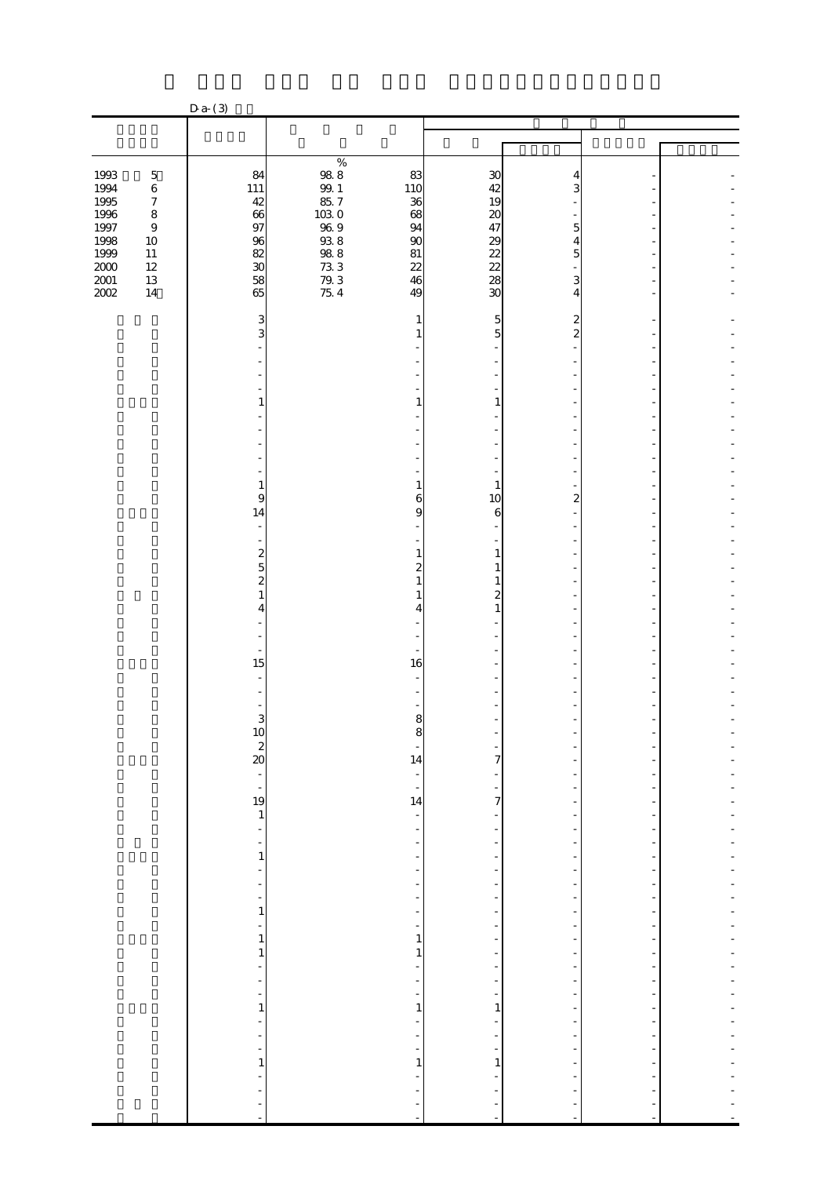|                                     |                                                 | $Da-(3)$                                                                        |                                                                           |                                                             |                     |                     |  |
|-------------------------------------|-------------------------------------------------|---------------------------------------------------------------------------------|---------------------------------------------------------------------------|-------------------------------------------------------------|---------------------|---------------------|--|
|                                     |                                                 |                                                                                 |                                                                           |                                                             |                     |                     |  |
|                                     |                                                 |                                                                                 |                                                                           |                                                             |                     |                     |  |
| 1993<br>1994<br>1995                | $\bf 5$<br>$\,6\,$<br>$\boldsymbol{7}$          | 84<br>111<br>42                                                                 | $\%$<br>$\frac{988}{991}$<br>$\frac{8}{57}$                               | 83<br>110<br>36                                             | 30<br>42<br>19      | 4<br>3              |  |
| 1996<br>1997<br>$\frac{1998}{1999}$ | $\bf 8$<br>$\boldsymbol{9}$<br>$10\,$<br>$11\,$ | 66<br>97<br>96                                                                  | $\begin{array}{l} 10309 \\ 10309 \\ 93888 \\ 7333 \\ 7934 \\ \end{array}$ | 68<br>94<br>90<br>81                                        | 20<br>47            | 5<br>4<br>5         |  |
| $\frac{2001}{2002}$                 | $12\,$<br>$13\,$<br>$14\,$                      | $\begin{array}{c} 82 \\ 30 \end{array}$<br>58<br>65                             |                                                                           | 22<br>46<br>49                                              | 2888<br>30          | 3<br>4              |  |
|                                     |                                                 | 3<br>3                                                                          |                                                                           | $\mathbf{1}$<br>1                                           | $\overline{5}$<br>5 | 2<br>$\overline{2}$ |  |
|                                     |                                                 |                                                                                 |                                                                           |                                                             |                     |                     |  |
|                                     |                                                 | $\mathbf{1}$                                                                    |                                                                           | 1                                                           | 1                   |                     |  |
|                                     |                                                 | $\mathbf{1}$                                                                    |                                                                           | $\mathbf{1}$                                                | $\mathbf{1}$        |                     |  |
|                                     |                                                 | $\boldsymbol{9}$<br>14<br>$\overline{\phantom{a}}$                              |                                                                           | 6<br>9                                                      | 10<br>6             | 2                   |  |
|                                     |                                                 | $\blacksquare$<br>$\overline{\mathbf{c}}$<br>$\overline{5}$<br>$\boldsymbol{z}$ |                                                                           | $\mathbf{1}$<br>$\overline{c}$<br>1                         | 1<br>1<br>1         |                     |  |
|                                     |                                                 | $\mathbf{1}$<br>4                                                               |                                                                           | 4                                                           | 2<br>$\mathbf{1}$   |                     |  |
|                                     |                                                 | 15                                                                              |                                                                           | 16                                                          |                     |                     |  |
|                                     |                                                 | 3                                                                               |                                                                           | 8                                                           |                     |                     |  |
|                                     |                                                 | 10<br>$rac{2}{20}$                                                              |                                                                           | 14<br>f                                                     | 7                   |                     |  |
|                                     |                                                 | $\frac{19}{1}$<br>$\blacksquare$                                                |                                                                           | $\overline{\phantom{0}}$<br>14<br>$\overline{\phantom{0}}$  | 7                   |                     |  |
|                                     |                                                 | $\qquad \qquad \blacksquare$<br>$\mathbf 1$<br>$\frac{1}{2}$                    |                                                                           | $\frac{1}{2}$<br>$\overline{a}$<br>$\overline{\phantom{m}}$ |                     |                     |  |
|                                     |                                                 | $\overline{a}$<br>$\qquad \qquad \blacksquare$<br>$\mathbf{1}$<br>$\frac{1}{2}$ |                                                                           | ÷,<br>÷,<br>$\overline{\phantom{0}}$<br>$\overline{a}$      |                     |                     |  |
|                                     |                                                 | $\mathbf{1}$<br>$\mathbf{1}$<br>$\overline{\phantom{a}}$                        |                                                                           | $\mathbf{1}$<br>$\mathbf{1}$                                |                     |                     |  |
|                                     |                                                 | $\frac{1}{2}$<br>$\overline{a}$<br>$\mathbf{1}$<br>÷,                           |                                                                           | ÷<br>$\mathbf{1}$<br>÷                                      | $\mathbf{1}$        | $\overline{a}$      |  |
|                                     |                                                 | ÷<br>÷<br>$\mathbf{1}$                                                          |                                                                           | ÷<br>$\mathbf{1}$                                           | $\mathbf{1}$        |                     |  |
|                                     |                                                 | ÷,                                                                              |                                                                           |                                                             | ÷<br>÷,             |                     |  |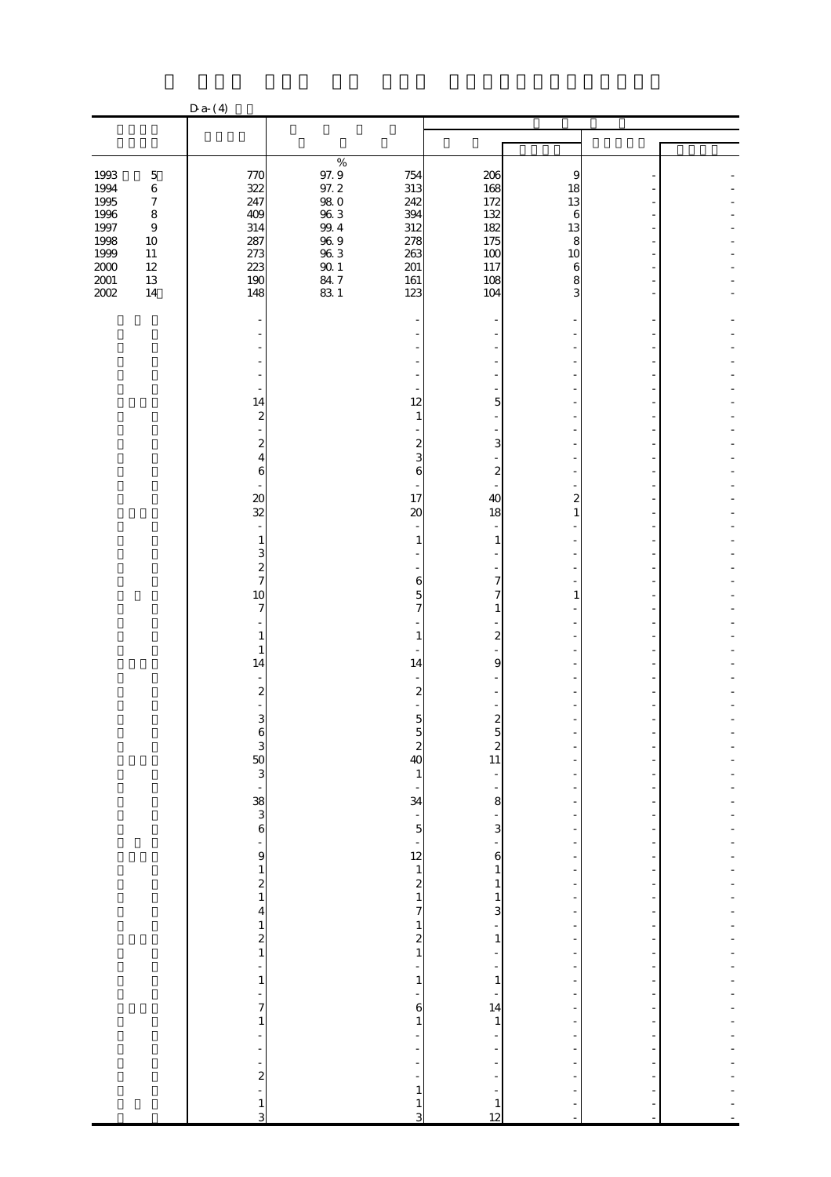|                                                          |                                                                    | $D a-(4)$                                    |                                                                                                        |                                              |                              |  |
|----------------------------------------------------------|--------------------------------------------------------------------|----------------------------------------------|--------------------------------------------------------------------------------------------------------|----------------------------------------------|------------------------------|--|
|                                                          |                                                                    |                                              |                                                                                                        |                                              |                              |  |
|                                                          |                                                                    |                                              |                                                                                                        |                                              |                              |  |
| 1993<br>1994<br>1995<br>1996                             | $\mathbf 5$<br>$\,6\,$<br>$\boldsymbol{7}$<br>$\bf 8$              | 770<br>322<br>247<br>409                     | $\%$<br>97.9<br>97.2<br>754<br>313<br>$98\ 0$<br>242<br>$96\;3$<br>394                                 | 206<br>168<br>172<br>132                     | 9<br>18<br>13<br>6           |  |
| 1997<br>1998<br>1999<br>$2000\,$<br>$2001\,$<br>$2002\,$ | $\boldsymbol{9}$<br>$10\,$<br>$11\,$<br>$12\,$<br>$13\,$<br>$14\,$ | 314<br>287<br>273<br>223<br>190<br>148       | $99.4\,$<br>312<br>$96\ 9$<br>278<br>$96\;3$<br>263<br>$90\,1$<br>201<br>84.7<br>161<br>$83\ 1$<br>123 | 182<br>175<br>100<br>117<br>108<br>104       | 13<br>8<br>10<br>6<br>8<br>3 |  |
|                                                          |                                                                    |                                              |                                                                                                        |                                              |                              |  |
|                                                          |                                                                    |                                              |                                                                                                        |                                              |                              |  |
|                                                          |                                                                    | $\sim$<br>14                                 | 12                                                                                                     | 5                                            |                              |  |
|                                                          |                                                                    | $\boldsymbol{z}$<br>÷,<br>$\boldsymbol{z}$   | $\mathbf{1}$<br>$\overline{\mathcal{Z}}$                                                               | 3                                            |                              |  |
|                                                          |                                                                    | 4<br>6                                       | 3<br>6                                                                                                 | $\boldsymbol{2}$                             |                              |  |
|                                                          |                                                                    | $\boldsymbol{\mathsf{20}}$<br>32             | 17<br>20                                                                                               | 40<br>18                                     | 2<br>1                       |  |
|                                                          |                                                                    | $\mathbf{1}$<br>3<br>$\overline{\mathbf{c}}$ | 1                                                                                                      | 1                                            |                              |  |
|                                                          |                                                                    | $\overline{7}$<br>10<br>7                    | 6<br>5<br>7                                                                                            | 7<br>7<br>$\mathbf{1}$                       | 1                            |  |
|                                                          |                                                                    | 1<br>$\mathbf{1}$                            | 1                                                                                                      | $\overline{\mathcal{Z}}$                     |                              |  |
|                                                          |                                                                    | 14<br>$\boldsymbol{z}$                       | 14<br>$\boldsymbol{z}$                                                                                 | 9                                            |                              |  |
|                                                          |                                                                    | 3                                            | 5                                                                                                      | $\boldsymbol{z}$                             |                              |  |
|                                                          |                                                                    | 3<br>6<br>3<br>8<br>3<br>6<br>3<br>6         | $rac{2}{40}$<br>$\mathbf{1}$                                                                           | $\overline{\mathcal{Z}}$<br>11               |                              |  |
|                                                          |                                                                    |                                              | $\frac{1}{34}$                                                                                         | 8<br>$\frac{1}{3}$                           |                              |  |
|                                                          |                                                                    | ÷,                                           |                                                                                                        | $\mathbf{6}$                                 |                              |  |
|                                                          |                                                                    | $\begin{array}{c} 9 \\ 1 \\ 2 \end{array}$   | $\begin{array}{c} 12 \\ 12 \\ 2 \\ 1 \end{array}$                                                      | $\mathbf{1}$<br>$\mathbf{1}$<br>$\mathbf{1}$ |                              |  |
|                                                          |                                                                    | $\boldsymbol{4}$<br>$\frac{1}{2}$            | $\overline{\phantom{a}}$<br>$\begin{array}{c} 1 \\ 2 \\ 1 \end{array}$                                 | 3<br>$\mathbf{1}$                            |                              |  |
|                                                          |                                                                    | $\frac{1}{2}$<br>$\mathbf 1$                 | ÷<br>$\mathbf 1$                                                                                       | $\mathbf{1}$                                 |                              |  |
|                                                          |                                                                    | -<br>$\overline{\phantom{a}}$<br>$\mathbf 1$ | 6<br>$\mathbf{1}$                                                                                      | 14<br>$\mathbf{1}$                           |                              |  |
|                                                          |                                                                    | ÷<br>Ē,<br>÷                                 |                                                                                                        |                                              |                              |  |
|                                                          |                                                                    | $\boldsymbol{z}$<br>÷<br>$\frac{1}{3}$       | $\mathbf{1}$<br>$\mathbf{1}$<br>3                                                                      | $\mathbf{1}$<br>12                           |                              |  |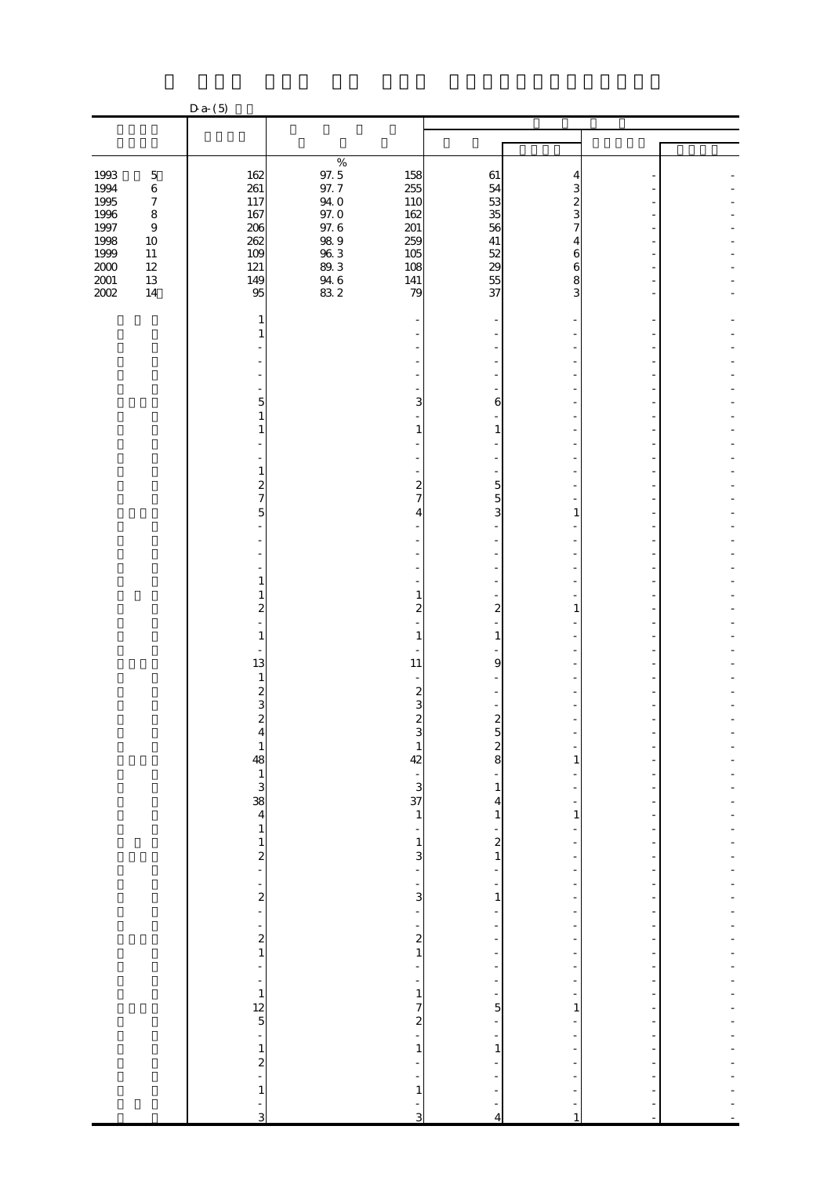| $\%$<br>$97.5\,$<br>1993<br>$\bf 5$<br>162<br>61<br>158<br>4<br>261<br>97.7<br>255<br>1994<br>$\,6\,$<br>54<br>3<br>1995<br>53<br>$\boldsymbol{7}$<br>117<br>$94\;0$<br>110<br>1996<br>$97.0\,$<br>35<br>$\bf 8$<br>167<br>162<br>1997<br>$97.6\,$<br>56<br>206<br>201<br>$\boldsymbol{9}$<br>$98\ 9$<br>1998<br>262<br>259<br>41<br>$10\,$<br>4<br>1999<br>$\begin{array}{c} 96.3 \\ 89.3 \end{array}$<br>$\frac{52}{29}$<br>$11\,$<br>109<br>105<br>6<br>$2000\,$<br>$12\,$<br>121<br>108<br>6<br>55<br>$2001\,$<br>$13\,$<br>149<br>$\begin{array}{c} 94.6 \\ 83.2 \end{array}$<br>141<br>8<br>2002<br>37<br>$14\,$<br>95<br>79<br>3<br>1<br>1<br>$\overline{5}$<br>3<br>6<br>$\mathbf{1}$<br>1<br>$\mathbf{1}$<br>1<br>1<br>$\boldsymbol{2}$<br>$\overline{\mathcal{Z}}$<br>5<br>$\overline{7}$<br>7<br>5<br>$\overline{5}$<br>3<br>1<br>4<br>1<br>$\mathbf{1}$<br>1<br>$\boldsymbol{z}$<br>2<br>$\boldsymbol{2}$<br>1<br>1<br>1<br>1<br>13<br>11<br>9<br>$\mathbf{1}$<br>$\overline{\mathcal{Z}}$<br>$\boldsymbol{z}$<br>3<br>3<br>$\overline{\mathbf{c}}$<br>$\overline{2}$<br>$\boldsymbol{2}$<br>$\frac{2}{8}$<br>$\mathbf{1}$<br>$\mathbf{1}$<br>$2 + 12 + 12$<br>42<br>$\mathbf{1}$<br>$\frac{1}{3}$<br>$\mathbf{1}$<br>4<br>$\mathbf{1}$<br>$\mathbf{1}$<br>$\mathbf{1}$<br>÷<br>$\mathbf{z}$<br>$\mathbf{1}$<br>3<br>$\mathbf{1}$<br>$\overline{\phantom{0}}$<br>٠<br>-<br>-<br>$\boldsymbol{z}$<br>$\overline{3}$<br>$\mathbf{1}$<br>$\overline{a}$<br>÷<br>$\frac{1}{2}$<br>$\overline{\phantom{0}}$<br>$\begin{smallmatrix}2\1\end{smallmatrix}$<br>$\frac{1}{2}$<br>÷<br>÷<br>$\overline{\phantom{0}}$<br>$\frac{1}{2}$<br>$\frac{1}{12}$<br>$\frac{1}{5}$<br>$\mathbf 1$<br>$\overline{7}$<br>$\overline{5}$<br>$\mathbf{1}$<br>$\frac{2}{1}$ |  | $D a-(5)$     |             |              |  |  |
|----------------------------------------------------------------------------------------------------------------------------------------------------------------------------------------------------------------------------------------------------------------------------------------------------------------------------------------------------------------------------------------------------------------------------------------------------------------------------------------------------------------------------------------------------------------------------------------------------------------------------------------------------------------------------------------------------------------------------------------------------------------------------------------------------------------------------------------------------------------------------------------------------------------------------------------------------------------------------------------------------------------------------------------------------------------------------------------------------------------------------------------------------------------------------------------------------------------------------------------------------------------------------------------------------------------------------------------------------------------------------------------------------------------------------------------------------------------------------------------------------------------------------------------------------------------------------------------------------------------------------------------------------------------------------------------------------------------------------------------------------------------|--|---------------|-------------|--------------|--|--|
|                                                                                                                                                                                                                                                                                                                                                                                                                                                                                                                                                                                                                                                                                                                                                                                                                                                                                                                                                                                                                                                                                                                                                                                                                                                                                                                                                                                                                                                                                                                                                                                                                                                                                                                                                                |  |               |             |              |  |  |
|                                                                                                                                                                                                                                                                                                                                                                                                                                                                                                                                                                                                                                                                                                                                                                                                                                                                                                                                                                                                                                                                                                                                                                                                                                                                                                                                                                                                                                                                                                                                                                                                                                                                                                                                                                |  |               |             |              |  |  |
|                                                                                                                                                                                                                                                                                                                                                                                                                                                                                                                                                                                                                                                                                                                                                                                                                                                                                                                                                                                                                                                                                                                                                                                                                                                                                                                                                                                                                                                                                                                                                                                                                                                                                                                                                                |  |               |             |              |  |  |
|                                                                                                                                                                                                                                                                                                                                                                                                                                                                                                                                                                                                                                                                                                                                                                                                                                                                                                                                                                                                                                                                                                                                                                                                                                                                                                                                                                                                                                                                                                                                                                                                                                                                                                                                                                |  |               |             |              |  |  |
|                                                                                                                                                                                                                                                                                                                                                                                                                                                                                                                                                                                                                                                                                                                                                                                                                                                                                                                                                                                                                                                                                                                                                                                                                                                                                                                                                                                                                                                                                                                                                                                                                                                                                                                                                                |  |               |             |              |  |  |
|                                                                                                                                                                                                                                                                                                                                                                                                                                                                                                                                                                                                                                                                                                                                                                                                                                                                                                                                                                                                                                                                                                                                                                                                                                                                                                                                                                                                                                                                                                                                                                                                                                                                                                                                                                |  |               |             |              |  |  |
|                                                                                                                                                                                                                                                                                                                                                                                                                                                                                                                                                                                                                                                                                                                                                                                                                                                                                                                                                                                                                                                                                                                                                                                                                                                                                                                                                                                                                                                                                                                                                                                                                                                                                                                                                                |  |               |             |              |  |  |
|                                                                                                                                                                                                                                                                                                                                                                                                                                                                                                                                                                                                                                                                                                                                                                                                                                                                                                                                                                                                                                                                                                                                                                                                                                                                                                                                                                                                                                                                                                                                                                                                                                                                                                                                                                |  |               |             |              |  |  |
|                                                                                                                                                                                                                                                                                                                                                                                                                                                                                                                                                                                                                                                                                                                                                                                                                                                                                                                                                                                                                                                                                                                                                                                                                                                                                                                                                                                                                                                                                                                                                                                                                                                                                                                                                                |  |               |             |              |  |  |
|                                                                                                                                                                                                                                                                                                                                                                                                                                                                                                                                                                                                                                                                                                                                                                                                                                                                                                                                                                                                                                                                                                                                                                                                                                                                                                                                                                                                                                                                                                                                                                                                                                                                                                                                                                |  |               |             |              |  |  |
|                                                                                                                                                                                                                                                                                                                                                                                                                                                                                                                                                                                                                                                                                                                                                                                                                                                                                                                                                                                                                                                                                                                                                                                                                                                                                                                                                                                                                                                                                                                                                                                                                                                                                                                                                                |  |               |             |              |  |  |
|                                                                                                                                                                                                                                                                                                                                                                                                                                                                                                                                                                                                                                                                                                                                                                                                                                                                                                                                                                                                                                                                                                                                                                                                                                                                                                                                                                                                                                                                                                                                                                                                                                                                                                                                                                |  |               |             |              |  |  |
|                                                                                                                                                                                                                                                                                                                                                                                                                                                                                                                                                                                                                                                                                                                                                                                                                                                                                                                                                                                                                                                                                                                                                                                                                                                                                                                                                                                                                                                                                                                                                                                                                                                                                                                                                                |  |               |             |              |  |  |
|                                                                                                                                                                                                                                                                                                                                                                                                                                                                                                                                                                                                                                                                                                                                                                                                                                                                                                                                                                                                                                                                                                                                                                                                                                                                                                                                                                                                                                                                                                                                                                                                                                                                                                                                                                |  |               |             |              |  |  |
|                                                                                                                                                                                                                                                                                                                                                                                                                                                                                                                                                                                                                                                                                                                                                                                                                                                                                                                                                                                                                                                                                                                                                                                                                                                                                                                                                                                                                                                                                                                                                                                                                                                                                                                                                                |  |               |             |              |  |  |
|                                                                                                                                                                                                                                                                                                                                                                                                                                                                                                                                                                                                                                                                                                                                                                                                                                                                                                                                                                                                                                                                                                                                                                                                                                                                                                                                                                                                                                                                                                                                                                                                                                                                                                                                                                |  |               |             |              |  |  |
|                                                                                                                                                                                                                                                                                                                                                                                                                                                                                                                                                                                                                                                                                                                                                                                                                                                                                                                                                                                                                                                                                                                                                                                                                                                                                                                                                                                                                                                                                                                                                                                                                                                                                                                                                                |  |               |             |              |  |  |
|                                                                                                                                                                                                                                                                                                                                                                                                                                                                                                                                                                                                                                                                                                                                                                                                                                                                                                                                                                                                                                                                                                                                                                                                                                                                                                                                                                                                                                                                                                                                                                                                                                                                                                                                                                |  |               |             |              |  |  |
|                                                                                                                                                                                                                                                                                                                                                                                                                                                                                                                                                                                                                                                                                                                                                                                                                                                                                                                                                                                                                                                                                                                                                                                                                                                                                                                                                                                                                                                                                                                                                                                                                                                                                                                                                                |  |               |             |              |  |  |
|                                                                                                                                                                                                                                                                                                                                                                                                                                                                                                                                                                                                                                                                                                                                                                                                                                                                                                                                                                                                                                                                                                                                                                                                                                                                                                                                                                                                                                                                                                                                                                                                                                                                                                                                                                |  |               |             |              |  |  |
|                                                                                                                                                                                                                                                                                                                                                                                                                                                                                                                                                                                                                                                                                                                                                                                                                                                                                                                                                                                                                                                                                                                                                                                                                                                                                                                                                                                                                                                                                                                                                                                                                                                                                                                                                                |  |               |             |              |  |  |
|                                                                                                                                                                                                                                                                                                                                                                                                                                                                                                                                                                                                                                                                                                                                                                                                                                                                                                                                                                                                                                                                                                                                                                                                                                                                                                                                                                                                                                                                                                                                                                                                                                                                                                                                                                |  |               |             |              |  |  |
|                                                                                                                                                                                                                                                                                                                                                                                                                                                                                                                                                                                                                                                                                                                                                                                                                                                                                                                                                                                                                                                                                                                                                                                                                                                                                                                                                                                                                                                                                                                                                                                                                                                                                                                                                                |  | $\frac{1}{2}$ | $\mathbf 1$ | $\mathbf{1}$ |  |  |
| j,<br>$\mathbf{1}$<br>$\mathbf{1}$<br>÷<br>3<br>3<br>1<br>4                                                                                                                                                                                                                                                                                                                                                                                                                                                                                                                                                                                                                                                                                                                                                                                                                                                                                                                                                                                                                                                                                                                                                                                                                                                                                                                                                                                                                                                                                                                                                                                                                                                                                                    |  |               |             |              |  |  |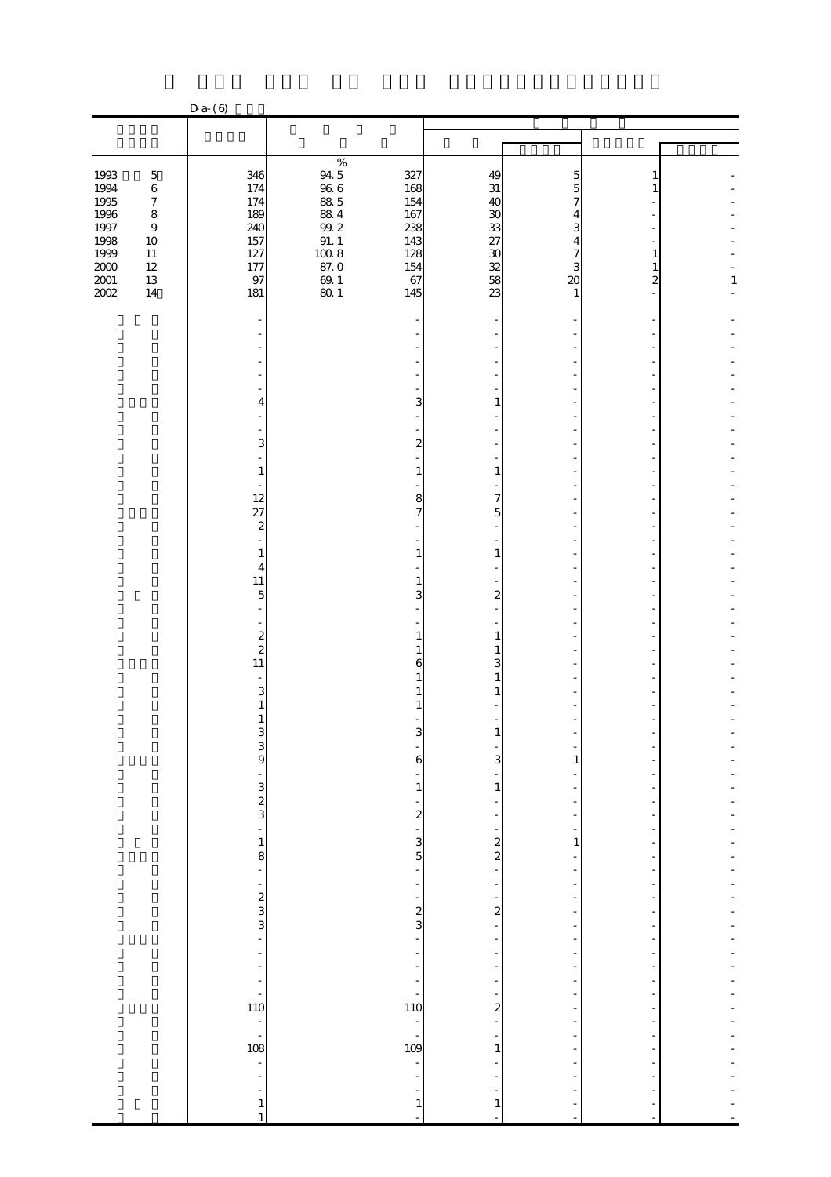|                                         |                                            | D a (6)                                                                 |                                                                   |                                          |                                          |                                 |                          |              |
|-----------------------------------------|--------------------------------------------|-------------------------------------------------------------------------|-------------------------------------------------------------------|------------------------------------------|------------------------------------------|---------------------------------|--------------------------|--------------|
|                                         |                                            |                                                                         |                                                                   |                                          |                                          |                                 |                          |              |
|                                         |                                            |                                                                         |                                                                   |                                          |                                          |                                 |                          |              |
| 1993<br>1994<br>1995                    | $\mathbf 5$<br>$\,6\,$<br>$\boldsymbol{7}$ | 346<br>174<br>174                                                       | $\%$<br>$\begin{array}{c} 94.5 \\ 96.6 \end{array}$<br>$8\!8$ $5$ | 327<br>168<br>154                        | 49<br>31<br>40                           | 5                               |                          |              |
| 1996<br>1997<br>1998                    | $\bf 8$<br>$\boldsymbol{9}$<br>$10\,$      | 189<br>240<br>157                                                       | $\frac{884}{99.2}$<br>91.1<br>100.8                               | 167<br>238<br>143<br>128                 | 30                                       | 3<br>4                          |                          |              |
| 1999<br>$2000\,$<br>$\frac{2001}{2002}$ | $11\,$<br>$12\,$<br>$13\,$<br>$14\,$       | 127<br>177<br>97<br>181                                                 | 87.0<br>$\frac{69.1}{80.1}$                                       | 154<br>67<br>145                         | $\frac{33}{23}$<br>$\frac{27}{28}$<br>23 | 3<br>$\boldsymbol{\alpha}$<br>1 | 1<br>1<br>$\overline{c}$ | $\mathbf{1}$ |
|                                         |                                            |                                                                         |                                                                   |                                          |                                          |                                 |                          |              |
|                                         |                                            |                                                                         |                                                                   |                                          |                                          |                                 |                          |              |
|                                         |                                            | 4                                                                       |                                                                   | 3                                        | 1                                        |                                 |                          |              |
|                                         |                                            | 3                                                                       |                                                                   | 2                                        |                                          |                                 |                          |              |
|                                         |                                            | $\mathbf{1}$<br>÷,<br>12                                                |                                                                   | $\mathbf{1}$<br>8                        | $\mathbf{1}$<br>7                        |                                 |                          |              |
|                                         |                                            | 27<br>$\boldsymbol{z}$                                                  |                                                                   | 7                                        | 5                                        |                                 |                          |              |
|                                         |                                            | 1<br>$\overline{4}$                                                     |                                                                   | 1                                        | $\mathbf{1}$                             |                                 |                          |              |
|                                         |                                            | $11\,$<br>$\overline{5}$<br>L,                                          |                                                                   | 1<br>3                                   | $\boldsymbol{2}$                         |                                 |                          |              |
|                                         |                                            | $\overline{\phantom{0}}$<br>$\boldsymbol{z}$<br>$\overline{\mathbf{c}}$ |                                                                   | 1<br>1                                   | 1<br>1                                   |                                 |                          |              |
|                                         |                                            | $11\,$<br>3                                                             |                                                                   | 6                                        | 3                                        |                                 |                          |              |
|                                         |                                            | $\mathbf{1}$<br>1                                                       |                                                                   |                                          |                                          |                                 |                          |              |
|                                         |                                            | 3<br>9<br>-                                                             |                                                                   | 6                                        | 3                                        | 1                               |                          |              |
|                                         |                                            | $\mathbf{3}$<br>$\frac{2}{3}$                                           |                                                                   | $\mathbf{1}$<br>$\overline{\mathcal{Z}}$ | 1                                        |                                 |                          |              |
|                                         |                                            | ÷<br>$\mathbf{1}$                                                       |                                                                   | 3                                        | $\boldsymbol{z}$                         | 1                               |                          |              |
|                                         |                                            | 8<br>÷,<br>-                                                            |                                                                   | $\overline{5}$                           | $\overline{\mathcal{L}}$                 |                                 |                          |              |
|                                         |                                            | $\frac{2}{3}$                                                           |                                                                   | $\frac{2}{3}$                            | 2                                        |                                 |                          |              |
|                                         |                                            | L,<br>÷<br>÷,                                                           |                                                                   | ÷,                                       |                                          |                                 |                          |              |
|                                         |                                            | Ĩ,<br>$\qquad \qquad \blacksquare$<br>110                               |                                                                   | <b>110</b>                               | $\boldsymbol{z}$                         |                                 |                          |              |
|                                         |                                            | $\overline{\phantom{a}}$<br>$\overline{\phantom{a}}$<br>108             |                                                                   | ÷<br>$\overline{\phantom{a}}$<br>109     | 1                                        |                                 |                          |              |
|                                         |                                            | $\blacksquare$                                                          |                                                                   | ÷,                                       |                                          |                                 |                          |              |
|                                         |                                            | $\mathbf{1}$<br>$\mathbf{1}$                                            |                                                                   | 1                                        | $\mathbf{1}$                             |                                 |                          |              |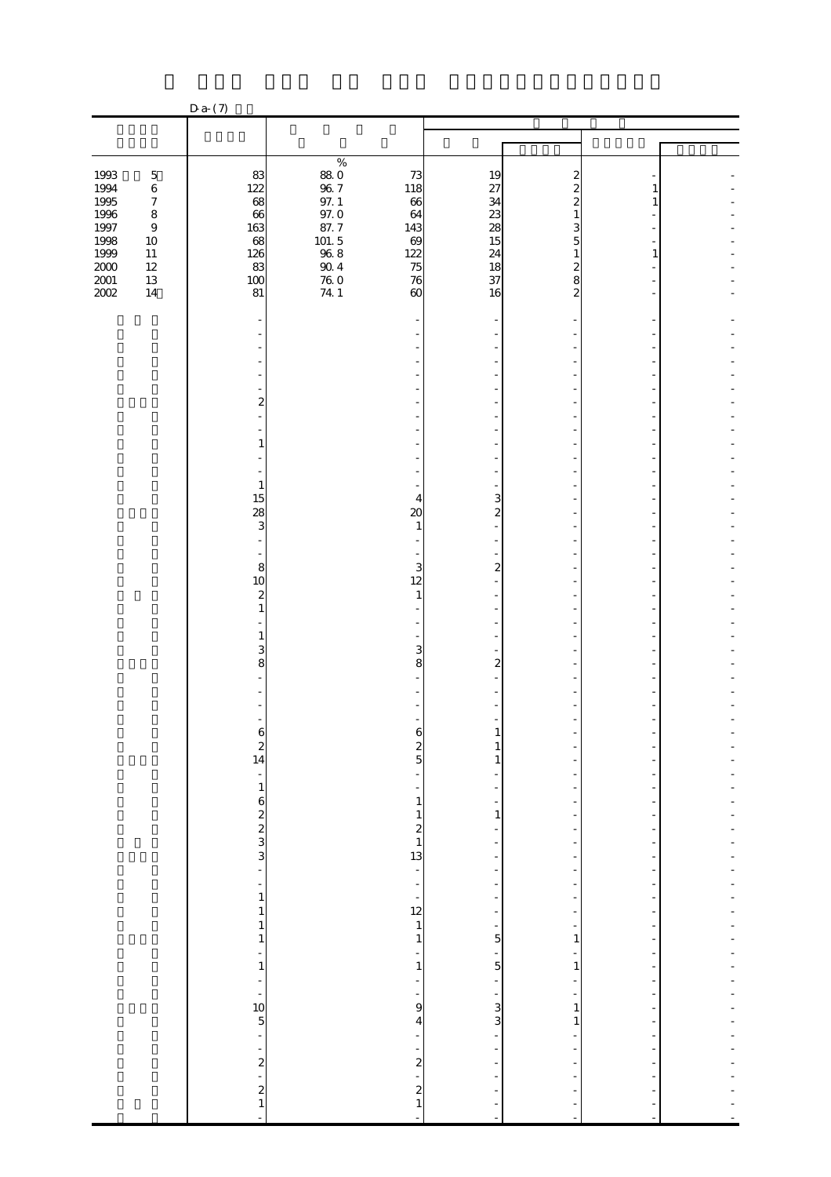|                                      |                                                 | $Da-(7)$                                         |                                                                  |                                                         |                                                                   |                                     |   |  |
|--------------------------------------|-------------------------------------------------|--------------------------------------------------|------------------------------------------------------------------|---------------------------------------------------------|-------------------------------------------------------------------|-------------------------------------|---|--|
|                                      |                                                 |                                                  |                                                                  |                                                         |                                                                   |                                     |   |  |
|                                      |                                                 |                                                  |                                                                  |                                                         |                                                                   |                                     |   |  |
| 1993<br>1994<br>1995                 | $\bf 5$<br>$\,6\,$<br>$\boldsymbol{7}$          | 83<br>122<br>68                                  | $\%$<br>$\begin{array}{c} 88.0 \\ 96.7 \end{array}$<br>$97. \;1$ | 73<br>118<br>66                                         | 19<br>27<br>34                                                    | 2<br>2                              | 1 |  |
| 1996<br>$1997\,$<br>1998<br>$1999\,$ | $\bf 8$<br>$\boldsymbol{9}$<br>$10\,$<br>$11\,$ | 66<br>163<br>68<br>126                           | $97.0\,$<br>87.7<br>$101.\,5$<br>$96\ 8$                         | 64<br>143<br>69<br>122                                  | 23<br>28<br>15<br>24                                              | 5                                   | 1 |  |
| $2000\,$<br>$2001\,$<br>$200\!$      | $12\,$<br>$13\,$<br>$14\,$                      | 83<br>100<br>81                                  | $90\;4$<br>$\begin{array}{c} 76.0 \\ 74.1 \end{array}$           | 75<br>76<br>$\boldsymbol{\omega}$                       | 18<br>37<br>16                                                    | 2<br>8<br>2                         |   |  |
|                                      |                                                 |                                                  |                                                                  |                                                         |                                                                   |                                     |   |  |
|                                      |                                                 | 2                                                |                                                                  |                                                         |                                                                   |                                     |   |  |
|                                      |                                                 | 1                                                |                                                                  |                                                         |                                                                   |                                     |   |  |
|                                      |                                                 | $\mathbf{1}$<br>15                               |                                                                  | 4                                                       | 3                                                                 |                                     |   |  |
|                                      |                                                 | 28<br>3                                          |                                                                  | $\boldsymbol{\chi}$<br>$\mathbf{1}$                     | $\mathbf{z}$                                                      |                                     |   |  |
|                                      |                                                 | 8<br>10                                          |                                                                  | 3<br>12                                                 | $\overline{c}$                                                    |                                     |   |  |
|                                      |                                                 | $\boldsymbol{z}$<br>$\mathbf{1}$<br>$\mathbf{1}$ |                                                                  | 1                                                       |                                                                   |                                     |   |  |
|                                      |                                                 | 3<br>8                                           |                                                                  | 3<br>8                                                  | $\mathbf{z}$                                                      |                                     |   |  |
|                                      |                                                 |                                                  |                                                                  |                                                         |                                                                   |                                     |   |  |
|                                      |                                                 | $\begin{array}{c} 2 \\ 14 \end{array}$           |                                                                  | $\frac{2}{5}$                                           | 1<br>1                                                            |                                     |   |  |
|                                      |                                                 | $\frac{1}{3}$ 8 2 3 3 3 3 4                      |                                                                  | ÷<br>÷<br>$\mathbf{1}$                                  | $\mathbf{1}$                                                      |                                     |   |  |
|                                      |                                                 |                                                  |                                                                  | $\begin{array}{c} 1 \\ 2 \\ 1 \\ 13 \end{array}$        | -                                                                 | $\overline{a}$                      |   |  |
|                                      |                                                 | ÷,<br>$\mathbf 1$                                |                                                                  | $\overline{\phantom{0}}$<br>f                           | -<br>-                                                            | -                                   |   |  |
|                                      |                                                 | $\mathbf{1}$<br>$\mathbf{1}$<br>$\mathbf 1$<br>÷ |                                                                  | $\begin{array}{c} 12 \\ 12 \\ 1 \\ 1 \end{array}$<br>÷, | $\frac{1}{2}$<br>÷,<br>$\overline{5}$<br>$\overline{\phantom{0}}$ | $\overline{a}$<br>-<br>$\mathbf{1}$ |   |  |
|                                      |                                                 | $\mathbf{1}$<br>÷                                |                                                                  | $\mathbf 1$<br>$\overline{\phantom{m}}$<br>-            | $\overline{5}$<br>÷                                               | $\mathbf{1}$                        | ٠ |  |
|                                      |                                                 | $\frac{10}{5}$ - 2<br>2<br>2<br>2<br>1           |                                                                  | 9<br>4<br>-                                             | $\frac{1}{3}$                                                     | $\mathbf{1}$<br>$\mathbf{1}$        |   |  |
|                                      |                                                 |                                                  |                                                                  | $2^{1}$<br>$2^{1}$                                      | ÷                                                                 |                                     |   |  |
|                                      |                                                 | L                                                |                                                                  |                                                         | f<br>$\overline{a}$                                               |                                     |   |  |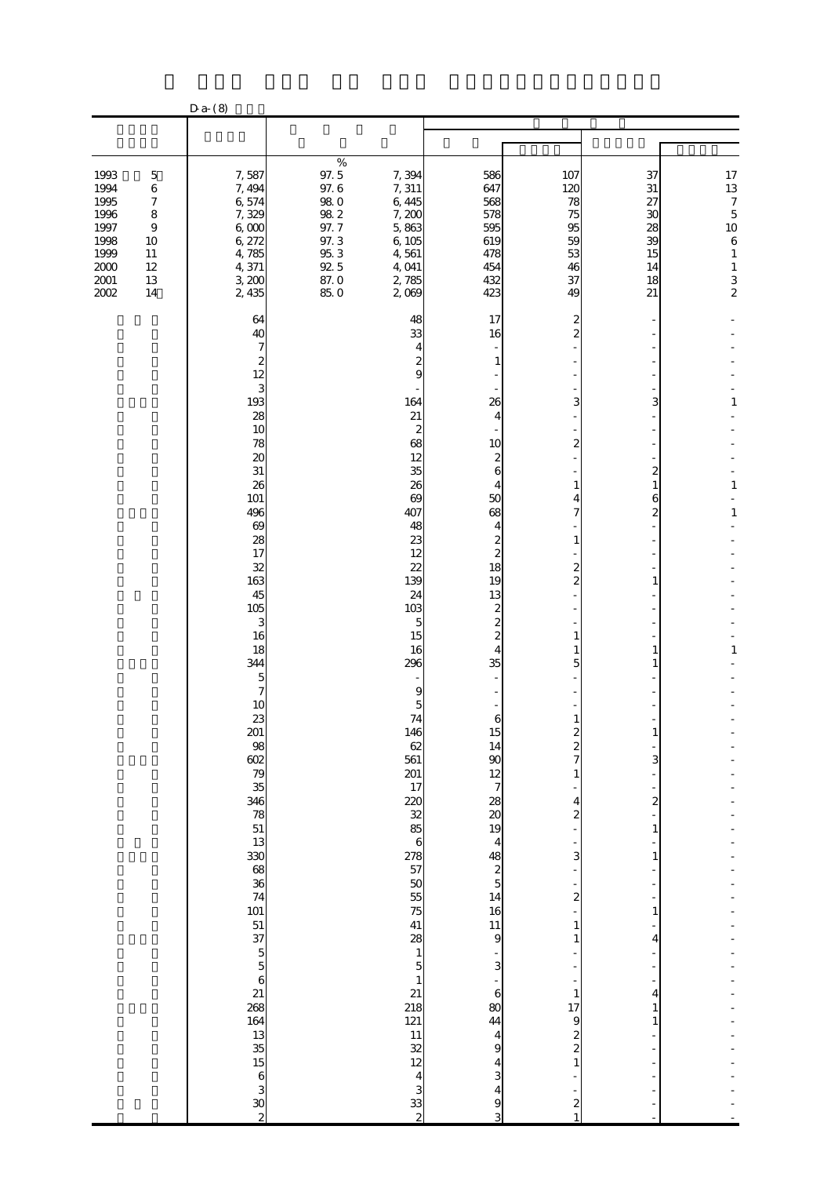|                                                                                      |                                                                                                            | $Da- (8)$                                                                                                                                                                                                                                                                                                                                                                                       |                                                                                                 |                                                                                                                                                                                                                                                                                                                                                                                                                        |                                                                                                                                                                                                                                                                                                                                                                                                                                                                         |                                                                                                                                 |                                                          |                                                                                                                                                             |
|--------------------------------------------------------------------------------------|------------------------------------------------------------------------------------------------------------|-------------------------------------------------------------------------------------------------------------------------------------------------------------------------------------------------------------------------------------------------------------------------------------------------------------------------------------------------------------------------------------------------|-------------------------------------------------------------------------------------------------|------------------------------------------------------------------------------------------------------------------------------------------------------------------------------------------------------------------------------------------------------------------------------------------------------------------------------------------------------------------------------------------------------------------------|-------------------------------------------------------------------------------------------------------------------------------------------------------------------------------------------------------------------------------------------------------------------------------------------------------------------------------------------------------------------------------------------------------------------------------------------------------------------------|---------------------------------------------------------------------------------------------------------------------------------|----------------------------------------------------------|-------------------------------------------------------------------------------------------------------------------------------------------------------------|
|                                                                                      |                                                                                                            |                                                                                                                                                                                                                                                                                                                                                                                                 |                                                                                                 |                                                                                                                                                                                                                                                                                                                                                                                                                        |                                                                                                                                                                                                                                                                                                                                                                                                                                                                         |                                                                                                                                 |                                                          |                                                                                                                                                             |
|                                                                                      |                                                                                                            |                                                                                                                                                                                                                                                                                                                                                                                                 |                                                                                                 |                                                                                                                                                                                                                                                                                                                                                                                                                        |                                                                                                                                                                                                                                                                                                                                                                                                                                                                         |                                                                                                                                 |                                                          |                                                                                                                                                             |
| 1993<br>1994<br>1995<br>1996<br>1997<br>1998<br>1999<br>$2000\,$<br>$2001\,$<br>2002 | $\mathbf 5$<br>$\,6\,$<br>$\boldsymbol{7}$<br>$\bf8$<br>$\boldsymbol{9}$<br>10<br>11<br>12<br>$13\,$<br>14 | 7,587<br>7, 494<br>6,574<br>7,329<br>600<br>6,272<br>4,785<br>4,371<br>3,200<br>2,435                                                                                                                                                                                                                                                                                                           | $\%$<br>97.5<br>97.6<br>$98\ 0$<br>$98\ 2$<br>97.7<br>97.3<br>$95\ 3$<br>$92.5$<br>87.0<br>85.0 | 7,394<br>7,311<br>6,445<br>7,200<br>5,863<br>6,105<br>4,561<br>4,041<br>2,785<br>2,009                                                                                                                                                                                                                                                                                                                                 | 586<br>647<br>568<br>578<br>595<br>619<br>478<br>454<br>432<br>423                                                                                                                                                                                                                                                                                                                                                                                                      | 107<br>120<br>78<br>75<br>95<br>59<br>53<br>46<br>37<br>49                                                                      | 37<br>31<br>27<br>30<br>28<br>39<br>15<br>14<br>18<br>21 | $\begin{array}{c} 17 \\ 13 \end{array}$<br>$\overline{\phantom{a}}$<br>$\overline{5}$<br>10<br>$\,$ 6 $\,$<br>$\mathbf{1}$<br>$\mathbf{1}$<br>$\frac{3}{2}$ |
|                                                                                      |                                                                                                            | 64<br>40<br>7<br>2<br>12<br>3<br>193<br>28<br>10<br>78<br>$\boldsymbol{\mathsf{20}}$<br>$3\mathbf{1}$<br>26<br>101<br>496<br>$\boldsymbol{\omega}$<br>28<br>17<br>32<br>163<br>45<br>105<br>3<br>16<br>18<br>344<br>5<br>7<br>10<br>23<br>201<br>98<br>38<br>35<br>38 ജ ല എ ഒ 88 ജ ജ 88 ജ ബ ജ 98 ജ<br>164<br>$\begin{array}{c} 13 \\ 35 \\ 15 \end{array}$<br>$\boldsymbol{6}$<br>$\frac{3}{2}$ |                                                                                                 | 48<br>33<br>4<br>9<br>164<br>21<br>2<br>68<br>12<br>35<br>26<br>69<br>407<br>48<br>23<br>12<br>22<br>139<br>24<br>103<br>5<br>15<br>16<br>296<br>9<br>74<br>146<br>62<br>561<br>201<br>17<br>220<br>32<br>85<br>$\boldsymbol{6}$<br>278<br>57<br>50<br>55<br>75<br>41<br>28<br>$\mathbf{1}$<br>$\overline{5}$<br>$\mathbf{1}$<br>21<br>218<br>121<br>11<br>$\frac{32}{12}$<br>$\overline{\mathbf{4}}$<br>$\frac{3}{2}$ | 17<br>16<br>1<br>26<br>4<br>10<br>2<br>6<br>4<br>50<br>68<br>4<br>$\overline{c}$<br>$\overline{\mathbf{c}}$<br>18<br>19<br>13<br>2<br>$\overline{c}$<br>$\overline{\mathbf{c}}$<br>4<br>35<br>$\boldsymbol{6}$<br>15<br>14<br>$\boldsymbol{\mathsf{S}}$<br>$\frac{12}{7}$<br>28<br>$\boldsymbol{\alpha}$<br>19<br>4<br>$\begin{array}{c}\n 48 \\  2 \\  5\n \end{array}$<br>14<br>16<br>11<br>9<br>3<br>$\boldsymbol{6}$<br>80<br>44<br>4<br>9<br>4<br>3<br>4<br>9<br>3 | 2<br>3<br>2<br>1<br>2<br>1<br>$\boldsymbol{z}$<br>4<br>2<br>3<br>2<br>1<br>1<br>1<br>17<br>9<br>$\boldsymbol{z}$<br>2<br>1<br>2 | 3<br>2<br>6<br>2<br>3<br>2<br>1<br>4<br>4                | $\mathbf{1}$<br>$\mathbf{1}$<br>$\mathbf{1}$<br>1                                                                                                           |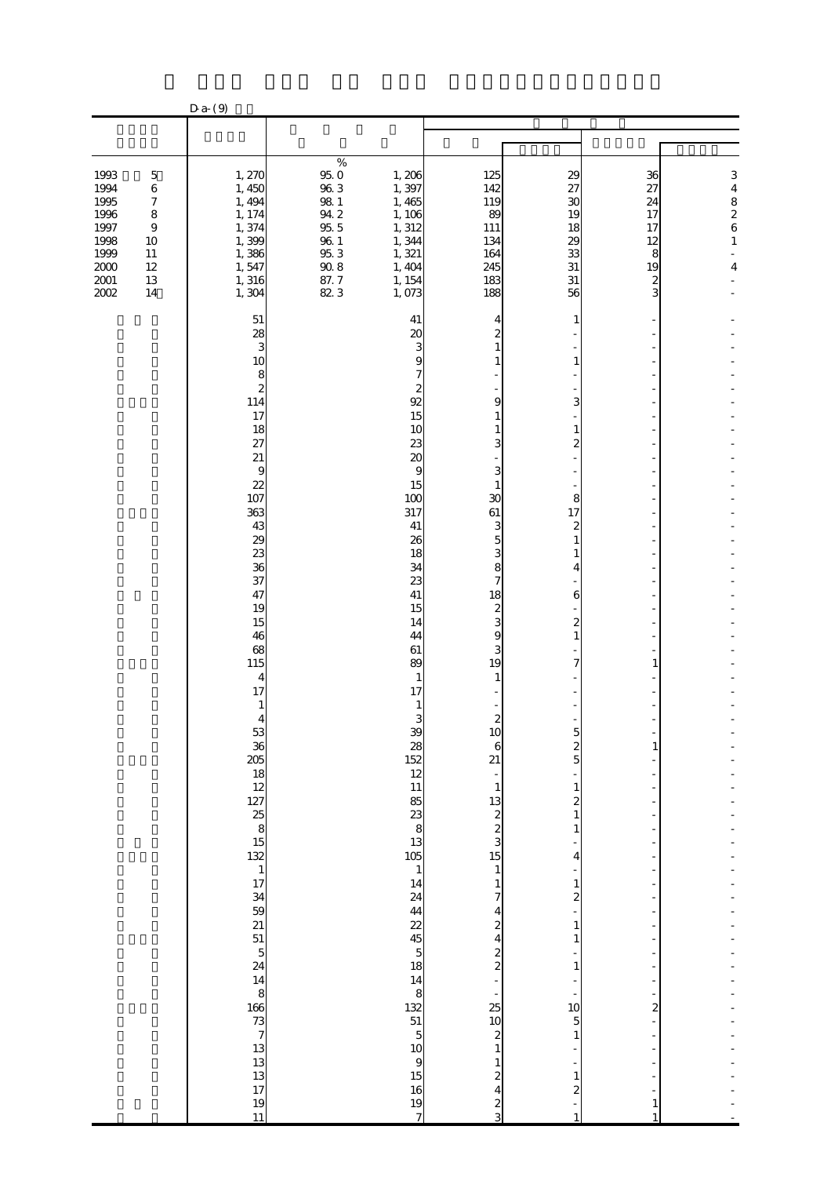|                                                                                      |                                                                                                                     | $Da-$ (9)                                                                                                                                                                                                                                                                                                                                                                                                     |                                                                                                                                              |                                                                                                                                                                                                                                                                                                                                                                                                                                                                                                       |                                                                                                                                                                                                                                                                                                                                                                                                                                                                        |                                                                                                                             |                                                                             |                                                                                                 |  |
|--------------------------------------------------------------------------------------|---------------------------------------------------------------------------------------------------------------------|---------------------------------------------------------------------------------------------------------------------------------------------------------------------------------------------------------------------------------------------------------------------------------------------------------------------------------------------------------------------------------------------------------------|----------------------------------------------------------------------------------------------------------------------------------------------|-------------------------------------------------------------------------------------------------------------------------------------------------------------------------------------------------------------------------------------------------------------------------------------------------------------------------------------------------------------------------------------------------------------------------------------------------------------------------------------------------------|------------------------------------------------------------------------------------------------------------------------------------------------------------------------------------------------------------------------------------------------------------------------------------------------------------------------------------------------------------------------------------------------------------------------------------------------------------------------|-----------------------------------------------------------------------------------------------------------------------------|-----------------------------------------------------------------------------|-------------------------------------------------------------------------------------------------|--|
|                                                                                      |                                                                                                                     |                                                                                                                                                                                                                                                                                                                                                                                                               |                                                                                                                                              |                                                                                                                                                                                                                                                                                                                                                                                                                                                                                                       |                                                                                                                                                                                                                                                                                                                                                                                                                                                                        |                                                                                                                             |                                                                             |                                                                                                 |  |
|                                                                                      |                                                                                                                     |                                                                                                                                                                                                                                                                                                                                                                                                               |                                                                                                                                              |                                                                                                                                                                                                                                                                                                                                                                                                                                                                                                       |                                                                                                                                                                                                                                                                                                                                                                                                                                                                        |                                                                                                                             |                                                                             |                                                                                                 |  |
| 1993<br>1994<br>1995<br>1996<br>1997<br>1998<br>1999<br>$2000\,$<br>$2001\,$<br>2002 | $\mathbf 5$<br>$\,6\,$<br>$\boldsymbol{7}$<br>$\bf 8$<br>$\boldsymbol{9}$<br>10<br>11<br>$12\,$<br>$13\,$<br>$14\,$ | 1, 270<br>1,450<br>1, 494<br>1, 174<br>1,374<br>1,399<br>1,386<br>1,547<br>1,316<br>1,304                                                                                                                                                                                                                                                                                                                     | $\%$<br>$\begin{array}{c} 95.0 \\ 96.3 \end{array}$<br>$98\ 1$<br>$94\ 2$<br>$95\,5$<br>$\frac{96}{96}\frac{1}{3}$<br>$90\;8$<br>87.7<br>823 | 1,206<br>1,397<br>1,465<br>1, 106<br>1, 312<br>1,344<br>1,321<br>1,404<br>1, 154<br>1,073                                                                                                                                                                                                                                                                                                                                                                                                             | 125<br>142<br>119<br>89<br>111<br>134<br>164<br>245<br>183<br>188                                                                                                                                                                                                                                                                                                                                                                                                      | 29<br>27<br>$\mathfrak{A}$<br>19<br>18<br>29<br>33<br>31<br>31<br>56                                                        | 36<br>27<br>24<br>17<br>17<br>12<br>8<br>19<br>$\overline{\mathbf{c}}$<br>3 | 3<br>$\begin{array}{c} 4 \\ 8 \\ 2 \\ 6 \end{array}$<br>$\mathbf{1}$<br>$\overline{\mathbf{4}}$ |  |
|                                                                                      |                                                                                                                     | 51<br>28<br>3<br>10<br>8<br>$\boldsymbol{z}$<br>114<br>17<br>18<br>27<br>$21\,$<br>9<br>22<br>107<br>363<br>43<br>29<br>23<br>36<br>37<br>47<br>19<br>15<br>46<br>68<br>115<br>$\overline{\mathbf{4}}$<br>17<br>1<br>4<br>53<br>$\begin{array}{c} 36 \ 25 \ 18 \ 12 \ 27 \ 25 \ 8 \ 15 \ 22 \ 1 \ 17 \ 34 \ 39 \ 21 \ 51 \ 51 \ 24 \ 14 \ 8 \ 46 \ 73 \ 7 \ 13 \ 13 \ 13 \ 17 \end{array}$<br>$\frac{19}{11}$ |                                                                                                                                              | 41<br>20<br>3<br>S<br>92<br>15<br>10<br>23<br>20<br>9<br>15<br>100<br>317<br>41<br>26<br>18<br>34<br>23<br>41<br>15<br>14<br>44<br>61<br>89<br>$\mathbf{1}$<br>17<br>3<br>$\mathbf{R}$<br>$\frac{28}{152}$<br>$\begin{array}{c} 12 \\ 11 \end{array}$<br>$\begin{array}{c}\n 85 \\  13\n \end{array}$<br>105<br>$\mathbf{1}$<br>$\frac{14}{24}$<br>$\frac{44}{22}$<br>$\overline{5}$<br>$\frac{18}{14}$<br>8<br>$\begin{array}{c}\n 132 \\  51 \\  5\n \end{array}$<br>10<br>9<br>15<br>16<br>19<br>7 | 4<br>$\overline{c}$<br>$\mathbf{1}$<br>1<br>9<br>1<br>1<br>3<br>3<br>1<br>30<br>61<br>3<br>5<br>3<br>8<br>7<br>18<br>$\frac{2}{3}$<br>9<br>3<br>19<br>1<br>$\boldsymbol{z}$<br>1 <sup>C</sup><br>6<br>21<br>$\mathbf{1}$<br>$\begin{array}{c} 13 \\ 2 \\ 3 \end{array}$<br>15<br>$\mathbf{1}$<br>1<br>4<br>$\boldsymbol{z}$<br>4<br>$\frac{2}{2}$<br>25<br>10<br>$\boldsymbol{z}$<br>$\mathbf{1}$<br>1<br>$\boldsymbol{z}$<br>$\overline{\mathbf{r}}$<br>$\frac{2}{3}$ | 1<br>1<br>3<br>8<br>17<br>4<br>6<br>2<br>$\boldsymbol{z}$<br>5<br>1<br>2<br>4<br>1<br>2<br>1<br>1<br>1<br>10<br>5<br>1<br>2 | 2                                                                           |                                                                                                 |  |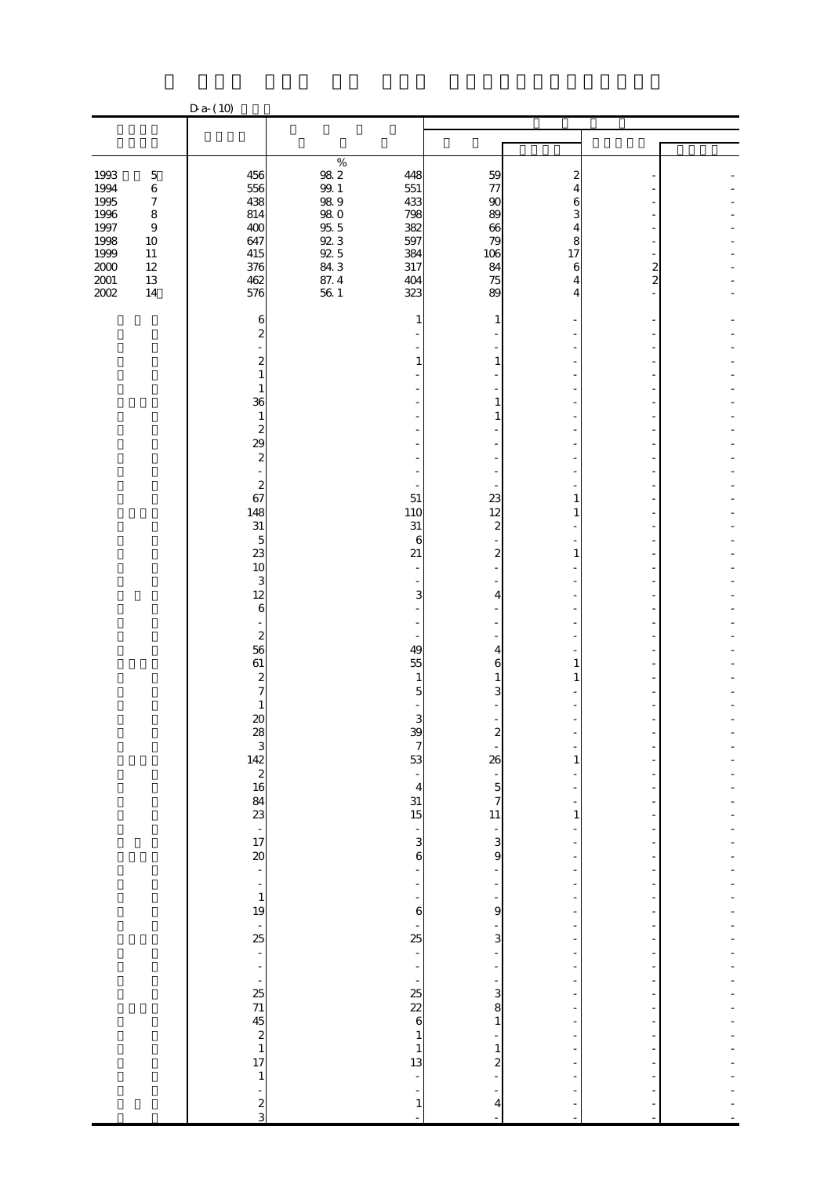|                                                      |                                                                                    | $D a-(10)$                                                          |                                                                                                                        |                                                                               |                                                  |              |                     |  |
|------------------------------------------------------|------------------------------------------------------------------------------------|---------------------------------------------------------------------|------------------------------------------------------------------------------------------------------------------------|-------------------------------------------------------------------------------|--------------------------------------------------|--------------|---------------------|--|
|                                                      |                                                                                    |                                                                     |                                                                                                                        |                                                                               |                                                  |              |                     |  |
|                                                      |                                                                                    |                                                                     |                                                                                                                        |                                                                               |                                                  |              |                     |  |
| 1993<br>1994<br>1995<br>1996<br>1997<br>1998<br>1999 | $\mathbf 5$<br>$\,6\,$<br>$\boldsymbol{7}$<br>$\bf 8$<br>$\,9$<br>$10\,$<br>$11\,$ | 456<br>556<br>438<br>814<br>400<br>647<br>415                       | $\%$<br>$98\ 2$<br>$99.1\,$<br>$98\ 9$<br>$\begin{array}{c} 98 \ 0 \\ 95 \ 5 \\ \end{array}$<br>$92.3\,$<br>$9\!\!2.5$ | 448<br>551<br>433<br>798<br>382<br>597<br>384                                 | 59<br>77<br>90<br>89<br>66<br>79<br>106          | 2<br>8<br>17 |                     |  |
| $2000\,$<br>$2001\,$<br>$2002\,$                     | $12\,$<br>$13\,$<br>$14\,$                                                         | 376<br>462<br>576<br>6                                              | 843<br>87.4<br>$56\,$ $1\,$                                                                                            | 317<br>404<br>323<br>1                                                        | 84<br>75<br>89<br>1                              | 6<br>4       | 2<br>$\overline{c}$ |  |
|                                                      |                                                                                    | 2<br>2<br>$\mathbf{1}$<br>$\mathbf{1}$                              |                                                                                                                        | 1                                                                             | 1                                                |              |                     |  |
|                                                      |                                                                                    | 36<br>$\mathbf{1}$<br>2<br>29<br>$\boldsymbol{z}$                   |                                                                                                                        |                                                                               | 1<br>1                                           |              |                     |  |
|                                                      |                                                                                    | $\qquad \qquad \blacksquare$<br>$\boldsymbol{2}$<br>67<br>148<br>31 |                                                                                                                        | 51<br>110<br>31                                                               | 23<br>12<br>$\boldsymbol{2}$                     | 1            |                     |  |
|                                                      |                                                                                    | $\overline{5}$<br>23<br>10<br>3<br>12                               |                                                                                                                        | 6<br>21<br>3                                                                  | $\boldsymbol{2}$<br>4                            | 1            |                     |  |
|                                                      |                                                                                    | $\boldsymbol{6}$<br>$\boldsymbol{z}$<br>56<br>61                    |                                                                                                                        | 49<br>55                                                                      | 4<br>6                                           | 1            |                     |  |
|                                                      |                                                                                    | $\boldsymbol{z}$<br>7<br>$\mathbf{1}$<br>$\boldsymbol{\mathsf{20}}$ |                                                                                                                        | $\mathbf{1}$<br>5<br>3<br>$\mathbf{R}$                                        | 1<br>3                                           |              |                     |  |
|                                                      |                                                                                    | $28$<br>$142$<br>$2$<br>$16$<br>$84$<br>$3$<br>$-17$<br>$20$        |                                                                                                                        | $\boldsymbol{7}$<br>53<br>$\frac{1}{4}$<br>31                                 | 26<br>$rac{1}{7}$                                | 1            |                     |  |
|                                                      |                                                                                    | $\overline{\phantom{0}}$                                            |                                                                                                                        | 15<br>÷<br>3<br>$\boldsymbol{6}$<br>÷                                         | 11<br>$\frac{1}{3}$<br>9                         | 1            |                     |  |
|                                                      |                                                                                    | $\overline{\phantom{a}}$<br>$\mathbf{1}$<br>19<br>$\frac{1}{25}$    |                                                                                                                        | $\overline{a}$<br>6<br>$\frac{1}{25}$                                         | 9<br>3                                           |              |                     |  |
|                                                      |                                                                                    | $\Box$<br>$\overline{\phantom{a}}$                                  |                                                                                                                        | $\blacksquare$<br>۰<br>ł,<br>$\frac{25}{22}$                                  | 3<br>8                                           |              |                     |  |
|                                                      |                                                                                    | - $25$ $7$ $45$ $2$ $1$ $17$<br>$\mathbf{1}$                        |                                                                                                                        | 6<br>$\mathbf{1}$<br>$\begin{array}{c} 1 \\ 13 \end{array}$<br>$\overline{a}$ | $\mathbf{1}$<br>$\mathbf{1}$<br>$\boldsymbol{z}$ |              |                     |  |
|                                                      |                                                                                    | ÷<br>$\frac{2}{3}$                                                  |                                                                                                                        | $\mathbf{1}$                                                                  | 4                                                |              |                     |  |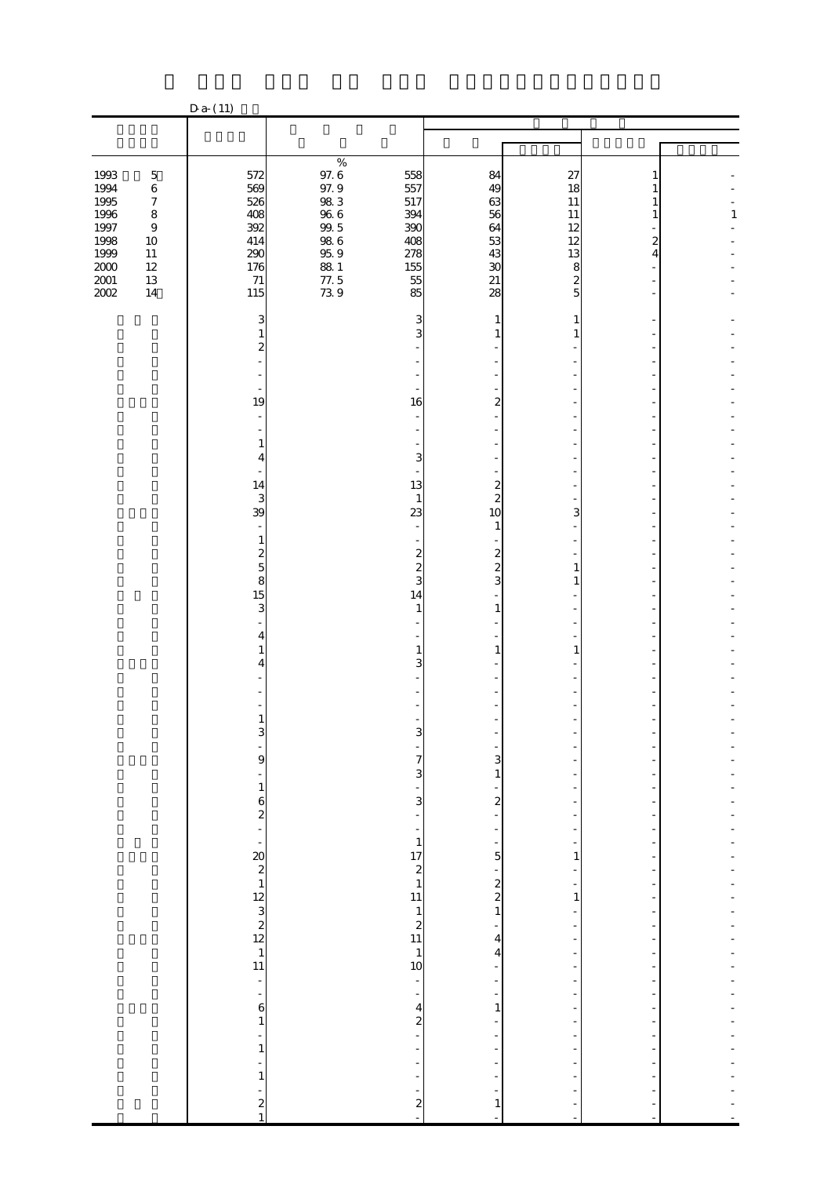|                          |                                                 | $D a-(11)$                                 |                                |                                    |                                                                          |                        |                |              |
|--------------------------|-------------------------------------------------|--------------------------------------------|--------------------------------|------------------------------------|--------------------------------------------------------------------------|------------------------|----------------|--------------|
|                          |                                                 |                                            |                                |                                    |                                                                          |                        |                |              |
|                          |                                                 |                                            |                                |                                    |                                                                          |                        |                |              |
| 1993<br>1994             | $\mathbf 5$<br>$\,6\,$                          | 572<br>569                                 | $\%$<br>$97.6$<br>$97.9$       | 558<br>557                         | 84<br>49                                                                 | 27<br>18               | 1<br>1         |              |
| 1995<br>1996<br>1997     | $\boldsymbol{7}$<br>$\bf 8$<br>$\boldsymbol{9}$ | 526<br>408<br>392                          | $98\ 3$<br>066<br>0865<br>0869 | 517<br>394<br>390                  | 63<br>56<br>64                                                           | 11<br>11<br>12         | 1<br>1         | $\mathbf{1}$ |
| 1998<br>1999<br>$2000\,$ | 10<br>$11\,$<br>$12\,$                          | 414<br>290<br>176                          |                                | 408<br>278<br>155                  | 53<br>$\frac{43}{30}$                                                    | 12<br>13<br>8          | 2<br>4         |              |
| $2001\,$<br>2002         | 13<br>14                                        | $71\,$<br>115<br>3                         | $\frac{881}{77.5}$<br>73.9     | 55<br>85<br>3                      | 28<br>1                                                                  | $\boldsymbol{z}$<br>5  |                |              |
|                          |                                                 | 1<br>$\overline{\mathbf{c}}$               |                                | 3                                  | $\mathbf{1}$                                                             | 1                      |                |              |
|                          |                                                 | 19                                         |                                | 16                                 | $\overline{\mathcal{Z}}$                                                 |                        |                |              |
|                          |                                                 | 1                                          |                                |                                    |                                                                          |                        |                |              |
|                          |                                                 | 4<br>14                                    |                                | 3<br>13                            | $\overline{\mathbf{c}}$                                                  |                        |                |              |
|                          |                                                 | 3<br>39                                    |                                | $\mathbf{1}$<br>23                 | $\overline{c}$<br>10<br>1                                                | 3                      |                |              |
|                          |                                                 | 1<br>$\frac{2}{5}$<br>8                    |                                | 2<br>$\overline{\mathcal{Z}}$<br>3 | $\frac{2}{2}$<br>3                                                       | 1<br>1                 |                |              |
|                          |                                                 | 15<br>3                                    |                                | 14<br>1                            | $\mathbf{1}$                                                             |                        |                |              |
|                          |                                                 | 4<br>1<br>4                                |                                | $\mathbf{1}$<br>3                  | 1                                                                        | 1                      |                |              |
|                          |                                                 |                                            |                                |                                    |                                                                          |                        |                |              |
|                          |                                                 | 1<br>З<br>$\frac{1}{9}$                    |                                | 3                                  | $\frac{1}{3}$                                                            |                        |                |              |
|                          |                                                 | f<br>$\mathbf{1}$                          |                                | $\frac{1}{7}$<br>$\frac{1}{3}$     | $\mathbf{1}$                                                             |                        |                |              |
|                          |                                                 |                                            |                                |                                    | $\boldsymbol{z}$<br>$\overline{\phantom{a}}$<br>$\overline{\phantom{0}}$ | -<br>f<br>÷<br>f       |                |              |
|                          |                                                 |                                            |                                |                                    | $\frac{1}{5}$                                                            | $\mathbf{1}$<br>-      |                |              |
|                          |                                                 |                                            |                                |                                    | $\begin{array}{c} 2 \\ 2 \\ 1 \end{array}$<br>÷                          | $\mathbf{1}$<br>-<br>- | ÷,             |              |
|                          |                                                 |                                            |                                |                                    | $\overline{\mathbf{r}}$<br>4                                             | f<br>-<br>÷            |                |              |
|                          |                                                 | $\boldsymbol{6}$                           |                                | $\frac{1}{2}$                      | $\overline{\phantom{0}}$<br>$\mathbf{1}$                                 | ÷<br>÷<br>-            |                |              |
|                          |                                                 | $\mathbf{1}$<br>÷<br>$\mathbf{1}$          |                                | $\frac{4}{2}$<br>÷                 |                                                                          | ÷<br>f<br>-            |                |              |
|                          |                                                 | ÷<br>$\mathbf{1}$                          |                                | $\blacksquare$                     | $\frac{1}{2}$<br>$\overline{\phantom{0}}$                                | -                      |                |              |
|                          |                                                 | $\begin{array}{c} 2 \\ 2 \\ 1 \end{array}$ |                                | $\frac{1}{2}$                      | $\mathbf{1}$<br>÷,                                                       | ł,<br>L,               | $\blacksquare$ |              |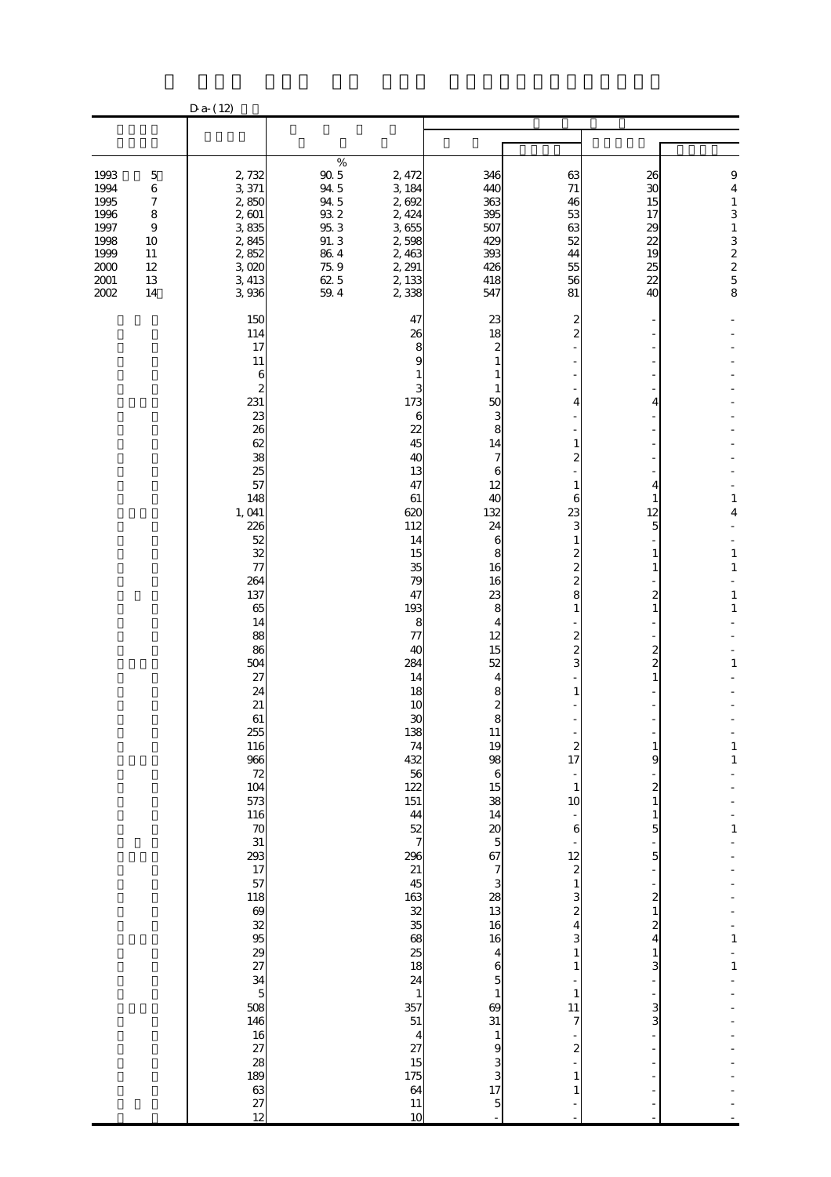|                                                                                      |                                                                                                             | $D a-(12)$                                                                                                                                                                                                                                                                                                                                                                                                                                                    |                                                                                                                                                                                                                                                                                                                                                                                                                                     |                                                                                                                                                                                                                                                                                                                                                                                                                        |                                                                                                                                                                                      |                                                                                               |                                                                                                                                                                                   |  |
|--------------------------------------------------------------------------------------|-------------------------------------------------------------------------------------------------------------|---------------------------------------------------------------------------------------------------------------------------------------------------------------------------------------------------------------------------------------------------------------------------------------------------------------------------------------------------------------------------------------------------------------------------------------------------------------|-------------------------------------------------------------------------------------------------------------------------------------------------------------------------------------------------------------------------------------------------------------------------------------------------------------------------------------------------------------------------------------------------------------------------------------|------------------------------------------------------------------------------------------------------------------------------------------------------------------------------------------------------------------------------------------------------------------------------------------------------------------------------------------------------------------------------------------------------------------------|--------------------------------------------------------------------------------------------------------------------------------------------------------------------------------------|-----------------------------------------------------------------------------------------------|-----------------------------------------------------------------------------------------------------------------------------------------------------------------------------------|--|
|                                                                                      |                                                                                                             |                                                                                                                                                                                                                                                                                                                                                                                                                                                               |                                                                                                                                                                                                                                                                                                                                                                                                                                     |                                                                                                                                                                                                                                                                                                                                                                                                                        |                                                                                                                                                                                      |                                                                                               |                                                                                                                                                                                   |  |
|                                                                                      |                                                                                                             |                                                                                                                                                                                                                                                                                                                                                                                                                                                               |                                                                                                                                                                                                                                                                                                                                                                                                                                     |                                                                                                                                                                                                                                                                                                                                                                                                                        |                                                                                                                                                                                      |                                                                                               |                                                                                                                                                                                   |  |
| 1993<br>1994<br>1995<br>1996<br>1997<br>1998<br>1999<br>$2000\,$<br>$2001\,$<br>2002 | $\mathbf 5$<br>$\,6\,$<br>$\boldsymbol{7}$<br>$\bf 8$<br>$\boldsymbol{9}$<br>10<br>11<br>12<br>13<br>$14\,$ | 2,732<br>3,371<br>2,850<br>2,601<br>3835<br>2,845<br>2,852<br>3,020<br>3,413<br>3,936                                                                                                                                                                                                                                                                                                                                                                         | $\%$<br>$90\,5$<br>2, 472<br>94 5<br>3,184<br>94 5<br>2,692<br>$9\!\mathrm{3}\,2$<br>2, 424<br>$95.3\,$<br>3,655<br>91.3<br>2,598<br>$\begin{array}{c} 86 \ 4 \\ 75 \ 9 \end{array}$<br>2,463<br>2, 291<br>62 5<br>2, 133<br>59.4<br>2,338                                                                                                                                                                                          | 346<br>440<br>363<br>395<br>507<br>429<br>393<br>426<br>418<br>547                                                                                                                                                                                                                                                                                                                                                     | 63<br>71<br>46<br>53<br>63<br>52<br>44<br>55<br>56<br>81                                                                                                                             | 26<br>30<br>15<br>17<br>29<br>$\overline{2}$<br>$\frac{19}{25}$<br>22<br>40                   | $\boldsymbol{9}$<br>$\overline{\mathbf{4}}$<br>$\mathbf{1}$<br>3<br>$\mathbf{1}$<br>32258                                                                                         |  |
|                                                                                      |                                                                                                             | 150<br>114<br>17<br>11<br>6<br>2<br>231<br>23<br>26<br>62<br>38<br>25<br>57<br>148<br>1, 041<br>226<br>52<br>32<br>$\overline{\tau}$<br>264<br>137<br>65<br>14<br>88<br>86<br>504<br>27<br>24<br>21<br>61<br>255<br>116<br>$\frac{116}{20}$ $\frac{70}{20}$ $\frac{31}{20}$ $\frac{203}{17}$ $\frac{77}{57}$<br>118<br>69<br>69<br>69<br>69<br>50<br>508<br>146<br>$\frac{16}{27}$<br>$\frac{28}{189}$<br>$\begin{array}{c}\n 63 \\  27 \\  12\n \end{array}$ | 47<br>26<br>8<br>c<br>173<br>6<br>22<br>45<br>40<br>13<br>47<br>61<br>620<br>112<br>14<br>15<br>35<br>79<br>47<br>193<br>8<br>77<br>40<br>284<br>14<br>18<br>10<br>30<br>138<br>$74$<br>$432$<br>$56$<br>$122$<br>151<br>$\begin{array}{c} 44 \\ 52 \\ 7 \end{array}$<br>$\frac{296}{21}$<br>163<br>32 35 86 86 86 87 88<br>$\mathbf{1}$<br>357<br>51<br>$\overline{\mathbf{4}}$<br>$\frac{27}{15}$<br>175<br>64<br>$\frac{11}{10}$ | 23<br>18<br>2<br>1<br>1<br>50<br>3<br>8<br>14<br>7<br>6<br>12<br>40<br>132<br>24<br>6<br>8<br>16<br>16<br>23<br>8<br>4<br>12<br>15<br>52<br>4<br>8<br>$\mathbf{z}$<br>8<br>11<br>19<br>98<br>$\mathbf{6}$<br>$\frac{15}{38}$<br>$14$ 20 5 67 7 3 28 13 16<br>16<br>$\overline{\mathbf{r}}$<br>$\mathbf{6}$<br>$\overline{5}$<br>$\mathbf{1}$<br>69<br>31<br>$\mathbf{1}$<br>9<br>3<br>$\frac{3}{17}$<br>$\overline{5}$ | 2<br>∠<br>6<br>23<br>8<br>1<br>2<br>$\boldsymbol{z}$<br>17<br>$\mathbf{1}$<br>10<br>$\boldsymbol{6}$<br>12<br>$\overline{\mathbf{c}}$<br>1<br>З<br>$\mathbf{1}$<br>11<br>7<br>2<br>1 | 4<br>4<br>12<br>5<br>2<br>2<br>2<br>9<br>2<br>5<br>5<br>2<br>$\mathbf{z}$<br>4<br>3<br>3<br>3 | $\mathbf{1}$<br>4<br>$\mathbf{1}$<br>$\mathbf{1}$<br>$\mathbf{1}$<br>$\mathbf{1}$<br>$\mathbf{1}$<br>$\mathbf{1}$<br>$\mathbf{1}$<br>$\mathbf{1}$<br>$\mathbf{1}$<br>$\mathbf{1}$ |  |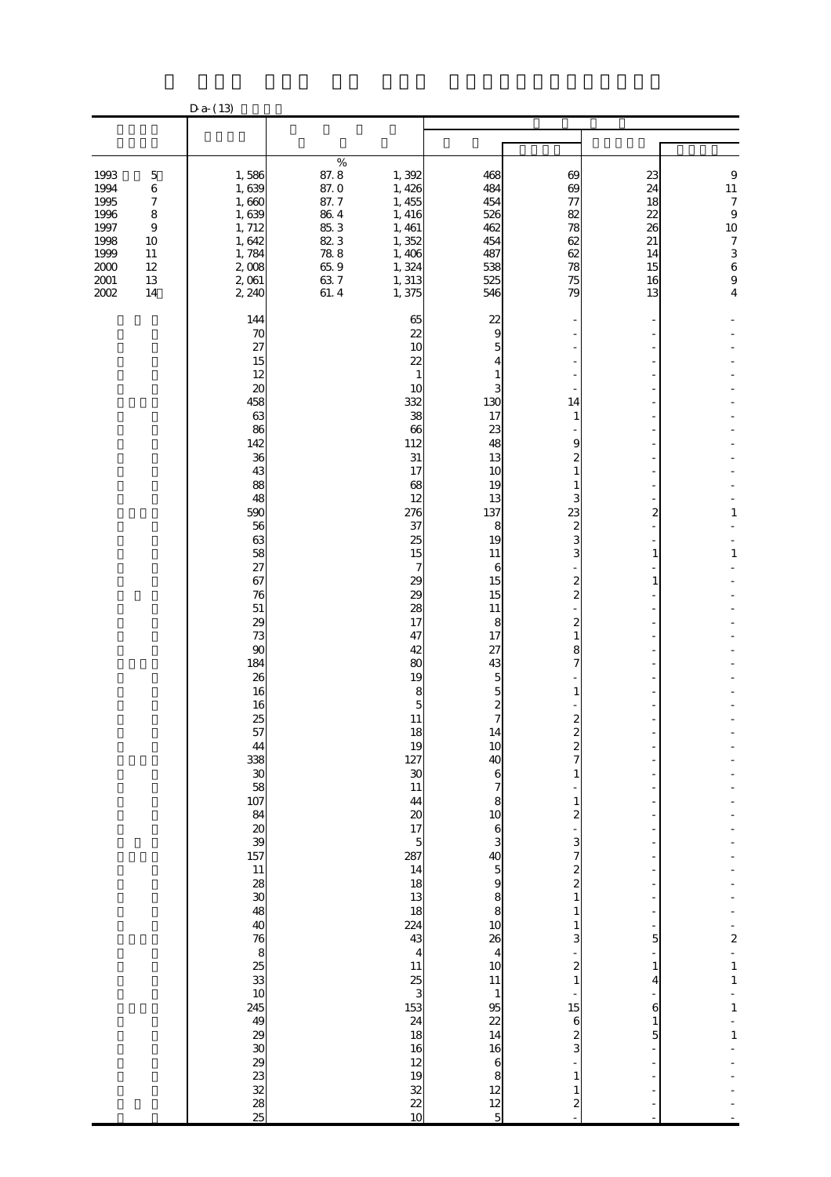|                                                                                      |                                                                                                             | $Da- (13)$                                                                                                                                                                                      |                                                                                                                      |                                                                                                                                                                                                                                                                                                                                                                                                  |                                                                                                                                                                                                                                                                                                                                                                                                                                                                       |                                                                                                                                                          |                                                          |                                                                                                                                             |
|--------------------------------------------------------------------------------------|-------------------------------------------------------------------------------------------------------------|-------------------------------------------------------------------------------------------------------------------------------------------------------------------------------------------------|----------------------------------------------------------------------------------------------------------------------|--------------------------------------------------------------------------------------------------------------------------------------------------------------------------------------------------------------------------------------------------------------------------------------------------------------------------------------------------------------------------------------------------|-----------------------------------------------------------------------------------------------------------------------------------------------------------------------------------------------------------------------------------------------------------------------------------------------------------------------------------------------------------------------------------------------------------------------------------------------------------------------|----------------------------------------------------------------------------------------------------------------------------------------------------------|----------------------------------------------------------|---------------------------------------------------------------------------------------------------------------------------------------------|
|                                                                                      |                                                                                                             |                                                                                                                                                                                                 |                                                                                                                      |                                                                                                                                                                                                                                                                                                                                                                                                  |                                                                                                                                                                                                                                                                                                                                                                                                                                                                       |                                                                                                                                                          |                                                          |                                                                                                                                             |
| 1993<br>1994<br>1995<br>1996<br>1997<br>1998<br>1999<br>$2000\,$<br>$2001\,$<br>2002 | $\mathbf 5$<br>$\,6\,$<br>$\boldsymbol{7}$<br>$\bf 8$<br>$\boldsymbol{9}$<br>10<br>11<br>12<br>13<br>$14\,$ | 1,586<br>1,639<br>1,660<br>1,639<br>1, 712<br>1,642<br>1,784<br>2,008<br>2,061<br>2, 240                                                                                                        | $\%$<br>87.8<br>87.0<br>87.7<br>$86\ 4$<br>85.3<br>823<br>$\begin{array}{c} 78.8 \\ 65.9 \end{array}$<br>637<br>61.4 | 1,392<br>1,426<br>1, 455<br>1, 416<br>1, 461<br>1,352<br>1,406<br>1,324<br>1, 313<br>1,375                                                                                                                                                                                                                                                                                                       | 468<br>484<br>454<br>526<br>462<br>454<br>487<br>538<br>525<br>546                                                                                                                                                                                                                                                                                                                                                                                                    | 69<br>$\boldsymbol{\omega}$<br>$\tau$<br>82<br>78<br>62<br>62<br>78<br>75<br>79                                                                          | 23<br>24<br>18<br>22<br>26<br>21<br>14<br>15<br>16<br>13 | $\boldsymbol{9}$<br>11<br>$\boldsymbol{7}$<br>$\boldsymbol{9}$<br>10<br>$\boldsymbol{7}$<br>$\begin{array}{c} 3 \\ 6 \\ 9 \\ 4 \end{array}$ |
|                                                                                      |                                                                                                             | 144<br>70<br>27<br>15<br>12<br>20<br>458<br>63<br>86<br>142<br>36<br>43<br>88<br>48<br>590<br>56<br>63<br>58<br>27<br>67<br>76<br>$51\,$<br>29<br>73<br>90<br>184<br>26<br>16<br>16<br>25<br>57 |                                                                                                                      | 65<br>22<br>10<br>22<br>10<br>332<br>38<br>66<br>112<br>31<br>17<br>68<br>12<br>276<br>37<br>25<br>15<br>7<br>29<br>29<br>28<br>17<br>47<br>42<br>80<br>19<br>8<br>5<br>11<br>18<br>19<br>127<br>$\frac{30}{11}$<br>44<br>20<br>17<br>$\overline{5}$<br>287<br>$\frac{14}{18}$<br>18<br>224<br>43<br>$\overline{4}$<br>$11$ $25$ $3$ $153$ $24$ $18$<br>16<br>12<br>$19$<br>$32$<br>$22$<br>$10$ | 22<br>9<br>5<br>4<br>1<br>130<br>17<br>23<br>48<br>13<br>10<br>19<br>13<br>137<br>8<br>19<br>11<br>6<br>15<br>15<br>11<br>8<br>17<br>27<br>43<br>5<br>5<br>$\boldsymbol{z}$<br>7<br>10<br>40<br>6<br>8<br>$\begin{array}{c} 10 \\ 6 \\ 3 \end{array}$<br>$\frac{40}{5}$<br>$\frac{5}{8}$<br>8<br>$\frac{10}{26}$<br>$\overline{\mathbf{4}}$<br>$\frac{10}{11}$<br>$\mathbf{1}$<br>95<br>22<br>14<br>16<br>$\mathbf{6}$<br>$\begin{array}{c} 8 \\ 12 \\ 5 \end{array}$ | 14<br>1<br>9<br>23<br>2<br>8<br>2<br>$\boldsymbol{z}$<br>1<br>з<br>$\overline{\mathcal{Z}}$<br>3<br>2<br>1<br>15<br>6<br>$\boldsymbol{z}$<br>3<br>1<br>2 | 2<br>1<br>5<br>4<br>6<br>5                               | $\mathbf{1}$<br>$\mathbf{1}$<br>$\overline{\mathbf{c}}$<br>$\frac{1}{1}$<br>$\mathbf{1}$<br>$\mathbf{1}$                                    |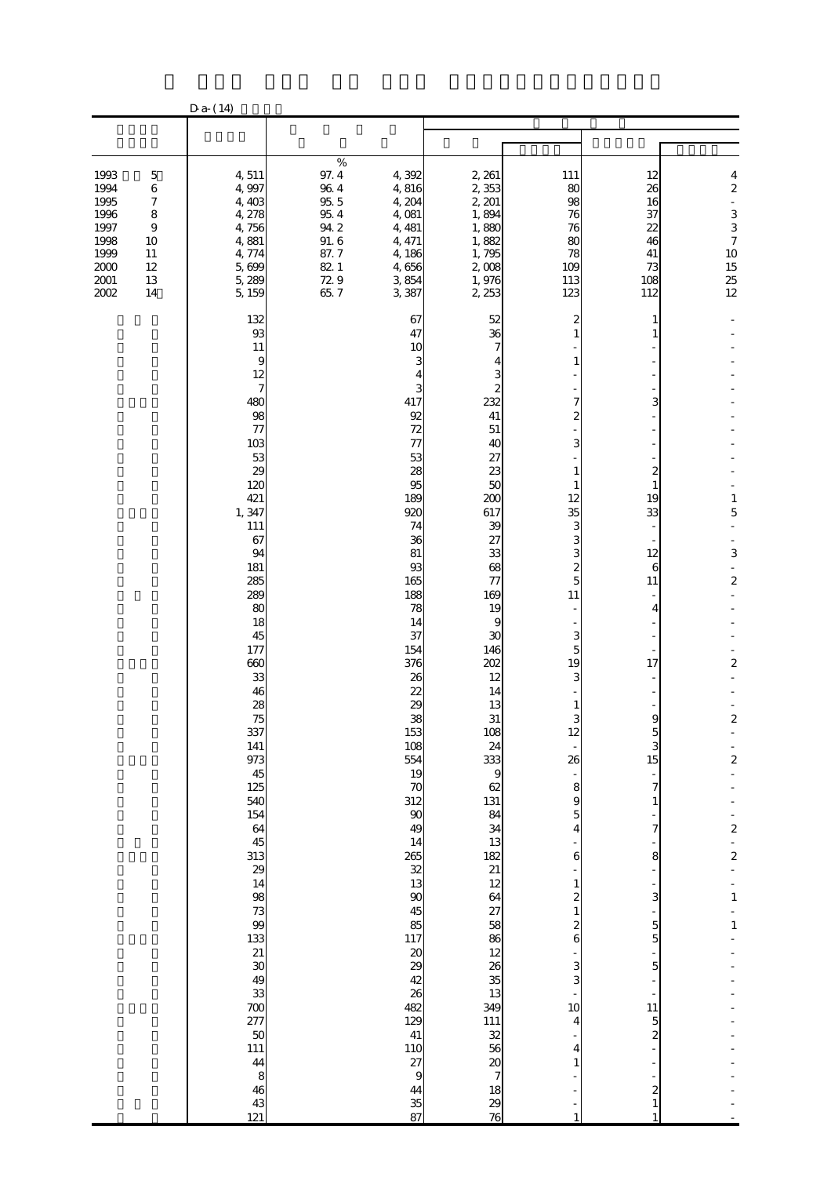|                                                                                    |                                                                                                         | $D a-(14)$                                                                                                                                                                                                                                                                                                                                                                                                    |                                                                                             |                                                                                                                                                                                                                                                                                                                                                                                                                                                                |                                                                                                                                                                                                                                                                                                                                                                                          |                                                                                                                             |                                                                                                                                                                        |                                                                                                                                                                                                                            |
|------------------------------------------------------------------------------------|---------------------------------------------------------------------------------------------------------|---------------------------------------------------------------------------------------------------------------------------------------------------------------------------------------------------------------------------------------------------------------------------------------------------------------------------------------------------------------------------------------------------------------|---------------------------------------------------------------------------------------------|----------------------------------------------------------------------------------------------------------------------------------------------------------------------------------------------------------------------------------------------------------------------------------------------------------------------------------------------------------------------------------------------------------------------------------------------------------------|------------------------------------------------------------------------------------------------------------------------------------------------------------------------------------------------------------------------------------------------------------------------------------------------------------------------------------------------------------------------------------------|-----------------------------------------------------------------------------------------------------------------------------|------------------------------------------------------------------------------------------------------------------------------------------------------------------------|----------------------------------------------------------------------------------------------------------------------------------------------------------------------------------------------------------------------------|
|                                                                                    |                                                                                                         |                                                                                                                                                                                                                                                                                                                                                                                                               |                                                                                             |                                                                                                                                                                                                                                                                                                                                                                                                                                                                |                                                                                                                                                                                                                                                                                                                                                                                          |                                                                                                                             |                                                                                                                                                                        |                                                                                                                                                                                                                            |
|                                                                                    |                                                                                                         |                                                                                                                                                                                                                                                                                                                                                                                                               | $\%$                                                                                        |                                                                                                                                                                                                                                                                                                                                                                                                                                                                |                                                                                                                                                                                                                                                                                                                                                                                          |                                                                                                                             |                                                                                                                                                                        |                                                                                                                                                                                                                            |
| 1993<br>1994<br>1995<br>1996<br>1997<br>1998<br>1999<br>$2000$<br>$2001\,$<br>2002 | $\mathbf 5$<br>$\,6\,$<br>$\boldsymbol{7}$<br>$\bf 8$<br>$\boldsymbol{9}$<br>10<br>11<br>12<br>13<br>14 | 4,511<br>4,997<br>4,403<br>4,278<br>4,756<br>4,881<br>4,774<br>5,699<br>5,289<br>5,159                                                                                                                                                                                                                                                                                                                        | $97.4\,$<br>$96\;4$<br>$95\,5$<br>$95\ 4$<br>942<br>$91.\,6$<br>87.7<br>82 1<br>729<br>65.7 | 4,392<br>4,816<br>4,204<br>4,081<br>4, 481<br>4, 471<br>4,186<br>4,656<br>3,854<br>3,387                                                                                                                                                                                                                                                                                                                                                                       | 2, 261<br>2,353<br>2, 201<br>1,894<br>1,880<br>1,882<br>1,795<br>2,008<br>1,976<br>2, 253                                                                                                                                                                                                                                                                                                | 111<br>80<br>98<br>76<br>76<br>80<br>78<br>109<br>113<br>123                                                                | 12<br>26<br>16<br>37<br>22<br>46<br>41<br>73<br>108<br>112                                                                                                             | 4<br>$\overline{\mathbf{c}}$<br>$\overline{a}$<br>3<br>$\frac{3}{7}$<br>$10$<br>$15$<br>$25$<br>$12$                                                                                                                       |
|                                                                                    |                                                                                                         | 132<br>$93$<br>11<br>9<br>12<br>7<br>480<br>98<br>$\tau$<br>10 <sub>3</sub><br>53<br>29<br>120<br>421<br>1,347<br>111<br>67<br>94<br>181<br>285<br>289<br>80<br>18<br>45<br>177<br>660<br>33<br>46<br>28<br>75<br>337<br>141<br>973<br>$\frac{45}{125}$<br>540<br>$\begin{array}{c} 154 \\ 64 \\ 45 \end{array}$<br>313<br>29 14 98 73 99 33<br>31 30 49 33<br>70 77 50<br>111<br>44<br>$\frac{8}{43}$<br>121 |                                                                                             | 67<br>47<br>10<br>3<br>417<br>92<br>72<br>$\tau$<br>53<br>28<br>95<br>189<br>920<br>74<br>36<br>81<br>93<br>165<br>188<br>78<br>14<br>37<br>154<br>376<br>26<br>$\overline{22}$<br>$\infty$<br>38<br>153<br>108<br>554<br>19<br>70<br>312<br>$\boldsymbol{\infty}$<br>49<br>14<br>265<br>$\frac{32}{13}$<br>$\boldsymbol{\mathsf{S}}$<br>45<br>85<br>117<br>20<br>29<br>42<br>26<br>482<br>129<br>41<br><b>110</b><br>27<br>$\boldsymbol{9}$<br>44<br>35<br>87 | 52<br>36<br>232<br>41<br>51<br>40<br>27<br>23<br>50<br>200<br>617<br>39<br>27<br>33<br>68<br>77<br>169<br>19<br>9<br>30<br>146<br>202<br>12<br>14<br>13<br>31<br>108<br>24<br>333<br>$\overline{9}$<br>62<br>131<br>84<br>34<br>13<br>$\begin{array}{c}\n 182 \\  21 \\  12\n \end{array}$<br>64<br>$27$ 58 $86$ 12<br>26<br>35<br>349<br>349<br>111<br>$\frac{32}{7}$<br>18<br>29<br>76 | 12<br>35<br>3<br>5<br>11<br>5<br>19<br>$\mathbf{z}$<br>26<br>8<br>9<br>5<br>4<br>6<br>1<br>2<br>6<br>3<br>3<br>10<br>4<br>4 | 3<br>2<br>19<br>33<br>12<br>6<br>11<br>4<br>17<br>9<br>3<br>15<br>7<br>7<br>8<br>3<br>$\mathbf{5}$<br>5<br>$\mathbf{5}$<br>11<br>$\overline{5}$<br>$\overline{c}$<br>2 | $\mathbf{1}$<br>5<br>3<br>$\overline{\mathcal{Z}}$<br>$\overline{\mathcal{Z}}$<br>$\overline{\mathbf{c}}$<br>$\overline{\mathbf{c}}$<br>$\overline{\mathbf{c}}$<br>$\overline{\mathbf{c}}$<br>$\mathbf{1}$<br>$\mathbf{1}$ |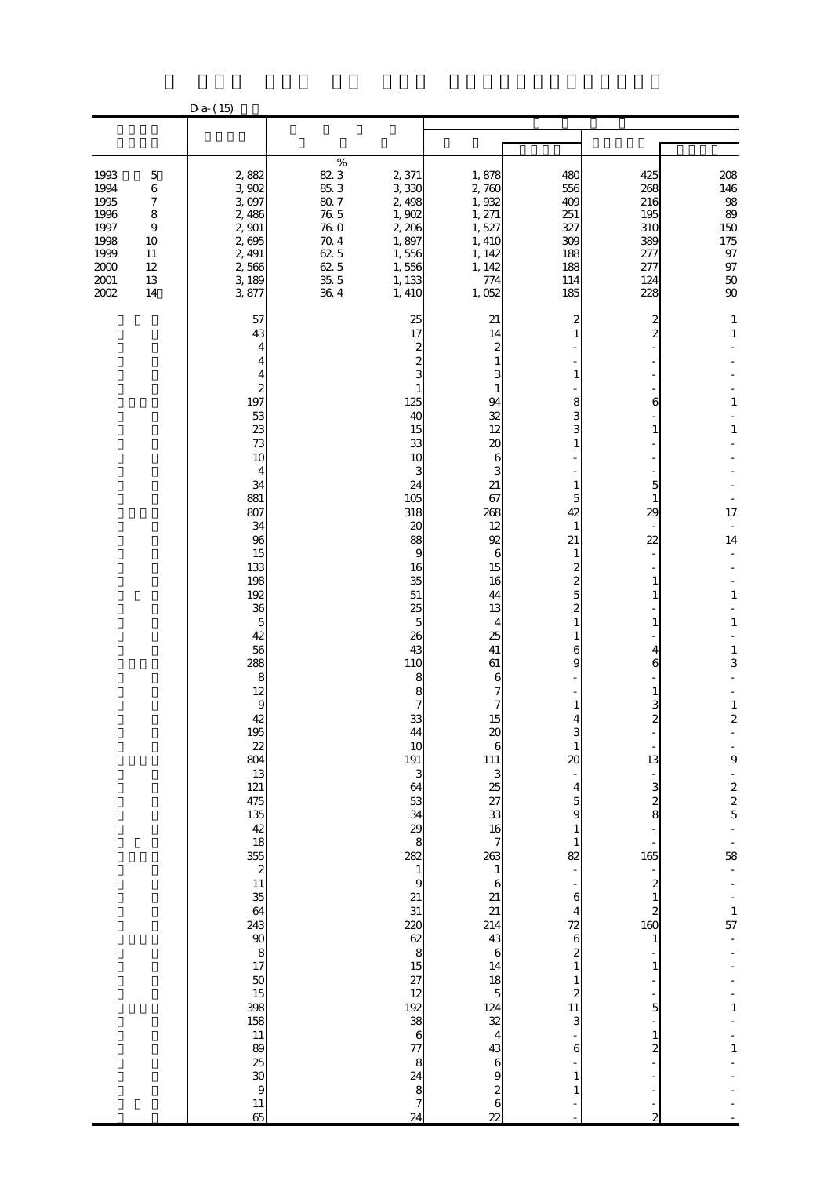|                                                                                    |                                                                                                   | $D a-(15)$                                                                                                                                                                                                                                                                                                                                                                                                       |                                                                                                       |                                                                                                                                                                                                                                                                                                                                                                                                                                                                   |                                                                                                                                                                                                                                                                                                                                                                                                                                                                                                                                             |                                                                                                                                                                                                                                                                                                                                            |                                                                                                                                                              |                                                                                                                                                                                                                                                                                                     |
|------------------------------------------------------------------------------------|---------------------------------------------------------------------------------------------------|------------------------------------------------------------------------------------------------------------------------------------------------------------------------------------------------------------------------------------------------------------------------------------------------------------------------------------------------------------------------------------------------------------------|-------------------------------------------------------------------------------------------------------|-------------------------------------------------------------------------------------------------------------------------------------------------------------------------------------------------------------------------------------------------------------------------------------------------------------------------------------------------------------------------------------------------------------------------------------------------------------------|---------------------------------------------------------------------------------------------------------------------------------------------------------------------------------------------------------------------------------------------------------------------------------------------------------------------------------------------------------------------------------------------------------------------------------------------------------------------------------------------------------------------------------------------|--------------------------------------------------------------------------------------------------------------------------------------------------------------------------------------------------------------------------------------------------------------------------------------------------------------------------------------------|--------------------------------------------------------------------------------------------------------------------------------------------------------------|-----------------------------------------------------------------------------------------------------------------------------------------------------------------------------------------------------------------------------------------------------------------------------------------------------|
|                                                                                    |                                                                                                   |                                                                                                                                                                                                                                                                                                                                                                                                                  |                                                                                                       |                                                                                                                                                                                                                                                                                                                                                                                                                                                                   |                                                                                                                                                                                                                                                                                                                                                                                                                                                                                                                                             |                                                                                                                                                                                                                                                                                                                                            |                                                                                                                                                              |                                                                                                                                                                                                                                                                                                     |
|                                                                                    |                                                                                                   |                                                                                                                                                                                                                                                                                                                                                                                                                  |                                                                                                       |                                                                                                                                                                                                                                                                                                                                                                                                                                                                   |                                                                                                                                                                                                                                                                                                                                                                                                                                                                                                                                             |                                                                                                                                                                                                                                                                                                                                            |                                                                                                                                                              |                                                                                                                                                                                                                                                                                                     |
| 1993<br>1994<br>1995<br>1996<br>1997<br>1998<br>1999<br>$2000$<br>$2001\,$<br>2002 | $\mathbf 5$<br>$\,6\,$<br>$\boldsymbol{7}$<br>8<br>$\boldsymbol{9}$<br>10<br>11<br>12<br>13<br>14 | 2,882<br>3,902<br>3.097<br>2,486<br>2,901<br>2,695<br>2, 491<br>2,566<br>3,189<br>3877                                                                                                                                                                                                                                                                                                                           | $\%$<br>823<br>85.3<br>$80.7\,$<br>$76\ 5$<br>$76\ 0$<br>$70\;4$<br>62.5<br>$62\,5$<br>$35\ 5$<br>364 | 2,371<br>3,330<br>2,498<br>1,902<br>2,206<br>1,897<br>1,556<br>1,556<br>1, 133<br>1, 410                                                                                                                                                                                                                                                                                                                                                                          | 1,878<br>2,760<br>1,932<br>1, 271<br>1,527<br>1, 410<br>1, 142<br>1, 142<br>774<br>1,052                                                                                                                                                                                                                                                                                                                                                                                                                                                    | 480<br>556<br>400<br>251<br>327<br>309<br>188<br>188<br>114<br>185                                                                                                                                                                                                                                                                         | 425<br>268<br>216<br>195<br>310<br>389<br>277<br>277<br>124<br>228                                                                                           | 208<br>146<br>98<br>89<br>150<br>175<br>$\frac{97}{97}$<br>$50\,$<br>90                                                                                                                                                                                                                             |
|                                                                                    |                                                                                                   | 57<br>43<br>4<br>4<br>2<br>197<br>53<br>23<br>73<br>10<br>4<br>34<br>881<br>807<br>34<br>96<br>15<br>133<br>198<br>192<br>36<br>$\mathbf{5}$<br>42<br>56<br>288<br>8<br>12<br>9<br>42<br>195<br>$\begin{array}{c}\n 22 \\  804\n \end{array}$<br>$13$<br>$121$<br>$475$<br>$43$<br>$48$<br>$18$<br>$55$<br>$2$<br>$11$<br>$35$<br>$64$<br><br>9<br>38 38 5<br>13 9<br>3<br>$11$ 89 23 30 30 31 31 31 32 33<br>65 |                                                                                                       | 25<br>17<br>2<br>2<br>1<br>125<br>40<br>15<br>33<br>10<br>3<br>24<br>105<br>318<br>20<br>88<br>9<br>16<br>35<br>${\bf 51}$<br>25<br>5<br>26<br>43<br>110<br>8<br>8<br>33<br>44<br>10<br>191<br>3<br>64<br>53333<br>8<br>282<br>$\mathbf{1}$<br>$\overline{9}$<br>21<br>31<br>220<br>$\begin{array}{c} 62 \\ 8 \end{array}$<br>$\begin{array}{c} 15 \\ 27 \\ 12 \\ 8 \\ 6 \end{array}$<br>$\frac{77}{8}$<br>24<br>8<br>$\overline{\phantom{a}}$<br>$\overline{24}$ | 21<br>14<br>$\boldsymbol{z}$<br>1<br>3<br>1<br>94<br>32<br>12<br>20<br>6<br>3<br>21<br>67<br>268<br>12<br>92<br>6<br>15<br>16<br>44<br>13<br>4<br>25<br>41<br>61<br>6<br>7<br>15<br>$\alpha$<br>6<br>111 3<br>$\frac{3}{25}$ $\frac{27}{33}$ 3<br>$\frac{16}{7}$<br>$\begin{array}{c}\n 263 \\  1\n \end{array}$<br>$\boldsymbol{6}$<br>$21$<br>$214$<br>$43$<br>$6$<br>$\begin{array}{c} 14 \\ 18 \\ 5 \end{array}$<br>$\begin{array}{c} 124 \\ 32 \\ 4 \end{array}$<br>$\frac{43}{6}$<br>$\overline{\mathcal{Z}}$<br>6<br>$\overline{22}$ | 2<br>1<br>8<br>3<br>1<br>5<br>42<br>$\mathbf{1}$<br>21<br>$\mathbf{1}$<br>$\overline{c}$<br>2<br>6<br>g<br>4<br>$\mathbf{1}$<br>20<br>4<br>5<br>9<br>$\mathbf{1}$<br>82<br>6<br>4<br>$\begin{array}{c} 72 \\ 6 \end{array}$<br>$\overline{\mathbf{c}}$<br>$\mathbf{1}$<br>$\mathbf{1}$<br>$\begin{array}{c} 2 \\ 11 \end{array}$<br>3<br>6 | 2<br>$\overline{c}$<br>6<br>1<br>5<br>1<br>29<br>22<br>1<br>1<br>4<br>6<br>З<br>2<br>13<br>3<br>2<br>8<br>165<br>$\boldsymbol{z}$<br>2<br>160<br>1<br>5<br>2 | $\mathbf{1}$<br>$\mathbf 1$<br>$\mathbf{1}$<br>$\mathbf{1}$<br>17<br>$\overline{\phantom{a}}$<br>14<br>$\mathbf{1}$<br>$\mathbf{1}$<br>$\mathbf{1}$<br>3<br>$\frac{1}{2}$<br>$\boldsymbol{9}$<br>$\begin{array}{c} 2 \\ 2 \\ 5 \end{array}$<br>58<br>$\frac{1}{57}$<br>$\mathbf{1}$<br>$\mathbf{1}$ |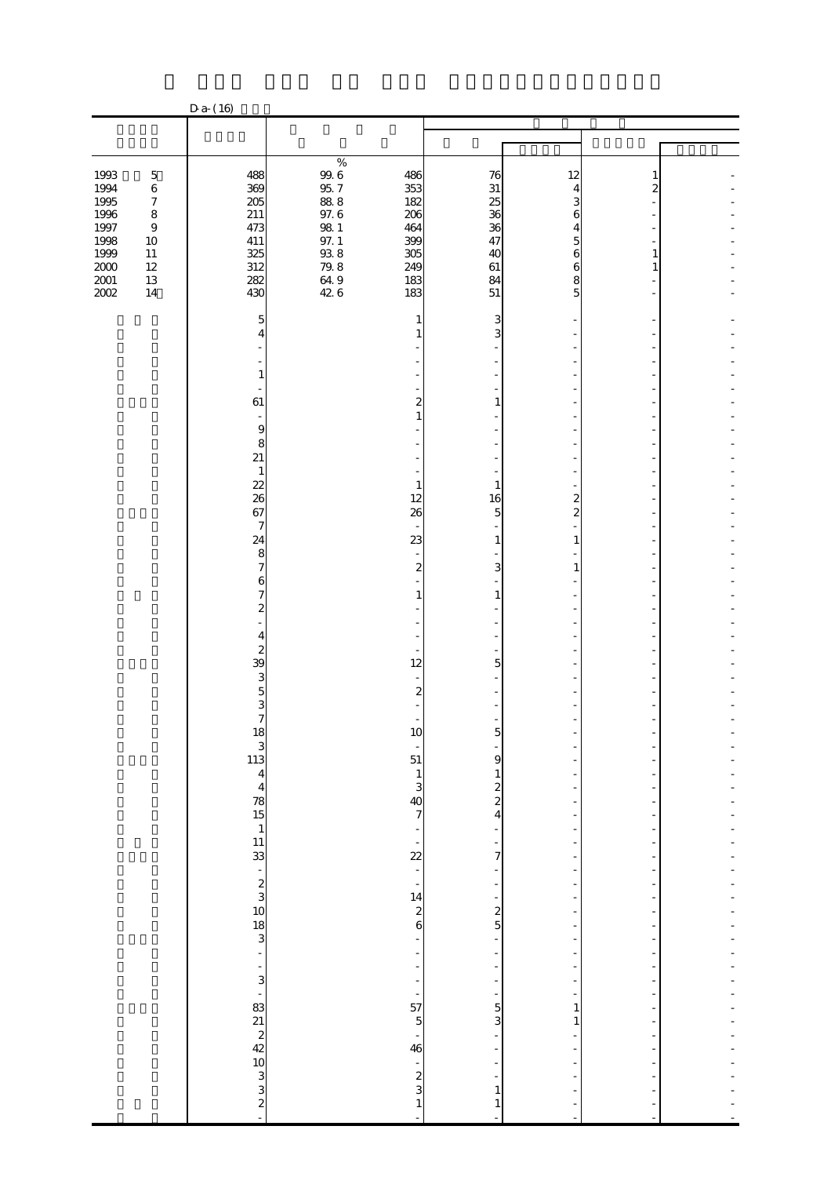|                                              |                                                     | $D a-(16)$                                                                         |                                                    |                                                    |                              |                              |        |  |
|----------------------------------------------|-----------------------------------------------------|------------------------------------------------------------------------------------|----------------------------------------------------|----------------------------------------------------|------------------------------|------------------------------|--------|--|
|                                              |                                                     |                                                                                    |                                                    |                                                    |                              |                              |        |  |
|                                              |                                                     |                                                                                    |                                                    |                                                    |                              |                              |        |  |
| 1993<br>1994<br>1995<br>1996                 | $\mathbf 5$<br>$\,6$<br>$\boldsymbol{7}$<br>$\bf 8$ | 488<br>369<br>205<br>211                                                           | $\%$<br>$\frac{99.6}{95.7}$<br>$88\;8$<br>$97.6\,$ | 486<br>353<br>182<br>206                           | 76<br>31<br>25<br>36         | 12<br>4<br>3<br>6            | 1<br>2 |  |
| 1997<br>1998<br>1999<br>$2000\,$<br>$2001\,$ | $\boldsymbol{9}$<br>10<br>$11\,$<br>$12\,$<br>13    | 473<br>411<br>325<br>312<br>282                                                    | $98\ 1$<br>$\frac{97.1}{93.8}$                     | 464<br>399<br>305<br>249<br>183                    | 36<br>47<br>40<br>61<br>84   | 4<br>5<br>6<br>6<br>8        | 1<br>1 |  |
| $200\!$                                      | 14                                                  | 430<br>5                                                                           | $649$<br>$426$                                     | 183<br>$\mathbf{1}$                                | 51<br>3                      | 5                            |        |  |
|                                              |                                                     | 4                                                                                  |                                                    | $\mathbf{1}$                                       | 3                            |                              |        |  |
|                                              |                                                     | 1<br>61                                                                            |                                                    | $\overline{\mathbf{c}}$<br>$\mathbf{1}$            | 1                            |                              |        |  |
|                                              |                                                     | $\boldsymbol{9}$<br>8<br>21                                                        |                                                    |                                                    |                              |                              |        |  |
|                                              |                                                     | $\mathbf{1}$<br>$\frac{22}{26}$                                                    |                                                    | $\mathbf{1}$<br>12                                 | $\mathbf{1}$<br>16           | 2                            |        |  |
|                                              |                                                     | 67<br>$\mathcal I$<br>24                                                           |                                                    | 26<br>23                                           | 5<br>1                       | $\mathbf{z}$<br>1            |        |  |
|                                              |                                                     | 8<br>7<br>6<br>7                                                                   |                                                    | $\boldsymbol{z}$<br>1                              | 3<br>1                       | 1                            |        |  |
|                                              |                                                     | $\boldsymbol{z}$<br>4                                                              |                                                    |                                                    |                              |                              |        |  |
|                                              |                                                     | $\boldsymbol{z}$<br>39<br>3                                                        |                                                    | 12                                                 | 5                            |                              |        |  |
|                                              |                                                     | 5<br>3<br>7                                                                        |                                                    | $\boldsymbol{2}$                                   |                              |                              |        |  |
|                                              |                                                     |                                                                                    |                                                    | 10<br>$\frac{1}{51}$                               | 9                            |                              |        |  |
|                                              |                                                     | 13<br>3<br>3<br>4<br>4<br>7<br>3<br>5<br>4<br>5<br>5<br>5<br>8<br>5<br>8<br>5<br>8 |                                                    | $\frac{1}{3}$<br>40<br>7                           | $\frac{1}{2}$<br>4           | ÷                            |        |  |
|                                              |                                                     |                                                                                    |                                                    | ÷,<br>22                                           | $\overline{7}$               | ÷                            |        |  |
|                                              |                                                     |                                                                                    |                                                    | $\begin{array}{c} 1.1 \ 14 \ 2 \ 6 \end{array}$    |                              | ۰                            |        |  |
|                                              |                                                     |                                                                                    |                                                    | $\overline{\phantom{m}}$<br>÷                      | $\frac{1}{5}$                | ł,                           |        |  |
|                                              |                                                     |                                                                                    |                                                    | $\frac{1}{2}$<br>$\overline{a}$                    | $\frac{1}{2}$                |                              |        |  |
|                                              |                                                     |                                                                                    |                                                    | $\frac{1}{57}$<br>$\overline{5}$<br>$\frac{1}{46}$ | $\overline{5}$<br>3          | $\mathbf{1}$<br>$\mathbf{1}$ |        |  |
|                                              |                                                     |                                                                                    |                                                    | $\frac{1}{\sqrt{2}}$<br>$\frac{2}{3}$              |                              |                              |        |  |
|                                              |                                                     |                                                                                    |                                                    | $\mathbf{1}$                                       | $\mathbf{1}$<br>$\mathbf{1}$ |                              |        |  |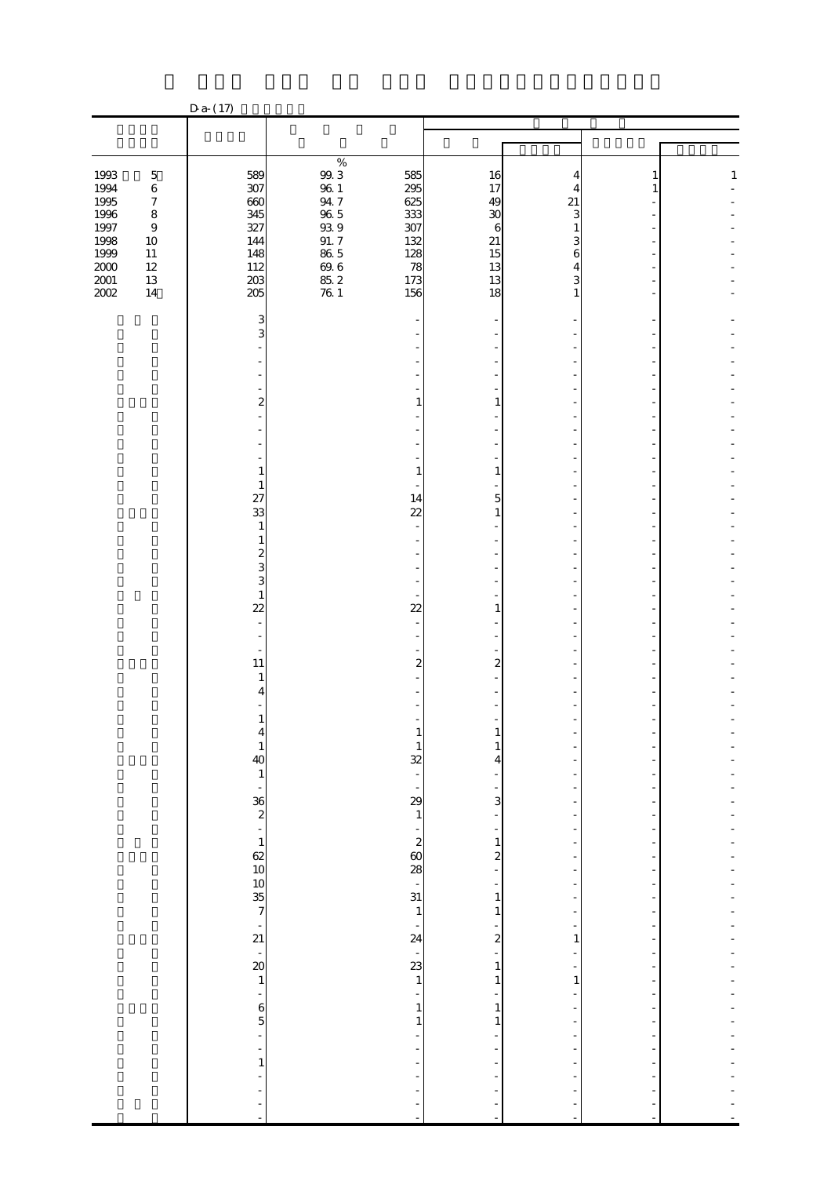|                                          |                                            | $Da-(17)$                                |                                          |                                                            |                              |              |   |              |
|------------------------------------------|--------------------------------------------|------------------------------------------|------------------------------------------|------------------------------------------------------------|------------------------------|--------------|---|--------------|
|                                          |                                            |                                          |                                          |                                                            |                              |              |   |              |
|                                          |                                            |                                          |                                          |                                                            |                              |              |   |              |
| 1993<br>1994                             | $\mathbf 5$<br>$\,6\,$<br>$\boldsymbol{7}$ | 589<br>307<br>660                        | $\%$<br>$9\!0$ $3$<br>$96\ 1$<br>$94\ 7$ | 585<br>295<br>625                                          | 16<br>17<br>49               | 21           | 1 | $\mathbf{1}$ |
| 1995<br>1996<br>1997<br>1998             | $\bf 8$<br>$\boldsymbol{9}$<br>$10\,$      | 345<br>327<br>144                        | 96.5<br>98.9<br>91.7                     | 333<br>307<br>132                                          | 30<br>$\boldsymbol{6}$<br>21 | 3            |   |              |
| 1999<br>$2000\,$<br>$2001\,$<br>$2002\,$ | $11\,$<br>$12\,$<br>$13\,$<br>$14\,$       | 148<br>112<br>203<br>205                 | $86\ 5$<br>$69.6$<br>$85.2$<br>$76.1$    | 128<br>78<br>173<br>156                                    | 15<br>13<br>13<br>18         | 6<br>4<br>1  |   |              |
|                                          |                                            | 3<br>3                                   |                                          |                                                            |                              |              |   |              |
|                                          |                                            |                                          |                                          |                                                            |                              |              |   |              |
|                                          |                                            | 2                                        |                                          | 1                                                          | 1                            |              |   |              |
|                                          |                                            |                                          |                                          |                                                            |                              |              |   |              |
|                                          |                                            | 1<br>$\mathbf{1}$<br>27                  |                                          | $\mathbf{1}$<br>14                                         | $\mathbf{1}$<br>5            |              |   |              |
|                                          |                                            | 33<br>$\mathbf{1}$<br>$\mathbf{1}$       |                                          | 22                                                         | $\mathbf{1}$                 |              |   |              |
|                                          |                                            | $\boldsymbol{z}$<br>3<br>3               |                                          |                                                            |                              |              |   |              |
|                                          |                                            | $\mathbf{1}$<br>22                       |                                          | 22                                                         | 1                            |              |   |              |
|                                          |                                            | 11<br>$\mathbf{1}$                       |                                          | $\boldsymbol{z}$                                           | $\mathbf{z}$                 |              |   |              |
|                                          |                                            | 4<br>1                                   |                                          |                                                            |                              |              |   |              |
|                                          |                                            | $\mathbf{1}$<br>$\overline{40}$          |                                          | $\mathbf{1}$<br>32                                         | 1<br>4                       |              |   |              |
|                                          |                                            | $\mathbf{1}$<br>$\overline{\phantom{a}}$ |                                          | $\overline{a}$<br>$\frac{1}{2}$                            | 3                            |              |   |              |
|                                          |                                            | $\frac{36}{2}$<br>$\mathbf{1}$           |                                          |                                                            | $\mathbf{1}$                 |              |   |              |
|                                          |                                            | $rac{62}{10}$<br>$rac{10}{35}$           |                                          | $\frac{2}{60}$                                             | 2                            |              |   |              |
|                                          |                                            |                                          |                                          | $\frac{1}{31}$<br>$\mathbf{1}$<br>$\overline{\phantom{a}}$ | $\mathbf{1}$<br>$\mathbf{1}$ |              |   |              |
|                                          |                                            | $\frac{1}{21}$<br>÷,<br>$\frac{20}{1}$   |                                          | 24<br>$\overline{\phantom{0}}$<br>23                       | 2<br>$\mathbf{1}$            | 1            |   |              |
|                                          |                                            | ÷<br>$\frac{6}{5}$                       |                                          | $\mathbf{1}$<br>$\mathbf{1}$                               | $\mathbf{1}$<br>$\mathbf{1}$ | $\mathbf{1}$ |   |              |
|                                          |                                            | ÷,<br>÷                                  |                                          | $\mathbf{1}$                                               | $\mathbf{1}$                 |              |   |              |
|                                          |                                            | $\mathbf{1}$<br>Ĩ,                       |                                          |                                                            |                              |              |   |              |
|                                          |                                            | ł,<br>L,                                 |                                          |                                                            | ÷<br>L,                      |              |   |              |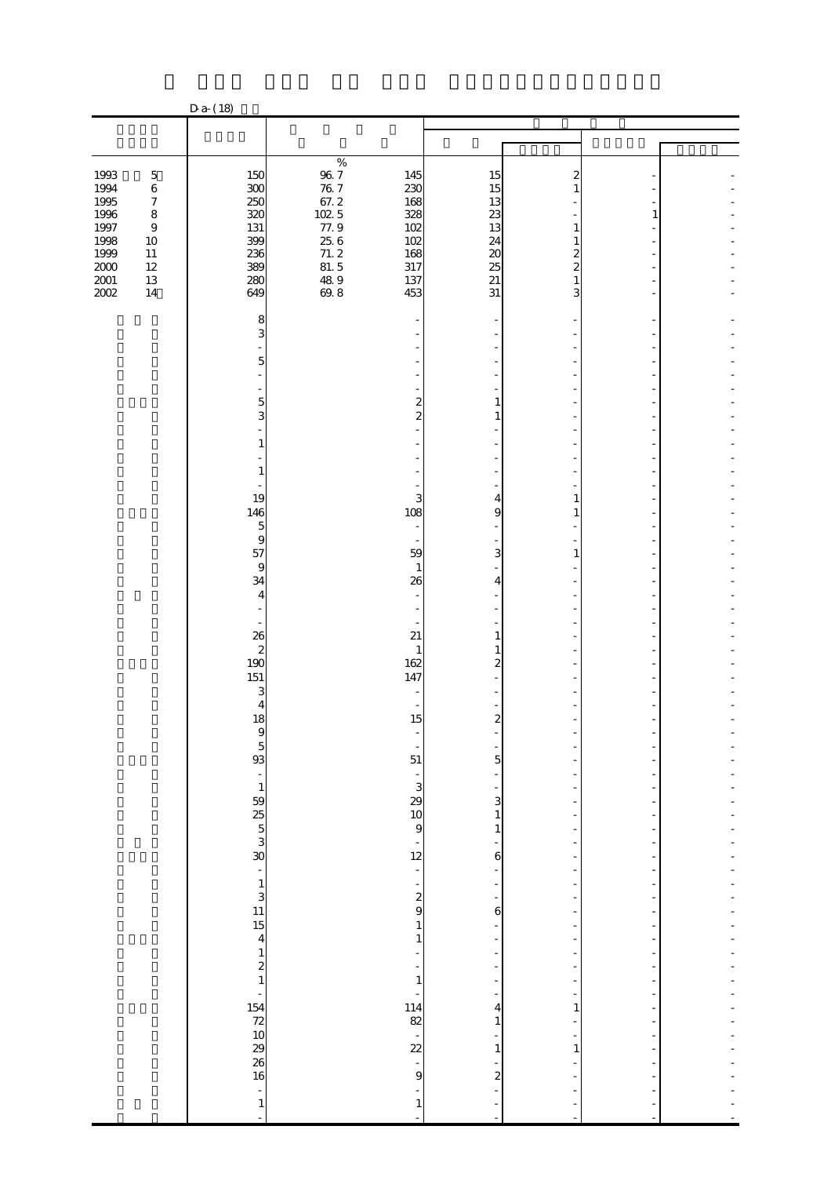|                      |                                   | $Da-(18)$                                                         |                                                 |                                                  |                                          |                     |   |  |
|----------------------|-----------------------------------|-------------------------------------------------------------------|-------------------------------------------------|--------------------------------------------------|------------------------------------------|---------------------|---|--|
|                      |                                   |                                                                   |                                                 |                                                  |                                          |                     |   |  |
|                      |                                   |                                                                   |                                                 |                                                  |                                          |                     |   |  |
| 1993                 | $\mathbf 5$                       | 150                                                               | $\%$                                            | 145                                              | 15                                       | 2                   |   |  |
| 1994<br>1995         | $\,6$<br>$\boldsymbol{7}$         | 300<br>250                                                        | $\frac{96}{76}$ 7<br>67.2                       | 230<br>168                                       | 15<br>13                                 |                     |   |  |
| 1996<br>1997<br>1998 | $\bf 8$<br>$\boldsymbol{9}$<br>10 | 320<br>131<br>399                                                 |                                                 | 328<br>102<br>102                                | 23<br>13<br>24                           | 1<br>1              | 1 |  |
| 1999<br>$2000\,$     | $11\,$<br>12                      | 236<br>389                                                        | $102.5$<br>$77.9$<br>$25.6$<br>$71.2$<br>$81.5$ | 168<br>317                                       | $\boldsymbol{\mathsf{20}}$<br>25         | 2<br>$\overline{c}$ |   |  |
| $2001\,$<br>2002     | 13<br>$14\,$                      | 280<br>649                                                        | $\frac{489}{698}$                               | 137<br>453                                       | 21<br>31                                 | 1<br>3              |   |  |
|                      |                                   | 8<br>3                                                            |                                                 |                                                  |                                          |                     |   |  |
|                      |                                   | 5                                                                 |                                                 |                                                  |                                          |                     |   |  |
|                      |                                   | $\mathbf{5}$                                                      |                                                 | 2                                                | $\mathbf{1}$                             |                     |   |  |
|                      |                                   | 3<br>1                                                            |                                                 | $\overline{c}$                                   | $\mathbf{1}$                             |                     |   |  |
|                      |                                   | 1                                                                 |                                                 |                                                  |                                          |                     |   |  |
|                      |                                   | 19<br>146                                                         |                                                 | 3<br>108                                         | $\overline{\phantom{a}}$<br>4<br>9       | 1<br>1              |   |  |
|                      |                                   | $\overline{5}$<br>$\bf{9}$                                        |                                                 | $\blacksquare$                                   |                                          |                     |   |  |
|                      |                                   | 57<br>$\bf{9}$                                                    |                                                 | 59<br>$\mathbf{1}$                               | 3                                        | 1                   |   |  |
|                      |                                   | 34<br>4                                                           |                                                 | 26                                               | 4                                        |                     |   |  |
|                      |                                   | 26                                                                |                                                 | 21                                               | $\mathbf{1}$                             |                     |   |  |
|                      |                                   | $\begin{array}{c} 2 \\ 190 \end{array}$<br>151                    |                                                 | $\mathbf{1}$<br>162<br>147                       | $\mathbf{1}$<br>$\overline{\mathcal{Z}}$ |                     |   |  |
|                      |                                   | 3<br>4                                                            |                                                 |                                                  |                                          |                     |   |  |
|                      |                                   | 18                                                                |                                                 | 15                                               | $\overline{\mathbf{c}}$                  |                     |   |  |
|                      |                                   | 5 හි හි හි හි 1 හි <i>5</i> හ                                     |                                                 | 51                                               | $\overline{5}$                           |                     |   |  |
|                      |                                   |                                                                   |                                                 | $\begin{array}{c} 0.5 \\ 0.3 \\ 0.9 \end{array}$ | 3<br>$\mathbf 1$                         |                     |   |  |
|                      |                                   |                                                                   |                                                 | $\frac{1}{12}$                                   | $\mathbf{1}$                             |                     |   |  |
|                      |                                   |                                                                   |                                                 | ÷,<br>÷,                                         | 6                                        |                     |   |  |
|                      |                                   |                                                                   |                                                 | $\frac{2}{9}$                                    | 6                                        |                     |   |  |
|                      |                                   | $\frac{1}{3}$<br>13<br>15<br>4<br>12<br>1                         |                                                 | $\mathbf 1$<br>$\mathbf{1}$<br>÷                 |                                          |                     |   |  |
|                      |                                   |                                                                   |                                                 | ÷,<br>$\mathbf{1}$                               |                                          |                     |   |  |
|                      |                                   | $\frac{154}{20}$ $\frac{154}{20}$ $\frac{20}{20}$ $\frac{20}{20}$ |                                                 | 114<br>82                                        | 4<br>1                                   | $\mathbf{1}$        |   |  |
|                      |                                   |                                                                   |                                                 | $\overline{\phantom{a}}$<br>22                   | $\mathbf{1}$                             | $\mathbf{1}$        |   |  |
|                      |                                   |                                                                   |                                                 | $\frac{1}{9}$<br>÷                               | $\overline{\mathbf{c}}$                  |                     |   |  |
|                      |                                   | $\frac{1}{1}$<br>$\overline{\phantom{a}}$                         |                                                 | $\mathbf{1}$<br>$\overline{a}$                   | ÷<br>L,                                  |                     |   |  |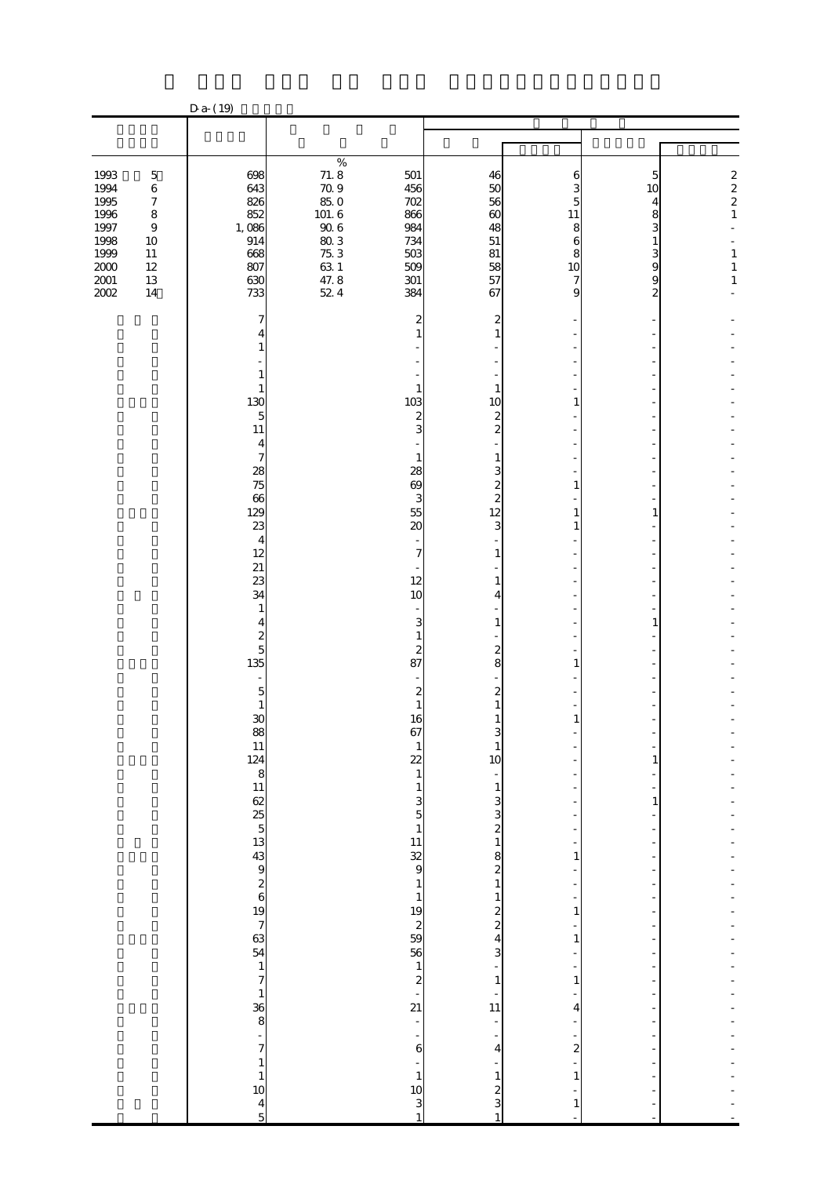| $\%$<br>$71.8$<br>$70.9$<br>$85.0$<br>1993<br>501<br>$\mathbf 5$<br>698<br>46<br>5<br>6<br>643<br>1994<br>$\,$ 6 $\,$<br>456<br>50<br>10<br>1995<br>826<br>56<br>$\boldsymbol{7}$<br>702<br>4<br>$101.6$<br>$90.6$<br>$75.3$<br>$47.8$<br>$47.8$<br>$42.4$<br>1996<br>852<br>866<br>$\infty$<br>$\bf 8$<br>8<br>11<br>1997<br>1,086<br>984<br>$\boldsymbol{9}$<br>48<br>8<br>3<br>1998<br>10<br>914<br>734<br>51<br>6<br>1<br>1999<br>668<br>503<br>$\frac{3}{9}$<br>$11\,$<br>81<br>8<br>$2000\,$<br>807<br>509<br>58<br>$12\,$<br>10<br>$2001\,$<br>630<br>13<br>301<br>57<br>$\bf{9}$<br>2002<br>14<br>733<br>384<br>67<br>9<br>$\overline{c}$<br>7<br>2<br>2<br>1<br>4<br>1<br>1<br>1<br>1<br>130<br>103<br>10<br>1<br>$\overline{5}$<br>$\mathbf{z}$<br>2<br>11<br>3<br>2<br>4<br>$\overline{\phantom{a}}$<br>$\mathbf{1}$<br>1<br>28<br>75<br>28<br>3<br>69<br>2<br>1<br>$\boldsymbol{\alpha}$<br>$\overline{c}$<br>3<br>129<br>55<br>12<br>1<br>23<br>20<br>3<br>$\overline{4}$<br>12<br>7<br>1<br>21<br>23<br>12<br>1<br>34<br>10<br>4<br>1<br>3<br>1<br>4<br>$rac{2}{5}$<br>1<br>2<br>2<br>135<br>87<br>8<br>1<br>$\overline{5}$<br>2<br>2<br>1<br>1<br>30<br>16<br>1<br>1<br>67 |  | $Da- (19)$ |              |   |  |                                                                                                 |
|-------------------------------------------------------------------------------------------------------------------------------------------------------------------------------------------------------------------------------------------------------------------------------------------------------------------------------------------------------------------------------------------------------------------------------------------------------------------------------------------------------------------------------------------------------------------------------------------------------------------------------------------------------------------------------------------------------------------------------------------------------------------------------------------------------------------------------------------------------------------------------------------------------------------------------------------------------------------------------------------------------------------------------------------------------------------------------------------------------------------------------------------------------------------------------------------|--|------------|--------------|---|--|-------------------------------------------------------------------------------------------------|
|                                                                                                                                                                                                                                                                                                                                                                                                                                                                                                                                                                                                                                                                                                                                                                                                                                                                                                                                                                                                                                                                                                                                                                                           |  |            |              |   |  |                                                                                                 |
|                                                                                                                                                                                                                                                                                                                                                                                                                                                                                                                                                                                                                                                                                                                                                                                                                                                                                                                                                                                                                                                                                                                                                                                           |  |            |              |   |  |                                                                                                 |
|                                                                                                                                                                                                                                                                                                                                                                                                                                                                                                                                                                                                                                                                                                                                                                                                                                                                                                                                                                                                                                                                                                                                                                                           |  |            |              |   |  | $\begin{array}{c} 2 \\ 2 \\ 2 \\ 1 \end{array}$<br>$\mathbf{1}$<br>$\mathbf{1}$<br>$\mathbf{1}$ |
| $\begin{array}{c}\n 88 \\  11 \\  124 \\  8\n \end{array}\n \quad\n \begin{array}{c}\n 11 \\  124 \\  8\n \end{array}\n \quad\n \begin{array}{c}\n 124 \\  11 \\  62 \\  5\n \end{array}\n \quad\n \begin{array}{c}\n 55 \\  13 \\  43 \\  9\n \end{array}\n \quad\n \begin{array}{c}\n 26 \\  6\n \end{array}\n \quad\n \begin{array}{c}\n 19 \\  7 \\  63 \\  54\n \end{array}\n \quad\n \begin{array}{c}\n 17 \\  7\n \end{array}$<br>22<br>10<br>$\mathbf{1}$<br>$\mathbf{1}$<br>$\mathbf{1}$<br>$351$<br>$11$<br>$329$<br>3<br>3<br>$\overline{\mathcal{Z}}$<br>$\mathbf{1}$<br>8<br>$\mathbf{1}$<br>$\overline{\mathcal{Z}}$<br>$\mathbf{1}$<br>$\mathbf{1}$<br>$\mathbf{1}$<br>1<br>$\frac{19}{2}$<br>59<br>56<br>$\frac{2}{2}$<br>1<br>$\overline{\mathbf{r}}$<br>$\mathbf{1}$<br>3<br>$\begin{array}{c} 1 \\ 2 \\ 21 \end{array}$<br>$\mathbf{1}$<br>$\mathbf{1}$<br>$\begin{array}{c} 1 \\ 36 \\ 8 \end{array}$<br>11<br>4<br>$\overline{a}$<br>÷<br>7<br>6<br>$\boldsymbol{z}$<br>4<br>$\mathbf{1}$<br>$\mathbf{1}$<br>$\mathbf{1}$<br>1<br>$\mathbf{1}$<br>10<br>10<br>$\overline{\mathbf{c}}$<br>3                                                                           |  |            | $\mathbf{1}$ | 1 |  |                                                                                                 |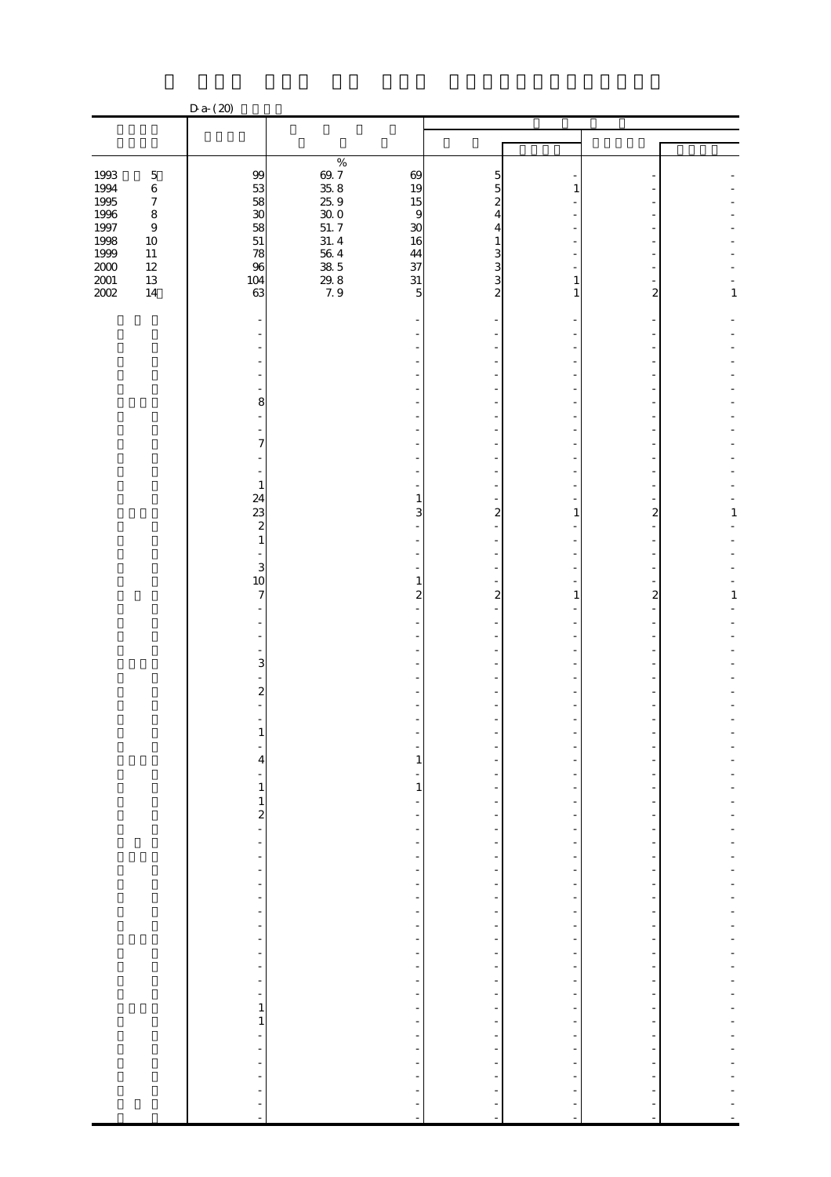|                                            |                                        | $D a-(20)$                                                                              |                                                                                         |                                                                                                                  |                                      |                                                |                |              |
|--------------------------------------------|----------------------------------------|-----------------------------------------------------------------------------------------|-----------------------------------------------------------------------------------------|------------------------------------------------------------------------------------------------------------------|--------------------------------------|------------------------------------------------|----------------|--------------|
|                                            |                                        |                                                                                         |                                                                                         |                                                                                                                  |                                      |                                                |                |              |
|                                            |                                        |                                                                                         |                                                                                         |                                                                                                                  |                                      |                                                |                |              |
| 1993<br>1994<br>1995                       | $\bf 5$<br>$\,6\,$<br>$\boldsymbol{7}$ | 99<br>$\frac{53}{38}$                                                                   | $\%$<br>$\frac{69.7}{35.8}$                                                             | 69<br>19<br>15                                                                                                   | 5<br>5<br>2                          |                                                |                |              |
| 1996<br>1997                               | $\bf8$<br>$\boldsymbol{9}$<br>$10\,$   | $\frac{58}{51}$                                                                         | $25\;9$<br>$\begin{array}{c} 30.0 \\ 51.7 \end{array}$<br>31.4                          | $\overline{9}$<br>30<br>16                                                                                       | 4<br>4<br>1                          |                                                |                |              |
| $\frac{1998}{1999}$<br>$\frac{2001}{2002}$ | $11\,$<br>$12\,$<br>$13\,$<br>$14\,$   | 78<br>96<br>104<br>63                                                                   | $\begin{array}{c} 56 \ 4 \\ 38 \ 5 \\ \end{array}$<br>$\mathop{29}_{7.9}^{\mathbf{29}}$ | $\frac{44}{37}$<br>$31\,$<br>5                                                                                   | $\frac{3}{3}$<br>3<br>$\overline{c}$ | 1<br>1                                         | 2              | $\mathbf 1$  |
|                                            |                                        |                                                                                         |                                                                                         |                                                                                                                  |                                      |                                                |                |              |
|                                            |                                        | ٠                                                                                       |                                                                                         |                                                                                                                  |                                      |                                                |                |              |
|                                            |                                        | 8<br>÷,<br>÷                                                                            |                                                                                         |                                                                                                                  |                                      |                                                |                |              |
|                                            |                                        | 7<br>$\mathbf{1}$                                                                       |                                                                                         |                                                                                                                  |                                      |                                                |                |              |
|                                            |                                        | 24<br>23<br>$\boldsymbol{z}$                                                            |                                                                                         | 1<br>3                                                                                                           | 2                                    | 1                                              | 2              | $\mathbf{1}$ |
|                                            |                                        | $\mathbf{1}$<br>3<br>10                                                                 |                                                                                         | $\mathbf{1}$                                                                                                     |                                      |                                                |                |              |
|                                            |                                        | 7                                                                                       |                                                                                         | $\overline{\mathcal{Z}}$                                                                                         | $\boldsymbol{2}$                     | 1                                              | $\overline{c}$ | $\mathbf{1}$ |
|                                            |                                        | 3                                                                                       |                                                                                         |                                                                                                                  |                                      |                                                |                |              |
|                                            |                                        | $\overline{\mathcal{Z}}$                                                                |                                                                                         |                                                                                                                  |                                      |                                                |                |              |
|                                            |                                        | $\overline{\mathbf{r}}$<br>-                                                            |                                                                                         | $\mathbf{1}$                                                                                                     |                                      |                                                |                |              |
|                                            |                                        | $\mathbf{1}$<br>$\frac{1}{2}$                                                           |                                                                                         | $\mathbf{1}$<br>÷<br>$\overline{\phantom{m}}$                                                                    | $\frac{1}{2}$                        | -                                              |                |              |
|                                            |                                        | $\overline{a}$<br>$\frac{1}{2}$<br>$\overline{\phantom{a}}$<br>$\overline{\phantom{a}}$ |                                                                                         | $\overline{\phantom{a}}$<br>$\overline{\phantom{0}}$<br>$\overline{\phantom{a}}$<br>$\qquad \qquad \blacksquare$ | $\frac{1}{2}$<br>-                   | $\overline{\phantom{a}}$<br>-                  |                |              |
|                                            |                                        | $\frac{1}{2}$<br>$\qquad \qquad \blacksquare$<br>$\blacksquare$                         |                                                                                         | $\overline{\phantom{a}}$<br>$\overline{\phantom{m}}$<br>$\overline{\phantom{a}}$                                 | $\frac{1}{2}$                        | -<br>$\frac{1}{2}$                             |                |              |
|                                            |                                        | $\overline{\phantom{a}}$<br>$\blacksquare$<br>$\frac{1}{2}$<br>$\overline{\phantom{a}}$ |                                                                                         | $\overline{\phantom{a}}$<br>÷<br>$\overline{\phantom{a}}$<br>$\qquad \qquad \blacksquare$                        | Ξ                                    | -<br>-<br>-                                    |                |              |
|                                            |                                        | $\blacksquare$<br>$\frac{1}{2}$<br>$\mathbf{1}$                                         |                                                                                         | $\overline{\phantom{a}}$<br>$\overline{\phantom{a}}$<br>$\qquad \qquad \blacksquare$                             | $\frac{1}{2}$                        | $\frac{1}{2}$<br>Ξ<br>$\overline{\phantom{a}}$ | ÷,             |              |
|                                            |                                        | $\mathbf{1}$<br>÷<br>÷<br>$\Box$                                                        |                                                                                         | $\overline{\phantom{a}}$<br>÷<br>$\overline{\phantom{m}}$<br>$\overline{\phantom{a}}$                            | $\overline{\phantom{m}}$             | $\frac{1}{2}$<br>-                             |                |              |
|                                            |                                        | $\overline{\phantom{m}}$<br>$\qquad \qquad \blacksquare$<br>÷<br>$\blacksquare$         |                                                                                         | $\overline{a}$                                                                                                   | f<br>÷,                              | $\overline{a}$                                 |                |              |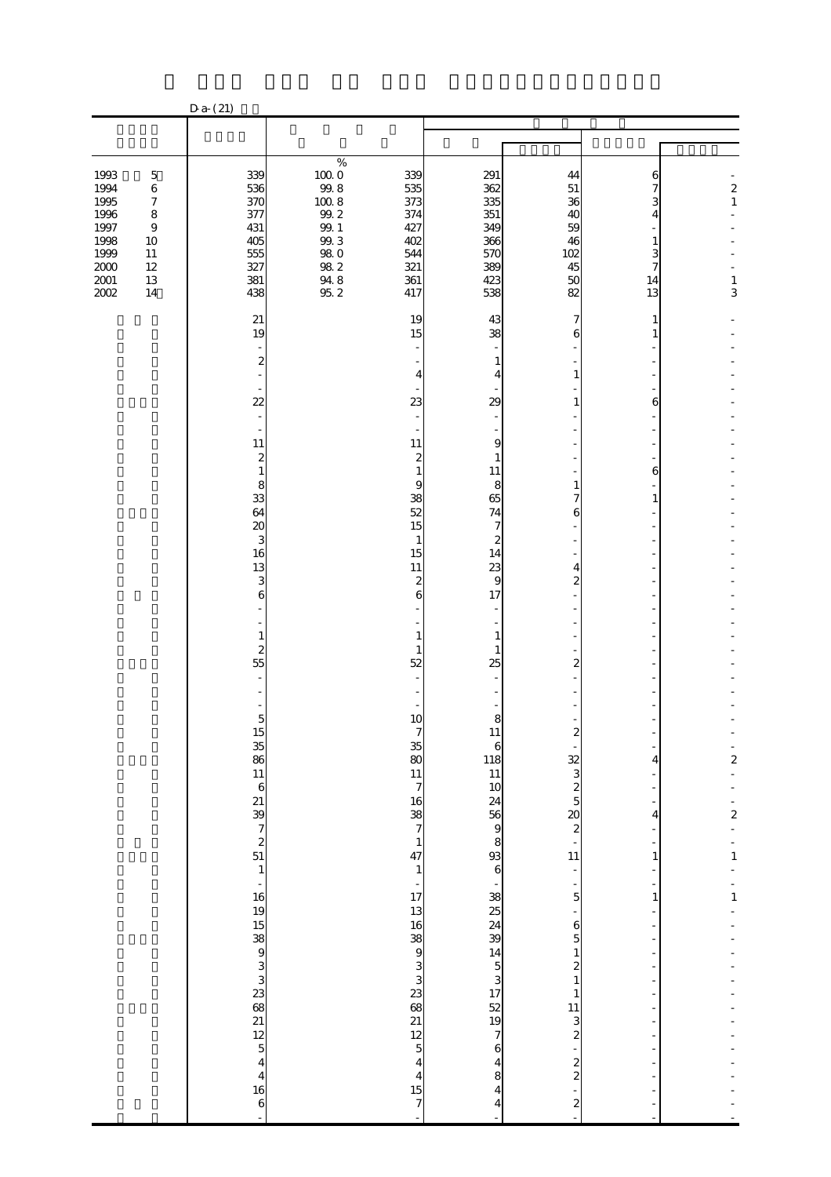|                                                                                      |                                                                                                       | $D a-(21)$                                                         |                                                                                                                                                              |                                                                    |                                                                             |                                                           |                                        |                                    |
|--------------------------------------------------------------------------------------|-------------------------------------------------------------------------------------------------------|--------------------------------------------------------------------|--------------------------------------------------------------------------------------------------------------------------------------------------------------|--------------------------------------------------------------------|-----------------------------------------------------------------------------|-----------------------------------------------------------|----------------------------------------|------------------------------------|
|                                                                                      |                                                                                                       |                                                                    |                                                                                                                                                              |                                                                    |                                                                             |                                                           |                                        |                                    |
|                                                                                      |                                                                                                       |                                                                    |                                                                                                                                                              |                                                                    |                                                                             |                                                           |                                        |                                    |
| 1993<br>1994<br>1995<br>1996<br>1997<br>1998<br>1999<br>$2000\,$<br>$2001\,$<br>2002 | $\mathbf 5$<br>$\,6$<br>$\boldsymbol{7}$<br>$\bf 8$<br>$\boldsymbol{9}$<br>10<br>11<br>12<br>13<br>14 | 339<br>536<br>370<br>377<br>431<br>405<br>555<br>327<br>381<br>438 | $\%$<br>$\begin{array}{c} 100.0 \\ 99.8 \end{array}$<br>$100\ 8$<br>$9\!\!.02$<br>$\frac{99.1}{99.3}$<br>$98\ 0$<br>$98\ 2$<br>$\frac{94}{95}$ $\frac{8}{2}$ | 339<br>535<br>373<br>374<br>427<br>402<br>544<br>321<br>361<br>417 | 291<br>362<br>335<br>351<br>349<br>366<br>570<br>389<br>423<br>538          | 44<br>51<br>36<br>40<br>59<br>46<br>102<br>45<br>50<br>82 | 6<br>7<br>3<br>4<br>3<br>7<br>14<br>13 | $\frac{2}{1}$<br>$\mathbf{1}$<br>3 |
|                                                                                      |                                                                                                       | 21<br>19                                                           |                                                                                                                                                              | 19<br>15                                                           | 43<br>38                                                                    | 6                                                         |                                        |                                    |
|                                                                                      |                                                                                                       | 2                                                                  |                                                                                                                                                              | 4                                                                  | 1<br>4                                                                      | 1                                                         |                                        |                                    |
|                                                                                      |                                                                                                       | 22                                                                 |                                                                                                                                                              | 23                                                                 | 29                                                                          | 1                                                         | 6                                      |                                    |
|                                                                                      |                                                                                                       | 11<br>2<br>1                                                       |                                                                                                                                                              | 11<br>2<br>$\mathbf{1}$                                            | 9<br>1<br>11                                                                |                                                           | 6                                      |                                    |
|                                                                                      |                                                                                                       | 8<br>33<br>64                                                      |                                                                                                                                                              | 9<br>38<br>52                                                      | 8<br>65<br>74                                                               | 6                                                         | 1                                      |                                    |
|                                                                                      |                                                                                                       | $\boldsymbol{\alpha}$<br>3<br>16<br>13                             |                                                                                                                                                              | 15<br>$\mathbf 1$<br>15<br>11                                      | 7<br>2<br>14<br>23                                                          | 4                                                         |                                        |                                    |
|                                                                                      |                                                                                                       | 3<br>6                                                             |                                                                                                                                                              | 2<br>6                                                             | 9<br>17                                                                     | 2                                                         |                                        |                                    |
|                                                                                      |                                                                                                       | 1<br>$\overline{\mathcal{Z}}$<br>55                                |                                                                                                                                                              | 1<br>$\mathbf{1}$<br>52                                            | 1<br>1<br>25                                                                | $\overline{2}$                                            |                                        |                                    |
|                                                                                      |                                                                                                       | $\overline{5}$                                                     |                                                                                                                                                              | 10                                                                 | 8                                                                           |                                                           |                                        |                                    |
|                                                                                      |                                                                                                       |                                                                    |                                                                                                                                                              | $\frac{35}{17}$                                                    | $\mathbf{H}$<br>$\boldsymbol{6}$                                            |                                                           | 4                                      | $\frac{1}{2}$                      |
|                                                                                      |                                                                                                       |                                                                    |                                                                                                                                                              | $\begin{array}{c}\n16 \\ 38 \\ 7\n\end{array}$                     | $\frac{118}{11}$ $\frac{11}{24}$ $\frac{56}{9}$ $\frac{9}{8}$ $\frac{8}{6}$ | $\frac{2}{2}$<br>$\frac{2}{3}$<br>$\frac{3}{2}$           | 4                                      | $\frac{1}{2}$                      |
|                                                                                      |                                                                                                       |                                                                    |                                                                                                                                                              | $\mathbf{1}$<br>47<br>$\mathbf{1}$                                 |                                                                             | $\frac{1}{11}$<br>÷                                       | 1                                      | $\frac{1}{1}$                      |
|                                                                                      |                                                                                                       |                                                                    |                                                                                                                                                              | $\frac{1}{17}$                                                     |                                                                             | $\overline{5}$                                            | 1                                      | $\mathbf{1}$                       |
|                                                                                      |                                                                                                       |                                                                    |                                                                                                                                                              |                                                                    |                                                                             | $\frac{6}{5}$<br>$\mathbf{1}$<br>$\frac{2}{1}$            |                                        |                                    |
|                                                                                      |                                                                                                       |                                                                    |                                                                                                                                                              | 13 16 38 9 3 3 3 3 3 3 3 3 3 3 3 3 3 3 4 3 1                       | $-38.23439$<br>$14.5$<br>$3.17$<br>$32.19$<br>$7.6$                         | $\mathbf{1}$                                              |                                        |                                    |
|                                                                                      |                                                                                                       |                                                                    |                                                                                                                                                              | $\frac{12}{5}$<br>$\overline{\mathbf{4}}$                          | $\overline{\mathbf{4}}$                                                     | $\frac{11}{3}$<br>$2$<br>$2$<br>$2$                       |                                        |                                    |
|                                                                                      |                                                                                                       | $\begin{array}{c} 4 \\ 16 \\ 6 \end{array}$                        |                                                                                                                                                              | $\begin{array}{c} 4 \\ 15 \end{array}$<br>$\overline{\phantom{a}}$ | 8<br>4<br>4                                                                 | $\frac{1}{2}$<br>$\overline{a}$                           |                                        |                                    |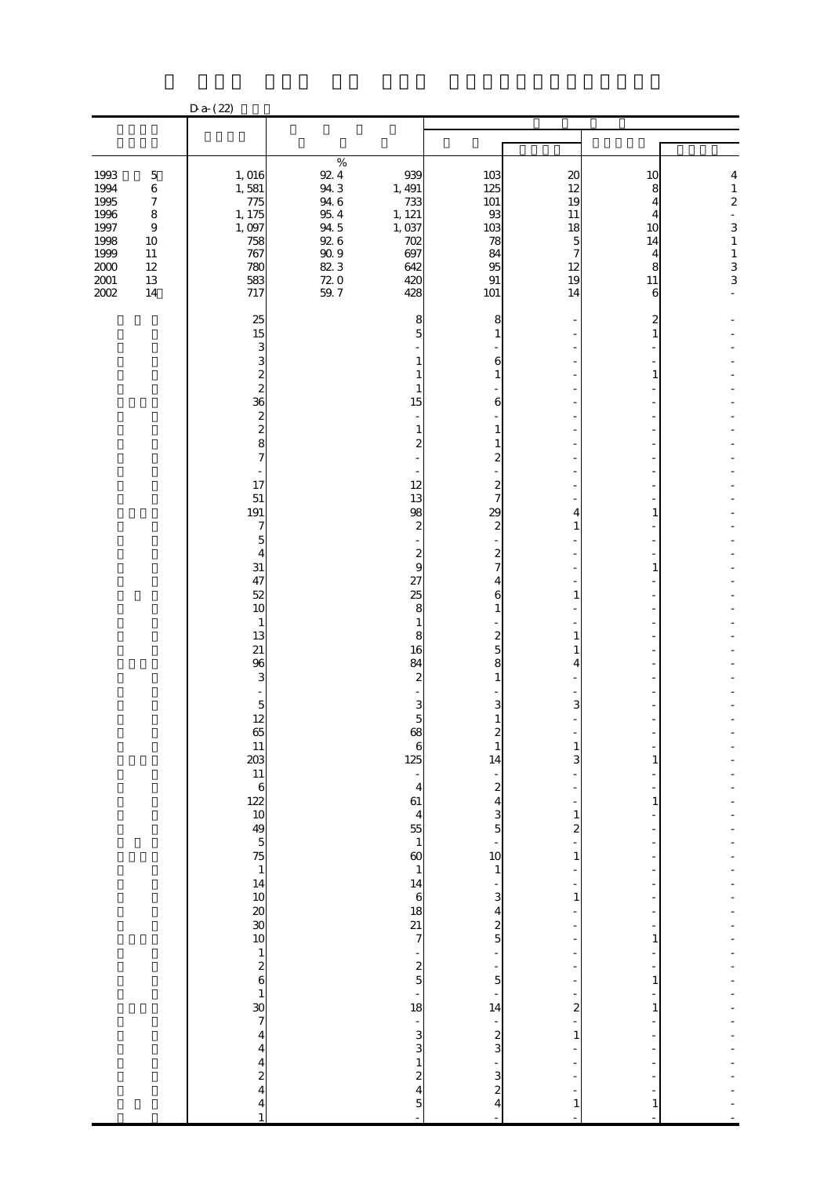|                                                                                          |                                                                                                                         | $Da-(22)$                                                                                                                                                                                                                                                                                                                                                  |                                                                                                                                                           |                                                                                                                                                                                                                                                                                                                                                                                                      |                                                                                                                                                                                                                                                                                                                                                                                                                                                 |                                                                      |                                                    |                                                                                                                                  |
|------------------------------------------------------------------------------------------|-------------------------------------------------------------------------------------------------------------------------|------------------------------------------------------------------------------------------------------------------------------------------------------------------------------------------------------------------------------------------------------------------------------------------------------------------------------------------------------------|-----------------------------------------------------------------------------------------------------------------------------------------------------------|------------------------------------------------------------------------------------------------------------------------------------------------------------------------------------------------------------------------------------------------------------------------------------------------------------------------------------------------------------------------------------------------------|-------------------------------------------------------------------------------------------------------------------------------------------------------------------------------------------------------------------------------------------------------------------------------------------------------------------------------------------------------------------------------------------------------------------------------------------------|----------------------------------------------------------------------|----------------------------------------------------|----------------------------------------------------------------------------------------------------------------------------------|
|                                                                                          |                                                                                                                         |                                                                                                                                                                                                                                                                                                                                                            |                                                                                                                                                           |                                                                                                                                                                                                                                                                                                                                                                                                      |                                                                                                                                                                                                                                                                                                                                                                                                                                                 |                                                                      |                                                    |                                                                                                                                  |
|                                                                                          |                                                                                                                         |                                                                                                                                                                                                                                                                                                                                                            |                                                                                                                                                           |                                                                                                                                                                                                                                                                                                                                                                                                      |                                                                                                                                                                                                                                                                                                                                                                                                                                                 |                                                                      |                                                    |                                                                                                                                  |
| 1993<br>1994<br>1995<br>1996<br>1997<br>1998<br>1999<br>$2000\,$<br>$2001\,$<br>$2002\,$ | $\mathbf 5$<br>$\,6\,$<br>$\boldsymbol{7}$<br>$\bf 8$<br>$\boldsymbol{9}$<br>10<br>$11\,$<br>$12\,$<br>$13\,$<br>$14\,$ | 1,016<br>1,581<br>775<br>1, 175<br>1,097<br>758<br>767<br>780<br>583<br>717                                                                                                                                                                                                                                                                                | $\%$<br>$92\;4$<br>943<br>$94\ 6$<br>$95\ 4$<br>94 5<br>926<br>$\begin{array}{c} 90.9 \\ 82.3 \end{array}$<br>$\begin{array}{c} 72.0 \\ 59.7 \end{array}$ | 939<br>1, 491<br>733<br>1, 121<br>1,037<br>702<br>697<br>642<br>420<br>428                                                                                                                                                                                                                                                                                                                           | 103<br>125<br>101<br>93<br>103<br>78<br>84<br>95<br>$91\,$<br>101                                                                                                                                                                                                                                                                                                                                                                               | $\boldsymbol{\alpha}$<br>12<br>19<br>11<br>18<br>5<br>12<br>19<br>14 | 10<br>8<br>4<br>4<br>10<br>14<br>4<br>8<br>11<br>6 | 4<br>$\mathbf{1}$<br>$\overline{\mathbf{c}}$<br>$\frac{1}{2}$<br>3<br>$\mathbf{1}$<br>$\begin{array}{c} 1 \\ 3 \\ 3 \end{array}$ |
|                                                                                          |                                                                                                                         |                                                                                                                                                                                                                                                                                                                                                            |                                                                                                                                                           |                                                                                                                                                                                                                                                                                                                                                                                                      |                                                                                                                                                                                                                                                                                                                                                                                                                                                 |                                                                      |                                                    |                                                                                                                                  |
|                                                                                          |                                                                                                                         | 25<br>15<br>3<br>3<br>$\frac{2}{2}$<br>36<br>$\frac{2}{2}$<br>8<br>7<br>17<br>${\bf 51}$<br>191<br>7<br>$\mathbf{5}$<br>4<br>$3\mathbf{1}$<br>47<br>52<br>10<br>$\mathbf{1}$<br>13<br>21<br>96<br>3<br>$\mathbf{5}$<br>12<br>65 11 323 11 6 22 10 49 5 75 1 14 10 20 30 10<br>$\begin{array}{c}\n1 \\ 2 \\ 6 \\ 1\n\end{array}$<br>$\overline{\mathbf{4}}$ |                                                                                                                                                           | 8<br>5<br>1<br>15<br>1<br>2<br>12<br>13<br>98<br>2<br>2<br>9<br>27<br>25<br>8<br>8<br>16<br>84<br>2<br>5<br>$\boldsymbol{6}$<br>125<br>$\overline{\phantom{a}}$<br>$\overline{\mathbf{4}}$<br>61<br>$\begin{array}{c} 4 \\ 55 \\ 1 \end{array}$<br>$\boldsymbol{\omega}$<br>$\mathbf{1}$<br>14<br>$\boldsymbol{6}$<br>18<br>21<br>7<br>$\frac{2}{5}$<br>18<br>$\qquad \qquad \blacksquare$<br>3<br>3 | 8<br>$\mathbf{1}$<br>6<br>1<br>6<br>$\mathbf{1}$<br>1<br>$\boldsymbol{2}$<br>$\overline{\mathbf{c}}$<br>7<br>29<br>$\boldsymbol{2}$<br>$\boldsymbol{z}$<br>7<br>4<br>6<br>1<br>$\frac{2}{5}$<br>8<br>$\mathbf{1}$<br>3<br>1<br>1<br>14<br>$\overline{\phantom{a}}$<br>$\overline{c}$<br>$\overline{\mathbf{r}}$<br>3<br>5<br>10<br>$\mathbf{1}$<br>3<br>$\overline{\mathbf{4}}$<br>$\frac{2}{5}$<br>÷,<br>$\overline{5}$<br>14<br>$\frac{1}{3}$ | 4<br>1<br>ı<br>я<br>1<br>3<br>1<br>2<br>1<br>1<br>2<br>$\mathbf{1}$  | 2                                                  |                                                                                                                                  |
|                                                                                          |                                                                                                                         | $\overline{\mathbf{4}}$<br>$\overline{\mathbf{r}}$<br>$\frac{2}{4}$<br>4<br>$\mathbf{1}$                                                                                                                                                                                                                                                                   |                                                                                                                                                           | $\mathbf{1}$<br>2<br>$\overline{\mathbf{r}}$<br>5                                                                                                                                                                                                                                                                                                                                                    | $\frac{3}{2}$<br>4                                                                                                                                                                                                                                                                                                                                                                                                                              | 1                                                                    |                                                    |                                                                                                                                  |